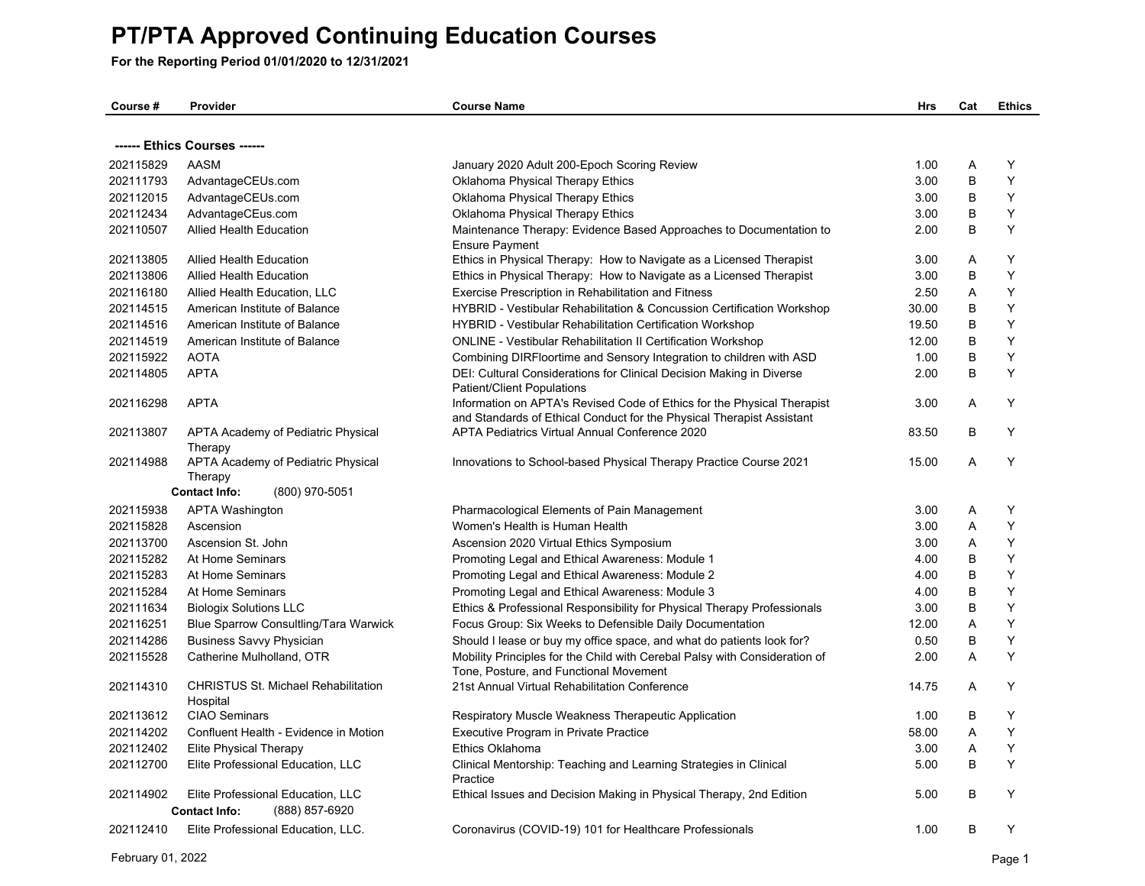| Course #  | Provider                                               | <b>Course Name</b>                                                                                                                               | <b>Hrs</b> | Cat | <b>Ethics</b> |
|-----------|--------------------------------------------------------|--------------------------------------------------------------------------------------------------------------------------------------------------|------------|-----|---------------|
|           |                                                        |                                                                                                                                                  |            |     |               |
|           | ------ Ethics Courses ------                           |                                                                                                                                                  |            |     |               |
| 202115829 | <b>AASM</b>                                            | January 2020 Adult 200-Epoch Scoring Review                                                                                                      | 1.00       | A   | Y             |
| 202111793 | AdvantageCEUs.com                                      | Oklahoma Physical Therapy Ethics                                                                                                                 | 3.00       | B   | Y             |
| 202112015 | AdvantageCEUs.com                                      | Oklahoma Physical Therapy Ethics                                                                                                                 | 3.00       | B   | Y             |
| 202112434 | AdvantageCEus.com                                      | Oklahoma Physical Therapy Ethics                                                                                                                 | 3.00       | B   | Y             |
| 202110507 | Allied Health Education                                | Maintenance Therapy: Evidence Based Approaches to Documentation to<br><b>Ensure Payment</b>                                                      | 2.00       | B   | Y             |
| 202113805 | <b>Allied Health Education</b>                         | Ethics in Physical Therapy: How to Navigate as a Licensed Therapist                                                                              | 3.00       | A   | Y             |
| 202113806 | <b>Allied Health Education</b>                         | Ethics in Physical Therapy: How to Navigate as a Licensed Therapist                                                                              | 3.00       | B   | Y             |
| 202116180 | Allied Health Education, LLC                           | Exercise Prescription in Rehabilitation and Fitness                                                                                              | 2.50       | A   | Y             |
| 202114515 | American Institute of Balance                          | HYBRID - Vestibular Rehabilitation & Concussion Certification Workshop                                                                           | 30.00      | B   | Y             |
| 202114516 | American Institute of Balance                          | <b>HYBRID - Vestibular Rehabilitation Certification Workshop</b>                                                                                 | 19.50      | B   | Y             |
| 202114519 | American Institute of Balance                          | <b>ONLINE - Vestibular Rehabilitation II Certification Workshop</b>                                                                              | 12.00      | B   | Y             |
| 202115922 | <b>AOTA</b>                                            | Combining DIRFloortime and Sensory Integration to children with ASD                                                                              | 1.00       | B   | Y             |
| 202114805 | <b>APTA</b>                                            | DEI: Cultural Considerations for Clinical Decision Making in Diverse<br>Patient/Client Populations                                               | 2.00       | B   | Y             |
| 202116298 | <b>APTA</b>                                            | Information on APTA's Revised Code of Ethics for the Physical Therapist<br>and Standards of Ethical Conduct for the Physical Therapist Assistant | 3.00       | A   | Y             |
| 202113807 | APTA Academy of Pediatric Physical<br>Therapy          | <b>APTA Pediatrics Virtual Annual Conference 2020</b>                                                                                            | 83.50      | B   | Y             |
| 202114988 | APTA Academy of Pediatric Physical<br>Therapy          | Innovations to School-based Physical Therapy Practice Course 2021                                                                                | 15.00      | A   | Y             |
|           | (800) 970-5051<br><b>Contact Info:</b>                 |                                                                                                                                                  |            |     |               |
| 202115938 | <b>APTA Washington</b>                                 | Pharmacological Elements of Pain Management                                                                                                      | 3.00       | A   | Y             |
| 202115828 | Ascension                                              | Women's Health is Human Health                                                                                                                   | 3.00       | A   | Y             |
| 202113700 | Ascension St. John                                     | Ascension 2020 Virtual Ethics Symposium                                                                                                          | 3.00       | Α   | Υ             |
| 202115282 | At Home Seminars                                       | Promoting Legal and Ethical Awareness: Module 1                                                                                                  | 4.00       | B   | Y             |
| 202115283 | At Home Seminars                                       | Promoting Legal and Ethical Awareness: Module 2                                                                                                  | 4.00       | B   | Y             |
| 202115284 | At Home Seminars                                       | Promoting Legal and Ethical Awareness: Module 3                                                                                                  | 4.00       | B   | Y             |
| 202111634 | <b>Biologix Solutions LLC</b>                          | Ethics & Professional Responsibility for Physical Therapy Professionals                                                                          | 3.00       | B   | Y             |
| 202116251 | Blue Sparrow Consultling/Tara Warwick                  | Focus Group: Six Weeks to Defensible Daily Documentation                                                                                         | 12.00      | A   | Y             |
| 202114286 | <b>Business Savvy Physician</b>                        | Should I lease or buy my office space, and what do patients look for?                                                                            | 0.50       | B   | Y             |
| 202115528 | Catherine Mulholland, OTR                              | Mobility Principles for the Child with Cerebal Palsy with Consideration of<br>Tone, Posture, and Functional Movement                             | 2.00       | A   | Y             |
| 202114310 | <b>CHRISTUS St. Michael Rehabilitation</b><br>Hospital | 21st Annual Virtual Rehabilitation Conference                                                                                                    | 14.75      | A   | Υ             |
| 202113612 | <b>CIAO Seminars</b>                                   | Respiratory Muscle Weakness Therapeutic Application                                                                                              | 1.00       | B   | Y             |
| 202114202 | Confluent Health - Evidence in Motion                  | Executive Program in Private Practice                                                                                                            | 58.00      | A   | Y             |
| 202112402 | Elite Physical Therapy                                 | Ethics Oklahoma                                                                                                                                  | 3.00       | Α   | Y             |
| 202112700 | Elite Professional Education, LLC                      | Clinical Mentorship: Teaching and Learning Strategies in Clinical<br>Practice                                                                    | 5.00       | B   | Y             |
| 202114902 | Elite Professional Education, LLC                      | Ethical Issues and Decision Making in Physical Therapy, 2nd Edition                                                                              | 5.00       | B   | Y             |
|           | <b>Contact Info:</b><br>(888) 857-6920                 |                                                                                                                                                  |            |     |               |
| 202112410 | Elite Professional Education, LLC.                     | Coronavirus (COVID-19) 101 for Healthcare Professionals                                                                                          | 1.00       | B   | Y             |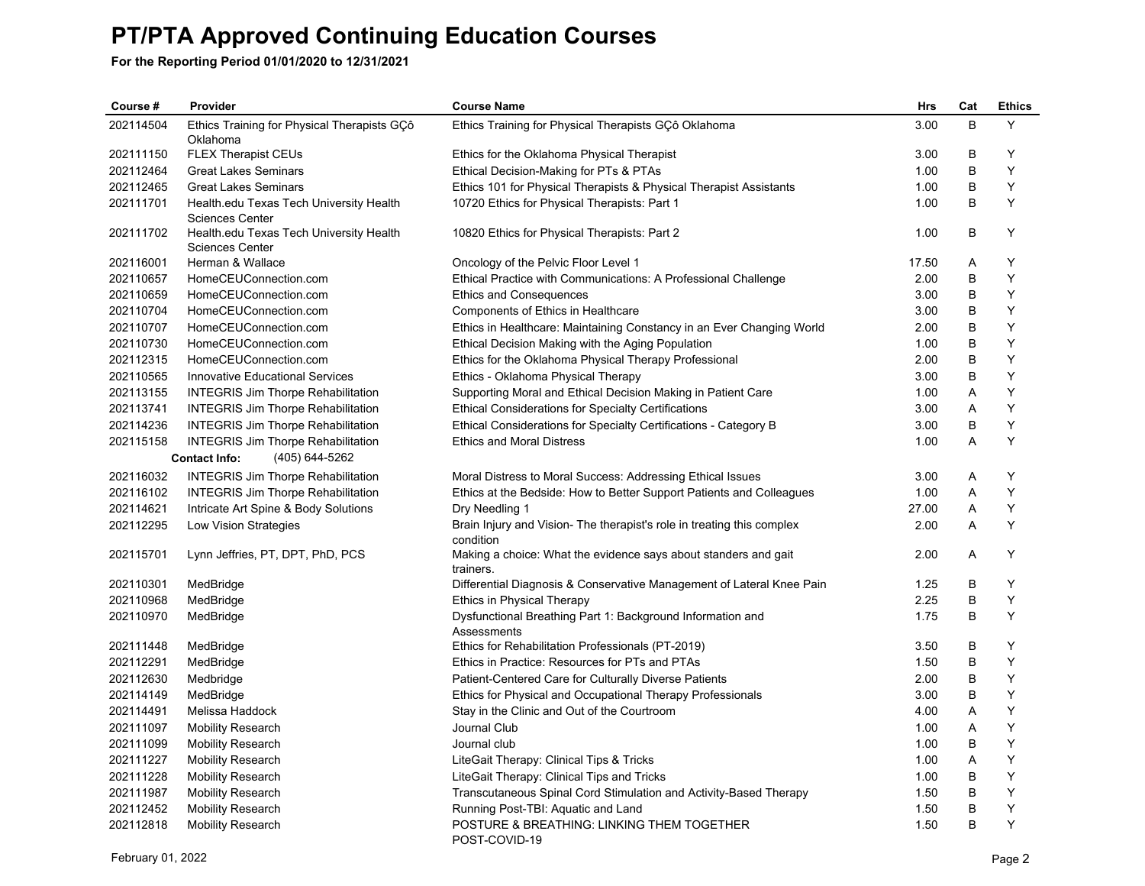| Course#   | Provider                                                          | <b>Course Name</b>                                                                  | <b>Hrs</b> | Cat | <b>Ethics</b> |
|-----------|-------------------------------------------------------------------|-------------------------------------------------------------------------------------|------------|-----|---------------|
| 202114504 | Ethics Training for Physical Therapists GCô<br>Oklahoma           | Ethics Training for Physical Therapists GÇô Oklahoma                                | 3.00       | B   | Y             |
| 202111150 | <b>FLEX Therapist CEUs</b>                                        | Ethics for the Oklahoma Physical Therapist                                          | 3.00       | B   | Y             |
| 202112464 | <b>Great Lakes Seminars</b>                                       | Ethical Decision-Making for PTs & PTAs                                              | 1.00       | B   | Y             |
| 202112465 | <b>Great Lakes Seminars</b>                                       | Ethics 101 for Physical Therapists & Physical Therapist Assistants                  | 1.00       | B   | Y             |
| 202111701 | Health.edu Texas Tech University Health<br><b>Sciences Center</b> | 10720 Ethics for Physical Therapists: Part 1                                        | 1.00       | B   | Y             |
| 202111702 | Health.edu Texas Tech University Health<br>Sciences Center        | 10820 Ethics for Physical Therapists: Part 2                                        | 1.00       | B   | Y             |
| 202116001 | Herman & Wallace                                                  | Oncology of the Pelvic Floor Level 1                                                | 17.50      | A   | Y             |
| 202110657 | HomeCEUConnection.com                                             | Ethical Practice with Communications: A Professional Challenge                      | 2.00       | B   | Y             |
| 202110659 | HomeCEUConnection.com                                             | <b>Ethics and Consequences</b>                                                      | 3.00       | B   | Y             |
| 202110704 | HomeCEUConnection.com                                             | Components of Ethics in Healthcare                                                  | 3.00       | B   | Y             |
| 202110707 | HomeCEUConnection.com                                             | Ethics in Healthcare: Maintaining Constancy in an Ever Changing World               | 2.00       | B   | Y             |
| 202110730 | HomeCEUConnection.com                                             | Ethical Decision Making with the Aging Population                                   | 1.00       | B   | Y             |
| 202112315 | HomeCEUConnection.com                                             | Ethics for the Oklahoma Physical Therapy Professional                               | 2.00       | B   | Y             |
| 202110565 | <b>Innovative Educational Services</b>                            | Ethics - Oklahoma Physical Therapy                                                  | 3.00       | B   | Y             |
| 202113155 | <b>INTEGRIS Jim Thorpe Rehabilitation</b>                         | Supporting Moral and Ethical Decision Making in Patient Care                        | 1.00       | A   | Y             |
| 202113741 | <b>INTEGRIS Jim Thorpe Rehabilitation</b>                         | <b>Ethical Considerations for Specialty Certifications</b>                          | 3.00       | A   | Y             |
| 202114236 | <b>INTEGRIS Jim Thorpe Rehabilitation</b>                         | Ethical Considerations for Specialty Certifications - Category B                    | 3.00       | B   | Y             |
| 202115158 | <b>INTEGRIS Jim Thorpe Rehabilitation</b>                         | <b>Ethics and Moral Distress</b>                                                    | 1.00       | A   | Y             |
|           | (405) 644-5262<br><b>Contact Info:</b>                            |                                                                                     |            |     |               |
| 202116032 | <b>INTEGRIS Jim Thorpe Rehabilitation</b>                         | Moral Distress to Moral Success: Addressing Ethical Issues                          | 3.00       | A   | Υ             |
| 202116102 | <b>INTEGRIS Jim Thorpe Rehabilitation</b>                         | Ethics at the Bedside: How to Better Support Patients and Colleagues                | 1.00       | A   | Υ             |
| 202114621 | Intricate Art Spine & Body Solutions                              | Dry Needling 1                                                                      | 27.00      | Α   | Υ             |
| 202112295 | Low Vision Strategies                                             | Brain Injury and Vision- The therapist's role in treating this complex<br>condition | 2.00       | A   | Y             |
| 202115701 | Lynn Jeffries, PT, DPT, PhD, PCS                                  | Making a choice: What the evidence says about standers and gait<br>trainers.        | 2.00       | A   | Υ             |
| 202110301 | MedBridge                                                         | Differential Diagnosis & Conservative Management of Lateral Knee Pain               | 1.25       | B   | Y             |
| 202110968 | MedBridge                                                         | Ethics in Physical Therapy                                                          | 2.25       | B   | Υ             |
| 202110970 | MedBridge                                                         | Dysfunctional Breathing Part 1: Background Information and<br>Assessments           | 1.75       | B   | Y             |
| 202111448 | MedBridge                                                         | Ethics for Rehabilitation Professionals (PT-2019)                                   | 3.50       | B   | Y             |
| 202112291 | MedBridge                                                         | Ethics in Practice: Resources for PTs and PTAs                                      | 1.50       | B   | Y             |
| 202112630 | Medbridge                                                         | Patient-Centered Care for Culturally Diverse Patients                               | 2.00       | B   | Y             |
| 202114149 | MedBridge                                                         | Ethics for Physical and Occupational Therapy Professionals                          | 3.00       | B   | Y             |
| 202114491 | Melissa Haddock                                                   | Stay in the Clinic and Out of the Courtroom                                         | 4.00       | A   | Y             |
| 202111097 | <b>Mobility Research</b>                                          | Journal Club                                                                        | 1.00       | A   | Υ             |
| 202111099 | <b>Mobility Research</b>                                          | Journal club                                                                        | 1.00       | B   | Y             |
| 202111227 | <b>Mobility Research</b>                                          | LiteGait Therapy: Clinical Tips & Tricks                                            | 1.00       | Α   | Y             |
| 202111228 | <b>Mobility Research</b>                                          | LiteGait Therapy: Clinical Tips and Tricks                                          | 1.00       | B   | Y             |
| 202111987 | <b>Mobility Research</b>                                          | Transcutaneous Spinal Cord Stimulation and Activity-Based Therapy                   | 1.50       | B   | Υ             |
| 202112452 | <b>Mobility Research</b>                                          | Running Post-TBI: Aquatic and Land                                                  | 1.50       | В   | Υ             |
| 202112818 | <b>Mobility Research</b>                                          | POSTURE & BREATHING: LINKING THEM TOGETHER<br>POST-COVID-19                         | 1.50       | B   | Y             |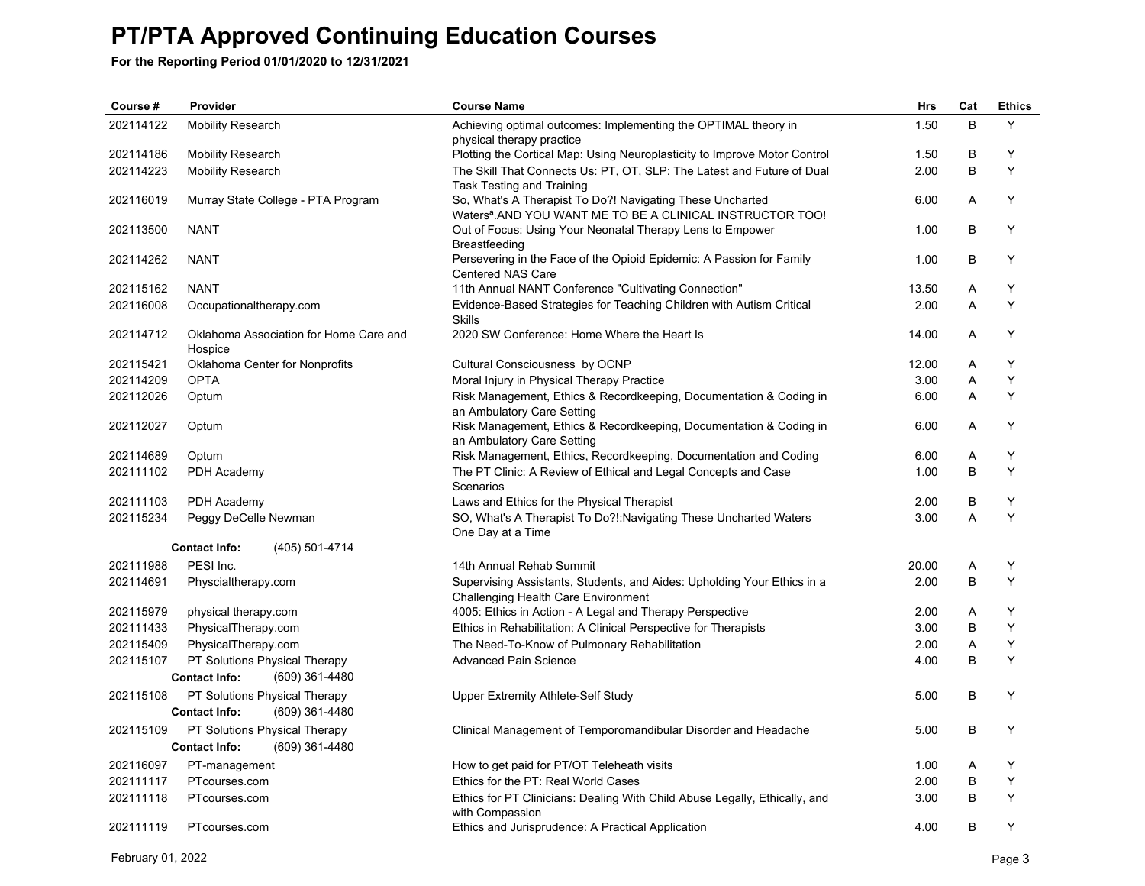| Course #  | Provider                                                                | <b>Course Name</b>                                                                                                                  | Hrs   | Cat | <b>Ethics</b> |
|-----------|-------------------------------------------------------------------------|-------------------------------------------------------------------------------------------------------------------------------------|-------|-----|---------------|
| 202114122 | <b>Mobility Research</b>                                                | Achieving optimal outcomes: Implementing the OPTIMAL theory in<br>physical therapy practice                                         | 1.50  | B   | Y             |
| 202114186 | <b>Mobility Research</b>                                                | Plotting the Cortical Map: Using Neuroplasticity to Improve Motor Control                                                           | 1.50  | B   | Y             |
| 202114223 | <b>Mobility Research</b>                                                | The Skill That Connects Us: PT, OT, SLP: The Latest and Future of Dual<br>Task Testing and Training                                 | 2.00  | B   | Y             |
| 202116019 | Murray State College - PTA Program                                      | So, What's A Therapist To Do?! Navigating These Uncharted<br>Waters <sup>a</sup> . AND YOU WANT ME TO BE A CLINICAL INSTRUCTOR TOO! | 6.00  | A   | Y             |
| 202113500 | <b>NANT</b>                                                             | Out of Focus: Using Your Neonatal Therapy Lens to Empower<br>Breastfeeding                                                          | 1.00  | B   | Y             |
| 202114262 | <b>NANT</b>                                                             | Persevering in the Face of the Opioid Epidemic: A Passion for Family<br><b>Centered NAS Care</b>                                    | 1.00  | В   | Υ             |
| 202115162 | <b>NANT</b>                                                             | 11th Annual NANT Conference "Cultivating Connection"                                                                                | 13.50 | A   | Y             |
| 202116008 | Occupationaltherapy.com                                                 | Evidence-Based Strategies for Teaching Children with Autism Critical<br><b>Skills</b>                                               | 2.00  | A   | Y             |
| 202114712 | Oklahoma Association for Home Care and<br>Hospice                       | 2020 SW Conference: Home Where the Heart Is                                                                                         | 14.00 | A   | Y             |
| 202115421 | Oklahoma Center for Nonprofits                                          | Cultural Consciousness by OCNP                                                                                                      | 12.00 | Α   | Υ             |
| 202114209 | <b>OPTA</b>                                                             | Moral Injury in Physical Therapy Practice                                                                                           | 3.00  | A   | Y             |
| 202112026 | Optum                                                                   | Risk Management, Ethics & Recordkeeping, Documentation & Coding in<br>an Ambulatory Care Setting                                    | 6.00  | A   | Y             |
| 202112027 | Optum                                                                   | Risk Management, Ethics & Recordkeeping, Documentation & Coding in<br>an Ambulatory Care Setting                                    | 6.00  | Α   | Υ             |
| 202114689 | Optum                                                                   | Risk Management, Ethics, Recordkeeping, Documentation and Coding                                                                    | 6.00  | Α   | Y             |
| 202111102 | PDH Academy                                                             | The PT Clinic: A Review of Ethical and Legal Concepts and Case<br>Scenarios                                                         | 1.00  | B   | Y             |
| 202111103 | PDH Academy                                                             | Laws and Ethics for the Physical Therapist                                                                                          | 2.00  | B   | Y             |
| 202115234 | Peggy DeCelle Newman                                                    | SO, What's A Therapist To Do?!: Navigating These Uncharted Waters<br>One Day at a Time                                              | 3.00  | A   | Y             |
|           | <b>Contact Info:</b><br>(405) 501-4714                                  |                                                                                                                                     |       |     |               |
| 202111988 | PESI Inc.                                                               | 14th Annual Rehab Summit                                                                                                            | 20.00 | Α   | Υ             |
| 202114691 | Physcialtherapy.com                                                     | Supervising Assistants, Students, and Aides: Upholding Your Ethics in a<br>Challenging Health Care Environment                      | 2.00  | B   | Y             |
| 202115979 | physical therapy.com                                                    | 4005: Ethics in Action - A Legal and Therapy Perspective                                                                            | 2.00  | Α   | Y             |
| 202111433 | PhysicalTherapy.com                                                     | Ethics in Rehabilitation: A Clinical Perspective for Therapists                                                                     | 3.00  | B   | Y             |
| 202115409 | PhysicalTherapy.com                                                     | The Need-To-Know of Pulmonary Rehabilitation                                                                                        | 2.00  | A   | Y             |
| 202115107 | PT Solutions Physical Therapy                                           | <b>Advanced Pain Science</b>                                                                                                        | 4.00  | B   | Y             |
|           | <b>Contact Info:</b><br>(609) 361-4480                                  |                                                                                                                                     |       |     |               |
| 202115108 | PT Solutions Physical Therapy<br>(609) 361-4480<br><b>Contact Info:</b> | <b>Upper Extremity Athlete-Self Study</b>                                                                                           | 5.00  | B   | Y             |
| 202115109 | PT Solutions Physical Therapy                                           | Clinical Management of Temporomandibular Disorder and Headache                                                                      | 5.00  | B   | Υ             |
|           | (609) 361-4480<br><b>Contact Info:</b>                                  |                                                                                                                                     |       |     |               |
| 202116097 | PT-management                                                           | How to get paid for PT/OT Teleheath visits                                                                                          | 1.00  | Α   | Y             |
| 202111117 | PTcourses.com                                                           | Ethics for the PT: Real World Cases                                                                                                 | 2.00  | B   | Υ             |
| 202111118 | PTcourses.com                                                           | Ethics for PT Clinicians: Dealing With Child Abuse Legally, Ethically, and<br>with Compassion                                       | 3.00  | B   | Y             |
| 202111119 | PTcourses.com                                                           | Ethics and Jurisprudence: A Practical Application                                                                                   | 4.00  | B   | Y             |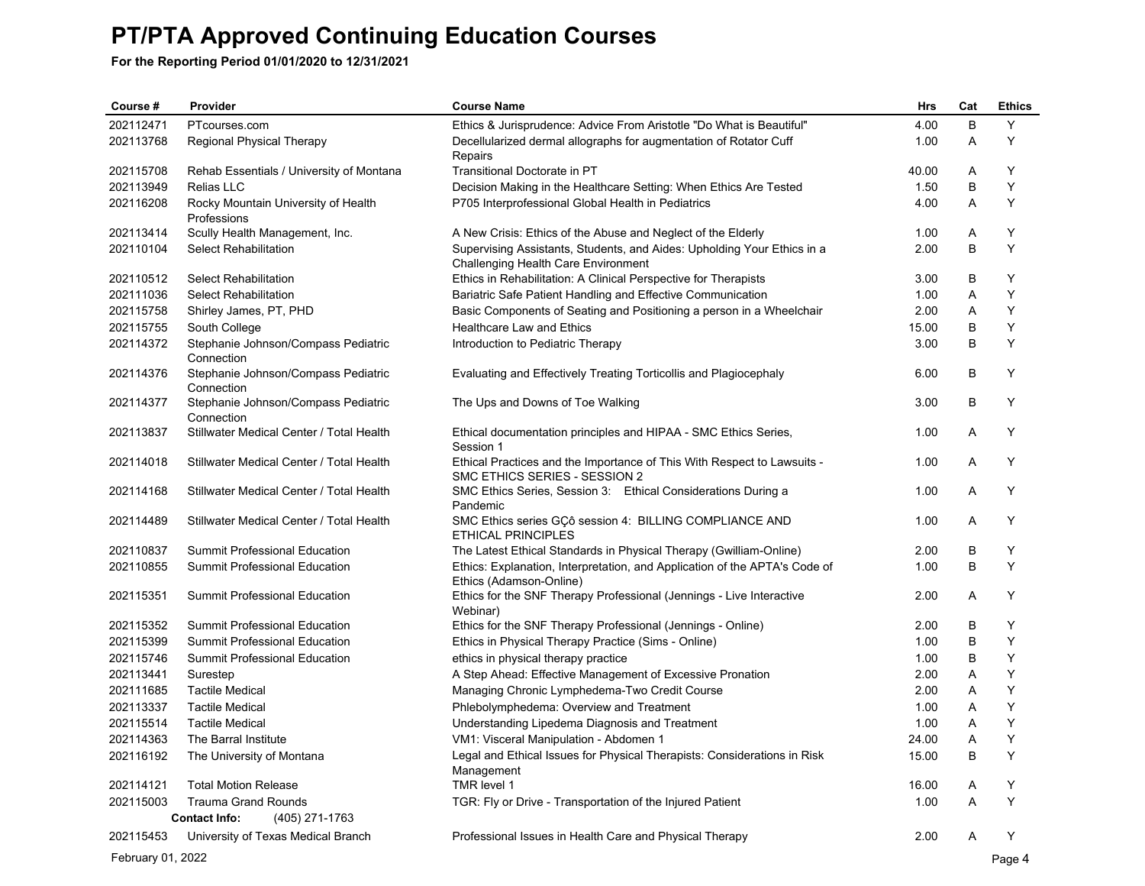| Course #          | Provider                                           | <b>Course Name</b>                                                                                             | Hrs   | Cat | <b>Ethics</b> |
|-------------------|----------------------------------------------------|----------------------------------------------------------------------------------------------------------------|-------|-----|---------------|
| 202112471         | PTcourses.com                                      | Ethics & Jurisprudence: Advice From Aristotle "Do What is Beautiful"                                           | 4.00  | B   | Y             |
| 202113768         | Regional Physical Therapy                          | Decellularized dermal allographs for augmentation of Rotator Cuff<br>Repairs                                   | 1.00  | Α   | Υ             |
| 202115708         | Rehab Essentials / University of Montana           | Transitional Doctorate in PT                                                                                   | 40.00 | Α   | Y             |
| 202113949         | <b>Relias LLC</b>                                  | Decision Making in the Healthcare Setting: When Ethics Are Tested                                              | 1.50  | В   | Υ             |
| 202116208         | Rocky Mountain University of Health<br>Professions | P705 Interprofessional Global Health in Pediatrics                                                             | 4.00  | A   | Υ             |
| 202113414         | Scully Health Management, Inc.                     | A New Crisis: Ethics of the Abuse and Neglect of the Elderly                                                   | 1.00  | Α   | Υ             |
| 202110104         | Select Rehabilitation                              | Supervising Assistants, Students, and Aides: Upholding Your Ethics in a<br>Challenging Health Care Environment | 2.00  | B   | Y             |
| 202110512         | Select Rehabilitation                              | Ethics in Rehabilitation: A Clinical Perspective for Therapists                                                | 3.00  | В   | Υ             |
| 202111036         | <b>Select Rehabilitation</b>                       | Bariatric Safe Patient Handling and Effective Communication                                                    | 1.00  | Α   | Υ             |
| 202115758         | Shirley James, PT, PHD                             | Basic Components of Seating and Positioning a person in a Wheelchair                                           | 2.00  | Α   | Υ             |
| 202115755         | South College                                      | Healthcare Law and Ethics                                                                                      | 15.00 | В   | Y             |
| 202114372         | Stephanie Johnson/Compass Pediatric<br>Connection  | Introduction to Pediatric Therapy                                                                              | 3.00  | B   | Υ             |
| 202114376         | Stephanie Johnson/Compass Pediatric<br>Connection  | Evaluating and Effectively Treating Torticollis and Plagiocephaly                                              | 6.00  | В   | Υ             |
| 202114377         | Stephanie Johnson/Compass Pediatric<br>Connection  | The Ups and Downs of Toe Walking                                                                               | 3.00  | В   | Y             |
| 202113837         | Stillwater Medical Center / Total Health           | Ethical documentation principles and HIPAA - SMC Ethics Series,<br>Session 1                                   | 1.00  | Α   | Υ             |
| 202114018         | Stillwater Medical Center / Total Health           | Ethical Practices and the Importance of This With Respect to Lawsuits -<br>SMC ETHICS SERIES - SESSION 2       | 1.00  | A   | Y             |
| 202114168         | Stillwater Medical Center / Total Health           | SMC Ethics Series, Session 3: Ethical Considerations During a<br>Pandemic                                      | 1.00  | Α   | Υ             |
| 202114489         | Stillwater Medical Center / Total Health           | SMC Ethics series GCô session 4: BILLING COMPLIANCE AND<br><b>ETHICAL PRINCIPLES</b>                           | 1.00  | A   | Υ             |
| 202110837         | Summit Professional Education                      | The Latest Ethical Standards in Physical Therapy (Gwilliam-Online)                                             | 2.00  | В   | Υ             |
| 202110855         | Summit Professional Education                      | Ethics: Explanation, Interpretation, and Application of the APTA's Code of<br>Ethics (Adamson-Online)          | 1.00  | B   | Y             |
| 202115351         | Summit Professional Education                      | Ethics for the SNF Therapy Professional (Jennings - Live Interactive<br>Webinar)                               | 2.00  | Α   | Y             |
| 202115352         | Summit Professional Education                      | Ethics for the SNF Therapy Professional (Jennings - Online)                                                    | 2.00  | В   | Υ             |
| 202115399         | Summit Professional Education                      | Ethics in Physical Therapy Practice (Sims - Online)                                                            | 1.00  | B   | Υ             |
| 202115746         | Summit Professional Education                      | ethics in physical therapy practice                                                                            | 1.00  | В   | Υ             |
| 202113441         | Surestep                                           | A Step Ahead: Effective Management of Excessive Pronation                                                      | 2.00  | Α   | Υ             |
| 202111685         | <b>Tactile Medical</b>                             | Managing Chronic Lymphedema-Two Credit Course                                                                  | 2.00  | Α   | Υ             |
| 202113337         | <b>Tactile Medical</b>                             | Phlebolymphedema: Overview and Treatment                                                                       | 1.00  | Α   | Υ             |
| 202115514         | <b>Tactile Medical</b>                             | Understanding Lipedema Diagnosis and Treatment                                                                 | 1.00  | Α   | Υ             |
| 202114363         | The Barral Institute                               | VM1: Visceral Manipulation - Abdomen 1                                                                         | 24.00 | A   | Y             |
| 202116192         | The University of Montana                          | Legal and Ethical Issues for Physical Therapists: Considerations in Risk<br>Management                         | 15.00 | В   | Y             |
| 202114121         | <b>Total Motion Release</b>                        | TMR level 1                                                                                                    | 16.00 | A   | Υ             |
| 202115003         | <b>Trauma Grand Rounds</b>                         | TGR: Fly or Drive - Transportation of the Injured Patient                                                      | 1.00  | Α   | Υ             |
|                   | <b>Contact Info:</b><br>(405) 271-1763             |                                                                                                                |       |     |               |
| 202115453         | University of Texas Medical Branch                 | Professional Issues in Health Care and Physical Therapy                                                        | 2.00  | Α   | Υ             |
| February 01, 2022 |                                                    |                                                                                                                |       |     | Page 4        |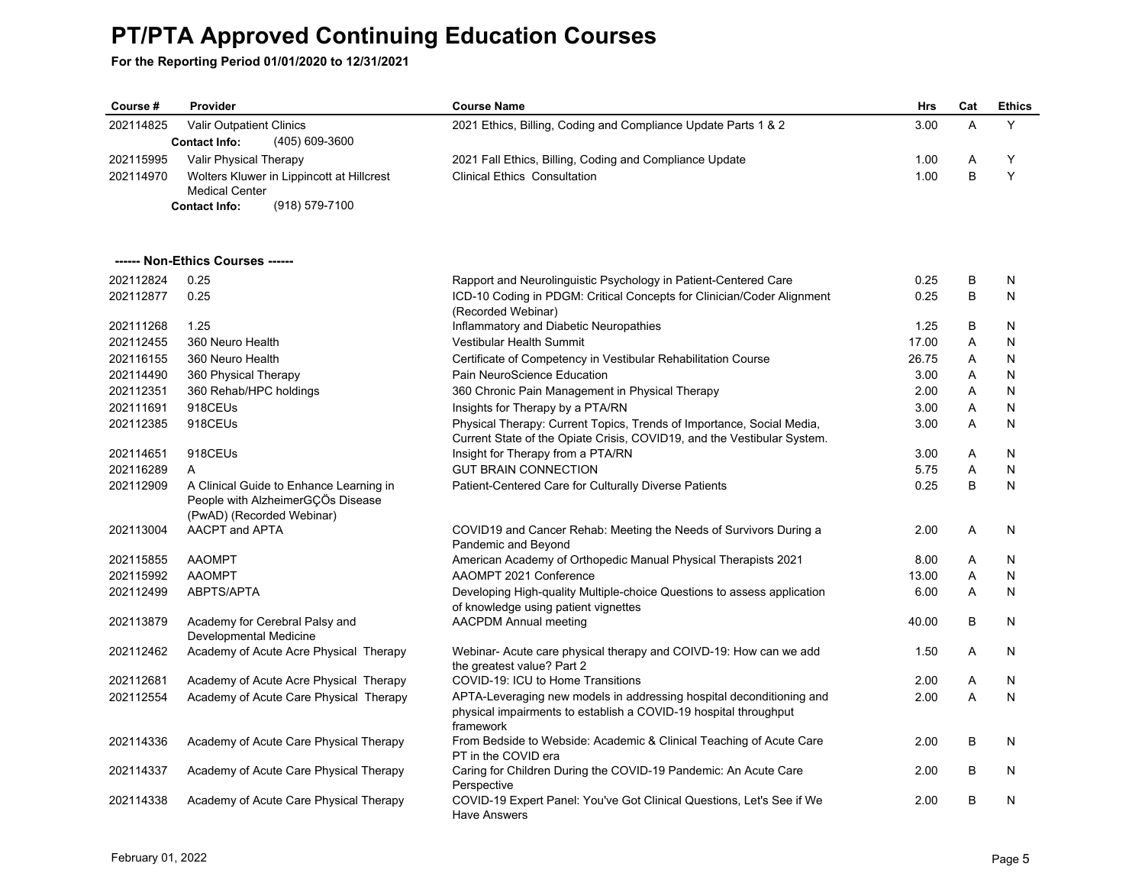| Course #  | Provider                                                       | <b>Course Name</b>                                                                                                                               | <b>Hrs</b> | Cat | <b>Ethics</b> |
|-----------|----------------------------------------------------------------|--------------------------------------------------------------------------------------------------------------------------------------------------|------------|-----|---------------|
| 202114825 | Valir Outpatient Clinics                                       | 2021 Ethics, Billing, Coding and Compliance Update Parts 1 & 2                                                                                   | 3.00       | A   | Y             |
|           | <b>Contact Info:</b><br>(405) 609-3600                         |                                                                                                                                                  |            |     |               |
| 202115995 | Valir Physical Therapy                                         | 2021 Fall Ethics, Billing, Coding and Compliance Update                                                                                          | 1.00       | A   | Υ             |
| 202114970 | Wolters Kluwer in Lippincott at Hillcrest                      | <b>Clinical Ethics Consultation</b>                                                                                                              | 1.00       | B   | Y             |
|           | <b>Medical Center</b>                                          |                                                                                                                                                  |            |     |               |
|           | <b>Contact Info:</b><br>$(918) 579 - 7100$                     |                                                                                                                                                  |            |     |               |
|           |                                                                |                                                                                                                                                  |            |     |               |
|           | ------ Non-Ethics Courses ------                               |                                                                                                                                                  |            |     |               |
| 202112824 | 0.25                                                           | Rapport and Neurolinguistic Psychology in Patient-Centered Care                                                                                  | 0.25       | B   | N             |
| 202112877 | 0.25                                                           | ICD-10 Coding in PDGM: Critical Concepts for Clinician/Coder Alignment<br>(Recorded Webinar)                                                     | 0.25       | B   | N             |
| 202111268 | 1.25                                                           | Inflammatory and Diabetic Neuropathies                                                                                                           | 1.25       | B   | N             |
| 202112455 | 360 Neuro Health                                               | Vestibular Health Summit                                                                                                                         | 17.00      | A   | N             |
| 202116155 | 360 Neuro Health                                               | Certificate of Competency in Vestibular Rehabilitation Course                                                                                    | 26.75      | A   | N             |
| 202114490 | 360 Physical Therapy                                           | Pain NeuroScience Education                                                                                                                      | 3.00       | A   | N             |
| 202112351 | 360 Rehab/HPC holdings                                         | 360 Chronic Pain Management in Physical Therapy                                                                                                  | 2.00       | Α   | N             |
| 202111691 | 918CEUs                                                        | Insights for Therapy by a PTA/RN                                                                                                                 | 3.00       | Α   | N             |
| 202112385 | 918CEUs                                                        | Physical Therapy: Current Topics, Trends of Importance, Social Media,<br>Current State of the Opiate Crisis, COVID19, and the Vestibular System. | 3.00       | A   | N             |
| 202114651 | 918CEUs                                                        | Insight for Therapy from a PTA/RN                                                                                                                | 3.00       | Α   | N             |
| 202116289 | A                                                              | <b>GUT BRAIN CONNECTION</b>                                                                                                                      | 5.75       | Α   | N             |
| 202112909 | A Clinical Guide to Enhance Learning in                        | Patient-Centered Care for Culturally Diverse Patients                                                                                            | 0.25       | B   | N             |
|           | People with AlzheimerGCOs Disease<br>(PwAD) (Recorded Webinar) |                                                                                                                                                  |            |     |               |
| 202113004 | AACPT and APTA                                                 | COVID19 and Cancer Rehab: Meeting the Needs of Survivors During a                                                                                | 2.00       | A   | N             |
|           |                                                                | Pandemic and Beyond                                                                                                                              |            |     |               |
| 202115855 | <b>AAOMPT</b>                                                  | American Academy of Orthopedic Manual Physical Therapists 2021                                                                                   | 8.00       | A   | N             |
| 202115992 | <b>AAOMPT</b>                                                  | AAOMPT 2021 Conference                                                                                                                           | 13.00      | A   | N             |
| 202112499 | ABPTS/APTA                                                     | Developing High-quality Multiple-choice Questions to assess application                                                                          | 6.00       | A   | N             |
| 202113879 |                                                                | of knowledge using patient vignettes                                                                                                             | 40.00      | B   | N             |
|           | Academy for Cerebral Palsy and<br>Developmental Medicine       | <b>AACPDM Annual meeting</b>                                                                                                                     |            |     |               |
| 202112462 | Academy of Acute Acre Physical Therapy                         | Webinar- Acute care physical therapy and COIVD-19: How can we add<br>the greatest value? Part 2                                                  | 1.50       | A   | N             |
| 202112681 | Academy of Acute Acre Physical Therapy                         | COVID-19: ICU to Home Transitions                                                                                                                | 2.00       | A   | N             |
| 202112554 | Academy of Acute Care Physical Therapy                         | APTA-Leveraging new models in addressing hospital deconditioning and                                                                             | 2.00       | A   | N             |
|           |                                                                | physical impairments to establish a COVID-19 hospital throughput<br>framework                                                                    |            |     |               |
| 202114336 | Academy of Acute Care Physical Therapy                         | From Bedside to Webside: Academic & Clinical Teaching of Acute Care<br>PT in the COVID era                                                       | 2.00       | B   | N             |
| 202114337 | Academy of Acute Care Physical Therapy                         | Caring for Children During the COVID-19 Pandemic: An Acute Care<br>Perspective                                                                   | 2.00       | B   | N             |
| 202114338 | Academy of Acute Care Physical Therapy                         | COVID-19 Expert Panel: You've Got Clinical Questions, Let's See if We<br>Have Answers                                                            | 2.00       | B   | N             |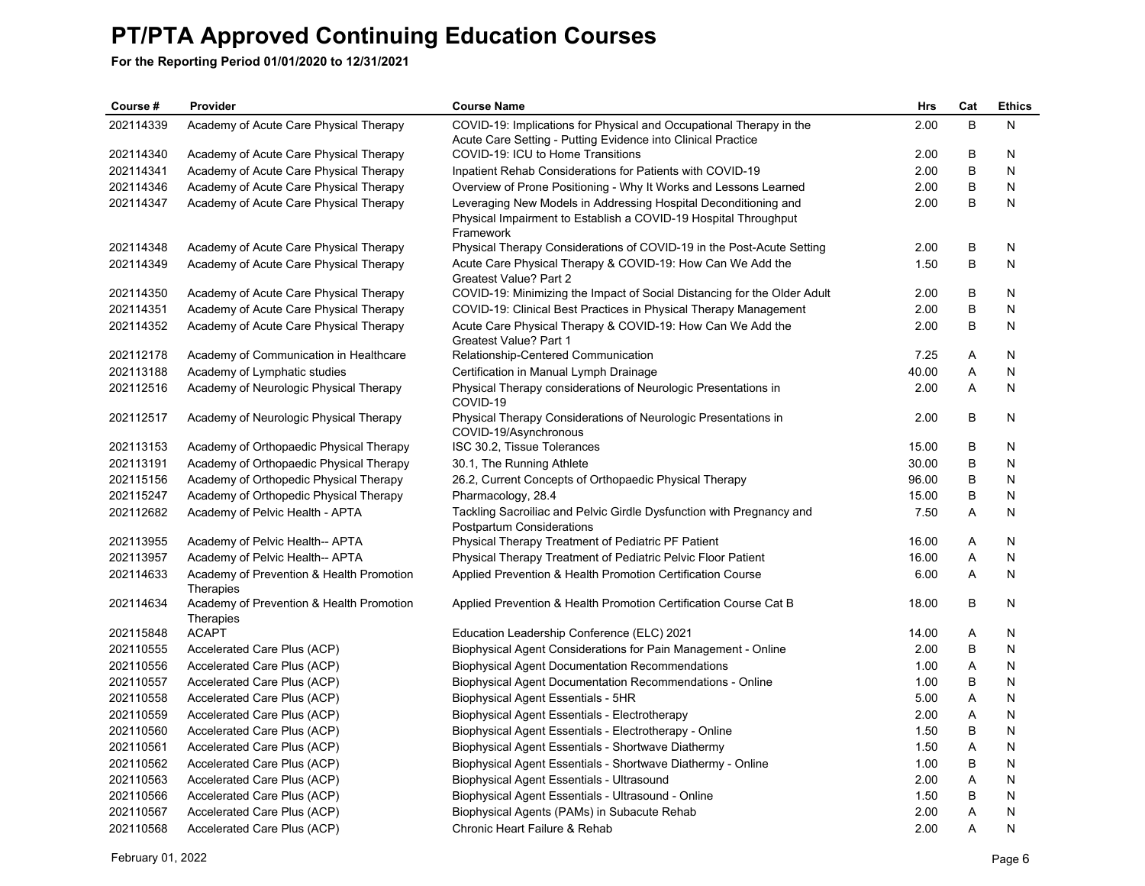| Course #  | Provider                                              | <b>Course Name</b>                                                                                                                              | Hrs   | Cat | <b>Ethics</b> |
|-----------|-------------------------------------------------------|-------------------------------------------------------------------------------------------------------------------------------------------------|-------|-----|---------------|
| 202114339 | Academy of Acute Care Physical Therapy                | COVID-19: Implications for Physical and Occupational Therapy in the<br>Acute Care Setting - Putting Evidence into Clinical Practice             | 2.00  | B   | N             |
| 202114340 | Academy of Acute Care Physical Therapy                | COVID-19: ICU to Home Transitions                                                                                                               | 2.00  | B   | N             |
| 202114341 | Academy of Acute Care Physical Therapy                | Inpatient Rehab Considerations for Patients with COVID-19                                                                                       | 2.00  | B   | N             |
| 202114346 | Academy of Acute Care Physical Therapy                | Overview of Prone Positioning - Why It Works and Lessons Learned                                                                                | 2.00  | B   | N             |
| 202114347 | Academy of Acute Care Physical Therapy                | Leveraging New Models in Addressing Hospital Deconditioning and<br>Physical Impairment to Establish a COVID-19 Hospital Throughput<br>Framework | 2.00  | B   | N             |
| 202114348 | Academy of Acute Care Physical Therapy                | Physical Therapy Considerations of COVID-19 in the Post-Acute Setting                                                                           | 2.00  | B   | N             |
| 202114349 | Academy of Acute Care Physical Therapy                | Acute Care Physical Therapy & COVID-19: How Can We Add the<br>Greatest Value? Part 2                                                            | 1.50  | B   | N             |
| 202114350 | Academy of Acute Care Physical Therapy                | COVID-19: Minimizing the Impact of Social Distancing for the Older Adult                                                                        | 2.00  | B   | N             |
| 202114351 | Academy of Acute Care Physical Therapy                | COVID-19: Clinical Best Practices in Physical Therapy Management                                                                                | 2.00  | B   | N             |
| 202114352 | Academy of Acute Care Physical Therapy                | Acute Care Physical Therapy & COVID-19: How Can We Add the<br>Greatest Value? Part 1                                                            | 2.00  | B   | N             |
| 202112178 | Academy of Communication in Healthcare                | Relationship-Centered Communication                                                                                                             | 7.25  | Α   | N             |
| 202113188 | Academy of Lymphatic studies                          | Certification in Manual Lymph Drainage                                                                                                          | 40.00 | A   | N             |
| 202112516 | Academy of Neurologic Physical Therapy                | Physical Therapy considerations of Neurologic Presentations in<br>COVID-19                                                                      | 2.00  | A   | N             |
| 202112517 | Academy of Neurologic Physical Therapy                | Physical Therapy Considerations of Neurologic Presentations in<br>COVID-19/Asynchronous                                                         | 2.00  | B   | N             |
| 202113153 | Academy of Orthopaedic Physical Therapy               | ISC 30.2, Tissue Tolerances                                                                                                                     | 15.00 | B   | N             |
| 202113191 | Academy of Orthopaedic Physical Therapy               | 30.1, The Running Athlete                                                                                                                       | 30.00 | B   | N             |
| 202115156 | Academy of Orthopedic Physical Therapy                | 26.2, Current Concepts of Orthopaedic Physical Therapy                                                                                          | 96.00 | B   | N             |
| 202115247 | Academy of Orthopedic Physical Therapy                | Pharmacology, 28.4                                                                                                                              | 15.00 | B   | N             |
| 202112682 | Academy of Pelvic Health - APTA                       | Tackling Sacroiliac and Pelvic Girdle Dysfunction with Pregnancy and<br>Postpartum Considerations                                               | 7.50  | A   | N             |
| 202113955 | Academy of Pelvic Health-- APTA                       | Physical Therapy Treatment of Pediatric PF Patient                                                                                              | 16.00 | Α   | N             |
| 202113957 | Academy of Pelvic Health-- APTA                       | Physical Therapy Treatment of Pediatric Pelvic Floor Patient                                                                                    | 16.00 | Α   | N             |
| 202114633 | Academy of Prevention & Health Promotion<br>Therapies | Applied Prevention & Health Promotion Certification Course                                                                                      | 6.00  | Α   | N             |
| 202114634 | Academy of Prevention & Health Promotion<br>Therapies | Applied Prevention & Health Promotion Certification Course Cat B                                                                                | 18.00 | B   | N             |
| 202115848 | <b>ACAPT</b>                                          | Education Leadership Conference (ELC) 2021                                                                                                      | 14.00 | Α   | N             |
| 202110555 | Accelerated Care Plus (ACP)                           | Biophysical Agent Considerations for Pain Management - Online                                                                                   | 2.00  | B   | N             |
| 202110556 | Accelerated Care Plus (ACP)                           | <b>Biophysical Agent Documentation Recommendations</b>                                                                                          | 1.00  | Α   | N             |
| 202110557 | Accelerated Care Plus (ACP)                           | <b>Biophysical Agent Documentation Recommendations - Online</b>                                                                                 | 1.00  | B   | N             |
| 202110558 | Accelerated Care Plus (ACP)                           | Biophysical Agent Essentials - 5HR                                                                                                              | 5.00  | Α   | N             |
| 202110559 | Accelerated Care Plus (ACP)                           | Biophysical Agent Essentials - Electrotherapy                                                                                                   | 2.00  | A   | N             |
| 202110560 | Accelerated Care Plus (ACP)                           | Biophysical Agent Essentials - Electrotherapy - Online                                                                                          | 1.50  | B   | N             |
| 202110561 | Accelerated Care Plus (ACP)                           | Biophysical Agent Essentials - Shortwave Diathermy                                                                                              | 1.50  | Α   | N             |
| 202110562 | Accelerated Care Plus (ACP)                           | Biophysical Agent Essentials - Shortwave Diathermy - Online                                                                                     | 1.00  | B   | N             |
| 202110563 | Accelerated Care Plus (ACP)                           | Biophysical Agent Essentials - Ultrasound                                                                                                       | 2.00  | Α   | N             |
| 202110566 | Accelerated Care Plus (ACP)                           | Biophysical Agent Essentials - Ultrasound - Online                                                                                              | 1.50  | B   | N             |
| 202110567 | Accelerated Care Plus (ACP)                           | Biophysical Agents (PAMs) in Subacute Rehab                                                                                                     | 2.00  | Α   | N             |
| 202110568 | Accelerated Care Plus (ACP)                           | Chronic Heart Failure & Rehab                                                                                                                   | 2.00  | A   | N             |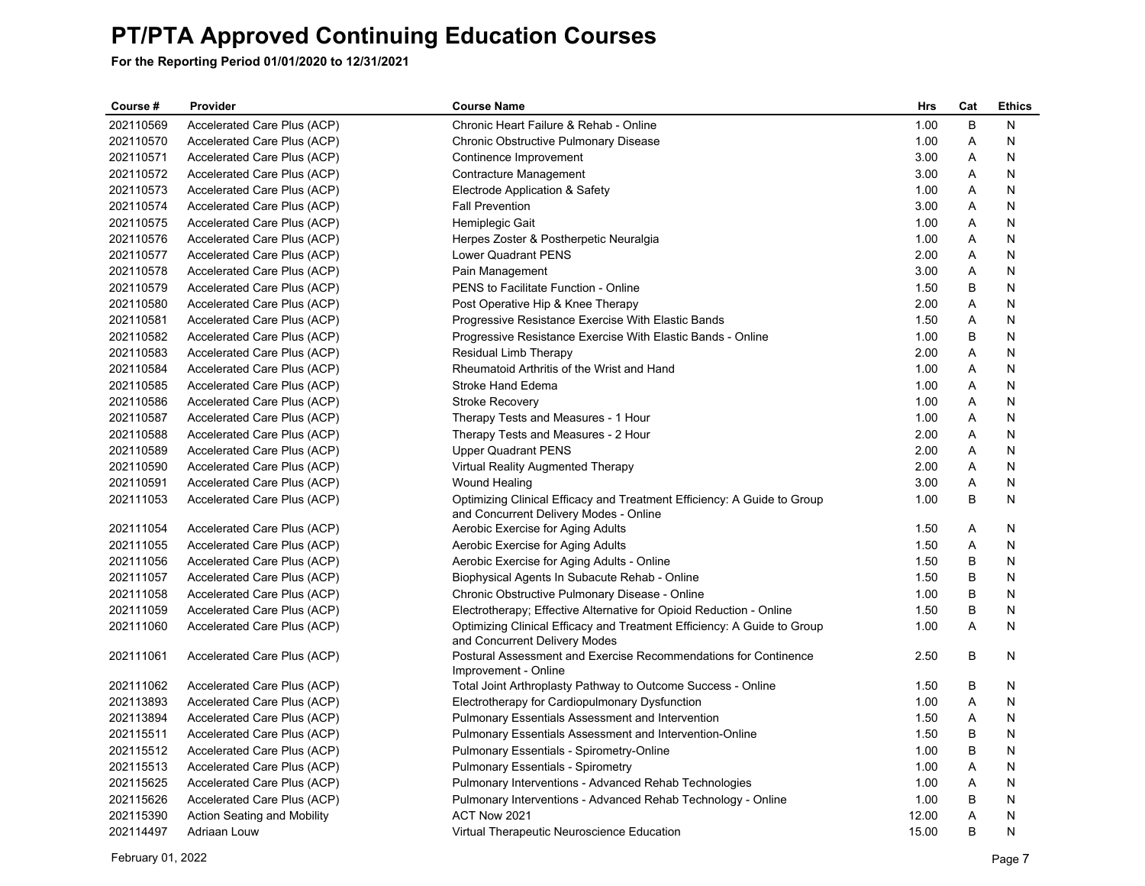| Course #  | Provider                           | <b>Course Name</b>                                                                                                | <b>Hrs</b> | Cat | <b>Ethics</b> |
|-----------|------------------------------------|-------------------------------------------------------------------------------------------------------------------|------------|-----|---------------|
| 202110569 | Accelerated Care Plus (ACP)        | Chronic Heart Failure & Rehab - Online                                                                            | 1.00       | B   | N             |
| 202110570 | Accelerated Care Plus (ACP)        | Chronic Obstructive Pulmonary Disease                                                                             | 1.00       | Α   | N             |
| 202110571 | Accelerated Care Plus (ACP)        | Continence Improvement                                                                                            | 3.00       | A   | N             |
| 202110572 | Accelerated Care Plus (ACP)        | Contracture Management                                                                                            | 3.00       | A   | N             |
| 202110573 | Accelerated Care Plus (ACP)        | Electrode Application & Safety                                                                                    | 1.00       | Α   | N             |
| 202110574 | Accelerated Care Plus (ACP)        | <b>Fall Prevention</b>                                                                                            | 3.00       | A   | N             |
| 202110575 | Accelerated Care Plus (ACP)        | Hemiplegic Gait                                                                                                   | 1.00       | A   | N             |
| 202110576 | Accelerated Care Plus (ACP)        | Herpes Zoster & Postherpetic Neuralgia                                                                            | 1.00       | Α   | N             |
| 202110577 | Accelerated Care Plus (ACP)        | Lower Quadrant PENS                                                                                               | 2.00       | Α   | N             |
| 202110578 | Accelerated Care Plus (ACP)        | Pain Management                                                                                                   | 3.00       | Α   | N             |
| 202110579 | Accelerated Care Plus (ACP)        | PENS to Facilitate Function - Online                                                                              | 1.50       | В   | N             |
| 202110580 | Accelerated Care Plus (ACP)        | Post Operative Hip & Knee Therapy                                                                                 | 2.00       | A   | N             |
| 202110581 | Accelerated Care Plus (ACP)        | Progressive Resistance Exercise With Elastic Bands                                                                | 1.50       | Α   | N             |
| 202110582 | Accelerated Care Plus (ACP)        | Progressive Resistance Exercise With Elastic Bands - Online                                                       | 1.00       | B   | N             |
| 202110583 | Accelerated Care Plus (ACP)        | Residual Limb Therapy                                                                                             | 2.00       | Α   | N             |
| 202110584 | Accelerated Care Plus (ACP)        | Rheumatoid Arthritis of the Wrist and Hand                                                                        | 1.00       | A   | N             |
| 202110585 | Accelerated Care Plus (ACP)        | Stroke Hand Edema                                                                                                 | 1.00       | A   | N             |
| 202110586 | Accelerated Care Plus (ACP)        | <b>Stroke Recovery</b>                                                                                            | 1.00       | A   | N             |
| 202110587 | Accelerated Care Plus (ACP)        | Therapy Tests and Measures - 1 Hour                                                                               | 1.00       | Α   | N             |
| 202110588 | Accelerated Care Plus (ACP)        | Therapy Tests and Measures - 2 Hour                                                                               | 2.00       | A   | N             |
| 202110589 | Accelerated Care Plus (ACP)        | <b>Upper Quadrant PENS</b>                                                                                        | 2.00       | A   | N             |
| 202110590 | Accelerated Care Plus (ACP)        | Virtual Reality Augmented Therapy                                                                                 | 2.00       | Α   | N             |
| 202110591 | Accelerated Care Plus (ACP)        | <b>Wound Healing</b>                                                                                              | 3.00       | A   | N             |
| 202111053 | Accelerated Care Plus (ACP)        | Optimizing Clinical Efficacy and Treatment Efficiency: A Guide to Group<br>and Concurrent Delivery Modes - Online | 1.00       | B   | N             |
| 202111054 | Accelerated Care Plus (ACP)        | Aerobic Exercise for Aging Adults                                                                                 | 1.50       | Α   | N             |
| 202111055 | Accelerated Care Plus (ACP)        | Aerobic Exercise for Aging Adults                                                                                 | 1.50       | Α   | N             |
| 202111056 | Accelerated Care Plus (ACP)        | Aerobic Exercise for Aging Adults - Online                                                                        | 1.50       | B   | N             |
| 202111057 | Accelerated Care Plus (ACP)        | Biophysical Agents In Subacute Rehab - Online                                                                     | 1.50       | В   | N             |
| 202111058 | Accelerated Care Plus (ACP)        | Chronic Obstructive Pulmonary Disease - Online                                                                    | 1.00       | B   | N             |
| 202111059 | Accelerated Care Plus (ACP)        | Electrotherapy; Effective Alternative for Opioid Reduction - Online                                               | 1.50       | B   | N             |
| 202111060 | Accelerated Care Plus (ACP)        | Optimizing Clinical Efficacy and Treatment Efficiency: A Guide to Group<br>and Concurrent Delivery Modes          | 1.00       | A   | N             |
| 202111061 | Accelerated Care Plus (ACP)        | Postural Assessment and Exercise Recommendations for Continence<br>Improvement - Online                           | 2.50       | В   | N             |
| 202111062 | Accelerated Care Plus (ACP)        | Total Joint Arthroplasty Pathway to Outcome Success - Online                                                      | 1.50       | B   | N             |
| 202113893 | Accelerated Care Plus (ACP)        | Electrotherapy for Cardiopulmonary Dysfunction                                                                    | 1.00       | Α   | N             |
| 202113894 | Accelerated Care Plus (ACP)        | <b>Pulmonary Essentials Assessment and Intervention</b>                                                           | 1.50       | Α   | N             |
| 202115511 | Accelerated Care Plus (ACP)        | Pulmonary Essentials Assessment and Intervention-Online                                                           | 1.50       | В   | N             |
| 202115512 | Accelerated Care Plus (ACP)        | Pulmonary Essentials - Spirometry-Online                                                                          | 1.00       | B   | N             |
| 202115513 | Accelerated Care Plus (ACP)        | <b>Pulmonary Essentials - Spirometry</b>                                                                          | 1.00       | Α   | N             |
| 202115625 | Accelerated Care Plus (ACP)        | Pulmonary Interventions - Advanced Rehab Technologies                                                             | 1.00       | Α   | N             |
| 202115626 | Accelerated Care Plus (ACP)        | Pulmonary Interventions - Advanced Rehab Technology - Online                                                      | 1.00       | B   | N             |
| 202115390 | <b>Action Seating and Mobility</b> | ACT Now 2021                                                                                                      | 12.00      | A   | N             |
| 202114497 | Adriaan Louw                       | Virtual Therapeutic Neuroscience Education                                                                        | 15.00      | B   | N             |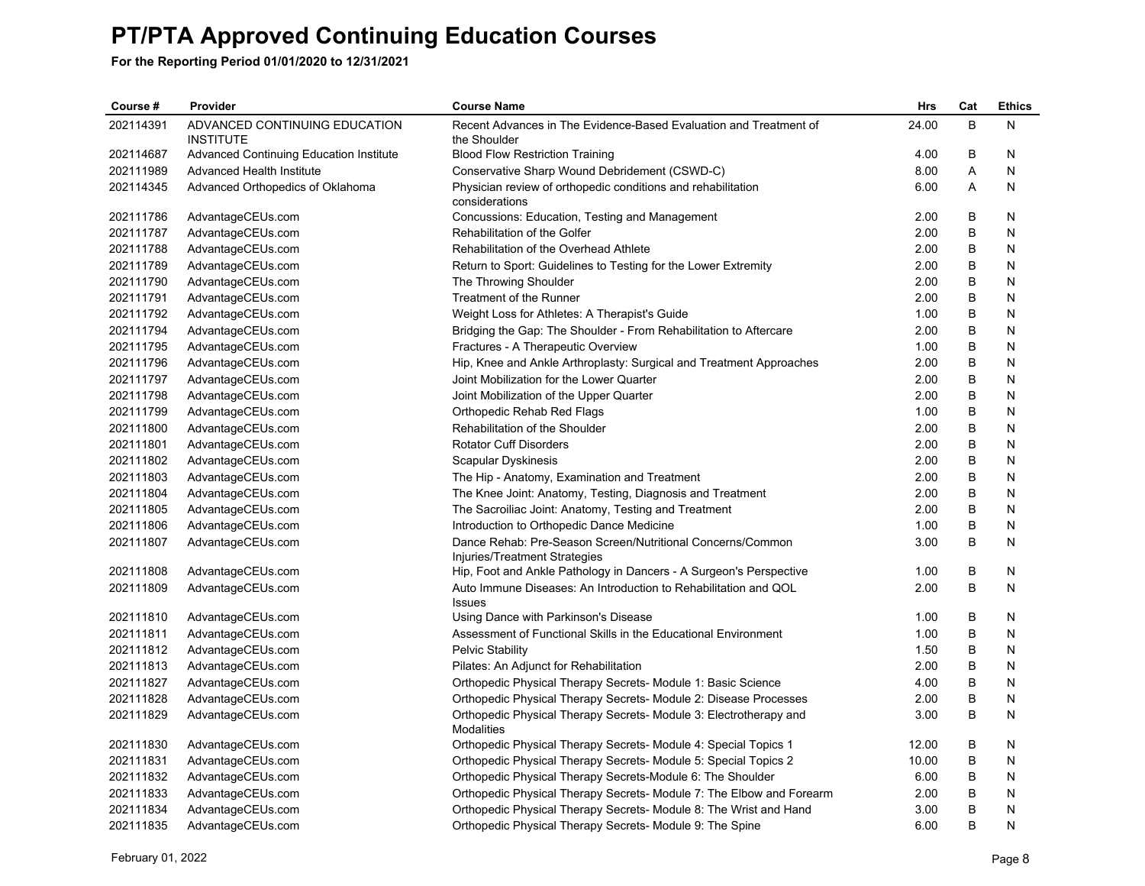| Course #  | Provider                                          | <b>Course Name</b>                                                                          | <b>Hrs</b> | Cat     | <b>Ethics</b> |
|-----------|---------------------------------------------------|---------------------------------------------------------------------------------------------|------------|---------|---------------|
| 202114391 | ADVANCED CONTINUING EDUCATION<br><b>INSTITUTE</b> | Recent Advances in The Evidence-Based Evaluation and Treatment of<br>the Shoulder           | 24.00      | B       | N             |
| 202114687 | <b>Advanced Continuing Education Institute</b>    | <b>Blood Flow Restriction Training</b>                                                      | 4.00       | B       | N             |
| 202111989 | Advanced Health Institute                         | Conservative Sharp Wound Debridement (CSWD-C)                                               | 8.00       | Α       | N             |
| 202114345 | Advanced Orthopedics of Oklahoma                  | Physician review of orthopedic conditions and rehabilitation<br>considerations              | 6.00       | Α       | N             |
| 202111786 | AdvantageCEUs.com                                 | Concussions: Education, Testing and Management                                              | 2.00       | B       | N             |
| 202111787 | AdvantageCEUs.com                                 | Rehabilitation of the Golfer                                                                | 2.00       | $\sf B$ | N             |
| 202111788 | AdvantageCEUs.com                                 | Rehabilitation of the Overhead Athlete                                                      | 2.00       | B       | N             |
| 202111789 | AdvantageCEUs.com                                 | Return to Sport: Guidelines to Testing for the Lower Extremity                              | 2.00       | B       | N             |
| 202111790 | AdvantageCEUs.com                                 | The Throwing Shoulder                                                                       | 2.00       | B       | N             |
| 202111791 | AdvantageCEUs.com                                 | Treatment of the Runner                                                                     | 2.00       | B       | N             |
| 202111792 | AdvantageCEUs.com                                 | Weight Loss for Athletes: A Therapist's Guide                                               | 1.00       | B       | N             |
| 202111794 | AdvantageCEUs.com                                 | Bridging the Gap: The Shoulder - From Rehabilitation to Aftercare                           | 2.00       | B       | N             |
| 202111795 | AdvantageCEUs.com                                 | Fractures - A Therapeutic Overview                                                          | 1.00       | B       | N             |
| 202111796 | AdvantageCEUs.com                                 | Hip, Knee and Ankle Arthroplasty: Surgical and Treatment Approaches                         | 2.00       | B       | N             |
| 202111797 | AdvantageCEUs.com                                 | Joint Mobilization for the Lower Quarter                                                    | 2.00       | B       | N             |
| 202111798 | AdvantageCEUs.com                                 | Joint Mobilization of the Upper Quarter                                                     | 2.00       | B       | N             |
| 202111799 | AdvantageCEUs.com                                 | Orthopedic Rehab Red Flags                                                                  | 1.00       | B       | N             |
| 202111800 | AdvantageCEUs.com                                 | Rehabilitation of the Shoulder                                                              | 2.00       | B       | N             |
| 202111801 | AdvantageCEUs.com                                 | <b>Rotator Cuff Disorders</b>                                                               | 2.00       | B       | N             |
| 202111802 | AdvantageCEUs.com                                 | Scapular Dyskinesis                                                                         | 2.00       | B       | N             |
| 202111803 | AdvantageCEUs.com                                 | The Hip - Anatomy, Examination and Treatment                                                | 2.00       | B       | Ν             |
| 202111804 | AdvantageCEUs.com                                 | The Knee Joint: Anatomy, Testing, Diagnosis and Treatment                                   | 2.00       | B       | N             |
| 202111805 | AdvantageCEUs.com                                 | The Sacroiliac Joint: Anatomy, Testing and Treatment                                        | 2.00       | B       | N             |
| 202111806 | AdvantageCEUs.com                                 | Introduction to Orthopedic Dance Medicine                                                   | 1.00       | B       | N             |
| 202111807 | AdvantageCEUs.com                                 | Dance Rehab: Pre-Season Screen/Nutritional Concerns/Common<br>Injuries/Treatment Strategies | 3.00       | B       | N             |
| 202111808 | AdvantageCEUs.com                                 | Hip, Foot and Ankle Pathology in Dancers - A Surgeon's Perspective                          | 1.00       | B       | N             |
| 202111809 | AdvantageCEUs.com                                 | Auto Immune Diseases: An Introduction to Rehabilitation and QOL<br><b>Issues</b>            | 2.00       | B       | N             |
| 202111810 | AdvantageCEUs.com                                 | Using Dance with Parkinson's Disease                                                        | 1.00       | В       | N             |
| 202111811 | AdvantageCEUs.com                                 | Assessment of Functional Skills in the Educational Environment                              | 1.00       | B       | N             |
| 202111812 | AdvantageCEUs.com                                 | Pelvic Stability                                                                            | 1.50       | B       | N             |
| 202111813 | AdvantageCEUs.com                                 | Pilates: An Adjunct for Rehabilitation                                                      | 2.00       | B       | N             |
| 202111827 | AdvantageCEUs.com                                 | Orthopedic Physical Therapy Secrets- Module 1: Basic Science                                | 4.00       | B       | N             |
| 202111828 | AdvantageCEUs.com                                 | Orthopedic Physical Therapy Secrets- Module 2: Disease Processes                            | 2.00       | B       | N             |
| 202111829 | AdvantageCEUs.com                                 | Orthopedic Physical Therapy Secrets- Module 3: Electrotherapy and<br><b>Modalities</b>      | 3.00       | B       | N             |
| 202111830 | AdvantageCEUs.com                                 | Orthopedic Physical Therapy Secrets- Module 4: Special Topics 1                             | 12.00      | B       | N             |
| 202111831 | AdvantageCEUs.com                                 | Orthopedic Physical Therapy Secrets- Module 5: Special Topics 2                             | 10.00      | B       | N             |
| 202111832 | AdvantageCEUs.com                                 | Orthopedic Physical Therapy Secrets-Module 6: The Shoulder                                  | 6.00       | B       | N             |
| 202111833 | AdvantageCEUs.com                                 | Orthopedic Physical Therapy Secrets- Module 7: The Elbow and Forearm                        | 2.00       | B       | N             |
| 202111834 | AdvantageCEUs.com                                 | Orthopedic Physical Therapy Secrets- Module 8: The Wrist and Hand                           | 3.00       | B       | N             |
| 202111835 | AdvantageCEUs.com                                 | Orthopedic Physical Therapy Secrets- Module 9: The Spine                                    | 6.00       | B       | N             |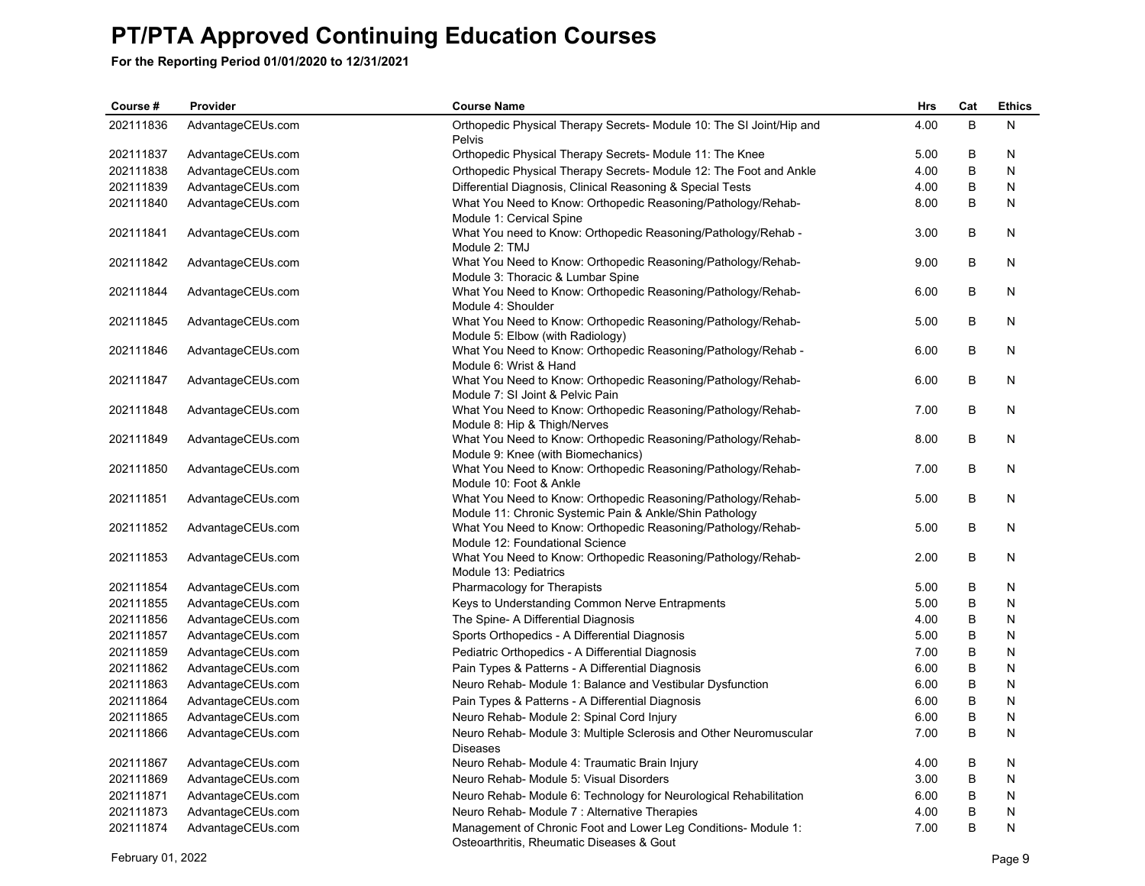| Course #  | Provider          | <b>Course Name</b>                                                                                                      | <b>Hrs</b> | Cat     | <b>Ethics</b> |
|-----------|-------------------|-------------------------------------------------------------------------------------------------------------------------|------------|---------|---------------|
| 202111836 | AdvantageCEUs.com | Orthopedic Physical Therapy Secrets- Module 10: The SI Joint/Hip and<br>Pelvis                                          | 4.00       | B       | N             |
| 202111837 | AdvantageCEUs.com | Orthopedic Physical Therapy Secrets- Module 11: The Knee                                                                | 5.00       | В       | N             |
| 202111838 | AdvantageCEUs.com | Orthopedic Physical Therapy Secrets- Module 12: The Foot and Ankle                                                      | 4.00       | B       | N             |
| 202111839 | AdvantageCEUs.com | Differential Diagnosis, Clinical Reasoning & Special Tests                                                              | 4.00       | B       | N             |
| 202111840 | AdvantageCEUs.com | What You Need to Know: Orthopedic Reasoning/Pathology/Rehab-<br>Module 1: Cervical Spine                                | 8.00       | B       | N             |
| 202111841 | AdvantageCEUs.com | What You need to Know: Orthopedic Reasoning/Pathology/Rehab -<br>Module 2: TMJ                                          | 3.00       | B       | N             |
| 202111842 | AdvantageCEUs.com | What You Need to Know: Orthopedic Reasoning/Pathology/Rehab-<br>Module 3: Thoracic & Lumbar Spine                       | 9.00       | B       | N             |
| 202111844 | AdvantageCEUs.com | What You Need to Know: Orthopedic Reasoning/Pathology/Rehab-<br>Module 4: Shoulder                                      | 6.00       | B       | N             |
| 202111845 | AdvantageCEUs.com | What You Need to Know: Orthopedic Reasoning/Pathology/Rehab-<br>Module 5: Elbow (with Radiology)                        | 5.00       | B       | N             |
| 202111846 | AdvantageCEUs.com | What You Need to Know: Orthopedic Reasoning/Pathology/Rehab -<br>Module 6: Wrist & Hand                                 | 6.00       | B       | N             |
| 202111847 | AdvantageCEUs.com | What You Need to Know: Orthopedic Reasoning/Pathology/Rehab-<br>Module 7: SI Joint & Pelvic Pain                        | 6.00       | B       | N             |
| 202111848 | AdvantageCEUs.com | What You Need to Know: Orthopedic Reasoning/Pathology/Rehab-<br>Module 8: Hip & Thigh/Nerves                            | 7.00       | B       | N             |
| 202111849 | AdvantageCEUs.com | What You Need to Know: Orthopedic Reasoning/Pathology/Rehab-<br>Module 9: Knee (with Biomechanics)                      | 8.00       | B       | N             |
| 202111850 | AdvantageCEUs.com | What You Need to Know: Orthopedic Reasoning/Pathology/Rehab-<br>Module 10: Foot & Ankle                                 | 7.00       | B       | N             |
| 202111851 | AdvantageCEUs.com | What You Need to Know: Orthopedic Reasoning/Pathology/Rehab-<br>Module 11: Chronic Systemic Pain & Ankle/Shin Pathology | 5.00       | B       | N             |
| 202111852 | AdvantageCEUs.com | What You Need to Know: Orthopedic Reasoning/Pathology/Rehab-<br>Module 12: Foundational Science                         | 5.00       | B       | N             |
| 202111853 | AdvantageCEUs.com | What You Need to Know: Orthopedic Reasoning/Pathology/Rehab-<br>Module 13: Pediatrics                                   | 2.00       | B       | N             |
| 202111854 | AdvantageCEUs.com | Pharmacology for Therapists                                                                                             | 5.00       | В       | N             |
| 202111855 | AdvantageCEUs.com | Keys to Understanding Common Nerve Entrapments                                                                          | 5.00       | B       | N             |
| 202111856 | AdvantageCEUs.com | The Spine- A Differential Diagnosis                                                                                     | 4.00       | B       | N             |
| 202111857 | AdvantageCEUs.com | Sports Orthopedics - A Differential Diagnosis                                                                           | 5.00       | B       | N             |
| 202111859 | AdvantageCEUs.com | Pediatric Orthopedics - A Differential Diagnosis                                                                        | 7.00       | B       | N             |
| 202111862 | AdvantageCEUs.com | Pain Types & Patterns - A Differential Diagnosis                                                                        | 6.00       | B       | N             |
| 202111863 | AdvantageCEUs.com | Neuro Rehab- Module 1: Balance and Vestibular Dysfunction                                                               | 6.00       | B       | N             |
| 202111864 | AdvantageCEUs.com | Pain Types & Patterns - A Differential Diagnosis                                                                        | 6.00       | B       | N             |
| 202111865 | AdvantageCEUs.com | Neuro Rehab- Module 2: Spinal Cord Injury                                                                               | 6.00       | $\sf B$ | N             |
| 202111866 | AdvantageCEUs.com | Neuro Rehab- Module 3: Multiple Sclerosis and Other Neuromuscular<br><b>Diseases</b>                                    | 7.00       | B       | N             |
| 202111867 | AdvantageCEUs.com | Neuro Rehab- Module 4: Traumatic Brain Injury                                                                           | 4.00       | В       | N             |
| 202111869 | AdvantageCEUs.com | Neuro Rehab- Module 5: Visual Disorders                                                                                 | 3.00       | B       | N             |
| 202111871 | AdvantageCEUs.com | Neuro Rehab- Module 6: Technology for Neurological Rehabilitation                                                       | 6.00       | B       | N             |
| 202111873 | AdvantageCEUs.com | Neuro Rehab- Module 7 : Alternative Therapies                                                                           | 4.00       | B       | N             |
| 202111874 | AdvantageCEUs.com | Management of Chronic Foot and Lower Leg Conditions- Module 1:<br>Osteoarthritis, Rheumatic Diseases & Gout             | 7.00       | B       | N             |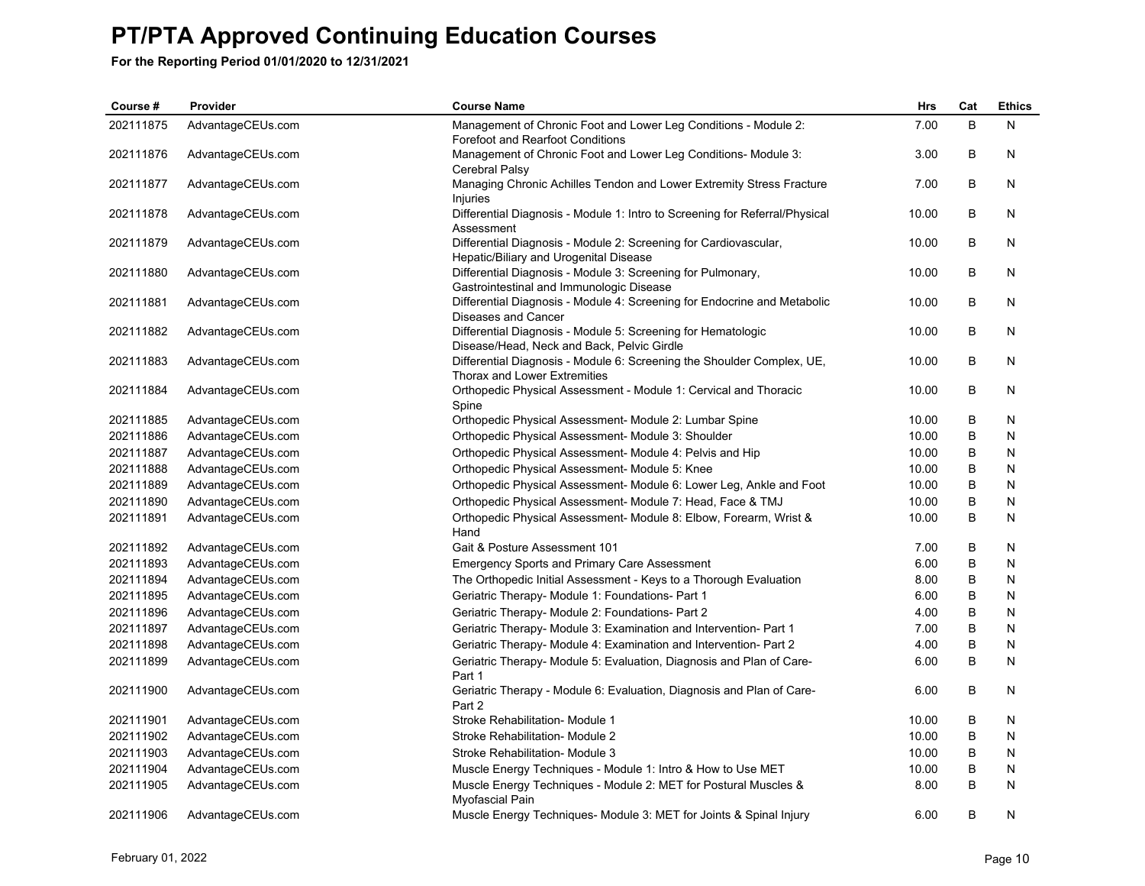| Course #  | Provider          | <b>Course Name</b>                                                                                         | Hrs   | Cat | <b>Ethics</b> |
|-----------|-------------------|------------------------------------------------------------------------------------------------------------|-------|-----|---------------|
| 202111875 | AdvantageCEUs.com | Management of Chronic Foot and Lower Leg Conditions - Module 2:<br><b>Forefoot and Rearfoot Conditions</b> | 7.00  | B   | N             |
| 202111876 | AdvantageCEUs.com | Management of Chronic Foot and Lower Leg Conditions- Module 3:<br>Cerebral Palsy                           | 3.00  | B   | N             |
| 202111877 | AdvantageCEUs.com | Managing Chronic Achilles Tendon and Lower Extremity Stress Fracture<br>Injuries                           | 7.00  | B   | N             |
| 202111878 | AdvantageCEUs.com | Differential Diagnosis - Module 1: Intro to Screening for Referral/Physical<br>Assessment                  | 10.00 | B   | N             |
| 202111879 | AdvantageCEUs.com | Differential Diagnosis - Module 2: Screening for Cardiovascular,<br>Hepatic/Biliary and Urogenital Disease | 10.00 | B   | N             |
| 202111880 | AdvantageCEUs.com | Differential Diagnosis - Module 3: Screening for Pulmonary,<br>Gastrointestinal and Immunologic Disease    | 10.00 | B   | N             |
| 202111881 | AdvantageCEUs.com | Differential Diagnosis - Module 4: Screening for Endocrine and Metabolic<br>Diseases and Cancer            | 10.00 | B   | N             |
| 202111882 | AdvantageCEUs.com | Differential Diagnosis - Module 5: Screening for Hematologic<br>Disease/Head, Neck and Back, Pelvic Girdle | 10.00 | В   | N             |
| 202111883 | AdvantageCEUs.com | Differential Diagnosis - Module 6: Screening the Shoulder Complex, UE,<br>Thorax and Lower Extremities     | 10.00 | В   | N             |
| 202111884 | AdvantageCEUs.com | Orthopedic Physical Assessment - Module 1: Cervical and Thoracic<br>Spine                                  | 10.00 | B   | N             |
| 202111885 | AdvantageCEUs.com | Orthopedic Physical Assessment- Module 2: Lumbar Spine                                                     | 10.00 | B   | N             |
| 202111886 | AdvantageCEUs.com | Orthopedic Physical Assessment- Module 3: Shoulder                                                         | 10.00 | B   | N             |
| 202111887 | AdvantageCEUs.com | Orthopedic Physical Assessment- Module 4: Pelvis and Hip                                                   | 10.00 | B   | N             |
| 202111888 | AdvantageCEUs.com | Orthopedic Physical Assessment- Module 5: Knee                                                             | 10.00 | B   | N             |
| 202111889 | AdvantageCEUs.com | Orthopedic Physical Assessment- Module 6: Lower Leg, Ankle and Foot                                        | 10.00 | B   | N             |
| 202111890 | AdvantageCEUs.com | Orthopedic Physical Assessment- Module 7: Head, Face & TMJ                                                 | 10.00 | B   | N             |
| 202111891 | AdvantageCEUs.com | Orthopedic Physical Assessment- Module 8: Elbow, Forearm, Wrist &<br>Hand                                  | 10.00 | B   | N             |
| 202111892 | AdvantageCEUs.com | Gait & Posture Assessment 101                                                                              | 7.00  | В   | N             |
| 202111893 | AdvantageCEUs.com | <b>Emergency Sports and Primary Care Assessment</b>                                                        | 6.00  | B   | N             |
| 202111894 | AdvantageCEUs.com | The Orthopedic Initial Assessment - Keys to a Thorough Evaluation                                          | 8.00  | B   | N             |
| 202111895 | AdvantageCEUs.com | Geriatric Therapy- Module 1: Foundations- Part 1                                                           | 6.00  | В   | N             |
| 202111896 | AdvantageCEUs.com | Geriatric Therapy- Module 2: Foundations- Part 2                                                           | 4.00  | B   | N             |
| 202111897 | AdvantageCEUs.com | Geriatric Therapy- Module 3: Examination and Intervention- Part 1                                          | 7.00  | B   | N             |
| 202111898 | AdvantageCEUs.com | Geriatric Therapy- Module 4: Examination and Intervention- Part 2                                          | 4.00  | B   | N             |
| 202111899 | AdvantageCEUs.com | Geriatric Therapy- Module 5: Evaluation, Diagnosis and Plan of Care-<br>Part 1                             | 6.00  | B   | N             |
| 202111900 | AdvantageCEUs.com | Geriatric Therapy - Module 6: Evaluation, Diagnosis and Plan of Care-<br>Part 2                            | 6.00  | B   | N             |
| 202111901 | AdvantageCEUs.com | Stroke Rehabilitation- Module 1                                                                            | 10.00 | B   | N             |
| 202111902 | AdvantageCEUs.com | Stroke Rehabilitation- Module 2                                                                            | 10.00 | B   | N             |
| 202111903 | AdvantageCEUs.com | Stroke Rehabilitation- Module 3                                                                            | 10.00 | B   | N             |
| 202111904 | AdvantageCEUs.com | Muscle Energy Techniques - Module 1: Intro & How to Use MET                                                | 10.00 | B   | N             |
| 202111905 | AdvantageCEUs.com | Muscle Energy Techniques - Module 2: MET for Postural Muscles &<br>Myofascial Pain                         | 8.00  | B   | N             |
| 202111906 | AdvantageCEUs.com | Muscle Energy Techniques- Module 3: MET for Joints & Spinal Injury                                         | 6.00  | B   | N             |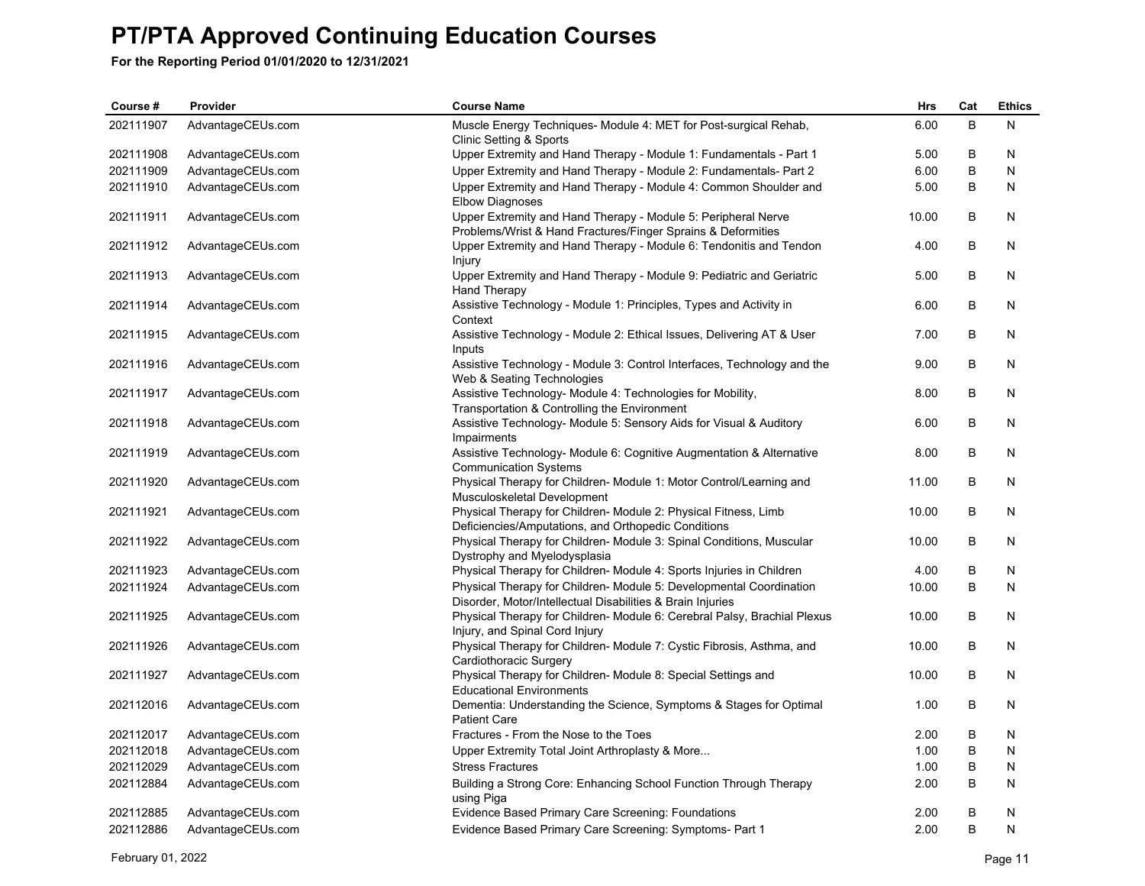**For the Reporting Period 01/01/2020 to 12/31/2021**

| Course #  | Provider          | <b>Course Name</b>                                                                                                               | <b>Hrs</b> | Cat     | <b>Ethics</b> |
|-----------|-------------------|----------------------------------------------------------------------------------------------------------------------------------|------------|---------|---------------|
| 202111907 | AdvantageCEUs.com | Muscle Energy Techniques- Module 4: MET for Post-surgical Rehab,<br>Clinic Setting & Sports                                      | 6.00       | B       | N             |
| 202111908 | AdvantageCEUs.com | Upper Extremity and Hand Therapy - Module 1: Fundamentals - Part 1                                                               | 5.00       | В       | N             |
| 202111909 | AdvantageCEUs.com | Upper Extremity and Hand Therapy - Module 2: Fundamentals- Part 2                                                                | 6.00       | B       | N             |
| 202111910 | AdvantageCEUs.com | Upper Extremity and Hand Therapy - Module 4: Common Shoulder and<br><b>Elbow Diagnoses</b>                                       | 5.00       | B       | N             |
| 202111911 | AdvantageCEUs.com | Upper Extremity and Hand Therapy - Module 5: Peripheral Nerve<br>Problems/Wrist & Hand Fractures/Finger Sprains & Deformities    | 10.00      | B       | N             |
| 202111912 | AdvantageCEUs.com | Upper Extremity and Hand Therapy - Module 6: Tendonitis and Tendon<br>Injury                                                     | 4.00       | B       | N             |
| 202111913 | AdvantageCEUs.com | Upper Extremity and Hand Therapy - Module 9: Pediatric and Geriatric<br><b>Hand Therapy</b>                                      | 5.00       | B       | N             |
| 202111914 | AdvantageCEUs.com | Assistive Technology - Module 1: Principles, Types and Activity in<br>Context                                                    | 6.00       | B       | N             |
| 202111915 | AdvantageCEUs.com | Assistive Technology - Module 2: Ethical Issues, Delivering AT & User<br>Inputs                                                  | 7.00       | B       | N             |
| 202111916 | AdvantageCEUs.com | Assistive Technology - Module 3: Control Interfaces, Technology and the<br>Web & Seating Technologies                            | 9.00       | В       | N             |
| 202111917 | AdvantageCEUs.com | Assistive Technology- Module 4: Technologies for Mobility,<br>Transportation & Controlling the Environment                       | 8.00       | B       | N             |
| 202111918 | AdvantageCEUs.com | Assistive Technology- Module 5: Sensory Aids for Visual & Auditory<br>Impairments                                                | 6.00       | B       | N             |
| 202111919 | AdvantageCEUs.com | Assistive Technology- Module 6: Cognitive Augmentation & Alternative<br><b>Communication Systems</b>                             | 8.00       | B       | N             |
| 202111920 | AdvantageCEUs.com | Physical Therapy for Children- Module 1: Motor Control/Learning and<br>Musculoskeletal Development                               | 11.00      | В       | N             |
| 202111921 | AdvantageCEUs.com | Physical Therapy for Children- Module 2: Physical Fitness, Limb<br>Deficiencies/Amputations, and Orthopedic Conditions           | 10.00      | B       | N             |
| 202111922 | AdvantageCEUs.com | Physical Therapy for Children- Module 3: Spinal Conditions, Muscular<br>Dystrophy and Myelodysplasia                             | 10.00      | B       | N             |
| 202111923 | AdvantageCEUs.com | Physical Therapy for Children- Module 4: Sports Injuries in Children                                                             | 4.00       | В       | N             |
| 202111924 | AdvantageCEUs.com | Physical Therapy for Children-Module 5: Developmental Coordination<br>Disorder, Motor/Intellectual Disabilities & Brain Injuries | 10.00      | B       | N             |
| 202111925 | AdvantageCEUs.com | Physical Therapy for Children- Module 6: Cerebral Palsy, Brachial Plexus<br>Injury, and Spinal Cord Injury                       | 10.00      | B       | N             |
| 202111926 | AdvantageCEUs.com | Physical Therapy for Children- Module 7: Cystic Fibrosis, Asthma, and<br>Cardiothoracic Surgery                                  | 10.00      | B       | N             |
| 202111927 | AdvantageCEUs.com | Physical Therapy for Children-Module 8: Special Settings and<br><b>Educational Environments</b>                                  | 10.00      | B       | N             |
| 202112016 | AdvantageCEUs.com | Dementia: Understanding the Science, Symptoms & Stages for Optimal<br><b>Patient Care</b>                                        | 1.00       | B       | N             |
| 202112017 | AdvantageCEUs.com | Fractures - From the Nose to the Toes                                                                                            | 2.00       | B       | N             |
| 202112018 | AdvantageCEUs.com | Upper Extremity Total Joint Arthroplasty & More                                                                                  | 1.00       | B       | N             |
| 202112029 | AdvantageCEUs.com | <b>Stress Fractures</b>                                                                                                          | 1.00       | B       | N             |
| 202112884 | AdvantageCEUs.com | Building a Strong Core: Enhancing School Function Through Therapy<br>using Piga                                                  | 2.00       | B       | N             |
| 202112885 | AdvantageCEUs.com | Evidence Based Primary Care Screening: Foundations                                                                               | 2.00       | $\sf B$ | N             |
| 202112886 | AdvantageCEUs.com | Evidence Based Primary Care Screening: Symptoms- Part 1                                                                          | 2.00       | B       | N             |

February 01, 2022 Page 11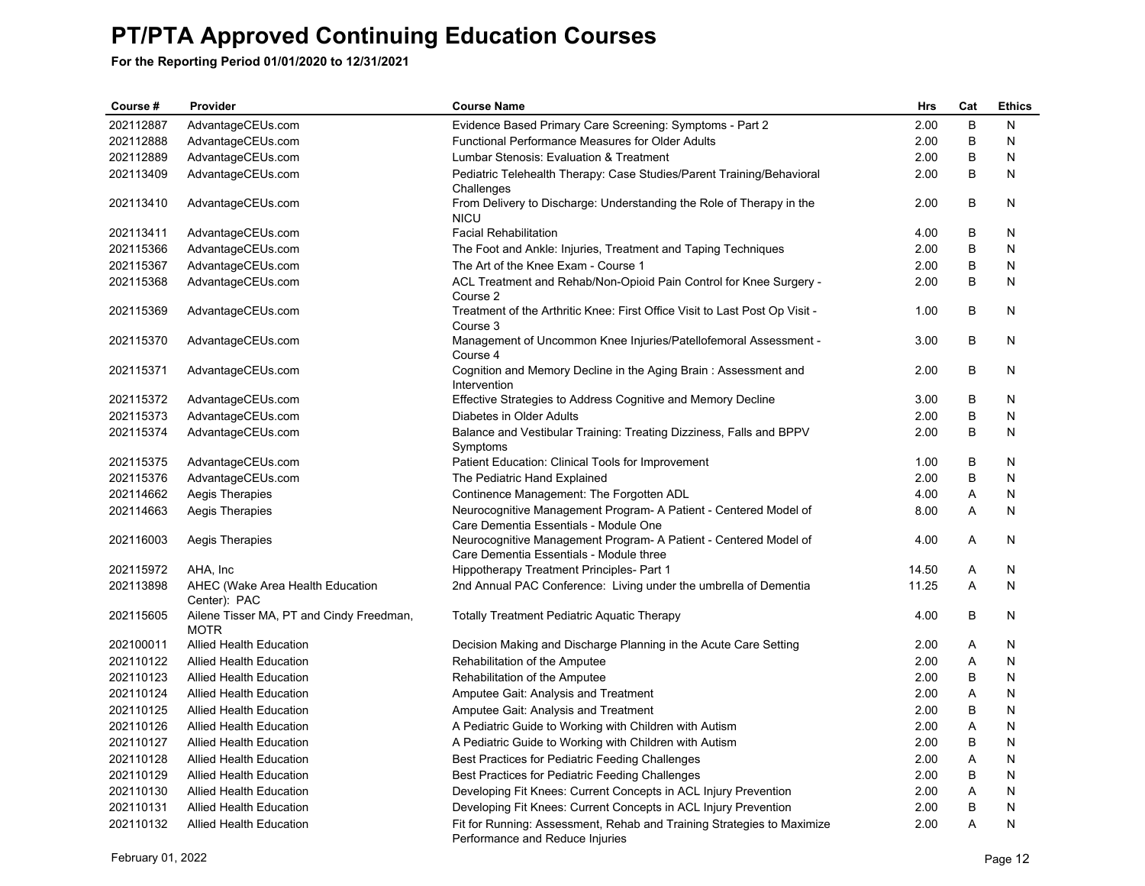| Course #  | Provider                                                | <b>Course Name</b>                                                                                          | Hrs   | Cat | <b>Ethics</b> |
|-----------|---------------------------------------------------------|-------------------------------------------------------------------------------------------------------------|-------|-----|---------------|
| 202112887 | AdvantageCEUs.com                                       | Evidence Based Primary Care Screening: Symptoms - Part 2                                                    | 2.00  | B   | N             |
| 202112888 | AdvantageCEUs.com                                       | <b>Functional Performance Measures for Older Adults</b>                                                     | 2.00  | В   | N             |
| 202112889 | AdvantageCEUs.com                                       | Lumbar Stenosis: Evaluation & Treatment                                                                     | 2.00  | B   | N             |
| 202113409 | AdvantageCEUs.com                                       | Pediatric Telehealth Therapy: Case Studies/Parent Training/Behavioral<br>Challenges                         | 2.00  | B   | N             |
| 202113410 | AdvantageCEUs.com                                       | From Delivery to Discharge: Understanding the Role of Therapy in the<br><b>NICU</b>                         | 2.00  | B   | N             |
| 202113411 | AdvantageCEUs.com                                       | <b>Facial Rehabilitation</b>                                                                                | 4.00  | B   | N             |
| 202115366 | AdvantageCEUs.com                                       | The Foot and Ankle: Injuries, Treatment and Taping Techniques                                               | 2.00  | B   | N             |
| 202115367 | AdvantageCEUs.com                                       | The Art of the Knee Exam - Course 1                                                                         | 2.00  | B   | N             |
| 202115368 | AdvantageCEUs.com                                       | ACL Treatment and Rehab/Non-Opioid Pain Control for Knee Surgery -<br>Course 2                              | 2.00  | B   | N             |
| 202115369 | AdvantageCEUs.com                                       | Treatment of the Arthritic Knee: First Office Visit to Last Post Op Visit -<br>Course 3                     | 1.00  | B   | N             |
| 202115370 | AdvantageCEUs.com                                       | Management of Uncommon Knee Injuries/Patellofemoral Assessment -<br>Course 4                                | 3.00  | B   | N             |
| 202115371 | AdvantageCEUs.com                                       | Cognition and Memory Decline in the Aging Brain: Assessment and<br>Intervention                             | 2.00  | B   | N             |
| 202115372 | AdvantageCEUs.com                                       | Effective Strategies to Address Cognitive and Memory Decline                                                | 3.00  | B   | N             |
| 202115373 | AdvantageCEUs.com                                       | Diabetes in Older Adults                                                                                    | 2.00  | B   | N             |
| 202115374 | AdvantageCEUs.com                                       | Balance and Vestibular Training: Treating Dizziness, Falls and BPPV<br>Symptoms                             | 2.00  | B   | N             |
| 202115375 | AdvantageCEUs.com                                       | Patient Education: Clinical Tools for Improvement                                                           | 1.00  | B   | N             |
| 202115376 | AdvantageCEUs.com                                       | The Pediatric Hand Explained                                                                                | 2.00  | B   | N             |
| 202114662 | Aegis Therapies                                         | Continence Management: The Forgotten ADL                                                                    | 4.00  | Α   | N             |
| 202114663 | Aegis Therapies                                         | Neurocognitive Management Program- A Patient - Centered Model of<br>Care Dementia Essentials - Module One   | 8.00  | A   | N             |
| 202116003 | Aegis Therapies                                         | Neurocognitive Management Program- A Patient - Centered Model of<br>Care Dementia Essentials - Module three | 4.00  | Α   | N             |
| 202115972 | AHA, Inc                                                | <b>Hippotherapy Treatment Principles- Part 1</b>                                                            | 14.50 | Α   | N             |
| 202113898 | AHEC (Wake Area Health Education<br>Center): PAC        | 2nd Annual PAC Conference: Living under the umbrella of Dementia                                            | 11.25 | A   | N             |
| 202115605 | Ailene Tisser MA, PT and Cindy Freedman,<br><b>MOTR</b> | <b>Totally Treatment Pediatric Aquatic Therapy</b>                                                          | 4.00  | B   | N             |
| 202100011 | <b>Allied Health Education</b>                          | Decision Making and Discharge Planning in the Acute Care Setting                                            | 2.00  | A   | N             |
| 202110122 | <b>Allied Health Education</b>                          | Rehabilitation of the Amputee                                                                               | 2.00  | Α   | N             |
| 202110123 | <b>Allied Health Education</b>                          | Rehabilitation of the Amputee                                                                               | 2.00  | B   | N             |
| 202110124 | Allied Health Education                                 | Amputee Gait: Analysis and Treatment                                                                        | 2.00  | A   | N             |
| 202110125 | Allied Health Education                                 | Amputee Gait: Analysis and Treatment                                                                        | 2.00  | B   | N             |
| 202110126 | Allied Health Education                                 | A Pediatric Guide to Working with Children with Autism                                                      | 2.00  | A   | N             |
| 202110127 | <b>Allied Health Education</b>                          | A Pediatric Guide to Working with Children with Autism                                                      | 2.00  | B   | N             |
| 202110128 | <b>Allied Health Education</b>                          | Best Practices for Pediatric Feeding Challenges                                                             | 2.00  | Α   | N             |
| 202110129 | <b>Allied Health Education</b>                          | Best Practices for Pediatric Feeding Challenges                                                             | 2.00  | B   | N             |
| 202110130 | <b>Allied Health Education</b>                          | Developing Fit Knees: Current Concepts in ACL Injury Prevention                                             | 2.00  | Α   | N             |
| 202110131 | <b>Allied Health Education</b>                          | Developing Fit Knees: Current Concepts in ACL Injury Prevention                                             | 2.00  | B   | N             |
| 202110132 | <b>Allied Health Education</b>                          | Fit for Running: Assessment, Rehab and Training Strategies to Maximize<br>Performance and Reduce Injuries   | 2.00  | A   | N             |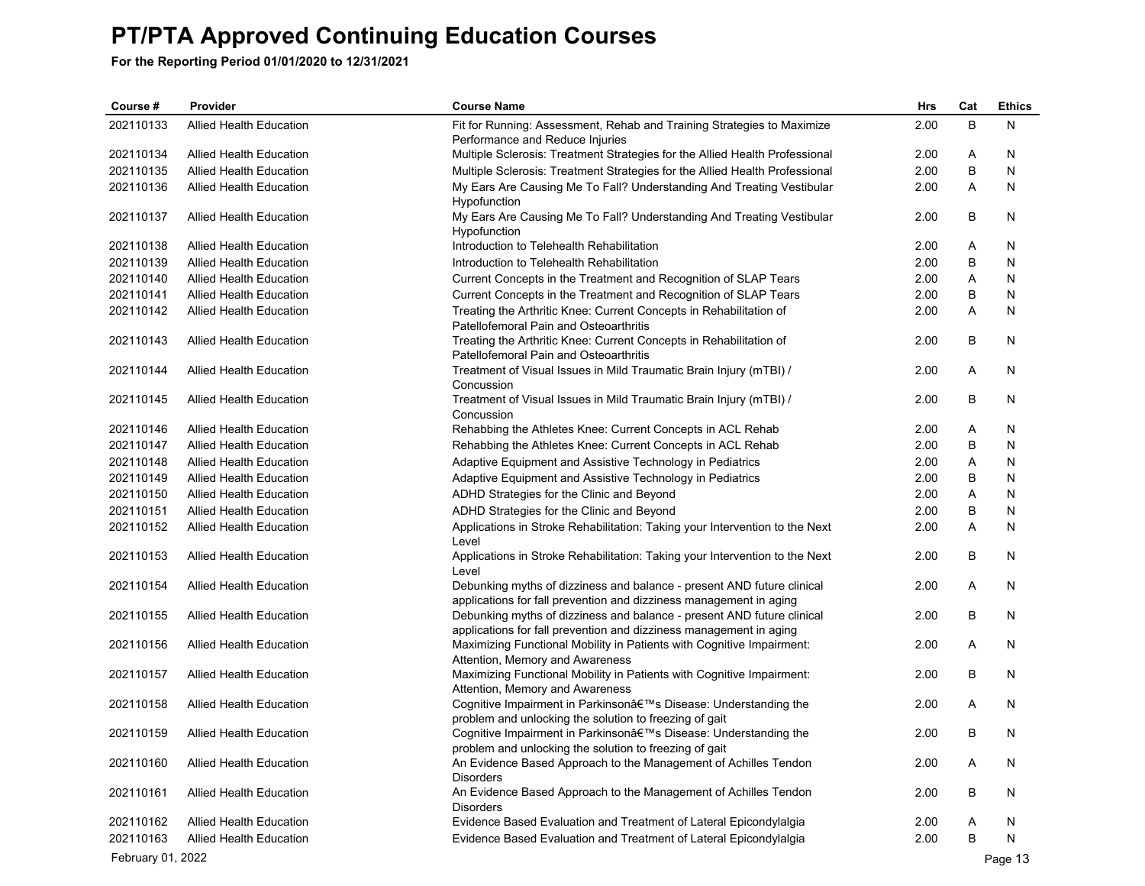| Course #          | Provider                       | <b>Course Name</b>                                                                                                       | <b>Hrs</b>   | Cat | <b>Ethics</b> |
|-------------------|--------------------------------|--------------------------------------------------------------------------------------------------------------------------|--------------|-----|---------------|
| 202110133         | <b>Allied Health Education</b> | Fit for Running: Assessment, Rehab and Training Strategies to Maximize                                                   | 2.00         | B   | N             |
|                   |                                | Performance and Reduce Injuries                                                                                          |              |     |               |
| 202110134         | <b>Allied Health Education</b> | Multiple Sclerosis: Treatment Strategies for the Allied Health Professional                                              | 2.00         | Α   | N             |
| 202110135         | <b>Allied Health Education</b> | Multiple Sclerosis: Treatment Strategies for the Allied Health Professional                                              | 2.00         | B   | N             |
| 202110136         | <b>Allied Health Education</b> | My Ears Are Causing Me To Fall? Understanding And Treating Vestibular                                                    | 2.00         | A   | N             |
|                   |                                | Hypofunction                                                                                                             |              |     |               |
| 202110137         | Allied Health Education        | My Ears Are Causing Me To Fall? Understanding And Treating Vestibular                                                    | 2.00         | В   | N             |
| 202110138         |                                | Hypofunction<br>Introduction to Telehealth Rehabilitation                                                                |              |     | N             |
|                   | Allied Health Education        |                                                                                                                          | 2.00<br>2.00 | Α   |               |
| 202110139         | <b>Allied Health Education</b> | Introduction to Telehealth Rehabilitation                                                                                |              | B   | N             |
| 202110140         | <b>Allied Health Education</b> | Current Concepts in the Treatment and Recognition of SLAP Tears                                                          | 2.00         | Α   | N             |
| 202110141         | <b>Allied Health Education</b> | Current Concepts in the Treatment and Recognition of SLAP Tears                                                          | 2.00         | B   | N             |
| 202110142         | <b>Allied Health Education</b> | Treating the Arthritic Knee: Current Concepts in Rehabilitation of<br>Patellofemoral Pain and Osteoarthritis             | 2.00         | Α   | N             |
| 202110143         | Allied Health Education        | Treating the Arthritic Knee: Current Concepts in Rehabilitation of                                                       | 2.00         | B   | N             |
|                   |                                | Patellofemoral Pain and Osteoarthritis                                                                                   |              |     |               |
| 202110144         | Allied Health Education        | Treatment of Visual Issues in Mild Traumatic Brain Injury (mTBI) /                                                       | 2.00         | Α   | N             |
|                   |                                | Concussion                                                                                                               |              |     |               |
| 202110145         | <b>Allied Health Education</b> | Treatment of Visual Issues in Mild Traumatic Brain Injury (mTBI) /                                                       | 2.00         | B   | N             |
|                   |                                | Concussion                                                                                                               |              |     |               |
| 202110146         | Allied Health Education        | Rehabbing the Athletes Knee: Current Concepts in ACL Rehab                                                               | 2.00         | Α   | N             |
| 202110147         | <b>Allied Health Education</b> | Rehabbing the Athletes Knee: Current Concepts in ACL Rehab                                                               | 2.00         | B   | N             |
| 202110148         | <b>Allied Health Education</b> | Adaptive Equipment and Assistive Technology in Pediatrics                                                                | 2.00         | Α   | N             |
| 202110149         | <b>Allied Health Education</b> | Adaptive Equipment and Assistive Technology in Pediatrics                                                                | 2.00         | B   | N             |
| 202110150         | <b>Allied Health Education</b> | ADHD Strategies for the Clinic and Beyond                                                                                | 2.00         | Α   | N             |
| 202110151         | <b>Allied Health Education</b> | ADHD Strategies for the Clinic and Beyond                                                                                | 2.00         | B   | N             |
| 202110152         | Allied Health Education        | Applications in Stroke Rehabilitation: Taking your Intervention to the Next<br>Level                                     | 2.00         | Α   | N             |
| 202110153         | <b>Allied Health Education</b> | Applications in Stroke Rehabilitation: Taking your Intervention to the Next<br>Level                                     | 2.00         | B   | N             |
| 202110154         | <b>Allied Health Education</b> | Debunking myths of dizziness and balance - present AND future clinical                                                   | 2.00         | Α   | N             |
|                   |                                | applications for fall prevention and dizziness management in aging                                                       |              |     |               |
| 202110155         | Allied Health Education        | Debunking myths of dizziness and balance - present AND future clinical                                                   | 2.00         | B   | N             |
|                   |                                | applications for fall prevention and dizziness management in aging                                                       |              |     |               |
| 202110156         | <b>Allied Health Education</b> | Maximizing Functional Mobility in Patients with Cognitive Impairment:                                                    | 2.00         | Α   | N             |
|                   |                                | Attention, Memory and Awareness                                                                                          |              |     |               |
| 202110157         | <b>Allied Health Education</b> | Maximizing Functional Mobility in Patients with Cognitive Impairment:                                                    | 2.00         | B   | N             |
| 202110158         |                                | Attention, Memory and Awareness                                                                                          |              |     |               |
|                   | <b>Allied Health Education</b> | Cognitive Impairment in Parkinson's Disease: Understanding the<br>problem and unlocking the solution to freezing of gait | 2.00         | Α   | N             |
| 202110159         | Allied Health Education        | Cognitive Impairment in Parkinson's Disease: Understanding the                                                           | 2.00         | B   | N             |
|                   |                                | problem and unlocking the solution to freezing of gait                                                                   |              |     |               |
| 202110160         | <b>Allied Health Education</b> | An Evidence Based Approach to the Management of Achilles Tendon                                                          | 2.00         | Α   | N             |
|                   |                                | <b>Disorders</b>                                                                                                         |              |     |               |
| 202110161         | <b>Allied Health Education</b> | An Evidence Based Approach to the Management of Achilles Tendon                                                          | 2.00         | B   | N             |
|                   |                                | <b>Disorders</b>                                                                                                         |              |     |               |
| 202110162         | <b>Allied Health Education</b> | Evidence Based Evaluation and Treatment of Lateral Epicondylalgia                                                        | 2.00         | Α   | N             |
| 202110163         | <b>Allied Health Education</b> | Evidence Based Evaluation and Treatment of Lateral Epicondylalgia                                                        | 2.00         | B   | N             |
| February 01, 2022 |                                |                                                                                                                          |              |     | Page 13       |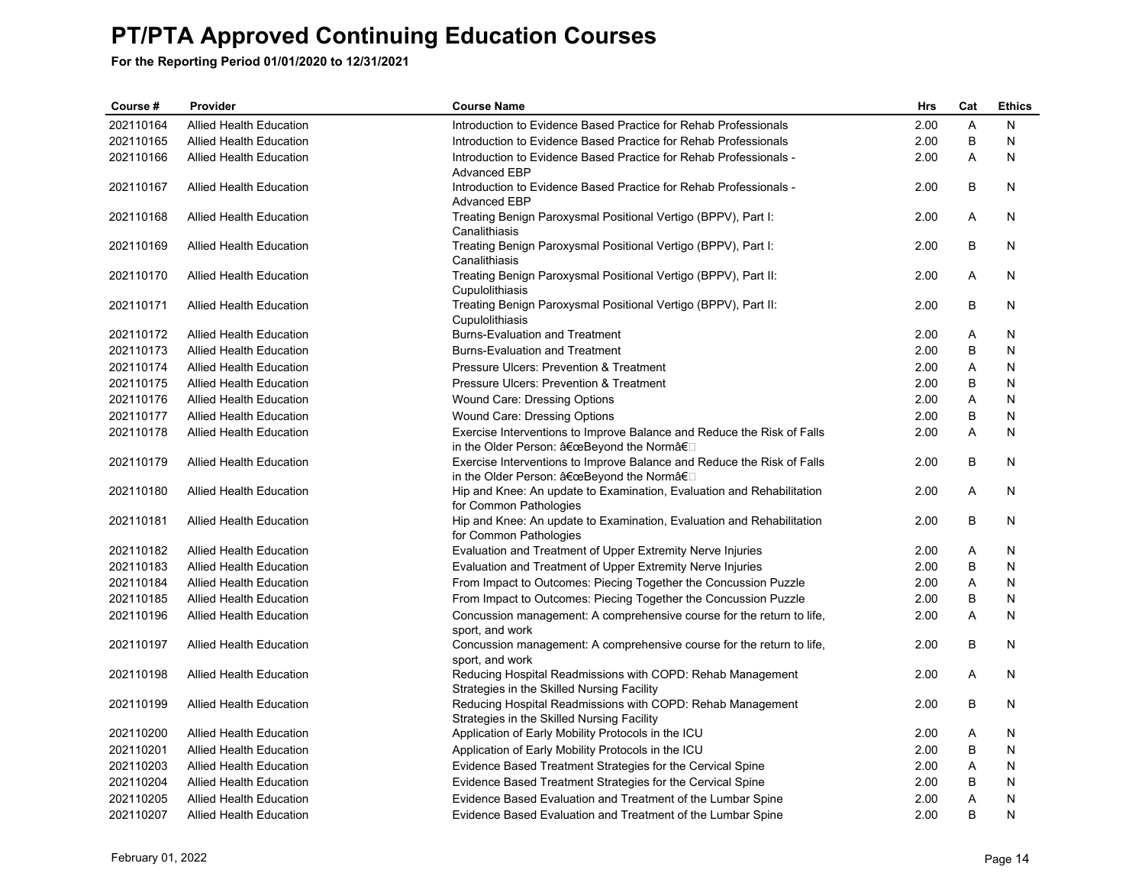| Course #  | Provider                       | <b>Course Name</b>                                                                                                 | <b>Hrs</b> | Cat     | <b>Ethics</b> |
|-----------|--------------------------------|--------------------------------------------------------------------------------------------------------------------|------------|---------|---------------|
| 202110164 | <b>Allied Health Education</b> | Introduction to Evidence Based Practice for Rehab Professionals                                                    | 2.00       | A       | N             |
| 202110165 | Allied Health Education        | Introduction to Evidence Based Practice for Rehab Professionals                                                    | 2.00       | B       | N             |
| 202110166 | <b>Allied Health Education</b> | Introduction to Evidence Based Practice for Rehab Professionals -<br><b>Advanced EBP</b>                           | 2.00       | A       | N             |
| 202110167 | <b>Allied Health Education</b> | Introduction to Evidence Based Practice for Rehab Professionals -<br><b>Advanced EBP</b>                           | 2.00       | B       | N             |
| 202110168 | <b>Allied Health Education</b> | Treating Benign Paroxysmal Positional Vertigo (BPPV), Part I:<br>Canalithiasis                                     | 2.00       | Α       | N             |
| 202110169 | Allied Health Education        | Treating Benign Paroxysmal Positional Vertigo (BPPV), Part I:<br>Canalithiasis                                     | 2.00       | B       | N             |
| 202110170 | <b>Allied Health Education</b> | Treating Benign Paroxysmal Positional Vertigo (BPPV), Part II:<br>Cupulolithiasis                                  | 2.00       | Α       | N             |
| 202110171 | <b>Allied Health Education</b> | Treating Benign Paroxysmal Positional Vertigo (BPPV), Part II:<br>Cupulolithiasis                                  | 2.00       | B       | N             |
| 202110172 | <b>Allied Health Education</b> | <b>Burns-Evaluation and Treatment</b>                                                                              | 2.00       | Α       | N             |
| 202110173 | Allied Health Education        | <b>Burns-Evaluation and Treatment</b>                                                                              | 2.00       | $\sf B$ | N             |
| 202110174 | <b>Allied Health Education</b> | Pressure Ulcers: Prevention & Treatment                                                                            | 2.00       | A       | N             |
| 202110175 | Allied Health Education        | Pressure Ulcers: Prevention & Treatment                                                                            | 2.00       | B       | N             |
| 202110176 | <b>Allied Health Education</b> | Wound Care: Dressing Options                                                                                       | 2.00       | Α       | N             |
| 202110177 | <b>Allied Health Education</b> | Wound Care: Dressing Options                                                                                       | 2.00       | B       | N             |
| 202110178 | <b>Allied Health Education</b> | Exercise Interventions to Improve Balance and Reduce the Risk of Falls<br>in the Older Person: "Beyond the Normâ€□ | 2.00       | A       | N             |
| 202110179 | <b>Allied Health Education</b> | Exercise Interventions to Improve Balance and Reduce the Risk of Falls<br>in the Older Person: "Beyond the Normâ€□ | 2.00       | B       | N             |
| 202110180 | <b>Allied Health Education</b> | Hip and Knee: An update to Examination, Evaluation and Rehabilitation<br>for Common Pathologies                    | 2.00       | A       | N             |
| 202110181 | Allied Health Education        | Hip and Knee: An update to Examination, Evaluation and Rehabilitation<br>for Common Pathologies                    | 2.00       | B       | N             |
| 202110182 | <b>Allied Health Education</b> | Evaluation and Treatment of Upper Extremity Nerve Injuries                                                         | 2.00       | Α       | N             |
| 202110183 | <b>Allied Health Education</b> | Evaluation and Treatment of Upper Extremity Nerve Injuries                                                         | 2.00       | B       | N             |
| 202110184 | <b>Allied Health Education</b> | From Impact to Outcomes: Piecing Together the Concussion Puzzle                                                    | 2.00       | A       | N             |
| 202110185 | Allied Health Education        | From Impact to Outcomes: Piecing Together the Concussion Puzzle                                                    | 2.00       | B       | N             |
| 202110196 | <b>Allied Health Education</b> | Concussion management: A comprehensive course for the return to life,<br>sport, and work                           | 2.00       | A       | N             |
| 202110197 | <b>Allied Health Education</b> | Concussion management: A comprehensive course for the return to life,<br>sport, and work                           | 2.00       | B       | N             |
| 202110198 | <b>Allied Health Education</b> | Reducing Hospital Readmissions with COPD: Rehab Management<br>Strategies in the Skilled Nursing Facility           | 2.00       | Α       | N             |
| 202110199 | <b>Allied Health Education</b> | Reducing Hospital Readmissions with COPD: Rehab Management<br>Strategies in the Skilled Nursing Facility           | 2.00       | B       | N             |
| 202110200 | <b>Allied Health Education</b> | Application of Early Mobility Protocols in the ICU                                                                 | 2.00       | Α       | N             |
| 202110201 | <b>Allied Health Education</b> | Application of Early Mobility Protocols in the ICU                                                                 | 2.00       | B       | N             |
| 202110203 | Allied Health Education        | Evidence Based Treatment Strategies for the Cervical Spine                                                         | 2.00       | A       | N             |
| 202110204 | <b>Allied Health Education</b> | Evidence Based Treatment Strategies for the Cervical Spine                                                         | 2.00       | B       | N             |
| 202110205 | <b>Allied Health Education</b> | Evidence Based Evaluation and Treatment of the Lumbar Spine                                                        | 2.00       | A       | N             |
| 202110207 | <b>Allied Health Education</b> | Evidence Based Evaluation and Treatment of the Lumbar Spine                                                        | 2.00       | B       | N             |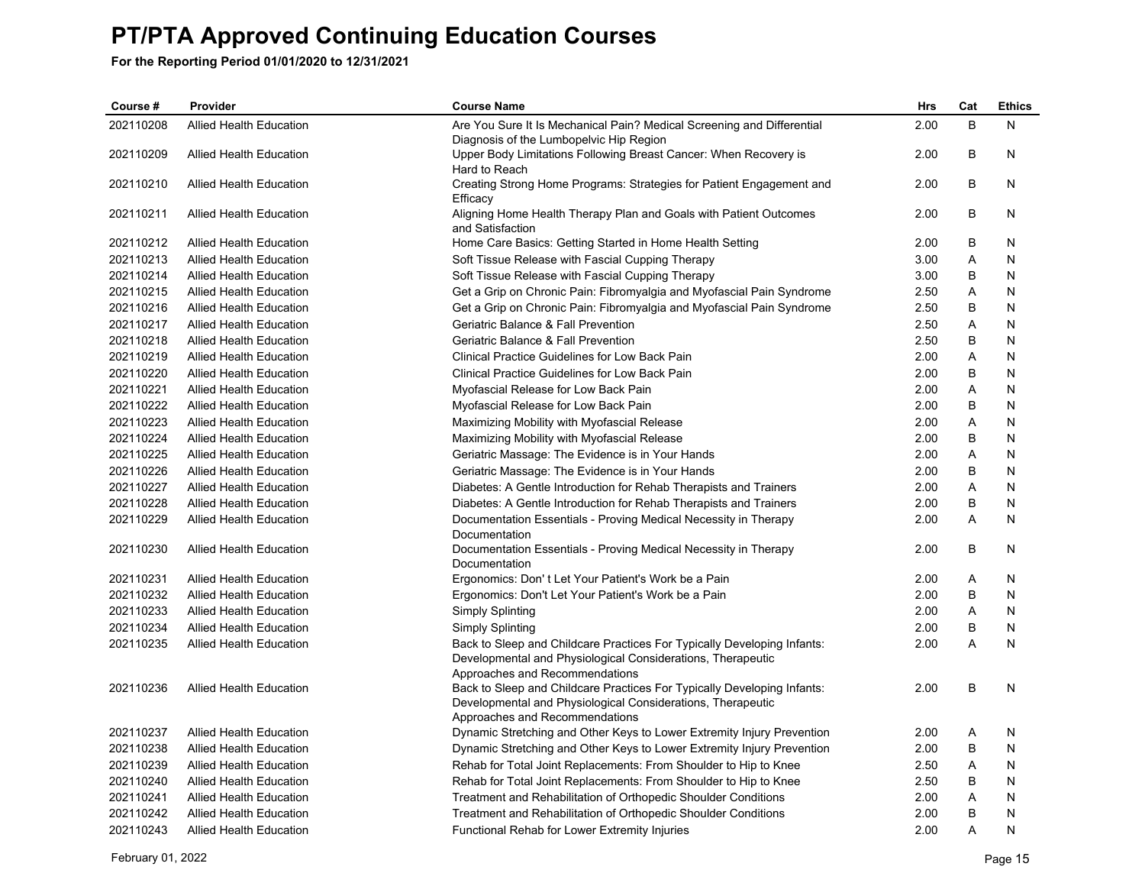| Course #  | Provider                       | <b>Course Name</b>                                                                    | <b>Hrs</b> | Cat | <b>Ethics</b> |
|-----------|--------------------------------|---------------------------------------------------------------------------------------|------------|-----|---------------|
| 202110208 | <b>Allied Health Education</b> | Are You Sure It Is Mechanical Pain? Medical Screening and Differential                | 2.00       | B   | N             |
|           |                                | Diagnosis of the Lumbopelvic Hip Region                                               |            |     |               |
| 202110209 | <b>Allied Health Education</b> | Upper Body Limitations Following Breast Cancer: When Recovery is<br>Hard to Reach     | 2.00       | В   | N             |
| 202110210 | <b>Allied Health Education</b> | Creating Strong Home Programs: Strategies for Patient Engagement and                  | 2.00       | B   | N             |
|           |                                | Efficacy                                                                              |            |     |               |
| 202110211 | <b>Allied Health Education</b> | Aligning Home Health Therapy Plan and Goals with Patient Outcomes<br>and Satisfaction | 2.00       | B   | N             |
| 202110212 | <b>Allied Health Education</b> | Home Care Basics: Getting Started in Home Health Setting                              | 2.00       | В   | N             |
| 202110213 | <b>Allied Health Education</b> | Soft Tissue Release with Fascial Cupping Therapy                                      | 3.00       | Α   | N             |
| 202110214 | <b>Allied Health Education</b> | Soft Tissue Release with Fascial Cupping Therapy                                      | 3.00       | В   | N             |
| 202110215 | <b>Allied Health Education</b> | Get a Grip on Chronic Pain: Fibromyalgia and Myofascial Pain Syndrome                 | 2.50       | A   | N             |
| 202110216 | <b>Allied Health Education</b> | Get a Grip on Chronic Pain: Fibromyalgia and Myofascial Pain Syndrome                 | 2.50       | B   | N             |
| 202110217 | <b>Allied Health Education</b> | Geriatric Balance & Fall Prevention                                                   | 2.50       | Α   | N             |
| 202110218 | <b>Allied Health Education</b> | Geriatric Balance & Fall Prevention                                                   | 2.50       | B   | N             |
| 202110219 | <b>Allied Health Education</b> | Clinical Practice Guidelines for Low Back Pain                                        | 2.00       | Α   | N             |
| 202110220 | <b>Allied Health Education</b> | Clinical Practice Guidelines for Low Back Pain                                        | 2.00       | В   | N             |
| 202110221 | <b>Allied Health Education</b> | Myofascial Release for Low Back Pain                                                  | 2.00       | A   | N             |
| 202110222 | <b>Allied Health Education</b> | Myofascial Release for Low Back Pain                                                  | 2.00       | В   | N             |
| 202110223 | <b>Allied Health Education</b> | Maximizing Mobility with Myofascial Release                                           | 2.00       | Α   | N             |
| 202110224 | <b>Allied Health Education</b> | Maximizing Mobility with Myofascial Release                                           | 2.00       | B   | N             |
| 202110225 | <b>Allied Health Education</b> | Geriatric Massage: The Evidence is in Your Hands                                      | 2.00       | Α   | N             |
| 202110226 | <b>Allied Health Education</b> | Geriatric Massage: The Evidence is in Your Hands                                      | 2.00       | B   | N             |
| 202110227 | <b>Allied Health Education</b> | Diabetes: A Gentle Introduction for Rehab Therapists and Trainers                     | 2.00       | Α   | N             |
| 202110228 | <b>Allied Health Education</b> | Diabetes: A Gentle Introduction for Rehab Therapists and Trainers                     | 2.00       | В   | N             |
| 202110229 | <b>Allied Health Education</b> | Documentation Essentials - Proving Medical Necessity in Therapy                       | 2.00       | A   | N             |
|           |                                | Documentation                                                                         |            |     |               |
| 202110230 | <b>Allied Health Education</b> | Documentation Essentials - Proving Medical Necessity in Therapy<br>Documentation      | 2.00       | B   | N             |
| 202110231 | <b>Allied Health Education</b> | Ergonomics: Don't Let Your Patient's Work be a Pain                                   | 2.00       | A   | N             |
| 202110232 | <b>Allied Health Education</b> | Ergonomics: Don't Let Your Patient's Work be a Pain                                   | 2.00       | B   | N             |
| 202110233 | <b>Allied Health Education</b> | Simply Splinting                                                                      | 2.00       | A   | N             |
| 202110234 | <b>Allied Health Education</b> | Simply Splinting                                                                      | 2.00       | B   | N             |
| 202110235 | <b>Allied Health Education</b> | Back to Sleep and Childcare Practices For Typically Developing Infants:               | 2.00       | A   | N             |
|           |                                | Developmental and Physiological Considerations, Therapeutic                           |            |     |               |
|           |                                | Approaches and Recommendations                                                        |            |     |               |
| 202110236 | <b>Allied Health Education</b> | Back to Sleep and Childcare Practices For Typically Developing Infants:               | 2.00       | B   | N             |
|           |                                | Developmental and Physiological Considerations, Therapeutic                           |            |     |               |
|           |                                | Approaches and Recommendations                                                        |            |     |               |
| 202110237 | <b>Allied Health Education</b> | Dynamic Stretching and Other Keys to Lower Extremity Injury Prevention                | 2.00       | A   | N             |
| 202110238 | <b>Allied Health Education</b> | Dynamic Stretching and Other Keys to Lower Extremity Injury Prevention                | 2.00       | В   | N             |
| 202110239 | <b>Allied Health Education</b> | Rehab for Total Joint Replacements: From Shoulder to Hip to Knee                      | 2.50       | A   | N             |
| 202110240 | <b>Allied Health Education</b> | Rehab for Total Joint Replacements: From Shoulder to Hip to Knee                      | 2.50       | B   | N             |
| 202110241 | <b>Allied Health Education</b> | Treatment and Rehabilitation of Orthopedic Shoulder Conditions                        | 2.00       | Α   | N             |
| 202110242 | <b>Allied Health Education</b> | Treatment and Rehabilitation of Orthopedic Shoulder Conditions                        | 2.00       | B   | N             |
| 202110243 | <b>Allied Health Education</b> | Functional Rehab for Lower Extremity Injuries                                         | 2.00       | A   | N             |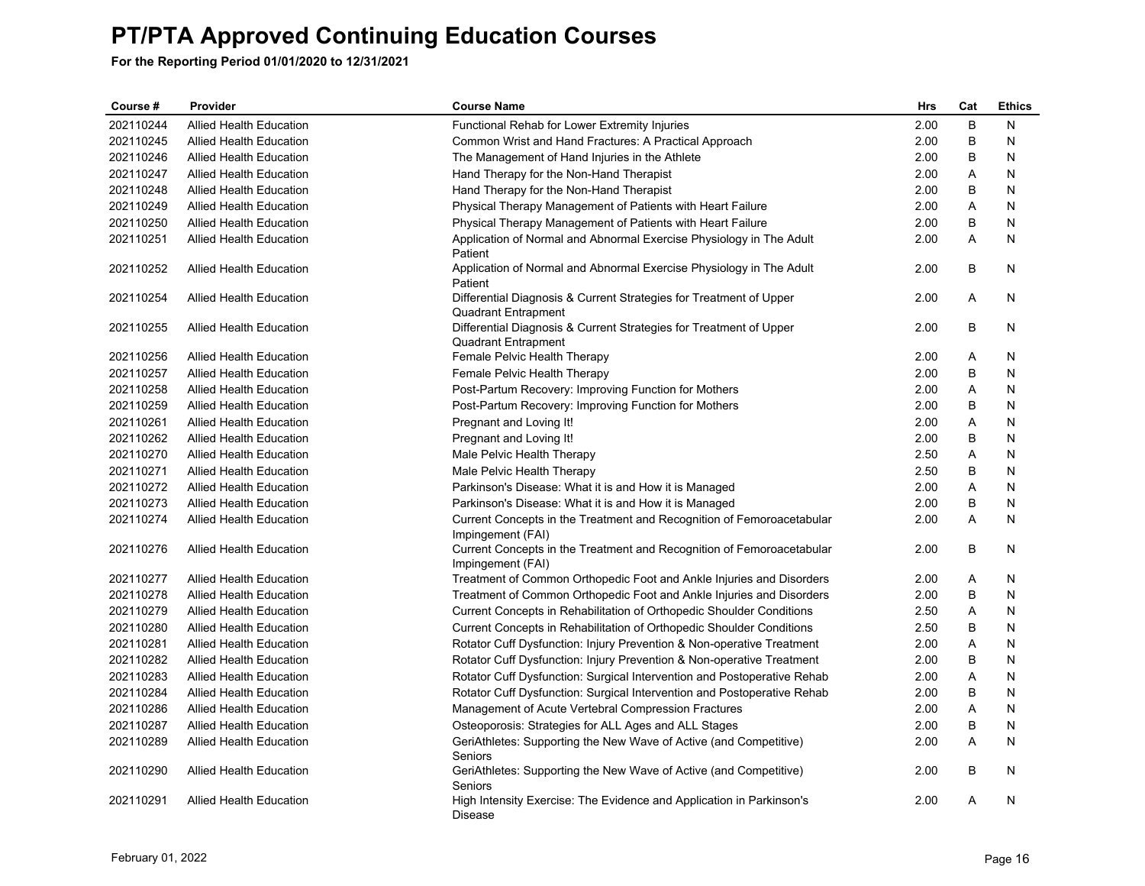| Course#   | Provider                       | <b>Course Name</b>                                                                               | <b>Hrs</b> | Cat | <b>Ethics</b> |
|-----------|--------------------------------|--------------------------------------------------------------------------------------------------|------------|-----|---------------|
| 202110244 | <b>Allied Health Education</b> | Functional Rehab for Lower Extremity Injuries                                                    | 2.00       | B   | N             |
| 202110245 | <b>Allied Health Education</b> | Common Wrist and Hand Fractures: A Practical Approach                                            | 2.00       | B   | N             |
| 202110246 | <b>Allied Health Education</b> | The Management of Hand Injuries in the Athlete                                                   | 2.00       | B   | N             |
| 202110247 | <b>Allied Health Education</b> | Hand Therapy for the Non-Hand Therapist                                                          | 2.00       | Α   | N             |
| 202110248 | <b>Allied Health Education</b> | Hand Therapy for the Non-Hand Therapist                                                          | 2.00       | B   | N             |
| 202110249 | <b>Allied Health Education</b> | Physical Therapy Management of Patients with Heart Failure                                       | 2.00       | Α   | Ν             |
| 202110250 | <b>Allied Health Education</b> | Physical Therapy Management of Patients with Heart Failure                                       | 2.00       | B   | N             |
| 202110251 | <b>Allied Health Education</b> | Application of Normal and Abnormal Exercise Physiology in The Adult<br>Patient                   | 2.00       | A   | N             |
| 202110252 | <b>Allied Health Education</b> | Application of Normal and Abnormal Exercise Physiology in The Adult<br>Patient                   | 2.00       | B   | N             |
| 202110254 | <b>Allied Health Education</b> | Differential Diagnosis & Current Strategies for Treatment of Upper<br><b>Quadrant Entrapment</b> | 2.00       | A   | N             |
| 202110255 | <b>Allied Health Education</b> | Differential Diagnosis & Current Strategies for Treatment of Upper<br><b>Quadrant Entrapment</b> | 2.00       | В   | N             |
| 202110256 | <b>Allied Health Education</b> | Female Pelvic Health Therapy                                                                     | 2.00       | A   | N             |
| 202110257 | <b>Allied Health Education</b> | Female Pelvic Health Therapy                                                                     | 2.00       | B   | N             |
| 202110258 | <b>Allied Health Education</b> | Post-Partum Recovery: Improving Function for Mothers                                             | 2.00       | Α   | N             |
| 202110259 | <b>Allied Health Education</b> | Post-Partum Recovery: Improving Function for Mothers                                             | 2.00       | B   | N             |
| 202110261 | <b>Allied Health Education</b> | Pregnant and Loving It!                                                                          | 2.00       | A   | N             |
| 202110262 | <b>Allied Health Education</b> | Pregnant and Loving It!                                                                          | 2.00       | В   | N             |
| 202110270 | <b>Allied Health Education</b> | Male Pelvic Health Therapy                                                                       | 2.50       | Α   | N             |
| 202110271 | <b>Allied Health Education</b> | Male Pelvic Health Therapy                                                                       | 2.50       | B   | N             |
| 202110272 | <b>Allied Health Education</b> | Parkinson's Disease: What it is and How it is Managed                                            | 2.00       | Α   | N             |
| 202110273 | <b>Allied Health Education</b> | Parkinson's Disease: What it is and How it is Managed                                            | 2.00       | B   | N             |
| 202110274 | <b>Allied Health Education</b> | Current Concepts in the Treatment and Recognition of Femoroacetabular<br>Impingement (FAI)       | 2.00       | Α   | Ν             |
| 202110276 | <b>Allied Health Education</b> | Current Concepts in the Treatment and Recognition of Femoroacetabular<br>Impingement (FAI)       | 2.00       | B   | N             |
| 202110277 | <b>Allied Health Education</b> | Treatment of Common Orthopedic Foot and Ankle Injuries and Disorders                             | 2.00       | A   | N             |
| 202110278 | <b>Allied Health Education</b> | Treatment of Common Orthopedic Foot and Ankle Injuries and Disorders                             | 2.00       | B   | N             |
| 202110279 | <b>Allied Health Education</b> | Current Concepts in Rehabilitation of Orthopedic Shoulder Conditions                             | 2.50       | Α   | N             |
| 202110280 | <b>Allied Health Education</b> | Current Concepts in Rehabilitation of Orthopedic Shoulder Conditions                             | 2.50       | B   | N             |
| 202110281 | <b>Allied Health Education</b> | Rotator Cuff Dysfunction: Injury Prevention & Non-operative Treatment                            | 2.00       | Α   | N             |
| 202110282 | <b>Allied Health Education</b> | Rotator Cuff Dysfunction: Injury Prevention & Non-operative Treatment                            | 2.00       | B   | N             |
| 202110283 | <b>Allied Health Education</b> | Rotator Cuff Dysfunction: Surgical Intervention and Postoperative Rehab                          | 2.00       | Α   | N             |
| 202110284 | <b>Allied Health Education</b> | Rotator Cuff Dysfunction: Surgical Intervention and Postoperative Rehab                          | 2.00       | B   | N             |
| 202110286 | <b>Allied Health Education</b> | Management of Acute Vertebral Compression Fractures                                              | 2.00       | A   | N             |
| 202110287 | Allied Health Education        | Osteoporosis: Strategies for ALL Ages and ALL Stages                                             | 2.00       | B   | N             |
| 202110289 | Allied Health Education        | GeriAthletes: Supporting the New Wave of Active (and Competitive)<br>Seniors                     | 2.00       | A   | N             |
| 202110290 | <b>Allied Health Education</b> | GeriAthletes: Supporting the New Wave of Active (and Competitive)<br>Seniors                     | 2.00       | B   | N             |
| 202110291 | <b>Allied Health Education</b> | High Intensity Exercise: The Evidence and Application in Parkinson's<br>Disease                  | 2.00       | A   | N             |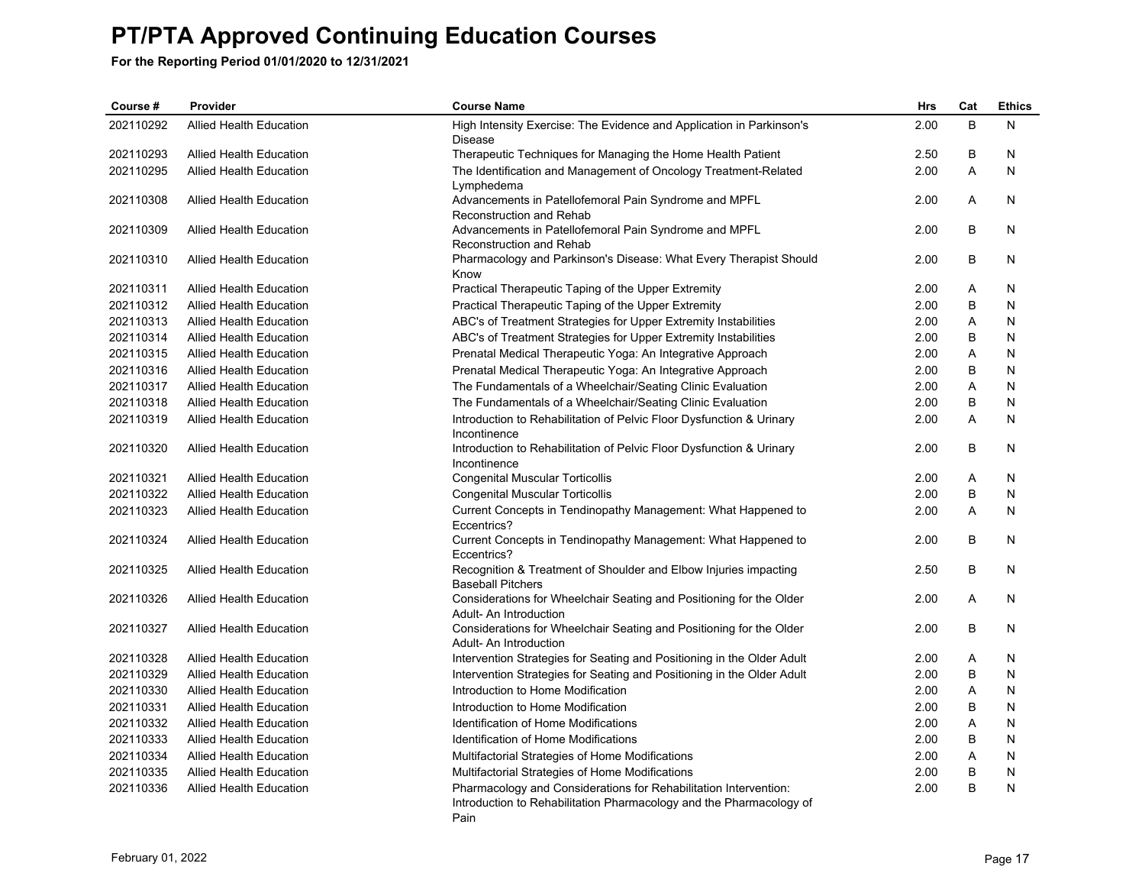| Course #  | Provider                       | <b>Course Name</b>                                                                                                                              | Hrs  | Cat     | <b>Ethics</b> |
|-----------|--------------------------------|-------------------------------------------------------------------------------------------------------------------------------------------------|------|---------|---------------|
| 202110292 | <b>Allied Health Education</b> | High Intensity Exercise: The Evidence and Application in Parkinson's<br><b>Disease</b>                                                          | 2.00 | B       | N             |
| 202110293 | <b>Allied Health Education</b> | Therapeutic Techniques for Managing the Home Health Patient                                                                                     | 2.50 | B       | N             |
| 202110295 | <b>Allied Health Education</b> | The Identification and Management of Oncology Treatment-Related<br>Lymphedema                                                                   | 2.00 | A       | N             |
| 202110308 | <b>Allied Health Education</b> | Advancements in Patellofemoral Pain Syndrome and MPFL<br>Reconstruction and Rehab                                                               | 2.00 | A       | N             |
| 202110309 | <b>Allied Health Education</b> | Advancements in Patellofemoral Pain Syndrome and MPFL<br>Reconstruction and Rehab                                                               | 2.00 | B       | N             |
| 202110310 | <b>Allied Health Education</b> | Pharmacology and Parkinson's Disease: What Every Therapist Should<br>Know                                                                       | 2.00 | B       | N             |
| 202110311 | <b>Allied Health Education</b> | Practical Therapeutic Taping of the Upper Extremity                                                                                             | 2.00 | A       | N             |
| 202110312 | <b>Allied Health Education</b> | Practical Therapeutic Taping of the Upper Extremity                                                                                             | 2.00 | B       | N             |
| 202110313 | <b>Allied Health Education</b> | ABC's of Treatment Strategies for Upper Extremity Instabilities                                                                                 | 2.00 | A       | N             |
| 202110314 | <b>Allied Health Education</b> | ABC's of Treatment Strategies for Upper Extremity Instabilities                                                                                 | 2.00 | B       | N             |
| 202110315 | <b>Allied Health Education</b> | Prenatal Medical Therapeutic Yoga: An Integrative Approach                                                                                      | 2.00 | Α       | N             |
| 202110316 | <b>Allied Health Education</b> | Prenatal Medical Therapeutic Yoga: An Integrative Approach                                                                                      | 2.00 | B       | N             |
| 202110317 | <b>Allied Health Education</b> | The Fundamentals of a Wheelchair/Seating Clinic Evaluation                                                                                      | 2.00 | A       | N             |
| 202110318 | <b>Allied Health Education</b> | The Fundamentals of a Wheelchair/Seating Clinic Evaluation                                                                                      | 2.00 | B       | N             |
| 202110319 | <b>Allied Health Education</b> | Introduction to Rehabilitation of Pelvic Floor Dysfunction & Urinary<br>Incontinence                                                            | 2.00 | A       | N             |
| 202110320 | <b>Allied Health Education</b> | Introduction to Rehabilitation of Pelvic Floor Dysfunction & Urinary<br>Incontinence                                                            | 2.00 | B       | N             |
| 202110321 | <b>Allied Health Education</b> | <b>Congenital Muscular Torticollis</b>                                                                                                          | 2.00 | Α       | N             |
| 202110322 | <b>Allied Health Education</b> | <b>Congenital Muscular Torticollis</b>                                                                                                          | 2.00 | B       | N             |
| 202110323 | <b>Allied Health Education</b> | Current Concepts in Tendinopathy Management: What Happened to<br>Eccentrics?                                                                    | 2.00 | A       | N             |
| 202110324 | <b>Allied Health Education</b> | Current Concepts in Tendinopathy Management: What Happened to<br>Eccentrics?                                                                    | 2.00 | B       | N             |
| 202110325 | <b>Allied Health Education</b> | Recognition & Treatment of Shoulder and Elbow Injuries impacting<br><b>Baseball Pitchers</b>                                                    | 2.50 | B       | N             |
| 202110326 | <b>Allied Health Education</b> | Considerations for Wheelchair Seating and Positioning for the Older<br>Adult- An Introduction                                                   | 2.00 | Α       | N             |
| 202110327 | <b>Allied Health Education</b> | Considerations for Wheelchair Seating and Positioning for the Older<br>Adult- An Introduction                                                   | 2.00 | B       | N             |
| 202110328 | <b>Allied Health Education</b> | Intervention Strategies for Seating and Positioning in the Older Adult                                                                          | 2.00 | A       | N             |
| 202110329 | <b>Allied Health Education</b> | Intervention Strategies for Seating and Positioning in the Older Adult                                                                          | 2.00 | B       | N             |
| 202110330 | <b>Allied Health Education</b> | Introduction to Home Modification                                                                                                               | 2.00 | Α       | N             |
| 202110331 | <b>Allied Health Education</b> | Introduction to Home Modification                                                                                                               | 2.00 | B       | N             |
| 202110332 | <b>Allied Health Education</b> | Identification of Home Modifications                                                                                                            | 2.00 | Α       | N             |
| 202110333 | <b>Allied Health Education</b> | Identification of Home Modifications                                                                                                            | 2.00 | $\sf B$ | N             |
| 202110334 | <b>Allied Health Education</b> | Multifactorial Strategies of Home Modifications                                                                                                 | 2.00 | Α       | N             |
| 202110335 | <b>Allied Health Education</b> | Multifactorial Strategies of Home Modifications                                                                                                 | 2.00 | $\sf B$ | N             |
| 202110336 | <b>Allied Health Education</b> | Pharmacology and Considerations for Rehabilitation Intervention:<br>Introduction to Rehabilitation Pharmacology and the Pharmacology of<br>Pain | 2.00 | B       | N             |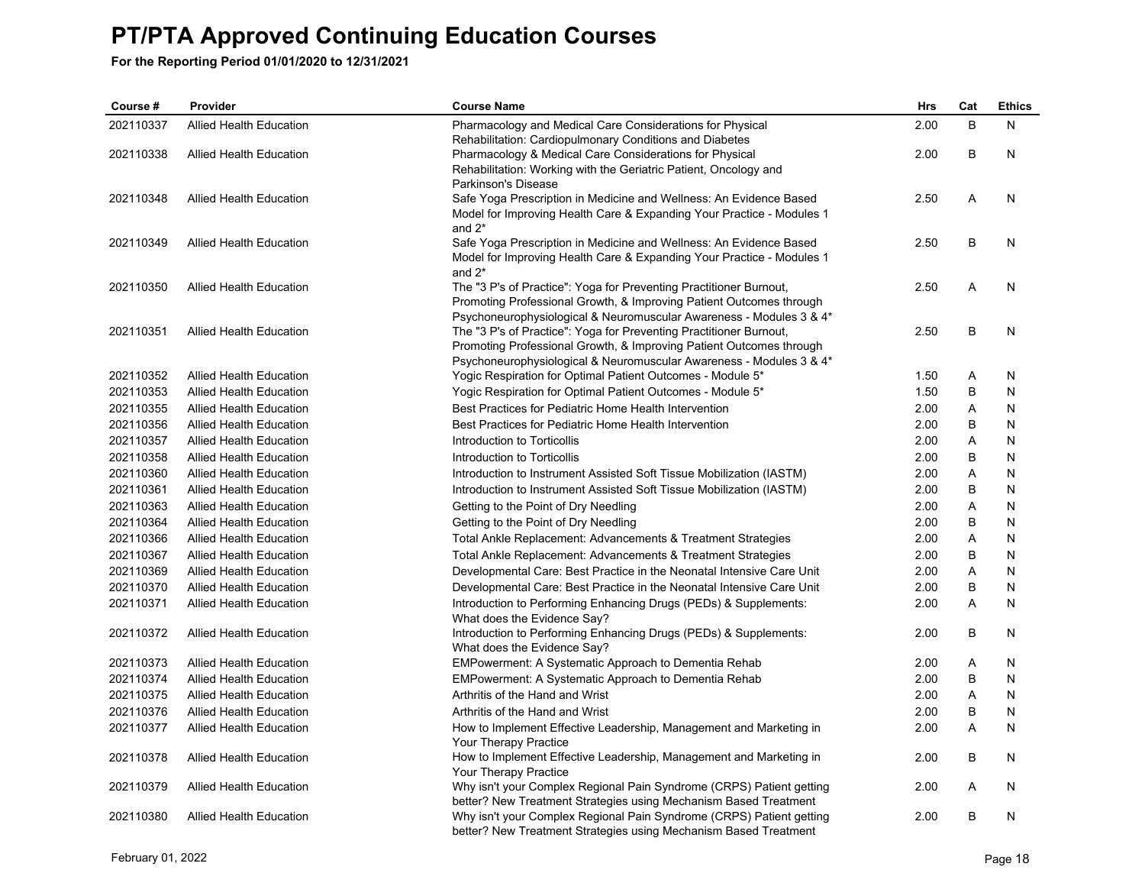| Course #  | Provider                       | <b>Course Name</b>                                                                          | <b>Hrs</b> | Cat | <b>Ethics</b> |
|-----------|--------------------------------|---------------------------------------------------------------------------------------------|------------|-----|---------------|
| 202110337 | <b>Allied Health Education</b> | Pharmacology and Medical Care Considerations for Physical                                   | 2.00       | B   | N             |
|           |                                | Rehabilitation: Cardiopulmonary Conditions and Diabetes                                     |            |     |               |
| 202110338 | <b>Allied Health Education</b> | Pharmacology & Medical Care Considerations for Physical                                     | 2.00       | B   | N             |
|           |                                | Rehabilitation: Working with the Geriatric Patient, Oncology and                            |            |     |               |
|           |                                | Parkinson's Disease                                                                         |            |     |               |
| 202110348 | <b>Allied Health Education</b> | Safe Yoga Prescription in Medicine and Wellness: An Evidence Based                          | 2.50       | A   | N             |
|           |                                | Model for Improving Health Care & Expanding Your Practice - Modules 1                       |            |     |               |
|           |                                | and $2^*$                                                                                   |            | B   |               |
| 202110349 | <b>Allied Health Education</b> | Safe Yoga Prescription in Medicine and Wellness: An Evidence Based                          | 2.50       |     | N             |
|           |                                | Model for Improving Health Care & Expanding Your Practice - Modules 1<br>and $2^*$          |            |     |               |
| 202110350 | <b>Allied Health Education</b> | The "3 P's of Practice": Yoga for Preventing Practitioner Burnout,                          | 2.50       | A   | N             |
|           |                                | Promoting Professional Growth, & Improving Patient Outcomes through                         |            |     |               |
|           |                                | Psychoneurophysiological & Neuromuscular Awareness - Modules 3 & 4*                         |            |     |               |
| 202110351 | <b>Allied Health Education</b> | The "3 P's of Practice": Yoga for Preventing Practitioner Burnout,                          | 2.50       | B   | N             |
|           |                                | Promoting Professional Growth, & Improving Patient Outcomes through                         |            |     |               |
|           |                                | Psychoneurophysiological & Neuromuscular Awareness - Modules 3 & 4*                         |            |     |               |
| 202110352 | <b>Allied Health Education</b> | Yogic Respiration for Optimal Patient Outcomes - Module 5*                                  | 1.50       | Α   | N             |
| 202110353 | <b>Allied Health Education</b> | Yogic Respiration for Optimal Patient Outcomes - Module 5*                                  | 1.50       | B   | N             |
| 202110355 | <b>Allied Health Education</b> | Best Practices for Pediatric Home Health Intervention                                       | 2.00       | Α   | N             |
| 202110356 | Allied Health Education        | Best Practices for Pediatric Home Health Intervention                                       | 2.00       | B   | N             |
| 202110357 | <b>Allied Health Education</b> | Introduction to Torticollis                                                                 | 2.00       | Α   | N             |
| 202110358 | <b>Allied Health Education</b> | Introduction to Torticollis                                                                 | 2.00       | В   | N             |
| 202110360 | Allied Health Education        | Introduction to Instrument Assisted Soft Tissue Mobilization (IASTM)                        | 2.00       | Α   | N             |
| 202110361 | <b>Allied Health Education</b> | Introduction to Instrument Assisted Soft Tissue Mobilization (IASTM)                        | 2.00       | B   | N             |
| 202110363 | <b>Allied Health Education</b> | Getting to the Point of Dry Needling                                                        | 2.00       | Α   | N             |
| 202110364 | Allied Health Education        | Getting to the Point of Dry Needling                                                        | 2.00       | B   | N             |
| 202110366 | <b>Allied Health Education</b> | Total Ankle Replacement: Advancements & Treatment Strategies                                | 2.00       | A   | N             |
| 202110367 | <b>Allied Health Education</b> | Total Ankle Replacement: Advancements & Treatment Strategies                                | 2.00       | В   | N             |
| 202110369 | <b>Allied Health Education</b> | Developmental Care: Best Practice in the Neonatal Intensive Care Unit                       | 2.00       | Α   | N             |
| 202110370 | Allied Health Education        | Developmental Care: Best Practice in the Neonatal Intensive Care Unit                       | 2.00       | B   | N             |
| 202110371 | <b>Allied Health Education</b> | Introduction to Performing Enhancing Drugs (PEDs) & Supplements:                            | 2.00       | A   | N             |
|           |                                | What does the Evidence Say?                                                                 |            |     |               |
| 202110372 | <b>Allied Health Education</b> | Introduction to Performing Enhancing Drugs (PEDs) & Supplements:                            | 2.00       | В   | N             |
|           |                                | What does the Evidence Say?                                                                 |            |     |               |
| 202110373 | Allied Health Education        | EMPowerment: A Systematic Approach to Dementia Rehab                                        | 2.00       | A   | N             |
| 202110374 | <b>Allied Health Education</b> | EMPowerment: A Systematic Approach to Dementia Rehab                                        | 2.00       | B   | N             |
| 202110375 | <b>Allied Health Education</b> | Arthritis of the Hand and Wrist                                                             | 2.00       | Α   | N             |
| 202110376 | <b>Allied Health Education</b> | Arthritis of the Hand and Wrist                                                             | 2.00       | B   | N             |
| 202110377 | <b>Allied Health Education</b> | How to Implement Effective Leadership, Management and Marketing in                          | 2.00       | A   | N             |
| 202110378 | <b>Allied Health Education</b> | Your Therapy Practice<br>How to Implement Effective Leadership, Management and Marketing in | 2.00       | B   | N             |
|           |                                | Your Therapy Practice                                                                       |            |     |               |
| 202110379 | <b>Allied Health Education</b> | Why isn't your Complex Regional Pain Syndrome (CRPS) Patient getting                        | 2.00       | A   | N             |
|           |                                | better? New Treatment Strategies using Mechanism Based Treatment                            |            |     |               |
| 202110380 | <b>Allied Health Education</b> | Why isn't your Complex Regional Pain Syndrome (CRPS) Patient getting                        | 2.00       | B   | N             |
|           |                                | better? New Treatment Strategies using Mechanism Based Treatment                            |            |     |               |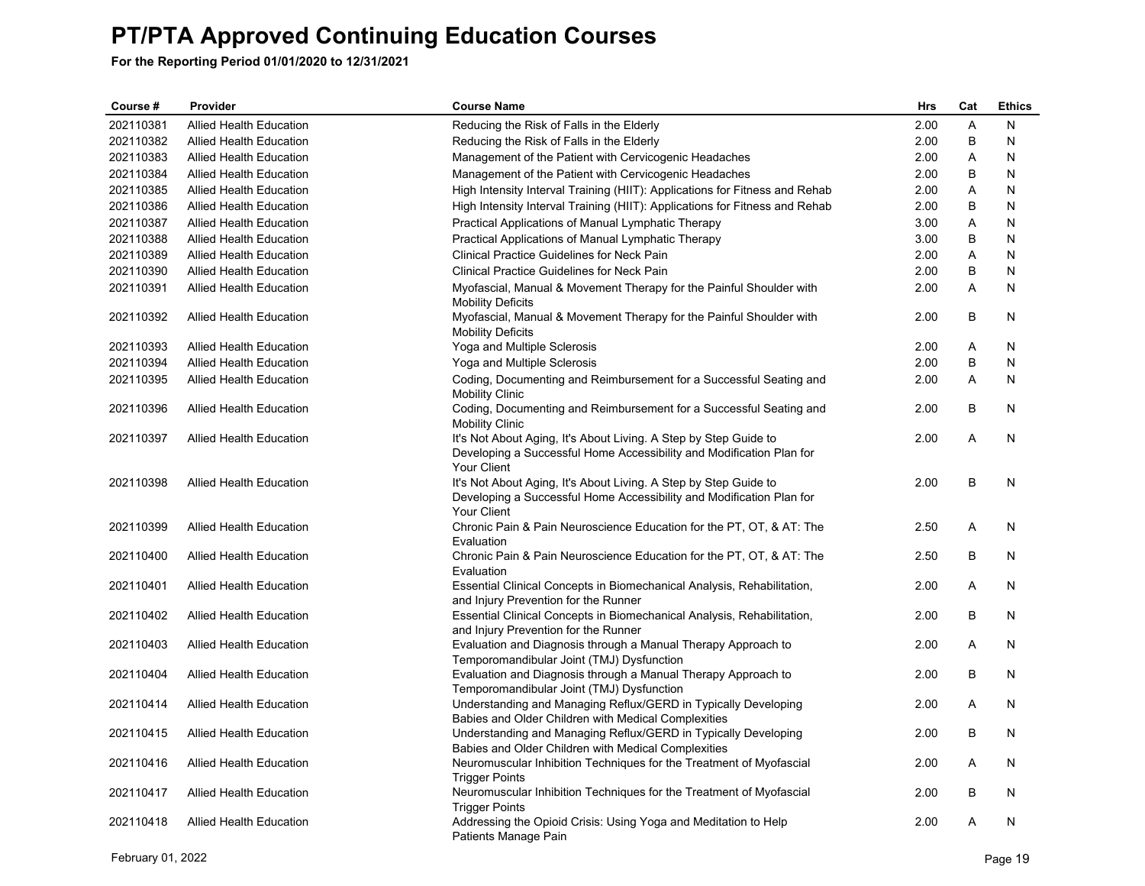| Course #  | Provider                       | <b>Course Name</b>                                                                                                                                      | <b>Hrs</b> | Cat     | <b>Ethics</b> |
|-----------|--------------------------------|---------------------------------------------------------------------------------------------------------------------------------------------------------|------------|---------|---------------|
| 202110381 | <b>Allied Health Education</b> | Reducing the Risk of Falls in the Elderly                                                                                                               | 2.00       | A       | N             |
| 202110382 | <b>Allied Health Education</b> | Reducing the Risk of Falls in the Elderly                                                                                                               | 2.00       | B       | N             |
| 202110383 | Allied Health Education        | Management of the Patient with Cervicogenic Headaches                                                                                                   | 2.00       | A       | N             |
| 202110384 | <b>Allied Health Education</b> | Management of the Patient with Cervicogenic Headaches                                                                                                   | 2.00       | B       | N             |
| 202110385 | <b>Allied Health Education</b> | High Intensity Interval Training (HIIT): Applications for Fitness and Rehab                                                                             | 2.00       | Α       | N             |
| 202110386 | <b>Allied Health Education</b> | High Intensity Interval Training (HIIT): Applications for Fitness and Rehab                                                                             | 2.00       | B       | N             |
| 202110387 | <b>Allied Health Education</b> | Practical Applications of Manual Lymphatic Therapy                                                                                                      | 3.00       | A       | N             |
| 202110388 | <b>Allied Health Education</b> | Practical Applications of Manual Lymphatic Therapy                                                                                                      | 3.00       | B       | $\mathsf{N}$  |
| 202110389 | <b>Allied Health Education</b> | <b>Clinical Practice Guidelines for Neck Pain</b>                                                                                                       | 2.00       | A       | N             |
| 202110390 | <b>Allied Health Education</b> | <b>Clinical Practice Guidelines for Neck Pain</b>                                                                                                       | 2.00       | B       | N             |
| 202110391 | <b>Allied Health Education</b> | Myofascial, Manual & Movement Therapy for the Painful Shoulder with<br><b>Mobility Deficits</b>                                                         | 2.00       | A       | N             |
| 202110392 | <b>Allied Health Education</b> | Myofascial, Manual & Movement Therapy for the Painful Shoulder with<br><b>Mobility Deficits</b>                                                         | 2.00       | B       | N             |
| 202110393 | <b>Allied Health Education</b> | Yoga and Multiple Sclerosis                                                                                                                             | 2.00       | Α       | N             |
| 202110394 | <b>Allied Health Education</b> | Yoga and Multiple Sclerosis                                                                                                                             | 2.00       | $\sf B$ | $\mathsf{N}$  |
| 202110395 | <b>Allied Health Education</b> | Coding, Documenting and Reimbursement for a Successful Seating and<br><b>Mobility Clinic</b>                                                            | 2.00       | A       | N             |
| 202110396 | <b>Allied Health Education</b> | Coding, Documenting and Reimbursement for a Successful Seating and<br><b>Mobility Clinic</b>                                                            | 2.00       | B       | N             |
| 202110397 | <b>Allied Health Education</b> | It's Not About Aging, It's About Living. A Step by Step Guide to<br>Developing a Successful Home Accessibility and Modification Plan for<br>Your Client | 2.00       | A       | N             |
| 202110398 | <b>Allied Health Education</b> | It's Not About Aging, It's About Living. A Step by Step Guide to<br>Developing a Successful Home Accessibility and Modification Plan for<br>Your Client | 2.00       | B       | N             |
| 202110399 | <b>Allied Health Education</b> | Chronic Pain & Pain Neuroscience Education for the PT, OT, & AT: The<br>Evaluation                                                                      | 2.50       | A       | N             |
| 202110400 | Allied Health Education        | Chronic Pain & Pain Neuroscience Education for the PT, OT, & AT: The<br>Evaluation                                                                      | 2.50       | B       | N             |
| 202110401 | Allied Health Education        | Essential Clinical Concepts in Biomechanical Analysis, Rehabilitation,<br>and Injury Prevention for the Runner                                          | 2.00       | Α       | N             |
| 202110402 | Allied Health Education        | Essential Clinical Concepts in Biomechanical Analysis, Rehabilitation,<br>and Injury Prevention for the Runner                                          | 2.00       | B       | N             |
| 202110403 | Allied Health Education        | Evaluation and Diagnosis through a Manual Therapy Approach to<br>Temporomandibular Joint (TMJ) Dysfunction                                              | 2.00       | A       | N             |
| 202110404 | <b>Allied Health Education</b> | Evaluation and Diagnosis through a Manual Therapy Approach to<br>Temporomandibular Joint (TMJ) Dysfunction                                              | 2.00       | B       | N             |
| 202110414 | <b>Allied Health Education</b> | Understanding and Managing Reflux/GERD in Typically Developing<br>Babies and Older Children with Medical Complexities                                   | 2.00       | A       | N             |
| 202110415 | <b>Allied Health Education</b> | Understanding and Managing Reflux/GERD in Typically Developing<br>Babies and Older Children with Medical Complexities                                   | 2.00       | B       | N             |
| 202110416 | <b>Allied Health Education</b> | Neuromuscular Inhibition Techniques for the Treatment of Myofascial<br><b>Trigger Points</b>                                                            | 2.00       | A       | N.            |
| 202110417 | <b>Allied Health Education</b> | Neuromuscular Inhibition Techniques for the Treatment of Myofascial<br><b>Trigger Points</b>                                                            | 2.00       | B       | N             |
| 202110418 | <b>Allied Health Education</b> | Addressing the Opioid Crisis: Using Yoga and Meditation to Help<br>Patients Manage Pain                                                                 | 2.00       | Α       | N             |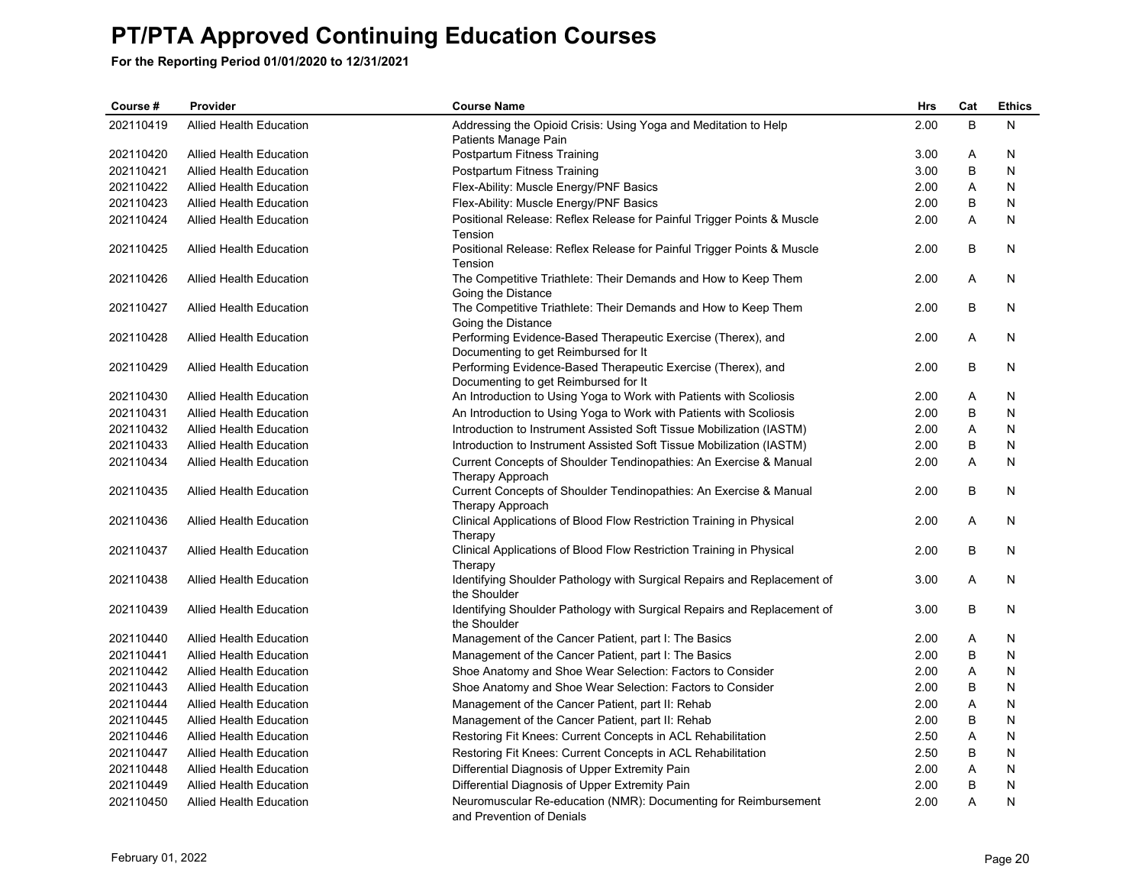| Course #  | Provider                       | <b>Course Name</b>                                                                      | <b>Hrs</b> | Cat | <b>Ethics</b> |
|-----------|--------------------------------|-----------------------------------------------------------------------------------------|------------|-----|---------------|
| 202110419 | <b>Allied Health Education</b> | Addressing the Opioid Crisis: Using Yoga and Meditation to Help<br>Patients Manage Pain | 2.00       | B   | N             |
| 202110420 | <b>Allied Health Education</b> | Postpartum Fitness Training                                                             | 3.00       | Α   | N             |
| 202110421 | <b>Allied Health Education</b> | Postpartum Fitness Training                                                             | 3.00       | B   | N             |
| 202110422 | <b>Allied Health Education</b> | Flex-Ability: Muscle Energy/PNF Basics                                                  | 2.00       | A   | N             |
| 202110423 | Allied Health Education        | Flex-Ability: Muscle Energy/PNF Basics                                                  | 2.00       | B   | N             |
| 202110424 | <b>Allied Health Education</b> | Positional Release: Reflex Release for Painful Trigger Points & Muscle                  | 2.00       | A   | N             |
|           |                                | Tension                                                                                 |            |     |               |
| 202110425 | <b>Allied Health Education</b> | Positional Release: Reflex Release for Painful Trigger Points & Muscle<br>Tension       | 2.00       | B   | N             |
| 202110426 | <b>Allied Health Education</b> | The Competitive Triathlete: Their Demands and How to Keep Them                          | 2.00       | A   | N             |
|           |                                | Going the Distance                                                                      |            |     |               |
| 202110427 | <b>Allied Health Education</b> | The Competitive Triathlete: Their Demands and How to Keep Them                          | 2.00       | B   | N             |
|           |                                | Going the Distance                                                                      |            |     |               |
| 202110428 | <b>Allied Health Education</b> | Performing Evidence-Based Therapeutic Exercise (Therex), and                            | 2.00       | A   | N             |
|           |                                | Documenting to get Reimbursed for It                                                    |            |     |               |
| 202110429 | Allied Health Education        | Performing Evidence-Based Therapeutic Exercise (Therex), and                            | 2.00       | B   | N             |
| 202110430 |                                | Documenting to get Reimbursed for It                                                    |            | Α   |               |
|           | <b>Allied Health Education</b> | An Introduction to Using Yoga to Work with Patients with Scoliosis                      | 2.00       | B   | N             |
| 202110431 | <b>Allied Health Education</b> | An Introduction to Using Yoga to Work with Patients with Scoliosis                      | 2.00       |     | N             |
| 202110432 | Allied Health Education        | Introduction to Instrument Assisted Soft Tissue Mobilization (IASTM)                    | 2.00       | Α   | N             |
| 202110433 | Allied Health Education        | Introduction to Instrument Assisted Soft Tissue Mobilization (IASTM)                    | 2.00       | B   | N             |
| 202110434 | <b>Allied Health Education</b> | Current Concepts of Shoulder Tendinopathies: An Exercise & Manual<br>Therapy Approach   | 2.00       | Α   | N             |
| 202110435 | <b>Allied Health Education</b> | Current Concepts of Shoulder Tendinopathies: An Exercise & Manual<br>Therapy Approach   | 2.00       | B   | N             |
| 202110436 | <b>Allied Health Education</b> | Clinical Applications of Blood Flow Restriction Training in Physical<br>Therapy         | 2.00       | A   | N             |
| 202110437 | <b>Allied Health Education</b> | Clinical Applications of Blood Flow Restriction Training in Physical                    | 2.00       | В   | N             |
|           |                                | Therapy                                                                                 |            |     |               |
| 202110438 | <b>Allied Health Education</b> | Identifying Shoulder Pathology with Surgical Repairs and Replacement of<br>the Shoulder | 3.00       | A   | N             |
| 202110439 | <b>Allied Health Education</b> | Identifying Shoulder Pathology with Surgical Repairs and Replacement of<br>the Shoulder | 3.00       | B   | N             |
| 202110440 | <b>Allied Health Education</b> | Management of the Cancer Patient, part I: The Basics                                    | 2.00       | A   | N             |
| 202110441 | <b>Allied Health Education</b> | Management of the Cancer Patient, part I: The Basics                                    | 2.00       | B   | N             |
| 202110442 | <b>Allied Health Education</b> | Shoe Anatomy and Shoe Wear Selection: Factors to Consider                               | 2.00       | Α   | N             |
| 202110443 | <b>Allied Health Education</b> | Shoe Anatomy and Shoe Wear Selection: Factors to Consider                               | 2.00       | B   | N             |
| 202110444 | Allied Health Education        | Management of the Cancer Patient, part II: Rehab                                        | 2.00       | A   | N             |
| 202110445 | <b>Allied Health Education</b> | Management of the Cancer Patient, part II: Rehab                                        | 2.00       | В   | N             |
| 202110446 | <b>Allied Health Education</b> | Restoring Fit Knees: Current Concepts in ACL Rehabilitation                             | 2.50       | Α   | N             |
| 202110447 | <b>Allied Health Education</b> | Restoring Fit Knees: Current Concepts in ACL Rehabilitation                             | 2.50       | B   | N             |
| 202110448 | <b>Allied Health Education</b> | Differential Diagnosis of Upper Extremity Pain                                          | 2.00       | A   | N             |
| 202110449 | Allied Health Education        | Differential Diagnosis of Upper Extremity Pain                                          | 2.00       | B   | N             |
| 202110450 | <b>Allied Health Education</b> | Neuromuscular Re-education (NMR): Documenting for Reimbursement                         | 2.00       | A   | N             |
|           |                                | and Prevention of Denials                                                               |            |     |               |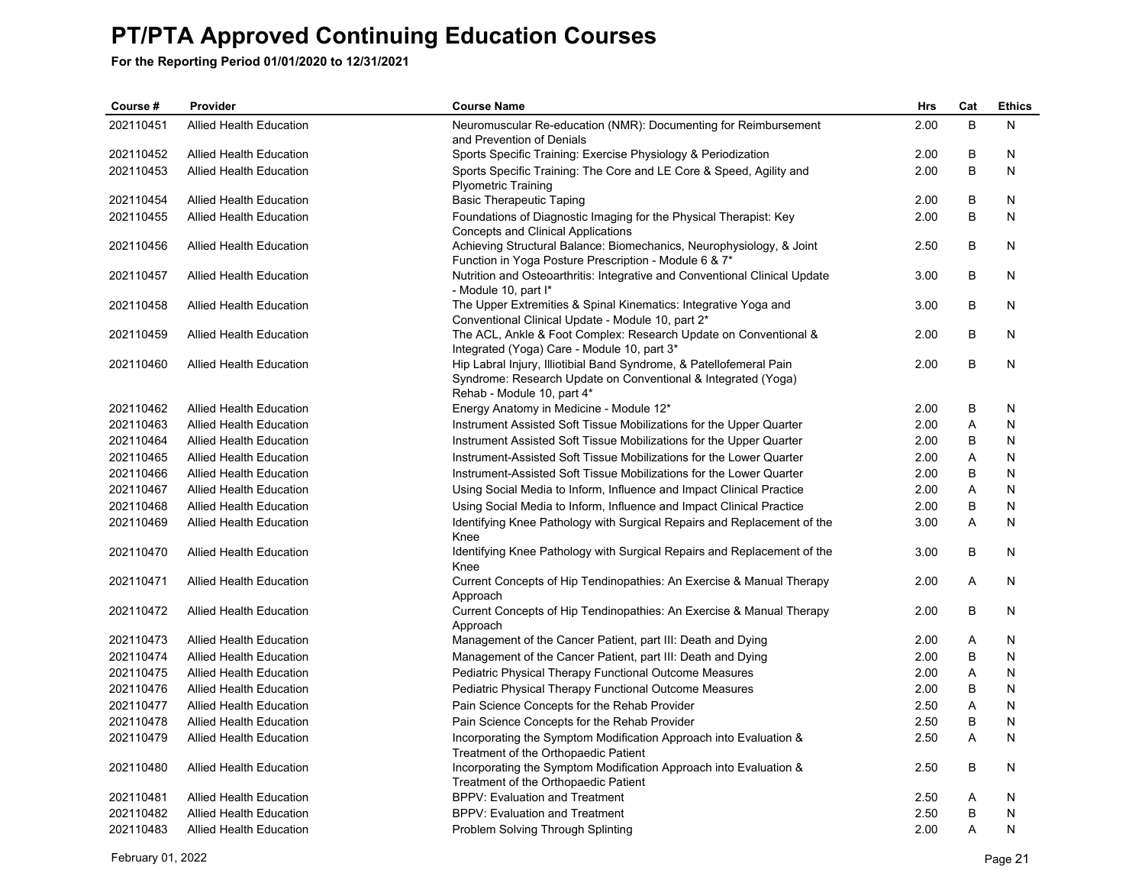| Course #  | Provider                       | <b>Course Name</b>                                                                                                                                                 | Hrs  | Cat | <b>Ethics</b> |
|-----------|--------------------------------|--------------------------------------------------------------------------------------------------------------------------------------------------------------------|------|-----|---------------|
| 202110451 | <b>Allied Health Education</b> | Neuromuscular Re-education (NMR): Documenting for Reimbursement<br>and Prevention of Denials                                                                       | 2.00 | B   | N             |
| 202110452 | <b>Allied Health Education</b> | Sports Specific Training: Exercise Physiology & Periodization                                                                                                      | 2.00 | B   | N             |
| 202110453 | <b>Allied Health Education</b> | Sports Specific Training: The Core and LE Core & Speed, Agility and<br><b>Plyometric Training</b>                                                                  | 2.00 | B   | N             |
| 202110454 | <b>Allied Health Education</b> | <b>Basic Therapeutic Taping</b>                                                                                                                                    | 2.00 | В   | N             |
| 202110455 | <b>Allied Health Education</b> | Foundations of Diagnostic Imaging for the Physical Therapist: Key<br>Concepts and Clinical Applications                                                            | 2.00 | B   | N             |
| 202110456 | Allied Health Education        | Achieving Structural Balance: Biomechanics, Neurophysiology, & Joint<br>Function in Yoga Posture Prescription - Module 6 & 7*                                      | 2.50 | В   | N             |
| 202110457 | <b>Allied Health Education</b> | Nutrition and Osteoarthritis: Integrative and Conventional Clinical Update<br>- Module 10, part I*                                                                 | 3.00 | B   | N             |
| 202110458 | Allied Health Education        | The Upper Extremities & Spinal Kinematics: Integrative Yoga and<br>Conventional Clinical Update - Module 10, part 2*                                               | 3.00 | B   | N             |
| 202110459 | Allied Health Education        | The ACL, Ankle & Foot Complex: Research Update on Conventional &<br>Integrated (Yoga) Care - Module 10, part 3*                                                    | 2.00 | B   | N             |
| 202110460 | <b>Allied Health Education</b> | Hip Labral Injury, Illiotibial Band Syndrome, & Patellofemeral Pain<br>Syndrome: Research Update on Conventional & Integrated (Yoga)<br>Rehab - Module 10, part 4* | 2.00 | B   | N             |
| 202110462 | <b>Allied Health Education</b> | Energy Anatomy in Medicine - Module 12*                                                                                                                            | 2.00 | B   | N             |
| 202110463 | Allied Health Education        | Instrument Assisted Soft Tissue Mobilizations for the Upper Quarter                                                                                                | 2.00 | A   | N             |
| 202110464 | <b>Allied Health Education</b> | Instrument Assisted Soft Tissue Mobilizations for the Upper Quarter                                                                                                | 2.00 | B   | N             |
| 202110465 | <b>Allied Health Education</b> | Instrument-Assisted Soft Tissue Mobilizations for the Lower Quarter                                                                                                | 2.00 | Α   | N             |
| 202110466 | <b>Allied Health Education</b> | Instrument-Assisted Soft Tissue Mobilizations for the Lower Quarter                                                                                                | 2.00 | B   | N             |
| 202110467 | <b>Allied Health Education</b> | Using Social Media to Inform, Influence and Impact Clinical Practice                                                                                               | 2.00 | Α   | N             |
| 202110468 | Allied Health Education        | Using Social Media to Inform, Influence and Impact Clinical Practice                                                                                               | 2.00 | B   | N             |
| 202110469 | <b>Allied Health Education</b> | Identifying Knee Pathology with Surgical Repairs and Replacement of the<br>Knee                                                                                    | 3.00 | A   | N             |
| 202110470 | Allied Health Education        | Identifying Knee Pathology with Surgical Repairs and Replacement of the<br>Knee                                                                                    | 3.00 | B   | N             |
| 202110471 | <b>Allied Health Education</b> | Current Concepts of Hip Tendinopathies: An Exercise & Manual Therapy<br>Approach                                                                                   | 2.00 | A   | N             |
| 202110472 | Allied Health Education        | Current Concepts of Hip Tendinopathies: An Exercise & Manual Therapy<br>Approach                                                                                   | 2.00 | В   | N             |
| 202110473 | <b>Allied Health Education</b> | Management of the Cancer Patient, part III: Death and Dying                                                                                                        | 2.00 | A   | N             |
| 202110474 | <b>Allied Health Education</b> | Management of the Cancer Patient, part III: Death and Dying                                                                                                        | 2.00 | В   | N             |
| 202110475 | <b>Allied Health Education</b> | Pediatric Physical Therapy Functional Outcome Measures                                                                                                             | 2.00 | A   | N             |
| 202110476 | <b>Allied Health Education</b> | <b>Pediatric Physical Therapy Functional Outcome Measures</b>                                                                                                      | 2.00 | В   | N             |
| 202110477 | Allied Health Education        | Pain Science Concepts for the Rehab Provider                                                                                                                       | 2.50 | Α   | N             |
| 202110478 | <b>Allied Health Education</b> | Pain Science Concepts for the Rehab Provider                                                                                                                       | 2.50 | B   | N             |
| 202110479 | <b>Allied Health Education</b> | Incorporating the Symptom Modification Approach into Evaluation &<br>Treatment of the Orthopaedic Patient                                                          | 2.50 | A   | N             |
| 202110480 | Allied Health Education        | Incorporating the Symptom Modification Approach into Evaluation &<br>Treatment of the Orthopaedic Patient                                                          | 2.50 | B   | N             |
| 202110481 | <b>Allied Health Education</b> | <b>BPPV: Evaluation and Treatment</b>                                                                                                                              | 2.50 | Α   | N             |
| 202110482 | <b>Allied Health Education</b> | BPPV: Evaluation and Treatment                                                                                                                                     | 2.50 | B   | N             |
| 202110483 | <b>Allied Health Education</b> | Problem Solving Through Splinting                                                                                                                                  | 2.00 | A   | N             |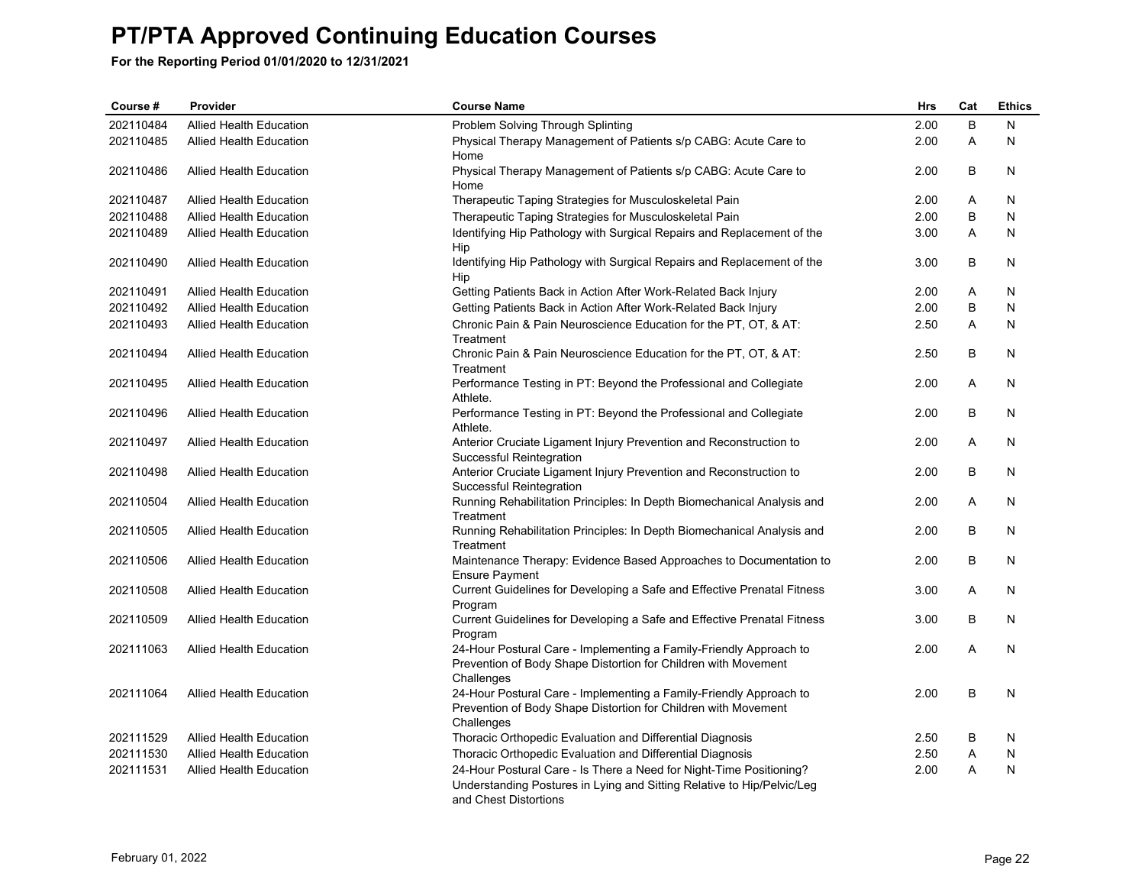| Course #  | Provider                       | <b>Course Name</b>                                                                                                                                                     | <b>Hrs</b> | Cat            | <b>Ethics</b> |
|-----------|--------------------------------|------------------------------------------------------------------------------------------------------------------------------------------------------------------------|------------|----------------|---------------|
| 202110484 | <b>Allied Health Education</b> | Problem Solving Through Splinting                                                                                                                                      | 2.00       | B              | N             |
| 202110485 | <b>Allied Health Education</b> | Physical Therapy Management of Patients s/p CABG: Acute Care to<br>Home                                                                                                | 2.00       | A              | N             |
| 202110486 | <b>Allied Health Education</b> | Physical Therapy Management of Patients s/p CABG: Acute Care to<br>Home                                                                                                | 2.00       | B              | N             |
| 202110487 | <b>Allied Health Education</b> | Therapeutic Taping Strategies for Musculoskeletal Pain                                                                                                                 | 2.00       | Α              | N             |
| 202110488 | <b>Allied Health Education</b> | Therapeutic Taping Strategies for Musculoskeletal Pain                                                                                                                 | 2.00       | B              | N             |
| 202110489 | Allied Health Education        | Identifying Hip Pathology with Surgical Repairs and Replacement of the<br>Hip                                                                                          | 3.00       | A              | N             |
| 202110490 | <b>Allied Health Education</b> | Identifying Hip Pathology with Surgical Repairs and Replacement of the<br>Hip                                                                                          | 3.00       | B              | N             |
| 202110491 | <b>Allied Health Education</b> | Getting Patients Back in Action After Work-Related Back Injury                                                                                                         | 2.00       | A              | N             |
| 202110492 | <b>Allied Health Education</b> | Getting Patients Back in Action After Work-Related Back Injury                                                                                                         | 2.00       | B              | N             |
| 202110493 | <b>Allied Health Education</b> | Chronic Pain & Pain Neuroscience Education for the PT, OT, & AT:<br>Treatment                                                                                          | 2.50       | Α              | N             |
| 202110494 | <b>Allied Health Education</b> | Chronic Pain & Pain Neuroscience Education for the PT, OT, & AT:<br>Treatment                                                                                          | 2.50       | B              | N             |
| 202110495 | <b>Allied Health Education</b> | Performance Testing in PT: Beyond the Professional and Collegiate<br>Athlete.                                                                                          | 2.00       | Α              | N             |
| 202110496 | <b>Allied Health Education</b> | Performance Testing in PT: Beyond the Professional and Collegiate<br>Athlete.                                                                                          | 2.00       | В              | N             |
| 202110497 | <b>Allied Health Education</b> | Anterior Cruciate Ligament Injury Prevention and Reconstruction to<br>Successful Reintegration                                                                         | 2.00       | A              | N             |
| 202110498 | <b>Allied Health Education</b> | Anterior Cruciate Ligament Injury Prevention and Reconstruction to<br>Successful Reintegration                                                                         | 2.00       | B              | N             |
| 202110504 | <b>Allied Health Education</b> | Running Rehabilitation Principles: In Depth Biomechanical Analysis and<br>Treatment                                                                                    | 2.00       | A              | N             |
| 202110505 | <b>Allied Health Education</b> | Running Rehabilitation Principles: In Depth Biomechanical Analysis and<br>Treatment                                                                                    | 2.00       | B              | N             |
| 202110506 | <b>Allied Health Education</b> | Maintenance Therapy: Evidence Based Approaches to Documentation to<br><b>Ensure Payment</b>                                                                            | 2.00       | B              | N             |
| 202110508 | <b>Allied Health Education</b> | Current Guidelines for Developing a Safe and Effective Prenatal Fitness<br>Program                                                                                     | 3.00       | Α              | N             |
| 202110509 | <b>Allied Health Education</b> | Current Guidelines for Developing a Safe and Effective Prenatal Fitness<br>Program                                                                                     | 3.00       | B              | N             |
| 202111063 | <b>Allied Health Education</b> | 24-Hour Postural Care - Implementing a Family-Friendly Approach to<br>Prevention of Body Shape Distortion for Children with Movement                                   | 2.00       | $\overline{A}$ | N             |
| 202111064 | <b>Allied Health Education</b> | Challenges<br>24-Hour Postural Care - Implementing a Family-Friendly Approach to<br>Prevention of Body Shape Distortion for Children with Movement<br>Challenges       | 2.00       | B              | N             |
| 202111529 | <b>Allied Health Education</b> | Thoracic Orthopedic Evaluation and Differential Diagnosis                                                                                                              | 2.50       | В              | N             |
| 202111530 | <b>Allied Health Education</b> | Thoracic Orthopedic Evaluation and Differential Diagnosis                                                                                                              | 2.50       | A              | N             |
| 202111531 | <b>Allied Health Education</b> | 24-Hour Postural Care - Is There a Need for Night-Time Positioning?<br>Understanding Postures in Lying and Sitting Relative to Hip/Pelvic/Leg<br>and Chest Distortions | 2.00       | A              | N             |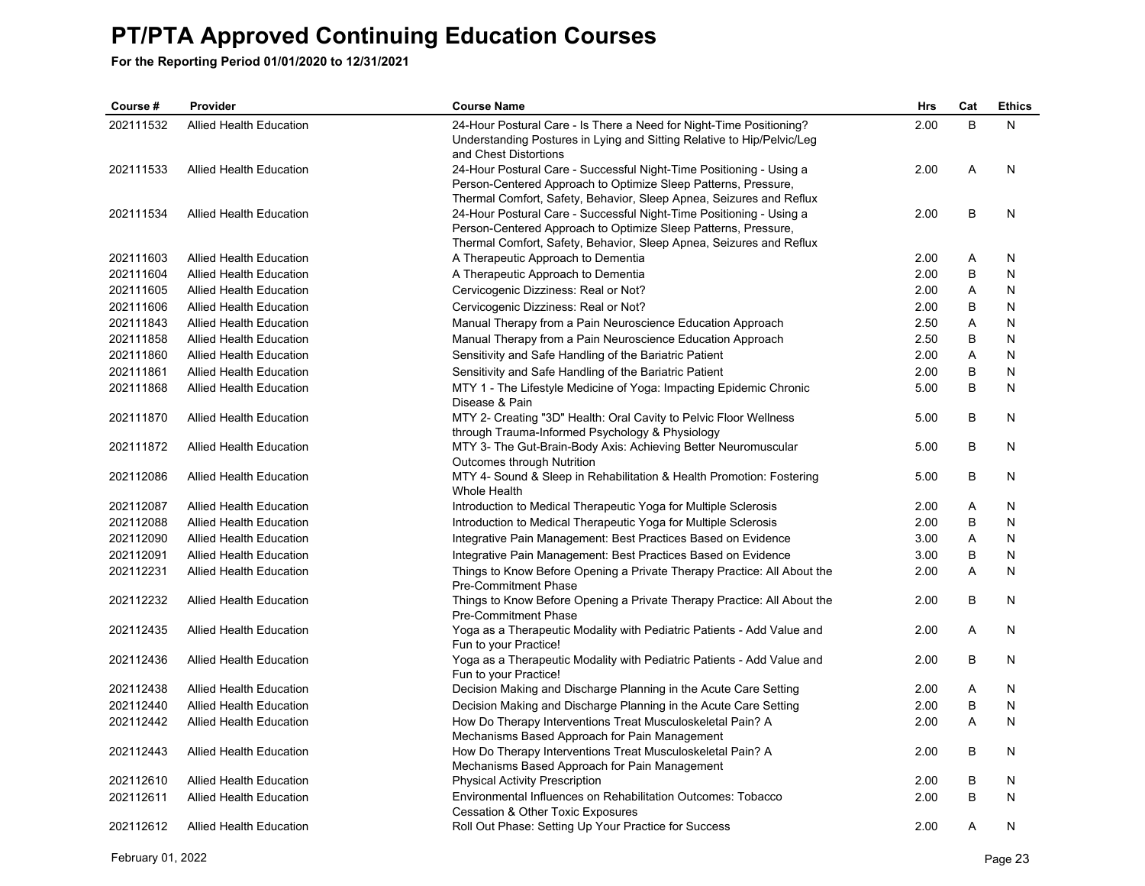| Course #  | Provider                       | <b>Course Name</b>                                                                                                                            | <b>Hrs</b> | Cat | <b>Ethics</b> |
|-----------|--------------------------------|-----------------------------------------------------------------------------------------------------------------------------------------------|------------|-----|---------------|
| 202111532 | <b>Allied Health Education</b> | 24-Hour Postural Care - Is There a Need for Night-Time Positioning?<br>Understanding Postures in Lying and Sitting Relative to Hip/Pelvic/Leg | 2.00       | B   | N             |
|           |                                | and Chest Distortions                                                                                                                         |            | Α   | N             |
| 202111533 | <b>Allied Health Education</b> | 24-Hour Postural Care - Successful Night-Time Positioning - Using a<br>Person-Centered Approach to Optimize Sleep Patterns, Pressure,         | 2.00       |     |               |
|           |                                | Thermal Comfort, Safety, Behavior, Sleep Apnea, Seizures and Reflux                                                                           |            |     |               |
| 202111534 | <b>Allied Health Education</b> | 24-Hour Postural Care - Successful Night-Time Positioning - Using a                                                                           | 2.00       | B   | N             |
|           |                                | Person-Centered Approach to Optimize Sleep Patterns, Pressure,                                                                                |            |     |               |
|           |                                | Thermal Comfort, Safety, Behavior, Sleep Apnea, Seizures and Reflux                                                                           |            |     |               |
| 202111603 | <b>Allied Health Education</b> | A Therapeutic Approach to Dementia                                                                                                            | 2.00       | A   | N             |
| 202111604 | <b>Allied Health Education</b> | A Therapeutic Approach to Dementia                                                                                                            | 2.00       | B   | N             |
| 202111605 | <b>Allied Health Education</b> | Cervicogenic Dizziness: Real or Not?                                                                                                          | 2.00       | Α   | N             |
| 202111606 | <b>Allied Health Education</b> | Cervicogenic Dizziness: Real or Not?                                                                                                          | 2.00       | B   | N             |
| 202111843 | <b>Allied Health Education</b> | Manual Therapy from a Pain Neuroscience Education Approach                                                                                    | 2.50       | Α   | N             |
| 202111858 | <b>Allied Health Education</b> | Manual Therapy from a Pain Neuroscience Education Approach                                                                                    | 2.50       | В   | N             |
| 202111860 | Allied Health Education        | Sensitivity and Safe Handling of the Bariatric Patient                                                                                        | 2.00       | Α   | N             |
| 202111861 | Allied Health Education        | Sensitivity and Safe Handling of the Bariatric Patient                                                                                        | 2.00       | B   | N             |
| 202111868 | <b>Allied Health Education</b> | MTY 1 - The Lifestyle Medicine of Yoga: Impacting Epidemic Chronic<br>Disease & Pain                                                          | 5.00       | B   | N             |
| 202111870 | <b>Allied Health Education</b> | MTY 2- Creating "3D" Health: Oral Cavity to Pelvic Floor Wellness                                                                             | 5.00       | B   | N             |
|           |                                | through Trauma-Informed Psychology & Physiology                                                                                               |            |     |               |
| 202111872 | <b>Allied Health Education</b> | MTY 3- The Gut-Brain-Body Axis: Achieving Better Neuromuscular<br>Outcomes through Nutrition                                                  | 5.00       | B   | N             |
| 202112086 | <b>Allied Health Education</b> | MTY 4- Sound & Sleep in Rehabilitation & Health Promotion: Fostering<br>Whole Health                                                          | 5.00       | B   | N             |
| 202112087 | <b>Allied Health Education</b> | Introduction to Medical Therapeutic Yoga for Multiple Sclerosis                                                                               | 2.00       | A   | N             |
| 202112088 | Allied Health Education        | Introduction to Medical Therapeutic Yoga for Multiple Sclerosis                                                                               | 2.00       | В   | N             |
| 202112090 | Allied Health Education        | Integrative Pain Management: Best Practices Based on Evidence                                                                                 | 3.00       | Α   | N             |
| 202112091 | <b>Allied Health Education</b> | Integrative Pain Management: Best Practices Based on Evidence                                                                                 | 3.00       | В   | N             |
| 202112231 | <b>Allied Health Education</b> | Things to Know Before Opening a Private Therapy Practice: All About the<br><b>Pre-Commitment Phase</b>                                        | 2.00       | A   | N             |
| 202112232 | Allied Health Education        | Things to Know Before Opening a Private Therapy Practice: All About the<br><b>Pre-Commitment Phase</b>                                        | 2.00       | В   | N             |
| 202112435 | <b>Allied Health Education</b> | Yoga as a Therapeutic Modality with Pediatric Patients - Add Value and<br>Fun to your Practice!                                               | 2.00       | A   | N             |
| 202112436 | Allied Health Education        | Yoga as a Therapeutic Modality with Pediatric Patients - Add Value and<br>Fun to your Practice!                                               | 2.00       | B   | N             |
| 202112438 | <b>Allied Health Education</b> | Decision Making and Discharge Planning in the Acute Care Setting                                                                              | 2.00       | Α   | N             |
| 202112440 | <b>Allied Health Education</b> | Decision Making and Discharge Planning in the Acute Care Setting                                                                              | 2.00       | B   | N             |
| 202112442 | <b>Allied Health Education</b> | How Do Therapy Interventions Treat Musculoskeletal Pain? A                                                                                    | 2.00       | A   | N             |
|           |                                | Mechanisms Based Approach for Pain Management                                                                                                 |            |     |               |
| 202112443 | Allied Health Education        | How Do Therapy Interventions Treat Musculoskeletal Pain? A<br>Mechanisms Based Approach for Pain Management                                   | 2.00       | B   | N             |
| 202112610 | Allied Health Education        | <b>Physical Activity Prescription</b>                                                                                                         | 2.00       | В   | N             |
| 202112611 | Allied Health Education        | Environmental Influences on Rehabilitation Outcomes: Tobacco<br>Cessation & Other Toxic Exposures                                             | 2.00       | B   | N             |
| 202112612 | Allied Health Education        | Roll Out Phase: Setting Up Your Practice for Success                                                                                          | 2.00       | A   | N             |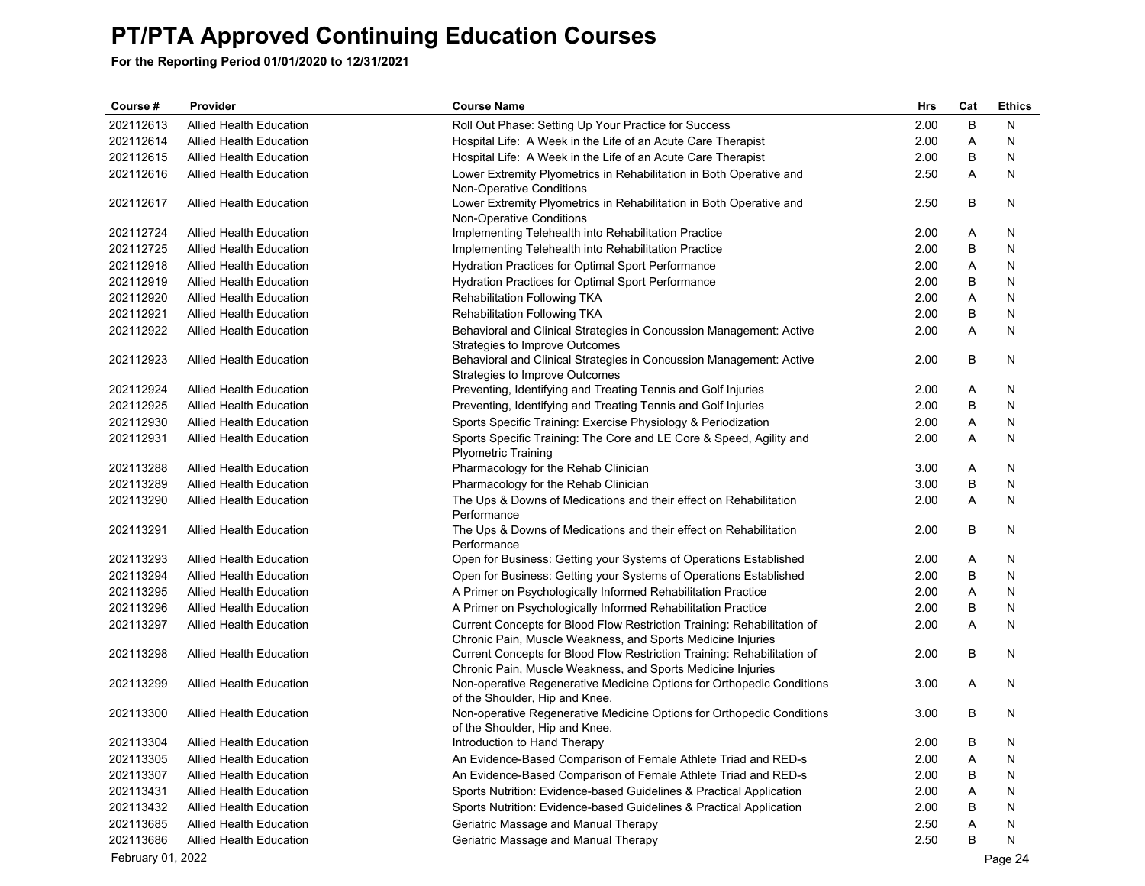| Course #          | Provider                       | <b>Course Name</b>                                                                                      | Hrs          | Cat | <b>Ethics</b> |
|-------------------|--------------------------------|---------------------------------------------------------------------------------------------------------|--------------|-----|---------------|
| 202112613         | <b>Allied Health Education</b> | Roll Out Phase: Setting Up Your Practice for Success                                                    | 2.00         | B   | N             |
| 202112614         | <b>Allied Health Education</b> | Hospital Life: A Week in the Life of an Acute Care Therapist                                            | 2.00         | A   | N             |
| 202112615         | Allied Health Education        | Hospital Life: A Week in the Life of an Acute Care Therapist                                            | 2.00         | B   | N             |
| 202112616         | <b>Allied Health Education</b> | Lower Extremity Plyometrics in Rehabilitation in Both Operative and                                     | 2.50         | Α   | N             |
|                   |                                | Non-Operative Conditions                                                                                |              |     |               |
| 202112617         | Allied Health Education        | Lower Extremity Plyometrics in Rehabilitation in Both Operative and                                     | 2.50         | B   | N             |
|                   |                                | Non-Operative Conditions                                                                                |              |     |               |
| 202112724         | Allied Health Education        | Implementing Telehealth into Rehabilitation Practice                                                    | 2.00         | A   | N             |
| 202112725         | <b>Allied Health Education</b> | Implementing Telehealth into Rehabilitation Practice                                                    | 2.00         | B   | N             |
| 202112918         | Allied Health Education        | Hydration Practices for Optimal Sport Performance                                                       | 2.00         | Α   | N             |
| 202112919         | <b>Allied Health Education</b> | Hydration Practices for Optimal Sport Performance                                                       | 2.00         | B   | N             |
| 202112920         | Allied Health Education        | Rehabilitation Following TKA                                                                            | 2.00         | Α   | N             |
| 202112921         | <b>Allied Health Education</b> | Rehabilitation Following TKA                                                                            | 2.00         | B   | N             |
| 202112922         | Allied Health Education        | Behavioral and Clinical Strategies in Concussion Management: Active                                     | 2.00         | Α   | N             |
|                   |                                | Strategies to Improve Outcomes                                                                          |              |     |               |
| 202112923         | <b>Allied Health Education</b> | Behavioral and Clinical Strategies in Concussion Management: Active                                     | 2.00         | B   | N             |
| 202112924         |                                | Strategies to Improve Outcomes<br>Preventing, Identifying and Treating Tennis and Golf Injuries         |              | Α   |               |
| 202112925         | Allied Health Education        |                                                                                                         | 2.00         | B   | N             |
|                   | <b>Allied Health Education</b> | Preventing, Identifying and Treating Tennis and Golf Injuries                                           | 2.00         |     | N             |
| 202112930         | <b>Allied Health Education</b> | Sports Specific Training: Exercise Physiology & Periodization                                           | 2.00<br>2.00 | Α   | N             |
| 202112931         | Allied Health Education        | Sports Specific Training: The Core and LE Core & Speed, Agility and<br><b>Plyometric Training</b>       |              | Α   | N             |
| 202113288         | Allied Health Education        | Pharmacology for the Rehab Clinician                                                                    | 3.00         | Α   | N             |
| 202113289         | <b>Allied Health Education</b> | Pharmacology for the Rehab Clinician                                                                    | 3.00         | B   | N             |
| 202113290         | <b>Allied Health Education</b> | The Ups & Downs of Medications and their effect on Rehabilitation                                       | 2.00         | Α   | N             |
|                   |                                | Performance                                                                                             |              |     |               |
| 202113291         | <b>Allied Health Education</b> | The Ups & Downs of Medications and their effect on Rehabilitation                                       | 2.00         | B   | N             |
|                   |                                | Performance                                                                                             |              |     |               |
| 202113293         | Allied Health Education        | Open for Business: Getting your Systems of Operations Established                                       | 2.00         | Α   | N             |
| 202113294         | <b>Allied Health Education</b> | Open for Business: Getting your Systems of Operations Established                                       | 2.00         | B   | N             |
| 202113295         | <b>Allied Health Education</b> | A Primer on Psychologically Informed Rehabilitation Practice                                            | 2.00         | Α   | N             |
| 202113296         | <b>Allied Health Education</b> | A Primer on Psychologically Informed Rehabilitation Practice                                            | 2.00         | B   | N             |
| 202113297         | <b>Allied Health Education</b> | Current Concepts for Blood Flow Restriction Training: Rehabilitation of                                 | 2.00         | Α   | N             |
|                   |                                | Chronic Pain, Muscle Weakness, and Sports Medicine Injuries                                             |              |     |               |
| 202113298         | Allied Health Education        | Current Concepts for Blood Flow Restriction Training: Rehabilitation of                                 | 2.00         | B   | N             |
|                   |                                | Chronic Pain, Muscle Weakness, and Sports Medicine Injuries                                             |              |     |               |
| 202113299         | <b>Allied Health Education</b> | Non-operative Regenerative Medicine Options for Orthopedic Conditions                                   | 3.00         | Α   | N             |
| 202113300         | <b>Allied Health Education</b> | of the Shoulder, Hip and Knee.<br>Non-operative Regenerative Medicine Options for Orthopedic Conditions | 3.00         | B   | N             |
|                   |                                | of the Shoulder, Hip and Knee.                                                                          |              |     |               |
| 202113304         | Allied Health Education        | Introduction to Hand Therapy                                                                            | 2.00         | B   | N             |
| 202113305         | Allied Health Education        | An Evidence-Based Comparison of Female Athlete Triad and RED-s                                          | 2.00         | Α   | N             |
| 202113307         | <b>Allied Health Education</b> | An Evidence-Based Comparison of Female Athlete Triad and RED-s                                          | 2.00         | В   | N             |
| 202113431         | <b>Allied Health Education</b> | Sports Nutrition: Evidence-based Guidelines & Practical Application                                     | 2.00         | Α   | N             |
| 202113432         | Allied Health Education        | Sports Nutrition: Evidence-based Guidelines & Practical Application                                     | 2.00         | В   | N             |
| 202113685         | <b>Allied Health Education</b> | Geriatric Massage and Manual Therapy                                                                    | 2.50         | Α   | N             |
| 202113686         | <b>Allied Health Education</b> | Geriatric Massage and Manual Therapy                                                                    | 2.50         | B   | N             |
| February 01, 2022 |                                |                                                                                                         |              |     | Page 24       |
|                   |                                |                                                                                                         |              |     |               |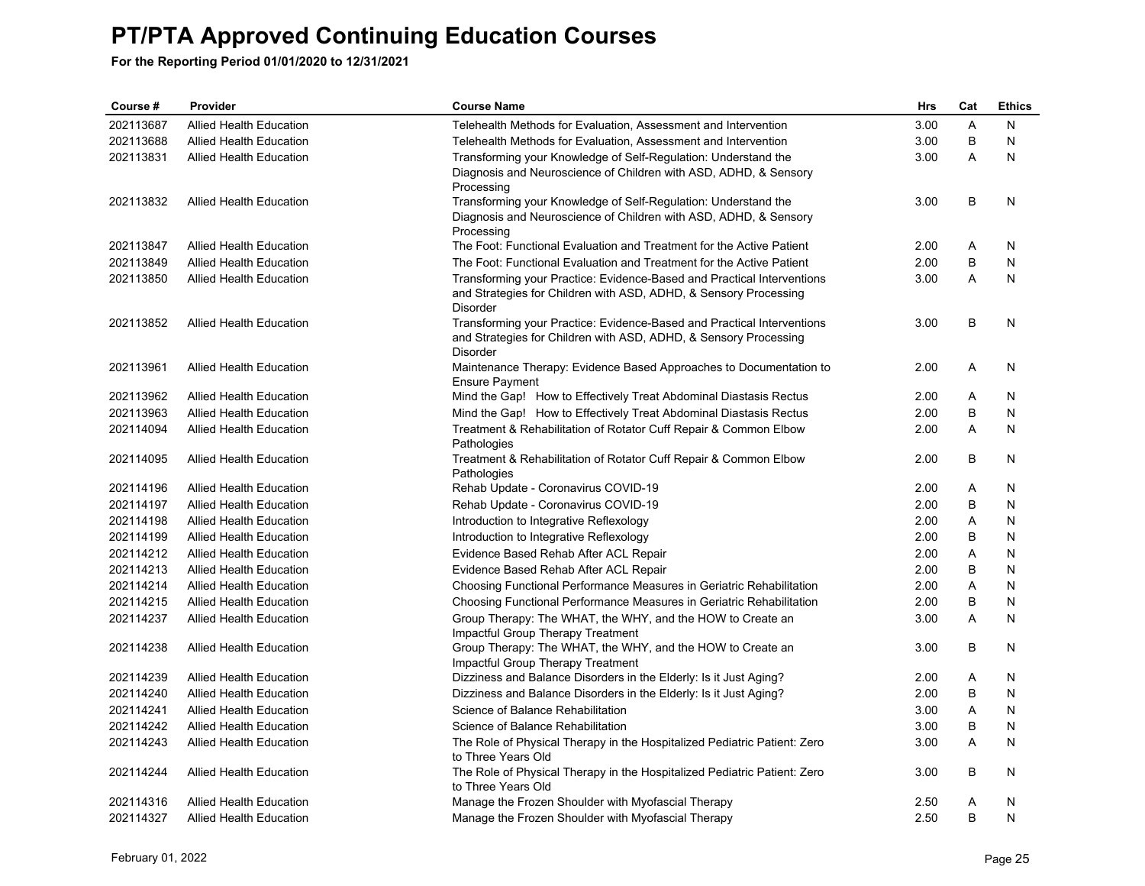| Course#   | Provider                       | <b>Course Name</b>                                                                              | Hrs  | Cat    | <b>Ethics</b> |
|-----------|--------------------------------|-------------------------------------------------------------------------------------------------|------|--------|---------------|
| 202113687 | <b>Allied Health Education</b> | Telehealth Methods for Evaluation, Assessment and Intervention                                  | 3.00 | A      | N             |
| 202113688 | <b>Allied Health Education</b> | Telehealth Methods for Evaluation, Assessment and Intervention                                  | 3.00 | B      | N             |
| 202113831 | Allied Health Education        | Transforming your Knowledge of Self-Regulation: Understand the                                  | 3.00 | A      | N             |
|           |                                | Diagnosis and Neuroscience of Children with ASD, ADHD, & Sensory                                |      |        |               |
|           |                                | Processing                                                                                      |      |        |               |
| 202113832 | <b>Allied Health Education</b> | Transforming your Knowledge of Self-Regulation: Understand the                                  | 3.00 | B      | N             |
|           |                                | Diagnosis and Neuroscience of Children with ASD, ADHD, & Sensory                                |      |        |               |
|           |                                | Processing                                                                                      |      |        |               |
| 202113847 | <b>Allied Health Education</b> | The Foot: Functional Evaluation and Treatment for the Active Patient                            | 2.00 | Α<br>B | N<br>N        |
| 202113849 | <b>Allied Health Education</b> | The Foot: Functional Evaluation and Treatment for the Active Patient                            | 2.00 |        |               |
| 202113850 | Allied Health Education        | Transforming your Practice: Evidence-Based and Practical Interventions                          | 3.00 | A      | N             |
|           |                                | and Strategies for Children with ASD, ADHD, & Sensory Processing<br><b>Disorder</b>             |      |        |               |
| 202113852 | <b>Allied Health Education</b> | Transforming your Practice: Evidence-Based and Practical Interventions                          | 3.00 | В      | N             |
|           |                                | and Strategies for Children with ASD, ADHD, & Sensory Processing                                |      |        |               |
|           |                                | <b>Disorder</b>                                                                                 |      |        |               |
| 202113961 | <b>Allied Health Education</b> | Maintenance Therapy: Evidence Based Approaches to Documentation to                              | 2.00 | Α      | N             |
|           |                                | <b>Ensure Payment</b>                                                                           |      |        |               |
| 202113962 | <b>Allied Health Education</b> | Mind the Gap! How to Effectively Treat Abdominal Diastasis Rectus                               | 2.00 | A      | N             |
| 202113963 | <b>Allied Health Education</b> | Mind the Gap! How to Effectively Treat Abdominal Diastasis Rectus                               | 2.00 | В      | N             |
| 202114094 | <b>Allied Health Education</b> | Treatment & Rehabilitation of Rotator Cuff Repair & Common Elbow                                | 2.00 | A      | N             |
|           |                                | Pathologies                                                                                     |      |        |               |
| 202114095 | <b>Allied Health Education</b> | Treatment & Rehabilitation of Rotator Cuff Repair & Common Elbow                                | 2.00 | В      | N             |
|           |                                | Pathologies                                                                                     |      |        |               |
| 202114196 | <b>Allied Health Education</b> | Rehab Update - Coronavirus COVID-19                                                             | 2.00 | Α      | N             |
| 202114197 | <b>Allied Health Education</b> | Rehab Update - Coronavirus COVID-19                                                             | 2.00 | B      | N             |
| 202114198 | <b>Allied Health Education</b> | Introduction to Integrative Reflexology                                                         | 2.00 | Α      | N             |
| 202114199 | Allied Health Education        | Introduction to Integrative Reflexology                                                         | 2.00 | B      | N             |
| 202114212 | <b>Allied Health Education</b> | Evidence Based Rehab After ACL Repair                                                           | 2.00 | Α      | N             |
| 202114213 | Allied Health Education        | Evidence Based Rehab After ACL Repair                                                           | 2.00 | B      | N             |
| 202114214 | Allied Health Education        | Choosing Functional Performance Measures in Geriatric Rehabilitation                            | 2.00 | Α      | N             |
| 202114215 | <b>Allied Health Education</b> | Choosing Functional Performance Measures in Geriatric Rehabilitation                            | 2.00 | В      | N             |
| 202114237 | <b>Allied Health Education</b> | Group Therapy: The WHAT, the WHY, and the HOW to Create an                                      | 3.00 | Α      | N             |
| 202114238 | <b>Allied Health Education</b> | Impactful Group Therapy Treatment<br>Group Therapy: The WHAT, the WHY, and the HOW to Create an | 3.00 | B      | N             |
|           |                                | Impactful Group Therapy Treatment                                                               |      |        |               |
| 202114239 | <b>Allied Health Education</b> | Dizziness and Balance Disorders in the Elderly: Is it Just Aging?                               | 2.00 | A      | N             |
| 202114240 | <b>Allied Health Education</b> | Dizziness and Balance Disorders in the Elderly: Is it Just Aging?                               | 2.00 | В      | N             |
| 202114241 | <b>Allied Health Education</b> | Science of Balance Rehabilitation                                                               | 3.00 | Α      | N             |
| 202114242 | <b>Allied Health Education</b> | Science of Balance Rehabilitation                                                               | 3.00 | B      | N             |
| 202114243 | <b>Allied Health Education</b> | The Role of Physical Therapy in the Hospitalized Pediatric Patient: Zero                        | 3.00 | A      | N             |
|           |                                | to Three Years Old                                                                              |      |        |               |
| 202114244 | <b>Allied Health Education</b> | The Role of Physical Therapy in the Hospitalized Pediatric Patient: Zero                        | 3.00 | В      | N             |
|           |                                | to Three Years Old                                                                              |      |        |               |
| 202114316 | <b>Allied Health Education</b> | Manage the Frozen Shoulder with Myofascial Therapy                                              | 2.50 | Α      | N             |
| 202114327 | <b>Allied Health Education</b> | Manage the Frozen Shoulder with Myofascial Therapy                                              | 2.50 | B      | N             |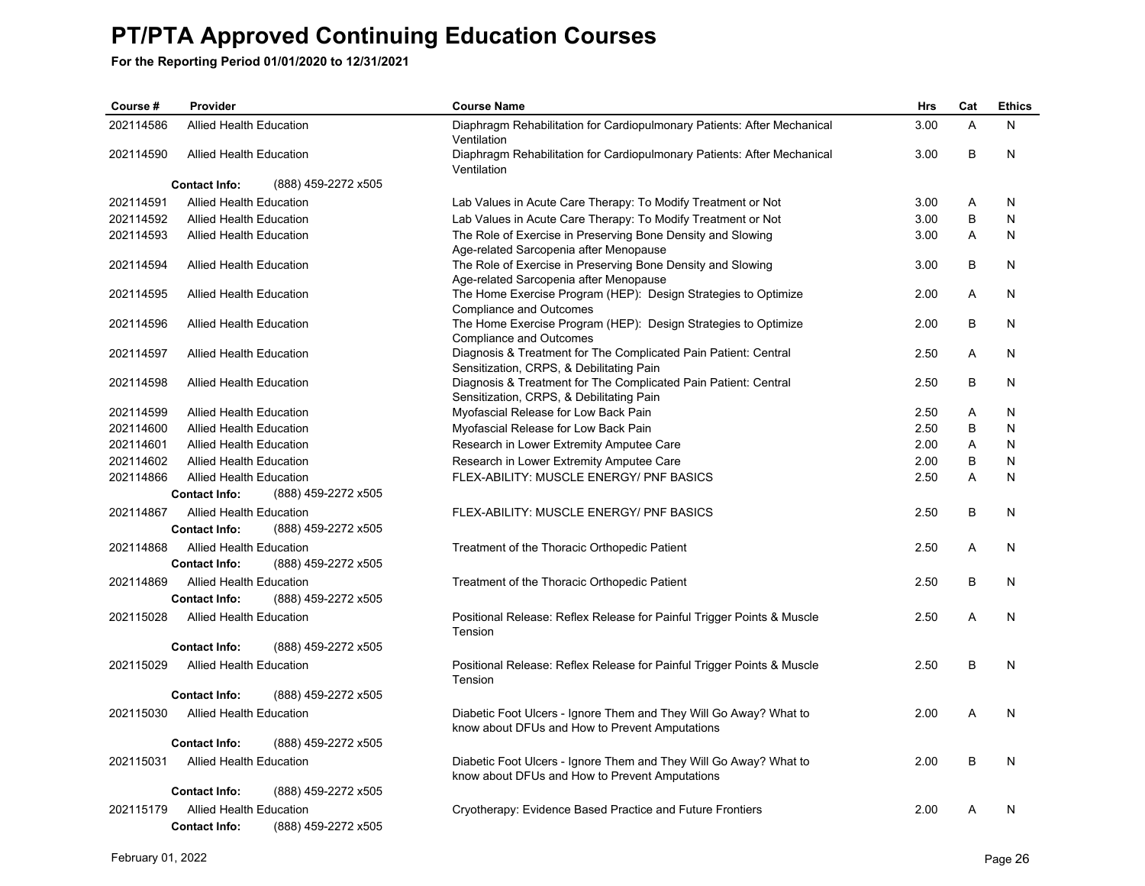| Course #  | Provider                       |                     | <b>Course Name</b>                                                                                                  | <b>Hrs</b> | Cat | <b>Ethics</b> |
|-----------|--------------------------------|---------------------|---------------------------------------------------------------------------------------------------------------------|------------|-----|---------------|
| 202114586 | <b>Allied Health Education</b> |                     | Diaphragm Rehabilitation for Cardiopulmonary Patients: After Mechanical<br>Ventilation                              | 3.00       | A   | N             |
| 202114590 | Allied Health Education        |                     | Diaphragm Rehabilitation for Cardiopulmonary Patients: After Mechanical<br>Ventilation                              | 3.00       | B   | N             |
|           | <b>Contact Info:</b>           | (888) 459-2272 x505 |                                                                                                                     |            |     |               |
| 202114591 | <b>Allied Health Education</b> |                     | Lab Values in Acute Care Therapy: To Modify Treatment or Not                                                        | 3.00       | Α   | N             |
| 202114592 | Allied Health Education        |                     | Lab Values in Acute Care Therapy: To Modify Treatment or Not                                                        | 3.00       | B   | N             |
| 202114593 | <b>Allied Health Education</b> |                     | The Role of Exercise in Preserving Bone Density and Slowing                                                         | 3.00       | A   | N             |
|           |                                |                     | Age-related Sarcopenia after Menopause                                                                              |            |     |               |
| 202114594 | <b>Allied Health Education</b> |                     | The Role of Exercise in Preserving Bone Density and Slowing                                                         | 3.00       | B   | N             |
|           |                                |                     | Age-related Sarcopenia after Menopause                                                                              |            | A   |               |
| 202114595 | <b>Allied Health Education</b> |                     | The Home Exercise Program (HEP): Design Strategies to Optimize<br>Compliance and Outcomes                           | 2.00       |     | N             |
| 202114596 | <b>Allied Health Education</b> |                     | The Home Exercise Program (HEP): Design Strategies to Optimize                                                      | 2.00       | B   | N             |
|           |                                |                     | <b>Compliance and Outcomes</b>                                                                                      |            |     |               |
| 202114597 | <b>Allied Health Education</b> |                     | Diagnosis & Treatment for The Complicated Pain Patient: Central                                                     | 2.50       | A   | N             |
|           |                                |                     | Sensitization, CRPS, & Debilitating Pain                                                                            |            |     |               |
| 202114598 | <b>Allied Health Education</b> |                     | Diagnosis & Treatment for The Complicated Pain Patient: Central                                                     | 2.50       | B   | N             |
| 202114599 | <b>Allied Health Education</b> |                     | Sensitization, CRPS, & Debilitating Pain                                                                            | 2.50       | A   | N             |
| 202114600 | <b>Allied Health Education</b> |                     | Myofascial Release for Low Back Pain<br>Myofascial Release for Low Back Pain                                        | 2.50       | B   | N             |
| 202114601 | <b>Allied Health Education</b> |                     | Research in Lower Extremity Amputee Care                                                                            | 2.00       | A   | N             |
| 202114602 | <b>Allied Health Education</b> |                     | Research in Lower Extremity Amputee Care                                                                            | 2.00       | B   | N             |
| 202114866 | <b>Allied Health Education</b> |                     | FLEX-ABILITY: MUSCLE ENERGY/ PNF BASICS                                                                             | 2.50       | A   | N             |
|           | <b>Contact Info:</b>           | (888) 459-2272 x505 |                                                                                                                     |            |     |               |
| 202114867 | <b>Allied Health Education</b> |                     | FLEX-ABILITY: MUSCLE ENERGY/ PNF BASICS                                                                             | 2.50       | B   | N             |
|           | <b>Contact Info:</b>           | (888) 459-2272 x505 |                                                                                                                     |            |     |               |
|           |                                |                     |                                                                                                                     |            |     |               |
| 202114868 | <b>Allied Health Education</b> |                     | Treatment of the Thoracic Orthopedic Patient                                                                        | 2.50       | A   | N             |
|           | <b>Contact Info:</b>           | (888) 459-2272 x505 |                                                                                                                     |            |     |               |
| 202114869 | Allied Health Education        |                     | Treatment of the Thoracic Orthopedic Patient                                                                        | 2.50       | B   | N             |
|           | <b>Contact Info:</b>           | (888) 459-2272 x505 |                                                                                                                     |            |     |               |
| 202115028 | <b>Allied Health Education</b> |                     | Positional Release: Reflex Release for Painful Trigger Points & Muscle<br>Tension                                   | 2.50       | A   | N             |
|           | <b>Contact Info:</b>           | (888) 459-2272 x505 |                                                                                                                     |            |     |               |
| 202115029 | <b>Allied Health Education</b> |                     | Positional Release: Reflex Release for Painful Trigger Points & Muscle<br>Tension                                   | 2.50       | B   | N             |
|           | <b>Contact Info:</b>           | (888) 459-2272 x505 |                                                                                                                     |            |     |               |
| 202115030 | <b>Allied Health Education</b> |                     | Diabetic Foot Ulcers - Ignore Them and They Will Go Away? What to<br>know about DFUs and How to Prevent Amputations | 2.00       | Α   | N             |
|           | <b>Contact Info:</b>           | (888) 459-2272 x505 |                                                                                                                     |            |     |               |
| 202115031 | <b>Allied Health Education</b> |                     | Diabetic Foot Ulcers - Ignore Them and They Will Go Away? What to                                                   | 2.00       | B   | N             |
|           |                                |                     | know about DFUs and How to Prevent Amputations                                                                      |            |     |               |
|           | <b>Contact Info:</b>           | (888) 459-2272 x505 |                                                                                                                     |            |     |               |
| 202115179 | <b>Allied Health Education</b> |                     | Cryotherapy: Evidence Based Practice and Future Frontiers                                                           | 2.00       | A   | N             |
|           | <b>Contact Info:</b>           | (888) 459-2272 x505 |                                                                                                                     |            |     |               |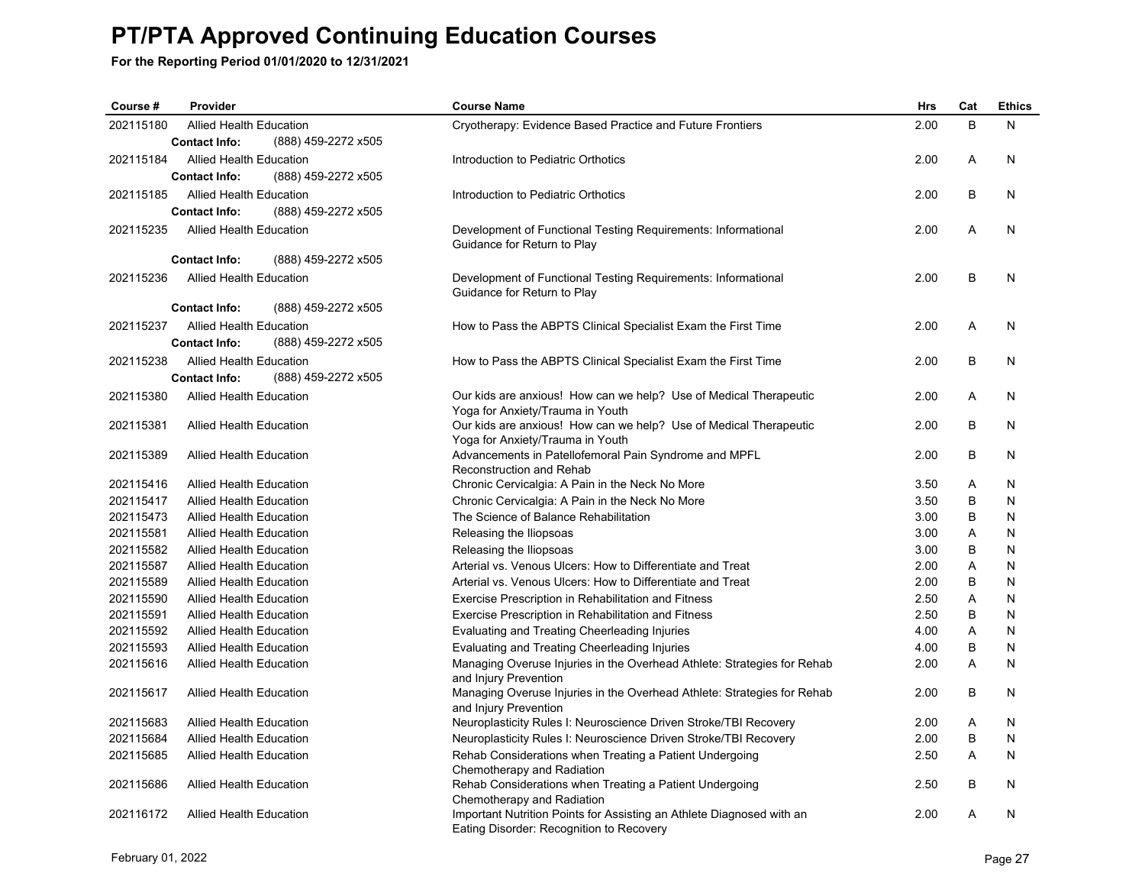| Course #  | Provider                       |                     | <b>Course Name</b>                                                                                                | <b>Hrs</b> | Cat     | <b>Ethics</b> |
|-----------|--------------------------------|---------------------|-------------------------------------------------------------------------------------------------------------------|------------|---------|---------------|
| 202115180 | <b>Allied Health Education</b> |                     | Cryotherapy: Evidence Based Practice and Future Frontiers                                                         | 2.00       | B       | N             |
|           | <b>Contact Info:</b>           | (888) 459-2272 x505 |                                                                                                                   |            |         |               |
| 202115184 | Allied Health Education        |                     | Introduction to Pediatric Orthotics                                                                               | 2.00       | Α       | N             |
|           | <b>Contact Info:</b>           | (888) 459-2272 x505 |                                                                                                                   |            |         |               |
| 202115185 | <b>Allied Health Education</b> |                     | Introduction to Pediatric Orthotics                                                                               | 2.00       | B       | N             |
|           | <b>Contact Info:</b>           | (888) 459-2272 x505 |                                                                                                                   |            |         |               |
| 202115235 | <b>Allied Health Education</b> |                     | Development of Functional Testing Requirements: Informational<br>Guidance for Return to Play                      | 2.00       | A       | N             |
|           | <b>Contact Info:</b>           | (888) 459-2272 x505 |                                                                                                                   |            |         |               |
| 202115236 | <b>Allied Health Education</b> |                     | Development of Functional Testing Requirements: Informational<br>Guidance for Return to Play                      | 2.00       | $\sf B$ | N             |
|           | <b>Contact Info:</b>           | (888) 459-2272 x505 |                                                                                                                   |            |         |               |
| 202115237 | <b>Allied Health Education</b> |                     | How to Pass the ABPTS Clinical Specialist Exam the First Time                                                     | 2.00       | A       | N             |
|           | <b>Contact Info:</b>           | (888) 459-2272 x505 |                                                                                                                   |            |         |               |
| 202115238 | <b>Allied Health Education</b> |                     | How to Pass the ABPTS Clinical Specialist Exam the First Time                                                     | 2.00       | B       | N             |
|           | <b>Contact Info:</b>           | (888) 459-2272 x505 |                                                                                                                   |            |         |               |
| 202115380 | <b>Allied Health Education</b> |                     | Our kids are anxious! How can we help? Use of Medical Therapeutic                                                 | 2.00       | A       | N             |
|           |                                |                     | Yoga for Anxiety/Trauma in Youth                                                                                  |            |         |               |
| 202115381 | <b>Allied Health Education</b> |                     | Our kids are anxious! How can we help? Use of Medical Therapeutic<br>Yoga for Anxiety/Trauma in Youth             | 2.00       | B       | N             |
| 202115389 | <b>Allied Health Education</b> |                     | Advancements in Patellofemoral Pain Syndrome and MPFL                                                             | 2.00       | B       | N             |
|           |                                |                     | Reconstruction and Rehab                                                                                          |            |         |               |
| 202115416 | <b>Allied Health Education</b> |                     | Chronic Cervicalgia: A Pain in the Neck No More                                                                   | 3.50       | A       | N             |
| 202115417 | <b>Allied Health Education</b> |                     | Chronic Cervicalgia: A Pain in the Neck No More                                                                   | 3.50       | B       | N             |
| 202115473 | <b>Allied Health Education</b> |                     | The Science of Balance Rehabilitation                                                                             | 3.00       | B       | N             |
| 202115581 | <b>Allied Health Education</b> |                     | Releasing the Iliopsoas                                                                                           | 3.00       | A       | N             |
| 202115582 | <b>Allied Health Education</b> |                     | Releasing the Iliopsoas                                                                                           | 3.00       | B       | N             |
| 202115587 | <b>Allied Health Education</b> |                     | Arterial vs. Venous Ulcers: How to Differentiate and Treat                                                        | 2.00       | Α       | N             |
| 202115589 | <b>Allied Health Education</b> |                     | Arterial vs. Venous Ulcers: How to Differentiate and Treat                                                        | 2.00       | B       | N             |
| 202115590 | <b>Allied Health Education</b> |                     | Exercise Prescription in Rehabilitation and Fitness                                                               | 2.50       | A       | N             |
| 202115591 | <b>Allied Health Education</b> |                     | Exercise Prescription in Rehabilitation and Fitness                                                               | 2.50       | B       | N             |
| 202115592 | <b>Allied Health Education</b> |                     | Evaluating and Treating Cheerleading Injuries                                                                     | 4.00       | A       | N             |
| 202115593 | <b>Allied Health Education</b> |                     | Evaluating and Treating Cheerleading Injuries                                                                     | 4.00       | В       | N             |
| 202115616 | Allied Health Education        |                     | Managing Overuse Injuries in the Overhead Athlete: Strategies for Rehab<br>and Injury Prevention                  | 2.00       | A       | N             |
| 202115617 | <b>Allied Health Education</b> |                     | Managing Overuse Injuries in the Overhead Athlete: Strategies for Rehab<br>and Injury Prevention                  | 2.00       | B       | N             |
| 202115683 | <b>Allied Health Education</b> |                     | Neuroplasticity Rules I: Neuroscience Driven Stroke/TBI Recovery                                                  | 2.00       | Α       | N             |
| 202115684 | Allied Health Education        |                     | Neuroplasticity Rules I: Neuroscience Driven Stroke/TBI Recovery                                                  | 2.00       | B       | N             |
| 202115685 | <b>Allied Health Education</b> |                     | Rehab Considerations when Treating a Patient Undergoing<br>Chemotherapy and Radiation                             | 2.50       | A       | N             |
| 202115686 | <b>Allied Health Education</b> |                     | Rehab Considerations when Treating a Patient Undergoing<br>Chemotherapy and Radiation                             | 2.50       | B       | N             |
| 202116172 | <b>Allied Health Education</b> |                     | Important Nutrition Points for Assisting an Athlete Diagnosed with an<br>Eating Disorder: Recognition to Recovery | 2.00       | A       | N             |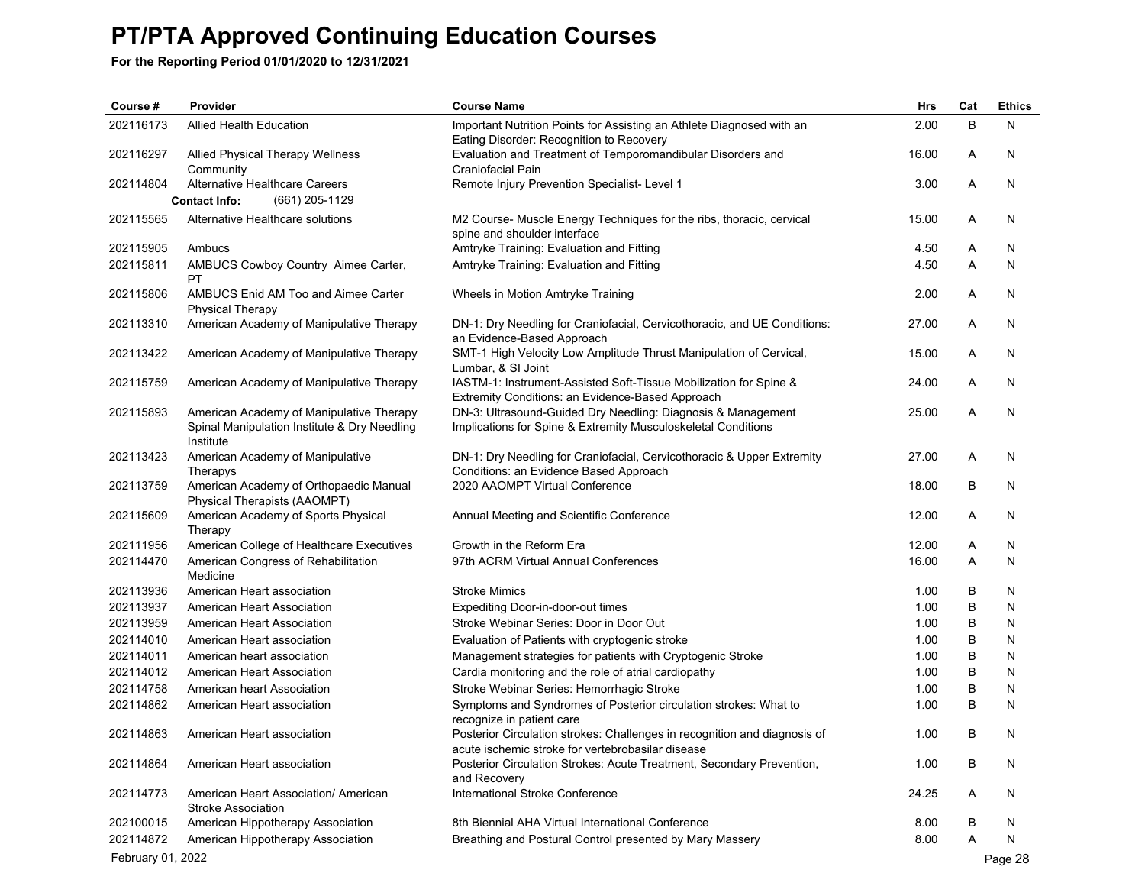| Course #          | Provider                                                               | <b>Course Name</b>                                                                                                             | Hrs   | Cat | <b>Ethics</b> |
|-------------------|------------------------------------------------------------------------|--------------------------------------------------------------------------------------------------------------------------------|-------|-----|---------------|
| 202116173         | <b>Allied Health Education</b>                                         | Important Nutrition Points for Assisting an Athlete Diagnosed with an<br>Eating Disorder: Recognition to Recovery              | 2.00  | B   | N             |
| 202116297         | Allied Physical Therapy Wellness<br>Community                          | Evaluation and Treatment of Temporomandibular Disorders and<br>Craniofacial Pain                                               | 16.00 | Α   | N             |
| 202114804         | Alternative Healthcare Careers                                         | Remote Injury Prevention Specialist- Level 1                                                                                   | 3.00  | Α   | N             |
|                   | <b>Contact Info:</b><br>(661) 205-1129                                 |                                                                                                                                |       |     |               |
| 202115565         | Alternative Healthcare solutions                                       | M2 Course- Muscle Energy Techniques for the ribs, thoracic, cervical<br>spine and shoulder interface                           | 15.00 | Α   | N             |
| 202115905         | Ambucs                                                                 | Amtryke Training: Evaluation and Fitting                                                                                       | 4.50  | Α   | N             |
| 202115811         | AMBUCS Cowboy Country Aimee Carter,<br>PT                              | Amtryke Training: Evaluation and Fitting                                                                                       | 4.50  | Α   | N             |
| 202115806         | AMBUCS Enid AM Too and Aimee Carter<br><b>Physical Therapy</b>         | Wheels in Motion Amtryke Training                                                                                              | 2.00  | Α   | N             |
| 202113310         | American Academy of Manipulative Therapy                               | DN-1: Dry Needling for Craniofacial, Cervicothoracic, and UE Conditions:<br>an Evidence-Based Approach                         | 27.00 | Α   | N             |
| 202113422         | American Academy of Manipulative Therapy                               | SMT-1 High Velocity Low Amplitude Thrust Manipulation of Cervical,<br>Lumbar, & SI Joint                                       | 15.00 | Α   | N             |
| 202115759         | American Academy of Manipulative Therapy                               | IASTM-1: Instrument-Assisted Soft-Tissue Mobilization for Spine &<br>Extremity Conditions: an Evidence-Based Approach          | 24.00 | Α   | N             |
| 202115893         | American Academy of Manipulative Therapy                               | DN-3: Ultrasound-Guided Dry Needling: Diagnosis & Management                                                                   | 25.00 | Α   | N             |
|                   | Spinal Manipulation Institute & Dry Needling<br>Institute              | Implications for Spine & Extremity Musculoskeletal Conditions                                                                  |       |     |               |
| 202113423         | American Academy of Manipulative<br>Therapys                           | DN-1: Dry Needling for Craniofacial, Cervicothoracic & Upper Extremity<br>Conditions: an Evidence Based Approach               | 27.00 | Α   | N             |
| 202113759         | American Academy of Orthopaedic Manual<br>Physical Therapists (AAOMPT) | 2020 AAOMPT Virtual Conference                                                                                                 | 18.00 | В   | N             |
| 202115609         | American Academy of Sports Physical<br>Therapy                         | Annual Meeting and Scientific Conference                                                                                       | 12.00 | Α   | N             |
| 202111956         | American College of Healthcare Executives                              | Growth in the Reform Era                                                                                                       | 12.00 | Α   | N             |
| 202114470         | American Congress of Rehabilitation<br>Medicine                        | 97th ACRM Virtual Annual Conferences                                                                                           | 16.00 | Α   | N             |
| 202113936         | American Heart association                                             | <b>Stroke Mimics</b>                                                                                                           | 1.00  | В   | N             |
| 202113937         | American Heart Association                                             | Expediting Door-in-door-out times                                                                                              | 1.00  | B   | N             |
| 202113959         | American Heart Association                                             | Stroke Webinar Series: Door in Door Out                                                                                        | 1.00  | B   | N             |
| 202114010         | American Heart association                                             | Evaluation of Patients with cryptogenic stroke                                                                                 | 1.00  | В   | N             |
| 202114011         | American heart association                                             | Management strategies for patients with Cryptogenic Stroke                                                                     | 1.00  | В   | N             |
| 202114012         | American Heart Association                                             | Cardia monitoring and the role of atrial cardiopathy                                                                           | 1.00  | В   | N             |
| 202114758         | American heart Association                                             | Stroke Webinar Series: Hemorrhagic Stroke                                                                                      | 1.00  | B   | N             |
| 202114862         | American Heart association                                             | Symptoms and Syndromes of Posterior circulation strokes: What to<br>recognize in patient care                                  | 1.00  | B   | N             |
| 202114863         | American Heart association                                             | Posterior Circulation strokes: Challenges in recognition and diagnosis of<br>acute ischemic stroke for vertebrobasilar disease | 1.00  | B   | N             |
| 202114864         | American Heart association                                             | Posterior Circulation Strokes: Acute Treatment, Secondary Prevention,<br>and Recovery                                          | 1.00  | B   | N             |
| 202114773         | American Heart Association/ American<br><b>Stroke Association</b>      | International Stroke Conference                                                                                                | 24.25 | A   | N             |
| 202100015         | American Hippotherapy Association                                      | 8th Biennial AHA Virtual International Conference                                                                              | 8.00  | B   | N             |
| 202114872         | American Hippotherapy Association                                      | Breathing and Postural Control presented by Mary Massery                                                                       | 8.00  | A   | N             |
| February 01, 2022 |                                                                        |                                                                                                                                |       |     | Page 28       |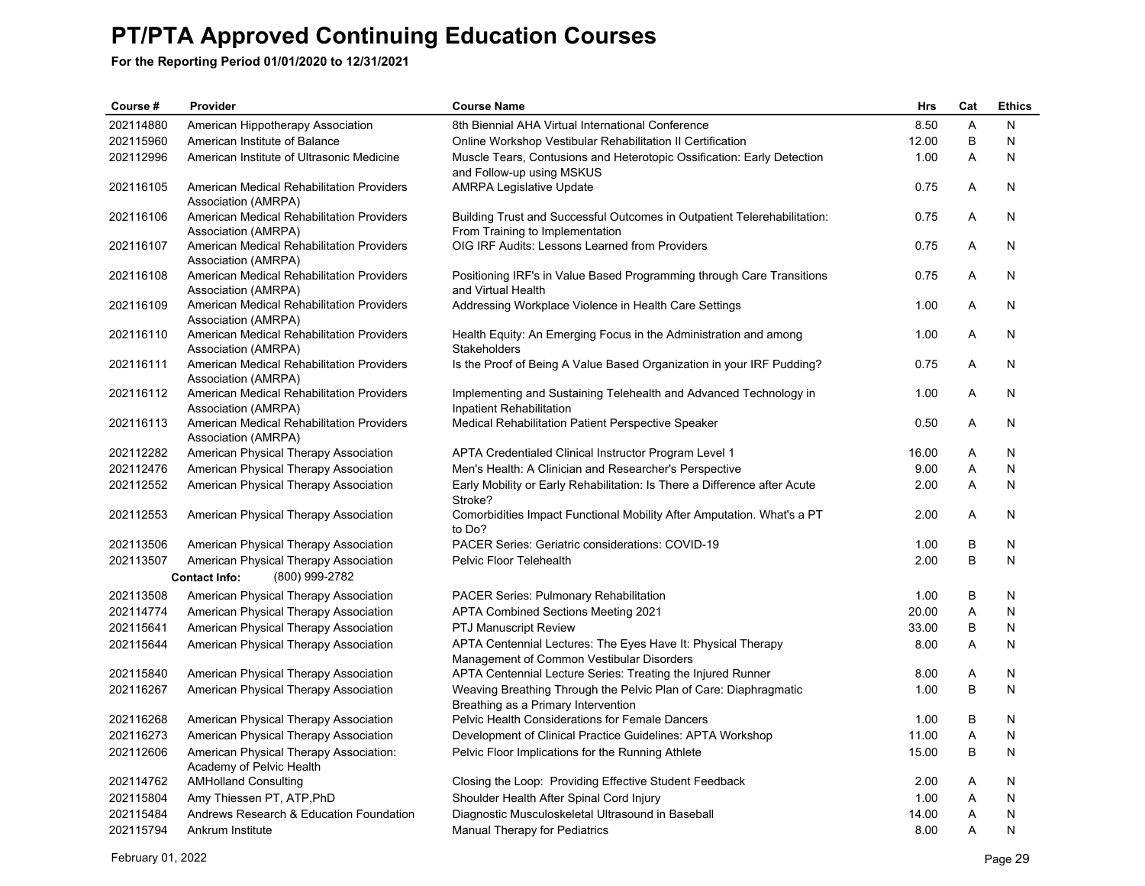| Course #  | Provider                                                           | <b>Course Name</b>                                                                                          | Hrs   | Cat     | <b>Ethics</b> |
|-----------|--------------------------------------------------------------------|-------------------------------------------------------------------------------------------------------------|-------|---------|---------------|
| 202114880 | American Hippotherapy Association                                  | 8th Biennial AHA Virtual International Conference                                                           | 8.50  | A       | N             |
| 202115960 | American Institute of Balance                                      | Online Workshop Vestibular Rehabilitation II Certification                                                  | 12.00 | $\sf B$ | N             |
| 202112996 | American Institute of Ultrasonic Medicine                          | Muscle Tears, Contusions and Heterotopic Ossification: Early Detection<br>and Follow-up using MSKUS         | 1.00  | A       | N             |
| 202116105 | American Medical Rehabilitation Providers<br>Association (AMRPA)   | <b>AMRPA Legislative Update</b>                                                                             | 0.75  | A       | N             |
| 202116106 | American Medical Rehabilitation Providers<br>Association (AMRPA)   | Building Trust and Successful Outcomes in Outpatient Telerehabilitation:<br>From Training to Implementation | 0.75  | A       | N             |
| 202116107 | American Medical Rehabilitation Providers<br>Association (AMRPA)   | OIG IRF Audits: Lessons Learned from Providers                                                              | 0.75  | A       | N             |
| 202116108 | American Medical Rehabilitation Providers<br>Association (AMRPA)   | Positioning IRF's in Value Based Programming through Care Transitions<br>and Virtual Health                 | 0.75  | A       | N             |
| 202116109 | American Medical Rehabilitation Providers<br>Association (AMRPA)   | Addressing Workplace Violence in Health Care Settings                                                       | 1.00  | Α       | N             |
| 202116110 | American Medical Rehabilitation Providers<br>Association (AMRPA)   | Health Equity: An Emerging Focus in the Administration and among<br>Stakeholders                            | 1.00  | A       | N             |
| 202116111 | American Medical Rehabilitation Providers<br>Association (AMRPA)   | Is the Proof of Being A Value Based Organization in your IRF Pudding?                                       | 0.75  | A       | N             |
| 202116112 | American Medical Rehabilitation Providers<br>Association (AMRPA)   | Implementing and Sustaining Telehealth and Advanced Technology in<br>Inpatient Rehabilitation               | 1.00  | Α       | N             |
| 202116113 | American Medical Rehabilitation Providers<br>Association (AMRPA)   | Medical Rehabilitation Patient Perspective Speaker                                                          | 0.50  | A       | N             |
| 202112282 | American Physical Therapy Association                              | APTA Credentialed Clinical Instructor Program Level 1                                                       | 16.00 | Α       | N             |
| 202112476 | American Physical Therapy Association                              | Men's Health: A Clinician and Researcher's Perspective                                                      | 9.00  | A       | N             |
| 202112552 | American Physical Therapy Association                              | Early Mobility or Early Rehabilitation: Is There a Difference after Acute<br>Stroke?                        | 2.00  | A       | N             |
| 202112553 | American Physical Therapy Association                              | Comorbidities Impact Functional Mobility After Amputation. What's a PT<br>to Do?                            | 2.00  | Α       | N             |
| 202113506 | American Physical Therapy Association                              | PACER Series: Geriatric considerations: COVID-19                                                            | 1.00  | В       | N             |
| 202113507 | American Physical Therapy Association                              | Pelvic Floor Telehealth                                                                                     | 2.00  | B       | N             |
|           | <b>Contact Info:</b><br>(800) 999-2782                             |                                                                                                             |       |         |               |
| 202113508 | American Physical Therapy Association                              | <b>PACER Series: Pulmonary Rehabilitation</b>                                                               | 1.00  | B       | N             |
| 202114774 | American Physical Therapy Association                              | <b>APTA Combined Sections Meeting 2021</b>                                                                  | 20.00 | A       | N             |
| 202115641 | American Physical Therapy Association                              | <b>PTJ Manuscript Review</b>                                                                                | 33.00 | $\sf B$ | N             |
| 202115644 | American Physical Therapy Association                              | APTA Centennial Lectures: The Eyes Have It: Physical Therapy<br>Management of Common Vestibular Disorders   | 8.00  | A       | N             |
| 202115840 | American Physical Therapy Association                              | APTA Centennial Lecture Series: Treating the Injured Runner                                                 | 8.00  | Α       | N             |
| 202116267 | American Physical Therapy Association                              | Weaving Breathing Through the Pelvic Plan of Care: Diaphragmatic<br>Breathing as a Primary Intervention     | 1.00  | B       | N             |
| 202116268 | American Physical Therapy Association                              | Pelvic Health Considerations for Female Dancers                                                             | 1.00  | B       | N             |
| 202116273 | American Physical Therapy Association                              | Development of Clinical Practice Guidelines: APTA Workshop                                                  | 11.00 | A       | $\mathsf{N}$  |
| 202112606 | American Physical Therapy Association:<br>Academy of Pelvic Health | Pelvic Floor Implications for the Running Athlete                                                           | 15.00 | B       | N             |
| 202114762 | <b>AMHolland Consulting</b>                                        | Closing the Loop: Providing Effective Student Feedback                                                      | 2.00  | Α       | N             |
| 202115804 | Amy Thiessen PT, ATP, PhD                                          | Shoulder Health After Spinal Cord Injury                                                                    | 1.00  | A       | ${\sf N}$     |
| 202115484 | Andrews Research & Education Foundation                            | Diagnostic Musculoskeletal Ultrasound in Baseball                                                           | 14.00 | A       | N             |
| 202115794 | Ankrum Institute                                                   | Manual Therapy for Pediatrics                                                                               | 8.00  | A       | N             |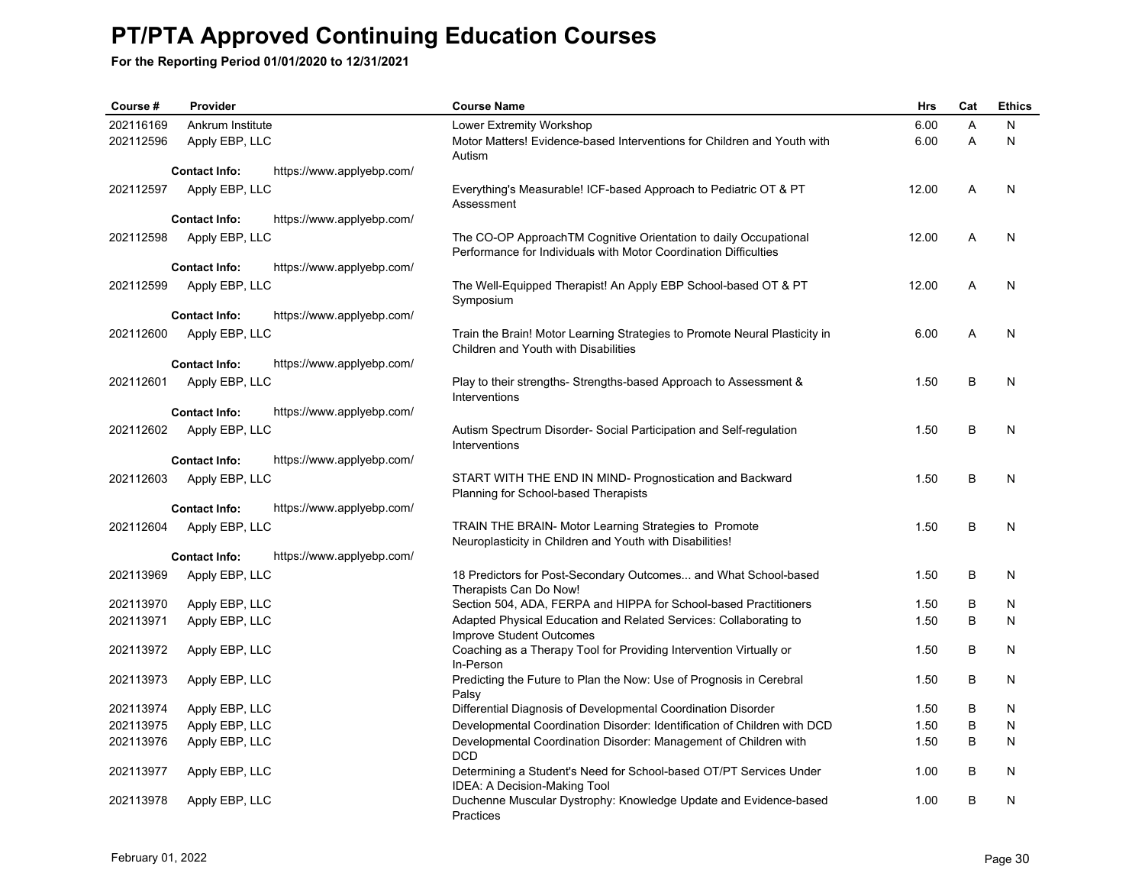| Course #  | Provider             |                           | <b>Course Name</b>                                                                                                                   | <b>Hrs</b> | Cat | <b>Ethics</b> |
|-----------|----------------------|---------------------------|--------------------------------------------------------------------------------------------------------------------------------------|------------|-----|---------------|
| 202116169 | Ankrum Institute     |                           | Lower Extremity Workshop                                                                                                             | 6.00       | A   | N             |
| 202112596 | Apply EBP, LLC       |                           | Motor Matters! Evidence-based Interventions for Children and Youth with<br>Autism                                                    | 6.00       | A   | N             |
|           | <b>Contact Info:</b> | https://www.applyebp.com/ |                                                                                                                                      |            |     |               |
| 202112597 | Apply EBP, LLC       |                           | Everything's Measurable! ICF-based Approach to Pediatric OT & PT<br>Assessment                                                       | 12.00      | A   | N             |
|           | <b>Contact Info:</b> | https://www.applyebp.com/ |                                                                                                                                      |            |     |               |
| 202112598 | Apply EBP, LLC       |                           | The CO-OP ApproachTM Cognitive Orientation to daily Occupational<br>Performance for Individuals with Motor Coordination Difficulties | 12.00      | A   | N             |
|           | <b>Contact Info:</b> | https://www.applyebp.com/ |                                                                                                                                      |            |     |               |
| 202112599 | Apply EBP, LLC       |                           | The Well-Equipped Therapist! An Apply EBP School-based OT & PT<br>Symposium                                                          | 12.00      | A   | N             |
|           | <b>Contact Info:</b> | https://www.applyebp.com/ |                                                                                                                                      |            |     |               |
| 202112600 | Apply EBP, LLC       |                           | Train the Brain! Motor Learning Strategies to Promote Neural Plasticity in<br>Children and Youth with Disabilities                   | 6.00       | A   | N             |
|           | <b>Contact Info:</b> | https://www.applyebp.com/ |                                                                                                                                      |            |     |               |
| 202112601 | Apply EBP, LLC       |                           | Play to their strengths-Strengths-based Approach to Assessment &<br>Interventions                                                    | 1.50       | B   | N             |
|           | <b>Contact Info:</b> | https://www.applyebp.com/ |                                                                                                                                      |            |     |               |
| 202112602 | Apply EBP, LLC       |                           | Autism Spectrum Disorder- Social Participation and Self-regulation<br>Interventions                                                  | 1.50       | B   | N             |
|           | <b>Contact Info:</b> | https://www.applyebp.com/ |                                                                                                                                      |            |     |               |
| 202112603 | Apply EBP, LLC       |                           | START WITH THE END IN MIND- Prognostication and Backward<br>Planning for School-based Therapists                                     | 1.50       | B   | N             |
|           | <b>Contact Info:</b> | https://www.applyebp.com/ |                                                                                                                                      |            |     |               |
| 202112604 | Apply EBP, LLC       |                           | <b>TRAIN THE BRAIN- Motor Learning Strategies to Promote</b><br>Neuroplasticity in Children and Youth with Disabilities!             | 1.50       | B   | N             |
|           | <b>Contact Info:</b> | https://www.applyebp.com/ |                                                                                                                                      |            |     |               |
| 202113969 | Apply EBP, LLC       |                           | 18 Predictors for Post-Secondary Outcomes and What School-based<br>Therapists Can Do Now!                                            | 1.50       | B   | N             |
| 202113970 | Apply EBP, LLC       |                           | Section 504, ADA, FERPA and HIPPA for School-based Practitioners                                                                     | 1.50       | B   | N             |
| 202113971 | Apply EBP, LLC       |                           | Adapted Physical Education and Related Services: Collaborating to<br>Improve Student Outcomes                                        | 1.50       | B   | N             |
| 202113972 | Apply EBP, LLC       |                           | Coaching as a Therapy Tool for Providing Intervention Virtually or<br>In-Person                                                      | 1.50       | B   | N             |
| 202113973 | Apply EBP, LLC       |                           | Predicting the Future to Plan the Now: Use of Prognosis in Cerebral<br>Palsy                                                         | 1.50       | B   | N             |
| 202113974 | Apply EBP, LLC       |                           | Differential Diagnosis of Developmental Coordination Disorder                                                                        | 1.50       | B   | N             |
| 202113975 | Apply EBP, LLC       |                           | Developmental Coordination Disorder: Identification of Children with DCD                                                             | 1.50       | B   | N             |
| 202113976 | Apply EBP, LLC       |                           | Developmental Coordination Disorder: Management of Children with<br><b>DCD</b>                                                       | 1.50       | B   | N             |
| 202113977 | Apply EBP, LLC       |                           | Determining a Student's Need for School-based OT/PT Services Under<br>IDEA: A Decision-Making Tool                                   | 1.00       | B   | N             |
| 202113978 | Apply EBP, LLC       |                           | Duchenne Muscular Dystrophy: Knowledge Update and Evidence-based<br>Practices                                                        | 1.00       | B   | N             |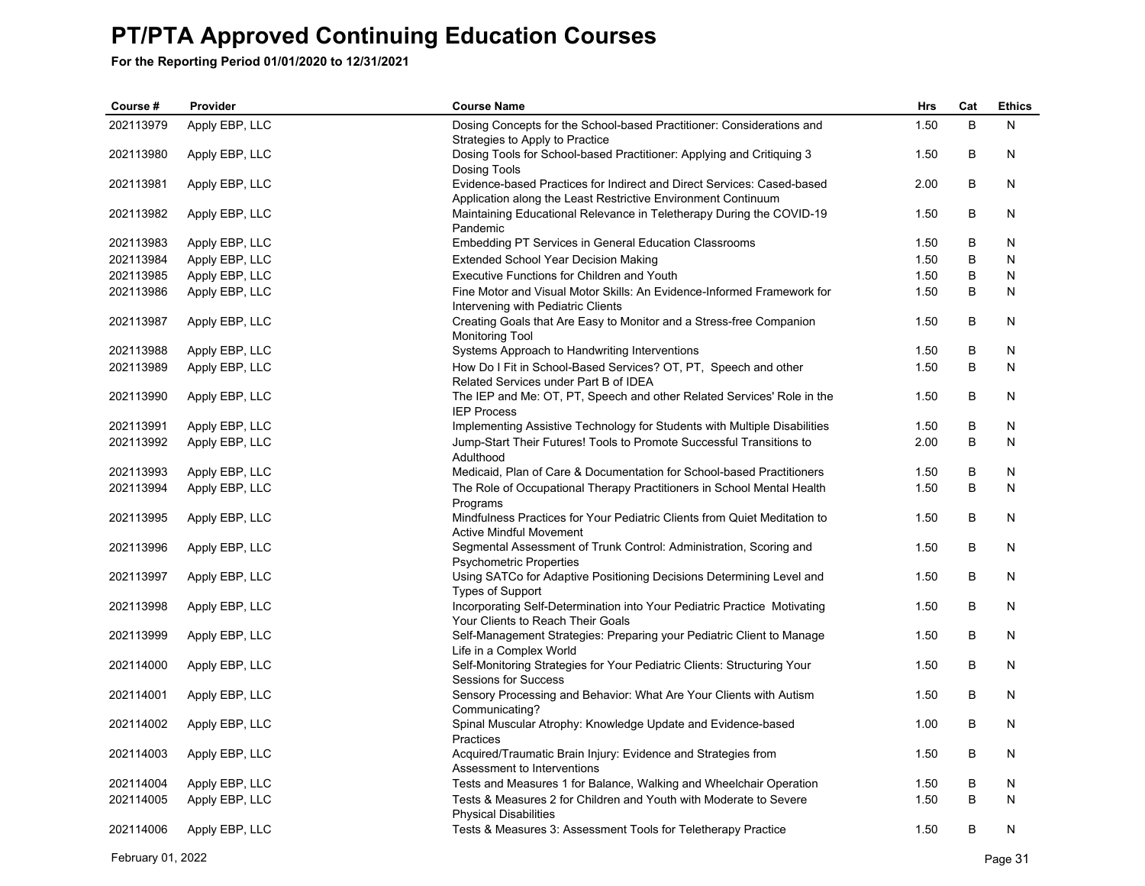**For the Reporting Period 01/01/2020 to 12/31/2021**

| Course #  | Provider       | <b>Course Name</b>                                                                                                                      | Hrs  | Cat | <b>Ethics</b> |
|-----------|----------------|-----------------------------------------------------------------------------------------------------------------------------------------|------|-----|---------------|
| 202113979 | Apply EBP, LLC | Dosing Concepts for the School-based Practitioner: Considerations and<br>Strategies to Apply to Practice                                | 1.50 | B   | N             |
| 202113980 | Apply EBP, LLC | Dosing Tools for School-based Practitioner: Applying and Critiquing 3<br>Dosing Tools                                                   | 1.50 | В   | N             |
| 202113981 | Apply EBP, LLC | Evidence-based Practices for Indirect and Direct Services: Cased-based<br>Application along the Least Restrictive Environment Continuum | 2.00 | B   | N             |
| 202113982 | Apply EBP, LLC | Maintaining Educational Relevance in Teletherapy During the COVID-19<br>Pandemic                                                        | 1.50 | B   | N             |
| 202113983 | Apply EBP, LLC | <b>Embedding PT Services in General Education Classrooms</b>                                                                            | 1.50 | В   | N             |
| 202113984 | Apply EBP, LLC | Extended School Year Decision Making                                                                                                    | 1.50 | B   | N             |
| 202113985 | Apply EBP, LLC | Executive Functions for Children and Youth                                                                                              | 1.50 | B   | N             |
| 202113986 | Apply EBP, LLC | Fine Motor and Visual Motor Skills: An Evidence-Informed Framework for<br>Intervening with Pediatric Clients                            | 1.50 | B   | N             |
| 202113987 | Apply EBP, LLC | Creating Goals that Are Easy to Monitor and a Stress-free Companion<br>Monitoring Tool                                                  | 1.50 | B   | N             |
| 202113988 | Apply EBP, LLC | Systems Approach to Handwriting Interventions                                                                                           | 1.50 | В   | N             |
| 202113989 | Apply EBP, LLC | How Do I Fit in School-Based Services? OT, PT, Speech and other<br>Related Services under Part B of IDEA                                | 1.50 | B   | N             |
| 202113990 | Apply EBP, LLC | The IEP and Me: OT, PT, Speech and other Related Services' Role in the<br><b>IEP Process</b>                                            | 1.50 | B   | N             |
| 202113991 | Apply EBP, LLC | Implementing Assistive Technology for Students with Multiple Disabilities                                                               | 1.50 | B   | N             |
| 202113992 | Apply EBP, LLC | Jump-Start Their Futures! Tools to Promote Successful Transitions to<br>Adulthood                                                       | 2.00 | B   | N             |
| 202113993 | Apply EBP, LLC | Medicaid, Plan of Care & Documentation for School-based Practitioners                                                                   | 1.50 | B   | N             |
| 202113994 | Apply EBP, LLC | The Role of Occupational Therapy Practitioners in School Mental Health<br>Programs                                                      | 1.50 | B   | N             |
| 202113995 | Apply EBP, LLC | Mindfulness Practices for Your Pediatric Clients from Quiet Meditation to<br><b>Active Mindful Movement</b>                             | 1.50 | B   | N             |
| 202113996 | Apply EBP, LLC | Segmental Assessment of Trunk Control: Administration, Scoring and<br><b>Psychometric Properties</b>                                    | 1.50 | B   | N             |
| 202113997 | Apply EBP, LLC | Using SATCo for Adaptive Positioning Decisions Determining Level and<br><b>Types of Support</b>                                         | 1.50 | B   | N             |
| 202113998 | Apply EBP, LLC | Incorporating Self-Determination into Your Pediatric Practice Motivating<br>Your Clients to Reach Their Goals                           | 1.50 | B   | N             |
| 202113999 | Apply EBP, LLC | Self-Management Strategies: Preparing your Pediatric Client to Manage<br>Life in a Complex World                                        | 1.50 | B   | N             |
| 202114000 | Apply EBP, LLC | Self-Monitoring Strategies for Your Pediatric Clients: Structuring Your<br>Sessions for Success                                         | 1.50 | B   | N             |
| 202114001 | Apply EBP, LLC | Sensory Processing and Behavior: What Are Your Clients with Autism<br>Communicating?                                                    | 1.50 | B   | N             |
| 202114002 | Apply EBP, LLC | Spinal Muscular Atrophy: Knowledge Update and Evidence-based<br>Practices                                                               | 1.00 | B   | N             |
| 202114003 | Apply EBP, LLC | Acquired/Traumatic Brain Injury: Evidence and Strategies from<br>Assessment to Interventions                                            | 1.50 | B   | N             |
| 202114004 | Apply EBP, LLC | Tests and Measures 1 for Balance, Walking and Wheelchair Operation                                                                      | 1.50 | В   | N             |
| 202114005 | Apply EBP, LLC | Tests & Measures 2 for Children and Youth with Moderate to Severe<br><b>Physical Disabilities</b>                                       | 1.50 | B   | N             |
| 202114006 | Apply EBP, LLC | Tests & Measures 3: Assessment Tools for Teletherapy Practice                                                                           | 1.50 | B   | N             |

February 01, 2022 Page 31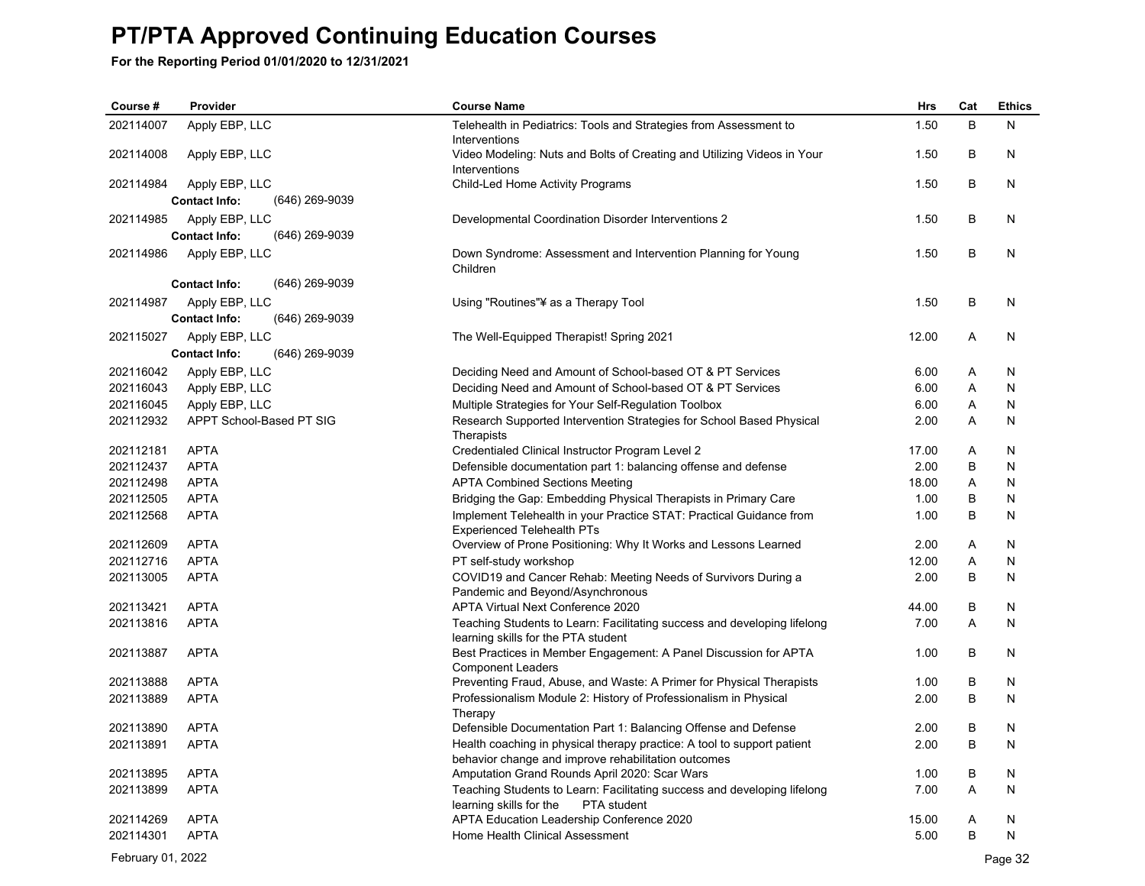**For the Reporting Period 01/01/2020 to 12/31/2021**

| Course #  | Provider                               | <b>Course Name</b>                                                                                                             | <b>Hrs</b> | Cat | <b>Ethics</b> |
|-----------|----------------------------------------|--------------------------------------------------------------------------------------------------------------------------------|------------|-----|---------------|
| 202114007 | Apply EBP, LLC                         | Telehealth in Pediatrics: Tools and Strategies from Assessment to<br>Interventions                                             | 1.50       | B   | Ν             |
| 202114008 | Apply EBP, LLC                         | Video Modeling: Nuts and Bolts of Creating and Utilizing Videos in Your<br>Interventions                                       | 1.50       | В   | N             |
| 202114984 | Apply EBP, LLC                         | Child-Led Home Activity Programs                                                                                               | 1.50       | B   | N             |
|           | <b>Contact Info:</b><br>(646) 269-9039 |                                                                                                                                |            |     |               |
| 202114985 | Apply EBP, LLC                         | Developmental Coordination Disorder Interventions 2                                                                            | 1.50       | B   | N             |
|           | (646) 269-9039<br><b>Contact Info:</b> |                                                                                                                                |            |     |               |
| 202114986 | Apply EBP, LLC                         | Down Syndrome: Assessment and Intervention Planning for Young<br>Children                                                      | 1.50       | B   | N             |
|           | <b>Contact Info:</b><br>(646) 269-9039 |                                                                                                                                |            |     |               |
| 202114987 | Apply EBP, LLC                         | Using "Routines"¥ as a Therapy Tool                                                                                            | 1.50       | B   | N             |
|           | <b>Contact Info:</b><br>(646) 269-9039 |                                                                                                                                |            |     |               |
| 202115027 | Apply EBP, LLC                         | The Well-Equipped Therapist! Spring 2021                                                                                       | 12.00      | A   | N             |
|           | (646) 269-9039<br><b>Contact Info:</b> |                                                                                                                                |            |     |               |
| 202116042 | Apply EBP, LLC                         | Deciding Need and Amount of School-based OT & PT Services                                                                      | 6.00       | A   | N             |
| 202116043 | Apply EBP, LLC                         | Deciding Need and Amount of School-based OT & PT Services                                                                      | 6.00       | Α   | N             |
| 202116045 | Apply EBP, LLC                         | Multiple Strategies for Your Self-Regulation Toolbox                                                                           | 6.00       | A   | N             |
| 202112932 | APPT School-Based PT SIG               | Research Supported Intervention Strategies for School Based Physical<br>Therapists                                             | 2.00       | A   | N             |
| 202112181 | <b>APTA</b>                            | Credentialed Clinical Instructor Program Level 2                                                                               | 17.00      | Α   | N             |
| 202112437 | <b>APTA</b>                            | Defensible documentation part 1: balancing offense and defense                                                                 | 2.00       | B   | N             |
| 202112498 | <b>APTA</b>                            | <b>APTA Combined Sections Meeting</b>                                                                                          | 18.00      | Α   | N             |
| 202112505 | <b>APTA</b>                            | Bridging the Gap: Embedding Physical Therapists in Primary Care                                                                | 1.00       | B   | N             |
| 202112568 | <b>APTA</b>                            | Implement Telehealth in your Practice STAT: Practical Guidance from<br><b>Experienced Telehealth PTs</b>                       | 1.00       | B   | N             |
| 202112609 | <b>APTA</b>                            | Overview of Prone Positioning: Why It Works and Lessons Learned                                                                | 2.00       | A   | N             |
| 202112716 | <b>APTA</b>                            | PT self-study workshop                                                                                                         | 12.00      | Α   | N             |
| 202113005 | <b>APTA</b>                            | COVID19 and Cancer Rehab: Meeting Needs of Survivors During a<br>Pandemic and Beyond/Asynchronous                              | 2.00       | B   | N             |
| 202113421 | <b>APTA</b>                            | <b>APTA Virtual Next Conference 2020</b>                                                                                       | 44.00      | B   | N             |
| 202113816 | <b>APTA</b>                            | Teaching Students to Learn: Facilitating success and developing lifelong<br>learning skills for the PTA student                | 7.00       | A   | N             |
| 202113887 | <b>APTA</b>                            | Best Practices in Member Engagement: A Panel Discussion for APTA<br><b>Component Leaders</b>                                   | 1.00       | B   | N             |
| 202113888 | <b>APTA</b>                            | Preventing Fraud, Abuse, and Waste: A Primer for Physical Therapists                                                           | 1.00       | B   | N             |
| 202113889 | <b>APTA</b>                            | Professionalism Module 2: History of Professionalism in Physical<br>Therapy                                                    | 2.00       | B   | N             |
| 202113890 | <b>APTA</b>                            | Defensible Documentation Part 1: Balancing Offense and Defense                                                                 | 2.00       | B   | N             |
| 202113891 | <b>APTA</b>                            | Health coaching in physical therapy practice: A tool to support patient<br>behavior change and improve rehabilitation outcomes | 2.00       | B   | N             |
| 202113895 | <b>APTA</b>                            | Amputation Grand Rounds April 2020: Scar Wars                                                                                  | 1.00       | В   | N             |
| 202113899 | <b>APTA</b>                            | Teaching Students to Learn: Facilitating success and developing lifelong<br>learning skills for the<br>PTA student             | 7.00       | A   | N             |
| 202114269 | <b>APTA</b>                            | APTA Education Leadership Conference 2020                                                                                      | 15.00      | Α   | N             |
| 202114301 | <b>APTA</b>                            | Home Health Clinical Assessment                                                                                                | 5.00       | B   | N             |

February 01, 2022 Page 32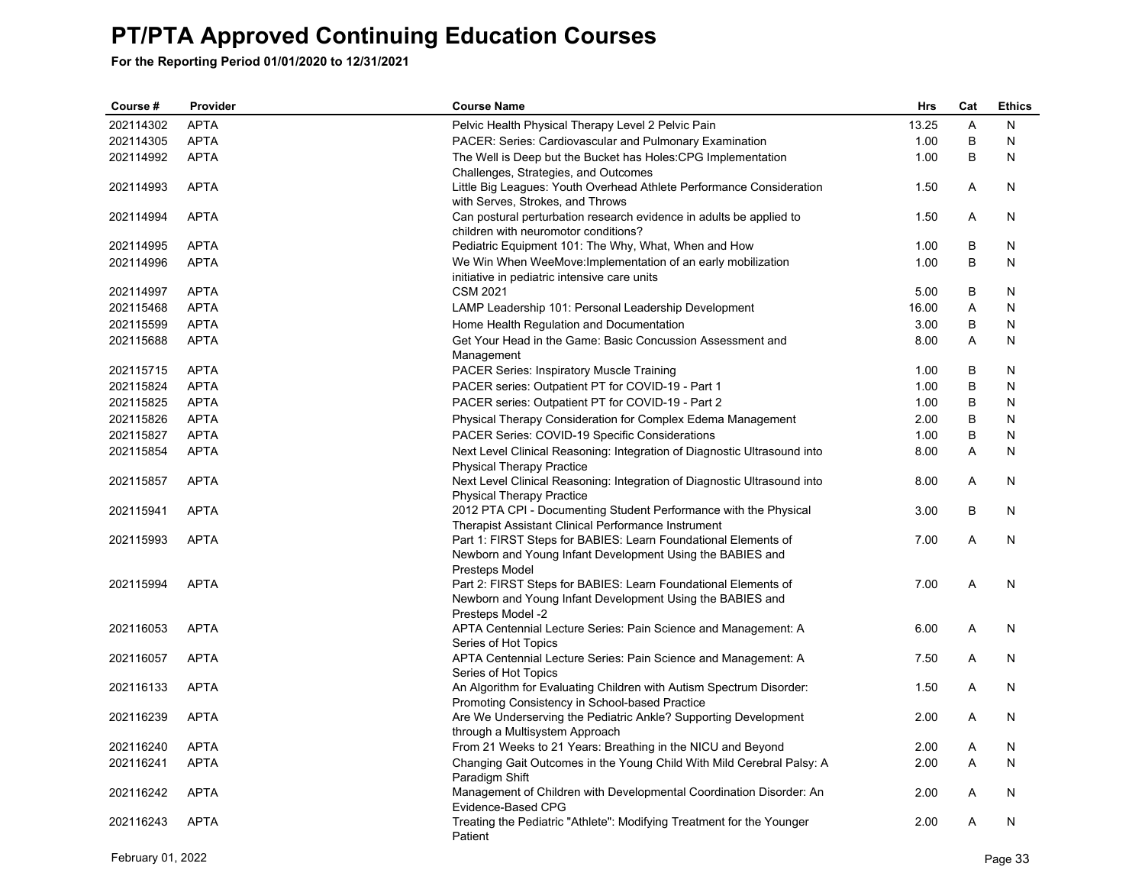| Course #  | Provider    | <b>Course Name</b>                                                                     | Hrs   | Cat | <b>Ethics</b> |
|-----------|-------------|----------------------------------------------------------------------------------------|-------|-----|---------------|
| 202114302 | <b>APTA</b> | Pelvic Health Physical Therapy Level 2 Pelvic Pain                                     | 13.25 | A   | N             |
| 202114305 | <b>APTA</b> | PACER: Series: Cardiovascular and Pulmonary Examination                                | 1.00  | B   | N             |
| 202114992 | <b>APTA</b> | The Well is Deep but the Bucket has Holes: CPG Implementation                          | 1.00  | B   | N             |
|           |             | Challenges, Strategies, and Outcomes                                                   |       |     |               |
| 202114993 | <b>APTA</b> | Little Big Leagues: Youth Overhead Athlete Performance Consideration                   | 1.50  | A   | N             |
|           |             | with Serves, Strokes, and Throws                                                       |       |     |               |
| 202114994 | <b>APTA</b> | Can postural perturbation research evidence in adults be applied to                    | 1.50  | A   | N             |
|           |             | children with neuromotor conditions?                                                   |       |     |               |
| 202114995 | <b>APTA</b> | Pediatric Equipment 101: The Why, What, When and How                                   | 1.00  | B   | N             |
| 202114996 | <b>APTA</b> | We Win When WeeMove: Implementation of an early mobilization                           | 1.00  | B   | N             |
| 202114997 | <b>APTA</b> | initiative in pediatric intensive care units<br><b>CSM 2021</b>                        | 5.00  | B   | N             |
| 202115468 | <b>APTA</b> | LAMP Leadership 101: Personal Leadership Development                                   | 16.00 | A   | N             |
|           | <b>APTA</b> |                                                                                        |       |     |               |
| 202115599 |             | Home Health Regulation and Documentation                                               | 3.00  | В   | N             |
| 202115688 | <b>APTA</b> | Get Your Head in the Game: Basic Concussion Assessment and<br>Management               | 8.00  | A   | N             |
| 202115715 | <b>APTA</b> | <b>PACER Series: Inspiratory Muscle Training</b>                                       | 1.00  | В   | N             |
| 202115824 | <b>APTA</b> | PACER series: Outpatient PT for COVID-19 - Part 1                                      | 1.00  | B   | N             |
| 202115825 | <b>APTA</b> | PACER series: Outpatient PT for COVID-19 - Part 2                                      | 1.00  | B   | N             |
| 202115826 | <b>APTA</b> | Physical Therapy Consideration for Complex Edema Management                            | 2.00  | B   | N             |
| 202115827 | <b>APTA</b> | PACER Series: COVID-19 Specific Considerations                                         | 1.00  | B   | N             |
| 202115854 | <b>APTA</b> | Next Level Clinical Reasoning: Integration of Diagnostic Ultrasound into               | 8.00  | A   | N             |
|           |             | <b>Physical Therapy Practice</b>                                                       |       |     |               |
| 202115857 | <b>APTA</b> | Next Level Clinical Reasoning: Integration of Diagnostic Ultrasound into               | 8.00  | Α   | N             |
|           |             | <b>Physical Therapy Practice</b>                                                       |       |     |               |
| 202115941 | <b>APTA</b> | 2012 PTA CPI - Documenting Student Performance with the Physical                       | 3.00  | B   | N             |
|           |             | Therapist Assistant Clinical Performance Instrument                                    |       |     |               |
| 202115993 | <b>APTA</b> | Part 1: FIRST Steps for BABIES: Learn Foundational Elements of                         | 7.00  | A   | N             |
|           |             | Newborn and Young Infant Development Using the BABIES and                              |       |     |               |
|           |             | Presteps Model                                                                         |       |     |               |
| 202115994 | <b>APTA</b> | Part 2: FIRST Steps for BABIES: Learn Foundational Elements of                         | 7.00  | A   | N             |
|           |             | Newborn and Young Infant Development Using the BABIES and                              |       |     |               |
| 202116053 | <b>APTA</b> | Presteps Model -2                                                                      | 6.00  | A   | N             |
|           |             | APTA Centennial Lecture Series: Pain Science and Management: A<br>Series of Hot Topics |       |     |               |
| 202116057 | <b>APTA</b> | APTA Centennial Lecture Series: Pain Science and Management: A                         | 7.50  | A   | N             |
|           |             | Series of Hot Topics                                                                   |       |     |               |
| 202116133 | <b>APTA</b> | An Algorithm for Evaluating Children with Autism Spectrum Disorder:                    | 1.50  | A   | N             |
|           |             | Promoting Consistency in School-based Practice                                         |       |     |               |
| 202116239 | <b>APTA</b> | Are We Underserving the Pediatric Ankle? Supporting Development                        | 2.00  | A   | N             |
|           |             | through a Multisystem Approach                                                         |       |     |               |
| 202116240 | <b>APTA</b> | From 21 Weeks to 21 Years: Breathing in the NICU and Beyond                            | 2.00  | A   | N             |
| 202116241 | <b>APTA</b> | Changing Gait Outcomes in the Young Child With Mild Cerebral Palsy: A                  | 2.00  | A   | N             |
|           |             | Paradigm Shift                                                                         |       |     |               |
| 202116242 | <b>APTA</b> | Management of Children with Developmental Coordination Disorder: An                    | 2.00  | A   | N             |
| 202116243 | <b>APTA</b> | Evidence-Based CPG                                                                     |       | A   | N             |
|           |             | Treating the Pediatric "Athlete": Modifying Treatment for the Younger<br>Patient       | 2.00  |     |               |
|           |             |                                                                                        |       |     |               |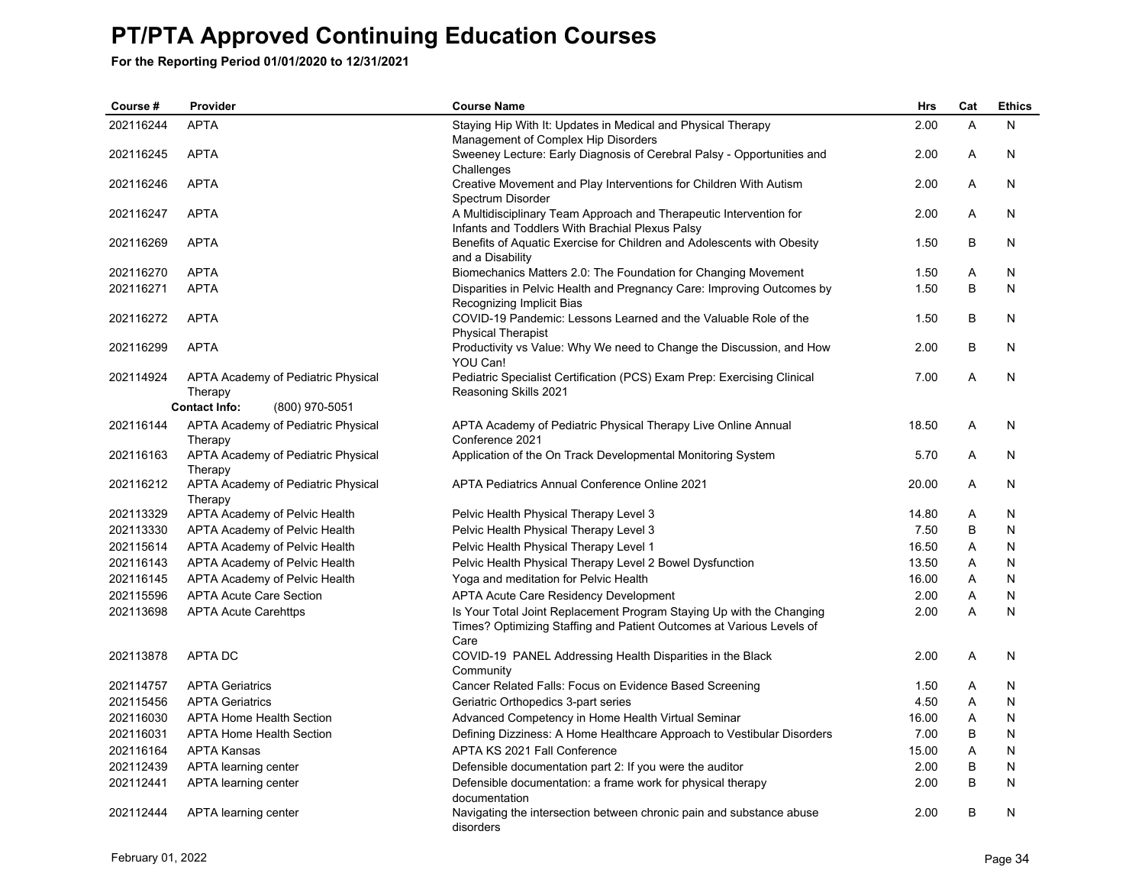| Course #  | Provider                                      | <b>Course Name</b>                                                                                                                                   | <b>Hrs</b> | Cat            | <b>Ethics</b> |
|-----------|-----------------------------------------------|------------------------------------------------------------------------------------------------------------------------------------------------------|------------|----------------|---------------|
| 202116244 | <b>APTA</b>                                   | Staying Hip With It: Updates in Medical and Physical Therapy<br>Management of Complex Hip Disorders                                                  | 2.00       | $\overline{A}$ | N             |
| 202116245 | <b>APTA</b>                                   | Sweeney Lecture: Early Diagnosis of Cerebral Palsy - Opportunities and<br>Challenges                                                                 | 2.00       | A              | N             |
| 202116246 | <b>APTA</b>                                   | Creative Movement and Play Interventions for Children With Autism<br>Spectrum Disorder                                                               | 2.00       | A              | N             |
| 202116247 | <b>APTA</b>                                   | A Multidisciplinary Team Approach and Therapeutic Intervention for<br>Infants and Toddlers With Brachial Plexus Palsy                                | 2.00       | A              | N             |
| 202116269 | <b>APTA</b>                                   | Benefits of Aquatic Exercise for Children and Adolescents with Obesity<br>and a Disability                                                           | 1.50       | B              | N             |
| 202116270 | <b>APTA</b>                                   | Biomechanics Matters 2.0: The Foundation for Changing Movement                                                                                       | 1.50       | Α              | N             |
| 202116271 | <b>APTA</b>                                   | Disparities in Pelvic Health and Pregnancy Care: Improving Outcomes by<br>Recognizing Implicit Bias                                                  | 1.50       | B              | N             |
| 202116272 | <b>APTA</b>                                   | COVID-19 Pandemic: Lessons Learned and the Valuable Role of the<br><b>Physical Therapist</b>                                                         | 1.50       | B              | N             |
| 202116299 | <b>APTA</b>                                   | Productivity vs Value: Why We need to Change the Discussion, and How<br>YOU Can!                                                                     | 2.00       | В              | N             |
| 202114924 | APTA Academy of Pediatric Physical<br>Therapy | Pediatric Specialist Certification (PCS) Exam Prep: Exercising Clinical<br>Reasoning Skills 2021                                                     | 7.00       | A              | N             |
|           | <b>Contact Info:</b><br>(800) 970-5051        |                                                                                                                                                      |            |                |               |
| 202116144 | APTA Academy of Pediatric Physical<br>Therapy | APTA Academy of Pediatric Physical Therapy Live Online Annual<br>Conference 2021                                                                     | 18.50      | Α              | N             |
| 202116163 | APTA Academy of Pediatric Physical<br>Therapy | Application of the On Track Developmental Monitoring System                                                                                          | 5.70       | A              | N             |
| 202116212 | APTA Academy of Pediatric Physical<br>Therapy | APTA Pediatrics Annual Conference Online 2021                                                                                                        | 20.00      | A              | N             |
| 202113329 | APTA Academy of Pelvic Health                 | Pelvic Health Physical Therapy Level 3                                                                                                               | 14.80      | Α              | N             |
| 202113330 | APTA Academy of Pelvic Health                 | Pelvic Health Physical Therapy Level 3                                                                                                               | 7.50       | B              | N             |
| 202115614 | APTA Academy of Pelvic Health                 | Pelvic Health Physical Therapy Level 1                                                                                                               | 16.50      | Α              | N             |
| 202116143 | APTA Academy of Pelvic Health                 | Pelvic Health Physical Therapy Level 2 Bowel Dysfunction                                                                                             | 13.50      | A              | N             |
| 202116145 | APTA Academy of Pelvic Health                 | Yoga and meditation for Pelvic Health                                                                                                                | 16.00      | Α              | N             |
| 202115596 | <b>APTA Acute Care Section</b>                | <b>APTA Acute Care Residency Development</b>                                                                                                         | 2.00       | A              | N             |
| 202113698 | <b>APTA Acute Carehttps</b>                   | Is Your Total Joint Replacement Program Staying Up with the Changing<br>Times? Optimizing Staffing and Patient Outcomes at Various Levels of<br>Care | 2.00       | A              | N             |
| 202113878 | <b>APTA DC</b>                                | COVID-19 PANEL Addressing Health Disparities in the Black<br>Community                                                                               | 2.00       | A              | N             |
| 202114757 | <b>APTA Geriatrics</b>                        | Cancer Related Falls: Focus on Evidence Based Screening                                                                                              | 1.50       | Α              | N             |
| 202115456 | <b>APTA Geriatrics</b>                        | Geriatric Orthopedics 3-part series                                                                                                                  | 4.50       | Α              | N             |
| 202116030 | <b>APTA Home Health Section</b>               | Advanced Competency in Home Health Virtual Seminar                                                                                                   | 16.00      | Α              | N             |
| 202116031 | <b>APTA Home Health Section</b>               | Defining Dizziness: A Home Healthcare Approach to Vestibular Disorders                                                                               | 7.00       | B              | N             |
| 202116164 | <b>APTA Kansas</b>                            | APTA KS 2021 Fall Conference                                                                                                                         | 15.00      | Α              | N             |
| 202112439 | APTA learning center                          | Defensible documentation part 2: If you were the auditor                                                                                             | 2.00       | B              | N             |
| 202112441 | APTA learning center                          | Defensible documentation: a frame work for physical therapy<br>documentation                                                                         | 2.00       | B              | N             |
| 202112444 | APTA learning center                          | Navigating the intersection between chronic pain and substance abuse<br>disorders                                                                    | 2.00       | B              | N             |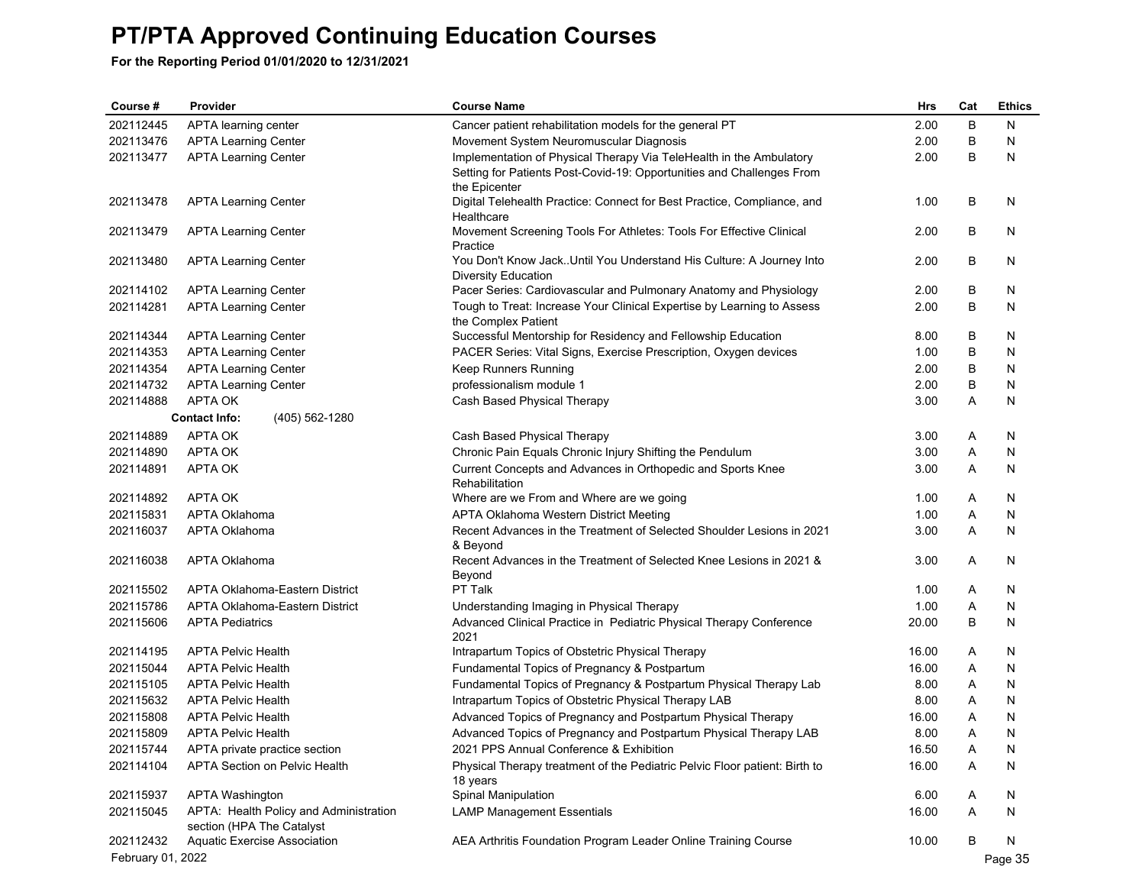| Course #               | Provider                                                            | <b>Course Name</b>                                                                | Hrs          | Cat    | <b>Ethics</b> |
|------------------------|---------------------------------------------------------------------|-----------------------------------------------------------------------------------|--------------|--------|---------------|
| 202112445              | APTA learning center                                                | Cancer patient rehabilitation models for the general PT                           | 2.00         | B      | N             |
| 202113476              | <b>APTA Learning Center</b>                                         | Movement System Neuromuscular Diagnosis                                           | 2.00         | B      | N             |
| 202113477              | <b>APTA Learning Center</b>                                         | Implementation of Physical Therapy Via TeleHealth in the Ambulatory               | 2.00         | B      | N             |
|                        |                                                                     | Setting for Patients Post-Covid-19: Opportunities and Challenges From             |              |        |               |
|                        |                                                                     | the Epicenter                                                                     |              |        |               |
| 202113478              | <b>APTA Learning Center</b>                                         | Digital Telehealth Practice: Connect for Best Practice, Compliance, and           | 1.00         | В      | N             |
| 202113479              | <b>APTA Learning Center</b>                                         | Healthcare<br>Movement Screening Tools For Athletes: Tools For Effective Clinical | 2.00         | В      | N             |
|                        |                                                                     | Practice                                                                          |              |        |               |
| 202113480              | <b>APTA Learning Center</b>                                         | You Don't Know Jack. Until You Understand His Culture: A Journey Into             | 2.00         | B      | N             |
|                        |                                                                     | <b>Diversity Education</b>                                                        |              |        |               |
| 202114102              | <b>APTA Learning Center</b>                                         | Pacer Series: Cardiovascular and Pulmonary Anatomy and Physiology                 | 2.00         | В      | N             |
| 202114281              | <b>APTA Learning Center</b>                                         | Tough to Treat: Increase Your Clinical Expertise by Learning to Assess            | 2.00         | B      | N             |
|                        |                                                                     | the Complex Patient                                                               |              |        |               |
| 202114344              | <b>APTA Learning Center</b>                                         | Successful Mentorship for Residency and Fellowship Education                      | 8.00         | В      | N             |
| 202114353              | <b>APTA Learning Center</b>                                         | PACER Series: Vital Signs, Exercise Prescription, Oxygen devices                  | 1.00         | B      | N             |
| 202114354<br>202114732 | <b>APTA Learning Center</b><br><b>APTA Learning Center</b>          | Keep Runners Running<br>professionalism module 1                                  | 2.00<br>2.00 | B<br>B | N<br>N        |
| 202114888              | APTA OK                                                             | Cash Based Physical Therapy                                                       | 3.00         | Α      | N             |
|                        | (405) 562-1280<br><b>Contact Info:</b>                              |                                                                                   |              |        |               |
| 202114889              | APTA OK                                                             | Cash Based Physical Therapy                                                       | 3.00         | Α      | N             |
| 202114890              | APTA OK                                                             | Chronic Pain Equals Chronic Injury Shifting the Pendulum                          | 3.00         | Α      | N             |
| 202114891              | APTA OK                                                             | Current Concepts and Advances in Orthopedic and Sports Knee                       | 3.00         | Α      | N             |
|                        |                                                                     | Rehabilitation                                                                    |              |        |               |
| 202114892              | APTA OK                                                             | Where are we From and Where are we going                                          | 1.00         | Α      | N             |
| 202115831              | <b>APTA Oklahoma</b>                                                | APTA Oklahoma Western District Meeting                                            | 1.00         | Α      | N             |
| 202116037              | APTA Oklahoma                                                       | Recent Advances in the Treatment of Selected Shoulder Lesions in 2021             | 3.00         | Α      | N             |
|                        |                                                                     | & Beyond                                                                          |              |        |               |
| 202116038              | APTA Oklahoma                                                       | Recent Advances in the Treatment of Selected Knee Lesions in 2021 &               | 3.00         | Α      | N             |
| 202115502              | APTA Oklahoma-Eastern District                                      | Beyond<br>PT Talk                                                                 | 1.00         | Α      | N             |
| 202115786              | APTA Oklahoma-Eastern District                                      | Understanding Imaging in Physical Therapy                                         | 1.00         | Α      | N             |
| 202115606              | <b>APTA Pediatrics</b>                                              | Advanced Clinical Practice in Pediatric Physical Therapy Conference               | 20.00        | B      | N             |
|                        |                                                                     | 2021                                                                              |              |        |               |
| 202114195              | <b>APTA Pelvic Health</b>                                           | Intrapartum Topics of Obstetric Physical Therapy                                  | 16.00        | A      | N             |
| 202115044              | <b>APTA Pelvic Health</b>                                           | Fundamental Topics of Pregnancy & Postpartum                                      | 16.00        | Α      | N             |
| 202115105              | <b>APTA Pelvic Health</b>                                           | Fundamental Topics of Pregnancy & Postpartum Physical Therapy Lab                 | 8.00         | A      | N             |
| 202115632              | <b>APTA Pelvic Health</b>                                           | Intrapartum Topics of Obstetric Physical Therapy LAB                              | 8.00         | Α      | N             |
| 202115808              | <b>APTA Pelvic Health</b>                                           | Advanced Topics of Pregnancy and Postpartum Physical Therapy                      | 16.00        | Α      | N             |
| 202115809              | <b>APTA Pelvic Health</b>                                           | Advanced Topics of Pregnancy and Postpartum Physical Therapy LAB                  | 8.00         | Α      | N             |
| 202115744              | APTA private practice section                                       | 2021 PPS Annual Conference & Exhibition                                           | 16.50        | Α      | <b>N</b>      |
| 202114104              | APTA Section on Pelvic Health                                       | Physical Therapy treatment of the Pediatric Pelvic Floor patient: Birth to        | 16.00        | Α      | N             |
|                        |                                                                     | 18 years                                                                          |              |        |               |
| 202115937              | APTA Washington                                                     | Spinal Manipulation                                                               | 6.00         | A      | N             |
| 202115045              | APTA: Health Policy and Administration<br>section (HPA The Catalyst | <b>LAMP Management Essentials</b>                                                 | 16.00        | A      | N             |
| 202112432              | <b>Aquatic Exercise Association</b>                                 | AEA Arthritis Foundation Program Leader Online Training Course                    | 10.00        | В      | N             |
| February 01, 2022      |                                                                     |                                                                                   |              |        | Page 35       |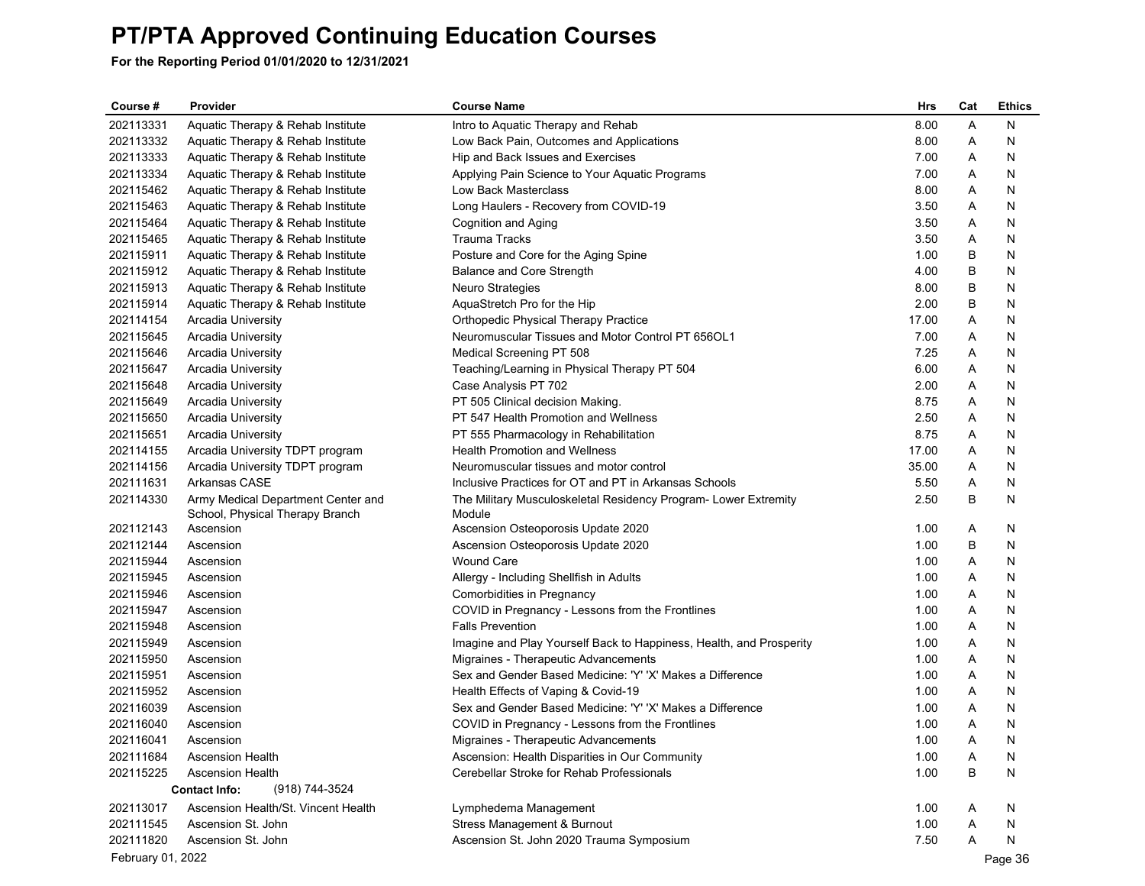| Course #          | Provider                               | <b>Course Name</b>                                                  | Hrs   | Cat | <b>Ethics</b> |
|-------------------|----------------------------------------|---------------------------------------------------------------------|-------|-----|---------------|
| 202113331         | Aquatic Therapy & Rehab Institute      | Intro to Aquatic Therapy and Rehab                                  | 8.00  | Α   | N             |
| 202113332         | Aquatic Therapy & Rehab Institute      | Low Back Pain, Outcomes and Applications                            | 8.00  | Α   | N             |
| 202113333         | Aquatic Therapy & Rehab Institute      | Hip and Back Issues and Exercises                                   | 7.00  | Α   | N             |
| 202113334         | Aquatic Therapy & Rehab Institute      | Applying Pain Science to Your Aquatic Programs                      | 7.00  | Α   | N             |
| 202115462         | Aquatic Therapy & Rehab Institute      | Low Back Masterclass                                                | 8.00  | Α   | N             |
| 202115463         | Aquatic Therapy & Rehab Institute      | Long Haulers - Recovery from COVID-19                               | 3.50  | Α   | N             |
| 202115464         | Aquatic Therapy & Rehab Institute      | Cognition and Aging                                                 | 3.50  | Α   | N             |
| 202115465         | Aquatic Therapy & Rehab Institute      | <b>Trauma Tracks</b>                                                | 3.50  | Α   | N             |
| 202115911         | Aquatic Therapy & Rehab Institute      | Posture and Core for the Aging Spine                                | 1.00  | B   | N             |
| 202115912         | Aquatic Therapy & Rehab Institute      | Balance and Core Strength                                           | 4.00  | В   | N             |
| 202115913         | Aquatic Therapy & Rehab Institute      | <b>Neuro Strategies</b>                                             | 8.00  | В   | N             |
| 202115914         | Aquatic Therapy & Rehab Institute      | AquaStretch Pro for the Hip                                         | 2.00  | В   | N             |
| 202114154         | <b>Arcadia University</b>              | Orthopedic Physical Therapy Practice                                | 17.00 | Α   | N             |
| 202115645         | Arcadia University                     | Neuromuscular Tissues and Motor Control PT 656OL1                   | 7.00  | Α   | N             |
| 202115646         | <b>Arcadia University</b>              | Medical Screening PT 508                                            | 7.25  | Α   | N             |
| 202115647         | Arcadia University                     | Teaching/Learning in Physical Therapy PT 504                        | 6.00  | Α   | N             |
| 202115648         | Arcadia University                     | Case Analysis PT 702                                                | 2.00  | Α   | N             |
| 202115649         | Arcadia University                     | PT 505 Clinical decision Making.                                    | 8.75  | Α   | N             |
| 202115650         | <b>Arcadia University</b>              | PT 547 Health Promotion and Wellness                                | 2.50  | Α   | N             |
| 202115651         | Arcadia University                     | PT 555 Pharmacology in Rehabilitation                               | 8.75  | Α   | N             |
| 202114155         | Arcadia University TDPT program        | <b>Health Promotion and Wellness</b>                                | 17.00 | Α   | N             |
| 202114156         | Arcadia University TDPT program        | Neuromuscular tissues and motor control                             | 35.00 | A   | N             |
| 202111631         | Arkansas CASE                          | Inclusive Practices for OT and PT in Arkansas Schools               | 5.50  | Α   | N             |
| 202114330         | Army Medical Department Center and     | The Military Musculoskeletal Residency Program- Lower Extremity     | 2.50  | В   | N             |
|                   | School, Physical Therapy Branch        | Module                                                              |       |     |               |
| 202112143         | Ascension                              | Ascension Osteoporosis Update 2020                                  | 1.00  | Α   | N             |
| 202112144         | Ascension                              | Ascension Osteoporosis Update 2020                                  | 1.00  | В   | N             |
| 202115944         | Ascension                              | <b>Wound Care</b>                                                   | 1.00  | Α   | N             |
| 202115945         | Ascension                              | Allergy - Including Shellfish in Adults                             | 1.00  | Α   | N             |
| 202115946         | Ascension                              | Comorbidities in Pregnancy                                          | 1.00  | Α   | N             |
| 202115947         | Ascension                              | COVID in Pregnancy - Lessons from the Frontlines                    | 1.00  | Α   | N             |
| 202115948         | Ascension                              | <b>Falls Prevention</b>                                             | 1.00  | Α   | N             |
| 202115949         | Ascension                              | Imagine and Play Yourself Back to Happiness, Health, and Prosperity | 1.00  | Α   | N             |
| 202115950         | Ascension                              | Migraines - Therapeutic Advancements                                | 1.00  | Α   | N             |
| 202115951         | Ascension                              | Sex and Gender Based Medicine: 'Y' 'X' Makes a Difference           | 1.00  | Α   | N             |
| 202115952         | Ascension                              | Health Effects of Vaping & Covid-19                                 | 1.00  | A   | N             |
| 202116039         | Ascension                              | Sex and Gender Based Medicine: 'Y' 'X' Makes a Difference           | 1.00  | Α   | N             |
| 202116040         | Ascension                              | COVID in Pregnancy - Lessons from the Frontlines                    | 1.00  | Α   | N             |
| 202116041         | Ascension                              | Migraines - Therapeutic Advancements                                | 1.00  | Α   | N             |
| 202111684         | <b>Ascension Health</b>                | Ascension: Health Disparities in Our Community                      | 1.00  | Α   | N             |
| 202115225         | <b>Ascension Health</b>                | Cerebellar Stroke for Rehab Professionals                           | 1.00  | B   | N             |
|                   | <b>Contact Info:</b><br>(918) 744-3524 |                                                                     |       |     |               |
| 202113017         | Ascension Health/St. Vincent Health    | Lymphedema Management                                               | 1.00  | A   | N             |
| 202111545         | Ascension St. John                     | Stress Management & Burnout                                         | 1.00  | A   | N             |
| 202111820         | Ascension St. John                     | Ascension St. John 2020 Trauma Symposium                            | 7.50  | Α   | N             |
| February 01, 2022 |                                        |                                                                     |       |     | Page 36       |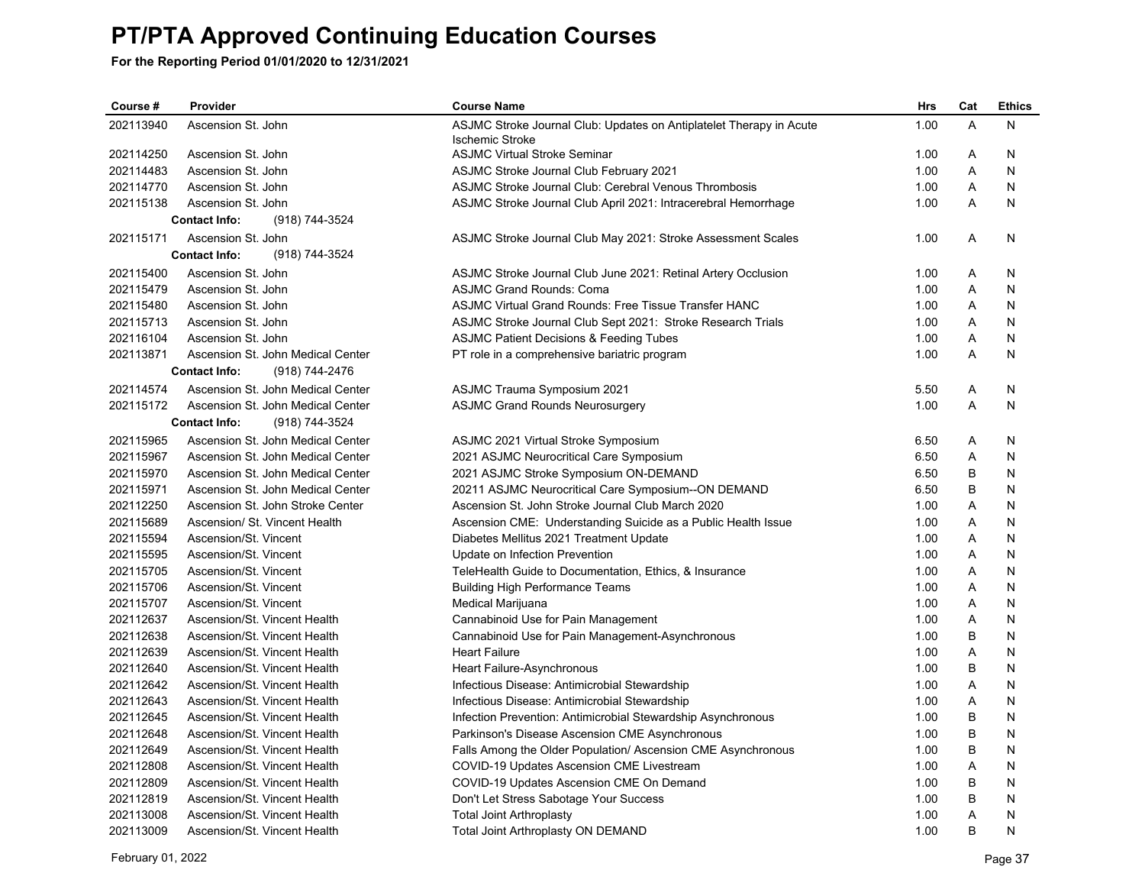| Course #  | Provider                               | <b>Course Name</b>                                                  | <b>Hrs</b> | Cat     | <b>Ethics</b> |
|-----------|----------------------------------------|---------------------------------------------------------------------|------------|---------|---------------|
| 202113940 | Ascension St. John                     | ASJMC Stroke Journal Club: Updates on Antiplatelet Therapy in Acute | 1.00       | A       | N             |
|           |                                        | <b>Ischemic Stroke</b>                                              |            |         |               |
| 202114250 | Ascension St. John                     | <b>ASJMC Virtual Stroke Seminar</b>                                 | 1.00       | Α       | N             |
| 202114483 | Ascension St. John                     | <b>ASJMC Stroke Journal Club February 2021</b>                      | 1.00       | A       | N             |
| 202114770 | Ascension St. John                     | ASJMC Stroke Journal Club: Cerebral Venous Thrombosis               | 1.00       | Α       | N             |
| 202115138 | Ascension St. John                     | ASJMC Stroke Journal Club April 2021: Intracerebral Hemorrhage      | 1.00       | A       | N             |
|           | <b>Contact Info:</b><br>(918) 744-3524 |                                                                     |            |         |               |
| 202115171 | Ascension St. John                     | ASJMC Stroke Journal Club May 2021: Stroke Assessment Scales        | 1.00       | A       | N             |
|           | (918) 744-3524<br><b>Contact Info:</b> |                                                                     |            |         |               |
| 202115400 | Ascension St. John                     | ASJMC Stroke Journal Club June 2021: Retinal Artery Occlusion       | 1.00       | A       | N             |
| 202115479 | Ascension St. John                     | <b>ASJMC Grand Rounds: Coma</b>                                     | 1.00       | Α       | N             |
| 202115480 | Ascension St. John                     | ASJMC Virtual Grand Rounds: Free Tissue Transfer HANC               | 1.00       | Α       | N             |
| 202115713 | Ascension St. John                     | ASJMC Stroke Journal Club Sept 2021: Stroke Research Trials         | 1.00       | A       | N             |
| 202116104 | Ascension St. John                     | <b>ASJMC Patient Decisions &amp; Feeding Tubes</b>                  | 1.00       | Α       | N             |
| 202113871 | Ascension St. John Medical Center      | PT role in a comprehensive bariatric program                        | 1.00       | A       | N             |
|           | <b>Contact Info:</b><br>(918) 744-2476 |                                                                     |            |         |               |
| 202114574 | Ascension St. John Medical Center      | <b>ASJMC Trauma Symposium 2021</b>                                  | 5.50       | Α       | N             |
| 202115172 | Ascension St. John Medical Center      | <b>ASJMC Grand Rounds Neurosurgery</b>                              | 1.00       | A       | N             |
|           | <b>Contact Info:</b><br>(918) 744-3524 |                                                                     |            |         |               |
| 202115965 | Ascension St. John Medical Center      | ASJMC 2021 Virtual Stroke Symposium                                 | 6.50       | A       | N             |
| 202115967 | Ascension St. John Medical Center      | 2021 ASJMC Neurocritical Care Symposium                             | 6.50       | Α       | N             |
| 202115970 | Ascension St. John Medical Center      | 2021 ASJMC Stroke Symposium ON-DEMAND                               | 6.50       | B       | $\mathsf{N}$  |
| 202115971 | Ascension St. John Medical Center      | 20211 ASJMC Neurocritical Care Symposium--ON DEMAND                 | 6.50       | B       | N             |
| 202112250 | Ascension St. John Stroke Center       | Ascension St. John Stroke Journal Club March 2020                   | 1.00       | A       | N             |
| 202115689 | Ascension/ St. Vincent Health          | Ascension CME: Understanding Suicide as a Public Health Issue       | 1.00       | Α       | N             |
| 202115594 | Ascension/St. Vincent                  | Diabetes Mellitus 2021 Treatment Update                             | 1.00       | A       | N             |
| 202115595 | Ascension/St. Vincent                  | Update on Infection Prevention                                      | 1.00       | A       | N             |
| 202115705 | Ascension/St. Vincent                  | TeleHealth Guide to Documentation, Ethics, & Insurance              | 1.00       | Α       | N             |
| 202115706 | Ascension/St. Vincent                  | <b>Building High Performance Teams</b>                              | 1.00       | Α       | N             |
| 202115707 | Ascension/St. Vincent                  | Medical Marijuana                                                   | 1.00       | A       | N             |
| 202112637 | Ascension/St. Vincent Health           | Cannabinoid Use for Pain Management                                 | 1.00       | Α       | N             |
| 202112638 | Ascension/St. Vincent Health           | Cannabinoid Use for Pain Management-Asynchronous                    | 1.00       | B       | N             |
| 202112639 | Ascension/St. Vincent Health           | <b>Heart Failure</b>                                                | 1.00       | A       | N             |
| 202112640 | Ascension/St. Vincent Health           | Heart Failure-Asynchronous                                          | 1.00       | B       | N             |
| 202112642 | Ascension/St. Vincent Health           | Infectious Disease: Antimicrobial Stewardship                       | 1.00       | Α       | N             |
| 202112643 | Ascension/St. Vincent Health           | Infectious Disease: Antimicrobial Stewardship                       | 1.00       | Α       | N             |
| 202112645 | Ascension/St. Vincent Health           | Infection Prevention: Antimicrobial Stewardship Asynchronous        | 1.00       | B       | N             |
| 202112648 | Ascension/St. Vincent Health           | Parkinson's Disease Ascension CME Asynchronous                      | 1.00       | B       | N             |
| 202112649 | Ascension/St. Vincent Health           | Falls Among the Older Population/ Ascension CME Asynchronous        | 1.00       | B       | N             |
| 202112808 | Ascension/St. Vincent Health           | COVID-19 Updates Ascension CME Livestream                           | 1.00       | A       | N             |
| 202112809 | Ascension/St. Vincent Health           | COVID-19 Updates Ascension CME On Demand                            | 1.00       | B       | N             |
| 202112819 | Ascension/St. Vincent Health           | Don't Let Stress Sabotage Your Success                              | 1.00       | $\sf B$ | N             |
| 202113008 | Ascension/St. Vincent Health           | <b>Total Joint Arthroplasty</b>                                     | 1.00       | A       | N             |
| 202113009 | Ascension/St. Vincent Health           | <b>Total Joint Arthroplasty ON DEMAND</b>                           | 1.00       | B       | N             |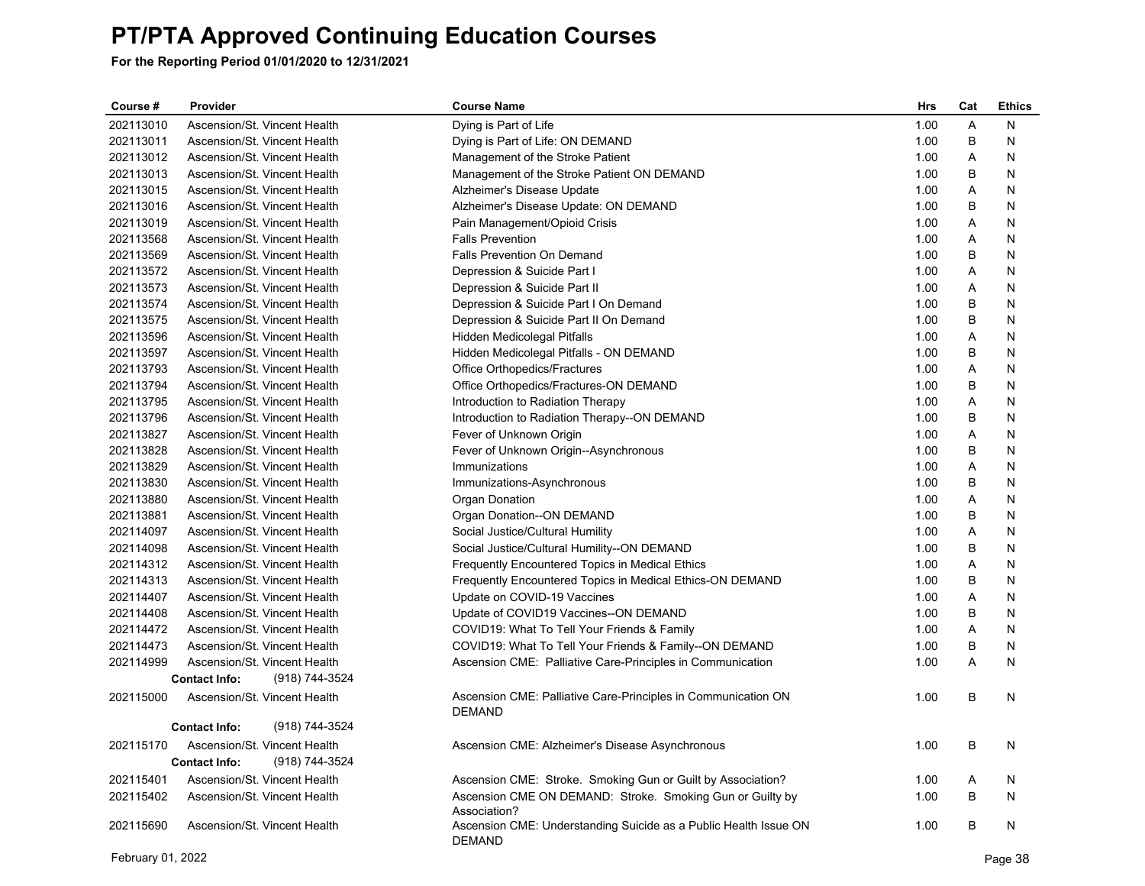| Course #  | Provider                               | <b>Course Name</b>                                                                | <b>Hrs</b> | Cat            | <b>Ethics</b> |
|-----------|----------------------------------------|-----------------------------------------------------------------------------------|------------|----------------|---------------|
| 202113010 | Ascension/St. Vincent Health           | Dying is Part of Life                                                             | 1.00       | Α              | N             |
| 202113011 | Ascension/St. Vincent Health           | Dying is Part of Life: ON DEMAND                                                  | 1.00       | B              | N             |
| 202113012 | Ascension/St. Vincent Health           | Management of the Stroke Patient                                                  | 1.00       | Α              | N             |
| 202113013 | Ascension/St. Vincent Health           | Management of the Stroke Patient ON DEMAND                                        | 1.00       | B              | N             |
| 202113015 | Ascension/St. Vincent Health           | Alzheimer's Disease Update                                                        | 1.00       | Α              | N             |
| 202113016 | Ascension/St. Vincent Health           | Alzheimer's Disease Update: ON DEMAND                                             | 1.00       | B              | N             |
| 202113019 | Ascension/St. Vincent Health           | Pain Management/Opioid Crisis                                                     | 1.00       | Α              | N             |
| 202113568 | Ascension/St. Vincent Health           | <b>Falls Prevention</b>                                                           | 1.00       | $\overline{A}$ | N             |
| 202113569 | Ascension/St. Vincent Health           | Falls Prevention On Demand                                                        | 1.00       | B              | N             |
| 202113572 | Ascension/St. Vincent Health           | Depression & Suicide Part I                                                       | 1.00       | A              | N             |
| 202113573 | Ascension/St. Vincent Health           | Depression & Suicide Part II                                                      | 1.00       | A              | N             |
| 202113574 | Ascension/St. Vincent Health           | Depression & Suicide Part I On Demand                                             | 1.00       | B              | N             |
| 202113575 | Ascension/St. Vincent Health           | Depression & Suicide Part II On Demand                                            | 1.00       | B              | N             |
| 202113596 | Ascension/St. Vincent Health           | Hidden Medicolegal Pitfalls                                                       | 1.00       | $\overline{A}$ | N             |
| 202113597 | Ascension/St. Vincent Health           | Hidden Medicolegal Pitfalls - ON DEMAND                                           | 1.00       | B              | N             |
| 202113793 | Ascension/St. Vincent Health           | Office Orthopedics/Fractures                                                      | 1.00       | A              | N             |
| 202113794 | Ascension/St. Vincent Health           | Office Orthopedics/Fractures-ON DEMAND                                            | 1.00       | B              | N             |
| 202113795 | Ascension/St. Vincent Health           | Introduction to Radiation Therapy                                                 | 1.00       | A              | N             |
| 202113796 | Ascension/St. Vincent Health           | Introduction to Radiation Therapy--ON DEMAND                                      | 1.00       | B              | N             |
| 202113827 | Ascension/St. Vincent Health           | Fever of Unknown Origin                                                           | 1.00       | Α              | N             |
| 202113828 | Ascension/St. Vincent Health           | Fever of Unknown Origin--Asynchronous                                             | 1.00       | B              | N             |
| 202113829 | Ascension/St. Vincent Health           | Immunizations                                                                     | 1.00       | Α              | N             |
| 202113830 | Ascension/St. Vincent Health           | Immunizations-Asynchronous                                                        | 1.00       | B              | N             |
| 202113880 | Ascension/St. Vincent Health           | Organ Donation                                                                    | 1.00       | A              | N             |
| 202113881 | Ascension/St. Vincent Health           | Organ Donation--ON DEMAND                                                         | 1.00       | B              | N             |
| 202114097 | Ascension/St. Vincent Health           | Social Justice/Cultural Humility                                                  | 1.00       | A              | N             |
| 202114098 | Ascension/St. Vincent Health           | Social Justice/Cultural Humility--ON DEMAND                                       | 1.00       | B              | N             |
| 202114312 | Ascension/St. Vincent Health           | Frequently Encountered Topics in Medical Ethics                                   | 1.00       | Α              | N             |
| 202114313 | Ascension/St. Vincent Health           | Frequently Encountered Topics in Medical Ethics-ON DEMAND                         | 1.00       | B              | N             |
| 202114407 | Ascension/St. Vincent Health           | Update on COVID-19 Vaccines                                                       | 1.00       | A              | N             |
| 202114408 | Ascension/St. Vincent Health           | Update of COVID19 Vaccines--ON DEMAND                                             | 1.00       | B              | N             |
| 202114472 | Ascension/St. Vincent Health           | COVID19: What To Tell Your Friends & Family                                       | 1.00       | A              | N             |
| 202114473 | Ascension/St. Vincent Health           | COVID19: What To Tell Your Friends & Family--ON DEMAND                            | 1.00       | B              | N             |
| 202114999 | Ascension/St. Vincent Health           | Ascension CME: Palliative Care-Principles in Communication                        | 1.00       | $\overline{A}$ | N             |
|           | <b>Contact Info:</b><br>(918) 744-3524 |                                                                                   |            |                |               |
| 202115000 | Ascension/St. Vincent Health           | Ascension CME: Palliative Care-Principles in Communication ON<br><b>DEMAND</b>    | 1.00       | B              | N             |
|           | <b>Contact Info:</b><br>(918) 744-3524 |                                                                                   |            |                |               |
| 202115170 | Ascension/St. Vincent Health           | Ascension CME: Alzheimer's Disease Asynchronous                                   | 1.00       | B              | N             |
|           | <b>Contact Info:</b><br>(918) 744-3524 |                                                                                   |            |                |               |
| 202115401 | Ascension/St. Vincent Health           | Ascension CME: Stroke. Smoking Gun or Guilt by Association?                       | 1.00       | Α              | N             |
| 202115402 | Ascension/St. Vincent Health           |                                                                                   | 1.00       | B              | N             |
|           |                                        | Ascension CME ON DEMAND: Stroke. Smoking Gun or Guilty by<br>Association?         |            |                |               |
| 202115690 | Ascension/St. Vincent Health           | Ascension CME: Understanding Suicide as a Public Health Issue ON<br><b>DEMAND</b> | 1.00       | B              | Ν             |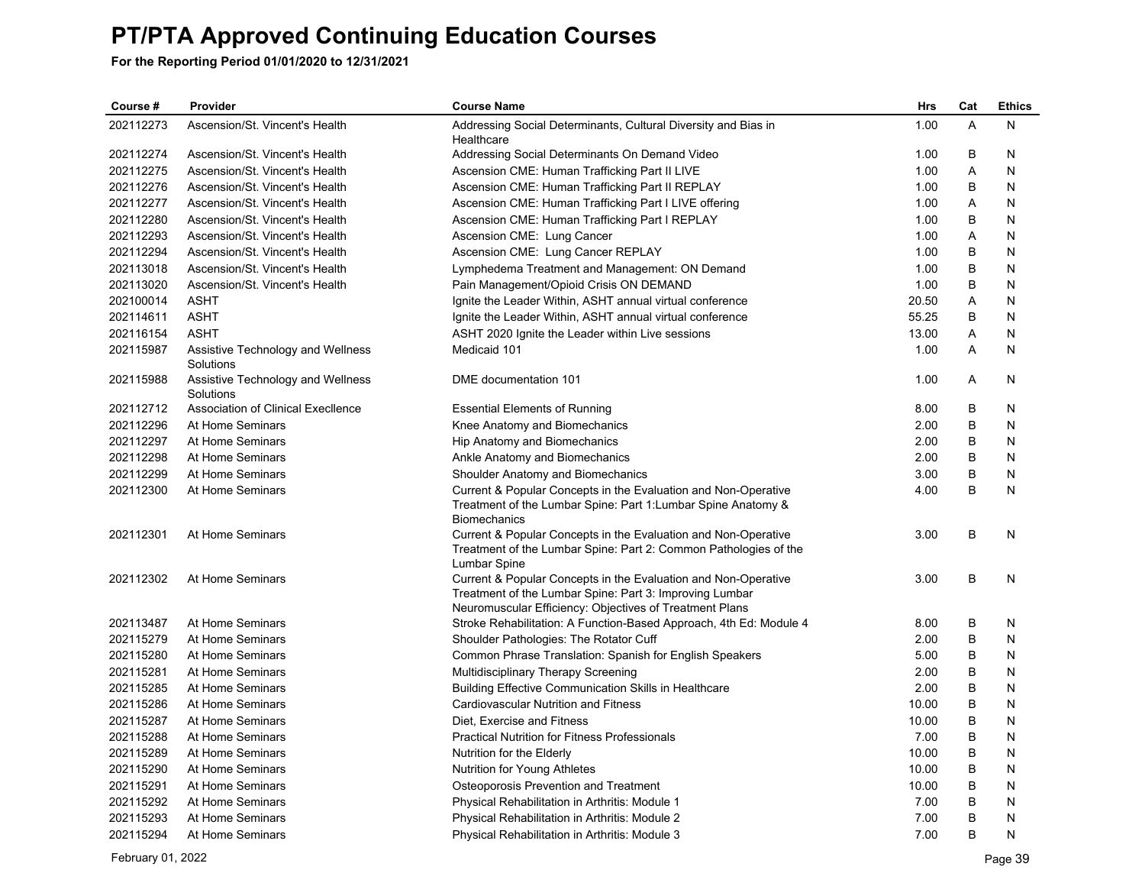| 202112273<br>Ascension/St. Vincent's Health<br>1.00<br>A<br>N<br>Addressing Social Determinants, Cultural Diversity and Bias in<br>Healthcare<br>202112274<br>B<br>Ascension/St. Vincent's Health<br>Addressing Social Determinants On Demand Video<br>1.00<br>N<br>A<br>202112275<br>Ascension/St. Vincent's Health<br>Ascension CME: Human Trafficking Part II LIVE<br>1.00<br>N<br>202112276<br>Ascension/St. Vincent's Health<br>Ascension CME: Human Trafficking Part II REPLAY<br>1.00<br>B<br>N<br>202112277<br>Ascension/St. Vincent's Health<br>Ascension CME: Human Trafficking Part I LIVE offering<br>1.00<br>A<br>N<br>202112280<br>Ascension/St. Vincent's Health<br>Ascension CME: Human Trafficking Part I REPLAY<br>1.00<br>B<br>N<br>202112293<br>Ascension/St. Vincent's Health<br>Ascension CME: Lung Cancer<br>1.00<br>A<br>N<br>202112294<br>B<br>Ascension/St. Vincent's Health<br>Ascension CME: Lung Cancer REPLAY<br>1.00<br>N<br>202113018<br>Ascension/St. Vincent's Health<br>В<br>N<br>Lymphedema Treatment and Management: ON Demand<br>1.00<br>B<br>202113020<br>Ascension/St. Vincent's Health<br>1.00<br>N<br>Pain Management/Opioid Crisis ON DEMAND<br>202100014<br>20.50<br>ASHT<br>Ignite the Leader Within, ASHT annual virtual conference<br>Α<br>N<br><b>ASHT</b><br>55.25<br>N<br>202114611<br>Ignite the Leader Within, ASHT annual virtual conference<br>B<br>13.00<br>A<br>202116154<br><b>ASHT</b><br>N<br>ASHT 2020 Ignite the Leader within Live sessions<br>A<br>202115987<br>Medicaid 101<br>1.00<br>N<br>Assistive Technology and Wellness<br>Solutions<br>1.00<br>202115988<br>Assistive Technology and Wellness<br>Α<br>DME documentation 101<br>N<br>Solutions<br>202112712<br>Association of Clinical Execllence<br>8.00<br>B<br>N<br><b>Essential Elements of Running</b><br>2.00<br>B<br>202112296<br>At Home Seminars<br>Knee Anatomy and Biomechanics<br>N<br>202112297<br>At Home Seminars<br>2.00<br>B<br>N<br>Hip Anatomy and Biomechanics<br>202112298<br>At Home Seminars<br>2.00<br>B<br>N<br>Ankle Anatomy and Biomechanics<br>202112299<br>At Home Seminars<br>Shoulder Anatomy and Biomechanics<br>3.00<br>B<br>N<br>B<br>202112300<br>At Home Seminars<br>Current & Popular Concepts in the Evaluation and Non-Operative<br>4.00<br>N<br>Treatment of the Lumbar Spine: Part 1: Lumbar Spine Anatomy &<br><b>Biomechanics</b><br>B<br>202112301<br>At Home Seminars<br>Current & Popular Concepts in the Evaluation and Non-Operative<br>3.00<br>N<br>Treatment of the Lumbar Spine: Part 2: Common Pathologies of the<br>Lumbar Spine<br>At Home Seminars<br>B<br>202112302<br>Current & Popular Concepts in the Evaluation and Non-Operative<br>3.00<br>N<br>Treatment of the Lumbar Spine: Part 3: Improving Lumbar<br>Neuromuscular Efficiency: Objectives of Treatment Plans<br>202113487<br>B<br>At Home Seminars<br>Stroke Rehabilitation: A Function-Based Approach, 4th Ed: Module 4<br>8.00<br>N<br>202115279<br>2.00<br>B<br>At Home Seminars<br>Shoulder Pathologies: The Rotator Cuff<br>N<br>202115280<br>At Home Seminars<br>B<br>Common Phrase Translation: Spanish for English Speakers<br>5.00<br>N<br>B<br>202115281<br>At Home Seminars<br>2.00<br>N<br>Multidisciplinary Therapy Screening<br>202115285<br>At Home Seminars<br>Building Effective Communication Skills in Healthcare<br>2.00<br>B<br>N<br>B<br>202115286<br>At Home Seminars<br>10.00<br>N<br>Cardiovascular Nutrition and Fitness<br>202115287<br>At Home Seminars<br>Diet. Exercise and Fitness<br>10.00<br>B<br>N<br>B<br>202115288<br><b>Practical Nutrition for Fitness Professionals</b><br>7.00<br>N<br>At Home Seminars<br>202115289<br>At Home Seminars<br>10.00<br>B<br>Nutrition for the Elderly<br>N<br>202115290<br>10.00<br>B<br>At Home Seminars<br>Nutrition for Young Athletes<br>N<br>202115291<br>At Home Seminars<br>B<br>Osteoporosis Prevention and Treatment<br>10.00<br>N | Course #  | Provider         | <b>Course Name</b>                             | <b>Hrs</b> | Cat | <b>Ethics</b> |
|-------------------------------------------------------------------------------------------------------------------------------------------------------------------------------------------------------------------------------------------------------------------------------------------------------------------------------------------------------------------------------------------------------------------------------------------------------------------------------------------------------------------------------------------------------------------------------------------------------------------------------------------------------------------------------------------------------------------------------------------------------------------------------------------------------------------------------------------------------------------------------------------------------------------------------------------------------------------------------------------------------------------------------------------------------------------------------------------------------------------------------------------------------------------------------------------------------------------------------------------------------------------------------------------------------------------------------------------------------------------------------------------------------------------------------------------------------------------------------------------------------------------------------------------------------------------------------------------------------------------------------------------------------------------------------------------------------------------------------------------------------------------------------------------------------------------------------------------------------------------------------------------------------------------------------------------------------------------------------------------------------------------------------------------------------------------------------------------------------------------------------------------------------------------------------------------------------------------------------------------------------------------------------------------------------------------------------------------------------------------------------------------------------------------------------------------------------------------------------------------------------------------------------------------------------------------------------------------------------------------------------------------------------------------------------------------------------------------------------------------------------------------------------------------------------------------------------------------------------------------------------------------------------------------------------------------------------------------------------------------------------------------------------------------------------------------------------------------------------------------------------------------------------------------------------------------------------------------------------------------------------------------------------------------------------------------------------------------------------------------------------------------------------------------------------------------------------------------------------------------------------------------------------------------------------------------------------------------------------------------------------------------------------------------------------------------------------------------------------------------------------------------------------------------------------------------------------------------------------------------------------------------------------------------------------------------------------------|-----------|------------------|------------------------------------------------|------------|-----|---------------|
|                                                                                                                                                                                                                                                                                                                                                                                                                                                                                                                                                                                                                                                                                                                                                                                                                                                                                                                                                                                                                                                                                                                                                                                                                                                                                                                                                                                                                                                                                                                                                                                                                                                                                                                                                                                                                                                                                                                                                                                                                                                                                                                                                                                                                                                                                                                                                                                                                                                                                                                                                                                                                                                                                                                                                                                                                                                                                                                                                                                                                                                                                                                                                                                                                                                                                                                                                                                                                                                                                                                                                                                                                                                                                                                                                                                                                                                                                                                                                             |           |                  |                                                |            |     |               |
|                                                                                                                                                                                                                                                                                                                                                                                                                                                                                                                                                                                                                                                                                                                                                                                                                                                                                                                                                                                                                                                                                                                                                                                                                                                                                                                                                                                                                                                                                                                                                                                                                                                                                                                                                                                                                                                                                                                                                                                                                                                                                                                                                                                                                                                                                                                                                                                                                                                                                                                                                                                                                                                                                                                                                                                                                                                                                                                                                                                                                                                                                                                                                                                                                                                                                                                                                                                                                                                                                                                                                                                                                                                                                                                                                                                                                                                                                                                                                             |           |                  |                                                |            |     |               |
|                                                                                                                                                                                                                                                                                                                                                                                                                                                                                                                                                                                                                                                                                                                                                                                                                                                                                                                                                                                                                                                                                                                                                                                                                                                                                                                                                                                                                                                                                                                                                                                                                                                                                                                                                                                                                                                                                                                                                                                                                                                                                                                                                                                                                                                                                                                                                                                                                                                                                                                                                                                                                                                                                                                                                                                                                                                                                                                                                                                                                                                                                                                                                                                                                                                                                                                                                                                                                                                                                                                                                                                                                                                                                                                                                                                                                                                                                                                                                             |           |                  |                                                |            |     |               |
|                                                                                                                                                                                                                                                                                                                                                                                                                                                                                                                                                                                                                                                                                                                                                                                                                                                                                                                                                                                                                                                                                                                                                                                                                                                                                                                                                                                                                                                                                                                                                                                                                                                                                                                                                                                                                                                                                                                                                                                                                                                                                                                                                                                                                                                                                                                                                                                                                                                                                                                                                                                                                                                                                                                                                                                                                                                                                                                                                                                                                                                                                                                                                                                                                                                                                                                                                                                                                                                                                                                                                                                                                                                                                                                                                                                                                                                                                                                                                             |           |                  |                                                |            |     |               |
|                                                                                                                                                                                                                                                                                                                                                                                                                                                                                                                                                                                                                                                                                                                                                                                                                                                                                                                                                                                                                                                                                                                                                                                                                                                                                                                                                                                                                                                                                                                                                                                                                                                                                                                                                                                                                                                                                                                                                                                                                                                                                                                                                                                                                                                                                                                                                                                                                                                                                                                                                                                                                                                                                                                                                                                                                                                                                                                                                                                                                                                                                                                                                                                                                                                                                                                                                                                                                                                                                                                                                                                                                                                                                                                                                                                                                                                                                                                                                             |           |                  |                                                |            |     |               |
|                                                                                                                                                                                                                                                                                                                                                                                                                                                                                                                                                                                                                                                                                                                                                                                                                                                                                                                                                                                                                                                                                                                                                                                                                                                                                                                                                                                                                                                                                                                                                                                                                                                                                                                                                                                                                                                                                                                                                                                                                                                                                                                                                                                                                                                                                                                                                                                                                                                                                                                                                                                                                                                                                                                                                                                                                                                                                                                                                                                                                                                                                                                                                                                                                                                                                                                                                                                                                                                                                                                                                                                                                                                                                                                                                                                                                                                                                                                                                             |           |                  |                                                |            |     |               |
|                                                                                                                                                                                                                                                                                                                                                                                                                                                                                                                                                                                                                                                                                                                                                                                                                                                                                                                                                                                                                                                                                                                                                                                                                                                                                                                                                                                                                                                                                                                                                                                                                                                                                                                                                                                                                                                                                                                                                                                                                                                                                                                                                                                                                                                                                                                                                                                                                                                                                                                                                                                                                                                                                                                                                                                                                                                                                                                                                                                                                                                                                                                                                                                                                                                                                                                                                                                                                                                                                                                                                                                                                                                                                                                                                                                                                                                                                                                                                             |           |                  |                                                |            |     |               |
|                                                                                                                                                                                                                                                                                                                                                                                                                                                                                                                                                                                                                                                                                                                                                                                                                                                                                                                                                                                                                                                                                                                                                                                                                                                                                                                                                                                                                                                                                                                                                                                                                                                                                                                                                                                                                                                                                                                                                                                                                                                                                                                                                                                                                                                                                                                                                                                                                                                                                                                                                                                                                                                                                                                                                                                                                                                                                                                                                                                                                                                                                                                                                                                                                                                                                                                                                                                                                                                                                                                                                                                                                                                                                                                                                                                                                                                                                                                                                             |           |                  |                                                |            |     |               |
|                                                                                                                                                                                                                                                                                                                                                                                                                                                                                                                                                                                                                                                                                                                                                                                                                                                                                                                                                                                                                                                                                                                                                                                                                                                                                                                                                                                                                                                                                                                                                                                                                                                                                                                                                                                                                                                                                                                                                                                                                                                                                                                                                                                                                                                                                                                                                                                                                                                                                                                                                                                                                                                                                                                                                                                                                                                                                                                                                                                                                                                                                                                                                                                                                                                                                                                                                                                                                                                                                                                                                                                                                                                                                                                                                                                                                                                                                                                                                             |           |                  |                                                |            |     |               |
|                                                                                                                                                                                                                                                                                                                                                                                                                                                                                                                                                                                                                                                                                                                                                                                                                                                                                                                                                                                                                                                                                                                                                                                                                                                                                                                                                                                                                                                                                                                                                                                                                                                                                                                                                                                                                                                                                                                                                                                                                                                                                                                                                                                                                                                                                                                                                                                                                                                                                                                                                                                                                                                                                                                                                                                                                                                                                                                                                                                                                                                                                                                                                                                                                                                                                                                                                                                                                                                                                                                                                                                                                                                                                                                                                                                                                                                                                                                                                             |           |                  |                                                |            |     |               |
|                                                                                                                                                                                                                                                                                                                                                                                                                                                                                                                                                                                                                                                                                                                                                                                                                                                                                                                                                                                                                                                                                                                                                                                                                                                                                                                                                                                                                                                                                                                                                                                                                                                                                                                                                                                                                                                                                                                                                                                                                                                                                                                                                                                                                                                                                                                                                                                                                                                                                                                                                                                                                                                                                                                                                                                                                                                                                                                                                                                                                                                                                                                                                                                                                                                                                                                                                                                                                                                                                                                                                                                                                                                                                                                                                                                                                                                                                                                                                             |           |                  |                                                |            |     |               |
|                                                                                                                                                                                                                                                                                                                                                                                                                                                                                                                                                                                                                                                                                                                                                                                                                                                                                                                                                                                                                                                                                                                                                                                                                                                                                                                                                                                                                                                                                                                                                                                                                                                                                                                                                                                                                                                                                                                                                                                                                                                                                                                                                                                                                                                                                                                                                                                                                                                                                                                                                                                                                                                                                                                                                                                                                                                                                                                                                                                                                                                                                                                                                                                                                                                                                                                                                                                                                                                                                                                                                                                                                                                                                                                                                                                                                                                                                                                                                             |           |                  |                                                |            |     |               |
|                                                                                                                                                                                                                                                                                                                                                                                                                                                                                                                                                                                                                                                                                                                                                                                                                                                                                                                                                                                                                                                                                                                                                                                                                                                                                                                                                                                                                                                                                                                                                                                                                                                                                                                                                                                                                                                                                                                                                                                                                                                                                                                                                                                                                                                                                                                                                                                                                                                                                                                                                                                                                                                                                                                                                                                                                                                                                                                                                                                                                                                                                                                                                                                                                                                                                                                                                                                                                                                                                                                                                                                                                                                                                                                                                                                                                                                                                                                                                             |           |                  |                                                |            |     |               |
|                                                                                                                                                                                                                                                                                                                                                                                                                                                                                                                                                                                                                                                                                                                                                                                                                                                                                                                                                                                                                                                                                                                                                                                                                                                                                                                                                                                                                                                                                                                                                                                                                                                                                                                                                                                                                                                                                                                                                                                                                                                                                                                                                                                                                                                                                                                                                                                                                                                                                                                                                                                                                                                                                                                                                                                                                                                                                                                                                                                                                                                                                                                                                                                                                                                                                                                                                                                                                                                                                                                                                                                                                                                                                                                                                                                                                                                                                                                                                             |           |                  |                                                |            |     |               |
|                                                                                                                                                                                                                                                                                                                                                                                                                                                                                                                                                                                                                                                                                                                                                                                                                                                                                                                                                                                                                                                                                                                                                                                                                                                                                                                                                                                                                                                                                                                                                                                                                                                                                                                                                                                                                                                                                                                                                                                                                                                                                                                                                                                                                                                                                                                                                                                                                                                                                                                                                                                                                                                                                                                                                                                                                                                                                                                                                                                                                                                                                                                                                                                                                                                                                                                                                                                                                                                                                                                                                                                                                                                                                                                                                                                                                                                                                                                                                             |           |                  |                                                |            |     |               |
|                                                                                                                                                                                                                                                                                                                                                                                                                                                                                                                                                                                                                                                                                                                                                                                                                                                                                                                                                                                                                                                                                                                                                                                                                                                                                                                                                                                                                                                                                                                                                                                                                                                                                                                                                                                                                                                                                                                                                                                                                                                                                                                                                                                                                                                                                                                                                                                                                                                                                                                                                                                                                                                                                                                                                                                                                                                                                                                                                                                                                                                                                                                                                                                                                                                                                                                                                                                                                                                                                                                                                                                                                                                                                                                                                                                                                                                                                                                                                             |           |                  |                                                |            |     |               |
|                                                                                                                                                                                                                                                                                                                                                                                                                                                                                                                                                                                                                                                                                                                                                                                                                                                                                                                                                                                                                                                                                                                                                                                                                                                                                                                                                                                                                                                                                                                                                                                                                                                                                                                                                                                                                                                                                                                                                                                                                                                                                                                                                                                                                                                                                                                                                                                                                                                                                                                                                                                                                                                                                                                                                                                                                                                                                                                                                                                                                                                                                                                                                                                                                                                                                                                                                                                                                                                                                                                                                                                                                                                                                                                                                                                                                                                                                                                                                             |           |                  |                                                |            |     |               |
|                                                                                                                                                                                                                                                                                                                                                                                                                                                                                                                                                                                                                                                                                                                                                                                                                                                                                                                                                                                                                                                                                                                                                                                                                                                                                                                                                                                                                                                                                                                                                                                                                                                                                                                                                                                                                                                                                                                                                                                                                                                                                                                                                                                                                                                                                                                                                                                                                                                                                                                                                                                                                                                                                                                                                                                                                                                                                                                                                                                                                                                                                                                                                                                                                                                                                                                                                                                                                                                                                                                                                                                                                                                                                                                                                                                                                                                                                                                                                             |           |                  |                                                |            |     |               |
|                                                                                                                                                                                                                                                                                                                                                                                                                                                                                                                                                                                                                                                                                                                                                                                                                                                                                                                                                                                                                                                                                                                                                                                                                                                                                                                                                                                                                                                                                                                                                                                                                                                                                                                                                                                                                                                                                                                                                                                                                                                                                                                                                                                                                                                                                                                                                                                                                                                                                                                                                                                                                                                                                                                                                                                                                                                                                                                                                                                                                                                                                                                                                                                                                                                                                                                                                                                                                                                                                                                                                                                                                                                                                                                                                                                                                                                                                                                                                             |           |                  |                                                |            |     |               |
|                                                                                                                                                                                                                                                                                                                                                                                                                                                                                                                                                                                                                                                                                                                                                                                                                                                                                                                                                                                                                                                                                                                                                                                                                                                                                                                                                                                                                                                                                                                                                                                                                                                                                                                                                                                                                                                                                                                                                                                                                                                                                                                                                                                                                                                                                                                                                                                                                                                                                                                                                                                                                                                                                                                                                                                                                                                                                                                                                                                                                                                                                                                                                                                                                                                                                                                                                                                                                                                                                                                                                                                                                                                                                                                                                                                                                                                                                                                                                             |           |                  |                                                |            |     |               |
|                                                                                                                                                                                                                                                                                                                                                                                                                                                                                                                                                                                                                                                                                                                                                                                                                                                                                                                                                                                                                                                                                                                                                                                                                                                                                                                                                                                                                                                                                                                                                                                                                                                                                                                                                                                                                                                                                                                                                                                                                                                                                                                                                                                                                                                                                                                                                                                                                                                                                                                                                                                                                                                                                                                                                                                                                                                                                                                                                                                                                                                                                                                                                                                                                                                                                                                                                                                                                                                                                                                                                                                                                                                                                                                                                                                                                                                                                                                                                             |           |                  |                                                |            |     |               |
|                                                                                                                                                                                                                                                                                                                                                                                                                                                                                                                                                                                                                                                                                                                                                                                                                                                                                                                                                                                                                                                                                                                                                                                                                                                                                                                                                                                                                                                                                                                                                                                                                                                                                                                                                                                                                                                                                                                                                                                                                                                                                                                                                                                                                                                                                                                                                                                                                                                                                                                                                                                                                                                                                                                                                                                                                                                                                                                                                                                                                                                                                                                                                                                                                                                                                                                                                                                                                                                                                                                                                                                                                                                                                                                                                                                                                                                                                                                                                             |           |                  |                                                |            |     |               |
|                                                                                                                                                                                                                                                                                                                                                                                                                                                                                                                                                                                                                                                                                                                                                                                                                                                                                                                                                                                                                                                                                                                                                                                                                                                                                                                                                                                                                                                                                                                                                                                                                                                                                                                                                                                                                                                                                                                                                                                                                                                                                                                                                                                                                                                                                                                                                                                                                                                                                                                                                                                                                                                                                                                                                                                                                                                                                                                                                                                                                                                                                                                                                                                                                                                                                                                                                                                                                                                                                                                                                                                                                                                                                                                                                                                                                                                                                                                                                             |           |                  |                                                |            |     |               |
|                                                                                                                                                                                                                                                                                                                                                                                                                                                                                                                                                                                                                                                                                                                                                                                                                                                                                                                                                                                                                                                                                                                                                                                                                                                                                                                                                                                                                                                                                                                                                                                                                                                                                                                                                                                                                                                                                                                                                                                                                                                                                                                                                                                                                                                                                                                                                                                                                                                                                                                                                                                                                                                                                                                                                                                                                                                                                                                                                                                                                                                                                                                                                                                                                                                                                                                                                                                                                                                                                                                                                                                                                                                                                                                                                                                                                                                                                                                                                             |           |                  |                                                |            |     |               |
|                                                                                                                                                                                                                                                                                                                                                                                                                                                                                                                                                                                                                                                                                                                                                                                                                                                                                                                                                                                                                                                                                                                                                                                                                                                                                                                                                                                                                                                                                                                                                                                                                                                                                                                                                                                                                                                                                                                                                                                                                                                                                                                                                                                                                                                                                                                                                                                                                                                                                                                                                                                                                                                                                                                                                                                                                                                                                                                                                                                                                                                                                                                                                                                                                                                                                                                                                                                                                                                                                                                                                                                                                                                                                                                                                                                                                                                                                                                                                             |           |                  |                                                |            |     |               |
|                                                                                                                                                                                                                                                                                                                                                                                                                                                                                                                                                                                                                                                                                                                                                                                                                                                                                                                                                                                                                                                                                                                                                                                                                                                                                                                                                                                                                                                                                                                                                                                                                                                                                                                                                                                                                                                                                                                                                                                                                                                                                                                                                                                                                                                                                                                                                                                                                                                                                                                                                                                                                                                                                                                                                                                                                                                                                                                                                                                                                                                                                                                                                                                                                                                                                                                                                                                                                                                                                                                                                                                                                                                                                                                                                                                                                                                                                                                                                             |           |                  |                                                |            |     |               |
|                                                                                                                                                                                                                                                                                                                                                                                                                                                                                                                                                                                                                                                                                                                                                                                                                                                                                                                                                                                                                                                                                                                                                                                                                                                                                                                                                                                                                                                                                                                                                                                                                                                                                                                                                                                                                                                                                                                                                                                                                                                                                                                                                                                                                                                                                                                                                                                                                                                                                                                                                                                                                                                                                                                                                                                                                                                                                                                                                                                                                                                                                                                                                                                                                                                                                                                                                                                                                                                                                                                                                                                                                                                                                                                                                                                                                                                                                                                                                             |           |                  |                                                |            |     |               |
|                                                                                                                                                                                                                                                                                                                                                                                                                                                                                                                                                                                                                                                                                                                                                                                                                                                                                                                                                                                                                                                                                                                                                                                                                                                                                                                                                                                                                                                                                                                                                                                                                                                                                                                                                                                                                                                                                                                                                                                                                                                                                                                                                                                                                                                                                                                                                                                                                                                                                                                                                                                                                                                                                                                                                                                                                                                                                                                                                                                                                                                                                                                                                                                                                                                                                                                                                                                                                                                                                                                                                                                                                                                                                                                                                                                                                                                                                                                                                             |           |                  |                                                |            |     |               |
|                                                                                                                                                                                                                                                                                                                                                                                                                                                                                                                                                                                                                                                                                                                                                                                                                                                                                                                                                                                                                                                                                                                                                                                                                                                                                                                                                                                                                                                                                                                                                                                                                                                                                                                                                                                                                                                                                                                                                                                                                                                                                                                                                                                                                                                                                                                                                                                                                                                                                                                                                                                                                                                                                                                                                                                                                                                                                                                                                                                                                                                                                                                                                                                                                                                                                                                                                                                                                                                                                                                                                                                                                                                                                                                                                                                                                                                                                                                                                             |           |                  |                                                |            |     |               |
|                                                                                                                                                                                                                                                                                                                                                                                                                                                                                                                                                                                                                                                                                                                                                                                                                                                                                                                                                                                                                                                                                                                                                                                                                                                                                                                                                                                                                                                                                                                                                                                                                                                                                                                                                                                                                                                                                                                                                                                                                                                                                                                                                                                                                                                                                                                                                                                                                                                                                                                                                                                                                                                                                                                                                                                                                                                                                                                                                                                                                                                                                                                                                                                                                                                                                                                                                                                                                                                                                                                                                                                                                                                                                                                                                                                                                                                                                                                                                             |           |                  |                                                |            |     |               |
|                                                                                                                                                                                                                                                                                                                                                                                                                                                                                                                                                                                                                                                                                                                                                                                                                                                                                                                                                                                                                                                                                                                                                                                                                                                                                                                                                                                                                                                                                                                                                                                                                                                                                                                                                                                                                                                                                                                                                                                                                                                                                                                                                                                                                                                                                                                                                                                                                                                                                                                                                                                                                                                                                                                                                                                                                                                                                                                                                                                                                                                                                                                                                                                                                                                                                                                                                                                                                                                                                                                                                                                                                                                                                                                                                                                                                                                                                                                                                             |           |                  |                                                |            |     |               |
|                                                                                                                                                                                                                                                                                                                                                                                                                                                                                                                                                                                                                                                                                                                                                                                                                                                                                                                                                                                                                                                                                                                                                                                                                                                                                                                                                                                                                                                                                                                                                                                                                                                                                                                                                                                                                                                                                                                                                                                                                                                                                                                                                                                                                                                                                                                                                                                                                                                                                                                                                                                                                                                                                                                                                                                                                                                                                                                                                                                                                                                                                                                                                                                                                                                                                                                                                                                                                                                                                                                                                                                                                                                                                                                                                                                                                                                                                                                                                             |           |                  |                                                |            |     |               |
|                                                                                                                                                                                                                                                                                                                                                                                                                                                                                                                                                                                                                                                                                                                                                                                                                                                                                                                                                                                                                                                                                                                                                                                                                                                                                                                                                                                                                                                                                                                                                                                                                                                                                                                                                                                                                                                                                                                                                                                                                                                                                                                                                                                                                                                                                                                                                                                                                                                                                                                                                                                                                                                                                                                                                                                                                                                                                                                                                                                                                                                                                                                                                                                                                                                                                                                                                                                                                                                                                                                                                                                                                                                                                                                                                                                                                                                                                                                                                             |           |                  |                                                |            |     |               |
|                                                                                                                                                                                                                                                                                                                                                                                                                                                                                                                                                                                                                                                                                                                                                                                                                                                                                                                                                                                                                                                                                                                                                                                                                                                                                                                                                                                                                                                                                                                                                                                                                                                                                                                                                                                                                                                                                                                                                                                                                                                                                                                                                                                                                                                                                                                                                                                                                                                                                                                                                                                                                                                                                                                                                                                                                                                                                                                                                                                                                                                                                                                                                                                                                                                                                                                                                                                                                                                                                                                                                                                                                                                                                                                                                                                                                                                                                                                                                             |           |                  |                                                |            |     |               |
|                                                                                                                                                                                                                                                                                                                                                                                                                                                                                                                                                                                                                                                                                                                                                                                                                                                                                                                                                                                                                                                                                                                                                                                                                                                                                                                                                                                                                                                                                                                                                                                                                                                                                                                                                                                                                                                                                                                                                                                                                                                                                                                                                                                                                                                                                                                                                                                                                                                                                                                                                                                                                                                                                                                                                                                                                                                                                                                                                                                                                                                                                                                                                                                                                                                                                                                                                                                                                                                                                                                                                                                                                                                                                                                                                                                                                                                                                                                                                             |           |                  |                                                |            |     |               |
|                                                                                                                                                                                                                                                                                                                                                                                                                                                                                                                                                                                                                                                                                                                                                                                                                                                                                                                                                                                                                                                                                                                                                                                                                                                                                                                                                                                                                                                                                                                                                                                                                                                                                                                                                                                                                                                                                                                                                                                                                                                                                                                                                                                                                                                                                                                                                                                                                                                                                                                                                                                                                                                                                                                                                                                                                                                                                                                                                                                                                                                                                                                                                                                                                                                                                                                                                                                                                                                                                                                                                                                                                                                                                                                                                                                                                                                                                                                                                             | 202115292 | At Home Seminars | Physical Rehabilitation in Arthritis: Module 1 | 7.00       | B   | N             |
| 202115293<br>At Home Seminars<br>7.00<br>B<br>Physical Rehabilitation in Arthritis: Module 2<br>N                                                                                                                                                                                                                                                                                                                                                                                                                                                                                                                                                                                                                                                                                                                                                                                                                                                                                                                                                                                                                                                                                                                                                                                                                                                                                                                                                                                                                                                                                                                                                                                                                                                                                                                                                                                                                                                                                                                                                                                                                                                                                                                                                                                                                                                                                                                                                                                                                                                                                                                                                                                                                                                                                                                                                                                                                                                                                                                                                                                                                                                                                                                                                                                                                                                                                                                                                                                                                                                                                                                                                                                                                                                                                                                                                                                                                                                           |           |                  |                                                |            |     |               |
| 7.00<br>B<br>202115294<br>At Home Seminars<br>N<br>Physical Rehabilitation in Arthritis: Module 3                                                                                                                                                                                                                                                                                                                                                                                                                                                                                                                                                                                                                                                                                                                                                                                                                                                                                                                                                                                                                                                                                                                                                                                                                                                                                                                                                                                                                                                                                                                                                                                                                                                                                                                                                                                                                                                                                                                                                                                                                                                                                                                                                                                                                                                                                                                                                                                                                                                                                                                                                                                                                                                                                                                                                                                                                                                                                                                                                                                                                                                                                                                                                                                                                                                                                                                                                                                                                                                                                                                                                                                                                                                                                                                                                                                                                                                           |           |                  |                                                |            |     |               |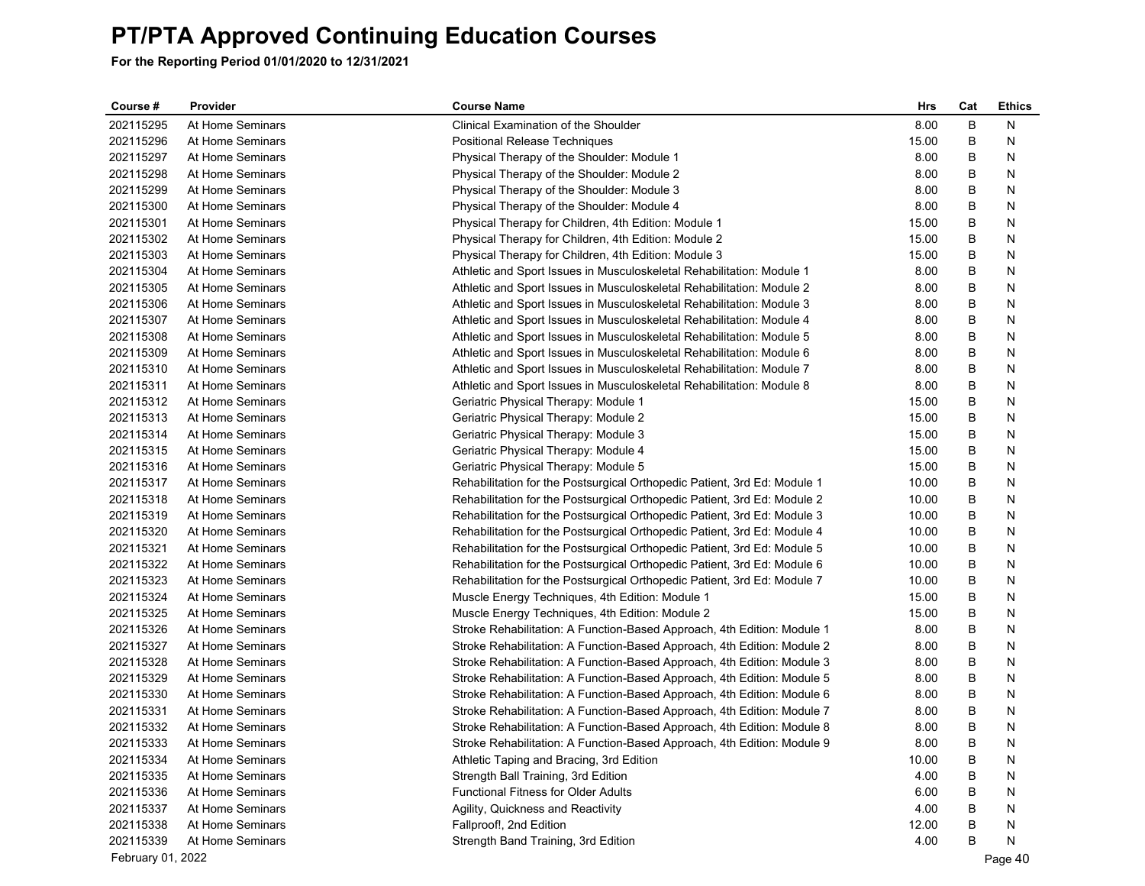| Course #          | Provider         | <b>Course Name</b>                                                       | Hrs   | Cat | <b>Ethics</b> |
|-------------------|------------------|--------------------------------------------------------------------------|-------|-----|---------------|
| 202115295         | At Home Seminars | Clinical Examination of the Shoulder                                     | 8.00  | B   | N             |
| 202115296         | At Home Seminars | <b>Positional Release Techniques</b>                                     | 15.00 | B   | N             |
| 202115297         | At Home Seminars | Physical Therapy of the Shoulder: Module 1                               | 8.00  | В   | N             |
| 202115298         | At Home Seminars | Physical Therapy of the Shoulder: Module 2                               | 8.00  | В   | N             |
| 202115299         | At Home Seminars | Physical Therapy of the Shoulder: Module 3                               | 8.00  | В   | N             |
| 202115300         | At Home Seminars | Physical Therapy of the Shoulder: Module 4                               | 8.00  | В   | N             |
| 202115301         | At Home Seminars | Physical Therapy for Children, 4th Edition: Module 1                     | 15.00 | В   | N             |
| 202115302         | At Home Seminars | Physical Therapy for Children, 4th Edition: Module 2                     | 15.00 | B   | N             |
| 202115303         | At Home Seminars | Physical Therapy for Children, 4th Edition: Module 3                     | 15.00 | B   | N             |
| 202115304         | At Home Seminars | Athletic and Sport Issues in Musculoskeletal Rehabilitation: Module 1    | 8.00  | B   | N             |
| 202115305         | At Home Seminars | Athletic and Sport Issues in Musculoskeletal Rehabilitation: Module 2    | 8.00  | В   | N             |
| 202115306         | At Home Seminars | Athletic and Sport Issues in Musculoskeletal Rehabilitation: Module 3    | 8.00  | В   | N             |
| 202115307         | At Home Seminars | Athletic and Sport Issues in Musculoskeletal Rehabilitation: Module 4    | 8.00  | В   | N             |
| 202115308         | At Home Seminars | Athletic and Sport Issues in Musculoskeletal Rehabilitation: Module 5    | 8.00  | B   | N             |
| 202115309         | At Home Seminars | Athletic and Sport Issues in Musculoskeletal Rehabilitation: Module 6    | 8.00  | В   | N             |
| 202115310         | At Home Seminars | Athletic and Sport Issues in Musculoskeletal Rehabilitation: Module 7    | 8.00  | B   | N             |
| 202115311         | At Home Seminars | Athletic and Sport Issues in Musculoskeletal Rehabilitation: Module 8    | 8.00  | B   | N             |
| 202115312         | At Home Seminars | Geriatric Physical Therapy: Module 1                                     | 15.00 | B   | N             |
| 202115313         | At Home Seminars | Geriatric Physical Therapy: Module 2                                     | 15.00 | B   | N             |
| 202115314         | At Home Seminars | Geriatric Physical Therapy: Module 3                                     | 15.00 | В   | N             |
| 202115315         | At Home Seminars | Geriatric Physical Therapy: Module 4                                     | 15.00 | В   | N             |
| 202115316         | At Home Seminars | Geriatric Physical Therapy: Module 5                                     | 15.00 | B   | N             |
| 202115317         | At Home Seminars | Rehabilitation for the Postsurgical Orthopedic Patient, 3rd Ed: Module 1 | 10.00 | В   | N             |
| 202115318         | At Home Seminars | Rehabilitation for the Postsurgical Orthopedic Patient, 3rd Ed: Module 2 | 10.00 | B   | N             |
| 202115319         | At Home Seminars | Rehabilitation for the Postsurgical Orthopedic Patient, 3rd Ed: Module 3 | 10.00 | B   | N             |
| 202115320         | At Home Seminars | Rehabilitation for the Postsurgical Orthopedic Patient, 3rd Ed: Module 4 | 10.00 | B   | N             |
| 202115321         | At Home Seminars | Rehabilitation for the Postsurgical Orthopedic Patient, 3rd Ed: Module 5 | 10.00 | B   | N             |
| 202115322         | At Home Seminars | Rehabilitation for the Postsurgical Orthopedic Patient, 3rd Ed: Module 6 | 10.00 | B   | N             |
| 202115323         | At Home Seminars | Rehabilitation for the Postsurgical Orthopedic Patient, 3rd Ed: Module 7 | 10.00 | В   | N             |
| 202115324         | At Home Seminars | Muscle Energy Techniques, 4th Edition: Module 1                          | 15.00 | В   | N             |
| 202115325         | At Home Seminars | Muscle Energy Techniques, 4th Edition: Module 2                          | 15.00 | В   | N             |
| 202115326         | At Home Seminars | Stroke Rehabilitation: A Function-Based Approach, 4th Edition: Module 1  | 8.00  | B   | N             |
| 202115327         | At Home Seminars | Stroke Rehabilitation: A Function-Based Approach, 4th Edition: Module 2  | 8.00  | B   | N             |
| 202115328         | At Home Seminars | Stroke Rehabilitation: A Function-Based Approach, 4th Edition: Module 3  | 8.00  | B   | N             |
| 202115329         | At Home Seminars | Stroke Rehabilitation: A Function-Based Approach, 4th Edition: Module 5  | 8.00  | В   | N             |
| 202115330         | At Home Seminars | Stroke Rehabilitation: A Function-Based Approach, 4th Edition: Module 6  | 8.00  | B   | N             |
| 202115331         | At Home Seminars | Stroke Rehabilitation: A Function-Based Approach, 4th Edition: Module 7  | 8.00  | В   | N             |
| 202115332         | At Home Seminars | Stroke Rehabilitation: A Function-Based Approach, 4th Edition: Module 8  | 8.00  | B   | N             |
| 202115333         | At Home Seminars | Stroke Rehabilitation: A Function-Based Approach, 4th Edition: Module 9  | 8.00  | B   | N             |
| 202115334         | At Home Seminars | Athletic Taping and Bracing, 3rd Edition                                 | 10.00 | В   | N             |
| 202115335         | At Home Seminars | Strength Ball Training, 3rd Edition                                      | 4.00  | B   | N             |
| 202115336         | At Home Seminars | <b>Functional Fitness for Older Adults</b>                               | 6.00  | B   | N             |
| 202115337         | At Home Seminars | Agility, Quickness and Reactivity                                        | 4.00  | B   | N             |
| 202115338         | At Home Seminars | Fallproof!, 2nd Edition                                                  | 12.00 | B   | N             |
| 202115339         | At Home Seminars | Strength Band Training, 3rd Edition                                      | 4.00  | B   | N             |
| February 01, 2022 |                  |                                                                          |       |     | Page 40       |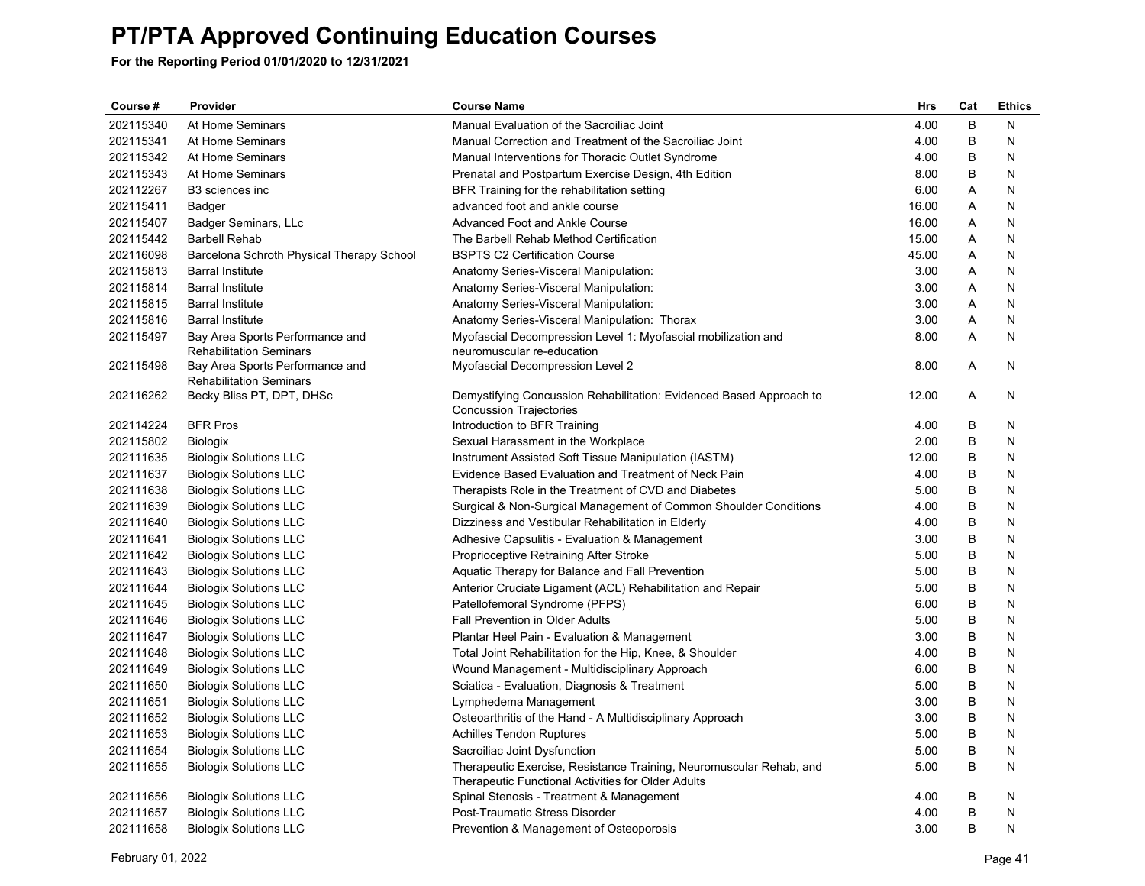| Course #  | Provider                                                          | <b>Course Name</b>                                                                                    | <b>Hrs</b> | Cat | <b>Ethics</b> |
|-----------|-------------------------------------------------------------------|-------------------------------------------------------------------------------------------------------|------------|-----|---------------|
| 202115340 | At Home Seminars                                                  | Manual Evaluation of the Sacroiliac Joint                                                             | 4.00       | B   | N             |
| 202115341 | At Home Seminars                                                  | Manual Correction and Treatment of the Sacroiliac Joint                                               | 4.00       | B   | N             |
| 202115342 | At Home Seminars                                                  | Manual Interventions for Thoracic Outlet Syndrome                                                     | 4.00       | B   | N             |
| 202115343 | At Home Seminars                                                  | Prenatal and Postpartum Exercise Design, 4th Edition                                                  | 8.00       | B   | N             |
| 202112267 | B <sub>3</sub> sciences inc                                       | BFR Training for the rehabilitation setting                                                           | 6.00       | Α   | N             |
| 202115411 | Badger                                                            | advanced foot and ankle course                                                                        | 16.00      | Α   | N             |
| 202115407 | Badger Seminars, LLc                                              | Advanced Foot and Ankle Course                                                                        | 16.00      | A   | N             |
| 202115442 | <b>Barbell Rehab</b>                                              | The Barbell Rehab Method Certification                                                                | 15.00      | Α   | N             |
| 202116098 | Barcelona Schroth Physical Therapy School                         | <b>BSPTS C2 Certification Course</b>                                                                  | 45.00      | A   | N             |
| 202115813 | <b>Barral Institute</b>                                           | Anatomy Series-Visceral Manipulation:                                                                 | 3.00       | Α   | N             |
| 202115814 | <b>Barral Institute</b>                                           | Anatomy Series-Visceral Manipulation:                                                                 | 3.00       | Α   | N             |
| 202115815 | <b>Barral Institute</b>                                           | Anatomy Series-Visceral Manipulation:                                                                 | 3.00       | A   | N             |
| 202115816 | <b>Barral Institute</b>                                           | Anatomy Series-Visceral Manipulation: Thorax                                                          | 3.00       | Α   | N             |
| 202115497 | Bay Area Sports Performance and                                   | Myofascial Decompression Level 1: Myofascial mobilization and                                         | 8.00       | A   | N             |
|           | <b>Rehabilitation Seminars</b>                                    | neuromuscular re-education                                                                            |            |     |               |
| 202115498 | Bay Area Sports Performance and<br><b>Rehabilitation Seminars</b> | Myofascial Decompression Level 2                                                                      | 8.00       | A   | N             |
| 202116262 | Becky Bliss PT, DPT, DHSc                                         | Demystifying Concussion Rehabilitation: Evidenced Based Approach to<br><b>Concussion Trajectories</b> | 12.00      | A   | N             |
| 202114224 | <b>BFR Pros</b>                                                   | Introduction to BFR Training                                                                          | 4.00       | B   | N             |
| 202115802 | <b>Biologix</b>                                                   | Sexual Harassment in the Workplace                                                                    | 2.00       | B   | N             |
| 202111635 | <b>Biologix Solutions LLC</b>                                     | Instrument Assisted Soft Tissue Manipulation (IASTM)                                                  | 12.00      | B   | N             |
| 202111637 | <b>Biologix Solutions LLC</b>                                     | Evidence Based Evaluation and Treatment of Neck Pain                                                  | 4.00       | B   | N             |
| 202111638 | <b>Biologix Solutions LLC</b>                                     | Therapists Role in the Treatment of CVD and Diabetes                                                  | 5.00       | B   | N             |
| 202111639 | <b>Biologix Solutions LLC</b>                                     | Surgical & Non-Surgical Management of Common Shoulder Conditions                                      | 4.00       | B   | N             |
| 202111640 | <b>Biologix Solutions LLC</b>                                     | Dizziness and Vestibular Rehabilitation in Elderly                                                    | 4.00       | B   | N             |
| 202111641 | <b>Biologix Solutions LLC</b>                                     | Adhesive Capsulitis - Evaluation & Management                                                         | 3.00       | B   | N             |
| 202111642 | <b>Biologix Solutions LLC</b>                                     | Proprioceptive Retraining After Stroke                                                                | 5.00       | B   | N             |
| 202111643 | <b>Biologix Solutions LLC</b>                                     | Aquatic Therapy for Balance and Fall Prevention                                                       | 5.00       | B   | N             |
| 202111644 | <b>Biologix Solutions LLC</b>                                     | Anterior Cruciate Ligament (ACL) Rehabilitation and Repair                                            | 5.00       | B   | N             |
| 202111645 | <b>Biologix Solutions LLC</b>                                     | Patellofemoral Syndrome (PFPS)                                                                        | 6.00       | B   | N             |
| 202111646 | <b>Biologix Solutions LLC</b>                                     | Fall Prevention in Older Adults                                                                       | 5.00       | B   | N             |
| 202111647 | <b>Biologix Solutions LLC</b>                                     | Plantar Heel Pain - Evaluation & Management                                                           | 3.00       | B   | N             |
| 202111648 | <b>Biologix Solutions LLC</b>                                     | Total Joint Rehabilitation for the Hip, Knee, & Shoulder                                              | 4.00       | B   | N             |
| 202111649 | <b>Biologix Solutions LLC</b>                                     | Wound Management - Multidisciplinary Approach                                                         | 6.00       | B   | N             |
| 202111650 | <b>Biologix Solutions LLC</b>                                     | Sciatica - Evaluation, Diagnosis & Treatment                                                          | 5.00       | B   | N             |
| 202111651 | <b>Biologix Solutions LLC</b>                                     | Lymphedema Management                                                                                 | 3.00       | B   | N             |
| 202111652 | <b>Biologix Solutions LLC</b>                                     | Osteoarthritis of the Hand - A Multidisciplinary Approach                                             | 3.00       | B   | N             |
| 202111653 | <b>Biologix Solutions LLC</b>                                     | <b>Achilles Tendon Ruptures</b>                                                                       | 5.00       | B   | N             |
| 202111654 | <b>Biologix Solutions LLC</b>                                     | Sacroiliac Joint Dysfunction                                                                          | 5.00       | B   | N             |
| 202111655 | <b>Biologix Solutions LLC</b>                                     | Therapeutic Exercise, Resistance Training, Neuromuscular Rehab, and                                   | 5.00       | B   | N             |
|           |                                                                   | Therapeutic Functional Activities for Older Adults                                                    |            |     |               |
| 202111656 | <b>Biologix Solutions LLC</b>                                     | Spinal Stenosis - Treatment & Management                                                              | 4.00       | В   | N             |
| 202111657 | <b>Biologix Solutions LLC</b>                                     | Post-Traumatic Stress Disorder                                                                        | 4.00       | B   | N             |
| 202111658 | <b>Biologix Solutions LLC</b>                                     | Prevention & Management of Osteoporosis                                                               | 3.00       | B   | N             |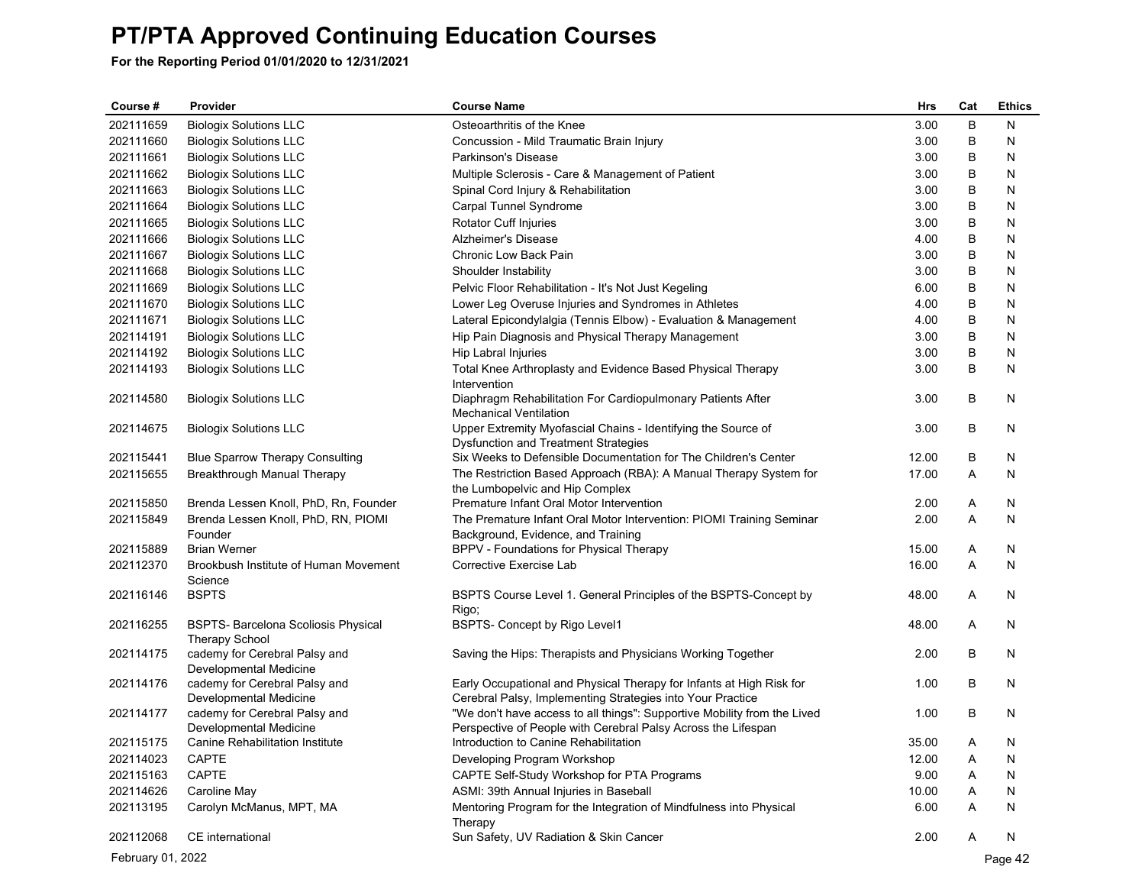**For the Reporting Period 01/01/2020 to 12/31/2021**

| Course #  | Provider                                                            | <b>Course Name</b>                                                                                                                        | <b>Hrs</b> | Cat | <b>Ethics</b> |
|-----------|---------------------------------------------------------------------|-------------------------------------------------------------------------------------------------------------------------------------------|------------|-----|---------------|
| 202111659 | <b>Biologix Solutions LLC</b>                                       | Osteoarthritis of the Knee                                                                                                                | 3.00       | B   | N             |
| 202111660 | <b>Biologix Solutions LLC</b>                                       | Concussion - Mild Traumatic Brain Injury                                                                                                  | 3.00       | B   | N             |
| 202111661 | <b>Biologix Solutions LLC</b>                                       | Parkinson's Disease                                                                                                                       | 3.00       | B   | N             |
| 202111662 | <b>Biologix Solutions LLC</b>                                       | Multiple Sclerosis - Care & Management of Patient                                                                                         | 3.00       | B   | N             |
| 202111663 | <b>Biologix Solutions LLC</b>                                       | Spinal Cord Injury & Rehabilitation                                                                                                       | 3.00       | В   | N             |
| 202111664 | <b>Biologix Solutions LLC</b>                                       | Carpal Tunnel Syndrome                                                                                                                    | 3.00       | B   | N             |
| 202111665 | <b>Biologix Solutions LLC</b>                                       | Rotator Cuff Injuries                                                                                                                     | 3.00       | B   | N             |
| 202111666 | <b>Biologix Solutions LLC</b>                                       | Alzheimer's Disease                                                                                                                       | 4.00       | B   | N             |
| 202111667 | <b>Biologix Solutions LLC</b>                                       | Chronic Low Back Pain                                                                                                                     | 3.00       | B   | N             |
| 202111668 | <b>Biologix Solutions LLC</b>                                       | Shoulder Instability                                                                                                                      | 3.00       | B   | N             |
| 202111669 | <b>Biologix Solutions LLC</b>                                       | Pelvic Floor Rehabilitation - It's Not Just Kegeling                                                                                      | 6.00       | B   | N             |
| 202111670 | <b>Biologix Solutions LLC</b>                                       | Lower Leg Overuse Injuries and Syndromes in Athletes                                                                                      | 4.00       | B   | N             |
| 202111671 | <b>Biologix Solutions LLC</b>                                       | Lateral Epicondylalgia (Tennis Elbow) - Evaluation & Management                                                                           | 4.00       | B   | N             |
| 202114191 | <b>Biologix Solutions LLC</b>                                       | Hip Pain Diagnosis and Physical Therapy Management                                                                                        | 3.00       | B   | N             |
| 202114192 | <b>Biologix Solutions LLC</b>                                       | Hip Labral Injuries                                                                                                                       | 3.00       | B   | N             |
| 202114193 | <b>Biologix Solutions LLC</b>                                       | Total Knee Arthroplasty and Evidence Based Physical Therapy<br>Intervention                                                               | 3.00       | B   | N             |
| 202114580 | <b>Biologix Solutions LLC</b>                                       | Diaphragm Rehabilitation For Cardiopulmonary Patients After<br><b>Mechanical Ventilation</b>                                              | 3.00       | B   | N             |
| 202114675 | <b>Biologix Solutions LLC</b>                                       | Upper Extremity Myofascial Chains - Identifying the Source of<br><b>Dysfunction and Treatment Strategies</b>                              | 3.00       | B   | N             |
| 202115441 | <b>Blue Sparrow Therapy Consulting</b>                              | Six Weeks to Defensible Documentation for The Children's Center                                                                           | 12.00      | B   | N             |
| 202115655 | Breakthrough Manual Therapy                                         | The Restriction Based Approach (RBA): A Manual Therapy System for<br>the Lumbopelvic and Hip Complex                                      | 17.00      | A   | N             |
| 202115850 | Brenda Lessen Knoll, PhD, Rn, Founder                               | Premature Infant Oral Motor Intervention                                                                                                  | 2.00       | Α   | N             |
| 202115849 | Brenda Lessen Knoll, PhD, RN, PIOMI<br>Founder                      | The Premature Infant Oral Motor Intervention: PIOMI Training Seminar<br>Background, Evidence, and Training                                | 2.00       | A   | N             |
| 202115889 | <b>Brian Werner</b>                                                 | BPPV - Foundations for Physical Therapy                                                                                                   | 15.00      | A   | N             |
| 202112370 | Brookbush Institute of Human Movement<br>Science                    | Corrective Exercise Lab                                                                                                                   | 16.00      | A   | N             |
| 202116146 | <b>BSPTS</b>                                                        | BSPTS Course Level 1. General Principles of the BSPTS-Concept by<br>Rigo;                                                                 | 48.00      | A   | N             |
| 202116255 | <b>BSPTS- Barcelona Scoliosis Physical</b><br><b>Therapy School</b> | BSPTS- Concept by Rigo Level1                                                                                                             | 48.00      | A   | N             |
| 202114175 | cademy for Cerebral Palsy and<br>Developmental Medicine             | Saving the Hips: Therapists and Physicians Working Together                                                                               | 2.00       | B   | N             |
| 202114176 | cademy for Cerebral Palsy and<br>Developmental Medicine             | Early Occupational and Physical Therapy for Infants at High Risk for<br>Cerebral Palsy, Implementing Strategies into Your Practice        | 1.00       | B   | N             |
| 202114177 | cademy for Cerebral Palsy and<br>Developmental Medicine             | "We don't have access to all things": Supportive Mobility from the Lived<br>Perspective of People with Cerebral Palsy Across the Lifespan | 1.00       | B   | N             |
| 202115175 | Canine Rehabilitation Institute                                     | Introduction to Canine Rehabilitation                                                                                                     | 35.00      | Α   | N             |
| 202114023 | <b>CAPTE</b>                                                        | Developing Program Workshop                                                                                                               | 12.00      | Α   | N             |
| 202115163 | CAPTE                                                               | CAPTE Self-Study Workshop for PTA Programs                                                                                                | 9.00       | A   | N             |
| 202114626 | Caroline May                                                        | ASMI: 39th Annual Injuries in Baseball                                                                                                    | 10.00      | Α   | N             |
| 202113195 | Carolyn McManus, MPT, MA                                            | Mentoring Program for the Integration of Mindfulness into Physical<br>Therapy                                                             | 6.00       | A   | N             |
| 202112068 | CE international                                                    | Sun Safety, UV Radiation & Skin Cancer                                                                                                    | 2.00       | A   | N             |

February 01, 2022 Page 42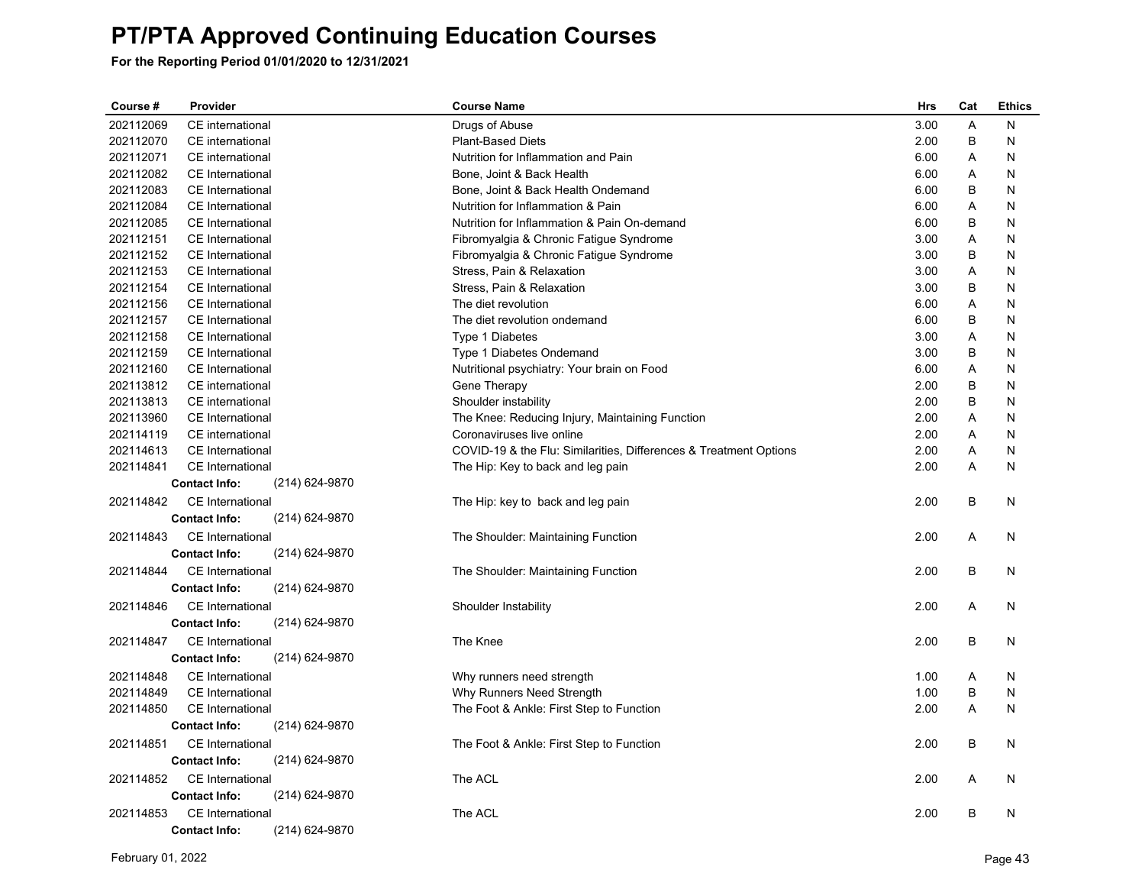| Course #  | Provider             |                | <b>Course Name</b>                                                | Hrs  | Cat | <b>Ethics</b> |
|-----------|----------------------|----------------|-------------------------------------------------------------------|------|-----|---------------|
| 202112069 | CE international     |                | Drugs of Abuse                                                    | 3.00 | Α   | N             |
| 202112070 | CE international     |                | <b>Plant-Based Diets</b>                                          | 2.00 | B   | N             |
| 202112071 | CE international     |                | Nutrition for Inflammation and Pain                               | 6.00 | Α   | N             |
| 202112082 | CE International     |                | Bone, Joint & Back Health                                         | 6.00 | Α   | N             |
| 202112083 | CE International     |                | Bone, Joint & Back Health Ondemand                                | 6.00 | B   | N             |
| 202112084 | CE International     |                | Nutrition for Inflammation & Pain                                 | 6.00 | Α   | N             |
| 202112085 | CE International     |                | Nutrition for Inflammation & Pain On-demand                       | 6.00 | B   | N             |
| 202112151 | CE International     |                | Fibromyalgia & Chronic Fatigue Syndrome                           | 3.00 | Α   | N             |
| 202112152 | CE International     |                | Fibromyalgia & Chronic Fatigue Syndrome                           | 3.00 | B   | N             |
| 202112153 | CE International     |                | Stress, Pain & Relaxation                                         | 3.00 | A   | N             |
| 202112154 | CE International     |                | Stress, Pain & Relaxation                                         | 3.00 | B   | N             |
| 202112156 | CE International     |                | The diet revolution                                               | 6.00 | A   | N             |
| 202112157 | CE International     |                | The diet revolution ondemand                                      | 6.00 | B   | N             |
| 202112158 | CE International     |                | Type 1 Diabetes                                                   | 3.00 | A   | N             |
| 202112159 | CE International     |                | Type 1 Diabetes Ondemand                                          | 3.00 | B   | N             |
| 202112160 | CE International     |                | Nutritional psychiatry: Your brain on Food                        | 6.00 | Α   | N             |
| 202113812 | CE international     |                | Gene Therapy                                                      | 2.00 | B   | N             |
| 202113813 | CE international     |                | Shoulder instability                                              | 2.00 | B   | N             |
| 202113960 | CE International     |                | The Knee: Reducing Injury, Maintaining Function                   | 2.00 | Α   | N             |
| 202114119 | CE international     |                | Coronaviruses live online                                         | 2.00 | A   | N             |
| 202114613 | CE International     |                | COVID-19 & the Flu: Similarities, Differences & Treatment Options | 2.00 | Α   | N             |
| 202114841 | CE International     |                | The Hip: Key to back and leg pain                                 | 2.00 | A   | N             |
|           | <b>Contact Info:</b> | (214) 624-9870 |                                                                   |      |     |               |
| 202114842 | CE International     |                | The Hip: key to back and leg pain                                 | 2.00 | B   | N             |
|           | <b>Contact Info:</b> | (214) 624-9870 |                                                                   |      |     |               |
| 202114843 | CE International     |                | The Shoulder: Maintaining Function                                | 2.00 | Α   | N             |
|           | <b>Contact Info:</b> | (214) 624-9870 |                                                                   |      |     |               |
| 202114844 | CE International     |                | The Shoulder: Maintaining Function                                | 2.00 | B   | N             |
|           | <b>Contact Info:</b> | (214) 624-9870 |                                                                   |      |     |               |
| 202114846 | CE International     |                | Shoulder Instability                                              | 2.00 | A   | N             |
|           | <b>Contact Info:</b> | (214) 624-9870 |                                                                   |      |     |               |
| 202114847 | CE International     |                | The Knee                                                          | 2.00 | B   | N             |
|           | <b>Contact Info:</b> | (214) 624-9870 |                                                                   |      |     |               |
| 202114848 | CE International     |                | Why runners need strength                                         | 1.00 | Α   | N             |
| 202114849 | CE International     |                | Why Runners Need Strength                                         | 1.00 | В   | N             |
| 202114850 | CE International     |                | The Foot & Ankle: First Step to Function                          | 2.00 | A   | N             |
|           | <b>Contact Info:</b> | (214) 624-9870 |                                                                   |      |     |               |
| 202114851 | CE International     |                | The Foot & Ankle: First Step to Function                          | 2.00 | B   | N             |
|           | <b>Contact Info:</b> | (214) 624-9870 |                                                                   |      |     |               |
| 202114852 | CE International     |                | The ACL                                                           | 2.00 | Α   |               |
|           | <b>Contact Info:</b> | (214) 624-9870 |                                                                   |      |     | N             |
|           |                      |                |                                                                   |      |     |               |
| 202114853 | CE International     |                | The ACL                                                           | 2.00 | B   | N             |
|           | <b>Contact Info:</b> | (214) 624-9870 |                                                                   |      |     |               |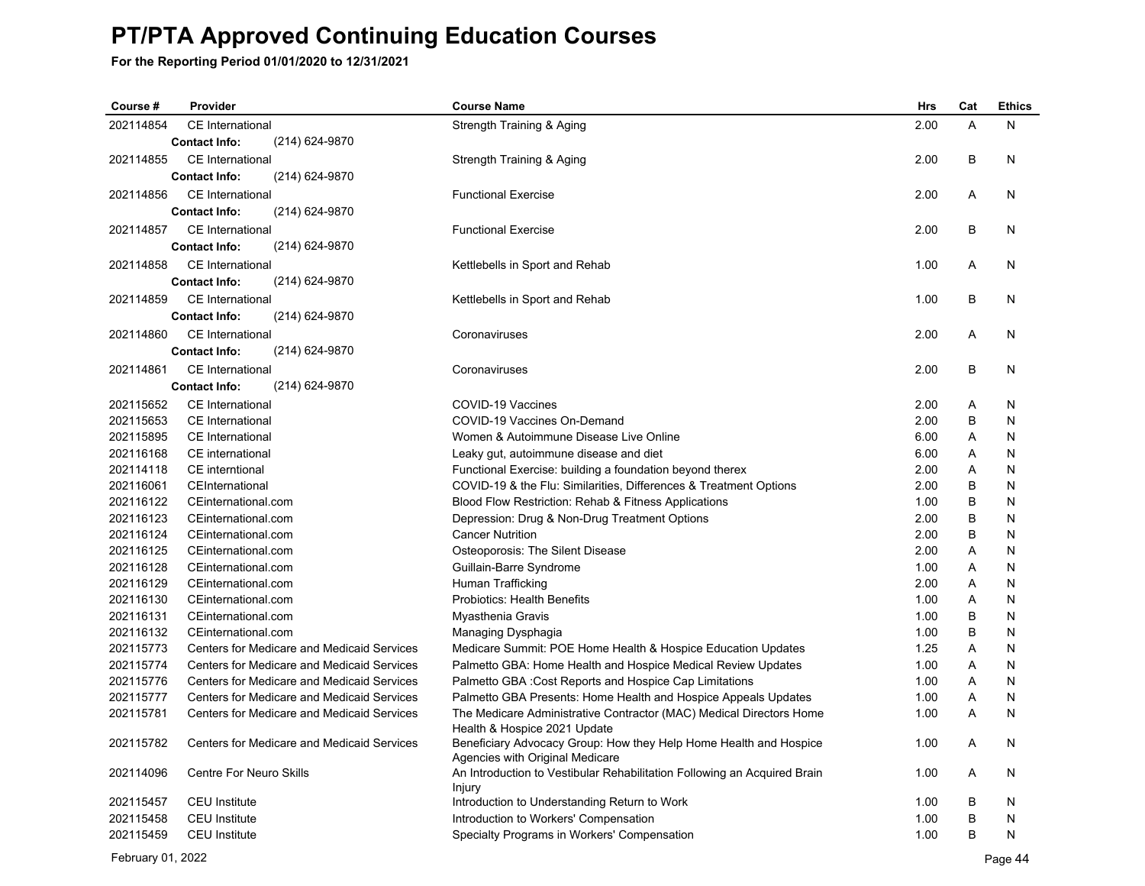| Course #               | Provider                                   | <b>Course Name</b>                                                                                    | <b>Hrs</b>   | Cat    | <b>Ethics</b> |
|------------------------|--------------------------------------------|-------------------------------------------------------------------------------------------------------|--------------|--------|---------------|
| 202114854              | CE International                           | Strength Training & Aging                                                                             | 2.00         | A      | N             |
|                        | (214) 624-9870<br><b>Contact Info:</b>     |                                                                                                       |              |        |               |
| 202114855              | CE International                           | Strength Training & Aging                                                                             | 2.00         | B      | N             |
|                        | <b>Contact Info:</b><br>(214) 624-9870     |                                                                                                       |              |        |               |
| 202114856              | CE International                           | <b>Functional Exercise</b>                                                                            | 2.00         | A      | N             |
|                        | (214) 624-9870<br><b>Contact Info:</b>     |                                                                                                       |              |        |               |
| 202114857              | <b>CE</b> International                    | <b>Functional Exercise</b>                                                                            | 2.00         | B      | N             |
|                        | <b>Contact Info:</b><br>(214) 624-9870     |                                                                                                       |              |        |               |
| 202114858              | <b>CE</b> International                    | Kettlebells in Sport and Rehab                                                                        | 1.00         | A      | N             |
|                        | (214) 624-9870<br><b>Contact Info:</b>     |                                                                                                       |              |        |               |
| 202114859              | <b>CE</b> International                    | Kettlebells in Sport and Rehab                                                                        | 1.00         | B      | N             |
|                        | <b>Contact Info:</b><br>(214) 624-9870     |                                                                                                       |              |        |               |
| 202114860              | CE International                           | Coronaviruses                                                                                         | 2.00         | A      | N             |
|                        | <b>Contact Info:</b><br>(214) 624-9870     |                                                                                                       |              |        |               |
| 202114861              | CE International                           | Coronaviruses                                                                                         | 2.00         | B      | N             |
|                        | (214) 624-9870<br><b>Contact Info:</b>     |                                                                                                       |              |        |               |
|                        |                                            |                                                                                                       |              |        |               |
| 202115652<br>202115653 | CE International                           | COVID-19 Vaccines                                                                                     | 2.00<br>2.00 | Α      | N             |
|                        | CE International                           | COVID-19 Vaccines On-Demand                                                                           |              | B      | N             |
| 202115895<br>202116168 | CE International                           | Women & Autoimmune Disease Live Online                                                                | 6.00<br>6.00 | A<br>A | N<br>N        |
| 202114118              | CE international<br>CE interntional        | Leaky gut, autoimmune disease and diet                                                                | 2.00         | A      | N             |
| 202116061              | CEInternational                            | Functional Exercise: building a foundation beyond therex                                              | 2.00         | B      | N             |
| 202116122              | CEinternational.com                        | COVID-19 & the Flu: Similarities, Differences & Treatment Options                                     | 1.00         | B      | N             |
| 202116123              | CEinternational.com                        | Blood Flow Restriction: Rehab & Fitness Applications<br>Depression: Drug & Non-Drug Treatment Options | 2.00         | B      | N             |
| 202116124              | CEinternational.com                        | <b>Cancer Nutrition</b>                                                                               | 2.00         | B      | N             |
| 202116125              | CEinternational.com                        | Osteoporosis: The Silent Disease                                                                      | 2.00         | A      | N             |
| 202116128              | CEinternational.com                        | Guillain-Barre Syndrome                                                                               | 1.00         | Α      | N             |
| 202116129              | CEinternational.com                        | Human Trafficking                                                                                     | 2.00         | A      | N             |
| 202116130              | CEinternational.com                        | <b>Probiotics: Health Benefits</b>                                                                    | 1.00         | Α      | N             |
| 202116131              | CEinternational.com                        | Myasthenia Gravis                                                                                     | 1.00         | B      | N             |
| 202116132              | CEinternational.com                        | Managing Dysphagia                                                                                    | 1.00         | B      | N             |
| 202115773              | Centers for Medicare and Medicaid Services | Medicare Summit: POE Home Health & Hospice Education Updates                                          | 1.25         | Α      | N             |
| 202115774              | Centers for Medicare and Medicaid Services | Palmetto GBA: Home Health and Hospice Medical Review Updates                                          | 1.00         | Α      | N             |
| 202115776              | Centers for Medicare and Medicaid Services | Palmetto GBA : Cost Reports and Hospice Cap Limitations                                               | 1.00         | A      | N             |
| 202115777              | Centers for Medicare and Medicaid Services | Palmetto GBA Presents: Home Health and Hospice Appeals Updates                                        | 1.00         | A      | N             |
| 202115781              | Centers for Medicare and Medicaid Services | The Medicare Administrative Contractor (MAC) Medical Directors Home                                   | 1.00         | A      | N             |
|                        |                                            | Health & Hospice 2021 Update                                                                          |              |        |               |
| 202115782              | Centers for Medicare and Medicaid Services | Beneficiary Advocacy Group: How they Help Home Health and Hospice                                     | 1.00         | A      | N             |
|                        |                                            | Agencies with Original Medicare                                                                       |              |        |               |
| 202114096              | <b>Centre For Neuro Skills</b>             | An Introduction to Vestibular Rehabilitation Following an Acquired Brain                              | 1.00         | A      | N             |
|                        |                                            | Injury                                                                                                |              |        |               |
| 202115457              | <b>CEU</b> Institute                       | Introduction to Understanding Return to Work                                                          | 1.00         | B      | N             |
| 202115458              | <b>CEU</b> Institute                       | Introduction to Workers' Compensation                                                                 | 1.00         | B      | N             |
| 202115459              | <b>CEU</b> Institute                       | Specialty Programs in Workers' Compensation                                                           | 1.00         | B      | N             |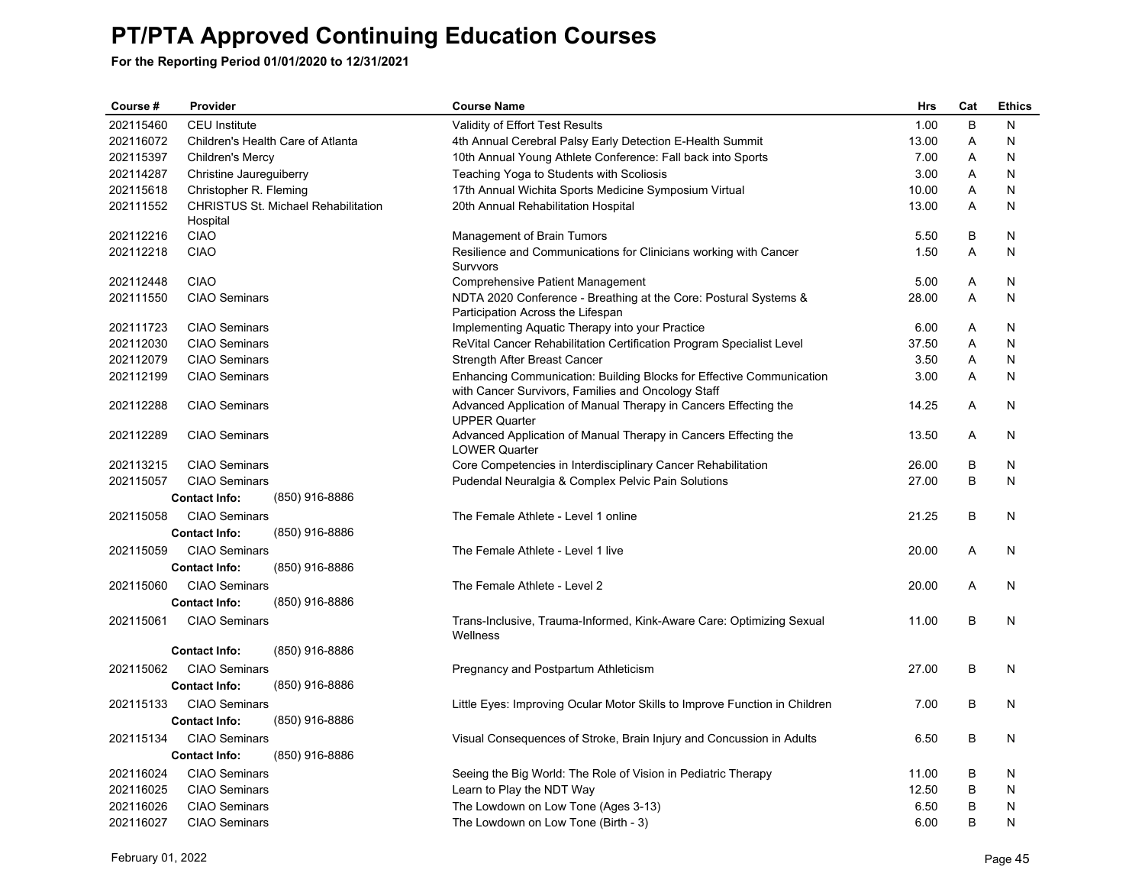| Course #  | Provider                |                                            | <b>Course Name</b>                                                                                                         | <b>Hrs</b> | Cat | <b>Ethics</b> |
|-----------|-------------------------|--------------------------------------------|----------------------------------------------------------------------------------------------------------------------------|------------|-----|---------------|
| 202115460 | <b>CEU</b> Institute    |                                            | Validity of Effort Test Results                                                                                            | 1.00       | B   | N             |
| 202116072 |                         | Children's Health Care of Atlanta          | 4th Annual Cerebral Palsy Early Detection E-Health Summit                                                                  | 13.00      | Α   | N             |
| 202115397 | Children's Mercy        |                                            | 10th Annual Young Athlete Conference: Fall back into Sports                                                                | 7.00       | A   | N             |
| 202114287 | Christine Jaureguiberry |                                            | Teaching Yoga to Students with Scoliosis                                                                                   | 3.00       | A   | N             |
| 202115618 | Christopher R. Fleming  |                                            | 17th Annual Wichita Sports Medicine Symposium Virtual                                                                      | 10.00      | Α   | N             |
| 202111552 |                         | <b>CHRISTUS St. Michael Rehabilitation</b> | 20th Annual Rehabilitation Hospital                                                                                        | 13.00      | A   | N             |
| 202112216 | Hospital<br><b>CIAO</b> |                                            | Management of Brain Tumors                                                                                                 | 5.50       | B   | N             |
| 202112218 | <b>CIAO</b>             |                                            | Resilience and Communications for Clinicians working with Cancer                                                           | 1.50       | A   | N             |
|           |                         |                                            | Survvors                                                                                                                   |            |     |               |
| 202112448 | <b>CIAO</b>             |                                            | Comprehensive Patient Management                                                                                           | 5.00       | A   | N             |
| 202111550 | <b>CIAO Seminars</b>    |                                            | NDTA 2020 Conference - Breathing at the Core: Postural Systems &<br>Participation Across the Lifespan                      | 28.00      | Α   | N             |
| 202111723 | <b>CIAO Seminars</b>    |                                            | Implementing Aquatic Therapy into your Practice                                                                            | 6.00       | Α   | N             |
| 202112030 | <b>CIAO Seminars</b>    |                                            | ReVital Cancer Rehabilitation Certification Program Specialist Level                                                       | 37.50      | A   | N             |
| 202112079 | <b>CIAO Seminars</b>    |                                            | Strength After Breast Cancer                                                                                               | 3.50       | A   | N             |
| 202112199 | <b>CIAO Seminars</b>    |                                            | Enhancing Communication: Building Blocks for Effective Communication<br>with Cancer Survivors, Families and Oncology Staff | 3.00       | Α   | N             |
| 202112288 | <b>CIAO Seminars</b>    |                                            | Advanced Application of Manual Therapy in Cancers Effecting the<br><b>UPPER Quarter</b>                                    | 14.25      | A   | N             |
| 202112289 | <b>CIAO Seminars</b>    |                                            | Advanced Application of Manual Therapy in Cancers Effecting the<br><b>LOWER Quarter</b>                                    | 13.50      | A   | N             |
| 202113215 | <b>CIAO Seminars</b>    |                                            | Core Competencies in Interdisciplinary Cancer Rehabilitation                                                               | 26.00      | B   | N             |
| 202115057 | <b>CIAO Seminars</b>    |                                            | Pudendal Neuralgia & Complex Pelvic Pain Solutions                                                                         | 27.00      | B   | N             |
|           | <b>Contact Info:</b>    | (850) 916-8886                             |                                                                                                                            |            |     |               |
| 202115058 | <b>CIAO Seminars</b>    |                                            | The Female Athlete - Level 1 online                                                                                        | 21.25      | B   | N             |
|           | <b>Contact Info:</b>    | (850) 916-8886                             |                                                                                                                            |            |     |               |
| 202115059 | <b>CIAO Seminars</b>    |                                            | The Female Athlete - Level 1 live                                                                                          | 20.00      | Α   | N             |
|           | <b>Contact Info:</b>    | (850) 916-8886                             |                                                                                                                            |            |     |               |
| 202115060 | <b>CIAO Seminars</b>    |                                            | The Female Athlete - Level 2                                                                                               | 20.00      | A   | N             |
|           | <b>Contact Info:</b>    | (850) 916-8886                             |                                                                                                                            |            |     |               |
| 202115061 | <b>CIAO Seminars</b>    |                                            | Trans-Inclusive, Trauma-Informed, Kink-Aware Care: Optimizing Sexual<br>Wellness                                           | 11.00      | B   | N             |
|           | <b>Contact Info:</b>    | (850) 916-8886                             |                                                                                                                            |            |     |               |
| 202115062 | <b>CIAO Seminars</b>    |                                            | Pregnancy and Postpartum Athleticism                                                                                       | 27.00      | B   | N             |
|           | <b>Contact Info:</b>    | (850) 916-8886                             |                                                                                                                            |            |     |               |
| 202115133 | <b>CIAO Seminars</b>    |                                            | Little Eyes: Improving Ocular Motor Skills to Improve Function in Children                                                 | 7.00       | B   | N             |
|           | <b>Contact Info:</b>    | (850) 916-8886                             |                                                                                                                            |            |     |               |
| 202115134 | <b>CIAO Seminars</b>    |                                            | Visual Consequences of Stroke, Brain Injury and Concussion in Adults                                                       | 6.50       | B   | N             |
|           | <b>Contact Info:</b>    | (850) 916-8886                             |                                                                                                                            |            |     |               |
| 202116024 | <b>CIAO Seminars</b>    |                                            | Seeing the Big World: The Role of Vision in Pediatric Therapy                                                              | 11.00      | B   | N             |
| 202116025 | <b>CIAO Seminars</b>    |                                            | Learn to Play the NDT Way                                                                                                  | 12.50      | B   | N             |
| 202116026 | <b>CIAO Seminars</b>    |                                            | The Lowdown on Low Tone (Ages 3-13)                                                                                        | 6.50       | B   | N             |
| 202116027 | <b>CIAO Seminars</b>    |                                            | The Lowdown on Low Tone (Birth - 3)                                                                                        | 6.00       | B   | N             |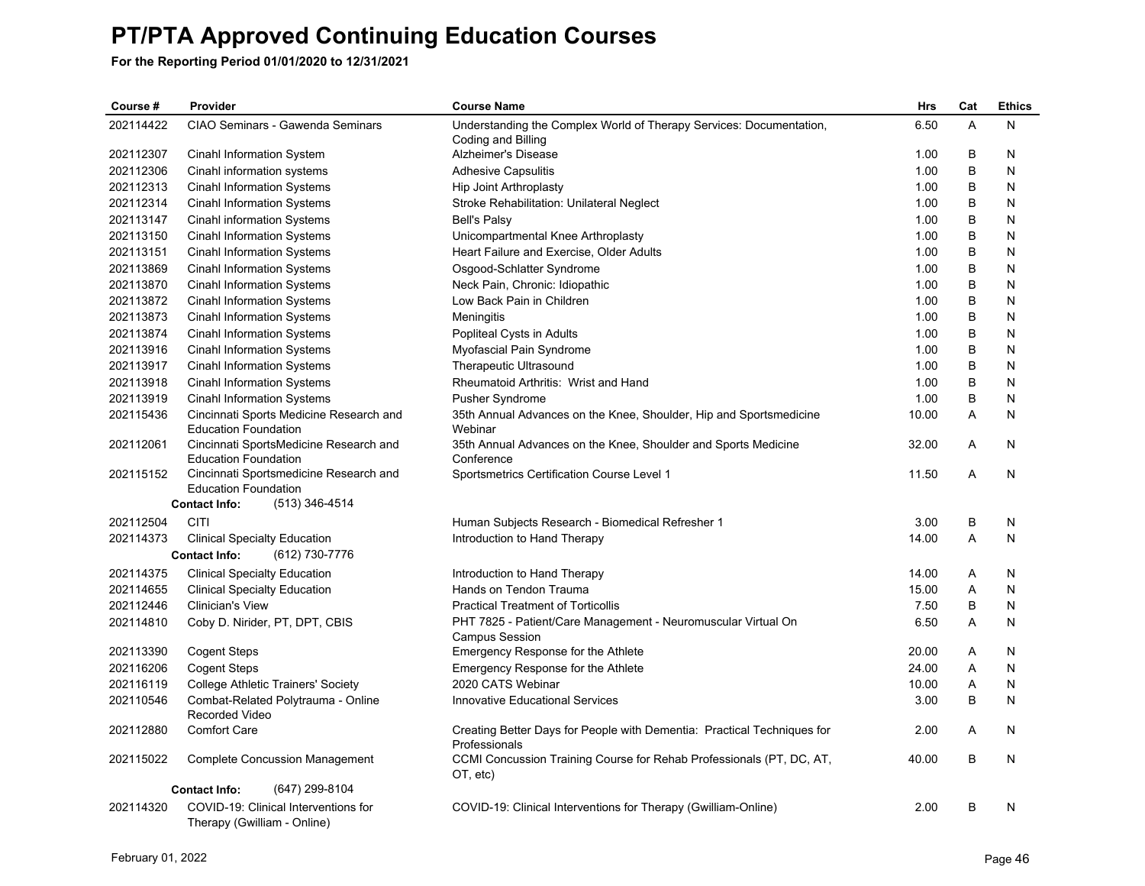| Course #  | Provider<br><b>Course Name</b>                                         |                                                                                           | <b>Hrs</b> | Cat | <b>Ethics</b> |
|-----------|------------------------------------------------------------------------|-------------------------------------------------------------------------------------------|------------|-----|---------------|
| 202114422 | CIAO Seminars - Gawenda Seminars                                       | Understanding the Complex World of Therapy Services: Documentation,<br>Coding and Billing | 6.50       | A   | N             |
| 202112307 | Cinahl Information System                                              | Alzheimer's Disease                                                                       | 1.00       | В   | N             |
| 202112306 | Cinahl information systems                                             | <b>Adhesive Capsulitis</b>                                                                | 1.00       | B   | N             |
| 202112313 | Cinahl Information Systems                                             | Hip Joint Arthroplasty                                                                    | 1.00       | B   | N             |
| 202112314 | <b>Cinahl Information Systems</b>                                      | Stroke Rehabilitation: Unilateral Neglect                                                 | 1.00       | В   | N             |
| 202113147 | Cinahl information Systems                                             | <b>Bell's Palsy</b>                                                                       | 1.00       | B   | N             |
| 202113150 | <b>Cinahl Information Systems</b>                                      | Unicompartmental Knee Arthroplasty                                                        | 1.00       | В   | N             |
| 202113151 | Cinahl Information Systems                                             | Heart Failure and Exercise, Older Adults                                                  | 1.00       | B   | N             |
| 202113869 | <b>Cinahl Information Systems</b>                                      | Osgood-Schlatter Syndrome                                                                 | 1.00       | B   | N             |
| 202113870 | <b>Cinahl Information Systems</b>                                      | Neck Pain, Chronic: Idiopathic                                                            | 1.00       | B   | N             |
| 202113872 | Cinahl Information Systems                                             | Low Back Pain in Children                                                                 | 1.00       | В   | N             |
| 202113873 | <b>Cinahl Information Systems</b>                                      | Meningitis                                                                                | 1.00       | B   | N             |
| 202113874 | <b>Cinahl Information Systems</b>                                      | Popliteal Cysts in Adults                                                                 | 1.00       | В   | N             |
| 202113916 | <b>Cinahl Information Systems</b>                                      | Myofascial Pain Syndrome                                                                  | 1.00       | B   | N             |
| 202113917 | <b>Cinahl Information Systems</b>                                      | Therapeutic Ultrasound                                                                    | 1.00       | В   | N             |
| 202113918 | <b>Cinahl Information Systems</b>                                      | Rheumatoid Arthritis: Wrist and Hand                                                      | 1.00       | B   | N             |
| 202113919 | <b>Cinahl Information Systems</b>                                      | Pusher Syndrome                                                                           | 1.00       | В   | N             |
| 202115436 | Cincinnati Sports Medicine Research and<br><b>Education Foundation</b> | 35th Annual Advances on the Knee, Shoulder, Hip and Sportsmedicine<br>Webinar             | 10.00      | A   | N             |
| 202112061 | Cincinnati SportsMedicine Research and<br><b>Education Foundation</b>  | 35th Annual Advances on the Knee, Shoulder and Sports Medicine<br>Conference              | 32.00      | A   | N             |
| 202115152 | Cincinnati Sportsmedicine Research and<br><b>Education Foundation</b>  | Sportsmetrics Certification Course Level 1                                                | 11.50      | A   | N             |
|           | (513) 346-4514<br><b>Contact Info:</b>                                 |                                                                                           |            |     |               |
| 202112504 | <b>CITI</b>                                                            | Human Subjects Research - Biomedical Refresher 1                                          | 3.00       | В   | N             |
| 202114373 | <b>Clinical Specialty Education</b>                                    | Introduction to Hand Therapy                                                              | 14.00      | A   | N             |
|           | <b>Contact Info:</b><br>(612) 730-7776                                 |                                                                                           |            |     |               |
| 202114375 | <b>Clinical Specialty Education</b>                                    | Introduction to Hand Therapy                                                              | 14.00      | Α   | N             |
| 202114655 | <b>Clinical Specialty Education</b>                                    | Hands on Tendon Trauma                                                                    | 15.00      | A   | N             |
| 202112446 | <b>Clinician's View</b>                                                | <b>Practical Treatment of Torticollis</b>                                                 | 7.50       | В   | N             |
| 202114810 | Coby D. Nirider, PT, DPT, CBIS                                         | PHT 7825 - Patient/Care Management - Neuromuscular Virtual On<br><b>Campus Session</b>    | 6.50       | A   | N             |
| 202113390 | <b>Cogent Steps</b>                                                    | Emergency Response for the Athlete                                                        | 20.00      | A   | N             |
| 202116206 | <b>Cogent Steps</b>                                                    | Emergency Response for the Athlete                                                        | 24.00      | Α   | N             |
| 202116119 | <b>College Athletic Trainers' Society</b>                              | 2020 CATS Webinar                                                                         | 10.00      | Α   | N             |
| 202110546 | Combat-Related Polytrauma - Online<br>Recorded Video                   | <b>Innovative Educational Services</b>                                                    | 3.00       | В   | N             |
| 202112880 | <b>Comfort Care</b>                                                    | Creating Better Days for People with Dementia: Practical Techniques for<br>Professionals  | 2.00       | Α   | N             |
| 202115022 | <b>Complete Concussion Management</b>                                  | CCMI Concussion Training Course for Rehab Professionals (PT, DC, AT,<br>OT, etc)          | 40.00      | B   | N             |
|           | (647) 299-8104<br><b>Contact Info:</b>                                 |                                                                                           |            |     |               |
| 202114320 | COVID-19: Clinical Interventions for<br>Therapy (Gwilliam - Online)    | COVID-19: Clinical Interventions for Therapy (Gwilliam-Online)                            | 2.00       | B   | N             |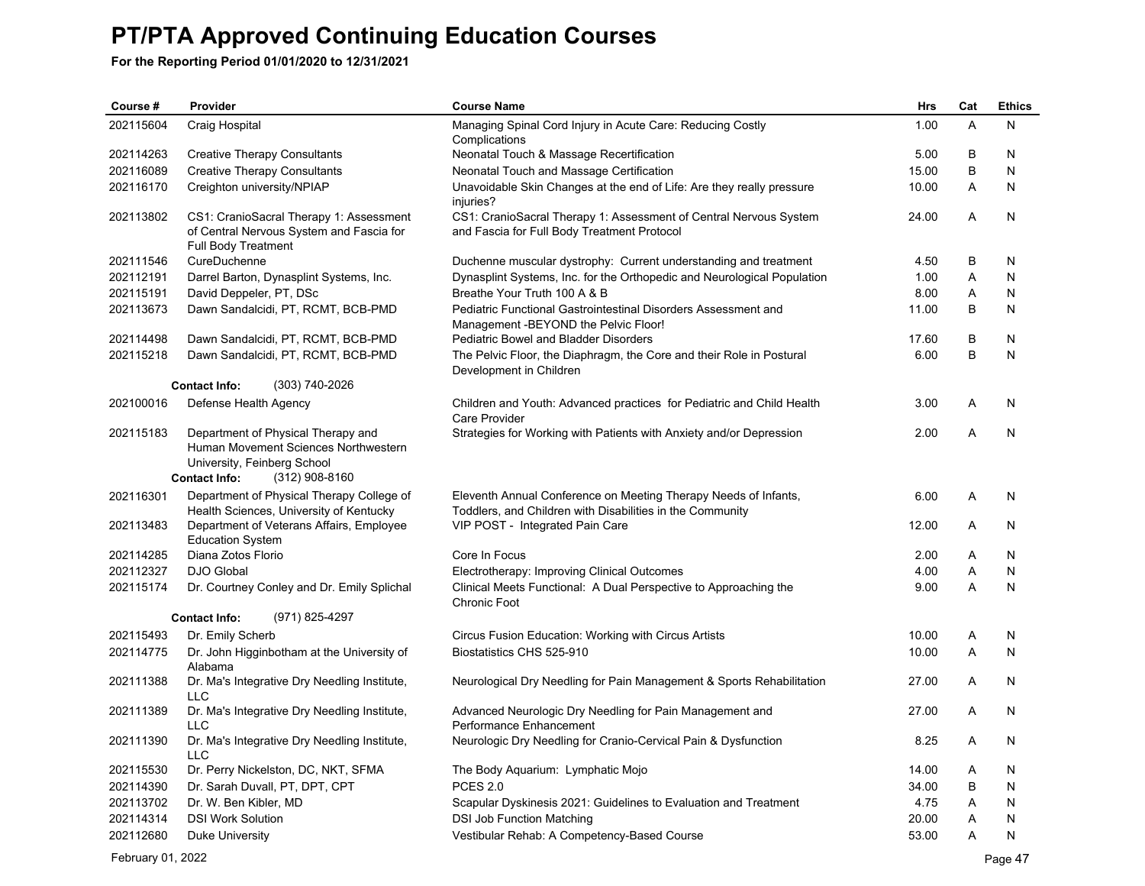**For the Reporting Period 01/01/2020 to 12/31/2021**

| Course #  | Provider                                                                                                                                              | <b>Course Name</b>                                                                                                           | <b>Hrs</b> | Cat          | <b>Ethics</b> |
|-----------|-------------------------------------------------------------------------------------------------------------------------------------------------------|------------------------------------------------------------------------------------------------------------------------------|------------|--------------|---------------|
| 202115604 | Craig Hospital                                                                                                                                        | Managing Spinal Cord Injury in Acute Care: Reducing Costly<br>Complications                                                  | 1.00       | $\mathsf{A}$ | N             |
| 202114263 | <b>Creative Therapy Consultants</b>                                                                                                                   | Neonatal Touch & Massage Recertification                                                                                     | 5.00       | B            | N             |
| 202116089 | <b>Creative Therapy Consultants</b>                                                                                                                   | Neonatal Touch and Massage Certification                                                                                     | 15.00      | B            | N             |
| 202116170 | Creighton university/NPIAP                                                                                                                            | Unavoidable Skin Changes at the end of Life: Are they really pressure<br>injuries?                                           | 10.00      | A            | N             |
| 202113802 | CS1: CranioSacral Therapy 1: Assessment<br>of Central Nervous System and Fascia for<br>Full Body Treatment                                            | CS1: CranioSacral Therapy 1: Assessment of Central Nervous System<br>and Fascia for Full Body Treatment Protocol             | 24.00      | A            | N             |
| 202111546 | CureDuchenne                                                                                                                                          | Duchenne muscular dystrophy: Current understanding and treatment                                                             | 4.50       | B            | N             |
| 202112191 | Darrel Barton, Dynasplint Systems, Inc.                                                                                                               | Dynasplint Systems, Inc. for the Orthopedic and Neurological Population                                                      | 1.00       | A            | N             |
| 202115191 | David Deppeler, PT, DSc                                                                                                                               | Breathe Your Truth 100 A & B                                                                                                 | 8.00       | A            | N             |
| 202113673 | Dawn Sandalcidi, PT, RCMT, BCB-PMD                                                                                                                    | Pediatric Functional Gastrointestinal Disorders Assessment and<br>Management -BEYOND the Pelvic Floor!                       | 11.00      | B            | N             |
| 202114498 | Dawn Sandalcidi, PT, RCMT, BCB-PMD                                                                                                                    | Pediatric Bowel and Bladder Disorders                                                                                        | 17.60      | B            | N             |
| 202115218 | Dawn Sandalcidi, PT, RCMT, BCB-PMD                                                                                                                    | The Pelvic Floor, the Diaphragm, the Core and their Role in Postural<br>Development in Children                              | 6.00       | B            | N             |
|           | (303) 740-2026<br><b>Contact Info:</b>                                                                                                                |                                                                                                                              |            |              |               |
| 202100016 | Defense Health Agency                                                                                                                                 | Children and Youth: Advanced practices for Pediatric and Child Health<br>Care Provider                                       | 3.00       | A            | N             |
| 202115183 | Department of Physical Therapy and<br>Human Movement Sciences Northwestern<br>University, Feinberg School<br><b>Contact Info:</b><br>$(312)$ 908-8160 | Strategies for Working with Patients with Anxiety and/or Depression                                                          | 2.00       | A            | N             |
| 202116301 | Department of Physical Therapy College of<br>Health Sciences, University of Kentucky                                                                  | Eleventh Annual Conference on Meeting Therapy Needs of Infants,<br>Toddlers, and Children with Disabilities in the Community | 6.00       | Α            | N             |
| 202113483 | Department of Veterans Affairs, Employee<br><b>Education System</b>                                                                                   | VIP POST - Integrated Pain Care                                                                                              | 12.00      | A            | N             |
| 202114285 | Diana Zotos Florio                                                                                                                                    | Core In Focus                                                                                                                | 2.00       | A            | N             |
| 202112327 | <b>DJO Global</b>                                                                                                                                     | Electrotherapy: Improving Clinical Outcomes                                                                                  | 4.00       | A            | N             |
| 202115174 | Dr. Courtney Conley and Dr. Emily Splichal                                                                                                            | Clinical Meets Functional: A Dual Perspective to Approaching the<br>Chronic Foot                                             | 9.00       | A            | N             |
|           | (971) 825-4297<br><b>Contact Info:</b>                                                                                                                |                                                                                                                              |            |              |               |
| 202115493 | Dr. Emily Scherb                                                                                                                                      | Circus Fusion Education: Working with Circus Artists                                                                         | 10.00      | Α            | N             |
| 202114775 | Dr. John Higginbotham at the University of<br>Alabama                                                                                                 | Biostatistics CHS 525-910                                                                                                    | 10.00      | A            | N             |
| 202111388 | Dr. Ma's Integrative Dry Needling Institute,<br><b>LLC</b>                                                                                            | Neurological Dry Needling for Pain Management & Sports Rehabilitation                                                        | 27.00      | A            | N             |
| 202111389 | Dr. Ma's Integrative Dry Needling Institute,<br>LLC                                                                                                   | Advanced Neurologic Dry Needling for Pain Management and<br>Performance Enhancement                                          | 27.00      | A            | N             |
| 202111390 | Dr. Ma's Integrative Dry Needling Institute,<br><b>LLC</b>                                                                                            | Neurologic Dry Needling for Cranio-Cervical Pain & Dysfunction                                                               | 8.25       | A            | N             |
| 202115530 | Dr. Perry Nickelston, DC, NKT, SFMA                                                                                                                   | The Body Aquarium: Lymphatic Mojo                                                                                            | 14.00      | A            | N             |
| 202114390 | Dr. Sarah Duvall, PT, DPT, CPT                                                                                                                        | <b>PCES 2.0</b>                                                                                                              | 34.00      | B            | N             |
| 202113702 | Dr. W. Ben Kibler, MD                                                                                                                                 | Scapular Dyskinesis 2021: Guidelines to Evaluation and Treatment                                                             | 4.75       | A            | N             |
| 202114314 | <b>DSI Work Solution</b>                                                                                                                              | DSI Job Function Matching                                                                                                    | 20.00      | A            | N             |
| 202112680 | Duke University                                                                                                                                       | Vestibular Rehab: A Competency-Based Course                                                                                  | 53.00      | A            | N             |

February 01, 2022 Page 47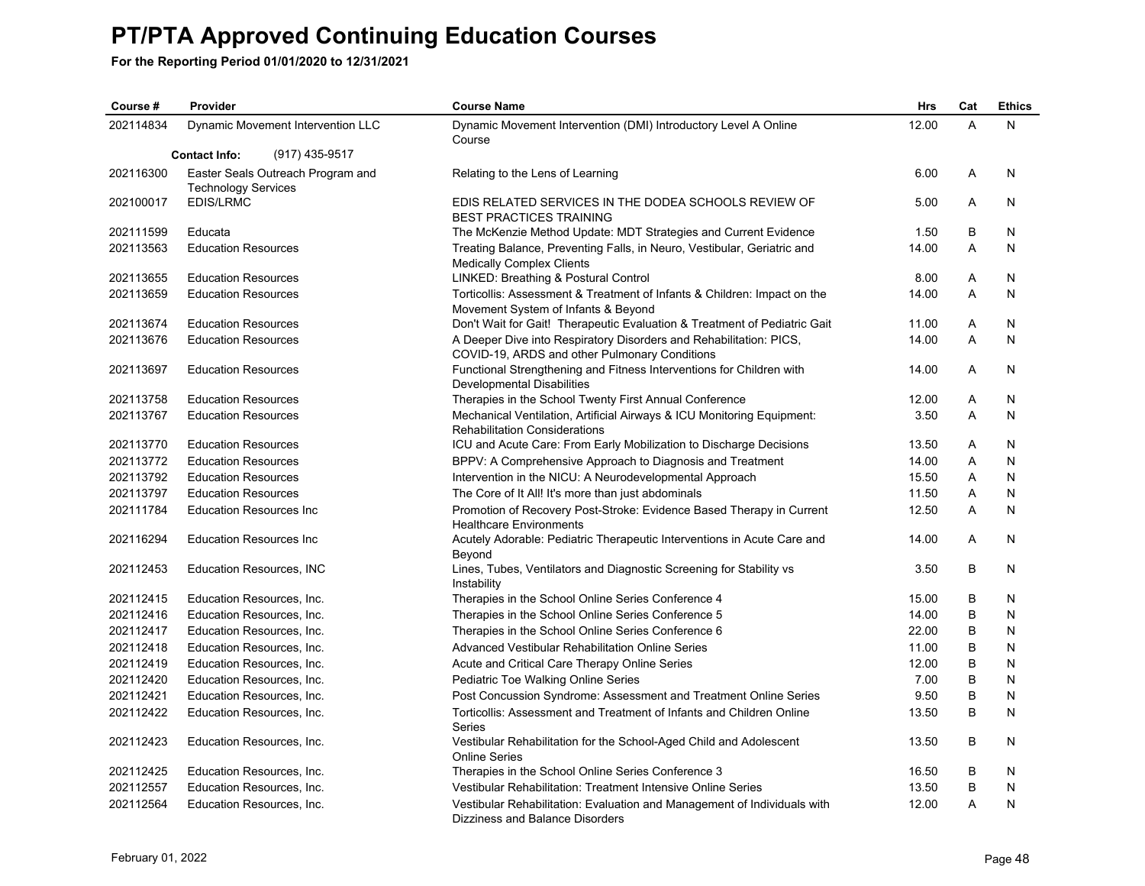| Course #  | Provider                                                        | <b>Course Name</b>                                                                                                  | <b>Hrs</b> | Cat     | <b>Ethics</b> |
|-----------|-----------------------------------------------------------------|---------------------------------------------------------------------------------------------------------------------|------------|---------|---------------|
| 202114834 | Dynamic Movement Intervention LLC                               | Dynamic Movement Intervention (DMI) Introductory Level A Online<br>Course                                           | 12.00      | A       | N             |
|           | (917) 435-9517<br><b>Contact Info:</b>                          |                                                                                                                     |            |         |               |
| 202116300 | Easter Seals Outreach Program and<br><b>Technology Services</b> | Relating to the Lens of Learning                                                                                    | 6.00       | A       | N             |
| 202100017 | <b>EDIS/LRMC</b>                                                | EDIS RELATED SERVICES IN THE DODEA SCHOOLS REVIEW OF<br><b>BEST PRACTICES TRAINING</b>                              | 5.00       | A       | N             |
| 202111599 | Educata                                                         | The McKenzie Method Update: MDT Strategies and Current Evidence                                                     | 1.50       | B       | N             |
| 202113563 | <b>Education Resources</b>                                      | Treating Balance, Preventing Falls, in Neuro, Vestibular, Geriatric and<br><b>Medically Complex Clients</b>         | 14.00      | A       | N             |
| 202113655 | <b>Education Resources</b>                                      | LINKED: Breathing & Postural Control                                                                                | 8.00       | Α       | N             |
| 202113659 | <b>Education Resources</b>                                      | Torticollis: Assessment & Treatment of Infants & Children: Impact on the<br>Movement System of Infants & Beyond     | 14.00      | A       | N             |
| 202113674 | <b>Education Resources</b>                                      | Don't Wait for Gait! Therapeutic Evaluation & Treatment of Pediatric Gait                                           | 11.00      | Α       | N             |
| 202113676 | <b>Education Resources</b>                                      | A Deeper Dive into Respiratory Disorders and Rehabilitation: PICS,<br>COVID-19, ARDS and other Pulmonary Conditions | 14.00      | A       | N             |
| 202113697 | <b>Education Resources</b>                                      | Functional Strengthening and Fitness Interventions for Children with<br>Developmental Disabilities                  | 14.00      | A       | N             |
| 202113758 | <b>Education Resources</b>                                      | Therapies in the School Twenty First Annual Conference                                                              | 12.00      | Α       | N             |
| 202113767 | <b>Education Resources</b>                                      | Mechanical Ventilation, Artificial Airways & ICU Monitoring Equipment:<br><b>Rehabilitation Considerations</b>      | 3.50       | A       | N             |
| 202113770 | <b>Education Resources</b>                                      | ICU and Acute Care: From Early Mobilization to Discharge Decisions                                                  | 13.50      | Α       | N             |
| 202113772 | <b>Education Resources</b>                                      | BPPV: A Comprehensive Approach to Diagnosis and Treatment                                                           | 14.00      | A       | N             |
| 202113792 | <b>Education Resources</b>                                      | Intervention in the NICU: A Neurodevelopmental Approach                                                             | 15.50      | Α       | N             |
| 202113797 | <b>Education Resources</b>                                      | The Core of It All! It's more than just abdominals                                                                  | 11.50      | A       | N             |
| 202111784 | <b>Education Resources Inc.</b>                                 | Promotion of Recovery Post-Stroke: Evidence Based Therapy in Current<br><b>Healthcare Environments</b>              | 12.50      | A       | N             |
| 202116294 | <b>Education Resources Inc.</b>                                 | Acutely Adorable: Pediatric Therapeutic Interventions in Acute Care and<br>Beyond                                   | 14.00      | A       | N             |
| 202112453 | Education Resources, INC                                        | Lines, Tubes, Ventilators and Diagnostic Screening for Stability vs<br>Instability                                  | 3.50       | B       | N             |
| 202112415 | Education Resources, Inc.                                       | Therapies in the School Online Series Conference 4                                                                  | 15.00      | B       | N             |
| 202112416 | Education Resources, Inc.                                       | Therapies in the School Online Series Conference 5                                                                  | 14.00      | B       | N             |
| 202112417 | Education Resources, Inc.                                       | Therapies in the School Online Series Conference 6                                                                  | 22.00      | B       | N             |
| 202112418 | Education Resources, Inc.                                       | Advanced Vestibular Rehabilitation Online Series                                                                    | 11.00      | B       | N             |
| 202112419 | Education Resources, Inc.                                       | Acute and Critical Care Therapy Online Series                                                                       | 12.00      | B       | N             |
| 202112420 | Education Resources, Inc.                                       | Pediatric Toe Walking Online Series                                                                                 | 7.00       | B       | N             |
| 202112421 | Education Resources, Inc.                                       | Post Concussion Syndrome: Assessment and Treatment Online Series                                                    | 9.50       | B       | N             |
| 202112422 | Education Resources, Inc.                                       | Torticollis: Assessment and Treatment of Infants and Children Online<br><b>Series</b>                               | 13.50      | B       | N             |
| 202112423 | Education Resources, Inc.                                       | Vestibular Rehabilitation for the School-Aged Child and Adolescent<br><b>Online Series</b>                          | 13.50      | B       | N.            |
| 202112425 | Education Resources, Inc.                                       | Therapies in the School Online Series Conference 3                                                                  | 16.50      | B       | N             |
| 202112557 | Education Resources, Inc.                                       | Vestibular Rehabilitation: Treatment Intensive Online Series                                                        | 13.50      | $\sf B$ | N             |
| 202112564 | Education Resources, Inc.                                       | Vestibular Rehabilitation: Evaluation and Management of Individuals with<br>Dizziness and Balance Disorders         | 12.00      | A       | N             |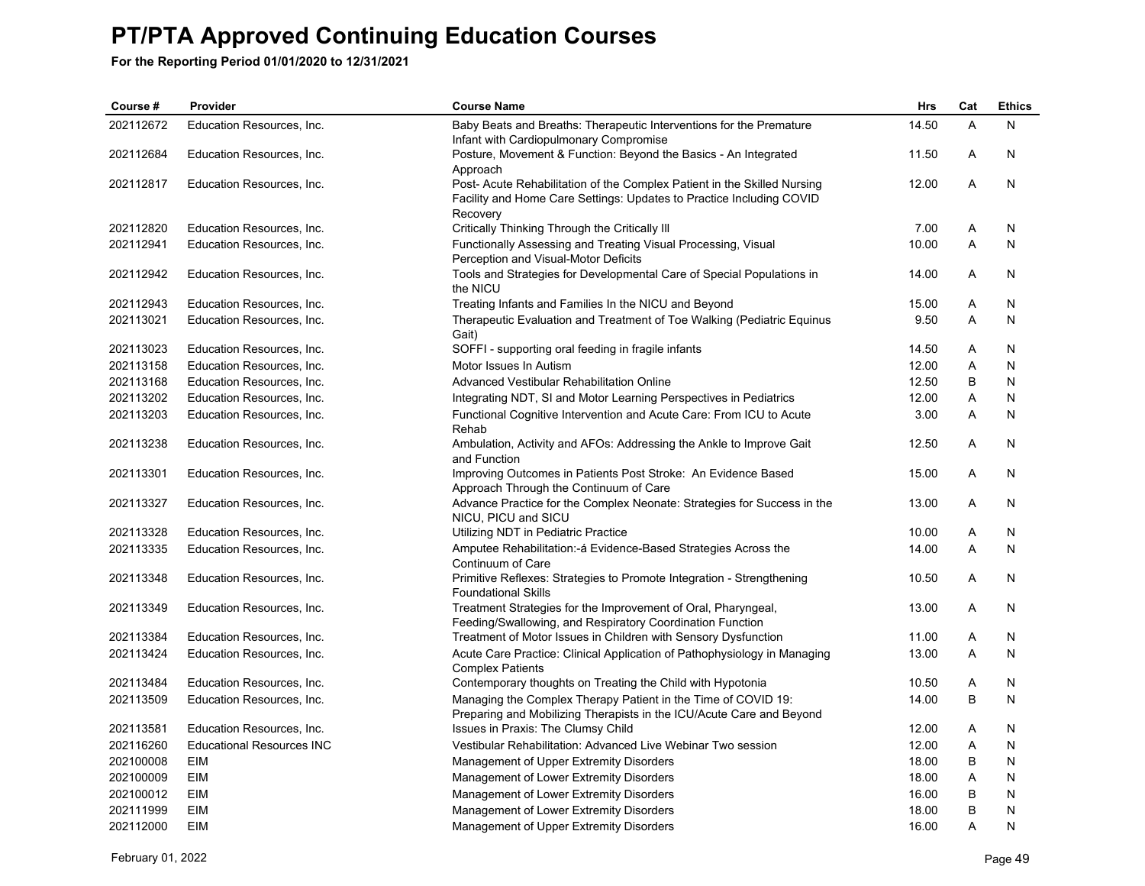| Course #  | Provider                         | <b>Course Name</b>                                                                                                                                           | Hrs   | Cat | <b>Ethics</b> |
|-----------|----------------------------------|--------------------------------------------------------------------------------------------------------------------------------------------------------------|-------|-----|---------------|
| 202112672 | Education Resources, Inc.        | Baby Beats and Breaths: Therapeutic Interventions for the Premature<br>Infant with Cardiopulmonary Compromise                                                | 14.50 | A   | N             |
| 202112684 | Education Resources, Inc.        | Posture, Movement & Function: Beyond the Basics - An Integrated<br>Approach                                                                                  | 11.50 | A   | N             |
| 202112817 | Education Resources, Inc.        | Post- Acute Rehabilitation of the Complex Patient in the Skilled Nursing<br>Facility and Home Care Settings: Updates to Practice Including COVID<br>Recovery | 12.00 | A   | $\mathsf{N}$  |
| 202112820 | Education Resources, Inc.        | Critically Thinking Through the Critically III                                                                                                               | 7.00  | Α   | N             |
| 202112941 | Education Resources, Inc.        | Functionally Assessing and Treating Visual Processing, Visual<br>Perception and Visual-Motor Deficits                                                        | 10.00 | Α   | N             |
| 202112942 | Education Resources, Inc.        | Tools and Strategies for Developmental Care of Special Populations in<br>the NICU                                                                            | 14.00 | Α   | N             |
| 202112943 | Education Resources, Inc.        | Treating Infants and Families In the NICU and Beyond                                                                                                         | 15.00 | Α   | N             |
| 202113021 | Education Resources, Inc.        | Therapeutic Evaluation and Treatment of Toe Walking (Pediatric Equinus<br>Gait)                                                                              | 9.50  | A   | N             |
| 202113023 | Education Resources, Inc.        | SOFFI - supporting oral feeding in fragile infants                                                                                                           | 14.50 | Α   | N             |
| 202113158 | Education Resources, Inc.        | Motor Issues In Autism                                                                                                                                       | 12.00 | Α   | N             |
| 202113168 | Education Resources, Inc.        | Advanced Vestibular Rehabilitation Online                                                                                                                    | 12.50 | B   | $\mathsf{N}$  |
| 202113202 | Education Resources, Inc.        | Integrating NDT, SI and Motor Learning Perspectives in Pediatrics                                                                                            | 12.00 | Α   | N             |
| 202113203 | Education Resources, Inc.        | Functional Cognitive Intervention and Acute Care: From ICU to Acute<br>Rehab                                                                                 | 3.00  | A   | N             |
| 202113238 | Education Resources, Inc.        | Ambulation, Activity and AFOs: Addressing the Ankle to Improve Gait<br>and Function                                                                          | 12.50 | A   | N             |
| 202113301 | Education Resources, Inc.        | Improving Outcomes in Patients Post Stroke: An Evidence Based<br>Approach Through the Continuum of Care                                                      | 15.00 | A   | N             |
| 202113327 | Education Resources, Inc.        | Advance Practice for the Complex Neonate: Strategies for Success in the<br>NICU, PICU and SICU                                                               | 13.00 | A   | N             |
| 202113328 | Education Resources, Inc.        | Utilizing NDT in Pediatric Practice                                                                                                                          | 10.00 | Α   | N             |
| 202113335 | Education Resources, Inc.        | Amputee Rehabilitation:- á Evidence-Based Strategies Across the<br>Continuum of Care                                                                         | 14.00 | A   | N             |
| 202113348 | Education Resources, Inc.        | Primitive Reflexes: Strategies to Promote Integration - Strengthening<br><b>Foundational Skills</b>                                                          | 10.50 | Α   | N             |
| 202113349 | Education Resources, Inc.        | Treatment Strategies for the Improvement of Oral, Pharyngeal,<br>Feeding/Swallowing, and Respiratory Coordination Function                                   | 13.00 | Α   | N             |
| 202113384 | Education Resources, Inc.        | Treatment of Motor Issues in Children with Sensory Dysfunction                                                                                               | 11.00 | Α   | N             |
| 202113424 | Education Resources, Inc.        | Acute Care Practice: Clinical Application of Pathophysiology in Managing<br><b>Complex Patients</b>                                                          | 13.00 | A   | N             |
| 202113484 | Education Resources, Inc.        | Contemporary thoughts on Treating the Child with Hypotonia                                                                                                   | 10.50 | Α   | N             |
| 202113509 | Education Resources, Inc.        | Managing the Complex Therapy Patient in the Time of COVID 19:<br>Preparing and Mobilizing Therapists in the ICU/Acute Care and Beyond                        | 14.00 | B   | N             |
| 202113581 | Education Resources, Inc.        | Issues in Praxis: The Clumsy Child                                                                                                                           | 12.00 | Α   | N             |
| 202116260 | <b>Educational Resources INC</b> | Vestibular Rehabilitation: Advanced Live Webinar Two session                                                                                                 | 12.00 | A   | N             |
| 202100008 | EIM                              | Management of Upper Extremity Disorders                                                                                                                      | 18.00 | B   | N             |
| 202100009 | EIM                              | Management of Lower Extremity Disorders                                                                                                                      | 18.00 | Α   | ${\sf N}$     |
| 202100012 | <b>EIM</b>                       | Management of Lower Extremity Disorders                                                                                                                      | 16.00 | B   | N             |
| 202111999 | EIM                              | Management of Lower Extremity Disorders                                                                                                                      | 18.00 | B   | N             |
| 202112000 | <b>EIM</b>                       | Management of Upper Extremity Disorders                                                                                                                      | 16.00 | A   | N             |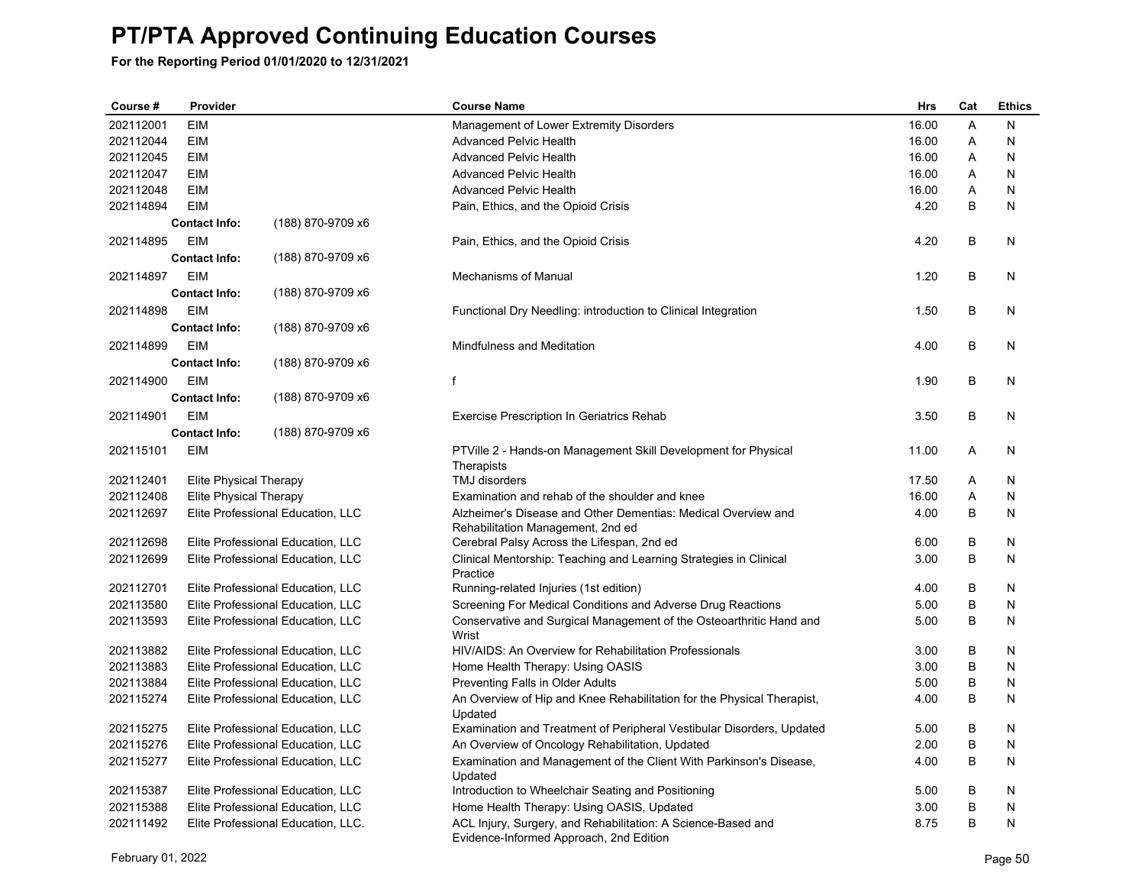| Course #  | Provider               |                                    | <b>Course Name</b>                                                                                      | <b>Hrs</b> | Cat | <b>Ethics</b> |
|-----------|------------------------|------------------------------------|---------------------------------------------------------------------------------------------------------|------------|-----|---------------|
| 202112001 | <b>EIM</b>             |                                    | Management of Lower Extremity Disorders                                                                 | 16.00      | A   | N             |
| 202112044 | <b>EIM</b>             |                                    | <b>Advanced Pelvic Health</b>                                                                           | 16.00      | A   | N             |
| 202112045 | <b>EIM</b>             |                                    | <b>Advanced Pelvic Health</b>                                                                           | 16.00      | A   | N             |
| 202112047 | <b>EIM</b>             |                                    | <b>Advanced Pelvic Health</b>                                                                           | 16.00      | A   | N             |
| 202112048 | EIM                    |                                    | <b>Advanced Pelvic Health</b>                                                                           | 16.00      | Α   | N             |
| 202114894 | <b>EIM</b>             |                                    | Pain, Ethics, and the Opioid Crisis                                                                     | 4.20       | B   | N             |
|           | <b>Contact Info:</b>   | (188) 870-9709 x6                  |                                                                                                         |            |     |               |
| 202114895 | <b>EIM</b>             |                                    | Pain, Ethics, and the Opioid Crisis                                                                     | 4.20       | B   | N             |
|           | <b>Contact Info:</b>   | (188) 870-9709 x6                  |                                                                                                         |            |     |               |
| 202114897 | <b>EIM</b>             |                                    | Mechanisms of Manual                                                                                    | 1.20       | B   | N             |
|           | <b>Contact Info:</b>   | (188) 870-9709 x6                  |                                                                                                         |            |     |               |
| 202114898 | <b>EIM</b>             |                                    | Functional Dry Needling: introduction to Clinical Integration                                           | 1.50       | B   | N             |
|           | <b>Contact Info:</b>   | (188) 870-9709 x6                  |                                                                                                         |            |     |               |
| 202114899 | <b>EIM</b>             |                                    | <b>Mindfulness and Meditation</b>                                                                       | 4.00       | B   | N             |
|           | <b>Contact Info:</b>   | (188) 870-9709 x6                  |                                                                                                         |            |     |               |
| 202114900 | <b>EIM</b>             |                                    | f                                                                                                       | 1.90       | В   | N             |
|           | <b>Contact Info:</b>   | (188) 870-9709 x6                  |                                                                                                         |            |     |               |
|           |                        |                                    |                                                                                                         |            |     |               |
| 202114901 | <b>EIM</b>             |                                    | <b>Exercise Prescription In Geriatrics Rehab</b>                                                        | 3.50       | B   | N             |
|           | <b>Contact Info:</b>   | (188) 870-9709 x6                  |                                                                                                         |            |     |               |
| 202115101 | EIM                    |                                    | PTVille 2 - Hands-on Management Skill Development for Physical                                          | 11.00      | Α   | N             |
| 202112401 | Elite Physical Therapy |                                    | Therapists<br>TMJ disorders                                                                             | 17.50      | Α   | N             |
| 202112408 | Elite Physical Therapy |                                    | Examination and rehab of the shoulder and knee                                                          | 16.00      | Α   | N             |
| 202112697 |                        | Elite Professional Education, LLC  | Alzheimer's Disease and Other Dementias: Medical Overview and                                           | 4.00       | B   | N             |
|           |                        |                                    | Rehabilitation Management, 2nd ed                                                                       |            |     |               |
| 202112698 |                        | Elite Professional Education, LLC  | Cerebral Palsy Across the Lifespan, 2nd ed                                                              | 6.00       | В   | N             |
| 202112699 |                        | Elite Professional Education, LLC  | Clinical Mentorship: Teaching and Learning Strategies in Clinical                                       | 3.00       | B   | N             |
|           |                        |                                    | Practice                                                                                                |            |     |               |
| 202112701 |                        | Elite Professional Education, LLC  | Running-related Injuries (1st edition)                                                                  | 4.00       | B   | N             |
| 202113580 |                        | Elite Professional Education, LLC  | Screening For Medical Conditions and Adverse Drug Reactions                                             | 5.00       | B   | N             |
| 202113593 |                        | Elite Professional Education, LLC  | Conservative and Surgical Management of the Osteoarthritic Hand and<br>Wrist                            | 5.00       | B   | N             |
| 202113882 |                        | Elite Professional Education, LLC  | HIV/AIDS: An Overview for Rehabilitation Professionals                                                  | 3.00       | B   | N             |
| 202113883 |                        | Elite Professional Education, LLC  | Home Health Therapy: Using OASIS                                                                        | 3.00       | B   | N             |
| 202113884 |                        | Elite Professional Education, LLC  | Preventing Falls in Older Adults                                                                        | 5.00       | B   | N             |
| 202115274 |                        | Elite Professional Education, LLC  | An Overview of Hip and Knee Rehabilitation for the Physical Therapist,<br>Updated                       | 4.00       | B   | N             |
| 202115275 |                        | Elite Professional Education, LLC  | Examination and Treatment of Peripheral Vestibular Disorders, Updated                                   | 5.00       | B   | Ν             |
| 202115276 |                        | Elite Professional Education, LLC  | An Overview of Oncology Rehabilitation, Updated                                                         | 2.00       | B   | N             |
| 202115277 |                        | Elite Professional Education, LLC  | Examination and Management of the Client With Parkinson's Disease,                                      | 4.00       | B   | N             |
|           |                        |                                    | Updated                                                                                                 |            |     |               |
| 202115387 |                        | Elite Professional Education, LLC  | Introduction to Wheelchair Seating and Positioning                                                      | 5.00       | В   | N             |
| 202115388 |                        | Elite Professional Education, LLC  | Home Health Therapy: Using OASIS, Updated                                                               | 3.00       | B   | N             |
| 202111492 |                        | Elite Professional Education, LLC. | ACL Injury, Surgery, and Rehabilitation: A Science-Based and<br>Evidence-Informed Approach, 2nd Edition | 8.75       | B   | N             |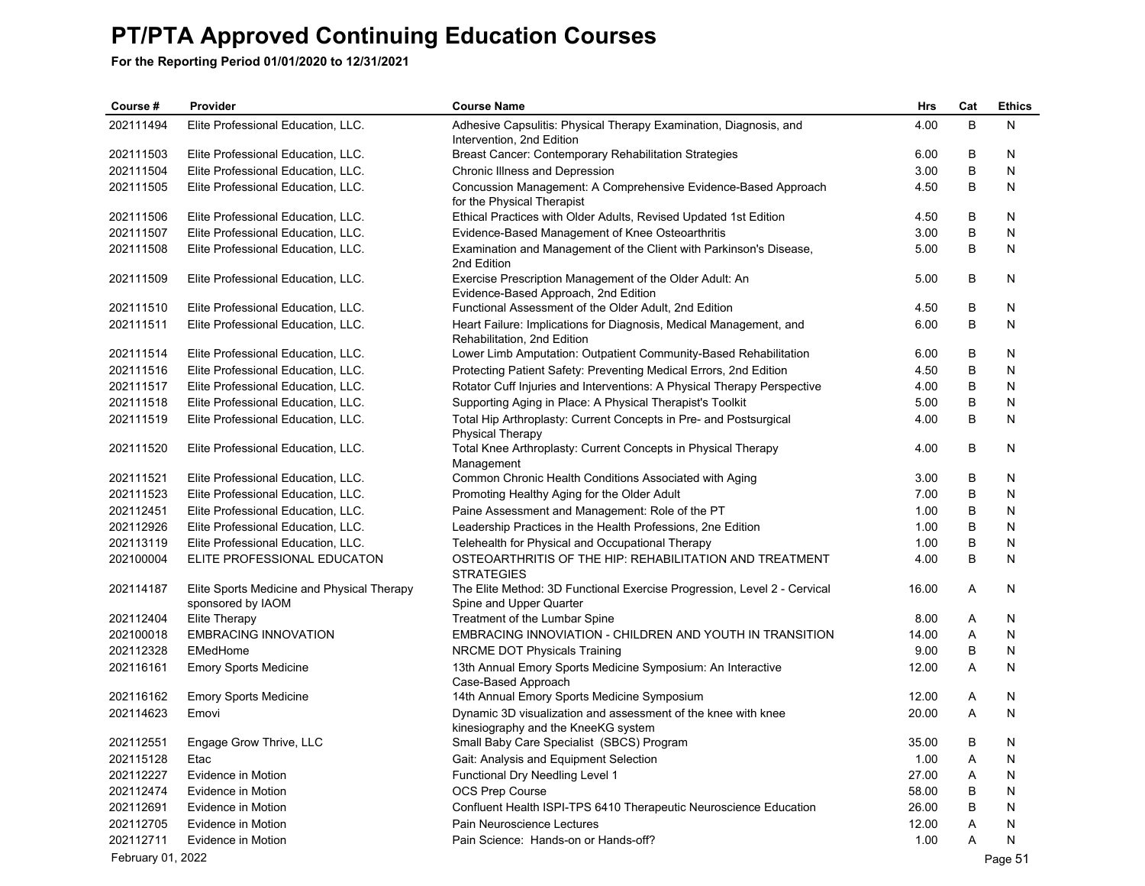| Course #          | Provider                                                        | <b>Course Name</b>                                                                                   | Hrs   | Cat | <b>Ethics</b> |
|-------------------|-----------------------------------------------------------------|------------------------------------------------------------------------------------------------------|-------|-----|---------------|
| 202111494         | Elite Professional Education, LLC.                              | Adhesive Capsulitis: Physical Therapy Examination, Diagnosis, and<br>Intervention, 2nd Edition       | 4.00  | B   | N             |
| 202111503         | Elite Professional Education, LLC.                              | Breast Cancer: Contemporary Rehabilitation Strategies                                                | 6.00  | В   | N             |
| 202111504         | Elite Professional Education, LLC.                              | Chronic Illness and Depression                                                                       | 3.00  | В   | N             |
| 202111505         | Elite Professional Education, LLC.                              | Concussion Management: A Comprehensive Evidence-Based Approach<br>for the Physical Therapist         | 4.50  | B   | N             |
| 202111506         | Elite Professional Education, LLC.                              | Ethical Practices with Older Adults, Revised Updated 1st Edition                                     | 4.50  | В   | N             |
| 202111507         | Elite Professional Education, LLC.                              | Evidence-Based Management of Knee Osteoarthritis                                                     | 3.00  | B   | N             |
| 202111508         | Elite Professional Education, LLC.                              | Examination and Management of the Client with Parkinson's Disease,<br>2nd Edition                    | 5.00  | В   | N             |
| 202111509         | Elite Professional Education, LLC.                              | Exercise Prescription Management of the Older Adult: An<br>Evidence-Based Approach, 2nd Edition      | 5.00  | B   | N             |
| 202111510         | Elite Professional Education, LLC.                              | Functional Assessment of the Older Adult, 2nd Edition                                                | 4.50  | B   | N             |
| 202111511         | Elite Professional Education, LLC.                              | Heart Failure: Implications for Diagnosis, Medical Management, and<br>Rehabilitation, 2nd Edition    | 6.00  | B   | N             |
| 202111514         | Elite Professional Education, LLC.                              | Lower Limb Amputation: Outpatient Community-Based Rehabilitation                                     | 6.00  | B   | N             |
| 202111516         | Elite Professional Education, LLC.                              | Protecting Patient Safety: Preventing Medical Errors, 2nd Edition                                    | 4.50  | B   | N             |
| 202111517         | Elite Professional Education, LLC.                              | Rotator Cuff Injuries and Interventions: A Physical Therapy Perspective                              | 4.00  | В   | N             |
| 202111518         | Elite Professional Education, LLC.                              | Supporting Aging in Place: A Physical Therapist's Toolkit                                            | 5.00  | В   | N             |
| 202111519         | Elite Professional Education, LLC.                              | Total Hip Arthroplasty: Current Concepts in Pre- and Postsurgical<br><b>Physical Therapy</b>         | 4.00  | B   | N             |
| 202111520         | Elite Professional Education, LLC.                              | Total Knee Arthroplasty: Current Concepts in Physical Therapy<br>Management                          | 4.00  | В   | N             |
| 202111521         | Elite Professional Education, LLC.                              | Common Chronic Health Conditions Associated with Aging                                               | 3.00  | B   | N             |
| 202111523         | Elite Professional Education, LLC.                              | Promoting Healthy Aging for the Older Adult                                                          | 7.00  | В   | N             |
| 202112451         | Elite Professional Education, LLC.                              | Paine Assessment and Management: Role of the PT                                                      | 1.00  | В   | N             |
| 202112926         | Elite Professional Education, LLC.                              | Leadership Practices in the Health Professions, 2ne Edition                                          | 1.00  | В   | N             |
| 202113119         | Elite Professional Education, LLC.                              | Telehealth for Physical and Occupational Therapy                                                     | 1.00  | B   | N             |
| 202100004         | ELITE PROFESSIONAL EDUCATON                                     | OSTEOARTHRITIS OF THE HIP: REHABILITATION AND TREATMENT<br><b>STRATEGIES</b>                         | 4.00  | B   | N             |
| 202114187         | Elite Sports Medicine and Physical Therapy<br>sponsored by IAOM | The Elite Method: 3D Functional Exercise Progression, Level 2 - Cervical<br>Spine and Upper Quarter  | 16.00 | A   | N             |
| 202112404         | Elite Therapy                                                   | Treatment of the Lumbar Spine                                                                        | 8.00  | Α   | N             |
| 202100018         | <b>EMBRACING INNOVATION</b>                                     | EMBRACING INNOVIATION - CHILDREN AND YOUTH IN TRANSITION                                             | 14.00 | Α   | N             |
| 202112328         | EMedHome                                                        | NRCME DOT Physicals Training                                                                         | 9.00  | B   | N             |
| 202116161         | <b>Emory Sports Medicine</b>                                    | 13th Annual Emory Sports Medicine Symposium: An Interactive<br>Case-Based Approach                   | 12.00 | Α   | N             |
| 202116162         | <b>Emory Sports Medicine</b>                                    | 14th Annual Emory Sports Medicine Symposium                                                          | 12.00 | Α   | N             |
| 202114623         | Emovi                                                           | Dynamic 3D visualization and assessment of the knee with knee<br>kinesiography and the KneeKG system | 20.00 | A   | N             |
| 202112551         | Engage Grow Thrive, LLC                                         | Small Baby Care Specialist (SBCS) Program                                                            | 35.00 | В   | N             |
| 202115128         | Etac                                                            | Gait: Analysis and Equipment Selection                                                               | 1.00  | A   | N             |
| 202112227         | Evidence in Motion                                              | Functional Dry Needling Level 1                                                                      | 27.00 | A   | N             |
| 202112474         | Evidence in Motion                                              | OCS Prep Course                                                                                      | 58.00 | B   | N             |
| 202112691         | Evidence in Motion                                              | Confluent Health ISPI-TPS 6410 Therapeutic Neuroscience Education                                    | 26.00 | В   | N             |
| 202112705         | Evidence in Motion                                              | Pain Neuroscience Lectures                                                                           | 12.00 | A   | N             |
| 202112711         | Evidence in Motion                                              | Pain Science: Hands-on or Hands-off?                                                                 | 1.00  | Α   | N             |
| February 01, 2022 |                                                                 |                                                                                                      |       |     | Page 51       |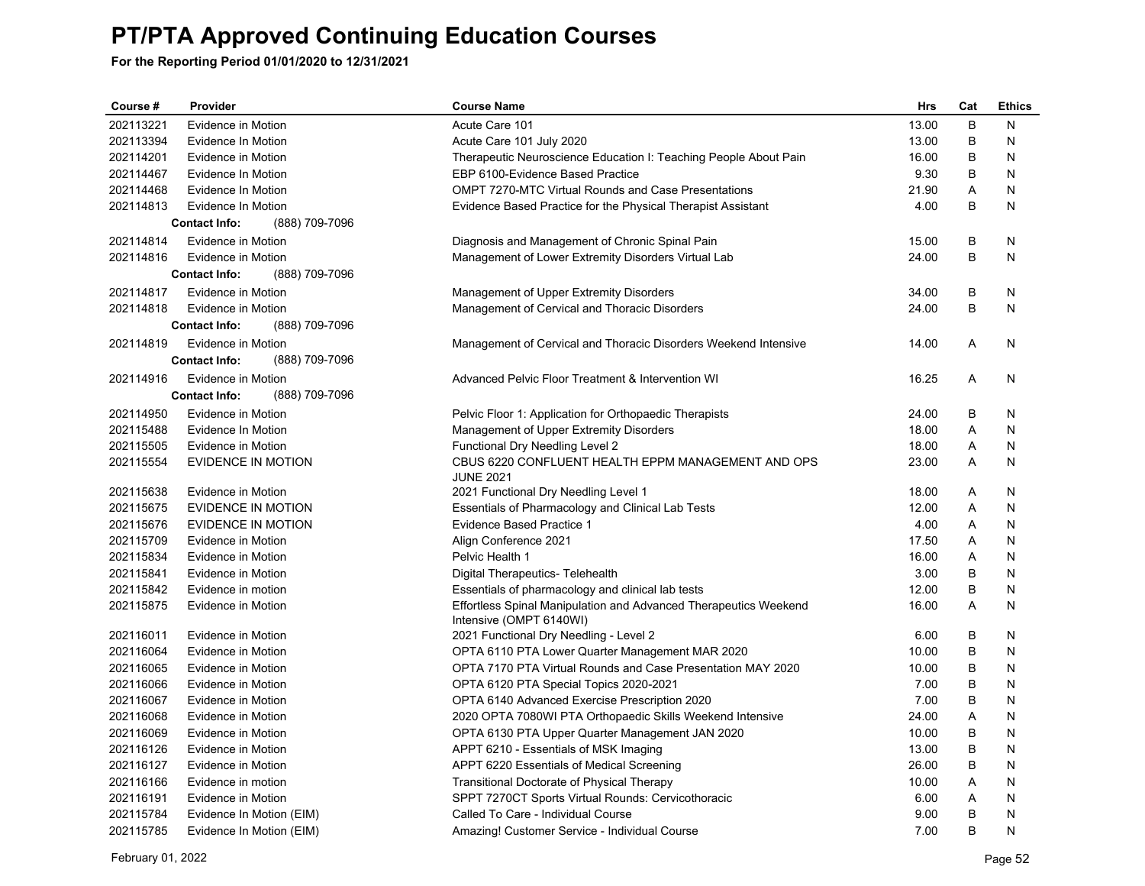| Course #  | Provider                               | <b>Course Name</b>                                               | <b>Hrs</b> | Cat | <b>Ethics</b> |
|-----------|----------------------------------------|------------------------------------------------------------------|------------|-----|---------------|
| 202113221 | Evidence in Motion                     | Acute Care 101                                                   | 13.00      | B   | N             |
| 202113394 | Evidence In Motion                     | Acute Care 101 July 2020                                         | 13.00      | B   | N             |
| 202114201 | Evidence in Motion                     | Therapeutic Neuroscience Education I: Teaching People About Pain | 16.00      | B   | N             |
| 202114467 | Evidence In Motion                     | EBP 6100-Evidence Based Practice                                 | 9.30       | B   | N             |
| 202114468 | Evidence In Motion                     | <b>OMPT 7270-MTC Virtual Rounds and Case Presentations</b>       | 21.90      | A   | N             |
| 202114813 | Evidence In Motion                     | Evidence Based Practice for the Physical Therapist Assistant     | 4.00       | B   | N             |
|           | (888) 709-7096<br><b>Contact Info:</b> |                                                                  |            |     |               |
| 202114814 | Evidence in Motion                     | Diagnosis and Management of Chronic Spinal Pain                  | 15.00      | B   | N             |
| 202114816 | Evidence in Motion                     | Management of Lower Extremity Disorders Virtual Lab              | 24.00      | B   | N             |
|           | (888) 709-7096<br><b>Contact Info:</b> |                                                                  |            |     |               |
| 202114817 | Evidence in Motion                     | Management of Upper Extremity Disorders                          | 34.00      | В   | N             |
| 202114818 | Evidence in Motion                     | Management of Cervical and Thoracic Disorders                    | 24.00      | B   | N             |
|           | <b>Contact Info:</b><br>(888) 709-7096 |                                                                  |            |     |               |
| 202114819 | Evidence in Motion                     | Management of Cervical and Thoracic Disorders Weekend Intensive  | 14.00      | Α   | N             |
|           | <b>Contact Info:</b><br>(888) 709-7096 |                                                                  |            |     |               |
| 202114916 | Evidence in Motion                     | Advanced Pelvic Floor Treatment & Intervention WI                | 16.25      | Α   | N             |
|           | (888) 709-7096<br><b>Contact Info:</b> |                                                                  |            |     |               |
| 202114950 | Evidence in Motion                     | Pelvic Floor 1: Application for Orthopaedic Therapists           | 24.00      | B   | N             |
| 202115488 | Evidence In Motion                     | Management of Upper Extremity Disorders                          | 18.00      | A   | N             |
| 202115505 | Evidence in Motion                     | Functional Dry Needling Level 2                                  | 18.00      | Α   | N             |
| 202115554 | EVIDENCE IN MOTION                     | CBUS 6220 CONFLUENT HEALTH EPPM MANAGEMENT AND OPS               | 23.00      | A   | N             |
| 202115638 | Evidence in Motion                     | <b>JUNE 2021</b><br>2021 Functional Dry Needling Level 1         | 18.00      | A   | N             |
| 202115675 | <b>EVIDENCE IN MOTION</b>              | Essentials of Pharmacology and Clinical Lab Tests                | 12.00      | A   | N             |
| 202115676 | EVIDENCE IN MOTION                     | Evidence Based Practice 1                                        | 4.00       | A   | N             |
| 202115709 | Evidence in Motion                     | Align Conference 2021                                            | 17.50      | A   | N             |
| 202115834 | Evidence in Motion                     | Pelvic Health 1                                                  | 16.00      | Α   | N             |
| 202115841 | Evidence in Motion                     | Digital Therapeutics- Telehealth                                 | 3.00       | B   | N             |
| 202115842 | Evidence in motion                     | Essentials of pharmacology and clinical lab tests                | 12.00      | B   | N             |
| 202115875 | Evidence in Motion                     | Effortless Spinal Manipulation and Advanced Therapeutics Weekend | 16.00      | Α   | Ν             |
|           |                                        | Intensive (OMPT 6140WI)                                          |            |     |               |
| 202116011 | Evidence in Motion                     | 2021 Functional Dry Needling - Level 2                           | 6.00       | B   | N             |
| 202116064 | Evidence in Motion                     | OPTA 6110 PTA Lower Quarter Management MAR 2020                  | 10.00      | B   | N             |
| 202116065 | Evidence in Motion                     | OPTA 7170 PTA Virtual Rounds and Case Presentation MAY 2020      | 10.00      | B   | N             |
| 202116066 | Evidence in Motion                     | OPTA 6120 PTA Special Topics 2020-2021                           | 7.00       | B   | N             |
| 202116067 | Evidence in Motion                     | OPTA 6140 Advanced Exercise Prescription 2020                    | 7.00       | B   | N             |
| 202116068 | Evidence in Motion                     | 2020 OPTA 7080WI PTA Orthopaedic Skills Weekend Intensive        | 24.00      | Α   | N             |
| 202116069 | Evidence in Motion                     | OPTA 6130 PTA Upper Quarter Management JAN 2020                  | 10.00      | B   | N             |
| 202116126 | Evidence in Motion                     | APPT 6210 - Essentials of MSK Imaging                            | 13.00      | B   | N             |
| 202116127 | Evidence in Motion                     | APPT 6220 Essentials of Medical Screening                        | 26.00      | B   | N             |
| 202116166 | Evidence in motion                     | Transitional Doctorate of Physical Therapy                       | 10.00      | Α   | N             |
| 202116191 | Evidence in Motion                     | SPPT 7270CT Sports Virtual Rounds: Cervicothoracic               | 6.00       | Α   | N             |
| 202115784 | Evidence In Motion (EIM)               | Called To Care - Individual Course                               | 9.00       | В   | N             |
| 202115785 | Evidence In Motion (EIM)               | Amazing! Customer Service - Individual Course                    | 7.00       | B   | N             |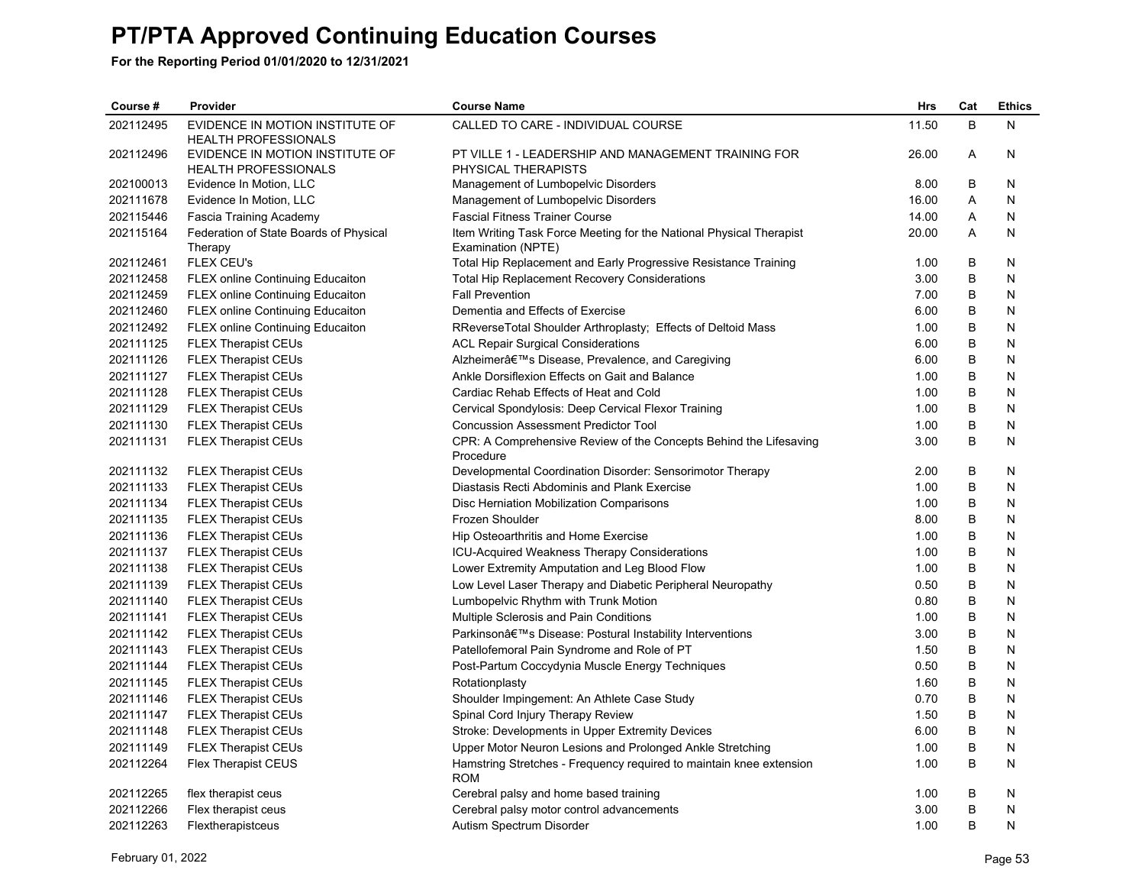| Course #  | Provider                                                       | <b>Course Name</b>                                                                        | <b>Hrs</b> | Cat     | <b>Ethics</b> |
|-----------|----------------------------------------------------------------|-------------------------------------------------------------------------------------------|------------|---------|---------------|
| 202112495 | EVIDENCE IN MOTION INSTITUTE OF<br><b>HEALTH PROFESSIONALS</b> | CALLED TO CARE - INDIVIDUAL COURSE                                                        | 11.50      | B       | N             |
| 202112496 | EVIDENCE IN MOTION INSTITUTE OF<br><b>HEALTH PROFESSIONALS</b> | PT VILLE 1 - LEADERSHIP AND MANAGEMENT TRAINING FOR<br>PHYSICAL THERAPISTS                | 26.00      | A       | N             |
| 202100013 | Evidence In Motion, LLC                                        | Management of Lumbopelvic Disorders                                                       | 8.00       | B       | N             |
| 202111678 | Evidence In Motion, LLC                                        | Management of Lumbopelvic Disorders                                                       | 16.00      | A       | N             |
| 202115446 | Fascia Training Academy                                        | <b>Fascial Fitness Trainer Course</b>                                                     | 14.00      | Α       | N             |
| 202115164 | Federation of State Boards of Physical<br>Therapy              | Item Writing Task Force Meeting for the National Physical Therapist<br>Examination (NPTE) | 20.00      | A       | N             |
| 202112461 | FLEX CEU's                                                     | Total Hip Replacement and Early Progressive Resistance Training                           | 1.00       | B       | N             |
| 202112458 | <b>FLEX online Continuing Educaiton</b>                        | <b>Total Hip Replacement Recovery Considerations</b>                                      | 3.00       | B       | N             |
| 202112459 | <b>FLEX online Continuing Educaiton</b>                        | <b>Fall Prevention</b>                                                                    | 7.00       | B       | N             |
| 202112460 | <b>FLEX online Continuing Educaiton</b>                        | Dementia and Effects of Exercise                                                          | 6.00       | B       | N             |
| 202112492 | <b>FLEX online Continuing Educaiton</b>                        | RReverseTotal Shoulder Arthroplasty; Effects of Deltoid Mass                              | 1.00       | B       | N             |
| 202111125 | <b>FLEX Therapist CEUs</b>                                     | <b>ACL Repair Surgical Considerations</b>                                                 | 6.00       | B       | N             |
| 202111126 | <b>FLEX Therapist CEUs</b>                                     | Alzheimer's Disease, Prevalence, and Caregiving                                           | 6.00       | B       | N             |
| 202111127 | <b>FLEX Therapist CEUs</b>                                     | Ankle Dorsiflexion Effects on Gait and Balance                                            | 1.00       | В       | N             |
| 202111128 | <b>FLEX Therapist CEUs</b>                                     | Cardiac Rehab Effects of Heat and Cold                                                    | 1.00       | B       | N             |
| 202111129 | <b>FLEX Therapist CEUs</b>                                     | Cervical Spondylosis: Deep Cervical Flexor Training                                       | 1.00       | B       | N             |
| 202111130 | <b>FLEX Therapist CEUs</b>                                     | <b>Concussion Assessment Predictor Tool</b>                                               | 1.00       | B       | N             |
| 202111131 | <b>FLEX Therapist CEUs</b>                                     | CPR: A Comprehensive Review of the Concepts Behind the Lifesaving<br>Procedure            | 3.00       | B       | N             |
| 202111132 | <b>FLEX Therapist CEUs</b>                                     | Developmental Coordination Disorder: Sensorimotor Therapy                                 | 2.00       | B       | N             |
| 202111133 | <b>FLEX Therapist CEUs</b>                                     | Diastasis Recti Abdominis and Plank Exercise                                              | 1.00       | B       | N             |
| 202111134 | <b>FLEX Therapist CEUs</b>                                     | Disc Herniation Mobilization Comparisons                                                  | 1.00       | B       | N             |
| 202111135 | <b>FLEX Therapist CEUs</b>                                     | Frozen Shoulder                                                                           | 8.00       | B       | N             |
| 202111136 | <b>FLEX Therapist CEUs</b>                                     | Hip Osteoarthritis and Home Exercise                                                      | 1.00       | B       | Ν             |
| 202111137 | <b>FLEX Therapist CEUs</b>                                     | ICU-Acquired Weakness Therapy Considerations                                              | 1.00       | B       | N             |
| 202111138 | FLEX Therapist CEUs                                            | Lower Extremity Amputation and Leg Blood Flow                                             | 1.00       | B       | N             |
| 202111139 | <b>FLEX Therapist CEUs</b>                                     | Low Level Laser Therapy and Diabetic Peripheral Neuropathy                                | 0.50       | B       | N             |
| 202111140 | <b>FLEX Therapist CEUs</b>                                     | Lumbopelvic Rhythm with Trunk Motion                                                      | 0.80       | B       | N             |
| 202111141 | <b>FLEX Therapist CEUs</b>                                     | Multiple Sclerosis and Pain Conditions                                                    | 1.00       | B       | N             |
| 202111142 | <b>FLEX Therapist CEUs</b>                                     | Parkinson's Disease: Postural Instability Interventions                                   | 3.00       | B       | N             |
| 202111143 | <b>FLEX Therapist CEUs</b>                                     | Patellofemoral Pain Syndrome and Role of PT                                               | 1.50       | B       | N             |
| 202111144 | <b>FLEX Therapist CEUs</b>                                     | Post-Partum Coccydynia Muscle Energy Techniques                                           | 0.50       | B       | N             |
| 202111145 | <b>FLEX Therapist CEUs</b>                                     | Rotationplasty                                                                            | 1.60       | B       | N             |
| 202111146 | <b>FLEX Therapist CEUs</b>                                     | Shoulder Impingement: An Athlete Case Study                                               | 0.70       | B       | N             |
| 202111147 | <b>FLEX Therapist CEUs</b>                                     | Spinal Cord Injury Therapy Review                                                         | 1.50       | B       | N             |
| 202111148 | <b>FLEX Therapist CEUs</b>                                     | Stroke: Developments in Upper Extremity Devices                                           | 6.00       | B       | N             |
| 202111149 | <b>FLEX Therapist CEUs</b>                                     | Upper Motor Neuron Lesions and Prolonged Ankle Stretching                                 | 1.00       | B       | N             |
| 202112264 | Flex Therapist CEUS                                            | Hamstring Stretches - Frequency required to maintain knee extension<br><b>ROM</b>         | 1.00       | B       | N             |
| 202112265 | flex therapist ceus                                            | Cerebral palsy and home based training                                                    | 1.00       | B       | N             |
| 202112266 | Flex therapist ceus                                            | Cerebral palsy motor control advancements                                                 | 3.00       | $\sf B$ | N             |
| 202112263 | Flextherapistceus                                              | Autism Spectrum Disorder                                                                  | 1.00       | B       | N             |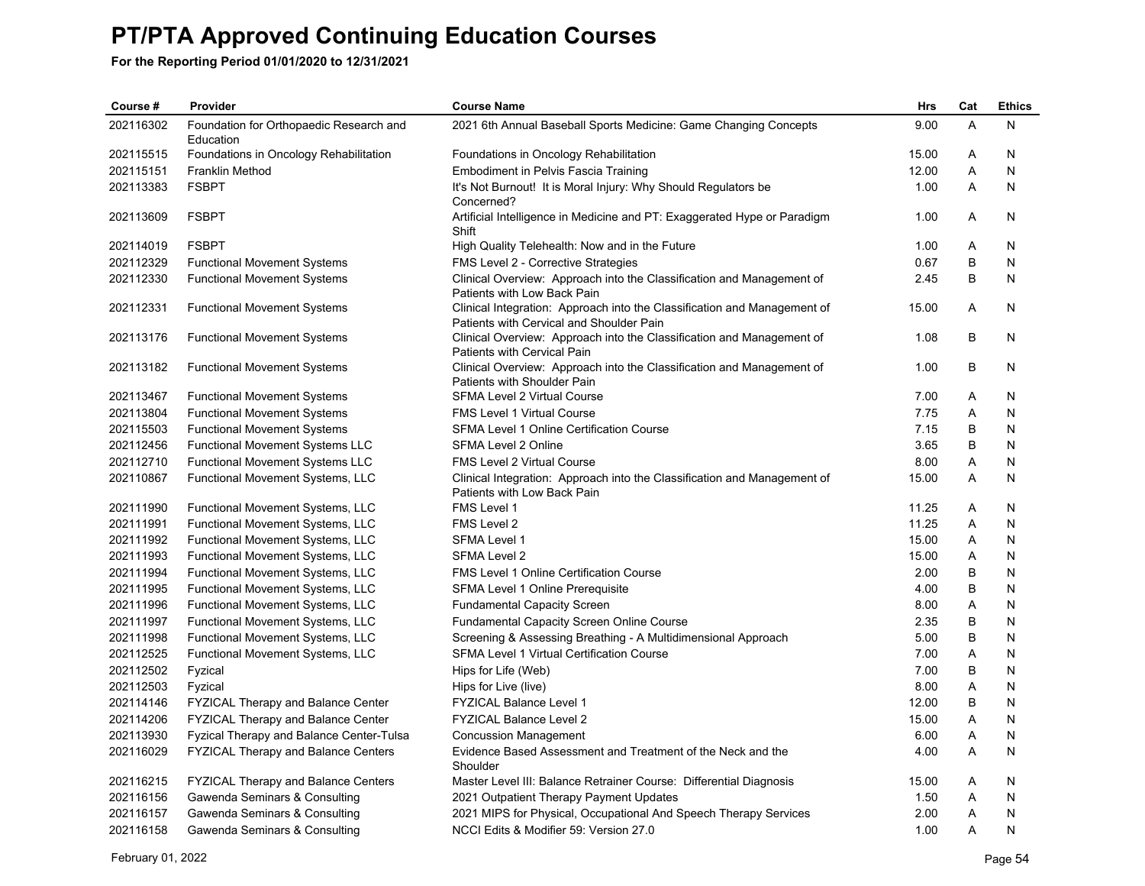| Course #  | Provider                                             | <b>Course Name</b>                                                                                      | <b>Hrs</b> | Cat | <b>Ethics</b> |
|-----------|------------------------------------------------------|---------------------------------------------------------------------------------------------------------|------------|-----|---------------|
| 202116302 | Foundation for Orthopaedic Research and<br>Education | 2021 6th Annual Baseball Sports Medicine: Game Changing Concepts                                        | 9.00       | A   | N             |
| 202115515 | Foundations in Oncology Rehabilitation               | Foundations in Oncology Rehabilitation                                                                  | 15.00      | Α   | N             |
| 202115151 | <b>Franklin Method</b>                               | Embodiment in Pelvis Fascia Training                                                                    | 12.00      | Α   | N             |
| 202113383 | <b>FSBPT</b>                                         | It's Not Burnout! It is Moral Injury: Why Should Regulators be                                          | 1.00       | A   | N             |
|           |                                                      | Concerned?                                                                                              |            |     |               |
| 202113609 | <b>FSBPT</b>                                         | Artificial Intelligence in Medicine and PT: Exaggerated Hype or Paradigm<br>Shift                       | 1.00       | Α   | N             |
| 202114019 | <b>FSBPT</b>                                         | High Quality Telehealth: Now and in the Future                                                          | 1.00       | Α   | N             |
| 202112329 | <b>Functional Movement Systems</b>                   | FMS Level 2 - Corrective Strategies                                                                     | 0.67       | B   | N             |
| 202112330 | <b>Functional Movement Systems</b>                   | Clinical Overview: Approach into the Classification and Management of                                   | 2.45       | B   | N             |
|           |                                                      | Patients with Low Back Pain                                                                             |            |     |               |
| 202112331 | <b>Functional Movement Systems</b>                   | Clinical Integration: Approach into the Classification and Management of                                | 15.00      | Α   | N             |
|           |                                                      | Patients with Cervical and Shoulder Pain                                                                |            |     |               |
| 202113176 | <b>Functional Movement Systems</b>                   | Clinical Overview: Approach into the Classification and Management of                                   | 1.08       | B   | N             |
|           |                                                      | Patients with Cervical Pain                                                                             |            |     |               |
| 202113182 | <b>Functional Movement Systems</b>                   | Clinical Overview: Approach into the Classification and Management of                                   | 1.00       | B   | N             |
| 202113467 | <b>Functional Movement Systems</b>                   | Patients with Shoulder Pain<br>SFMA Level 2 Virtual Course                                              | 7.00       | A   | N             |
| 202113804 | <b>Functional Movement Systems</b>                   | <b>FMS Level 1 Virtual Course</b>                                                                       | 7.75       | A   | N             |
| 202115503 | <b>Functional Movement Systems</b>                   | SFMA Level 1 Online Certification Course                                                                | 7.15       | B   | N             |
| 202112456 | Functional Movement Systems LLC                      | SFMA Level 2 Online                                                                                     | 3.65       | B   | N             |
| 202112710 | Functional Movement Systems LLC                      | FMS Level 2 Virtual Course                                                                              | 8.00       | Α   | N             |
| 202110867 |                                                      |                                                                                                         | 15.00      | A   | N             |
|           | Functional Movement Systems, LLC                     | Clinical Integration: Approach into the Classification and Management of<br>Patients with Low Back Pain |            |     |               |
| 202111990 | Functional Movement Systems, LLC                     | FMS Level 1                                                                                             | 11.25      | A   | N             |
| 202111991 | Functional Movement Systems, LLC                     | FMS Level 2                                                                                             | 11.25      | Α   | N             |
| 202111992 | Functional Movement Systems, LLC                     | SFMA Level 1                                                                                            | 15.00      | Α   | N             |
| 202111993 | Functional Movement Systems, LLC                     | <b>SFMA Level 2</b>                                                                                     | 15.00      | A   | N             |
| 202111994 | Functional Movement Systems, LLC                     | <b>FMS Level 1 Online Certification Course</b>                                                          | 2.00       | B   | N             |
| 202111995 | Functional Movement Systems, LLC                     | SFMA Level 1 Online Prerequisite                                                                        | 4.00       | B   | N             |
| 202111996 | Functional Movement Systems, LLC                     | <b>Fundamental Capacity Screen</b>                                                                      | 8.00       | Α   | N             |
| 202111997 | Functional Movement Systems, LLC                     | <b>Fundamental Capacity Screen Online Course</b>                                                        | 2.35       | B   | N             |
| 202111998 | Functional Movement Systems, LLC                     | Screening & Assessing Breathing - A Multidimensional Approach                                           | 5.00       | B   | N             |
| 202112525 | Functional Movement Systems, LLC                     | SFMA Level 1 Virtual Certification Course                                                               | 7.00       | Α   | N             |
| 202112502 | Fyzical                                              | Hips for Life (Web)                                                                                     | 7.00       | B   | N             |
| 202112503 | Fyzical                                              | Hips for Live (live)                                                                                    | 8.00       | Α   | N             |
| 202114146 | <b>FYZICAL Therapy and Balance Center</b>            | <b>FYZICAL Balance Level 1</b>                                                                          | 12.00      | B   | N             |
| 202114206 | FYZICAL Therapy and Balance Center                   | FYZICAL Balance Level 2                                                                                 | 15.00      | Α   | N             |
| 202113930 | Fyzical Therapy and Balance Center-Tulsa             | <b>Concussion Management</b>                                                                            | 6.00       | Α   | N             |
| 202116029 | FYZICAL Therapy and Balance Centers                  | Evidence Based Assessment and Treatment of the Neck and the<br>Shoulder                                 | 4.00       | A   | N             |
| 202116215 | <b>FYZICAL Therapy and Balance Centers</b>           | Master Level III: Balance Retrainer Course: Differential Diagnosis                                      | 15.00      | A   | N             |
| 202116156 | Gawenda Seminars & Consulting                        | 2021 Outpatient Therapy Payment Updates                                                                 | 1.50       | Α   | N             |
| 202116157 | Gawenda Seminars & Consulting                        | 2021 MIPS for Physical, Occupational And Speech Therapy Services                                        | 2.00       | A   | N             |
| 202116158 | Gawenda Seminars & Consulting                        | NCCI Edits & Modifier 59: Version 27.0                                                                  | 1.00       | A   | N             |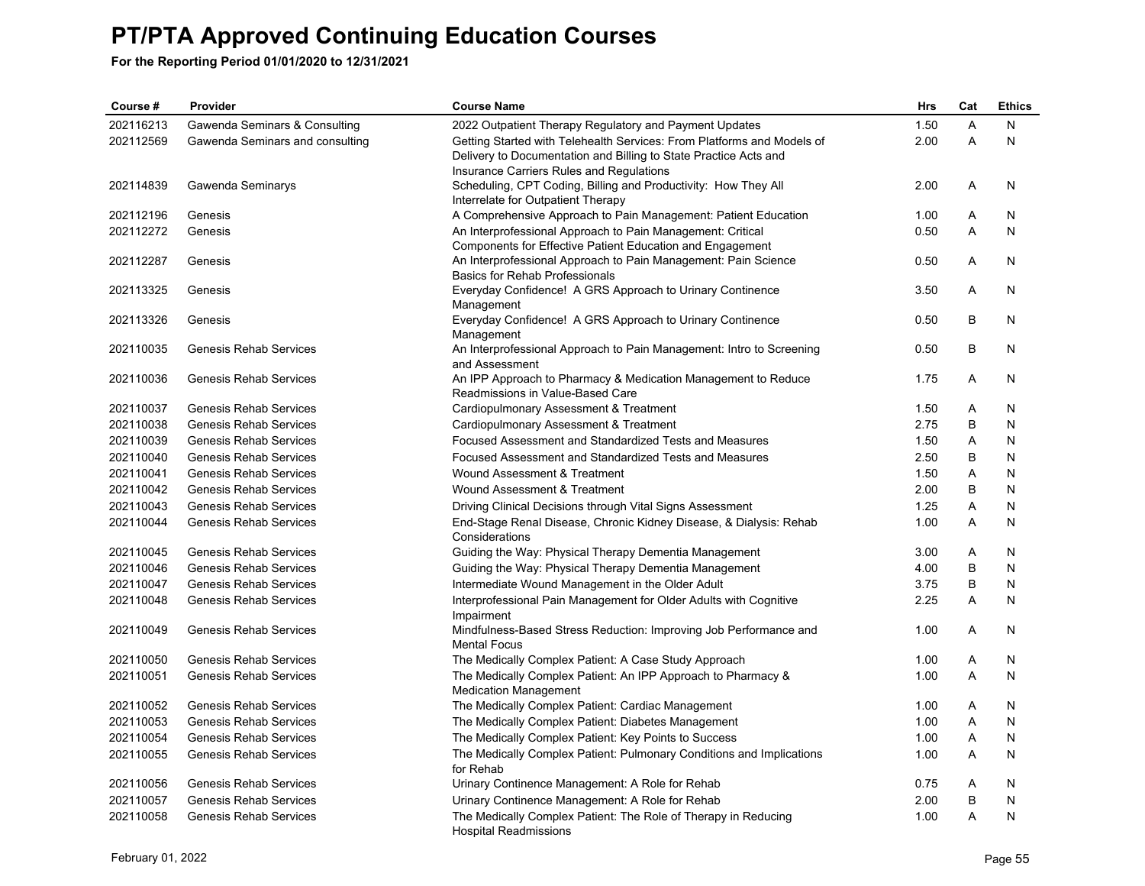| Course #  | Provider                        | <b>Course Name</b>                                                                                                                               | Hrs  | Cat | <b>Ethics</b> |
|-----------|---------------------------------|--------------------------------------------------------------------------------------------------------------------------------------------------|------|-----|---------------|
| 202116213 | Gawenda Seminars & Consulting   | 2022 Outpatient Therapy Regulatory and Payment Updates                                                                                           | 1.50 | A   | N             |
| 202112569 | Gawenda Seminars and consulting | Getting Started with Telehealth Services: From Platforms and Models of<br>Delivery to Documentation and Billing to State Practice Acts and       | 2.00 | A   | N             |
| 202114839 | Gawenda Seminarys               | Insurance Carriers Rules and Regulations<br>Scheduling, CPT Coding, Billing and Productivity: How They All<br>Interrelate for Outpatient Therapy | 2.00 | Α   | N             |
| 202112196 | Genesis                         | A Comprehensive Approach to Pain Management: Patient Education                                                                                   | 1.00 | Α   | N             |
| 202112272 | Genesis                         | An Interprofessional Approach to Pain Management: Critical<br>Components for Effective Patient Education and Engagement                          | 0.50 | A   | N             |
| 202112287 | Genesis                         | An Interprofessional Approach to Pain Management: Pain Science<br><b>Basics for Rehab Professionals</b>                                          | 0.50 | A   | N             |
| 202113325 | Genesis                         | Everyday Confidence! A GRS Approach to Urinary Continence<br>Management                                                                          | 3.50 | Α   | N             |
| 202113326 | Genesis                         | Everyday Confidence! A GRS Approach to Urinary Continence<br>Management                                                                          | 0.50 | B   | N             |
| 202110035 | <b>Genesis Rehab Services</b>   | An Interprofessional Approach to Pain Management: Intro to Screening<br>and Assessment                                                           | 0.50 | B   | N             |
| 202110036 | Genesis Rehab Services          | An IPP Approach to Pharmacy & Medication Management to Reduce<br>Readmissions in Value-Based Care                                                | 1.75 | Α   | N             |
| 202110037 | <b>Genesis Rehab Services</b>   | Cardiopulmonary Assessment & Treatment                                                                                                           | 1.50 | Α   | N             |
| 202110038 | <b>Genesis Rehab Services</b>   | Cardiopulmonary Assessment & Treatment                                                                                                           | 2.75 | B   | N             |
| 202110039 | <b>Genesis Rehab Services</b>   | Focused Assessment and Standardized Tests and Measures                                                                                           | 1.50 | Α   | N             |
| 202110040 | <b>Genesis Rehab Services</b>   | Focused Assessment and Standardized Tests and Measures                                                                                           | 2.50 | В   | N             |
| 202110041 | <b>Genesis Rehab Services</b>   | Wound Assessment & Treatment                                                                                                                     | 1.50 | Α   | N             |
| 202110042 | <b>Genesis Rehab Services</b>   | Wound Assessment & Treatment                                                                                                                     | 2.00 | B   | N             |
| 202110043 | <b>Genesis Rehab Services</b>   | Driving Clinical Decisions through Vital Signs Assessment                                                                                        | 1.25 | Α   | N             |
| 202110044 | Genesis Rehab Services          | End-Stage Renal Disease, Chronic Kidney Disease, & Dialysis: Rehab<br>Considerations                                                             | 1.00 | Α   | N             |
| 202110045 | <b>Genesis Rehab Services</b>   | Guiding the Way: Physical Therapy Dementia Management                                                                                            | 3.00 | Α   | N             |
| 202110046 | <b>Genesis Rehab Services</b>   | Guiding the Way: Physical Therapy Dementia Management                                                                                            | 4.00 | B   | N             |
| 202110047 | Genesis Rehab Services          | Intermediate Wound Management in the Older Adult                                                                                                 | 3.75 | B   | N             |
| 202110048 | <b>Genesis Rehab Services</b>   | Interprofessional Pain Management for Older Adults with Cognitive<br>Impairment                                                                  | 2.25 | A   | N             |
| 202110049 | <b>Genesis Rehab Services</b>   | Mindfulness-Based Stress Reduction: Improving Job Performance and<br><b>Mental Focus</b>                                                         | 1.00 | A   | N             |
| 202110050 | <b>Genesis Rehab Services</b>   | The Medically Complex Patient: A Case Study Approach                                                                                             | 1.00 | Α   | N             |
| 202110051 | <b>Genesis Rehab Services</b>   | The Medically Complex Patient: An IPP Approach to Pharmacy &<br><b>Medication Management</b>                                                     | 1.00 | A   | N             |
| 202110052 | <b>Genesis Rehab Services</b>   | The Medically Complex Patient: Cardiac Management                                                                                                | 1.00 | Α   | N             |
| 202110053 | Genesis Rehab Services          | The Medically Complex Patient: Diabetes Management                                                                                               | 1.00 | A   | N             |
| 202110054 | <b>Genesis Rehab Services</b>   | The Medically Complex Patient: Key Points to Success                                                                                             | 1.00 | A   | N             |
| 202110055 | Genesis Rehab Services          | The Medically Complex Patient: Pulmonary Conditions and Implications<br>for Rehab                                                                | 1.00 | A   | N             |
| 202110056 | <b>Genesis Rehab Services</b>   | Urinary Continence Management: A Role for Rehab                                                                                                  | 0.75 | Α   | N             |
| 202110057 | Genesis Rehab Services          | Urinary Continence Management: A Role for Rehab                                                                                                  | 2.00 | B   | N             |
| 202110058 | Genesis Rehab Services          | The Medically Complex Patient: The Role of Therapy in Reducing<br><b>Hospital Readmissions</b>                                                   | 1.00 | A   | N             |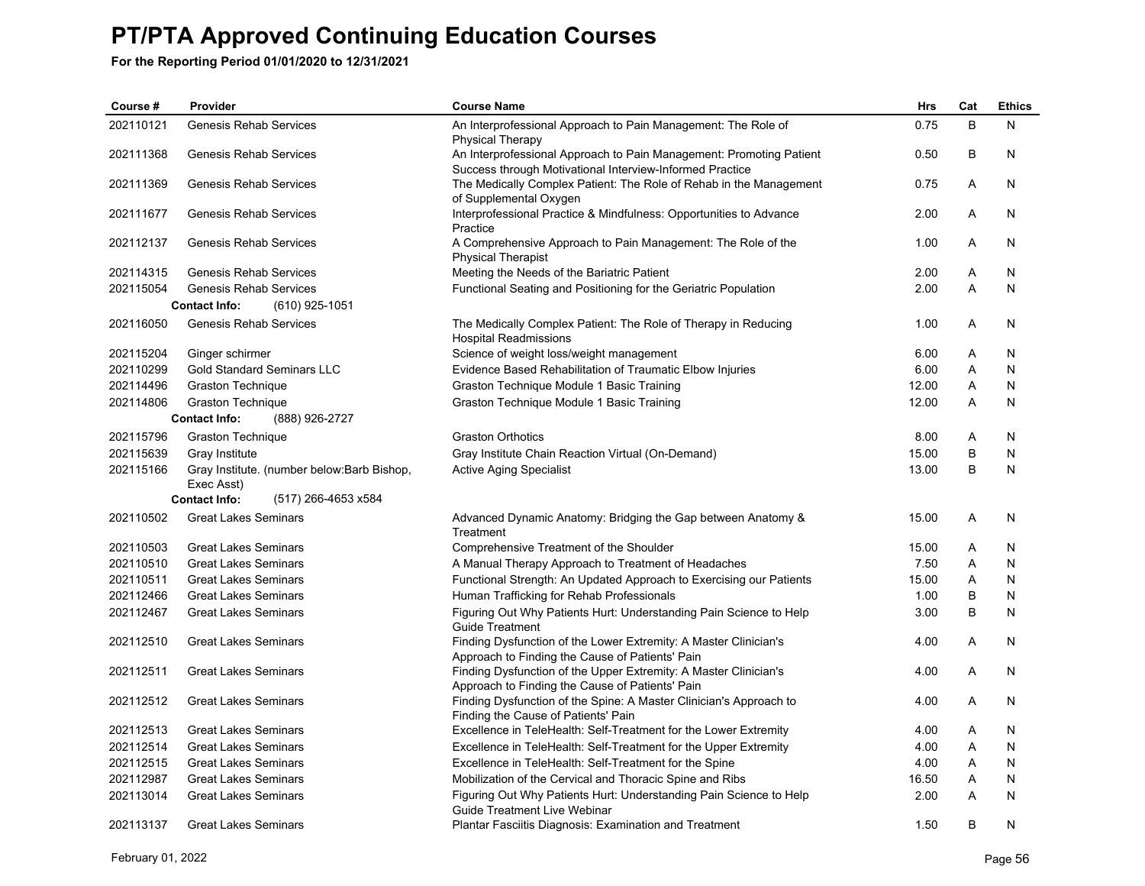| Course #  | Provider                                                  | <b>Course Name</b>                                                                                                              | Hrs   | Cat | <b>Ethics</b> |
|-----------|-----------------------------------------------------------|---------------------------------------------------------------------------------------------------------------------------------|-------|-----|---------------|
| 202110121 | Genesis Rehab Services                                    | An Interprofessional Approach to Pain Management: The Role of<br><b>Physical Therapy</b>                                        | 0.75  | B   | N             |
| 202111368 | Genesis Rehab Services                                    | An Interprofessional Approach to Pain Management: Promoting Patient<br>Success through Motivational Interview-Informed Practice | 0.50  | B   | N             |
| 202111369 | Genesis Rehab Services                                    | The Medically Complex Patient: The Role of Rehab in the Management<br>of Supplemental Oxygen                                    | 0.75  | Α   | N             |
| 202111677 | Genesis Rehab Services                                    | Interprofessional Practice & Mindfulness: Opportunities to Advance<br>Practice                                                  | 2.00  | A   | N             |
| 202112137 | Genesis Rehab Services                                    | A Comprehensive Approach to Pain Management: The Role of the<br><b>Physical Therapist</b>                                       | 1.00  | A   | N             |
| 202114315 | <b>Genesis Rehab Services</b>                             | Meeting the Needs of the Bariatric Patient                                                                                      | 2.00  | A   | N             |
| 202115054 | <b>Genesis Rehab Services</b>                             | Functional Seating and Positioning for the Geriatric Population                                                                 | 2.00  | A   | N             |
|           | (610) 925-1051<br><b>Contact Info:</b>                    |                                                                                                                                 |       |     |               |
| 202116050 | Genesis Rehab Services                                    | The Medically Complex Patient: The Role of Therapy in Reducing<br><b>Hospital Readmissions</b>                                  | 1.00  | Α   | N             |
| 202115204 | Ginger schirmer                                           | Science of weight loss/weight management                                                                                        | 6.00  | Α   | N             |
| 202110299 | <b>Gold Standard Seminars LLC</b>                         | Evidence Based Rehabilitation of Traumatic Elbow Injuries                                                                       | 6.00  | A   | N             |
| 202114496 | <b>Graston Technique</b>                                  | Graston Technique Module 1 Basic Training                                                                                       | 12.00 | Α   | N             |
| 202114806 | <b>Graston Technique</b>                                  | Graston Technique Module 1 Basic Training                                                                                       | 12.00 | A   | N             |
|           | <b>Contact Info:</b><br>(888) 926-2727                    |                                                                                                                                 |       |     |               |
| 202115796 | <b>Graston Technique</b>                                  | <b>Graston Orthotics</b>                                                                                                        | 8.00  | Α   | N             |
| 202115639 | Gray Institute                                            | Gray Institute Chain Reaction Virtual (On-Demand)                                                                               | 15.00 | B   | N             |
| 202115166 | Gray Institute. (number below: Barb Bishop,<br>Exec Asst) | <b>Active Aging Specialist</b>                                                                                                  | 13.00 | B   | N             |
|           | <b>Contact Info:</b><br>(517) 266-4653 x584               |                                                                                                                                 |       |     |               |
| 202110502 | <b>Great Lakes Seminars</b>                               | Advanced Dynamic Anatomy: Bridging the Gap between Anatomy &<br>Treatment                                                       | 15.00 | A   | N             |
| 202110503 | <b>Great Lakes Seminars</b>                               | Comprehensive Treatment of the Shoulder                                                                                         | 15.00 | A   | N.            |
| 202110510 | <b>Great Lakes Seminars</b>                               | A Manual Therapy Approach to Treatment of Headaches                                                                             | 7.50  | A   | N             |
| 202110511 | <b>Great Lakes Seminars</b>                               | Functional Strength: An Updated Approach to Exercising our Patients                                                             | 15.00 | A   | N             |
| 202112466 | <b>Great Lakes Seminars</b>                               | Human Trafficking for Rehab Professionals                                                                                       | 1.00  | B   | N             |
| 202112467 | <b>Great Lakes Seminars</b>                               | Figuring Out Why Patients Hurt: Understanding Pain Science to Help<br><b>Guide Treatment</b>                                    | 3.00  | B   | N             |
| 202112510 | <b>Great Lakes Seminars</b>                               | Finding Dysfunction of the Lower Extremity: A Master Clinician's<br>Approach to Finding the Cause of Patients' Pain             | 4.00  | A   | N             |
| 202112511 | <b>Great Lakes Seminars</b>                               | Finding Dysfunction of the Upper Extremity: A Master Clinician's<br>Approach to Finding the Cause of Patients' Pain             | 4.00  | A   | N             |
| 202112512 | <b>Great Lakes Seminars</b>                               | Finding Dysfunction of the Spine: A Master Clinician's Approach to<br>Finding the Cause of Patients' Pain                       | 4.00  | A   | N             |
| 202112513 | <b>Great Lakes Seminars</b>                               | Excellence in TeleHealth: Self-Treatment for the Lower Extremity                                                                | 4.00  | A   | N             |
| 202112514 | <b>Great Lakes Seminars</b>                               | Excellence in TeleHealth: Self-Treatment for the Upper Extremity                                                                | 4.00  | Α   | N             |
| 202112515 | <b>Great Lakes Seminars</b>                               | Excellence in TeleHealth: Self-Treatment for the Spine                                                                          | 4.00  | A   | N             |
| 202112987 | <b>Great Lakes Seminars</b>                               | Mobilization of the Cervical and Thoracic Spine and Ribs                                                                        | 16.50 | Α   | N             |
| 202113014 | <b>Great Lakes Seminars</b>                               | Figuring Out Why Patients Hurt: Understanding Pain Science to Help<br>Guide Treatment Live Webinar                              | 2.00  | A   | N             |
| 202113137 | <b>Great Lakes Seminars</b>                               | <b>Plantar Fasciitis Diagnosis: Examination and Treatment</b>                                                                   | 1.50  | B   | N             |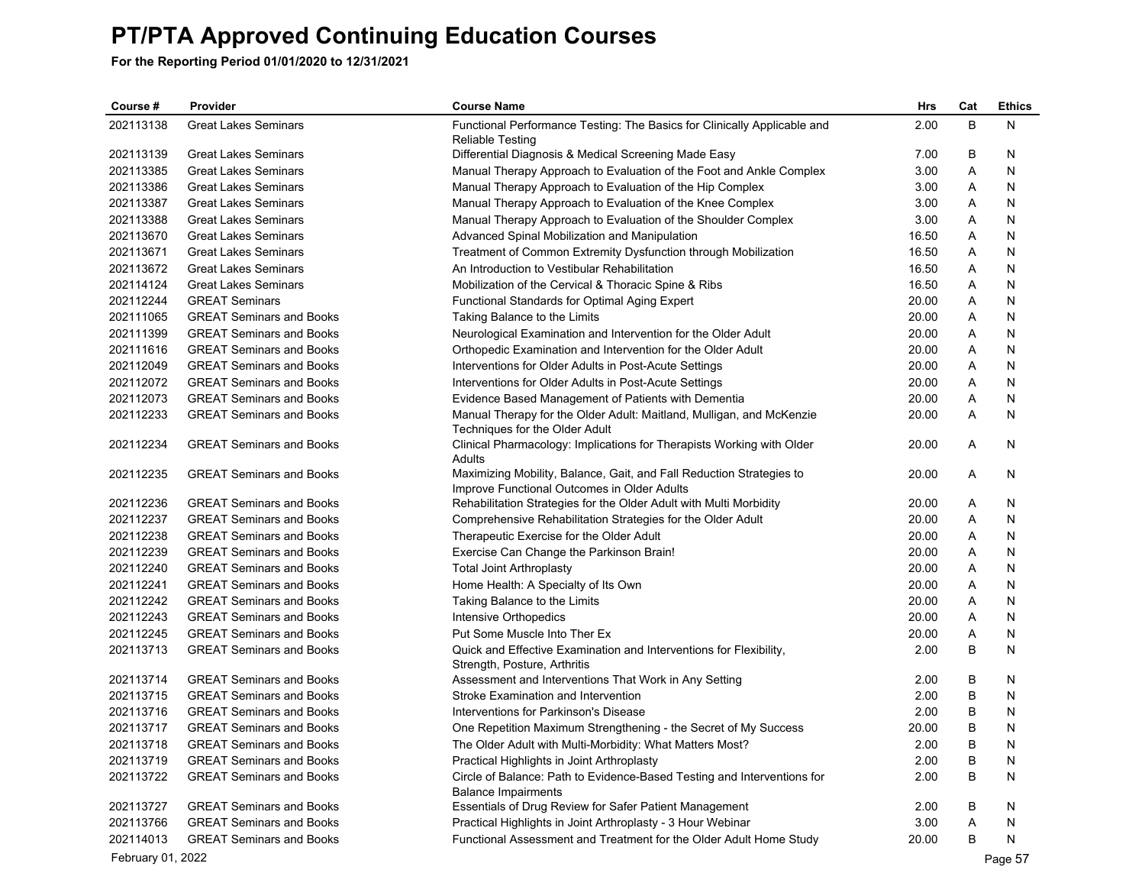**For the Reporting Period 01/01/2020 to 12/31/2021**

| Course #  | Provider                        | <b>Course Name</b>                                                                                                  | <b>Hrs</b> | Cat | <b>Ethics</b> |
|-----------|---------------------------------|---------------------------------------------------------------------------------------------------------------------|------------|-----|---------------|
| 202113138 | <b>Great Lakes Seminars</b>     | Functional Performance Testing: The Basics for Clinically Applicable and                                            | 2.00       | B   | N             |
|           |                                 | <b>Reliable Testing</b>                                                                                             |            |     |               |
| 202113139 | <b>Great Lakes Seminars</b>     | Differential Diagnosis & Medical Screening Made Easy                                                                | 7.00       | B   | N             |
| 202113385 | <b>Great Lakes Seminars</b>     | Manual Therapy Approach to Evaluation of the Foot and Ankle Complex                                                 | 3.00       | A   | N             |
| 202113386 | <b>Great Lakes Seminars</b>     | Manual Therapy Approach to Evaluation of the Hip Complex                                                            | 3.00       | Α   | N             |
| 202113387 | <b>Great Lakes Seminars</b>     | Manual Therapy Approach to Evaluation of the Knee Complex                                                           | 3.00       | Α   | N             |
| 202113388 | <b>Great Lakes Seminars</b>     | Manual Therapy Approach to Evaluation of the Shoulder Complex                                                       | 3.00       | A   | N             |
| 202113670 | <b>Great Lakes Seminars</b>     | Advanced Spinal Mobilization and Manipulation                                                                       | 16.50      | Α   | N             |
| 202113671 | <b>Great Lakes Seminars</b>     | Treatment of Common Extremity Dysfunction through Mobilization                                                      | 16.50      | A   | N             |
| 202113672 | <b>Great Lakes Seminars</b>     | An Introduction to Vestibular Rehabilitation                                                                        | 16.50      | Α   | N             |
| 202114124 | <b>Great Lakes Seminars</b>     | Mobilization of the Cervical & Thoracic Spine & Ribs                                                                | 16.50      | A   | N             |
| 202112244 | <b>GREAT Seminars</b>           | Functional Standards for Optimal Aging Expert                                                                       | 20.00      | A   | N             |
| 202111065 | <b>GREAT Seminars and Books</b> | Taking Balance to the Limits                                                                                        | 20.00      | A   | N             |
| 202111399 | <b>GREAT Seminars and Books</b> | Neurological Examination and Intervention for the Older Adult                                                       | 20.00      | A   | N             |
| 202111616 | <b>GREAT Seminars and Books</b> | Orthopedic Examination and Intervention for the Older Adult                                                         | 20.00      | Α   | N             |
| 202112049 | <b>GREAT Seminars and Books</b> | Interventions for Older Adults in Post-Acute Settings                                                               | 20.00      | Α   | N             |
| 202112072 | <b>GREAT Seminars and Books</b> | Interventions for Older Adults in Post-Acute Settings                                                               | 20.00      | Α   | N             |
| 202112073 | <b>GREAT Seminars and Books</b> | Evidence Based Management of Patients with Dementia                                                                 | 20.00      | A   | N             |
| 202112233 | <b>GREAT Seminars and Books</b> | Manual Therapy for the Older Adult: Maitland, Mulligan, and McKenzie<br>Techniques for the Older Adult              | 20.00      | A   | N             |
| 202112234 | <b>GREAT Seminars and Books</b> | Clinical Pharmacology: Implications for Therapists Working with Older<br>Adults                                     | 20.00      | A   | N             |
| 202112235 | <b>GREAT Seminars and Books</b> | Maximizing Mobility, Balance, Gait, and Fall Reduction Strategies to<br>Improve Functional Outcomes in Older Adults | 20.00      | A   | N             |
| 202112236 | <b>GREAT Seminars and Books</b> | Rehabilitation Strategies for the Older Adult with Multi Morbidity                                                  | 20.00      | A   | N             |
| 202112237 | <b>GREAT Seminars and Books</b> | Comprehensive Rehabilitation Strategies for the Older Adult                                                         | 20.00      | A   | N             |
| 202112238 | <b>GREAT Seminars and Books</b> | Therapeutic Exercise for the Older Adult                                                                            | 20.00      | A   | N             |
| 202112239 | <b>GREAT Seminars and Books</b> | Exercise Can Change the Parkinson Brain!                                                                            | 20.00      | Α   | N             |
| 202112240 | <b>GREAT Seminars and Books</b> | <b>Total Joint Arthroplasty</b>                                                                                     | 20.00      | Α   | N             |
| 202112241 | <b>GREAT Seminars and Books</b> | Home Health: A Specialty of Its Own                                                                                 | 20.00      | Α   | N             |
| 202112242 | <b>GREAT Seminars and Books</b> | Taking Balance to the Limits                                                                                        | 20.00      | A   | N             |
| 202112243 | <b>GREAT Seminars and Books</b> | Intensive Orthopedics                                                                                               | 20.00      | A   | N             |
| 202112245 | <b>GREAT Seminars and Books</b> | Put Some Muscle Into Ther Ex                                                                                        | 20.00      | Α   | N             |
| 202113713 | <b>GREAT Seminars and Books</b> | Quick and Effective Examination and Interventions for Flexibility,<br>Strength, Posture, Arthritis                  | 2.00       | B   | N             |
| 202113714 | <b>GREAT Seminars and Books</b> | Assessment and Interventions That Work in Any Setting                                                               | 2.00       | B   | N             |
| 202113715 | <b>GREAT Seminars and Books</b> | Stroke Examination and Intervention                                                                                 | 2.00       | B   | N             |
| 202113716 | <b>GREAT Seminars and Books</b> | Interventions for Parkinson's Disease                                                                               | 2.00       | B   | N             |
| 202113717 | <b>GREAT Seminars and Books</b> | One Repetition Maximum Strengthening - the Secret of My Success                                                     | 20.00      | B   | N             |
| 202113718 | <b>GREAT Seminars and Books</b> | The Older Adult with Multi-Morbidity: What Matters Most?                                                            | 2.00       | B   | N             |
| 202113719 | <b>GREAT Seminars and Books</b> | Practical Highlights in Joint Arthroplasty                                                                          | 2.00       | B   | N             |
| 202113722 | <b>GREAT Seminars and Books</b> | Circle of Balance: Path to Evidence-Based Testing and Interventions for<br><b>Balance Impairments</b>               | 2.00       | B   | N             |
| 202113727 | <b>GREAT Seminars and Books</b> | Essentials of Drug Review for Safer Patient Management                                                              | 2.00       | B   | N             |
| 202113766 | <b>GREAT Seminars and Books</b> | Practical Highlights in Joint Arthroplasty - 3 Hour Webinar                                                         | 3.00       | A   | N             |
| 202114013 | <b>GREAT Seminars and Books</b> | Functional Assessment and Treatment for the Older Adult Home Study                                                  | 20.00      | B   | N             |

February 01, 2022 Page 57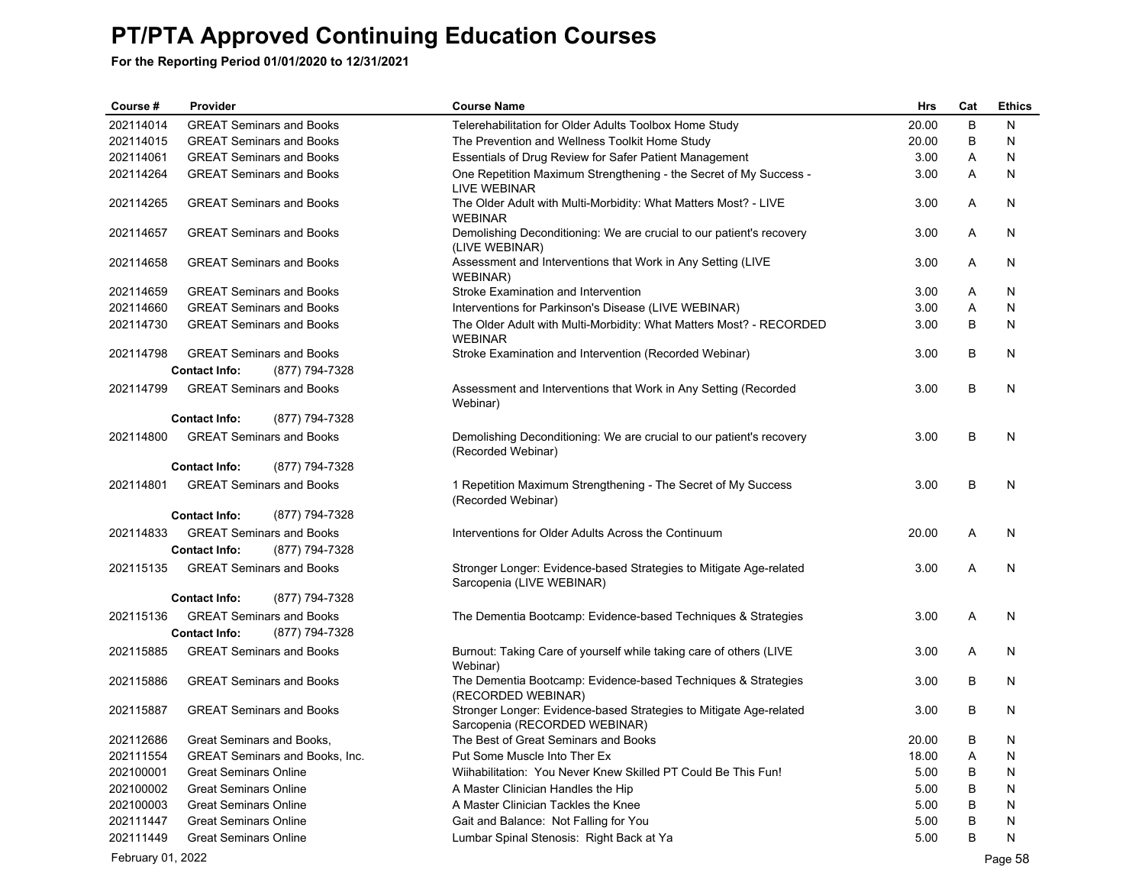| Course #          | Provider                               | <b>Course Name</b>                                                                                  | Hrs   | Cat | <b>Ethics</b> |
|-------------------|----------------------------------------|-----------------------------------------------------------------------------------------------------|-------|-----|---------------|
| 202114014         | <b>GREAT Seminars and Books</b>        | Telerehabilitation for Older Adults Toolbox Home Study                                              | 20.00 | B   | N             |
| 202114015         | <b>GREAT Seminars and Books</b>        | The Prevention and Wellness Toolkit Home Study                                                      | 20.00 | B   | N             |
| 202114061         | <b>GREAT Seminars and Books</b>        | Essentials of Drug Review for Safer Patient Management                                              | 3.00  | Α   | N             |
| 202114264         | <b>GREAT Seminars and Books</b>        | One Repetition Maximum Strengthening - the Secret of My Success -<br>LIVE WEBINAR                   | 3.00  | Α   | N             |
| 202114265         | <b>GREAT Seminars and Books</b>        | The Older Adult with Multi-Morbidity: What Matters Most? - LIVE<br><b>WEBINAR</b>                   | 3.00  | A   | N             |
| 202114657         | <b>GREAT Seminars and Books</b>        | Demolishing Deconditioning: We are crucial to our patient's recovery<br>(LIVE WEBINAR)              | 3.00  | Α   | N             |
| 202114658         | <b>GREAT Seminars and Books</b>        | Assessment and Interventions that Work in Any Setting (LIVE<br>WEBINAR)                             | 3.00  | A   | N             |
| 202114659         | <b>GREAT Seminars and Books</b>        | Stroke Examination and Intervention                                                                 | 3.00  | Α   | N             |
| 202114660         | <b>GREAT Seminars and Books</b>        | Interventions for Parkinson's Disease (LIVE WEBINAR)                                                | 3.00  | Α   | N             |
| 202114730         | <b>GREAT Seminars and Books</b>        | The Older Adult with Multi-Morbidity: What Matters Most? - RECORDED<br><b>WEBINAR</b>               | 3.00  | В   | N             |
| 202114798         | <b>GREAT Seminars and Books</b>        | Stroke Examination and Intervention (Recorded Webinar)                                              | 3.00  | В   | N             |
|                   | <b>Contact Info:</b><br>(877) 794-7328 |                                                                                                     |       |     |               |
| 202114799         | <b>GREAT Seminars and Books</b>        | Assessment and Interventions that Work in Any Setting (Recorded<br>Webinar)                         | 3.00  | B   | N             |
|                   | <b>Contact Info:</b><br>(877) 794-7328 |                                                                                                     |       |     |               |
| 202114800         | <b>GREAT Seminars and Books</b>        | Demolishing Deconditioning: We are crucial to our patient's recovery<br>(Recorded Webinar)          | 3.00  | B   | N             |
|                   | <b>Contact Info:</b><br>(877) 794-7328 |                                                                                                     |       |     |               |
| 202114801         | <b>GREAT Seminars and Books</b>        | 1 Repetition Maximum Strengthening - The Secret of My Success<br>(Recorded Webinar)                 | 3.00  | B   | N             |
|                   | <b>Contact Info:</b><br>(877) 794-7328 |                                                                                                     |       |     |               |
| 202114833         | <b>GREAT Seminars and Books</b>        | Interventions for Older Adults Across the Continuum                                                 | 20.00 | Α   | N             |
|                   | (877) 794-7328<br><b>Contact Info:</b> |                                                                                                     |       |     |               |
| 202115135         | <b>GREAT Seminars and Books</b>        | Stronger Longer: Evidence-based Strategies to Mitigate Age-related<br>Sarcopenia (LIVE WEBINAR)     | 3.00  | A   | N             |
|                   | <b>Contact Info:</b><br>(877) 794-7328 |                                                                                                     |       |     |               |
| 202115136         | <b>GREAT Seminars and Books</b>        | The Dementia Bootcamp: Evidence-based Techniques & Strategies                                       | 3.00  | Α   | N             |
|                   | (877) 794-7328<br><b>Contact Info:</b> |                                                                                                     |       |     |               |
| 202115885         | <b>GREAT Seminars and Books</b>        | Burnout: Taking Care of yourself while taking care of others (LIVE<br>Webinar)                      | 3.00  | Α   | N             |
| 202115886         | <b>GREAT Seminars and Books</b>        | The Dementia Bootcamp: Evidence-based Techniques & Strategies<br>(RECORDED WEBINAR)                 | 3.00  | B   | N             |
| 202115887         | <b>GREAT Seminars and Books</b>        | Stronger Longer: Evidence-based Strategies to Mitigate Age-related<br>Sarcopenia (RECORDED WEBINAR) | 3.00  | В   | N             |
| 202112686         | Great Seminars and Books,              | The Best of Great Seminars and Books                                                                | 20.00 | В   | N             |
| 202111554         | <b>GREAT Seminars and Books, Inc.</b>  | Put Some Muscle Into Ther Ex                                                                        | 18.00 | Α   | N             |
| 202100001         | <b>Great Seminars Online</b>           | Wiihabilitation: You Never Knew Skilled PT Could Be This Fun!                                       | 5.00  | B   | N             |
| 202100002         | <b>Great Seminars Online</b>           | A Master Clinician Handles the Hip                                                                  | 5.00  | В   | N             |
| 202100003         | <b>Great Seminars Online</b>           | A Master Clinician Tackles the Knee                                                                 | 5.00  | B   | N             |
| 202111447         | <b>Great Seminars Online</b>           | Gait and Balance: Not Falling for You                                                               | 5.00  |     | N             |
| 202111449         | <b>Great Seminars Online</b>           | Lumbar Spinal Stenosis: Right Back at Ya                                                            | 5.00  | B   | N             |
| February 01, 2022 |                                        |                                                                                                     |       |     | Page 58       |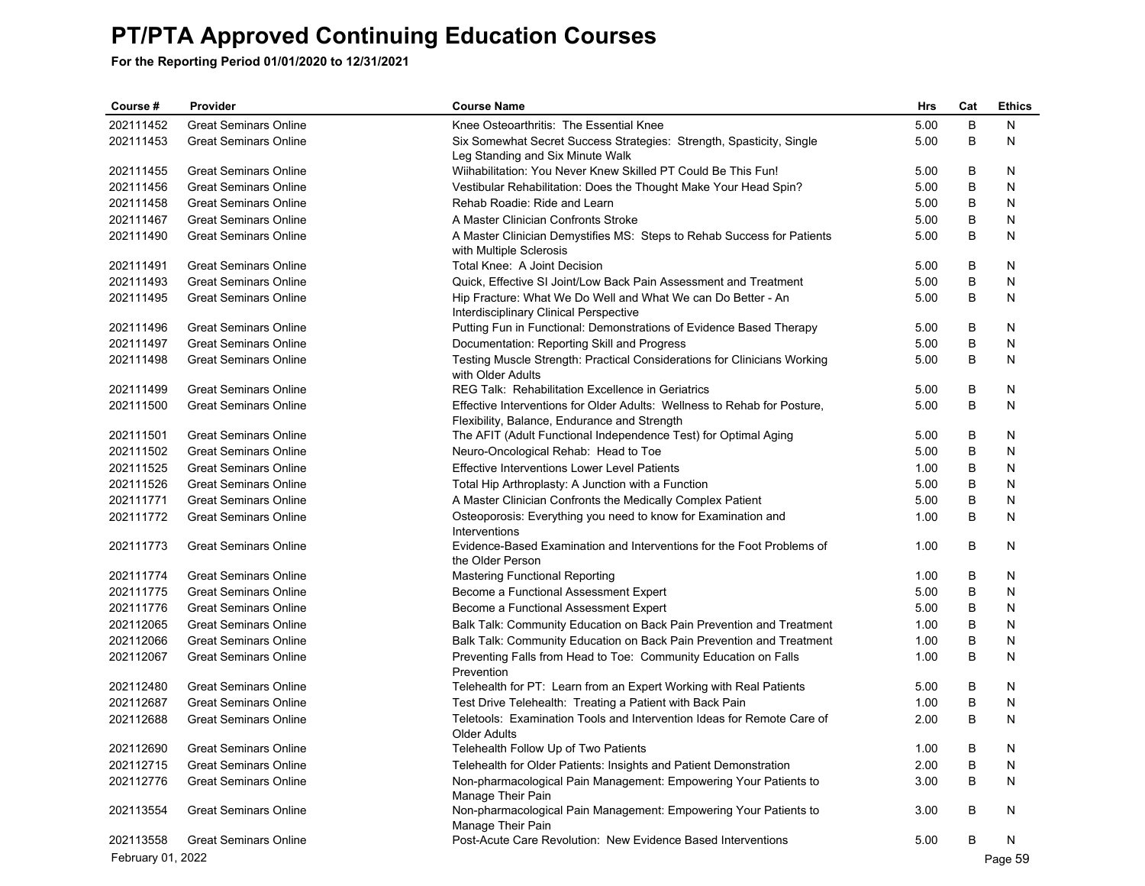| Course #          | Provider                        | <b>Course Name</b>                                                                                     | Hrs  | Cat | <b>Ethics</b> |
|-------------------|---------------------------------|--------------------------------------------------------------------------------------------------------|------|-----|---------------|
| 202111452         | <b>Great Seminars Online</b>    | Knee Osteoarthritis: The Essential Knee                                                                | 5.00 | B   | N             |
| 202111453         | <b>Great Seminars Online</b>    | Six Somewhat Secret Success Strategies: Strength, Spasticity, Single                                   | 5.00 | B   | N             |
|                   |                                 | Leg Standing and Six Minute Walk                                                                       |      |     |               |
| 202111455         | <b>Great Seminars Online</b>    | Wiihabilitation: You Never Knew Skilled PT Could Be This Fun!                                          | 5.00 | В   | N             |
| 202111456         | <b>Great Seminars Online</b>    | Vestibular Rehabilitation: Does the Thought Make Your Head Spin?                                       | 5.00 | В   | N             |
| 202111458         | <b>Great Seminars Online</b>    | Rehab Roadie: Ride and Learn                                                                           | 5.00 | В   | N             |
| 202111467         | <b>Great Seminars Online</b>    | A Master Clinician Confronts Stroke                                                                    | 5.00 | B   | N             |
| 202111490         | <b>Great Seminars Online</b>    | A Master Clinician Demystifies MS: Steps to Rehab Success for Patients<br>with Multiple Sclerosis      | 5.00 | В   | N             |
| 202111491         | <b>Great Seminars Online</b>    | Total Knee: A Joint Decision                                                                           | 5.00 | В   | N             |
| 202111493         | <b>Great Seminars Online</b>    | Quick, Effective SI Joint/Low Back Pain Assessment and Treatment                                       | 5.00 | B   | N             |
| 202111495         | <b>Great Seminars Online</b>    | Hip Fracture: What We Do Well and What We can Do Better - An<br>Interdisciplinary Clinical Perspective | 5.00 | B   | N             |
| 202111496         | <b>Great Seminars Online</b>    | Putting Fun in Functional: Demonstrations of Evidence Based Therapy                                    | 5.00 | В   | N             |
| 202111497         | <b>Great Seminars Online</b>    | Documentation: Reporting Skill and Progress                                                            | 5.00 | В   | N             |
| 202111498         | <b>Great Seminars Online</b>    | Testing Muscle Strength: Practical Considerations for Clinicians Working<br>with Older Adults          | 5.00 | В   | N             |
| 202111499         | <b>Great Seminars Online</b>    | <b>REG Talk: Rehabilitation Excellence in Geriatrics</b>                                               | 5.00 | В   | N             |
| 202111500         | <b>Great Seminars Online</b>    | Effective Interventions for Older Adults: Wellness to Rehab for Posture,                               | 5.00 | В   | N             |
|                   |                                 | Flexibility, Balance, Endurance and Strength                                                           |      |     |               |
| 202111501         | <b>Great Seminars Online</b>    | The AFIT (Adult Functional Independence Test) for Optimal Aging                                        | 5.00 | В   | N             |
| 202111502         | <b>Great Seminars Online</b>    | Neuro-Oncological Rehab: Head to Toe                                                                   | 5.00 | В   | N             |
| 202111525         | <b>Great Seminars Online</b>    | <b>Effective Interventions Lower Level Patients</b>                                                    | 1.00 | В   | N             |
| 202111526         | <b>Great Seminars Online</b>    | Total Hip Arthroplasty: A Junction with a Function                                                     | 5.00 | В   | N             |
| 202111771         | <b>Great Seminars Online</b>    | A Master Clinician Confronts the Medically Complex Patient                                             | 5.00 | В   | N             |
| 202111772         | <b>Great Seminars Online</b>    | Osteoporosis: Everything you need to know for Examination and<br>Interventions                         | 1.00 | В   | N             |
| 202111773         | <b>Great Seminars Online</b>    | Evidence-Based Examination and Interventions for the Foot Problems of<br>the Older Person              | 1.00 | В   | N             |
| 202111774         | <b>Great Seminars Online</b>    | <b>Mastering Functional Reporting</b>                                                                  | 1.00 | В   | N             |
| 202111775         | <b>Great Seminars Online</b>    | Become a Functional Assessment Expert                                                                  | 5.00 | В   | N             |
| 202111776         | <b>Great Seminars Online</b>    | Become a Functional Assessment Expert                                                                  | 5.00 | В   | N             |
| 202112065         | <b>Great Seminars Online</b>    | Balk Talk: Community Education on Back Pain Prevention and Treatment                                   | 1.00 | В   | N             |
| 202112066         | <b>Great Seminars Online</b>    | Balk Talk: Community Education on Back Pain Prevention and Treatment                                   | 1.00 | В   | N             |
| 202112067         | <b>Great Seminars Online</b>    | Preventing Falls from Head to Toe: Community Education on Falls<br>Prevention                          | 1.00 | B   | N             |
| 202112480         | <b>Great Seminars Online</b>    | Telehealth for PT: Learn from an Expert Working with Real Patients                                     | 5.00 | В   | N             |
| 202112687         | <b>Great Seminars Online</b>    | Test Drive Telehealth: Treating a Patient with Back Pain                                               | 1.00 | В   | N             |
| 202112688         | <b>Great Seminars Online</b>    | Teletools: Examination Tools and Intervention Ideas for Remote Care of                                 | 2.00 | B   | N             |
|                   | 202112690 Great Seminars Online | Older Adults<br>Telehealth Follow Up of Two Patients                                                   | 1.00 | В   | N             |
| 202112715         | <b>Great Seminars Online</b>    | Telehealth for Older Patients: Insights and Patient Demonstration                                      | 2.00 | В   | N             |
| 202112776         | <b>Great Seminars Online</b>    | Non-pharmacological Pain Management: Empowering Your Patients to                                       | 3.00 | В   | N             |
|                   |                                 | Manage Their Pain                                                                                      |      |     |               |
| 202113554         | <b>Great Seminars Online</b>    | Non-pharmacological Pain Management: Empowering Your Patients to<br>Manage Their Pain                  | 3.00 | B   | N             |
| 202113558         | <b>Great Seminars Online</b>    | Post-Acute Care Revolution: New Evidence Based Interventions                                           | 5.00 | В   | N             |
| February 01, 2022 |                                 |                                                                                                        |      |     | Page 59       |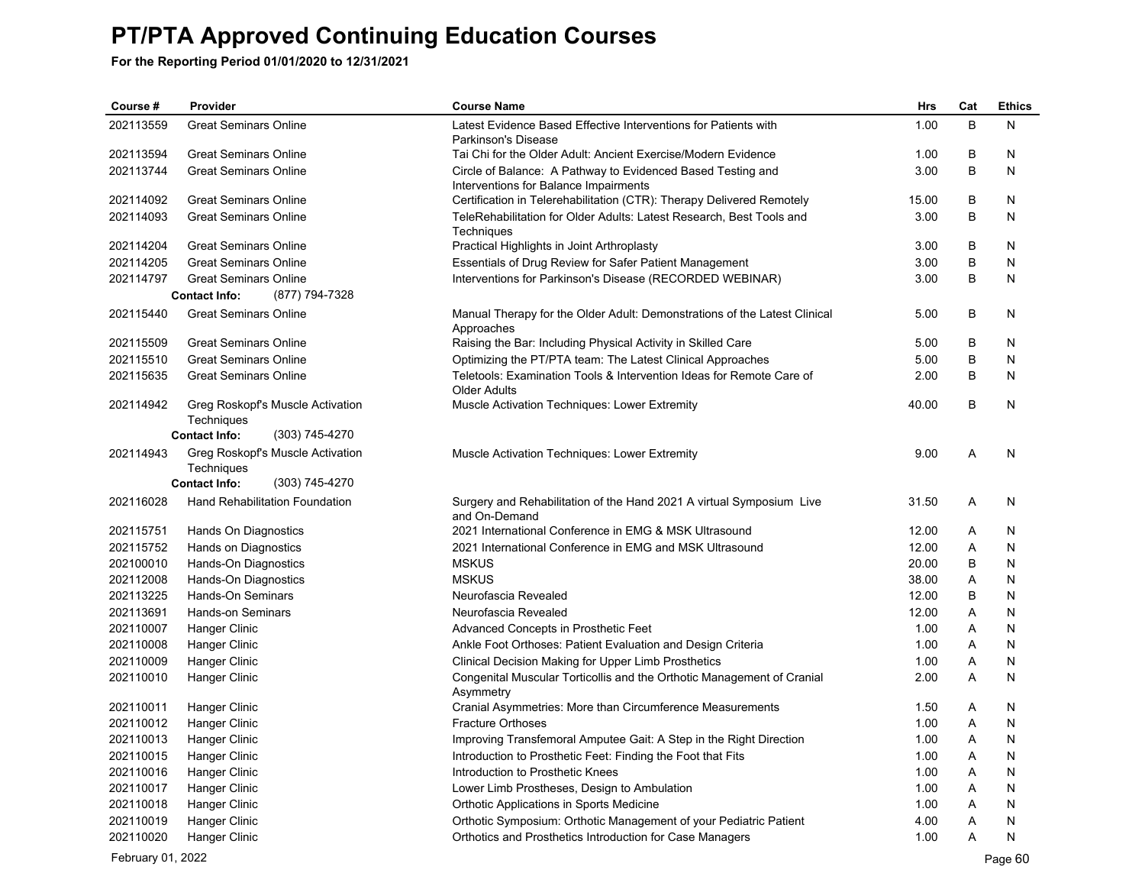| Course #  | Provider                               | <b>Course Name</b>                                                                                             | <b>Hrs</b> | Cat | <b>Ethics</b> |
|-----------|----------------------------------------|----------------------------------------------------------------------------------------------------------------|------------|-----|---------------|
| 202113559 | <b>Great Seminars Online</b>           | Latest Evidence Based Effective Interventions for Patients with                                                | 1.00       | B   | Ν             |
|           |                                        | Parkinson's Disease                                                                                            |            |     |               |
| 202113594 | <b>Great Seminars Online</b>           | Tai Chi for the Older Adult: Ancient Exercise/Modern Evidence                                                  | 1.00       | B   | N             |
| 202113744 | <b>Great Seminars Online</b>           | Circle of Balance: A Pathway to Evidenced Based Testing and                                                    | 3.00       | B   | N             |
| 202114092 | <b>Great Seminars Online</b>           | Interventions for Balance Impairments<br>Certification in Telerehabilitation (CTR): Therapy Delivered Remotely | 15.00      | B   | N             |
| 202114093 | <b>Great Seminars Online</b>           | TeleRehabilitation for Older Adults: Latest Research, Best Tools and                                           | 3.00       | B   | N             |
|           |                                        | Techniques                                                                                                     |            |     |               |
| 202114204 | <b>Great Seminars Online</b>           | Practical Highlights in Joint Arthroplasty                                                                     | 3.00       | B   | N             |
| 202114205 | <b>Great Seminars Online</b>           | Essentials of Drug Review for Safer Patient Management                                                         | 3.00       | B   | N             |
| 202114797 | <b>Great Seminars Online</b>           | Interventions for Parkinson's Disease (RECORDED WEBINAR)                                                       | 3.00       | B   | N             |
|           | <b>Contact Info:</b><br>(877) 794-7328 |                                                                                                                |            |     |               |
| 202115440 | <b>Great Seminars Online</b>           | Manual Therapy for the Older Adult: Demonstrations of the Latest Clinical                                      | 5.00       | B   | N             |
|           |                                        | Approaches                                                                                                     |            |     |               |
| 202115509 | <b>Great Seminars Online</b>           | Raising the Bar: Including Physical Activity in Skilled Care                                                   | 5.00       | B   | N             |
| 202115510 | <b>Great Seminars Online</b>           | Optimizing the PT/PTA team: The Latest Clinical Approaches                                                     | 5.00       | B   | N             |
| 202115635 | <b>Great Seminars Online</b>           | Teletools: Examination Tools & Intervention Ideas for Remote Care of<br><b>Older Adults</b>                    | 2.00       | B   | N             |
| 202114942 | Greg Roskopf's Muscle Activation       | Muscle Activation Techniques: Lower Extremity                                                                  | 40.00      | B   | N             |
|           | Techniques                             |                                                                                                                |            |     |               |
|           | (303) 745-4270<br><b>Contact Info:</b> |                                                                                                                |            |     |               |
| 202114943 | Greg Roskopf's Muscle Activation       | <b>Muscle Activation Techniques: Lower Extremity</b>                                                           | 9.00       | A   | N             |
|           | Techniques                             |                                                                                                                |            |     |               |
|           | <b>Contact Info:</b><br>(303) 745-4270 |                                                                                                                |            |     |               |
| 202116028 | Hand Rehabilitation Foundation         | Surgery and Rehabilitation of the Hand 2021 A virtual Symposium Live<br>and On-Demand                          | 31.50      | Α   | N             |
| 202115751 | Hands On Diagnostics                   | 2021 International Conference in EMG & MSK Ultrasound                                                          | 12.00      | A   | N             |
| 202115752 | Hands on Diagnostics                   | 2021 International Conference in EMG and MSK Ultrasound                                                        | 12.00      | A   | N             |
| 202100010 | Hands-On Diagnostics                   | <b>MSKUS</b>                                                                                                   | 20.00      | B   | N             |
| 202112008 | Hands-On Diagnostics                   | <b>MSKUS</b>                                                                                                   | 38.00      | A   | N             |
| 202113225 | Hands-On Seminars                      | Neurofascia Revealed                                                                                           | 12.00      | B   | N             |
| 202113691 | <b>Hands-on Seminars</b>               | Neurofascia Revealed                                                                                           | 12.00      | A   | N             |
| 202110007 | Hanger Clinic                          | Advanced Concepts in Prosthetic Feet                                                                           | 1.00       | A   | N             |
| 202110008 | <b>Hanger Clinic</b>                   | Ankle Foot Orthoses: Patient Evaluation and Design Criteria                                                    | 1.00       | A   | N             |
| 202110009 | <b>Hanger Clinic</b>                   | Clinical Decision Making for Upper Limb Prosthetics                                                            | 1.00       | A   | N             |
| 202110010 | <b>Hanger Clinic</b>                   | Congenital Muscular Torticollis and the Orthotic Management of Cranial<br>Asymmetry                            | 2.00       | A   | N             |
| 202110011 | Hanger Clinic                          | Cranial Asymmetries: More than Circumference Measurements                                                      | 1.50       | Α   | N             |
| 202110012 | Hanger Clinic                          | <b>Fracture Orthoses</b>                                                                                       | 1.00       | Α   | N             |
| 202110013 | Hanger Clinic                          | Improving Transfemoral Amputee Gait: A Step in the Right Direction                                             | 1.00       | Α   | N             |
| 202110015 | Hanger Clinic                          | Introduction to Prosthetic Feet: Finding the Foot that Fits                                                    | 1.00       | A   | N             |
| 202110016 | Hanger Clinic                          | Introduction to Prosthetic Knees                                                                               | 1.00       | Α   | N             |
| 202110017 | Hanger Clinic                          | Lower Limb Prostheses, Design to Ambulation                                                                    | 1.00       | Α   | N             |
| 202110018 | Hanger Clinic                          | Orthotic Applications in Sports Medicine                                                                       | 1.00       | Α   | N             |
| 202110019 | Hanger Clinic                          | Orthotic Symposium: Orthotic Management of your Pediatric Patient                                              | 4.00       | A   | $\mathsf{N}$  |
| 202110020 | <b>Hanger Clinic</b>                   | Orthotics and Prosthetics Introduction for Case Managers                                                       | 1.00       | A   | N             |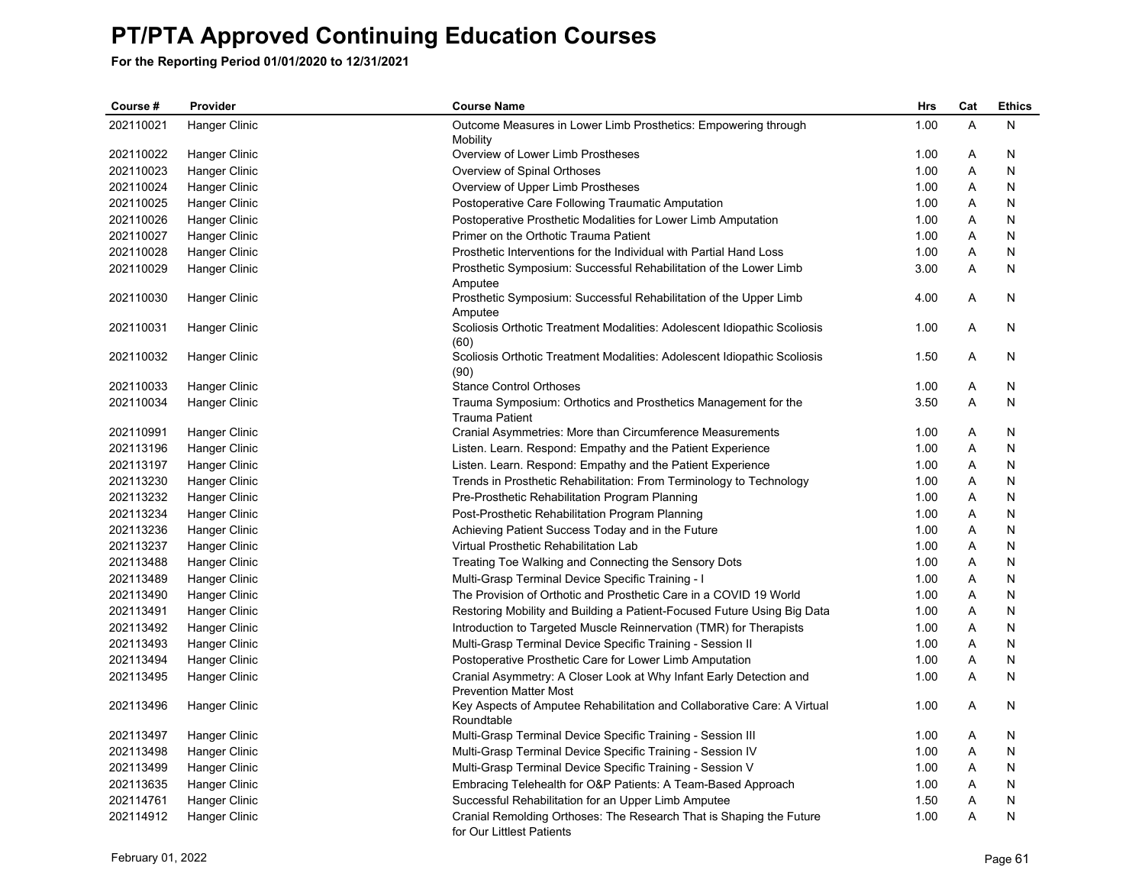| Course #  | Provider      | <b>Course Name</b>                                                                                  | Hrs  | Cat            | <b>Ethics</b> |
|-----------|---------------|-----------------------------------------------------------------------------------------------------|------|----------------|---------------|
| 202110021 | Hanger Clinic | Outcome Measures in Lower Limb Prosthetics: Empowering through                                      | 1.00 | $\overline{A}$ | N             |
|           |               | Mobility                                                                                            |      |                |               |
| 202110022 | Hanger Clinic | Overview of Lower Limb Prostheses                                                                   | 1.00 | A              | N             |
| 202110023 | Hanger Clinic | Overview of Spinal Orthoses                                                                         | 1.00 | Α              | N             |
| 202110024 | Hanger Clinic | Overview of Upper Limb Prostheses                                                                   | 1.00 | Α              | N             |
| 202110025 | Hanger Clinic | Postoperative Care Following Traumatic Amputation                                                   | 1.00 | Α              | N             |
| 202110026 | Hanger Clinic | Postoperative Prosthetic Modalities for Lower Limb Amputation                                       | 1.00 | Α              | N             |
| 202110027 | Hanger Clinic | Primer on the Orthotic Trauma Patient                                                               | 1.00 | A              | N             |
| 202110028 | Hanger Clinic | Prosthetic Interventions for the Individual with Partial Hand Loss                                  | 1.00 | Α              | N             |
| 202110029 | Hanger Clinic | Prosthetic Symposium: Successful Rehabilitation of the Lower Limb<br>Amputee                        | 3.00 | Α              | N             |
| 202110030 | Hanger Clinic | Prosthetic Symposium: Successful Rehabilitation of the Upper Limb<br>Amputee                        | 4.00 | Α              | N             |
| 202110031 | Hanger Clinic | Scoliosis Orthotic Treatment Modalities: Adolescent Idiopathic Scoliosis<br>(60)                    | 1.00 | A              | N             |
| 202110032 | Hanger Clinic | Scoliosis Orthotic Treatment Modalities: Adolescent Idiopathic Scoliosis<br>(90)                    | 1.50 | Α              | N             |
| 202110033 | Hanger Clinic | <b>Stance Control Orthoses</b>                                                                      | 1.00 | Α              | N             |
| 202110034 | Hanger Clinic | Trauma Symposium: Orthotics and Prosthetics Management for the<br><b>Trauma Patient</b>             | 3.50 | Α              | N             |
| 202110991 | Hanger Clinic | Cranial Asymmetries: More than Circumference Measurements                                           | 1.00 | A              | N             |
| 202113196 | Hanger Clinic | Listen. Learn. Respond: Empathy and the Patient Experience                                          | 1.00 | Α              | N             |
| 202113197 | Hanger Clinic | Listen. Learn. Respond: Empathy and the Patient Experience                                          | 1.00 | Α              | N             |
| 202113230 | Hanger Clinic | Trends in Prosthetic Rehabilitation: From Terminology to Technology                                 | 1.00 | Α              | N             |
| 202113232 | Hanger Clinic | Pre-Prosthetic Rehabilitation Program Planning                                                      | 1.00 | Α              | N             |
| 202113234 | Hanger Clinic | Post-Prosthetic Rehabilitation Program Planning                                                     | 1.00 | Α              | N             |
| 202113236 | Hanger Clinic | Achieving Patient Success Today and in the Future                                                   | 1.00 | A              | N             |
| 202113237 | Hanger Clinic | Virtual Prosthetic Rehabilitation Lab                                                               | 1.00 | Α              | N             |
| 202113488 | Hanger Clinic | Treating Toe Walking and Connecting the Sensory Dots                                                | 1.00 | Α              | N             |
| 202113489 | Hanger Clinic | Multi-Grasp Terminal Device Specific Training - I                                                   | 1.00 | A              | N             |
| 202113490 | Hanger Clinic | The Provision of Orthotic and Prosthetic Care in a COVID 19 World                                   | 1.00 | Α              | N             |
| 202113491 | Hanger Clinic | Restoring Mobility and Building a Patient-Focused Future Using Big Data                             | 1.00 | A              | N             |
| 202113492 | Hanger Clinic | Introduction to Targeted Muscle Reinnervation (TMR) for Therapists                                  | 1.00 | Α              | N             |
| 202113493 | Hanger Clinic | Multi-Grasp Terminal Device Specific Training - Session II                                          | 1.00 | Α              | N             |
| 202113494 | Hanger Clinic | Postoperative Prosthetic Care for Lower Limb Amputation                                             | 1.00 | A              | N             |
| 202113495 | Hanger Clinic | Cranial Asymmetry: A Closer Look at Why Infant Early Detection and<br><b>Prevention Matter Most</b> | 1.00 | Α              | N             |
| 202113496 | Hanger Clinic | Key Aspects of Amputee Rehabilitation and Collaborative Care: A Virtual<br>Roundtable               | 1.00 | A              | N             |
| 202113497 | Hanger Clinic | Multi-Grasp Terminal Device Specific Training - Session III                                         | 1.00 | Α              | N             |
| 202113498 | Hanger Clinic | Multi-Grasp Terminal Device Specific Training - Session IV                                          | 1.00 | Α              | N             |
| 202113499 | Hanger Clinic | Multi-Grasp Terminal Device Specific Training - Session V                                           | 1.00 | Α              | N             |
| 202113635 | Hanger Clinic | Embracing Telehealth for O&P Patients: A Team-Based Approach                                        | 1.00 | Α              | N             |
| 202114761 | Hanger Clinic | Successful Rehabilitation for an Upper Limb Amputee                                                 | 1.50 | Α              | Ν             |
| 202114912 | Hanger Clinic | Cranial Remolding Orthoses: The Research That is Shaping the Future<br>for Our Littlest Patients    | 1.00 | A              | Ν             |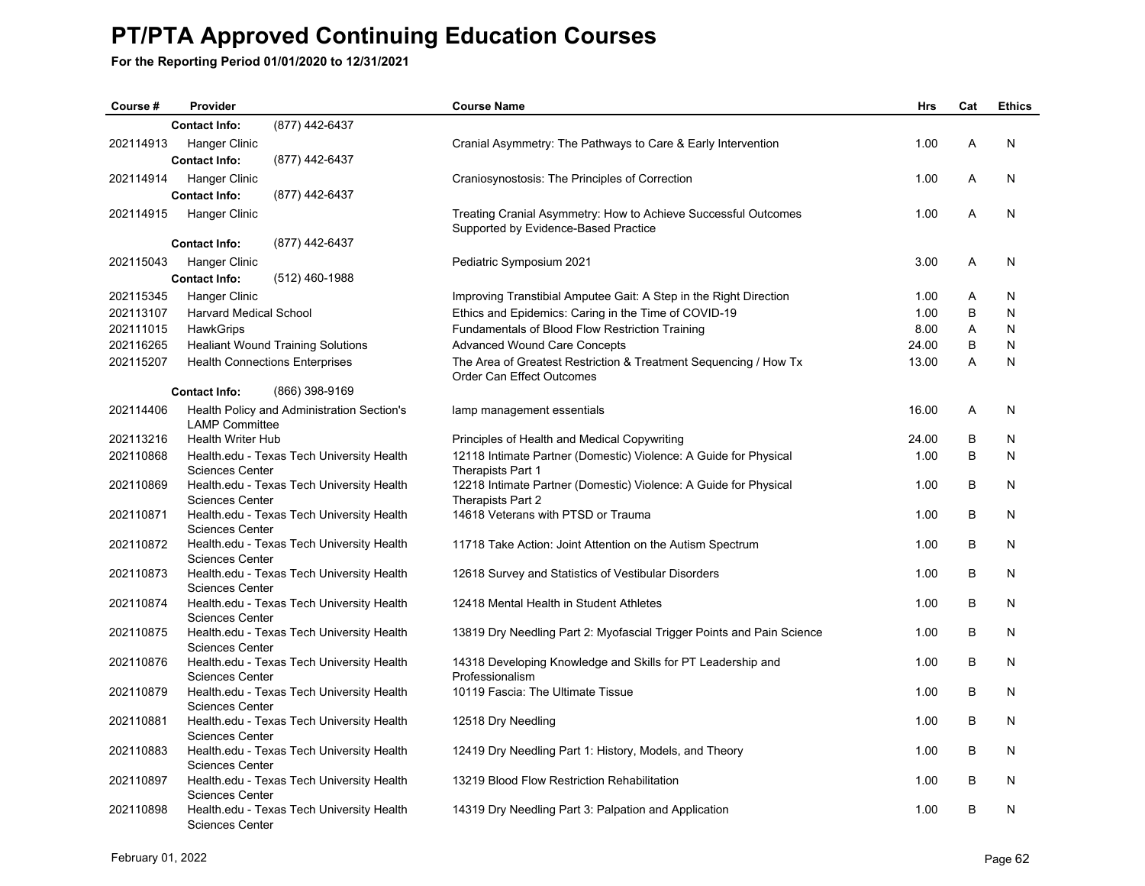| Course #  | Provider                      |                                            | <b>Course Name</b>                                                                                      | Hrs   | Cat | <b>Ethics</b> |
|-----------|-------------------------------|--------------------------------------------|---------------------------------------------------------------------------------------------------------|-------|-----|---------------|
|           | <b>Contact Info:</b>          | (877) 442-6437                             |                                                                                                         |       |     |               |
| 202114913 | Hanger Clinic                 |                                            | Cranial Asymmetry: The Pathways to Care & Early Intervention                                            | 1.00  | A   | N             |
|           | <b>Contact Info:</b>          | (877) 442-6437                             |                                                                                                         |       |     |               |
| 202114914 | Hanger Clinic                 |                                            | Craniosynostosis: The Principles of Correction                                                          | 1.00  | Α   | N             |
|           | <b>Contact Info:</b>          | (877) 442-6437                             |                                                                                                         |       |     |               |
| 202114915 | Hanger Clinic                 |                                            | Treating Cranial Asymmetry: How to Achieve Successful Outcomes                                          | 1.00  | A   | N             |
|           |                               |                                            | Supported by Evidence-Based Practice                                                                    |       |     |               |
|           | <b>Contact Info:</b>          | (877) 442-6437                             |                                                                                                         |       |     |               |
| 202115043 | <b>Hanger Clinic</b>          |                                            | Pediatric Symposium 2021                                                                                | 3.00  | Α   | N             |
|           | <b>Contact Info:</b>          | (512) 460-1988                             |                                                                                                         |       |     |               |
| 202115345 | Hanger Clinic                 |                                            | Improving Transtibial Amputee Gait: A Step in the Right Direction                                       | 1.00  | Α   | N             |
| 202113107 | <b>Harvard Medical School</b> |                                            | Ethics and Epidemics: Caring in the Time of COVID-19                                                    | 1.00  | B   | N             |
| 202111015 | HawkGrips                     |                                            | Fundamentals of Blood Flow Restriction Training                                                         | 8.00  | Α   | N             |
| 202116265 |                               |                                            |                                                                                                         | 24.00 | B   | N             |
| 202115207 |                               | <b>Healiant Wound Training Solutions</b>   | <b>Advanced Wound Care Concepts</b><br>The Area of Greatest Restriction & Treatment Sequencing / How Tx | 13.00 | A   | N             |
|           |                               | <b>Health Connections Enterprises</b>      | Order Can Effect Outcomes                                                                               |       |     |               |
|           | <b>Contact Info:</b>          | (866) 398-9169                             |                                                                                                         |       |     |               |
| 202114406 |                               | Health Policy and Administration Section's | lamp management essentials                                                                              | 16.00 | Α   | N             |
|           | <b>LAMP Committee</b>         |                                            |                                                                                                         |       |     |               |
| 202113216 | <b>Health Writer Hub</b>      |                                            | Principles of Health and Medical Copywriting                                                            | 24.00 | В   | N             |
| 202110868 |                               | Health.edu - Texas Tech University Health  | 12118 Intimate Partner (Domestic) Violence: A Guide for Physical                                        | 1.00  | В   | N             |
|           | <b>Sciences Center</b>        |                                            | Therapists Part 1                                                                                       |       |     |               |
| 202110869 |                               | Health.edu - Texas Tech University Health  | 12218 Intimate Partner (Domestic) Violence: A Guide for Physical                                        | 1.00  | В   | N             |
|           | <b>Sciences Center</b>        |                                            | Therapists Part 2                                                                                       |       |     |               |
| 202110871 |                               | Health.edu - Texas Tech University Health  | 14618 Veterans with PTSD or Trauma                                                                      | 1.00  | В   | N             |
|           | <b>Sciences Center</b>        |                                            |                                                                                                         |       |     |               |
| 202110872 |                               | Health.edu - Texas Tech University Health  | 11718 Take Action: Joint Attention on the Autism Spectrum                                               | 1.00  | B   | N             |
| 202110873 | <b>Sciences Center</b>        | Health.edu - Texas Tech University Health  | 12618 Survey and Statistics of Vestibular Disorders                                                     | 1.00  | B   | N             |
|           | <b>Sciences Center</b>        |                                            |                                                                                                         |       |     |               |
| 202110874 |                               | Health.edu - Texas Tech University Health  | 12418 Mental Health in Student Athletes                                                                 | 1.00  | В   | N             |
|           | <b>Sciences Center</b>        |                                            |                                                                                                         |       |     |               |
| 202110875 |                               | Health.edu - Texas Tech University Health  | 13819 Dry Needling Part 2: Myofascial Trigger Points and Pain Science                                   | 1.00  | B   | N             |
|           | <b>Sciences Center</b>        |                                            |                                                                                                         |       |     |               |
| 202110876 |                               | Health.edu - Texas Tech University Health  | 14318 Developing Knowledge and Skills for PT Leadership and                                             | 1.00  | B   | N             |
|           | <b>Sciences Center</b>        |                                            | Professionalism                                                                                         |       |     |               |
| 202110879 |                               | Health.edu - Texas Tech University Health  | 10119 Fascia: The Ultimate Tissue                                                                       | 1.00  | B   | N             |
| 202110881 | <b>Sciences Center</b>        | Health.edu - Texas Tech University Health  | 12518 Dry Needling                                                                                      | 1.00  | B   | N             |
|           | <b>Sciences Center</b>        |                                            |                                                                                                         |       |     |               |
| 202110883 |                               | Health.edu - Texas Tech University Health  | 12419 Dry Needling Part 1: History, Models, and Theory                                                  | 1.00  | B   | N             |
|           | <b>Sciences Center</b>        |                                            |                                                                                                         |       |     |               |
| 202110897 |                               | Health.edu - Texas Tech University Health  | 13219 Blood Flow Restriction Rehabilitation                                                             | 1.00  | B   | N             |
|           | <b>Sciences Center</b>        |                                            |                                                                                                         |       |     |               |
| 202110898 |                               | Health.edu - Texas Tech University Health  | 14319 Dry Needling Part 3: Palpation and Application                                                    | 1.00  | B   | N             |
|           | <b>Sciences Center</b>        |                                            |                                                                                                         |       |     |               |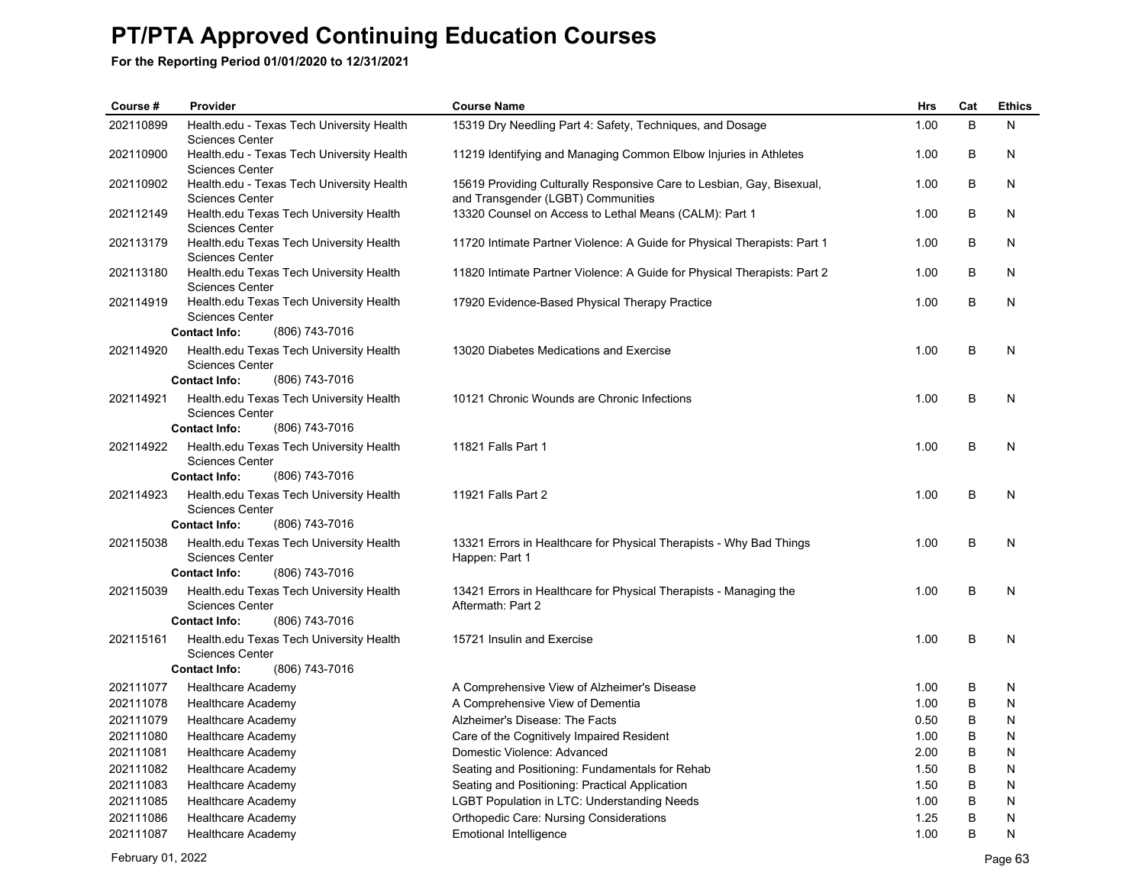| Course #               | Provider                                                            | <b>Course Name</b>                                                                                   | <b>Hrs</b>   | Cat    | <b>Ethics</b> |
|------------------------|---------------------------------------------------------------------|------------------------------------------------------------------------------------------------------|--------------|--------|---------------|
| 202110899              | Health.edu - Texas Tech University Health                           | 15319 Dry Needling Part 4: Safety, Techniques, and Dosage                                            | 1.00         | B      | N             |
| 202110900              | <b>Sciences Center</b>                                              |                                                                                                      | 1.00         | В      | N             |
|                        | Health.edu - Texas Tech University Health<br><b>Sciences Center</b> | 11219 Identifying and Managing Common Elbow Injuries in Athletes                                     |              |        |               |
| 202110902              | Health.edu - Texas Tech University Health                           | 15619 Providing Culturally Responsive Care to Lesbian, Gay, Bisexual,                                | 1.00         | B      | N             |
|                        | <b>Sciences Center</b>                                              | and Transgender (LGBT) Communities                                                                   |              |        |               |
| 202112149              | Health.edu Texas Tech University Health<br><b>Sciences Center</b>   | 13320 Counsel on Access to Lethal Means (CALM): Part 1                                               | 1.00         | B      | N             |
| 202113179              | Health.edu Texas Tech University Health                             | 11720 Intimate Partner Violence: A Guide for Physical Therapists: Part 1                             | 1.00         | B      | N             |
|                        | <b>Sciences Center</b>                                              |                                                                                                      |              |        |               |
| 202113180              | Health.edu Texas Tech University Health                             | 11820 Intimate Partner Violence: A Guide for Physical Therapists: Part 2                             | 1.00         | B      | N             |
| 202114919              | <b>Sciences Center</b><br>Health.edu Texas Tech University Health   | 17920 Evidence-Based Physical Therapy Practice                                                       | 1.00         | В      | N             |
|                        | <b>Sciences Center</b>                                              |                                                                                                      |              |        |               |
|                        | (806) 743-7016<br><b>Contact Info:</b>                              |                                                                                                      |              |        |               |
| 202114920              | Health.edu Texas Tech University Health                             | 13020 Diabetes Medications and Exercise                                                              | 1.00         | В      | N             |
|                        | <b>Sciences Center</b>                                              |                                                                                                      |              |        |               |
|                        | (806) 743-7016<br><b>Contact Info:</b>                              |                                                                                                      |              |        |               |
| 202114921              | Health.edu Texas Tech University Health<br><b>Sciences Center</b>   | 10121 Chronic Wounds are Chronic Infections                                                          | 1.00         | В      | N             |
|                        | <b>Contact Info:</b><br>(806) 743-7016                              |                                                                                                      |              |        |               |
| 202114922              | Health.edu Texas Tech University Health                             | 11821 Falls Part 1                                                                                   | 1.00         | B      | N             |
|                        | <b>Sciences Center</b>                                              |                                                                                                      |              |        |               |
|                        | (806) 743-7016<br><b>Contact Info:</b>                              |                                                                                                      |              |        |               |
| 202114923              | Health.edu Texas Tech University Health                             | 11921 Falls Part 2                                                                                   | 1.00         | B      | N             |
|                        | <b>Sciences Center</b><br><b>Contact Info:</b><br>(806) 743-7016    |                                                                                                      |              |        |               |
| 202115038              | Health.edu Texas Tech University Health                             | 13321 Errors in Healthcare for Physical Therapists - Why Bad Things                                  | 1.00         | B      | N             |
|                        | <b>Sciences Center</b>                                              | Happen: Part 1                                                                                       |              |        |               |
|                        | (806) 743-7016<br><b>Contact Info:</b>                              |                                                                                                      |              |        |               |
| 202115039              | Health.edu Texas Tech University Health                             | 13421 Errors in Healthcare for Physical Therapists - Managing the                                    | 1.00         | B      | N             |
|                        | <b>Sciences Center</b>                                              | Aftermath: Part 2                                                                                    |              |        |               |
|                        | (806) 743-7016<br><b>Contact Info:</b>                              |                                                                                                      |              |        |               |
| 202115161              | Health.edu Texas Tech University Health<br><b>Sciences Center</b>   | 15721 Insulin and Exercise                                                                           | 1.00         | B      | N             |
|                        | <b>Contact Info:</b><br>(806) 743-7016                              |                                                                                                      |              |        |               |
| 202111077              | <b>Healthcare Academy</b>                                           | A Comprehensive View of Alzheimer's Disease                                                          | 1.00         | B      | N             |
| 202111078              | <b>Healthcare Academy</b>                                           | A Comprehensive View of Dementia                                                                     | 1.00         | B      | N             |
| 202111079              | <b>Healthcare Academy</b>                                           | Alzheimer's Disease: The Facts                                                                       | 0.50         | B      | N             |
| 202111080              | <b>Healthcare Academy</b>                                           | Care of the Cognitively Impaired Resident                                                            | 1.00         | B      | N             |
| 202111081              | <b>Healthcare Academy</b>                                           | Domestic Violence: Advanced                                                                          | 2.00         | B      | N             |
| 202111082              | <b>Healthcare Academy</b>                                           | Seating and Positioning: Fundamentals for Rehab                                                      | 1.50         | B      | N             |
| 202111083<br>202111085 | <b>Healthcare Academy</b><br><b>Healthcare Academy</b>              | Seating and Positioning: Practical Application<br><b>LGBT Population in LTC: Understanding Needs</b> | 1.50<br>1.00 | B<br>B | N<br>N        |
| 202111086              | <b>Healthcare Academy</b>                                           | <b>Orthopedic Care: Nursing Considerations</b>                                                       | 1.25         | B      | N             |
| 202111087              | <b>Healthcare Academy</b>                                           | <b>Emotional Intelligence</b>                                                                        | 1.00         | B      | N             |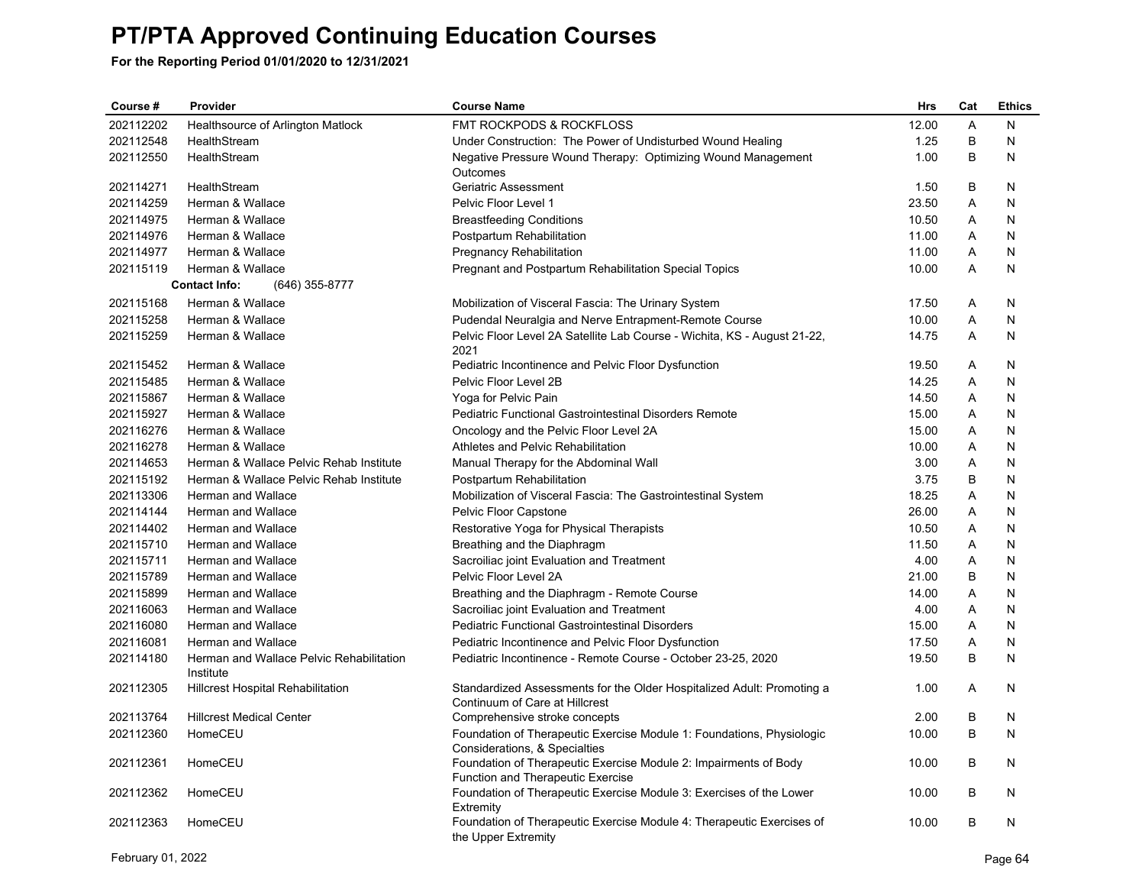| Course#   | Provider                                              | <b>Course Name</b>                                                                                       | <b>Hrs</b> | Cat            | <b>Ethics</b> |
|-----------|-------------------------------------------------------|----------------------------------------------------------------------------------------------------------|------------|----------------|---------------|
| 202112202 | Healthsource of Arlington Matlock                     | FMT ROCKPODS & ROCKFLOSS                                                                                 | 12.00      | A              | Ν             |
| 202112548 | HealthStream                                          | Under Construction: The Power of Undisturbed Wound Healing                                               | 1.25       | B              | N             |
| 202112550 | HealthStream                                          | Negative Pressure Wound Therapy: Optimizing Wound Management<br>Outcomes                                 | 1.00       | B              | N             |
| 202114271 | HealthStream                                          | Geriatric Assessment                                                                                     | 1.50       | B              | N             |
| 202114259 | Herman & Wallace                                      | Pelvic Floor Level 1                                                                                     | 23.50      | A              | N             |
| 202114975 | Herman & Wallace                                      | <b>Breastfeeding Conditions</b>                                                                          | 10.50      | Α              | N             |
| 202114976 | Herman & Wallace                                      | Postpartum Rehabilitation                                                                                | 11.00      | Α              | N             |
| 202114977 | Herman & Wallace                                      | Pregnancy Rehabilitation                                                                                 | 11.00      | A              | N             |
| 202115119 | Herman & Wallace                                      | Pregnant and Postpartum Rehabilitation Special Topics                                                    | 10.00      | A              | N             |
|           | <b>Contact Info:</b><br>(646) 355-8777                |                                                                                                          |            |                |               |
| 202115168 | Herman & Wallace                                      | Mobilization of Visceral Fascia: The Urinary System                                                      | 17.50      | A              | N             |
| 202115258 | Herman & Wallace                                      | Pudendal Neuralgia and Nerve Entrapment-Remote Course                                                    | 10.00      | Α              | N             |
| 202115259 | Herman & Wallace                                      | Pelvic Floor Level 2A Satellite Lab Course - Wichita, KS - August 21-22,<br>2021                         | 14.75      | $\overline{A}$ | N             |
| 202115452 | Herman & Wallace                                      | Pediatric Incontinence and Pelvic Floor Dysfunction                                                      | 19.50      | Α              | N             |
| 202115485 | Herman & Wallace                                      | Pelvic Floor Level 2B                                                                                    | 14.25      | Α              | N             |
| 202115867 | Herman & Wallace                                      | Yoga for Pelvic Pain                                                                                     | 14.50      | Α              | N             |
| 202115927 | Herman & Wallace                                      | <b>Pediatric Functional Gastrointestinal Disorders Remote</b>                                            | 15.00      | Α              | N             |
| 202116276 | Herman & Wallace                                      | Oncology and the Pelvic Floor Level 2A                                                                   | 15.00      | Α              | N             |
| 202116278 | Herman & Wallace                                      | Athletes and Pelvic Rehabilitation                                                                       | 10.00      | Α              | N             |
| 202114653 | Herman & Wallace Pelvic Rehab Institute               | Manual Therapy for the Abdominal Wall                                                                    | 3.00       | Α              | N             |
| 202115192 | Herman & Wallace Pelvic Rehab Institute               | Postpartum Rehabilitation                                                                                | 3.75       | B              | N             |
| 202113306 | Herman and Wallace                                    | Mobilization of Visceral Fascia: The Gastrointestinal System                                             | 18.25      | A              | N             |
| 202114144 | Herman and Wallace                                    | Pelvic Floor Capstone                                                                                    | 26.00      | A              | N             |
| 202114402 | Herman and Wallace                                    | Restorative Yoga for Physical Therapists                                                                 | 10.50      | A              | N             |
| 202115710 | <b>Herman and Wallace</b>                             | Breathing and the Diaphragm                                                                              | 11.50      | A              | N             |
| 202115711 | Herman and Wallace                                    | Sacroiliac joint Evaluation and Treatment                                                                | 4.00       | A              | N             |
| 202115789 | Herman and Wallace                                    | Pelvic Floor Level 2A                                                                                    | 21.00      | B              | N             |
| 202115899 | Herman and Wallace                                    | Breathing and the Diaphragm - Remote Course                                                              | 14.00      | A              | N             |
| 202116063 | Herman and Wallace                                    | Sacroiliac joint Evaluation and Treatment                                                                | 4.00       | A              | N             |
| 202116080 | Herman and Wallace                                    | <b>Pediatric Functional Gastrointestinal Disorders</b>                                                   | 15.00      | A              | N             |
| 202116081 | Herman and Wallace                                    | Pediatric Incontinence and Pelvic Floor Dysfunction                                                      | 17.50      | Α              | N             |
| 202114180 | Herman and Wallace Pelvic Rehabilitation<br>Institute | Pediatric Incontinence - Remote Course - October 23-25, 2020                                             | 19.50      | B              | N             |
| 202112305 | <b>Hillcrest Hospital Rehabilitation</b>              | Standardized Assessments for the Older Hospitalized Adult: Promoting a<br>Continuum of Care at Hillcrest | 1.00       | A              | N             |
| 202113764 | <b>Hillcrest Medical Center</b>                       | Comprehensive stroke concepts                                                                            | 2.00       | В              | N             |
| 202112360 | HomeCEU                                               | Foundation of Therapeutic Exercise Module 1: Foundations, Physiologic<br>Considerations, & Specialties   | 10.00      | B              | N             |
| 202112361 | HomeCEU                                               | Foundation of Therapeutic Exercise Module 2: Impairments of Body<br>Function and Therapeutic Exercise    | 10.00      | B              | N             |
| 202112362 | HomeCEU                                               | Foundation of Therapeutic Exercise Module 3: Exercises of the Lower<br>Extremity                         | 10.00      | B              | N             |
| 202112363 | HomeCEU                                               | Foundation of Therapeutic Exercise Module 4: Therapeutic Exercises of<br>the Upper Extremity             | 10.00      | B              | N             |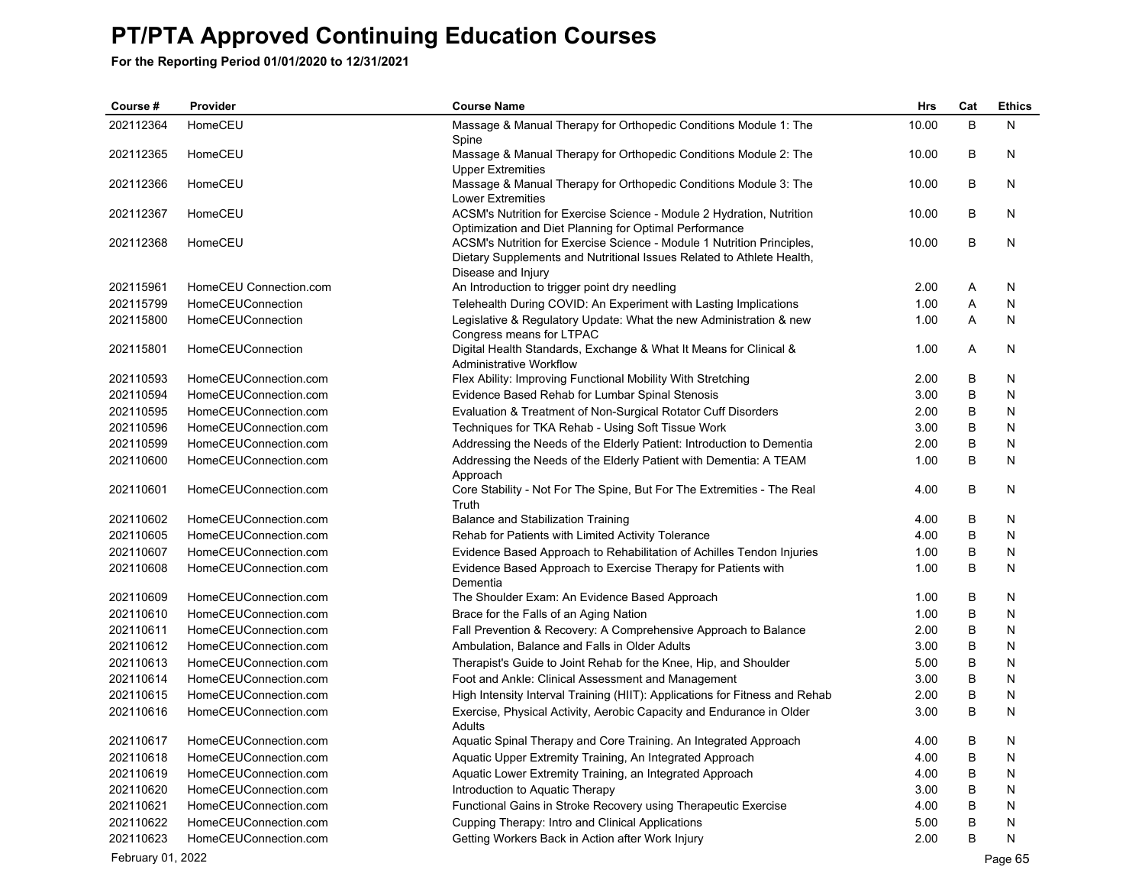**For the Reporting Period 01/01/2020 to 12/31/2021**

| Course#   | Provider               | <b>Course Name</b>                                                                                                                                                    | Hrs   | Cat     | <b>Ethics</b> |
|-----------|------------------------|-----------------------------------------------------------------------------------------------------------------------------------------------------------------------|-------|---------|---------------|
| 202112364 | HomeCEU                | Massage & Manual Therapy for Orthopedic Conditions Module 1: The<br>Spine                                                                                             | 10.00 | B       | N             |
| 202112365 | HomeCEU                | Massage & Manual Therapy for Orthopedic Conditions Module 2: The<br><b>Upper Extremities</b>                                                                          | 10.00 | В       | N             |
| 202112366 | HomeCEU                | Massage & Manual Therapy for Orthopedic Conditions Module 3: The<br><b>Lower Extremities</b>                                                                          | 10.00 | B       | N             |
| 202112367 | HomeCEU                | ACSM's Nutrition for Exercise Science - Module 2 Hydration, Nutrition<br>Optimization and Diet Planning for Optimal Performance                                       | 10.00 | B       | N             |
| 202112368 | HomeCEU                | ACSM's Nutrition for Exercise Science - Module 1 Nutrition Principles,<br>Dietary Supplements and Nutritional Issues Related to Athlete Health,<br>Disease and Injury | 10.00 | B       | N             |
| 202115961 | HomeCEU Connection.com | An Introduction to trigger point dry needling                                                                                                                         | 2.00  | Α       | N             |
| 202115799 | HomeCEUConnection      | Telehealth During COVID: An Experiment with Lasting Implications                                                                                                      | 1.00  | Α       | N             |
| 202115800 | HomeCEUConnection      | Legislative & Regulatory Update: What the new Administration & new<br>Congress means for LTPAC                                                                        | 1.00  | Α       | N             |
| 202115801 | HomeCEUConnection      | Digital Health Standards, Exchange & What It Means for Clinical &<br><b>Administrative Workflow</b>                                                                   | 1.00  | A       | N             |
| 202110593 | HomeCEUConnection.com  | Flex Ability: Improving Functional Mobility With Stretching                                                                                                           | 2.00  | В       | N             |
| 202110594 | HomeCEUConnection.com  | Evidence Based Rehab for Lumbar Spinal Stenosis                                                                                                                       | 3.00  | B       | N             |
| 202110595 | HomeCEUConnection.com  | Evaluation & Treatment of Non-Surgical Rotator Cuff Disorders                                                                                                         | 2.00  | B       | N             |
| 202110596 | HomeCEUConnection.com  | Techniques for TKA Rehab - Using Soft Tissue Work                                                                                                                     | 3.00  | B       | N             |
| 202110599 | HomeCEUConnection.com  | Addressing the Needs of the Elderly Patient: Introduction to Dementia                                                                                                 | 2.00  | B       | N             |
| 202110600 | HomeCEUConnection.com  | Addressing the Needs of the Elderly Patient with Dementia: A TEAM                                                                                                     | 1.00  | B       | N             |
|           |                        | Approach                                                                                                                                                              |       |         |               |
| 202110601 | HomeCEUConnection.com  | Core Stability - Not For The Spine, But For The Extremities - The Real<br>Truth                                                                                       | 4.00  | B       | N             |
| 202110602 | HomeCEUConnection.com  | Balance and Stabilization Training                                                                                                                                    | 4.00  | B       | N             |
| 202110605 | HomeCEUConnection.com  | Rehab for Patients with Limited Activity Tolerance                                                                                                                    | 4.00  | B       | N             |
| 202110607 | HomeCEUConnection.com  | Evidence Based Approach to Rehabilitation of Achilles Tendon Injuries                                                                                                 | 1.00  | B       | N             |
| 202110608 | HomeCEUConnection.com  | Evidence Based Approach to Exercise Therapy for Patients with<br>Dementia                                                                                             | 1.00  | B       | N             |
| 202110609 | HomeCEUConnection.com  | The Shoulder Exam: An Evidence Based Approach                                                                                                                         | 1.00  | В       | N             |
| 202110610 | HomeCEUConnection.com  | Brace for the Falls of an Aging Nation                                                                                                                                | 1.00  | B       | N             |
| 202110611 | HomeCEUConnection.com  | Fall Prevention & Recovery: A Comprehensive Approach to Balance                                                                                                       | 2.00  | В       | N             |
| 202110612 | HomeCEUConnection.com  | Ambulation, Balance and Falls in Older Adults                                                                                                                         | 3.00  | B       | N             |
| 202110613 | HomeCEUConnection.com  | Therapist's Guide to Joint Rehab for the Knee, Hip, and Shoulder                                                                                                      | 5.00  | B       | N             |
| 202110614 | HomeCEUConnection.com  | Foot and Ankle: Clinical Assessment and Management                                                                                                                    | 3.00  | B       | N             |
| 202110615 | HomeCEUConnection.com  | High Intensity Interval Training (HIIT): Applications for Fitness and Rehab                                                                                           | 2.00  | B       | N             |
| 202110616 | HomeCEUConnection.com  | Exercise, Physical Activity, Aerobic Capacity and Endurance in Older<br>Adults                                                                                        | 3.00  | B       | N             |
| 202110617 | HomeCEUConnection.com  | Aquatic Spinal Therapy and Core Training. An Integrated Approach                                                                                                      | 4.00  | B       | N             |
| 202110618 | HomeCEUConnection.com  | Aquatic Upper Extremity Training, An Integrated Approach                                                                                                              | 4.00  | B       | N             |
| 202110619 | HomeCEUConnection.com  | Aquatic Lower Extremity Training, an Integrated Approach                                                                                                              | 4.00  | B       | N             |
| 202110620 | HomeCEUConnection.com  |                                                                                                                                                                       | 3.00  | B       | N             |
|           |                        | Introduction to Aquatic Therapy                                                                                                                                       |       | $\sf B$ |               |
| 202110621 | HomeCEUConnection.com  | Functional Gains in Stroke Recovery using Therapeutic Exercise                                                                                                        | 4.00  | B       | N             |
| 202110622 | HomeCEUConnection.com  | Cupping Therapy: Intro and Clinical Applications                                                                                                                      | 5.00  |         | N             |
| 202110623 | HomeCEUConnection.com  | Getting Workers Back in Action after Work Injury                                                                                                                      | 2.00  | B       | N             |

February 01, 2022 Page 65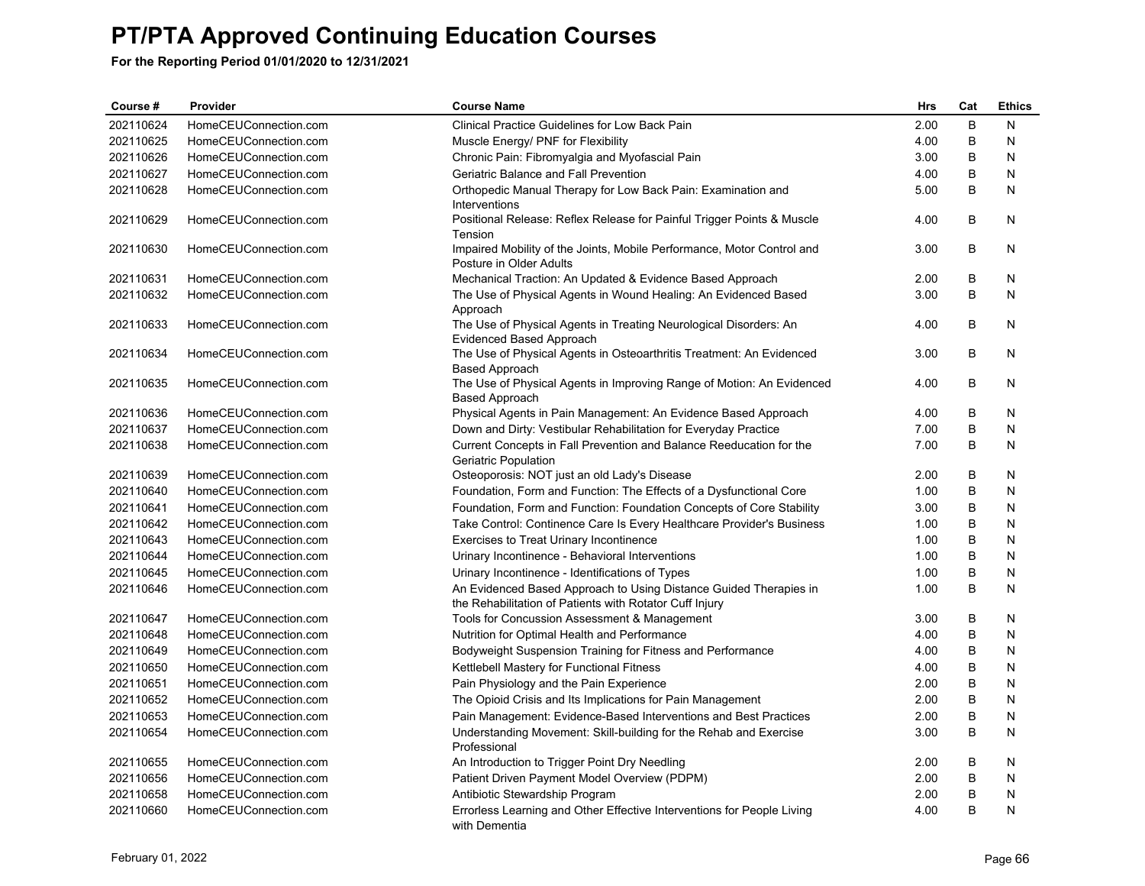| Course#   | Provider              | <b>Course Name</b>                                                                                                           | <b>Hrs</b> | Cat            | <b>Ethics</b> |
|-----------|-----------------------|------------------------------------------------------------------------------------------------------------------------------|------------|----------------|---------------|
| 202110624 | HomeCEUConnection.com | <b>Clinical Practice Guidelines for Low Back Pain</b>                                                                        | 2.00       | B              | N             |
| 202110625 | HomeCEUConnection.com | Muscle Energy/ PNF for Flexibility                                                                                           | 4.00       | $\sf B$        | N             |
| 202110626 | HomeCEUConnection.com | Chronic Pain: Fibromyalgia and Myofascial Pain                                                                               | 3.00       | B              | N             |
| 202110627 | HomeCEUConnection.com | Geriatric Balance and Fall Prevention                                                                                        | 4.00       | $\sf B$        | N             |
| 202110628 | HomeCEUConnection.com | Orthopedic Manual Therapy for Low Back Pain: Examination and                                                                 | 5.00       | $\sf B$        | N             |
|           |                       | Interventions                                                                                                                |            |                |               |
| 202110629 | HomeCEUConnection.com | Positional Release: Reflex Release for Painful Trigger Points & Muscle<br>Tension                                            | 4.00       | B              | N             |
| 202110630 | HomeCEUConnection.com | Impaired Mobility of the Joints, Mobile Performance, Motor Control and<br>Posture in Older Adults                            | 3.00       | B              | N             |
| 202110631 | HomeCEUConnection.com | Mechanical Traction: An Updated & Evidence Based Approach                                                                    | 2.00       | В              | N             |
| 202110632 | HomeCEUConnection.com | The Use of Physical Agents in Wound Healing: An Evidenced Based                                                              | 3.00       | B              | N             |
|           |                       | Approach                                                                                                                     |            |                |               |
| 202110633 | HomeCEUConnection.com | The Use of Physical Agents in Treating Neurological Disorders: An<br>Evidenced Based Approach                                | 4.00       | B              | N             |
| 202110634 | HomeCEUConnection.com | The Use of Physical Agents in Osteoarthritis Treatment: An Evidenced<br>Based Approach                                       | 3.00       | B              | N             |
| 202110635 | HomeCEUConnection.com | The Use of Physical Agents in Improving Range of Motion: An Evidenced<br>Based Approach                                      | 4.00       | B              | N             |
| 202110636 | HomeCEUConnection.com | Physical Agents in Pain Management: An Evidence Based Approach                                                               | 4.00       | В              | N             |
| 202110637 | HomeCEUConnection.com | Down and Dirty: Vestibular Rehabilitation for Everyday Practice                                                              | 7.00       | $\sf B$        | N             |
| 202110638 | HomeCEUConnection.com | Current Concepts in Fall Prevention and Balance Reeducation for the                                                          | 7.00       | B              | N             |
|           |                       | Geriatric Population                                                                                                         |            |                |               |
| 202110639 | HomeCEUConnection.com | Osteoporosis: NOT just an old Lady's Disease                                                                                 | 2.00       | B              | N             |
| 202110640 | HomeCEUConnection.com | Foundation, Form and Function: The Effects of a Dysfunctional Core                                                           | 1.00       | B              | N             |
| 202110641 | HomeCEUConnection.com | Foundation, Form and Function: Foundation Concepts of Core Stability                                                         | 3.00       | B              | N             |
| 202110642 | HomeCEUConnection.com | Take Control: Continence Care Is Every Healthcare Provider's Business                                                        | 1.00       | B              | N             |
| 202110643 | HomeCEUConnection.com | Exercises to Treat Urinary Incontinence                                                                                      | 1.00       | B              | N             |
| 202110644 | HomeCEUConnection.com | Urinary Incontinence - Behavioral Interventions                                                                              | 1.00       | $\sf B$        | N             |
| 202110645 | HomeCEUConnection.com | Urinary Incontinence - Identifications of Types                                                                              | 1.00       | B              | N             |
| 202110646 | HomeCEUConnection.com | An Evidenced Based Approach to Using Distance Guided Therapies in<br>the Rehabilitation of Patients with Rotator Cuff Injury | 1.00       | B              | N             |
| 202110647 | HomeCEUConnection.com | Tools for Concussion Assessment & Management                                                                                 | 3.00       | В              | N             |
| 202110648 | HomeCEUConnection.com | Nutrition for Optimal Health and Performance                                                                                 | 4.00       | $\sf B$        | N             |
| 202110649 | HomeCEUConnection.com | Bodyweight Suspension Training for Fitness and Performance                                                                   | 4.00       | $\sf B$        | N             |
| 202110650 | HomeCEUConnection.com | Kettlebell Mastery for Functional Fitness                                                                                    | 4.00       | B              | N             |
| 202110651 | HomeCEUConnection.com | Pain Physiology and the Pain Experience                                                                                      | 2.00       | $\sf B$        | N             |
| 202110652 | HomeCEUConnection.com | The Opioid Crisis and Its Implications for Pain Management                                                                   | 2.00       | B              | N             |
| 202110653 | HomeCEUConnection.com | Pain Management: Evidence-Based Interventions and Best Practices                                                             | 2.00       | B              | N             |
| 202110654 | HomeCEUConnection.com | Understanding Movement: Skill-building for the Rehab and Exercise<br>Professional                                            | 3.00       | B              | N             |
| 202110655 | HomeCEUConnection.com | An Introduction to Trigger Point Dry Needling                                                                                | 2.00       | B              | N             |
| 202110656 | HomeCEUConnection.com | Patient Driven Payment Model Overview (PDPM)                                                                                 | 2.00       | B              | N             |
| 202110658 | HomeCEUConnection.com | Antibiotic Stewardship Program                                                                                               | 2.00       | B              | N             |
| 202110660 | HomeCEUConnection.com | Errorless Learning and Other Effective Interventions for People Living<br>with Dementia                                      | 4.00       | $\overline{B}$ | N             |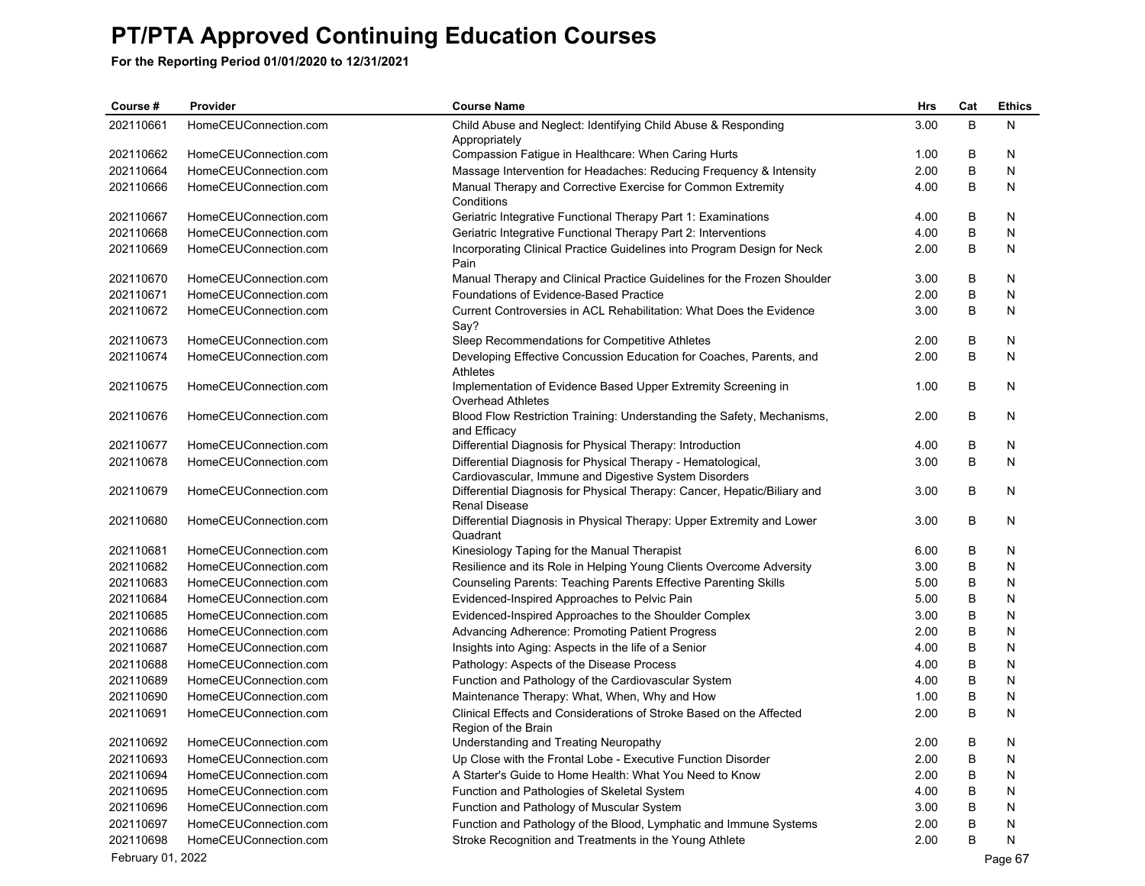| Course #          | Provider              | <b>Course Name</b>                                                                     | Hrs  | Cat | <b>Ethics</b> |
|-------------------|-----------------------|----------------------------------------------------------------------------------------|------|-----|---------------|
| 202110661         | HomeCEUConnection.com | Child Abuse and Neglect: Identifying Child Abuse & Responding                          | 3.00 | B   | N             |
|                   |                       | Appropriately                                                                          |      |     |               |
| 202110662         | HomeCEUConnection.com | Compassion Fatigue in Healthcare: When Caring Hurts                                    | 1.00 | B   | N             |
| 202110664         | HomeCEUConnection.com | Massage Intervention for Headaches: Reducing Frequency & Intensity                     | 2.00 | B   | N             |
| 202110666         | HomeCEUConnection.com | Manual Therapy and Corrective Exercise for Common Extremity                            | 4.00 | B   | N             |
|                   |                       | Conditions                                                                             |      |     |               |
| 202110667         | HomeCEUConnection.com | Geriatric Integrative Functional Therapy Part 1: Examinations                          | 4.00 | В   | N             |
| 202110668         | HomeCEUConnection.com | Geriatric Integrative Functional Therapy Part 2: Interventions                         | 4.00 | B   | N             |
| 202110669         | HomeCEUConnection.com | Incorporating Clinical Practice Guidelines into Program Design for Neck<br>Pain        | 2.00 | B   | N             |
| 202110670         | HomeCEUConnection.com | Manual Therapy and Clinical Practice Guidelines for the Frozen Shoulder                | 3.00 | B   | N             |
| 202110671         | HomeCEUConnection.com | Foundations of Evidence-Based Practice                                                 | 2.00 | B   | N             |
| 202110672         | HomeCEUConnection.com | Current Controversies in ACL Rehabilitation: What Does the Evidence                    | 3.00 | B   | N             |
|                   |                       | Say?                                                                                   |      |     |               |
| 202110673         | HomeCEUConnection.com | Sleep Recommendations for Competitive Athletes                                         | 2.00 | B   | N             |
| 202110674         | HomeCEUConnection.com | Developing Effective Concussion Education for Coaches, Parents, and                    | 2.00 | B   | N             |
|                   |                       | Athletes                                                                               |      |     |               |
| 202110675         | HomeCEUConnection.com | Implementation of Evidence Based Upper Extremity Screening in                          | 1.00 | В   | N             |
|                   |                       | Overhead Athletes                                                                      |      |     |               |
| 202110676         | HomeCEUConnection.com | Blood Flow Restriction Training: Understanding the Safety, Mechanisms,<br>and Efficacy | 2.00 | B   | N             |
| 202110677         | HomeCEUConnection.com | Differential Diagnosis for Physical Therapy: Introduction                              | 4.00 | B   | N             |
| 202110678         | HomeCEUConnection.com | Differential Diagnosis for Physical Therapy - Hematological,                           | 3.00 | B   | N             |
|                   |                       | Cardiovascular, Immune and Digestive System Disorders                                  |      |     |               |
| 202110679         | HomeCEUConnection.com | Differential Diagnosis for Physical Therapy: Cancer, Hepatic/Biliary and               | 3.00 | В   | N             |
|                   |                       | <b>Renal Disease</b>                                                                   |      |     |               |
| 202110680         | HomeCEUConnection.com | Differential Diagnosis in Physical Therapy: Upper Extremity and Lower                  | 3.00 | В   | N             |
|                   |                       | Quadrant                                                                               |      |     |               |
| 202110681         | HomeCEUConnection.com | Kinesiology Taping for the Manual Therapist                                            | 6.00 | B   | N             |
| 202110682         | HomeCEUConnection.com | Resilience and its Role in Helping Young Clients Overcome Adversity                    | 3.00 | B   | N             |
| 202110683         | HomeCEUConnection.com | <b>Counseling Parents: Teaching Parents Effective Parenting Skills</b>                 | 5.00 | B   | N             |
| 202110684         | HomeCEUConnection.com | Evidenced-Inspired Approaches to Pelvic Pain                                           | 5.00 | B   | N             |
| 202110685         | HomeCEUConnection.com | Evidenced-Inspired Approaches to the Shoulder Complex                                  | 3.00 | B   | N             |
| 202110686         | HomeCEUConnection.com | Advancing Adherence: Promoting Patient Progress                                        | 2.00 | В   | N             |
| 202110687         | HomeCEUConnection.com | Insights into Aging: Aspects in the life of a Senior                                   | 4.00 | B   | N             |
| 202110688         | HomeCEUConnection.com | Pathology: Aspects of the Disease Process                                              | 4.00 | В   | N             |
| 202110689         | HomeCEUConnection.com | Function and Pathology of the Cardiovascular System                                    | 4.00 | B   | N             |
| 202110690         | HomeCEUConnection.com | Maintenance Therapy: What, When, Why and How                                           | 1.00 | B   | N             |
| 202110691         | HomeCEUConnection.com | Clinical Effects and Considerations of Stroke Based on the Affected                    | 2.00 | B   | N             |
|                   |                       | Region of the Brain                                                                    |      |     |               |
| 202110692         | HomeCEUConnection.com | Understanding and Treating Neuropathy                                                  | 2.00 | В   | Ν             |
| 202110693         | HomeCEUConnection.com | Up Close with the Frontal Lobe - Executive Function Disorder                           | 2.00 | В   | N             |
| 202110694         | HomeCEUConnection.com | A Starter's Guide to Home Health: What You Need to Know                                | 2.00 | В   | N             |
| 202110695         | HomeCEUConnection.com | Function and Pathologies of Skeletal System                                            | 4.00 | В   | N             |
| 202110696         | HomeCEUConnection.com | Function and Pathology of Muscular System                                              | 3.00 | В   | N             |
| 202110697         | HomeCEUConnection.com | Function and Pathology of the Blood, Lymphatic and Immune Systems                      | 2.00 | В   | N             |
| 202110698         | HomeCEUConnection.com | Stroke Recognition and Treatments in the Young Athlete                                 | 2.00 | В   | N             |
| February 01, 2022 |                       |                                                                                        |      |     | Page 67       |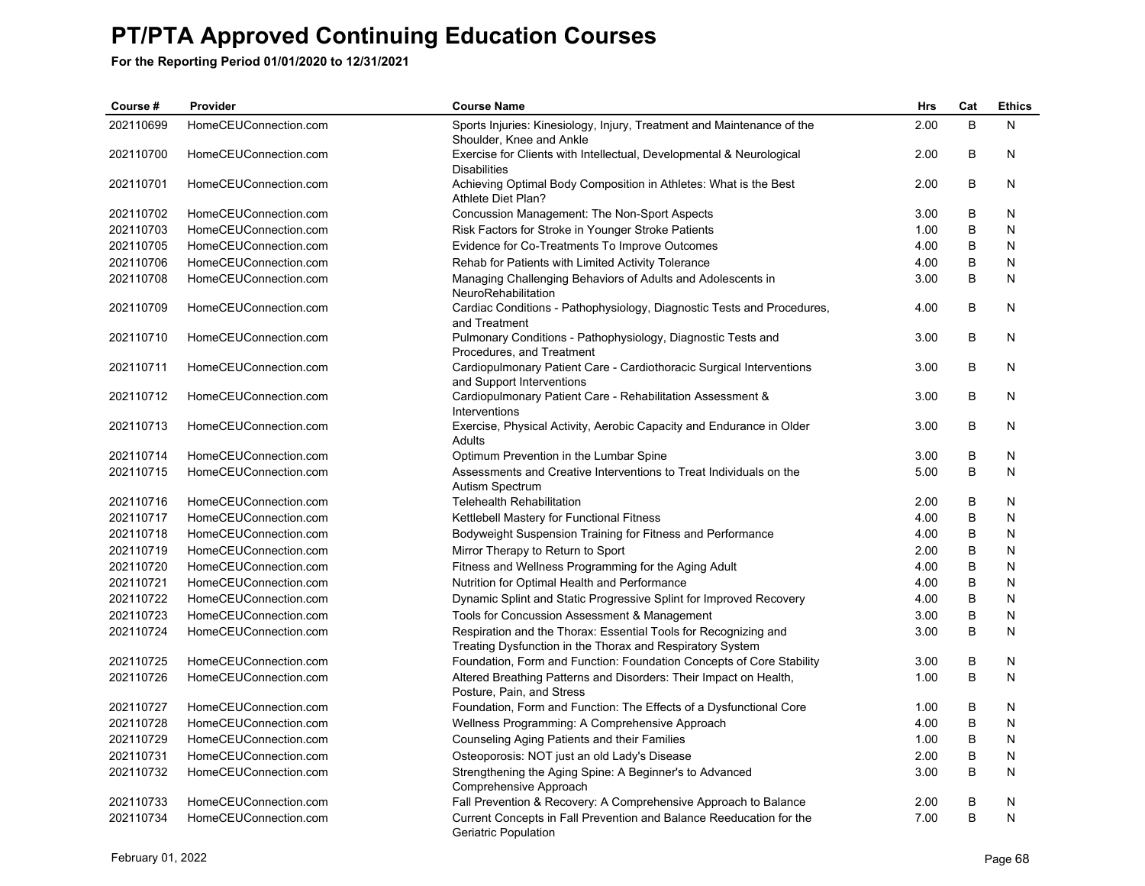| Course #  | Provider              | <b>Course Name</b>                                                                                                           | Hrs  | Cat     | <b>Ethics</b> |
|-----------|-----------------------|------------------------------------------------------------------------------------------------------------------------------|------|---------|---------------|
| 202110699 | HomeCEUConnection.com | Sports Injuries: Kinesiology, Injury, Treatment and Maintenance of the<br>Shoulder, Knee and Ankle                           | 2.00 | B       | N             |
| 202110700 | HomeCEUConnection.com | Exercise for Clients with Intellectual, Developmental & Neurological<br><b>Disabilities</b>                                  | 2.00 | B       | N             |
| 202110701 | HomeCEUConnection.com | Achieving Optimal Body Composition in Athletes: What is the Best<br>Athlete Diet Plan?                                       | 2.00 | B       | N             |
| 202110702 | HomeCEUConnection.com | Concussion Management: The Non-Sport Aspects                                                                                 | 3.00 | B       | N             |
| 202110703 | HomeCEUConnection.com | Risk Factors for Stroke in Younger Stroke Patients                                                                           | 1.00 | B       | N             |
| 202110705 | HomeCEUConnection.com | Evidence for Co-Treatments To Improve Outcomes                                                                               | 4.00 | $\sf B$ | $\mathsf{N}$  |
| 202110706 | HomeCEUConnection.com | Rehab for Patients with Limited Activity Tolerance                                                                           | 4.00 | B       | N             |
| 202110708 | HomeCEUConnection.com | Managing Challenging Behaviors of Adults and Adolescents in<br>NeuroRehabilitation                                           | 3.00 | B       | N             |
| 202110709 | HomeCEUConnection.com | Cardiac Conditions - Pathophysiology, Diagnostic Tests and Procedures,<br>and Treatment                                      | 4.00 | B       | N             |
| 202110710 | HomeCEUConnection.com | Pulmonary Conditions - Pathophysiology, Diagnostic Tests and<br>Procedures, and Treatment                                    | 3.00 | B       | N             |
| 202110711 | HomeCEUConnection.com | Cardiopulmonary Patient Care - Cardiothoracic Surgical Interventions<br>and Support Interventions                            | 3.00 | B       | N             |
| 202110712 | HomeCEUConnection.com | Cardiopulmonary Patient Care - Rehabilitation Assessment &<br>Interventions                                                  | 3.00 | B       | N             |
| 202110713 | HomeCEUConnection.com | Exercise, Physical Activity, Aerobic Capacity and Endurance in Older<br>Adults                                               | 3.00 | B       | N             |
| 202110714 | HomeCEUConnection.com | Optimum Prevention in the Lumbar Spine                                                                                       | 3.00 | B       | N             |
| 202110715 | HomeCEUConnection.com | Assessments and Creative Interventions to Treat Individuals on the<br>Autism Spectrum                                        | 5.00 | B       | N             |
| 202110716 | HomeCEUConnection.com | <b>Telehealth Rehabilitation</b>                                                                                             | 2.00 | B       | N             |
| 202110717 | HomeCEUConnection.com | Kettlebell Mastery for Functional Fitness                                                                                    | 4.00 | $\sf B$ | N             |
| 202110718 | HomeCEUConnection.com | Bodyweight Suspension Training for Fitness and Performance                                                                   | 4.00 | B       | N             |
| 202110719 | HomeCEUConnection.com | Mirror Therapy to Return to Sport                                                                                            | 2.00 | B       | N             |
| 202110720 | HomeCEUConnection.com | Fitness and Wellness Programming for the Aging Adult                                                                         | 4.00 | $\sf B$ | N             |
| 202110721 | HomeCEUConnection.com | Nutrition for Optimal Health and Performance                                                                                 | 4.00 | B       | N             |
| 202110722 | HomeCEUConnection.com | Dynamic Splint and Static Progressive Splint for Improved Recovery                                                           | 4.00 | B       | N             |
| 202110723 | HomeCEUConnection.com | Tools for Concussion Assessment & Management                                                                                 | 3.00 | $\sf B$ | N             |
| 202110724 | HomeCEUConnection.com | Respiration and the Thorax: Essential Tools for Recognizing and<br>Treating Dysfunction in the Thorax and Respiratory System | 3.00 | B       | N             |
| 202110725 | HomeCEUConnection.com | Foundation, Form and Function: Foundation Concepts of Core Stability                                                         | 3.00 | B       | N             |
| 202110726 | HomeCEUConnection.com | Altered Breathing Patterns and Disorders: Their Impact on Health,<br>Posture, Pain, and Stress                               | 1.00 | B       | N             |
| 202110727 | HomeCEUConnection.com | Foundation, Form and Function: The Effects of a Dysfunctional Core                                                           | 1.00 | B       | N             |
| 202110728 | HomeCEUConnection.com | Wellness Programming: A Comprehensive Approach                                                                               | 4.00 | B       | N             |
| 202110729 | HomeCEUConnection.com | Counseling Aging Patients and their Families                                                                                 | 1.00 | B       | N             |
| 202110731 | HomeCEUConnection.com | Osteoporosis: NOT just an old Lady's Disease                                                                                 | 2.00 | $\sf B$ | N             |
| 202110732 | HomeCEUConnection.com | Strengthening the Aging Spine: A Beginner's to Advanced<br>Comprehensive Approach                                            | 3.00 | B       | N             |
| 202110733 | HomeCEUConnection.com | Fall Prevention & Recovery: A Comprehensive Approach to Balance                                                              | 2.00 | B       | N             |
| 202110734 | HomeCEUConnection.com | Current Concepts in Fall Prevention and Balance Reeducation for the<br><b>Geriatric Population</b>                           | 7.00 | B       | ${\sf N}$     |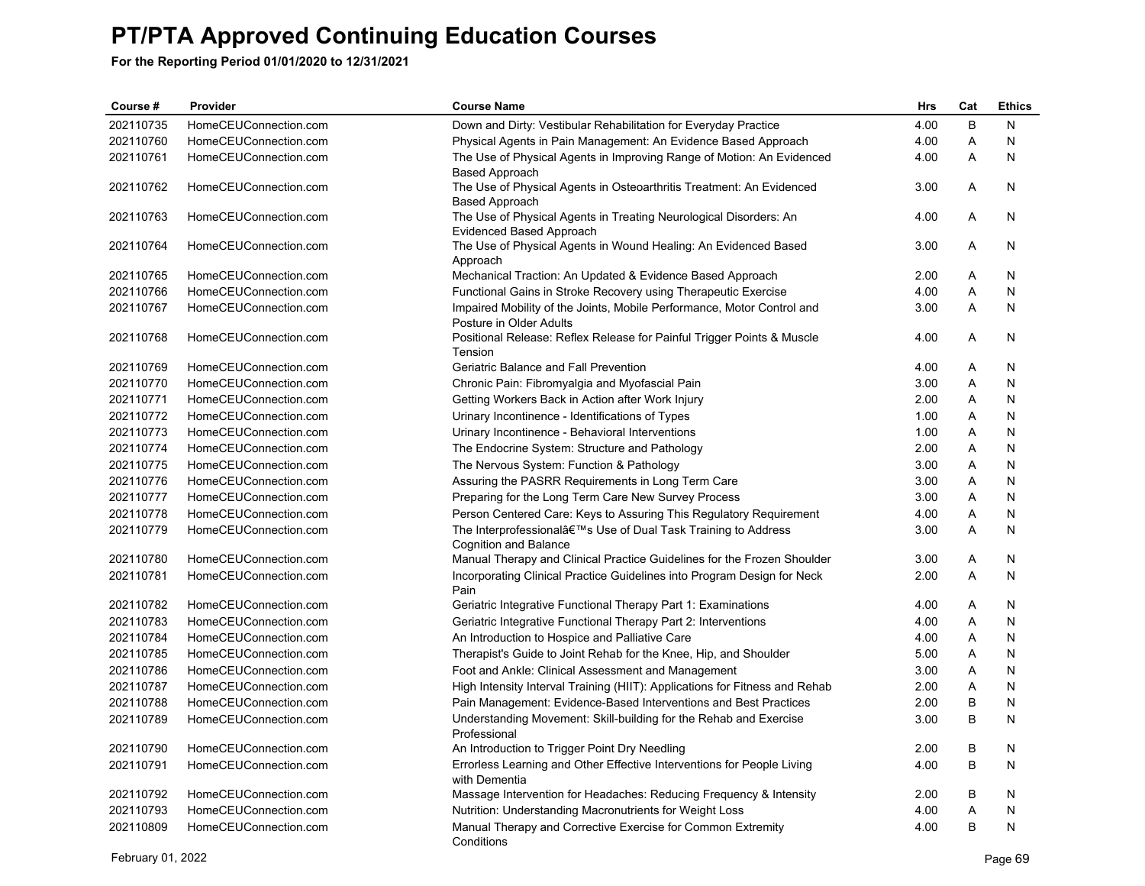| Course #  | Provider              | <b>Course Name</b>                                                                                      | Hrs  | Cat | <b>Ethics</b> |
|-----------|-----------------------|---------------------------------------------------------------------------------------------------------|------|-----|---------------|
| 202110735 | HomeCEUConnection.com | Down and Dirty: Vestibular Rehabilitation for Everyday Practice                                         | 4.00 | B   | N             |
| 202110760 | HomeCEUConnection.com | Physical Agents in Pain Management: An Evidence Based Approach                                          | 4.00 | Α   | N             |
| 202110761 | HomeCEUConnection.com | The Use of Physical Agents in Improving Range of Motion: An Evidenced                                   | 4.00 | A   | N             |
|           |                       | <b>Based Approach</b>                                                                                   |      |     |               |
| 202110762 | HomeCEUConnection.com | The Use of Physical Agents in Osteoarthritis Treatment: An Evidenced                                    | 3.00 | A   | N             |
|           |                       | <b>Based Approach</b>                                                                                   |      |     |               |
| 202110763 | HomeCEUConnection.com | The Use of Physical Agents in Treating Neurological Disorders: An<br>Evidenced Based Approach           | 4.00 | A   | N             |
| 202110764 | HomeCEUConnection.com | The Use of Physical Agents in Wound Healing: An Evidenced Based                                         | 3.00 | A   | N             |
|           |                       | Approach                                                                                                |      |     |               |
| 202110765 | HomeCEUConnection.com | Mechanical Traction: An Updated & Evidence Based Approach                                               | 2.00 | Α   | N             |
| 202110766 | HomeCEUConnection.com | Functional Gains in Stroke Recovery using Therapeutic Exercise                                          | 4.00 | A   | N             |
| 202110767 | HomeCEUConnection.com | Impaired Mobility of the Joints, Mobile Performance, Motor Control and                                  | 3.00 | A   | N             |
|           |                       | Posture in Older Adults                                                                                 |      |     |               |
| 202110768 | HomeCEUConnection.com | Positional Release: Reflex Release for Painful Trigger Points & Muscle                                  | 4.00 | Α   | N             |
|           |                       | Tension                                                                                                 |      |     |               |
| 202110769 | HomeCEUConnection.com | Geriatric Balance and Fall Prevention                                                                   | 4.00 | Α   | N             |
| 202110770 | HomeCEUConnection.com | Chronic Pain: Fibromyalgia and Myofascial Pain                                                          | 3.00 | Α   | N             |
| 202110771 | HomeCEUConnection.com | Getting Workers Back in Action after Work Injury                                                        | 2.00 | A   | N             |
| 202110772 | HomeCEUConnection.com | Urinary Incontinence - Identifications of Types                                                         | 1.00 | Α   | N             |
| 202110773 | HomeCEUConnection.com | Urinary Incontinence - Behavioral Interventions                                                         | 1.00 | Α   | N             |
| 202110774 | HomeCEUConnection.com | The Endocrine System: Structure and Pathology                                                           | 2.00 | Α   | N             |
| 202110775 | HomeCEUConnection.com | The Nervous System: Function & Pathology                                                                | 3.00 | Α   | N             |
| 202110776 | HomeCEUConnection.com | Assuring the PASRR Requirements in Long Term Care                                                       | 3.00 | Α   | N             |
| 202110777 | HomeCEUConnection.com | Preparing for the Long Term Care New Survey Process                                                     | 3.00 | A   | N             |
| 202110778 | HomeCEUConnection.com | Person Centered Care: Keys to Assuring This Regulatory Requirement                                      | 4.00 | Α   | N             |
| 202110779 | HomeCEUConnection.com | The Interprofessional's Use of Dual Task Training to Address                                            | 3.00 | A   | N             |
| 202110780 | HomeCEUConnection.com | <b>Cognition and Balance</b><br>Manual Therapy and Clinical Practice Guidelines for the Frozen Shoulder | 3.00 | Α   | N             |
| 202110781 | HomeCEUConnection.com | Incorporating Clinical Practice Guidelines into Program Design for Neck                                 | 2.00 | A   | N             |
|           |                       | Pain                                                                                                    |      |     |               |
| 202110782 | HomeCEUConnection.com | Geriatric Integrative Functional Therapy Part 1: Examinations                                           | 4.00 | Α   | N             |
| 202110783 | HomeCEUConnection.com | Geriatric Integrative Functional Therapy Part 2: Interventions                                          | 4.00 | A   | N             |
| 202110784 | HomeCEUConnection.com | An Introduction to Hospice and Palliative Care                                                          | 4.00 | A   | N             |
| 202110785 | HomeCEUConnection.com | Therapist's Guide to Joint Rehab for the Knee, Hip, and Shoulder                                        | 5.00 | A   | N             |
| 202110786 | HomeCEUConnection.com | Foot and Ankle: Clinical Assessment and Management                                                      | 3.00 | A   | N             |
| 202110787 | HomeCEUConnection.com | High Intensity Interval Training (HIIT): Applications for Fitness and Rehab                             | 2.00 | A   | N             |
| 202110788 | HomeCEUConnection.com | Pain Management: Evidence-Based Interventions and Best Practices                                        | 2.00 | B   | N             |
| 202110789 | HomeCEUConnection.com | Understanding Movement: Skill-building for the Rehab and Exercise                                       | 3.00 | B   | N             |
|           |                       | Professional                                                                                            |      |     |               |
| 202110790 | HomeCEUConnection.com | An Introduction to Trigger Point Dry Needling                                                           | 2.00 | B   | N             |
| 202110791 | HomeCEUConnection.com | Errorless Learning and Other Effective Interventions for People Living<br>with Dementia                 | 4.00 | B   | N             |
| 202110792 | HomeCEUConnection.com | Massage Intervention for Headaches: Reducing Frequency & Intensity                                      | 2.00 | B   | N             |
| 202110793 | HomeCEUConnection.com | Nutrition: Understanding Macronutrients for Weight Loss                                                 | 4.00 | Α   | N             |
| 202110809 | HomeCEUConnection.com | Manual Therapy and Corrective Exercise for Common Extremity<br>Conditions                               | 4.00 | B   | N             |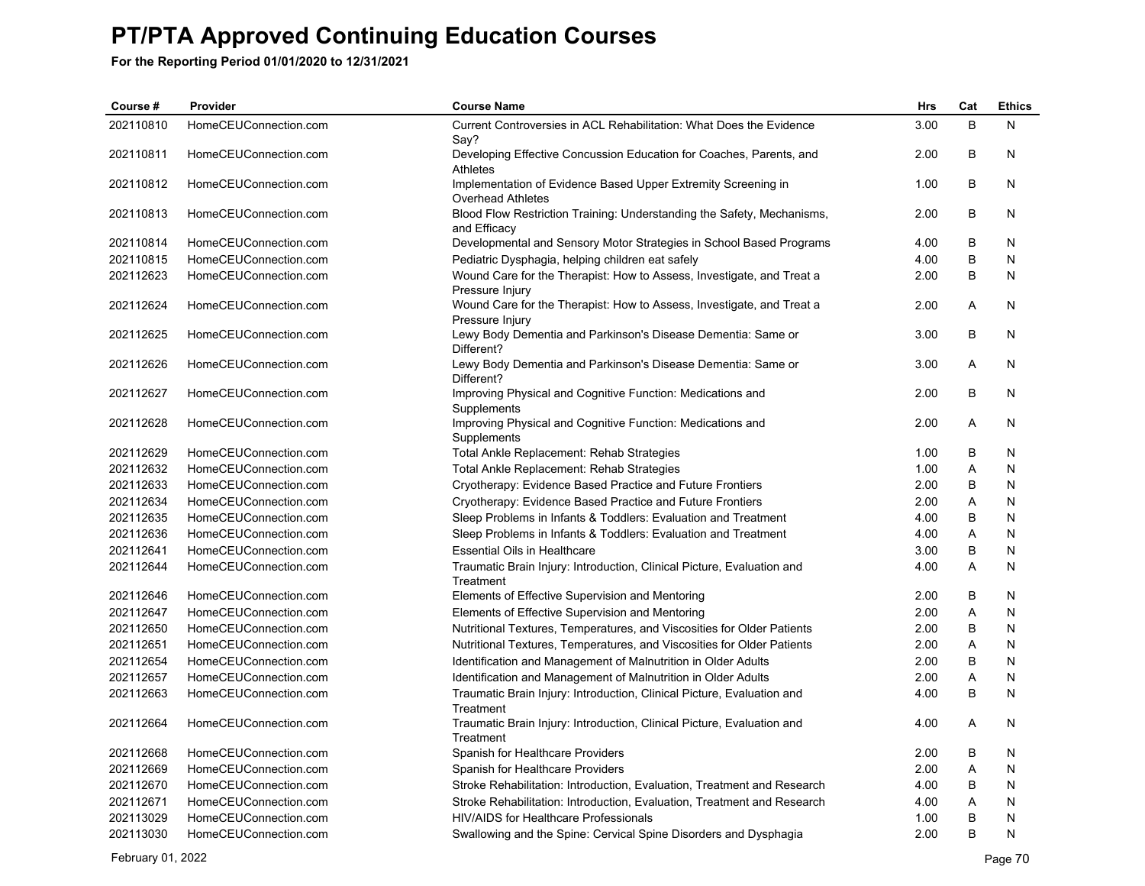| Course #  | Provider              | <b>Course Name</b>                                                                        | Hrs  | Cat     | <b>Ethics</b> |
|-----------|-----------------------|-------------------------------------------------------------------------------------------|------|---------|---------------|
| 202110810 | HomeCEUConnection.com | Current Controversies in ACL Rehabilitation: What Does the Evidence<br>Say?               | 3.00 | B       | N.            |
| 202110811 | HomeCEUConnection.com | Developing Effective Concussion Education for Coaches, Parents, and<br>Athletes           | 2.00 | B       | N             |
| 202110812 | HomeCEUConnection.com | Implementation of Evidence Based Upper Extremity Screening in<br><b>Overhead Athletes</b> | 1.00 | B       | N             |
| 202110813 | HomeCEUConnection.com | Blood Flow Restriction Training: Understanding the Safety, Mechanisms,<br>and Efficacy    | 2.00 | B       | N             |
| 202110814 | HomeCEUConnection.com | Developmental and Sensory Motor Strategies in School Based Programs                       | 4.00 | B       | N             |
| 202110815 | HomeCEUConnection.com | Pediatric Dysphagia, helping children eat safely                                          | 4.00 | B       | $\mathsf{N}$  |
| 202112623 | HomeCEUConnection.com | Wound Care for the Therapist: How to Assess, Investigate, and Treat a<br>Pressure Injury  | 2.00 | B       | N             |
| 202112624 | HomeCEUConnection.com | Wound Care for the Therapist: How to Assess, Investigate, and Treat a<br>Pressure Injury  | 2.00 | A       | N             |
| 202112625 | HomeCEUConnection.com | Lewy Body Dementia and Parkinson's Disease Dementia: Same or<br>Different?                | 3.00 | B       | N             |
| 202112626 | HomeCEUConnection.com | Lewy Body Dementia and Parkinson's Disease Dementia: Same or<br>Different?                | 3.00 | A       | N             |
| 202112627 | HomeCEUConnection.com | Improving Physical and Cognitive Function: Medications and<br>Supplements                 | 2.00 | $\sf B$ | N             |
| 202112628 | HomeCEUConnection.com | Improving Physical and Cognitive Function: Medications and<br>Supplements                 | 2.00 | Α       | N             |
| 202112629 | HomeCEUConnection.com | Total Ankle Replacement: Rehab Strategies                                                 | 1.00 | B       | N.            |
| 202112632 | HomeCEUConnection.com | Total Ankle Replacement: Rehab Strategies                                                 | 1.00 | A       | $\mathsf{N}$  |
| 202112633 | HomeCEUConnection.com | Cryotherapy: Evidence Based Practice and Future Frontiers                                 | 2.00 | $\sf B$ | $\mathsf{N}$  |
| 202112634 | HomeCEUConnection.com | Cryotherapy: Evidence Based Practice and Future Frontiers                                 | 2.00 | A       | N             |
| 202112635 | HomeCEUConnection.com | Sleep Problems in Infants & Toddlers: Evaluation and Treatment                            | 4.00 | B       | $\mathsf{N}$  |
| 202112636 | HomeCEUConnection.com | Sleep Problems in Infants & Toddlers: Evaluation and Treatment                            | 4.00 | A       | N             |
| 202112641 | HomeCEUConnection.com | <b>Essential Oils in Healthcare</b>                                                       | 3.00 | B       | N             |
| 202112644 | HomeCEUConnection.com | Traumatic Brain Injury: Introduction, Clinical Picture, Evaluation and<br>Treatment       | 4.00 | A       | N             |
| 202112646 | HomeCEUConnection.com | Elements of Effective Supervision and Mentoring                                           | 2.00 | B       | N             |
| 202112647 | HomeCEUConnection.com | Elements of Effective Supervision and Mentoring                                           | 2.00 | A       | N             |
| 202112650 | HomeCEUConnection.com | Nutritional Textures, Temperatures, and Viscosities for Older Patients                    | 2.00 | B       | N             |
| 202112651 | HomeCEUConnection.com | Nutritional Textures, Temperatures, and Viscosities for Older Patients                    | 2.00 | A       | N             |
| 202112654 | HomeCEUConnection.com | Identification and Management of Malnutrition in Older Adults                             | 2.00 | B       | N             |
| 202112657 | HomeCEUConnection.com | Identification and Management of Malnutrition in Older Adults                             | 2.00 | A       | N             |
| 202112663 | HomeCEUConnection.com | Traumatic Brain Injury: Introduction, Clinical Picture, Evaluation and<br>Treatment       | 4.00 | B       | N             |
| 202112664 | HomeCEUConnection.com | Traumatic Brain Injury: Introduction, Clinical Picture, Evaluation and<br>Treatment       | 4.00 | A       | N             |
| 202112668 | HomeCEUConnection.com | Spanish for Healthcare Providers                                                          | 2.00 | B       | N             |
| 202112669 | HomeCEUConnection.com | Spanish for Healthcare Providers                                                          | 2.00 | Α       | $\mathsf{N}$  |
| 202112670 | HomeCEUConnection.com | Stroke Rehabilitation: Introduction, Evaluation, Treatment and Research                   | 4.00 | B       | N             |
| 202112671 | HomeCEUConnection.com | Stroke Rehabilitation: Introduction, Evaluation, Treatment and Research                   | 4.00 | Α       | N             |
| 202113029 | HomeCEUConnection.com | <b>HIV/AIDS for Healthcare Professionals</b>                                              | 1.00 | B       | N             |
| 202113030 | HomeCEUConnection.com | Swallowing and the Spine: Cervical Spine Disorders and Dysphagia                          | 2.00 | B       | ${\sf N}$     |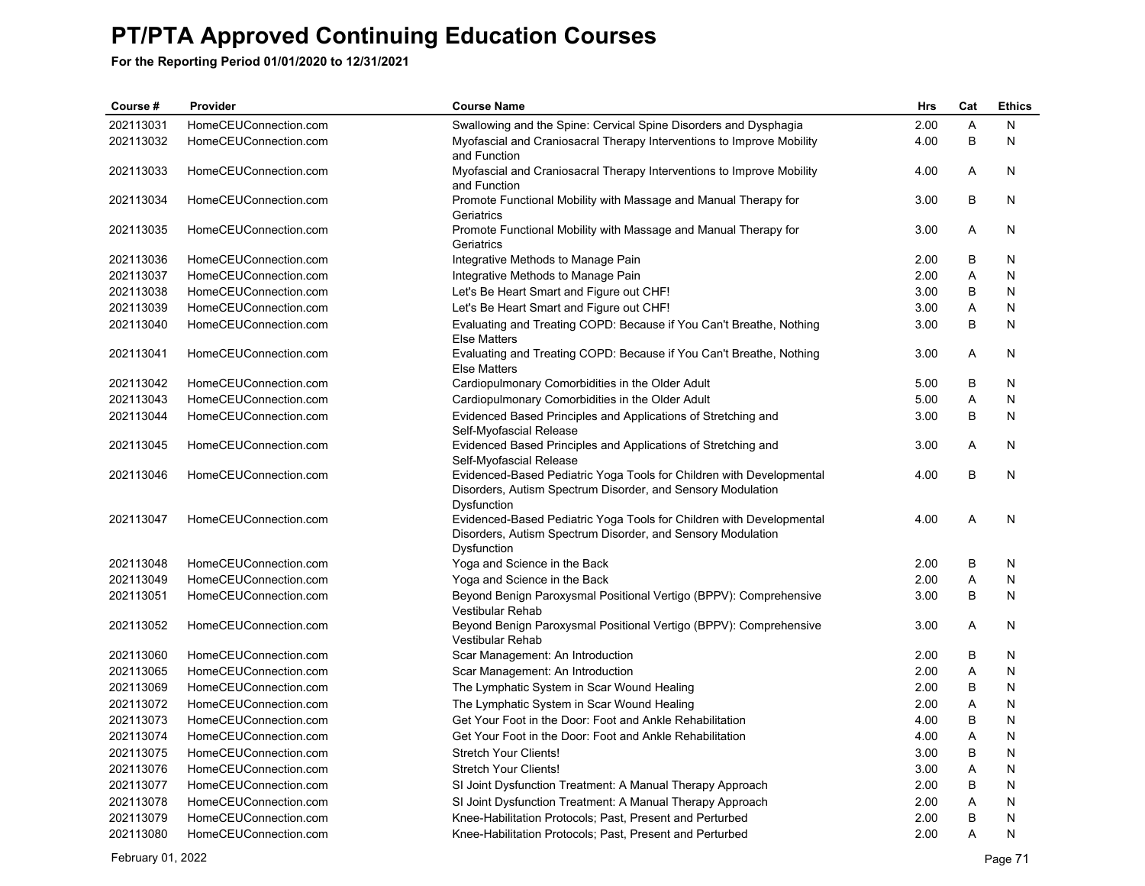| Course #  | Provider              | <b>Course Name</b>                                                                                                                                 | Hrs  | Cat | <b>Ethics</b> |
|-----------|-----------------------|----------------------------------------------------------------------------------------------------------------------------------------------------|------|-----|---------------|
| 202113031 | HomeCEUConnection.com | Swallowing and the Spine: Cervical Spine Disorders and Dysphagia                                                                                   | 2.00 | A   | N             |
| 202113032 | HomeCEUConnection.com | Myofascial and Craniosacral Therapy Interventions to Improve Mobility<br>and Function                                                              | 4.00 | B   | N             |
| 202113033 | HomeCEUConnection.com | Myofascial and Craniosacral Therapy Interventions to Improve Mobility<br>and Function                                                              | 4.00 | Α   | N             |
| 202113034 | HomeCEUConnection.com | Promote Functional Mobility with Massage and Manual Therapy for<br>Geriatrics                                                                      | 3.00 | B   | N             |
| 202113035 | HomeCEUConnection.com | Promote Functional Mobility with Massage and Manual Therapy for<br>Geriatrics                                                                      | 3.00 | Α   | N             |
| 202113036 | HomeCEUConnection.com | Integrative Methods to Manage Pain                                                                                                                 | 2.00 | B   | N             |
| 202113037 | HomeCEUConnection.com | Integrative Methods to Manage Pain                                                                                                                 | 2.00 | A   | N             |
| 202113038 | HomeCEUConnection.com | Let's Be Heart Smart and Figure out CHF!                                                                                                           | 3.00 | B   | N             |
| 202113039 | HomeCEUConnection.com | Let's Be Heart Smart and Figure out CHF!                                                                                                           | 3.00 | Α   | N             |
| 202113040 | HomeCEUConnection.com | Evaluating and Treating COPD: Because if You Can't Breathe, Nothing<br><b>Else Matters</b>                                                         | 3.00 | B   | N             |
| 202113041 | HomeCEUConnection.com | Evaluating and Treating COPD: Because if You Can't Breathe, Nothing<br><b>Else Matters</b>                                                         | 3.00 | A   | N             |
| 202113042 | HomeCEUConnection.com | Cardiopulmonary Comorbidities in the Older Adult                                                                                                   | 5.00 | B   | N             |
| 202113043 | HomeCEUConnection.com | Cardiopulmonary Comorbidities in the Older Adult                                                                                                   | 5.00 | A   | N             |
| 202113044 | HomeCEUConnection.com | Evidenced Based Principles and Applications of Stretching and<br>Self-Myofascial Release                                                           | 3.00 | B   | N             |
| 202113045 | HomeCEUConnection.com | Evidenced Based Principles and Applications of Stretching and<br>Self-Myofascial Release                                                           | 3.00 | Α   | N             |
| 202113046 | HomeCEUConnection.com | Evidenced-Based Pediatric Yoga Tools for Children with Developmental<br>Disorders, Autism Spectrum Disorder, and Sensory Modulation<br>Dysfunction | 4.00 | B   | N             |
| 202113047 | HomeCEUConnection.com | Evidenced-Based Pediatric Yoga Tools for Children with Developmental<br>Disorders, Autism Spectrum Disorder, and Sensory Modulation<br>Dysfunction | 4.00 | Α   | N             |
| 202113048 | HomeCEUConnection.com | Yoga and Science in the Back                                                                                                                       | 2.00 | B   | N             |
| 202113049 | HomeCEUConnection.com | Yoga and Science in the Back                                                                                                                       | 2.00 | Α   | N             |
| 202113051 | HomeCEUConnection.com | Beyond Benign Paroxysmal Positional Vertigo (BPPV): Comprehensive<br>Vestibular Rehab                                                              | 3.00 | B   | N             |
| 202113052 | HomeCEUConnection.com | Beyond Benign Paroxysmal Positional Vertigo (BPPV): Comprehensive<br><b>Vestibular Rehab</b>                                                       | 3.00 | A   | N             |
| 202113060 | HomeCEUConnection.com | Scar Management: An Introduction                                                                                                                   | 2.00 | B   | N             |
| 202113065 | HomeCEUConnection.com | Scar Management: An Introduction                                                                                                                   | 2.00 | A   | N             |
| 202113069 | HomeCEUConnection.com | The Lymphatic System in Scar Wound Healing                                                                                                         | 2.00 | B   | N             |
| 202113072 | HomeCEUConnection.com | The Lymphatic System in Scar Wound Healing                                                                                                         | 2.00 | A   | N             |
| 202113073 | HomeCEUConnection.com | Get Your Foot in the Door: Foot and Ankle Rehabilitation                                                                                           | 4.00 | B   | N             |
| 202113074 | HomeCEUConnection.com | Get Your Foot in the Door: Foot and Ankle Rehabilitation                                                                                           | 4.00 | A   | N             |
| 202113075 | HomeCEUConnection.com | <b>Stretch Your Clients!</b>                                                                                                                       | 3.00 | B   | N             |
| 202113076 | HomeCEUConnection.com | <b>Stretch Your Clients!</b>                                                                                                                       | 3.00 | A   | N             |
| 202113077 | HomeCEUConnection.com | SI Joint Dysfunction Treatment: A Manual Therapy Approach                                                                                          | 2.00 | B   | N             |
| 202113078 | HomeCEUConnection.com | SI Joint Dysfunction Treatment: A Manual Therapy Approach                                                                                          | 2.00 | A   | N             |
| 202113079 | HomeCEUConnection.com | Knee-Habilitation Protocols: Past, Present and Perturbed                                                                                           | 2.00 | B   | N             |
| 202113080 | HomeCEUConnection.com | Knee-Habilitation Protocols; Past, Present and Perturbed                                                                                           | 2.00 | A   | N             |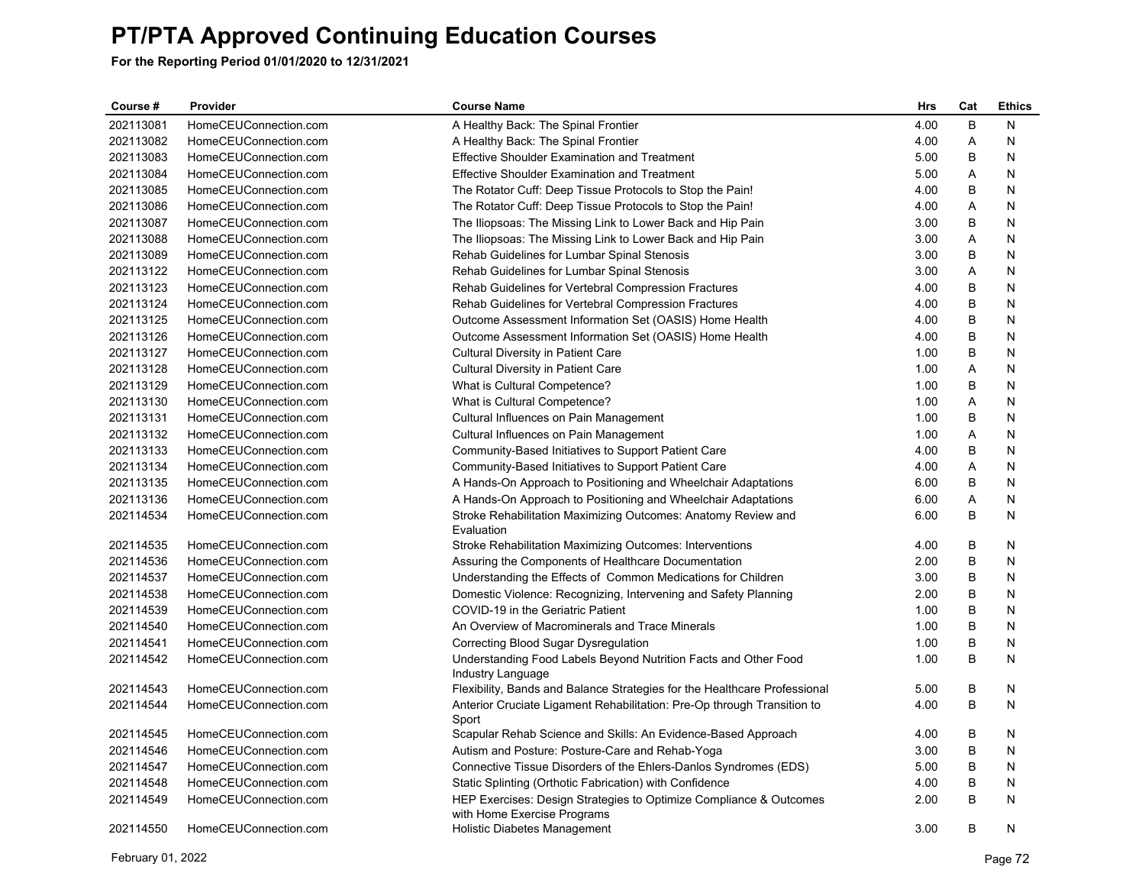| Course #  | Provider              | <b>Course Name</b>                                                                                | <b>Hrs</b> | Cat     | <b>Ethics</b> |
|-----------|-----------------------|---------------------------------------------------------------------------------------------------|------------|---------|---------------|
| 202113081 | HomeCEUConnection.com | A Healthy Back: The Spinal Frontier                                                               | 4.00       | B       | N             |
| 202113082 | HomeCEUConnection.com | A Healthy Back: The Spinal Frontier                                                               | 4.00       | A       | N             |
| 202113083 | HomeCEUConnection.com | <b>Effective Shoulder Examination and Treatment</b>                                               | 5.00       | B       | N             |
| 202113084 | HomeCEUConnection.com | Effective Shoulder Examination and Treatment                                                      | 5.00       | Α       | N             |
| 202113085 | HomeCEUConnection.com | The Rotator Cuff: Deep Tissue Protocols to Stop the Pain!                                         | 4.00       | B       | Ν             |
| 202113086 | HomeCEUConnection.com | The Rotator Cuff: Deep Tissue Protocols to Stop the Pain!                                         | 4.00       | A       | N             |
| 202113087 | HomeCEUConnection.com | The Iliopsoas: The Missing Link to Lower Back and Hip Pain                                        | 3.00       | B       | N             |
| 202113088 | HomeCEUConnection.com | The Iliopsoas: The Missing Link to Lower Back and Hip Pain                                        | 3.00       | Α       | N             |
| 202113089 | HomeCEUConnection.com | Rehab Guidelines for Lumbar Spinal Stenosis                                                       | 3.00       | B       | N             |
| 202113122 | HomeCEUConnection.com | Rehab Guidelines for Lumbar Spinal Stenosis                                                       | 3.00       | Α       | N             |
| 202113123 | HomeCEUConnection.com | Rehab Guidelines for Vertebral Compression Fractures                                              | 4.00       | B       | N             |
| 202113124 | HomeCEUConnection.com | Rehab Guidelines for Vertebral Compression Fractures                                              | 4.00       | B       | N             |
| 202113125 | HomeCEUConnection.com | Outcome Assessment Information Set (OASIS) Home Health                                            | 4.00       | B       | N             |
| 202113126 | HomeCEUConnection.com | Outcome Assessment Information Set (OASIS) Home Health                                            | 4.00       | B       | N             |
| 202113127 | HomeCEUConnection.com | <b>Cultural Diversity in Patient Care</b>                                                         | 1.00       | B       | N             |
| 202113128 | HomeCEUConnection.com | Cultural Diversity in Patient Care                                                                | 1.00       | Α       | N             |
| 202113129 | HomeCEUConnection.com | What is Cultural Competence?                                                                      | 1.00       | B       | N             |
| 202113130 | HomeCEUConnection.com | What is Cultural Competence?                                                                      | 1.00       | Α       | N             |
| 202113131 | HomeCEUConnection.com | Cultural Influences on Pain Management                                                            | 1.00       | B       | N             |
| 202113132 | HomeCEUConnection.com | Cultural Influences on Pain Management                                                            | 1.00       | A       | N             |
| 202113133 | HomeCEUConnection.com | Community-Based Initiatives to Support Patient Care                                               | 4.00       | В       | N             |
| 202113134 | HomeCEUConnection.com | Community-Based Initiatives to Support Patient Care                                               | 4.00       | Α       | N             |
| 202113135 | HomeCEUConnection.com | A Hands-On Approach to Positioning and Wheelchair Adaptations                                     | 6.00       | B       | N             |
| 202113136 | HomeCEUConnection.com | A Hands-On Approach to Positioning and Wheelchair Adaptations                                     | 6.00       | Α       | N             |
| 202114534 | HomeCEUConnection.com | Stroke Rehabilitation Maximizing Outcomes: Anatomy Review and<br>Evaluation                       | 6.00       | B       | N             |
| 202114535 | HomeCEUConnection.com | Stroke Rehabilitation Maximizing Outcomes: Interventions                                          | 4.00       | B       | N             |
| 202114536 | HomeCEUConnection.com | Assuring the Components of Healthcare Documentation                                               | 2.00       | B       | N             |
| 202114537 | HomeCEUConnection.com | Understanding the Effects of Common Medications for Children                                      | 3.00       | B       | N             |
| 202114538 | HomeCEUConnection.com | Domestic Violence: Recognizing, Intervening and Safety Planning                                   | 2.00       | B       | N             |
| 202114539 | HomeCEUConnection.com | COVID-19 in the Geriatric Patient                                                                 | 1.00       | B       | N             |
| 202114540 | HomeCEUConnection.com | An Overview of Macrominerals and Trace Minerals                                                   | 1.00       | B       | N             |
| 202114541 | HomeCEUConnection.com | Correcting Blood Sugar Dysregulation                                                              | 1.00       | $\sf B$ | N             |
| 202114542 | HomeCEUConnection.com | Understanding Food Labels Beyond Nutrition Facts and Other Food<br>Industry Language              | 1.00       | B       | N             |
| 202114543 | HomeCEUConnection.com | Flexibility, Bands and Balance Strategies for the Healthcare Professional                         | 5.00       | В       | N             |
| 202114544 | HomeCEUConnection.com | Anterior Cruciate Ligament Rehabilitation: Pre-Op through Transition to<br>Sport                  | 4.00       | B       | Ν             |
| 202114545 | HomeCEUConnection.com | Scapular Rehab Science and Skills: An Evidence-Based Approach                                     | 4.00       | B       | N             |
| 202114546 | HomeCEUConnection.com | Autism and Posture: Posture-Care and Rehab-Yoga                                                   | 3.00       | B       | N             |
| 202114547 | HomeCEUConnection.com | Connective Tissue Disorders of the Ehlers-Danlos Syndromes (EDS)                                  | 5.00       | В       | N             |
| 202114548 | HomeCEUConnection.com | Static Splinting (Orthotic Fabrication) with Confidence                                           | 4.00       | B       | N             |
| 202114549 | HomeCEUConnection.com | HEP Exercises: Design Strategies to Optimize Compliance & Outcomes<br>with Home Exercise Programs | 2.00       | B       | N             |
| 202114550 | HomeCEUConnection.com | Holistic Diabetes Management                                                                      | 3.00       | B       | N             |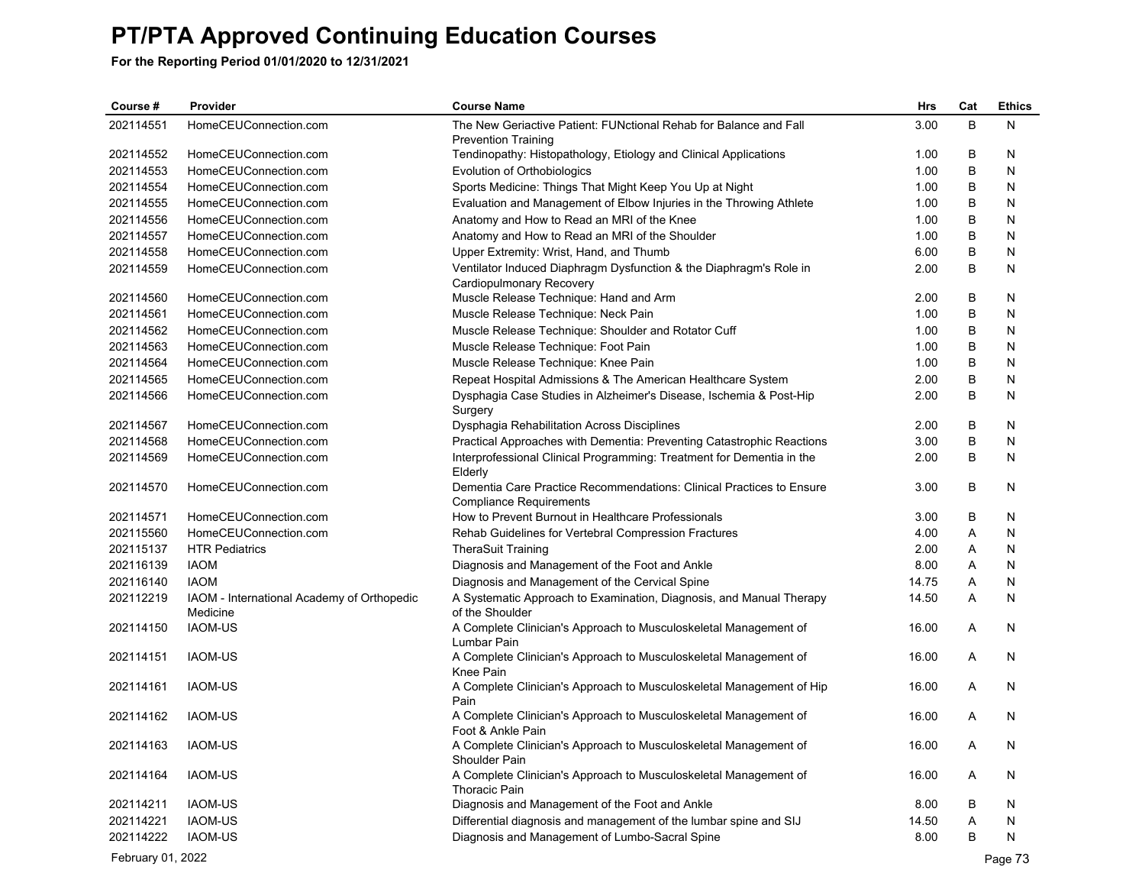| Course#           | Provider                                   | <b>Course Name</b>                                                                                     | Hrs   | Cat | <b>Ethics</b> |
|-------------------|--------------------------------------------|--------------------------------------------------------------------------------------------------------|-------|-----|---------------|
| 202114551         | HomeCEUConnection.com                      | The New Geriactive Patient: FUNctional Rehab for Balance and Fall                                      | 3.00  | B   | N             |
|                   |                                            | <b>Prevention Training</b>                                                                             |       |     |               |
| 202114552         | HomeCEUConnection.com                      | Tendinopathy: Histopathology, Etiology and Clinical Applications                                       | 1.00  | B   | N             |
| 202114553         | HomeCEUConnection.com                      | Evolution of Orthobiologics                                                                            | 1.00  | B   | N             |
| 202114554         | HomeCEUConnection.com                      | Sports Medicine: Things That Might Keep You Up at Night                                                | 1.00  | В   | N             |
| 202114555         | HomeCEUConnection.com                      | Evaluation and Management of Elbow Injuries in the Throwing Athlete                                    | 1.00  | B   | N             |
| 202114556         | HomeCEUConnection.com                      | Anatomy and How to Read an MRI of the Knee                                                             | 1.00  | B   | N             |
| 202114557         | HomeCEUConnection.com                      | Anatomy and How to Read an MRI of the Shoulder                                                         | 1.00  | B   | N             |
| 202114558         | HomeCEUConnection.com                      | Upper Extremity: Wrist, Hand, and Thumb                                                                | 6.00  | B   | N             |
| 202114559         | HomeCEUConnection.com                      | Ventilator Induced Diaphragm Dysfunction & the Diaphragm's Role in<br>Cardiopulmonary Recovery         | 2.00  | B   | N             |
| 202114560         | HomeCEUConnection.com                      | Muscle Release Technique: Hand and Arm                                                                 | 2.00  | B   | N             |
| 202114561         | HomeCEUConnection.com                      | Muscle Release Technique: Neck Pain                                                                    | 1.00  | B   | N             |
| 202114562         | HomeCEUConnection.com                      | Muscle Release Technique: Shoulder and Rotator Cuff                                                    | 1.00  | B   | N             |
| 202114563         | HomeCEUConnection.com                      | Muscle Release Technique: Foot Pain                                                                    | 1.00  | B   | N             |
| 202114564         | HomeCEUConnection.com                      |                                                                                                        | 1.00  | B   | N             |
| 202114565         | HomeCEUConnection.com                      | Muscle Release Technique: Knee Pain                                                                    | 2.00  | B   | N             |
|                   |                                            | Repeat Hospital Admissions & The American Healthcare System                                            |       |     |               |
| 202114566         | HomeCEUConnection.com                      | Dysphagia Case Studies in Alzheimer's Disease, Ischemia & Post-Hip<br>Surgery                          | 2.00  | B   | N             |
| 202114567         | HomeCEUConnection.com                      | Dysphagia Rehabilitation Across Disciplines                                                            | 2.00  | B   | N             |
| 202114568         | HomeCEUConnection.com                      | Practical Approaches with Dementia: Preventing Catastrophic Reactions                                  | 3.00  | B   | N             |
| 202114569         | HomeCEUConnection.com                      | Interprofessional Clinical Programming: Treatment for Dementia in the<br>Elderly                       | 2.00  | B   | N             |
| 202114570         | HomeCEUConnection.com                      | Dementia Care Practice Recommendations: Clinical Practices to Ensure<br><b>Compliance Requirements</b> | 3.00  | B   | N             |
| 202114571         | HomeCEUConnection.com                      | How to Prevent Burnout in Healthcare Professionals                                                     | 3.00  | B   | N             |
| 202115560         | HomeCEUConnection.com                      | Rehab Guidelines for Vertebral Compression Fractures                                                   | 4.00  | Α   | N             |
| 202115137         | <b>HTR Pediatrics</b>                      | <b>TheraSuit Training</b>                                                                              | 2.00  | Α   | N             |
| 202116139         | <b>IAOM</b>                                | Diagnosis and Management of the Foot and Ankle                                                         | 8.00  | Α   | N             |
| 202116140         | <b>IAOM</b>                                | Diagnosis and Management of the Cervical Spine                                                         | 14.75 | Α   | N             |
| 202112219         | IAOM - International Academy of Orthopedic | A Systematic Approach to Examination, Diagnosis, and Manual Therapy                                    | 14.50 | Α   | N             |
|                   | Medicine                                   | of the Shoulder                                                                                        |       |     |               |
| 202114150         | <b>IAOM-US</b>                             | A Complete Clinician's Approach to Musculoskeletal Management of<br>Lumbar Pain                        | 16.00 | A   | N             |
| 202114151         | <b>IAOM-US</b>                             | A Complete Clinician's Approach to Musculoskeletal Management of<br><b>Knee Pain</b>                   | 16.00 | Α   | N             |
| 202114161         | IAOM-US                                    | A Complete Clinician's Approach to Musculoskeletal Management of Hip                                   | 16.00 | A   | N             |
| 202114162         | <b>IAOM-US</b>                             | Pain<br>A Complete Clinician's Approach to Musculoskeletal Management of                               | 16.00 | Α   | N             |
|                   |                                            | Foot & Ankle Pain                                                                                      |       |     |               |
| 202114163         | <b>IAOM-US</b>                             | A Complete Clinician's Approach to Musculoskeletal Management of<br>Shoulder Pain                      | 16.00 | A   | N             |
| 202114164         | <b>IAOM-US</b>                             | A Complete Clinician's Approach to Musculoskeletal Management of<br>Thoracic Pain                      | 16.00 | A   | N             |
| 202114211         | <b>IAOM-US</b>                             | Diagnosis and Management of the Foot and Ankle                                                         | 8.00  | B   | N             |
| 202114221         | <b>IAOM-US</b>                             | Differential diagnosis and management of the lumbar spine and SIJ                                      | 14.50 | Α   | N             |
| 202114222         | <b>IAOM-US</b>                             | Diagnosis and Management of Lumbo-Sacral Spine                                                         | 8.00  | B   | N             |
| February 01, 2022 |                                            |                                                                                                        |       |     |               |
|                   |                                            |                                                                                                        |       |     | Page 73       |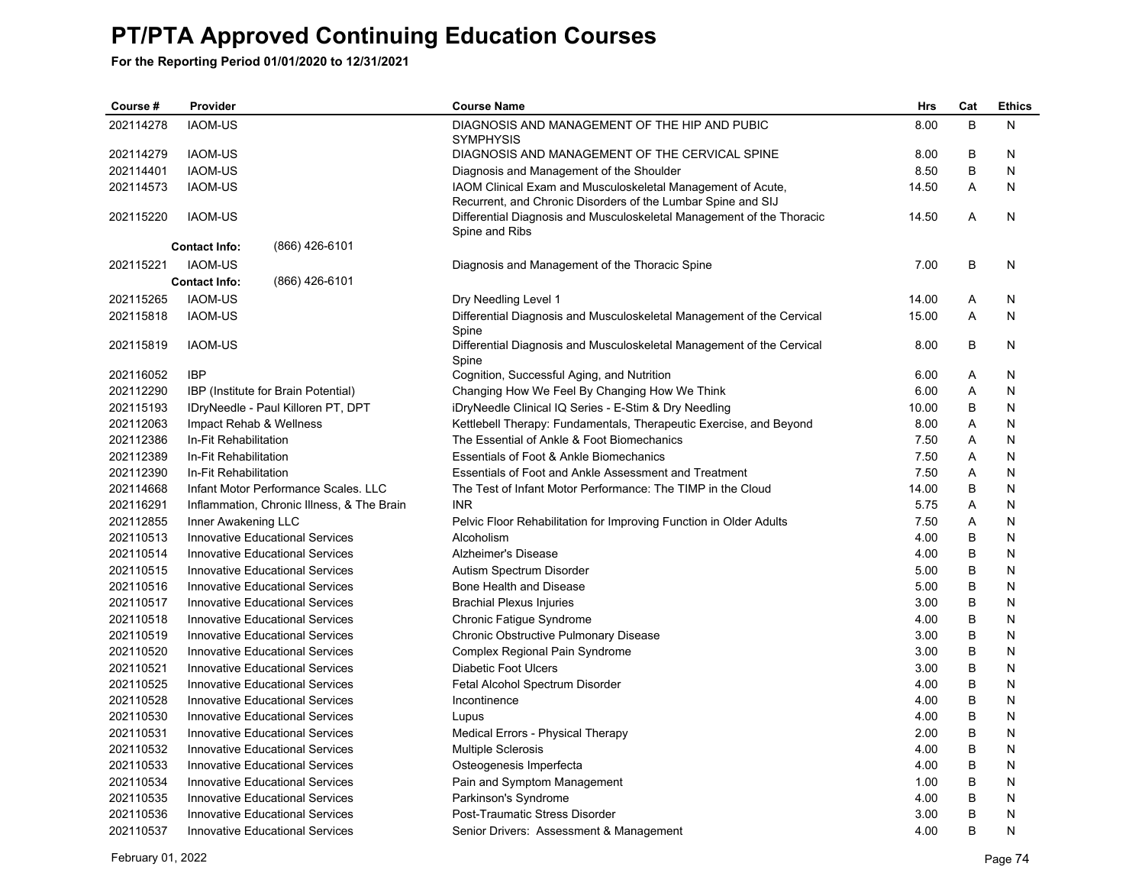| Course #  | Provider                                   | <b>Course Name</b>                                                             | Hrs   | Cat | <b>Ethics</b> |
|-----------|--------------------------------------------|--------------------------------------------------------------------------------|-------|-----|---------------|
| 202114278 | <b>IAOM-US</b>                             | DIAGNOSIS AND MANAGEMENT OF THE HIP AND PUBIC                                  | 8.00  | B   | N             |
|           |                                            | <b>SYMPHYSIS</b>                                                               |       |     |               |
| 202114279 | <b>IAOM-US</b>                             | DIAGNOSIS AND MANAGEMENT OF THE CERVICAL SPINE                                 | 8.00  | В   | N             |
| 202114401 | <b>IAOM-US</b>                             | Diagnosis and Management of the Shoulder                                       | 8.50  | B   | N             |
| 202114573 | <b>IAOM-US</b>                             | IAOM Clinical Exam and Musculoskeletal Management of Acute,                    | 14.50 | A   | N             |
|           |                                            | Recurrent, and Chronic Disorders of the Lumbar Spine and SIJ                   |       |     |               |
| 202115220 | <b>IAOM-US</b>                             | Differential Diagnosis and Musculoskeletal Management of the Thoracic          | 14.50 | A   | N             |
|           | (866) 426-6101                             | Spine and Ribs                                                                 |       |     |               |
|           | <b>Contact Info:</b>                       |                                                                                |       |     |               |
| 202115221 | <b>IAOM-US</b>                             | Diagnosis and Management of the Thoracic Spine                                 | 7.00  | B   | N             |
|           | (866) 426-6101<br><b>Contact Info:</b>     |                                                                                |       |     |               |
| 202115265 | <b>IAOM-US</b>                             | Dry Needling Level 1                                                           | 14.00 | Α   | N             |
| 202115818 | <b>IAOM-US</b>                             | Differential Diagnosis and Musculoskeletal Management of the Cervical<br>Spine | 15.00 | A   | N             |
| 202115819 | <b>IAOM-US</b>                             | Differential Diagnosis and Musculoskeletal Management of the Cervical          | 8.00  | B   | N             |
|           |                                            | Spine                                                                          |       |     |               |
| 202116052 | <b>IBP</b>                                 | Cognition, Successful Aging, and Nutrition                                     | 6.00  | Α   | N             |
| 202112290 | IBP (Institute for Brain Potential)        | Changing How We Feel By Changing How We Think                                  | 6.00  | Α   | N             |
| 202115193 | IDryNeedle - Paul Killoren PT, DPT         | iDryNeedle Clinical IQ Series - E-Stim & Dry Needling                          | 10.00 | B   | N             |
| 202112063 | Impact Rehab & Wellness                    | Kettlebell Therapy: Fundamentals, Therapeutic Exercise, and Beyond             | 8.00  | A   | N             |
| 202112386 | In-Fit Rehabilitation                      | The Essential of Ankle & Foot Biomechanics                                     | 7.50  | Α   | N             |
| 202112389 | In-Fit Rehabilitation                      | Essentials of Foot & Ankle Biomechanics                                        | 7.50  | Α   | N             |
| 202112390 | In-Fit Rehabilitation                      | Essentials of Foot and Ankle Assessment and Treatment                          | 7.50  | Α   | N             |
| 202114668 | Infant Motor Performance Scales, LLC       | The Test of Infant Motor Performance: The TIMP in the Cloud                    | 14.00 | B   | N             |
| 202116291 | Inflammation, Chronic Illness, & The Brain | <b>INR</b>                                                                     | 5.75  | Α   | N             |
| 202112855 | Inner Awakening LLC                        | Pelvic Floor Rehabilitation for Improving Function in Older Adults             | 7.50  | Α   | N             |
| 202110513 | <b>Innovative Educational Services</b>     | Alcoholism                                                                     | 4.00  | B   | N             |
| 202110514 | <b>Innovative Educational Services</b>     | Alzheimer's Disease                                                            | 4.00  | B   | N             |
| 202110515 | <b>Innovative Educational Services</b>     | Autism Spectrum Disorder                                                       | 5.00  | B   | N             |
| 202110516 | <b>Innovative Educational Services</b>     | Bone Health and Disease                                                        | 5.00  | B   | N             |
| 202110517 | <b>Innovative Educational Services</b>     | <b>Brachial Plexus Injuries</b>                                                | 3.00  | B   | N             |
| 202110518 | <b>Innovative Educational Services</b>     | Chronic Fatigue Syndrome                                                       | 4.00  | B   | N             |
| 202110519 | <b>Innovative Educational Services</b>     | Chronic Obstructive Pulmonary Disease                                          | 3.00  | B   | N             |
| 202110520 | <b>Innovative Educational Services</b>     | Complex Regional Pain Syndrome                                                 | 3.00  | B   | N             |
| 202110521 | <b>Innovative Educational Services</b>     | <b>Diabetic Foot Ulcers</b>                                                    | 3.00  | B   | N             |
| 202110525 | Innovative Educational Services            | Fetal Alcohol Spectrum Disorder                                                | 4.00  | B   | N             |
| 202110528 | <b>Innovative Educational Services</b>     | Incontinence                                                                   | 4.00  | B   | N             |
| 202110530 | <b>Innovative Educational Services</b>     | Lupus                                                                          | 4.00  | B   | N             |
| 202110531 | <b>Innovative Educational Services</b>     | Medical Errors - Physical Therapy                                              | 2.00  | B   | N             |
| 202110532 | <b>Innovative Educational Services</b>     | <b>Multiple Sclerosis</b>                                                      | 4.00  | B   | N             |
| 202110533 | <b>Innovative Educational Services</b>     | Osteogenesis Imperfecta                                                        | 4.00  | B   | N             |
| 202110534 | <b>Innovative Educational Services</b>     | Pain and Symptom Management                                                    | 1.00  | B   | N             |
| 202110535 | <b>Innovative Educational Services</b>     | Parkinson's Syndrome                                                           | 4.00  | B   | N             |
| 202110536 | <b>Innovative Educational Services</b>     | Post-Traumatic Stress Disorder                                                 | 3.00  | B   | N             |
| 202110537 | <b>Innovative Educational Services</b>     | Senior Drivers: Assessment & Management                                        | 4.00  | B   | N             |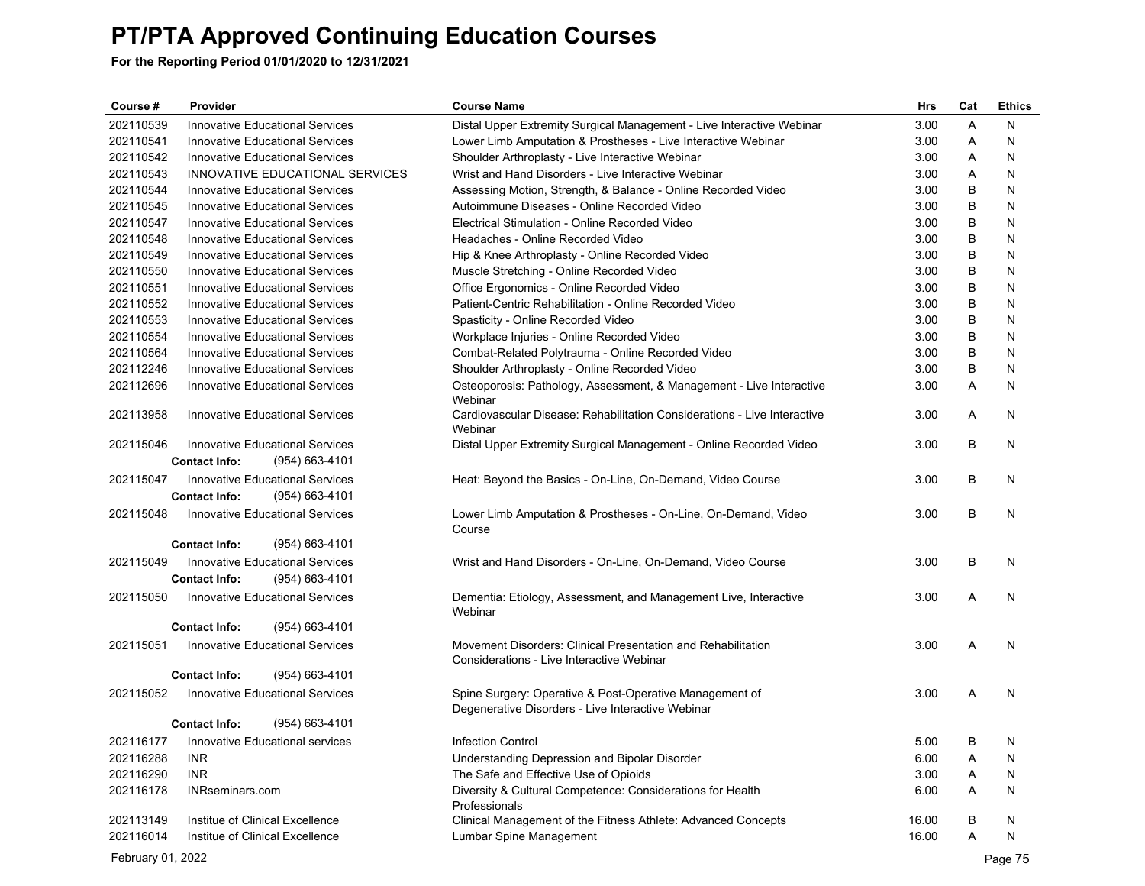| Course #          | Provider                                                                         | <b>Course Name</b>                                                                                           | Hrs   | Cat | <b>Ethics</b> |
|-------------------|----------------------------------------------------------------------------------|--------------------------------------------------------------------------------------------------------------|-------|-----|---------------|
| 202110539         | Innovative Educational Services                                                  | Distal Upper Extremity Surgical Management - Live Interactive Webinar                                        | 3.00  | A   | N             |
| 202110541         | <b>Innovative Educational Services</b>                                           | Lower Limb Amputation & Prostheses - Live Interactive Webinar                                                | 3.00  | Α   | N             |
| 202110542         | Innovative Educational Services                                                  | Shoulder Arthroplasty - Live Interactive Webinar                                                             | 3.00  | Α   | N             |
| 202110543         | INNOVATIVE EDUCATIONAL SERVICES                                                  | Wrist and Hand Disorders - Live Interactive Webinar                                                          | 3.00  | Α   | N             |
| 202110544         | <b>Innovative Educational Services</b>                                           | Assessing Motion, Strength, & Balance - Online Recorded Video                                                | 3.00  | В   | N             |
| 202110545         | <b>Innovative Educational Services</b>                                           | Autoimmune Diseases - Online Recorded Video                                                                  | 3.00  | В   | N             |
| 202110547         | <b>Innovative Educational Services</b>                                           | Electrical Stimulation - Online Recorded Video                                                               | 3.00  | В   | N             |
| 202110548         | <b>Innovative Educational Services</b>                                           | Headaches - Online Recorded Video                                                                            | 3.00  | В   | N             |
| 202110549         | <b>Innovative Educational Services</b>                                           | Hip & Knee Arthroplasty - Online Recorded Video                                                              | 3.00  | В   | N             |
| 202110550         | <b>Innovative Educational Services</b>                                           | Muscle Stretching - Online Recorded Video                                                                    | 3.00  | B   | N             |
| 202110551         | <b>Innovative Educational Services</b>                                           | Office Ergonomics - Online Recorded Video                                                                    | 3.00  | В   | N             |
| 202110552         | Innovative Educational Services                                                  | Patient-Centric Rehabilitation - Online Recorded Video                                                       | 3.00  | В   | N             |
| 202110553         | <b>Innovative Educational Services</b>                                           | Spasticity - Online Recorded Video                                                                           | 3.00  | В   | N             |
| 202110554         | <b>Innovative Educational Services</b>                                           | Workplace Injuries - Online Recorded Video                                                                   | 3.00  | В   | N             |
| 202110564         | <b>Innovative Educational Services</b>                                           | Combat-Related Polytrauma - Online Recorded Video                                                            | 3.00  | В   | N             |
| 202112246         | <b>Innovative Educational Services</b>                                           | Shoulder Arthroplasty - Online Recorded Video                                                                | 3.00  | B   | N             |
| 202112696         | <b>Innovative Educational Services</b>                                           | Osteoporosis: Pathology, Assessment, & Management - Live Interactive<br>Webinar                              | 3.00  | Α   | N             |
| 202113958         | <b>Innovative Educational Services</b>                                           | Cardiovascular Disease: Rehabilitation Considerations - Live Interactive<br>Webinar                          | 3.00  | Α   | N             |
| 202115046         | Innovative Educational Services<br>$(954) 663 - 4101$<br><b>Contact Info:</b>    | Distal Upper Extremity Surgical Management - Online Recorded Video                                           | 3.00  | В   | N             |
| 202115047         | <b>Innovative Educational Services</b><br><b>Contact Info:</b><br>(954) 663-4101 | Heat: Beyond the Basics - On-Line, On-Demand, Video Course                                                   | 3.00  | В   | N             |
| 202115048         | <b>Innovative Educational Services</b>                                           | Lower Limb Amputation & Prostheses - On-Line, On-Demand, Video<br>Course                                     | 3.00  | В   | N             |
|                   | (954) 663-4101<br><b>Contact Info:</b>                                           |                                                                                                              |       |     |               |
| 202115049         | <b>Innovative Educational Services</b>                                           | Wrist and Hand Disorders - On-Line, On-Demand, Video Course                                                  | 3.00  | В   | N             |
|                   | <b>Contact Info:</b><br>(954) 663-4101                                           |                                                                                                              |       |     |               |
| 202115050         | <b>Innovative Educational Services</b>                                           | Dementia: Etiology, Assessment, and Management Live, Interactive<br>Webinar                                  | 3.00  | Α   | N             |
|                   | <b>Contact Info:</b><br>(954) 663-4101                                           |                                                                                                              |       |     |               |
| 202115051         | Innovative Educational Services                                                  | Movement Disorders: Clinical Presentation and Rehabilitation<br>Considerations - Live Interactive Webinar    | 3.00  | Α   | N             |
|                   | <b>Contact Info:</b><br>(954) 663-4101                                           |                                                                                                              |       |     |               |
| 202115052         | Innovative Educational Services                                                  | Spine Surgery: Operative & Post-Operative Management of<br>Degenerative Disorders - Live Interactive Webinar | 3.00  | Α   | N             |
|                   | <b>Contact Info:</b><br>(954) 663-4101                                           |                                                                                                              |       |     |               |
| 202116177         | Innovative Educational services                                                  | <b>Infection Control</b>                                                                                     | 5.00  | B   | N             |
| 202116288         | <b>INR</b>                                                                       | Understanding Depression and Bipolar Disorder                                                                | 6.00  | Α   | N             |
| 202116290         | <b>INR</b>                                                                       | The Safe and Effective Use of Opioids                                                                        | 3.00  | A   | N             |
| 202116178         | <b>INRseminars.com</b>                                                           | Diversity & Cultural Competence: Considerations for Health                                                   | 6.00  | A   | N             |
|                   |                                                                                  | Professionals                                                                                                |       |     |               |
| 202113149         | Institue of Clinical Excellence                                                  | Clinical Management of the Fitness Athlete: Advanced Concepts                                                | 16.00 | B   | N             |
| 202116014         | Institue of Clinical Excellence                                                  | Lumbar Spine Management                                                                                      | 16.00 | Α   | N             |
| February 01, 2022 |                                                                                  |                                                                                                              |       |     | Page 75       |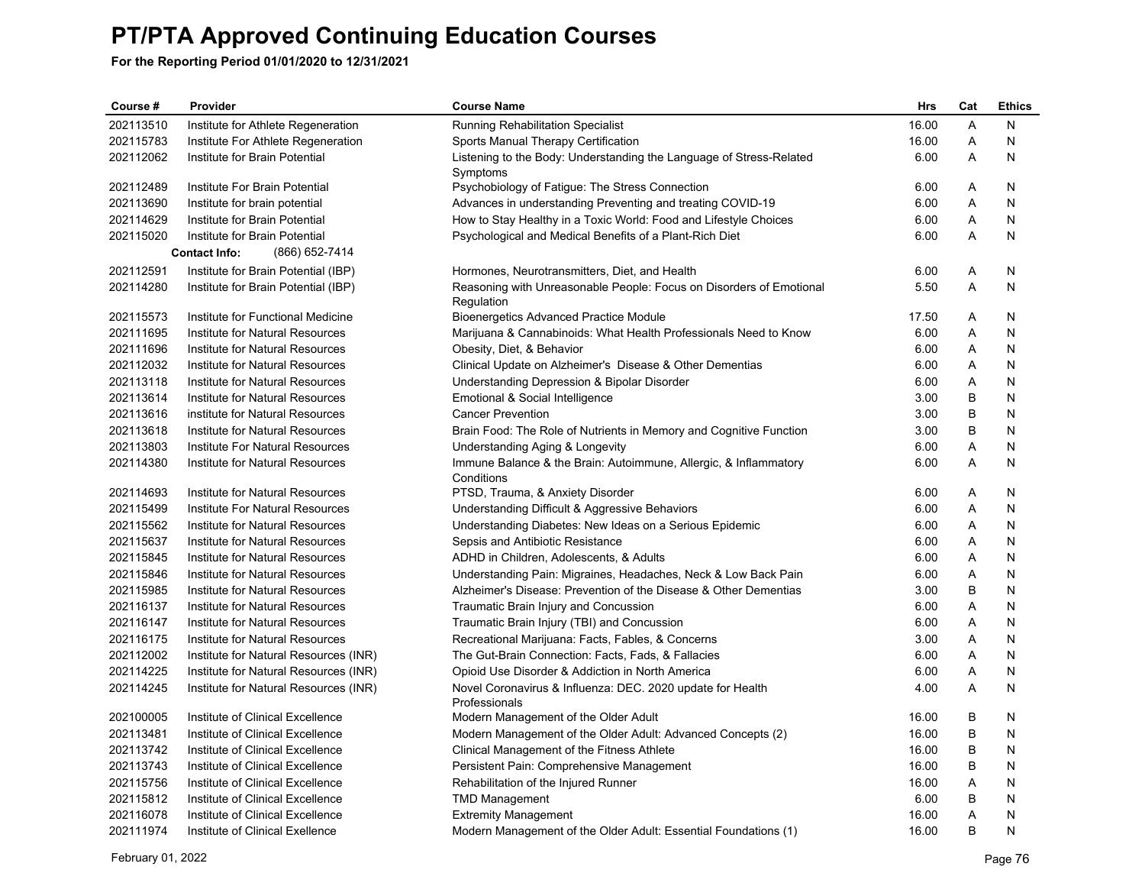| Course #  | Provider                               | <b>Course Name</b>                                                                | Hrs   | Cat | <b>Ethics</b> |
|-----------|----------------------------------------|-----------------------------------------------------------------------------------|-------|-----|---------------|
| 202113510 | Institute for Athlete Regeneration     | Running Rehabilitation Specialist                                                 | 16.00 | A   | N             |
| 202115783 | Institute For Athlete Regeneration     | Sports Manual Therapy Certification                                               | 16.00 | A   | N             |
| 202112062 | Institute for Brain Potential          | Listening to the Body: Understanding the Language of Stress-Related<br>Symptoms   | 6.00  | A   | N             |
| 202112489 | Institute For Brain Potential          | Psychobiology of Fatigue: The Stress Connection                                   | 6.00  | Α   | N             |
| 202113690 | Institute for brain potential          | Advances in understanding Preventing and treating COVID-19                        | 6.00  | Α   | N             |
| 202114629 | Institute for Brain Potential          | How to Stay Healthy in a Toxic World: Food and Lifestyle Choices                  | 6.00  | Α   | N             |
| 202115020 | Institute for Brain Potential          | Psychological and Medical Benefits of a Plant-Rich Diet                           | 6.00  | A   | N             |
|           | <b>Contact Info:</b><br>(866) 652-7414 |                                                                                   |       |     |               |
| 202112591 | Institute for Brain Potential (IBP)    | Hormones, Neurotransmitters, Diet, and Health                                     | 6.00  | Α   | N             |
| 202114280 | Institute for Brain Potential (IBP)    | Reasoning with Unreasonable People: Focus on Disorders of Emotional<br>Regulation | 5.50  | A   | N             |
| 202115573 | Institute for Functional Medicine      | <b>Bioenergetics Advanced Practice Module</b>                                     | 17.50 | Α   | N             |
| 202111695 | Institute for Natural Resources        | Marijuana & Cannabinoids: What Health Professionals Need to Know                  | 6.00  | A   | N             |
| 202111696 | Institute for Natural Resources        | Obesity, Diet, & Behavior                                                         | 6.00  | A   | N             |
| 202112032 | Institute for Natural Resources        | Clinical Update on Alzheimer's Disease & Other Dementias                          | 6.00  | Α   | N             |
| 202113118 | Institute for Natural Resources        | Understanding Depression & Bipolar Disorder                                       | 6.00  | Α   | N             |
| 202113614 | Institute for Natural Resources        | Emotional & Social Intelligence                                                   | 3.00  | B   | N             |
| 202113616 | institute for Natural Resources        | <b>Cancer Prevention</b>                                                          | 3.00  | B   | N             |
| 202113618 | Institute for Natural Resources        | Brain Food: The Role of Nutrients in Memory and Cognitive Function                | 3.00  | B   | N             |
| 202113803 | Institute For Natural Resources        | Understanding Aging & Longevity                                                   | 6.00  | Α   | N             |
| 202114380 | Institute for Natural Resources        | Immune Balance & the Brain: Autoimmune, Allergic, & Inflammatory<br>Conditions    | 6.00  | A   | N             |
| 202114693 | Institute for Natural Resources        | PTSD, Trauma, & Anxiety Disorder                                                  | 6.00  | A   | N             |
| 202115499 | Institute For Natural Resources        | Understanding Difficult & Aggressive Behaviors                                    | 6.00  | A   | N             |
| 202115562 | Institute for Natural Resources        | Understanding Diabetes: New Ideas on a Serious Epidemic                           | 6.00  | A   | N             |
| 202115637 | Institute for Natural Resources        | Sepsis and Antibiotic Resistance                                                  | 6.00  | Α   | N             |
| 202115845 | Institute for Natural Resources        | ADHD in Children, Adolescents, & Adults                                           | 6.00  | Α   | N             |
| 202115846 | Institute for Natural Resources        | Understanding Pain: Migraines, Headaches, Neck & Low Back Pain                    | 6.00  | A   | N             |
| 202115985 | Institute for Natural Resources        | Alzheimer's Disease: Prevention of the Disease & Other Dementias                  | 3.00  | B   | N             |
| 202116137 | Institute for Natural Resources        | Traumatic Brain Injury and Concussion                                             | 6.00  | Α   | N             |
| 202116147 | Institute for Natural Resources        | Traumatic Brain Injury (TBI) and Concussion                                       | 6.00  | Α   | N             |
| 202116175 | Institute for Natural Resources        | Recreational Marijuana: Facts, Fables, & Concerns                                 | 3.00  | A   | N             |
| 202112002 | Institute for Natural Resources (INR)  | The Gut-Brain Connection: Facts, Fads, & Fallacies                                | 6.00  | Α   | N             |
| 202114225 | Institute for Natural Resources (INR)  | Opioid Use Disorder & Addiction in North America                                  | 6.00  | Α   | N             |
| 202114245 | Institute for Natural Resources (INR)  | Novel Coronavirus & Influenza: DEC. 2020 update for Health<br>Professionals       | 4.00  | A   | N             |
| 202100005 | Institute of Clinical Excellence       | Modern Management of the Older Adult                                              | 16.00 | B   | N             |
| 202113481 | Institute of Clinical Excellence       | Modern Management of the Older Adult: Advanced Concepts (2)                       | 16.00 | B   | N             |
| 202113742 | Institute of Clinical Excellence       | Clinical Management of the Fitness Athlete                                        | 16.00 | B   | N             |
| 202113743 | Institute of Clinical Excellence       | Persistent Pain: Comprehensive Management                                         | 16.00 | B   | N             |
| 202115756 | Institute of Clinical Excellence       | Rehabilitation of the Injured Runner                                              | 16.00 | Α   | N             |
| 202115812 | Institute of Clinical Excellence       | <b>TMD Management</b>                                                             | 6.00  | B   | N             |
| 202116078 | Institute of Clinical Excellence       | <b>Extremity Management</b>                                                       | 16.00 | A   | N             |
| 202111974 | Institute of Clinical Exellence        | Modern Management of the Older Adult: Essential Foundations (1)                   | 16.00 | B   | N             |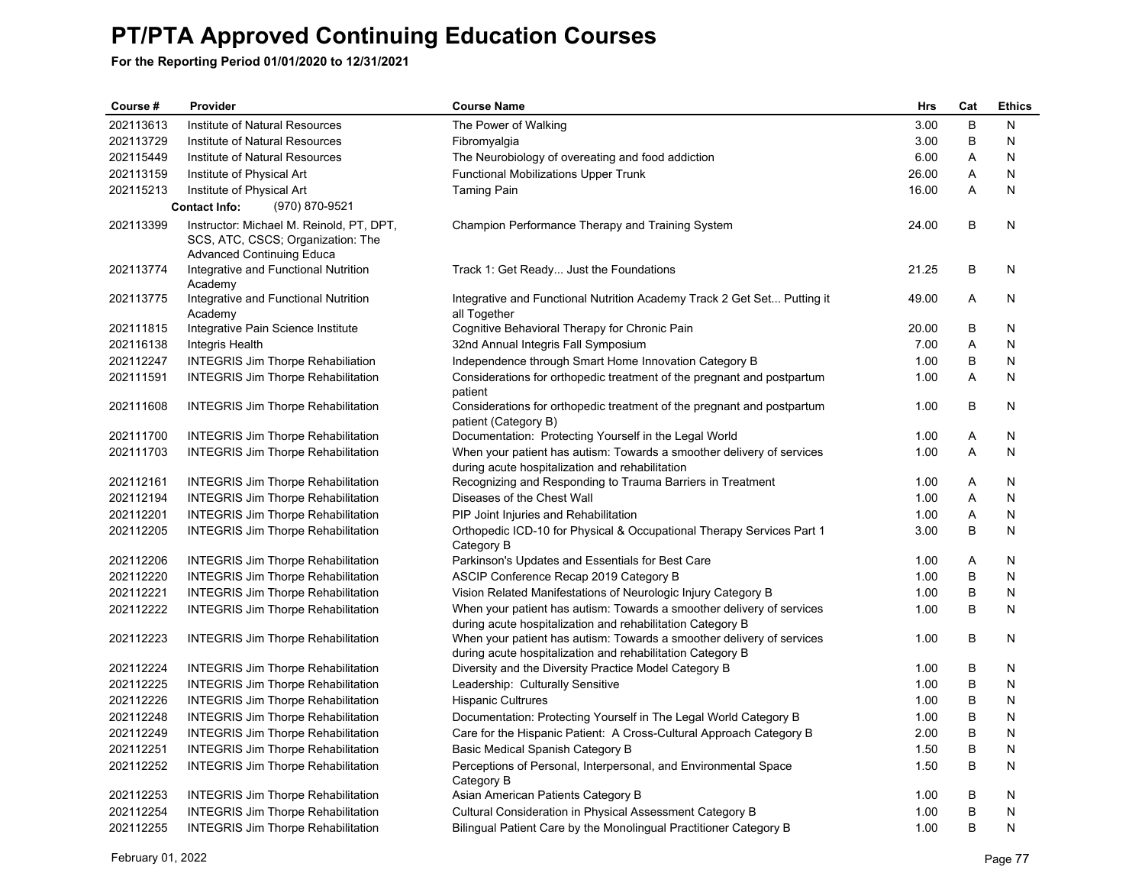| Course #  | Provider                                                                                                          | <b>Course Name</b>                                                                                                                  | Hrs   | Cat     | <b>Ethics</b> |
|-----------|-------------------------------------------------------------------------------------------------------------------|-------------------------------------------------------------------------------------------------------------------------------------|-------|---------|---------------|
| 202113613 | Institute of Natural Resources                                                                                    | The Power of Walking                                                                                                                | 3.00  | B       | N             |
| 202113729 | Institute of Natural Resources                                                                                    | Fibromyalgia                                                                                                                        | 3.00  | $\sf B$ | N             |
| 202115449 | Institute of Natural Resources                                                                                    | The Neurobiology of overeating and food addiction                                                                                   | 6.00  | A       | N             |
| 202113159 | Institute of Physical Art                                                                                         | <b>Functional Mobilizations Upper Trunk</b>                                                                                         | 26.00 | Α       | N             |
| 202115213 | Institute of Physical Art                                                                                         | <b>Taming Pain</b>                                                                                                                  | 16.00 | A       | N             |
|           | <b>Contact Info:</b><br>(970) 870-9521                                                                            |                                                                                                                                     |       |         |               |
| 202113399 | Instructor: Michael M. Reinold, PT, DPT,<br>SCS, ATC, CSCS; Organization: The<br><b>Advanced Continuing Educa</b> | Champion Performance Therapy and Training System                                                                                    | 24.00 | B       | N             |
| 202113774 | Integrative and Functional Nutrition<br>Academy                                                                   | Track 1: Get Ready Just the Foundations                                                                                             | 21.25 | B       | N             |
| 202113775 | Integrative and Functional Nutrition<br>Academy                                                                   | Integrative and Functional Nutrition Academy Track 2 Get Set Putting it<br>all Together                                             | 49.00 | Α       | N             |
| 202111815 | Integrative Pain Science Institute                                                                                | Cognitive Behavioral Therapy for Chronic Pain                                                                                       | 20.00 | B       | N             |
| 202116138 | <b>Integris Health</b>                                                                                            | 32nd Annual Integris Fall Symposium                                                                                                 | 7.00  | Α       | N             |
| 202112247 | <b>INTEGRIS Jim Thorpe Rehabiliation</b>                                                                          | Independence through Smart Home Innovation Category B                                                                               | 1.00  | В       | N             |
| 202111591 | <b>INTEGRIS Jim Thorpe Rehabilitation</b>                                                                         | Considerations for orthopedic treatment of the pregnant and postpartum<br>patient                                                   | 1.00  | A       | N             |
| 202111608 | <b>INTEGRIS Jim Thorpe Rehabilitation</b>                                                                         | Considerations for orthopedic treatment of the pregnant and postpartum<br>patient (Category B)                                      | 1.00  | B       | N             |
| 202111700 | <b>INTEGRIS Jim Thorpe Rehabilitation</b>                                                                         | Documentation: Protecting Yourself in the Legal World                                                                               | 1.00  | Α       | N             |
| 202111703 | <b>INTEGRIS Jim Thorpe Rehabilitation</b>                                                                         | When your patient has autism: Towards a smoother delivery of services<br>during acute hospitalization and rehabilitation            | 1.00  | A       | N             |
| 202112161 | <b>INTEGRIS Jim Thorpe Rehabilitation</b>                                                                         | Recognizing and Responding to Trauma Barriers in Treatment                                                                          | 1.00  | Α       | N             |
| 202112194 | <b>INTEGRIS Jim Thorpe Rehabilitation</b>                                                                         | Diseases of the Chest Wall                                                                                                          | 1.00  | Α       | N             |
| 202112201 | <b>INTEGRIS Jim Thorpe Rehabilitation</b>                                                                         | PIP Joint Injuries and Rehabilitation                                                                                               | 1.00  | Α       | N             |
| 202112205 | <b>INTEGRIS Jim Thorpe Rehabilitation</b>                                                                         | Orthopedic ICD-10 for Physical & Occupational Therapy Services Part 1<br>Category B                                                 | 3.00  | B       | N             |
| 202112206 | <b>INTEGRIS Jim Thorpe Rehabilitation</b>                                                                         | Parkinson's Updates and Essentials for Best Care                                                                                    | 1.00  | A       | N             |
| 202112220 | <b>INTEGRIS Jim Thorpe Rehabilitation</b>                                                                         | ASCIP Conference Recap 2019 Category B                                                                                              | 1.00  | B       | N             |
| 202112221 | <b>INTEGRIS Jim Thorpe Rehabilitation</b>                                                                         | Vision Related Manifestations of Neurologic Injury Category B                                                                       | 1.00  | B       | N             |
| 202112222 | <b>INTEGRIS Jim Thorpe Rehabilitation</b>                                                                         | When your patient has autism: Towards a smoother delivery of services<br>during acute hospitalization and rehabilitation Category B | 1.00  | B       | N             |
| 202112223 | <b>INTEGRIS Jim Thorpe Rehabilitation</b>                                                                         | When your patient has autism: Towards a smoother delivery of services<br>during acute hospitalization and rehabilitation Category B | 1.00  | В       | N             |
| 202112224 | <b>INTEGRIS Jim Thorpe Rehabilitation</b>                                                                         | Diversity and the Diversity Practice Model Category B                                                                               | 1.00  | В       | N             |
| 202112225 | <b>INTEGRIS Jim Thorpe Rehabilitation</b>                                                                         | Leadership: Culturally Sensitive                                                                                                    | 1.00  | B       | N             |
| 202112226 | <b>INTEGRIS Jim Thorpe Rehabilitation</b>                                                                         | <b>Hispanic Cultrures</b>                                                                                                           | 1.00  | В       | N             |
| 202112248 | <b>INTEGRIS Jim Thorpe Rehabilitation</b>                                                                         | Documentation: Protecting Yourself in The Legal World Category B                                                                    | 1.00  | B       | N             |
| 202112249 | <b>INTEGRIS Jim Thorpe Rehabilitation</b>                                                                         | Care for the Hispanic Patient: A Cross-Cultural Approach Category B                                                                 | 2.00  | B       | N             |
| 202112251 | <b>INTEGRIS Jim Thorpe Rehabilitation</b>                                                                         | Basic Medical Spanish Category B                                                                                                    | 1.50  | B       | N             |
| 202112252 | <b>INTEGRIS Jim Thorpe Rehabilitation</b>                                                                         | Perceptions of Personal, Interpersonal, and Environmental Space<br>Category B                                                       | 1.50  | B       | N             |
| 202112253 | <b>INTEGRIS Jim Thorpe Rehabilitation</b>                                                                         | Asian American Patients Category B                                                                                                  | 1.00  | В       | N             |
| 202112254 | <b>INTEGRIS Jim Thorpe Rehabilitation</b>                                                                         | Cultural Consideration in Physical Assessment Category B                                                                            | 1.00  | $\sf B$ | N             |
| 202112255 | <b>INTEGRIS Jim Thorpe Rehabilitation</b>                                                                         | Bilingual Patient Care by the Monolingual Practitioner Category B                                                                   | 1.00  | B       | N             |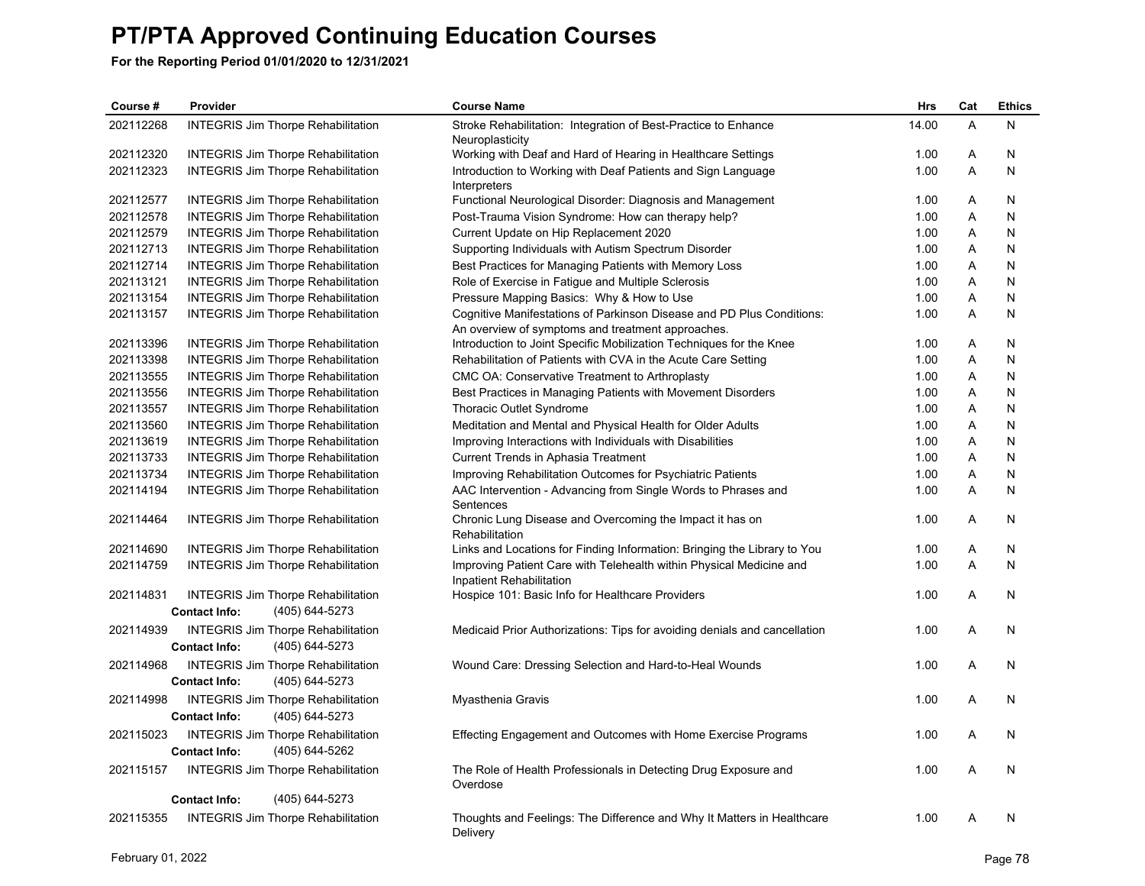| Course #  | Provider                                                                            | <b>Course Name</b>                                                                                                         | <b>Hrs</b> | Cat            | <b>Ethics</b> |
|-----------|-------------------------------------------------------------------------------------|----------------------------------------------------------------------------------------------------------------------------|------------|----------------|---------------|
| 202112268 | <b>INTEGRIS Jim Thorpe Rehabilitation</b>                                           | Stroke Rehabilitation: Integration of Best-Practice to Enhance<br>Neuroplasticity                                          | 14.00      | $\overline{A}$ | N             |
| 202112320 | <b>INTEGRIS Jim Thorpe Rehabilitation</b>                                           | Working with Deaf and Hard of Hearing in Healthcare Settings                                                               | 1.00       | A              | N             |
| 202112323 | <b>INTEGRIS Jim Thorpe Rehabilitation</b>                                           | Introduction to Working with Deaf Patients and Sign Language<br>Interpreters                                               | 1.00       | Α              | N             |
| 202112577 | <b>INTEGRIS Jim Thorpe Rehabilitation</b>                                           | Functional Neurological Disorder: Diagnosis and Management                                                                 | 1.00       | Α              | N             |
| 202112578 | <b>INTEGRIS Jim Thorpe Rehabilitation</b>                                           | Post-Trauma Vision Syndrome: How can therapy help?                                                                         | 1.00       | A              | N             |
| 202112579 | <b>INTEGRIS Jim Thorpe Rehabilitation</b>                                           | Current Update on Hip Replacement 2020                                                                                     | 1.00       | A              | N             |
| 202112713 | <b>INTEGRIS Jim Thorpe Rehabilitation</b>                                           | Supporting Individuals with Autism Spectrum Disorder                                                                       | 1.00       | Α              | N             |
| 202112714 | <b>INTEGRIS Jim Thorpe Rehabilitation</b>                                           | Best Practices for Managing Patients with Memory Loss                                                                      | 1.00       | A              | N             |
| 202113121 | <b>INTEGRIS Jim Thorpe Rehabilitation</b>                                           | Role of Exercise in Fatigue and Multiple Sclerosis                                                                         | 1.00       | A              | N             |
| 202113154 | <b>INTEGRIS Jim Thorpe Rehabilitation</b>                                           | Pressure Mapping Basics: Why & How to Use                                                                                  | 1.00       | Α              | N             |
| 202113157 | <b>INTEGRIS Jim Thorpe Rehabilitation</b>                                           | Cognitive Manifestations of Parkinson Disease and PD Plus Conditions:<br>An overview of symptoms and treatment approaches. | 1.00       | A              | N             |
| 202113396 | <b>INTEGRIS Jim Thorpe Rehabilitation</b>                                           | Introduction to Joint Specific Mobilization Techniques for the Knee                                                        | 1.00       | A              | N             |
| 202113398 | <b>INTEGRIS Jim Thorpe Rehabilitation</b>                                           | Rehabilitation of Patients with CVA in the Acute Care Setting                                                              | 1.00       | A              | N             |
| 202113555 | <b>INTEGRIS Jim Thorpe Rehabilitation</b>                                           | CMC OA: Conservative Treatment to Arthroplasty                                                                             | 1.00       | Α              | N             |
| 202113556 | <b>INTEGRIS Jim Thorpe Rehabilitation</b>                                           | Best Practices in Managing Patients with Movement Disorders                                                                | 1.00       | A              | N             |
| 202113557 | <b>INTEGRIS Jim Thorpe Rehabilitation</b>                                           | Thoracic Outlet Syndrome                                                                                                   | 1.00       | A              | N             |
| 202113560 | <b>INTEGRIS Jim Thorpe Rehabilitation</b>                                           | Meditation and Mental and Physical Health for Older Adults                                                                 | 1.00       | A              | N             |
| 202113619 | <b>INTEGRIS Jim Thorpe Rehabilitation</b>                                           | Improving Interactions with Individuals with Disabilities                                                                  | 1.00       | A              | N             |
| 202113733 | <b>INTEGRIS Jim Thorpe Rehabilitation</b>                                           | Current Trends in Aphasia Treatment                                                                                        | 1.00       | A              | N             |
| 202113734 | <b>INTEGRIS Jim Thorpe Rehabilitation</b>                                           | Improving Rehabilitation Outcomes for Psychiatric Patients                                                                 | 1.00       | A              | N             |
| 202114194 | <b>INTEGRIS Jim Thorpe Rehabilitation</b>                                           | AAC Intervention - Advancing from Single Words to Phrases and<br>Sentences                                                 | 1.00       | A              | N             |
| 202114464 | <b>INTEGRIS Jim Thorpe Rehabilitation</b>                                           | Chronic Lung Disease and Overcoming the Impact it has on<br>Rehabilitation                                                 | 1.00       | Α              | N             |
| 202114690 | <b>INTEGRIS Jim Thorpe Rehabilitation</b>                                           | Links and Locations for Finding Information: Bringing the Library to You                                                   | 1.00       | A              | N             |
| 202114759 | <b>INTEGRIS Jim Thorpe Rehabilitation</b>                                           | Improving Patient Care with Telehealth within Physical Medicine and<br>Inpatient Rehabilitation                            | 1.00       | A              | N             |
| 202114831 | <b>INTEGRIS Jim Thorpe Rehabilitation</b><br><b>Contact Info:</b><br>(405) 644-5273 | Hospice 101: Basic Info for Healthcare Providers                                                                           | 1.00       | A              | N             |
| 202114939 | <b>INTEGRIS Jim Thorpe Rehabilitation</b><br>(405) 644-5273<br><b>Contact Info:</b> | Medicaid Prior Authorizations: Tips for avoiding denials and cancellation                                                  | 1.00       | A              | N             |
| 202114968 | <b>INTEGRIS Jim Thorpe Rehabilitation</b><br>(405) 644-5273<br><b>Contact Info:</b> | Wound Care: Dressing Selection and Hard-to-Heal Wounds                                                                     | 1.00       | A              | N             |
| 202114998 | <b>INTEGRIS Jim Thorpe Rehabilitation</b><br>(405) 644-5273<br><b>Contact Info:</b> | Myasthenia Gravis                                                                                                          | 1.00       | A              | N             |
| 202115023 | <b>INTEGRIS Jim Thorpe Rehabilitation</b><br>(405) 644-5262<br><b>Contact Info:</b> | Effecting Engagement and Outcomes with Home Exercise Programs                                                              | 1.00       | A              | N             |
| 202115157 | <b>INTEGRIS Jim Thorpe Rehabilitation</b>                                           | The Role of Health Professionals in Detecting Drug Exposure and<br>Overdose                                                | 1.00       | A              | N             |
|           | (405) 644-5273<br><b>Contact Info:</b>                                              |                                                                                                                            |            |                |               |
| 202115355 | <b>INTEGRIS Jim Thorpe Rehabilitation</b>                                           | Thoughts and Feelings: The Difference and Why It Matters in Healthcare<br>Delivery                                         | 1.00       | A              | N             |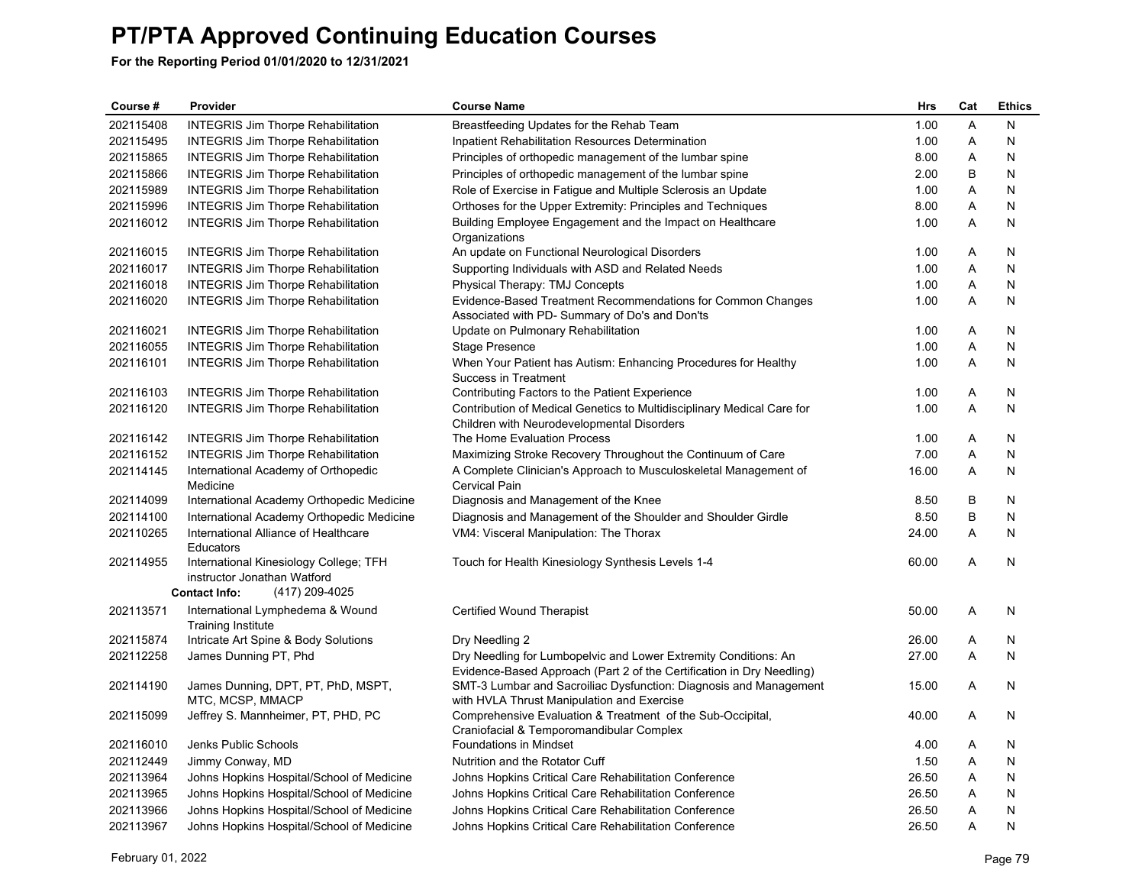| Course #  | Provider                                                                                                        | <b>Course Name</b>                                                                                                                       | Hrs   | Cat | <b>Ethics</b> |
|-----------|-----------------------------------------------------------------------------------------------------------------|------------------------------------------------------------------------------------------------------------------------------------------|-------|-----|---------------|
| 202115408 | <b>INTEGRIS Jim Thorpe Rehabilitation</b>                                                                       | Breastfeeding Updates for the Rehab Team                                                                                                 | 1.00  | Α   | N             |
| 202115495 | <b>INTEGRIS Jim Thorpe Rehabilitation</b>                                                                       | Inpatient Rehabilitation Resources Determination                                                                                         | 1.00  | Α   | N             |
| 202115865 | <b>INTEGRIS Jim Thorpe Rehabilitation</b>                                                                       | Principles of orthopedic management of the lumbar spine                                                                                  | 8.00  | Α   | N             |
| 202115866 | <b>INTEGRIS Jim Thorpe Rehabilitation</b>                                                                       | Principles of orthopedic management of the lumbar spine                                                                                  | 2.00  | B   | N             |
| 202115989 | <b>INTEGRIS Jim Thorpe Rehabilitation</b>                                                                       | Role of Exercise in Fatigue and Multiple Sclerosis an Update                                                                             | 1.00  | Α   | N             |
| 202115996 | <b>INTEGRIS Jim Thorpe Rehabilitation</b>                                                                       | Orthoses for the Upper Extremity: Principles and Techniques                                                                              | 8.00  | Α   | N             |
| 202116012 | <b>INTEGRIS Jim Thorpe Rehabilitation</b>                                                                       | Building Employee Engagement and the Impact on Healthcare<br>Organizations                                                               | 1.00  | A   | N             |
| 202116015 | <b>INTEGRIS Jim Thorpe Rehabilitation</b>                                                                       | An update on Functional Neurological Disorders                                                                                           | 1.00  | Α   | N             |
| 202116017 | <b>INTEGRIS Jim Thorpe Rehabilitation</b>                                                                       | Supporting Individuals with ASD and Related Needs                                                                                        | 1.00  | Α   | N             |
| 202116018 | <b>INTEGRIS Jim Thorpe Rehabilitation</b>                                                                       | Physical Therapy: TMJ Concepts                                                                                                           | 1.00  | Α   | N             |
| 202116020 | <b>INTEGRIS Jim Thorpe Rehabilitation</b>                                                                       | Evidence-Based Treatment Recommendations for Common Changes<br>Associated with PD- Summary of Do's and Don'ts                            | 1.00  | A   | N             |
| 202116021 | <b>INTEGRIS Jim Thorpe Rehabilitation</b>                                                                       | Update on Pulmonary Rehabilitation                                                                                                       | 1.00  | Α   | N             |
| 202116055 | <b>INTEGRIS Jim Thorpe Rehabilitation</b>                                                                       | <b>Stage Presence</b>                                                                                                                    | 1.00  | A   | N             |
| 202116101 | <b>INTEGRIS Jim Thorpe Rehabilitation</b>                                                                       | When Your Patient has Autism: Enhancing Procedures for Healthy<br><b>Success in Treatment</b>                                            | 1.00  | A   | N             |
| 202116103 | <b>INTEGRIS Jim Thorpe Rehabilitation</b>                                                                       | Contributing Factors to the Patient Experience                                                                                           | 1.00  | Α   | N             |
| 202116120 | <b>INTEGRIS Jim Thorpe Rehabilitation</b>                                                                       | Contribution of Medical Genetics to Multidisciplinary Medical Care for<br>Children with Neurodevelopmental Disorders                     | 1.00  | A   | N             |
| 202116142 | <b>INTEGRIS Jim Thorpe Rehabilitation</b>                                                                       | The Home Evaluation Process                                                                                                              | 1.00  | Α   | N             |
| 202116152 | <b>INTEGRIS Jim Thorpe Rehabilitation</b>                                                                       | Maximizing Stroke Recovery Throughout the Continuum of Care                                                                              | 7.00  | Α   | N             |
| 202114145 | International Academy of Orthopedic<br>Medicine                                                                 | A Complete Clinician's Approach to Musculoskeletal Management of<br><b>Cervical Pain</b>                                                 | 16.00 | Α   | N             |
| 202114099 | International Academy Orthopedic Medicine                                                                       | Diagnosis and Management of the Knee                                                                                                     | 8.50  | B   | N             |
| 202114100 | International Academy Orthopedic Medicine                                                                       | Diagnosis and Management of the Shoulder and Shoulder Girdle                                                                             | 8.50  | B   | N             |
| 202110265 | International Alliance of Healthcare<br>Educators                                                               | VM4: Visceral Manipulation: The Thorax                                                                                                   | 24.00 | A   | N             |
| 202114955 | International Kinesiology College; TFH<br>instructor Jonathan Watford<br>(417) 209-4025<br><b>Contact Info:</b> | Touch for Health Kinesiology Synthesis Levels 1-4                                                                                        | 60.00 | Α   | N             |
| 202113571 | International Lymphedema & Wound                                                                                | Certified Wound Therapist                                                                                                                | 50.00 | A   | N             |
|           | Training Institute                                                                                              |                                                                                                                                          |       |     |               |
| 202115874 | Intricate Art Spine & Body Solutions                                                                            | Dry Needling 2                                                                                                                           | 26.00 | Α   | N             |
| 202112258 | James Dunning PT, Phd                                                                                           | Dry Needling for Lumbopelvic and Lower Extremity Conditions: An<br>Evidence-Based Approach (Part 2 of the Certification in Dry Needling) | 27.00 | A   | N             |
| 202114190 | James Dunning, DPT, PT, PhD, MSPT,<br>MTC, MCSP, MMACP                                                          | SMT-3 Lumbar and Sacroiliac Dysfunction: Diagnosis and Management<br>with HVLA Thrust Manipulation and Exercise                          | 15.00 | Α   | N             |
| 202115099 | Jeffrey S. Mannheimer, PT, PHD, PC                                                                              | Comprehensive Evaluation & Treatment of the Sub-Occipital,<br>Craniofacial & Temporomandibular Complex                                   | 40.00 | A   | N             |
| 202116010 | Jenks Public Schools                                                                                            | <b>Foundations in Mindset</b>                                                                                                            | 4.00  | Α   | N             |
| 202112449 | Jimmy Conway, MD                                                                                                | Nutrition and the Rotator Cuff                                                                                                           | 1.50  | Α   | N             |
| 202113964 | Johns Hopkins Hospital/School of Medicine                                                                       | Johns Hopkins Critical Care Rehabilitation Conference                                                                                    | 26.50 | Α   | N             |
| 202113965 | Johns Hopkins Hospital/School of Medicine                                                                       | Johns Hopkins Critical Care Rehabilitation Conference                                                                                    | 26.50 | Α   | N             |
| 202113966 | Johns Hopkins Hospital/School of Medicine                                                                       | Johns Hopkins Critical Care Rehabilitation Conference                                                                                    | 26.50 | A   | N             |
| 202113967 | Johns Hopkins Hospital/School of Medicine                                                                       | Johns Hopkins Critical Care Rehabilitation Conference                                                                                    | 26.50 | Α   | N             |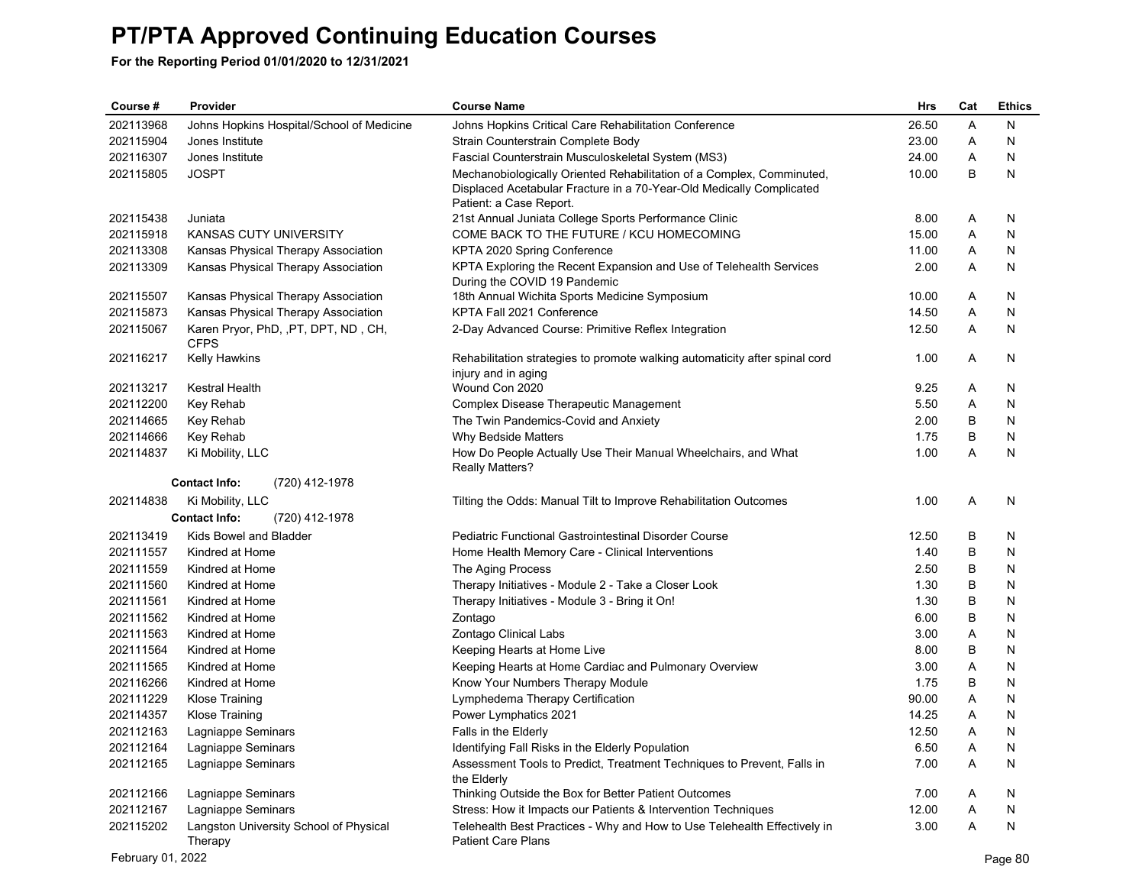| Course #          | Provider                                            | <b>Course Name</b>                                                                                    | Hrs   | Cat | <b>Ethics</b> |
|-------------------|-----------------------------------------------------|-------------------------------------------------------------------------------------------------------|-------|-----|---------------|
| 202113968         | Johns Hopkins Hospital/School of Medicine           | Johns Hopkins Critical Care Rehabilitation Conference                                                 | 26.50 | A   | N             |
| 202115904         | Jones Institute                                     | Strain Counterstrain Complete Body                                                                    | 23.00 | Α   | N             |
| 202116307         | Jones Institute                                     | Fascial Counterstrain Musculoskeletal System (MS3)                                                    | 24.00 | Α   | N             |
| 202115805         | <b>JOSPT</b>                                        | Mechanobiologically Oriented Rehabilitation of a Complex, Comminuted,                                 | 10.00 | B   | Ν             |
|                   |                                                     | Displaced Acetabular Fracture in a 70-Year-Old Medically Complicated                                  |       |     |               |
|                   |                                                     | Patient: a Case Report.                                                                               |       |     |               |
| 202115438         | Juniata                                             | 21st Annual Juniata College Sports Performance Clinic                                                 | 8.00  | Α   | N             |
| 202115918         | KANSAS CUTY UNIVERSITY                              | COME BACK TO THE FUTURE / KCU HOMECOMING                                                              | 15.00 | Α   | N             |
| 202113308         | Kansas Physical Therapy Association                 | KPTA 2020 Spring Conference                                                                           | 11.00 | Α   | N             |
| 202113309         | Kansas Physical Therapy Association                 | KPTA Exploring the Recent Expansion and Use of Telehealth Services<br>During the COVID 19 Pandemic    | 2.00  | Α   | N             |
| 202115507         | Kansas Physical Therapy Association                 | 18th Annual Wichita Sports Medicine Symposium                                                         | 10.00 | Α   | N             |
| 202115873         | Kansas Physical Therapy Association                 | KPTA Fall 2021 Conference                                                                             | 14.50 | Α   | N             |
| 202115067         | Karen Pryor, PhD, , PT, DPT, ND, CH,<br><b>CFPS</b> | 2-Day Advanced Course: Primitive Reflex Integration                                                   | 12.50 | Α   | N             |
| 202116217         | <b>Kelly Hawkins</b>                                | Rehabilitation strategies to promote walking automaticity after spinal cord<br>injury and in aging    | 1.00  | Α   | N             |
| 202113217         | Kestral Health                                      | Wound Con 2020                                                                                        | 9.25  | A   | N             |
| 202112200         | Key Rehab                                           | Complex Disease Therapeutic Management                                                                | 5.50  | Α   | N             |
| 202114665         | Key Rehab                                           | The Twin Pandemics-Covid and Anxiety                                                                  | 2.00  | В   | N             |
| 202114666         | Key Rehab                                           | <b>Why Bedside Matters</b>                                                                            | 1.75  | В   | N             |
| 202114837         | Ki Mobility, LLC                                    | How Do People Actually Use Their Manual Wheelchairs, and What<br><b>Really Matters?</b>               | 1.00  | A   | N             |
|                   | (720) 412-1978<br><b>Contact Info:</b>              |                                                                                                       |       |     |               |
| 202114838         | Ki Mobility, LLC                                    | Tilting the Odds: Manual Tilt to Improve Rehabilitation Outcomes                                      | 1.00  | Α   | N             |
|                   | (720) 412-1978<br><b>Contact Info:</b>              |                                                                                                       |       |     |               |
| 202113419         | Kids Bowel and Bladder                              | Pediatric Functional Gastrointestinal Disorder Course                                                 | 12.50 | В   | N             |
| 202111557         | Kindred at Home                                     | Home Health Memory Care - Clinical Interventions                                                      | 1.40  | В   | N             |
| 202111559         | Kindred at Home                                     | The Aging Process                                                                                     | 2.50  | В   | N             |
| 202111560         | Kindred at Home                                     | Therapy Initiatives - Module 2 - Take a Closer Look                                                   | 1.30  | В   | N             |
| 202111561         | Kindred at Home                                     | Therapy Initiatives - Module 3 - Bring it On!                                                         | 1.30  | B   | N             |
| 202111562         | Kindred at Home                                     | Zontago                                                                                               | 6.00  | В   | N             |
| 202111563         | Kindred at Home                                     | Zontago Clinical Labs                                                                                 | 3.00  | Α   | N             |
| 202111564         | Kindred at Home                                     | Keeping Hearts at Home Live                                                                           | 8.00  | В   | N             |
| 202111565         | Kindred at Home                                     | Keeping Hearts at Home Cardiac and Pulmonary Overview                                                 | 3.00  | Α   | N             |
| 202116266         | Kindred at Home                                     | Know Your Numbers Therapy Module                                                                      | 1.75  | В   | N             |
| 202111229         | <b>Klose Training</b>                               | Lymphedema Therapy Certification                                                                      | 90.00 | A   | N             |
| 202114357         | <b>Klose Training</b>                               | Power Lymphatics 2021                                                                                 | 14.25 | Α   | N             |
| 202112163         | Lagniappe Seminars                                  | Falls in the Elderly                                                                                  | 12.50 | Α   | N             |
| 202112164         | Lagniappe Seminars                                  | Identifying Fall Risks in the Elderly Population                                                      | 6.50  | Α   | N             |
| 202112165         | Lagniappe Seminars                                  | Assessment Tools to Predict, Treatment Techniques to Prevent, Falls in<br>the Elderly                 | 7.00  | Α   | N             |
| 202112166         | Lagniappe Seminars                                  | Thinking Outside the Box for Better Patient Outcomes                                                  | 7.00  | A   | N             |
| 202112167         | Lagniappe Seminars                                  | Stress: How it Impacts our Patients & Intervention Techniques                                         | 12.00 | A   | N             |
| 202115202         | Langston University School of Physical<br>Therapy   | Telehealth Best Practices - Why and How to Use Telehealth Effectively in<br><b>Patient Care Plans</b> | 3.00  | A   | N             |
| February 01, 2022 |                                                     |                                                                                                       |       |     | Page 80       |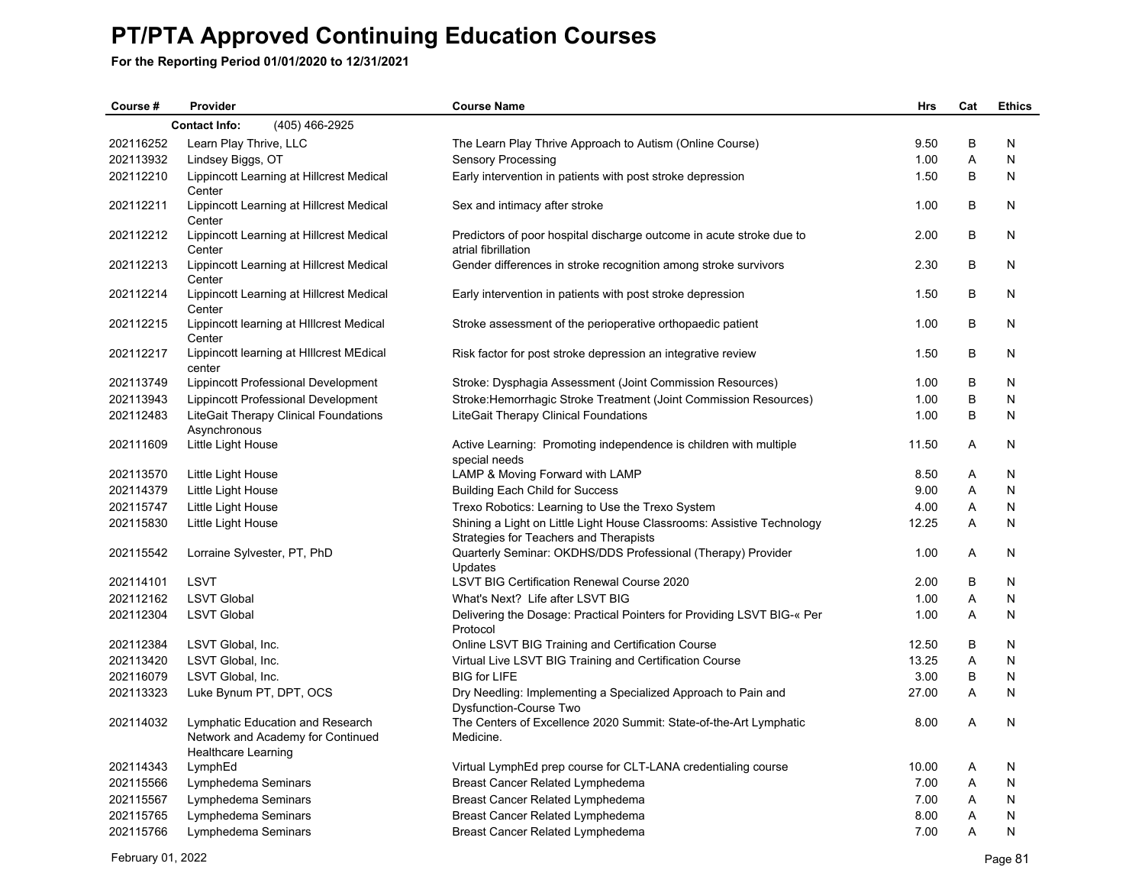| Course #  | Provider                                                                                            | <b>Course Name</b>                                                                                                | <b>Hrs</b> | Cat            | <b>Ethics</b> |  |  |  |  |
|-----------|-----------------------------------------------------------------------------------------------------|-------------------------------------------------------------------------------------------------------------------|------------|----------------|---------------|--|--|--|--|
|           | (405) 466-2925<br><b>Contact Info:</b>                                                              |                                                                                                                   |            |                |               |  |  |  |  |
| 202116252 | Learn Play Thrive, LLC                                                                              | The Learn Play Thrive Approach to Autism (Online Course)                                                          | 9.50       | B              | N             |  |  |  |  |
| 202113932 | Lindsey Biggs, OT                                                                                   | Sensory Processing                                                                                                | 1.00       | Α              | N             |  |  |  |  |
| 202112210 | Lippincott Learning at Hillcrest Medical<br>Center                                                  | Early intervention in patients with post stroke depression                                                        | 1.50       | B              | N             |  |  |  |  |
| 202112211 | Lippincott Learning at Hillcrest Medical<br>Center                                                  | Sex and intimacy after stroke                                                                                     | 1.00       | В              | N             |  |  |  |  |
| 202112212 | Lippincott Learning at Hillcrest Medical<br>Center                                                  | Predictors of poor hospital discharge outcome in acute stroke due to<br>atrial fibrillation                       | 2.00       | B              | N             |  |  |  |  |
| 202112213 | Lippincott Learning at Hillcrest Medical<br>Center                                                  | Gender differences in stroke recognition among stroke survivors                                                   | 2.30       | B              | N             |  |  |  |  |
| 202112214 | Lippincott Learning at Hillcrest Medical<br>Center                                                  | Early intervention in patients with post stroke depression                                                        | 1.50       | B              | N             |  |  |  |  |
| 202112215 | Lippincott learning at Hillcrest Medical<br>Center                                                  | Stroke assessment of the perioperative orthopaedic patient                                                        | 1.00       | B              | N             |  |  |  |  |
| 202112217 | Lippincott learning at Hillcrest MEdical<br>center                                                  | Risk factor for post stroke depression an integrative review                                                      | 1.50       | B              | N             |  |  |  |  |
| 202113749 | Lippincott Professional Development                                                                 | Stroke: Dysphagia Assessment (Joint Commission Resources)                                                         | 1.00       | B              | N             |  |  |  |  |
| 202113943 | Lippincott Professional Development                                                                 | Stroke: Hemorrhagic Stroke Treatment (Joint Commission Resources)                                                 | 1.00       | B              | N             |  |  |  |  |
| 202112483 | LiteGait Therapy Clinical Foundations<br>Asynchronous                                               | LiteGait Therapy Clinical Foundations                                                                             | 1.00       | B              | N             |  |  |  |  |
| 202111609 | Little Light House                                                                                  | Active Learning: Promoting independence is children with multiple<br>special needs                                | 11.50      | A              | N             |  |  |  |  |
| 202113570 | Little Light House                                                                                  | LAMP & Moving Forward with LAMP                                                                                   | 8.50       | Α              | N             |  |  |  |  |
| 202114379 | Little Light House                                                                                  | <b>Building Each Child for Success</b>                                                                            | 9.00       | A              | N             |  |  |  |  |
| 202115747 | Little Light House                                                                                  | Trexo Robotics: Learning to Use the Trexo System                                                                  | 4.00       | Α              | N             |  |  |  |  |
| 202115830 | Little Light House                                                                                  | Shining a Light on Little Light House Classrooms: Assistive Technology                                            | 12.25      | Α              | N             |  |  |  |  |
| 202115542 | Lorraine Sylvester, PT, PhD                                                                         | Strategies for Teachers and Therapists<br>Quarterly Seminar: OKDHS/DDS Professional (Therapy) Provider<br>Updates | 1.00       | Α              | N             |  |  |  |  |
| 202114101 | <b>LSVT</b>                                                                                         | LSVT BIG Certification Renewal Course 2020                                                                        | 2.00       | B              | N             |  |  |  |  |
| 202112162 | <b>LSVT Global</b>                                                                                  | What's Next? Life after LSVT BIG                                                                                  | 1.00       | Α              | N             |  |  |  |  |
| 202112304 | <b>LSVT Global</b>                                                                                  | Delivering the Dosage: Practical Pointers for Providing LSVT BIG-« Per<br>Protocol                                | 1.00       | Α              | N             |  |  |  |  |
| 202112384 | LSVT Global, Inc.                                                                                   | Online LSVT BIG Training and Certification Course                                                                 | 12.50      | В              | N             |  |  |  |  |
| 202113420 | LSVT Global, Inc.                                                                                   | Virtual Live LSVT BIG Training and Certification Course                                                           | 13.25      | A              | N             |  |  |  |  |
| 202116079 | LSVT Global, Inc.                                                                                   | <b>BIG for LIFE</b>                                                                                               | 3.00       | B              | N             |  |  |  |  |
| 202113323 | Luke Bynum PT, DPT, OCS                                                                             | Dry Needling: Implementing a Specialized Approach to Pain and<br><b>Dysfunction-Course Two</b>                    | 27.00      | A              | N             |  |  |  |  |
| 202114032 | Lymphatic Education and Research<br>Network and Academy for Continued<br><b>Healthcare Learning</b> | The Centers of Excellence 2020 Summit: State-of-the-Art Lymphatic<br>Medicine.                                    | 8.00       | $\overline{A}$ | N             |  |  |  |  |
| 202114343 | LymphEd                                                                                             | Virtual LymphEd prep course for CLT-LANA credentialing course                                                     | 10.00      | Α              | N             |  |  |  |  |
| 202115566 | Lymphedema Seminars                                                                                 | Breast Cancer Related Lymphedema                                                                                  | 7.00       | Α              | N             |  |  |  |  |
| 202115567 | Lymphedema Seminars                                                                                 | Breast Cancer Related Lymphedema                                                                                  | 7.00       | A              | N             |  |  |  |  |
| 202115765 | Lymphedema Seminars                                                                                 | <b>Breast Cancer Related Lymphedema</b>                                                                           | 8.00       | Α              | N             |  |  |  |  |
| 202115766 | Lymphedema Seminars                                                                                 | <b>Breast Cancer Related Lymphedema</b>                                                                           | 7.00       | A              | N             |  |  |  |  |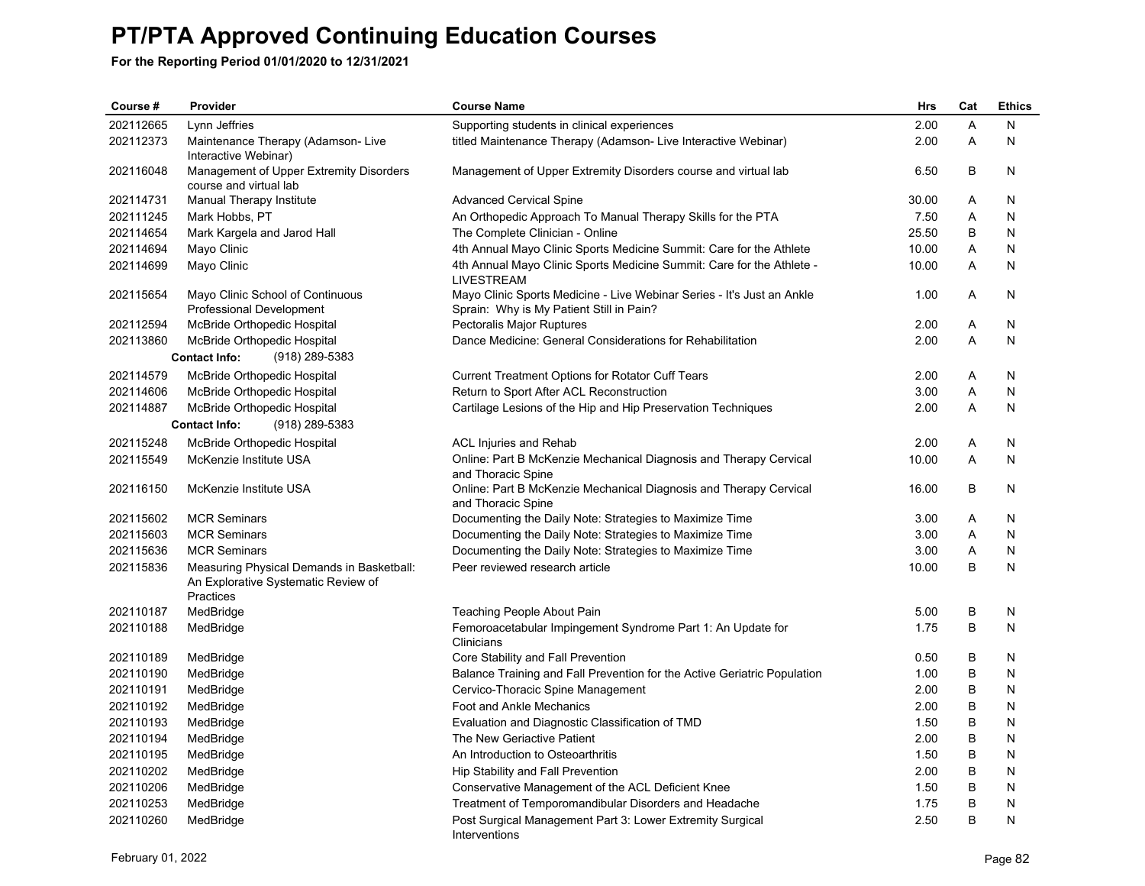| Course #  | Provider                                                                                      | <b>Course Name</b>                                                                         | <b>Hrs</b> | Cat | <b>Ethics</b> |
|-----------|-----------------------------------------------------------------------------------------------|--------------------------------------------------------------------------------------------|------------|-----|---------------|
| 202112665 | Lynn Jeffries                                                                                 | Supporting students in clinical experiences                                                | 2.00       | A   | N             |
| 202112373 | Maintenance Therapy (Adamson-Live<br>Interactive Webinar)                                     | titled Maintenance Therapy (Adamson- Live Interactive Webinar)                             | 2.00       | A   | N             |
| 202116048 | Management of Upper Extremity Disorders<br>course and virtual lab                             | Management of Upper Extremity Disorders course and virtual lab                             | 6.50       | B   | N             |
| 202114731 | Manual Therapy Institute                                                                      | <b>Advanced Cervical Spine</b>                                                             | 30.00      | A   | N             |
| 202111245 | Mark Hobbs, PT                                                                                | An Orthopedic Approach To Manual Therapy Skills for the PTA                                | 7.50       | A   | N             |
| 202114654 | Mark Kargela and Jarod Hall                                                                   | The Complete Clinician - Online                                                            | 25.50      | B   | N             |
| 202114694 | Mayo Clinic                                                                                   | 4th Annual Mayo Clinic Sports Medicine Summit: Care for the Athlete                        | 10.00      | Α   | N             |
| 202114699 | Mayo Clinic                                                                                   | 4th Annual Mayo Clinic Sports Medicine Summit: Care for the Athlete -<br><b>LIVESTREAM</b> | 10.00      | A   | N             |
| 202115654 | Mayo Clinic School of Continuous                                                              | Mayo Clinic Sports Medicine - Live Webinar Series - It's Just an Ankle                     | 1.00       | A   | N             |
|           | <b>Professional Development</b>                                                               | Sprain: Why is My Patient Still in Pain?                                                   |            |     |               |
| 202112594 | McBride Orthopedic Hospital                                                                   | Pectoralis Major Ruptures                                                                  | 2.00       | A   | N             |
| 202113860 | McBride Orthopedic Hospital                                                                   | Dance Medicine: General Considerations for Rehabilitation                                  | 2.00       | A   | N             |
|           | <b>Contact Info:</b><br>(918) 289-5383                                                        |                                                                                            |            |     |               |
| 202114579 | McBride Orthopedic Hospital                                                                   | Current Treatment Options for Rotator Cuff Tears                                           | 2.00       | A   | N             |
| 202114606 | McBride Orthopedic Hospital                                                                   | Return to Sport After ACL Reconstruction                                                   | 3.00       | Α   | N             |
| 202114887 | McBride Orthopedic Hospital                                                                   | Cartilage Lesions of the Hip and Hip Preservation Techniques                               | 2.00       | A   | N             |
|           | <b>Contact Info:</b><br>(918) 289-5383                                                        |                                                                                            |            |     |               |
| 202115248 | McBride Orthopedic Hospital                                                                   | ACL Injuries and Rehab                                                                     | 2.00       | A   | N             |
| 202115549 | McKenzie Institute USA                                                                        | Online: Part B McKenzie Mechanical Diagnosis and Therapy Cervical<br>and Thoracic Spine    | 10.00      | A   | N             |
| 202116150 | McKenzie Institute USA                                                                        | Online: Part B McKenzie Mechanical Diagnosis and Therapy Cervical<br>and Thoracic Spine    | 16.00      | B   | N             |
| 202115602 | <b>MCR Seminars</b>                                                                           | Documenting the Daily Note: Strategies to Maximize Time                                    | 3.00       | Α   | N             |
| 202115603 | <b>MCR Seminars</b>                                                                           | Documenting the Daily Note: Strategies to Maximize Time                                    | 3.00       | A   | N             |
| 202115636 | <b>MCR Seminars</b>                                                                           | Documenting the Daily Note: Strategies to Maximize Time                                    | 3.00       | Α   | N             |
| 202115836 | Measuring Physical Demands in Basketball:<br>An Explorative Systematic Review of<br>Practices | Peer reviewed research article                                                             | 10.00      | B   | N             |
| 202110187 | MedBridge                                                                                     | Teaching People About Pain                                                                 | 5.00       | B   | N             |
| 202110188 | MedBridge                                                                                     | Femoroacetabular Impingement Syndrome Part 1: An Update for<br>Clinicians                  | 1.75       | B   | N             |
| 202110189 | MedBridge                                                                                     | Core Stability and Fall Prevention                                                         | 0.50       | B   | N             |
| 202110190 | MedBridge                                                                                     | Balance Training and Fall Prevention for the Active Geriatric Population                   | 1.00       | B   | N             |
| 202110191 | MedBridge                                                                                     | Cervico-Thoracic Spine Management                                                          | 2.00       | B   | N             |
| 202110192 | MedBridge                                                                                     | Foot and Ankle Mechanics                                                                   | 2.00       | B   | N             |
| 202110193 | MedBridge                                                                                     | Evaluation and Diagnostic Classification of TMD                                            | 1.50       | B   | N             |
| 202110194 | MedBridge                                                                                     | The New Geriactive Patient                                                                 | 2.00       | B   | N             |
| 202110195 | MedBridge                                                                                     | An Introduction to Osteoarthritis                                                          | 1.50       | B   | N             |
| 202110202 | MedBridge                                                                                     | Hip Stability and Fall Prevention                                                          | 2.00       | B   | N             |
| 202110206 | MedBridge                                                                                     | Conservative Management of the ACL Deficient Knee                                          | 1.50       | B   | N             |
| 202110253 | MedBridge                                                                                     | Treatment of Temporomandibular Disorders and Headache                                      | 1.75       | B   | N             |
| 202110260 | MedBridge                                                                                     | Post Surgical Management Part 3: Lower Extremity Surgical<br>Interventions                 | 2.50       | B   | N             |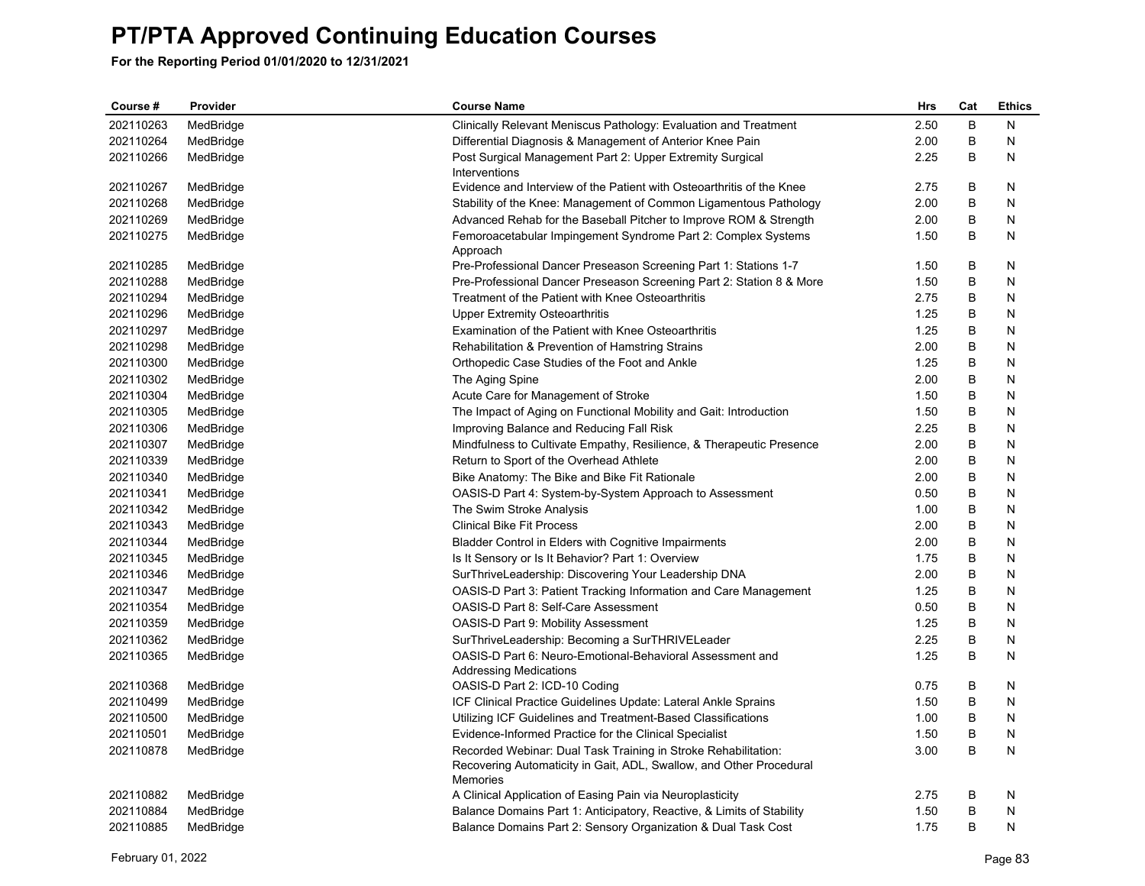| Course #  | Provider  | <b>Course Name</b>                                                    | <b>Hrs</b> | Cat | <b>Ethics</b> |
|-----------|-----------|-----------------------------------------------------------------------|------------|-----|---------------|
| 202110263 | MedBridge | Clinically Relevant Meniscus Pathology: Evaluation and Treatment      | 2.50       | B   | N             |
| 202110264 | MedBridge | Differential Diagnosis & Management of Anterior Knee Pain             | 2.00       | B   | N             |
| 202110266 | MedBridge | Post Surgical Management Part 2: Upper Extremity Surgical             | 2.25       | B   | N             |
|           |           | Interventions                                                         |            |     |               |
| 202110267 | MedBridge | Evidence and Interview of the Patient with Osteoarthritis of the Knee | 2.75       | В   | N             |
| 202110268 | MedBridge | Stability of the Knee: Management of Common Ligamentous Pathology     | 2.00       | B   | N             |
| 202110269 | MedBridge | Advanced Rehab for the Baseball Pitcher to Improve ROM & Strength     | 2.00       | В   | N             |
| 202110275 | MedBridge | Femoroacetabular Impingement Syndrome Part 2: Complex Systems         | 1.50       | В   | N             |
|           |           | Approach                                                              |            |     |               |
| 202110285 | MedBridge | Pre-Professional Dancer Preseason Screening Part 1: Stations 1-7      | 1.50       | В   | N             |
| 202110288 | MedBridge | Pre-Professional Dancer Preseason Screening Part 2: Station 8 & More  | 1.50       | B   | N             |
| 202110294 | MedBridge | Treatment of the Patient with Knee Osteoarthritis                     | 2.75       | В   | N             |
| 202110296 | MedBridge | <b>Upper Extremity Osteoarthritis</b>                                 | 1.25       | B   | N             |
| 202110297 | MedBridge | Examination of the Patient with Knee Osteoarthritis                   | 1.25       | В   | N             |
| 202110298 | MedBridge | Rehabilitation & Prevention of Hamstring Strains                      | 2.00       | B   | N             |
| 202110300 | MedBridge | Orthopedic Case Studies of the Foot and Ankle                         | 1.25       | B   | N             |
| 202110302 | MedBridge | The Aging Spine                                                       | 2.00       | В   | N             |
| 202110304 | MedBridge | Acute Care for Management of Stroke                                   | 1.50       | B   | Ν             |
| 202110305 | MedBridge | The Impact of Aging on Functional Mobility and Gait: Introduction     | 1.50       | В   | N             |
| 202110306 | MedBridge | Improving Balance and Reducing Fall Risk                              | 2.25       | В   | N             |
| 202110307 | MedBridge | Mindfulness to Cultivate Empathy, Resilience, & Therapeutic Presence  | 2.00       | В   | N             |
| 202110339 | MedBridge | Return to Sport of the Overhead Athlete                               | 2.00       | B   | N             |
| 202110340 | MedBridge | Bike Anatomy: The Bike and Bike Fit Rationale                         | 2.00       | В   | N             |
| 202110341 | MedBridge | OASIS-D Part 4: System-by-System Approach to Assessment               | 0.50       | B   | N             |
| 202110342 | MedBridge | The Swim Stroke Analysis                                              | 1.00       | В   | N             |
| 202110343 | MedBridge | <b>Clinical Bike Fit Process</b>                                      | 2.00       | B   | N             |
| 202110344 | MedBridge | Bladder Control in Elders with Cognitive Impairments                  | 2.00       | В   | N             |
| 202110345 | MedBridge | Is It Sensory or Is It Behavior? Part 1: Overview                     | 1.75       | B   | N             |
| 202110346 | MedBridge | SurThriveLeadership: Discovering Your Leadership DNA                  | 2.00       | В   | N             |
| 202110347 | MedBridge | OASIS-D Part 3: Patient Tracking Information and Care Management      | 1.25       | В   | N             |
| 202110354 | MedBridge | OASIS-D Part 8: Self-Care Assessment                                  | 0.50       | B   | N             |
| 202110359 | MedBridge | OASIS-D Part 9: Mobility Assessment                                   | 1.25       | B   | N             |
| 202110362 | MedBridge | SurThriveLeadership: Becoming a SurTHRIVELeader                       | 2.25       | В   | N             |
| 202110365 | MedBridge | OASIS-D Part 6: Neuro-Emotional-Behavioral Assessment and             | 1.25       | В   | N             |
|           |           | Addressing Medications                                                |            |     |               |
| 202110368 | MedBridge | OASIS-D Part 2: ICD-10 Coding                                         | 0.75       | В   | N             |
| 202110499 | MedBridge | ICF Clinical Practice Guidelines Update: Lateral Ankle Sprains        | 1.50       | B   | N             |
| 202110500 | MedBridge | Utilizing ICF Guidelines and Treatment-Based Classifications          | 1.00       | В   | N             |
| 202110501 | MedBridge | Evidence-Informed Practice for the Clinical Specialist                | 1.50       | B   | N             |
| 202110878 | MedBridge | Recorded Webinar: Dual Task Training in Stroke Rehabilitation:        | 3.00       | B   | N             |
|           |           | Recovering Automaticity in Gait, ADL, Swallow, and Other Procedural   |            |     |               |
|           |           | Memories                                                              |            |     |               |
| 202110882 | MedBridge | A Clinical Application of Easing Pain via Neuroplasticity             | 2.75       | В   | N             |
| 202110884 | MedBridge | Balance Domains Part 1: Anticipatory, Reactive, & Limits of Stability | 1.50       | B   | N             |
| 202110885 | MedBridge | Balance Domains Part 2: Sensory Organization & Dual Task Cost         | 1.75       | B   | N             |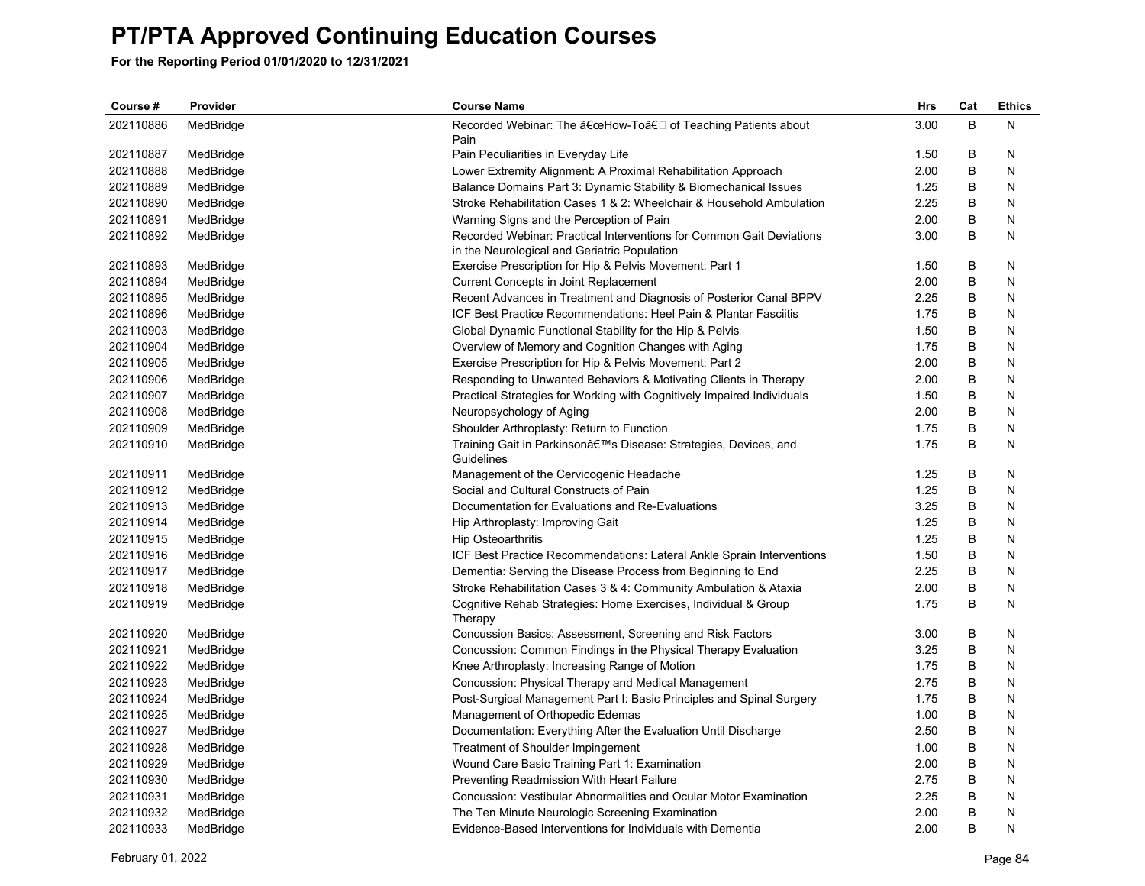| Course #  | Provider  | <b>Course Name</b>                                                     | <b>Hrs</b> | Cat | <b>Ethics</b> |
|-----------|-----------|------------------------------------------------------------------------|------------|-----|---------------|
| 202110886 | MedBridge | Recorded Webinar: The "How-Toâ€□ of Teaching Patients about            | 3.00       | B   | И             |
|           |           | Pain                                                                   |            |     |               |
| 202110887 | MedBridge | Pain Peculiarities in Everyday Life                                    | 1.50       | B   | N             |
| 202110888 | MedBridge | Lower Extremity Alignment: A Proximal Rehabilitation Approach          | 2.00       | B   | N             |
| 202110889 | MedBridge | Balance Domains Part 3: Dynamic Stability & Biomechanical Issues       | 1.25       | B   | N             |
| 202110890 | MedBridge | Stroke Rehabilitation Cases 1 & 2: Wheelchair & Household Ambulation   | 2.25       | B   | Ν             |
| 202110891 | MedBridge | Warning Signs and the Perception of Pain                               | 2.00       | B   | N             |
| 202110892 | MedBridge | Recorded Webinar: Practical Interventions for Common Gait Deviations   | 3.00       | B   | N             |
|           |           | in the Neurological and Geriatric Population                           |            |     |               |
| 202110893 | MedBridge | Exercise Prescription for Hip & Pelvis Movement: Part 1                | 1.50       | B   | N             |
| 202110894 | MedBridge | Current Concepts in Joint Replacement                                  | 2.00       | B   | N             |
| 202110895 | MedBridge | Recent Advances in Treatment and Diagnosis of Posterior Canal BPPV     | 2.25       | В   | N             |
| 202110896 | MedBridge | ICF Best Practice Recommendations: Heel Pain & Plantar Fasciitis       | 1.75       | B   | Ν             |
| 202110903 | MedBridge | Global Dynamic Functional Stability for the Hip & Pelvis               | 1.50       | B   | N             |
| 202110904 | MedBridge | Overview of Memory and Cognition Changes with Aging                    | 1.75       | B   | N             |
| 202110905 | MedBridge | Exercise Prescription for Hip & Pelvis Movement: Part 2                | 2.00       | B   | Ν             |
| 202110906 | MedBridge | Responding to Unwanted Behaviors & Motivating Clients in Therapy       | 2.00       | B   | Ν             |
| 202110907 | MedBridge | Practical Strategies for Working with Cognitively Impaired Individuals | 1.50       | B   | Ν             |
| 202110908 | MedBridge | Neuropsychology of Aging                                               | 2.00       | B   | N             |
| 202110909 | MedBridge | Shoulder Arthroplasty: Return to Function                              | 1.75       | B   | N             |
| 202110910 | MedBridge | Training Gait in Parkinson's Disease: Strategies, Devices, and         | 1.75       | B   | N             |
|           |           | Guidelines                                                             |            |     |               |
| 202110911 | MedBridge | Management of the Cervicogenic Headache                                | 1.25       | B   | N             |
| 202110912 | MedBridge | Social and Cultural Constructs of Pain                                 | 1.25       | B   | N             |
| 202110913 | MedBridge | Documentation for Evaluations and Re-Evaluations                       | 3.25       | B   | N             |
| 202110914 | MedBridge | Hip Arthroplasty: Improving Gait                                       | 1.25       | B   | N             |
| 202110915 | MedBridge | <b>Hip Osteoarthritis</b>                                              | 1.25       | B   | N             |
| 202110916 | MedBridge | ICF Best Practice Recommendations: Lateral Ankle Sprain Interventions  | 1.50       | B   | N             |
| 202110917 | MedBridge | Dementia: Serving the Disease Process from Beginning to End            | 2.25       | B   | N             |
| 202110918 | MedBridge | Stroke Rehabilitation Cases 3 & 4: Community Ambulation & Ataxia       | 2.00       | B   | N             |
| 202110919 | MedBridge | Cognitive Rehab Strategies: Home Exercises, Individual & Group         | 1.75       | B   | Ν             |
|           |           | Therapy                                                                |            |     |               |
| 202110920 | MedBridge | Concussion Basics: Assessment, Screening and Risk Factors              | 3.00       | B   | N             |
| 202110921 | MedBridge | Concussion: Common Findings in the Physical Therapy Evaluation         | 3.25       | B   | N             |
| 202110922 | MedBridge | Knee Arthroplasty: Increasing Range of Motion                          | 1.75       | B   | N             |
| 202110923 | MedBridge | Concussion: Physical Therapy and Medical Management                    | 2.75       | B   | N             |
| 202110924 | MedBridge | Post-Surgical Management Part I: Basic Principles and Spinal Surgery   | 1.75       | B   | Ν             |
| 202110925 | MedBridge | Management of Orthopedic Edemas                                        | 1.00       | B   | N             |
| 202110927 | MedBridge | Documentation: Everything After the Evaluation Until Discharge         | 2.50       | B   | N             |
| 202110928 | MedBridge | <b>Treatment of Shoulder Impingement</b>                               | 1.00       | B   | Ν             |
| 202110929 | MedBridge | Wound Care Basic Training Part 1: Examination                          | 2.00       | B   | N             |
| 202110930 | MedBridge | Preventing Readmission With Heart Failure                              | 2.75       | B   | N             |
| 202110931 | MedBridge | Concussion: Vestibular Abnormalities and Ocular Motor Examination      | 2.25       | B   | N             |
| 202110932 | MedBridge | The Ten Minute Neurologic Screening Examination                        | 2.00       | B   | Ν             |
| 202110933 | MedBridge | Evidence-Based Interventions for Individuals with Dementia             | 2.00       | B   | N             |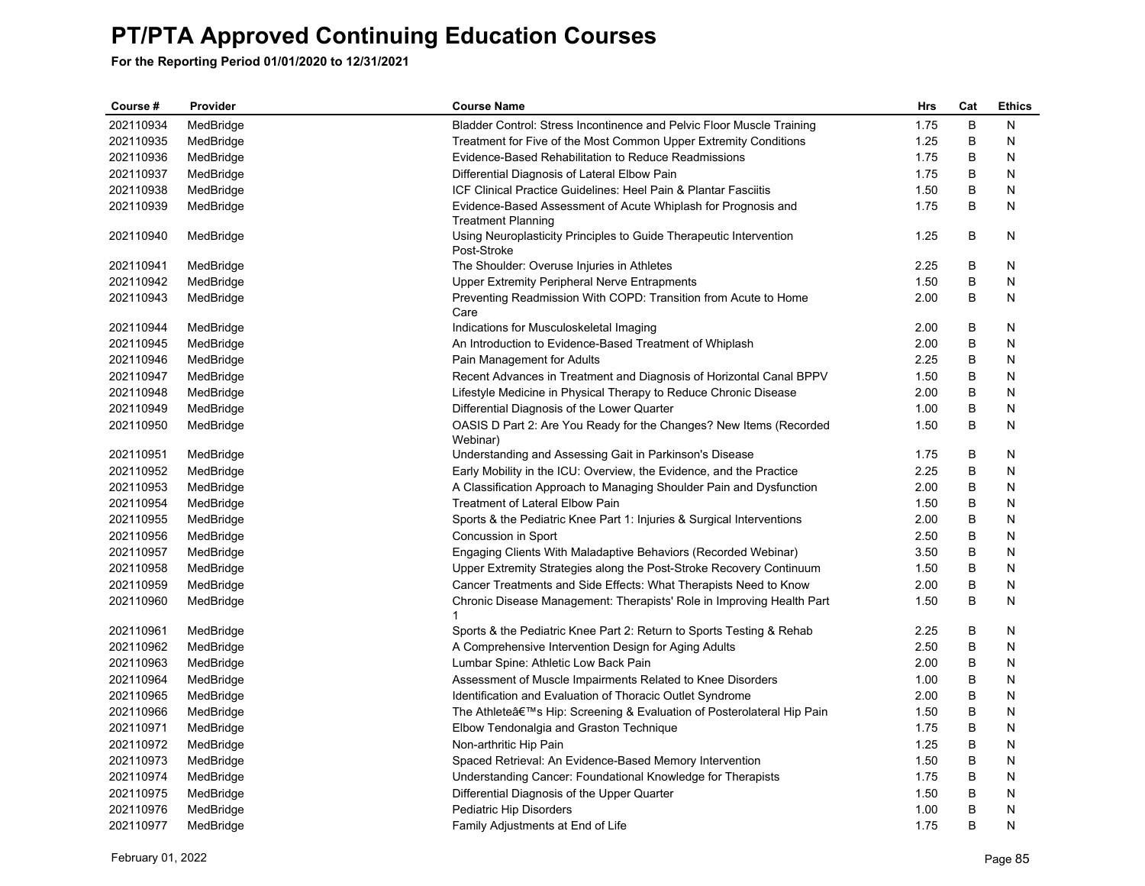| Course #  | Provider  | <b>Course Name</b>                                                                | <b>Hrs</b> | Cat | <b>Ethics</b> |
|-----------|-----------|-----------------------------------------------------------------------------------|------------|-----|---------------|
| 202110934 | MedBridge | Bladder Control: Stress Incontinence and Pelvic Floor Muscle Training             | 1.75       | B   | N             |
| 202110935 | MedBridge | Treatment for Five of the Most Common Upper Extremity Conditions                  | 1.25       | В   | N             |
| 202110936 | MedBridge | Evidence-Based Rehabilitation to Reduce Readmissions                              | 1.75       | B   | N             |
| 202110937 | MedBridge | Differential Diagnosis of Lateral Elbow Pain                                      | 1.75       | B   | N             |
| 202110938 | MedBridge | ICF Clinical Practice Guidelines: Heel Pain & Plantar Fasciitis                   | 1.50       | В   | N             |
| 202110939 | MedBridge | Evidence-Based Assessment of Acute Whiplash for Prognosis and                     | 1.75       | B   | N             |
|           |           | <b>Treatment Planning</b>                                                         |            |     |               |
| 202110940 | MedBridge | Using Neuroplasticity Principles to Guide Therapeutic Intervention<br>Post-Stroke | 1.25       | B   | N             |
| 202110941 | MedBridge | The Shoulder: Overuse Injuries in Athletes                                        | 2.25       | B   | N             |
| 202110942 | MedBridge | <b>Upper Extremity Peripheral Nerve Entrapments</b>                               | 1.50       | B   | N             |
| 202110943 | MedBridge | Preventing Readmission With COPD: Transition from Acute to Home<br>Care           | 2.00       | В   | N             |
| 202110944 | MedBridge | Indications for Musculoskeletal Imaging                                           | 2.00       | В   | N             |
| 202110945 | MedBridge | An Introduction to Evidence-Based Treatment of Whiplash                           | 2.00       | B   | N             |
| 202110946 | MedBridge | Pain Management for Adults                                                        | 2.25       | В   | N             |
| 202110947 | MedBridge | Recent Advances in Treatment and Diagnosis of Horizontal Canal BPPV               | 1.50       | B   | N             |
| 202110948 | MedBridge | Lifestyle Medicine in Physical Therapy to Reduce Chronic Disease                  | 2.00       | B   | N             |
| 202110949 | MedBridge | Differential Diagnosis of the Lower Quarter                                       | 1.00       | B   | N             |
| 202110950 | MedBridge | OASIS D Part 2: Are You Ready for the Changes? New Items (Recorded<br>Webinar)    | 1.50       | В   | N             |
| 202110951 | MedBridge | Understanding and Assessing Gait in Parkinson's Disease                           | 1.75       | В   | N             |
| 202110952 | MedBridge | Early Mobility in the ICU: Overview, the Evidence, and the Practice               | 2.25       | B   | N             |
| 202110953 | MedBridge | A Classification Approach to Managing Shoulder Pain and Dysfunction               | 2.00       | В   | N             |
| 202110954 | MedBridge | <b>Treatment of Lateral Elbow Pain</b>                                            | 1.50       | В   | N             |
| 202110955 | MedBridge | Sports & the Pediatric Knee Part 1: Injuries & Surgical Interventions             | 2.00       | В   | N             |
| 202110956 | MedBridge | Concussion in Sport                                                               | 2.50       | B   | N             |
| 202110957 | MedBridge | Engaging Clients With Maladaptive Behaviors (Recorded Webinar)                    | 3.50       | В   | N             |
| 202110958 | MedBridge | Upper Extremity Strategies along the Post-Stroke Recovery Continuum               | 1.50       | B   | N             |
| 202110959 | MedBridge | Cancer Treatments and Side Effects: What Therapists Need to Know                  | 2.00       | В   | N             |
| 202110960 | MedBridge | Chronic Disease Management: Therapists' Role in Improving Health Part<br>1        | 1.50       | B   | Ν             |
| 202110961 | MedBridge | Sports & the Pediatric Knee Part 2: Return to Sports Testing & Rehab              | 2.25       | B   | N             |
| 202110962 | MedBridge | A Comprehensive Intervention Design for Aging Adults                              | 2.50       | B   | N             |
| 202110963 | MedBridge | Lumbar Spine: Athletic Low Back Pain                                              | 2.00       | В   | N             |
| 202110964 | MedBridge | Assessment of Muscle Impairments Related to Knee Disorders                        | 1.00       | В   | N             |
| 202110965 | MedBridge | Identification and Evaluation of Thoracic Outlet Syndrome                         | 2.00       | B   | N             |
| 202110966 | MedBridge | The Athlete's Hip: Screening & Evaluation of Posterolateral Hip Pain              | 1.50       | В   | N             |
| 202110971 | MedBridge | Elbow Tendonalgia and Graston Technique                                           | 1.75       | В   | N             |
| 202110972 | MedBridge | Non-arthritic Hip Pain                                                            | 1.25       | B   | N             |
| 202110973 | MedBridge | Spaced Retrieval: An Evidence-Based Memory Intervention                           | 1.50       | B   | N             |
| 202110974 | MedBridge | Understanding Cancer: Foundational Knowledge for Therapists                       | 1.75       | B   | N             |
| 202110975 | MedBridge | Differential Diagnosis of the Upper Quarter                                       | 1.50       | B   | N             |
| 202110976 | MedBridge | Pediatric Hip Disorders                                                           | 1.00       | B   | N             |
| 202110977 | MedBridge | Family Adjustments at End of Life                                                 | 1.75       | B   | N             |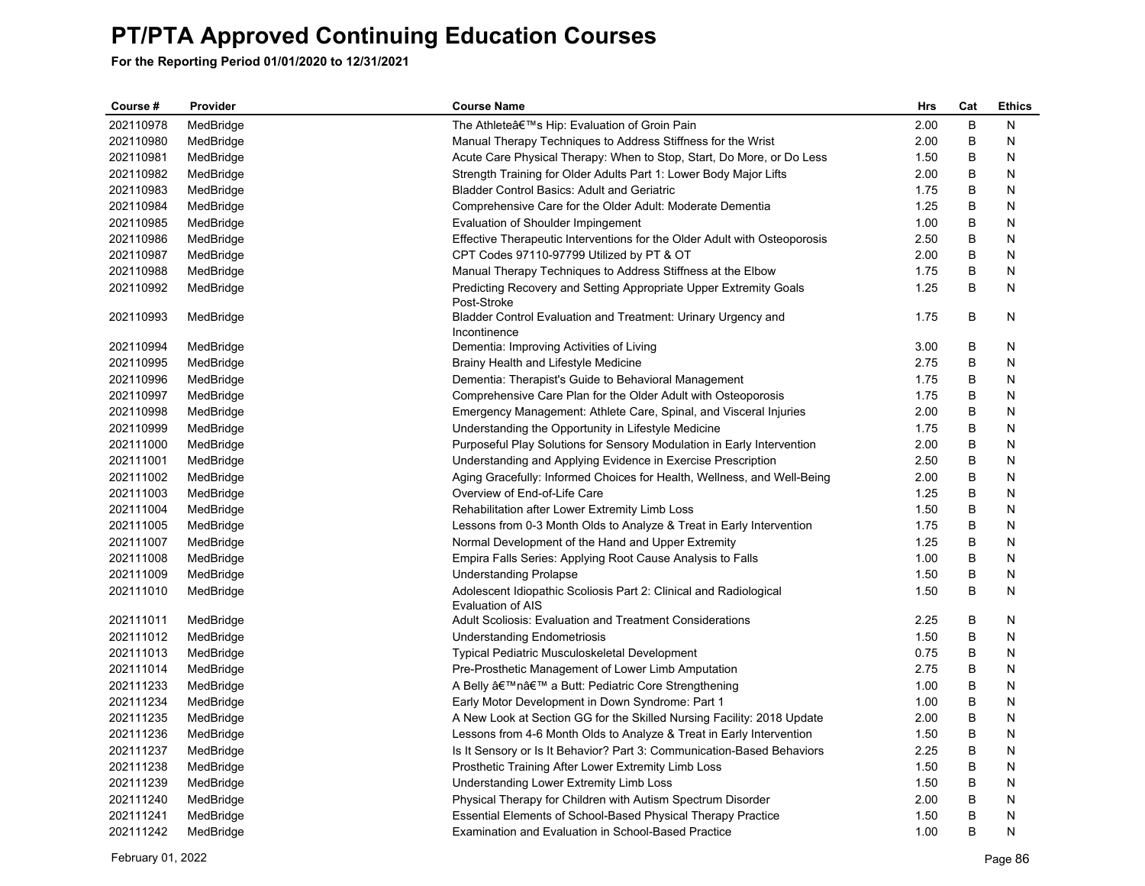| Course #  | Provider  | <b>Course Name</b>                                                                     | Hrs  | Cat | <b>Ethics</b> |
|-----------|-----------|----------------------------------------------------------------------------------------|------|-----|---------------|
| 202110978 | MedBridge | The Athlete's Hip: Evaluation of Groin Pain                                            | 2.00 | B   | N             |
| 202110980 | MedBridge | Manual Therapy Techniques to Address Stiffness for the Wrist                           | 2.00 | В   | N             |
| 202110981 | MedBridge | Acute Care Physical Therapy: When to Stop, Start, Do More, or Do Less                  | 1.50 | B   | N             |
| 202110982 | MedBridge | Strength Training for Older Adults Part 1: Lower Body Major Lifts                      | 2.00 | В   | N             |
| 202110983 | MedBridge | <b>Bladder Control Basics: Adult and Geriatric</b>                                     | 1.75 | В   | N             |
| 202110984 | MedBridge | Comprehensive Care for the Older Adult: Moderate Dementia                              | 1.25 | B   | Ν             |
| 202110985 | MedBridge | Evaluation of Shoulder Impingement                                                     | 1.00 | В   | N             |
| 202110986 | MedBridge | Effective Therapeutic Interventions for the Older Adult with Osteoporosis              | 2.50 | В   | N             |
| 202110987 | MedBridge | CPT Codes 97110-97799 Utilized by PT & OT                                              | 2.00 | B   | N             |
| 202110988 | MedBridge | Manual Therapy Techniques to Address Stiffness at the Elbow                            | 1.75 | В   | N             |
| 202110992 | MedBridge | Predicting Recovery and Setting Appropriate Upper Extremity Goals<br>Post-Stroke       | 1.25 | B   | N             |
| 202110993 | MedBridge | Bladder Control Evaluation and Treatment: Urinary Urgency and<br>Incontinence          | 1.75 | B   | N             |
| 202110994 | MedBridge | Dementia: Improving Activities of Living                                               | 3.00 | B   | N             |
| 202110995 | MedBridge | Brainy Health and Lifestyle Medicine                                                   | 2.75 | B   | N             |
| 202110996 | MedBridge | Dementia: Therapist's Guide to Behavioral Management                                   | 1.75 | В   | N             |
| 202110997 | MedBridge | Comprehensive Care Plan for the Older Adult with Osteoporosis                          | 1.75 | В   | N             |
| 202110998 | MedBridge | Emergency Management: Athlete Care, Spinal, and Visceral Injuries                      | 2.00 | B   | N             |
| 202110999 | MedBridge | Understanding the Opportunity in Lifestyle Medicine                                    | 1.75 | В   | N             |
| 202111000 | MedBridge | Purposeful Play Solutions for Sensory Modulation in Early Intervention                 | 2.00 | B   | N             |
| 202111001 | MedBridge | Understanding and Applying Evidence in Exercise Prescription                           | 2.50 | B   | N             |
| 202111002 | MedBridge | Aging Gracefully: Informed Choices for Health, Wellness, and Well-Being                | 2.00 | В   | N             |
| 202111003 | MedBridge | Overview of End-of-Life Care                                                           | 1.25 | В   | N             |
| 202111004 | MedBridge | Rehabilitation after Lower Extremity Limb Loss                                         | 1.50 | B   | N             |
| 202111005 | MedBridge | Lessons from 0-3 Month Olds to Analyze & Treat in Early Intervention                   | 1.75 | В   | N             |
| 202111007 | MedBridge | Normal Development of the Hand and Upper Extremity                                     | 1.25 | B   | N             |
| 202111008 | MedBridge | Empira Falls Series: Applying Root Cause Analysis to Falls                             | 1.00 | B   | N             |
| 202111009 | MedBridge | <b>Understanding Prolapse</b>                                                          | 1.50 | В   | N             |
| 202111010 | MedBridge | Adolescent Idiopathic Scoliosis Part 2: Clinical and Radiological<br>Evaluation of AIS | 1.50 | В   | N             |
| 202111011 | MedBridge | <b>Adult Scoliosis: Evaluation and Treatment Considerations</b>                        | 2.25 | B   | N             |
| 202111012 | MedBridge | Understanding Endometriosis                                                            | 1.50 | В   | N             |
| 202111013 | MedBridge | Typical Pediatric Musculoskeletal Development                                          | 0.75 | В   | N             |
| 202111014 | MedBridge | Pre-Prosthetic Management of Lower Limb Amputation                                     | 2.75 | В   | N             |
| 202111233 | MedBridge | A Belly 'n' a Butt: Pediatric Core Strengthening                                       | 1.00 | В   | N             |
| 202111234 | MedBridge | Early Motor Development in Down Syndrome: Part 1                                       | 1.00 | B   | N             |
| 202111235 | MedBridge | A New Look at Section GG for the Skilled Nursing Facility: 2018 Update                 | 2.00 | В   | N             |
| 202111236 | MedBridge | Lessons from 4-6 Month Olds to Analyze & Treat in Early Intervention                   | 1.50 | В   | N             |
| 202111237 | MedBridge | Is It Sensory or Is It Behavior? Part 3: Communication-Based Behaviors                 | 2.25 | B   | N             |
| 202111238 | MedBridge | Prosthetic Training After Lower Extremity Limb Loss                                    | 1.50 | B   | N             |
| 202111239 | MedBridge | Understanding Lower Extremity Limb Loss                                                | 1.50 | В   | N             |
| 202111240 | MedBridge | Physical Therapy for Children with Autism Spectrum Disorder                            | 2.00 | B   | Ν             |
| 202111241 | MedBridge | Essential Elements of School-Based Physical Therapy Practice                           | 1.50 | B   | N             |
| 202111242 | MedBridge | <b>Examination and Evaluation in School-Based Practice</b>                             | 1.00 | B   | N             |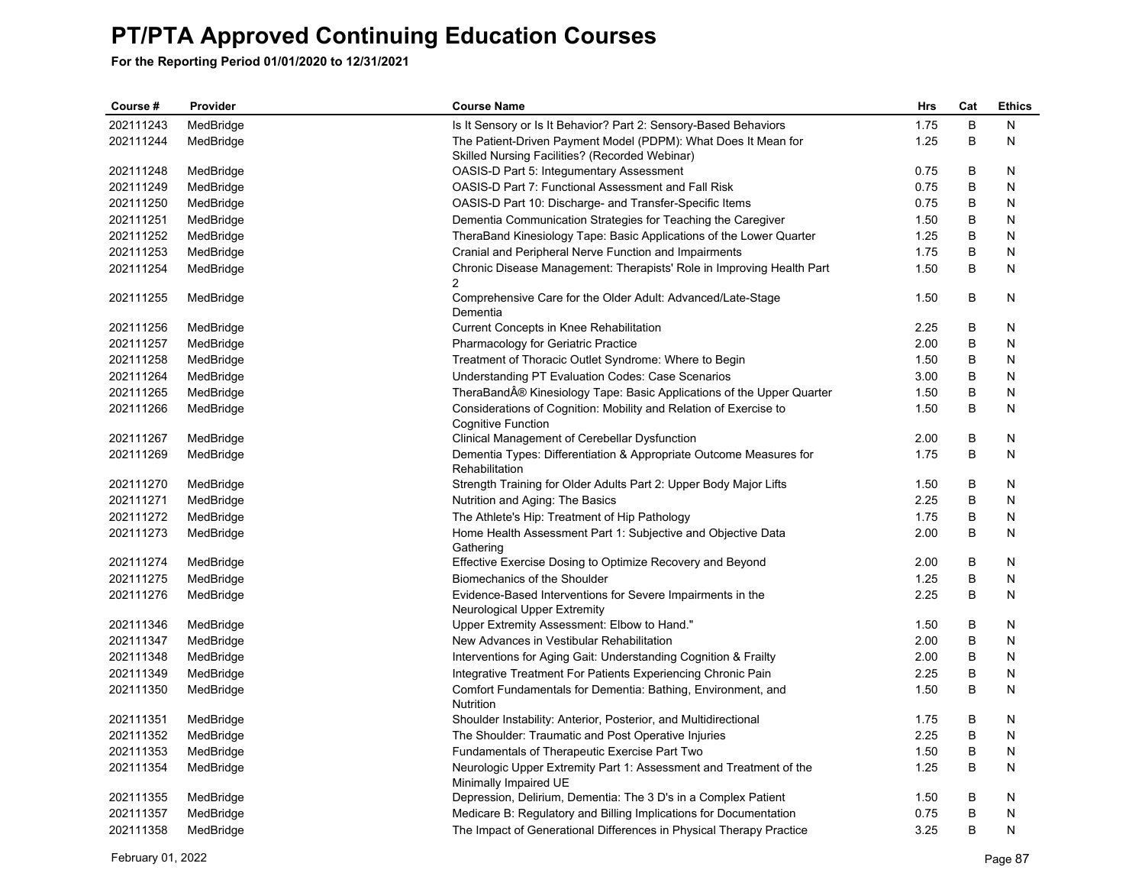| Course #  | Provider  | <b>Course Name</b>                                                                      | Hrs  | Cat     | <b>Ethics</b> |
|-----------|-----------|-----------------------------------------------------------------------------------------|------|---------|---------------|
| 202111243 | MedBridge | Is It Sensory or Is It Behavior? Part 2: Sensory-Based Behaviors                        | 1.75 | $\sf B$ | N             |
| 202111244 | MedBridge | The Patient-Driven Payment Model (PDPM): What Does It Mean for                          | 1.25 | B       | N             |
|           |           | Skilled Nursing Facilities? (Recorded Webinar)                                          |      |         |               |
| 202111248 | MedBridge | OASIS-D Part 5: Integumentary Assessment                                                | 0.75 | В       | N             |
| 202111249 | MedBridge | OASIS-D Part 7: Functional Assessment and Fall Risk                                     | 0.75 | B       | N             |
| 202111250 | MedBridge | OASIS-D Part 10: Discharge- and Transfer-Specific Items                                 | 0.75 | B       | N             |
| 202111251 | MedBridge | Dementia Communication Strategies for Teaching the Caregiver                            | 1.50 | В       | N             |
| 202111252 | MedBridge | TheraBand Kinesiology Tape: Basic Applications of the Lower Quarter                     | 1.25 | В       | N             |
| 202111253 | MedBridge | Cranial and Peripheral Nerve Function and Impairments                                   | 1.75 | B       | N             |
| 202111254 | MedBridge | Chronic Disease Management: Therapists' Role in Improving Health Part<br>2              | 1.50 | B       | N             |
| 202111255 | MedBridge | Comprehensive Care for the Older Adult: Advanced/Late-Stage<br>Dementia                 | 1.50 | В       | N             |
| 202111256 | MedBridge | Current Concepts in Knee Rehabilitation                                                 | 2.25 | В       | N             |
| 202111257 | MedBridge | <b>Pharmacology for Geriatric Practice</b>                                              | 2.00 | B       | N             |
| 202111258 | MedBridge | Treatment of Thoracic Outlet Syndrome: Where to Begin                                   | 1.50 | В       | N             |
| 202111264 | MedBridge | Understanding PT Evaluation Codes: Case Scenarios                                       | 3.00 | B       | N             |
| 202111265 | MedBridge | TheraBand® Kinesiology Tape: Basic Applications of the Upper Quarter                    | 1.50 | B       | N             |
| 202111266 | MedBridge | Considerations of Cognition: Mobility and Relation of Exercise to<br>Cognitive Function | 1.50 | B       | N             |
| 202111267 | MedBridge | Clinical Management of Cerebellar Dysfunction                                           | 2.00 | В       | N             |
| 202111269 | MedBridge | Dementia Types: Differentiation & Appropriate Outcome Measures for                      | 1.75 | B       | N             |
|           |           | Rehabilitation                                                                          |      |         |               |
| 202111270 | MedBridge | Strength Training for Older Adults Part 2: Upper Body Major Lifts                       | 1.50 | В       | N             |
| 202111271 | MedBridge | Nutrition and Aging: The Basics                                                         | 2.25 | В       | N             |
| 202111272 | MedBridge | The Athlete's Hip: Treatment of Hip Pathology                                           | 1.75 | B       | N             |
| 202111273 | MedBridge | Home Health Assessment Part 1: Subjective and Objective Data<br>Gathering               | 2.00 | B       | N             |
| 202111274 | MedBridge | Effective Exercise Dosing to Optimize Recovery and Beyond                               | 2.00 | В       | N             |
| 202111275 | MedBridge | Biomechanics of the Shoulder                                                            | 1.25 | B       | N             |
| 202111276 | MedBridge | Evidence-Based Interventions for Severe Impairments in the                              | 2.25 | B       | N             |
|           |           | Neurological Upper Extremity                                                            |      |         |               |
| 202111346 | MedBridge | Upper Extremity Assessment: Elbow to Hand."                                             | 1.50 | В       | N             |
| 202111347 | MedBridge | New Advances in Vestibular Rehabilitation                                               | 2.00 | В       | N             |
| 202111348 | MedBridge | Interventions for Aging Gait: Understanding Cognition & Frailty                         | 2.00 | В       | N             |
| 202111349 | MedBridge | Integrative Treatment For Patients Experiencing Chronic Pain                            | 2.25 | В       | N             |
| 202111350 | MedBridge | Comfort Fundamentals for Dementia: Bathing, Environment, and<br>Nutrition               | 1.50 | В       | N             |
| 202111351 | MedBridge | Shoulder Instability: Anterior, Posterior, and Multidirectional                         | 1.75 | В       | N             |
| 202111352 | MedBridge | The Shoulder: Traumatic and Post Operative Injuries                                     | 2.25 | В       | N             |
| 202111353 | MedBridge | Fundamentals of Therapeutic Exercise Part Two                                           | 1.50 | B       | N             |
| 202111354 | MedBridge | Neurologic Upper Extremity Part 1: Assessment and Treatment of the                      | 1.25 | B       | N             |
|           |           | Minimally Impaired UE                                                                   |      |         |               |
| 202111355 | MedBridge | Depression, Delirium, Dementia: The 3 D's in a Complex Patient                          | 1.50 | В       | N             |
| 202111357 | MedBridge | Medicare B: Regulatory and Billing Implications for Documentation                       | 0.75 | B       | N             |
| 202111358 | MedBridge | The Impact of Generational Differences in Physical Therapy Practice                     | 3.25 | B       | N             |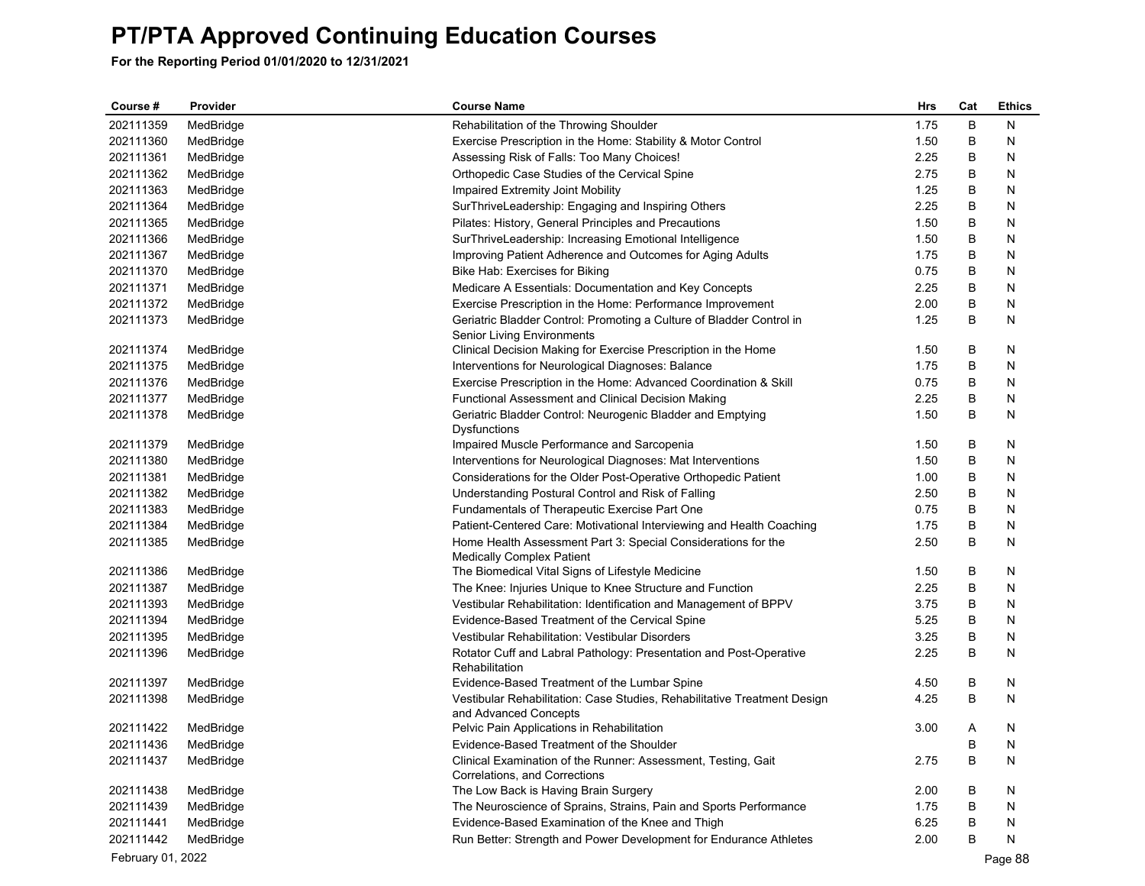| Course #          | Provider  | <b>Course Name</b>                                                                                | Hrs  | Cat | <b>Ethics</b> |
|-------------------|-----------|---------------------------------------------------------------------------------------------------|------|-----|---------------|
| 202111359         | MedBridge | Rehabilitation of the Throwing Shoulder                                                           | 1.75 | B   | N             |
| 202111360         | MedBridge | Exercise Prescription in the Home: Stability & Motor Control                                      | 1.50 | B   | N             |
| 202111361         | MedBridge | Assessing Risk of Falls: Too Many Choices!                                                        | 2.25 | В   | N             |
| 202111362         | MedBridge | Orthopedic Case Studies of the Cervical Spine                                                     | 2.75 | В   | N             |
| 202111363         | MedBridge | Impaired Extremity Joint Mobility                                                                 | 1.25 | В   | N             |
| 202111364         | MedBridge | SurThriveLeadership: Engaging and Inspiring Others                                                | 2.25 | В   | N             |
| 202111365         | MedBridge | Pilates: History, General Principles and Precautions                                              | 1.50 | В   | N             |
| 202111366         | MedBridge | SurThriveLeadership: Increasing Emotional Intelligence                                            | 1.50 | В   | N             |
| 202111367         | MedBridge | Improving Patient Adherence and Outcomes for Aging Adults                                         | 1.75 | B   | N             |
| 202111370         | MedBridge | Bike Hab: Exercises for Biking                                                                    | 0.75 | В   | N             |
| 202111371         | MedBridge | Medicare A Essentials: Documentation and Key Concepts                                             | 2.25 | В   | N             |
| 202111372         | MedBridge | Exercise Prescription in the Home: Performance Improvement                                        | 2.00 | В   | N             |
| 202111373         | MedBridge | Geriatric Bladder Control: Promoting a Culture of Bladder Control in                              | 1.25 | В   | N             |
|                   |           | Senior Living Environments                                                                        |      |     |               |
| 202111374         | MedBridge | Clinical Decision Making for Exercise Prescription in the Home                                    | 1.50 | В   | N             |
| 202111375         | MedBridge | Interventions for Neurological Diagnoses: Balance                                                 | 1.75 | В   | N             |
| 202111376         | MedBridge | Exercise Prescription in the Home: Advanced Coordination & Skill                                  | 0.75 | В   | N             |
| 202111377         | MedBridge | Functional Assessment and Clinical Decision Making                                                | 2.25 | В   | N             |
| 202111378         | MedBridge | Geriatric Bladder Control: Neurogenic Bladder and Emptying                                        | 1.50 | В   | N             |
|                   |           | Dysfunctions                                                                                      |      |     |               |
| 202111379         | MedBridge | Impaired Muscle Performance and Sarcopenia                                                        | 1.50 | В   | N             |
| 202111380         | MedBridge | Interventions for Neurological Diagnoses: Mat Interventions                                       | 1.50 | B   | N             |
| 202111381         | MedBridge | Considerations for the Older Post-Operative Orthopedic Patient                                    | 1.00 | В   | N             |
| 202111382         | MedBridge | Understanding Postural Control and Risk of Falling                                                | 2.50 | В   | N             |
| 202111383         | MedBridge | Fundamentals of Therapeutic Exercise Part One                                                     | 0.75 | В   | N             |
| 202111384         | MedBridge | Patient-Centered Care: Motivational Interviewing and Health Coaching                              | 1.75 | B   | N             |
| 202111385         | MedBridge | Home Health Assessment Part 3: Special Considerations for the                                     | 2.50 | B   | N             |
|                   |           | Medically Complex Patient                                                                         |      |     |               |
| 202111386         | MedBridge | The Biomedical Vital Signs of Lifestyle Medicine                                                  | 1.50 | В   | N             |
| 202111387         | MedBridge | The Knee: Injuries Unique to Knee Structure and Function                                          | 2.25 | В   | N             |
| 202111393         | MedBridge | Vestibular Rehabilitation: Identification and Management of BPPV                                  | 3.75 | B   | N             |
| 202111394         | MedBridge | Evidence-Based Treatment of the Cervical Spine                                                    | 5.25 | B   | N             |
| 202111395         | MedBridge | Vestibular Rehabilitation: Vestibular Disorders                                                   | 3.25 | B   | N             |
| 202111396         | MedBridge | Rotator Cuff and Labral Pathology: Presentation and Post-Operative<br>Rehabilitation              | 2.25 | В   | N             |
| 202111397         | MedBridge | Evidence-Based Treatment of the Lumbar Spine                                                      | 4.50 | В   | N             |
| 202111398         | MedBridge | Vestibular Rehabilitation: Case Studies, Rehabilitative Treatment Design<br>and Advanced Concepts | 4.25 | B   | N             |
| 202111422         | MedBridge | Pelvic Pain Applications in Rehabilitation                                                        | 3.00 | Α   | N             |
| 202111436         | MedBridge | Evidence-Based Treatment of the Shoulder                                                          |      | B   | N             |
| 202111437         | MedBridge | Clinical Examination of the Runner: Assessment, Testing, Gait                                     | 2.75 | B   | N             |
|                   |           | Correlations, and Corrections                                                                     |      |     |               |
| 202111438         | MedBridge | The Low Back is Having Brain Surgery                                                              | 2.00 | В   | N             |
| 202111439         | MedBridge | The Neuroscience of Sprains, Strains, Pain and Sports Performance                                 | 1.75 | В   | N             |
| 202111441         | MedBridge | Evidence-Based Examination of the Knee and Thigh                                                  | 6.25 | B   | N             |
| 202111442         | MedBridge | Run Better: Strength and Power Development for Endurance Athletes                                 | 2.00 | B   | N             |
| February 01, 2022 |           |                                                                                                   |      |     | Page 88       |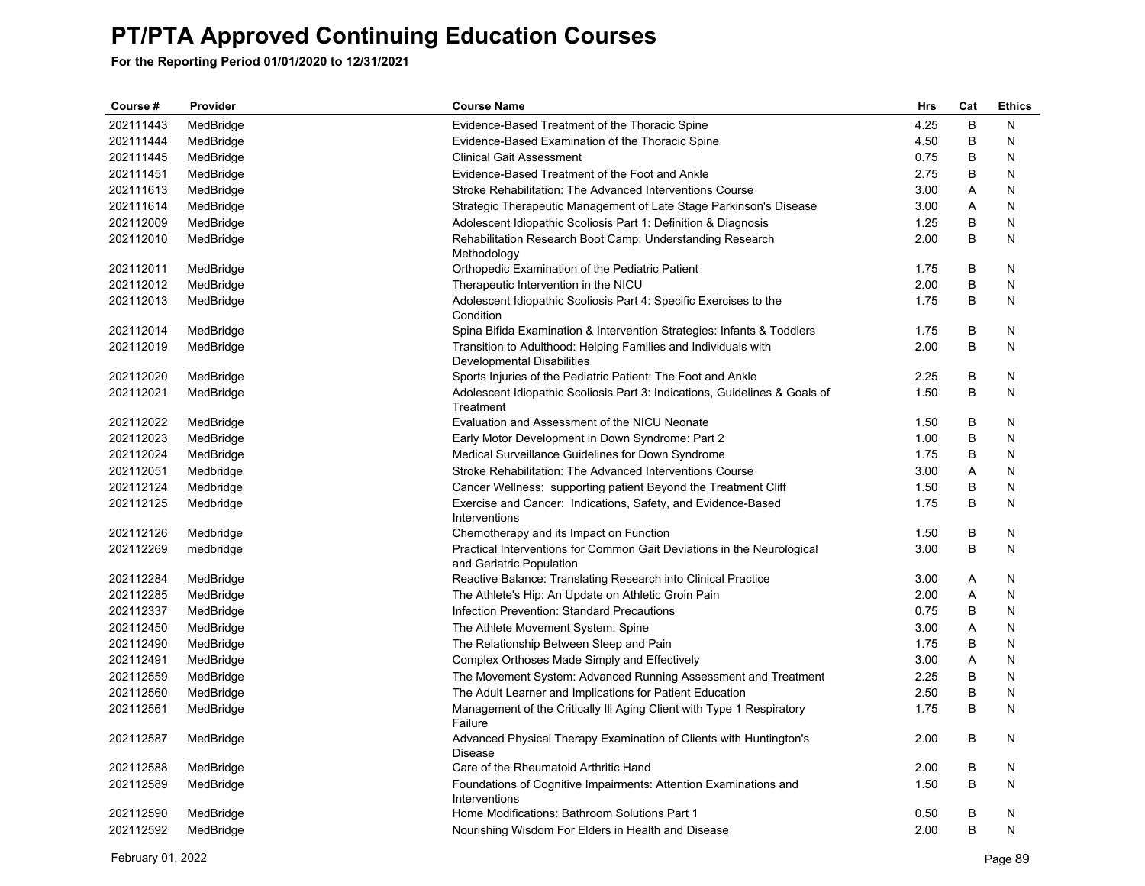| Course #  | Provider  | <b>Course Name</b>                                                                                 | Hrs  | Cat | <b>Ethics</b> |
|-----------|-----------|----------------------------------------------------------------------------------------------------|------|-----|---------------|
| 202111443 | MedBridge | Evidence-Based Treatment of the Thoracic Spine                                                     | 4.25 | B   | N             |
| 202111444 | MedBridge | Evidence-Based Examination of the Thoracic Spine                                                   | 4.50 | В   | Ν             |
| 202111445 | MedBridge | <b>Clinical Gait Assessment</b>                                                                    | 0.75 | B   | N             |
| 202111451 | MedBridge | Evidence-Based Treatment of the Foot and Ankle                                                     | 2.75 | В   | N             |
| 202111613 | MedBridge | Stroke Rehabilitation: The Advanced Interventions Course                                           | 3.00 | Α   | N             |
| 202111614 | MedBridge | Strategic Therapeutic Management of Late Stage Parkinson's Disease                                 | 3.00 | A   | N             |
| 202112009 | MedBridge | Adolescent Idiopathic Scoliosis Part 1: Definition & Diagnosis                                     | 1.25 | B   | N             |
| 202112010 | MedBridge | Rehabilitation Research Boot Camp: Understanding Research<br>Methodology                           | 2.00 | B   | N             |
| 202112011 | MedBridge | Orthopedic Examination of the Pediatric Patient                                                    | 1.75 | В   | N             |
| 202112012 | MedBridge | Therapeutic Intervention in the NICU                                                               | 2.00 | B   | N             |
| 202112013 | MedBridge | Adolescent Idiopathic Scoliosis Part 4: Specific Exercises to the<br>Condition                     | 1.75 | B   | N             |
| 202112014 | MedBridge | Spina Bifida Examination & Intervention Strategies: Infants & Toddlers                             | 1.75 | B   | N             |
| 202112019 | MedBridge | Transition to Adulthood: Helping Families and Individuals with<br>Developmental Disabilities       | 2.00 | B   | N             |
| 202112020 | MedBridge | Sports Injuries of the Pediatric Patient: The Foot and Ankle                                       | 2.25 | B   | N             |
| 202112021 | MedBridge | Adolescent Idiopathic Scoliosis Part 3: Indications, Guidelines & Goals of<br>Treatment            | 1.50 | B   | N             |
| 202112022 | MedBridge | Evaluation and Assessment of the NICU Neonate                                                      | 1.50 | В   | N             |
| 202112023 | MedBridge | Early Motor Development in Down Syndrome: Part 2                                                   | 1.00 | B   | N             |
| 202112024 | MedBridge | Medical Surveillance Guidelines for Down Syndrome                                                  | 1.75 | В   | N             |
| 202112051 | Medbridge | Stroke Rehabilitation: The Advanced Interventions Course                                           | 3.00 | Α   | N             |
| 202112124 | Medbridge | Cancer Wellness: supporting patient Beyond the Treatment Cliff                                     | 1.50 | В   | N             |
| 202112125 | Medbridge | Exercise and Cancer: Indications, Safety, and Evidence-Based<br>Interventions                      | 1.75 | B   | N             |
| 202112126 | Medbridge | Chemotherapy and its Impact on Function                                                            | 1.50 | B   | N             |
| 202112269 | medbridge | Practical Interventions for Common Gait Deviations in the Neurological<br>and Geriatric Population | 3.00 | B   | N             |
| 202112284 | MedBridge | Reactive Balance: Translating Research into Clinical Practice                                      | 3.00 | A   | N             |
| 202112285 | MedBridge | The Athlete's Hip: An Update on Athletic Groin Pain                                                | 2.00 | A   | N             |
| 202112337 | MedBridge | Infection Prevention: Standard Precautions                                                         | 0.75 | B   | N             |
| 202112450 | MedBridge | The Athlete Movement System: Spine                                                                 | 3.00 | Α   | N             |
| 202112490 | MedBridge | The Relationship Between Sleep and Pain                                                            | 1.75 | В   | N             |
| 202112491 | MedBridge | Complex Orthoses Made Simply and Effectively                                                       | 3.00 | Α   | N             |
| 202112559 | MedBridge | The Movement System: Advanced Running Assessment and Treatment                                     | 2.25 | B   | N             |
| 202112560 | MedBridge | The Adult Learner and Implications for Patient Education                                           | 2.50 | В   | N             |
| 202112561 | MedBridge | Management of the Critically III Aging Client with Type 1 Respiratory<br>Failure                   | 1.75 | B   | N             |
| 202112587 | MedBridge | Advanced Physical Therapy Examination of Clients with Huntington's<br><b>Disease</b>               | 2.00 | B   | N             |
| 202112588 | MedBridge | Care of the Rheumatoid Arthritic Hand                                                              | 2.00 | B   | N             |
| 202112589 | MedBridge | Foundations of Cognitive Impairments: Attention Examinations and<br>Interventions                  | 1.50 | B   | N             |
| 202112590 | MedBridge | Home Modifications: Bathroom Solutions Part 1                                                      | 0.50 | В   | N             |
| 202112592 | MedBridge | Nourishing Wisdom For Elders in Health and Disease                                                 | 2.00 | B   | N             |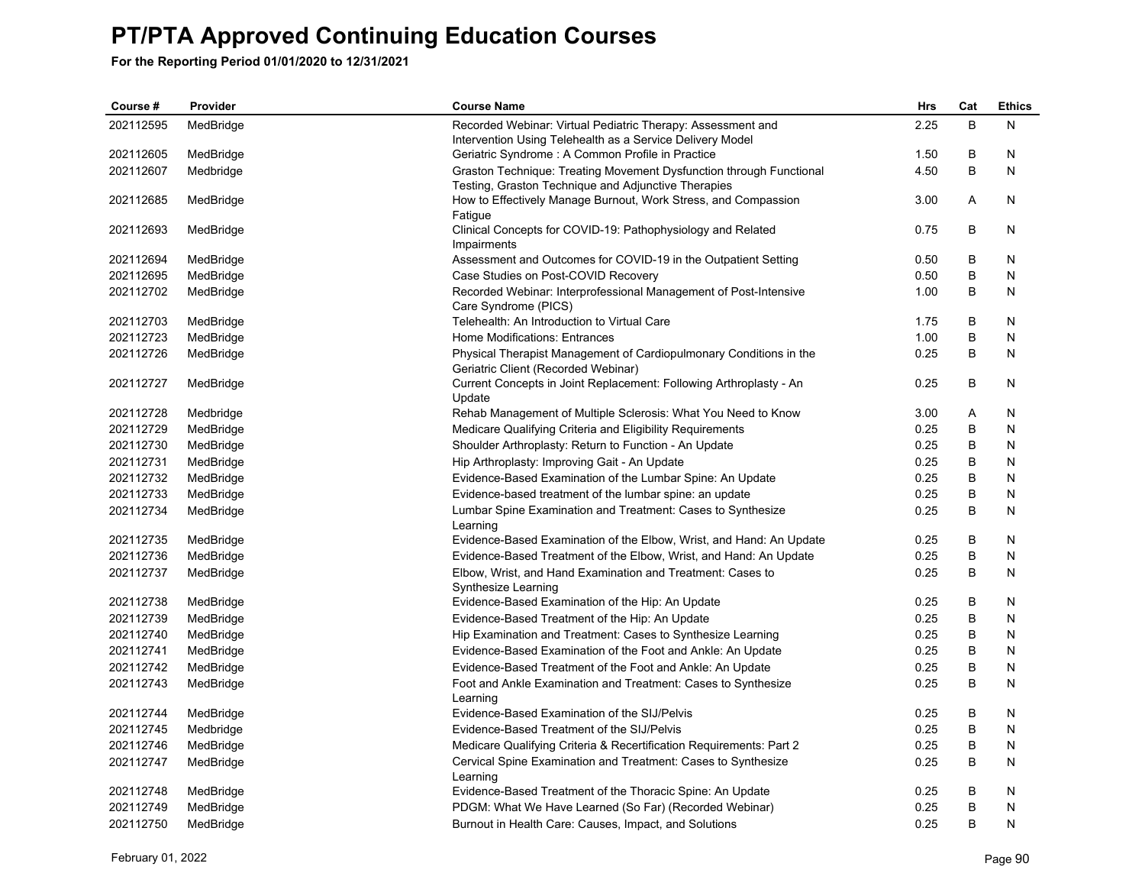| Course #  | Provider               | <b>Course Name</b>                                                                                                  | Hrs  | Cat | <b>Ethics</b> |
|-----------|------------------------|---------------------------------------------------------------------------------------------------------------------|------|-----|---------------|
| 202112595 | MedBridge              | Recorded Webinar: Virtual Pediatric Therapy: Assessment and                                                         | 2.25 | B   | N             |
|           |                        | Intervention Using Telehealth as a Service Delivery Model                                                           |      |     |               |
| 202112605 | MedBridge              | Geriatric Syndrome: A Common Profile in Practice                                                                    | 1.50 | В   | N             |
| 202112607 | Medbridge              | Graston Technique: Treating Movement Dysfunction through Functional                                                 | 4.50 | B   | N             |
|           |                        | Testing, Graston Technique and Adjunctive Therapies                                                                 |      |     |               |
| 202112685 | MedBridge              | How to Effectively Manage Burnout, Work Stress, and Compassion                                                      | 3.00 | A   | N             |
|           |                        | Fatigue                                                                                                             |      |     |               |
| 202112693 | MedBridge              | Clinical Concepts for COVID-19: Pathophysiology and Related                                                         | 0.75 | B   | N             |
| 202112694 | MedBridge              | Impairments<br>Assessment and Outcomes for COVID-19 in the Outpatient Setting                                       | 0.50 | B   | N             |
| 202112695 | MedBridge              | Case Studies on Post-COVID Recovery                                                                                 | 0.50 | В   | N             |
| 202112702 | MedBridge              | Recorded Webinar: Interprofessional Management of Post-Intensive                                                    | 1.00 | B   | N             |
|           |                        | Care Syndrome (PICS)                                                                                                |      |     |               |
| 202112703 | MedBridge              | Telehealth: An Introduction to Virtual Care                                                                         | 1.75 | B   | N             |
| 202112723 | MedBridge              | Home Modifications: Entrances                                                                                       | 1.00 | B   | N             |
| 202112726 | MedBridge              | Physical Therapist Management of Cardiopulmonary Conditions in the                                                  | 0.25 | B   | N             |
|           |                        | Geriatric Client (Recorded Webinar)                                                                                 |      |     |               |
| 202112727 | MedBridge              | Current Concepts in Joint Replacement: Following Arthroplasty - An                                                  | 0.25 | B   | N             |
|           |                        | Update                                                                                                              |      |     |               |
| 202112728 | Medbridge              | Rehab Management of Multiple Sclerosis: What You Need to Know                                                       | 3.00 | Α   | N             |
| 202112729 | MedBridge              | Medicare Qualifying Criteria and Eligibility Requirements                                                           | 0.25 | B   | N             |
| 202112730 | MedBridge              | Shoulder Arthroplasty: Return to Function - An Update                                                               | 0.25 | B   | N             |
| 202112731 | MedBridge              | Hip Arthroplasty: Improving Gait - An Update                                                                        | 0.25 | В   | N             |
| 202112732 | MedBridge              | Evidence-Based Examination of the Lumbar Spine: An Update                                                           | 0.25 | B   | N             |
| 202112733 | MedBridge              | Evidence-based treatment of the lumbar spine: an update                                                             | 0.25 | B   | N             |
| 202112734 | MedBridge              | Lumbar Spine Examination and Treatment: Cases to Synthesize                                                         | 0.25 | В   | N             |
|           |                        | Learning                                                                                                            |      |     |               |
| 202112735 | MedBridge              | Evidence-Based Examination of the Elbow, Wrist, and Hand: An Update                                                 | 0.25 | В   | N             |
| 202112736 | MedBridge              | Evidence-Based Treatment of the Elbow, Wrist, and Hand: An Update                                                   | 0.25 | B   | N             |
| 202112737 | MedBridge              | Elbow, Wrist, and Hand Examination and Treatment: Cases to                                                          | 0.25 | В   | N             |
|           |                        | Synthesize Learning                                                                                                 |      |     |               |
| 202112738 | MedBridge              | Evidence-Based Examination of the Hip: An Update                                                                    | 0.25 | В   | N             |
| 202112739 | MedBridge              | Evidence-Based Treatment of the Hip: An Update                                                                      | 0.25 | B   | N             |
| 202112740 | MedBridge              | Hip Examination and Treatment: Cases to Synthesize Learning                                                         | 0.25 | В   | N             |
| 202112741 | MedBridge              | Evidence-Based Examination of the Foot and Ankle: An Update                                                         | 0.25 | B   | N             |
| 202112742 | MedBridge              | Evidence-Based Treatment of the Foot and Ankle: An Update                                                           | 0.25 | B   | N             |
| 202112743 | MedBridge              | Foot and Ankle Examination and Treatment: Cases to Synthesize                                                       | 0.25 | B   | N             |
|           |                        | Learning                                                                                                            |      |     |               |
| 202112744 | MedBridge              | Evidence-Based Examination of the SIJ/Pelvis                                                                        | 0.25 | В   | N             |
| 202112745 | Medbridge              | Evidence-Based Treatment of the SIJ/Pelvis                                                                          | 0.25 | B   | N             |
| 202112746 | MedBridge              | Medicare Qualifying Criteria & Recertification Requirements: Part 2                                                 | 0.25 | В   | N             |
| 202112747 | MedBridge              | Cervical Spine Examination and Treatment: Cases to Synthesize                                                       | 0.25 | B   | N             |
| 202112748 |                        | Learning                                                                                                            | 0.25 | В   | N             |
| 202112749 | MedBridge<br>MedBridge | Evidence-Based Treatment of the Thoracic Spine: An Update<br>PDGM: What We Have Learned (So Far) (Recorded Webinar) | 0.25 | B   | N             |
| 202112750 | MedBridge              | Burnout in Health Care: Causes, Impact, and Solutions                                                               | 0.25 | B   | N             |
|           |                        |                                                                                                                     |      |     |               |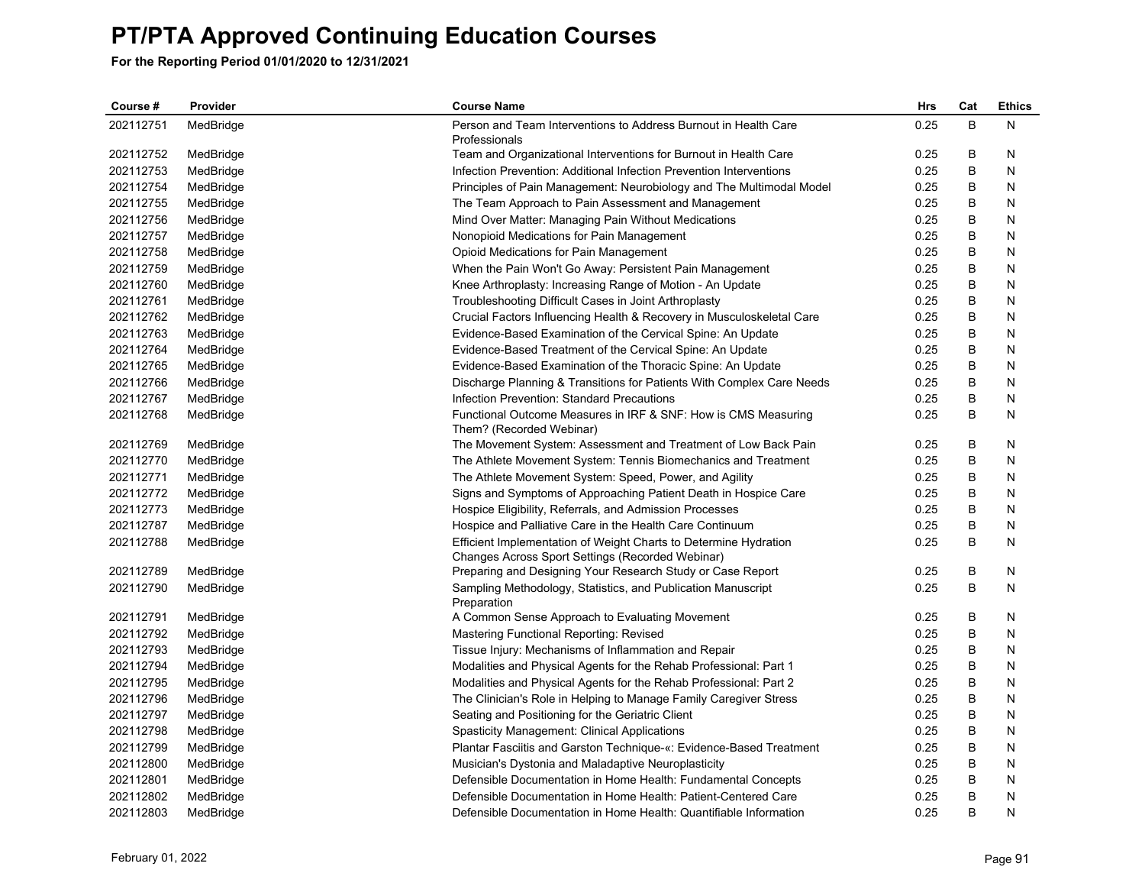| Course #  | Provider  | <b>Course Name</b>                                                                                                   | <b>Hrs</b> | Cat | <b>Ethics</b> |
|-----------|-----------|----------------------------------------------------------------------------------------------------------------------|------------|-----|---------------|
| 202112751 | MedBridge | Person and Team Interventions to Address Burnout in Health Care<br>Professionals                                     | 0.25       | B   | N             |
| 202112752 | MedBridge | Team and Organizational Interventions for Burnout in Health Care                                                     | 0.25       | B   | N             |
| 202112753 | MedBridge | Infection Prevention: Additional Infection Prevention Interventions                                                  | 0.25       | B   | N             |
| 202112754 | MedBridge | Principles of Pain Management: Neurobiology and The Multimodal Model                                                 | 0.25       | B   | N             |
| 202112755 | MedBridge | The Team Approach to Pain Assessment and Management                                                                  | 0.25       | B   | N             |
| 202112756 | MedBridge | Mind Over Matter: Managing Pain Without Medications                                                                  | 0.25       | B   | N             |
| 202112757 | MedBridge | Nonopioid Medications for Pain Management                                                                            | 0.25       | B   | N             |
| 202112758 | MedBridge | Opioid Medications for Pain Management                                                                               | 0.25       | B   | N             |
| 202112759 | MedBridge | When the Pain Won't Go Away: Persistent Pain Management                                                              | 0.25       | B   | N             |
| 202112760 | MedBridge | Knee Arthroplasty: Increasing Range of Motion - An Update                                                            | 0.25       | B   | N             |
| 202112761 | MedBridge | Troubleshooting Difficult Cases in Joint Arthroplasty                                                                | 0.25       | B   | N             |
| 202112762 | MedBridge | Crucial Factors Influencing Health & Recovery in Musculoskeletal Care                                                | 0.25       | B   | N             |
| 202112763 | MedBridge | Evidence-Based Examination of the Cervical Spine: An Update                                                          | 0.25       | B   | N             |
| 202112764 | MedBridge | Evidence-Based Treatment of the Cervical Spine: An Update                                                            | 0.25       | B   | N             |
| 202112765 | MedBridge | Evidence-Based Examination of the Thoracic Spine: An Update                                                          | 0.25       | B   | N             |
| 202112766 | MedBridge | Discharge Planning & Transitions for Patients With Complex Care Needs                                                | 0.25       | B   | N             |
| 202112767 | MedBridge | Infection Prevention: Standard Precautions                                                                           | 0.25       | В   | N             |
| 202112768 | MedBridge | Functional Outcome Measures in IRF & SNF: How is CMS Measuring<br>Them? (Recorded Webinar)                           | 0.25       | B   | N             |
| 202112769 | MedBridge | The Movement System: Assessment and Treatment of Low Back Pain                                                       | 0.25       | B   | N             |
| 202112770 | MedBridge | The Athlete Movement System: Tennis Biomechanics and Treatment                                                       | 0.25       | B   | N             |
| 202112771 | MedBridge | The Athlete Movement System: Speed, Power, and Agility                                                               | 0.25       | B   | N             |
| 202112772 | MedBridge | Signs and Symptoms of Approaching Patient Death in Hospice Care                                                      | 0.25       | B   | N             |
| 202112773 | MedBridge | Hospice Eligibility, Referrals, and Admission Processes                                                              | 0.25       | B   | N             |
| 202112787 | MedBridge | Hospice and Palliative Care in the Health Care Continuum                                                             | 0.25       | B   | N             |
| 202112788 | MedBridge | Efficient Implementation of Weight Charts to Determine Hydration                                                     | 0.25       | B   | N             |
|           |           | Changes Across Sport Settings (Recorded Webinar)                                                                     |            |     |               |
| 202112789 | MedBridge | Preparing and Designing Your Research Study or Case Report                                                           | 0.25       | В   | N             |
| 202112790 | MedBridge | Sampling Methodology, Statistics, and Publication Manuscript<br>Preparation                                          | 0.25       | B   | N             |
| 202112791 | MedBridge | A Common Sense Approach to Evaluating Movement                                                                       | 0.25       | B   | N             |
| 202112792 | MedBridge | Mastering Functional Reporting: Revised                                                                              | 0.25       | B   | N             |
| 202112793 | MedBridge | Tissue Injury: Mechanisms of Inflammation and Repair                                                                 | 0.25       | B   | N             |
| 202112794 | MedBridge | Modalities and Physical Agents for the Rehab Professional: Part 1                                                    | 0.25       | B   | N             |
| 202112795 | MedBridge | Modalities and Physical Agents for the Rehab Professional: Part 2                                                    | 0.25       | B   | N             |
| 202112796 | MedBridge | The Clinician's Role in Helping to Manage Family Caregiver Stress                                                    | 0.25       | B   | N             |
| 202112797 | MedBridge | Seating and Positioning for the Geriatric Client                                                                     | 0.25       | B   | N             |
| 202112798 | MedBridge | Spasticity Management: Clinical Applications                                                                         | 0.25       | B   | N             |
| 202112799 | MedBridge | Plantar Fasciitis and Garston Technique-«: Evidence-Based Treatment                                                  | 0.25       | B   | N             |
| 202112800 |           |                                                                                                                      | 0.25       | B   | N             |
| 202112801 | MedBridge | Musician's Dystonia and Maladaptive Neuroplasticity<br>Defensible Documentation in Home Health: Fundamental Concepts | 0.25       | B   | N             |
| 202112802 | MedBridge | Defensible Documentation in Home Health: Patient-Centered Care                                                       | 0.25       | B   | N             |
| 202112803 | MedBridge |                                                                                                                      | 0.25       | B   | N             |
|           | MedBridge | Defensible Documentation in Home Health: Quantifiable Information                                                    |            |     |               |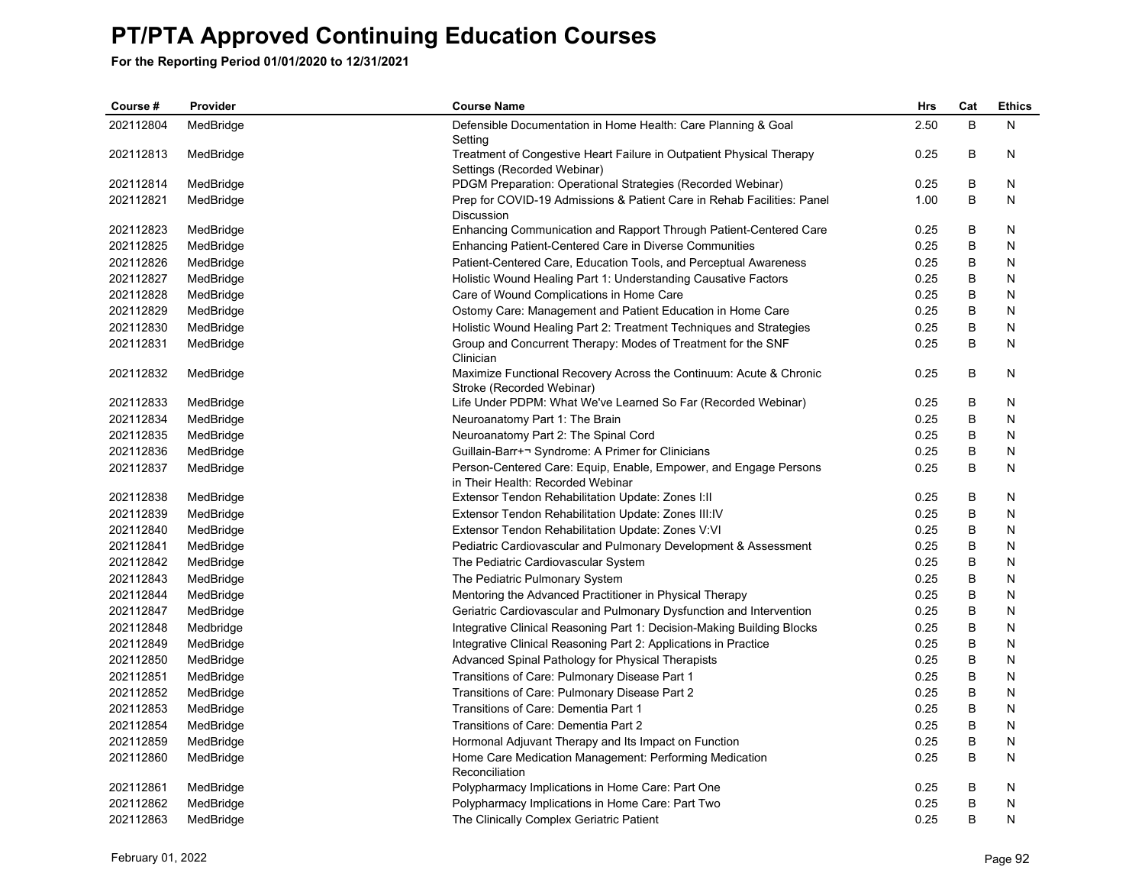| Course #  | Provider  | <b>Course Name</b>                                                                                    | Hrs  | Cat | <b>Ethics</b> |
|-----------|-----------|-------------------------------------------------------------------------------------------------------|------|-----|---------------|
| 202112804 | MedBridge | Defensible Documentation in Home Health: Care Planning & Goal<br>Setting                              | 2.50 | B   | N             |
| 202112813 | MedBridge | Treatment of Congestive Heart Failure in Outpatient Physical Therapy<br>Settings (Recorded Webinar)   | 0.25 | B   | N             |
| 202112814 | MedBridge | PDGM Preparation: Operational Strategies (Recorded Webinar)                                           | 0.25 | B   | N             |
| 202112821 | MedBridge | Prep for COVID-19 Admissions & Patient Care in Rehab Facilities: Panel<br><b>Discussion</b>           | 1.00 | B   | N             |
| 202112823 | MedBridge | Enhancing Communication and Rapport Through Patient-Centered Care                                     | 0.25 | B   | N             |
| 202112825 | MedBridge | Enhancing Patient-Centered Care in Diverse Communities                                                | 0.25 | B   | N             |
| 202112826 | MedBridge | Patient-Centered Care, Education Tools, and Perceptual Awareness                                      | 0.25 | B   | N             |
| 202112827 | MedBridge | Holistic Wound Healing Part 1: Understanding Causative Factors                                        | 0.25 | B   | N             |
| 202112828 | MedBridge | Care of Wound Complications in Home Care                                                              | 0.25 | B   | N             |
| 202112829 | MedBridge | Ostomy Care: Management and Patient Education in Home Care                                            | 0.25 | B   | N             |
| 202112830 | MedBridge | Holistic Wound Healing Part 2: Treatment Techniques and Strategies                                    | 0.25 | B   | N             |
| 202112831 | MedBridge | Group and Concurrent Therapy: Modes of Treatment for the SNF<br>Clinician                             | 0.25 | B   | N             |
| 202112832 | MedBridge | Maximize Functional Recovery Across the Continuum: Acute & Chronic<br>Stroke (Recorded Webinar)       | 0.25 | B   | N             |
| 202112833 | MedBridge | Life Under PDPM: What We've Learned So Far (Recorded Webinar)                                         | 0.25 | В   | N             |
| 202112834 | MedBridge | Neuroanatomy Part 1: The Brain                                                                        | 0.25 | B   | N             |
| 202112835 | MedBridge | Neuroanatomy Part 2: The Spinal Cord                                                                  | 0.25 | B   | N             |
| 202112836 | MedBridge | Guillain-Barr+¬ Syndrome: A Primer for Clinicians                                                     | 0.25 | В   | N             |
| 202112837 | MedBridge | Person-Centered Care: Equip, Enable, Empower, and Engage Persons<br>in Their Health: Recorded Webinar | 0.25 | B   | N             |
| 202112838 | MedBridge | Extensor Tendon Rehabilitation Update: Zones I:II                                                     | 0.25 | В   | N             |
| 202112839 | MedBridge | Extensor Tendon Rehabilitation Update: Zones III:IV                                                   | 0.25 | B   | N             |
| 202112840 | MedBridge | Extensor Tendon Rehabilitation Update: Zones V:VI                                                     | 0.25 | B   | N             |
| 202112841 | MedBridge | Pediatric Cardiovascular and Pulmonary Development & Assessment                                       | 0.25 | В   | N             |
| 202112842 | MedBridge | The Pediatric Cardiovascular System                                                                   | 0.25 | B   | N             |
| 202112843 | MedBridge | The Pediatric Pulmonary System                                                                        | 0.25 | B   | N             |
| 202112844 | MedBridge | Mentoring the Advanced Practitioner in Physical Therapy                                               | 0.25 | B   | N             |
| 202112847 | MedBridge | Geriatric Cardiovascular and Pulmonary Dysfunction and Intervention                                   | 0.25 | B   | N             |
| 202112848 | Medbridge | Integrative Clinical Reasoning Part 1: Decision-Making Building Blocks                                | 0.25 | B   | N             |
| 202112849 | MedBridge | Integrative Clinical Reasoning Part 2: Applications in Practice                                       | 0.25 | В   | N             |
| 202112850 | MedBridge | Advanced Spinal Pathology for Physical Therapists                                                     | 0.25 | B   | N             |
| 202112851 | MedBridge | Transitions of Care: Pulmonary Disease Part 1                                                         | 0.25 | В   | N             |
| 202112852 | MedBridge | Transitions of Care: Pulmonary Disease Part 2                                                         | 0.25 | В   | N             |
| 202112853 | MedBridge | Transitions of Care: Dementia Part 1                                                                  | 0.25 | B   | N             |
| 202112854 | MedBridge | Transitions of Care: Dementia Part 2                                                                  | 0.25 | B   | N             |
| 202112859 | MedBridge | Hormonal Adjuvant Therapy and Its Impact on Function                                                  | 0.25 | B   | N             |
| 202112860 | MedBridge | Home Care Medication Management: Performing Medication<br>Reconciliation                              | 0.25 | B   | N             |
| 202112861 | MedBridge | Polypharmacy Implications in Home Care: Part One                                                      | 0.25 | B   | N             |
| 202112862 | MedBridge | Polypharmacy Implications in Home Care: Part Two                                                      | 0.25 | B   | N             |
| 202112863 | MedBridge | The Clinically Complex Geriatric Patient                                                              | 0.25 | B   | N             |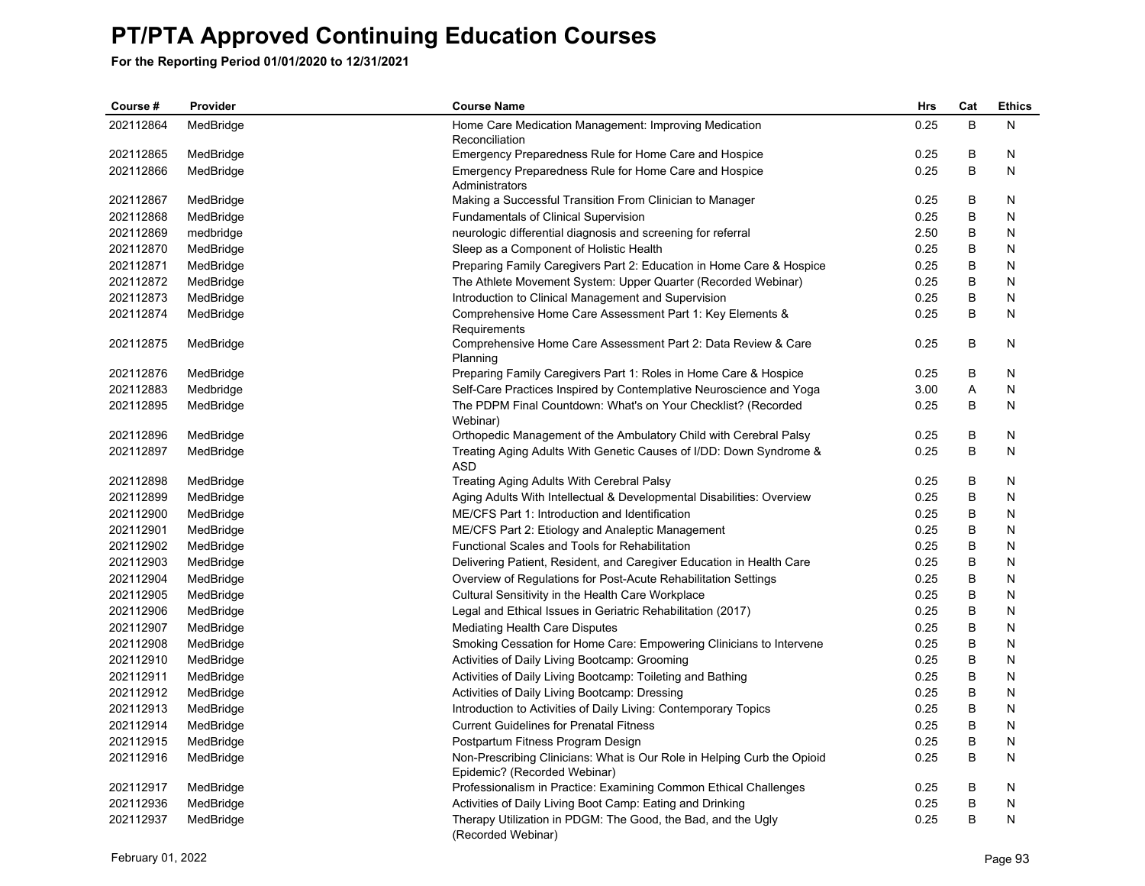| Course#   | Provider  | <b>Course Name</b>                                                                                      | Hrs  | Cat | <b>Ethics</b> |
|-----------|-----------|---------------------------------------------------------------------------------------------------------|------|-----|---------------|
| 202112864 | MedBridge | Home Care Medication Management: Improving Medication                                                   | 0.25 | B   | N             |
|           |           | Reconciliation                                                                                          |      |     |               |
| 202112865 | MedBridge | Emergency Preparedness Rule for Home Care and Hospice                                                   | 0.25 | B   | N             |
| 202112866 | MedBridge | Emergency Preparedness Rule for Home Care and Hospice                                                   | 0.25 | B   | N             |
|           |           | Administrators                                                                                          |      |     |               |
| 202112867 | MedBridge | Making a Successful Transition From Clinician to Manager                                                | 0.25 | B   | N             |
| 202112868 | MedBridge | Fundamentals of Clinical Supervision                                                                    | 0.25 | B   | N             |
| 202112869 | medbridge | neurologic differential diagnosis and screening for referral                                            | 2.50 | B   | N             |
| 202112870 | MedBridge | Sleep as a Component of Holistic Health                                                                 | 0.25 | В   | N             |
| 202112871 | MedBridge | Preparing Family Caregivers Part 2: Education in Home Care & Hospice                                    | 0.25 | B   | N             |
| 202112872 | MedBridge | The Athlete Movement System: Upper Quarter (Recorded Webinar)                                           | 0.25 | B   | N             |
| 202112873 | MedBridge | Introduction to Clinical Management and Supervision                                                     | 0.25 | B   | N             |
| 202112874 | MedBridge | Comprehensive Home Care Assessment Part 1: Key Elements &<br>Requirements                               | 0.25 | B   | N             |
| 202112875 | MedBridge | Comprehensive Home Care Assessment Part 2: Data Review & Care<br>Planning                               | 0.25 | B   | N             |
| 202112876 | MedBridge | Preparing Family Caregivers Part 1: Roles in Home Care & Hospice                                        | 0.25 | B   | N             |
| 202112883 | Medbridge | Self-Care Practices Inspired by Contemplative Neuroscience and Yoga                                     | 3.00 | Α   | N             |
| 202112895 | MedBridge | The PDPM Final Countdown: What's on Your Checklist? (Recorded                                           | 0.25 | B   | N             |
|           |           | Webinar)                                                                                                |      |     |               |
| 202112896 | MedBridge | Orthopedic Management of the Ambulatory Child with Cerebral Palsy                                       | 0.25 | В   | N             |
| 202112897 | MedBridge | Treating Aging Adults With Genetic Causes of I/DD: Down Syndrome &                                      | 0.25 | B   | N             |
|           |           | <b>ASD</b>                                                                                              |      |     |               |
| 202112898 | MedBridge | Treating Aging Adults With Cerebral Palsy                                                               | 0.25 | B   | N             |
| 202112899 | MedBridge | Aging Adults With Intellectual & Developmental Disabilities: Overview                                   | 0.25 | B   | N             |
| 202112900 | MedBridge | ME/CFS Part 1: Introduction and Identification                                                          | 0.25 | В   | N             |
| 202112901 | MedBridge | ME/CFS Part 2: Etiology and Analeptic Management                                                        | 0.25 | В   | N             |
| 202112902 | MedBridge | Functional Scales and Tools for Rehabilitation                                                          | 0.25 | B   | N             |
| 202112903 | MedBridge | Delivering Patient, Resident, and Caregiver Education in Health Care                                    | 0.25 | B   | N             |
| 202112904 | MedBridge | Overview of Regulations for Post-Acute Rehabilitation Settings                                          | 0.25 | В   | N             |
| 202112905 | MedBridge | Cultural Sensitivity in the Health Care Workplace                                                       | 0.25 | В   | N             |
| 202112906 | MedBridge | Legal and Ethical Issues in Geriatric Rehabilitation (2017)                                             | 0.25 | B   | N             |
| 202112907 | MedBridge | Mediating Health Care Disputes                                                                          | 0.25 | B   | N             |
| 202112908 | MedBridge | Smoking Cessation for Home Care: Empowering Clinicians to Intervene                                     | 0.25 | В   | N             |
| 202112910 | MedBridge | Activities of Daily Living Bootcamp: Grooming                                                           | 0.25 | В   | N             |
| 202112911 | MedBridge | Activities of Daily Living Bootcamp: Toileting and Bathing                                              | 0.25 | B   | N             |
| 202112912 | MedBridge | Activities of Daily Living Bootcamp: Dressing                                                           | 0.25 | B   | N             |
| 202112913 | MedBridge | Introduction to Activities of Daily Living: Contemporary Topics                                         | 0.25 | B   | N             |
| 202112914 | MedBridge | <b>Current Guidelines for Prenatal Fitness</b>                                                          | 0.25 | В   | N             |
| 202112915 | MedBridge | Postpartum Fitness Program Design                                                                       | 0.25 | B   | N             |
| 202112916 | MedBridge | Non-Prescribing Clinicians: What is Our Role in Helping Curb the Opioid<br>Epidemic? (Recorded Webinar) | 0.25 | B   | N             |
| 202112917 | MedBridge | Professionalism in Practice: Examining Common Ethical Challenges                                        | 0.25 | B   | N             |
| 202112936 | MedBridge | Activities of Daily Living Boot Camp: Eating and Drinking                                               | 0.25 | B   | N             |
| 202112937 | MedBridge | Therapy Utilization in PDGM: The Good, the Bad, and the Ugly                                            | 0.25 | B   | N             |
|           |           | (Recorded Webinar)                                                                                      |      |     |               |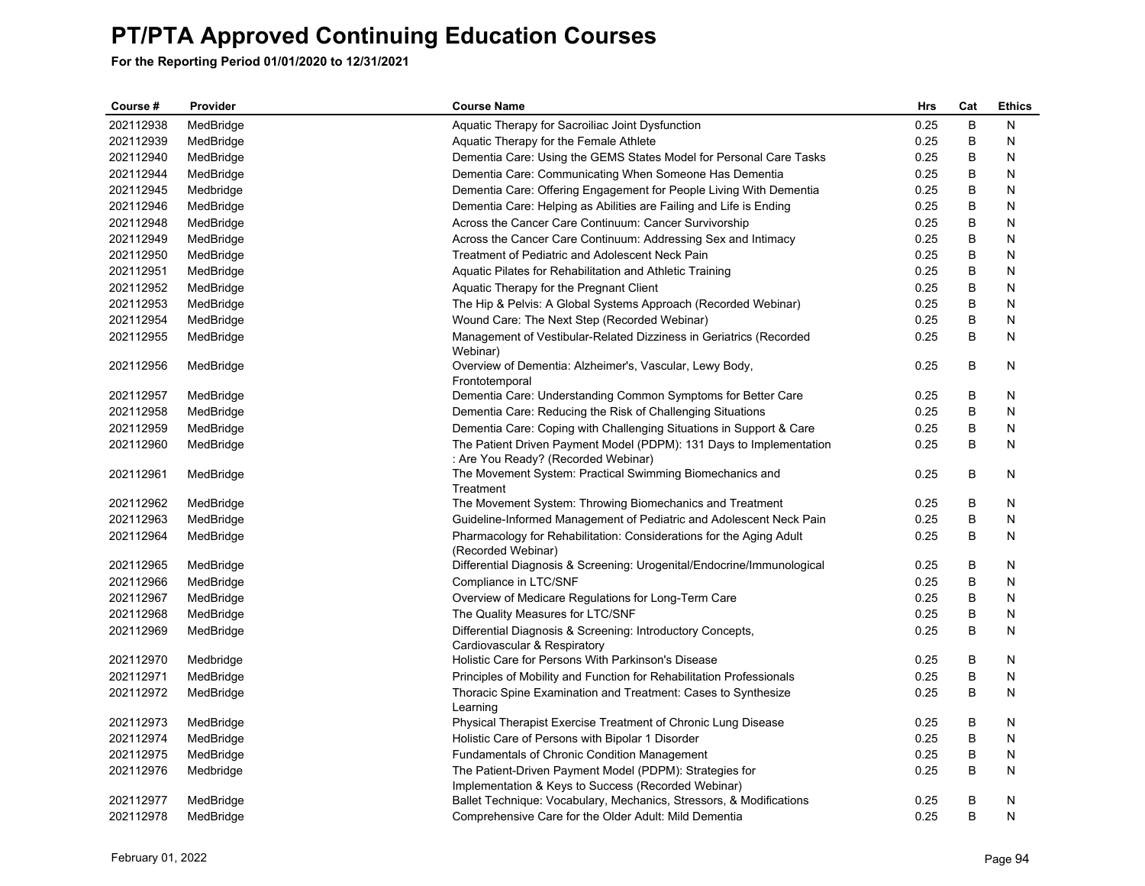| Course #  | Provider  | <b>Course Name</b>                                                                                             | Hrs  | Cat | <b>Ethics</b> |
|-----------|-----------|----------------------------------------------------------------------------------------------------------------|------|-----|---------------|
| 202112938 | MedBridge | Aquatic Therapy for Sacroiliac Joint Dysfunction                                                               | 0.25 | B   | N             |
| 202112939 | MedBridge | Aquatic Therapy for the Female Athlete                                                                         | 0.25 | B   | N             |
| 202112940 | MedBridge | Dementia Care: Using the GEMS States Model for Personal Care Tasks                                             | 0.25 | B   | N             |
| 202112944 | MedBridge | Dementia Care: Communicating When Someone Has Dementia                                                         | 0.25 | В   | N             |
| 202112945 | Medbridge | Dementia Care: Offering Engagement for People Living With Dementia                                             | 0.25 | В   | N             |
| 202112946 | MedBridge | Dementia Care: Helping as Abilities are Failing and Life is Ending                                             | 0.25 | B   | N             |
| 202112948 | MedBridge | Across the Cancer Care Continuum: Cancer Survivorship                                                          | 0.25 | B   | N             |
| 202112949 | MedBridge | Across the Cancer Care Continuum: Addressing Sex and Intimacy                                                  | 0.25 | B   | N             |
| 202112950 | MedBridge | Treatment of Pediatric and Adolescent Neck Pain                                                                | 0.25 | В   | N             |
| 202112951 | MedBridge | Aquatic Pilates for Rehabilitation and Athletic Training                                                       | 0.25 | В   | N             |
| 202112952 | MedBridge | Aquatic Therapy for the Pregnant Client                                                                        | 0.25 | B   | N             |
| 202112953 | MedBridge | The Hip & Pelvis: A Global Systems Approach (Recorded Webinar)                                                 | 0.25 | В   | N             |
| 202112954 | MedBridge | Wound Care: The Next Step (Recorded Webinar)                                                                   | 0.25 | B   | N             |
| 202112955 | MedBridge | Management of Vestibular-Related Dizziness in Geriatrics (Recorded<br>Webinar)                                 | 0.25 | B   | N             |
| 202112956 | MedBridge | Overview of Dementia: Alzheimer's, Vascular, Lewy Body,<br>Frontotemporal                                      | 0.25 | B   | N             |
| 202112957 | MedBridge | Dementia Care: Understanding Common Symptoms for Better Care                                                   | 0.25 | B   | N             |
| 202112958 | MedBridge | Dementia Care: Reducing the Risk of Challenging Situations                                                     | 0.25 | В   | N             |
| 202112959 | MedBridge | Dementia Care: Coping with Challenging Situations in Support & Care                                            | 0.25 | B   | N             |
| 202112960 | MedBridge | The Patient Driven Payment Model (PDPM): 131 Days to Implementation<br>: Are You Ready? (Recorded Webinar)     | 0.25 | B   | N             |
| 202112961 | MedBridge | The Movement System: Practical Swimming Biomechanics and<br>Treatment                                          | 0.25 | В   | N             |
| 202112962 | MedBridge | The Movement System: Throwing Biomechanics and Treatment                                                       | 0.25 | В   | N             |
| 202112963 | MedBridge | Guideline-Informed Management of Pediatric and Adolescent Neck Pain                                            | 0.25 | B   | N             |
| 202112964 | MedBridge | Pharmacology for Rehabilitation: Considerations for the Aging Adult<br>(Recorded Webinar)                      | 0.25 | B   | N             |
| 202112965 | MedBridge | Differential Diagnosis & Screening: Urogenital/Endocrine/Immunological                                         | 0.25 | В   | N             |
| 202112966 | MedBridge | Compliance in LTC/SNF                                                                                          | 0.25 | B   | N             |
| 202112967 | MedBridge | Overview of Medicare Regulations for Long-Term Care                                                            | 0.25 | B   | N             |
| 202112968 | MedBridge | The Quality Measures for LTC/SNF                                                                               | 0.25 | В   | N             |
| 202112969 | MedBridge | Differential Diagnosis & Screening: Introductory Concepts,<br>Cardiovascular & Respiratory                     | 0.25 | B   | N             |
| 202112970 | Medbridge | Holistic Care for Persons With Parkinson's Disease                                                             | 0.25 | В   | N             |
| 202112971 | MedBridge | Principles of Mobility and Function for Rehabilitation Professionals                                           | 0.25 | B   | N             |
| 202112972 | MedBridge | Thoracic Spine Examination and Treatment: Cases to Synthesize<br>Learning                                      | 0.25 | B   | N             |
| 202112973 | MedBridge | Physical Therapist Exercise Treatment of Chronic Lung Disease                                                  | 0.25 | В   | N             |
| 202112974 | MedBridge | Holistic Care of Persons with Bipolar 1 Disorder                                                               | 0.25 | B   | N             |
| 202112975 | MedBridge | <b>Fundamentals of Chronic Condition Management</b>                                                            | 0.25 | B   | N             |
| 202112976 | Medbridge | The Patient-Driven Payment Model (PDPM): Strategies for<br>Implementation & Keys to Success (Recorded Webinar) | 0.25 | B   | N             |
| 202112977 | MedBridge | Ballet Technique: Vocabulary, Mechanics, Stressors, & Modifications                                            | 0.25 | B   | N             |
| 202112978 | MedBridge | Comprehensive Care for the Older Adult: Mild Dementia                                                          | 0.25 | B   | N             |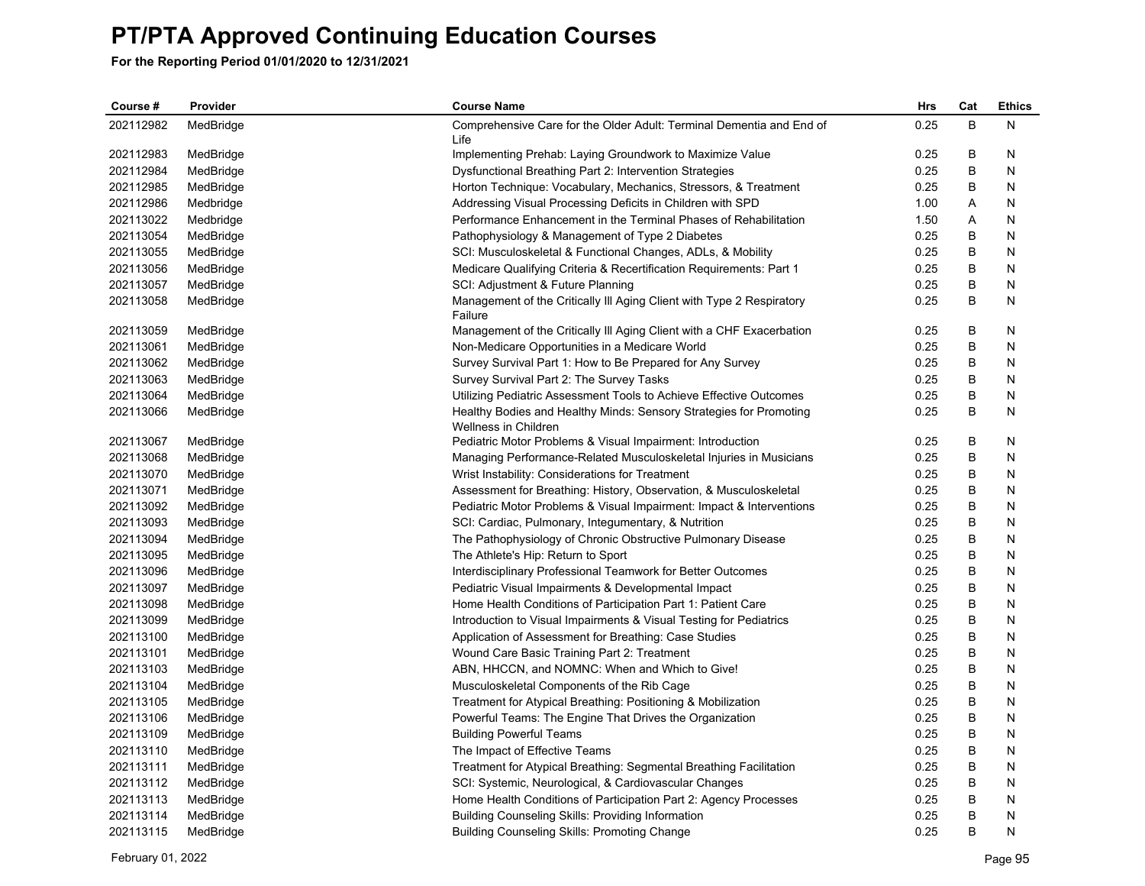| Course#   | Provider  | <b>Course Name</b>                                                                         | Hrs  | Cat | <b>Ethics</b> |
|-----------|-----------|--------------------------------------------------------------------------------------------|------|-----|---------------|
| 202112982 | MedBridge | Comprehensive Care for the Older Adult: Terminal Dementia and End of                       | 0.25 | B   | Ν             |
|           |           | Life                                                                                       |      |     |               |
| 202112983 | MedBridge | Implementing Prehab: Laying Groundwork to Maximize Value                                   | 0.25 | B   | N             |
| 202112984 | MedBridge | Dysfunctional Breathing Part 2: Intervention Strategies                                    | 0.25 | B   | N             |
| 202112985 | MedBridge | Horton Technique: Vocabulary, Mechanics, Stressors, & Treatment                            | 0.25 | B   | N             |
| 202112986 | Medbridge | Addressing Visual Processing Deficits in Children with SPD                                 | 1.00 | Α   | N             |
| 202113022 | Medbridge | Performance Enhancement in the Terminal Phases of Rehabilitation                           | 1.50 | Α   | N             |
| 202113054 | MedBridge | Pathophysiology & Management of Type 2 Diabetes                                            | 0.25 | В   | N             |
| 202113055 | MedBridge | SCI: Musculoskeletal & Functional Changes, ADLs, & Mobility                                | 0.25 | B   | N             |
| 202113056 | MedBridge | Medicare Qualifying Criteria & Recertification Requirements: Part 1                        | 0.25 | B   | N             |
| 202113057 | MedBridge | SCI: Adjustment & Future Planning                                                          | 0.25 | B   | N             |
| 202113058 | MedBridge | Management of the Critically III Aging Client with Type 2 Respiratory<br>Failure           | 0.25 | B   | N             |
| 202113059 | MedBridge | Management of the Critically III Aging Client with a CHF Exacerbation                      | 0.25 | B   | N             |
| 202113061 | MedBridge | Non-Medicare Opportunities in a Medicare World                                             | 0.25 | B   | N             |
| 202113062 | MedBridge | Survey Survival Part 1: How to Be Prepared for Any Survey                                  | 0.25 | B   | N             |
| 202113063 | MedBridge | Survey Survival Part 2: The Survey Tasks                                                   | 0.25 | B   | N             |
| 202113064 | MedBridge | Utilizing Pediatric Assessment Tools to Achieve Effective Outcomes                         | 0.25 | B   | N             |
| 202113066 | MedBridge | Healthy Bodies and Healthy Minds: Sensory Strategies for Promoting<br>Wellness in Children | 0.25 | B   | N             |
| 202113067 | MedBridge | Pediatric Motor Problems & Visual Impairment: Introduction                                 | 0.25 | B   | N             |
| 202113068 | MedBridge | Managing Performance-Related Musculoskeletal Injuries in Musicians                         | 0.25 | B   | N             |
| 202113070 | MedBridge | Wrist Instability: Considerations for Treatment                                            | 0.25 | B   | N             |
| 202113071 | MedBridge | Assessment for Breathing: History, Observation, & Musculoskeletal                          | 0.25 | B   | N             |
| 202113092 | MedBridge | Pediatric Motor Problems & Visual Impairment: Impact & Interventions                       | 0.25 | В   | N             |
| 202113093 | MedBridge | SCI: Cardiac, Pulmonary, Integumentary, & Nutrition                                        | 0.25 | B   | N             |
| 202113094 | MedBridge | The Pathophysiology of Chronic Obstructive Pulmonary Disease                               | 0.25 | B   | N             |
| 202113095 | MedBridge | The Athlete's Hip: Return to Sport                                                         | 0.25 | В   | N             |
| 202113096 | MedBridge | Interdisciplinary Professional Teamwork for Better Outcomes                                | 0.25 | B   | N             |
| 202113097 | MedBridge | Pediatric Visual Impairments & Developmental Impact                                        | 0.25 | B   | N             |
| 202113098 | MedBridge | Home Health Conditions of Participation Part 1: Patient Care                               | 0.25 | В   | N             |
| 202113099 | MedBridge | Introduction to Visual Impairments & Visual Testing for Pediatrics                         | 0.25 | B   | N             |
| 202113100 | MedBridge | Application of Assessment for Breathing: Case Studies                                      | 0.25 | B   | N             |
| 202113101 | MedBridge | Wound Care Basic Training Part 2: Treatment                                                | 0.25 | В   | N             |
| 202113103 | MedBridge | ABN, HHCCN, and NOMNC: When and Which to Give!                                             | 0.25 | B   | N             |
| 202113104 | MedBridge | Musculoskeletal Components of the Rib Cage                                                 | 0.25 | B   | N             |
| 202113105 | MedBridge | Treatment for Atypical Breathing: Positioning & Mobilization                               | 0.25 | B   | N             |
| 202113106 | MedBridge | Powerful Teams: The Engine That Drives the Organization                                    | 0.25 | B   | N             |
| 202113109 | MedBridge | <b>Building Powerful Teams</b>                                                             | 0.25 | В   | N             |
| 202113110 | MedBridge | The Impact of Effective Teams                                                              | 0.25 | B   | N             |
| 202113111 | MedBridge | Treatment for Atypical Breathing: Segmental Breathing Facilitation                         | 0.25 | B   | N             |
| 202113112 | MedBridge | SCI: Systemic, Neurological, & Cardiovascular Changes                                      | 0.25 | В   | N             |
| 202113113 | MedBridge | Home Health Conditions of Participation Part 2: Agency Processes                           | 0.25 | B   | N             |
| 202113114 | MedBridge | <b>Building Counseling Skills: Providing Information</b>                                   | 0.25 | B   | N             |
| 202113115 | MedBridge | <b>Building Counseling Skills: Promoting Change</b>                                        | 0.25 | B   | N             |
|           |           |                                                                                            |      |     |               |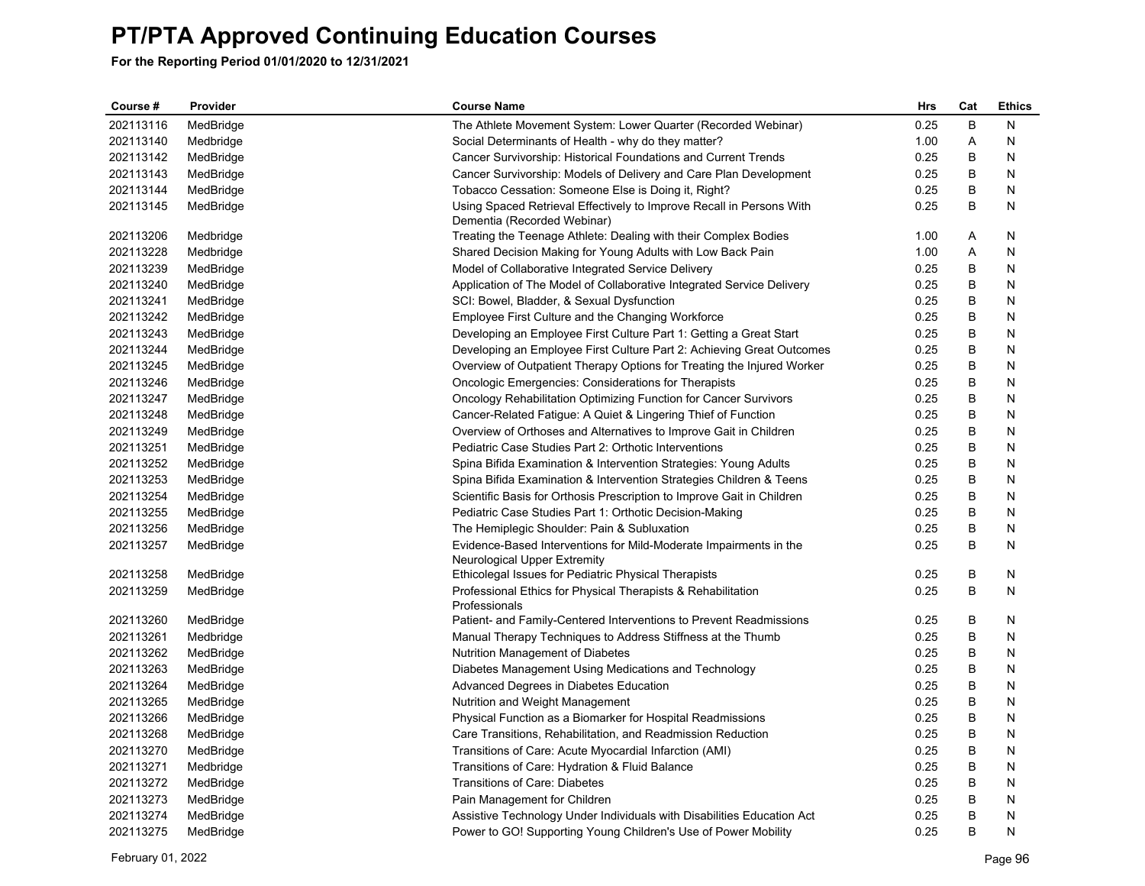| Course #  | Provider  | <b>Course Name</b>                                                                                  | <b>Hrs</b> | Cat | <b>Ethics</b> |
|-----------|-----------|-----------------------------------------------------------------------------------------------------|------------|-----|---------------|
| 202113116 | MedBridge | The Athlete Movement System: Lower Quarter (Recorded Webinar)                                       | 0.25       | B   | N             |
| 202113140 | Medbridge | Social Determinants of Health - why do they matter?                                                 | 1.00       | Α   | N             |
| 202113142 | MedBridge | Cancer Survivorship: Historical Foundations and Current Trends                                      | 0.25       | B   | N             |
| 202113143 | MedBridge | Cancer Survivorship: Models of Delivery and Care Plan Development                                   | 0.25       | B   | N             |
| 202113144 | MedBridge | Tobacco Cessation: Someone Else is Doing it, Right?                                                 | 0.25       | B   | N             |
| 202113145 | MedBridge | Using Spaced Retrieval Effectively to Improve Recall in Persons With<br>Dementia (Recorded Webinar) | 0.25       | B   | Ν             |
| 202113206 | Medbridge | Treating the Teenage Athlete: Dealing with their Complex Bodies                                     | 1.00       | Α   | N             |
| 202113228 | Medbridge | Shared Decision Making for Young Adults with Low Back Pain                                          | 1.00       | A   | N             |
| 202113239 | MedBridge | Model of Collaborative Integrated Service Delivery                                                  | 0.25       | B   | N             |
| 202113240 | MedBridge | Application of The Model of Collaborative Integrated Service Delivery                               | 0.25       | B   | N             |
| 202113241 | MedBridge | SCI: Bowel, Bladder, & Sexual Dysfunction                                                           | 0.25       | B   | N             |
| 202113242 | MedBridge | Employee First Culture and the Changing Workforce                                                   | 0.25       | В   | N             |
| 202113243 | MedBridge | Developing an Employee First Culture Part 1: Getting a Great Start                                  | 0.25       | B   | N             |
| 202113244 | MedBridge | Developing an Employee First Culture Part 2: Achieving Great Outcomes                               | 0.25       | B   | N             |
| 202113245 | MedBridge | Overview of Outpatient Therapy Options for Treating the Injured Worker                              | 0.25       | B   | N             |
| 202113246 | MedBridge | <b>Oncologic Emergencies: Considerations for Therapists</b>                                         | 0.25       | B   | Ν             |
| 202113247 | MedBridge | Oncology Rehabilitation Optimizing Function for Cancer Survivors                                    | 0.25       | B   | N             |
| 202113248 | MedBridge | Cancer-Related Fatigue: A Quiet & Lingering Thief of Function                                       | 0.25       | B   | N             |
| 202113249 | MedBridge | Overview of Orthoses and Alternatives to Improve Gait in Children                                   | 0.25       | B   | N             |
| 202113251 | MedBridge | Pediatric Case Studies Part 2: Orthotic Interventions                                               | 0.25       | B   | N             |
| 202113252 | MedBridge | Spina Bifida Examination & Intervention Strategies: Young Adults                                    | 0.25       | B   | N             |
| 202113253 | MedBridge | Spina Bifida Examination & Intervention Strategies Children & Teens                                 | 0.25       | B   | N             |
| 202113254 | MedBridge | Scientific Basis for Orthosis Prescription to Improve Gait in Children                              | 0.25       | B   | N             |
| 202113255 | MedBridge | Pediatric Case Studies Part 1: Orthotic Decision-Making                                             | 0.25       | B   | N             |
| 202113256 | MedBridge | The Hemiplegic Shoulder: Pain & Subluxation                                                         | 0.25       | B   | N             |
| 202113257 | MedBridge | Evidence-Based Interventions for Mild-Moderate Impairments in the                                   | 0.25       | B   | N             |
|           |           | Neurological Upper Extremity                                                                        |            |     |               |
| 202113258 | MedBridge | Ethicolegal Issues for Pediatric Physical Therapists                                                | 0.25       | B   | N             |
| 202113259 | MedBridge | Professional Ethics for Physical Therapists & Rehabilitation<br>Professionals                       | 0.25       | B   | N             |
| 202113260 | MedBridge | Patient- and Family-Centered Interventions to Prevent Readmissions                                  | 0.25       | B   | N             |
| 202113261 | Medbridge | Manual Therapy Techniques to Address Stiffness at the Thumb                                         | 0.25       | B   | N             |
| 202113262 | MedBridge | <b>Nutrition Management of Diabetes</b>                                                             | 0.25       | B   | N             |
| 202113263 | MedBridge | Diabetes Management Using Medications and Technology                                                | 0.25       | B   | N             |
| 202113264 | MedBridge | Advanced Degrees in Diabetes Education                                                              | 0.25       | В   | N             |
| 202113265 | MedBridge | Nutrition and Weight Management                                                                     | 0.25       | B   | N             |
| 202113266 | MedBridge | Physical Function as a Biomarker for Hospital Readmissions                                          | 0.25       | B   | N             |
| 202113268 | MedBridge | Care Transitions, Rehabilitation, and Readmission Reduction                                         | 0.25       | B   | N             |
| 202113270 | MedBridge | Transitions of Care: Acute Myocardial Infarction (AMI)                                              | 0.25       | B   | N             |
| 202113271 | Medbridge | Transitions of Care: Hydration & Fluid Balance                                                      | 0.25       | B   | N             |
| 202113272 | MedBridge | Transitions of Care: Diabetes                                                                       | 0.25       | B   | N             |
| 202113273 | MedBridge | Pain Management for Children                                                                        | 0.25       | B   | N             |
| 202113274 | MedBridge | Assistive Technology Under Individuals with Disabilities Education Act                              | 0.25       | B   | N             |
| 202113275 | MedBridge | Power to GO! Supporting Young Children's Use of Power Mobility                                      | 0.25       | B   | N             |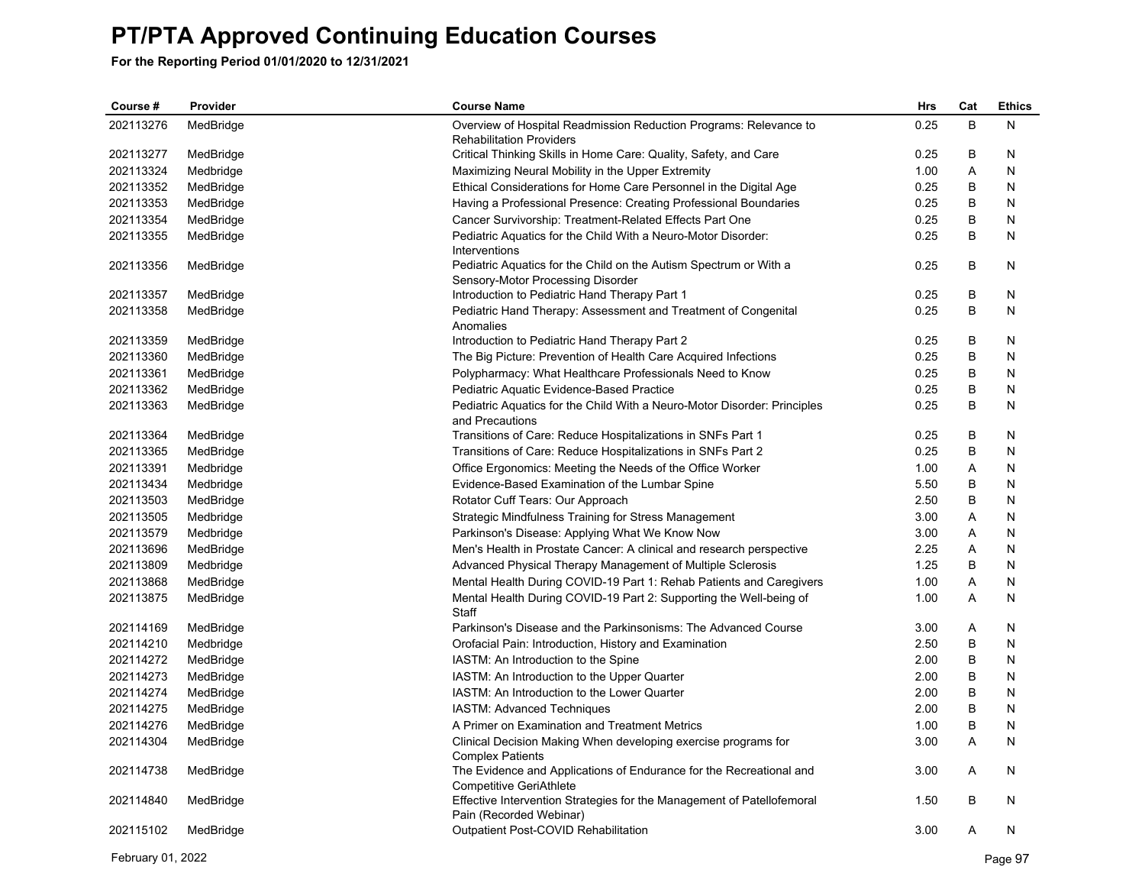| Course#   | Provider  | <b>Course Name</b>                                                                                     | Hrs  | Cat | <b>Ethics</b> |
|-----------|-----------|--------------------------------------------------------------------------------------------------------|------|-----|---------------|
| 202113276 | MedBridge | Overview of Hospital Readmission Reduction Programs: Relevance to                                      | 0.25 | B   | N             |
|           |           | <b>Rehabilitation Providers</b>                                                                        |      |     |               |
| 202113277 | MedBridge | Critical Thinking Skills in Home Care: Quality, Safety, and Care                                       | 0.25 | В   | N             |
| 202113324 | Medbridge | Maximizing Neural Mobility in the Upper Extremity                                                      | 1.00 | Α   | N             |
| 202113352 | MedBridge | Ethical Considerations for Home Care Personnel in the Digital Age                                      | 0.25 | В   | N             |
| 202113353 | MedBridge | Having a Professional Presence: Creating Professional Boundaries                                       | 0.25 | B   | N             |
| 202113354 | MedBridge | Cancer Survivorship: Treatment-Related Effects Part One                                                | 0.25 | B   | N             |
| 202113355 | MedBridge | Pediatric Aquatics for the Child With a Neuro-Motor Disorder:<br>Interventions                         | 0.25 | B   | N             |
| 202113356 | MedBridge | Pediatric Aquatics for the Child on the Autism Spectrum or With a<br>Sensory-Motor Processing Disorder | 0.25 | B   | N             |
| 202113357 | MedBridge | Introduction to Pediatric Hand Therapy Part 1                                                          | 0.25 | B   | N             |
| 202113358 | MedBridge | Pediatric Hand Therapy: Assessment and Treatment of Congenital                                         | 0.25 | B   | N             |
|           |           | Anomalies                                                                                              |      |     |               |
| 202113359 | MedBridge | Introduction to Pediatric Hand Therapy Part 2                                                          | 0.25 | В   | N             |
| 202113360 | MedBridge | The Big Picture: Prevention of Health Care Acquired Infections                                         | 0.25 | В   | N             |
| 202113361 | MedBridge | Polypharmacy: What Healthcare Professionals Need to Know                                               | 0.25 | B   | N             |
| 202113362 | MedBridge | Pediatric Aquatic Evidence-Based Practice                                                              | 0.25 | B   | N             |
| 202113363 | MedBridge | Pediatric Aquatics for the Child With a Neuro-Motor Disorder: Principles<br>and Precautions            | 0.25 | B   | N             |
| 202113364 | MedBridge | Transitions of Care: Reduce Hospitalizations in SNFs Part 1                                            | 0.25 | В   | N             |
| 202113365 | MedBridge | Transitions of Care: Reduce Hospitalizations in SNFs Part 2                                            | 0.25 | B   | N             |
| 202113391 | Medbridge | Office Ergonomics: Meeting the Needs of the Office Worker                                              | 1.00 | A   | N             |
| 202113434 | Medbridge | Evidence-Based Examination of the Lumbar Spine                                                         | 5.50 | В   | N             |
| 202113503 | MedBridge | Rotator Cuff Tears: Our Approach                                                                       | 2.50 | B   | N             |
| 202113505 | Medbridge | Strategic Mindfulness Training for Stress Management                                                   | 3.00 | Α   | N             |
| 202113579 | Medbridge | Parkinson's Disease: Applying What We Know Now                                                         | 3.00 | A   | N             |
| 202113696 | MedBridge | Men's Health in Prostate Cancer: A clinical and research perspective                                   | 2.25 | Α   | N             |
| 202113809 | Medbridge | Advanced Physical Therapy Management of Multiple Sclerosis                                             | 1.25 | B   | N             |
| 202113868 | MedBridge | Mental Health During COVID-19 Part 1: Rehab Patients and Caregivers                                    | 1.00 | A   | N             |
| 202113875 | MedBridge | Mental Health During COVID-19 Part 2: Supporting the Well-being of<br>Staff                            | 1.00 | A   | N             |
| 202114169 | MedBridge | Parkinson's Disease and the Parkinsonisms: The Advanced Course                                         | 3.00 | A   | N             |
| 202114210 | Medbridge | Orofacial Pain: Introduction, History and Examination                                                  | 2.50 | B   | N             |
| 202114272 | MedBridge | IASTM: An Introduction to the Spine                                                                    | 2.00 | В   | N             |
| 202114273 | MedBridge | IASTM: An Introduction to the Upper Quarter                                                            | 2.00 | B   | N             |
| 202114274 | MedBridge | IASTM: An Introduction to the Lower Quarter                                                            | 2.00 | B   | N             |
| 202114275 | MedBridge | IASTM: Advanced Techniques                                                                             | 2.00 | B   | N             |
| 202114276 | MedBridge | A Primer on Examination and Treatment Metrics                                                          | 1.00 | B   | N             |
| 202114304 | MedBridge | Clinical Decision Making When developing exercise programs for                                         | 3.00 | A   | N             |
|           |           | <b>Complex Patients</b>                                                                                |      |     |               |
| 202114738 | MedBridge | The Evidence and Applications of Endurance for the Recreational and<br>Competitive GeriAthlete         | 3.00 | A   | N             |
| 202114840 | MedBridge | Effective Intervention Strategies for the Management of Patellofemoral<br>Pain (Recorded Webinar)      | 1.50 | B   | N             |
| 202115102 | MedBridge | Outpatient Post-COVID Rehabilitation                                                                   | 3.00 | A   | N             |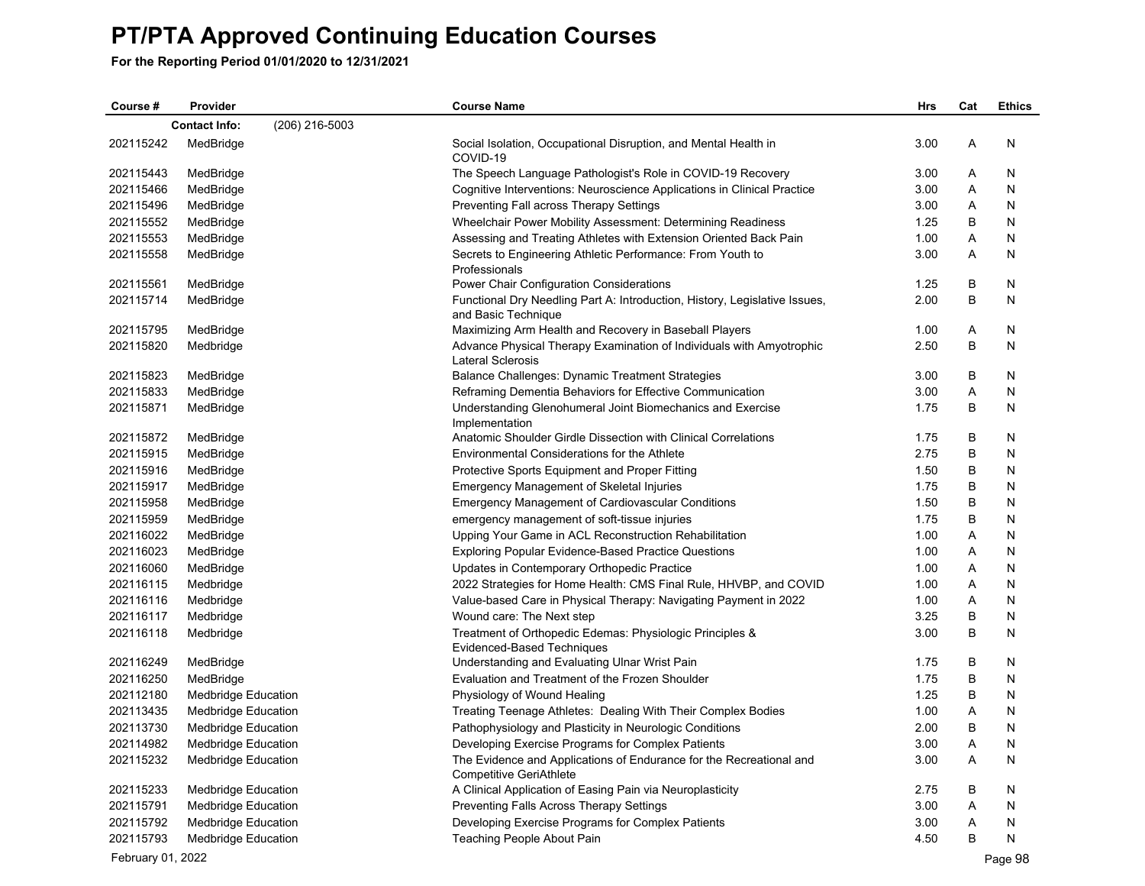**For the Reporting Period 01/01/2020 to 12/31/2021**

| Course #  | Provider                   |                | <b>Course Name</b>                                                                                | <b>Hrs</b> | Cat | <b>Ethics</b> |
|-----------|----------------------------|----------------|---------------------------------------------------------------------------------------------------|------------|-----|---------------|
|           | <b>Contact Info:</b>       | (206) 216-5003 |                                                                                                   |            |     |               |
| 202115242 | MedBridge                  |                | Social Isolation, Occupational Disruption, and Mental Health in<br>COVID-19                       | 3.00       | A   | N             |
| 202115443 | MedBridge                  |                | The Speech Language Pathologist's Role in COVID-19 Recovery                                       | 3.00       | Α   | N             |
| 202115466 | MedBridge                  |                | Cognitive Interventions: Neuroscience Applications in Clinical Practice                           | 3.00       | A   | N             |
| 202115496 | MedBridge                  |                | Preventing Fall across Therapy Settings                                                           | 3.00       | Α   | N             |
| 202115552 | MedBridge                  |                | Wheelchair Power Mobility Assessment: Determining Readiness                                       | 1.25       | B   | N             |
| 202115553 | MedBridge                  |                | Assessing and Treating Athletes with Extension Oriented Back Pain                                 | 1.00       | Α   | N             |
| 202115558 | MedBridge                  |                | Secrets to Engineering Athletic Performance: From Youth to<br>Professionals                       | 3.00       | A   | N             |
| 202115561 | MedBridge                  |                | Power Chair Configuration Considerations                                                          | 1.25       | B   | N             |
| 202115714 | MedBridge                  |                | Functional Dry Needling Part A: Introduction, History, Legislative Issues,<br>and Basic Technique | 2.00       | B   | N             |
| 202115795 | MedBridge                  |                | Maximizing Arm Health and Recovery in Baseball Players                                            | 1.00       | Α   | N             |
| 202115820 | Medbridge                  |                | Advance Physical Therapy Examination of Individuals with Amyotrophic<br>Lateral Sclerosis         | 2.50       | B   | N             |
| 202115823 | MedBridge                  |                | Balance Challenges: Dynamic Treatment Strategies                                                  | 3.00       | B   | N             |
| 202115833 | MedBridge                  |                | Reframing Dementia Behaviors for Effective Communication                                          | 3.00       | Α   | N             |
| 202115871 | MedBridge                  |                | Understanding Glenohumeral Joint Biomechanics and Exercise<br>Implementation                      | 1.75       | B   | N             |
| 202115872 | MedBridge                  |                | Anatomic Shoulder Girdle Dissection with Clinical Correlations                                    | 1.75       | B   | N             |
| 202115915 | MedBridge                  |                | Environmental Considerations for the Athlete                                                      | 2.75       | B   | N             |
| 202115916 | MedBridge                  |                | Protective Sports Equipment and Proper Fitting                                                    | 1.50       | B   | N             |
| 202115917 | MedBridge                  |                | <b>Emergency Management of Skeletal Injuries</b>                                                  | 1.75       | B   | Ν             |
| 202115958 | MedBridge                  |                | <b>Emergency Management of Cardiovascular Conditions</b>                                          | 1.50       | B   | N             |
| 202115959 | MedBridge                  |                | emergency management of soft-tissue injuries                                                      | 1.75       | B   | N             |
| 202116022 | MedBridge                  |                | Upping Your Game in ACL Reconstruction Rehabilitation                                             | 1.00       | Α   | N             |
| 202116023 | MedBridge                  |                | <b>Exploring Popular Evidence-Based Practice Questions</b>                                        | 1.00       | Α   | N             |
| 202116060 | MedBridge                  |                | Updates in Contemporary Orthopedic Practice                                                       | 1.00       | A   | N             |
| 202116115 | Medbridge                  |                | 2022 Strategies for Home Health: CMS Final Rule, HHVBP, and COVID                                 | 1.00       | Α   | N             |
| 202116116 | Medbridge                  |                | Value-based Care in Physical Therapy: Navigating Payment in 2022                                  | 1.00       | A   | N             |
| 202116117 | Medbridge                  |                | Wound care: The Next step                                                                         | 3.25       | B   | N             |
| 202116118 | Medbridge                  |                | Treatment of Orthopedic Edemas: Physiologic Principles &<br>Evidenced-Based Techniques            | 3.00       | B   | N             |
| 202116249 | MedBridge                  |                | Understanding and Evaluating Ulnar Wrist Pain                                                     | 1.75       | В   | N             |
| 202116250 | MedBridge                  |                | Evaluation and Treatment of the Frozen Shoulder                                                   | 1.75       | B   | N             |
| 202112180 | <b>Medbridge Education</b> |                | Physiology of Wound Healing                                                                       | 1.25       | B   | N             |
| 202113435 | <b>Medbridge Education</b> |                | Treating Teenage Athletes: Dealing With Their Complex Bodies                                      | 1.00       | A   | N             |
| 202113730 | <b>Medbridge Education</b> |                | Pathophysiology and Plasticity in Neurologic Conditions                                           | 2.00       | B   | N             |
| 202114982 | <b>Medbridge Education</b> |                | Developing Exercise Programs for Complex Patients                                                 | 3.00       | A   | N             |
| 202115232 | <b>Medbridge Education</b> |                | The Evidence and Applications of Endurance for the Recreational and<br>Competitive GeriAthlete    | 3.00       | A   | N             |
| 202115233 | Medbridge Education        |                | A Clinical Application of Easing Pain via Neuroplasticity                                         | 2.75       | B   | N             |
| 202115791 | Medbridge Education        |                | Preventing Falls Across Therapy Settings                                                          | 3.00       | Α   | N             |
| 202115792 | <b>Medbridge Education</b> |                | Developing Exercise Programs for Complex Patients                                                 | 3.00       | A   | N             |
| 202115793 | <b>Medbridge Education</b> |                | Teaching People About Pain                                                                        | 4.50       | B   | N             |

February 01, 2022 Page 98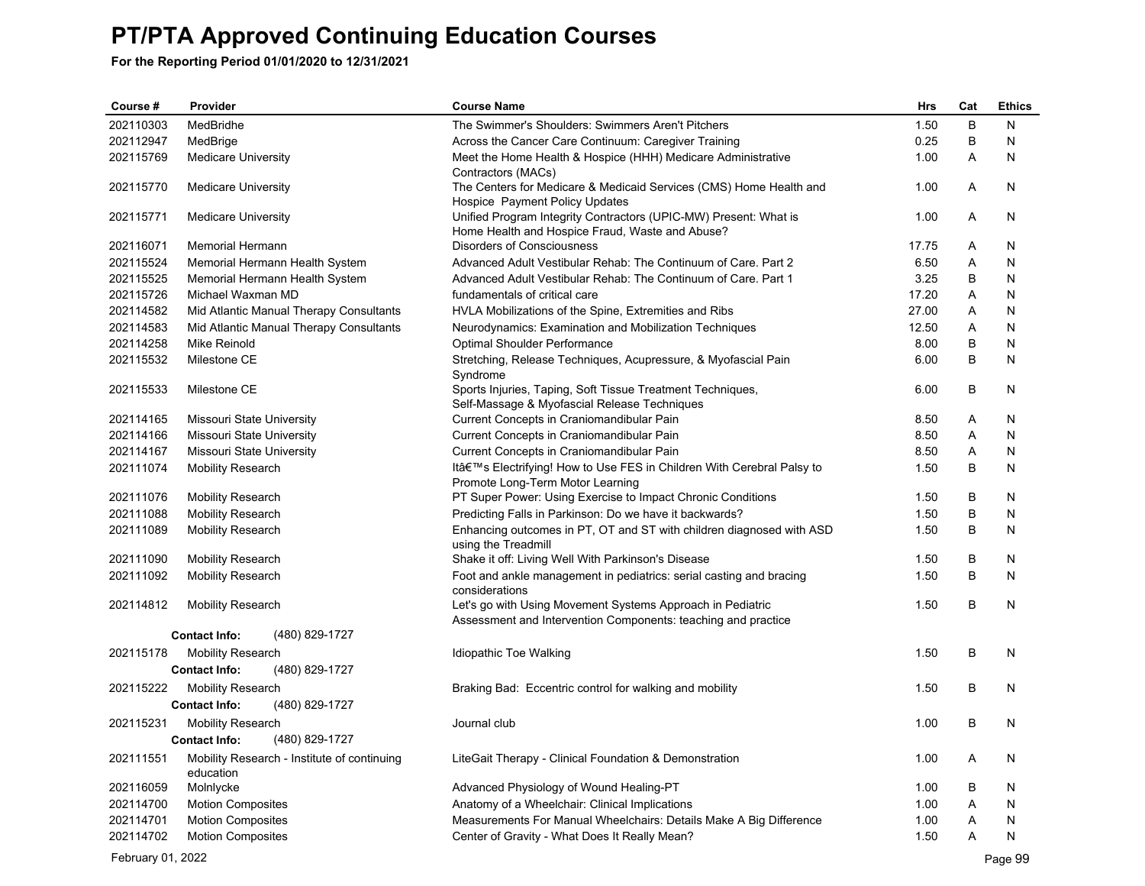**For the Reporting Period 01/01/2020 to 12/31/2021**

| Course #  | Provider                   |                                             | <b>Course Name</b>                                                                                                          | <b>Hrs</b> | Cat | <b>Ethics</b> |
|-----------|----------------------------|---------------------------------------------|-----------------------------------------------------------------------------------------------------------------------------|------------|-----|---------------|
| 202110303 | MedBridhe                  |                                             | The Swimmer's Shoulders: Swimmers Aren't Pitchers                                                                           | 1.50       | B   | N             |
| 202112947 | MedBrige                   |                                             | Across the Cancer Care Continuum: Caregiver Training                                                                        | 0.25       | B   | N             |
| 202115769 | <b>Medicare University</b> |                                             | Meet the Home Health & Hospice (HHH) Medicare Administrative<br>Contractors (MACs)                                          | 1.00       | A   | N             |
| 202115770 | <b>Medicare University</b> |                                             | The Centers for Medicare & Medicaid Services (CMS) Home Health and<br>Hospice Payment Policy Updates                        | 1.00       | A   | N             |
| 202115771 | <b>Medicare University</b> |                                             | Unified Program Integrity Contractors (UPIC-MW) Present: What is<br>Home Health and Hospice Fraud, Waste and Abuse?         | 1.00       | A   | N             |
| 202116071 | <b>Memorial Hermann</b>    |                                             | <b>Disorders of Consciousness</b>                                                                                           | 17.75      | A   | N             |
| 202115524 |                            | Memorial Hermann Health System              | Advanced Adult Vestibular Rehab: The Continuum of Care. Part 2                                                              | 6.50       | Α   | N             |
| 202115525 |                            | Memorial Hermann Health System              | Advanced Adult Vestibular Rehab: The Continuum of Care. Part 1                                                              | 3.25       | В   | N             |
| 202115726 | Michael Waxman MD          |                                             | fundamentals of critical care                                                                                               | 17.20      | A   | N             |
| 202114582 |                            | Mid Atlantic Manual Therapy Consultants     | HVLA Mobilizations of the Spine, Extremities and Ribs                                                                       | 27.00      | A   | N             |
| 202114583 |                            | Mid Atlantic Manual Therapy Consultants     | Neurodynamics: Examination and Mobilization Techniques                                                                      | 12.50      | Α   | N             |
| 202114258 | Mike Reinold               |                                             | Optimal Shoulder Performance                                                                                                | 8.00       | B   | N             |
| 202115532 | Milestone CE               |                                             | Stretching, Release Techniques, Acupressure, & Myofascial Pain<br>Syndrome                                                  | 6.00       | B   | N             |
| 202115533 | Milestone CE               |                                             | Sports Injuries, Taping, Soft Tissue Treatment Techniques,<br>Self-Massage & Myofascial Release Techniques                  | 6.00       | B   | N             |
| 202114165 | Missouri State University  |                                             | Current Concepts in Craniomandibular Pain                                                                                   | 8.50       | A   | N             |
| 202114166 | Missouri State University  |                                             | Current Concepts in Craniomandibular Pain                                                                                   | 8.50       | A   | N             |
| 202114167 | Missouri State University  |                                             | Current Concepts in Craniomandibular Pain                                                                                   | 8.50       | Α   | N             |
| 202111074 | <b>Mobility Research</b>   |                                             | It's Electrifying! How to Use FES in Children With Cerebral Palsy to<br>Promote Long-Term Motor Learning                    | 1.50       | B   | N             |
| 202111076 | <b>Mobility Research</b>   |                                             | PT Super Power: Using Exercise to Impact Chronic Conditions                                                                 | 1.50       | В   | N             |
| 202111088 | <b>Mobility Research</b>   |                                             | Predicting Falls in Parkinson: Do we have it backwards?                                                                     | 1.50       | B   | N             |
| 202111089 | <b>Mobility Research</b>   |                                             | Enhancing outcomes in PT, OT and ST with children diagnosed with ASD<br>using the Treadmill                                 | 1.50       | B   | N             |
| 202111090 | <b>Mobility Research</b>   |                                             | Shake it off: Living Well With Parkinson's Disease                                                                          | 1.50       | В   | N             |
| 202111092 | <b>Mobility Research</b>   |                                             | Foot and ankle management in pediatrics: serial casting and bracing<br>considerations                                       | 1.50       | B   | N             |
| 202114812 | <b>Mobility Research</b>   |                                             | Let's go with Using Movement Systems Approach in Pediatric<br>Assessment and Intervention Components: teaching and practice | 1.50       | B   | N             |
|           | <b>Contact Info:</b>       | (480) 829-1727                              |                                                                                                                             |            |     |               |
| 202115178 | <b>Mobility Research</b>   |                                             | Idiopathic Toe Walking                                                                                                      | 1.50       | В   | N             |
|           | <b>Contact Info:</b>       | (480) 829-1727                              |                                                                                                                             |            |     |               |
| 202115222 | Mobility Research          |                                             | Braking Bad: Eccentric control for walking and mobility                                                                     | 1.50       | В   | N             |
|           | <b>Contact Info:</b>       | (480) 829-1727                              |                                                                                                                             |            |     |               |
| 202115231 | <b>Mobility Research</b>   |                                             | Journal club                                                                                                                | 1.00       | B   | N             |
|           | <b>Contact Info:</b>       | (480) 829-1727                              |                                                                                                                             |            |     |               |
| 202111551 |                            | Mobility Research - Institute of continuing | LiteGait Therapy - Clinical Foundation & Demonstration                                                                      | 1.00       | Α   | N             |
|           | education                  |                                             |                                                                                                                             |            |     |               |
| 202116059 | Molnlycke                  |                                             | Advanced Physiology of Wound Healing-PT                                                                                     | 1.00       | В   | N             |
| 202114700 | <b>Motion Composites</b>   |                                             | Anatomy of a Wheelchair: Clinical Implications                                                                              | 1.00       | A   | N             |
| 202114701 | <b>Motion Composites</b>   |                                             | Measurements For Manual Wheelchairs: Details Make A Big Difference                                                          | 1.00       | Α   | N             |
| 202114702 | <b>Motion Composites</b>   |                                             | Center of Gravity - What Does It Really Mean?                                                                               | 1.50       | A   | N             |

February 01, 2022 Page 99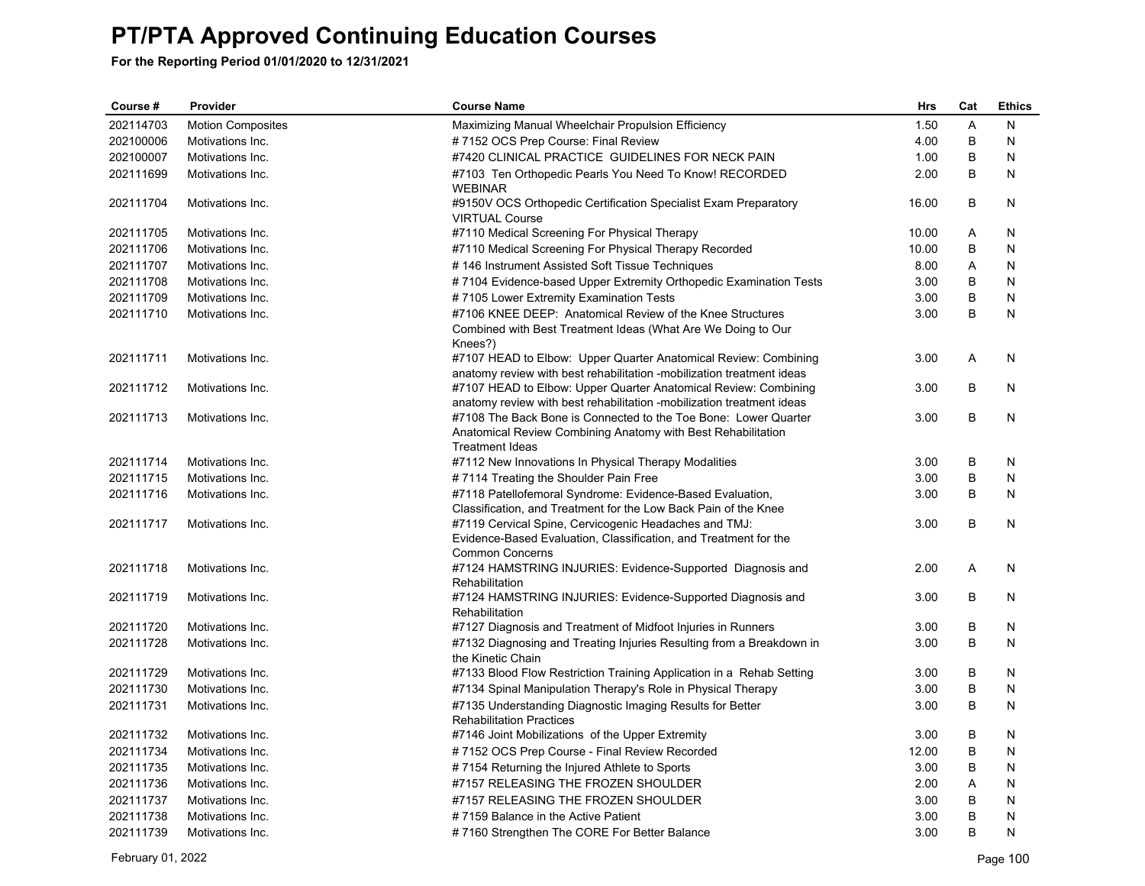| Course #  | Provider                 | <b>Course Name</b>                                                                                                                                        | Hrs   | Cat     | <b>Ethics</b> |
|-----------|--------------------------|-----------------------------------------------------------------------------------------------------------------------------------------------------------|-------|---------|---------------|
| 202114703 | <b>Motion Composites</b> | Maximizing Manual Wheelchair Propulsion Efficiency                                                                                                        | 1.50  | A       | N             |
| 202100006 | Motivations Inc.         | #7152 OCS Prep Course: Final Review                                                                                                                       | 4.00  | B       | N             |
| 202100007 | Motivations Inc.         | #7420 CLINICAL PRACTICE GUIDELINES FOR NECK PAIN                                                                                                          | 1.00  | B       | N             |
| 202111699 | Motivations Inc.         | #7103 Ten Orthopedic Pearls You Need To Know! RECORDED<br><b>WEBINAR</b>                                                                                  | 2.00  | B       | N             |
| 202111704 | Motivations Inc.         | #9150V OCS Orthopedic Certification Specialist Exam Preparatory<br><b>VIRTUAL Course</b>                                                                  | 16.00 | B       | N             |
| 202111705 | Motivations Inc.         | #7110 Medical Screening For Physical Therapy                                                                                                              | 10.00 | Α       | N             |
| 202111706 | Motivations Inc.         | #7110 Medical Screening For Physical Therapy Recorded                                                                                                     | 10.00 | B       | N             |
| 202111707 | Motivations Inc.         | #146 Instrument Assisted Soft Tissue Techniques                                                                                                           | 8.00  | A       | N             |
| 202111708 | Motivations Inc.         | #7104 Evidence-based Upper Extremity Orthopedic Examination Tests                                                                                         | 3.00  | B       | N             |
| 202111709 | Motivations Inc.         | #7105 Lower Extremity Examination Tests                                                                                                                   | 3.00  | B       | N             |
| 202111710 | Motivations Inc.         | #7106 KNEE DEEP: Anatomical Review of the Knee Structures<br>Combined with Best Treatment Ideas (What Are We Doing to Our<br>Knees?)                      | 3.00  | B       | N             |
| 202111711 | Motivations Inc.         | #7107 HEAD to Elbow: Upper Quarter Anatomical Review: Combining<br>anatomy review with best rehabilitation -mobilization treatment ideas                  | 3.00  | Α       | N             |
| 202111712 | Motivations Inc.         | #7107 HEAD to Elbow: Upper Quarter Anatomical Review: Combining<br>anatomy review with best rehabilitation -mobilization treatment ideas                  | 3.00  | B       | N             |
| 202111713 | Motivations Inc.         | #7108 The Back Bone is Connected to the Toe Bone: Lower Quarter<br>Anatomical Review Combining Anatomy with Best Rehabilitation<br><b>Treatment Ideas</b> | 3.00  | B       | N             |
| 202111714 | Motivations Inc.         | #7112 New Innovations In Physical Therapy Modalities                                                                                                      | 3.00  | B       | N             |
| 202111715 | Motivations Inc.         | #7114 Treating the Shoulder Pain Free                                                                                                                     | 3.00  | B       | N             |
| 202111716 | Motivations Inc.         | #7118 Patellofemoral Syndrome: Evidence-Based Evaluation,<br>Classification, and Treatment for the Low Back Pain of the Knee                              | 3.00  | B       | N             |
| 202111717 | Motivations Inc.         | #7119 Cervical Spine, Cervicogenic Headaches and TMJ:<br>Evidence-Based Evaluation, Classification, and Treatment for the<br><b>Common Concerns</b>       | 3.00  | B       | N             |
| 202111718 | Motivations Inc.         | #7124 HAMSTRING INJURIES: Evidence-Supported Diagnosis and<br>Rehabilitation                                                                              | 2.00  | A       | N             |
| 202111719 | Motivations Inc.         | #7124 HAMSTRING INJURIES: Evidence-Supported Diagnosis and<br>Rehabilitation                                                                              | 3.00  | B       | N             |
| 202111720 | Motivations Inc.         | #7127 Diagnosis and Treatment of Midfoot Injuries in Runners                                                                                              | 3.00  | В       | N             |
| 202111728 | Motivations Inc.         | #7132 Diagnosing and Treating Injuries Resulting from a Breakdown in<br>the Kinetic Chain                                                                 | 3.00  | B       | N             |
| 202111729 | Motivations Inc.         | #7133 Blood Flow Restriction Training Application in a Rehab Setting                                                                                      | 3.00  | В       | N             |
| 202111730 | Motivations Inc.         | #7134 Spinal Manipulation Therapy's Role in Physical Therapy                                                                                              | 3.00  | $\sf B$ | N             |
| 202111731 | Motivations Inc.         | #7135 Understanding Diagnostic Imaging Results for Better<br><b>Rehabilitation Practices</b>                                                              | 3.00  | B       | N             |
| 202111732 | Motivations Inc.         | #7146 Joint Mobilizations of the Upper Extremity                                                                                                          | 3.00  | B       | N             |
| 202111734 | Motivations Inc.         | #7152 OCS Prep Course - Final Review Recorded                                                                                                             | 12.00 | B       | N             |
| 202111735 | Motivations Inc.         | #7154 Returning the Injured Athlete to Sports                                                                                                             | 3.00  | B       | N             |
| 202111736 | Motivations Inc.         | #7157 RELEASING THE FROZEN SHOULDER                                                                                                                       | 2.00  | A       | N             |
| 202111737 | Motivations Inc.         | #7157 RELEASING THE FROZEN SHOULDER                                                                                                                       | 3.00  | B       | N             |
| 202111738 | Motivations Inc.         | #7159 Balance in the Active Patient                                                                                                                       | 3.00  | B       | N             |
| 202111739 | Motivations Inc.         | #7160 Strengthen The CORE For Better Balance                                                                                                              | 3.00  | B       | N             |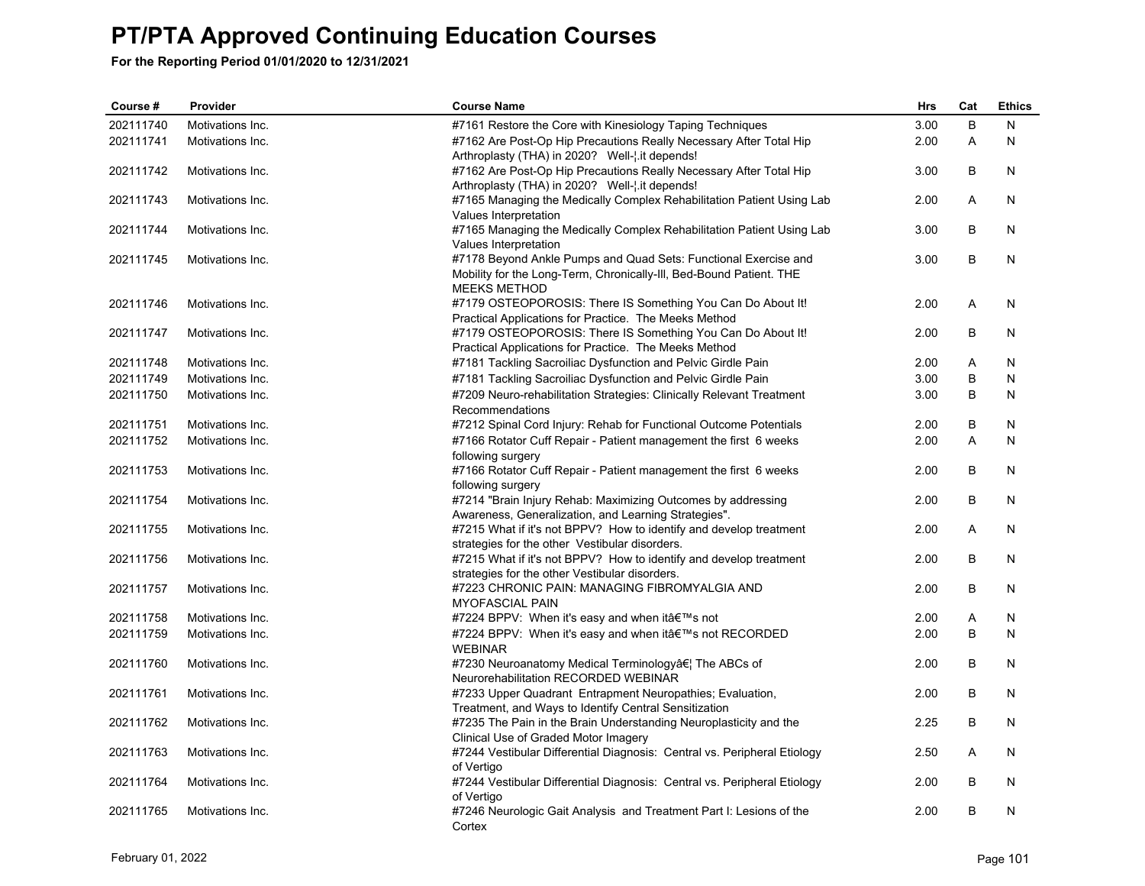| Course #  | Provider         | <b>Course Name</b>                                                                                                   | <b>Hrs</b> | Cat | <b>Ethics</b> |
|-----------|------------------|----------------------------------------------------------------------------------------------------------------------|------------|-----|---------------|
| 202111740 | Motivations Inc. | #7161 Restore the Core with Kinesiology Taping Techniques                                                            | 3.00       | B   | N             |
| 202111741 | Motivations Inc. | #7162 Are Post-Op Hip Precautions Really Necessary After Total Hip                                                   | 2.00       | Α   | N             |
|           |                  | Arthroplasty (THA) in 2020? Well-[.it depends!                                                                       |            |     |               |
| 202111742 | Motivations Inc. | #7162 Are Post-Op Hip Precautions Really Necessary After Total Hip                                                   | 3.00       | B   | N             |
|           |                  | Arthroplasty (THA) in 2020? Well-[.it depends!                                                                       |            |     |               |
| 202111743 | Motivations Inc. | #7165 Managing the Medically Complex Rehabilitation Patient Using Lab                                                | 2.00       | Α   | N             |
|           |                  | Values Interpretation                                                                                                |            |     |               |
| 202111744 | Motivations Inc. | #7165 Managing the Medically Complex Rehabilitation Patient Using Lab                                                | 3.00       | B   | N             |
| 202111745 | Motivations Inc. | Values Interpretation<br>#7178 Beyond Ankle Pumps and Quad Sets: Functional Exercise and                             | 3.00       | B   | N             |
|           |                  | Mobility for the Long-Term, Chronically-III, Bed-Bound Patient. THE                                                  |            |     |               |
|           |                  | <b>MEEKS METHOD</b>                                                                                                  |            |     |               |
| 202111746 | Motivations Inc. | #7179 OSTEOPOROSIS: There IS Something You Can Do About It!                                                          | 2.00       | A   | N             |
|           |                  | Practical Applications for Practice. The Meeks Method                                                                |            |     |               |
| 202111747 | Motivations Inc. | #7179 OSTEOPOROSIS: There IS Something You Can Do About It!                                                          | 2.00       | B   | N             |
|           |                  | Practical Applications for Practice. The Meeks Method                                                                |            |     |               |
| 202111748 | Motivations Inc. | #7181 Tackling Sacroiliac Dysfunction and Pelvic Girdle Pain                                                         | 2.00       | Α   | N             |
| 202111749 | Motivations Inc. | #7181 Tackling Sacroiliac Dysfunction and Pelvic Girdle Pain                                                         | 3.00       | B   | N             |
| 202111750 | Motivations Inc. | #7209 Neuro-rehabilitation Strategies: Clinically Relevant Treatment                                                 | 3.00       | B   | N             |
|           |                  | Recommendations                                                                                                      |            |     |               |
| 202111751 | Motivations Inc. | #7212 Spinal Cord Injury: Rehab for Functional Outcome Potentials                                                    | 2.00       | B   | N             |
| 202111752 | Motivations Inc. | #7166 Rotator Cuff Repair - Patient management the first 6 weeks                                                     | 2.00       | A   | N             |
|           |                  | following surgery                                                                                                    |            |     |               |
| 202111753 | Motivations Inc. | #7166 Rotator Cuff Repair - Patient management the first 6 weeks                                                     | 2.00       | B   | N             |
|           |                  | following surgery                                                                                                    |            |     |               |
| 202111754 | Motivations Inc. | #7214 "Brain Injury Rehab: Maximizing Outcomes by addressing                                                         | 2.00       | B   | N             |
|           |                  | Awareness, Generalization, and Learning Strategies".                                                                 |            |     |               |
| 202111755 | Motivations Inc. | #7215 What if it's not BPPV? How to identify and develop treatment                                                   | 2.00       | Α   | N             |
|           |                  | strategies for the other Vestibular disorders.                                                                       | 2.00       | B   | N             |
| 202111756 | Motivations Inc. | #7215 What if it's not BPPV? How to identify and develop treatment<br>strategies for the other Vestibular disorders. |            |     |               |
| 202111757 | Motivations Inc. | #7223 CHRONIC PAIN: MANAGING FIBROMYALGIA AND                                                                        | 2.00       | B   | N             |
|           |                  | <b>MYOFASCIAL PAIN</b>                                                                                               |            |     |               |
| 202111758 | Motivations Inc. | #7224 BPPV: When it's easy and when it's not                                                                         | 2.00       | Α   | N             |
| 202111759 | Motivations Inc. | #7224 BPPV: When it's easy and when it's not RECORDED                                                                | 2.00       | B   | N             |
|           |                  | <b>WEBINAR</b>                                                                                                       |            |     |               |
| 202111760 | Motivations Inc. | #7230 Neuroanatomy Medical Terminology… The ABCs of                                                                  | 2.00       | B   | N             |
|           |                  | Neurorehabilitation RECORDED WEBINAR                                                                                 |            |     |               |
| 202111761 | Motivations Inc. | #7233 Upper Quadrant Entrapment Neuropathies; Evaluation,                                                            | 2.00       | B   | N             |
|           |                  | Treatment, and Ways to Identify Central Sensitization                                                                |            |     |               |
| 202111762 | Motivations Inc. | #7235 The Pain in the Brain Understanding Neuroplasticity and the                                                    | 2.25       | В   | N             |
|           |                  | Clinical Use of Graded Motor Imagery                                                                                 |            |     |               |
| 202111763 | Motivations Inc. | #7244 Vestibular Differential Diagnosis: Central vs. Peripheral Etiology                                             | 2.50       | Α   | N             |
|           |                  | of Vertigo                                                                                                           |            |     |               |
| 202111764 | Motivations Inc. | #7244 Vestibular Differential Diagnosis: Central vs. Peripheral Etiology                                             | 2.00       | B   | N             |
|           |                  | of Vertigo                                                                                                           |            |     |               |
| 202111765 | Motivations Inc. | #7246 Neurologic Gait Analysis and Treatment Part I: Lesions of the<br>Cortex                                        | 2.00       | B   | N             |
|           |                  |                                                                                                                      |            |     |               |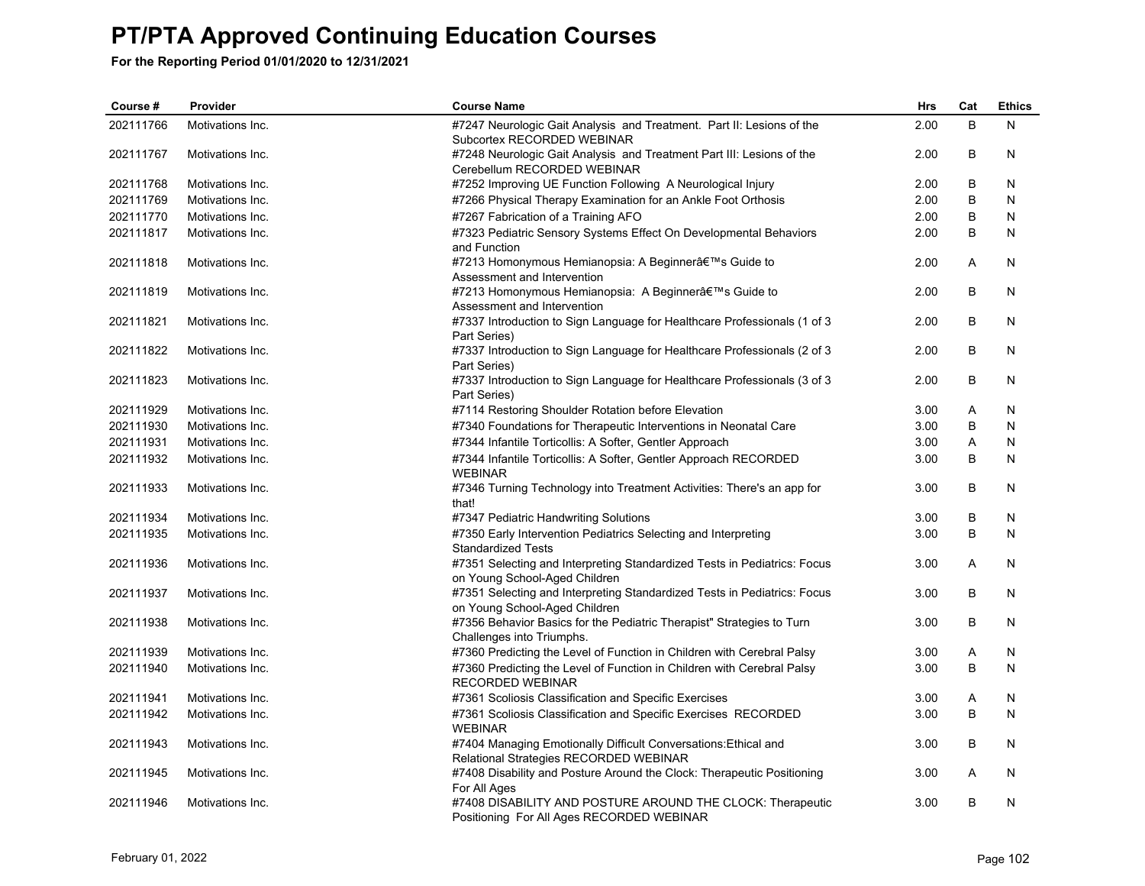| Course #  | Provider         | <b>Course Name</b>                                                                                        | Hrs  | Cat | <b>Ethics</b> |
|-----------|------------------|-----------------------------------------------------------------------------------------------------------|------|-----|---------------|
| 202111766 | Motivations Inc. | #7247 Neurologic Gait Analysis and Treatment. Part II: Lesions of the<br>Subcortex RECORDED WEBINAR       | 2.00 | B   | N             |
| 202111767 | Motivations Inc. | #7248 Neurologic Gait Analysis and Treatment Part III: Lesions of the<br>Cerebellum RECORDED WEBINAR      | 2.00 | B   | N             |
| 202111768 | Motivations Inc. | #7252 Improving UE Function Following A Neurological Injury                                               | 2.00 | B   | N             |
| 202111769 | Motivations Inc. | #7266 Physical Therapy Examination for an Ankle Foot Orthosis                                             | 2.00 | B   | N             |
| 202111770 | Motivations Inc. | #7267 Fabrication of a Training AFO                                                                       | 2.00 | B   | N             |
| 202111817 | Motivations Inc. | #7323 Pediatric Sensory Systems Effect On Developmental Behaviors<br>and Function                         | 2.00 | B   | N             |
| 202111818 | Motivations Inc. | #7213 Homonymous Hemianopsia: A Beginner's Guide to<br>Assessment and Intervention                        | 2.00 | A   | N.            |
| 202111819 | Motivations Inc. | #7213 Homonymous Hemianopsia: A Beginner a€™s Guide to<br>Assessment and Intervention                     | 2.00 | B   | N             |
| 202111821 | Motivations Inc. | #7337 Introduction to Sign Language for Healthcare Professionals (1 of 3<br>Part Series)                  | 2.00 | B   | N             |
| 202111822 | Motivations Inc. | #7337 Introduction to Sign Language for Healthcare Professionals (2 of 3<br>Part Series)                  | 2.00 | B   | N             |
| 202111823 | Motivations Inc. | #7337 Introduction to Sign Language for Healthcare Professionals (3 of 3<br>Part Series)                  | 2.00 | B   | N             |
| 202111929 | Motivations Inc. | #7114 Restoring Shoulder Rotation before Elevation                                                        | 3.00 | Α   | N             |
| 202111930 | Motivations Inc. | #7340 Foundations for Therapeutic Interventions in Neonatal Care                                          | 3.00 | B   | N             |
| 202111931 | Motivations Inc. | #7344 Infantile Torticollis: A Softer, Gentler Approach                                                   | 3.00 | Α   | N             |
| 202111932 | Motivations Inc. | #7344 Infantile Torticollis: A Softer, Gentler Approach RECORDED<br><b>WEBINAR</b>                        | 3.00 | B   | N             |
| 202111933 | Motivations Inc. | #7346 Turning Technology into Treatment Activities: There's an app for<br>that!                           | 3.00 | B   | N             |
| 202111934 | Motivations Inc. | #7347 Pediatric Handwriting Solutions                                                                     | 3.00 | B   | N             |
| 202111935 | Motivations Inc. | #7350 Early Intervention Pediatrics Selecting and Interpreting<br><b>Standardized Tests</b>               | 3.00 | B   | N             |
| 202111936 | Motivations Inc. | #7351 Selecting and Interpreting Standardized Tests in Pediatrics: Focus<br>on Young School-Aged Children | 3.00 | A   | N             |
| 202111937 | Motivations Inc. | #7351 Selecting and Interpreting Standardized Tests in Pediatrics: Focus<br>on Young School-Aged Children | 3.00 | B   | N             |
| 202111938 | Motivations Inc. | #7356 Behavior Basics for the Pediatric Therapist" Strategies to Turn<br>Challenges into Triumphs.        | 3.00 | B   | N             |
| 202111939 | Motivations Inc. | #7360 Predicting the Level of Function in Children with Cerebral Palsy                                    | 3.00 | Α   | N             |
| 202111940 | Motivations Inc. | #7360 Predicting the Level of Function in Children with Cerebral Palsy<br><b>RECORDED WEBINAR</b>         | 3.00 | B   | N             |
| 202111941 | Motivations Inc. | #7361 Scoliosis Classification and Specific Exercises                                                     | 3.00 | Α   | N.            |
| 202111942 | Motivations Inc. | #7361 Scoliosis Classification and Specific Exercises RECORDED<br><b>WEBINAR</b>                          | 3.00 | B   | N             |
| 202111943 | Motivations Inc. | #7404 Managing Emotionally Difficult Conversations: Ethical and<br>Relational Strategies RECORDED WEBINAR | 3.00 | B   | N             |
| 202111945 | Motivations Inc. | #7408 Disability and Posture Around the Clock: Therapeutic Positioning<br>For All Ages                    | 3.00 | A   | N             |
| 202111946 | Motivations Inc. | #7408 DISABILITY AND POSTURE AROUND THE CLOCK: Therapeutic<br>Positioning For All Ages RECORDED WEBINAR   | 3.00 | B   | $\mathsf{N}$  |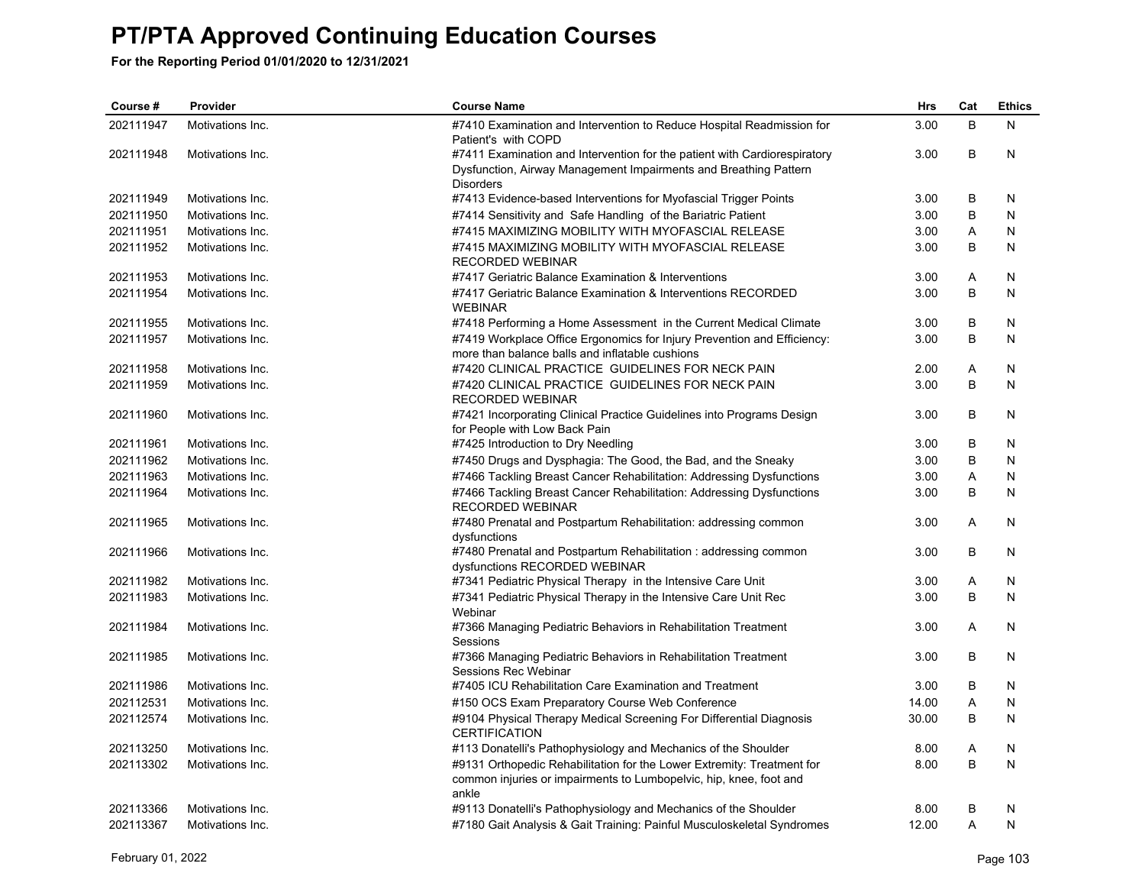| Course #  | Provider         | <b>Course Name</b>                                                                                                                                                | Hrs   | Cat | <b>Ethics</b> |
|-----------|------------------|-------------------------------------------------------------------------------------------------------------------------------------------------------------------|-------|-----|---------------|
| 202111947 | Motivations Inc. | #7410 Examination and Intervention to Reduce Hospital Readmission for<br>Patient's with COPD                                                                      | 3.00  | B   | N             |
| 202111948 | Motivations Inc. | #7411 Examination and Intervention for the patient with Cardiorespiratory<br>Dysfunction, Airway Management Impairments and Breathing Pattern<br><b>Disorders</b> | 3.00  | B   | N             |
| 202111949 | Motivations Inc. | #7413 Evidence-based Interventions for Myofascial Trigger Points                                                                                                  | 3.00  | B   | N             |
| 202111950 | Motivations Inc. | #7414 Sensitivity and Safe Handling of the Bariatric Patient                                                                                                      | 3.00  | B   | N             |
| 202111951 | Motivations Inc. | #7415 MAXIMIZING MOBILITY WITH MYOFASCIAL RELEASE                                                                                                                 | 3.00  | Α   | N             |
| 202111952 | Motivations Inc. | #7415 MAXIMIZING MOBILITY WITH MYOFASCIAL RELEASE<br><b>RECORDED WEBINAR</b>                                                                                      | 3.00  | B   | N             |
| 202111953 | Motivations Inc. | #7417 Geriatric Balance Examination & Interventions                                                                                                               | 3.00  | Α   | N             |
| 202111954 | Motivations Inc. | #7417 Geriatric Balance Examination & Interventions RECORDED<br><b>WEBINAR</b>                                                                                    | 3.00  | B   | N             |
| 202111955 | Motivations Inc. | #7418 Performing a Home Assessment in the Current Medical Climate                                                                                                 | 3.00  | В   | N             |
| 202111957 | Motivations Inc. | #7419 Workplace Office Ergonomics for Injury Prevention and Efficiency:<br>more than balance balls and inflatable cushions                                        | 3.00  | B   | N             |
| 202111958 | Motivations Inc. | #7420 CLINICAL PRACTICE GUIDELINES FOR NECK PAIN                                                                                                                  | 2.00  | A   | N             |
| 202111959 | Motivations Inc. | #7420 CLINICAL PRACTICE GUIDELINES FOR NECK PAIN<br><b>RECORDED WEBINAR</b>                                                                                       | 3.00  | B   | N             |
| 202111960 | Motivations Inc. | #7421 Incorporating Clinical Practice Guidelines into Programs Design<br>for People with Low Back Pain                                                            | 3.00  | В   | N             |
| 202111961 | Motivations Inc. | #7425 Introduction to Dry Needling                                                                                                                                | 3.00  | B   | N             |
| 202111962 | Motivations Inc. | #7450 Drugs and Dysphagia: The Good, the Bad, and the Sneaky                                                                                                      | 3.00  | В   | N             |
| 202111963 | Motivations Inc. | #7466 Tackling Breast Cancer Rehabilitation: Addressing Dysfunctions                                                                                              | 3.00  | A   | N             |
| 202111964 | Motivations Inc. | #7466 Tackling Breast Cancer Rehabilitation: Addressing Dysfunctions<br><b>RECORDED WEBINAR</b>                                                                   | 3.00  | B   | N             |
| 202111965 | Motivations Inc. | #7480 Prenatal and Postpartum Rehabilitation: addressing common<br>dysfunctions                                                                                   | 3.00  | A   | N             |
| 202111966 | Motivations Inc. | #7480 Prenatal and Postpartum Rehabilitation: addressing common<br>dysfunctions RECORDED WEBINAR                                                                  | 3.00  | B   | N             |
| 202111982 | Motivations Inc. | #7341 Pediatric Physical Therapy in the Intensive Care Unit                                                                                                       | 3.00  | Α   | N             |
| 202111983 | Motivations Inc. | #7341 Pediatric Physical Therapy in the Intensive Care Unit Rec<br>Webinar                                                                                        | 3.00  | B   | N             |
| 202111984 | Motivations Inc. | #7366 Managing Pediatric Behaviors in Rehabilitation Treatment<br>Sessions                                                                                        | 3.00  | A   | N             |
| 202111985 | Motivations Inc. | #7366 Managing Pediatric Behaviors in Rehabilitation Treatment<br>Sessions Rec Webinar                                                                            | 3.00  | В   | N             |
| 202111986 | Motivations Inc. | #7405 ICU Rehabilitation Care Examination and Treatment                                                                                                           | 3.00  | В   | N             |
| 202112531 | Motivations Inc. | #150 OCS Exam Preparatory Course Web Conference                                                                                                                   | 14.00 | Α   | N             |
| 202112574 | Motivations Inc. | #9104 Physical Therapy Medical Screening For Differential Diagnosis<br><b>CERTIFICATION</b>                                                                       | 30.00 | B   | N             |
| 202113250 | Motivations Inc. | #113 Donatelli's Pathophysiology and Mechanics of the Shoulder                                                                                                    | 8.00  | Α   | N             |
| 202113302 | Motivations Inc. | #9131 Orthopedic Rehabilitation for the Lower Extremity: Treatment for<br>common injuries or impairments to Lumbopelvic, hip, knee, foot and<br>ankle             | 8.00  | B   | N             |
| 202113366 | Motivations Inc. | #9113 Donatelli's Pathophysiology and Mechanics of the Shoulder                                                                                                   | 8.00  | В   | N             |
| 202113367 | Motivations Inc. | #7180 Gait Analysis & Gait Training: Painful Musculoskeletal Syndromes                                                                                            | 12.00 | A   | N             |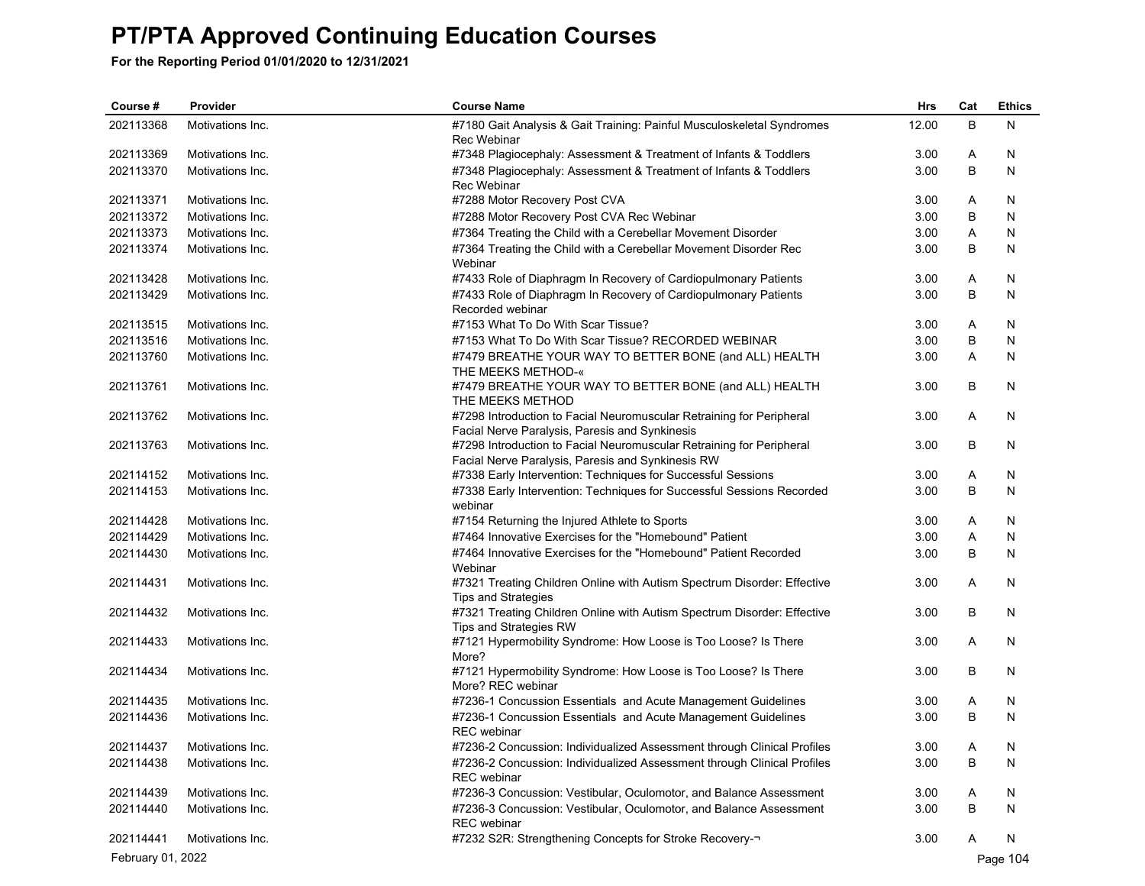| Course #          | Provider                   | <b>Course Name</b>                                                                                                        | <b>Hrs</b> | Cat | <b>Ethics</b> |
|-------------------|----------------------------|---------------------------------------------------------------------------------------------------------------------------|------------|-----|---------------|
| 202113368         | Motivations Inc.           | #7180 Gait Analysis & Gait Training: Painful Musculoskeletal Syndromes<br>Rec Webinar                                     | 12.00      | B   | N             |
| 202113369         | Motivations Inc.           | #7348 Plagiocephaly: Assessment & Treatment of Infants & Toddlers                                                         | 3.00       | Α   | N             |
| 202113370         | Motivations Inc.           | #7348 Plagiocephaly: Assessment & Treatment of Infants & Toddlers<br>Rec Webinar                                          | 3.00       | B   | N             |
| 202113371         | Motivations Inc.           | #7288 Motor Recovery Post CVA                                                                                             | 3.00       | Α   | N             |
| 202113372         | Motivations Inc.           | #7288 Motor Recovery Post CVA Rec Webinar                                                                                 | 3.00       | B   | N             |
| 202113373         | Motivations Inc.           | #7364 Treating the Child with a Cerebellar Movement Disorder                                                              | 3.00       | Α   | N             |
| 202113374         | Motivations Inc.           | #7364 Treating the Child with a Cerebellar Movement Disorder Rec<br>Webinar                                               | 3.00       | В   | N             |
| 202113428         | Motivations Inc.           | #7433 Role of Diaphragm In Recovery of Cardiopulmonary Patients                                                           | 3.00       | Α   | N             |
| 202113429         | Motivations Inc.           | #7433 Role of Diaphragm In Recovery of Cardiopulmonary Patients<br>Recorded webinar                                       | 3.00       | B   | N             |
| 202113515         | Motivations Inc.           | #7153 What To Do With Scar Tissue?                                                                                        | 3.00       | Α   | N             |
| 202113516         | Motivations Inc.           | #7153 What To Do With Scar Tissue? RECORDED WEBINAR                                                                       | 3.00       | B   | N             |
| 202113760         | Motivations Inc.           | #7479 BREATHE YOUR WAY TO BETTER BONE (and ALL) HEALTH<br>THE MEEKS METHOD-«                                              | 3.00       | Α   | N             |
| 202113761         | Motivations Inc.           | #7479 BREATHE YOUR WAY TO BETTER BONE (and ALL) HEALTH<br>THE MEEKS METHOD                                                | 3.00       | В   | N             |
| 202113762         | Motivations Inc.           | #7298 Introduction to Facial Neuromuscular Retraining for Peripheral<br>Facial Nerve Paralysis, Paresis and Synkinesis    | 3.00       | Α   | N             |
| 202113763         | Motivations Inc.           | #7298 Introduction to Facial Neuromuscular Retraining for Peripheral<br>Facial Nerve Paralysis, Paresis and Synkinesis RW | 3.00       | B   | N             |
| 202114152         | Motivations Inc.           | #7338 Early Intervention: Techniques for Successful Sessions                                                              | 3.00       | Α   | N             |
| 202114153         | Motivations Inc.           | #7338 Early Intervention: Techniques for Successful Sessions Recorded<br>webinar                                          | 3.00       | В   | N             |
| 202114428         | Motivations Inc.           | #7154 Returning the Injured Athlete to Sports                                                                             | 3.00       | Α   | N             |
| 202114429         | Motivations Inc.           | #7464 Innovative Exercises for the "Homebound" Patient                                                                    | 3.00       | Α   | N             |
| 202114430         | Motivations Inc.           | #7464 Innovative Exercises for the "Homebound" Patient Recorded<br>Webinar                                                | 3.00       | В   | N             |
| 202114431         | Motivations Inc.           | #7321 Treating Children Online with Autism Spectrum Disorder: Effective<br><b>Tips and Strategies</b>                     | 3.00       | Α   | N             |
| 202114432         | Motivations Inc.           | #7321 Treating Children Online with Autism Spectrum Disorder: Effective<br>Tips and Strategies RW                         | 3.00       | В   | N             |
| 202114433         | Motivations Inc.           | #7121 Hypermobility Syndrome: How Loose is Too Loose? Is There<br>More?                                                   | 3.00       | Α   | N             |
| 202114434         | Motivations Inc.           | #7121 Hypermobility Syndrome: How Loose is Too Loose? Is There<br>More? REC webinar                                       | 3.00       | В   | N             |
| 202114435         | Motivations Inc.           | #7236-1 Concussion Essentials and Acute Management Guidelines                                                             | 3.00       | A   | N             |
| 202114436         | Motivations Inc.           | #7236-1 Concussion Essentials and Acute Management Guidelines<br><b>REC</b> webinar                                       | 3.00       | B   | N             |
|                   | 202114437 Motivations Inc. | #7236-2 Concussion: Individualized Assessment through Clinical Profiles                                                   | 3.00       | Α   | N             |
| 202114438         | Motivations Inc.           | #7236-2 Concussion: Individualized Assessment through Clinical Profiles<br><b>REC</b> webinar                             | 3.00       | В   | N             |
| 202114439         | Motivations Inc.           | #7236-3 Concussion: Vestibular, Oculomotor, and Balance Assessment                                                        | 3.00       | Α   | N             |
| 202114440         | Motivations Inc.           | #7236-3 Concussion: Vestibular, Oculomotor, and Balance Assessment<br><b>REC</b> webinar                                  | 3.00       | В   | N             |
| 202114441         | Motivations Inc.           | #7232 S2R: Strengthening Concepts for Stroke Recovery-                                                                    | 3.00       | A   | N             |
| February 01, 2022 |                            |                                                                                                                           |            |     | Page 104      |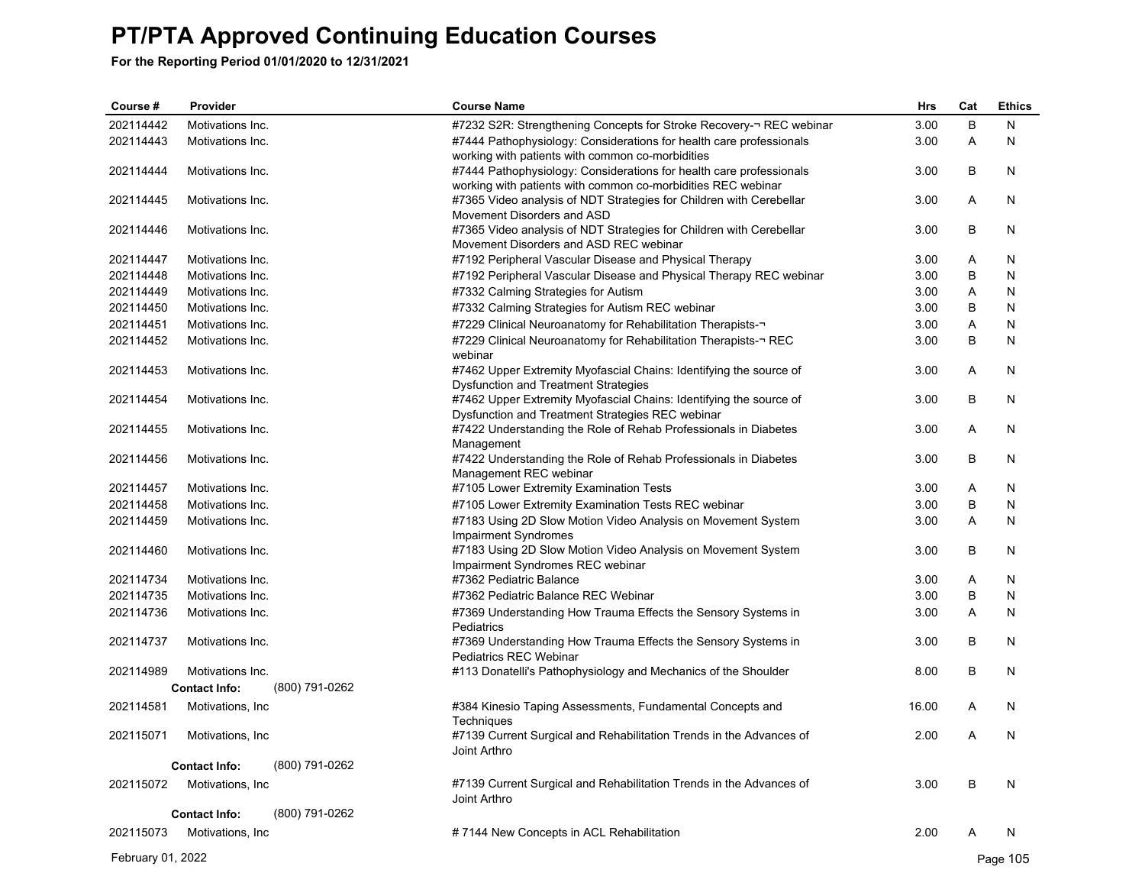| Course #  | Provider                               | <b>Course Name</b>                                                                                                     | Hrs   | Cat     | <b>Ethics</b> |
|-----------|----------------------------------------|------------------------------------------------------------------------------------------------------------------------|-------|---------|---------------|
| 202114442 | Motivations Inc.                       | #7232 S2R: Strengthening Concepts for Stroke Recovery-¬ REC webinar                                                    | 3.00  | $\sf B$ | N             |
| 202114443 | Motivations Inc.                       | #7444 Pathophysiology: Considerations for health care professionals                                                    | 3.00  | Α       | N             |
|           |                                        | working with patients with common co-morbidities                                                                       |       |         |               |
| 202114444 | Motivations Inc.                       | #7444 Pathophysiology: Considerations for health care professionals                                                    | 3.00  | B       | N             |
| 202114445 | Motivations Inc.                       | working with patients with common co-morbidities REC webinar                                                           | 3.00  | Α       | N             |
|           |                                        | #7365 Video analysis of NDT Strategies for Children with Cerebellar<br>Movement Disorders and ASD                      |       |         |               |
| 202114446 | Motivations Inc.                       | #7365 Video analysis of NDT Strategies for Children with Cerebellar                                                    | 3.00  | B       | N             |
|           |                                        | Movement Disorders and ASD REC webinar                                                                                 |       |         |               |
| 202114447 | Motivations Inc.                       | #7192 Peripheral Vascular Disease and Physical Therapy                                                                 | 3.00  | Α       | N             |
| 202114448 | Motivations Inc.                       | #7192 Peripheral Vascular Disease and Physical Therapy REC webinar                                                     | 3.00  | B       | N             |
| 202114449 | Motivations Inc.                       | #7332 Calming Strategies for Autism                                                                                    | 3.00  | Α       | N             |
| 202114450 | Motivations Inc.                       | #7332 Calming Strategies for Autism REC webinar                                                                        | 3.00  | B       | N             |
| 202114451 | Motivations Inc.                       | #7229 Clinical Neuroanatomy for Rehabilitation Therapists-                                                             | 3.00  | Α       | N             |
| 202114452 | Motivations Inc.                       | #7229 Clinical Neuroanatomy for Rehabilitation Therapists-¬ REC                                                        | 3.00  | B       | $\mathsf{N}$  |
|           |                                        | webinar                                                                                                                |       |         |               |
| 202114453 | Motivations Inc.                       | #7462 Upper Extremity Myofascial Chains: Identifying the source of                                                     | 3.00  | Α       | N             |
|           |                                        | Dysfunction and Treatment Strategies                                                                                   |       |         |               |
| 202114454 | Motivations Inc.                       | #7462 Upper Extremity Myofascial Chains: Identifying the source of<br>Dysfunction and Treatment Strategies REC webinar | 3.00  | B       | N             |
| 202114455 | Motivations Inc.                       | #7422 Understanding the Role of Rehab Professionals in Diabetes                                                        | 3.00  | A       | N             |
|           |                                        | Management                                                                                                             |       |         |               |
| 202114456 | Motivations Inc.                       | #7422 Understanding the Role of Rehab Professionals in Diabetes                                                        | 3.00  | B       | N             |
|           |                                        | Management REC webinar                                                                                                 |       |         |               |
| 202114457 | Motivations Inc.                       | #7105 Lower Extremity Examination Tests                                                                                | 3.00  | Α       | N             |
| 202114458 | Motivations Inc.                       | #7105 Lower Extremity Examination Tests REC webinar                                                                    | 3.00  | B       | N             |
| 202114459 | Motivations Inc.                       | #7183 Using 2D Slow Motion Video Analysis on Movement System                                                           | 3.00  | A       | N             |
|           |                                        | Impairment Syndromes                                                                                                   |       |         |               |
| 202114460 | Motivations Inc.                       | #7183 Using 2D Slow Motion Video Analysis on Movement System                                                           | 3.00  | B       | N             |
| 202114734 | Motivations Inc.                       | Impairment Syndromes REC webinar<br>#7362 Pediatric Balance                                                            | 3.00  | Α       | N             |
| 202114735 | Motivations Inc.                       | #7362 Pediatric Balance REC Webinar                                                                                    | 3.00  | B       | N             |
| 202114736 | Motivations Inc.                       | #7369 Understanding How Trauma Effects the Sensory Systems in                                                          | 3.00  | Α       | N             |
|           |                                        | Pediatrics                                                                                                             |       |         |               |
| 202114737 | Motivations Inc.                       | #7369 Understanding How Trauma Effects the Sensory Systems in                                                          | 3.00  | B       | N             |
|           |                                        | Pediatrics REC Webinar                                                                                                 |       |         |               |
| 202114989 | Motivations Inc.                       | #113 Donatelli's Pathophysiology and Mechanics of the Shoulder                                                         | 8.00  | B       | N             |
|           | (800) 791-0262<br><b>Contact Info:</b> |                                                                                                                        |       |         |               |
| 202114581 | Motivations, Inc.                      | #384 Kinesio Taping Assessments, Fundamental Concepts and                                                              | 16.00 | A       | N             |
|           |                                        | Techniques                                                                                                             |       |         |               |
| 202115071 | Motivations, Inc.                      | #7139 Current Surgical and Rehabilitation Trends in the Advances of                                                    | 2.00  | A       | N             |
|           |                                        | Joint Arthro                                                                                                           |       |         |               |
|           | <b>Contact Info:</b><br>(800) 791-0262 |                                                                                                                        |       |         |               |
| 202115072 | Motivations, Inc.                      | #7139 Current Surgical and Rehabilitation Trends in the Advances of                                                    | 3.00  | B       | N             |
|           | (800) 791-0262<br><b>Contact Info:</b> | Joint Arthro                                                                                                           |       |         |               |
|           |                                        |                                                                                                                        |       |         |               |
| 202115073 | Motivations, Inc.                      | #7144 New Concepts in ACL Rehabilitation                                                                               | 2.00  | A       | N             |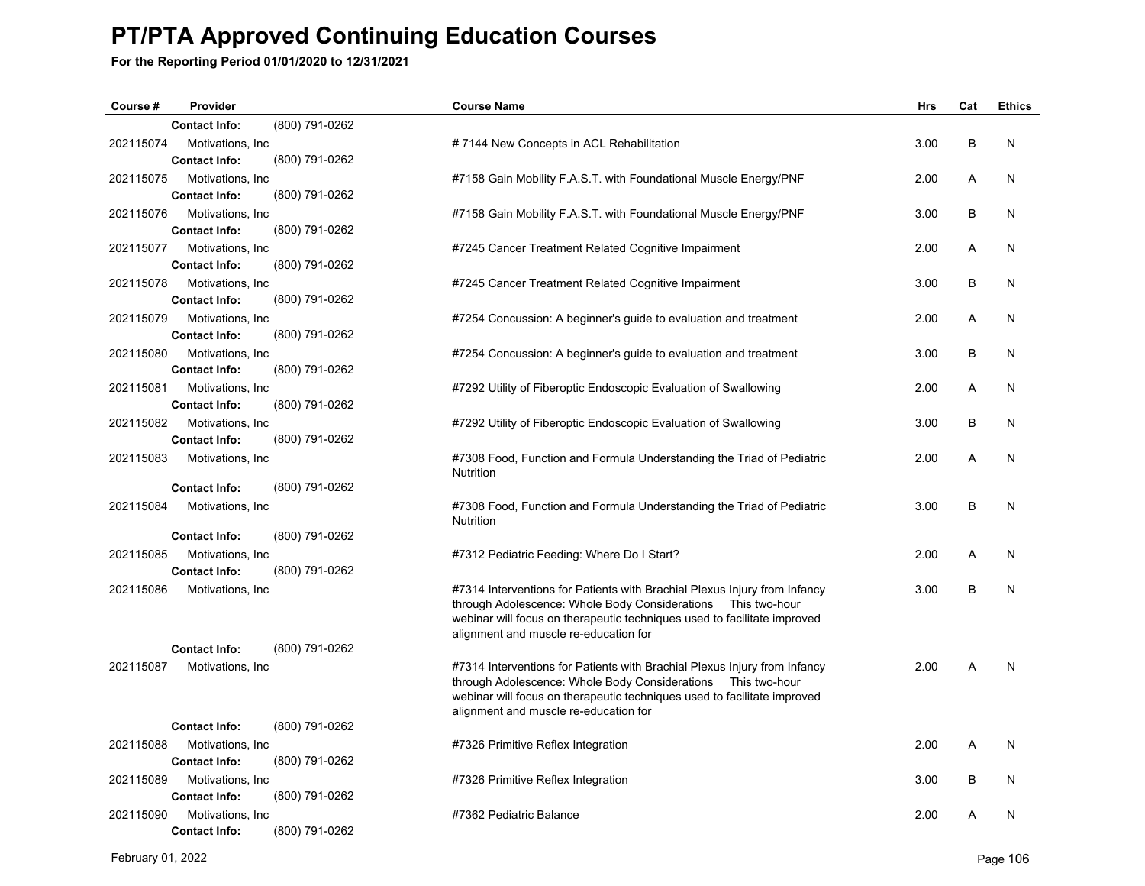| Course #  | Provider             |                | <b>Course Name</b>                                                        | <b>Hrs</b> | Cat | <b>Ethics</b> |
|-----------|----------------------|----------------|---------------------------------------------------------------------------|------------|-----|---------------|
|           | <b>Contact Info:</b> | (800) 791-0262 |                                                                           |            |     |               |
| 202115074 | Motivations, Inc.    |                | #7144 New Concepts in ACL Rehabilitation                                  | 3.00       | В   | N             |
|           | <b>Contact Info:</b> | (800) 791-0262 |                                                                           |            |     |               |
| 202115075 | Motivations, Inc.    |                | #7158 Gain Mobility F.A.S.T. with Foundational Muscle Energy/PNF          | 2.00       | Α   | N             |
|           | <b>Contact Info:</b> | (800) 791-0262 |                                                                           |            |     |               |
| 202115076 | Motivations, Inc.    |                | #7158 Gain Mobility F.A.S.T. with Foundational Muscle Energy/PNF          | 3.00       | В   | N             |
|           | <b>Contact Info:</b> | (800) 791-0262 |                                                                           |            |     |               |
| 202115077 | Motivations, Inc.    |                | #7245 Cancer Treatment Related Cognitive Impairment                       | 2.00       | A   | N             |
|           | <b>Contact Info:</b> | (800) 791-0262 |                                                                           |            |     |               |
| 202115078 | Motivations, Inc.    |                | #7245 Cancer Treatment Related Cognitive Impairment                       | 3.00       | B   | N             |
|           | <b>Contact Info:</b> | (800) 791-0262 |                                                                           |            |     |               |
| 202115079 | Motivations, Inc.    |                | #7254 Concussion: A beginner's guide to evaluation and treatment          | 2.00       | A   | N             |
|           | <b>Contact Info:</b> | (800) 791-0262 |                                                                           |            |     |               |
| 202115080 | Motivations, Inc.    |                | #7254 Concussion: A beginner's guide to evaluation and treatment          | 3.00       | B   | N             |
|           | <b>Contact Info:</b> | (800) 791-0262 |                                                                           |            |     |               |
| 202115081 | Motivations, Inc.    |                | #7292 Utility of Fiberoptic Endoscopic Evaluation of Swallowing           | 2.00       | A   | N             |
|           | <b>Contact Info:</b> | (800) 791-0262 |                                                                           |            |     |               |
| 202115082 | Motivations, Inc.    |                | #7292 Utility of Fiberoptic Endoscopic Evaluation of Swallowing           | 3.00       | B   | N             |
|           | <b>Contact Info:</b> | (800) 791-0262 |                                                                           |            |     |               |
| 202115083 | Motivations, Inc.    |                | #7308 Food, Function and Formula Understanding the Triad of Pediatric     | 2.00       | A   | N             |
|           | <b>Contact Info:</b> | (800) 791-0262 | Nutrition                                                                 |            |     |               |
| 202115084 | Motivations, Inc.    |                | #7308 Food, Function and Formula Understanding the Triad of Pediatric     | 3.00       | B   | N             |
|           |                      |                | Nutrition                                                                 |            |     |               |
|           | <b>Contact Info:</b> | (800) 791-0262 |                                                                           |            |     |               |
| 202115085 | Motivations, Inc.    |                | #7312 Pediatric Feeding: Where Do I Start?                                | 2.00       | A   | N             |
|           | <b>Contact Info:</b> | (800) 791-0262 |                                                                           |            |     |               |
| 202115086 | Motivations, Inc.    |                | #7314 Interventions for Patients with Brachial Plexus Injury from Infancy | 3.00       | B   | N             |
|           |                      |                | through Adolescence: Whole Body Considerations    Ihis two-hour           |            |     |               |
|           |                      |                | webinar will focus on therapeutic techniques used to facilitate improved  |            |     |               |
|           | <b>Contact Info:</b> | (800) 791-0262 | alignment and muscle re-education for                                     |            |     |               |
| 202115087 | Motivations, Inc.    |                | #7314 Interventions for Patients with Brachial Plexus Injury from Infancy | 2.00       | A   | N             |
|           |                      |                | through Adolescence: Whole Body Considerations    Ihis two-hour           |            |     |               |
|           |                      |                | webinar will focus on therapeutic techniques used to facilitate improved  |            |     |               |
|           |                      |                | alignment and muscle re-education for                                     |            |     |               |
|           | <b>Contact Info:</b> | (800) 791-0262 |                                                                           |            |     |               |
| 202115088 | Motivations, Inc     |                | #7326 Primitive Reflex Integration                                        | 2.00       | A   | N             |
|           | <b>Contact Info:</b> | (800) 791-0262 |                                                                           |            |     |               |
| 202115089 | Motivations, Inc.    |                | #7326 Primitive Reflex Integration                                        | 3.00       | B   | N             |
|           | <b>Contact Info:</b> | (800) 791-0262 |                                                                           |            |     |               |
| 202115090 | Motivations, Inc.    |                | #7362 Pediatric Balance                                                   | 2.00       | A   | N             |
|           | <b>Contact Info:</b> | (800) 791-0262 |                                                                           |            |     |               |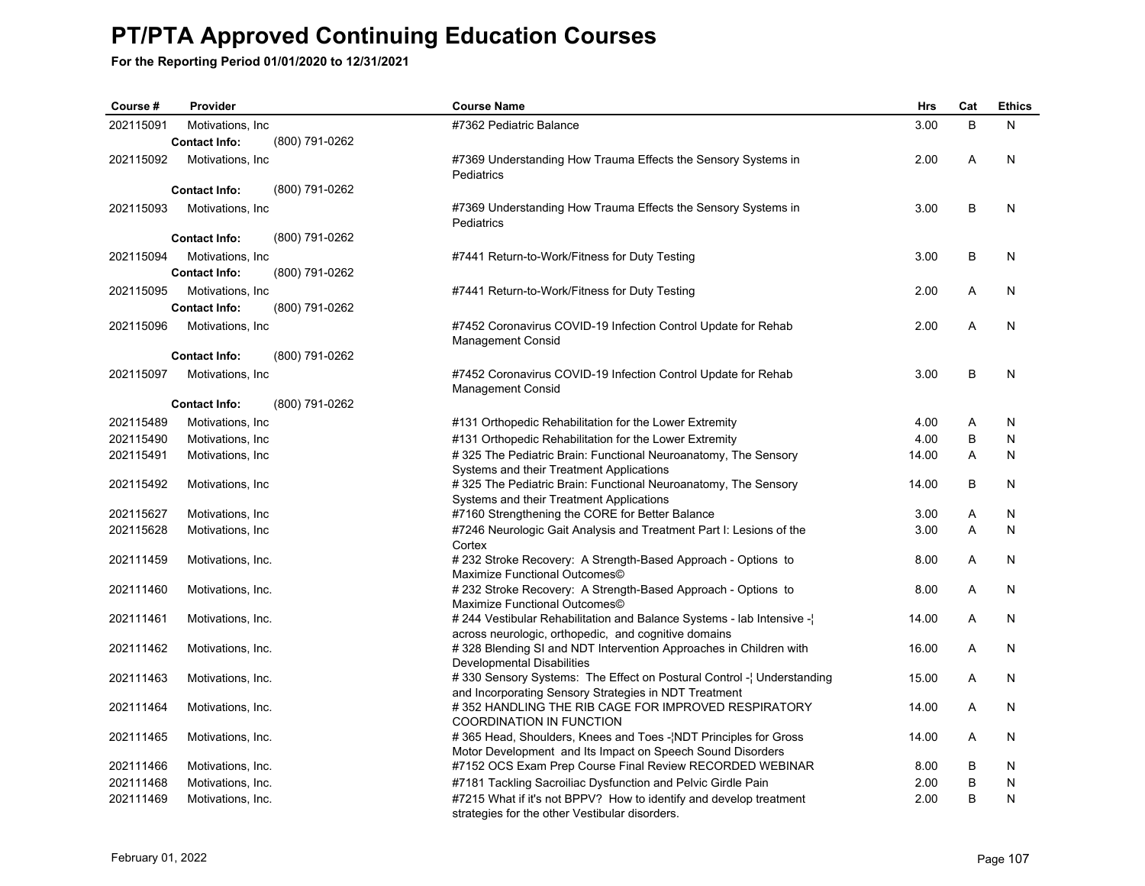| Course #  | Provider             |                | <b>Course Name</b>                                                                                                            | <b>Hrs</b> | Cat | <b>Ethics</b> |
|-----------|----------------------|----------------|-------------------------------------------------------------------------------------------------------------------------------|------------|-----|---------------|
| 202115091 | Motivations, Inc.    |                | #7362 Pediatric Balance                                                                                                       | 3.00       | B   | N             |
|           | <b>Contact Info:</b> | (800) 791-0262 |                                                                                                                               |            |     |               |
| 202115092 | Motivations, Inc.    |                | #7369 Understanding How Trauma Effects the Sensory Systems in<br>Pediatrics                                                   | 2.00       | A   | N             |
|           | <b>Contact Info:</b> | (800) 791-0262 |                                                                                                                               |            |     |               |
| 202115093 | Motivations, Inc.    |                | #7369 Understanding How Trauma Effects the Sensory Systems in<br>Pediatrics                                                   | 3.00       | B   | N             |
|           | <b>Contact Info:</b> | (800) 791-0262 |                                                                                                                               |            |     |               |
| 202115094 | Motivations, Inc     |                | #7441 Return-to-Work/Fitness for Duty Testing                                                                                 | 3.00       | B   | N             |
|           | <b>Contact Info:</b> | (800) 791-0262 |                                                                                                                               |            |     |               |
| 202115095 | Motivations, Inc.    |                | #7441 Return-to-Work/Fitness for Duty Testing                                                                                 | 2.00       | Α   | N             |
|           | <b>Contact Info:</b> | (800) 791-0262 |                                                                                                                               |            |     |               |
| 202115096 | Motivations, Inc.    |                | #7452 Coronavirus COVID-19 Infection Control Update for Rehab<br><b>Management Consid</b>                                     | 2.00       | A   | N             |
|           | <b>Contact Info:</b> | (800) 791-0262 |                                                                                                                               |            |     |               |
| 202115097 | Motivations, Inc.    |                | #7452 Coronavirus COVID-19 Infection Control Update for Rehab<br><b>Management Consid</b>                                     | 3.00       | B   | N             |
|           | <b>Contact Info:</b> | (800) 791-0262 |                                                                                                                               |            |     |               |
| 202115489 | Motivations, Inc.    |                | #131 Orthopedic Rehabilitation for the Lower Extremity                                                                        | 4.00       | Α   | N             |
| 202115490 | Motivations, Inc.    |                | #131 Orthopedic Rehabilitation for the Lower Extremity                                                                        | 4.00       | B   | N             |
| 202115491 | Motivations, Inc.    |                | #325 The Pediatric Brain: Functional Neuroanatomy, The Sensory<br>Systems and their Treatment Applications                    | 14.00      | A   | N             |
| 202115492 | Motivations, Inc.    |                | #325 The Pediatric Brain: Functional Neuroanatomy, The Sensory<br>Systems and their Treatment Applications                    | 14.00      | B   | N             |
| 202115627 | Motivations, Inc.    |                | #7160 Strengthening the CORE for Better Balance                                                                               | 3.00       | Α   | N             |
| 202115628 | Motivations, Inc.    |                | #7246 Neurologic Gait Analysis and Treatment Part I: Lesions of the<br>Cortex                                                 | 3.00       | A   | N             |
| 202111459 | Motivations, Inc.    |                | #232 Stroke Recovery: A Strength-Based Approach - Options to<br>Maximize Functional Outcomes©                                 | 8.00       | Α   | N             |
| 202111460 | Motivations, Inc.    |                | # 232 Stroke Recovery: A Strength-Based Approach - Options to<br>Maximize Functional Outcomes©                                | 8.00       | A   | N             |
| 202111461 | Motivations, Inc.    |                | # 244 Vestibular Rehabilitation and Balance Systems - lab Intensive -<br>across neurologic, orthopedic, and cognitive domains | 14.00      | A   | N             |
| 202111462 | Motivations, Inc.    |                | #328 Blending SI and NDT Intervention Approaches in Children with<br>Developmental Disabilities                               | 16.00      | Α   | N             |
| 202111463 | Motivations, Inc.    |                | #330 Sensory Systems: The Effect on Postural Control - Understanding<br>and Incorporating Sensory Strategies in NDT Treatment | 15.00      | A   | N             |
| 202111464 | Motivations, Inc.    |                | #352 HANDLING THE RIB CAGE FOR IMPROVED RESPIRATORY<br><b>COORDINATION IN FUNCTION</b>                                        | 14.00      | A   | N             |
| 202111465 | Motivations, Inc.    |                | #365 Head, Shoulders, Knees and Toes - NDT Principles for Gross<br>Motor Development and Its Impact on Speech Sound Disorders | 14.00      | A   | N             |
| 202111466 | Motivations, Inc.    |                | #7152 OCS Exam Prep Course Final Review RECORDED WEBINAR                                                                      | 8.00       | B   | N             |
| 202111468 | Motivations, Inc.    |                | #7181 Tackling Sacroiliac Dysfunction and Pelvic Girdle Pain                                                                  | 2.00       | B   | N             |
| 202111469 | Motivations, Inc.    |                | #7215 What if it's not BPPV? How to identify and develop treatment<br>strategies for the other Vestibular disorders.          | 2.00       | B   | N             |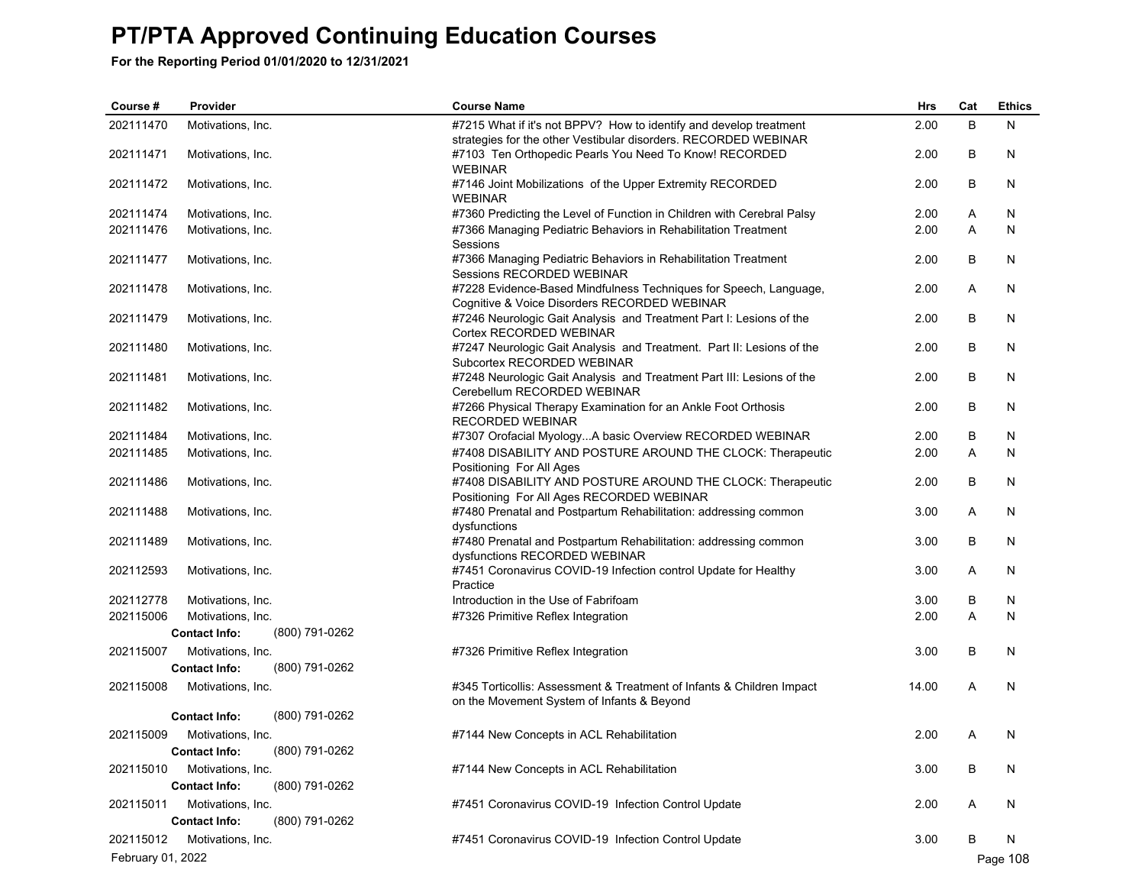| Course #          | Provider                               | <b>Course Name</b>                                                                                                        | Hrs   | Cat | <b>Ethics</b> |
|-------------------|----------------------------------------|---------------------------------------------------------------------------------------------------------------------------|-------|-----|---------------|
| 202111470         | Motivations, Inc.                      | #7215 What if it's not BPPV? How to identify and develop treatment                                                        | 2.00  | B   | N             |
| 202111471         | Motivations, Inc.                      | strategies for the other Vestibular disorders. RECORDED WEBINAR<br>#7103 Ten Orthopedic Pearls You Need To Know! RECORDED | 2.00  | B   | N             |
|                   |                                        | <b>WEBINAR</b>                                                                                                            |       |     |               |
| 202111472         | Motivations, Inc.                      | #7146 Joint Mobilizations of the Upper Extremity RECORDED<br><b>WEBINAR</b>                                               | 2.00  | B   | N             |
| 202111474         | Motivations, Inc.                      | #7360 Predicting the Level of Function in Children with Cerebral Palsy                                                    | 2.00  | A   | N             |
| 202111476         | Motivations, Inc.                      | #7366 Managing Pediatric Behaviors in Rehabilitation Treatment                                                            | 2.00  | A   | N             |
|                   |                                        | Sessions                                                                                                                  |       |     |               |
| 202111477         | Motivations, Inc.                      | #7366 Managing Pediatric Behaviors in Rehabilitation Treatment                                                            | 2.00  | B   | N             |
| 202111478         | Motivations, Inc.                      | Sessions RECORDED WEBINAR<br>#7228 Evidence-Based Mindfulness Techniques for Speech, Language,                            | 2.00  | Α   | N             |
|                   |                                        | Cognitive & Voice Disorders RECORDED WEBINAR                                                                              |       |     |               |
| 202111479         | Motivations, Inc.                      | #7246 Neurologic Gait Analysis and Treatment Part I: Lesions of the                                                       | 2.00  | B   | N             |
|                   |                                        | Cortex RECORDED WEBINAR                                                                                                   |       |     |               |
| 202111480         | Motivations, Inc.                      | #7247 Neurologic Gait Analysis and Treatment. Part II: Lesions of the                                                     | 2.00  | B   | N             |
|                   |                                        | Subcortex RECORDED WEBINAR                                                                                                |       |     |               |
| 202111481         | Motivations, Inc.                      | #7248 Neurologic Gait Analysis and Treatment Part III: Lesions of the<br>Cerebellum RECORDED WEBINAR                      | 2.00  | В   | N             |
| 202111482         | Motivations, Inc.                      | #7266 Physical Therapy Examination for an Ankle Foot Orthosis                                                             | 2.00  | B   | N             |
|                   |                                        | RECORDED WEBINAR                                                                                                          |       |     |               |
| 202111484         | Motivations, Inc.                      | #7307 Orofacial MyologyA basic Overview RECORDED WEBINAR                                                                  | 2.00  | B   | N             |
| 202111485         | Motivations, Inc.                      | #7408 DISABILITY AND POSTURE AROUND THE CLOCK: Therapeutic                                                                | 2.00  | A   | N             |
|                   |                                        | Positioning For All Ages                                                                                                  |       |     |               |
| 202111486         | Motivations, Inc.                      | #7408 DISABILITY AND POSTURE AROUND THE CLOCK: Therapeutic                                                                | 2.00  | B   | N             |
|                   |                                        | Positioning For All Ages RECORDED WEBINAR                                                                                 |       |     |               |
| 202111488         | Motivations, Inc.                      | #7480 Prenatal and Postpartum Rehabilitation: addressing common<br>dysfunctions                                           | 3.00  | Α   | N             |
| 202111489         | Motivations, Inc.                      | #7480 Prenatal and Postpartum Rehabilitation: addressing common                                                           | 3.00  | В   | N             |
|                   |                                        | dysfunctions RECORDED WEBINAR                                                                                             |       |     |               |
| 202112593         | Motivations, Inc.                      | #7451 Coronavirus COVID-19 Infection control Update for Healthy                                                           | 3.00  | Α   | N             |
|                   |                                        | Practice                                                                                                                  |       |     |               |
| 202112778         | Motivations, Inc.                      | Introduction in the Use of Fabrifoam                                                                                      | 3.00  | В   | N             |
| 202115006         | Motivations, Inc.                      | #7326 Primitive Reflex Integration                                                                                        | 2.00  | Α   | N             |
|                   | (800) 791-0262<br><b>Contact Info:</b> |                                                                                                                           |       |     |               |
| 202115007         | Motivations, Inc.                      | #7326 Primitive Reflex Integration                                                                                        | 3.00  | В   | N             |
|                   | <b>Contact Info:</b><br>(800) 791-0262 |                                                                                                                           |       |     |               |
| 202115008         | Motivations, Inc.                      | #345 Torticollis: Assessment & Treatment of Infants & Children Impact                                                     | 14.00 | Α   | N             |
|                   |                                        | on the Movement System of Infants & Beyond                                                                                |       |     |               |
|                   | (800) 791-0262<br><b>Contact Info:</b> |                                                                                                                           |       |     |               |
| 202115009         | Motivations, Inc.                      | #7144 New Concepts in ACL Rehabilitation                                                                                  | 2.00  | Α   | N             |
|                   | (800) 791-0262<br><b>Contact Info:</b> |                                                                                                                           |       |     |               |
| 202115010         | Motivations, Inc.                      | #7144 New Concepts in ACL Rehabilitation                                                                                  | 3.00  | В   | N             |
|                   | (800) 791-0262<br><b>Contact Info:</b> |                                                                                                                           |       |     |               |
| 202115011         | Motivations, Inc.                      | #7451 Coronavirus COVID-19 Infection Control Update                                                                       | 2.00  | A   | N             |
|                   | <b>Contact Info:</b><br>(800) 791-0262 |                                                                                                                           |       |     |               |
| 202115012         | Motivations, Inc.                      | #7451 Coronavirus COVID-19 Infection Control Update                                                                       | 3.00  | В   | N             |
| February 01, 2022 |                                        |                                                                                                                           |       |     | Page 108      |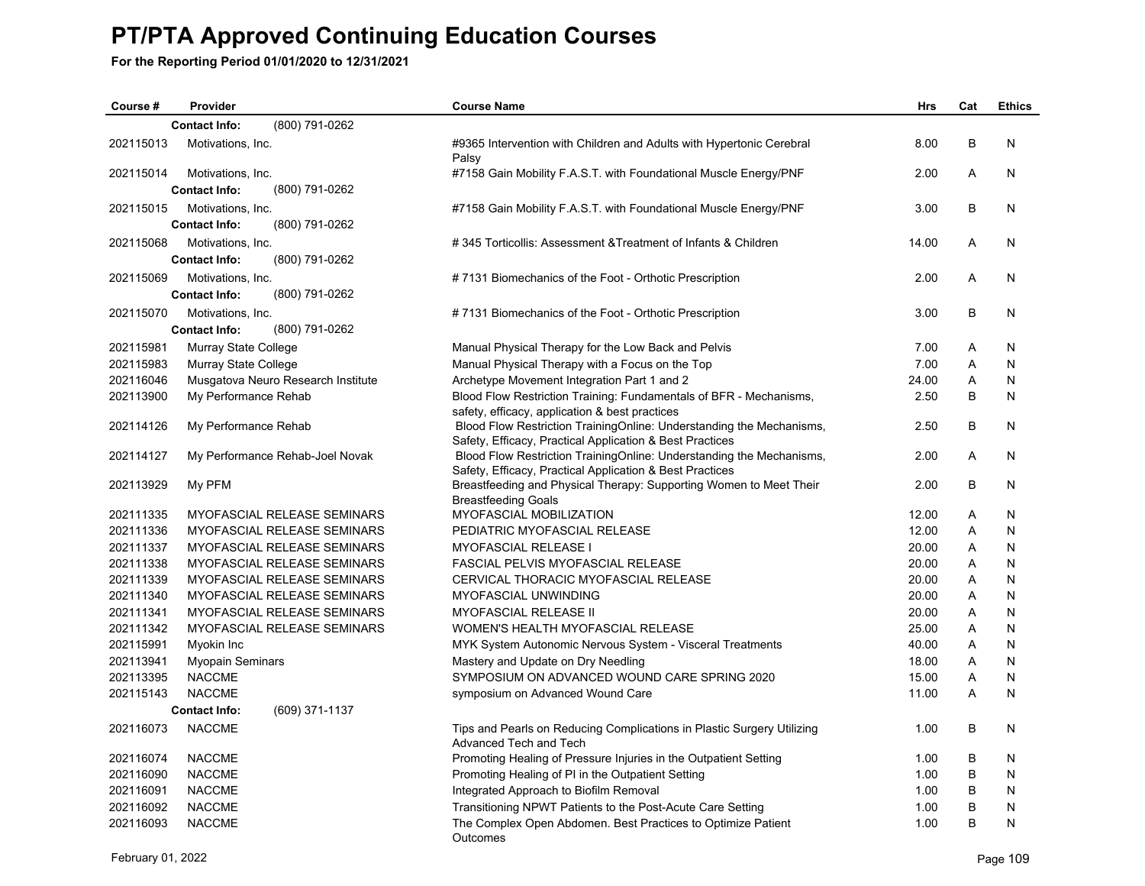| Course #  | Provider                               | <b>Course Name</b>                                                                                                             | <b>Hrs</b> | Cat | <b>Ethics</b> |
|-----------|----------------------------------------|--------------------------------------------------------------------------------------------------------------------------------|------------|-----|---------------|
|           | (800) 791-0262<br><b>Contact Info:</b> |                                                                                                                                |            |     |               |
| 202115013 | Motivations, Inc.                      | #9365 Intervention with Children and Adults with Hypertonic Cerebral<br>Palsy                                                  | 8.00       | B   | N             |
| 202115014 | Motivations, Inc.                      | #7158 Gain Mobility F.A.S.T. with Foundational Muscle Energy/PNF                                                               | 2.00       | A   | N             |
|           | (800) 791-0262<br><b>Contact Info:</b> |                                                                                                                                |            |     |               |
| 202115015 | Motivations, Inc.                      | #7158 Gain Mobility F.A.S.T. with Foundational Muscle Energy/PNF                                                               | 3.00       | B   | N             |
|           | (800) 791-0262<br><b>Contact Info:</b> |                                                                                                                                |            |     |               |
| 202115068 | Motivations, Inc.                      | #345 Torticollis: Assessment & Treatment of Infants & Children                                                                 | 14.00      | A   | N             |
|           | (800) 791-0262<br><b>Contact Info:</b> |                                                                                                                                |            |     |               |
| 202115069 | Motivations, Inc.                      | #7131 Biomechanics of the Foot - Orthotic Prescription                                                                         | 2.00       | A   | N             |
|           | (800) 791-0262<br><b>Contact Info:</b> |                                                                                                                                |            |     |               |
| 202115070 | Motivations, Inc.                      | #7131 Biomechanics of the Foot - Orthotic Prescription                                                                         | 3.00       | B   | N             |
|           | <b>Contact Info:</b><br>(800) 791-0262 |                                                                                                                                |            |     |               |
| 202115981 | Murray State College                   | Manual Physical Therapy for the Low Back and Pelvis                                                                            | 7.00       | A   | N             |
| 202115983 | Murray State College                   | Manual Physical Therapy with a Focus on the Top                                                                                | 7.00       | A   | N             |
| 202116046 | Musgatova Neuro Research Institute     | Archetype Movement Integration Part 1 and 2                                                                                    | 24.00      | A   | N             |
| 202113900 | My Performance Rehab                   | Blood Flow Restriction Training: Fundamentals of BFR - Mechanisms,                                                             | 2.50       | B   | N             |
|           |                                        | safety, efficacy, application & best practices                                                                                 |            |     |               |
| 202114126 | My Performance Rehab                   | Blood Flow Restriction TrainingOnline: Understanding the Mechanisms,                                                           | 2.50       | B   | N             |
|           |                                        | Safety, Efficacy, Practical Application & Best Practices                                                                       |            |     |               |
| 202114127 | My Performance Rehab-Joel Novak        | Blood Flow Restriction TrainingOnline: Understanding the Mechanisms,                                                           | 2.00       | A   | N             |
| 202113929 | My PFM                                 | Safety, Efficacy, Practical Application & Best Practices<br>Breastfeeding and Physical Therapy: Supporting Women to Meet Their | 2.00       | B   | N             |
|           |                                        | <b>Breastfeeding Goals</b>                                                                                                     |            |     |               |
| 202111335 | MYOFASCIAL RELEASE SEMINARS            | <b>MYOFASCIAL MOBILIZATION</b>                                                                                                 | 12.00      | A   | N             |
| 202111336 | MYOFASCIAL RELEASE SEMINARS            | PEDIATRIC MYOFASCIAL RELEASE                                                                                                   | 12.00      | A   | N             |
| 202111337 | MYOFASCIAL RELEASE SEMINARS            | <b>MYOFASCIAL RELEASE I</b>                                                                                                    | 20.00      | A   | N             |
| 202111338 | MYOFASCIAL RELEASE SEMINARS            | <b>FASCIAL PELVIS MYOFASCIAL RELEASE</b>                                                                                       | 20.00      | A   | N             |
| 202111339 | MYOFASCIAL RELEASE SEMINARS            | CERVICAL THORACIC MYOFASCIAL RELEASE                                                                                           | 20.00      | Α   | N             |
| 202111340 | MYOFASCIAL RELEASE SEMINARS            | MYOFASCIAL UNWINDING                                                                                                           | 20.00      | Α   | N             |
| 202111341 | MYOFASCIAL RELEASE SEMINARS            | <b>MYOFASCIAL RELEASE II</b>                                                                                                   | 20.00      | A   | N             |
| 202111342 | MYOFASCIAL RELEASE SEMINARS            | WOMEN'S HEALTH MYOFASCIAL RELEASE                                                                                              | 25.00      | A   | N             |
| 202115991 | Myokin Inc                             | MYK System Autonomic Nervous System - Visceral Treatments                                                                      | 40.00      | A   | N             |
| 202113941 | <b>Myopain Seminars</b>                | Mastery and Update on Dry Needling                                                                                             | 18.00      | A   | N             |
| 202113395 | <b>NACCME</b>                          | SYMPOSIUM ON ADVANCED WOUND CARE SPRING 2020                                                                                   | 15.00      | A   | N             |
| 202115143 | <b>NACCME</b>                          | symposium on Advanced Wound Care                                                                                               | 11.00      | A   | N             |
|           | <b>Contact Info:</b><br>(609) 371-1137 |                                                                                                                                |            |     |               |
| 202116073 | <b>NACCME</b>                          | Tips and Pearls on Reducing Complications in Plastic Surgery Utilizing<br>Advanced Tech and Tech                               | 1.00       | B   | N             |
| 202116074 | <b>NACCME</b>                          | Promoting Healing of Pressure Injuries in the Outpatient Setting                                                               | 1.00       | B   | N             |
| 202116090 | <b>NACCME</b>                          | Promoting Healing of PI in the Outpatient Setting                                                                              | 1.00       | B   | N             |
| 202116091 | <b>NACCME</b>                          | Integrated Approach to Biofilm Removal                                                                                         | 1.00       | B   | N             |
| 202116092 | <b>NACCME</b>                          | Transitioning NPWT Patients to the Post-Acute Care Setting                                                                     | 1.00       | B   | N             |
| 202116093 | <b>NACCME</b>                          | The Complex Open Abdomen. Best Practices to Optimize Patient<br>Outcomes                                                       | 1.00       | B   | N             |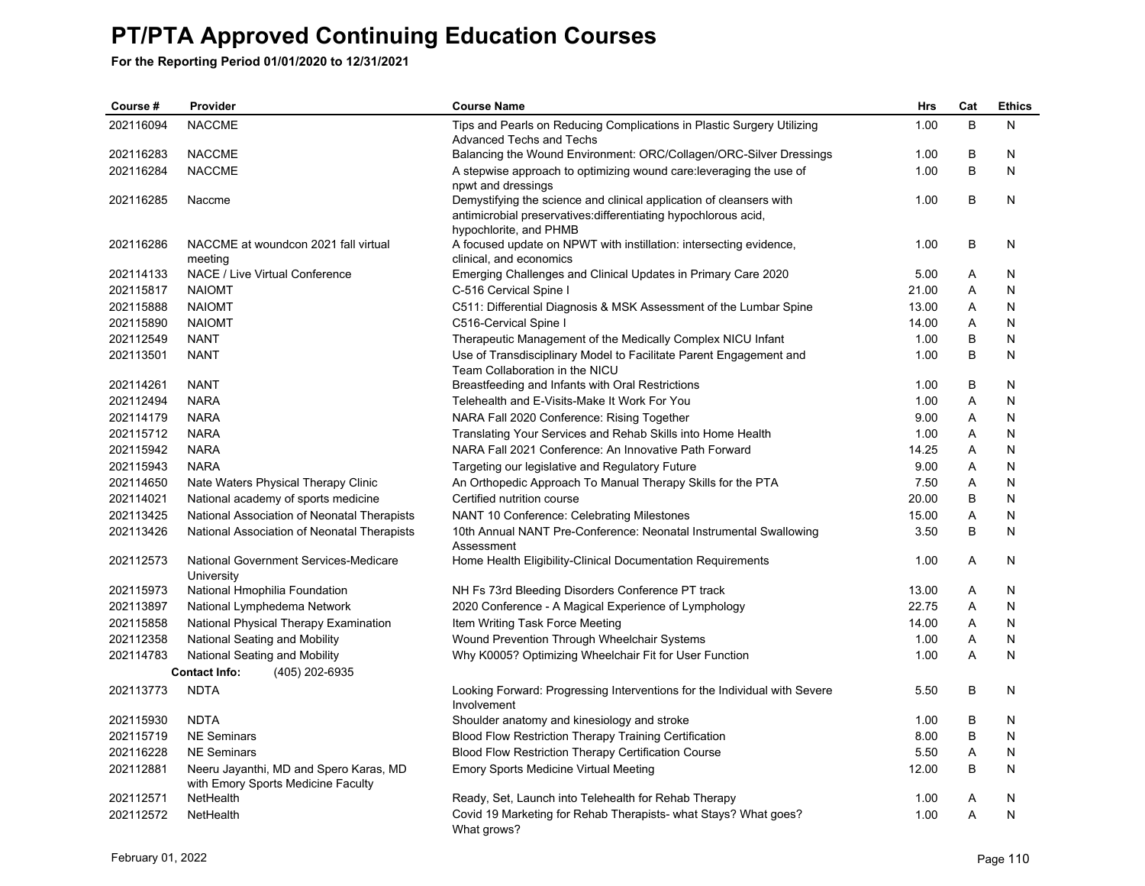| Course #  | Provider                                            | <b>Course Name</b>                                                                                                                     | Hrs   | Cat | <b>Ethics</b> |
|-----------|-----------------------------------------------------|----------------------------------------------------------------------------------------------------------------------------------------|-------|-----|---------------|
| 202116094 | <b>NACCME</b>                                       | Tips and Pearls on Reducing Complications in Plastic Surgery Utilizing                                                                 | 1.00  | B   | N             |
|           |                                                     | <b>Advanced Techs and Techs</b>                                                                                                        |       |     |               |
| 202116283 | <b>NACCME</b>                                       | Balancing the Wound Environment: ORC/Collagen/ORC-Silver Dressings                                                                     | 1.00  | B   | N             |
| 202116284 | <b>NACCME</b>                                       | A stepwise approach to optimizing wound care: leveraging the use of<br>npwt and dressings                                              | 1.00  | B   | N             |
| 202116285 | Naccme                                              | Demystifying the science and clinical application of cleansers with<br>antimicrobial preservatives: differentiating hypochlorous acid, | 1.00  | В   | N             |
|           |                                                     | hypochlorite, and PHMB                                                                                                                 |       |     |               |
| 202116286 | NACCME at woundcon 2021 fall virtual                | A focused update on NPWT with instillation: intersecting evidence,                                                                     | 1.00  | В   | N             |
|           | meeting                                             | clinical, and economics                                                                                                                |       |     |               |
| 202114133 | NACE / Live Virtual Conference                      | Emerging Challenges and Clinical Updates in Primary Care 2020                                                                          | 5.00  | Α   | N             |
| 202115817 | <b>NAIOMT</b>                                       | C-516 Cervical Spine I                                                                                                                 | 21.00 | A   | N             |
| 202115888 | <b>NAIOMT</b>                                       | C511: Differential Diagnosis & MSK Assessment of the Lumbar Spine                                                                      | 13.00 | A   | N             |
| 202115890 | <b>NAIOMT</b>                                       | C516-Cervical Spine I                                                                                                                  | 14.00 | A   | N             |
| 202112549 | <b>NANT</b>                                         | Therapeutic Management of the Medically Complex NICU Infant                                                                            | 1.00  | В   | N             |
| 202113501 | <b>NANT</b>                                         | Use of Transdisciplinary Model to Facilitate Parent Engagement and                                                                     | 1.00  | B   | N             |
|           |                                                     | Team Collaboration in the NICU                                                                                                         |       |     | N             |
| 202114261 | <b>NANT</b>                                         | Breastfeeding and Infants with Oral Restrictions                                                                                       | 1.00  | В   |               |
| 202112494 | <b>NARA</b>                                         | Telehealth and E-Visits-Make It Work For You                                                                                           | 1.00  | A   | N             |
| 202114179 | <b>NARA</b>                                         | NARA Fall 2020 Conference: Rising Together                                                                                             | 9.00  | Α   | N             |
| 202115712 | <b>NARA</b>                                         | Translating Your Services and Rehab Skills into Home Health                                                                            | 1.00  | A   | N             |
| 202115942 | <b>NARA</b>                                         | NARA Fall 2021 Conference: An Innovative Path Forward                                                                                  | 14.25 | A   | N             |
| 202115943 | <b>NARA</b>                                         | Targeting our legislative and Regulatory Future                                                                                        | 9.00  | Α   | N             |
| 202114650 | Nate Waters Physical Therapy Clinic                 | An Orthopedic Approach To Manual Therapy Skills for the PTA                                                                            | 7.50  | Α   | N             |
| 202114021 | National academy of sports medicine                 | Certified nutrition course                                                                                                             | 20.00 | B   | N             |
| 202113425 | National Association of Neonatal Therapists         | NANT 10 Conference: Celebrating Milestones                                                                                             | 15.00 | Α   | N             |
| 202113426 | National Association of Neonatal Therapists         | 10th Annual NANT Pre-Conference: Neonatal Instrumental Swallowing<br>Assessment                                                        | 3.50  | B   | N             |
| 202112573 | National Government Services-Medicare<br>University | Home Health Eligibility-Clinical Documentation Requirements                                                                            | 1.00  | A   | N             |
| 202115973 | National Hmophilia Foundation                       | NH Fs 73rd Bleeding Disorders Conference PT track                                                                                      | 13.00 | Α   | N             |
| 202113897 | National Lymphedema Network                         | 2020 Conference - A Magical Experience of Lymphology                                                                                   | 22.75 | A   | N             |
| 202115858 | National Physical Therapy Examination               | Item Writing Task Force Meeting                                                                                                        | 14.00 | Α   | N             |
| 202112358 | National Seating and Mobility                       | Wound Prevention Through Wheelchair Systems                                                                                            | 1.00  | Α   | N             |
| 202114783 | National Seating and Mobility                       | Why K0005? Optimizing Wheelchair Fit for User Function                                                                                 | 1.00  | A   | N             |
|           | <b>Contact Info:</b><br>(405) 202-6935              |                                                                                                                                        |       |     |               |
| 202113773 | <b>NDTA</b>                                         | Looking Forward: Progressing Interventions for the Individual with Severe<br>Involvement                                               | 5.50  | В   | N             |
| 202115930 | <b>NDTA</b>                                         | Shoulder anatomy and kinesiology and stroke                                                                                            | 1.00  | B   | N             |
| 202115719 | <b>NE Seminars</b>                                  | Blood Flow Restriction Therapy Training Certification                                                                                  | 8.00  | B   | N             |
| 202116228 | <b>NE Seminars</b>                                  | <b>Blood Flow Restriction Therapy Certification Course</b>                                                                             | 5.50  | Α   | N             |
| 202112881 | Neeru Jayanthi, MD and Spero Karas, MD              | Emory Sports Medicine Virtual Meeting                                                                                                  | 12.00 | B   | N             |
|           | with Emory Sports Medicine Faculty                  |                                                                                                                                        |       |     |               |
| 202112571 | NetHealth                                           | Ready, Set, Launch into Telehealth for Rehab Therapy                                                                                   | 1.00  | Α   | N             |
| 202112572 | NetHealth                                           | Covid 19 Marketing for Rehab Therapists- what Stays? What goes?<br>What grows?                                                         | 1.00  | A   | N             |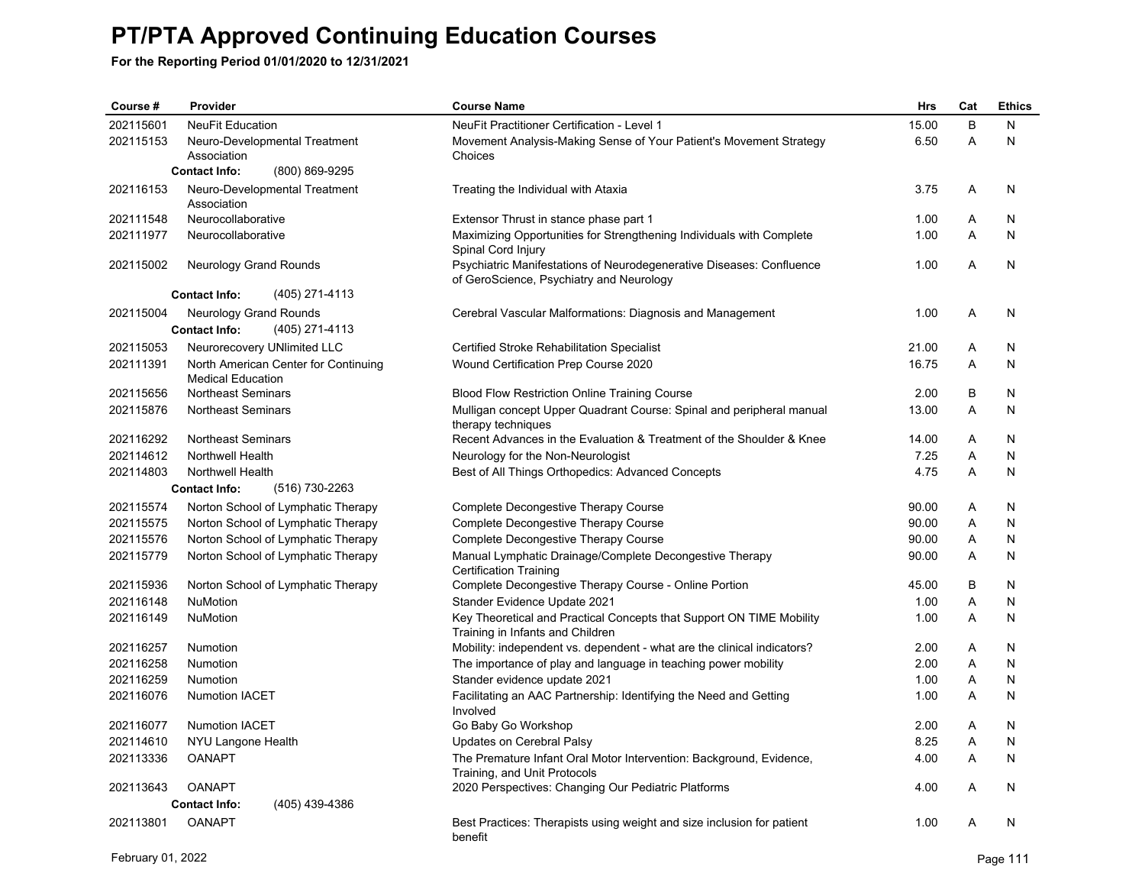| Course #  | Provider                               | <b>Course Name</b>                                                                                               | <b>Hrs</b> | Cat | <b>Ethics</b> |
|-----------|----------------------------------------|------------------------------------------------------------------------------------------------------------------|------------|-----|---------------|
| 202115601 | <b>NeuFit Education</b>                | NeuFit Practitioner Certification - Level 1                                                                      | 15.00      | B   | N             |
| 202115153 | Neuro-Developmental Treatment          | Movement Analysis-Making Sense of Your Patient's Movement Strategy                                               | 6.50       | A   | N             |
|           | Association                            | Choices                                                                                                          |            |     |               |
|           | <b>Contact Info:</b><br>(800) 869-9295 |                                                                                                                  |            |     |               |
| 202116153 | Neuro-Developmental Treatment          | Treating the Individual with Ataxia                                                                              | 3.75       | Α   | N             |
| 202111548 | Association<br>Neurocollaborative      |                                                                                                                  | 1.00       | Α   | N             |
| 202111977 | Neurocollaborative                     | Extensor Thrust in stance phase part 1<br>Maximizing Opportunities for Strengthening Individuals with Complete   | 1.00       | A   | N             |
|           |                                        | Spinal Cord Injury                                                                                               |            |     |               |
| 202115002 | Neurology Grand Rounds                 | Psychiatric Manifestations of Neurodegenerative Diseases: Confluence<br>of GeroScience, Psychiatry and Neurology | 1.00       | A   | N             |
|           | (405) 271-4113<br><b>Contact Info:</b> |                                                                                                                  |            |     |               |
| 202115004 | Neurology Grand Rounds                 | Cerebral Vascular Malformations: Diagnosis and Management                                                        | 1.00       | A   | N             |
|           | <b>Contact Info:</b><br>(405) 271-4113 |                                                                                                                  |            |     |               |
| 202115053 | Neurorecovery UNlimited LLC            | Certified Stroke Rehabilitation Specialist                                                                       | 21.00      | Α   | N             |
| 202111391 | North American Center for Continuing   | Wound Certification Prep Course 2020                                                                             | 16.75      | Α   | N             |
|           | <b>Medical Education</b>               |                                                                                                                  |            |     |               |
| 202115656 | <b>Northeast Seminars</b>              | Blood Flow Restriction Online Training Course                                                                    | 2.00       | B   | N             |
| 202115876 | <b>Northeast Seminars</b>              | Mulligan concept Upper Quadrant Course: Spinal and peripheral manual<br>therapy techniques                       | 13.00      | A   | N             |
| 202116292 | <b>Northeast Seminars</b>              | Recent Advances in the Evaluation & Treatment of the Shoulder & Knee                                             | 14.00      | Α   | N             |
| 202114612 | Northwell Health                       | Neurology for the Non-Neurologist                                                                                | 7.25       | A   | N             |
| 202114803 | <b>Northwell Health</b>                | Best of All Things Orthopedics: Advanced Concepts                                                                | 4.75       | A   | N             |
|           | <b>Contact Info:</b><br>(516) 730-2263 |                                                                                                                  |            |     |               |
| 202115574 | Norton School of Lymphatic Therapy     | Complete Decongestive Therapy Course                                                                             | 90.00      | Α   | N             |
| 202115575 | Norton School of Lymphatic Therapy     | Complete Decongestive Therapy Course                                                                             | 90.00      | A   | N             |
| 202115576 | Norton School of Lymphatic Therapy     | Complete Decongestive Therapy Course                                                                             | 90.00      | Α   | N             |
| 202115779 | Norton School of Lymphatic Therapy     | Manual Lymphatic Drainage/Complete Decongestive Therapy                                                          | 90.00      | A   | N             |
|           |                                        | <b>Certification Training</b>                                                                                    |            |     |               |
| 202115936 | Norton School of Lymphatic Therapy     | Complete Decongestive Therapy Course - Online Portion                                                            | 45.00      | B   | N             |
| 202116148 | NuMotion                               | Stander Evidence Update 2021                                                                                     | 1.00       | Α   | N             |
| 202116149 | <b>NuMotion</b>                        | Key Theoretical and Practical Concepts that Support ON TIME Mobility<br>Training in Infants and Children         | 1.00       | A   | N             |
| 202116257 | Numotion                               | Mobility: independent vs. dependent - what are the clinical indicators?                                          | 2.00       | A   | N             |
| 202116258 | Numotion                               | The importance of play and language in teaching power mobility                                                   | 2.00       | A   | N             |
| 202116259 | Numotion                               | Stander evidence update 2021                                                                                     | 1.00       | Α   | N             |
| 202116076 | <b>Numotion IACET</b>                  | Facilitating an AAC Partnership: Identifying the Need and Getting                                                | 1.00       | A   | N             |
| 202116077 | <b>Numotion IACET</b>                  | Involved<br>Go Baby Go Workshop                                                                                  | 2.00       | Α   | N             |
| 202114610 | NYU Langone Health                     | Updates on Cerebral Palsy                                                                                        | 8.25       | A   | N             |
| 202113336 | <b>OANAPT</b>                          | The Premature Infant Oral Motor Intervention: Background, Evidence,                                              | 4.00       | A   | N             |
|           |                                        | Training, and Unit Protocols                                                                                     |            |     |               |
| 202113643 | <b>OANAPT</b>                          | 2020 Perspectives: Changing Our Pediatric Platforms                                                              | 4.00       | A   | N             |
|           | (405) 439-4386<br><b>Contact Info:</b> |                                                                                                                  |            |     |               |
| 202113801 | <b>OANAPT</b>                          | Best Practices: Therapists using weight and size inclusion for patient<br>benefit                                | 1.00       | A   | N             |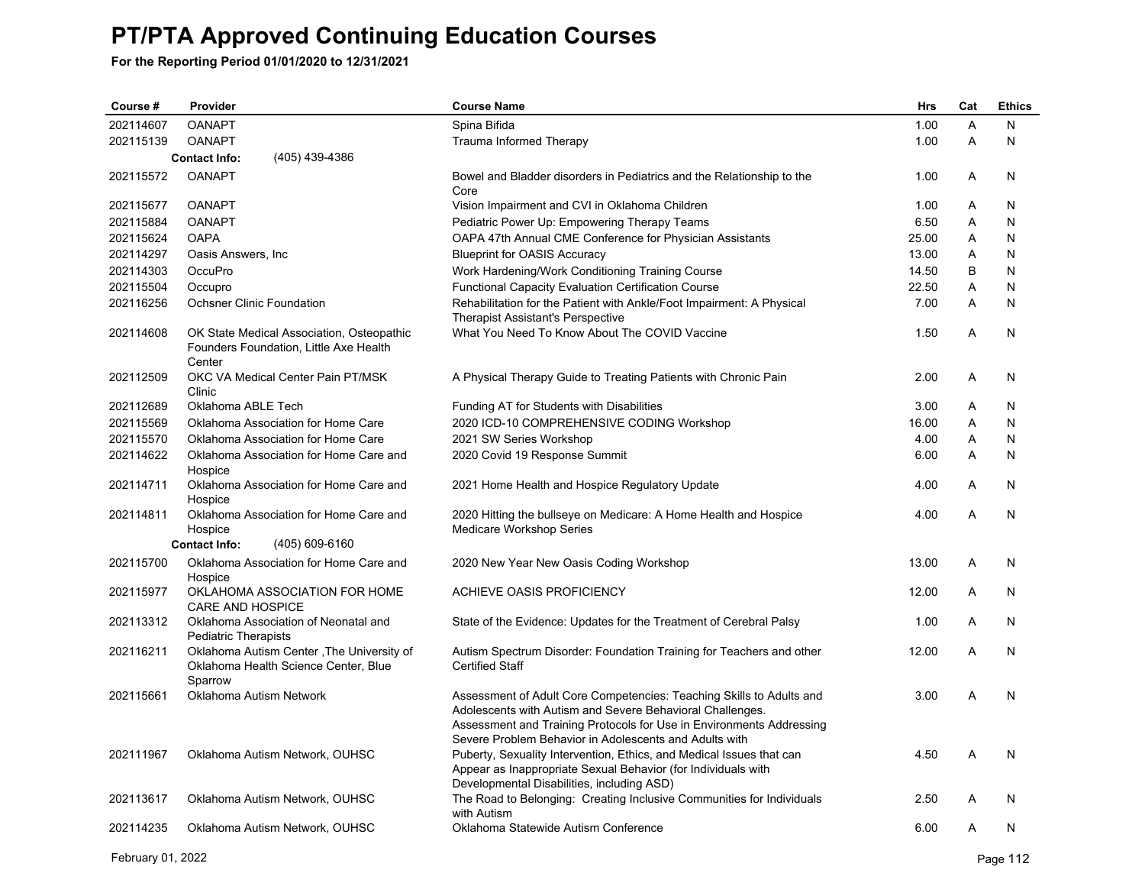**For the Reporting Period 01/01/2020 to 12/31/2021**

| Course #  | Provider                                                                                      | <b>Course Name</b>                                                                                                                                                                                                                            | <b>Hrs</b> | Cat | <b>Ethics</b> |
|-----------|-----------------------------------------------------------------------------------------------|-----------------------------------------------------------------------------------------------------------------------------------------------------------------------------------------------------------------------------------------------|------------|-----|---------------|
| 202114607 | <b>OANAPT</b>                                                                                 | Spina Bifida                                                                                                                                                                                                                                  | 1.00       | A   | N             |
| 202115139 | <b>OANAPT</b>                                                                                 | Trauma Informed Therapy                                                                                                                                                                                                                       | 1.00       | A   | N             |
|           | (405) 439-4386<br><b>Contact Info:</b>                                                        |                                                                                                                                                                                                                                               |            |     |               |
| 202115572 | <b>OANAPT</b>                                                                                 | Bowel and Bladder disorders in Pediatrics and the Relationship to the<br>Core                                                                                                                                                                 | 1.00       | A   | N             |
| 202115677 | <b>OANAPT</b>                                                                                 | Vision Impairment and CVI in Oklahoma Children                                                                                                                                                                                                | 1.00       | A   | N             |
| 202115884 | <b>OANAPT</b>                                                                                 | Pediatric Power Up: Empowering Therapy Teams                                                                                                                                                                                                  | 6.50       | Α   | N             |
| 202115624 | <b>OAPA</b>                                                                                   | OAPA 47th Annual CME Conference for Physician Assistants                                                                                                                                                                                      | 25.00      | Α   | $\mathsf{N}$  |
| 202114297 | Oasis Answers, Inc.                                                                           | <b>Blueprint for OASIS Accuracy</b>                                                                                                                                                                                                           | 13.00      | A   | N             |
| 202114303 | OccuPro                                                                                       | Work Hardening/Work Conditioning Training Course                                                                                                                                                                                              | 14.50      | B   | N             |
| 202115504 | Occupro                                                                                       | <b>Functional Capacity Evaluation Certification Course</b>                                                                                                                                                                                    | 22.50      | A   | N             |
| 202116256 | Ochsner Clinic Foundation                                                                     | Rehabilitation for the Patient with Ankle/Foot Impairment: A Physical<br><b>Therapist Assistant's Perspective</b>                                                                                                                             | 7.00       | A   | N             |
| 202114608 | OK State Medical Association, Osteopathic<br>Founders Foundation, Little Axe Health<br>Center | What You Need To Know About The COVID Vaccine                                                                                                                                                                                                 | 1.50       | A   | N             |
| 202112509 | OKC VA Medical Center Pain PT/MSK<br>Clinic                                                   | A Physical Therapy Guide to Treating Patients with Chronic Pain                                                                                                                                                                               | 2.00       | A   | N             |
| 202112689 | Oklahoma ABLE Tech                                                                            | Funding AT for Students with Disabilities                                                                                                                                                                                                     | 3.00       | A   | N             |
| 202115569 | Oklahoma Association for Home Care                                                            | 2020 ICD-10 COMPREHENSIVE CODING Workshop                                                                                                                                                                                                     | 16.00      | Α   | N             |
| 202115570 | Oklahoma Association for Home Care                                                            | 2021 SW Series Workshop                                                                                                                                                                                                                       | 4.00       | Α   | N             |
| 202114622 | Oklahoma Association for Home Care and<br>Hospice                                             | 2020 Covid 19 Response Summit                                                                                                                                                                                                                 | 6.00       | A   | N             |
| 202114711 | Oklahoma Association for Home Care and<br>Hospice                                             | 2021 Home Health and Hospice Regulatory Update                                                                                                                                                                                                | 4.00       | A   | N             |
| 202114811 | Oklahoma Association for Home Care and<br>Hospice                                             | 2020 Hitting the bullseye on Medicare: A Home Health and Hospice<br>Medicare Workshop Series                                                                                                                                                  | 4.00       | A   | N             |
|           | <b>Contact Info:</b><br>(405) 609-6160                                                        |                                                                                                                                                                                                                                               |            |     |               |
| 202115700 | Oklahoma Association for Home Care and<br>Hospice                                             | 2020 New Year New Oasis Coding Workshop                                                                                                                                                                                                       | 13.00      | A   | N             |
| 202115977 | OKLAHOMA ASSOCIATION FOR HOME<br>CARE AND HOSPICE                                             | ACHIEVE OASIS PROFICIENCY                                                                                                                                                                                                                     | 12.00      | A   | N             |
| 202113312 | Oklahoma Association of Neonatal and<br><b>Pediatric Therapists</b>                           | State of the Evidence: Updates for the Treatment of Cerebral Palsy                                                                                                                                                                            | 1.00       | A   | N             |
| 202116211 | Oklahoma Autism Center, The University of<br>Oklahoma Health Science Center, Blue<br>Sparrow  | Autism Spectrum Disorder: Foundation Training for Teachers and other<br><b>Certified Staff</b>                                                                                                                                                | 12.00      | A   | N             |
| 202115661 | Oklahoma Autism Network                                                                       | Assessment of Adult Core Competencies: Teaching Skills to Adults and<br>Adolescents with Autism and Severe Behavioral Challenges.<br>Assessment and Training Protocols for Use in Environments Addressing                                     | 3.00       | A   | N             |
| 202111967 | Oklahoma Autism Network, OUHSC                                                                | Severe Problem Behavior in Adolescents and Adults with<br>Puberty, Sexuality Intervention, Ethics, and Medical Issues that can<br>Appear as Inappropriate Sexual Behavior (for Individuals with<br>Developmental Disabilities, including ASD) | 4.50       | A   | N             |
| 202113617 | Oklahoma Autism Network, OUHSC                                                                | The Road to Belonging: Creating Inclusive Communities for Individuals<br>with Autism                                                                                                                                                          | 2.50       | A   | N             |
| 202114235 | Oklahoma Autism Network, OUHSC                                                                | Oklahoma Statewide Autism Conference                                                                                                                                                                                                          | 6.00       | A   | N             |

February 01, 2022 Page 112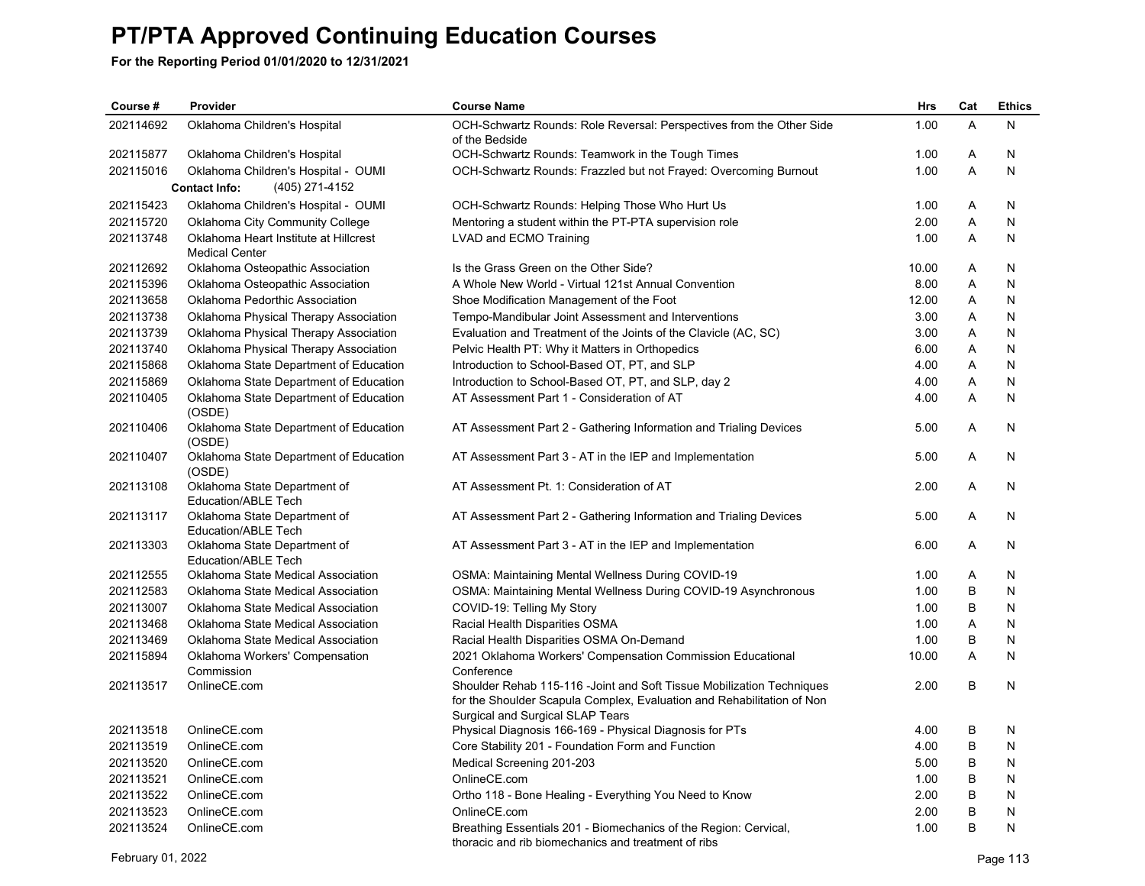| Course #  | Provider                                                       | <b>Course Name</b>                                                                                         | <b>Hrs</b> | Cat | <b>Ethics</b> |
|-----------|----------------------------------------------------------------|------------------------------------------------------------------------------------------------------------|------------|-----|---------------|
| 202114692 | Oklahoma Children's Hospital                                   | OCH-Schwartz Rounds: Role Reversal: Perspectives from the Other Side<br>of the Bedside                     | 1.00       | A   | N             |
| 202115877 | Oklahoma Children's Hospital                                   | OCH-Schwartz Rounds: Teamwork in the Tough Times                                                           | 1.00       | Α   | N             |
| 202115016 | Oklahoma Children's Hospital - OUMI                            | OCH-Schwartz Rounds: Frazzled but not Frayed: Overcoming Burnout                                           | 1.00       | A   | N             |
|           | <b>Contact Info:</b><br>(405) 271-4152                         |                                                                                                            |            |     |               |
| 202115423 | Oklahoma Children's Hospital - OUMI                            | OCH-Schwartz Rounds: Helping Those Who Hurt Us                                                             | 1.00       | Α   | N             |
| 202115720 | Oklahoma City Community College                                | Mentoring a student within the PT-PTA supervision role                                                     | 2.00       | Α   | N             |
| 202113748 | Oklahoma Heart Institute at Hillcrest<br><b>Medical Center</b> | LVAD and ECMO Training                                                                                     | 1.00       | A   | N             |
| 202112692 | Oklahoma Osteopathic Association                               | Is the Grass Green on the Other Side?                                                                      | 10.00      | Α   | N             |
| 202115396 | Oklahoma Osteopathic Association                               | A Whole New World - Virtual 121st Annual Convention                                                        | 8.00       | Α   | N             |
| 202113658 | Oklahoma Pedorthic Association                                 | Shoe Modification Management of the Foot                                                                   | 12.00      | A   | N             |
| 202113738 | Oklahoma Physical Therapy Association                          | Tempo-Mandibular Joint Assessment and Interventions                                                        | 3.00       | Α   | N             |
| 202113739 | Oklahoma Physical Therapy Association                          | Evaluation and Treatment of the Joints of the Clavicle (AC, SC)                                            | 3.00       | Α   | N             |
| 202113740 | Oklahoma Physical Therapy Association                          | Pelvic Health PT: Why it Matters in Orthopedics                                                            | 6.00       | Α   | N             |
| 202115868 | Oklahoma State Department of Education                         | Introduction to School-Based OT, PT, and SLP                                                               | 4.00       | Α   | N             |
| 202115869 | Oklahoma State Department of Education                         | Introduction to School-Based OT, PT, and SLP, day 2                                                        | 4.00       | A   | N             |
| 202110405 | Oklahoma State Department of Education                         | AT Assessment Part 1 - Consideration of AT                                                                 | 4.00       | A   | N             |
|           | (OSDE)                                                         |                                                                                                            |            |     |               |
| 202110406 | Oklahoma State Department of Education<br>(OSDE)               | AT Assessment Part 2 - Gathering Information and Trialing Devices                                          | 5.00       | A   | N             |
| 202110407 | Oklahoma State Department of Education<br>(OSDE)               | AT Assessment Part 3 - AT in the IEP and Implementation                                                    | 5.00       | Α   | N             |
| 202113108 | Oklahoma State Department of<br>Education/ABLE Tech            | AT Assessment Pt. 1: Consideration of AT                                                                   | 2.00       | A   | N             |
| 202113117 | Oklahoma State Department of                                   | AT Assessment Part 2 - Gathering Information and Trialing Devices                                          | 5.00       | A   | N             |
| 202113303 | Education/ABLE Tech                                            |                                                                                                            | 6.00       | A   | N             |
|           | Oklahoma State Department of<br>Education/ABLE Tech            | AT Assessment Part 3 - AT in the IEP and Implementation                                                    |            |     |               |
| 202112555 | Oklahoma State Medical Association                             | <b>OSMA: Maintaining Mental Wellness During COVID-19</b>                                                   | 1.00       | Α   | N             |
| 202112583 | Oklahoma State Medical Association                             | OSMA: Maintaining Mental Wellness During COVID-19 Asynchronous                                             | 1.00       | B   | N             |
| 202113007 | Oklahoma State Medical Association                             | COVID-19: Telling My Story                                                                                 | 1.00       | В   | N             |
| 202113468 | Oklahoma State Medical Association                             | Racial Health Disparities OSMA                                                                             | 1.00       | A   | N             |
| 202113469 | Oklahoma State Medical Association                             | Racial Health Disparities OSMA On-Demand                                                                   | 1.00       | В   | N             |
| 202115894 | Oklahoma Workers' Compensation                                 | 2021 Oklahoma Workers' Compensation Commission Educational                                                 | 10.00      | A   | N             |
|           | Commission                                                     | Conference                                                                                                 |            |     |               |
| 202113517 | OnlineCE.com                                                   | Shoulder Rehab 115-116 - Joint and Soft Tissue Mobilization Techniques                                     | 2.00       | B   | N             |
|           |                                                                | for the Shoulder Scapula Complex, Evaluation and Rehabilitation of Non<br>Surgical and Surgical SLAP Tears |            |     |               |
| 202113518 | OnlineCE.com                                                   | Physical Diagnosis 166-169 - Physical Diagnosis for PTs                                                    | 4.00       | B   | N             |
| 202113519 | OnlineCE.com                                                   | Core Stability 201 - Foundation Form and Function                                                          | 4.00       | B   | N             |
| 202113520 | OnlineCE.com                                                   | Medical Screening 201-203                                                                                  | 5.00       | B   | N             |
| 202113521 | OnlineCE.com                                                   | OnlineCE.com                                                                                               | 1.00       | B   | N             |
| 202113522 | OnlineCE.com                                                   | Ortho 118 - Bone Healing - Everything You Need to Know                                                     | 2.00       | B   | N             |
| 202113523 | OnlineCE.com                                                   | OnlineCE.com                                                                                               | 2.00       | B   | N             |
| 202113524 | OnlineCE.com                                                   | Breathing Essentials 201 - Biomechanics of the Region: Cervical,                                           | 1.00       | B   | N             |
|           |                                                                | thoracic and rib biomechanics and treatment of ribs                                                        |            |     |               |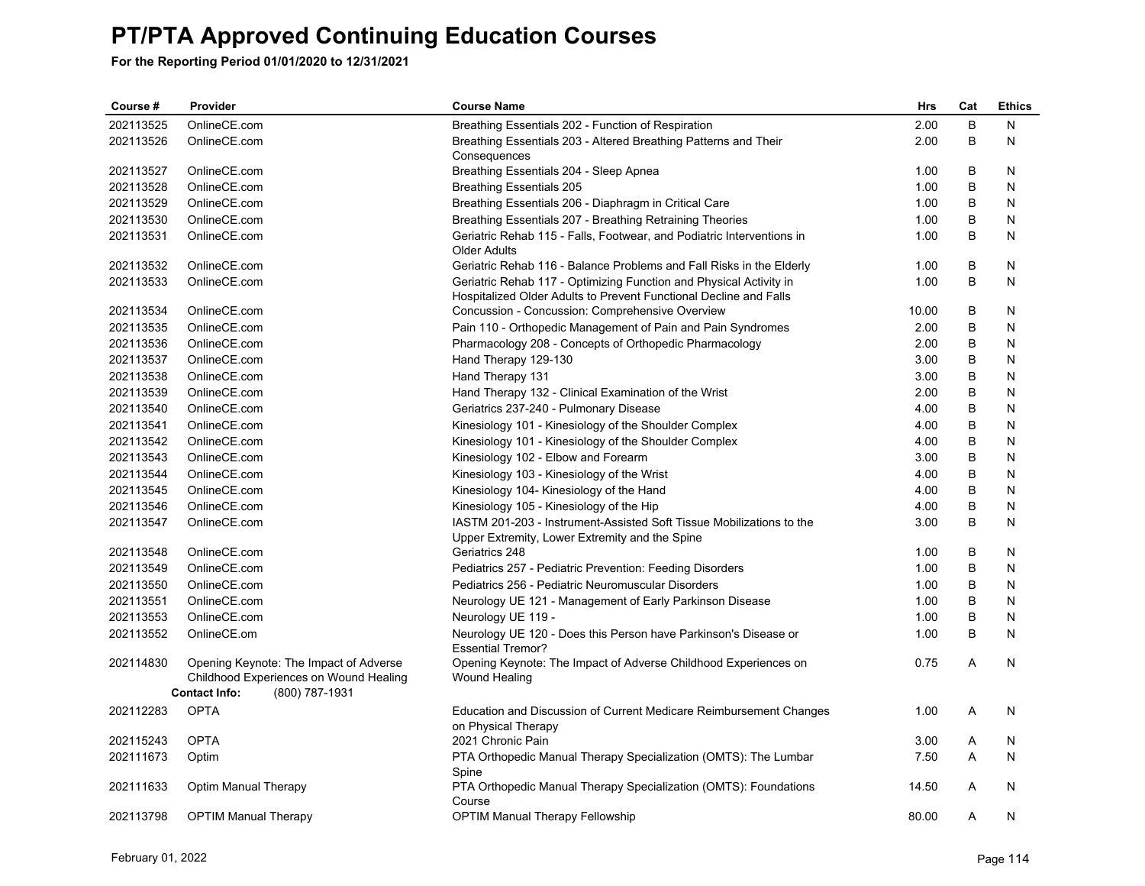| Course #  | Provider                    |                                                                                  | <b>Course Name</b>                                                                                                                      | <b>Hrs</b> | Cat | <b>Ethics</b> |
|-----------|-----------------------------|----------------------------------------------------------------------------------|-----------------------------------------------------------------------------------------------------------------------------------------|------------|-----|---------------|
| 202113525 | OnlineCE.com                |                                                                                  | Breathing Essentials 202 - Function of Respiration                                                                                      | 2.00       | B   | N             |
| 202113526 | OnlineCE.com                |                                                                                  | Breathing Essentials 203 - Altered Breathing Patterns and Their<br>Consequences                                                         | 2.00       | B   | N             |
| 202113527 | OnlineCE.com                |                                                                                  | Breathing Essentials 204 - Sleep Apnea                                                                                                  | 1.00       | B   | N             |
| 202113528 | OnlineCE.com                |                                                                                  | <b>Breathing Essentials 205</b>                                                                                                         | 1.00       | В   | N             |
| 202113529 | OnlineCE.com                |                                                                                  | Breathing Essentials 206 - Diaphragm in Critical Care                                                                                   | 1.00       | В   | N             |
| 202113530 | OnlineCE.com                |                                                                                  | Breathing Essentials 207 - Breathing Retraining Theories                                                                                | 1.00       | B   | N             |
| 202113531 | OnlineCE.com                |                                                                                  | Geriatric Rehab 115 - Falls, Footwear, and Podiatric Interventions in<br><b>Older Adults</b>                                            | 1.00       | B   | N             |
| 202113532 | OnlineCE.com                |                                                                                  | Geriatric Rehab 116 - Balance Problems and Fall Risks in the Elderly                                                                    | 1.00       | B   | N             |
| 202113533 | OnlineCE.com                |                                                                                  | Geriatric Rehab 117 - Optimizing Function and Physical Activity in<br>Hospitalized Older Adults to Prevent Functional Decline and Falls | 1.00       | B   | N             |
| 202113534 | OnlineCE.com                |                                                                                  | Concussion - Concussion: Comprehensive Overview                                                                                         | 10.00      | В   | N             |
| 202113535 | OnlineCE.com                |                                                                                  | Pain 110 - Orthopedic Management of Pain and Pain Syndromes                                                                             | 2.00       | B   | N             |
| 202113536 | OnlineCE.com                |                                                                                  | Pharmacology 208 - Concepts of Orthopedic Pharmacology                                                                                  | 2.00       | В   | N             |
| 202113537 | OnlineCE.com                |                                                                                  | Hand Therapy 129-130                                                                                                                    | 3.00       | В   | N             |
| 202113538 | OnlineCE.com                |                                                                                  | Hand Therapy 131                                                                                                                        | 3.00       | B   | N             |
| 202113539 | OnlineCE.com                |                                                                                  | Hand Therapy 132 - Clinical Examination of the Wrist                                                                                    | 2.00       | B   | N             |
| 202113540 | OnlineCE.com                |                                                                                  | Geriatrics 237-240 - Pulmonary Disease                                                                                                  | 4.00       | В   | N             |
| 202113541 | OnlineCE.com                |                                                                                  | Kinesiology 101 - Kinesiology of the Shoulder Complex                                                                                   | 4.00       | B   | N             |
| 202113542 | OnlineCE.com                |                                                                                  | Kinesiology 101 - Kinesiology of the Shoulder Complex                                                                                   | 4.00       | B   | N             |
| 202113543 | OnlineCE.com                |                                                                                  | Kinesiology 102 - Elbow and Forearm                                                                                                     | 3.00       | B   | N             |
| 202113544 | OnlineCE.com                |                                                                                  | Kinesiology 103 - Kinesiology of the Wrist                                                                                              | 4.00       | В   | N             |
| 202113545 | OnlineCE.com                |                                                                                  | Kinesiology 104- Kinesiology of the Hand                                                                                                | 4.00       | B   | N             |
| 202113546 | OnlineCE.com                |                                                                                  | Kinesiology 105 - Kinesiology of the Hip                                                                                                | 4.00       | B   | N             |
| 202113547 | OnlineCE.com                |                                                                                  | IASTM 201-203 - Instrument-Assisted Soft Tissue Mobilizations to the<br>Upper Extremity, Lower Extremity and the Spine                  | 3.00       | B   | N             |
| 202113548 | OnlineCE.com                |                                                                                  | Geriatrics 248                                                                                                                          | 1.00       | B   | N             |
| 202113549 | OnlineCE.com                |                                                                                  | Pediatrics 257 - Pediatric Prevention: Feeding Disorders                                                                                | 1.00       | B   | N             |
| 202113550 | OnlineCE.com                |                                                                                  | Pediatrics 256 - Pediatric Neuromuscular Disorders                                                                                      | 1.00       | В   | N             |
| 202113551 | OnlineCE.com                |                                                                                  | Neurology UE 121 - Management of Early Parkinson Disease                                                                                | 1.00       | B   | N             |
| 202113553 | OnlineCE.com                |                                                                                  | Neurology UE 119 -                                                                                                                      | 1.00       | B   | N             |
| 202113552 | OnlineCE.om                 |                                                                                  | Neurology UE 120 - Does this Person have Parkinson's Disease or<br><b>Essential Tremor?</b>                                             | 1.00       | B   | N             |
| 202114830 |                             | Opening Keynote: The Impact of Adverse<br>Childhood Experiences on Wound Healing | Opening Keynote: The Impact of Adverse Childhood Experiences on<br>Wound Healing                                                        | 0.75       | A   | N             |
|           | <b>Contact Info:</b>        | (800) 787-1931                                                                   |                                                                                                                                         |            |     |               |
| 202112283 | <b>OPTA</b>                 |                                                                                  | Education and Discussion of Current Medicare Reimbursement Changes<br>on Physical Therapy                                               | 1.00       | A   | N             |
| 202115243 | <b>OPTA</b>                 |                                                                                  | 2021 Chronic Pain                                                                                                                       | 3.00       | Α   | N             |
| 202111673 | Optim                       |                                                                                  | PTA Orthopedic Manual Therapy Specialization (OMTS): The Lumbar<br>Spine                                                                | 7.50       | A   | N             |
| 202111633 | Optim Manual Therapy        |                                                                                  | PTA Orthopedic Manual Therapy Specialization (OMTS): Foundations<br>Course                                                              | 14.50      | A   | N             |
| 202113798 | <b>OPTIM Manual Therapy</b> |                                                                                  | <b>OPTIM Manual Therapy Fellowship</b>                                                                                                  | 80.00      | A   | N             |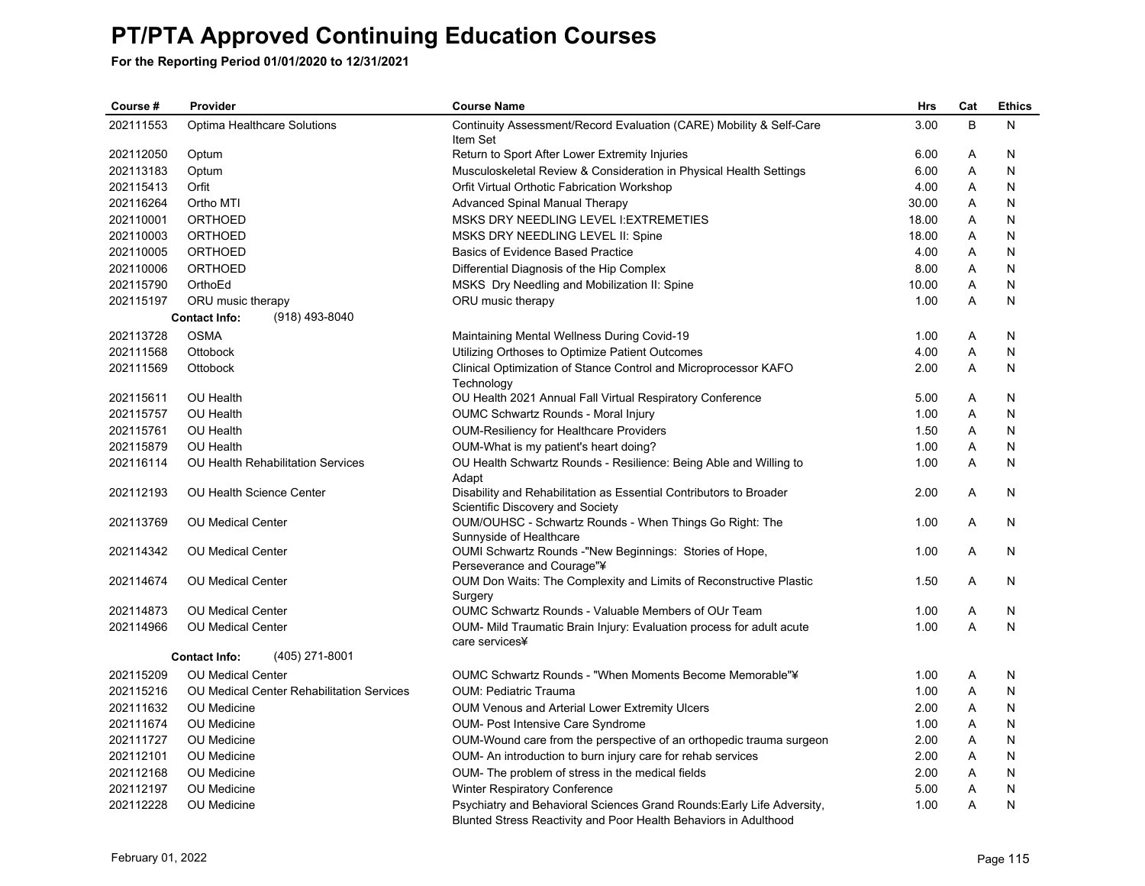| Course #  | Provider<br><b>Course Name</b>            |                                                                                                                                            | Hrs   | Cat | <b>Ethics</b> |
|-----------|-------------------------------------------|--------------------------------------------------------------------------------------------------------------------------------------------|-------|-----|---------------|
| 202111553 | Optima Healthcare Solutions               | Continuity Assessment/Record Evaluation (CARE) Mobility & Self-Care<br>Item Set                                                            | 3.00  | B   | N             |
| 202112050 | Optum                                     | Return to Sport After Lower Extremity Injuries                                                                                             | 6.00  | Α   | N             |
| 202113183 | Optum                                     | Musculoskeletal Review & Consideration in Physical Health Settings                                                                         | 6.00  | Α   | N             |
| 202115413 | Orfit                                     | Orfit Virtual Orthotic Fabrication Workshop                                                                                                | 4.00  | A   | N             |
| 202116264 | Ortho MTI                                 | <b>Advanced Spinal Manual Therapy</b>                                                                                                      | 30.00 | Α   | N             |
| 202110001 | <b>ORTHOED</b>                            | MSKS DRY NEEDLING LEVEL I: EXTREMETIES                                                                                                     | 18.00 | Α   | N             |
| 202110003 | <b>ORTHOED</b>                            | MSKS DRY NEEDLING LEVEL II: Spine                                                                                                          | 18.00 | Α   | N             |
| 202110005 | <b>ORTHOED</b>                            | <b>Basics of Evidence Based Practice</b>                                                                                                   | 4.00  | Α   | N             |
| 202110006 | <b>ORTHOED</b>                            | Differential Diagnosis of the Hip Complex                                                                                                  | 8.00  | Α   | N             |
| 202115790 | OrthoEd                                   | MSKS Dry Needling and Mobilization II: Spine                                                                                               | 10.00 | Α   | N             |
| 202115197 | ORU music therapy                         | ORU music therapy                                                                                                                          | 1.00  | A   | N             |
|           | <b>Contact Info:</b><br>(918) 493-8040    |                                                                                                                                            |       |     |               |
| 202113728 | <b>OSMA</b>                               | Maintaining Mental Wellness During Covid-19                                                                                                | 1.00  | Α   | N             |
| 202111568 | Ottobock                                  | Utilizing Orthoses to Optimize Patient Outcomes                                                                                            | 4.00  | Α   | N             |
| 202111569 | Ottobock                                  | Clinical Optimization of Stance Control and Microprocessor KAFO<br>Technology                                                              | 2.00  | A   | N             |
| 202115611 | OU Health                                 | OU Health 2021 Annual Fall Virtual Respiratory Conference                                                                                  | 5.00  | Α   | N             |
| 202115757 | <b>OU Health</b>                          | <b>OUMC Schwartz Rounds - Moral Injury</b>                                                                                                 | 1.00  | A   | N             |
| 202115761 | OU Health                                 | <b>OUM-Resiliency for Healthcare Providers</b>                                                                                             | 1.50  | Α   | N             |
| 202115879 | OU Health                                 | OUM-What is my patient's heart doing?                                                                                                      | 1.00  | Α   | N             |
| 202116114 | <b>OU Health Rehabilitation Services</b>  | OU Health Schwartz Rounds - Resilience: Being Able and Willing to<br>Adapt                                                                 | 1.00  | A   | N             |
| 202112193 | OU Health Science Center                  | Disability and Rehabilitation as Essential Contributors to Broader<br>Scientific Discovery and Society                                     | 2.00  | A   | N             |
| 202113769 | <b>OU Medical Center</b>                  | OUM/OUHSC - Schwartz Rounds - When Things Go Right: The<br>Sunnyside of Healthcare                                                         | 1.00  | A   | N             |
| 202114342 | <b>OU Medical Center</b>                  | OUMI Schwartz Rounds -"New Beginnings: Stories of Hope,<br>Perseverance and Courage"¥                                                      | 1.00  | A   | N             |
| 202114674 | <b>OU Medical Center</b>                  | OUM Don Waits: The Complexity and Limits of Reconstructive Plastic<br>Surgery                                                              | 1.50  | A   | N             |
| 202114873 | <b>OU Medical Center</b>                  | <b>OUMC Schwartz Rounds - Valuable Members of OUr Team</b>                                                                                 | 1.00  | Α   | N             |
| 202114966 | <b>OU Medical Center</b>                  | OUM- Mild Traumatic Brain Injury: Evaluation process for adult acute<br>care services¥                                                     | 1.00  | A   | N             |
|           | (405) 271-8001<br><b>Contact Info:</b>    |                                                                                                                                            |       |     |               |
| 202115209 | <b>OU Medical Center</b>                  | OUMC Schwartz Rounds - "When Moments Become Memorable"¥                                                                                    | 1.00  | Α   | N             |
| 202115216 | OU Medical Center Rehabilitation Services | <b>OUM: Pediatric Trauma</b>                                                                                                               | 1.00  | Α   | N             |
| 202111632 | OU Medicine                               | <b>OUM Venous and Arterial Lower Extremity Ulcers</b>                                                                                      | 2.00  | Α   | N             |
| 202111674 | OU Medicine                               | <b>OUM- Post Intensive Care Syndrome</b>                                                                                                   | 1.00  | Α   | N             |
| 202111727 | OU Medicine                               | OUM-Wound care from the perspective of an orthopedic trauma surgeon                                                                        | 2.00  | Α   | N             |
| 202112101 | OU Medicine                               | OUM- An introduction to burn injury care for rehab services                                                                                | 2.00  | Α   | N             |
| 202112168 | <b>OU</b> Medicine                        | OUM- The problem of stress in the medical fields                                                                                           | 2.00  | A   | N             |
| 202112197 | OU Medicine                               | Winter Respiratory Conference                                                                                                              | 5.00  | Α   | N             |
| 202112228 | OU Medicine                               | Psychiatry and Behavioral Sciences Grand Rounds: Early Life Adversity,<br>Blunted Stress Reactivity and Poor Health Behaviors in Adulthood | 1.00  | Α   | N             |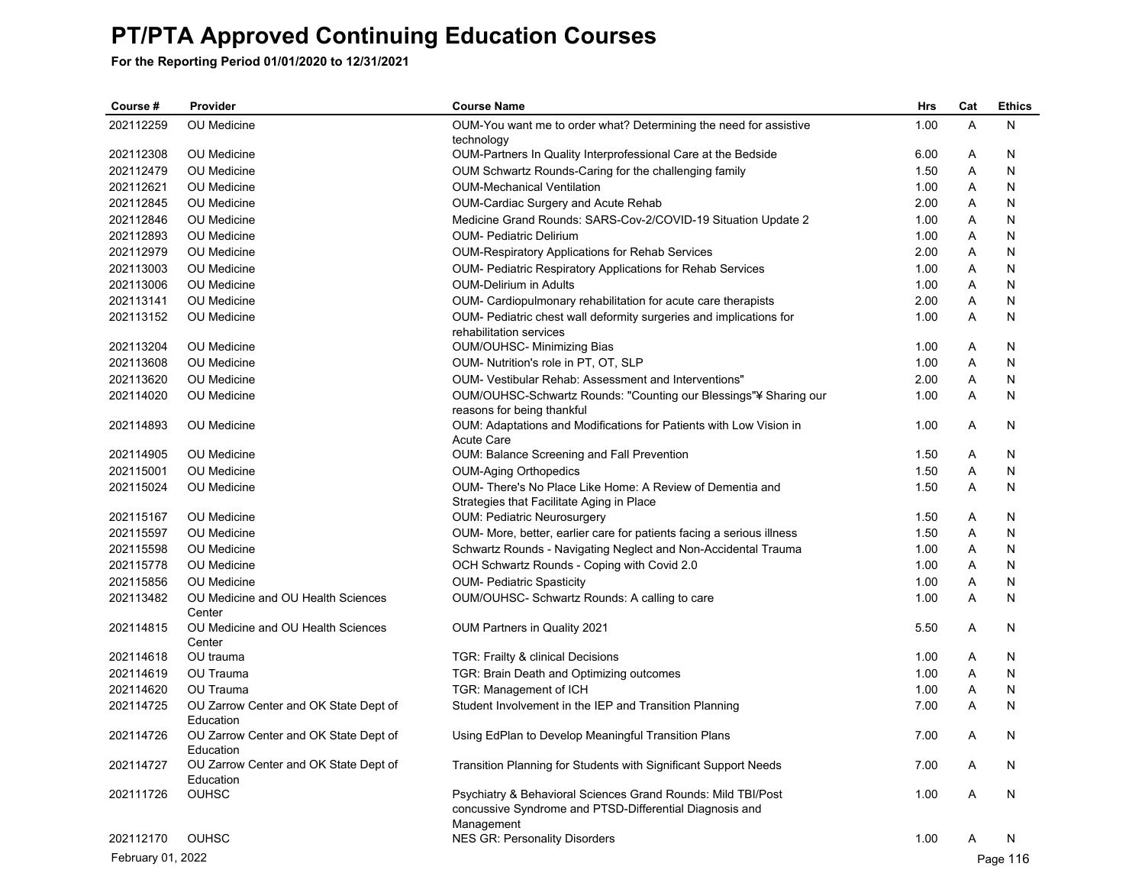| 1.00<br>A<br>202112259<br>OU Medicine<br>N<br>OUM-You want me to order what? Determining the need for assistive<br>technology<br>202112308<br>OU Medicine<br>OUM-Partners In Quality Interprofessional Care at the Bedside<br>6.00<br>Α<br>N<br>202112479<br>OU Medicine<br>OUM Schwartz Rounds-Caring for the challenging family<br>1.50<br>Α<br>N<br>202112621<br>OU Medicine<br><b>OUM-Mechanical Ventilation</b><br>1.00<br>N<br>A<br>202112845<br>OU Medicine<br>OUM-Cardiac Surgery and Acute Rehab<br>2.00<br>N<br>Α<br>202112846<br>OU Medicine<br>Medicine Grand Rounds: SARS-Cov-2/COVID-19 Situation Update 2<br>1.00<br>Α<br>N<br>202112893<br>Α<br>OU Medicine<br><b>OUM- Pediatric Delirium</b><br>1.00<br>N<br>202112979<br>2.00<br>Α<br>OU Medicine<br><b>OUM-Respiratory Applications for Rehab Services</b><br>N<br>202113003<br>OUM- Pediatric Respiratory Applications for Rehab Services<br>1.00<br>Α<br>N<br><b>OU</b> Medicine<br>202113006<br>OU Medicine<br><b>OUM-Delirium in Adults</b><br>1.00<br>Α<br>N<br>202113141<br>OU Medicine<br>OUM- Cardiopulmonary rehabilitation for acute care therapists<br>2.00<br>Α<br>N<br>202113152<br>OUM- Pediatric chest wall deformity surgeries and implications for<br><b>OU</b> Medicine<br>1.00<br>Α<br>N<br>rehabilitation services<br>202113204<br><b>OU</b> Medicine<br>OUM/OUHSC- Minimizing Bias<br>1.00<br>Α<br>N<br>202113608<br>OUM- Nutrition's role in PT, OT, SLP<br><b>OU</b> Medicine<br>1.00<br>A<br>N<br>202113620<br><b>OU</b> Medicine<br>OUM- Vestibular Rehab: Assessment and Interventions"<br>2.00<br>Α<br>N<br>202114020<br><b>OU</b> Medicine<br>OUM/OUHSC-Schwartz Rounds: "Counting our Blessings"¥ Sharing our<br>1.00<br>Α<br>N<br>reasons for being thankful<br>202114893<br><b>OU</b> Medicine<br>OUM: Adaptations and Modifications for Patients with Low Vision in<br>1.00<br>Α<br>N<br><b>Acute Care</b><br>202114905<br><b>OU</b> Medicine<br>OUM: Balance Screening and Fall Prevention<br>1.50<br>Α<br>N<br>202115001<br><b>OU</b> Medicine<br><b>OUM-Aging Orthopedics</b><br>1.50<br>Α<br>N<br>202115024<br>OUM- There's No Place Like Home: A Review of Dementia and<br>1.50<br>Α<br>OU Medicine<br>N<br>Strategies that Facilitate Aging in Place<br>202115167<br><b>OU</b> Medicine<br>1.50<br><b>OUM: Pediatric Neurosurgery</b><br>Α<br>N<br>202115597<br><b>OU</b> Medicine<br>OUM- More, better, earlier care for patients facing a serious illness<br>1.50<br>Α<br>N<br>Α<br>202115598<br><b>OU</b> Medicine<br>Schwartz Rounds - Navigating Neglect and Non-Accidental Trauma<br>1.00<br>N<br>202115778<br>OCH Schwartz Rounds - Coping with Covid 2.0<br>Α<br><b>OU</b> Medicine<br>1.00<br>N<br>202115856<br><b>OU</b> Medicine<br><b>OUM- Pediatric Spasticity</b><br>1.00<br>Α<br>N<br>202113482<br>1.00<br>Α<br>OU Medicine and OU Health Sciences<br>OUM/OUHSC- Schwartz Rounds: A calling to care<br>N<br>Center<br>202114815<br>OU Medicine and OU Health Sciences<br>OUM Partners in Quality 2021<br>5.50<br>Α<br>N<br>Center<br>202114618<br>OU trauma<br>N<br>TGR: Frailty & clinical Decisions<br>1.00<br>Α<br>OU Trauma<br>202114619<br>TGR: Brain Death and Optimizing outcomes<br>1.00<br>Α<br>N<br>202114620<br>OU Trauma<br>TGR: Management of ICH<br>1.00<br>Α<br>N<br>A<br>202114725<br>OU Zarrow Center and OK State Dept of<br>Student Involvement in the IEP and Transition Planning<br>7.00<br>N<br>Education<br>202114726<br>OU Zarrow Center and OK State Dept of<br>Using EdPlan to Develop Meaningful Transition Plans<br>7.00<br>Α<br>N<br>Education<br>OU Zarrow Center and OK State Dept of<br>Transition Planning for Students with Significant Support Needs<br>7.00<br>202114727<br>A<br>N<br>Education<br><b>OUHSC</b><br>202111726<br>Psychiatry & Behavioral Sciences Grand Rounds: Mild TBI/Post<br>1.00<br>N<br>Α<br>concussive Syndrome and PTSD-Differential Diagnosis and<br>Management<br><b>OUHSC</b><br>202112170<br><b>NES GR: Personality Disorders</b><br>1.00<br>N<br>Α<br>February 01, 2022<br>Page 116 | Course # | Provider | <b>Course Name</b> | <b>Hrs</b> | Cat | <b>Ethics</b> |
|-----------------------------------------------------------------------------------------------------------------------------------------------------------------------------------------------------------------------------------------------------------------------------------------------------------------------------------------------------------------------------------------------------------------------------------------------------------------------------------------------------------------------------------------------------------------------------------------------------------------------------------------------------------------------------------------------------------------------------------------------------------------------------------------------------------------------------------------------------------------------------------------------------------------------------------------------------------------------------------------------------------------------------------------------------------------------------------------------------------------------------------------------------------------------------------------------------------------------------------------------------------------------------------------------------------------------------------------------------------------------------------------------------------------------------------------------------------------------------------------------------------------------------------------------------------------------------------------------------------------------------------------------------------------------------------------------------------------------------------------------------------------------------------------------------------------------------------------------------------------------------------------------------------------------------------------------------------------------------------------------------------------------------------------------------------------------------------------------------------------------------------------------------------------------------------------------------------------------------------------------------------------------------------------------------------------------------------------------------------------------------------------------------------------------------------------------------------------------------------------------------------------------------------------------------------------------------------------------------------------------------------------------------------------------------------------------------------------------------------------------------------------------------------------------------------------------------------------------------------------------------------------------------------------------------------------------------------------------------------------------------------------------------------------------------------------------------------------------------------------------------------------------------------------------------------------------------------------------------------------------------------------------------------------------------------------------------------------------------------------------------------------------------------------------------------------------------------------------------------------------------------------------------------------------------------------------------------------------------------------------------------------------------------------------------------------------------------------------------------------------------------------------------------------------------------------------------------------------------------------------------------------------------------------------------------------------------------------------------------------------------------------------------------------------------------------------------|----------|----------|--------------------|------------|-----|---------------|
|                                                                                                                                                                                                                                                                                                                                                                                                                                                                                                                                                                                                                                                                                                                                                                                                                                                                                                                                                                                                                                                                                                                                                                                                                                                                                                                                                                                                                                                                                                                                                                                                                                                                                                                                                                                                                                                                                                                                                                                                                                                                                                                                                                                                                                                                                                                                                                                                                                                                                                                                                                                                                                                                                                                                                                                                                                                                                                                                                                                                                                                                                                                                                                                                                                                                                                                                                                                                                                                                                                                                                                                                                                                                                                                                                                                                                                                                                                                                                                                                                                                                             |          |          |                    |            |     |               |
|                                                                                                                                                                                                                                                                                                                                                                                                                                                                                                                                                                                                                                                                                                                                                                                                                                                                                                                                                                                                                                                                                                                                                                                                                                                                                                                                                                                                                                                                                                                                                                                                                                                                                                                                                                                                                                                                                                                                                                                                                                                                                                                                                                                                                                                                                                                                                                                                                                                                                                                                                                                                                                                                                                                                                                                                                                                                                                                                                                                                                                                                                                                                                                                                                                                                                                                                                                                                                                                                                                                                                                                                                                                                                                                                                                                                                                                                                                                                                                                                                                                                             |          |          |                    |            |     |               |
|                                                                                                                                                                                                                                                                                                                                                                                                                                                                                                                                                                                                                                                                                                                                                                                                                                                                                                                                                                                                                                                                                                                                                                                                                                                                                                                                                                                                                                                                                                                                                                                                                                                                                                                                                                                                                                                                                                                                                                                                                                                                                                                                                                                                                                                                                                                                                                                                                                                                                                                                                                                                                                                                                                                                                                                                                                                                                                                                                                                                                                                                                                                                                                                                                                                                                                                                                                                                                                                                                                                                                                                                                                                                                                                                                                                                                                                                                                                                                                                                                                                                             |          |          |                    |            |     |               |
|                                                                                                                                                                                                                                                                                                                                                                                                                                                                                                                                                                                                                                                                                                                                                                                                                                                                                                                                                                                                                                                                                                                                                                                                                                                                                                                                                                                                                                                                                                                                                                                                                                                                                                                                                                                                                                                                                                                                                                                                                                                                                                                                                                                                                                                                                                                                                                                                                                                                                                                                                                                                                                                                                                                                                                                                                                                                                                                                                                                                                                                                                                                                                                                                                                                                                                                                                                                                                                                                                                                                                                                                                                                                                                                                                                                                                                                                                                                                                                                                                                                                             |          |          |                    |            |     |               |
|                                                                                                                                                                                                                                                                                                                                                                                                                                                                                                                                                                                                                                                                                                                                                                                                                                                                                                                                                                                                                                                                                                                                                                                                                                                                                                                                                                                                                                                                                                                                                                                                                                                                                                                                                                                                                                                                                                                                                                                                                                                                                                                                                                                                                                                                                                                                                                                                                                                                                                                                                                                                                                                                                                                                                                                                                                                                                                                                                                                                                                                                                                                                                                                                                                                                                                                                                                                                                                                                                                                                                                                                                                                                                                                                                                                                                                                                                                                                                                                                                                                                             |          |          |                    |            |     |               |
|                                                                                                                                                                                                                                                                                                                                                                                                                                                                                                                                                                                                                                                                                                                                                                                                                                                                                                                                                                                                                                                                                                                                                                                                                                                                                                                                                                                                                                                                                                                                                                                                                                                                                                                                                                                                                                                                                                                                                                                                                                                                                                                                                                                                                                                                                                                                                                                                                                                                                                                                                                                                                                                                                                                                                                                                                                                                                                                                                                                                                                                                                                                                                                                                                                                                                                                                                                                                                                                                                                                                                                                                                                                                                                                                                                                                                                                                                                                                                                                                                                                                             |          |          |                    |            |     |               |
|                                                                                                                                                                                                                                                                                                                                                                                                                                                                                                                                                                                                                                                                                                                                                                                                                                                                                                                                                                                                                                                                                                                                                                                                                                                                                                                                                                                                                                                                                                                                                                                                                                                                                                                                                                                                                                                                                                                                                                                                                                                                                                                                                                                                                                                                                                                                                                                                                                                                                                                                                                                                                                                                                                                                                                                                                                                                                                                                                                                                                                                                                                                                                                                                                                                                                                                                                                                                                                                                                                                                                                                                                                                                                                                                                                                                                                                                                                                                                                                                                                                                             |          |          |                    |            |     |               |
|                                                                                                                                                                                                                                                                                                                                                                                                                                                                                                                                                                                                                                                                                                                                                                                                                                                                                                                                                                                                                                                                                                                                                                                                                                                                                                                                                                                                                                                                                                                                                                                                                                                                                                                                                                                                                                                                                                                                                                                                                                                                                                                                                                                                                                                                                                                                                                                                                                                                                                                                                                                                                                                                                                                                                                                                                                                                                                                                                                                                                                                                                                                                                                                                                                                                                                                                                                                                                                                                                                                                                                                                                                                                                                                                                                                                                                                                                                                                                                                                                                                                             |          |          |                    |            |     |               |
|                                                                                                                                                                                                                                                                                                                                                                                                                                                                                                                                                                                                                                                                                                                                                                                                                                                                                                                                                                                                                                                                                                                                                                                                                                                                                                                                                                                                                                                                                                                                                                                                                                                                                                                                                                                                                                                                                                                                                                                                                                                                                                                                                                                                                                                                                                                                                                                                                                                                                                                                                                                                                                                                                                                                                                                                                                                                                                                                                                                                                                                                                                                                                                                                                                                                                                                                                                                                                                                                                                                                                                                                                                                                                                                                                                                                                                                                                                                                                                                                                                                                             |          |          |                    |            |     |               |
|                                                                                                                                                                                                                                                                                                                                                                                                                                                                                                                                                                                                                                                                                                                                                                                                                                                                                                                                                                                                                                                                                                                                                                                                                                                                                                                                                                                                                                                                                                                                                                                                                                                                                                                                                                                                                                                                                                                                                                                                                                                                                                                                                                                                                                                                                                                                                                                                                                                                                                                                                                                                                                                                                                                                                                                                                                                                                                                                                                                                                                                                                                                                                                                                                                                                                                                                                                                                                                                                                                                                                                                                                                                                                                                                                                                                                                                                                                                                                                                                                                                                             |          |          |                    |            |     |               |
|                                                                                                                                                                                                                                                                                                                                                                                                                                                                                                                                                                                                                                                                                                                                                                                                                                                                                                                                                                                                                                                                                                                                                                                                                                                                                                                                                                                                                                                                                                                                                                                                                                                                                                                                                                                                                                                                                                                                                                                                                                                                                                                                                                                                                                                                                                                                                                                                                                                                                                                                                                                                                                                                                                                                                                                                                                                                                                                                                                                                                                                                                                                                                                                                                                                                                                                                                                                                                                                                                                                                                                                                                                                                                                                                                                                                                                                                                                                                                                                                                                                                             |          |          |                    |            |     |               |
|                                                                                                                                                                                                                                                                                                                                                                                                                                                                                                                                                                                                                                                                                                                                                                                                                                                                                                                                                                                                                                                                                                                                                                                                                                                                                                                                                                                                                                                                                                                                                                                                                                                                                                                                                                                                                                                                                                                                                                                                                                                                                                                                                                                                                                                                                                                                                                                                                                                                                                                                                                                                                                                                                                                                                                                                                                                                                                                                                                                                                                                                                                                                                                                                                                                                                                                                                                                                                                                                                                                                                                                                                                                                                                                                                                                                                                                                                                                                                                                                                                                                             |          |          |                    |            |     |               |
|                                                                                                                                                                                                                                                                                                                                                                                                                                                                                                                                                                                                                                                                                                                                                                                                                                                                                                                                                                                                                                                                                                                                                                                                                                                                                                                                                                                                                                                                                                                                                                                                                                                                                                                                                                                                                                                                                                                                                                                                                                                                                                                                                                                                                                                                                                                                                                                                                                                                                                                                                                                                                                                                                                                                                                                                                                                                                                                                                                                                                                                                                                                                                                                                                                                                                                                                                                                                                                                                                                                                                                                                                                                                                                                                                                                                                                                                                                                                                                                                                                                                             |          |          |                    |            |     |               |
|                                                                                                                                                                                                                                                                                                                                                                                                                                                                                                                                                                                                                                                                                                                                                                                                                                                                                                                                                                                                                                                                                                                                                                                                                                                                                                                                                                                                                                                                                                                                                                                                                                                                                                                                                                                                                                                                                                                                                                                                                                                                                                                                                                                                                                                                                                                                                                                                                                                                                                                                                                                                                                                                                                                                                                                                                                                                                                                                                                                                                                                                                                                                                                                                                                                                                                                                                                                                                                                                                                                                                                                                                                                                                                                                                                                                                                                                                                                                                                                                                                                                             |          |          |                    |            |     |               |
|                                                                                                                                                                                                                                                                                                                                                                                                                                                                                                                                                                                                                                                                                                                                                                                                                                                                                                                                                                                                                                                                                                                                                                                                                                                                                                                                                                                                                                                                                                                                                                                                                                                                                                                                                                                                                                                                                                                                                                                                                                                                                                                                                                                                                                                                                                                                                                                                                                                                                                                                                                                                                                                                                                                                                                                                                                                                                                                                                                                                                                                                                                                                                                                                                                                                                                                                                                                                                                                                                                                                                                                                                                                                                                                                                                                                                                                                                                                                                                                                                                                                             |          |          |                    |            |     |               |
|                                                                                                                                                                                                                                                                                                                                                                                                                                                                                                                                                                                                                                                                                                                                                                                                                                                                                                                                                                                                                                                                                                                                                                                                                                                                                                                                                                                                                                                                                                                                                                                                                                                                                                                                                                                                                                                                                                                                                                                                                                                                                                                                                                                                                                                                                                                                                                                                                                                                                                                                                                                                                                                                                                                                                                                                                                                                                                                                                                                                                                                                                                                                                                                                                                                                                                                                                                                                                                                                                                                                                                                                                                                                                                                                                                                                                                                                                                                                                                                                                                                                             |          |          |                    |            |     |               |
|                                                                                                                                                                                                                                                                                                                                                                                                                                                                                                                                                                                                                                                                                                                                                                                                                                                                                                                                                                                                                                                                                                                                                                                                                                                                                                                                                                                                                                                                                                                                                                                                                                                                                                                                                                                                                                                                                                                                                                                                                                                                                                                                                                                                                                                                                                                                                                                                                                                                                                                                                                                                                                                                                                                                                                                                                                                                                                                                                                                                                                                                                                                                                                                                                                                                                                                                                                                                                                                                                                                                                                                                                                                                                                                                                                                                                                                                                                                                                                                                                                                                             |          |          |                    |            |     |               |
|                                                                                                                                                                                                                                                                                                                                                                                                                                                                                                                                                                                                                                                                                                                                                                                                                                                                                                                                                                                                                                                                                                                                                                                                                                                                                                                                                                                                                                                                                                                                                                                                                                                                                                                                                                                                                                                                                                                                                                                                                                                                                                                                                                                                                                                                                                                                                                                                                                                                                                                                                                                                                                                                                                                                                                                                                                                                                                                                                                                                                                                                                                                                                                                                                                                                                                                                                                                                                                                                                                                                                                                                                                                                                                                                                                                                                                                                                                                                                                                                                                                                             |          |          |                    |            |     |               |
|                                                                                                                                                                                                                                                                                                                                                                                                                                                                                                                                                                                                                                                                                                                                                                                                                                                                                                                                                                                                                                                                                                                                                                                                                                                                                                                                                                                                                                                                                                                                                                                                                                                                                                                                                                                                                                                                                                                                                                                                                                                                                                                                                                                                                                                                                                                                                                                                                                                                                                                                                                                                                                                                                                                                                                                                                                                                                                                                                                                                                                                                                                                                                                                                                                                                                                                                                                                                                                                                                                                                                                                                                                                                                                                                                                                                                                                                                                                                                                                                                                                                             |          |          |                    |            |     |               |
|                                                                                                                                                                                                                                                                                                                                                                                                                                                                                                                                                                                                                                                                                                                                                                                                                                                                                                                                                                                                                                                                                                                                                                                                                                                                                                                                                                                                                                                                                                                                                                                                                                                                                                                                                                                                                                                                                                                                                                                                                                                                                                                                                                                                                                                                                                                                                                                                                                                                                                                                                                                                                                                                                                                                                                                                                                                                                                                                                                                                                                                                                                                                                                                                                                                                                                                                                                                                                                                                                                                                                                                                                                                                                                                                                                                                                                                                                                                                                                                                                                                                             |          |          |                    |            |     |               |
|                                                                                                                                                                                                                                                                                                                                                                                                                                                                                                                                                                                                                                                                                                                                                                                                                                                                                                                                                                                                                                                                                                                                                                                                                                                                                                                                                                                                                                                                                                                                                                                                                                                                                                                                                                                                                                                                                                                                                                                                                                                                                                                                                                                                                                                                                                                                                                                                                                                                                                                                                                                                                                                                                                                                                                                                                                                                                                                                                                                                                                                                                                                                                                                                                                                                                                                                                                                                                                                                                                                                                                                                                                                                                                                                                                                                                                                                                                                                                                                                                                                                             |          |          |                    |            |     |               |
|                                                                                                                                                                                                                                                                                                                                                                                                                                                                                                                                                                                                                                                                                                                                                                                                                                                                                                                                                                                                                                                                                                                                                                                                                                                                                                                                                                                                                                                                                                                                                                                                                                                                                                                                                                                                                                                                                                                                                                                                                                                                                                                                                                                                                                                                                                                                                                                                                                                                                                                                                                                                                                                                                                                                                                                                                                                                                                                                                                                                                                                                                                                                                                                                                                                                                                                                                                                                                                                                                                                                                                                                                                                                                                                                                                                                                                                                                                                                                                                                                                                                             |          |          |                    |            |     |               |
|                                                                                                                                                                                                                                                                                                                                                                                                                                                                                                                                                                                                                                                                                                                                                                                                                                                                                                                                                                                                                                                                                                                                                                                                                                                                                                                                                                                                                                                                                                                                                                                                                                                                                                                                                                                                                                                                                                                                                                                                                                                                                                                                                                                                                                                                                                                                                                                                                                                                                                                                                                                                                                                                                                                                                                                                                                                                                                                                                                                                                                                                                                                                                                                                                                                                                                                                                                                                                                                                                                                                                                                                                                                                                                                                                                                                                                                                                                                                                                                                                                                                             |          |          |                    |            |     |               |
|                                                                                                                                                                                                                                                                                                                                                                                                                                                                                                                                                                                                                                                                                                                                                                                                                                                                                                                                                                                                                                                                                                                                                                                                                                                                                                                                                                                                                                                                                                                                                                                                                                                                                                                                                                                                                                                                                                                                                                                                                                                                                                                                                                                                                                                                                                                                                                                                                                                                                                                                                                                                                                                                                                                                                                                                                                                                                                                                                                                                                                                                                                                                                                                                                                                                                                                                                                                                                                                                                                                                                                                                                                                                                                                                                                                                                                                                                                                                                                                                                                                                             |          |          |                    |            |     |               |
|                                                                                                                                                                                                                                                                                                                                                                                                                                                                                                                                                                                                                                                                                                                                                                                                                                                                                                                                                                                                                                                                                                                                                                                                                                                                                                                                                                                                                                                                                                                                                                                                                                                                                                                                                                                                                                                                                                                                                                                                                                                                                                                                                                                                                                                                                                                                                                                                                                                                                                                                                                                                                                                                                                                                                                                                                                                                                                                                                                                                                                                                                                                                                                                                                                                                                                                                                                                                                                                                                                                                                                                                                                                                                                                                                                                                                                                                                                                                                                                                                                                                             |          |          |                    |            |     |               |
|                                                                                                                                                                                                                                                                                                                                                                                                                                                                                                                                                                                                                                                                                                                                                                                                                                                                                                                                                                                                                                                                                                                                                                                                                                                                                                                                                                                                                                                                                                                                                                                                                                                                                                                                                                                                                                                                                                                                                                                                                                                                                                                                                                                                                                                                                                                                                                                                                                                                                                                                                                                                                                                                                                                                                                                                                                                                                                                                                                                                                                                                                                                                                                                                                                                                                                                                                                                                                                                                                                                                                                                                                                                                                                                                                                                                                                                                                                                                                                                                                                                                             |          |          |                    |            |     |               |
|                                                                                                                                                                                                                                                                                                                                                                                                                                                                                                                                                                                                                                                                                                                                                                                                                                                                                                                                                                                                                                                                                                                                                                                                                                                                                                                                                                                                                                                                                                                                                                                                                                                                                                                                                                                                                                                                                                                                                                                                                                                                                                                                                                                                                                                                                                                                                                                                                                                                                                                                                                                                                                                                                                                                                                                                                                                                                                                                                                                                                                                                                                                                                                                                                                                                                                                                                                                                                                                                                                                                                                                                                                                                                                                                                                                                                                                                                                                                                                                                                                                                             |          |          |                    |            |     |               |
|                                                                                                                                                                                                                                                                                                                                                                                                                                                                                                                                                                                                                                                                                                                                                                                                                                                                                                                                                                                                                                                                                                                                                                                                                                                                                                                                                                                                                                                                                                                                                                                                                                                                                                                                                                                                                                                                                                                                                                                                                                                                                                                                                                                                                                                                                                                                                                                                                                                                                                                                                                                                                                                                                                                                                                                                                                                                                                                                                                                                                                                                                                                                                                                                                                                                                                                                                                                                                                                                                                                                                                                                                                                                                                                                                                                                                                                                                                                                                                                                                                                                             |          |          |                    |            |     |               |
|                                                                                                                                                                                                                                                                                                                                                                                                                                                                                                                                                                                                                                                                                                                                                                                                                                                                                                                                                                                                                                                                                                                                                                                                                                                                                                                                                                                                                                                                                                                                                                                                                                                                                                                                                                                                                                                                                                                                                                                                                                                                                                                                                                                                                                                                                                                                                                                                                                                                                                                                                                                                                                                                                                                                                                                                                                                                                                                                                                                                                                                                                                                                                                                                                                                                                                                                                                                                                                                                                                                                                                                                                                                                                                                                                                                                                                                                                                                                                                                                                                                                             |          |          |                    |            |     |               |
|                                                                                                                                                                                                                                                                                                                                                                                                                                                                                                                                                                                                                                                                                                                                                                                                                                                                                                                                                                                                                                                                                                                                                                                                                                                                                                                                                                                                                                                                                                                                                                                                                                                                                                                                                                                                                                                                                                                                                                                                                                                                                                                                                                                                                                                                                                                                                                                                                                                                                                                                                                                                                                                                                                                                                                                                                                                                                                                                                                                                                                                                                                                                                                                                                                                                                                                                                                                                                                                                                                                                                                                                                                                                                                                                                                                                                                                                                                                                                                                                                                                                             |          |          |                    |            |     |               |
|                                                                                                                                                                                                                                                                                                                                                                                                                                                                                                                                                                                                                                                                                                                                                                                                                                                                                                                                                                                                                                                                                                                                                                                                                                                                                                                                                                                                                                                                                                                                                                                                                                                                                                                                                                                                                                                                                                                                                                                                                                                                                                                                                                                                                                                                                                                                                                                                                                                                                                                                                                                                                                                                                                                                                                                                                                                                                                                                                                                                                                                                                                                                                                                                                                                                                                                                                                                                                                                                                                                                                                                                                                                                                                                                                                                                                                                                                                                                                                                                                                                                             |          |          |                    |            |     |               |
|                                                                                                                                                                                                                                                                                                                                                                                                                                                                                                                                                                                                                                                                                                                                                                                                                                                                                                                                                                                                                                                                                                                                                                                                                                                                                                                                                                                                                                                                                                                                                                                                                                                                                                                                                                                                                                                                                                                                                                                                                                                                                                                                                                                                                                                                                                                                                                                                                                                                                                                                                                                                                                                                                                                                                                                                                                                                                                                                                                                                                                                                                                                                                                                                                                                                                                                                                                                                                                                                                                                                                                                                                                                                                                                                                                                                                                                                                                                                                                                                                                                                             |          |          |                    |            |     |               |
|                                                                                                                                                                                                                                                                                                                                                                                                                                                                                                                                                                                                                                                                                                                                                                                                                                                                                                                                                                                                                                                                                                                                                                                                                                                                                                                                                                                                                                                                                                                                                                                                                                                                                                                                                                                                                                                                                                                                                                                                                                                                                                                                                                                                                                                                                                                                                                                                                                                                                                                                                                                                                                                                                                                                                                                                                                                                                                                                                                                                                                                                                                                                                                                                                                                                                                                                                                                                                                                                                                                                                                                                                                                                                                                                                                                                                                                                                                                                                                                                                                                                             |          |          |                    |            |     |               |
|                                                                                                                                                                                                                                                                                                                                                                                                                                                                                                                                                                                                                                                                                                                                                                                                                                                                                                                                                                                                                                                                                                                                                                                                                                                                                                                                                                                                                                                                                                                                                                                                                                                                                                                                                                                                                                                                                                                                                                                                                                                                                                                                                                                                                                                                                                                                                                                                                                                                                                                                                                                                                                                                                                                                                                                                                                                                                                                                                                                                                                                                                                                                                                                                                                                                                                                                                                                                                                                                                                                                                                                                                                                                                                                                                                                                                                                                                                                                                                                                                                                                             |          |          |                    |            |     |               |
|                                                                                                                                                                                                                                                                                                                                                                                                                                                                                                                                                                                                                                                                                                                                                                                                                                                                                                                                                                                                                                                                                                                                                                                                                                                                                                                                                                                                                                                                                                                                                                                                                                                                                                                                                                                                                                                                                                                                                                                                                                                                                                                                                                                                                                                                                                                                                                                                                                                                                                                                                                                                                                                                                                                                                                                                                                                                                                                                                                                                                                                                                                                                                                                                                                                                                                                                                                                                                                                                                                                                                                                                                                                                                                                                                                                                                                                                                                                                                                                                                                                                             |          |          |                    |            |     |               |
|                                                                                                                                                                                                                                                                                                                                                                                                                                                                                                                                                                                                                                                                                                                                                                                                                                                                                                                                                                                                                                                                                                                                                                                                                                                                                                                                                                                                                                                                                                                                                                                                                                                                                                                                                                                                                                                                                                                                                                                                                                                                                                                                                                                                                                                                                                                                                                                                                                                                                                                                                                                                                                                                                                                                                                                                                                                                                                                                                                                                                                                                                                                                                                                                                                                                                                                                                                                                                                                                                                                                                                                                                                                                                                                                                                                                                                                                                                                                                                                                                                                                             |          |          |                    |            |     |               |
|                                                                                                                                                                                                                                                                                                                                                                                                                                                                                                                                                                                                                                                                                                                                                                                                                                                                                                                                                                                                                                                                                                                                                                                                                                                                                                                                                                                                                                                                                                                                                                                                                                                                                                                                                                                                                                                                                                                                                                                                                                                                                                                                                                                                                                                                                                                                                                                                                                                                                                                                                                                                                                                                                                                                                                                                                                                                                                                                                                                                                                                                                                                                                                                                                                                                                                                                                                                                                                                                                                                                                                                                                                                                                                                                                                                                                                                                                                                                                                                                                                                                             |          |          |                    |            |     |               |
|                                                                                                                                                                                                                                                                                                                                                                                                                                                                                                                                                                                                                                                                                                                                                                                                                                                                                                                                                                                                                                                                                                                                                                                                                                                                                                                                                                                                                                                                                                                                                                                                                                                                                                                                                                                                                                                                                                                                                                                                                                                                                                                                                                                                                                                                                                                                                                                                                                                                                                                                                                                                                                                                                                                                                                                                                                                                                                                                                                                                                                                                                                                                                                                                                                                                                                                                                                                                                                                                                                                                                                                                                                                                                                                                                                                                                                                                                                                                                                                                                                                                             |          |          |                    |            |     |               |
|                                                                                                                                                                                                                                                                                                                                                                                                                                                                                                                                                                                                                                                                                                                                                                                                                                                                                                                                                                                                                                                                                                                                                                                                                                                                                                                                                                                                                                                                                                                                                                                                                                                                                                                                                                                                                                                                                                                                                                                                                                                                                                                                                                                                                                                                                                                                                                                                                                                                                                                                                                                                                                                                                                                                                                                                                                                                                                                                                                                                                                                                                                                                                                                                                                                                                                                                                                                                                                                                                                                                                                                                                                                                                                                                                                                                                                                                                                                                                                                                                                                                             |          |          |                    |            |     |               |
|                                                                                                                                                                                                                                                                                                                                                                                                                                                                                                                                                                                                                                                                                                                                                                                                                                                                                                                                                                                                                                                                                                                                                                                                                                                                                                                                                                                                                                                                                                                                                                                                                                                                                                                                                                                                                                                                                                                                                                                                                                                                                                                                                                                                                                                                                                                                                                                                                                                                                                                                                                                                                                                                                                                                                                                                                                                                                                                                                                                                                                                                                                                                                                                                                                                                                                                                                                                                                                                                                                                                                                                                                                                                                                                                                                                                                                                                                                                                                                                                                                                                             |          |          |                    |            |     |               |
|                                                                                                                                                                                                                                                                                                                                                                                                                                                                                                                                                                                                                                                                                                                                                                                                                                                                                                                                                                                                                                                                                                                                                                                                                                                                                                                                                                                                                                                                                                                                                                                                                                                                                                                                                                                                                                                                                                                                                                                                                                                                                                                                                                                                                                                                                                                                                                                                                                                                                                                                                                                                                                                                                                                                                                                                                                                                                                                                                                                                                                                                                                                                                                                                                                                                                                                                                                                                                                                                                                                                                                                                                                                                                                                                                                                                                                                                                                                                                                                                                                                                             |          |          |                    |            |     |               |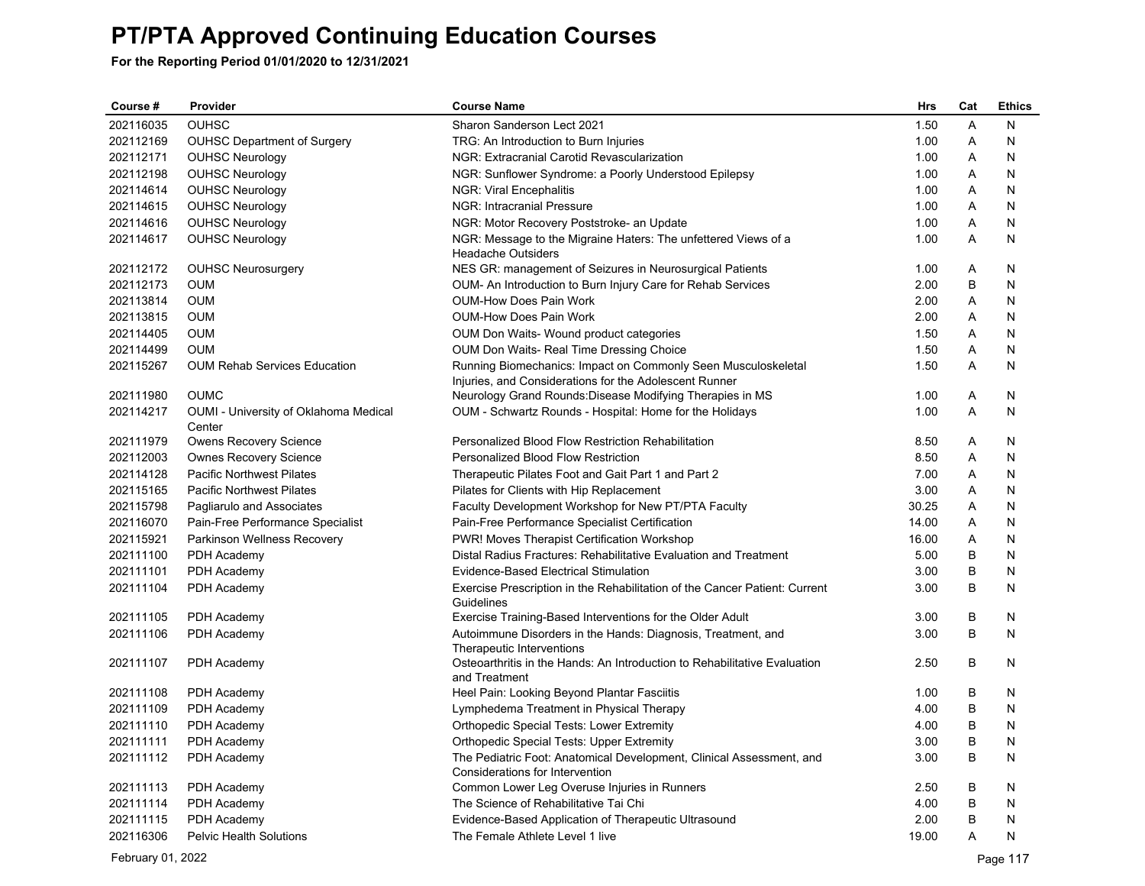**For the Reporting Period 01/01/2020 to 12/31/2021**

| Course #  | Provider                              | <b>Course Name</b>                                                                                                      | <b>Hrs</b> | Cat | <b>Ethics</b> |
|-----------|---------------------------------------|-------------------------------------------------------------------------------------------------------------------------|------------|-----|---------------|
| 202116035 | <b>OUHSC</b>                          | Sharon Sanderson Lect 2021                                                                                              | 1.50       | A   | N             |
| 202112169 | <b>OUHSC Department of Surgery</b>    | TRG: An Introduction to Burn Injuries                                                                                   | 1.00       | Α   | N             |
| 202112171 | <b>OUHSC Neurology</b>                | NGR: Extracranial Carotid Revascularization                                                                             | 1.00       | A   | N             |
| 202112198 | <b>OUHSC Neurology</b>                | NGR: Sunflower Syndrome: a Poorly Understood Epilepsy                                                                   | 1.00       | Α   | N             |
| 202114614 | <b>OUHSC Neurology</b>                | NGR: Viral Encephalitis                                                                                                 | 1.00       | A   | N             |
| 202114615 | <b>OUHSC Neurology</b>                | <b>NGR: Intracranial Pressure</b>                                                                                       | 1.00       | A   | N             |
| 202114616 | <b>OUHSC Neurology</b>                | NGR: Motor Recovery Poststroke- an Update                                                                               | 1.00       | Α   | N             |
| 202114617 | <b>OUHSC Neurology</b>                | NGR: Message to the Migraine Haters: The unfettered Views of a<br><b>Headache Outsiders</b>                             | 1.00       | A   | N             |
| 202112172 | <b>OUHSC Neurosurgery</b>             | NES GR: management of Seizures in Neurosurgical Patients                                                                | 1.00       | Α   | N             |
| 202112173 | <b>OUM</b>                            | OUM- An Introduction to Burn Injury Care for Rehab Services                                                             | 2.00       | B   | N             |
| 202113814 | <b>OUM</b>                            | <b>OUM-How Does Pain Work</b>                                                                                           | 2.00       | Α   | N             |
| 202113815 | <b>OUM</b>                            | <b>OUM-How Does Pain Work</b>                                                                                           | 2.00       | Α   | N             |
| 202114405 | <b>OUM</b>                            | OUM Don Waits- Wound product categories                                                                                 | 1.50       | Α   | N             |
| 202114499 | <b>OUM</b>                            | OUM Don Waits- Real Time Dressing Choice                                                                                | 1.50       | Α   | N             |
| 202115267 | <b>OUM Rehab Services Education</b>   | Running Biomechanics: Impact on Commonly Seen Musculoskeletal<br>Injuries, and Considerations for the Adolescent Runner | 1.50       | A   | N             |
| 202111980 | <b>OUMC</b>                           | Neurology Grand Rounds: Disease Modifying Therapies in MS                                                               | 1.00       | A   | N             |
| 202114217 | OUMI - University of Oklahoma Medical | OUM - Schwartz Rounds - Hospital: Home for the Holidays                                                                 | 1.00       | A   | N             |
| 202111979 | Center<br>Owens Recovery Science      | Personalized Blood Flow Restriction Rehabilitation                                                                      | 8.50       | Α   | N             |
| 202112003 | <b>Ownes Recovery Science</b>         | Personalized Blood Flow Restriction                                                                                     | 8.50       | Α   | N             |
| 202114128 | <b>Pacific Northwest Pilates</b>      | Therapeutic Pilates Foot and Gait Part 1 and Part 2                                                                     | 7.00       | A   | N             |
| 202115165 | <b>Pacific Northwest Pilates</b>      | Pilates for Clients with Hip Replacement                                                                                | 3.00       | Α   | N             |
| 202115798 | Pagliarulo and Associates             | Faculty Development Workshop for New PT/PTA Faculty                                                                     | 30.25      | Α   | N             |
| 202116070 | Pain-Free Performance Specialist      | Pain-Free Performance Specialist Certification                                                                          | 14.00      | Α   | N             |
| 202115921 | Parkinson Wellness Recovery           | PWR! Moves Therapist Certification Workshop                                                                             | 16.00      | Α   | N             |
| 202111100 | PDH Academy                           | Distal Radius Fractures: Rehabilitative Evaluation and Treatment                                                        | 5.00       | B   | N             |
| 202111101 | PDH Academy                           | Evidence-Based Electrical Stimulation                                                                                   | 3.00       | B   | N             |
| 202111104 | PDH Academy                           | Exercise Prescription in the Rehabilitation of the Cancer Patient: Current                                              | 3.00       | B   | N             |
|           |                                       | Guidelines                                                                                                              |            |     |               |
| 202111105 | PDH Academy                           | Exercise Training-Based Interventions for the Older Adult                                                               | 3.00       | B   | N             |
| 202111106 | PDH Academy                           | Autoimmune Disorders in the Hands: Diagnosis, Treatment, and<br>Therapeutic Interventions                               | 3.00       | B   | N             |
| 202111107 | PDH Academy                           | Osteoarthritis in the Hands: An Introduction to Rehabilitative Evaluation<br>and Treatment                              | 2.50       | B   | N             |
| 202111108 | PDH Academy                           | Heel Pain: Looking Beyond Plantar Fasciitis                                                                             | 1.00       | B   | N             |
| 202111109 | PDH Academy                           | Lymphedema Treatment in Physical Therapy                                                                                | 4.00       | B   | N             |
| 202111110 | PDH Academy                           | <b>Orthopedic Special Tests: Lower Extremity</b>                                                                        | 4.00       | B   | N             |
| 202111111 | PDH Academy                           | <b>Orthopedic Special Tests: Upper Extremity</b>                                                                        | 3.00       | B   | N             |
| 202111112 | PDH Academy                           | The Pediatric Foot: Anatomical Development, Clinical Assessment, and                                                    | 3.00       | B   | N             |
| 202111113 | PDH Academy                           | Considerations for Intervention                                                                                         | 2.50       | B   | N             |
| 202111114 | PDH Academy                           | Common Lower Leg Overuse Injuries in Runners<br>The Science of Rehabilitative Tai Chi                                   | 4.00       | B   | N             |
| 202111115 | PDH Academy                           | Evidence-Based Application of Therapeutic Ultrasound                                                                    | 2.00       | B   | N             |
| 202116306 | <b>Pelvic Health Solutions</b>        | The Female Athlete Level 1 live                                                                                         | 19.00      | A   | N             |
|           |                                       |                                                                                                                         |            |     |               |

February 01, 2022 Page 117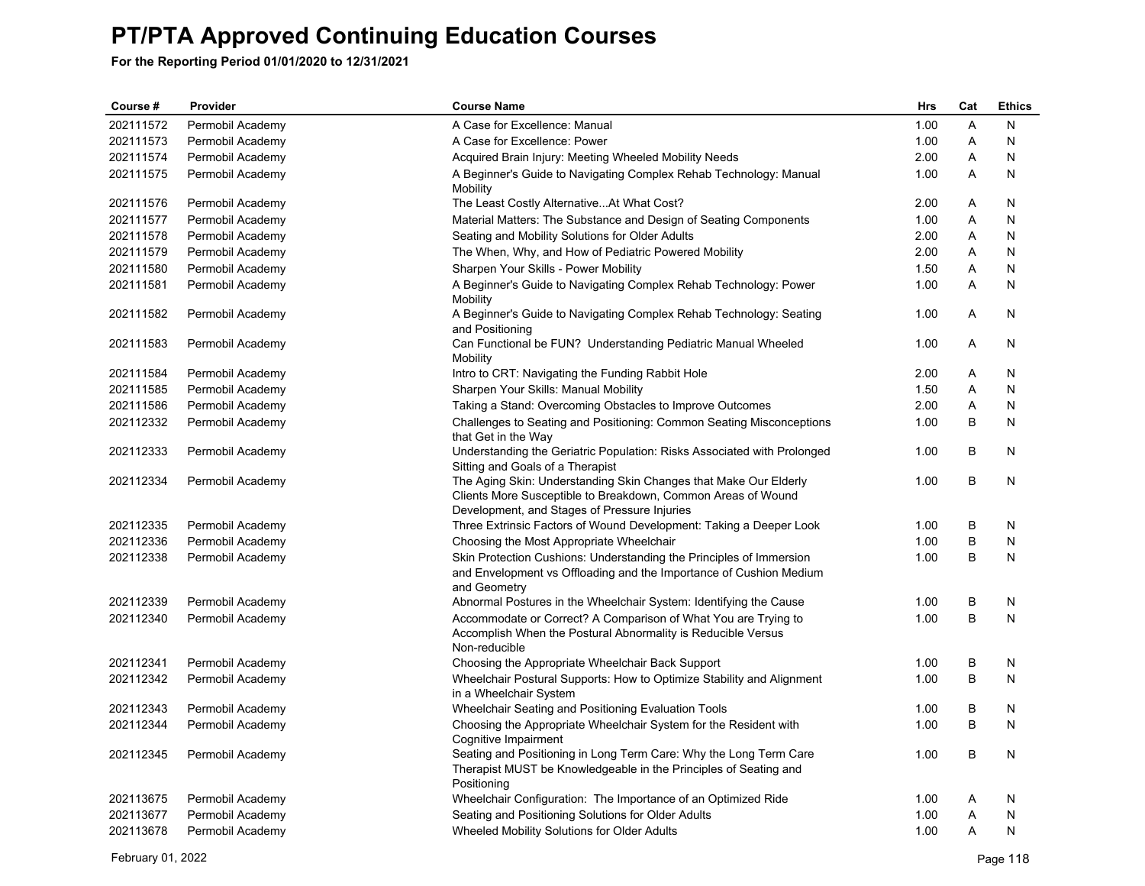| Course #  | Provider         | <b>Course Name</b>                                                                                                                                                               | <b>Hrs</b> | Cat | <b>Ethics</b> |
|-----------|------------------|----------------------------------------------------------------------------------------------------------------------------------------------------------------------------------|------------|-----|---------------|
| 202111572 | Permobil Academy | A Case for Excellence: Manual                                                                                                                                                    | 1.00       | A   | N             |
| 202111573 | Permobil Academy | A Case for Excellence: Power                                                                                                                                                     | 1.00       | Α   | N             |
| 202111574 | Permobil Academy | Acquired Brain Injury: Meeting Wheeled Mobility Needs                                                                                                                            | 2.00       | A   | N             |
| 202111575 | Permobil Academy | A Beginner's Guide to Navigating Complex Rehab Technology: Manual<br>Mobility                                                                                                    | 1.00       | Α   | N             |
| 202111576 | Permobil Academy | The Least Costly Alternative At What Cost?                                                                                                                                       | 2.00       | A   | N             |
| 202111577 | Permobil Academy | Material Matters: The Substance and Design of Seating Components                                                                                                                 | 1.00       | Α   | Ν             |
| 202111578 | Permobil Academy | Seating and Mobility Solutions for Older Adults                                                                                                                                  | 2.00       | A   | N             |
| 202111579 | Permobil Academy | The When, Why, and How of Pediatric Powered Mobility                                                                                                                             | 2.00       | A   | N             |
| 202111580 | Permobil Academy | Sharpen Your Skills - Power Mobility                                                                                                                                             | 1.50       | A   | N             |
| 202111581 | Permobil Academy | A Beginner's Guide to Navigating Complex Rehab Technology: Power<br>Mobility                                                                                                     | 1.00       | Α   | Ν             |
| 202111582 | Permobil Academy | A Beginner's Guide to Navigating Complex Rehab Technology: Seating<br>and Positioning                                                                                            | 1.00       | A   | N             |
| 202111583 | Permobil Academy | Can Functional be FUN? Understanding Pediatric Manual Wheeled<br>Mobility                                                                                                        | 1.00       | A   | N             |
| 202111584 | Permobil Academy | Intro to CRT: Navigating the Funding Rabbit Hole                                                                                                                                 | 2.00       | A   | N             |
| 202111585 | Permobil Academy | Sharpen Your Skills: Manual Mobility                                                                                                                                             | 1.50       | Α   | N             |
| 202111586 | Permobil Academy | Taking a Stand: Overcoming Obstacles to Improve Outcomes                                                                                                                         | 2.00       | A   | N             |
| 202112332 | Permobil Academy | Challenges to Seating and Positioning: Common Seating Misconceptions<br>that Get in the Way                                                                                      | 1.00       | B   | N             |
| 202112333 | Permobil Academy | Understanding the Geriatric Population: Risks Associated with Prolonged<br>Sitting and Goals of a Therapist                                                                      | 1.00       | В   | N             |
| 202112334 | Permobil Academy | The Aging Skin: Understanding Skin Changes that Make Our Elderly<br>Clients More Susceptible to Breakdown, Common Areas of Wound<br>Development, and Stages of Pressure Injuries | 1.00       | B   | N             |
| 202112335 | Permobil Academy | Three Extrinsic Factors of Wound Development: Taking a Deeper Look                                                                                                               | 1.00       | В   | N             |
| 202112336 | Permobil Academy | Choosing the Most Appropriate Wheelchair                                                                                                                                         | 1.00       | B   | N             |
| 202112338 | Permobil Academy | Skin Protection Cushions: Understanding the Principles of Immersion<br>and Envelopment vs Offloading and the Importance of Cushion Medium<br>and Geometry                        | 1.00       | B   | N             |
| 202112339 | Permobil Academy | Abnormal Postures in the Wheelchair System: Identifying the Cause                                                                                                                | 1.00       | B   | N             |
| 202112340 | Permobil Academy | Accommodate or Correct? A Comparison of What You are Trying to<br>Accomplish When the Postural Abnormality is Reducible Versus<br>Non-reducible                                  | 1.00       | B   | N             |
| 202112341 | Permobil Academy | Choosing the Appropriate Wheelchair Back Support                                                                                                                                 | 1.00       | B   | N             |
| 202112342 | Permobil Academy | Wheelchair Postural Supports: How to Optimize Stability and Alignment<br>in a Wheelchair System                                                                                  | 1.00       | B   | N             |
| 202112343 | Permobil Academy | Wheelchair Seating and Positioning Evaluation Tools                                                                                                                              | 1.00       | В   | N             |
| 202112344 | Permobil Academy | Choosing the Appropriate Wheelchair System for the Resident with<br>Cognitive Impairment                                                                                         | 1.00       | B   | N             |
| 202112345 | Permobil Academy | Seating and Positioning in Long Term Care: Why the Long Term Care<br>Therapist MUST be Knowledgeable in the Principles of Seating and<br>Positioning                             | 1.00       | B   | N             |
| 202113675 | Permobil Academy | Wheelchair Configuration: The Importance of an Optimized Ride                                                                                                                    | 1.00       | A   | N             |
| 202113677 | Permobil Academy | Seating and Positioning Solutions for Older Adults                                                                                                                               | 1.00       | A   | N             |
| 202113678 | Permobil Academy | Wheeled Mobility Solutions for Older Adults                                                                                                                                      | 1.00       | A   | N             |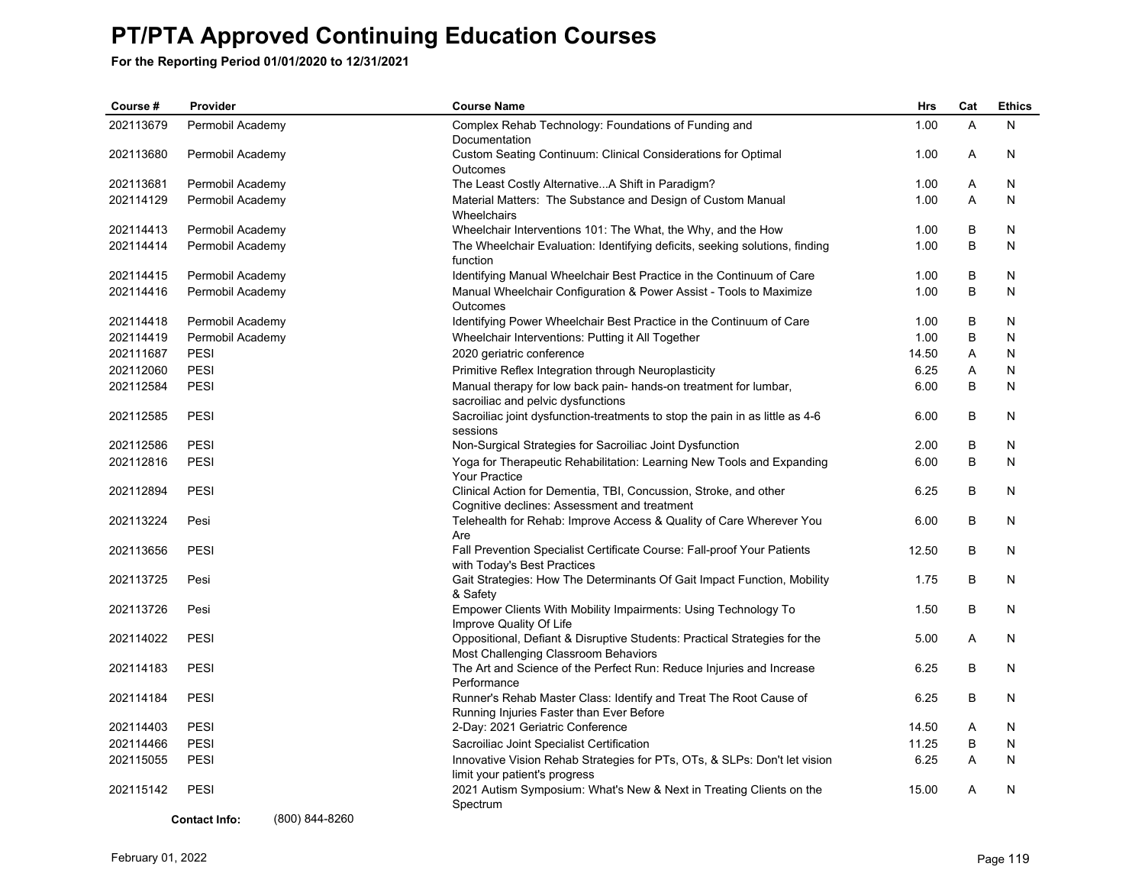**For the Reporting Period 01/01/2020 to 12/31/2021**

| Course #  | Provider                 | <b>Course Name</b>                                                                                                | Hrs   | Cat | <b>Ethics</b> |
|-----------|--------------------------|-------------------------------------------------------------------------------------------------------------------|-------|-----|---------------|
| 202113679 | Permobil Academy         | Complex Rehab Technology: Foundations of Funding and<br>Documentation                                             | 1.00  | A   | N             |
| 202113680 | Permobil Academy         | Custom Seating Continuum: Clinical Considerations for Optimal<br>Outcomes                                         | 1.00  | A   | N             |
| 202113681 | Permobil Academy         | The Least Costly Alternative A Shift in Paradigm?                                                                 | 1.00  | A   | N             |
| 202114129 | Permobil Academy         | Material Matters: The Substance and Design of Custom Manual<br>Wheelchairs                                        | 1.00  | A   | N             |
| 202114413 | Permobil Academy         | Wheelchair Interventions 101: The What, the Why, and the How                                                      | 1.00  | B   | N             |
| 202114414 | Permobil Academy         | The Wheelchair Evaluation: Identifying deficits, seeking solutions, finding<br>function                           | 1.00  | B   | N             |
| 202114415 | Permobil Academy         | Identifying Manual Wheelchair Best Practice in the Continuum of Care                                              | 1.00  | B   | N             |
| 202114416 | Permobil Academy         | Manual Wheelchair Configuration & Power Assist - Tools to Maximize<br>Outcomes                                    | 1.00  | B   | N             |
| 202114418 | Permobil Academy         | Identifying Power Wheelchair Best Practice in the Continuum of Care                                               | 1.00  | B   | N             |
| 202114419 | Permobil Academy         | Wheelchair Interventions: Putting it All Together                                                                 | 1.00  | B   | N             |
| 202111687 | PESI                     | 2020 geriatric conference                                                                                         | 14.50 | A   | N             |
| 202112060 | PESI                     | Primitive Reflex Integration through Neuroplasticity                                                              | 6.25  | Α   | N             |
| 202112584 | PESI                     | Manual therapy for low back pain-hands-on treatment for lumbar,<br>sacroiliac and pelvic dysfunctions             | 6.00  | B   | N             |
| 202112585 | PESI                     | Sacroiliac joint dysfunction-treatments to stop the pain in as little as 4-6<br>sessions                          | 6.00  | B   | N             |
| 202112586 | <b>PESI</b>              | Non-Surgical Strategies for Sacroiliac Joint Dysfunction                                                          | 2.00  | В   | N             |
| 202112816 | PESI                     | Yoga for Therapeutic Rehabilitation: Learning New Tools and Expanding<br><b>Your Practice</b>                     | 6.00  | B   | N             |
| 202112894 | <b>PESI</b>              | Clinical Action for Dementia, TBI, Concussion, Stroke, and other<br>Cognitive declines: Assessment and treatment  | 6.25  | B   | N             |
| 202113224 | Pesi                     | Telehealth for Rehab: Improve Access & Quality of Care Wherever You<br>Are                                        | 6.00  | B   | N             |
| 202113656 | <b>PESI</b>              | Fall Prevention Specialist Certificate Course: Fall-proof Your Patients<br>with Today's Best Practices            | 12.50 | B   | N             |
| 202113725 | Pesi                     | Gait Strategies: How The Determinants Of Gait Impact Function, Mobility<br>& Safety                               | 1.75  | B   | N             |
| 202113726 | Pesi                     | Empower Clients With Mobility Impairments: Using Technology To<br>Improve Quality Of Life                         | 1.50  | B   | N             |
| 202114022 | PESI                     | Oppositional, Defiant & Disruptive Students: Practical Strategies for the<br>Most Challenging Classroom Behaviors | 5.00  | A   | N             |
| 202114183 | PESI                     | The Art and Science of the Perfect Run: Reduce Injuries and Increase<br>Performance                               | 6.25  | B   | N             |
| 202114184 | <b>PESI</b>              | Runner's Rehab Master Class: Identify and Treat The Root Cause of<br>Running Injuries Faster than Ever Before     | 6.25  | B   | N             |
| 202114403 | PESI                     | 2-Day: 2021 Geriatric Conference                                                                                  | 14.50 | A   | N             |
| 202114466 | PESI                     | Sacroiliac Joint Specialist Certification                                                                         | 11.25 | B   | N             |
| 202115055 | <b>PESI</b>              | Innovative Vision Rehab Strategies for PTs, OTs, & SLPs: Don't let vision<br>limit your patient's progress        | 6.25  | A   | N             |
| 202115142 | <b>PESI</b><br>(0.00101) | 2021 Autism Symposium: What's New & Next in Treating Clients on the<br>Spectrum                                   | 15.00 | A   | N             |

**Contact Info:** (800) 844-8260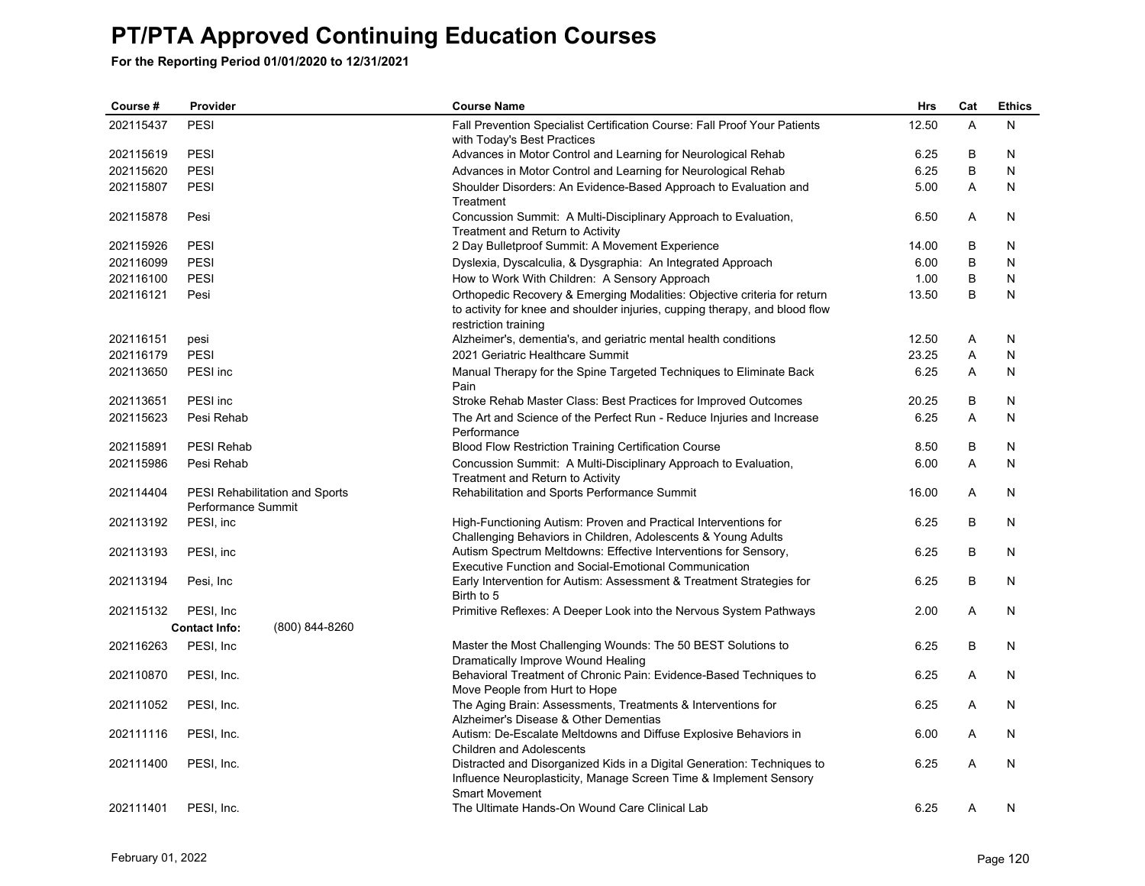| Course #  | Provider             |                                | <b>Course Name</b>                                                                                                                                                              | <b>Hrs</b> | Cat          | <b>Ethics</b> |
|-----------|----------------------|--------------------------------|---------------------------------------------------------------------------------------------------------------------------------------------------------------------------------|------------|--------------|---------------|
| 202115437 | <b>PESI</b>          |                                | Fall Prevention Specialist Certification Course: Fall Proof Your Patients<br>with Today's Best Practices                                                                        | 12.50      | A            | N             |
| 202115619 | PESI                 |                                | Advances in Motor Control and Learning for Neurological Rehab                                                                                                                   | 6.25       | B            | N             |
| 202115620 | PESI                 |                                | Advances in Motor Control and Learning for Neurological Rehab                                                                                                                   | 6.25       | B            | N             |
| 202115807 | PESI                 |                                | Shoulder Disorders: An Evidence-Based Approach to Evaluation and<br>Treatment                                                                                                   | 5.00       | A            | N             |
| 202115878 | Pesi                 |                                | Concussion Summit: A Multi-Disciplinary Approach to Evaluation,<br>Treatment and Return to Activity                                                                             | 6.50       | A            | N             |
| 202115926 | <b>PESI</b>          |                                | 2 Day Bulletproof Summit: A Movement Experience                                                                                                                                 | 14.00      | В            | N             |
| 202116099 | <b>PESI</b>          |                                | Dyslexia, Dyscalculia, & Dysgraphia: An Integrated Approach                                                                                                                     | 6.00       | B            | N             |
| 202116100 | <b>PESI</b>          |                                | How to Work With Children: A Sensory Approach                                                                                                                                   | 1.00       | B            | N             |
| 202116121 | Pesi                 |                                | Orthopedic Recovery & Emerging Modalities: Objective criteria for return<br>to activity for knee and shoulder injuries, cupping therapy, and blood flow<br>restriction training | 13.50      | B            | N             |
| 202116151 | pesi                 |                                | Alzheimer's, dementia's, and geriatric mental health conditions                                                                                                                 | 12.50      | Α            | N             |
| 202116179 | <b>PESI</b>          |                                | 2021 Geriatric Healthcare Summit                                                                                                                                                | 23.25      | Α            | N             |
| 202113650 | PESI inc             |                                | Manual Therapy for the Spine Targeted Techniques to Eliminate Back<br>Pain                                                                                                      | 6.25       | $\mathsf{A}$ | N             |
| 202113651 | PESI inc             |                                | Stroke Rehab Master Class: Best Practices for Improved Outcomes                                                                                                                 | 20.25      | B            | N             |
| 202115623 | Pesi Rehab           |                                | The Art and Science of the Perfect Run - Reduce Injuries and Increase<br>Performance                                                                                            | 6.25       | A            | N             |
| 202115891 | <b>PESI Rehab</b>    |                                | <b>Blood Flow Restriction Training Certification Course</b>                                                                                                                     | 8.50       | B            | N             |
| 202115986 | Pesi Rehab           |                                | Concussion Summit: A Multi-Disciplinary Approach to Evaluation,<br>Treatment and Return to Activity                                                                             | 6.00       | A            | N             |
| 202114404 | Performance Summit   | PESI Rehabilitation and Sports | Rehabilitation and Sports Performance Summit                                                                                                                                    | 16.00      | Α            | N             |
| 202113192 | PESI, inc            |                                | High-Functioning Autism: Proven and Practical Interventions for<br>Challenging Behaviors in Children, Adolescents & Young Adults                                                | 6.25       | B            | N             |
| 202113193 | PESI, inc            |                                | Autism Spectrum Meltdowns: Effective Interventions for Sensory,<br><b>Executive Function and Social-Emotional Communication</b>                                                 | 6.25       | B            | N             |
| 202113194 | Pesi, Inc.           |                                | Early Intervention for Autism: Assessment & Treatment Strategies for<br>Birth to 5                                                                                              | 6.25       | B            | N             |
| 202115132 | PESI, Inc.           |                                | Primitive Reflexes: A Deeper Look into the Nervous System Pathways                                                                                                              | 2.00       | A            | N             |
|           | <b>Contact Info:</b> | (800) 844-8260                 |                                                                                                                                                                                 |            |              |               |
| 202116263 | PESI, Inc            |                                | Master the Most Challenging Wounds: The 50 BEST Solutions to<br>Dramatically Improve Wound Healing                                                                              | 6.25       | B            | N             |
| 202110870 | PESI, Inc.           |                                | Behavioral Treatment of Chronic Pain: Evidence-Based Techniques to<br>Move People from Hurt to Hope                                                                             | 6.25       | A            | N             |
| 202111052 | PESI, Inc.           |                                | The Aging Brain: Assessments, Treatments & Interventions for<br>Alzheimer's Disease & Other Dementias                                                                           | 6.25       | A            | N             |
| 202111116 | PESI, Inc.           |                                | Autism: De-Escalate Meltdowns and Diffuse Explosive Behaviors in<br><b>Children and Adolescents</b>                                                                             | 6.00       | A            | N             |
| 202111400 | PESI, Inc.           |                                | Distracted and Disorganized Kids in a Digital Generation: Techniques to<br>Influence Neuroplasticity, Manage Screen Time & Implement Sensory<br><b>Smart Movement</b>           | 6.25       | A            | N             |
| 202111401 | PESI, Inc.           |                                | The Ultimate Hands-On Wound Care Clinical Lab                                                                                                                                   | 6.25       | Α            | N             |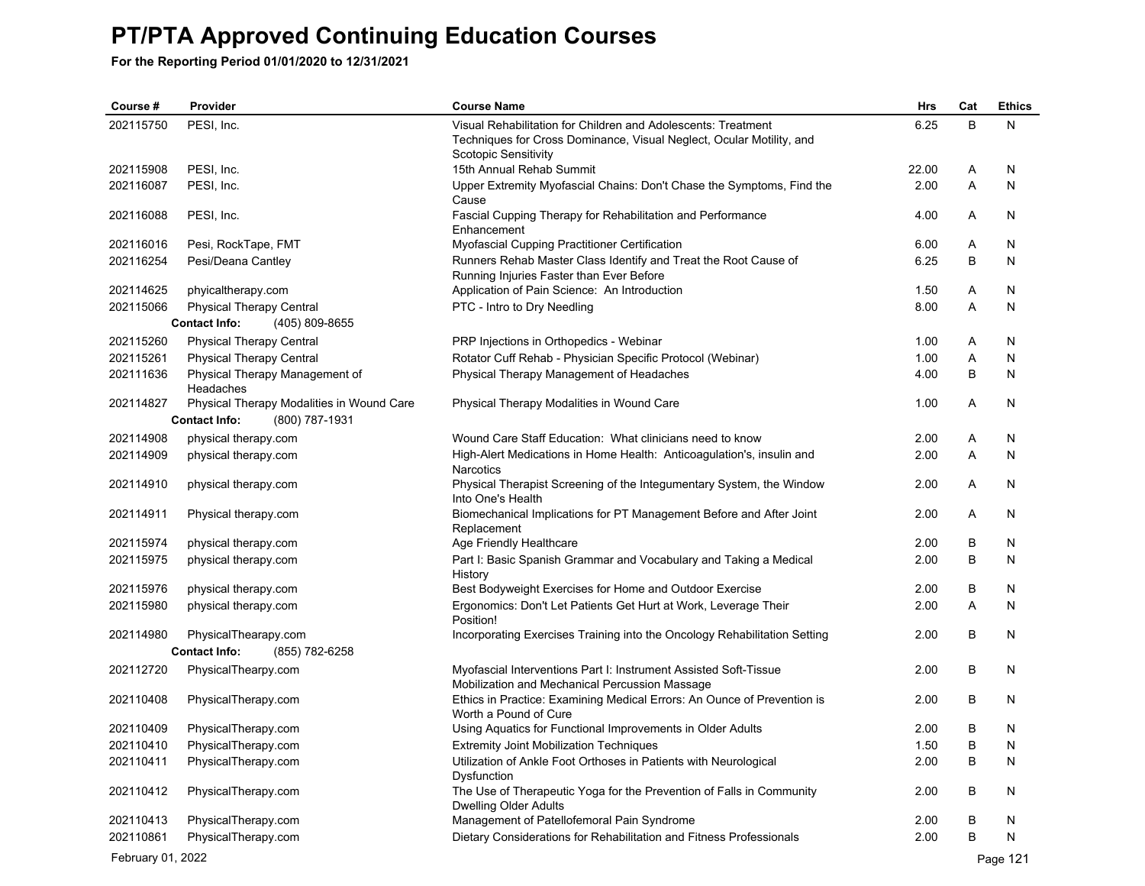**For the Reporting Period 01/01/2020 to 12/31/2021**

| Course #               | Provider                                    | <b>Course Name</b>                                                                                                        | <b>Hrs</b>   | Cat    | <b>Ethics</b> |
|------------------------|---------------------------------------------|---------------------------------------------------------------------------------------------------------------------------|--------------|--------|---------------|
| 202115750              | PESI, Inc.                                  | Visual Rehabilitation for Children and Adolescents: Treatment                                                             | 6.25         | B      | N             |
|                        |                                             | Techniques for Cross Dominance, Visual Neglect, Ocular Motility, and                                                      |              |        |               |
| 202115908              | PESI, Inc.                                  | Scotopic Sensitivity                                                                                                      | 22.00        | Α      | N             |
| 202116087              | PESI, Inc.                                  | 15th Annual Rehab Summit<br>Upper Extremity Myofascial Chains: Don't Chase the Symptoms, Find the                         | 2.00         | A      | N             |
|                        |                                             | Cause                                                                                                                     |              |        |               |
| 202116088              | PESI, Inc.                                  | Fascial Cupping Therapy for Rehabilitation and Performance                                                                | 4.00         | A      | N             |
|                        |                                             | Enhancement                                                                                                               |              |        |               |
| 202116016              | Pesi, RockTape, FMT                         | Myofascial Cupping Practitioner Certification                                                                             | 6.00         | Α      | N             |
| 202116254              | Pesi/Deana Cantley                          | Runners Rehab Master Class Identify and Treat the Root Cause of                                                           | 6.25         | B      | N             |
|                        |                                             | Running Injuries Faster than Ever Before                                                                                  |              |        |               |
| 202114625              | phyicaltherapy.com                          | Application of Pain Science: An Introduction                                                                              | 1.50         | Α      | N             |
| 202115066              | Physical Therapy Central                    | PTC - Intro to Dry Needling                                                                                               | 8.00         | A      | N             |
|                        | <b>Contact Info:</b><br>(405) 809-8655      |                                                                                                                           |              |        |               |
| 202115260              | <b>Physical Therapy Central</b>             | PRP Injections in Orthopedics - Webinar                                                                                   | 1.00         | Α      | N             |
| 202115261              | <b>Physical Therapy Central</b>             | Rotator Cuff Rehab - Physician Specific Protocol (Webinar)                                                                | 1.00         | Α<br>B | N<br>N        |
| 202111636              | Physical Therapy Management of<br>Headaches | Physical Therapy Management of Headaches                                                                                  | 4.00         |        |               |
| 202114827              | Physical Therapy Modalities in Wound Care   | Physical Therapy Modalities in Wound Care                                                                                 | 1.00         | A      | N             |
|                        | (800) 787-1931<br><b>Contact Info:</b>      |                                                                                                                           |              |        |               |
| 202114908              | physical therapy.com                        | Wound Care Staff Education: What clinicians need to know                                                                  | 2.00         | Α      | N             |
| 202114909              | physical therapy.com                        | High-Alert Medications in Home Health: Anticoagulation's, insulin and                                                     | 2.00         | A      | N             |
|                        |                                             | Narcotics                                                                                                                 |              |        |               |
| 202114910              | physical therapy.com                        | Physical Therapist Screening of the Integumentary System, the Window<br>Into One's Health                                 | 2.00         | Α      | N             |
| 202114911              | Physical therapy.com                        | Biomechanical Implications for PT Management Before and After Joint<br>Replacement                                        | 2.00         | A      | N             |
| 202115974              | physical therapy.com                        | Age Friendly Healthcare                                                                                                   | 2.00         | В      | N             |
| 202115975              | physical therapy.com                        | Part I: Basic Spanish Grammar and Vocabulary and Taking a Medical                                                         | 2.00         | B      | N             |
|                        |                                             | History                                                                                                                   |              |        |               |
| 202115976              | physical therapy.com                        | Best Bodyweight Exercises for Home and Outdoor Exercise                                                                   | 2.00         | B      | N             |
| 202115980              | physical therapy.com                        | Ergonomics: Don't Let Patients Get Hurt at Work, Leverage Their                                                           | 2.00         | A      | N             |
|                        |                                             | Position!                                                                                                                 |              |        |               |
| 202114980              | PhysicalThearapy.com                        | Incorporating Exercises Training into the Oncology Rehabilitation Setting                                                 | 2.00         | В      | N             |
|                        | (855) 782-6258<br><b>Contact Info:</b>      |                                                                                                                           |              |        |               |
| 202112720              | PhysicalThearpy.com                         | Myofascial Interventions Part I: Instrument Assisted Soft-Tissue                                                          | 2.00         | B      | N             |
| 202110408              | PhysicalTherapy.com                         | Mobilization and Mechanical Percussion Massage<br>Ethics in Practice: Examining Medical Errors: An Ounce of Prevention is | 2.00         | B      | N             |
|                        |                                             | Worth a Pound of Cure                                                                                                     |              |        |               |
| 202110409              | PhysicalTherapy.com                         | Using Aquatics for Functional Improvements in Older Adults                                                                | 2.00         | B      | N             |
| 202110410              | PhysicalTherapy.com                         | <b>Extremity Joint Mobilization Techniques</b>                                                                            | 1.50         | B      | N             |
| 202110411              | PhysicalTherapy.com                         | Utilization of Ankle Foot Orthoses in Patients with Neurological                                                          | 2.00         | B      | N             |
|                        |                                             | Dysfunction                                                                                                               |              |        |               |
| 202110412              | PhysicalTherapy.com                         | The Use of Therapeutic Yoga for the Prevention of Falls in Community                                                      | 2.00         | B      | N             |
|                        |                                             | <b>Dwelling Older Adults</b>                                                                                              |              |        |               |
| 202110413<br>202110861 | PhysicalTherapy.com                         | Management of Patellofemoral Pain Syndrome                                                                                | 2.00<br>2.00 | B<br>B | N<br>N        |
|                        | PhysicalTherapy.com                         | Dietary Considerations for Rehabilitation and Fitness Professionals                                                       |              |        |               |

February 01, 2022 Page 121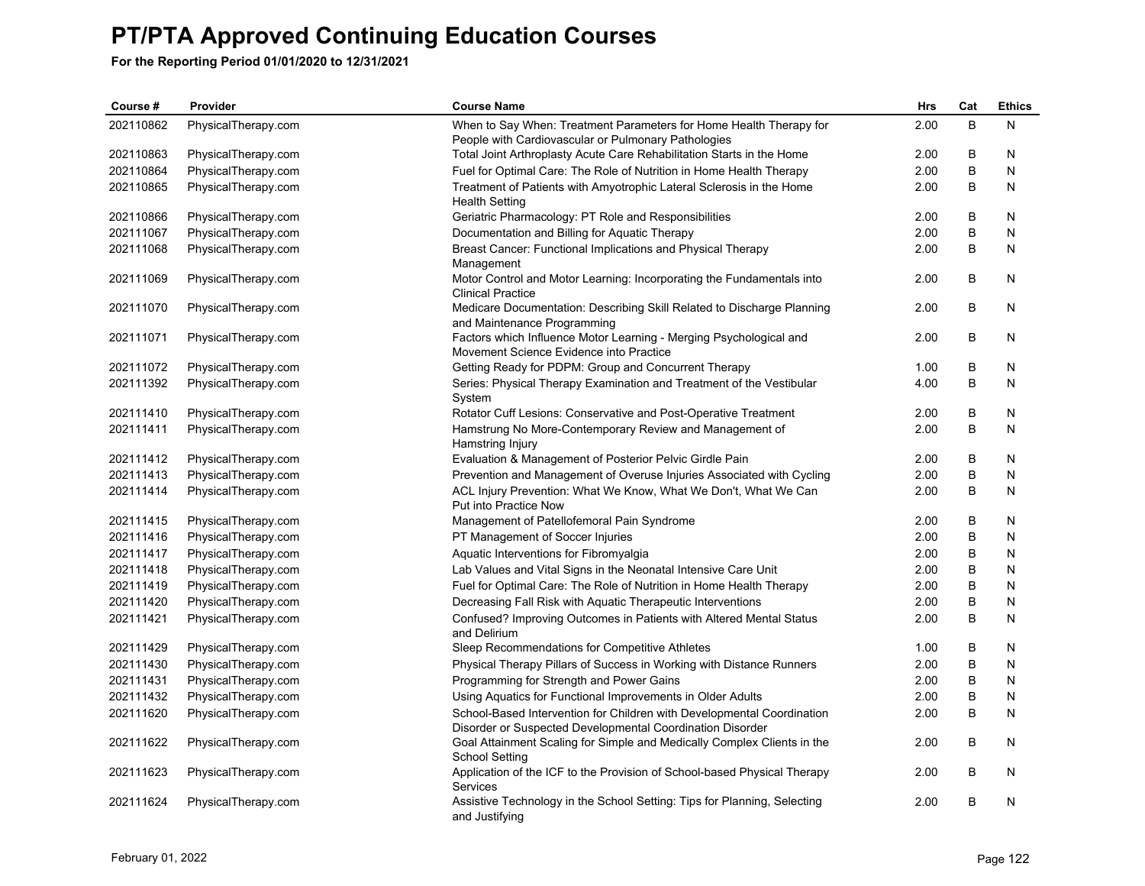| Course #  | Provider            | <b>Course Name</b>                                                                                                                  | <b>Hrs</b> | Cat | <b>Ethics</b> |
|-----------|---------------------|-------------------------------------------------------------------------------------------------------------------------------------|------------|-----|---------------|
| 202110862 | PhysicalTherapy.com | When to Say When: Treatment Parameters for Home Health Therapy for                                                                  | 2.00       | B   | N             |
|           |                     | People with Cardiovascular or Pulmonary Pathologies                                                                                 |            |     |               |
| 202110863 | PhysicalTherapy.com | Total Joint Arthroplasty Acute Care Rehabilitation Starts in the Home                                                               | 2.00       | B   | N             |
| 202110864 | PhysicalTherapy.com | Fuel for Optimal Care: The Role of Nutrition in Home Health Therapy                                                                 | 2.00       | B   | N             |
| 202110865 | PhysicalTherapy.com | Treatment of Patients with Amyotrophic Lateral Sclerosis in the Home<br><b>Health Setting</b>                                       | 2.00       | B   | N             |
| 202110866 | PhysicalTherapy.com | Geriatric Pharmacology: PT Role and Responsibilities                                                                                | 2.00       | В   | N             |
| 202111067 | PhysicalTherapy.com | Documentation and Billing for Aquatic Therapy                                                                                       | 2.00       | B   | N             |
| 202111068 | PhysicalTherapy.com | Breast Cancer: Functional Implications and Physical Therapy<br>Management                                                           | 2.00       | B   | N             |
| 202111069 | PhysicalTherapy.com | Motor Control and Motor Learning: Incorporating the Fundamentals into<br><b>Clinical Practice</b>                                   | 2.00       | B   | N             |
| 202111070 | PhysicalTherapy.com | Medicare Documentation: Describing Skill Related to Discharge Planning<br>and Maintenance Programming                               | 2.00       | B   | N             |
| 202111071 | PhysicalTherapy.com | Factors which Influence Motor Learning - Merging Psychological and<br>Movement Science Evidence into Practice                       | 2.00       | B   | N             |
| 202111072 | PhysicalTherapy.com | Getting Ready for PDPM: Group and Concurrent Therapy                                                                                | 1.00       | В   | N             |
| 202111392 | PhysicalTherapy.com | Series: Physical Therapy Examination and Treatment of the Vestibular<br>System                                                      | 4.00       | B   | N             |
| 202111410 | PhysicalTherapy.com | Rotator Cuff Lesions: Conservative and Post-Operative Treatment                                                                     | 2.00       | B   | N             |
| 202111411 | PhysicalTherapy.com | Hamstrung No More-Contemporary Review and Management of<br>Hamstring Injury                                                         | 2.00       | B   | N             |
| 202111412 | PhysicalTherapy.com | Evaluation & Management of Posterior Pelvic Girdle Pain                                                                             | 2.00       | В   | N             |
| 202111413 | PhysicalTherapy.com | Prevention and Management of Overuse Injuries Associated with Cycling                                                               | 2.00       | B   | N             |
| 202111414 | PhysicalTherapy.com | ACL Injury Prevention: What We Know, What We Don't, What We Can<br>Put into Practice Now                                            | 2.00       | B   | N             |
| 202111415 | PhysicalTherapy.com | Management of Patellofemoral Pain Syndrome                                                                                          | 2.00       | B   | N             |
| 202111416 | PhysicalTherapy.com | PT Management of Soccer Injuries                                                                                                    | 2.00       | B   | N             |
| 202111417 | PhysicalTherapy.com | Aquatic Interventions for Fibromyalgia                                                                                              | 2.00       | В   | N             |
| 202111418 | PhysicalTherapy.com | Lab Values and Vital Signs in the Neonatal Intensive Care Unit                                                                      | 2.00       | B   | N             |
| 202111419 | PhysicalTherapy.com | Fuel for Optimal Care: The Role of Nutrition in Home Health Therapy                                                                 | 2.00       | B   | N             |
| 202111420 | PhysicalTherapy.com | Decreasing Fall Risk with Aquatic Therapeutic Interventions                                                                         | 2.00       | B   | N             |
| 202111421 | PhysicalTherapy.com | Confused? Improving Outcomes in Patients with Altered Mental Status<br>and Delirium                                                 | 2.00       | В   | Ν             |
| 202111429 | PhysicalTherapy.com | Sleep Recommendations for Competitive Athletes                                                                                      | 1.00       | B   | N             |
| 202111430 | PhysicalTherapy.com | Physical Therapy Pillars of Success in Working with Distance Runners                                                                | 2.00       | В   | N             |
| 202111431 | PhysicalTherapy.com | Programming for Strength and Power Gains                                                                                            | 2.00       | В   | N             |
| 202111432 | PhysicalTherapy.com | Using Aquatics for Functional Improvements in Older Adults                                                                          | 2.00       | B   | N             |
| 202111620 | PhysicalTherapy.com | School-Based Intervention for Children with Developmental Coordination<br>Disorder or Suspected Developmental Coordination Disorder | 2.00       | B   | N             |
| 202111622 | PhysicalTherapy.com | Goal Attainment Scaling for Simple and Medically Complex Clients in the<br>School Setting                                           | 2.00       | B   | N             |
| 202111623 | PhysicalTherapy.com | Application of the ICF to the Provision of School-based Physical Therapy<br>Services                                                | 2.00       | В   | N             |
| 202111624 | PhysicalTherapy.com | Assistive Technology in the School Setting: Tips for Planning, Selecting<br>and Justifying                                          | 2.00       | B   | N             |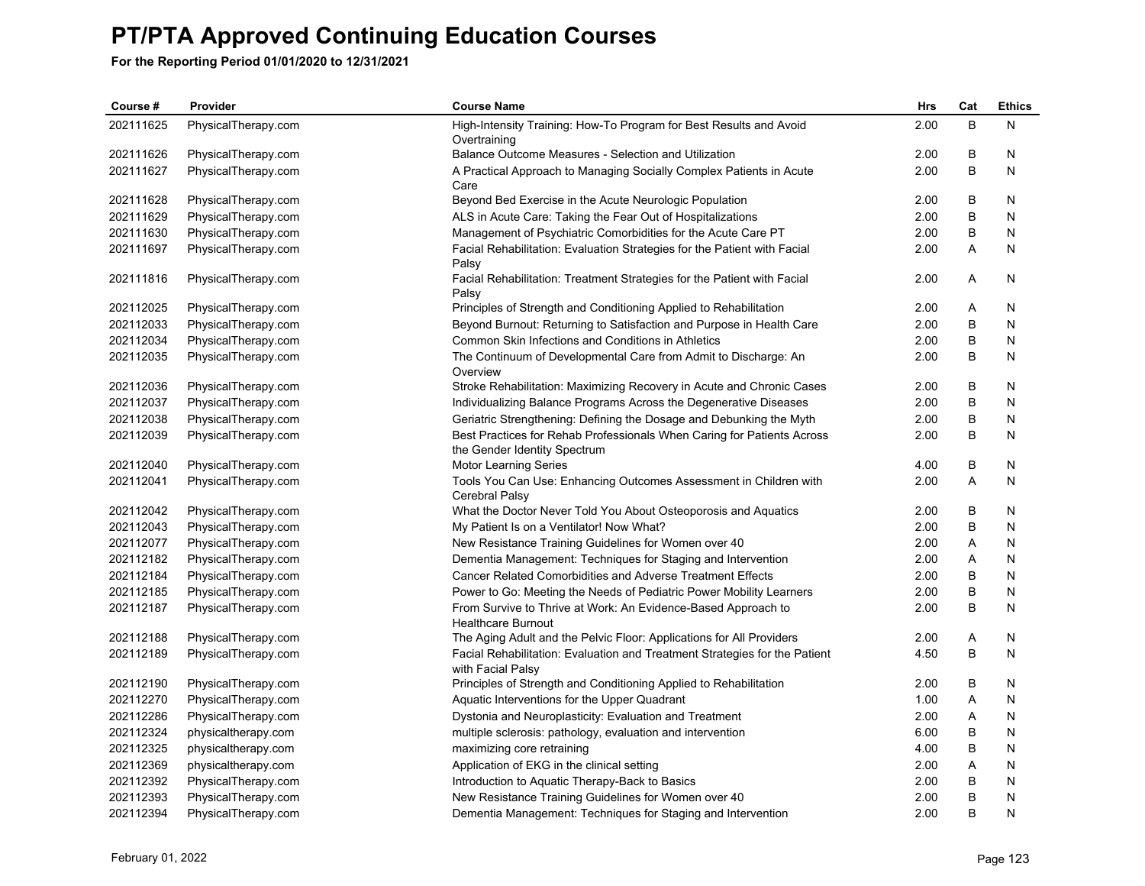| Course #  | Provider            | <b>Course Name</b>                                                                                     | Hrs  | Cat          | <b>Ethics</b> |
|-----------|---------------------|--------------------------------------------------------------------------------------------------------|------|--------------|---------------|
| 202111625 | PhysicalTherapy.com | High-Intensity Training: How-To Program for Best Results and Avoid<br>Overtraining                     | 2.00 | B            | N             |
| 202111626 | PhysicalTherapy.com | Balance Outcome Measures - Selection and Utilization                                                   | 2.00 | B            | N             |
| 202111627 | PhysicalTherapy.com | A Practical Approach to Managing Socially Complex Patients in Acute<br>Care                            | 2.00 | B            | N             |
| 202111628 | PhysicalTherapy.com | Beyond Bed Exercise in the Acute Neurologic Population                                                 | 2.00 | В            | N             |
| 202111629 | PhysicalTherapy.com | ALS in Acute Care: Taking the Fear Out of Hospitalizations                                             | 2.00 | B            | N             |
| 202111630 | PhysicalTherapy.com | Management of Psychiatric Comorbidities for the Acute Care PT                                          | 2.00 | B            | N             |
| 202111697 | PhysicalTherapy.com | Facial Rehabilitation: Evaluation Strategies for the Patient with Facial<br>Palsy                      | 2.00 | $\mathsf{A}$ | N             |
| 202111816 | PhysicalTherapy.com | Facial Rehabilitation: Treatment Strategies for the Patient with Facial<br>Palsy                       | 2.00 | A            | N             |
| 202112025 | PhysicalTherapy.com | Principles of Strength and Conditioning Applied to Rehabilitation                                      | 2.00 | A            | N             |
| 202112033 | PhysicalTherapy.com | Beyond Burnout: Returning to Satisfaction and Purpose in Health Care                                   | 2.00 | B            | N             |
| 202112034 | PhysicalTherapy.com | Common Skin Infections and Conditions in Athletics                                                     | 2.00 | B            | N             |
| 202112035 | PhysicalTherapy.com | The Continuum of Developmental Care from Admit to Discharge: An<br>Overview                            | 2.00 | B            | N             |
| 202112036 | PhysicalTherapy.com | Stroke Rehabilitation: Maximizing Recovery in Acute and Chronic Cases                                  | 2.00 | В            | N             |
| 202112037 | PhysicalTherapy.com | Individualizing Balance Programs Across the Degenerative Diseases                                      | 2.00 | B            | N             |
| 202112038 | PhysicalTherapy.com | Geriatric Strengthening: Defining the Dosage and Debunking the Myth                                    | 2.00 | B            | N             |
| 202112039 | PhysicalTherapy.com | Best Practices for Rehab Professionals When Caring for Patients Across<br>the Gender Identity Spectrum | 2.00 | B            | N             |
| 202112040 | PhysicalTherapy.com | <b>Motor Learning Series</b>                                                                           | 4.00 | B            | N             |
| 202112041 | PhysicalTherapy.com | Tools You Can Use: Enhancing Outcomes Assessment in Children with<br>Cerebral Palsy                    | 2.00 | A            | N             |
| 202112042 | PhysicalTherapy.com | What the Doctor Never Told You About Osteoporosis and Aquatics                                         | 2.00 | B            | N             |
| 202112043 | PhysicalTherapy.com | My Patient Is on a Ventilator! Now What?                                                               | 2.00 | B            | N             |
| 202112077 | PhysicalTherapy.com | New Resistance Training Guidelines for Women over 40                                                   | 2.00 | Α            | N             |
| 202112182 | PhysicalTherapy.com | Dementia Management: Techniques for Staging and Intervention                                           | 2.00 | Α            | N             |
| 202112184 | PhysicalTherapy.com | <b>Cancer Related Comorbidities and Adverse Treatment Effects</b>                                      | 2.00 | В            | N             |
| 202112185 | PhysicalTherapy.com | Power to Go: Meeting the Needs of Pediatric Power Mobility Learners                                    | 2.00 | В            | N             |
| 202112187 | PhysicalTherapy.com | From Survive to Thrive at Work: An Evidence-Based Approach to<br><b>Healthcare Burnout</b>             | 2.00 | В            | N             |
| 202112188 | PhysicalTherapy.com | The Aging Adult and the Pelvic Floor: Applications for All Providers                                   | 2.00 | Α            | N             |
| 202112189 | PhysicalTherapy.com | Facial Rehabilitation: Evaluation and Treatment Strategies for the Patient<br>with Facial Palsy        | 4.50 | B            | N             |
| 202112190 | PhysicalTherapy.com | Principles of Strength and Conditioning Applied to Rehabilitation                                      | 2.00 | B            | N             |
| 202112270 | PhysicalTherapy.com | Aquatic Interventions for the Upper Quadrant                                                           | 1.00 | A            | N             |
| 202112286 | PhysicalTherapy.com | Dystonia and Neuroplasticity: Evaluation and Treatment                                                 | 2.00 | A            | N             |
| 202112324 | physicaltherapy.com | multiple sclerosis: pathology, evaluation and intervention                                             | 6.00 | B            | N             |
| 202112325 | physicaltherapy.com | maximizing core retraining                                                                             | 4.00 | В            | N             |
| 202112369 | physicaltherapy.com | Application of EKG in the clinical setting                                                             | 2.00 | Α            | N             |
| 202112392 | PhysicalTherapy.com | Introduction to Aquatic Therapy-Back to Basics                                                         | 2.00 | B            | N             |
| 202112393 | PhysicalTherapy.com | New Resistance Training Guidelines for Women over 40                                                   | 2.00 | B            | N             |
| 202112394 | PhysicalTherapy.com | Dementia Management: Techniques for Staging and Intervention                                           | 2.00 | B            | N             |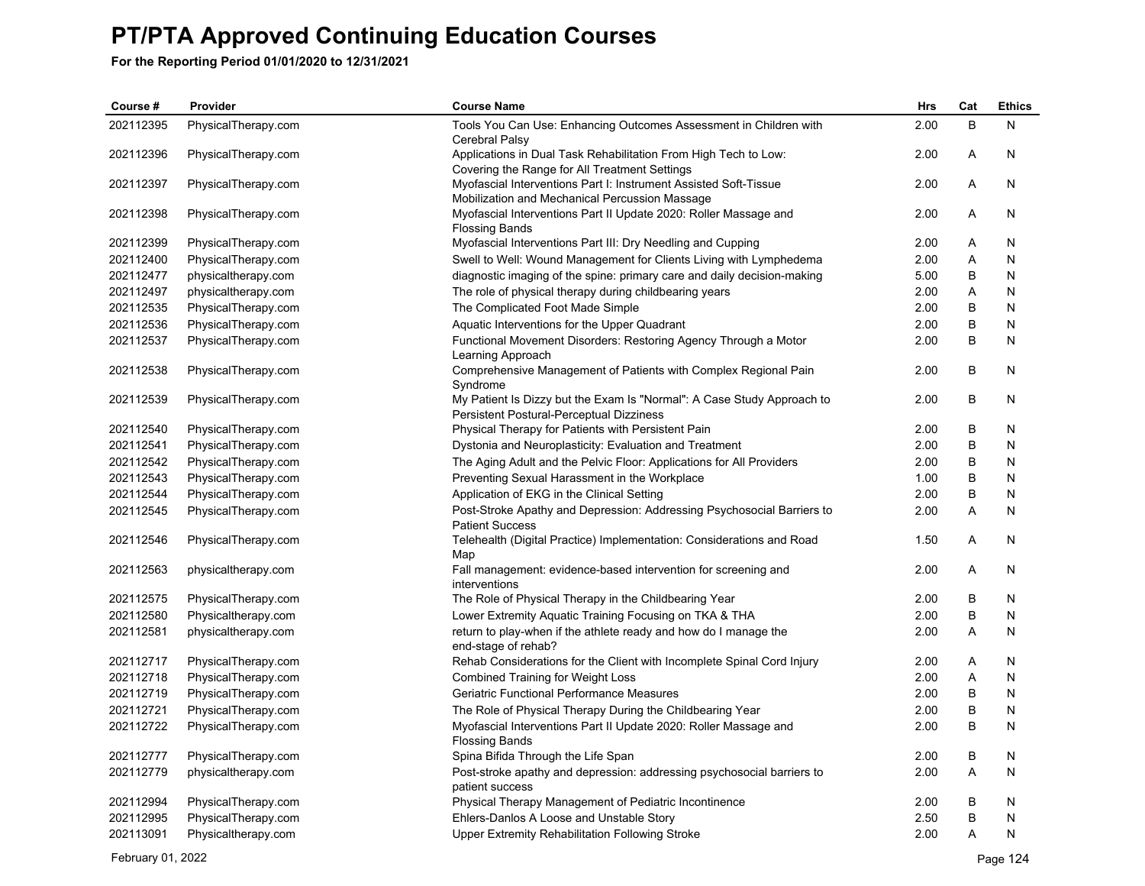| Course#   | Provider            | <b>Course Name</b>                                                                                                 | Hrs  | Cat | <b>Ethics</b> |
|-----------|---------------------|--------------------------------------------------------------------------------------------------------------------|------|-----|---------------|
| 202112395 | PhysicalTherapy.com | Tools You Can Use: Enhancing Outcomes Assessment in Children with<br>Cerebral Palsy                                | 2.00 | B   | N             |
| 202112396 | PhysicalTherapy.com | Applications in Dual Task Rehabilitation From High Tech to Low:<br>Covering the Range for All Treatment Settings   | 2.00 | Α   | N             |
| 202112397 | PhysicalTherapy.com | Myofascial Interventions Part I: Instrument Assisted Soft-Tissue<br>Mobilization and Mechanical Percussion Massage | 2.00 | Α   | N             |
| 202112398 | PhysicalTherapy.com | Myofascial Interventions Part II Update 2020: Roller Massage and<br><b>Flossing Bands</b>                          | 2.00 | Α   | N             |
| 202112399 | PhysicalTherapy.com | Myofascial Interventions Part III: Dry Needling and Cupping                                                        | 2.00 | Α   | N             |
| 202112400 | PhysicalTherapy.com | Swell to Well: Wound Management for Clients Living with Lymphedema                                                 | 2.00 | Α   | N             |
| 202112477 | physicaltherapy.com | diagnostic imaging of the spine: primary care and daily decision-making                                            | 5.00 | В   | N             |
| 202112497 | physicaltherapy.com | The role of physical therapy during childbearing years                                                             | 2.00 | Α   | N             |
| 202112535 | PhysicalTherapy.com | The Complicated Foot Made Simple                                                                                   | 2.00 | В   | N             |
| 202112536 | PhysicalTherapy.com | Aquatic Interventions for the Upper Quadrant                                                                       | 2.00 | B   | N             |
| 202112537 | PhysicalTherapy.com | Functional Movement Disorders: Restoring Agency Through a Motor<br>Learning Approach                               | 2.00 | B   | N             |
| 202112538 | PhysicalTherapy.com | Comprehensive Management of Patients with Complex Regional Pain<br>Syndrome                                        | 2.00 | B   | N             |
| 202112539 | PhysicalTherapy.com | My Patient Is Dizzy but the Exam Is "Normal": A Case Study Approach to<br>Persistent Postural-Perceptual Dizziness | 2.00 | B   | N             |
| 202112540 | PhysicalTherapy.com | Physical Therapy for Patients with Persistent Pain                                                                 | 2.00 | В   | N             |
| 202112541 | PhysicalTherapy.com | Dystonia and Neuroplasticity: Evaluation and Treatment                                                             | 2.00 | B   | N             |
| 202112542 | PhysicalTherapy.com | The Aging Adult and the Pelvic Floor: Applications for All Providers                                               | 2.00 | В   | N             |
| 202112543 | PhysicalTherapy.com | Preventing Sexual Harassment in the Workplace                                                                      | 1.00 | В   | N             |
| 202112544 | PhysicalTherapy.com | Application of EKG in the Clinical Setting                                                                         | 2.00 | B   | N             |
| 202112545 | PhysicalTherapy.com | Post-Stroke Apathy and Depression: Addressing Psychosocial Barriers to<br><b>Patient Success</b>                   | 2.00 | A   | N             |
| 202112546 | PhysicalTherapy.com | Telehealth (Digital Practice) Implementation: Considerations and Road<br>Map                                       | 1.50 | A   | N             |
| 202112563 | physicaltherapy.com | Fall management: evidence-based intervention for screening and<br>interventions                                    | 2.00 | A   | N             |
| 202112575 | PhysicalTherapy.com | The Role of Physical Therapy in the Childbearing Year                                                              | 2.00 | B   | N             |
| 202112580 | Physicaltherapy.com | Lower Extremity Aquatic Training Focusing on TKA & THA                                                             | 2.00 | B   | N             |
| 202112581 | physicaltherapy.com | return to play-when if the athlete ready and how do I manage the<br>end-stage of rehab?                            | 2.00 | A   | N             |
| 202112717 | PhysicalTherapy.com | Rehab Considerations for the Client with Incomplete Spinal Cord Injury                                             | 2.00 | Α   | N             |
| 202112718 | PhysicalTherapy.com | <b>Combined Training for Weight Loss</b>                                                                           | 2.00 | Α   | N             |
| 202112719 | PhysicalTherapy.com | Geriatric Functional Performance Measures                                                                          | 2.00 | B   | N             |
| 202112721 | PhysicalTherapy.com | The Role of Physical Therapy During the Childbearing Year                                                          | 2.00 | B   | N             |
| 202112722 | PhysicalTherapy.com | Myofascial Interventions Part II Update 2020: Roller Massage and<br><b>Flossing Bands</b>                          | 2.00 | B   | N             |
| 202112777 | PhysicalTherapy.com | Spina Bifida Through the Life Span                                                                                 | 2.00 | В   | N             |
| 202112779 | physicaltherapy.com | Post-stroke apathy and depression: addressing psychosocial barriers to<br>patient success                          | 2.00 | A   | N             |
| 202112994 | PhysicalTherapy.com | Physical Therapy Management of Pediatric Incontinence                                                              | 2.00 | B   | N             |
| 202112995 | PhysicalTherapy.com | Ehlers-Danlos A Loose and Unstable Story                                                                           | 2.50 | B   | N             |
| 202113091 | Physicaltherapy.com | <b>Upper Extremity Rehabilitation Following Stroke</b>                                                             | 2.00 | A   | N             |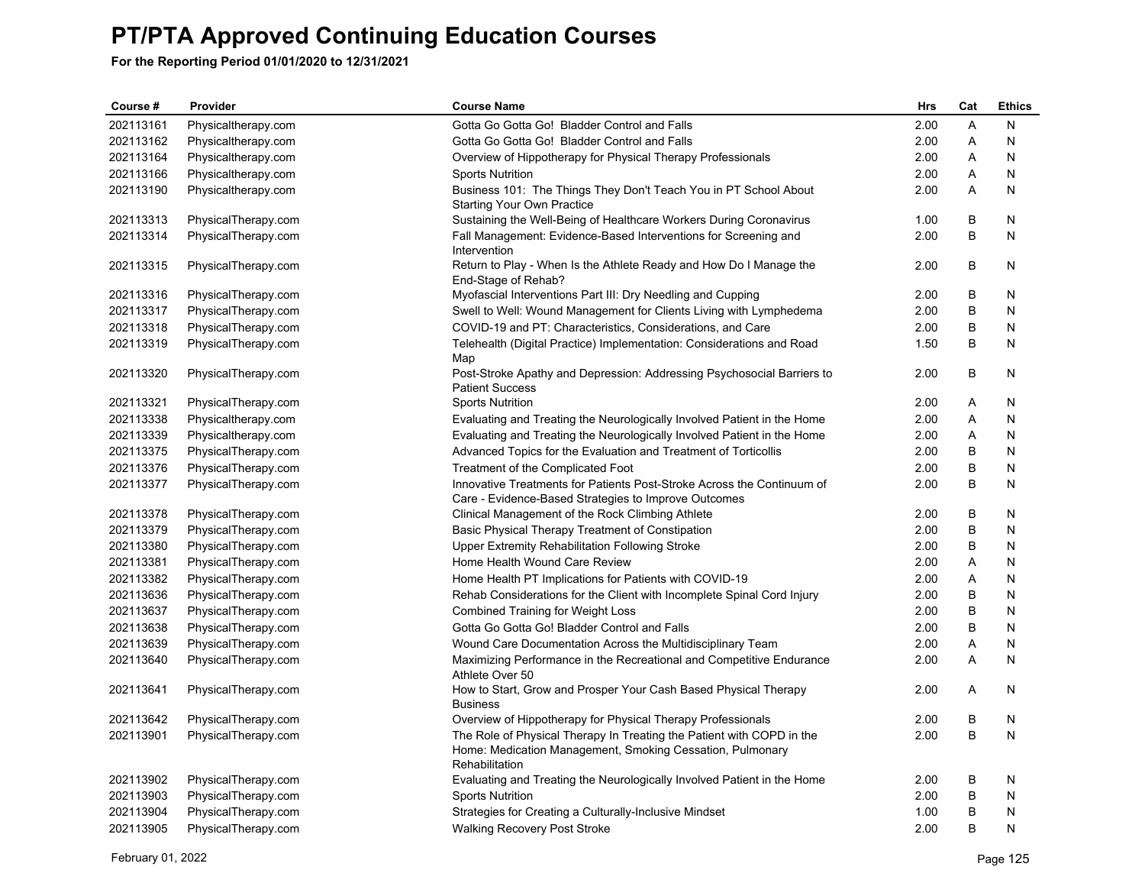| Course #  | Provider            | <b>Course Name</b>                                                                               | Hrs  | Cat | <b>Ethics</b> |
|-----------|---------------------|--------------------------------------------------------------------------------------------------|------|-----|---------------|
| 202113161 | Physicaltherapy.com | Gotta Go Gotta Go! Bladder Control and Falls                                                     | 2.00 | A   | N             |
| 202113162 | Physicaltherapy.com | Gotta Go Gotta Go! Bladder Control and Falls                                                     | 2.00 | Α   | N             |
| 202113164 | Physicaltherapy.com | Overview of Hippotherapy for Physical Therapy Professionals                                      | 2.00 | A   | N             |
| 202113166 | Physicaltherapy.com | <b>Sports Nutrition</b>                                                                          | 2.00 | Α   | N             |
| 202113190 | Physicaltherapy.com | Business 101: The Things They Don't Teach You in PT School About                                 | 2.00 | A   | N             |
| 202113313 | PhysicalTherapy.com | Starting Your Own Practice<br>Sustaining the Well-Being of Healthcare Workers During Coronavirus | 1.00 | В   | N             |
| 202113314 | PhysicalTherapy.com | Fall Management: Evidence-Based Interventions for Screening and                                  | 2.00 | B   | N             |
|           |                     | Intervention                                                                                     |      |     |               |
| 202113315 | PhysicalTherapy.com | Return to Play - When Is the Athlete Ready and How Do I Manage the<br>End-Stage of Rehab?        | 2.00 | В   | N             |
| 202113316 | PhysicalTherapy.com | Myofascial Interventions Part III: Dry Needling and Cupping                                      | 2.00 | В   | N             |
| 202113317 | PhysicalTherapy.com | Swell to Well: Wound Management for Clients Living with Lymphedema                               | 2.00 | B   | N             |
| 202113318 | PhysicalTherapy.com | COVID-19 and PT: Characteristics, Considerations, and Care                                       | 2.00 | B   | N             |
| 202113319 | PhysicalTherapy.com | Telehealth (Digital Practice) Implementation: Considerations and Road                            | 1.50 | B   | N             |
|           |                     | Map                                                                                              |      |     |               |
| 202113320 | PhysicalTherapy.com | Post-Stroke Apathy and Depression: Addressing Psychosocial Barriers to<br><b>Patient Success</b> | 2.00 | В   | N             |
| 202113321 | PhysicalTherapy.com | <b>Sports Nutrition</b>                                                                          | 2.00 | Α   | N             |
| 202113338 | Physicaltherapy.com | Evaluating and Treating the Neurologically Involved Patient in the Home                          | 2.00 | Α   | N             |
| 202113339 | Physicaltherapy.com | Evaluating and Treating the Neurologically Involved Patient in the Home                          | 2.00 | Α   | N             |
| 202113375 | PhysicalTherapy.com | Advanced Topics for the Evaluation and Treatment of Torticollis                                  | 2.00 | B   | N             |
| 202113376 | PhysicalTherapy.com | Treatment of the Complicated Foot                                                                | 2.00 | B   | N             |
| 202113377 | PhysicalTherapy.com | Innovative Treatments for Patients Post-Stroke Across the Continuum of                           | 2.00 | B   | N             |
|           |                     | Care - Evidence-Based Strategies to Improve Outcomes                                             |      |     |               |
| 202113378 | PhysicalTherapy.com | Clinical Management of the Rock Climbing Athlete                                                 | 2.00 | В   | N             |
| 202113379 | PhysicalTherapy.com | Basic Physical Therapy Treatment of Constipation                                                 | 2.00 | B   | N             |
| 202113380 | PhysicalTherapy.com | Upper Extremity Rehabilitation Following Stroke                                                  | 2.00 | B   | N             |
| 202113381 | PhysicalTherapy.com | Home Health Wound Care Review                                                                    | 2.00 | Α   | N             |
| 202113382 | PhysicalTherapy.com | Home Health PT Implications for Patients with COVID-19                                           | 2.00 | Α   | N             |
| 202113636 | PhysicalTherapy.com | Rehab Considerations for the Client with Incomplete Spinal Cord Injury                           | 2.00 | В   | N             |
| 202113637 | PhysicalTherapy.com | <b>Combined Training for Weight Loss</b>                                                         | 2.00 | B   | N             |
| 202113638 | PhysicalTherapy.com | Gotta Go Gotta Go! Bladder Control and Falls                                                     | 2.00 | B   | N             |
| 202113639 | PhysicalTherapy.com | Wound Care Documentation Across the Multidisciplinary Team                                       | 2.00 | Α   | N             |
| 202113640 | PhysicalTherapy.com | Maximizing Performance in the Recreational and Competitive Endurance<br>Athlete Over 50          | 2.00 | Α   | N             |
| 202113641 | PhysicalTherapy.com | How to Start, Grow and Prosper Your Cash Based Physical Therapy<br><b>Business</b>               | 2.00 | A   | N             |
| 202113642 | PhysicalTherapy.com | Overview of Hippotherapy for Physical Therapy Professionals                                      | 2.00 | В   | N             |
| 202113901 | PhysicalTherapy.com | The Role of Physical Therapy In Treating the Patient with COPD in the                            | 2.00 | B   | N             |
|           |                     | Home: Medication Management, Smoking Cessation, Pulmonary<br>Rehabilitation                      |      |     |               |
| 202113902 | PhysicalTherapy.com | Evaluating and Treating the Neurologically Involved Patient in the Home                          | 2.00 | В   | N             |
| 202113903 | PhysicalTherapy.com | <b>Sports Nutrition</b>                                                                          | 2.00 | B   | N             |
| 202113904 | PhysicalTherapy.com | Strategies for Creating a Culturally-Inclusive Mindset                                           | 1.00 | B   | N             |
| 202113905 | PhysicalTherapy.com | <b>Walking Recovery Post Stroke</b>                                                              | 2.00 | B   | N             |
|           |                     |                                                                                                  |      |     |               |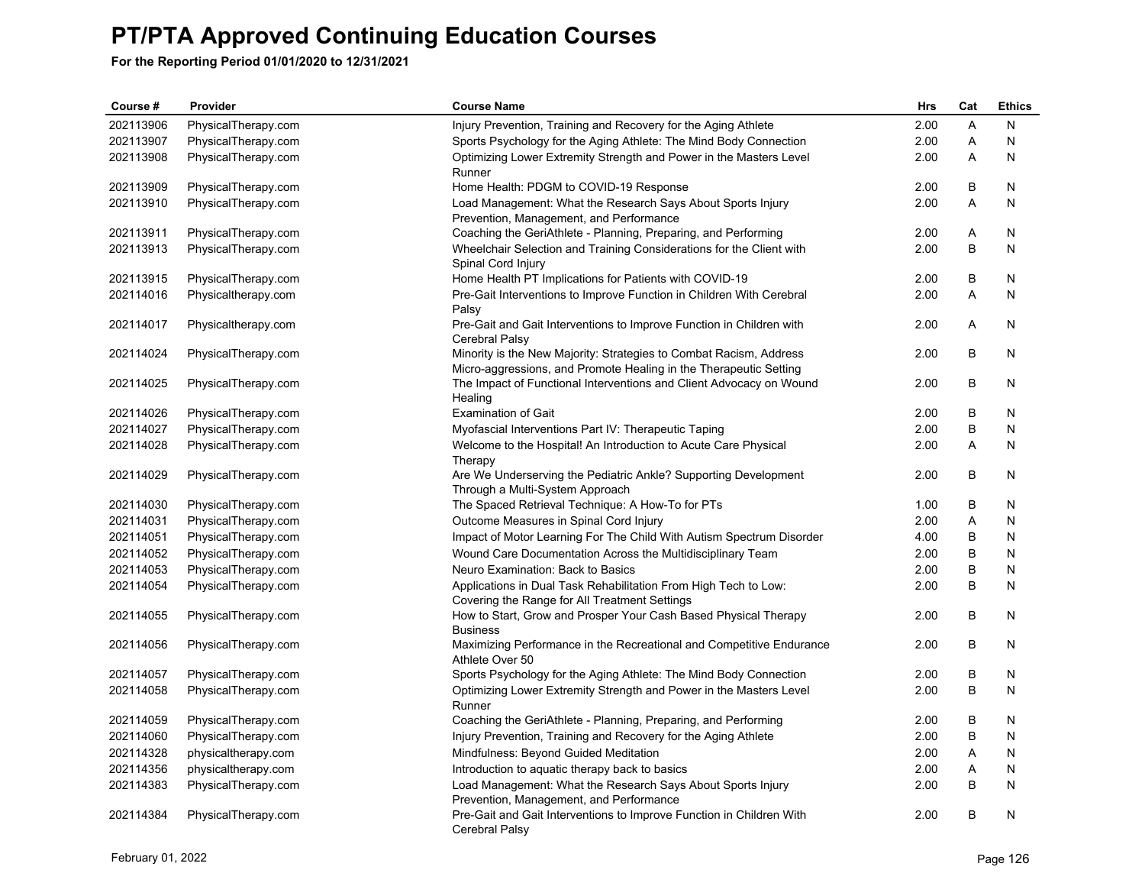| Course #  | Provider            | <b>Course Name</b>                                                                                                                      | Hrs  | Cat     | <b>Ethics</b> |
|-----------|---------------------|-----------------------------------------------------------------------------------------------------------------------------------------|------|---------|---------------|
| 202113906 | PhysicalTherapy.com | Injury Prevention, Training and Recovery for the Aging Athlete                                                                          | 2.00 | A       | N             |
| 202113907 | PhysicalTherapy.com | Sports Psychology for the Aging Athlete: The Mind Body Connection                                                                       | 2.00 | Α       | N             |
| 202113908 | PhysicalTherapy.com | Optimizing Lower Extremity Strength and Power in the Masters Level<br>Runner                                                            | 2.00 | Α       | N             |
| 202113909 | PhysicalTherapy.com | Home Health: PDGM to COVID-19 Response                                                                                                  | 2.00 | B       | N             |
| 202113910 | PhysicalTherapy.com | Load Management: What the Research Says About Sports Injury<br>Prevention, Management, and Performance                                  | 2.00 | A       | N             |
| 202113911 | PhysicalTherapy.com | Coaching the GeriAthlete - Planning, Preparing, and Performing                                                                          | 2.00 | Α       | N             |
| 202113913 | PhysicalTherapy.com | Wheelchair Selection and Training Considerations for the Client with<br>Spinal Cord Injury                                              | 2.00 | B       | N             |
| 202113915 | PhysicalTherapy.com | Home Health PT Implications for Patients with COVID-19                                                                                  | 2.00 | B       | N             |
| 202114016 | Physicaltherapy.com | Pre-Gait Interventions to Improve Function in Children With Cerebral<br>Palsy                                                           | 2.00 | A       | N             |
| 202114017 | Physicaltherapy.com | Pre-Gait and Gait Interventions to Improve Function in Children with<br>Cerebral Palsy                                                  | 2.00 | A       | N             |
| 202114024 | PhysicalTherapy.com | Minority is the New Majority: Strategies to Combat Racism, Address<br>Micro-aggressions, and Promote Healing in the Therapeutic Setting | 2.00 | B       | N             |
| 202114025 | PhysicalTherapy.com | The Impact of Functional Interventions and Client Advocacy on Wound<br>Healing                                                          | 2.00 | B       | N             |
| 202114026 | PhysicalTherapy.com | <b>Examination of Gait</b>                                                                                                              | 2.00 | B       | N             |
| 202114027 | PhysicalTherapy.com | Myofascial Interventions Part IV: Therapeutic Taping                                                                                    | 2.00 | B       | N             |
| 202114028 | PhysicalTherapy.com | Welcome to the Hospital! An Introduction to Acute Care Physical<br>Therapy                                                              | 2.00 | Α       | N             |
| 202114029 | PhysicalTherapy.com | Are We Underserving the Pediatric Ankle? Supporting Development<br>Through a Multi-System Approach                                      | 2.00 | B       | N             |
| 202114030 | PhysicalTherapy.com | The Spaced Retrieval Technique: A How-To for PTs                                                                                        | 1.00 | B       | N             |
| 202114031 | PhysicalTherapy.com | Outcome Measures in Spinal Cord Injury                                                                                                  | 2.00 | A       | N             |
| 202114051 | PhysicalTherapy.com | Impact of Motor Learning For The Child With Autism Spectrum Disorder                                                                    | 4.00 | B       | N             |
| 202114052 | PhysicalTherapy.com | Wound Care Documentation Across the Multidisciplinary Team                                                                              | 2.00 | B       | N             |
| 202114053 | PhysicalTherapy.com | Neuro Examination: Back to Basics                                                                                                       | 2.00 | B       | N             |
| 202114054 | PhysicalTherapy.com | Applications in Dual Task Rehabilitation From High Tech to Low:<br>Covering the Range for All Treatment Settings                        | 2.00 | B       | N             |
| 202114055 | PhysicalTherapy.com | How to Start, Grow and Prosper Your Cash Based Physical Therapy<br><b>Business</b>                                                      | 2.00 | B       | N             |
| 202114056 | PhysicalTherapy.com | Maximizing Performance in the Recreational and Competitive Endurance<br>Athlete Over 50                                                 | 2.00 | B       | N             |
| 202114057 | PhysicalTherapy.com | Sports Psychology for the Aging Athlete: The Mind Body Connection                                                                       | 2.00 | B       | N             |
| 202114058 | PhysicalTherapy.com | Optimizing Lower Extremity Strength and Power in the Masters Level<br>Runner                                                            | 2.00 | B       | N             |
| 202114059 | PhysicalTherapy.com | Coaching the GeriAthlete - Planning, Preparing, and Performing                                                                          | 2.00 | B       | N             |
| 202114060 | PhysicalTherapy.com | Injury Prevention, Training and Recovery for the Aging Athlete                                                                          | 2.00 | $\sf B$ | $\mathsf{N}$  |
| 202114328 | physicaltherapy.com | Mindfulness: Beyond Guided Meditation                                                                                                   | 2.00 | A       | N             |
| 202114356 | physicaltherapy.com | Introduction to aquatic therapy back to basics                                                                                          | 2.00 | Α       | N             |
| 202114383 | PhysicalTherapy.com | Load Management: What the Research Says About Sports Injury<br>Prevention, Management, and Performance                                  | 2.00 | B       | N             |
| 202114384 | PhysicalTherapy.com | Pre-Gait and Gait Interventions to Improve Function in Children With<br>Cerebral Palsy                                                  | 2.00 | B       | N             |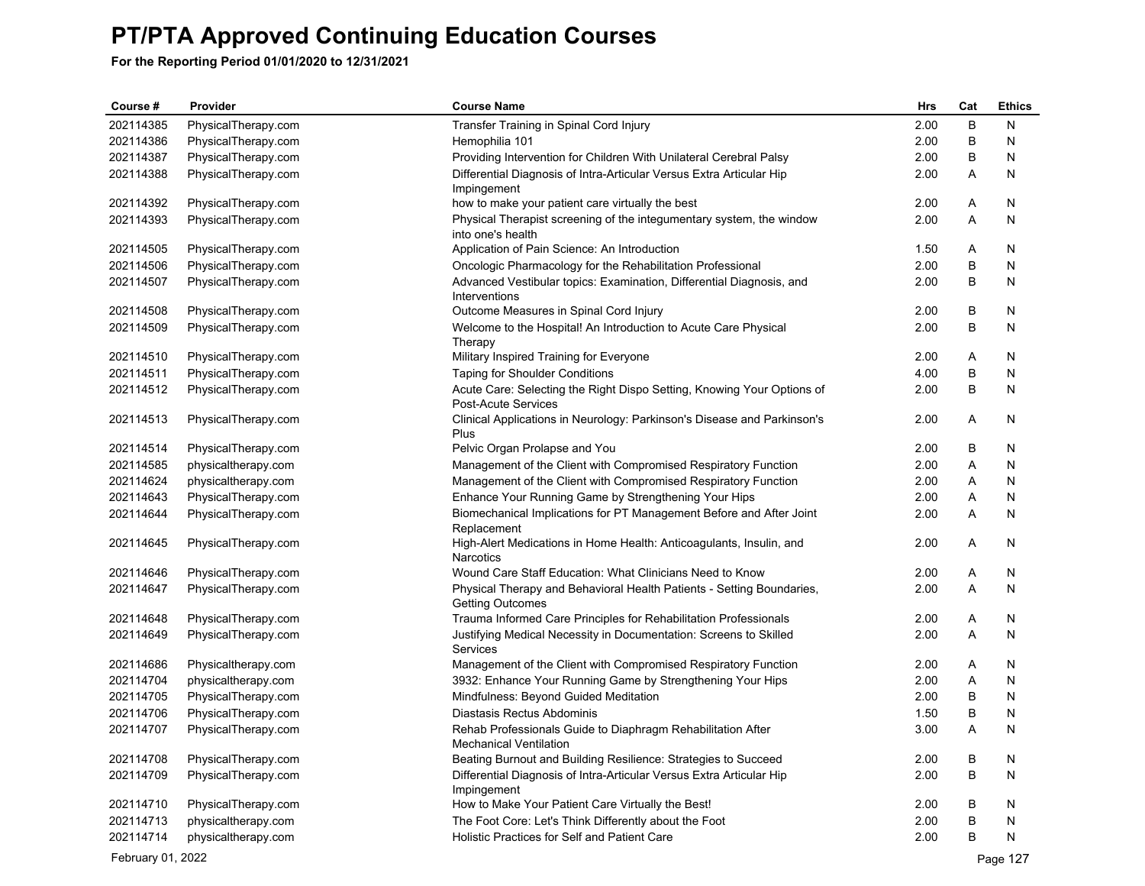**For the Reporting Period 01/01/2020 to 12/31/2021**

| Course #  | Provider            | <b>Course Name</b>                                                                               | <b>Hrs</b> | Cat | <b>Ethics</b> |
|-----------|---------------------|--------------------------------------------------------------------------------------------------|------------|-----|---------------|
| 202114385 | PhysicalTherapy.com | Transfer Training in Spinal Cord Injury                                                          | 2.00       | B   | N             |
| 202114386 | PhysicalTherapy.com | Hemophilia 101                                                                                   | 2.00       | B   | N             |
| 202114387 | PhysicalTherapy.com | Providing Intervention for Children With Unilateral Cerebral Palsy                               | 2.00       | B   | N             |
| 202114388 | PhysicalTherapy.com | Differential Diagnosis of Intra-Articular Versus Extra Articular Hip<br>Impingement              | 2.00       | Α   | N             |
| 202114392 | PhysicalTherapy.com | how to make your patient care virtually the best                                                 | 2.00       | A   | N             |
| 202114393 | PhysicalTherapy.com | Physical Therapist screening of the integumentary system, the window<br>into one's health        | 2.00       | A   | N             |
| 202114505 | PhysicalTherapy.com | Application of Pain Science: An Introduction                                                     | 1.50       | Α   | N             |
| 202114506 | PhysicalTherapy.com | Oncologic Pharmacology for the Rehabilitation Professional                                       | 2.00       | B   | N             |
| 202114507 | PhysicalTherapy.com | Advanced Vestibular topics: Examination, Differential Diagnosis, and<br>Interventions            | 2.00       | B   | N             |
| 202114508 | PhysicalTherapy.com | Outcome Measures in Spinal Cord Injury                                                           | 2.00       | В   | N             |
| 202114509 | PhysicalTherapy.com | Welcome to the Hospital! An Introduction to Acute Care Physical<br>Therapy                       | 2.00       | B   | N             |
| 202114510 | PhysicalTherapy.com | Military Inspired Training for Everyone                                                          | 2.00       | A   | N             |
| 202114511 | PhysicalTherapy.com | <b>Taping for Shoulder Conditions</b>                                                            | 4.00       | B   | N             |
| 202114512 | PhysicalTherapy.com | Acute Care: Selecting the Right Dispo Setting, Knowing Your Options of<br>Post-Acute Services    | 2.00       | B   | N             |
| 202114513 | PhysicalTherapy.com | Clinical Applications in Neurology: Parkinson's Disease and Parkinson's<br>Plus                  | 2.00       | Α   | N             |
| 202114514 | PhysicalTherapy.com | Pelvic Organ Prolapse and You                                                                    | 2.00       | B   | N             |
| 202114585 | physicaltherapy.com | Management of the Client with Compromised Respiratory Function                                   | 2.00       | A   | N             |
| 202114624 | physicaltherapy.com | Management of the Client with Compromised Respiratory Function                                   | 2.00       | A   | N             |
| 202114643 | PhysicalTherapy.com | Enhance Your Running Game by Strengthening Your Hips                                             | 2.00       | A   | N             |
| 202114644 | PhysicalTherapy.com | Biomechanical Implications for PT Management Before and After Joint<br>Replacement               | 2.00       | A   | N             |
| 202114645 | PhysicalTherapy.com | High-Alert Medications in Home Health: Anticoagulants, Insulin, and<br><b>Narcotics</b>          | 2.00       | A   | N             |
| 202114646 | PhysicalTherapy.com | Wound Care Staff Education: What Clinicians Need to Know                                         | 2.00       | Α   | N             |
| 202114647 | PhysicalTherapy.com | Physical Therapy and Behavioral Health Patients - Setting Boundaries,<br><b>Getting Outcomes</b> | 2.00       | A   | N             |
| 202114648 | PhysicalTherapy.com | Trauma Informed Care Principles for Rehabilitation Professionals                                 | 2.00       | Α   | N             |
| 202114649 | PhysicalTherapy.com | Justifying Medical Necessity in Documentation: Screens to Skilled<br>Services                    | 2.00       | A   | N             |
| 202114686 | Physicaltherapy.com | Management of the Client with Compromised Respiratory Function                                   | 2.00       | A   | N             |
| 202114704 | physicaltherapy.com | 3932: Enhance Your Running Game by Strengthening Your Hips                                       | 2.00       | Α   | N             |
| 202114705 | PhysicalTherapy.com | Mindfulness: Beyond Guided Meditation                                                            | 2.00       | B   | N             |
| 202114706 | PhysicalTherapy.com | Diastasis Rectus Abdominis                                                                       | 1.50       | В   | N             |
| 202114707 | PhysicalTherapy.com | Rehab Professionals Guide to Diaphragm Rehabilitation After<br><b>Mechanical Ventilation</b>     | 3.00       | A   | N             |
| 202114708 | PhysicalTherapy.com | Beating Burnout and Building Resilience: Strategies to Succeed                                   | 2.00       | В   | N             |
| 202114709 | PhysicalTherapy.com | Differential Diagnosis of Intra-Articular Versus Extra Articular Hip<br>Impingement              | 2.00       | B   | N             |
| 202114710 | PhysicalTherapy.com | How to Make Your Patient Care Virtually the Best!                                                | 2.00       | В   | N             |
| 202114713 | physicaltherapy.com | The Foot Core: Let's Think Differently about the Foot                                            | 2.00       | B   | N             |
| 202114714 | physicaltherapy.com | <b>Holistic Practices for Self and Patient Care</b>                                              | 2.00       | B   | N             |

February 01, 2022 Page 127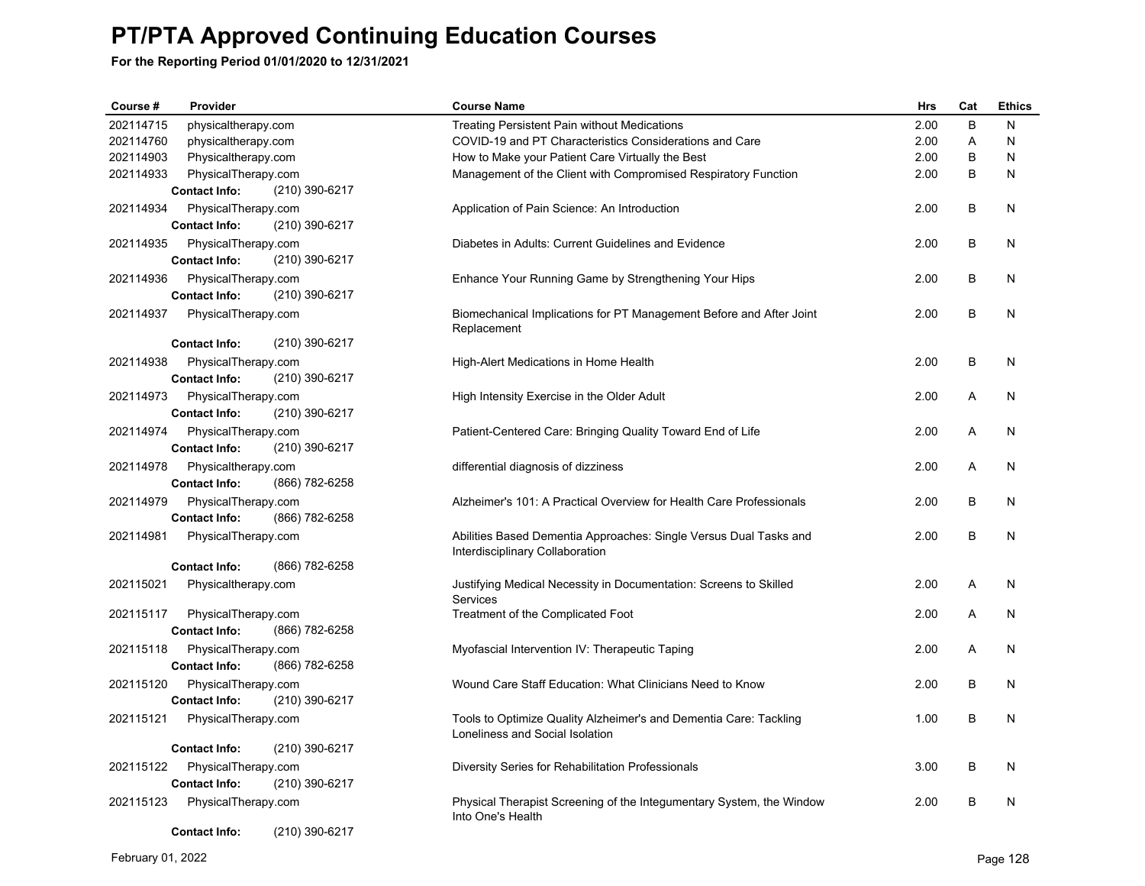| Course #  | Provider             |                | <b>Course Name</b>                                                                                   | <b>Hrs</b> | Cat | <b>Ethics</b> |
|-----------|----------------------|----------------|------------------------------------------------------------------------------------------------------|------------|-----|---------------|
| 202114715 | physicaltherapy.com  |                | <b>Treating Persistent Pain without Medications</b>                                                  | 2.00       | B   | N             |
| 202114760 | physicaltherapy.com  |                | COVID-19 and PT Characteristics Considerations and Care                                              | 2.00       | A   | N             |
| 202114903 | Physicaltherapy.com  |                | How to Make your Patient Care Virtually the Best                                                     | 2.00       | B   | N             |
| 202114933 | PhysicalTherapy.com  |                | Management of the Client with Compromised Respiratory Function                                       | 2.00       | B   | N             |
|           | <b>Contact Info:</b> | (210) 390-6217 |                                                                                                      |            |     |               |
| 202114934 | PhysicalTherapy.com  |                | Application of Pain Science: An Introduction                                                         | 2.00       | В   | N             |
|           | <b>Contact Info:</b> | (210) 390-6217 |                                                                                                      |            |     |               |
| 202114935 | PhysicalTherapy.com  |                | Diabetes in Adults: Current Guidelines and Evidence                                                  | 2.00       | B   | N             |
|           | <b>Contact Info:</b> | (210) 390-6217 |                                                                                                      |            |     |               |
| 202114936 | PhysicalTherapy.com  |                | Enhance Your Running Game by Strengthening Your Hips                                                 | 2.00       | B   | N             |
|           | <b>Contact Info:</b> | (210) 390-6217 |                                                                                                      |            |     |               |
| 202114937 | PhysicalTherapy.com  |                | Biomechanical Implications for PT Management Before and After Joint<br>Replacement                   | 2.00       | B   | N             |
|           | <b>Contact Info:</b> | (210) 390-6217 |                                                                                                      |            |     |               |
| 202114938 | PhysicalTherapy.com  |                | High-Alert Medications in Home Health                                                                | 2.00       | В   | N             |
|           | <b>Contact Info:</b> | (210) 390-6217 |                                                                                                      |            |     |               |
| 202114973 | PhysicalTherapy.com  |                | High Intensity Exercise in the Older Adult                                                           | 2.00       | A   | N             |
|           | <b>Contact Info:</b> | (210) 390-6217 |                                                                                                      |            |     |               |
| 202114974 | PhysicalTherapy.com  |                | Patient-Centered Care: Bringing Quality Toward End of Life                                           | 2.00       | A   | N             |
|           | <b>Contact Info:</b> | (210) 390-6217 |                                                                                                      |            |     |               |
| 202114978 | Physicaltherapy.com  |                | differential diagnosis of dizziness                                                                  | 2.00       | A   | N             |
|           | <b>Contact Info:</b> | (866) 782-6258 |                                                                                                      |            |     |               |
| 202114979 | PhysicalTherapy.com  |                | Alzheimer's 101: A Practical Overview for Health Care Professionals                                  | 2.00       | B   | N             |
|           | <b>Contact Info:</b> | (866) 782-6258 |                                                                                                      |            |     |               |
| 202114981 | PhysicalTherapy.com  |                | Abilities Based Dementia Approaches: Single Versus Dual Tasks and                                    | 2.00       | B   | N             |
|           |                      |                | Interdisciplinary Collaboration                                                                      |            |     |               |
|           | <b>Contact Info:</b> | (866) 782-6258 |                                                                                                      |            |     |               |
| 202115021 | Physicaltherapy.com  |                | Justifying Medical Necessity in Documentation: Screens to Skilled                                    | 2.00       | A   | N             |
|           |                      |                | Services                                                                                             |            |     |               |
| 202115117 | PhysicalTherapy.com  |                | Treatment of the Complicated Foot                                                                    | 2.00       | A   | N             |
|           | <b>Contact Info:</b> | (866) 782-6258 |                                                                                                      |            |     |               |
| 202115118 | PhysicalTherapy.com  |                | Myofascial Intervention IV: Therapeutic Taping                                                       | 2.00       | A   | N             |
|           | <b>Contact Info:</b> | (866) 782-6258 |                                                                                                      |            |     |               |
| 202115120 | PhysicalTherapy.com  |                | Wound Care Staff Education: What Clinicians Need to Know                                             | 2.00       | B   | N             |
|           | <b>Contact Info:</b> | (210) 390-6217 |                                                                                                      |            |     |               |
| 202115121 | PhysicalTherapy.com  |                | Tools to Optimize Quality Alzheimer's and Dementia Care: Tackling<br>Loneliness and Social Isolation | 1.00       | В   | N             |
|           | <b>Contact Info:</b> | (210) 390-6217 |                                                                                                      |            |     |               |
| 202115122 | PhysicalTherapy.com  |                | Diversity Series for Rehabilitation Professionals                                                    | 3.00       | B   | N             |
|           | <b>Contact Info:</b> | (210) 390-6217 |                                                                                                      |            |     |               |
| 202115123 | PhysicalTherapy.com  |                | Physical Therapist Screening of the Integumentary System, the Window                                 | 2.00       | B   | N             |
|           |                      |                | Into One's Health                                                                                    |            |     |               |
|           | <b>Contact Info:</b> | (210) 390-6217 |                                                                                                      |            |     |               |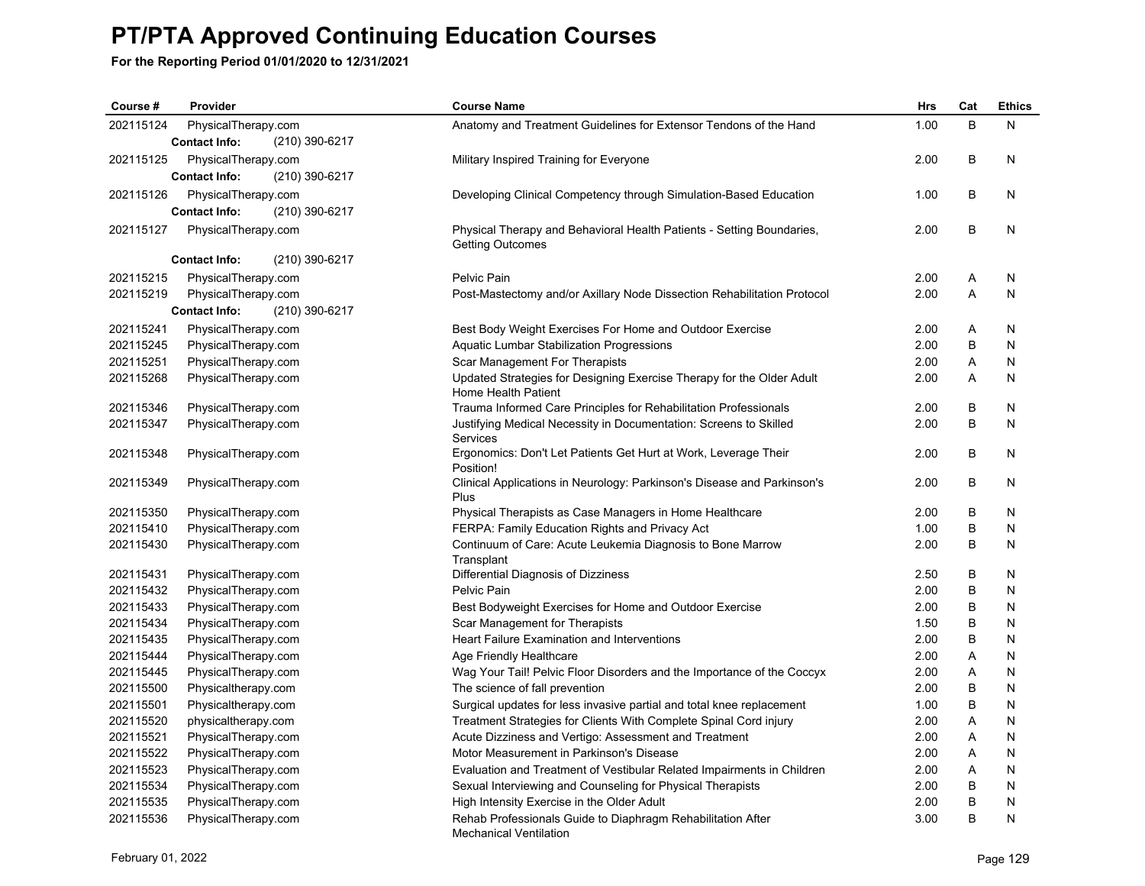| Course #               | Provider                                   | <b>Course Name</b>                                                                                                                         | <b>Hrs</b>   | Cat    | <b>Ethics</b> |
|------------------------|--------------------------------------------|--------------------------------------------------------------------------------------------------------------------------------------------|--------------|--------|---------------|
| 202115124              | PhysicalTherapy.com                        | Anatomy and Treatment Guidelines for Extensor Tendons of the Hand                                                                          | 1.00         | B      | N             |
|                        | (210) 390-6217<br><b>Contact Info:</b>     |                                                                                                                                            |              |        |               |
| 202115125              | PhysicalTherapy.com                        | Military Inspired Training for Everyone                                                                                                    | 2.00         | B      | N             |
|                        | <b>Contact Info:</b><br>(210) 390-6217     |                                                                                                                                            |              |        |               |
| 202115126              | PhysicalTherapy.com                        | Developing Clinical Competency through Simulation-Based Education                                                                          | 1.00         | B      | N             |
|                        | (210) 390-6217<br><b>Contact Info:</b>     |                                                                                                                                            |              |        |               |
| 202115127              | PhysicalTherapy.com                        | Physical Therapy and Behavioral Health Patients - Setting Boundaries,<br><b>Getting Outcomes</b>                                           | 2.00         | B      | N             |
|                        | (210) 390-6217<br><b>Contact Info:</b>     |                                                                                                                                            |              |        |               |
| 202115215              | PhysicalTherapy.com                        | Pelvic Pain                                                                                                                                | 2.00         | A      | N             |
| 202115219              | PhysicalTherapy.com                        | Post-Mastectomy and/or Axillary Node Dissection Rehabilitation Protocol                                                                    | 2.00         | A      | $\mathsf{N}$  |
|                        | (210) 390-6217<br><b>Contact Info:</b>     |                                                                                                                                            |              |        |               |
| 202115241              | PhysicalTherapy.com                        | Best Body Weight Exercises For Home and Outdoor Exercise                                                                                   | 2.00         | Α      | N             |
| 202115245              | PhysicalTherapy.com                        | Aquatic Lumbar Stabilization Progressions                                                                                                  | 2.00         | B      | N             |
| 202115251              | PhysicalTherapy.com                        | Scar Management For Therapists                                                                                                             | 2.00         | Α      | N             |
| 202115268              | PhysicalTherapy.com                        | Updated Strategies for Designing Exercise Therapy for the Older Adult<br>Home Health Patient                                               | 2.00         | Α      | N             |
| 202115346              | PhysicalTherapy.com                        | Trauma Informed Care Principles for Rehabilitation Professionals                                                                           | 2.00         | B      | N             |
| 202115347              | PhysicalTherapy.com                        | Justifying Medical Necessity in Documentation: Screens to Skilled<br>Services                                                              | 2.00         | B      | N             |
| 202115348              | PhysicalTherapy.com                        | Ergonomics: Don't Let Patients Get Hurt at Work, Leverage Their<br>Position!                                                               | 2.00         | B      | N             |
| 202115349              | PhysicalTherapy.com                        | Clinical Applications in Neurology: Parkinson's Disease and Parkinson's<br>Plus                                                            | 2.00         | B      | N             |
| 202115350              | PhysicalTherapy.com                        | Physical Therapists as Case Managers in Home Healthcare                                                                                    | 2.00         | B      | N             |
| 202115410              | PhysicalTherapy.com                        | FERPA: Family Education Rights and Privacy Act                                                                                             | 1.00         | B      | N             |
| 202115430              | PhysicalTherapy.com                        | Continuum of Care: Acute Leukemia Diagnosis to Bone Marrow<br>Transplant                                                                   | 2.00         | B      | N             |
| 202115431              | PhysicalTherapy.com                        | Differential Diagnosis of Dizziness                                                                                                        | 2.50         | В      | N             |
| 202115432              | PhysicalTherapy.com                        | Pelvic Pain                                                                                                                                | 2.00         | B      | N             |
| 202115433              | PhysicalTherapy.com                        | Best Bodyweight Exercises for Home and Outdoor Exercise                                                                                    | 2.00         | B      | N             |
| 202115434              | PhysicalTherapy.com                        | Scar Management for Therapists                                                                                                             | 1.50         | В      | N             |
| 202115435              | PhysicalTherapy.com                        | Heart Failure Examination and Interventions                                                                                                | 2.00         | B      | N             |
| 202115444              | PhysicalTherapy.com                        | Age Friendly Healthcare                                                                                                                    | 2.00         | Α      | N             |
| 202115445              | PhysicalTherapy.com                        | Wag Your Tail! Pelvic Floor Disorders and the Importance of the Coccyx                                                                     | 2.00         | Α      | N             |
| 202115500              | Physicaltherapy.com                        | The science of fall prevention                                                                                                             | 2.00         | B      | N             |
| 202115501<br>202115520 | Physicaltherapy.com                        | Surgical updates for less invasive partial and total knee replacement<br>Treatment Strategies for Clients With Complete Spinal Cord injury | 1.00<br>2.00 | B      | N             |
| 202115521              | physicaltherapy.com                        |                                                                                                                                            | 2.00         | Α<br>Α | N<br>N        |
| 202115522              | PhysicalTherapy.com                        | Acute Dizziness and Vertigo: Assessment and Treatment<br>Motor Measurement in Parkinson's Disease                                          | 2.00         | Α      | N             |
| 202115523              | PhysicalTherapy.com<br>PhysicalTherapy.com | Evaluation and Treatment of Vestibular Related Impairments in Children                                                                     | 2.00         | Α      | N             |
| 202115534              | PhysicalTherapy.com                        | Sexual Interviewing and Counseling for Physical Therapists                                                                                 | 2.00         | B      | N             |
| 202115535              | PhysicalTherapy.com                        | High Intensity Exercise in the Older Adult                                                                                                 | 2.00         | B      | N             |
| 202115536              | PhysicalTherapy.com                        | Rehab Professionals Guide to Diaphragm Rehabilitation After<br><b>Mechanical Ventilation</b>                                               | 3.00         | B      | N             |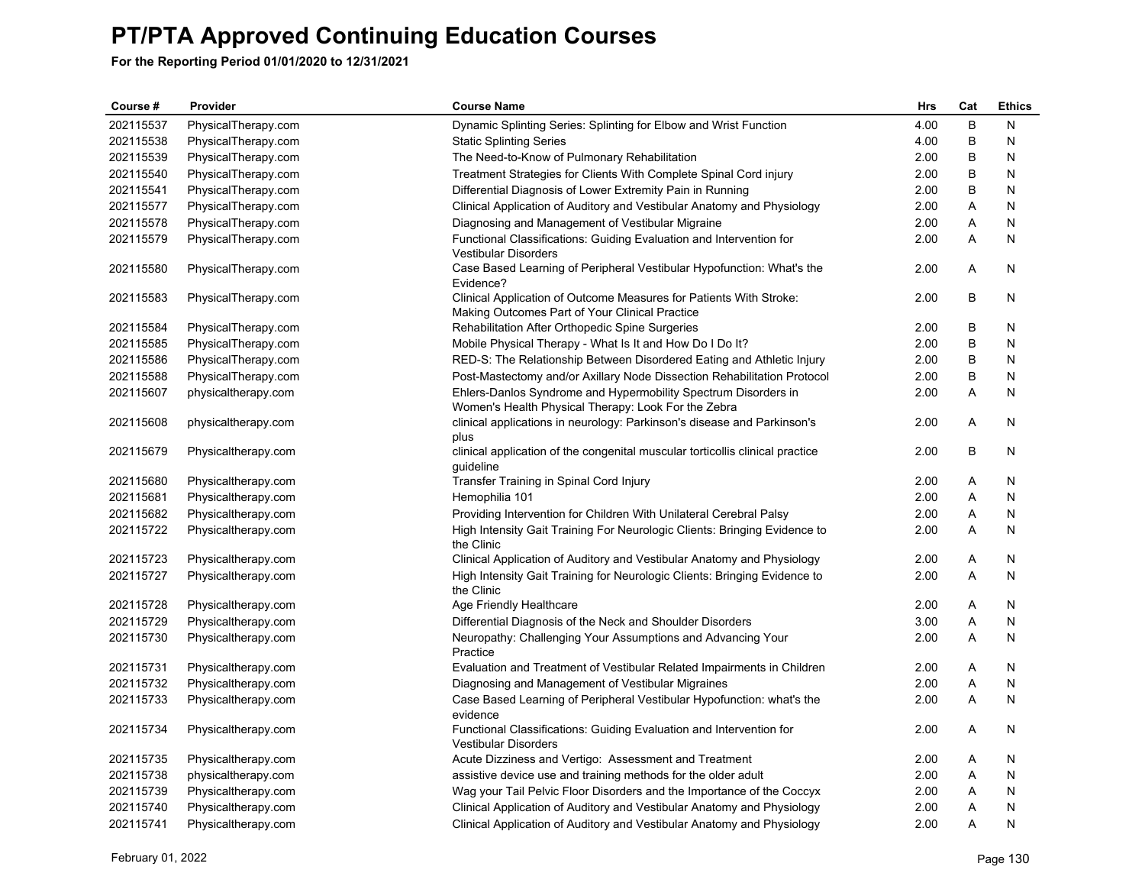| Course #  | Provider            | <b>Course Name</b>                                                                                                    | <b>Hrs</b> | Cat          | <b>Ethics</b> |
|-----------|---------------------|-----------------------------------------------------------------------------------------------------------------------|------------|--------------|---------------|
| 202115537 | PhysicalTherapy.com | Dynamic Splinting Series: Splinting for Elbow and Wrist Function                                                      | 4.00       | B            | N             |
| 202115538 | PhysicalTherapy.com | <b>Static Splinting Series</b>                                                                                        | 4.00       | B            | N             |
| 202115539 | PhysicalTherapy.com | The Need-to-Know of Pulmonary Rehabilitation                                                                          | 2.00       | В            | N             |
| 202115540 | PhysicalTherapy.com | Treatment Strategies for Clients With Complete Spinal Cord injury                                                     | 2.00       | B            | N             |
| 202115541 | PhysicalTherapy.com | Differential Diagnosis of Lower Extremity Pain in Running                                                             | 2.00       | В            | N             |
| 202115577 | PhysicalTherapy.com | Clinical Application of Auditory and Vestibular Anatomy and Physiology                                                | 2.00       | A            | N             |
| 202115578 | PhysicalTherapy.com | Diagnosing and Management of Vestibular Migraine                                                                      | 2.00       | Α            | N             |
| 202115579 | PhysicalTherapy.com | Functional Classifications: Guiding Evaluation and Intervention for<br><b>Vestibular Disorders</b>                    | 2.00       | A            | N             |
| 202115580 | PhysicalTherapy.com | Case Based Learning of Peripheral Vestibular Hypofunction: What's the<br>Evidence?                                    | 2.00       | A            | N             |
| 202115583 | PhysicalTherapy.com | Clinical Application of Outcome Measures for Patients With Stroke:<br>Making Outcomes Part of Your Clinical Practice  | 2.00       | B            | N             |
| 202115584 | PhysicalTherapy.com | Rehabilitation After Orthopedic Spine Surgeries                                                                       | 2.00       | B            | N             |
| 202115585 | PhysicalTherapy.com | Mobile Physical Therapy - What Is It and How Do I Do It?                                                              | 2.00       | B            | N             |
| 202115586 | PhysicalTherapy.com | RED-S: The Relationship Between Disordered Eating and Athletic Injury                                                 | 2.00       | B            | N             |
| 202115588 | PhysicalTherapy.com | Post-Mastectomy and/or Axillary Node Dissection Rehabilitation Protocol                                               | 2.00       | B            | N             |
| 202115607 | physicaltherapy.com | Ehlers-Danlos Syndrome and Hypermobility Spectrum Disorders in<br>Women's Health Physical Therapy: Look For the Zebra | 2.00       | Α            | N             |
| 202115608 | physicaltherapy.com | clinical applications in neurology: Parkinson's disease and Parkinson's<br>plus                                       | 2.00       | Α            | N             |
| 202115679 | Physicaltherapy.com | clinical application of the congenital muscular torticollis clinical practice<br>guideline                            | 2.00       | B            | N             |
| 202115680 | Physicaltherapy.com | Transfer Training in Spinal Cord Injury                                                                               | 2.00       | Α            | N             |
| 202115681 | Physicaltherapy.com | Hemophilia 101                                                                                                        | 2.00       | $\mathsf{A}$ | N             |
| 202115682 | Physicaltherapy.com | Providing Intervention for Children With Unilateral Cerebral Palsy                                                    | 2.00       | A            | N             |
| 202115722 | Physicaltherapy.com | High Intensity Gait Training For Neurologic Clients: Bringing Evidence to<br>the Clinic                               | 2.00       | A            | N             |
| 202115723 | Physicaltherapy.com | Clinical Application of Auditory and Vestibular Anatomy and Physiology                                                | 2.00       | Α            | N             |
| 202115727 | Physicaltherapy.com | High Intensity Gait Training for Neurologic Clients: Bringing Evidence to<br>the Clinic                               | 2.00       | A            | N             |
| 202115728 | Physicaltherapy.com | Age Friendly Healthcare                                                                                               | 2.00       | A            | N             |
| 202115729 | Physicaltherapy.com | Differential Diagnosis of the Neck and Shoulder Disorders                                                             | 3.00       | Α            | N             |
| 202115730 | Physicaltherapy.com | Neuropathy: Challenging Your Assumptions and Advancing Your<br>Practice                                               | 2.00       | A            | N             |
| 202115731 | Physicaltherapy.com | Evaluation and Treatment of Vestibular Related Impairments in Children                                                | 2.00       | A            | N             |
| 202115732 | Physicaltherapy.com | Diagnosing and Management of Vestibular Migraines                                                                     | 2.00       | A            | N             |
| 202115733 | Physicaltherapy.com | Case Based Learning of Peripheral Vestibular Hypofunction: what's the<br>evidence                                     | 2.00       | $\mathsf{A}$ | N             |
| 202115734 | Physicaltherapy.com | Functional Classifications: Guiding Evaluation and Intervention for<br><b>Vestibular Disorders</b>                    | 2.00       | A            | N             |
| 202115735 | Physicaltherapy.com | Acute Dizziness and Vertigo: Assessment and Treatment                                                                 | 2.00       | A            | N             |
| 202115738 | physicaltherapy.com | assistive device use and training methods for the older adult                                                         | 2.00       | A            | N             |
| 202115739 | Physicaltherapy.com | Wag your Tail Pelvic Floor Disorders and the Importance of the Coccyx                                                 | 2.00       | A            | N             |
| 202115740 | Physicaltherapy.com | Clinical Application of Auditory and Vestibular Anatomy and Physiology                                                | 2.00       | A            | Ν             |
| 202115741 | Physicaltherapy.com | Clinical Application of Auditory and Vestibular Anatomy and Physiology                                                | 2.00       | A            | N             |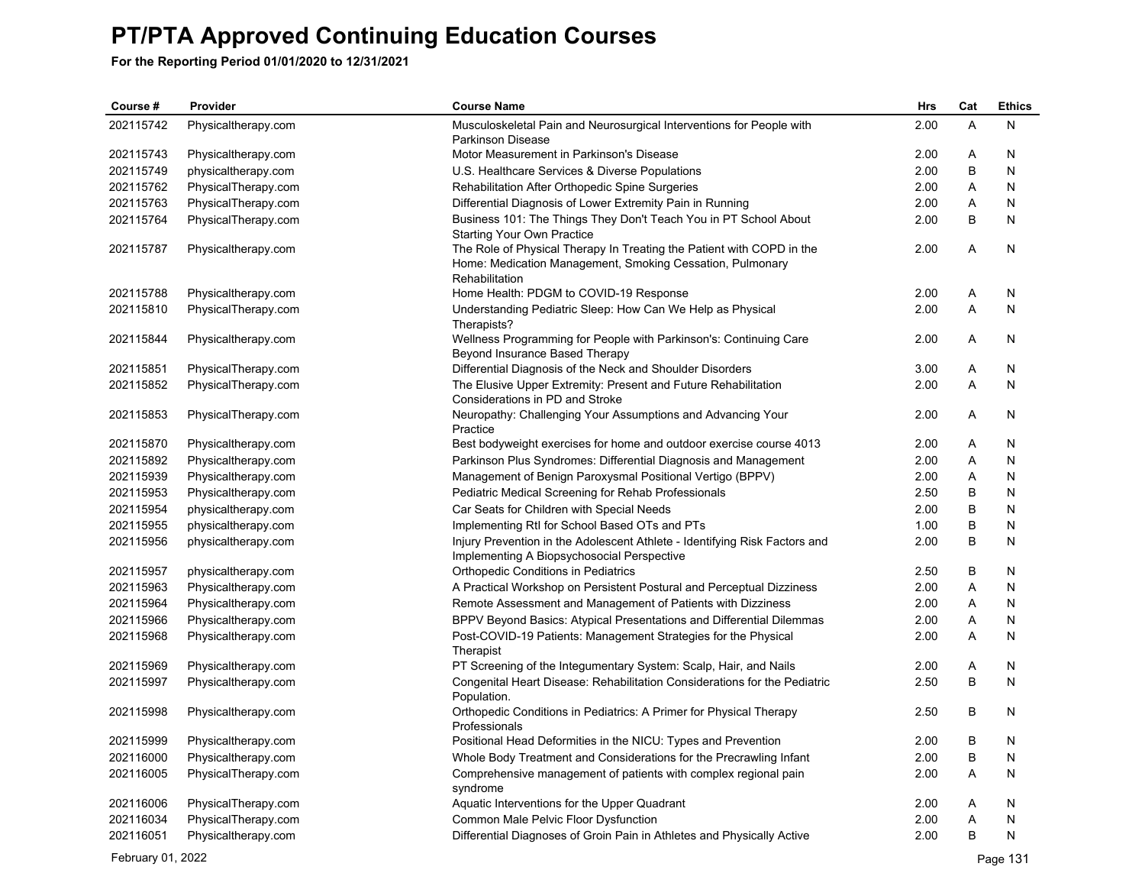**For the Reporting Period 01/01/2020 to 12/31/2021**

| Course #  | Provider            | <b>Course Name</b>                                                                                                                                   | Hrs  | Cat | <b>Ethics</b> |
|-----------|---------------------|------------------------------------------------------------------------------------------------------------------------------------------------------|------|-----|---------------|
| 202115742 | Physicaltherapy.com | Musculoskeletal Pain and Neurosurgical Interventions for People with                                                                                 | 2.00 | A   | N             |
|           |                     | <b>Parkinson Disease</b>                                                                                                                             |      |     |               |
| 202115743 | Physicaltherapy.com | Motor Measurement in Parkinson's Disease                                                                                                             | 2.00 | Α   | N             |
| 202115749 | physicaltherapy.com | U.S. Healthcare Services & Diverse Populations                                                                                                       | 2.00 | B   | N             |
| 202115762 | PhysicalTherapy.com | Rehabilitation After Orthopedic Spine Surgeries                                                                                                      | 2.00 | Α   | N             |
| 202115763 | PhysicalTherapy.com | Differential Diagnosis of Lower Extremity Pain in Running                                                                                            | 2.00 | Α   | N             |
| 202115764 | PhysicalTherapy.com | Business 101: The Things They Don't Teach You in PT School About<br><b>Starting Your Own Practice</b>                                                | 2.00 | B   | N             |
| 202115787 | Physicaltherapy.com | The Role of Physical Therapy In Treating the Patient with COPD in the<br>Home: Medication Management, Smoking Cessation, Pulmonary<br>Rehabilitation | 2.00 | A   | N             |
| 202115788 | Physicaltherapy.com | Home Health: PDGM to COVID-19 Response                                                                                                               | 2.00 | Α   | N             |
| 202115810 | PhysicalTherapy.com | Understanding Pediatric Sleep: How Can We Help as Physical<br>Therapists?                                                                            | 2.00 | A   | N             |
| 202115844 | Physicaltherapy.com | Wellness Programming for People with Parkinson's: Continuing Care<br>Beyond Insurance Based Therapy                                                  | 2.00 | Α   | N             |
| 202115851 | PhysicalTherapy.com | Differential Diagnosis of the Neck and Shoulder Disorders                                                                                            | 3.00 | Α   | N             |
| 202115852 | PhysicalTherapy.com | The Elusive Upper Extremity: Present and Future Rehabilitation<br>Considerations in PD and Stroke                                                    | 2.00 | A   | N             |
| 202115853 | PhysicalTherapy.com | Neuropathy: Challenging Your Assumptions and Advancing Your<br>Practice                                                                              | 2.00 | A   | N             |
| 202115870 | Physicaltherapy.com | Best bodyweight exercises for home and outdoor exercise course 4013                                                                                  | 2.00 | Α   | N             |
| 202115892 | Physicaltherapy.com | Parkinson Plus Syndromes: Differential Diagnosis and Management                                                                                      | 2.00 | Α   | N             |
| 202115939 | Physicaltherapy.com | Management of Benign Paroxysmal Positional Vertigo (BPPV)                                                                                            | 2.00 | Α   | N             |
| 202115953 | Physicaltherapy.com | <b>Pediatric Medical Screening for Rehab Professionals</b>                                                                                           | 2.50 | B   | N             |
| 202115954 | physicaltherapy.com | Car Seats for Children with Special Needs                                                                                                            | 2.00 | B   | N             |
| 202115955 | physicaltherapy.com | Implementing RtI for School Based OTs and PTs                                                                                                        | 1.00 | B   | N             |
| 202115956 | physicaltherapy.com | Injury Prevention in the Adolescent Athlete - Identifying Risk Factors and<br>Implementing A Biopsychosocial Perspective                             | 2.00 | B   | N             |
| 202115957 | physicaltherapy.com | Orthopedic Conditions in Pediatrics                                                                                                                  | 2.50 | B   | N             |
| 202115963 | Physicaltherapy.com | A Practical Workshop on Persistent Postural and Perceptual Dizziness                                                                                 | 2.00 | A   | N             |
| 202115964 | Physicaltherapy.com | Remote Assessment and Management of Patients with Dizziness                                                                                          | 2.00 | Α   | N             |
| 202115966 | Physicaltherapy.com | BPPV Beyond Basics: Atypical Presentations and Differential Dilemmas                                                                                 | 2.00 | Α   | N             |
| 202115968 | Physicaltherapy.com | Post-COVID-19 Patients: Management Strategies for the Physical<br>Therapist                                                                          | 2.00 | Α   | N             |
| 202115969 | Physicaltherapy.com | PT Screening of the Integumentary System: Scalp, Hair, and Nails                                                                                     | 2.00 | Α   | N             |
| 202115997 | Physicaltherapy.com | Congenital Heart Disease: Rehabilitation Considerations for the Pediatric<br>Population.                                                             | 2.50 | B   | N             |
| 202115998 | Physicaltherapy.com | Orthopedic Conditions in Pediatrics: A Primer for Physical Therapy<br>Professionals                                                                  | 2.50 | B   | N             |
| 202115999 | Physicaltherapy.com | Positional Head Deformities in the NICU: Types and Prevention                                                                                        | 2.00 | B   | N             |
| 202116000 | Physicaltherapy.com | Whole Body Treatment and Considerations for the Precrawling Infant                                                                                   | 2.00 | B   | N             |
| 202116005 | PhysicalTherapy.com | Comprehensive management of patients with complex regional pain<br>syndrome                                                                          | 2.00 | Α   | N             |
| 202116006 | PhysicalTherapy.com | Aquatic Interventions for the Upper Quadrant                                                                                                         | 2.00 | A   | N             |
| 202116034 | PhysicalTherapy.com | Common Male Pelvic Floor Dysfunction                                                                                                                 | 2.00 | Α   | Ν             |
| 202116051 | Physicaltherapy.com | Differential Diagnoses of Groin Pain in Athletes and Physically Active                                                                               | 2.00 | B   | N             |

February 01, 2022 Page 131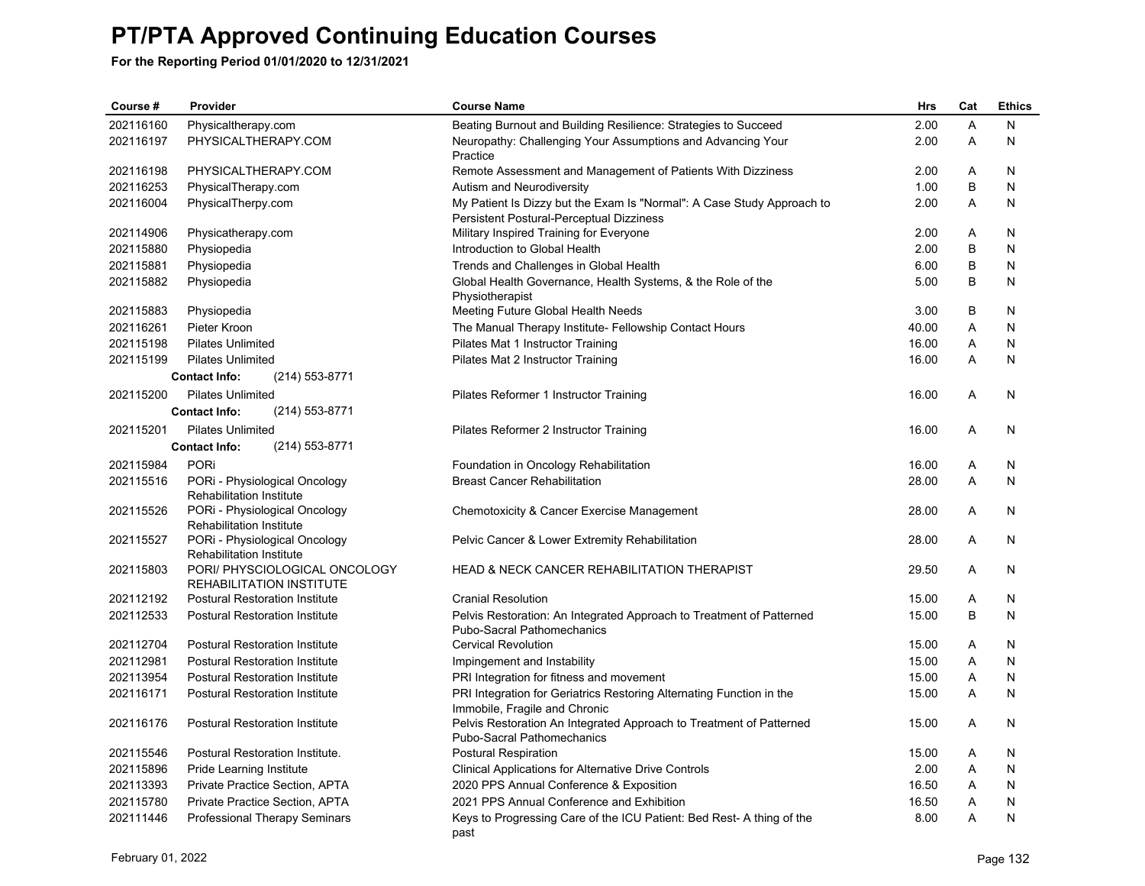| Course #  | Provider                                                         | <b>Course Name</b>                                                                                                 | <b>Hrs</b> | Cat | <b>Ethics</b> |
|-----------|------------------------------------------------------------------|--------------------------------------------------------------------------------------------------------------------|------------|-----|---------------|
| 202116160 | Physicaltherapy.com                                              | Beating Burnout and Building Resilience: Strategies to Succeed                                                     | 2.00       | A   | N             |
| 202116197 | PHYSICALTHERAPY.COM                                              | Neuropathy: Challenging Your Assumptions and Advancing Your<br>Practice                                            | 2.00       | A   | N             |
| 202116198 | PHYSICALTHERAPY.COM                                              | Remote Assessment and Management of Patients With Dizziness                                                        | 2.00       | A   | N             |
| 202116253 | PhysicalTherapy.com                                              | Autism and Neurodiversity                                                                                          | 1.00       | B   | N             |
| 202116004 | PhysicalTherpy.com                                               | My Patient Is Dizzy but the Exam Is "Normal": A Case Study Approach to<br>Persistent Postural-Perceptual Dizziness | 2.00       | Α   | N             |
| 202114906 | Physicatherapy.com                                               | Military Inspired Training for Everyone                                                                            | 2.00       | A   | N             |
| 202115880 | Physiopedia                                                      | Introduction to Global Health                                                                                      | 2.00       | B   | N             |
| 202115881 | Physiopedia                                                      | Trends and Challenges in Global Health                                                                             | 6.00       | B   | N             |
| 202115882 | Physiopedia                                                      | Global Health Governance, Health Systems, & the Role of the<br>Physiotherapist                                     | 5.00       | B   | N             |
| 202115883 | Physiopedia                                                      | Meeting Future Global Health Needs                                                                                 | 3.00       | B   | N             |
| 202116261 | Pieter Kroon                                                     | The Manual Therapy Institute- Fellowship Contact Hours                                                             | 40.00      | Α   | N             |
| 202115198 | <b>Pilates Unlimited</b>                                         | Pilates Mat 1 Instructor Training                                                                                  | 16.00      | A   | N             |
| 202115199 | <b>Pilates Unlimited</b>                                         | Pilates Mat 2 Instructor Training                                                                                  | 16.00      | A   | N             |
|           | (214) 553-8771<br><b>Contact Info:</b>                           |                                                                                                                    |            |     |               |
| 202115200 | <b>Pilates Unlimited</b>                                         | Pilates Reformer 1 Instructor Training                                                                             | 16.00      | A   | N             |
|           | (214) 553-8771<br><b>Contact Info:</b>                           |                                                                                                                    |            |     |               |
| 202115201 | <b>Pilates Unlimited</b>                                         | Pilates Reformer 2 Instructor Training                                                                             | 16.00      | A   | N             |
|           | (214) 553-8771<br><b>Contact Info:</b>                           |                                                                                                                    |            |     |               |
| 202115984 | PORi                                                             | Foundation in Oncology Rehabilitation                                                                              | 16.00      | A   | N             |
| 202115516 | PORi - Physiological Oncology<br><b>Rehabilitation Institute</b> | <b>Breast Cancer Rehabilitation</b>                                                                                | 28.00      | A   | N             |
| 202115526 | PORi - Physiological Oncology<br><b>Rehabilitation Institute</b> | Chemotoxicity & Cancer Exercise Management                                                                         | 28.00      | A   | N             |
| 202115527 | PORi - Physiological Oncology<br><b>Rehabilitation Institute</b> | Pelvic Cancer & Lower Extremity Rehabilitation                                                                     | 28.00      | A   | N             |
| 202115803 | PORI/ PHYSCIOLOGICAL ONCOLOGY<br><b>REHABILITATION INSTITUTE</b> | <b>HEAD &amp; NECK CANCER REHABILITATION THERAPIST</b>                                                             | 29.50      | Α   | N             |
| 202112192 | <b>Postural Restoration Institute</b>                            | <b>Cranial Resolution</b>                                                                                          | 15.00      | A   | N             |
| 202112533 | <b>Postural Restoration Institute</b>                            | Pelvis Restoration: An Integrated Approach to Treatment of Patterned<br><b>Pubo-Sacral Pathomechanics</b>          | 15.00      | B   | N             |
| 202112704 | <b>Postural Restoration Institute</b>                            | <b>Cervical Revolution</b>                                                                                         | 15.00      | A   | N             |
| 202112981 | <b>Postural Restoration Institute</b>                            | Impingement and Instability                                                                                        | 15.00      | A   | N             |
| 202113954 | <b>Postural Restoration Institute</b>                            | PRI Integration for fitness and movement                                                                           | 15.00      | A   | N             |
| 202116171 | <b>Postural Restoration Institute</b>                            | PRI Integration for Geriatrics Restoring Alternating Function in the<br>Immobile, Fragile and Chronic              | 15.00      | Α   | N             |
| 202116176 | Postural Restoration Institute                                   | Pelvis Restoration An Integrated Approach to Treatment of Patterned<br>Pubo-Sacral Pathomechanics                  | 15.00      | A   | N             |
| 202115546 | Postural Restoration Institute.                                  | <b>Postural Respiration</b>                                                                                        | 15.00      | Α   | N             |
| 202115896 | Pride Learning Institute                                         | <b>Clinical Applications for Alternative Drive Controls</b>                                                        | 2.00       | A   | N             |
| 202113393 | Private Practice Section, APTA                                   | 2020 PPS Annual Conference & Exposition                                                                            | 16.50      | A   | N             |
| 202115780 | Private Practice Section, APTA                                   | 2021 PPS Annual Conference and Exhibition                                                                          | 16.50      | A   | N             |
| 202111446 | <b>Professional Therapy Seminars</b>                             | Keys to Progressing Care of the ICU Patient: Bed Rest-A thing of the<br>past                                       | 8.00       | A   | N             |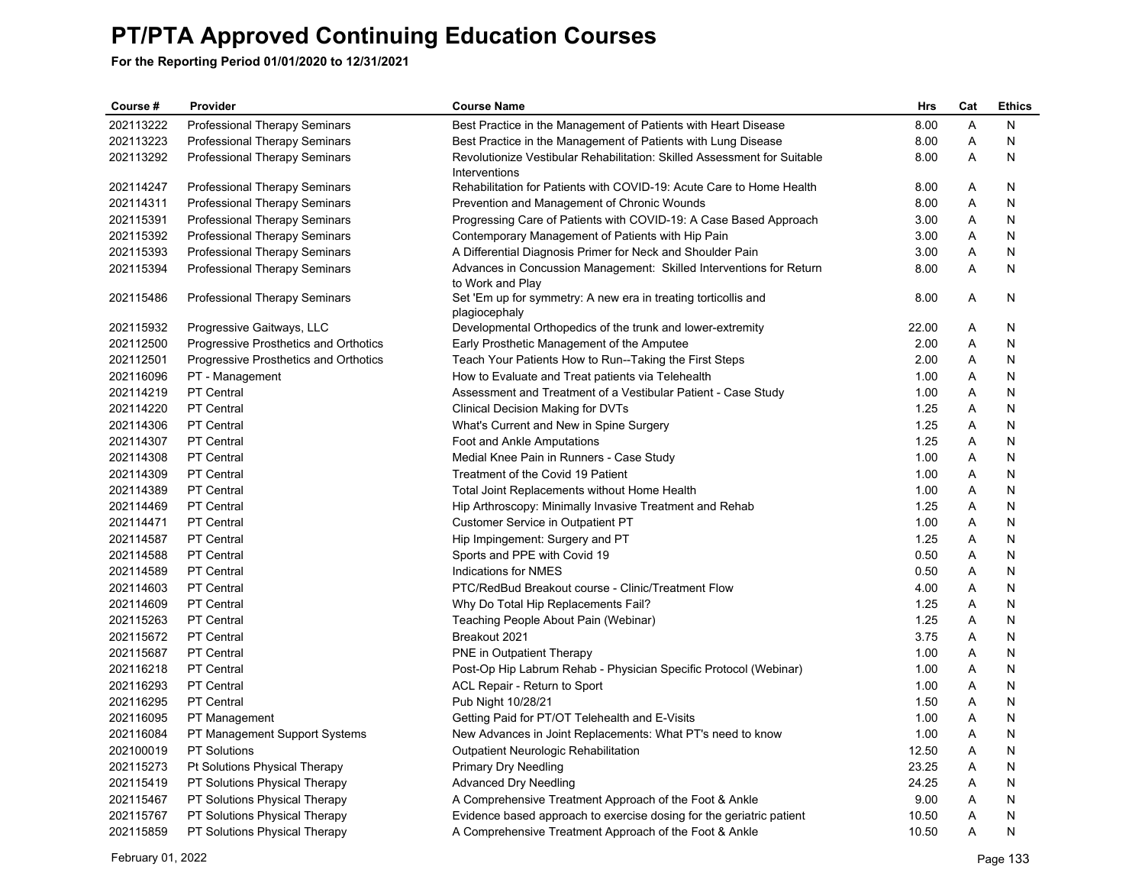| Course#   | Provider                              | <b>Course Name</b>                                                                        | Hrs   | Cat | <b>Ethics</b> |
|-----------|---------------------------------------|-------------------------------------------------------------------------------------------|-------|-----|---------------|
| 202113222 | Professional Therapy Seminars         | Best Practice in the Management of Patients with Heart Disease                            | 8.00  | Α   | N             |
| 202113223 | Professional Therapy Seminars         | Best Practice in the Management of Patients with Lung Disease                             | 8.00  | Α   | N             |
| 202113292 | Professional Therapy Seminars         | Revolutionize Vestibular Rehabilitation: Skilled Assessment for Suitable<br>Interventions | 8.00  | Α   | N             |
| 202114247 | Professional Therapy Seminars         | Rehabilitation for Patients with COVID-19: Acute Care to Home Health                      | 8.00  | A   | N             |
| 202114311 | Professional Therapy Seminars         | Prevention and Management of Chronic Wounds                                               | 8.00  | Α   | N             |
| 202115391 | Professional Therapy Seminars         | Progressing Care of Patients with COVID-19: A Case Based Approach                         | 3.00  | Α   | N             |
| 202115392 | Professional Therapy Seminars         | Contemporary Management of Patients with Hip Pain                                         | 3.00  | Α   | N             |
| 202115393 | Professional Therapy Seminars         | A Differential Diagnosis Primer for Neck and Shoulder Pain                                | 3.00  | A   | N             |
| 202115394 | Professional Therapy Seminars         | Advances in Concussion Management: Skilled Interventions for Return<br>to Work and Play   | 8.00  | Α   | N             |
| 202115486 | Professional Therapy Seminars         | Set 'Em up for symmetry: A new era in treating torticollis and<br>plagiocephaly           | 8.00  | Α   | N             |
| 202115932 | Progressive Gaitways, LLC             | Developmental Orthopedics of the trunk and lower-extremity                                | 22.00 | Α   | N             |
| 202112500 | Progressive Prosthetics and Orthotics | Early Prosthetic Management of the Amputee                                                | 2.00  | A   | N             |
| 202112501 | Progressive Prosthetics and Orthotics | Teach Your Patients How to Run--Taking the First Steps                                    | 2.00  | Α   | N             |
| 202116096 | PT - Management                       | How to Evaluate and Treat patients via Telehealth                                         | 1.00  | Α   | N             |
| 202114219 | <b>PT Central</b>                     | Assessment and Treatment of a Vestibular Patient - Case Study                             | 1.00  | Α   | N             |
| 202114220 | <b>PT Central</b>                     | Clinical Decision Making for DVTs                                                         | 1.25  | Α   | N             |
| 202114306 | <b>PT</b> Central                     | What's Current and New in Spine Surgery                                                   | 1.25  | Α   | N             |
| 202114307 | PT Central                            | Foot and Ankle Amputations                                                                | 1.25  | Α   | N             |
| 202114308 | <b>PT</b> Central                     | Medial Knee Pain in Runners - Case Study                                                  | 1.00  | Α   | N             |
| 202114309 | <b>PT</b> Central                     | Treatment of the Covid 19 Patient                                                         | 1.00  | Α   | N             |
| 202114389 | PT Central                            | Total Joint Replacements without Home Health                                              | 1.00  | Α   | N             |
| 202114469 | <b>PT</b> Central                     | Hip Arthroscopy: Minimally Invasive Treatment and Rehab                                   | 1.25  | Α   | N             |
| 202114471 | <b>PT</b> Central                     | Customer Service in Outpatient PT                                                         | 1.00  | Α   | N             |
| 202114587 | <b>PT Central</b>                     | Hip Impingement: Surgery and PT                                                           | 1.25  | Α   | N             |
| 202114588 | PT Central                            | Sports and PPE with Covid 19                                                              | 0.50  | A   | N             |
| 202114589 | <b>PT</b> Central                     | Indications for NMES                                                                      | 0.50  | A   | N             |
| 202114603 | <b>PT</b> Central                     | PTC/RedBud Breakout course - Clinic/Treatment Flow                                        | 4.00  | Α   | N             |
| 202114609 | <b>PT</b> Central                     | Why Do Total Hip Replacements Fail?                                                       | 1.25  | Α   | N             |
| 202115263 | <b>PT</b> Central                     | Teaching People About Pain (Webinar)                                                      | 1.25  | A   | N             |
| 202115672 | <b>PT</b> Central                     | Breakout 2021                                                                             | 3.75  | Α   | N             |
| 202115687 | <b>PT</b> Central                     | PNE in Outpatient Therapy                                                                 | 1.00  | Α   | N             |
| 202116218 | PT Central                            | Post-Op Hip Labrum Rehab - Physician Specific Protocol (Webinar)                          | 1.00  | Α   | N             |
| 202116293 | <b>PT</b> Central                     | ACL Repair - Return to Sport                                                              | 1.00  | A   | N             |
| 202116295 | <b>PT</b> Central                     | Pub Night 10/28/21                                                                        | 1.50  | Α   | N             |
| 202116095 | PT Management                         | Getting Paid for PT/OT Telehealth and E-Visits                                            | 1.00  | Α   | N             |
| 202116084 | PT Management Support Systems         | New Advances in Joint Replacements: What PT's need to know                                | 1.00  | Α   | N             |
| 202100019 | <b>PT Solutions</b>                   | <b>Outpatient Neurologic Rehabilitation</b>                                               | 12.50 | A   | N             |
| 202115273 | Pt Solutions Physical Therapy         | <b>Primary Dry Needling</b>                                                               | 23.25 | Α   | N             |
| 202115419 | PT Solutions Physical Therapy         | Advanced Dry Needling                                                                     | 24.25 | A   | N             |
| 202115467 | PT Solutions Physical Therapy         | A Comprehensive Treatment Approach of the Foot & Ankle                                    | 9.00  | A   | N             |
| 202115767 | PT Solutions Physical Therapy         | Evidence based approach to exercise dosing for the geriatric patient                      | 10.50 | Α   | N             |
| 202115859 | PT Solutions Physical Therapy         | A Comprehensive Treatment Approach of the Foot & Ankle                                    | 10.50 | A   | N             |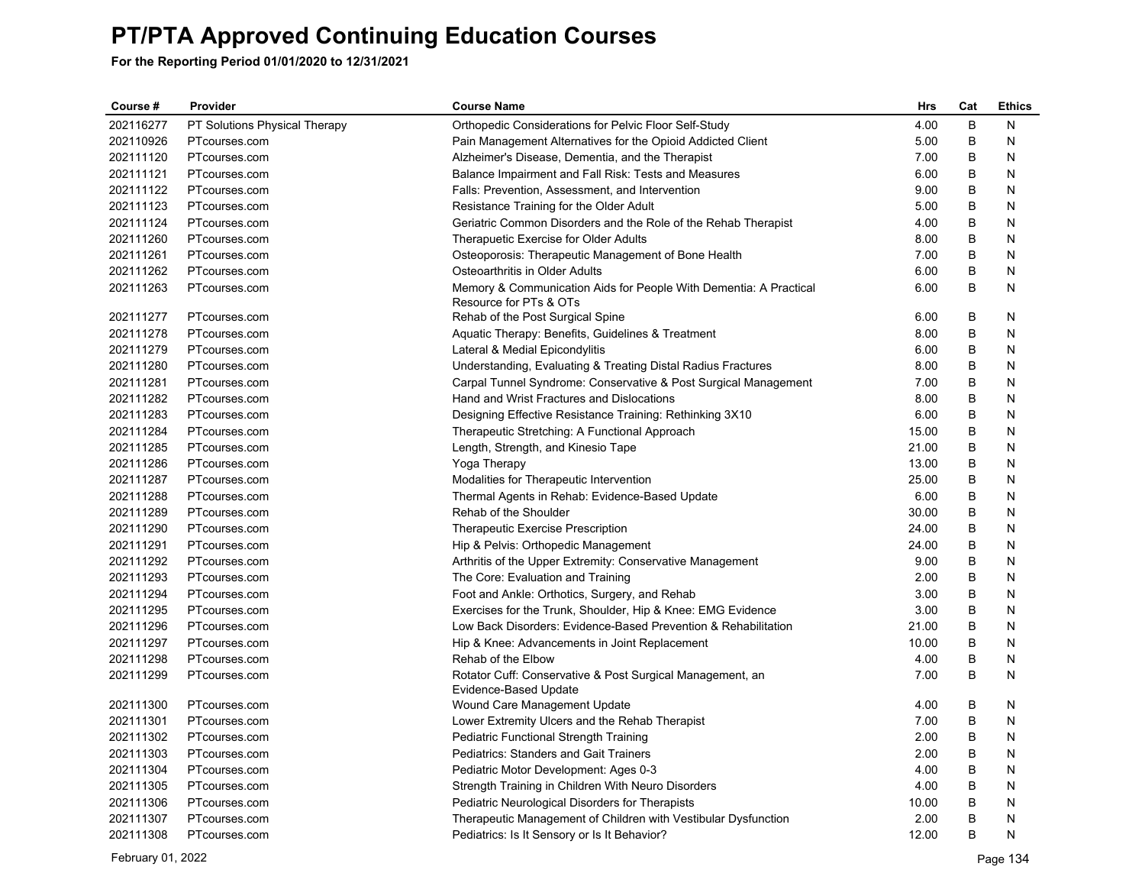| Course #  | Provider                      | <b>Course Name</b>                                                                          | Hrs   | Cat | <b>Ethics</b> |
|-----------|-------------------------------|---------------------------------------------------------------------------------------------|-------|-----|---------------|
| 202116277 | PT Solutions Physical Therapy | Orthopedic Considerations for Pelvic Floor Self-Study                                       | 4.00  | B   | N             |
| 202110926 | PTcourses.com                 | Pain Management Alternatives for the Opioid Addicted Client                                 | 5.00  | B   | N             |
| 202111120 | PTcourses.com                 | Alzheimer's Disease, Dementia, and the Therapist                                            | 7.00  | B   | N             |
| 202111121 | PTcourses.com                 | Balance Impairment and Fall Risk: Tests and Measures                                        | 6.00  | B   | N             |
| 202111122 | PTcourses.com                 | Falls: Prevention, Assessment, and Intervention                                             | 9.00  | B   | N             |
| 202111123 | PTcourses.com                 | Resistance Training for the Older Adult                                                     | 5.00  | B   | N             |
| 202111124 | PTcourses.com                 | Geriatric Common Disorders and the Role of the Rehab Therapist                              | 4.00  | B   | N             |
| 202111260 | PTcourses.com                 | Therapuetic Exercise for Older Adults                                                       | 8.00  | B   | N             |
| 202111261 | PTcourses.com                 | Osteoporosis: Therapeutic Management of Bone Health                                         | 7.00  | B   | N             |
| 202111262 | PTcourses.com                 | Osteoarthritis in Older Adults                                                              | 6.00  | B   | N             |
| 202111263 | PTcourses.com                 | Memory & Communication Aids for People With Dementia: A Practical<br>Resource for PTs & OTs | 6.00  | B   | Ν             |
| 202111277 | PTcourses.com                 | Rehab of the Post Surgical Spine                                                            | 6.00  | B   | N             |
| 202111278 | PTcourses.com                 | Aquatic Therapy: Benefits, Guidelines & Treatment                                           | 8.00  | B   | N             |
| 202111279 | PTcourses.com                 | Lateral & Medial Epicondylitis                                                              | 6.00  | B   | N             |
| 202111280 | PTcourses.com                 | Understanding, Evaluating & Treating Distal Radius Fractures                                | 8.00  | B   | N             |
| 202111281 | PTcourses.com                 | Carpal Tunnel Syndrome: Conservative & Post Surgical Management                             | 7.00  | B   | N             |
| 202111282 | PTcourses.com                 | Hand and Wrist Fractures and Dislocations                                                   | 8.00  | B   | N             |
| 202111283 | PTcourses.com                 | Designing Effective Resistance Training: Rethinking 3X10                                    | 6.00  | B   | N             |
| 202111284 | PTcourses.com                 | Therapeutic Stretching: A Functional Approach                                               | 15.00 | B   | N             |
| 202111285 | PTcourses.com                 | Length, Strength, and Kinesio Tape                                                          | 21.00 | B   | N             |
| 202111286 | PTcourses.com                 | Yoga Therapy                                                                                | 13.00 | B   | N             |
| 202111287 | PTcourses.com                 | Modalities for Therapeutic Intervention                                                     | 25.00 | B   | N             |
| 202111288 | PTcourses.com                 | Thermal Agents in Rehab: Evidence-Based Update                                              | 6.00  | B   | N             |
| 202111289 | PTcourses.com                 | Rehab of the Shoulder                                                                       | 30.00 | B   | N             |
| 202111290 | PTcourses.com                 | <b>Therapeutic Exercise Prescription</b>                                                    | 24.00 | B   | N             |
| 202111291 | PTcourses.com                 | Hip & Pelvis: Orthopedic Management                                                         | 24.00 | B   | N             |
| 202111292 | PTcourses.com                 | Arthritis of the Upper Extremity: Conservative Management                                   | 9.00  | B   | N             |
| 202111293 | PTcourses.com                 | The Core: Evaluation and Training                                                           | 2.00  | B   | N             |
| 202111294 | PTcourses.com                 | Foot and Ankle: Orthotics, Surgery, and Rehab                                               | 3.00  | B   | N             |
| 202111295 | PTcourses.com                 | Exercises for the Trunk, Shoulder, Hip & Knee: EMG Evidence                                 | 3.00  | B   | N             |
| 202111296 | PTcourses.com                 | Low Back Disorders: Evidence-Based Prevention & Rehabilitation                              | 21.00 | B   | N             |
| 202111297 | PTcourses.com                 | Hip & Knee: Advancements in Joint Replacement                                               | 10.00 | B   | N             |
| 202111298 | PTcourses.com                 | Rehab of the Elbow                                                                          | 4.00  | B   | N             |
| 202111299 | PTcourses.com                 | Rotator Cuff: Conservative & Post Surgical Management, an<br>Evidence-Based Update          | 7.00  | B   | Ν             |
| 202111300 | PTcourses.com                 | Wound Care Management Update                                                                | 4.00  | B   | N             |
| 202111301 | PTcourses.com                 | Lower Extremity Ulcers and the Rehab Therapist                                              | 7.00  | B   | N             |
| 202111302 | PTcourses.com                 | Pediatric Functional Strength Training                                                      | 2.00  | B   | N             |
| 202111303 | PTcourses.com                 | <b>Pediatrics: Standers and Gait Trainers</b>                                               | 2.00  | B   | N             |
| 202111304 | PTcourses.com                 | Pediatric Motor Development: Ages 0-3                                                       | 4.00  | B   | N             |
| 202111305 | PTcourses.com                 | Strength Training in Children With Neuro Disorders                                          | 4.00  | B   | N             |
| 202111306 | PTcourses.com                 | Pediatric Neurological Disorders for Therapists                                             | 10.00 | B   | N             |
| 202111307 | PTcourses.com                 | Therapeutic Management of Children with Vestibular Dysfunction                              | 2.00  | B   | N             |
| 202111308 | PTcourses.com                 | Pediatrics: Is It Sensory or Is It Behavior?                                                | 12.00 | B   | N             |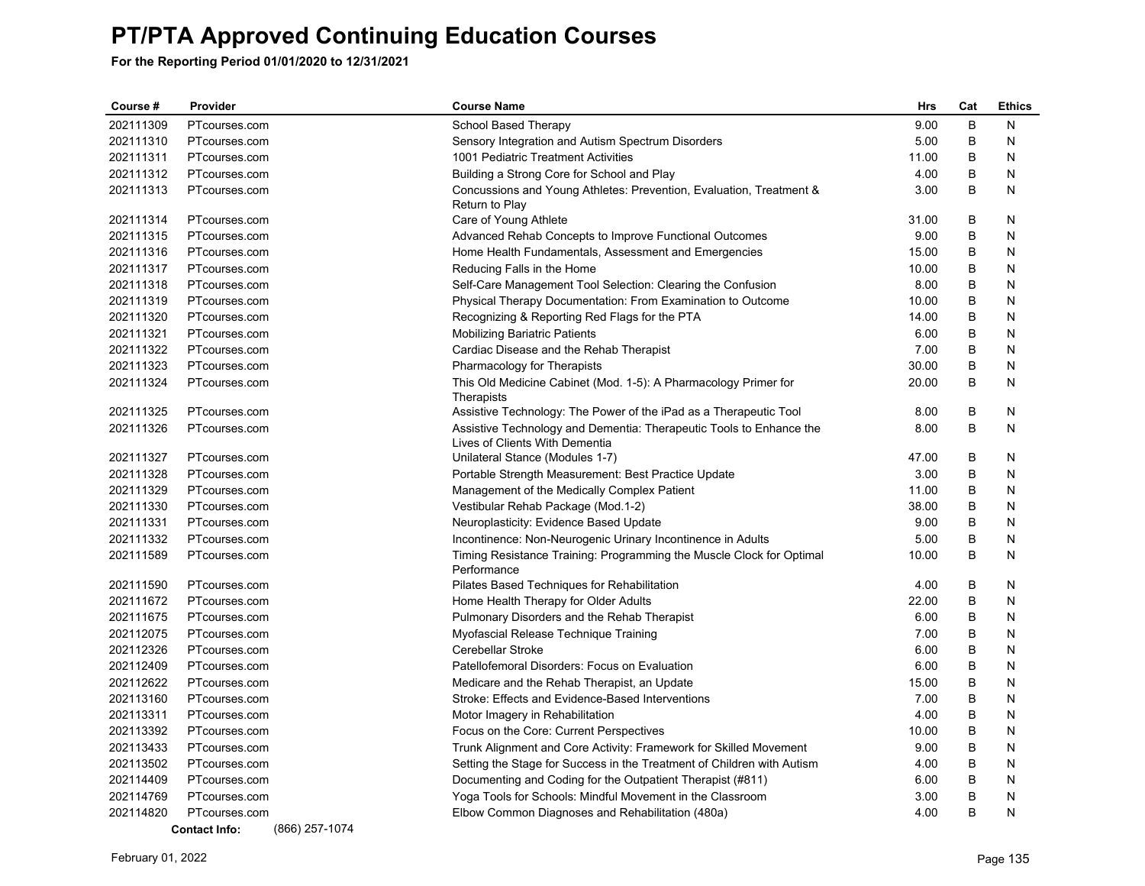| Course #  | Provider             | <b>Course Name</b>                                                              | <b>Hrs</b> | Cat     | <b>Ethics</b> |
|-----------|----------------------|---------------------------------------------------------------------------------|------------|---------|---------------|
| 202111309 | PTcourses.com        | School Based Therapy                                                            | 9.00       | B       | N             |
| 202111310 | PTcourses.com        | Sensory Integration and Autism Spectrum Disorders                               | 5.00       | В       | N             |
| 202111311 | PTcourses.com        | 1001 Pediatric Treatment Activities                                             | 11.00      | $\sf B$ | N             |
| 202111312 | PTcourses.com        | Building a Strong Core for School and Play                                      | 4.00       | B       | N             |
| 202111313 | PTcourses.com        | Concussions and Young Athletes: Prevention, Evaluation, Treatment &             | 3.00       | B       | N             |
|           |                      | Return to Play                                                                  |            |         |               |
| 202111314 | PTcourses.com        | Care of Young Athlete                                                           | 31.00      | B       | N             |
| 202111315 | PTcourses.com        | Advanced Rehab Concepts to Improve Functional Outcomes                          | 9.00       | B       | N             |
| 202111316 | PTcourses.com        | Home Health Fundamentals, Assessment and Emergencies                            | 15.00      | B       | N             |
| 202111317 | PTcourses.com        | Reducing Falls in the Home                                                      | 10.00      | B       | N             |
| 202111318 | PTcourses.com        | Self-Care Management Tool Selection: Clearing the Confusion                     | 8.00       | B       | N             |
| 202111319 | PTcourses.com        | Physical Therapy Documentation: From Examination to Outcome                     | 10.00      | B       | N             |
| 202111320 | PTcourses.com        | Recognizing & Reporting Red Flags for the PTA                                   | 14.00      | B       | N             |
| 202111321 | PTcourses.com        | Mobilizing Bariatric Patients                                                   | 6.00       | B       | N             |
| 202111322 | PTcourses.com        | Cardiac Disease and the Rehab Therapist                                         | 7.00       | B       | N             |
| 202111323 | PTcourses.com        | Pharmacology for Therapists                                                     | 30.00      | B       | N             |
| 202111324 | PTcourses.com        | This Old Medicine Cabinet (Mod. 1-5): A Pharmacology Primer for                 | 20.00      | B       | N             |
| 202111325 | PTcourses.com        | Therapists<br>Assistive Technology: The Power of the iPad as a Therapeutic Tool | 8.00       | B       | N             |
| 202111326 | PTcourses.com        | Assistive Technology and Dementia: Therapeutic Tools to Enhance the             | 8.00       | B       | N             |
|           |                      | Lives of Clients With Dementia                                                  |            |         |               |
| 202111327 | PTcourses.com        | Unilateral Stance (Modules 1-7)                                                 | 47.00      | B       | N             |
| 202111328 | PTcourses.com        | Portable Strength Measurement: Best Practice Update                             | 3.00       | B       | N             |
| 202111329 | PTcourses.com        | Management of the Medically Complex Patient                                     | 11.00      | B       | N             |
| 202111330 | PTcourses.com        | Vestibular Rehab Package (Mod.1-2)                                              | 38.00      | B       | N             |
| 202111331 | PTcourses.com        | Neuroplasticity: Evidence Based Update                                          | 9.00       | B       | N             |
| 202111332 | PTcourses.com        | Incontinence: Non-Neurogenic Urinary Incontinence in Adults                     | 5.00       | B       | N             |
| 202111589 | PTcourses.com        | Timing Resistance Training: Programming the Muscle Clock for Optimal            | 10.00      | B       | N             |
|           |                      | Performance                                                                     |            |         |               |
| 202111590 | PTcourses.com        | Pilates Based Techniques for Rehabilitation                                     | 4.00       | B       | N             |
| 202111672 | PTcourses.com        | Home Health Therapy for Older Adults                                            | 22.00      | B       | N             |
| 202111675 | PTcourses.com        | Pulmonary Disorders and the Rehab Therapist                                     | 6.00       | B       | N             |
| 202112075 | PTcourses.com        | Myofascial Release Technique Training                                           | 7.00       | B       | N             |
| 202112326 | PTcourses.com        | Cerebellar Stroke                                                               | 6.00       | B       | N             |
| 202112409 | PTcourses.com        | Patellofemoral Disorders: Focus on Evaluation                                   | 6.00       | B       | N             |
| 202112622 | PTcourses.com        | Medicare and the Rehab Therapist, an Update                                     | 15.00      | B       | Ν             |
| 202113160 | PTcourses.com        | Stroke: Effects and Evidence-Based Interventions                                | 7.00       | B       | N             |
| 202113311 | PTcourses.com        | Motor Imagery in Rehabilitation                                                 | 4.00       | B       | N             |
| 202113392 | PTcourses.com        | Focus on the Core: Current Perspectives                                         | 10.00      | B       | N             |
| 202113433 | PTcourses.com        | Trunk Alignment and Core Activity: Framework for Skilled Movement               | 9.00       | B       | N             |
| 202113502 | PTcourses.com        | Setting the Stage for Success in the Treatment of Children with Autism          | 4.00       | B       | N             |
| 202114409 | PTcourses.com        | Documenting and Coding for the Outpatient Therapist (#811)                      | 6.00       | B       | N             |
| 202114769 | PTcourses.com        | Yoga Tools for Schools: Mindful Movement in the Classroom                       | 3.00       | B       | N             |
| 202114820 | PTcourses.com        | Elbow Common Diagnoses and Rehabilitation (480a)                                | 4.00       | B       | N             |
|           | <b>Contact Info:</b> | (866) 257-1074                                                                  |            |         |               |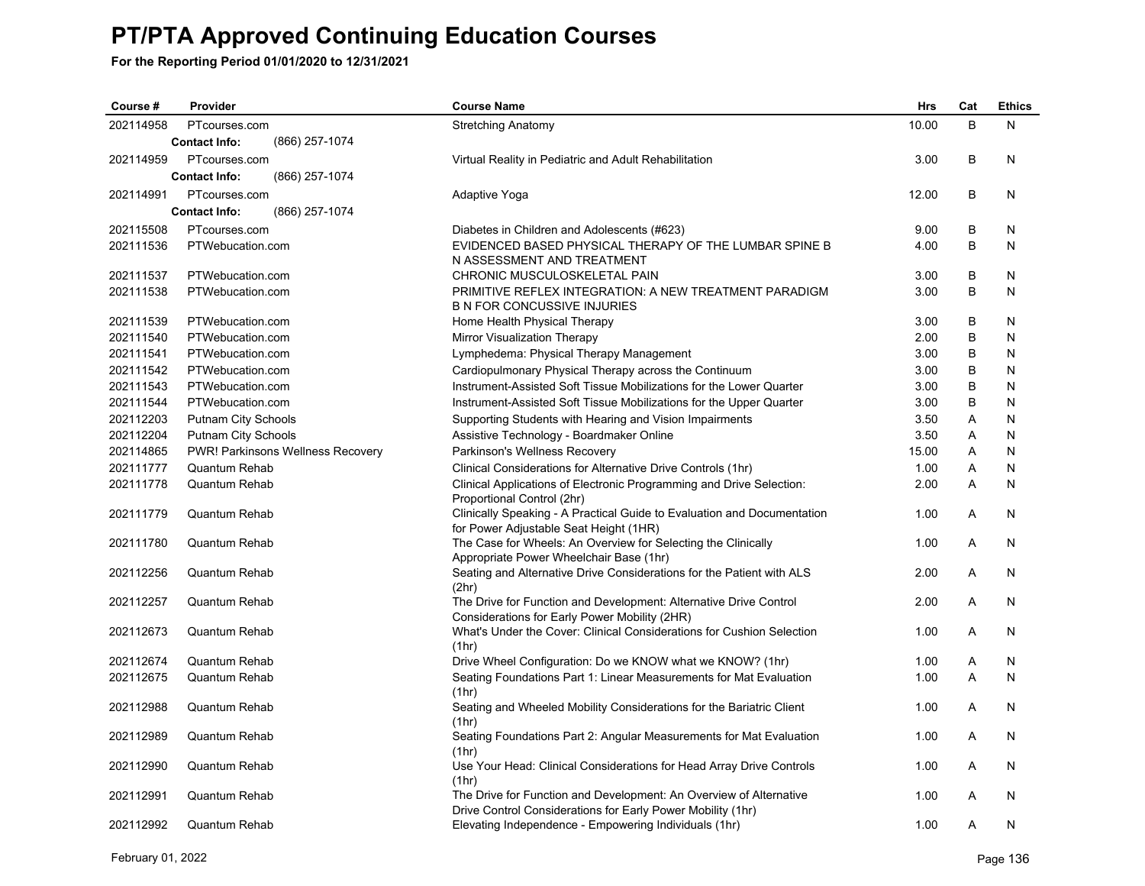| Course #  | Provider                               | <b>Course Name</b>                                                                                                                | <b>Hrs</b> | Cat | <b>Ethics</b> |
|-----------|----------------------------------------|-----------------------------------------------------------------------------------------------------------------------------------|------------|-----|---------------|
| 202114958 | PTcourses.com                          | <b>Stretching Anatomy</b>                                                                                                         | 10.00      | B   | N             |
|           | (866) 257-1074<br><b>Contact Info:</b> |                                                                                                                                   |            |     |               |
| 202114959 | PTcourses.com                          | Virtual Reality in Pediatric and Adult Rehabilitation                                                                             | 3.00       | B   | N             |
|           | <b>Contact Info:</b><br>(866) 257-1074 |                                                                                                                                   |            |     |               |
| 202114991 | PTcourses.com                          | Adaptive Yoga                                                                                                                     | 12.00      | B   | N             |
|           | (866) 257-1074<br><b>Contact Info:</b> |                                                                                                                                   |            |     |               |
| 202115508 | PTcourses.com                          | Diabetes in Children and Adolescents (#623)                                                                                       | 9.00       | B   | N             |
| 202111536 | PTWebucation.com                       | EVIDENCED BASED PHYSICAL THERAPY OF THE LUMBAR SPINE B                                                                            | 4.00       | B   | N             |
|           |                                        | N ASSESSMENT AND TREATMENT                                                                                                        |            |     |               |
| 202111537 | PTWebucation.com                       | CHRONIC MUSCULOSKELETAL PAIN                                                                                                      | 3.00       | B   | N             |
| 202111538 | PTWebucation.com                       | PRIMITIVE REFLEX INTEGRATION: A NEW TREATMENT PARADIGM<br><b>B N FOR CONCUSSIVE INJURIES</b>                                      | 3.00       | B   | N             |
| 202111539 | PTWebucation.com                       | Home Health Physical Therapy                                                                                                      | 3.00       | B   | N             |
| 202111540 | PTWebucation.com                       | Mirror Visualization Therapy                                                                                                      | 2.00       | B   | N             |
| 202111541 | PTWebucation.com                       | Lymphedema: Physical Therapy Management                                                                                           | 3.00       | B   | N             |
| 202111542 | PTWebucation.com                       | Cardiopulmonary Physical Therapy across the Continuum                                                                             | 3.00       | B   | N             |
| 202111543 | PTWebucation.com                       | Instrument-Assisted Soft Tissue Mobilizations for the Lower Quarter                                                               | 3.00       | B   | N             |
| 202111544 | PTWebucation.com                       | Instrument-Assisted Soft Tissue Mobilizations for the Upper Quarter                                                               | 3.00       | B   | N             |
| 202112203 | <b>Putnam City Schools</b>             | Supporting Students with Hearing and Vision Impairments                                                                           | 3.50       | Α   | N             |
| 202112204 | Putnam City Schools                    | Assistive Technology - Boardmaker Online                                                                                          | 3.50       | Α   | N             |
| 202114865 | PWR! Parkinsons Wellness Recovery      | Parkinson's Wellness Recovery                                                                                                     | 15.00      | A   | N             |
| 202111777 | Quantum Rehab                          | Clinical Considerations for Alternative Drive Controls (1hr)                                                                      | 1.00       | Α   | N             |
| 202111778 | Quantum Rehab                          | Clinical Applications of Electronic Programming and Drive Selection:<br>Proportional Control (2hr)                                | 2.00       | Α   | N             |
| 202111779 | Quantum Rehab                          | Clinically Speaking - A Practical Guide to Evaluation and Documentation<br>for Power Adjustable Seat Height (1HR)                 | 1.00       | A   | N             |
| 202111780 | <b>Quantum Rehab</b>                   | The Case for Wheels: An Overview for Selecting the Clinically<br>Appropriate Power Wheelchair Base (1hr)                          | 1.00       | A   | N             |
| 202112256 | Quantum Rehab                          | Seating and Alternative Drive Considerations for the Patient with ALS<br>(2hr)                                                    | 2.00       | Α   | N             |
| 202112257 | Quantum Rehab                          | The Drive for Function and Development: Alternative Drive Control<br>Considerations for Early Power Mobility (2HR)                | 2.00       | A   | N             |
| 202112673 | Quantum Rehab                          | What's Under the Cover: Clinical Considerations for Cushion Selection<br>(1hr)                                                    | 1.00       | Α   | N             |
| 202112674 | Quantum Rehab                          | Drive Wheel Configuration: Do we KNOW what we KNOW? (1hr)                                                                         | 1.00       | Α   | N             |
| 202112675 | Quantum Rehab                          | Seating Foundations Part 1: Linear Measurements for Mat Evaluation<br>(1hr)                                                       | 1.00       | A   | N             |
| 202112988 | <b>Quantum Rehab</b>                   | Seating and Wheeled Mobility Considerations for the Bariatric Client<br>(1hr)                                                     | 1.00       | A   | N             |
| 202112989 | <b>Quantum Rehab</b>                   | Seating Foundations Part 2: Angular Measurements for Mat Evaluation<br>(1hr)                                                      | 1.00       | A   | N             |
| 202112990 | <b>Quantum Rehab</b>                   | Use Your Head: Clinical Considerations for Head Array Drive Controls<br>(1hr)                                                     | 1.00       | A   | N             |
| 202112991 | Quantum Rehab                          | The Drive for Function and Development: An Overview of Alternative<br>Drive Control Considerations for Early Power Mobility (1hr) | 1.00       | A   | N             |
| 202112992 | Quantum Rehab                          | Elevating Independence - Empowering Individuals (1hr)                                                                             | 1.00       | A   | N             |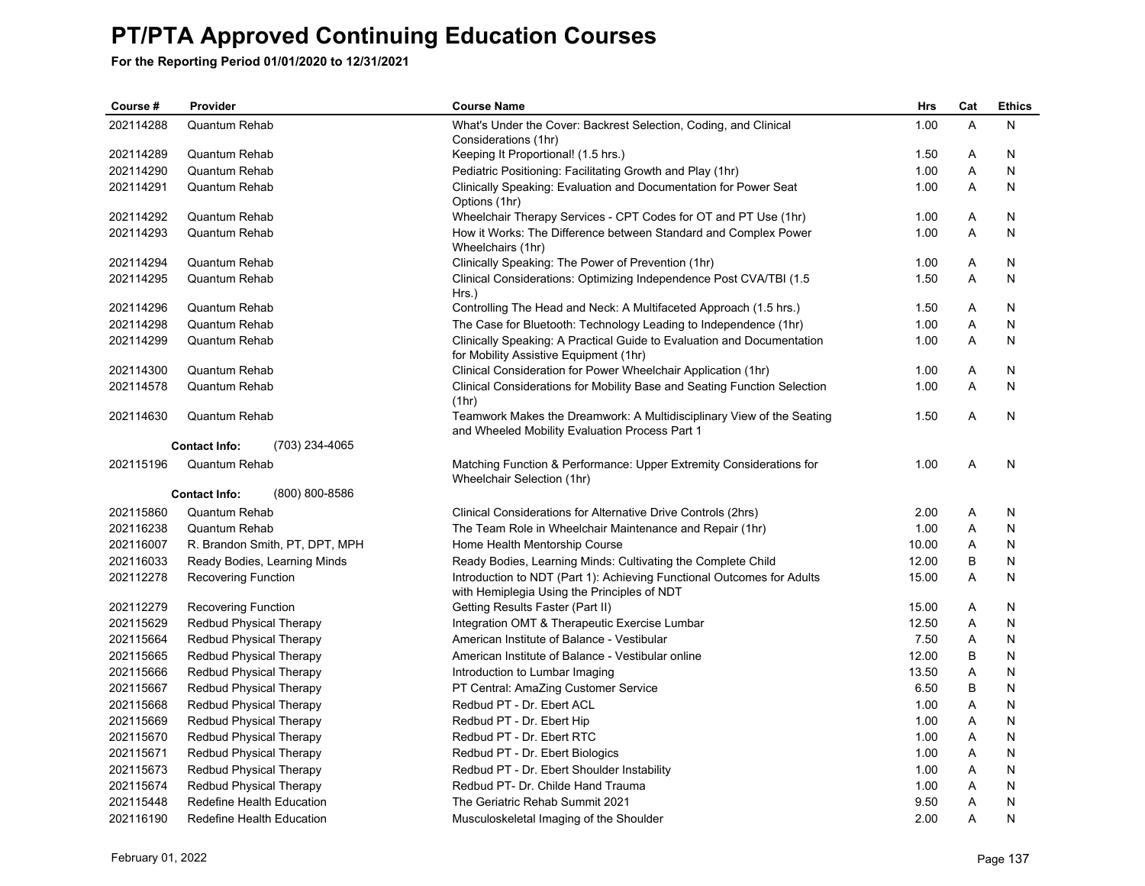| Course #  | Provider                               | <b>Course Name</b>                                                                                                      | Hrs   | Cat            | <b>Ethics</b> |
|-----------|----------------------------------------|-------------------------------------------------------------------------------------------------------------------------|-------|----------------|---------------|
| 202114288 | Quantum Rehab                          | What's Under the Cover: Backrest Selection, Coding, and Clinical                                                        | 1.00  | $\overline{A}$ | N             |
|           |                                        | Considerations (1hr)                                                                                                    |       |                |               |
| 202114289 | Quantum Rehab                          | Keeping It Proportional! (1.5 hrs.)                                                                                     | 1.50  | A              | N             |
| 202114290 | <b>Quantum Rehab</b>                   | Pediatric Positioning: Facilitating Growth and Play (1hr)                                                               | 1.00  | Α              | N             |
| 202114291 | Quantum Rehab                          | Clinically Speaking: Evaluation and Documentation for Power Seat<br>Options (1hr)                                       | 1.00  | A              | N             |
| 202114292 | Quantum Rehab                          | Wheelchair Therapy Services - CPT Codes for OT and PT Use (1hr)                                                         | 1.00  | Α              | N             |
| 202114293 | Quantum Rehab                          | How it Works: The Difference between Standard and Complex Power<br>Wheelchairs (1hr)                                    | 1.00  | A              | N             |
| 202114294 | <b>Quantum Rehab</b>                   | Clinically Speaking: The Power of Prevention (1hr)                                                                      | 1.00  | Α              | N             |
| 202114295 | Quantum Rehab                          | Clinical Considerations: Optimizing Independence Post CVA/TBI (1.5)<br>Hrs.)                                            | 1.50  | A              | N             |
| 202114296 | Quantum Rehab                          | Controlling The Head and Neck: A Multifaceted Approach (1.5 hrs.)                                                       | 1.50  | A              | N             |
| 202114298 | <b>Quantum Rehab</b>                   | The Case for Bluetooth: Technology Leading to Independence (1hr)                                                        | 1.00  | Α              | N             |
| 202114299 | <b>Quantum Rehab</b>                   | Clinically Speaking: A Practical Guide to Evaluation and Documentation<br>for Mobility Assistive Equipment (1hr)        | 1.00  | A              | N             |
| 202114300 | Quantum Rehab                          | Clinical Consideration for Power Wheelchair Application (1hr)                                                           | 1.00  | Α              | N             |
| 202114578 | <b>Quantum Rehab</b>                   | Clinical Considerations for Mobility Base and Seating Function Selection<br>(1hr)                                       | 1.00  | A              | N             |
| 202114630 | <b>Quantum Rehab</b>                   | Teamwork Makes the Dreamwork: A Multidisciplinary View of the Seating<br>and Wheeled Mobility Evaluation Process Part 1 | 1.50  | A              | N             |
|           | (703) 234-4065<br><b>Contact Info:</b> |                                                                                                                         |       |                |               |
| 202115196 | Quantum Rehab                          | Matching Function & Performance: Upper Extremity Considerations for<br>Wheelchair Selection (1hr)                       | 1.00  | A              | N             |
|           | (800) 800-8586<br><b>Contact Info:</b> |                                                                                                                         |       |                |               |
| 202115860 | Quantum Rehab                          | Clinical Considerations for Alternative Drive Controls (2hrs)                                                           | 2.00  | Α              | N             |
| 202116238 | Quantum Rehab                          | The Team Role in Wheelchair Maintenance and Repair (1hr)                                                                | 1.00  | Α              | N             |
| 202116007 | R. Brandon Smith, PT, DPT, MPH         | Home Health Mentorship Course                                                                                           | 10.00 | A              | N             |
| 202116033 | Ready Bodies, Learning Minds           | Ready Bodies, Learning Minds: Cultivating the Complete Child                                                            | 12.00 | В              | N             |
| 202112278 | <b>Recovering Function</b>             | Introduction to NDT (Part 1): Achieving Functional Outcomes for Adults<br>with Hemiplegia Using the Principles of NDT   | 15.00 | Α              | N             |
| 202112279 | <b>Recovering Function</b>             | Getting Results Faster (Part II)                                                                                        | 15.00 | Α              | N             |
| 202115629 | <b>Redbud Physical Therapy</b>         | Integration OMT & Therapeutic Exercise Lumbar                                                                           | 12.50 | Α              | N             |
| 202115664 | Redbud Physical Therapy                | American Institute of Balance - Vestibular                                                                              | 7.50  | A              | N             |
| 202115665 | Redbud Physical Therapy                | American Institute of Balance - Vestibular online                                                                       | 12.00 | В              | N             |
| 202115666 | Redbud Physical Therapy                | Introduction to Lumbar Imaging                                                                                          | 13.50 | Α              | N             |
| 202115667 | <b>Redbud Physical Therapy</b>         | PT Central: AmaZing Customer Service                                                                                    | 6.50  | B              | N             |
| 202115668 | Redbud Physical Therapy                | Redbud PT - Dr. Ebert ACL                                                                                               | 1.00  | A              | N             |
| 202115669 | Redbud Physical Therapy                | Redbud PT - Dr. Ebert Hip                                                                                               | 1.00  | Α              | N             |
| 202115670 | Redbud Physical Therapy                | Redbud PT - Dr. Ebert RTC                                                                                               | 1.00  | Α              | N             |
| 202115671 | Redbud Physical Therapy                | Redbud PT - Dr. Ebert Biologics                                                                                         | 1.00  | A              | N             |
| 202115673 | Redbud Physical Therapy                | Redbud PT - Dr. Ebert Shoulder Instability                                                                              | 1.00  | Α              | N             |
| 202115674 | <b>Redbud Physical Therapy</b>         | Redbud PT- Dr. Childe Hand Trauma                                                                                       | 1.00  | Α              | N             |
| 202115448 | Redefine Health Education              | The Geriatric Rehab Summit 2021                                                                                         | 9.50  | Α              | N             |
| 202116190 | Redefine Health Education              | Musculoskeletal Imaging of the Shoulder                                                                                 | 2.00  | A              | N             |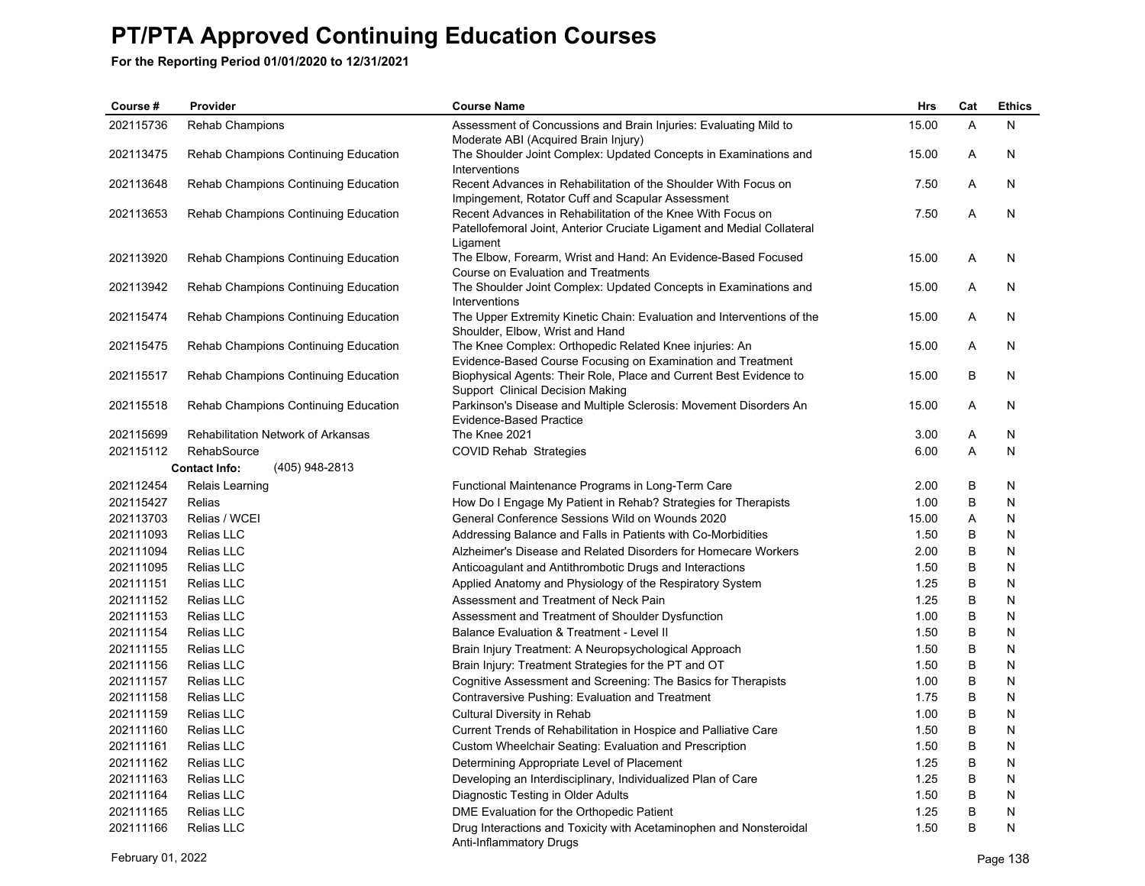| Course #  | Provider                               | <b>Course Name</b>                                                                                                                                | <b>Hrs</b> | Cat | <b>Ethics</b> |
|-----------|----------------------------------------|---------------------------------------------------------------------------------------------------------------------------------------------------|------------|-----|---------------|
| 202115736 | <b>Rehab Champions</b>                 | Assessment of Concussions and Brain Injuries: Evaluating Mild to<br>Moderate ABI (Acquired Brain Injury)                                          | 15.00      | A   | N             |
| 202113475 | Rehab Champions Continuing Education   | The Shoulder Joint Complex: Updated Concepts in Examinations and<br>Interventions                                                                 | 15.00      | A   | N             |
| 202113648 | Rehab Champions Continuing Education   | Recent Advances in Rehabilitation of the Shoulder With Focus on<br>Impingement, Rotator Cuff and Scapular Assessment                              | 7.50       | A   | N             |
| 202113653 | Rehab Champions Continuing Education   | Recent Advances in Rehabilitation of the Knee With Focus on<br>Patellofemoral Joint, Anterior Cruciate Ligament and Medial Collateral<br>Ligament | 7.50       | A   | N             |
| 202113920 | Rehab Champions Continuing Education   | The Elbow, Forearm, Wrist and Hand: An Evidence-Based Focused<br>Course on Evaluation and Treatments                                              | 15.00      | A   | N             |
| 202113942 | Rehab Champions Continuing Education   | The Shoulder Joint Complex: Updated Concepts in Examinations and<br>Interventions                                                                 | 15.00      | Α   | N             |
| 202115474 | Rehab Champions Continuing Education   | The Upper Extremity Kinetic Chain: Evaluation and Interventions of the<br>Shoulder, Elbow, Wrist and Hand                                         | 15.00      | A   | N             |
| 202115475 | Rehab Champions Continuing Education   | The Knee Complex: Orthopedic Related Knee injuries: An<br>Evidence-Based Course Focusing on Examination and Treatment                             | 15.00      | A   | N             |
| 202115517 | Rehab Champions Continuing Education   | Biophysical Agents: Their Role, Place and Current Best Evidence to<br>Support Clinical Decision Making                                            | 15.00      | B   | N             |
| 202115518 | Rehab Champions Continuing Education   | Parkinson's Disease and Multiple Sclerosis: Movement Disorders An<br><b>Evidence-Based Practice</b>                                               | 15.00      | A   | N             |
| 202115699 | Rehabilitation Network of Arkansas     | The Knee 2021                                                                                                                                     | 3.00       | A   | N             |
| 202115112 | RehabSource                            | COVID Rehab Strategies                                                                                                                            | 6.00       | A   | N             |
|           | <b>Contact Info:</b><br>(405) 948-2813 |                                                                                                                                                   |            |     |               |
| 202112454 | Relais Learning                        | Functional Maintenance Programs in Long-Term Care                                                                                                 | 2.00       | B   | N             |
| 202115427 | <b>Relias</b>                          | How Do I Engage My Patient in Rehab? Strategies for Therapists                                                                                    | 1.00       | B   | N             |
| 202113703 | Relias / WCEI                          | General Conference Sessions Wild on Wounds 2020                                                                                                   | 15.00      | A   | N             |
| 202111093 | Relias LLC                             | Addressing Balance and Falls in Patients with Co-Morbidities                                                                                      | 1.50       | B   | N             |
| 202111094 | Relias LLC                             | Alzheimer's Disease and Related Disorders for Homecare Workers                                                                                    | 2.00       | B   | N             |
| 202111095 | Relias LLC                             | Anticoagulant and Antithrombotic Drugs and Interactions                                                                                           | 1.50       | B   | N             |
| 202111151 | Relias LLC                             | Applied Anatomy and Physiology of the Respiratory System                                                                                          | 1.25       | B   | N             |
| 202111152 | Relias LLC                             | Assessment and Treatment of Neck Pain                                                                                                             | 1.25       | B   | N             |
| 202111153 | Relias LLC                             | Assessment and Treatment of Shoulder Dysfunction                                                                                                  | 1.00       | B   | N             |
| 202111154 | Relias LLC                             | Balance Evaluation & Treatment - Level II                                                                                                         | 1.50       | B   | N             |
| 202111155 | <b>Relias LLC</b>                      | Brain Injury Treatment: A Neuropsychological Approach                                                                                             | 1.50       | B   | N             |
| 202111156 | <b>Relias LLC</b>                      | Brain Injury: Treatment Strategies for the PT and OT                                                                                              | 1.50       | B   | N             |
| 202111157 | <b>Relias LLC</b>                      | Cognitive Assessment and Screening: The Basics for Therapists                                                                                     | 1.00       | В   | N             |
| 202111158 | <b>Relias LLC</b>                      | Contraversive Pushing: Evaluation and Treatment                                                                                                   | 1.75       | B   | N             |
| 202111159 | Relias LLC                             | Cultural Diversity in Rehab                                                                                                                       | 1.00       | B   | N             |
| 202111160 | Relias LLC                             | Current Trends of Rehabilitation in Hospice and Palliative Care                                                                                   | 1.50       | B   | N             |
| 202111161 | Relias LLC                             | Custom Wheelchair Seating: Evaluation and Prescription                                                                                            | 1.50       | B   | N             |
| 202111162 | Relias LLC                             | Determining Appropriate Level of Placement                                                                                                        | 1.25       | B   | N             |
| 202111163 | Relias LLC                             | Developing an Interdisciplinary, Individualized Plan of Care                                                                                      | 1.25       | B   | N             |
| 202111164 | <b>Relias LLC</b>                      | Diagnostic Testing in Older Adults                                                                                                                | 1.50       | B   | N             |
| 202111165 | Relias LLC                             | DME Evaluation for the Orthopedic Patient                                                                                                         | 1.25       | B   | N             |
| 202111166 | Relias LLC                             | Drug Interactions and Toxicity with Acetaminophen and Nonsteroidal<br>Anti-Inflammatory Drugs                                                     | 1.50       | B   | N             |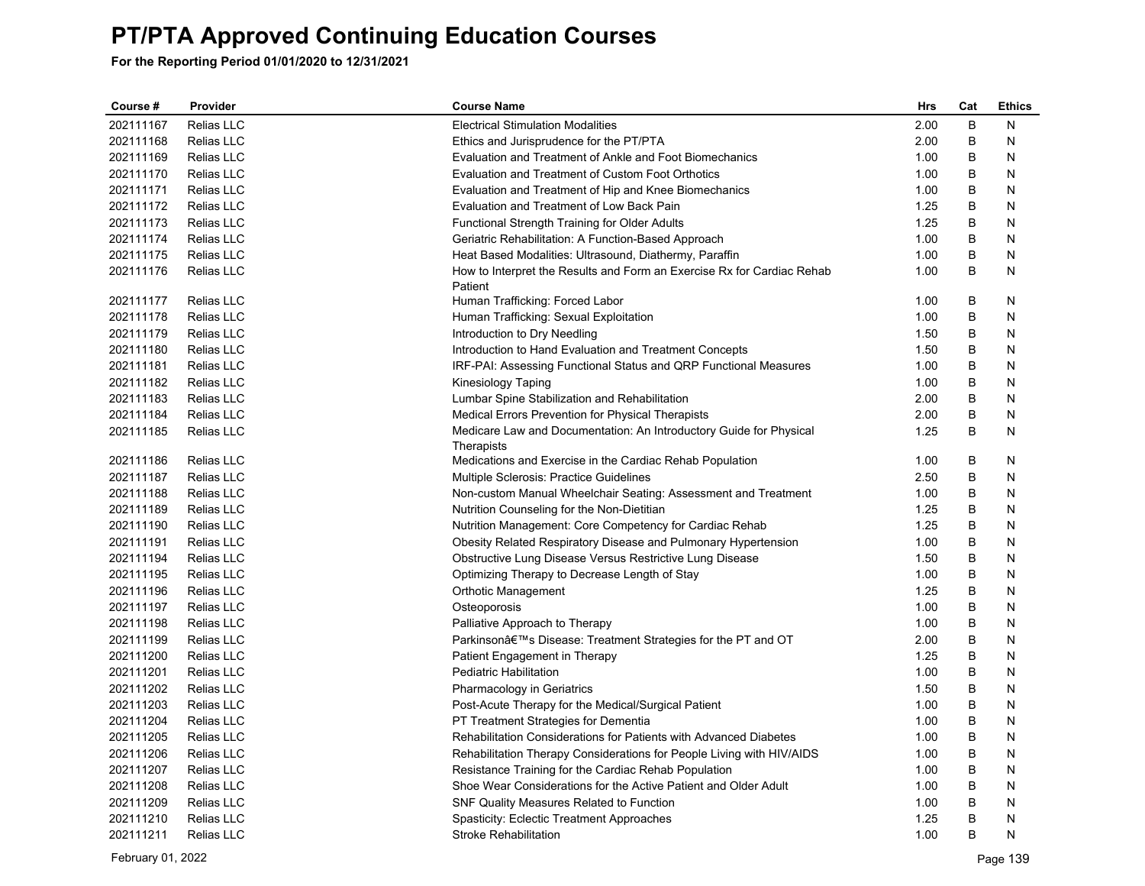| Course #  | Provider          | <b>Course Name</b>                                                                | Hrs  | Cat     | <b>Ethics</b> |
|-----------|-------------------|-----------------------------------------------------------------------------------|------|---------|---------------|
| 202111167 | Relias LLC        | <b>Electrical Stimulation Modalities</b>                                          | 2.00 | $\sf B$ | N             |
| 202111168 | Relias LLC        | Ethics and Jurisprudence for the PT/PTA                                           | 2.00 | B       | N             |
| 202111169 | <b>Relias LLC</b> | Evaluation and Treatment of Ankle and Foot Biomechanics                           | 1.00 | B       | N             |
| 202111170 | Relias LLC        | Evaluation and Treatment of Custom Foot Orthotics                                 | 1.00 | B       | N             |
| 202111171 | Relias LLC        | Evaluation and Treatment of Hip and Knee Biomechanics                             | 1.00 | B       | N             |
| 202111172 | Relias LLC        | Evaluation and Treatment of Low Back Pain                                         | 1.25 | B       | N             |
| 202111173 | Relias LLC        | Functional Strength Training for Older Adults                                     | 1.25 | B       | N             |
| 202111174 | Relias LLC        | Geriatric Rehabilitation: A Function-Based Approach                               | 1.00 | B       | N             |
| 202111175 | <b>Relias LLC</b> | Heat Based Modalities: Ultrasound, Diathermy, Paraffin                            | 1.00 | B       | N             |
| 202111176 | Relias LLC        | How to Interpret the Results and Form an Exercise Rx for Cardiac Rehab<br>Patient | 1.00 | B       | N             |
| 202111177 | Relias LLC        | Human Trafficking: Forced Labor                                                   | 1.00 | B       | N             |
| 202111178 | Relias LLC        | Human Trafficking: Sexual Exploitation                                            | 1.00 | B       | N             |
| 202111179 | Relias LLC        | Introduction to Dry Needling                                                      | 1.50 | B       | N             |
| 202111180 | Relias LLC        | Introduction to Hand Evaluation and Treatment Concepts                            | 1.50 | B       | N             |
| 202111181 | Relias LLC        | IRF-PAI: Assessing Functional Status and QRP Functional Measures                  | 1.00 | B       | N             |
| 202111182 | Relias LLC        | Kinesiology Taping                                                                | 1.00 | B       | N             |
| 202111183 | Relias LLC        | Lumbar Spine Stabilization and Rehabilitation                                     | 2.00 | B       | N             |
| 202111184 | Relias LLC        | Medical Errors Prevention for Physical Therapists                                 | 2.00 | B       | N             |
| 202111185 | Relias LLC        | Medicare Law and Documentation: An Introductory Guide for Physical<br>Therapists  | 1.25 | B       | N             |
| 202111186 | Relias LLC        | Medications and Exercise in the Cardiac Rehab Population                          | 1.00 | B       | N             |
| 202111187 | Relias LLC        | Multiple Sclerosis: Practice Guidelines                                           | 2.50 | B       | N             |
| 202111188 | Relias LLC        | Non-custom Manual Wheelchair Seating: Assessment and Treatment                    | 1.00 | B       | N             |
| 202111189 | Relias LLC        | Nutrition Counseling for the Non-Dietitian                                        | 1.25 | B       | N             |
| 202111190 | <b>Relias LLC</b> | Nutrition Management: Core Competency for Cardiac Rehab                           | 1.25 | B       | N             |
| 202111191 | Relias LLC        | Obesity Related Respiratory Disease and Pulmonary Hypertension                    | 1.00 | B       | N             |
| 202111194 | Relias LLC        | Obstructive Lung Disease Versus Restrictive Lung Disease                          | 1.50 | B       | N             |
| 202111195 | Relias LLC        | Optimizing Therapy to Decrease Length of Stay                                     | 1.00 | $\sf B$ | N             |
| 202111196 | Relias LLC        | Orthotic Management                                                               | 1.25 | B       | N             |
| 202111197 | Relias LLC        | Osteoporosis                                                                      | 1.00 | B       | N             |
| 202111198 | Relias LLC        | Palliative Approach to Therapy                                                    | 1.00 | B       | N             |
| 202111199 | Relias LLC        | Parkinson's Disease: Treatment Strategies for the PT and OT                       | 2.00 | B       | N             |
| 202111200 | Relias LLC        | Patient Engagement in Therapy                                                     | 1.25 | B       | N             |
| 202111201 | Relias LLC        | Pediatric Habilitation                                                            | 1.00 | B       | N             |
| 202111202 | Relias LLC        | Pharmacology in Geriatrics                                                        | 1.50 | B       | N             |
| 202111203 | Relias LLC        | Post-Acute Therapy for the Medical/Surgical Patient                               | 1.00 | B       | N             |
| 202111204 | Relias LLC        | PT Treatment Strategies for Dementia                                              | 1.00 | B       | N             |
| 202111205 | Relias LLC        | Rehabilitation Considerations for Patients with Advanced Diabetes                 | 1.00 | B       | N             |
| 202111206 | Relias LLC        | Rehabilitation Therapy Considerations for People Living with HIV/AIDS             | 1.00 | B       | N             |
| 202111207 | Relias LLC        | Resistance Training for the Cardiac Rehab Population                              | 1.00 | B       | N             |
| 202111208 | Relias LLC        | Shoe Wear Considerations for the Active Patient and Older Adult                   | 1.00 | B       | N             |
| 202111209 | Relias LLC        | SNF Quality Measures Related to Function                                          | 1.00 | B       | N             |
| 202111210 | Relias LLC        | Spasticity: Eclectic Treatment Approaches                                         | 1.25 | B       | N             |
| 202111211 | Relias LLC        | Stroke Rehabilitation                                                             | 1.00 | B       | N             |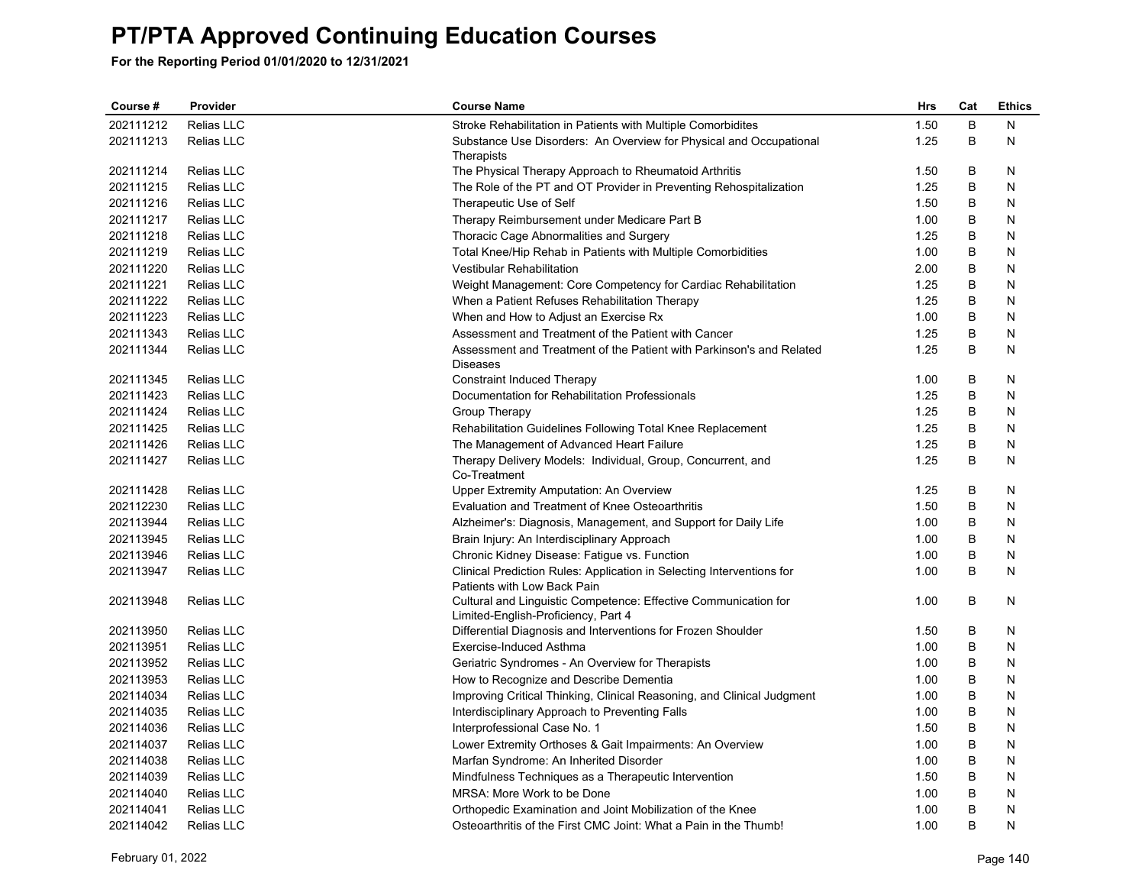| Course #  | Provider          | <b>Course Name</b>                                                                                     | <b>Hrs</b> | Cat | <b>Ethics</b> |
|-----------|-------------------|--------------------------------------------------------------------------------------------------------|------------|-----|---------------|
| 202111212 | Relias LLC        | Stroke Rehabilitation in Patients with Multiple Comorbidites                                           | 1.50       | B   | N             |
| 202111213 | Relias LLC        | Substance Use Disorders: An Overview for Physical and Occupational<br>Therapists                       | 1.25       | B   | N             |
| 202111214 | Relias LLC        | The Physical Therapy Approach to Rheumatoid Arthritis                                                  | 1.50       | B   | N             |
| 202111215 | Relias LLC        | The Role of the PT and OT Provider in Preventing Rehospitalization                                     | 1.25       | B   | N             |
| 202111216 | <b>Relias LLC</b> | Therapeutic Use of Self                                                                                | 1.50       | B   | N             |
| 202111217 | Relias LLC        | Therapy Reimbursement under Medicare Part B                                                            | 1.00       | В   | N             |
| 202111218 | Relias LLC        | Thoracic Cage Abnormalities and Surgery                                                                | 1.25       | B   | N             |
| 202111219 | Relias LLC        | Total Knee/Hip Rehab in Patients with Multiple Comorbidities                                           | 1.00       | B   | N             |
| 202111220 | Relias LLC        | <b>Vestibular Rehabilitation</b>                                                                       | 2.00       | B   | N             |
| 202111221 | Relias LLC        | Weight Management: Core Competency for Cardiac Rehabilitation                                          | 1.25       | B   | N             |
| 202111222 | Relias LLC        | When a Patient Refuses Rehabilitation Therapy                                                          | 1.25       | B   | Ν             |
| 202111223 | Relias LLC        | When and How to Adjust an Exercise Rx                                                                  | 1.00       | B   | N             |
| 202111343 | Relias LLC        | Assessment and Treatment of the Patient with Cancer                                                    | 1.25       | B   | N             |
| 202111344 | Relias LLC        | Assessment and Treatment of the Patient with Parkinson's and Related<br><b>Diseases</b>                | 1.25       | B   | N             |
| 202111345 | Relias LLC        | <b>Constraint Induced Therapy</b>                                                                      | 1.00       | B   | N             |
| 202111423 | <b>Relias LLC</b> | Documentation for Rehabilitation Professionals                                                         | 1.25       | В   | N             |
| 202111424 | Relias LLC        | Group Therapy                                                                                          | 1.25       | B   | N             |
| 202111425 | Relias LLC        | Rehabilitation Guidelines Following Total Knee Replacement                                             | 1.25       | B   | N             |
| 202111426 | Relias LLC        | The Management of Advanced Heart Failure                                                               | 1.25       | B   | N             |
| 202111427 | Relias LLC        | Therapy Delivery Models: Individual, Group, Concurrent, and<br>Co-Treatment                            | 1.25       | B   | N             |
| 202111428 | Relias LLC        | Upper Extremity Amputation: An Overview                                                                | 1.25       | B   | N             |
| 202112230 | Relias LLC        | Evaluation and Treatment of Knee Osteoarthritis                                                        | 1.50       | B   | N             |
| 202113944 | Relias LLC        | Alzheimer's: Diagnosis, Management, and Support for Daily Life                                         | 1.00       | В   | N             |
| 202113945 | Relias LLC        | Brain Injury: An Interdisciplinary Approach                                                            | 1.00       | B   | N             |
| 202113946 | Relias LLC        | Chronic Kidney Disease: Fatigue vs. Function                                                           | 1.00       | B   | N             |
| 202113947 | Relias LLC        | Clinical Prediction Rules: Application in Selecting Interventions for<br>Patients with Low Back Pain   | 1.00       | B   | N             |
| 202113948 | Relias LLC        | Cultural and Linguistic Competence: Effective Communication for<br>Limited-English-Proficiency, Part 4 | 1.00       | B   | N             |
| 202113950 | Relias LLC        | Differential Diagnosis and Interventions for Frozen Shoulder                                           | 1.50       | B   | N             |
| 202113951 | Relias LLC        | Exercise-Induced Asthma                                                                                | 1.00       | B   | N             |
| 202113952 | Relias LLC        | Geriatric Syndromes - An Overview for Therapists                                                       | 1.00       | B   | N             |
| 202113953 | Relias LLC        | How to Recognize and Describe Dementia                                                                 | 1.00       | B   | N             |
| 202114034 | Relias LLC        | Improving Critical Thinking, Clinical Reasoning, and Clinical Judgment                                 | 1.00       | B   | N             |
| 202114035 | Relias LLC        | Interdisciplinary Approach to Preventing Falls                                                         | 1.00       | B   | Ν             |
| 202114036 | Relias LLC        | Interprofessional Case No. 1                                                                           | 1.50       | B   | N             |
| 202114037 | Relias LLC        | Lower Extremity Orthoses & Gait Impairments: An Overview                                               | 1.00       | B   | N             |
| 202114038 | Relias LLC        | Marfan Syndrome: An Inherited Disorder                                                                 | 1.00       | B   | N             |
| 202114039 | Relias LLC        | Mindfulness Techniques as a Therapeutic Intervention                                                   | 1.50       | B   | N             |
| 202114040 | Relias LLC        | MRSA: More Work to be Done                                                                             | 1.00       | B   | N             |
| 202114041 | Relias LLC        | Orthopedic Examination and Joint Mobilization of the Knee                                              | 1.00       | B   | Ν             |
| 202114042 | Relias LLC        | Osteoarthritis of the First CMC Joint: What a Pain in the Thumb!                                       | 1.00       | B   | N             |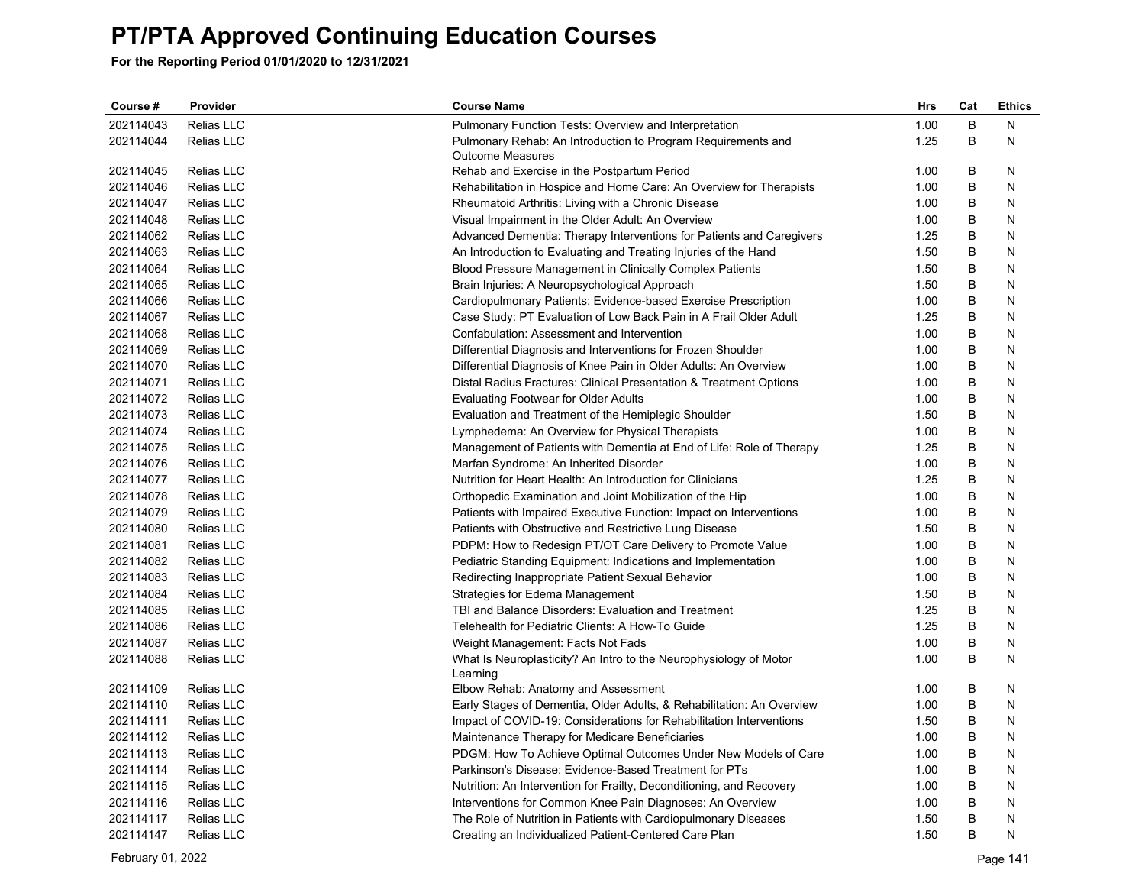| Course #  | Provider   | <b>Course Name</b>                                                    | Hrs  | Cat | <b>Ethics</b> |
|-----------|------------|-----------------------------------------------------------------------|------|-----|---------------|
| 202114043 | Relias LLC | <b>Pulmonary Function Tests: Overview and Interpretation</b>          | 1.00 | B   | N             |
| 202114044 | Relias LLC | Pulmonary Rehab: An Introduction to Program Requirements and          | 1.25 | B   | N             |
|           |            | <b>Outcome Measures</b>                                               |      |     |               |
| 202114045 | Relias LLC | Rehab and Exercise in the Postpartum Period                           | 1.00 | B   | N             |
| 202114046 | Relias LLC | Rehabilitation in Hospice and Home Care: An Overview for Therapists   | 1.00 | B   | N             |
| 202114047 | Relias LLC | Rheumatoid Arthritis: Living with a Chronic Disease                   | 1.00 | B   | N             |
| 202114048 | Relias LLC | Visual Impairment in the Older Adult: An Overview                     | 1.00 | В   | N             |
| 202114062 | Relias LLC | Advanced Dementia: Therapy Interventions for Patients and Caregivers  | 1.25 | B   | Ν             |
| 202114063 | Relias LLC | An Introduction to Evaluating and Treating Injuries of the Hand       | 1.50 | B   | N             |
| 202114064 | Relias LLC | Blood Pressure Management in Clinically Complex Patients              | 1.50 | B   | N             |
| 202114065 | Relias LLC | Brain Injuries: A Neuropsychological Approach                         | 1.50 | B   | Ν             |
| 202114066 | Relias LLC | Cardiopulmonary Patients: Evidence-based Exercise Prescription        | 1.00 | B   | N             |
| 202114067 | Relias LLC | Case Study: PT Evaluation of Low Back Pain in A Frail Older Adult     | 1.25 | B   | N             |
| 202114068 | Relias LLC | Confabulation: Assessment and Intervention                            | 1.00 | B   | N             |
| 202114069 | Relias LLC | Differential Diagnosis and Interventions for Frozen Shoulder          | 1.00 | B   | N             |
| 202114070 | Relias LLC | Differential Diagnosis of Knee Pain in Older Adults: An Overview      | 1.00 | B   | N             |
| 202114071 | Relias LLC | Distal Radius Fractures: Clinical Presentation & Treatment Options    | 1.00 | B   | N             |
| 202114072 | Relias LLC | <b>Evaluating Footwear for Older Adults</b>                           | 1.00 | B   | N             |
| 202114073 | Relias LLC | Evaluation and Treatment of the Hemiplegic Shoulder                   | 1.50 | B   | N             |
| 202114074 | Relias LLC | Lymphedema: An Overview for Physical Therapists                       | 1.00 | B   | N             |
| 202114075 | Relias LLC | Management of Patients with Dementia at End of Life: Role of Therapy  | 1.25 | B   | N             |
| 202114076 | Relias LLC | Marfan Syndrome: An Inherited Disorder                                | 1.00 | B   | Ν             |
| 202114077 | Relias LLC | Nutrition for Heart Health: An Introduction for Clinicians            | 1.25 | B   | N             |
| 202114078 | Relias LLC | Orthopedic Examination and Joint Mobilization of the Hip              | 1.00 | B   | N             |
| 202114079 | Relias LLC | Patients with Impaired Executive Function: Impact on Interventions    | 1.00 | B   | N             |
| 202114080 | Relias LLC | Patients with Obstructive and Restrictive Lung Disease                | 1.50 | B   | N             |
| 202114081 | Relias LLC | PDPM: How to Redesign PT/OT Care Delivery to Promote Value            | 1.00 | B   | N             |
| 202114082 | Relias LLC | Pediatric Standing Equipment: Indications and Implementation          | 1.00 | B   | N             |
| 202114083 | Relias LLC | Redirecting Inappropriate Patient Sexual Behavior                     | 1.00 | B   | N             |
| 202114084 | Relias LLC | Strategies for Edema Management                                       | 1.50 | B   | N             |
| 202114085 | Relias LLC | TBI and Balance Disorders: Evaluation and Treatment                   | 1.25 | B   | N             |
| 202114086 | Relias LLC | Telehealth for Pediatric Clients: A How-To Guide                      | 1.25 | B   | N             |
| 202114087 | Relias LLC | Weight Management: Facts Not Fads                                     | 1.00 | B   | Ν             |
| 202114088 | Relias LLC | What Is Neuroplasticity? An Intro to the Neurophysiology of Motor     | 1.00 | B   | Ν             |
|           |            | Learning                                                              |      |     |               |
| 202114109 | Relias LLC | Elbow Rehab: Anatomy and Assessment                                   | 1.00 | B   | N             |
| 202114110 | Relias LLC | Early Stages of Dementia, Older Adults, & Rehabilitation: An Overview | 1.00 | B   | N             |
| 202114111 | Relias LLC | Impact of COVID-19: Considerations for Rehabilitation Interventions   | 1.50 | B   | N             |
| 202114112 | Relias LLC | Maintenance Therapy for Medicare Beneficiaries                        | 1.00 | B   | N             |
| 202114113 | Relias LLC | PDGM: How To Achieve Optimal Outcomes Under New Models of Care        | 1.00 | B   | N             |
| 202114114 | Relias LLC | Parkinson's Disease: Evidence-Based Treatment for PTs                 | 1.00 | B   | N             |
| 202114115 | Relias LLC | Nutrition: An Intervention for Frailty, Deconditioning, and Recovery  | 1.00 | В   | N             |
| 202114116 | Relias LLC | Interventions for Common Knee Pain Diagnoses: An Overview             | 1.00 | B   | N             |
| 202114117 | Relias LLC | The Role of Nutrition in Patients with Cardiopulmonary Diseases       | 1.50 | B   | N             |
| 202114147 | Relias LLC | Creating an Individualized Patient-Centered Care Plan                 | 1.50 | B   | N             |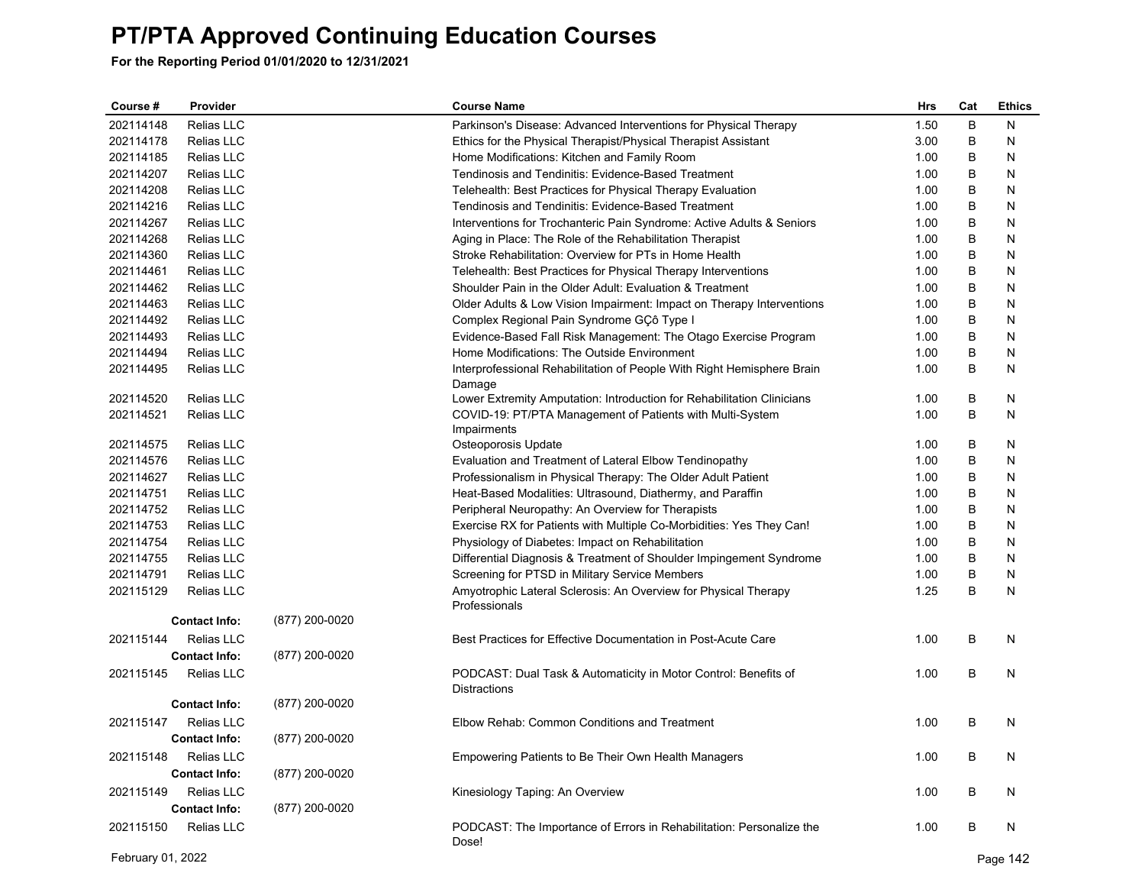**For the Reporting Period 01/01/2020 to 12/31/2021**

| Course #  | Provider             |                | <b>Course Name</b>                                                                     | Hrs  | Cat | <b>Ethics</b> |
|-----------|----------------------|----------------|----------------------------------------------------------------------------------------|------|-----|---------------|
| 202114148 | Relias LLC           |                | Parkinson's Disease: Advanced Interventions for Physical Therapy                       | 1.50 | B   | N             |
| 202114178 | Relias LLC           |                | Ethics for the Physical Therapist/Physical Therapist Assistant                         | 3.00 | B   | N             |
| 202114185 | Relias LLC           |                | Home Modifications: Kitchen and Family Room                                            | 1.00 | B   | N             |
| 202114207 | Relias LLC           |                | Tendinosis and Tendinitis: Evidence-Based Treatment                                    | 1.00 | B   | N             |
| 202114208 | Relias LLC           |                | Telehealth: Best Practices for Physical Therapy Evaluation                             | 1.00 | B   | N             |
| 202114216 | Relias LLC           |                | Tendinosis and Tendinitis: Evidence-Based Treatment                                    | 1.00 | B   | N             |
| 202114267 | Relias LLC           |                | Interventions for Trochanteric Pain Syndrome: Active Adults & Seniors                  | 1.00 | B   | N             |
| 202114268 | Relias LLC           |                | Aging in Place: The Role of the Rehabilitation Therapist                               | 1.00 | B   | N             |
| 202114360 | Relias LLC           |                | Stroke Rehabilitation: Overview for PTs in Home Health                                 | 1.00 | B   | N             |
| 202114461 | Relias LLC           |                | Telehealth: Best Practices for Physical Therapy Interventions                          | 1.00 | B   | N             |
| 202114462 | Relias LLC           |                | Shoulder Pain in the Older Adult: Evaluation & Treatment                               | 1.00 | B   | N             |
| 202114463 | Relias LLC           |                | Older Adults & Low Vision Impairment: Impact on Therapy Interventions                  | 1.00 | B   | N             |
| 202114492 | Relias LLC           |                | Complex Regional Pain Syndrome GÇô Type I                                              | 1.00 | B   | N             |
| 202114493 | Relias LLC           |                | Evidence-Based Fall Risk Management: The Otago Exercise Program                        | 1.00 | B   | N             |
| 202114494 | Relias LLC           |                | Home Modifications: The Outside Environment                                            | 1.00 | B   | N             |
| 202114495 | Relias LLC           |                | Interprofessional Rehabilitation of People With Right Hemisphere Brain<br>Damage       | 1.00 | B   | N             |
| 202114520 | Relias LLC           |                | Lower Extremity Amputation: Introduction for Rehabilitation Clinicians                 | 1.00 | B   | N             |
| 202114521 | Relias LLC           |                | COVID-19: PT/PTA Management of Patients with Multi-System<br>Impairments               | 1.00 | B   | N             |
| 202114575 | Relias LLC           |                | Osteoporosis Update                                                                    | 1.00 | B   | N             |
| 202114576 | Relias LLC           |                | Evaluation and Treatment of Lateral Elbow Tendinopathy                                 | 1.00 | B   | N             |
| 202114627 | Relias LLC           |                | Professionalism in Physical Therapy: The Older Adult Patient                           | 1.00 | B   | N             |
| 202114751 | Relias LLC           |                | Heat-Based Modalities: Ultrasound, Diathermy, and Paraffin                             | 1.00 | B   | N             |
| 202114752 | <b>Relias LLC</b>    |                | Peripheral Neuropathy: An Overview for Therapists                                      | 1.00 | B   | N             |
| 202114753 | Relias LLC           |                | Exercise RX for Patients with Multiple Co-Morbidities: Yes They Can!                   | 1.00 | B   | Ν             |
| 202114754 | Relias LLC           |                | Physiology of Diabetes: Impact on Rehabilitation                                       | 1.00 | B   | N             |
| 202114755 | Relias LLC           |                | Differential Diagnosis & Treatment of Shoulder Impingement Syndrome                    | 1.00 | B   | N             |
| 202114791 | <b>Relias LLC</b>    |                | Screening for PTSD in Military Service Members                                         | 1.00 | B   | N             |
| 202115129 | Relias LLC           |                | Amyotrophic Lateral Sclerosis: An Overview for Physical Therapy<br>Professionals       | 1.25 | B   | Ν             |
|           | <b>Contact Info:</b> | (877) 200-0020 |                                                                                        |      |     |               |
| 202115144 | Relias LLC           |                | Best Practices for Effective Documentation in Post-Acute Care                          | 1.00 | B   | N             |
|           | <b>Contact Info:</b> | (877) 200-0020 |                                                                                        |      |     |               |
| 202115145 | Relias LLC           |                | PODCAST: Dual Task & Automaticity in Motor Control: Benefits of<br><b>Distractions</b> | 1.00 | B   | N             |
|           | <b>Contact Info:</b> | (877) 200-0020 |                                                                                        |      |     |               |
| 202115147 | Relias LLC           |                | Elbow Rehab: Common Conditions and Treatment                                           | 1.00 | B   | N             |
|           | <b>Contact Info:</b> | (877) 200-0020 |                                                                                        |      |     |               |
| 202115148 | Relias LLC           |                | Empowering Patients to Be Their Own Health Managers                                    | 1.00 | B   | N             |
|           | <b>Contact Info:</b> | (877) 200-0020 |                                                                                        |      |     |               |
| 202115149 | Relias LLC           |                | Kinesiology Taping: An Overview                                                        | 1.00 | B   | N             |
|           | <b>Contact Info:</b> | (877) 200-0020 |                                                                                        |      |     |               |
|           |                      |                |                                                                                        |      |     |               |
| 202115150 | <b>Relias LLC</b>    |                | PODCAST: The Importance of Errors in Rehabilitation: Personalize the<br>Dose!          | 1.00 | B   | N             |

February 01, 2022 Page 142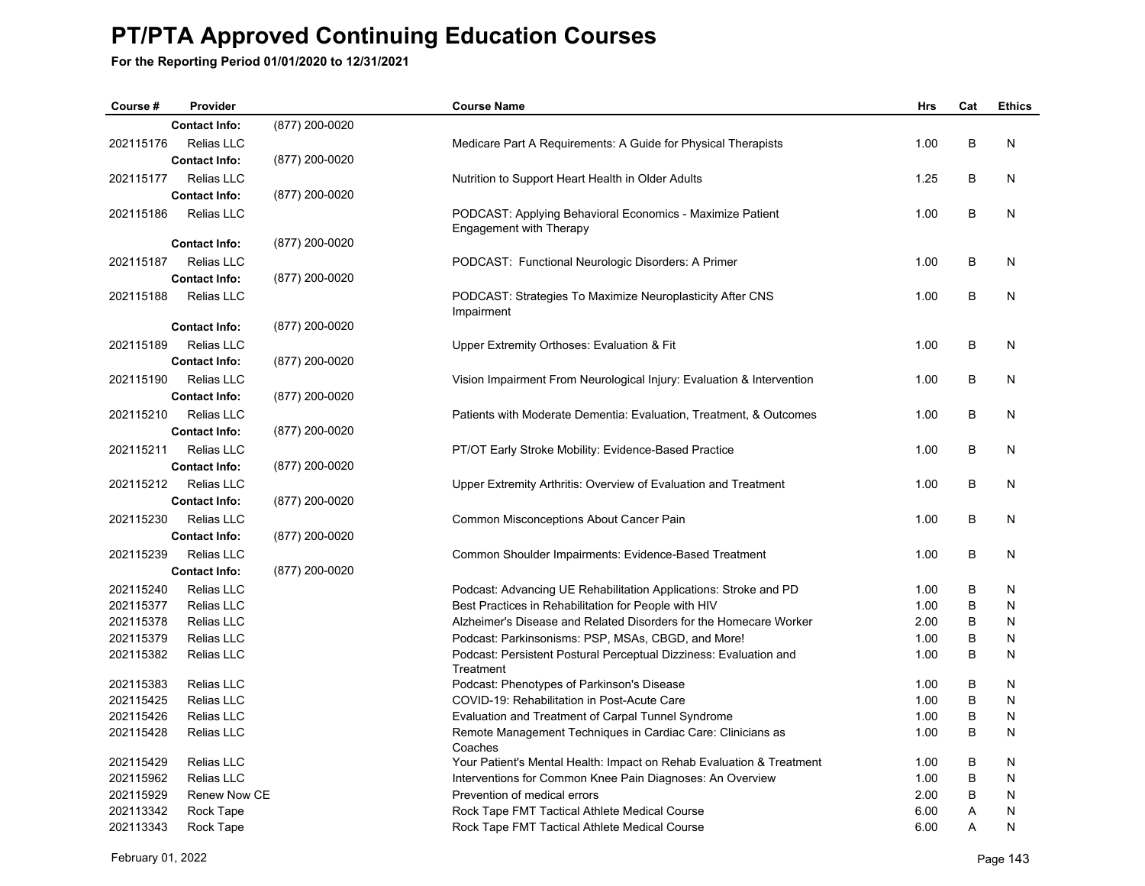| Course#                | Provider                 |                | <b>Course Name</b>                                                                                                        | Hrs          | Cat    | <b>Ethics</b> |
|------------------------|--------------------------|----------------|---------------------------------------------------------------------------------------------------------------------------|--------------|--------|---------------|
|                        | <b>Contact Info:</b>     | (877) 200-0020 |                                                                                                                           |              |        |               |
| 202115176              | Relias LLC               |                | Medicare Part A Requirements: A Guide for Physical Therapists                                                             | 1.00         | В      | N             |
|                        | <b>Contact Info:</b>     | (877) 200-0020 |                                                                                                                           |              |        |               |
| 202115177              | <b>Relias LLC</b>        |                | Nutrition to Support Heart Health in Older Adults                                                                         | 1.25         | B      | N             |
|                        | <b>Contact Info:</b>     | (877) 200-0020 |                                                                                                                           |              |        |               |
| 202115186              | <b>Relias LLC</b>        |                | PODCAST: Applying Behavioral Economics - Maximize Patient                                                                 | 1.00         | B      | N             |
|                        |                          |                | Engagement with Therapy                                                                                                   |              |        |               |
|                        | <b>Contact Info:</b>     | (877) 200-0020 |                                                                                                                           |              |        |               |
| 202115187              | <b>Relias LLC</b>        |                | PODCAST: Functional Neurologic Disorders: A Primer                                                                        | 1.00         | B      | N             |
|                        | <b>Contact Info:</b>     | (877) 200-0020 |                                                                                                                           |              |        |               |
| 202115188              | Relias LLC               |                | PODCAST: Strategies To Maximize Neuroplasticity After CNS                                                                 | 1.00         | B      | N             |
|                        |                          |                | Impairment                                                                                                                |              |        |               |
|                        | <b>Contact Info:</b>     | (877) 200-0020 |                                                                                                                           |              |        |               |
| 202115189              | <b>Relias LLC</b>        |                | Upper Extremity Orthoses: Evaluation & Fit                                                                                | 1.00         | B      | N             |
|                        | <b>Contact Info:</b>     | (877) 200-0020 |                                                                                                                           |              |        |               |
| 202115190              | <b>Relias LLC</b>        |                | Vision Impairment From Neurological Injury: Evaluation & Intervention                                                     | 1.00         | B      | N             |
|                        | <b>Contact Info:</b>     | (877) 200-0020 |                                                                                                                           |              |        |               |
| 202115210              | Relias LLC               |                | Patients with Moderate Dementia: Evaluation, Treatment, & Outcomes                                                        | 1.00         | В      | N             |
|                        | <b>Contact Info:</b>     | (877) 200-0020 |                                                                                                                           |              |        |               |
| 202115211              | <b>Relias LLC</b>        |                | PT/OT Early Stroke Mobility: Evidence-Based Practice                                                                      | 1.00         | B      | N             |
|                        | <b>Contact Info:</b>     | (877) 200-0020 |                                                                                                                           |              |        |               |
| 202115212              | Relias LLC               |                | Upper Extremity Arthritis: Overview of Evaluation and Treatment                                                           | 1.00         | B      | N             |
|                        | <b>Contact Info:</b>     | (877) 200-0020 |                                                                                                                           |              |        |               |
| 202115230              | <b>Relias LLC</b>        |                | Common Misconceptions About Cancer Pain                                                                                   | 1.00         | B      | N             |
|                        | <b>Contact Info:</b>     | (877) 200-0020 |                                                                                                                           |              |        |               |
| 202115239              | Relias LLC               |                |                                                                                                                           | 1.00         | В      | N             |
|                        | <b>Contact Info:</b>     | (877) 200-0020 | Common Shoulder Impairments: Evidence-Based Treatment                                                                     |              |        |               |
|                        |                          |                |                                                                                                                           |              |        |               |
| 202115240<br>202115377 | Relias LLC<br>Relias LLC |                | Podcast: Advancing UE Rehabilitation Applications: Stroke and PD                                                          | 1.00<br>1.00 | В<br>B | N<br>N        |
| 202115378              | Relias LLC               |                | Best Practices in Rehabilitation for People with HIV<br>Alzheimer's Disease and Related Disorders for the Homecare Worker | 2.00         | B      | N             |
| 202115379              | Relias LLC               |                | Podcast: Parkinsonisms: PSP, MSAs, CBGD, and More!                                                                        | 1.00         | B      | N             |
| 202115382              | Relias LLC               |                | Podcast: Persistent Postural Perceptual Dizziness: Evaluation and                                                         | 1.00         | B      | N             |
|                        |                          |                | Treatment                                                                                                                 |              |        |               |
| 202115383              | Relias LLC               |                | Podcast: Phenotypes of Parkinson's Disease                                                                                | 1.00         | B      | N             |
| 202115425              | Relias LLC               |                | COVID-19: Rehabilitation in Post-Acute Care                                                                               | 1.00         | В      | N             |
| 202115426              | Relias LLC               |                | Evaluation and Treatment of Carpal Tunnel Syndrome                                                                        | 1.00         | B      | N             |
| 202115428              | Relias LLC               |                | Remote Management Techniques in Cardiac Care: Clinicians as                                                               | 1.00         | В      | N             |
|                        |                          |                | Coaches                                                                                                                   |              |        |               |
| 202115429              | Relias LLC               |                | Your Patient's Mental Health: Impact on Rehab Evaluation & Treatment                                                      | 1.00         | B      | N             |
| 202115962              | Relias LLC               |                | Interventions for Common Knee Pain Diagnoses: An Overview                                                                 | 1.00         | B      | N             |
| 202115929              | Renew Now CE             |                | Prevention of medical errors                                                                                              | 2.00         | B      | N             |
| 202113342              | Rock Tape                |                | Rock Tape FMT Tactical Athlete Medical Course                                                                             | 6.00         | Α      | N             |
| 202113343              | Rock Tape                |                | Rock Tape FMT Tactical Athlete Medical Course                                                                             | 6.00         | A      | N             |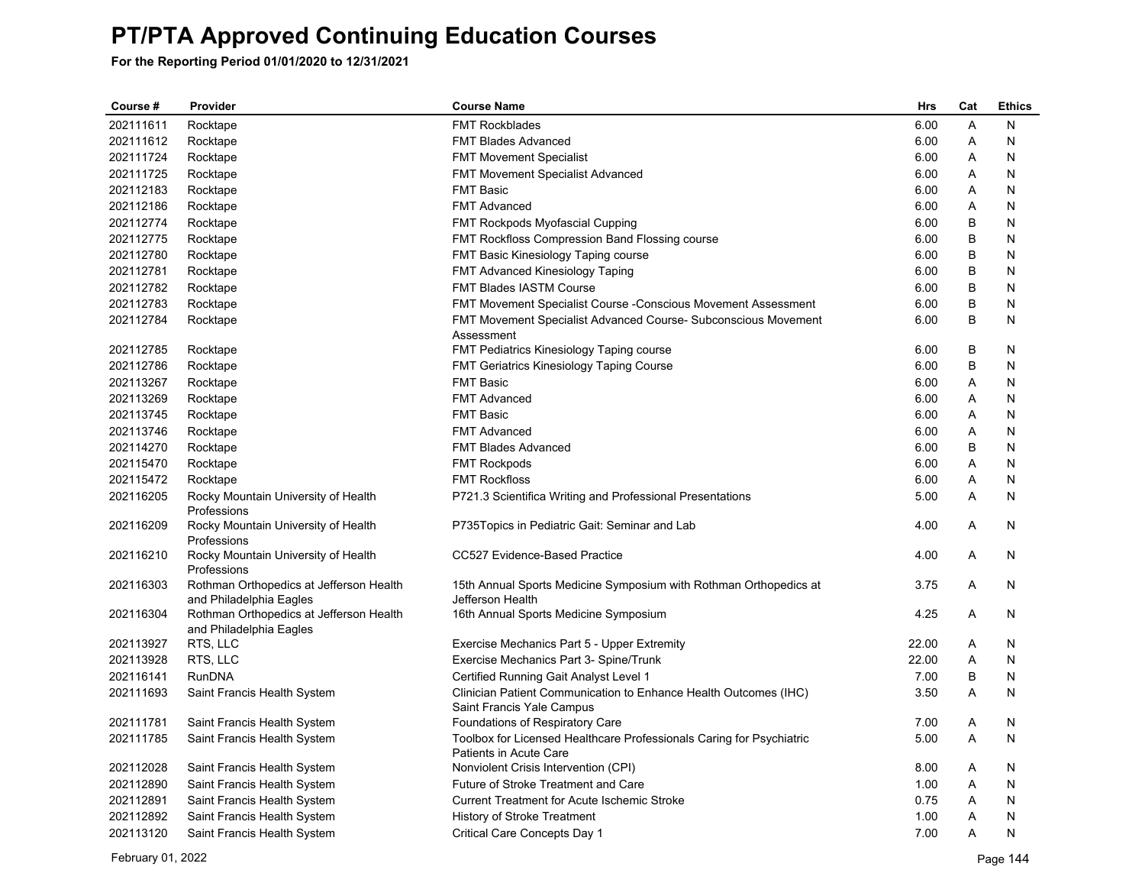| Course #  | Provider                                                           | <b>Course Name</b>                                                                             | Hrs   | Cat | <b>Ethics</b> |
|-----------|--------------------------------------------------------------------|------------------------------------------------------------------------------------------------|-------|-----|---------------|
| 202111611 | Rocktape                                                           | <b>FMT Rockblades</b>                                                                          | 6.00  | A   | N             |
| 202111612 | Rocktape                                                           | <b>FMT Blades Advanced</b>                                                                     | 6.00  | Α   | N             |
| 202111724 | Rocktape                                                           | <b>FMT Movement Specialist</b>                                                                 | 6.00  | Α   | N             |
| 202111725 | Rocktape                                                           | FMT Movement Specialist Advanced                                                               | 6.00  | Α   | N             |
| 202112183 | Rocktape                                                           | <b>FMT Basic</b>                                                                               | 6.00  | Α   | N             |
| 202112186 | Rocktape                                                           | <b>FMT Advanced</b>                                                                            | 6.00  | A   | N             |
| 202112774 | Rocktape                                                           | <b>FMT Rockpods Myofascial Cupping</b>                                                         | 6.00  | B   | N             |
| 202112775 | Rocktape                                                           | FMT Rockfloss Compression Band Flossing course                                                 | 6.00  | B   | N             |
| 202112780 | Rocktape                                                           | FMT Basic Kinesiology Taping course                                                            | 6.00  | B   | N             |
| 202112781 | Rocktape                                                           | <b>FMT Advanced Kinesiology Taping</b>                                                         | 6.00  | B   | N             |
| 202112782 | Rocktape                                                           | FMT Blades IASTM Course                                                                        | 6.00  | B   | N             |
| 202112783 | Rocktape                                                           | FMT Movement Specialist Course - Conscious Movement Assessment                                 | 6.00  | B   | N             |
| 202112784 | Rocktape                                                           | FMT Movement Specialist Advanced Course- Subconscious Movement<br>Assessment                   | 6.00  | B   | N             |
| 202112785 | Rocktape                                                           | FMT Pediatrics Kinesiology Taping course                                                       | 6.00  | B   | N             |
| 202112786 | Rocktape                                                           | FMT Geriatrics Kinesiology Taping Course                                                       | 6.00  | B   | N             |
| 202113267 | Rocktape                                                           | <b>FMT Basic</b>                                                                               | 6.00  | Α   | N             |
| 202113269 | Rocktape                                                           | <b>FMT Advanced</b>                                                                            | 6.00  | A   | N             |
| 202113745 | Rocktape                                                           | <b>FMT Basic</b>                                                                               | 6.00  | Α   | N             |
| 202113746 | Rocktape                                                           | <b>FMT Advanced</b>                                                                            | 6.00  | Α   | N             |
| 202114270 | Rocktape                                                           | <b>FMT Blades Advanced</b>                                                                     | 6.00  | B   | N             |
| 202115470 | Rocktape                                                           | <b>FMT Rockpods</b>                                                                            | 6.00  | A   | N             |
| 202115472 | Rocktape                                                           | <b>FMT Rockfloss</b>                                                                           | 6.00  | Α   | N             |
| 202116205 | Rocky Mountain University of Health<br>Professions                 | P721.3 Scientifica Writing and Professional Presentations                                      | 5.00  | A   | N             |
| 202116209 | Rocky Mountain University of Health<br>Professions                 | P735Topics in Pediatric Gait: Seminar and Lab                                                  | 4.00  | A   | N             |
| 202116210 | Rocky Mountain University of Health<br>Professions                 | CC527 Evidence-Based Practice                                                                  | 4.00  | A   | N             |
| 202116303 | Rothman Orthopedics at Jefferson Health<br>and Philadelphia Eagles | 15th Annual Sports Medicine Symposium with Rothman Orthopedics at<br>Jefferson Health          | 3.75  | A   | N             |
| 202116304 | Rothman Orthopedics at Jefferson Health<br>and Philadelphia Eagles | 16th Annual Sports Medicine Symposium                                                          | 4.25  | A   | N             |
| 202113927 | RTS, LLC                                                           | Exercise Mechanics Part 5 - Upper Extremity                                                    | 22.00 | A   | N             |
| 202113928 | RTS, LLC                                                           | Exercise Mechanics Part 3- Spine/Trunk                                                         | 22.00 | Α   | N             |
| 202116141 | <b>RunDNA</b>                                                      | Certified Running Gait Analyst Level 1                                                         | 7.00  | B   | N             |
| 202111693 | Saint Francis Health System                                        | Clinician Patient Communication to Enhance Health Outcomes (IHC)<br>Saint Francis Yale Campus  | 3.50  | Α   | N             |
| 202111781 | Saint Francis Health System                                        | Foundations of Respiratory Care                                                                | 7.00  | A   | N             |
| 202111785 | Saint Francis Health System                                        | Toolbox for Licensed Healthcare Professionals Caring for Psychiatric<br>Patients in Acute Care | 5.00  | A   | N             |
| 202112028 | Saint Francis Health System                                        | Nonviolent Crisis Intervention (CPI)                                                           | 8.00  | A   | N             |
| 202112890 | Saint Francis Health System                                        | Future of Stroke Treatment and Care                                                            | 1.00  | A   | N             |
| 202112891 | Saint Francis Health System                                        | <b>Current Treatment for Acute Ischemic Stroke</b>                                             | 0.75  | Α   | N             |
| 202112892 | Saint Francis Health System                                        | <b>History of Stroke Treatment</b>                                                             | 1.00  | A   | N             |
| 202113120 | Saint Francis Health System                                        | Critical Care Concepts Day 1                                                                   | 7.00  | Α   | N             |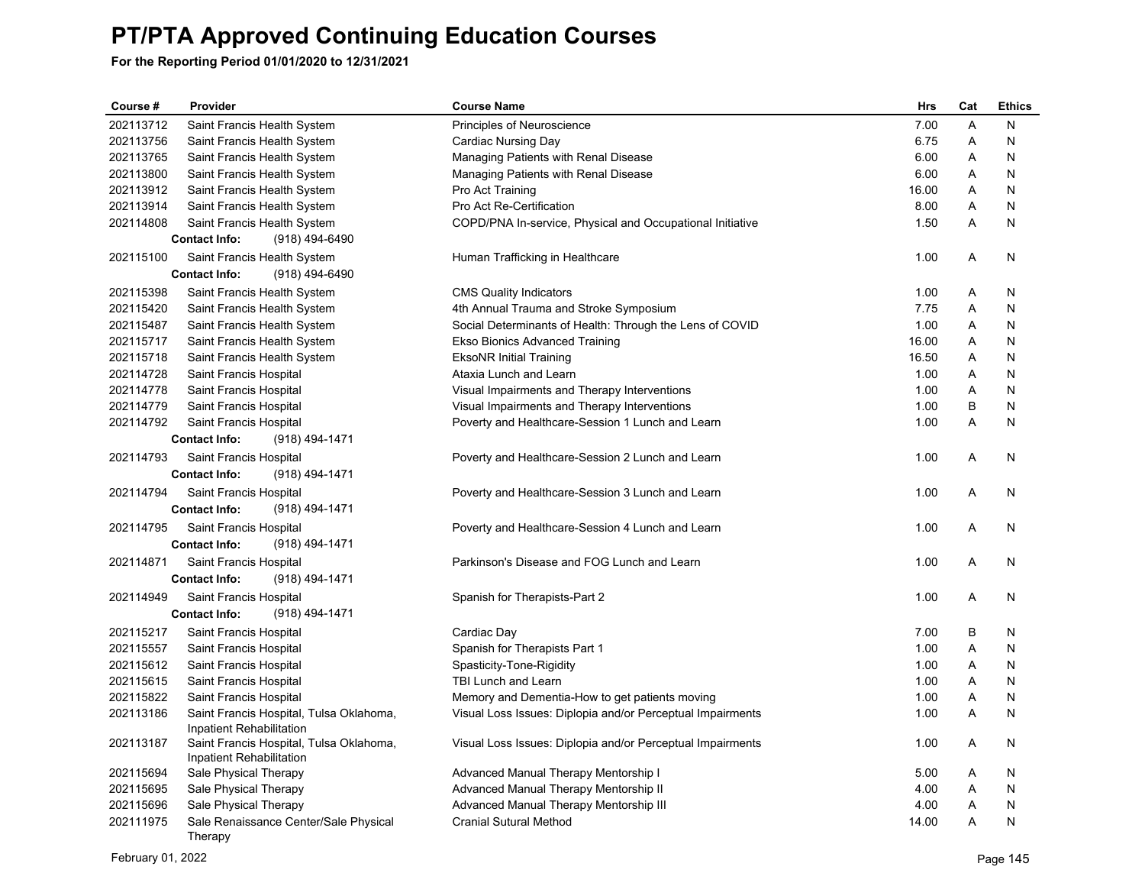| Course #  | Provider                                                            | <b>Course Name</b>                                         | <b>Hrs</b> | Cat | <b>Ethics</b> |
|-----------|---------------------------------------------------------------------|------------------------------------------------------------|------------|-----|---------------|
| 202113712 | Saint Francis Health System                                         | Principles of Neuroscience                                 | 7.00       | A   | N             |
| 202113756 | Saint Francis Health System                                         | Cardiac Nursing Day                                        | 6.75       | A   | N             |
| 202113765 | Saint Francis Health System                                         | Managing Patients with Renal Disease                       | 6.00       | Α   | N             |
| 202113800 | Saint Francis Health System                                         | Managing Patients with Renal Disease                       | 6.00       | A   | N             |
| 202113912 | Saint Francis Health System                                         | Pro Act Training                                           | 16.00      | Α   | N             |
| 202113914 | Saint Francis Health System                                         | Pro Act Re-Certification                                   | 8.00       | A   | N             |
| 202114808 | Saint Francis Health System                                         | COPD/PNA In-service, Physical and Occupational Initiative  | 1.50       | A   | N             |
|           | <b>Contact Info:</b><br>(918) 494-6490                              |                                                            |            |     |               |
| 202115100 | Saint Francis Health System                                         | Human Trafficking in Healthcare                            | 1.00       | A   | N             |
|           | <b>Contact Info:</b><br>(918) 494-6490                              |                                                            |            |     |               |
| 202115398 | Saint Francis Health System                                         | <b>CMS Quality Indicators</b>                              | 1.00       | Α   | N             |
| 202115420 | Saint Francis Health System                                         | 4th Annual Trauma and Stroke Symposium                     | 7.75       | Α   | N             |
| 202115487 | Saint Francis Health System                                         | Social Determinants of Health: Through the Lens of COVID   | 1.00       | Α   | N             |
| 202115717 | Saint Francis Health System                                         | Ekso Bionics Advanced Training                             | 16.00      | A   | N             |
| 202115718 | Saint Francis Health System                                         | <b>EksoNR Initial Training</b>                             | 16.50      | A   | N             |
| 202114728 | Saint Francis Hospital                                              | Ataxia Lunch and Learn                                     | 1.00       | A   | N             |
| 202114778 | Saint Francis Hospital                                              | Visual Impairments and Therapy Interventions               | 1.00       | A   | N             |
| 202114779 | Saint Francis Hospital                                              | Visual Impairments and Therapy Interventions               | 1.00       | B   | N             |
| 202114792 | Saint Francis Hospital                                              | Poverty and Healthcare-Session 1 Lunch and Learn           | 1.00       | A   | N             |
|           | <b>Contact Info:</b><br>(918) 494-1471                              |                                                            |            |     |               |
| 202114793 | Saint Francis Hospital                                              | Poverty and Healthcare-Session 2 Lunch and Learn           | 1.00       | A   | N             |
|           | <b>Contact Info:</b><br>(918) 494-1471                              |                                                            |            |     |               |
| 202114794 | Saint Francis Hospital                                              | Poverty and Healthcare-Session 3 Lunch and Learn           | 1.00       | A   | N             |
|           | (918) 494-1471<br><b>Contact Info:</b>                              |                                                            |            |     |               |
| 202114795 | Saint Francis Hospital                                              | Poverty and Healthcare-Session 4 Lunch and Learn           | 1.00       | A   | N             |
|           | <b>Contact Info:</b><br>(918) 494-1471                              |                                                            |            |     |               |
| 202114871 |                                                                     | Parkinson's Disease and FOG Lunch and Learn                |            | A   | N             |
|           | Saint Francis Hospital<br><b>Contact Info:</b>                      |                                                            | 1.00       |     |               |
|           | (918) 494-1471                                                      |                                                            |            |     |               |
| 202114949 | Saint Francis Hospital                                              | Spanish for Therapists-Part 2                              | 1.00       | A   | N             |
|           | <b>Contact Info:</b><br>(918) 494-1471                              |                                                            |            |     |               |
| 202115217 | Saint Francis Hospital                                              | Cardiac Day                                                | 7.00       | B   | N             |
| 202115557 | Saint Francis Hospital                                              | Spanish for Therapists Part 1                              | 1.00       | Α   | N             |
| 202115612 | Saint Francis Hospital                                              | Spasticity-Tone-Rigidity                                   | 1.00       | A   | N             |
| 202115615 | Saint Francis Hospital                                              | TBI Lunch and Learn                                        | 1.00       | Α   | N             |
| 202115822 | Saint Francis Hospital                                              | Memory and Dementia-How to get patients moving             | 1.00       | A   | N             |
| 202113186 | Saint Francis Hospital, Tulsa Oklahoma,                             | Visual Loss Issues: Diplopia and/or Perceptual Impairments | 1.00       | Α   | N             |
|           | Inpatient Rehabilitation                                            |                                                            |            |     |               |
| 202113187 | Saint Francis Hospital, Tulsa Oklahoma,<br>Inpatient Rehabilitation | Visual Loss Issues: Diplopia and/or Perceptual Impairments | 1.00       | A   | N             |
| 202115694 | Sale Physical Therapy                                               | Advanced Manual Therapy Mentorship I                       | 5.00       | A   | N             |
| 202115695 | Sale Physical Therapy                                               | Advanced Manual Therapy Mentorship II                      | 4.00       | Α   | N             |
| 202115696 | Sale Physical Therapy                                               | Advanced Manual Therapy Mentorship III                     | 4.00       | A   | N             |
| 202111975 | Sale Renaissance Center/Sale Physical                               | <b>Cranial Sutural Method</b>                              | 14.00      | A   | N             |
|           | Therapy                                                             |                                                            |            |     |               |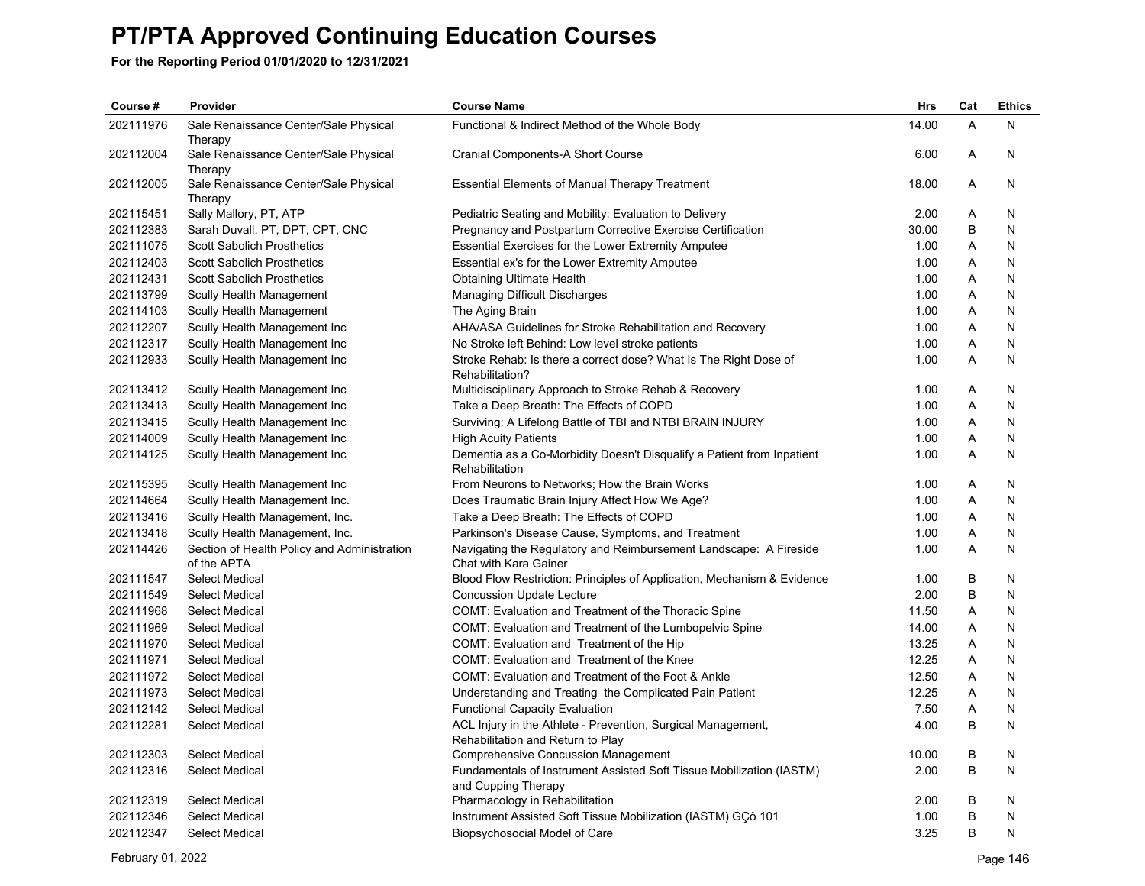**For the Reporting Period 01/01/2020 to 12/31/2021**

| Course #  | Provider                                                   | <b>Course Name</b>                                                                                | Hrs   | Cat | <b>Ethics</b> |
|-----------|------------------------------------------------------------|---------------------------------------------------------------------------------------------------|-------|-----|---------------|
| 202111976 | Sale Renaissance Center/Sale Physical<br>Therapy           | Functional & Indirect Method of the Whole Body                                                    | 14.00 | A   | N             |
| 202112004 | Sale Renaissance Center/Sale Physical<br>Therapy           | Cranial Components-A Short Course                                                                 | 6.00  | Α   | N             |
| 202112005 | Sale Renaissance Center/Sale Physical<br>Therapy           | <b>Essential Elements of Manual Therapy Treatment</b>                                             | 18.00 | A   | N             |
| 202115451 | Sally Mallory, PT, ATP                                     | Pediatric Seating and Mobility: Evaluation to Delivery                                            | 2.00  | A   | N             |
| 202112383 | Sarah Duvall, PT, DPT, CPT, CNC                            | Pregnancy and Postpartum Corrective Exercise Certification                                        | 30.00 | B   | N             |
| 202111075 | <b>Scott Sabolich Prosthetics</b>                          | <b>Essential Exercises for the Lower Extremity Amputee</b>                                        | 1.00  | A   | N             |
| 202112403 | <b>Scott Sabolich Prosthetics</b>                          | Essential ex's for the Lower Extremity Amputee                                                    | 1.00  | Α   | Ν             |
| 202112431 | <b>Scott Sabolich Prosthetics</b>                          | <b>Obtaining Ultimate Health</b>                                                                  | 1.00  | A   | N             |
| 202113799 | Scully Health Management                                   | <b>Managing Difficult Discharges</b>                                                              | 1.00  | A   | N             |
| 202114103 | Scully Health Management                                   | The Aging Brain                                                                                   | 1.00  | A   | N             |
| 202112207 | Scully Health Management Inc                               | AHA/ASA Guidelines for Stroke Rehabilitation and Recovery                                         | 1.00  | Α   | N             |
| 202112317 | Scully Health Management Inc                               | No Stroke left Behind: Low level stroke patients                                                  | 1.00  | Α   | N             |
| 202112933 | Scully Health Management Inc                               | Stroke Rehab: Is there a correct dose? What Is The Right Dose of<br>Rehabilitation?               | 1.00  | A   | N             |
| 202113412 | Scully Health Management Inc                               | Multidisciplinary Approach to Stroke Rehab & Recovery                                             | 1.00  | A   | N             |
| 202113413 | Scully Health Management Inc                               | Take a Deep Breath: The Effects of COPD                                                           | 1.00  | A   | N             |
| 202113415 | Scully Health Management Inc                               | Surviving: A Lifelong Battle of TBI and NTBI BRAIN INJURY                                         | 1.00  | A   | N             |
| 202114009 | Scully Health Management Inc.                              | <b>High Acuity Patients</b>                                                                       | 1.00  | Α   | N             |
| 202114125 | Scully Health Management Inc                               | Dementia as a Co-Morbidity Doesn't Disqualify a Patient from Inpatient<br>Rehabilitation          | 1.00  | A   | Ν             |
| 202115395 | Scully Health Management Inc                               | From Neurons to Networks; How the Brain Works                                                     | 1.00  | A   | N             |
| 202114664 | Scully Health Management Inc.                              | Does Traumatic Brain Injury Affect How We Age?                                                    | 1.00  | A   | N             |
| 202113416 | Scully Health Management, Inc.                             | Take a Deep Breath: The Effects of COPD                                                           | 1.00  | A   | N             |
| 202113418 | Scully Health Management, Inc.                             | Parkinson's Disease Cause, Symptoms, and Treatment                                                | 1.00  | Α   | N             |
| 202114426 | Section of Health Policy and Administration<br>of the APTA | Navigating the Regulatory and Reimbursement Landscape: A Fireside<br>Chat with Kara Gainer        | 1.00  | A   | N             |
| 202111547 | <b>Select Medical</b>                                      | Blood Flow Restriction: Principles of Application, Mechanism & Evidence                           | 1.00  | B   | N             |
| 202111549 | <b>Select Medical</b>                                      | <b>Concussion Update Lecture</b>                                                                  | 2.00  | B   | N             |
| 202111968 | <b>Select Medical</b>                                      | COMT: Evaluation and Treatment of the Thoracic Spine                                              | 11.50 | A   | N             |
| 202111969 | <b>Select Medical</b>                                      | COMT: Evaluation and Treatment of the Lumbopelvic Spine                                           | 14.00 | Α   | N             |
| 202111970 | <b>Select Medical</b>                                      | COMT: Evaluation and Treatment of the Hip                                                         | 13.25 | A   | N             |
| 202111971 | Select Medical                                             | COMT: Evaluation and Treatment of the Knee                                                        | 12.25 | Α   | N             |
| 202111972 | <b>Select Medical</b>                                      | COMT: Evaluation and Treatment of the Foot & Ankle                                                | 12.50 | A   | N             |
| 202111973 | <b>Select Medical</b>                                      | Understanding and Treating the Complicated Pain Patient                                           | 12.25 | A   | N             |
| 202112142 | <b>Select Medical</b>                                      | <b>Functional Capacity Evaluation</b>                                                             | 7.50  | Α   | N             |
| 202112281 | <b>Select Medical</b>                                      | ACL Injury in the Athlete - Prevention, Surgical Management,<br>Rehabilitation and Return to Play | 4.00  | B   | N             |
| 202112303 | Select Medical                                             | <b>Comprehensive Concussion Management</b>                                                        | 10.00 | B   | N             |
| 202112316 | <b>Select Medical</b>                                      | Fundamentals of Instrument Assisted Soft Tissue Mobilization (IASTM)<br>and Cupping Therapy       | 2.00  | B   | N             |
| 202112319 | <b>Select Medical</b>                                      | Pharmacology in Rehabilitation                                                                    | 2.00  | В   | N             |
| 202112346 | <b>Select Medical</b>                                      | Instrument Assisted Soft Tissue Mobilization (IASTM) GÇô 101                                      | 1.00  | B   | N             |
| 202112347 | <b>Select Medical</b>                                      | Biopsychosocial Model of Care                                                                     | 3.25  | B   | N             |

February 01, 2022 Page 146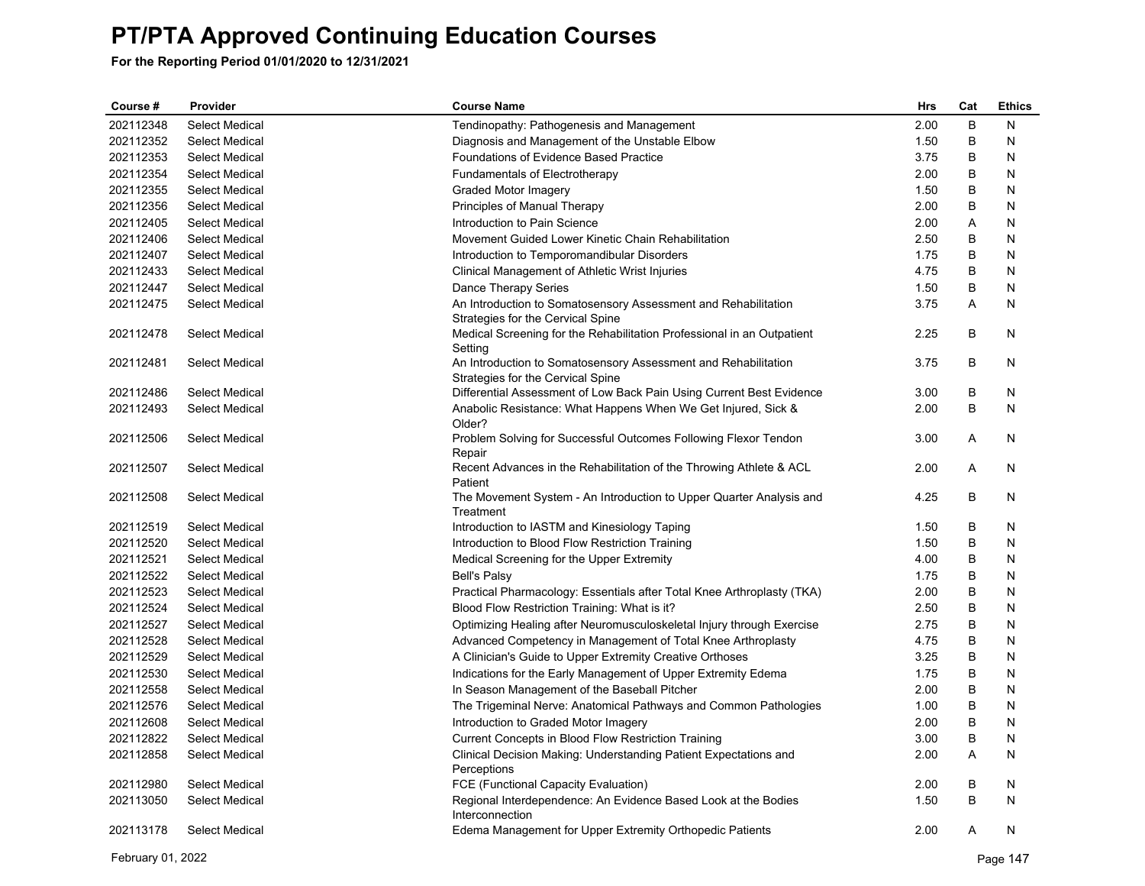| Course #  | Provider              | <b>Course Name</b>                                                                                  | Hrs  | Cat | <b>Ethics</b> |
|-----------|-----------------------|-----------------------------------------------------------------------------------------------------|------|-----|---------------|
| 202112348 | <b>Select Medical</b> | Tendinopathy: Pathogenesis and Management                                                           | 2.00 | B   | N             |
| 202112352 | Select Medical        | Diagnosis and Management of the Unstable Elbow                                                      | 1.50 | B   | N             |
| 202112353 | <b>Select Medical</b> | Foundations of Evidence Based Practice                                                              | 3.75 | B   | N             |
| 202112354 | <b>Select Medical</b> | Fundamentals of Electrotherapy                                                                      | 2.00 | В   | N             |
| 202112355 | <b>Select Medical</b> | Graded Motor Imagery                                                                                | 1.50 | B   | N             |
| 202112356 | <b>Select Medical</b> | Principles of Manual Therapy                                                                        | 2.00 | B   | N             |
| 202112405 | <b>Select Medical</b> | Introduction to Pain Science                                                                        | 2.00 | Α   | N             |
| 202112406 | <b>Select Medical</b> | Movement Guided Lower Kinetic Chain Rehabilitation                                                  | 2.50 | В   | N             |
| 202112407 | <b>Select Medical</b> | Introduction to Temporomandibular Disorders                                                         | 1.75 | B   | N             |
| 202112433 | <b>Select Medical</b> | Clinical Management of Athletic Wrist Injuries                                                      | 4.75 | B   | N             |
| 202112447 | <b>Select Medical</b> | Dance Therapy Series                                                                                | 1.50 | В   | N             |
| 202112475 | <b>Select Medical</b> | An Introduction to Somatosensory Assessment and Rehabilitation<br>Strategies for the Cervical Spine | 3.75 | Α   | N             |
| 202112478 | Select Medical        | Medical Screening for the Rehabilitation Professional in an Outpatient                              | 2.25 | B   | N             |
| 202112481 | <b>Select Medical</b> | Setting<br>An Introduction to Somatosensory Assessment and Rehabilitation                           | 3.75 | B   | N             |
|           |                       | Strategies for the Cervical Spine                                                                   |      |     |               |
| 202112486 | <b>Select Medical</b> | Differential Assessment of Low Back Pain Using Current Best Evidence                                | 3.00 | В   | N             |
| 202112493 | Select Medical        | Anabolic Resistance: What Happens When We Get Injured, Sick &<br>Older?                             | 2.00 | B   | N             |
| 202112506 | Select Medical        | Problem Solving for Successful Outcomes Following Flexor Tendon<br>Repair                           | 3.00 | A   | N             |
| 202112507 | <b>Select Medical</b> | Recent Advances in the Rehabilitation of the Throwing Athlete & ACL<br>Patient                      | 2.00 | A   | N             |
| 202112508 | <b>Select Medical</b> | The Movement System - An Introduction to Upper Quarter Analysis and<br>Treatment                    | 4.25 | В   | N             |
| 202112519 | <b>Select Medical</b> | Introduction to IASTM and Kinesiology Taping                                                        | 1.50 | B   | N             |
| 202112520 | <b>Select Medical</b> | Introduction to Blood Flow Restriction Training                                                     | 1.50 | B   | N             |
| 202112521 | <b>Select Medical</b> | Medical Screening for the Upper Extremity                                                           | 4.00 | В   | N             |
| 202112522 | <b>Select Medical</b> | <b>Bell's Palsy</b>                                                                                 | 1.75 | В   | N             |
| 202112523 | Select Medical        | Practical Pharmacology: Essentials after Total Knee Arthroplasty (TKA)                              | 2.00 | B   | N             |
| 202112524 | <b>Select Medical</b> | Blood Flow Restriction Training: What is it?                                                        | 2.50 | B   | N             |
| 202112527 | <b>Select Medical</b> | Optimizing Healing after Neuromusculoskeletal Injury through Exercise                               | 2.75 | В   | N             |
| 202112528 | <b>Select Medical</b> | Advanced Competency in Management of Total Knee Arthroplasty                                        | 4.75 | B   | N             |
| 202112529 | <b>Select Medical</b> | A Clinician's Guide to Upper Extremity Creative Orthoses                                            | 3.25 | B   | N             |
| 202112530 | <b>Select Medical</b> | Indications for the Early Management of Upper Extremity Edema                                       | 1.75 | B   | N             |
| 202112558 | <b>Select Medical</b> | In Season Management of the Baseball Pitcher                                                        | 2.00 | В   | N             |
| 202112576 | Select Medical        | The Trigeminal Nerve: Anatomical Pathways and Common Pathologies                                    | 1.00 | B   | N             |
| 202112608 | <b>Select Medical</b> | Introduction to Graded Motor Imagery                                                                | 2.00 | B   | N             |
| 202112822 | <b>Select Medical</b> | Current Concepts in Blood Flow Restriction Training                                                 | 3.00 | В   | N             |
| 202112858 | <b>Select Medical</b> | Clinical Decision Making: Understanding Patient Expectations and                                    | 2.00 | A   | N             |
| 202112980 | <b>Select Medical</b> | Perceptions<br>FCE (Functional Capacity Evaluation)                                                 | 2.00 | B   | N             |
| 202113050 | <b>Select Medical</b> | Regional Interdependence: An Evidence Based Look at the Bodies                                      | 1.50 | B   | N             |
|           |                       | Interconnection                                                                                     |      |     |               |
| 202113178 | <b>Select Medical</b> | Edema Management for Upper Extremity Orthopedic Patients                                            | 2.00 | A   | N             |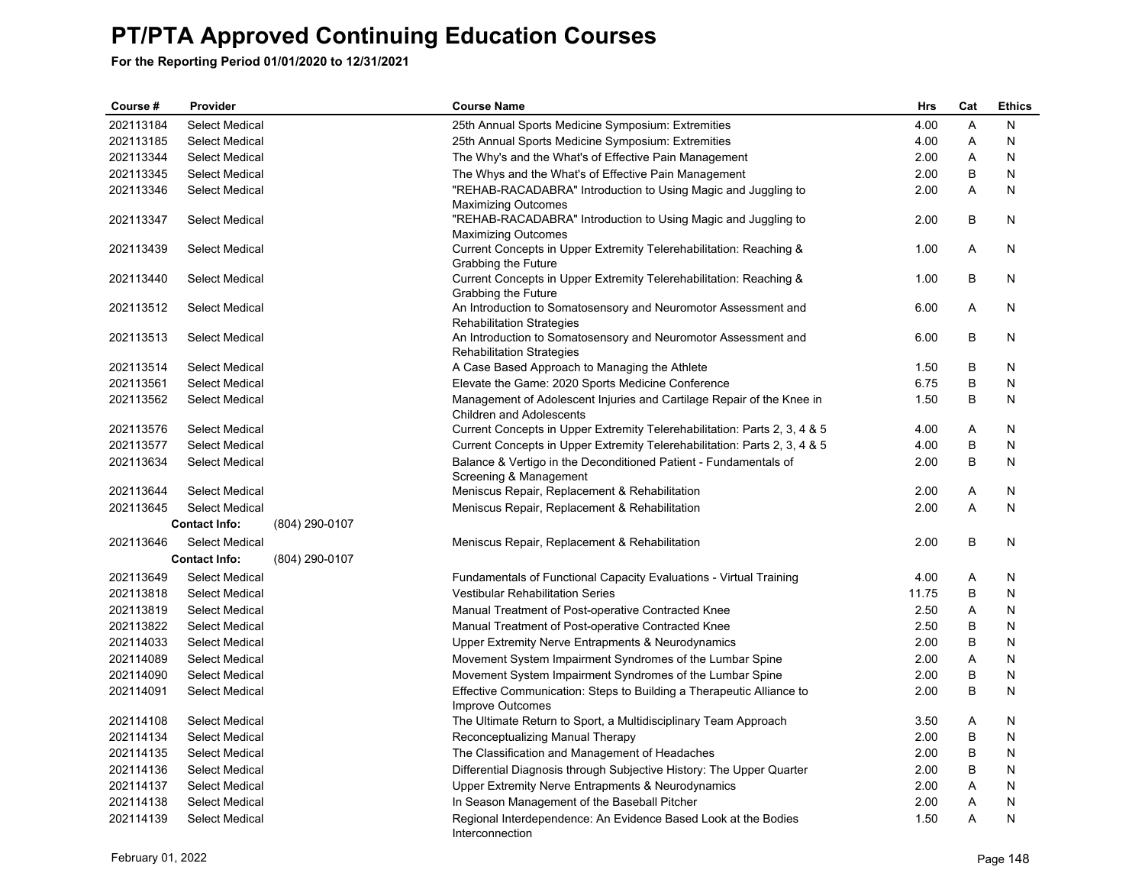| Course #  | Provider              |                | <b>Course Name</b>                                                                        | <b>Hrs</b> | Cat | <b>Ethics</b> |
|-----------|-----------------------|----------------|-------------------------------------------------------------------------------------------|------------|-----|---------------|
| 202113184 | <b>Select Medical</b> |                | 25th Annual Sports Medicine Symposium: Extremities                                        | 4.00       | A   | N             |
| 202113185 | Select Medical        |                | 25th Annual Sports Medicine Symposium: Extremities                                        | 4.00       | Α   | N             |
| 202113344 | <b>Select Medical</b> |                | The Why's and the What's of Effective Pain Management                                     | 2.00       | Α   | N             |
| 202113345 | <b>Select Medical</b> |                | The Whys and the What's of Effective Pain Management                                      | 2.00       | B   | N             |
| 202113346 | Select Medical        |                | "REHAB-RACADABRA" Introduction to Using Magic and Juggling to                             | 2.00       | A   | N             |
|           |                       |                | <b>Maximizing Outcomes</b>                                                                |            |     |               |
| 202113347 | <b>Select Medical</b> |                | "REHAB-RACADABRA" Introduction to Using Magic and Juggling to                             | 2.00       | В   | N             |
|           |                       |                | <b>Maximizing Outcomes</b>                                                                |            |     |               |
| 202113439 | <b>Select Medical</b> |                | Current Concepts in Upper Extremity Telerehabilitation: Reaching &                        | 1.00       | A   | N             |
| 202113440 | <b>Select Medical</b> |                | Grabbing the Future<br>Current Concepts in Upper Extremity Telerehabilitation: Reaching & | 1.00       | B   | N             |
|           |                       |                | Grabbing the Future                                                                       |            |     |               |
| 202113512 | <b>Select Medical</b> |                | An Introduction to Somatosensory and Neuromotor Assessment and                            | 6.00       | Α   | N             |
|           |                       |                | <b>Rehabilitation Strategies</b>                                                          |            |     |               |
| 202113513 | <b>Select Medical</b> |                | An Introduction to Somatosensory and Neuromotor Assessment and                            | 6.00       | B   | N             |
|           |                       |                | <b>Rehabilitation Strategies</b>                                                          |            |     |               |
| 202113514 | <b>Select Medical</b> |                | A Case Based Approach to Managing the Athlete                                             | 1.50       | В   | N             |
| 202113561 | <b>Select Medical</b> |                | Elevate the Game: 2020 Sports Medicine Conference                                         | 6.75       | B   | N             |
| 202113562 | <b>Select Medical</b> |                | Management of Adolescent Injuries and Cartilage Repair of the Knee in                     | 1.50       | B   | N             |
|           |                       |                | <b>Children and Adolescents</b>                                                           |            |     |               |
| 202113576 | <b>Select Medical</b> |                | Current Concepts in Upper Extremity Telerehabilitation: Parts 2, 3, 4 & 5                 | 4.00       | Α   | N             |
| 202113577 | <b>Select Medical</b> |                | Current Concepts in Upper Extremity Telerehabilitation: Parts 2, 3, 4 & 5                 | 4.00       | B   | N             |
| 202113634 | <b>Select Medical</b> |                | Balance & Vertigo in the Deconditioned Patient - Fundamentals of                          | 2.00       | B   | N             |
|           |                       |                | Screening & Management                                                                    |            |     |               |
| 202113644 | <b>Select Medical</b> |                | Meniscus Repair, Replacement & Rehabilitation                                             | 2.00       | A   | N             |
| 202113645 | Select Medical        |                | Meniscus Repair, Replacement & Rehabilitation                                             | 2.00       | A   | N             |
|           | <b>Contact Info:</b>  | (804) 290-0107 |                                                                                           |            |     |               |
| 202113646 | Select Medical        |                | Meniscus Repair, Replacement & Rehabilitation                                             | 2.00       | B   | N             |
|           | <b>Contact Info:</b>  | (804) 290-0107 |                                                                                           |            |     |               |
| 202113649 | <b>Select Medical</b> |                | Fundamentals of Functional Capacity Evaluations - Virtual Training                        | 4.00       | Α   | N             |
| 202113818 | <b>Select Medical</b> |                | <b>Vestibular Rehabilitation Series</b>                                                   | 11.75      | B   | N             |
| 202113819 | <b>Select Medical</b> |                | Manual Treatment of Post-operative Contracted Knee                                        | 2.50       | Α   | N             |
| 202113822 | <b>Select Medical</b> |                | Manual Treatment of Post-operative Contracted Knee                                        | 2.50       | В   | N             |
| 202114033 | <b>Select Medical</b> |                | Upper Extremity Nerve Entrapments & Neurodynamics                                         | 2.00       | B   | N             |
| 202114089 | <b>Select Medical</b> |                | Movement System Impairment Syndromes of the Lumbar Spine                                  | 2.00       | Α   | N             |
| 202114090 | <b>Select Medical</b> |                | Movement System Impairment Syndromes of the Lumbar Spine                                  | 2.00       | В   | N             |
| 202114091 | Select Medical        |                | Effective Communication: Steps to Building a Therapeutic Alliance to                      | 2.00       | B   | N             |
|           |                       |                | Improve Outcomes                                                                          |            |     |               |
| 202114108 | <b>Select Medical</b> |                | The Ultimate Return to Sport, a Multidisciplinary Team Approach                           | 3.50       | Α   | N             |
| 202114134 | <b>Select Medical</b> |                | Reconceptualizing Manual Therapy                                                          | 2.00       | B   | N             |
| 202114135 | Select Medical        |                | The Classification and Management of Headaches                                            | 2.00       | B   | N             |
| 202114136 | <b>Select Medical</b> |                | Differential Diagnosis through Subjective History: The Upper Quarter                      | 2.00       | B   | N             |
| 202114137 | <b>Select Medical</b> |                | Upper Extremity Nerve Entrapments & Neurodynamics                                         | 2.00       | Α   | N             |
| 202114138 | Select Medical        |                | In Season Management of the Baseball Pitcher                                              | 2.00       | A   | N             |
| 202114139 | <b>Select Medical</b> |                | Regional Interdependence: An Evidence Based Look at the Bodies<br>Interconnection         | 1.50       | A   | N             |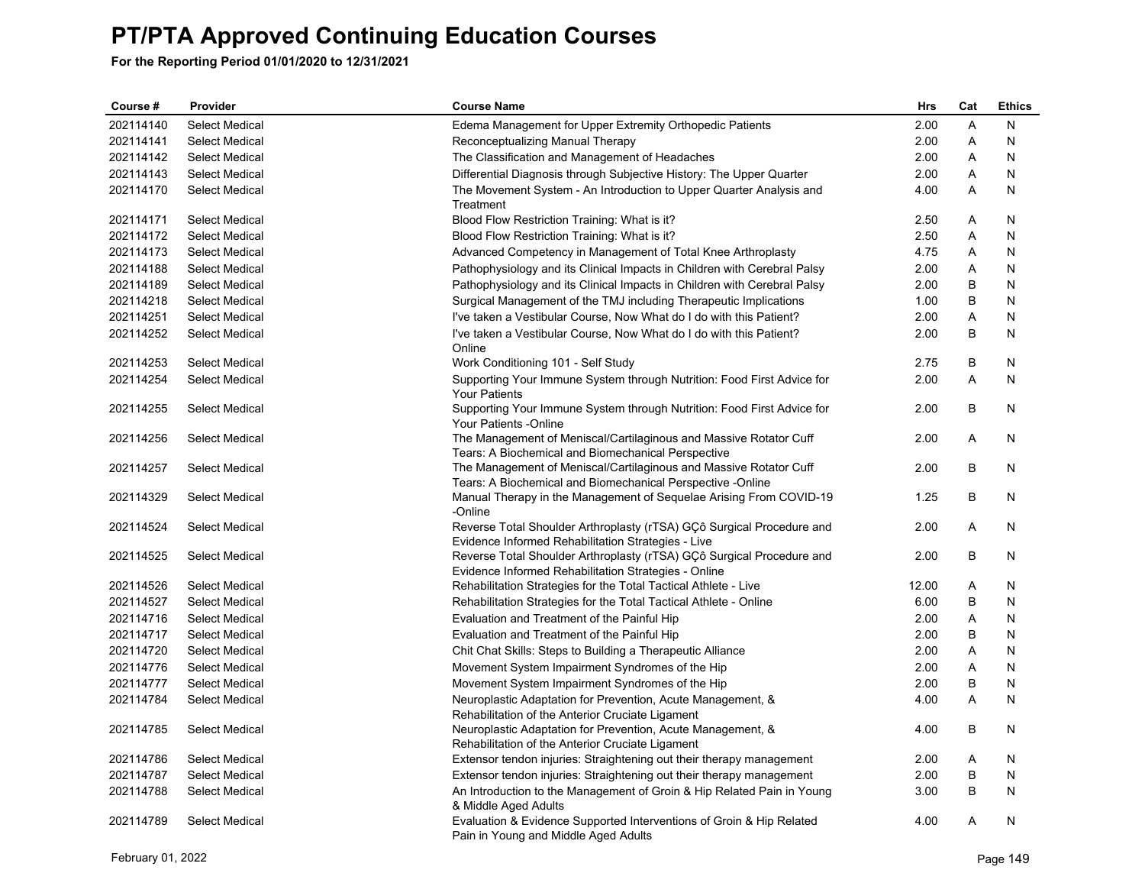| Course #  | Provider              | <b>Course Name</b>                                                                                                              | Hrs   | Cat          | <b>Ethics</b> |
|-----------|-----------------------|---------------------------------------------------------------------------------------------------------------------------------|-------|--------------|---------------|
| 202114140 | Select Medical        | Edema Management for Upper Extremity Orthopedic Patients                                                                        | 2.00  | $\mathsf{A}$ | N             |
| 202114141 | <b>Select Medical</b> | Reconceptualizing Manual Therapy                                                                                                | 2.00  | Α            | N             |
| 202114142 | <b>Select Medical</b> | The Classification and Management of Headaches                                                                                  | 2.00  | Α            | N             |
| 202114143 | <b>Select Medical</b> | Differential Diagnosis through Subjective History: The Upper Quarter                                                            | 2.00  | Α            | N             |
| 202114170 | <b>Select Medical</b> | The Movement System - An Introduction to Upper Quarter Analysis and<br>Treatment                                                | 4.00  | A            | Ν             |
| 202114171 | <b>Select Medical</b> | Blood Flow Restriction Training: What is it?                                                                                    | 2.50  | Α            | N             |
| 202114172 | <b>Select Medical</b> | Blood Flow Restriction Training: What is it?                                                                                    | 2.50  | A            | N             |
| 202114173 | Select Medical        | Advanced Competency in Management of Total Knee Arthroplasty                                                                    | 4.75  | Α            | N             |
| 202114188 | <b>Select Medical</b> | Pathophysiology and its Clinical Impacts in Children with Cerebral Palsy                                                        | 2.00  | Α            | N             |
| 202114189 | <b>Select Medical</b> | Pathophysiology and its Clinical Impacts in Children with Cerebral Palsy                                                        | 2.00  | B            | N             |
| 202114218 | <b>Select Medical</b> | Surgical Management of the TMJ including Therapeutic Implications                                                               | 1.00  | B            | N             |
| 202114251 | <b>Select Medical</b> | I've taken a Vestibular Course, Now What do I do with this Patient?                                                             | 2.00  | Α            | N             |
| 202114252 | <b>Select Medical</b> | I've taken a Vestibular Course, Now What do I do with this Patient?                                                             | 2.00  | B            | N             |
|           |                       | Online                                                                                                                          |       |              |               |
| 202114253 | <b>Select Medical</b> | Work Conditioning 101 - Self Study                                                                                              | 2.75  | В            | N             |
| 202114254 | <b>Select Medical</b> | Supporting Your Immune System through Nutrition: Food First Advice for<br><b>Your Patients</b>                                  | 2.00  | A            | N             |
| 202114255 | <b>Select Medical</b> | Supporting Your Immune System through Nutrition: Food First Advice for<br>Your Patients -Online                                 | 2.00  | B            | N             |
| 202114256 | <b>Select Medical</b> | The Management of Meniscal/Cartilaginous and Massive Rotator Cuff<br>Tears: A Biochemical and Biomechanical Perspective         | 2.00  | A            | N             |
| 202114257 | <b>Select Medical</b> | The Management of Meniscal/Cartilaginous and Massive Rotator Cuff<br>Tears: A Biochemical and Biomechanical Perspective -Online | 2.00  | В            | N             |
| 202114329 | <b>Select Medical</b> | Manual Therapy in the Management of Sequelae Arising From COVID-19<br>-Online                                                   | 1.25  | В            | N             |
| 202114524 | Select Medical        | Reverse Total Shoulder Arthroplasty (rTSA) GCô Surgical Procedure and<br>Evidence Informed Rehabilitation Strategies - Live     | 2.00  | A            | N             |
| 202114525 | <b>Select Medical</b> | Reverse Total Shoulder Arthroplasty (rTSA) GÇô Surgical Procedure and<br>Evidence Informed Rehabilitation Strategies - Online   | 2.00  | B            | N             |
| 202114526 | <b>Select Medical</b> | Rehabilitation Strategies for the Total Tactical Athlete - Live                                                                 | 12.00 | Α            | N             |
| 202114527 | <b>Select Medical</b> | Rehabilitation Strategies for the Total Tactical Athlete - Online                                                               | 6.00  | B            | N             |
| 202114716 | <b>Select Medical</b> | Evaluation and Treatment of the Painful Hip                                                                                     | 2.00  | Α            | N             |
| 202114717 | <b>Select Medical</b> | Evaluation and Treatment of the Painful Hip                                                                                     | 2.00  | B            | N             |
| 202114720 | <b>Select Medical</b> | Chit Chat Skills: Steps to Building a Therapeutic Alliance                                                                      | 2.00  | Α            | N             |
| 202114776 | <b>Select Medical</b> | Movement System Impairment Syndromes of the Hip                                                                                 | 2.00  | Α            | N             |
| 202114777 | <b>Select Medical</b> | Movement System Impairment Syndromes of the Hip                                                                                 | 2.00  | B            | N             |
| 202114784 | <b>Select Medical</b> | Neuroplastic Adaptation for Prevention, Acute Management, &                                                                     | 4.00  | A            | N             |
|           |                       | Rehabilitation of the Anterior Cruciate Ligament                                                                                |       |              |               |
| 202114785 | <b>Select Medical</b> | Neuroplastic Adaptation for Prevention, Acute Management, &<br>Rehabilitation of the Anterior Cruciate Ligament                 | 4.00  | В            | N             |
| 202114786 | <b>Select Medical</b> | Extensor tendon injuries: Straightening out their therapy management                                                            | 2.00  | Α            | N             |
| 202114787 | <b>Select Medical</b> | Extensor tendon injuries: Straightening out their therapy management                                                            | 2.00  | B            | N             |
| 202114788 | <b>Select Medical</b> | An Introduction to the Management of Groin & Hip Related Pain in Young<br>& Middle Aged Adults                                  | 3.00  | B            | N             |
| 202114789 | <b>Select Medical</b> | Evaluation & Evidence Supported Interventions of Groin & Hip Related<br>Pain in Young and Middle Aged Adults                    | 4.00  | Α            | N             |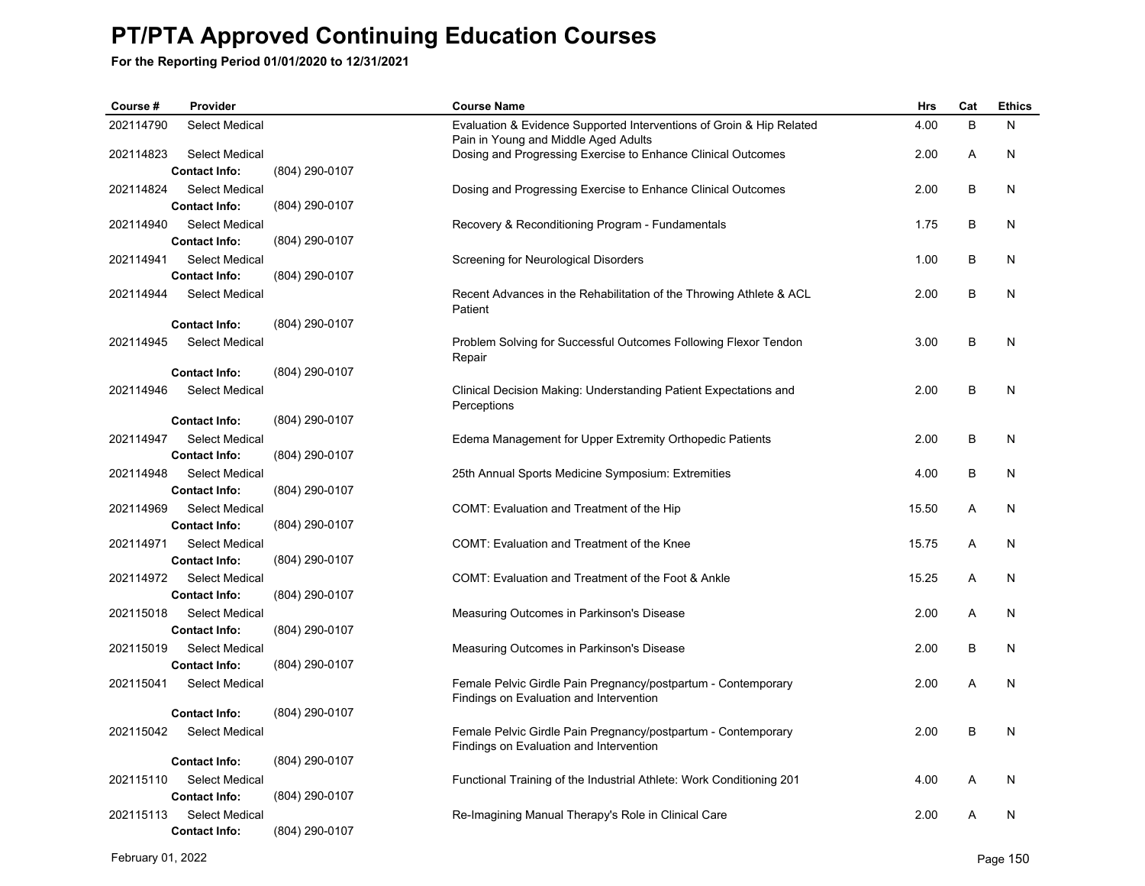| Course #  | Provider              |                | <b>Course Name</b>                                                                                           | <b>Hrs</b> | Cat | <b>Ethics</b> |
|-----------|-----------------------|----------------|--------------------------------------------------------------------------------------------------------------|------------|-----|---------------|
| 202114790 | Select Medical        |                | Evaluation & Evidence Supported Interventions of Groin & Hip Related<br>Pain in Young and Middle Aged Adults | 4.00       | B   | N             |
| 202114823 | <b>Select Medical</b> |                | Dosing and Progressing Exercise to Enhance Clinical Outcomes                                                 | 2.00       | A   | N             |
|           | <b>Contact Info:</b>  | (804) 290-0107 |                                                                                                              |            |     |               |
| 202114824 | Select Medical        |                | Dosing and Progressing Exercise to Enhance Clinical Outcomes                                                 | 2.00       | B   | N             |
|           | <b>Contact Info:</b>  | (804) 290-0107 |                                                                                                              |            |     |               |
| 202114940 | <b>Select Medical</b> |                | Recovery & Reconditioning Program - Fundamentals                                                             | 1.75       | B   | N             |
|           | <b>Contact Info:</b>  | (804) 290-0107 |                                                                                                              |            |     |               |
| 202114941 | Select Medical        |                | Screening for Neurological Disorders                                                                         | 1.00       | B   | N             |
|           | <b>Contact Info:</b>  | (804) 290-0107 |                                                                                                              |            |     |               |
| 202114944 | Select Medical        |                | Recent Advances in the Rehabilitation of the Throwing Athlete & ACL<br>Patient                               | 2.00       | B   | N             |
|           | <b>Contact Info:</b>  | (804) 290-0107 |                                                                                                              |            |     |               |
| 202114945 | <b>Select Medical</b> |                | Problem Solving for Successful Outcomes Following Flexor Tendon<br>Repair                                    | 3.00       | B   | N             |
|           | <b>Contact Info:</b>  | (804) 290-0107 |                                                                                                              |            |     |               |
| 202114946 | Select Medical        |                | Clinical Decision Making: Understanding Patient Expectations and<br>Perceptions                              | 2.00       | B   | N             |
|           | <b>Contact Info:</b>  | (804) 290-0107 |                                                                                                              |            |     |               |
| 202114947 | <b>Select Medical</b> |                | Edema Management for Upper Extremity Orthopedic Patients                                                     | 2.00       | B   | N             |
|           | <b>Contact Info:</b>  | (804) 290-0107 |                                                                                                              |            |     |               |
| 202114948 | <b>Select Medical</b> |                | 25th Annual Sports Medicine Symposium: Extremities                                                           | 4.00       | B   | N             |
|           | <b>Contact Info:</b>  | (804) 290-0107 |                                                                                                              |            |     |               |
| 202114969 | <b>Select Medical</b> |                | COMT: Evaluation and Treatment of the Hip                                                                    | 15.50      | A   | N             |
|           | <b>Contact Info:</b>  | (804) 290-0107 |                                                                                                              |            |     |               |
| 202114971 | <b>Select Medical</b> |                | COMT: Evaluation and Treatment of the Knee                                                                   | 15.75      | A   | N             |
|           | <b>Contact Info:</b>  | (804) 290-0107 |                                                                                                              |            |     |               |
| 202114972 | <b>Select Medical</b> |                | COMT: Evaluation and Treatment of the Foot & Ankle                                                           | 15.25      | A   | N             |
|           | <b>Contact Info:</b>  | (804) 290-0107 |                                                                                                              |            |     |               |
| 202115018 | <b>Select Medical</b> |                | Measuring Outcomes in Parkinson's Disease                                                                    | 2.00       | A   | N             |
|           | <b>Contact Info:</b>  | (804) 290-0107 |                                                                                                              |            |     |               |
| 202115019 | <b>Select Medical</b> | (804) 290-0107 | Measuring Outcomes in Parkinson's Disease                                                                    | 2.00       | B   | N             |
|           | <b>Contact Info:</b>  |                |                                                                                                              |            |     |               |
| 202115041 | <b>Select Medical</b> |                | Female Pelvic Girdle Pain Pregnancy/postpartum - Contemporary<br>Findings on Evaluation and Intervention     | 2.00       | A   | N             |
|           | <b>Contact Info:</b>  | (804) 290-0107 |                                                                                                              |            |     |               |
| 202115042 | <b>Select Medical</b> |                | Female Pelvic Girdle Pain Pregnancy/postpartum - Contemporary                                                | 2.00       | B   | N             |
|           |                       |                | Findings on Evaluation and Intervention                                                                      |            |     |               |
|           | <b>Contact Info:</b>  | (804) 290-0107 |                                                                                                              |            |     |               |
| 202115110 | <b>Select Medical</b> |                | Functional Training of the Industrial Athlete: Work Conditioning 201                                         | 4.00       | A   | N             |
|           | <b>Contact Info:</b>  | (804) 290-0107 |                                                                                                              |            |     |               |
| 202115113 | <b>Select Medical</b> |                | Re-Imagining Manual Therapy's Role in Clinical Care                                                          | 2.00       | A   | N             |
|           | <b>Contact Info:</b>  | (804) 290-0107 |                                                                                                              |            |     |               |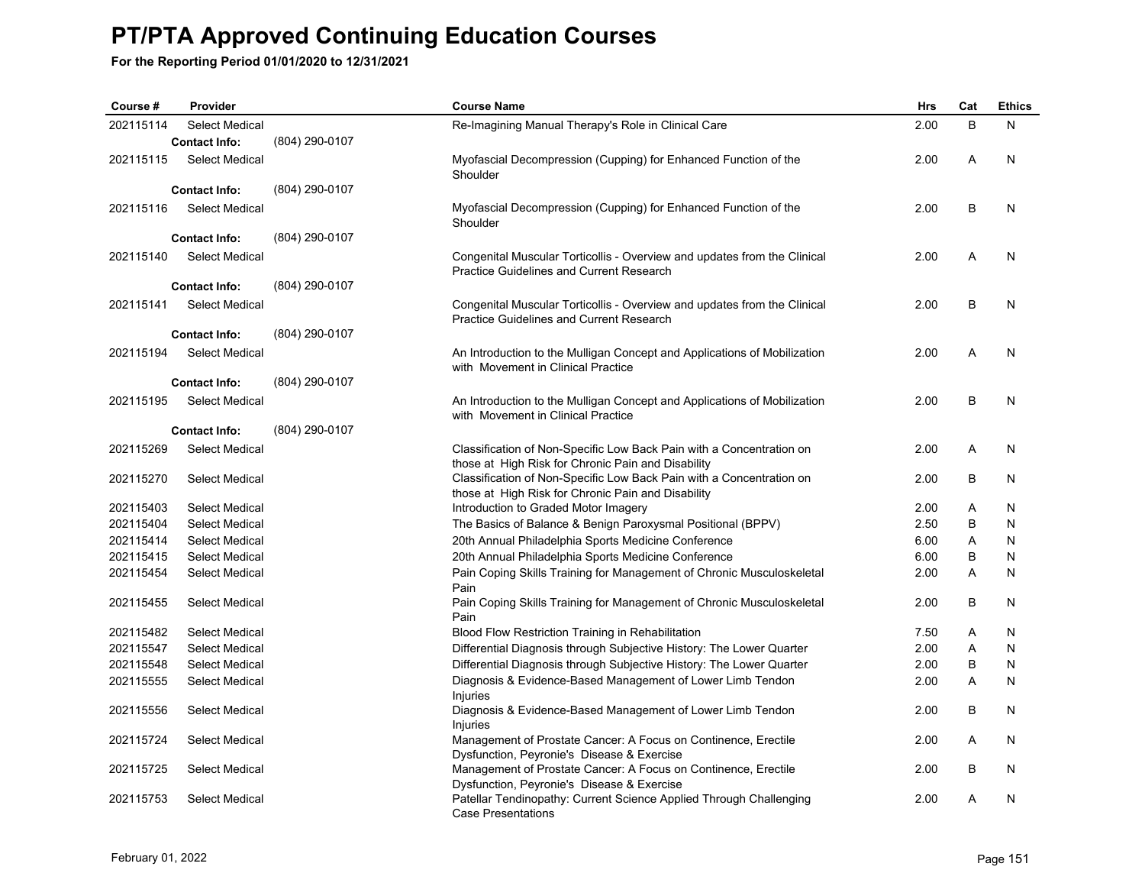| Course #  | Provider              |                | <b>Course Name</b>                                                                                                          | <b>Hrs</b> | Cat | <b>Ethics</b> |
|-----------|-----------------------|----------------|-----------------------------------------------------------------------------------------------------------------------------|------------|-----|---------------|
| 202115114 | Select Medical        |                | Re-Imagining Manual Therapy's Role in Clinical Care                                                                         | 2.00       | B   | N             |
|           | <b>Contact Info:</b>  | (804) 290-0107 |                                                                                                                             |            |     |               |
| 202115115 | <b>Select Medical</b> |                | Myofascial Decompression (Cupping) for Enhanced Function of the<br>Shoulder                                                 | 2.00       | Α   | N             |
|           | <b>Contact Info:</b>  | (804) 290-0107 |                                                                                                                             |            |     |               |
| 202115116 | <b>Select Medical</b> |                | Myofascial Decompression (Cupping) for Enhanced Function of the<br>Shoulder                                                 | 2.00       | B   | N             |
|           | <b>Contact Info:</b>  | (804) 290-0107 |                                                                                                                             |            |     |               |
| 202115140 | Select Medical        |                | Congenital Muscular Torticollis - Overview and updates from the Clinical<br><b>Practice Guidelines and Current Research</b> | 2.00       | A   | N             |
|           | <b>Contact Info:</b>  | (804) 290-0107 |                                                                                                                             |            |     |               |
| 202115141 | <b>Select Medical</b> |                | Congenital Muscular Torticollis - Overview and updates from the Clinical<br>Practice Guidelines and Current Research        | 2.00       | B   | N             |
|           | <b>Contact Info:</b>  | (804) 290-0107 |                                                                                                                             |            |     |               |
| 202115194 | <b>Select Medical</b> |                | An Introduction to the Mulligan Concept and Applications of Mobilization<br>with Movement in Clinical Practice              | 2.00       | A   | N             |
|           | <b>Contact Info:</b>  | (804) 290-0107 |                                                                                                                             |            |     |               |
| 202115195 | <b>Select Medical</b> |                | An Introduction to the Mulligan Concept and Applications of Mobilization<br>with Movement in Clinical Practice              | 2.00       | B   | N             |
|           | <b>Contact Info:</b>  | (804) 290-0107 |                                                                                                                             |            |     |               |
| 202115269 | Select Medical        |                | Classification of Non-Specific Low Back Pain with a Concentration on<br>those at High Risk for Chronic Pain and Disability  | 2.00       | Α   | N             |
| 202115270 | <b>Select Medical</b> |                | Classification of Non-Specific Low Back Pain with a Concentration on<br>those at High Risk for Chronic Pain and Disability  | 2.00       | B   | N             |
| 202115403 | <b>Select Medical</b> |                | Introduction to Graded Motor Imagery                                                                                        | 2.00       | A   | N             |
| 202115404 | Select Medical        |                | The Basics of Balance & Benign Paroxysmal Positional (BPPV)                                                                 | 2.50       | B   | N             |
| 202115414 | <b>Select Medical</b> |                | 20th Annual Philadelphia Sports Medicine Conference                                                                         | 6.00       | Α   | N             |
| 202115415 | <b>Select Medical</b> |                | 20th Annual Philadelphia Sports Medicine Conference                                                                         | 6.00       | В   | N             |
| 202115454 | <b>Select Medical</b> |                | Pain Coping Skills Training for Management of Chronic Musculoskeletal<br>Pain                                               | 2.00       | Α   | N             |
| 202115455 | <b>Select Medical</b> |                | Pain Coping Skills Training for Management of Chronic Musculoskeletal<br>Pain                                               | 2.00       | B   | N             |
| 202115482 | <b>Select Medical</b> |                | Blood Flow Restriction Training in Rehabilitation                                                                           | 7.50       | Α   | N             |
| 202115547 | <b>Select Medical</b> |                | Differential Diagnosis through Subjective History: The Lower Quarter                                                        | 2.00       | Α   | N             |
| 202115548 | <b>Select Medical</b> |                | Differential Diagnosis through Subjective History: The Lower Quarter                                                        | 2.00       | B   | N             |
| 202115555 | <b>Select Medical</b> |                | Diagnosis & Evidence-Based Management of Lower Limb Tendon<br>Injuries                                                      | 2.00       | Α   | N             |
| 202115556 | <b>Select Medical</b> |                | Diagnosis & Evidence-Based Management of Lower Limb Tendon<br><b>Injuries</b>                                               | 2.00       | B   | N             |
| 202115724 | <b>Select Medical</b> |                | Management of Prostate Cancer: A Focus on Continence, Erectile<br>Dysfunction, Peyronie's Disease & Exercise                | 2.00       | A   | N             |
| 202115725 | <b>Select Medical</b> |                | Management of Prostate Cancer: A Focus on Continence, Erectile<br>Dysfunction, Peyronie's Disease & Exercise                | 2.00       | B   | N             |
| 202115753 | <b>Select Medical</b> |                | Patellar Tendinopathy: Current Science Applied Through Challenging<br>Case Presentations                                    | 2.00       | A   | N             |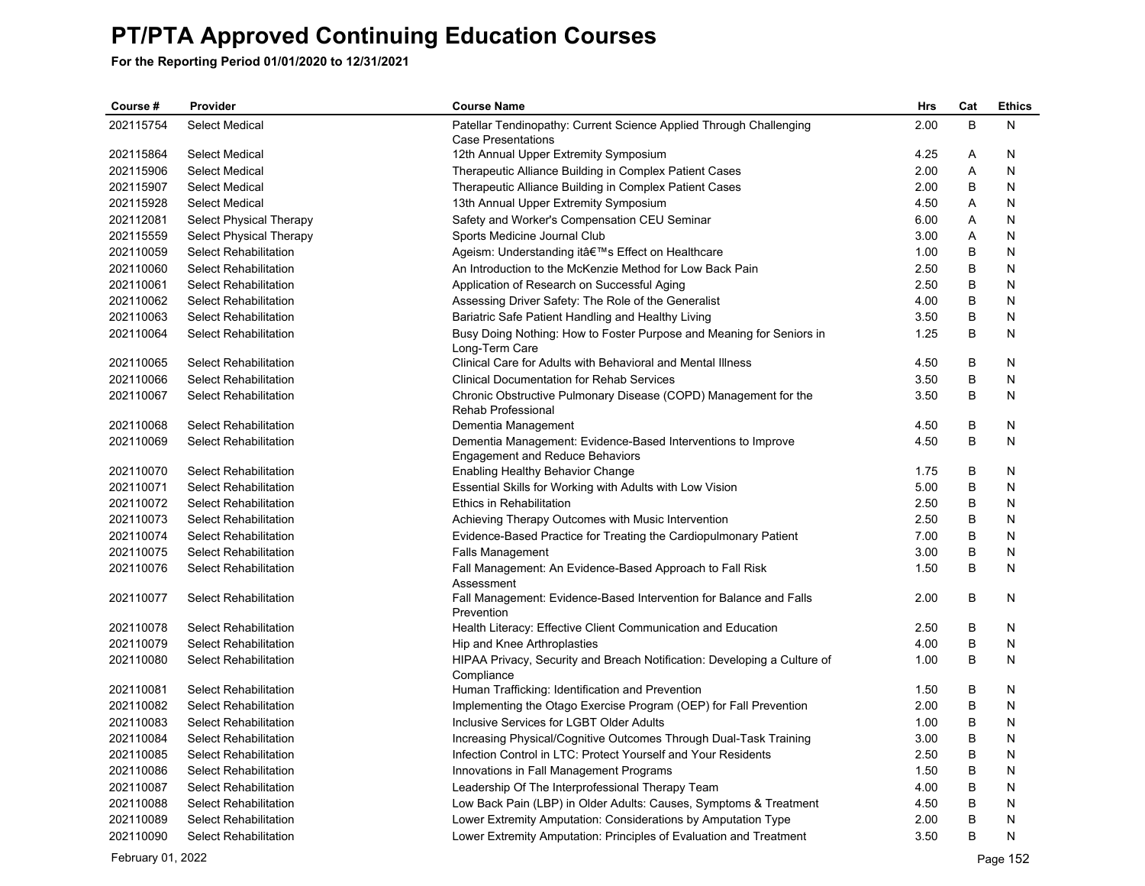**For the Reporting Period 01/01/2020 to 12/31/2021**

| B<br>2.00<br>N<br>202115754<br>Select Medical<br>Patellar Tendinopathy: Current Science Applied Through Challenging<br><b>Case Presentations</b><br>202115864<br>Select Medical<br>12th Annual Upper Extremity Symposium<br>4.25<br>Α<br>N<br>202115906<br>2.00<br>Α<br><b>Select Medical</b><br>Therapeutic Alliance Building in Complex Patient Cases<br>N<br>202115907<br>2.00<br>B<br><b>Select Medical</b><br>Therapeutic Alliance Building in Complex Patient Cases<br>N<br>202115928<br><b>Select Medical</b><br>13th Annual Upper Extremity Symposium<br>4.50<br>Α<br>N<br>202112081<br>Select Physical Therapy<br>Safety and Worker's Compensation CEU Seminar<br>6.00<br>Α<br>N<br>202115559<br>Select Physical Therapy<br>Sports Medicine Journal Club<br>3.00<br>Α<br>N<br>1.00<br>B<br>202110059<br><b>Select Rehabilitation</b><br>Ageism: Understanding it's Effect on Healthcare<br>N<br>B<br>202110060<br><b>Select Rehabilitation</b><br>An Introduction to the McKenzie Method for Low Back Pain<br>2.50<br>N<br>B<br>202110061<br><b>Select Rehabilitation</b><br>Application of Research on Successful Aging<br>2.50<br>N<br>B<br>202110062<br>Select Rehabilitation<br>Assessing Driver Safety: The Role of the Generalist<br>4.00<br>N<br>B<br>202110063<br><b>Select Rehabilitation</b><br>Bariatric Safe Patient Handling and Healthy Living<br>3.50<br>N<br>B<br>202110064<br><b>Select Rehabilitation</b><br>Busy Doing Nothing: How to Foster Purpose and Meaning for Seniors in<br>1.25<br>N<br>Long-Term Care<br>202110065<br>B<br><b>Select Rehabilitation</b><br>Clinical Care for Adults with Behavioral and Mental Illness<br>4.50<br>N<br>B<br>N<br>202110066<br><b>Select Rehabilitation</b><br><b>Clinical Documentation for Rehab Services</b><br>3.50<br>3.50<br>B<br>202110067<br><b>Select Rehabilitation</b><br>Chronic Obstructive Pulmonary Disease (COPD) Management for the<br>N<br><b>Rehab Professional</b><br>B<br>202110068<br><b>Select Rehabilitation</b><br>Dementia Management<br>4.50<br>N<br>202110069<br>B<br><b>Select Rehabilitation</b><br>Dementia Management: Evidence-Based Interventions to Improve<br>4.50<br>N<br><b>Engagement and Reduce Behaviors</b><br>B<br>202110070<br><b>Select Rehabilitation</b><br>Enabling Healthy Behavior Change<br>1.75<br>N<br>202110071<br>5.00<br>B<br><b>Select Rehabilitation</b><br>Essential Skills for Working with Adults with Low Vision<br>N<br>B<br>Ethics in Rehabilitation<br>2.50<br>N<br>202110072<br><b>Select Rehabilitation</b><br>2.50<br>B<br>202110073<br><b>Select Rehabilitation</b><br>Achieving Therapy Outcomes with Music Intervention<br>N<br>$\sf B$<br>202110074<br>7.00<br><b>Select Rehabilitation</b><br>Evidence-Based Practice for Treating the Cardiopulmonary Patient<br>N<br>202110075<br>3.00<br>B<br>Select Rehabilitation<br><b>Falls Management</b><br>N<br>B<br>202110076<br><b>Select Rehabilitation</b><br>Fall Management: An Evidence-Based Approach to Fall Risk<br>1.50<br>N<br>Assessment<br>2.00<br>B<br>202110077<br><b>Select Rehabilitation</b><br>Fall Management: Evidence-Based Intervention for Balance and Falls<br>N<br>Prevention<br>202110078<br>2.50<br>B<br>N<br>Select Rehabilitation<br>Health Literacy: Effective Client Communication and Education<br>B<br>202110079<br><b>Select Rehabilitation</b><br>4.00<br>N<br>Hip and Knee Arthroplasties<br>202110080<br><b>Select Rehabilitation</b><br>HIPAA Privacy, Security and Breach Notification: Developing a Culture of<br>1.00<br>B<br>N<br>Compliance<br>202110081<br>Human Trafficking: Identification and Prevention<br>B<br>N<br><b>Select Rehabilitation</b><br>1.50<br>B<br>202110082<br><b>Select Rehabilitation</b><br>Implementing the Otago Exercise Program (OEP) for Fall Prevention<br>2.00<br>N<br>202110083<br>Select Rehabilitation<br>Inclusive Services for LGBT Older Adults<br>1.00<br>B<br>N<br>202110084<br>B<br>N<br><b>Select Rehabilitation</b><br>Increasing Physical/Cognitive Outcomes Through Dual-Task Training<br>3.00<br>B<br>202110085<br>Infection Control in LTC: Protect Yourself and Your Residents<br>2.50<br>N<br><b>Select Rehabilitation</b><br>202110086<br>1.50<br>B<br>N<br><b>Select Rehabilitation</b><br>Innovations in Fall Management Programs<br>202110087<br>B<br>N<br><b>Select Rehabilitation</b><br>Leadership Of The Interprofessional Therapy Team<br>4.00<br>202110088<br>B<br>N<br><b>Select Rehabilitation</b><br>Low Back Pain (LBP) in Older Adults: Causes, Symptoms & Treatment<br>4.50<br>202110089<br>B<br>N<br><b>Select Rehabilitation</b><br>Lower Extremity Amputation: Considerations by Amputation Type<br>2.00<br>B<br>Lower Extremity Amputation: Principles of Evaluation and Treatment<br>3.50<br>Ν<br>202110090<br>Select Rehabilitation | Course# | Provider | <b>Course Name</b> | Hrs | Cat | <b>Ethics</b> |
|------------------------------------------------------------------------------------------------------------------------------------------------------------------------------------------------------------------------------------------------------------------------------------------------------------------------------------------------------------------------------------------------------------------------------------------------------------------------------------------------------------------------------------------------------------------------------------------------------------------------------------------------------------------------------------------------------------------------------------------------------------------------------------------------------------------------------------------------------------------------------------------------------------------------------------------------------------------------------------------------------------------------------------------------------------------------------------------------------------------------------------------------------------------------------------------------------------------------------------------------------------------------------------------------------------------------------------------------------------------------------------------------------------------------------------------------------------------------------------------------------------------------------------------------------------------------------------------------------------------------------------------------------------------------------------------------------------------------------------------------------------------------------------------------------------------------------------------------------------------------------------------------------------------------------------------------------------------------------------------------------------------------------------------------------------------------------------------------------------------------------------------------------------------------------------------------------------------------------------------------------------------------------------------------------------------------------------------------------------------------------------------------------------------------------------------------------------------------------------------------------------------------------------------------------------------------------------------------------------------------------------------------------------------------------------------------------------------------------------------------------------------------------------------------------------------------------------------------------------------------------------------------------------------------------------------------------------------------------------------------------------------------------------------------------------------------------------------------------------------------------------------------------------------------------------------------------------------------------------------------------------------------------------------------------------------------------------------------------------------------------------------------------------------------------------------------------------------------------------------------------------------------------------------------------------------------------------------------------------------------------------------------------------------------------------------------------------------------------------------------------------------------------------------------------------------------------------------------------------------------------------------------------------------------------------------------------------------------------------------------------------------------------------------------------------------------------------------------------------------------------------------------------------------------------------------------------------------------------------------------------------------------------------------------------------------------------------------------------------------------------------------------------------------------------------------------------------------------------------------------------------------------------------------------------------------------------------------------------------------------------------------------------------------------------------------------------------------------------------------------------------------------------------------------------------------------------------------------|---------|----------|--------------------|-----|-----|---------------|
|                                                                                                                                                                                                                                                                                                                                                                                                                                                                                                                                                                                                                                                                                                                                                                                                                                                                                                                                                                                                                                                                                                                                                                                                                                                                                                                                                                                                                                                                                                                                                                                                                                                                                                                                                                                                                                                                                                                                                                                                                                                                                                                                                                                                                                                                                                                                                                                                                                                                                                                                                                                                                                                                                                                                                                                                                                                                                                                                                                                                                                                                                                                                                                                                                                                                                                                                                                                                                                                                                                                                                                                                                                                                                                                                                                                                                                                                                                                                                                                                                                                                                                                                                                                                                                                                                                                                                                                                                                                                                                                                                                                                                                                                                                                                                                                                                                                |         |          |                    |     |     |               |
|                                                                                                                                                                                                                                                                                                                                                                                                                                                                                                                                                                                                                                                                                                                                                                                                                                                                                                                                                                                                                                                                                                                                                                                                                                                                                                                                                                                                                                                                                                                                                                                                                                                                                                                                                                                                                                                                                                                                                                                                                                                                                                                                                                                                                                                                                                                                                                                                                                                                                                                                                                                                                                                                                                                                                                                                                                                                                                                                                                                                                                                                                                                                                                                                                                                                                                                                                                                                                                                                                                                                                                                                                                                                                                                                                                                                                                                                                                                                                                                                                                                                                                                                                                                                                                                                                                                                                                                                                                                                                                                                                                                                                                                                                                                                                                                                                                                |         |          |                    |     |     |               |
|                                                                                                                                                                                                                                                                                                                                                                                                                                                                                                                                                                                                                                                                                                                                                                                                                                                                                                                                                                                                                                                                                                                                                                                                                                                                                                                                                                                                                                                                                                                                                                                                                                                                                                                                                                                                                                                                                                                                                                                                                                                                                                                                                                                                                                                                                                                                                                                                                                                                                                                                                                                                                                                                                                                                                                                                                                                                                                                                                                                                                                                                                                                                                                                                                                                                                                                                                                                                                                                                                                                                                                                                                                                                                                                                                                                                                                                                                                                                                                                                                                                                                                                                                                                                                                                                                                                                                                                                                                                                                                                                                                                                                                                                                                                                                                                                                                                |         |          |                    |     |     |               |
|                                                                                                                                                                                                                                                                                                                                                                                                                                                                                                                                                                                                                                                                                                                                                                                                                                                                                                                                                                                                                                                                                                                                                                                                                                                                                                                                                                                                                                                                                                                                                                                                                                                                                                                                                                                                                                                                                                                                                                                                                                                                                                                                                                                                                                                                                                                                                                                                                                                                                                                                                                                                                                                                                                                                                                                                                                                                                                                                                                                                                                                                                                                                                                                                                                                                                                                                                                                                                                                                                                                                                                                                                                                                                                                                                                                                                                                                                                                                                                                                                                                                                                                                                                                                                                                                                                                                                                                                                                                                                                                                                                                                                                                                                                                                                                                                                                                |         |          |                    |     |     |               |
|                                                                                                                                                                                                                                                                                                                                                                                                                                                                                                                                                                                                                                                                                                                                                                                                                                                                                                                                                                                                                                                                                                                                                                                                                                                                                                                                                                                                                                                                                                                                                                                                                                                                                                                                                                                                                                                                                                                                                                                                                                                                                                                                                                                                                                                                                                                                                                                                                                                                                                                                                                                                                                                                                                                                                                                                                                                                                                                                                                                                                                                                                                                                                                                                                                                                                                                                                                                                                                                                                                                                                                                                                                                                                                                                                                                                                                                                                                                                                                                                                                                                                                                                                                                                                                                                                                                                                                                                                                                                                                                                                                                                                                                                                                                                                                                                                                                |         |          |                    |     |     |               |
|                                                                                                                                                                                                                                                                                                                                                                                                                                                                                                                                                                                                                                                                                                                                                                                                                                                                                                                                                                                                                                                                                                                                                                                                                                                                                                                                                                                                                                                                                                                                                                                                                                                                                                                                                                                                                                                                                                                                                                                                                                                                                                                                                                                                                                                                                                                                                                                                                                                                                                                                                                                                                                                                                                                                                                                                                                                                                                                                                                                                                                                                                                                                                                                                                                                                                                                                                                                                                                                                                                                                                                                                                                                                                                                                                                                                                                                                                                                                                                                                                                                                                                                                                                                                                                                                                                                                                                                                                                                                                                                                                                                                                                                                                                                                                                                                                                                |         |          |                    |     |     |               |
|                                                                                                                                                                                                                                                                                                                                                                                                                                                                                                                                                                                                                                                                                                                                                                                                                                                                                                                                                                                                                                                                                                                                                                                                                                                                                                                                                                                                                                                                                                                                                                                                                                                                                                                                                                                                                                                                                                                                                                                                                                                                                                                                                                                                                                                                                                                                                                                                                                                                                                                                                                                                                                                                                                                                                                                                                                                                                                                                                                                                                                                                                                                                                                                                                                                                                                                                                                                                                                                                                                                                                                                                                                                                                                                                                                                                                                                                                                                                                                                                                                                                                                                                                                                                                                                                                                                                                                                                                                                                                                                                                                                                                                                                                                                                                                                                                                                |         |          |                    |     |     |               |
|                                                                                                                                                                                                                                                                                                                                                                                                                                                                                                                                                                                                                                                                                                                                                                                                                                                                                                                                                                                                                                                                                                                                                                                                                                                                                                                                                                                                                                                                                                                                                                                                                                                                                                                                                                                                                                                                                                                                                                                                                                                                                                                                                                                                                                                                                                                                                                                                                                                                                                                                                                                                                                                                                                                                                                                                                                                                                                                                                                                                                                                                                                                                                                                                                                                                                                                                                                                                                                                                                                                                                                                                                                                                                                                                                                                                                                                                                                                                                                                                                                                                                                                                                                                                                                                                                                                                                                                                                                                                                                                                                                                                                                                                                                                                                                                                                                                |         |          |                    |     |     |               |
|                                                                                                                                                                                                                                                                                                                                                                                                                                                                                                                                                                                                                                                                                                                                                                                                                                                                                                                                                                                                                                                                                                                                                                                                                                                                                                                                                                                                                                                                                                                                                                                                                                                                                                                                                                                                                                                                                                                                                                                                                                                                                                                                                                                                                                                                                                                                                                                                                                                                                                                                                                                                                                                                                                                                                                                                                                                                                                                                                                                                                                                                                                                                                                                                                                                                                                                                                                                                                                                                                                                                                                                                                                                                                                                                                                                                                                                                                                                                                                                                                                                                                                                                                                                                                                                                                                                                                                                                                                                                                                                                                                                                                                                                                                                                                                                                                                                |         |          |                    |     |     |               |
|                                                                                                                                                                                                                                                                                                                                                                                                                                                                                                                                                                                                                                                                                                                                                                                                                                                                                                                                                                                                                                                                                                                                                                                                                                                                                                                                                                                                                                                                                                                                                                                                                                                                                                                                                                                                                                                                                                                                                                                                                                                                                                                                                                                                                                                                                                                                                                                                                                                                                                                                                                                                                                                                                                                                                                                                                                                                                                                                                                                                                                                                                                                                                                                                                                                                                                                                                                                                                                                                                                                                                                                                                                                                                                                                                                                                                                                                                                                                                                                                                                                                                                                                                                                                                                                                                                                                                                                                                                                                                                                                                                                                                                                                                                                                                                                                                                                |         |          |                    |     |     |               |
|                                                                                                                                                                                                                                                                                                                                                                                                                                                                                                                                                                                                                                                                                                                                                                                                                                                                                                                                                                                                                                                                                                                                                                                                                                                                                                                                                                                                                                                                                                                                                                                                                                                                                                                                                                                                                                                                                                                                                                                                                                                                                                                                                                                                                                                                                                                                                                                                                                                                                                                                                                                                                                                                                                                                                                                                                                                                                                                                                                                                                                                                                                                                                                                                                                                                                                                                                                                                                                                                                                                                                                                                                                                                                                                                                                                                                                                                                                                                                                                                                                                                                                                                                                                                                                                                                                                                                                                                                                                                                                                                                                                                                                                                                                                                                                                                                                                |         |          |                    |     |     |               |
|                                                                                                                                                                                                                                                                                                                                                                                                                                                                                                                                                                                                                                                                                                                                                                                                                                                                                                                                                                                                                                                                                                                                                                                                                                                                                                                                                                                                                                                                                                                                                                                                                                                                                                                                                                                                                                                                                                                                                                                                                                                                                                                                                                                                                                                                                                                                                                                                                                                                                                                                                                                                                                                                                                                                                                                                                                                                                                                                                                                                                                                                                                                                                                                                                                                                                                                                                                                                                                                                                                                                                                                                                                                                                                                                                                                                                                                                                                                                                                                                                                                                                                                                                                                                                                                                                                                                                                                                                                                                                                                                                                                                                                                                                                                                                                                                                                                |         |          |                    |     |     |               |
|                                                                                                                                                                                                                                                                                                                                                                                                                                                                                                                                                                                                                                                                                                                                                                                                                                                                                                                                                                                                                                                                                                                                                                                                                                                                                                                                                                                                                                                                                                                                                                                                                                                                                                                                                                                                                                                                                                                                                                                                                                                                                                                                                                                                                                                                                                                                                                                                                                                                                                                                                                                                                                                                                                                                                                                                                                                                                                                                                                                                                                                                                                                                                                                                                                                                                                                                                                                                                                                                                                                                                                                                                                                                                                                                                                                                                                                                                                                                                                                                                                                                                                                                                                                                                                                                                                                                                                                                                                                                                                                                                                                                                                                                                                                                                                                                                                                |         |          |                    |     |     |               |
|                                                                                                                                                                                                                                                                                                                                                                                                                                                                                                                                                                                                                                                                                                                                                                                                                                                                                                                                                                                                                                                                                                                                                                                                                                                                                                                                                                                                                                                                                                                                                                                                                                                                                                                                                                                                                                                                                                                                                                                                                                                                                                                                                                                                                                                                                                                                                                                                                                                                                                                                                                                                                                                                                                                                                                                                                                                                                                                                                                                                                                                                                                                                                                                                                                                                                                                                                                                                                                                                                                                                                                                                                                                                                                                                                                                                                                                                                                                                                                                                                                                                                                                                                                                                                                                                                                                                                                                                                                                                                                                                                                                                                                                                                                                                                                                                                                                |         |          |                    |     |     |               |
|                                                                                                                                                                                                                                                                                                                                                                                                                                                                                                                                                                                                                                                                                                                                                                                                                                                                                                                                                                                                                                                                                                                                                                                                                                                                                                                                                                                                                                                                                                                                                                                                                                                                                                                                                                                                                                                                                                                                                                                                                                                                                                                                                                                                                                                                                                                                                                                                                                                                                                                                                                                                                                                                                                                                                                                                                                                                                                                                                                                                                                                                                                                                                                                                                                                                                                                                                                                                                                                                                                                                                                                                                                                                                                                                                                                                                                                                                                                                                                                                                                                                                                                                                                                                                                                                                                                                                                                                                                                                                                                                                                                                                                                                                                                                                                                                                                                |         |          |                    |     |     |               |
|                                                                                                                                                                                                                                                                                                                                                                                                                                                                                                                                                                                                                                                                                                                                                                                                                                                                                                                                                                                                                                                                                                                                                                                                                                                                                                                                                                                                                                                                                                                                                                                                                                                                                                                                                                                                                                                                                                                                                                                                                                                                                                                                                                                                                                                                                                                                                                                                                                                                                                                                                                                                                                                                                                                                                                                                                                                                                                                                                                                                                                                                                                                                                                                                                                                                                                                                                                                                                                                                                                                                                                                                                                                                                                                                                                                                                                                                                                                                                                                                                                                                                                                                                                                                                                                                                                                                                                                                                                                                                                                                                                                                                                                                                                                                                                                                                                                |         |          |                    |     |     |               |
|                                                                                                                                                                                                                                                                                                                                                                                                                                                                                                                                                                                                                                                                                                                                                                                                                                                                                                                                                                                                                                                                                                                                                                                                                                                                                                                                                                                                                                                                                                                                                                                                                                                                                                                                                                                                                                                                                                                                                                                                                                                                                                                                                                                                                                                                                                                                                                                                                                                                                                                                                                                                                                                                                                                                                                                                                                                                                                                                                                                                                                                                                                                                                                                                                                                                                                                                                                                                                                                                                                                                                                                                                                                                                                                                                                                                                                                                                                                                                                                                                                                                                                                                                                                                                                                                                                                                                                                                                                                                                                                                                                                                                                                                                                                                                                                                                                                |         |          |                    |     |     |               |
|                                                                                                                                                                                                                                                                                                                                                                                                                                                                                                                                                                                                                                                                                                                                                                                                                                                                                                                                                                                                                                                                                                                                                                                                                                                                                                                                                                                                                                                                                                                                                                                                                                                                                                                                                                                                                                                                                                                                                                                                                                                                                                                                                                                                                                                                                                                                                                                                                                                                                                                                                                                                                                                                                                                                                                                                                                                                                                                                                                                                                                                                                                                                                                                                                                                                                                                                                                                                                                                                                                                                                                                                                                                                                                                                                                                                                                                                                                                                                                                                                                                                                                                                                                                                                                                                                                                                                                                                                                                                                                                                                                                                                                                                                                                                                                                                                                                |         |          |                    |     |     |               |
|                                                                                                                                                                                                                                                                                                                                                                                                                                                                                                                                                                                                                                                                                                                                                                                                                                                                                                                                                                                                                                                                                                                                                                                                                                                                                                                                                                                                                                                                                                                                                                                                                                                                                                                                                                                                                                                                                                                                                                                                                                                                                                                                                                                                                                                                                                                                                                                                                                                                                                                                                                                                                                                                                                                                                                                                                                                                                                                                                                                                                                                                                                                                                                                                                                                                                                                                                                                                                                                                                                                                                                                                                                                                                                                                                                                                                                                                                                                                                                                                                                                                                                                                                                                                                                                                                                                                                                                                                                                                                                                                                                                                                                                                                                                                                                                                                                                |         |          |                    |     |     |               |
|                                                                                                                                                                                                                                                                                                                                                                                                                                                                                                                                                                                                                                                                                                                                                                                                                                                                                                                                                                                                                                                                                                                                                                                                                                                                                                                                                                                                                                                                                                                                                                                                                                                                                                                                                                                                                                                                                                                                                                                                                                                                                                                                                                                                                                                                                                                                                                                                                                                                                                                                                                                                                                                                                                                                                                                                                                                                                                                                                                                                                                                                                                                                                                                                                                                                                                                                                                                                                                                                                                                                                                                                                                                                                                                                                                                                                                                                                                                                                                                                                                                                                                                                                                                                                                                                                                                                                                                                                                                                                                                                                                                                                                                                                                                                                                                                                                                |         |          |                    |     |     |               |
|                                                                                                                                                                                                                                                                                                                                                                                                                                                                                                                                                                                                                                                                                                                                                                                                                                                                                                                                                                                                                                                                                                                                                                                                                                                                                                                                                                                                                                                                                                                                                                                                                                                                                                                                                                                                                                                                                                                                                                                                                                                                                                                                                                                                                                                                                                                                                                                                                                                                                                                                                                                                                                                                                                                                                                                                                                                                                                                                                                                                                                                                                                                                                                                                                                                                                                                                                                                                                                                                                                                                                                                                                                                                                                                                                                                                                                                                                                                                                                                                                                                                                                                                                                                                                                                                                                                                                                                                                                                                                                                                                                                                                                                                                                                                                                                                                                                |         |          |                    |     |     |               |
|                                                                                                                                                                                                                                                                                                                                                                                                                                                                                                                                                                                                                                                                                                                                                                                                                                                                                                                                                                                                                                                                                                                                                                                                                                                                                                                                                                                                                                                                                                                                                                                                                                                                                                                                                                                                                                                                                                                                                                                                                                                                                                                                                                                                                                                                                                                                                                                                                                                                                                                                                                                                                                                                                                                                                                                                                                                                                                                                                                                                                                                                                                                                                                                                                                                                                                                                                                                                                                                                                                                                                                                                                                                                                                                                                                                                                                                                                                                                                                                                                                                                                                                                                                                                                                                                                                                                                                                                                                                                                                                                                                                                                                                                                                                                                                                                                                                |         |          |                    |     |     |               |
|                                                                                                                                                                                                                                                                                                                                                                                                                                                                                                                                                                                                                                                                                                                                                                                                                                                                                                                                                                                                                                                                                                                                                                                                                                                                                                                                                                                                                                                                                                                                                                                                                                                                                                                                                                                                                                                                                                                                                                                                                                                                                                                                                                                                                                                                                                                                                                                                                                                                                                                                                                                                                                                                                                                                                                                                                                                                                                                                                                                                                                                                                                                                                                                                                                                                                                                                                                                                                                                                                                                                                                                                                                                                                                                                                                                                                                                                                                                                                                                                                                                                                                                                                                                                                                                                                                                                                                                                                                                                                                                                                                                                                                                                                                                                                                                                                                                |         |          |                    |     |     |               |
|                                                                                                                                                                                                                                                                                                                                                                                                                                                                                                                                                                                                                                                                                                                                                                                                                                                                                                                                                                                                                                                                                                                                                                                                                                                                                                                                                                                                                                                                                                                                                                                                                                                                                                                                                                                                                                                                                                                                                                                                                                                                                                                                                                                                                                                                                                                                                                                                                                                                                                                                                                                                                                                                                                                                                                                                                                                                                                                                                                                                                                                                                                                                                                                                                                                                                                                                                                                                                                                                                                                                                                                                                                                                                                                                                                                                                                                                                                                                                                                                                                                                                                                                                                                                                                                                                                                                                                                                                                                                                                                                                                                                                                                                                                                                                                                                                                                |         |          |                    |     |     |               |
|                                                                                                                                                                                                                                                                                                                                                                                                                                                                                                                                                                                                                                                                                                                                                                                                                                                                                                                                                                                                                                                                                                                                                                                                                                                                                                                                                                                                                                                                                                                                                                                                                                                                                                                                                                                                                                                                                                                                                                                                                                                                                                                                                                                                                                                                                                                                                                                                                                                                                                                                                                                                                                                                                                                                                                                                                                                                                                                                                                                                                                                                                                                                                                                                                                                                                                                                                                                                                                                                                                                                                                                                                                                                                                                                                                                                                                                                                                                                                                                                                                                                                                                                                                                                                                                                                                                                                                                                                                                                                                                                                                                                                                                                                                                                                                                                                                                |         |          |                    |     |     |               |
|                                                                                                                                                                                                                                                                                                                                                                                                                                                                                                                                                                                                                                                                                                                                                                                                                                                                                                                                                                                                                                                                                                                                                                                                                                                                                                                                                                                                                                                                                                                                                                                                                                                                                                                                                                                                                                                                                                                                                                                                                                                                                                                                                                                                                                                                                                                                                                                                                                                                                                                                                                                                                                                                                                                                                                                                                                                                                                                                                                                                                                                                                                                                                                                                                                                                                                                                                                                                                                                                                                                                                                                                                                                                                                                                                                                                                                                                                                                                                                                                                                                                                                                                                                                                                                                                                                                                                                                                                                                                                                                                                                                                                                                                                                                                                                                                                                                |         |          |                    |     |     |               |
|                                                                                                                                                                                                                                                                                                                                                                                                                                                                                                                                                                                                                                                                                                                                                                                                                                                                                                                                                                                                                                                                                                                                                                                                                                                                                                                                                                                                                                                                                                                                                                                                                                                                                                                                                                                                                                                                                                                                                                                                                                                                                                                                                                                                                                                                                                                                                                                                                                                                                                                                                                                                                                                                                                                                                                                                                                                                                                                                                                                                                                                                                                                                                                                                                                                                                                                                                                                                                                                                                                                                                                                                                                                                                                                                                                                                                                                                                                                                                                                                                                                                                                                                                                                                                                                                                                                                                                                                                                                                                                                                                                                                                                                                                                                                                                                                                                                |         |          |                    |     |     |               |
|                                                                                                                                                                                                                                                                                                                                                                                                                                                                                                                                                                                                                                                                                                                                                                                                                                                                                                                                                                                                                                                                                                                                                                                                                                                                                                                                                                                                                                                                                                                                                                                                                                                                                                                                                                                                                                                                                                                                                                                                                                                                                                                                                                                                                                                                                                                                                                                                                                                                                                                                                                                                                                                                                                                                                                                                                                                                                                                                                                                                                                                                                                                                                                                                                                                                                                                                                                                                                                                                                                                                                                                                                                                                                                                                                                                                                                                                                                                                                                                                                                                                                                                                                                                                                                                                                                                                                                                                                                                                                                                                                                                                                                                                                                                                                                                                                                                |         |          |                    |     |     |               |
|                                                                                                                                                                                                                                                                                                                                                                                                                                                                                                                                                                                                                                                                                                                                                                                                                                                                                                                                                                                                                                                                                                                                                                                                                                                                                                                                                                                                                                                                                                                                                                                                                                                                                                                                                                                                                                                                                                                                                                                                                                                                                                                                                                                                                                                                                                                                                                                                                                                                                                                                                                                                                                                                                                                                                                                                                                                                                                                                                                                                                                                                                                                                                                                                                                                                                                                                                                                                                                                                                                                                                                                                                                                                                                                                                                                                                                                                                                                                                                                                                                                                                                                                                                                                                                                                                                                                                                                                                                                                                                                                                                                                                                                                                                                                                                                                                                                |         |          |                    |     |     |               |
|                                                                                                                                                                                                                                                                                                                                                                                                                                                                                                                                                                                                                                                                                                                                                                                                                                                                                                                                                                                                                                                                                                                                                                                                                                                                                                                                                                                                                                                                                                                                                                                                                                                                                                                                                                                                                                                                                                                                                                                                                                                                                                                                                                                                                                                                                                                                                                                                                                                                                                                                                                                                                                                                                                                                                                                                                                                                                                                                                                                                                                                                                                                                                                                                                                                                                                                                                                                                                                                                                                                                                                                                                                                                                                                                                                                                                                                                                                                                                                                                                                                                                                                                                                                                                                                                                                                                                                                                                                                                                                                                                                                                                                                                                                                                                                                                                                                |         |          |                    |     |     |               |
|                                                                                                                                                                                                                                                                                                                                                                                                                                                                                                                                                                                                                                                                                                                                                                                                                                                                                                                                                                                                                                                                                                                                                                                                                                                                                                                                                                                                                                                                                                                                                                                                                                                                                                                                                                                                                                                                                                                                                                                                                                                                                                                                                                                                                                                                                                                                                                                                                                                                                                                                                                                                                                                                                                                                                                                                                                                                                                                                                                                                                                                                                                                                                                                                                                                                                                                                                                                                                                                                                                                                                                                                                                                                                                                                                                                                                                                                                                                                                                                                                                                                                                                                                                                                                                                                                                                                                                                                                                                                                                                                                                                                                                                                                                                                                                                                                                                |         |          |                    |     |     |               |
|                                                                                                                                                                                                                                                                                                                                                                                                                                                                                                                                                                                                                                                                                                                                                                                                                                                                                                                                                                                                                                                                                                                                                                                                                                                                                                                                                                                                                                                                                                                                                                                                                                                                                                                                                                                                                                                                                                                                                                                                                                                                                                                                                                                                                                                                                                                                                                                                                                                                                                                                                                                                                                                                                                                                                                                                                                                                                                                                                                                                                                                                                                                                                                                                                                                                                                                                                                                                                                                                                                                                                                                                                                                                                                                                                                                                                                                                                                                                                                                                                                                                                                                                                                                                                                                                                                                                                                                                                                                                                                                                                                                                                                                                                                                                                                                                                                                |         |          |                    |     |     |               |
|                                                                                                                                                                                                                                                                                                                                                                                                                                                                                                                                                                                                                                                                                                                                                                                                                                                                                                                                                                                                                                                                                                                                                                                                                                                                                                                                                                                                                                                                                                                                                                                                                                                                                                                                                                                                                                                                                                                                                                                                                                                                                                                                                                                                                                                                                                                                                                                                                                                                                                                                                                                                                                                                                                                                                                                                                                                                                                                                                                                                                                                                                                                                                                                                                                                                                                                                                                                                                                                                                                                                                                                                                                                                                                                                                                                                                                                                                                                                                                                                                                                                                                                                                                                                                                                                                                                                                                                                                                                                                                                                                                                                                                                                                                                                                                                                                                                |         |          |                    |     |     |               |
|                                                                                                                                                                                                                                                                                                                                                                                                                                                                                                                                                                                                                                                                                                                                                                                                                                                                                                                                                                                                                                                                                                                                                                                                                                                                                                                                                                                                                                                                                                                                                                                                                                                                                                                                                                                                                                                                                                                                                                                                                                                                                                                                                                                                                                                                                                                                                                                                                                                                                                                                                                                                                                                                                                                                                                                                                                                                                                                                                                                                                                                                                                                                                                                                                                                                                                                                                                                                                                                                                                                                                                                                                                                                                                                                                                                                                                                                                                                                                                                                                                                                                                                                                                                                                                                                                                                                                                                                                                                                                                                                                                                                                                                                                                                                                                                                                                                |         |          |                    |     |     |               |
|                                                                                                                                                                                                                                                                                                                                                                                                                                                                                                                                                                                                                                                                                                                                                                                                                                                                                                                                                                                                                                                                                                                                                                                                                                                                                                                                                                                                                                                                                                                                                                                                                                                                                                                                                                                                                                                                                                                                                                                                                                                                                                                                                                                                                                                                                                                                                                                                                                                                                                                                                                                                                                                                                                                                                                                                                                                                                                                                                                                                                                                                                                                                                                                                                                                                                                                                                                                                                                                                                                                                                                                                                                                                                                                                                                                                                                                                                                                                                                                                                                                                                                                                                                                                                                                                                                                                                                                                                                                                                                                                                                                                                                                                                                                                                                                                                                                |         |          |                    |     |     |               |
|                                                                                                                                                                                                                                                                                                                                                                                                                                                                                                                                                                                                                                                                                                                                                                                                                                                                                                                                                                                                                                                                                                                                                                                                                                                                                                                                                                                                                                                                                                                                                                                                                                                                                                                                                                                                                                                                                                                                                                                                                                                                                                                                                                                                                                                                                                                                                                                                                                                                                                                                                                                                                                                                                                                                                                                                                                                                                                                                                                                                                                                                                                                                                                                                                                                                                                                                                                                                                                                                                                                                                                                                                                                                                                                                                                                                                                                                                                                                                                                                                                                                                                                                                                                                                                                                                                                                                                                                                                                                                                                                                                                                                                                                                                                                                                                                                                                |         |          |                    |     |     |               |
|                                                                                                                                                                                                                                                                                                                                                                                                                                                                                                                                                                                                                                                                                                                                                                                                                                                                                                                                                                                                                                                                                                                                                                                                                                                                                                                                                                                                                                                                                                                                                                                                                                                                                                                                                                                                                                                                                                                                                                                                                                                                                                                                                                                                                                                                                                                                                                                                                                                                                                                                                                                                                                                                                                                                                                                                                                                                                                                                                                                                                                                                                                                                                                                                                                                                                                                                                                                                                                                                                                                                                                                                                                                                                                                                                                                                                                                                                                                                                                                                                                                                                                                                                                                                                                                                                                                                                                                                                                                                                                                                                                                                                                                                                                                                                                                                                                                |         |          |                    |     |     |               |
|                                                                                                                                                                                                                                                                                                                                                                                                                                                                                                                                                                                                                                                                                                                                                                                                                                                                                                                                                                                                                                                                                                                                                                                                                                                                                                                                                                                                                                                                                                                                                                                                                                                                                                                                                                                                                                                                                                                                                                                                                                                                                                                                                                                                                                                                                                                                                                                                                                                                                                                                                                                                                                                                                                                                                                                                                                                                                                                                                                                                                                                                                                                                                                                                                                                                                                                                                                                                                                                                                                                                                                                                                                                                                                                                                                                                                                                                                                                                                                                                                                                                                                                                                                                                                                                                                                                                                                                                                                                                                                                                                                                                                                                                                                                                                                                                                                                |         |          |                    |     |     |               |
|                                                                                                                                                                                                                                                                                                                                                                                                                                                                                                                                                                                                                                                                                                                                                                                                                                                                                                                                                                                                                                                                                                                                                                                                                                                                                                                                                                                                                                                                                                                                                                                                                                                                                                                                                                                                                                                                                                                                                                                                                                                                                                                                                                                                                                                                                                                                                                                                                                                                                                                                                                                                                                                                                                                                                                                                                                                                                                                                                                                                                                                                                                                                                                                                                                                                                                                                                                                                                                                                                                                                                                                                                                                                                                                                                                                                                                                                                                                                                                                                                                                                                                                                                                                                                                                                                                                                                                                                                                                                                                                                                                                                                                                                                                                                                                                                                                                |         |          |                    |     |     |               |
|                                                                                                                                                                                                                                                                                                                                                                                                                                                                                                                                                                                                                                                                                                                                                                                                                                                                                                                                                                                                                                                                                                                                                                                                                                                                                                                                                                                                                                                                                                                                                                                                                                                                                                                                                                                                                                                                                                                                                                                                                                                                                                                                                                                                                                                                                                                                                                                                                                                                                                                                                                                                                                                                                                                                                                                                                                                                                                                                                                                                                                                                                                                                                                                                                                                                                                                                                                                                                                                                                                                                                                                                                                                                                                                                                                                                                                                                                                                                                                                                                                                                                                                                                                                                                                                                                                                                                                                                                                                                                                                                                                                                                                                                                                                                                                                                                                                |         |          |                    |     |     |               |
|                                                                                                                                                                                                                                                                                                                                                                                                                                                                                                                                                                                                                                                                                                                                                                                                                                                                                                                                                                                                                                                                                                                                                                                                                                                                                                                                                                                                                                                                                                                                                                                                                                                                                                                                                                                                                                                                                                                                                                                                                                                                                                                                                                                                                                                                                                                                                                                                                                                                                                                                                                                                                                                                                                                                                                                                                                                                                                                                                                                                                                                                                                                                                                                                                                                                                                                                                                                                                                                                                                                                                                                                                                                                                                                                                                                                                                                                                                                                                                                                                                                                                                                                                                                                                                                                                                                                                                                                                                                                                                                                                                                                                                                                                                                                                                                                                                                |         |          |                    |     |     |               |
|                                                                                                                                                                                                                                                                                                                                                                                                                                                                                                                                                                                                                                                                                                                                                                                                                                                                                                                                                                                                                                                                                                                                                                                                                                                                                                                                                                                                                                                                                                                                                                                                                                                                                                                                                                                                                                                                                                                                                                                                                                                                                                                                                                                                                                                                                                                                                                                                                                                                                                                                                                                                                                                                                                                                                                                                                                                                                                                                                                                                                                                                                                                                                                                                                                                                                                                                                                                                                                                                                                                                                                                                                                                                                                                                                                                                                                                                                                                                                                                                                                                                                                                                                                                                                                                                                                                                                                                                                                                                                                                                                                                                                                                                                                                                                                                                                                                |         |          |                    |     |     |               |
|                                                                                                                                                                                                                                                                                                                                                                                                                                                                                                                                                                                                                                                                                                                                                                                                                                                                                                                                                                                                                                                                                                                                                                                                                                                                                                                                                                                                                                                                                                                                                                                                                                                                                                                                                                                                                                                                                                                                                                                                                                                                                                                                                                                                                                                                                                                                                                                                                                                                                                                                                                                                                                                                                                                                                                                                                                                                                                                                                                                                                                                                                                                                                                                                                                                                                                                                                                                                                                                                                                                                                                                                                                                                                                                                                                                                                                                                                                                                                                                                                                                                                                                                                                                                                                                                                                                                                                                                                                                                                                                                                                                                                                                                                                                                                                                                                                                |         |          |                    |     |     |               |
|                                                                                                                                                                                                                                                                                                                                                                                                                                                                                                                                                                                                                                                                                                                                                                                                                                                                                                                                                                                                                                                                                                                                                                                                                                                                                                                                                                                                                                                                                                                                                                                                                                                                                                                                                                                                                                                                                                                                                                                                                                                                                                                                                                                                                                                                                                                                                                                                                                                                                                                                                                                                                                                                                                                                                                                                                                                                                                                                                                                                                                                                                                                                                                                                                                                                                                                                                                                                                                                                                                                                                                                                                                                                                                                                                                                                                                                                                                                                                                                                                                                                                                                                                                                                                                                                                                                                                                                                                                                                                                                                                                                                                                                                                                                                                                                                                                                |         |          |                    |     |     |               |
|                                                                                                                                                                                                                                                                                                                                                                                                                                                                                                                                                                                                                                                                                                                                                                                                                                                                                                                                                                                                                                                                                                                                                                                                                                                                                                                                                                                                                                                                                                                                                                                                                                                                                                                                                                                                                                                                                                                                                                                                                                                                                                                                                                                                                                                                                                                                                                                                                                                                                                                                                                                                                                                                                                                                                                                                                                                                                                                                                                                                                                                                                                                                                                                                                                                                                                                                                                                                                                                                                                                                                                                                                                                                                                                                                                                                                                                                                                                                                                                                                                                                                                                                                                                                                                                                                                                                                                                                                                                                                                                                                                                                                                                                                                                                                                                                                                                |         |          |                    |     |     |               |

February 01, 2022 Page 152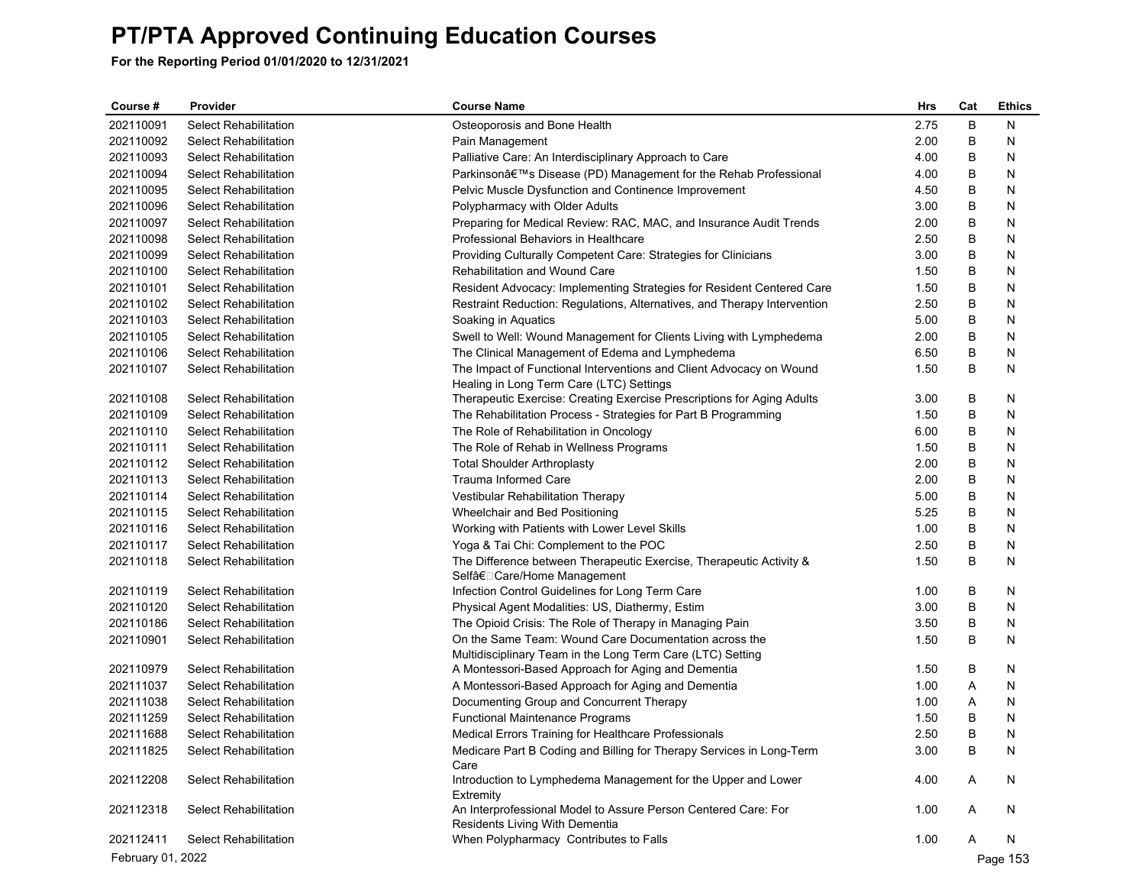| B<br>202110091<br><b>Select Rehabilitation</b><br>2.75<br>N<br>Osteoporosis and Bone Health<br>202110092<br>2.00<br>B<br><b>Select Rehabilitation</b><br>N<br>Pain Management<br>202110093<br><b>Select Rehabilitation</b><br>Palliative Care: An Interdisciplinary Approach to Care<br>4.00<br>В<br>N<br>В<br>202110094<br><b>Select Rehabilitation</b><br>Parkinson's Disease (PD) Management for the Rehab Professional<br>4.00<br>N<br>202110095<br>Select Rehabilitation<br>Pelvic Muscle Dysfunction and Continence Improvement<br>4.50<br>В<br>N<br>В<br>202110096<br>3.00<br>N<br>Select Rehabilitation<br>Polypharmacy with Older Adults<br>В<br>202110097<br><b>Select Rehabilitation</b><br>Preparing for Medical Review: RAC, MAC, and Insurance Audit Trends<br>2.00<br>N<br>2.50<br>B<br>202110098<br><b>Select Rehabilitation</b><br>Professional Behaviors in Healthcare<br>N<br>B<br>202110099<br><b>Select Rehabilitation</b><br>Providing Culturally Competent Care: Strategies for Clinicians<br>3.00<br>N<br>В<br>202110100<br>1.50<br>N<br>Select Rehabilitation<br>Rehabilitation and Wound Care<br>202110101<br><b>Select Rehabilitation</b><br>Resident Advocacy: Implementing Strategies for Resident Centered Care<br>1.50<br>B<br>N<br>B<br>202110102<br><b>Select Rehabilitation</b><br>Restraint Reduction: Regulations, Alternatives, and Therapy Intervention<br>2.50<br>N<br>202110103<br><b>Select Rehabilitation</b><br>Soaking in Aquatics<br>5.00<br>В<br>N<br>В<br>202110105<br>Swell to Well: Wound Management for Clients Living with Lymphedema<br>2.00<br>N<br>Select Rehabilitation<br>В<br>202110106<br><b>Select Rehabilitation</b><br>The Clinical Management of Edema and Lymphedema<br>6.50<br>N<br>The Impact of Functional Interventions and Client Advocacy on Wound<br>В<br>202110107<br>Select Rehabilitation<br>1.50<br>N<br>Healing in Long Term Care (LTC) Settings<br>202110108<br>Select Rehabilitation<br>Therapeutic Exercise: Creating Exercise Prescriptions for Aging Adults<br>3.00<br>В<br>N<br>202110109<br>The Rehabilitation Process - Strategies for Part B Programming<br>В<br>N<br>Select Rehabilitation<br>1.50<br>B<br>202110110<br>Select Rehabilitation<br>The Role of Rehabilitation in Oncology<br>6.00<br>N<br>B<br>202110111<br>The Role of Rehab in Wellness Programs<br>1.50<br>N<br>Select Rehabilitation<br>B<br>202110112<br>2.00<br>Select Rehabilitation<br><b>Total Shoulder Arthroplasty</b><br>N<br>В<br>202110113<br>Trauma Informed Care<br>2.00<br>N<br>Select Rehabilitation<br>В<br>202110114<br>Select Rehabilitation<br>Vestibular Rehabilitation Therapy<br>5.00<br>N<br>В<br>202110115<br><b>Select Rehabilitation</b><br>Wheelchair and Bed Positioning<br>5.25<br>N<br>В<br>202110116<br>Select Rehabilitation<br>Working with Patients with Lower Level Skills<br>1.00<br>N<br>В<br>202110117<br>Select Rehabilitation<br>Yoga & Tai Chi: Complement to the POC<br>2.50<br>N<br>В<br>N<br>202110118<br>Select Rehabilitation<br>The Difference between Therapeutic Exercise, Therapeutic Activity &<br>1.50<br>Selfâ€□ Care/Home Management<br>В<br>202110119<br>Infection Control Guidelines for Long Term Care<br>1.00<br>N<br>Select Rehabilitation<br>В<br>202110120<br>Select Rehabilitation<br>Physical Agent Modalities: US, Diathermy, Estim<br>3.00<br>N<br>202110186<br>Select Rehabilitation<br>The Opioid Crisis: The Role of Therapy in Managing Pain<br>3.50<br>В<br>N<br>On the Same Team: Wound Care Documentation across the<br>В<br>202110901<br>Select Rehabilitation<br>1.50<br>N<br>Multidisciplinary Team in the Long Term Care (LTC) Setting<br>202110979<br>A Montessori-Based Approach for Aging and Dementia<br>B<br>Select Rehabilitation<br>1.50<br>N<br>202111037<br>Select Rehabilitation<br>A Montessori-Based Approach for Aging and Dementia<br>1.00<br>A<br>N<br>202111038<br>Documenting Group and Concurrent Therapy<br>Select Rehabilitation<br>1.00<br>A<br>N<br>B<br>202111259<br>Select Rehabilitation<br><b>Functional Maintenance Programs</b><br>1.50<br>N<br>B<br>202111688<br>Medical Errors Training for Healthcare Professionals<br>2.50<br>N<br>Select Rehabilitation<br>202111825<br>Medicare Part B Coding and Billing for Therapy Services in Long-Term<br>3.00<br>B<br>Select Rehabilitation<br>Care<br>202112208<br>Introduction to Lymphedema Management for the Upper and Lower<br>4.00<br>N<br>Select Rehabilitation<br>Α<br>Extremity<br>An Interprofessional Model to Assure Person Centered Care: For<br>N<br>202112318<br>Select Rehabilitation<br>1.00<br>A<br>Residents Living With Dementia<br>When Polypharmacy Contributes to Falls<br>202112411<br>Select Rehabilitation<br>1.00<br>N<br>Α<br>February 01, 2022<br>Page 153 | Course # | Provider | <b>Course Name</b> | Hrs | Cat | <b>Ethics</b> |
|----------------------------------------------------------------------------------------------------------------------------------------------------------------------------------------------------------------------------------------------------------------------------------------------------------------------------------------------------------------------------------------------------------------------------------------------------------------------------------------------------------------------------------------------------------------------------------------------------------------------------------------------------------------------------------------------------------------------------------------------------------------------------------------------------------------------------------------------------------------------------------------------------------------------------------------------------------------------------------------------------------------------------------------------------------------------------------------------------------------------------------------------------------------------------------------------------------------------------------------------------------------------------------------------------------------------------------------------------------------------------------------------------------------------------------------------------------------------------------------------------------------------------------------------------------------------------------------------------------------------------------------------------------------------------------------------------------------------------------------------------------------------------------------------------------------------------------------------------------------------------------------------------------------------------------------------------------------------------------------------------------------------------------------------------------------------------------------------------------------------------------------------------------------------------------------------------------------------------------------------------------------------------------------------------------------------------------------------------------------------------------------------------------------------------------------------------------------------------------------------------------------------------------------------------------------------------------------------------------------------------------------------------------------------------------------------------------------------------------------------------------------------------------------------------------------------------------------------------------------------------------------------------------------------------------------------------------------------------------------------------------------------------------------------------------------------------------------------------------------------------------------------------------------------------------------------------------------------------------------------------------------------------------------------------------------------------------------------------------------------------------------------------------------------------------------------------------------------------------------------------------------------------------------------------------------------------------------------------------------------------------------------------------------------------------------------------------------------------------------------------------------------------------------------------------------------------------------------------------------------------------------------------------------------------------------------------------------------------------------------------------------------------------------------------------------------------------------------------------------------------------------------------------------------------------------------------------------------------------------------------------------------------------------------------------------------------------------------------------------------------------------------------------------------------------------------------------------------------------------------------------------------------------------------------------------------------------------------------------------------------------------------------------------------------------------------------------------------------------------------------------------------------------------------------|----------|----------|--------------------|-----|-----|---------------|
|                                                                                                                                                                                                                                                                                                                                                                                                                                                                                                                                                                                                                                                                                                                                                                                                                                                                                                                                                                                                                                                                                                                                                                                                                                                                                                                                                                                                                                                                                                                                                                                                                                                                                                                                                                                                                                                                                                                                                                                                                                                                                                                                                                                                                                                                                                                                                                                                                                                                                                                                                                                                                                                                                                                                                                                                                                                                                                                                                                                                                                                                                                                                                                                                                                                                                                                                                                                                                                                                                                                                                                                                                                                                                                                                                                                                                                                                                                                                                                                                                                                                                                                                                                                                                                                                                                                                                                                                                                                                                                                                                                                                                                                                                                                                                                                                    |          |          |                    |     |     |               |
|                                                                                                                                                                                                                                                                                                                                                                                                                                                                                                                                                                                                                                                                                                                                                                                                                                                                                                                                                                                                                                                                                                                                                                                                                                                                                                                                                                                                                                                                                                                                                                                                                                                                                                                                                                                                                                                                                                                                                                                                                                                                                                                                                                                                                                                                                                                                                                                                                                                                                                                                                                                                                                                                                                                                                                                                                                                                                                                                                                                                                                                                                                                                                                                                                                                                                                                                                                                                                                                                                                                                                                                                                                                                                                                                                                                                                                                                                                                                                                                                                                                                                                                                                                                                                                                                                                                                                                                                                                                                                                                                                                                                                                                                                                                                                                                                    |          |          |                    |     |     |               |
|                                                                                                                                                                                                                                                                                                                                                                                                                                                                                                                                                                                                                                                                                                                                                                                                                                                                                                                                                                                                                                                                                                                                                                                                                                                                                                                                                                                                                                                                                                                                                                                                                                                                                                                                                                                                                                                                                                                                                                                                                                                                                                                                                                                                                                                                                                                                                                                                                                                                                                                                                                                                                                                                                                                                                                                                                                                                                                                                                                                                                                                                                                                                                                                                                                                                                                                                                                                                                                                                                                                                                                                                                                                                                                                                                                                                                                                                                                                                                                                                                                                                                                                                                                                                                                                                                                                                                                                                                                                                                                                                                                                                                                                                                                                                                                                                    |          |          |                    |     |     |               |
|                                                                                                                                                                                                                                                                                                                                                                                                                                                                                                                                                                                                                                                                                                                                                                                                                                                                                                                                                                                                                                                                                                                                                                                                                                                                                                                                                                                                                                                                                                                                                                                                                                                                                                                                                                                                                                                                                                                                                                                                                                                                                                                                                                                                                                                                                                                                                                                                                                                                                                                                                                                                                                                                                                                                                                                                                                                                                                                                                                                                                                                                                                                                                                                                                                                                                                                                                                                                                                                                                                                                                                                                                                                                                                                                                                                                                                                                                                                                                                                                                                                                                                                                                                                                                                                                                                                                                                                                                                                                                                                                                                                                                                                                                                                                                                                                    |          |          |                    |     |     |               |
|                                                                                                                                                                                                                                                                                                                                                                                                                                                                                                                                                                                                                                                                                                                                                                                                                                                                                                                                                                                                                                                                                                                                                                                                                                                                                                                                                                                                                                                                                                                                                                                                                                                                                                                                                                                                                                                                                                                                                                                                                                                                                                                                                                                                                                                                                                                                                                                                                                                                                                                                                                                                                                                                                                                                                                                                                                                                                                                                                                                                                                                                                                                                                                                                                                                                                                                                                                                                                                                                                                                                                                                                                                                                                                                                                                                                                                                                                                                                                                                                                                                                                                                                                                                                                                                                                                                                                                                                                                                                                                                                                                                                                                                                                                                                                                                                    |          |          |                    |     |     |               |
|                                                                                                                                                                                                                                                                                                                                                                                                                                                                                                                                                                                                                                                                                                                                                                                                                                                                                                                                                                                                                                                                                                                                                                                                                                                                                                                                                                                                                                                                                                                                                                                                                                                                                                                                                                                                                                                                                                                                                                                                                                                                                                                                                                                                                                                                                                                                                                                                                                                                                                                                                                                                                                                                                                                                                                                                                                                                                                                                                                                                                                                                                                                                                                                                                                                                                                                                                                                                                                                                                                                                                                                                                                                                                                                                                                                                                                                                                                                                                                                                                                                                                                                                                                                                                                                                                                                                                                                                                                                                                                                                                                                                                                                                                                                                                                                                    |          |          |                    |     |     |               |
|                                                                                                                                                                                                                                                                                                                                                                                                                                                                                                                                                                                                                                                                                                                                                                                                                                                                                                                                                                                                                                                                                                                                                                                                                                                                                                                                                                                                                                                                                                                                                                                                                                                                                                                                                                                                                                                                                                                                                                                                                                                                                                                                                                                                                                                                                                                                                                                                                                                                                                                                                                                                                                                                                                                                                                                                                                                                                                                                                                                                                                                                                                                                                                                                                                                                                                                                                                                                                                                                                                                                                                                                                                                                                                                                                                                                                                                                                                                                                                                                                                                                                                                                                                                                                                                                                                                                                                                                                                                                                                                                                                                                                                                                                                                                                                                                    |          |          |                    |     |     |               |
|                                                                                                                                                                                                                                                                                                                                                                                                                                                                                                                                                                                                                                                                                                                                                                                                                                                                                                                                                                                                                                                                                                                                                                                                                                                                                                                                                                                                                                                                                                                                                                                                                                                                                                                                                                                                                                                                                                                                                                                                                                                                                                                                                                                                                                                                                                                                                                                                                                                                                                                                                                                                                                                                                                                                                                                                                                                                                                                                                                                                                                                                                                                                                                                                                                                                                                                                                                                                                                                                                                                                                                                                                                                                                                                                                                                                                                                                                                                                                                                                                                                                                                                                                                                                                                                                                                                                                                                                                                                                                                                                                                                                                                                                                                                                                                                                    |          |          |                    |     |     |               |
|                                                                                                                                                                                                                                                                                                                                                                                                                                                                                                                                                                                                                                                                                                                                                                                                                                                                                                                                                                                                                                                                                                                                                                                                                                                                                                                                                                                                                                                                                                                                                                                                                                                                                                                                                                                                                                                                                                                                                                                                                                                                                                                                                                                                                                                                                                                                                                                                                                                                                                                                                                                                                                                                                                                                                                                                                                                                                                                                                                                                                                                                                                                                                                                                                                                                                                                                                                                                                                                                                                                                                                                                                                                                                                                                                                                                                                                                                                                                                                                                                                                                                                                                                                                                                                                                                                                                                                                                                                                                                                                                                                                                                                                                                                                                                                                                    |          |          |                    |     |     |               |
|                                                                                                                                                                                                                                                                                                                                                                                                                                                                                                                                                                                                                                                                                                                                                                                                                                                                                                                                                                                                                                                                                                                                                                                                                                                                                                                                                                                                                                                                                                                                                                                                                                                                                                                                                                                                                                                                                                                                                                                                                                                                                                                                                                                                                                                                                                                                                                                                                                                                                                                                                                                                                                                                                                                                                                                                                                                                                                                                                                                                                                                                                                                                                                                                                                                                                                                                                                                                                                                                                                                                                                                                                                                                                                                                                                                                                                                                                                                                                                                                                                                                                                                                                                                                                                                                                                                                                                                                                                                                                                                                                                                                                                                                                                                                                                                                    |          |          |                    |     |     |               |
|                                                                                                                                                                                                                                                                                                                                                                                                                                                                                                                                                                                                                                                                                                                                                                                                                                                                                                                                                                                                                                                                                                                                                                                                                                                                                                                                                                                                                                                                                                                                                                                                                                                                                                                                                                                                                                                                                                                                                                                                                                                                                                                                                                                                                                                                                                                                                                                                                                                                                                                                                                                                                                                                                                                                                                                                                                                                                                                                                                                                                                                                                                                                                                                                                                                                                                                                                                                                                                                                                                                                                                                                                                                                                                                                                                                                                                                                                                                                                                                                                                                                                                                                                                                                                                                                                                                                                                                                                                                                                                                                                                                                                                                                                                                                                                                                    |          |          |                    |     |     |               |
|                                                                                                                                                                                                                                                                                                                                                                                                                                                                                                                                                                                                                                                                                                                                                                                                                                                                                                                                                                                                                                                                                                                                                                                                                                                                                                                                                                                                                                                                                                                                                                                                                                                                                                                                                                                                                                                                                                                                                                                                                                                                                                                                                                                                                                                                                                                                                                                                                                                                                                                                                                                                                                                                                                                                                                                                                                                                                                                                                                                                                                                                                                                                                                                                                                                                                                                                                                                                                                                                                                                                                                                                                                                                                                                                                                                                                                                                                                                                                                                                                                                                                                                                                                                                                                                                                                                                                                                                                                                                                                                                                                                                                                                                                                                                                                                                    |          |          |                    |     |     |               |
|                                                                                                                                                                                                                                                                                                                                                                                                                                                                                                                                                                                                                                                                                                                                                                                                                                                                                                                                                                                                                                                                                                                                                                                                                                                                                                                                                                                                                                                                                                                                                                                                                                                                                                                                                                                                                                                                                                                                                                                                                                                                                                                                                                                                                                                                                                                                                                                                                                                                                                                                                                                                                                                                                                                                                                                                                                                                                                                                                                                                                                                                                                                                                                                                                                                                                                                                                                                                                                                                                                                                                                                                                                                                                                                                                                                                                                                                                                                                                                                                                                                                                                                                                                                                                                                                                                                                                                                                                                                                                                                                                                                                                                                                                                                                                                                                    |          |          |                    |     |     |               |
|                                                                                                                                                                                                                                                                                                                                                                                                                                                                                                                                                                                                                                                                                                                                                                                                                                                                                                                                                                                                                                                                                                                                                                                                                                                                                                                                                                                                                                                                                                                                                                                                                                                                                                                                                                                                                                                                                                                                                                                                                                                                                                                                                                                                                                                                                                                                                                                                                                                                                                                                                                                                                                                                                                                                                                                                                                                                                                                                                                                                                                                                                                                                                                                                                                                                                                                                                                                                                                                                                                                                                                                                                                                                                                                                                                                                                                                                                                                                                                                                                                                                                                                                                                                                                                                                                                                                                                                                                                                                                                                                                                                                                                                                                                                                                                                                    |          |          |                    |     |     |               |
|                                                                                                                                                                                                                                                                                                                                                                                                                                                                                                                                                                                                                                                                                                                                                                                                                                                                                                                                                                                                                                                                                                                                                                                                                                                                                                                                                                                                                                                                                                                                                                                                                                                                                                                                                                                                                                                                                                                                                                                                                                                                                                                                                                                                                                                                                                                                                                                                                                                                                                                                                                                                                                                                                                                                                                                                                                                                                                                                                                                                                                                                                                                                                                                                                                                                                                                                                                                                                                                                                                                                                                                                                                                                                                                                                                                                                                                                                                                                                                                                                                                                                                                                                                                                                                                                                                                                                                                                                                                                                                                                                                                                                                                                                                                                                                                                    |          |          |                    |     |     |               |
|                                                                                                                                                                                                                                                                                                                                                                                                                                                                                                                                                                                                                                                                                                                                                                                                                                                                                                                                                                                                                                                                                                                                                                                                                                                                                                                                                                                                                                                                                                                                                                                                                                                                                                                                                                                                                                                                                                                                                                                                                                                                                                                                                                                                                                                                                                                                                                                                                                                                                                                                                                                                                                                                                                                                                                                                                                                                                                                                                                                                                                                                                                                                                                                                                                                                                                                                                                                                                                                                                                                                                                                                                                                                                                                                                                                                                                                                                                                                                                                                                                                                                                                                                                                                                                                                                                                                                                                                                                                                                                                                                                                                                                                                                                                                                                                                    |          |          |                    |     |     |               |
|                                                                                                                                                                                                                                                                                                                                                                                                                                                                                                                                                                                                                                                                                                                                                                                                                                                                                                                                                                                                                                                                                                                                                                                                                                                                                                                                                                                                                                                                                                                                                                                                                                                                                                                                                                                                                                                                                                                                                                                                                                                                                                                                                                                                                                                                                                                                                                                                                                                                                                                                                                                                                                                                                                                                                                                                                                                                                                                                                                                                                                                                                                                                                                                                                                                                                                                                                                                                                                                                                                                                                                                                                                                                                                                                                                                                                                                                                                                                                                                                                                                                                                                                                                                                                                                                                                                                                                                                                                                                                                                                                                                                                                                                                                                                                                                                    |          |          |                    |     |     |               |
|                                                                                                                                                                                                                                                                                                                                                                                                                                                                                                                                                                                                                                                                                                                                                                                                                                                                                                                                                                                                                                                                                                                                                                                                                                                                                                                                                                                                                                                                                                                                                                                                                                                                                                                                                                                                                                                                                                                                                                                                                                                                                                                                                                                                                                                                                                                                                                                                                                                                                                                                                                                                                                                                                                                                                                                                                                                                                                                                                                                                                                                                                                                                                                                                                                                                                                                                                                                                                                                                                                                                                                                                                                                                                                                                                                                                                                                                                                                                                                                                                                                                                                                                                                                                                                                                                                                                                                                                                                                                                                                                                                                                                                                                                                                                                                                                    |          |          |                    |     |     |               |
|                                                                                                                                                                                                                                                                                                                                                                                                                                                                                                                                                                                                                                                                                                                                                                                                                                                                                                                                                                                                                                                                                                                                                                                                                                                                                                                                                                                                                                                                                                                                                                                                                                                                                                                                                                                                                                                                                                                                                                                                                                                                                                                                                                                                                                                                                                                                                                                                                                                                                                                                                                                                                                                                                                                                                                                                                                                                                                                                                                                                                                                                                                                                                                                                                                                                                                                                                                                                                                                                                                                                                                                                                                                                                                                                                                                                                                                                                                                                                                                                                                                                                                                                                                                                                                                                                                                                                                                                                                                                                                                                                                                                                                                                                                                                                                                                    |          |          |                    |     |     |               |
|                                                                                                                                                                                                                                                                                                                                                                                                                                                                                                                                                                                                                                                                                                                                                                                                                                                                                                                                                                                                                                                                                                                                                                                                                                                                                                                                                                                                                                                                                                                                                                                                                                                                                                                                                                                                                                                                                                                                                                                                                                                                                                                                                                                                                                                                                                                                                                                                                                                                                                                                                                                                                                                                                                                                                                                                                                                                                                                                                                                                                                                                                                                                                                                                                                                                                                                                                                                                                                                                                                                                                                                                                                                                                                                                                                                                                                                                                                                                                                                                                                                                                                                                                                                                                                                                                                                                                                                                                                                                                                                                                                                                                                                                                                                                                                                                    |          |          |                    |     |     |               |
|                                                                                                                                                                                                                                                                                                                                                                                                                                                                                                                                                                                                                                                                                                                                                                                                                                                                                                                                                                                                                                                                                                                                                                                                                                                                                                                                                                                                                                                                                                                                                                                                                                                                                                                                                                                                                                                                                                                                                                                                                                                                                                                                                                                                                                                                                                                                                                                                                                                                                                                                                                                                                                                                                                                                                                                                                                                                                                                                                                                                                                                                                                                                                                                                                                                                                                                                                                                                                                                                                                                                                                                                                                                                                                                                                                                                                                                                                                                                                                                                                                                                                                                                                                                                                                                                                                                                                                                                                                                                                                                                                                                                                                                                                                                                                                                                    |          |          |                    |     |     |               |
|                                                                                                                                                                                                                                                                                                                                                                                                                                                                                                                                                                                                                                                                                                                                                                                                                                                                                                                                                                                                                                                                                                                                                                                                                                                                                                                                                                                                                                                                                                                                                                                                                                                                                                                                                                                                                                                                                                                                                                                                                                                                                                                                                                                                                                                                                                                                                                                                                                                                                                                                                                                                                                                                                                                                                                                                                                                                                                                                                                                                                                                                                                                                                                                                                                                                                                                                                                                                                                                                                                                                                                                                                                                                                                                                                                                                                                                                                                                                                                                                                                                                                                                                                                                                                                                                                                                                                                                                                                                                                                                                                                                                                                                                                                                                                                                                    |          |          |                    |     |     |               |
|                                                                                                                                                                                                                                                                                                                                                                                                                                                                                                                                                                                                                                                                                                                                                                                                                                                                                                                                                                                                                                                                                                                                                                                                                                                                                                                                                                                                                                                                                                                                                                                                                                                                                                                                                                                                                                                                                                                                                                                                                                                                                                                                                                                                                                                                                                                                                                                                                                                                                                                                                                                                                                                                                                                                                                                                                                                                                                                                                                                                                                                                                                                                                                                                                                                                                                                                                                                                                                                                                                                                                                                                                                                                                                                                                                                                                                                                                                                                                                                                                                                                                                                                                                                                                                                                                                                                                                                                                                                                                                                                                                                                                                                                                                                                                                                                    |          |          |                    |     |     |               |
|                                                                                                                                                                                                                                                                                                                                                                                                                                                                                                                                                                                                                                                                                                                                                                                                                                                                                                                                                                                                                                                                                                                                                                                                                                                                                                                                                                                                                                                                                                                                                                                                                                                                                                                                                                                                                                                                                                                                                                                                                                                                                                                                                                                                                                                                                                                                                                                                                                                                                                                                                                                                                                                                                                                                                                                                                                                                                                                                                                                                                                                                                                                                                                                                                                                                                                                                                                                                                                                                                                                                                                                                                                                                                                                                                                                                                                                                                                                                                                                                                                                                                                                                                                                                                                                                                                                                                                                                                                                                                                                                                                                                                                                                                                                                                                                                    |          |          |                    |     |     |               |
|                                                                                                                                                                                                                                                                                                                                                                                                                                                                                                                                                                                                                                                                                                                                                                                                                                                                                                                                                                                                                                                                                                                                                                                                                                                                                                                                                                                                                                                                                                                                                                                                                                                                                                                                                                                                                                                                                                                                                                                                                                                                                                                                                                                                                                                                                                                                                                                                                                                                                                                                                                                                                                                                                                                                                                                                                                                                                                                                                                                                                                                                                                                                                                                                                                                                                                                                                                                                                                                                                                                                                                                                                                                                                                                                                                                                                                                                                                                                                                                                                                                                                                                                                                                                                                                                                                                                                                                                                                                                                                                                                                                                                                                                                                                                                                                                    |          |          |                    |     |     |               |
|                                                                                                                                                                                                                                                                                                                                                                                                                                                                                                                                                                                                                                                                                                                                                                                                                                                                                                                                                                                                                                                                                                                                                                                                                                                                                                                                                                                                                                                                                                                                                                                                                                                                                                                                                                                                                                                                                                                                                                                                                                                                                                                                                                                                                                                                                                                                                                                                                                                                                                                                                                                                                                                                                                                                                                                                                                                                                                                                                                                                                                                                                                                                                                                                                                                                                                                                                                                                                                                                                                                                                                                                                                                                                                                                                                                                                                                                                                                                                                                                                                                                                                                                                                                                                                                                                                                                                                                                                                                                                                                                                                                                                                                                                                                                                                                                    |          |          |                    |     |     |               |
|                                                                                                                                                                                                                                                                                                                                                                                                                                                                                                                                                                                                                                                                                                                                                                                                                                                                                                                                                                                                                                                                                                                                                                                                                                                                                                                                                                                                                                                                                                                                                                                                                                                                                                                                                                                                                                                                                                                                                                                                                                                                                                                                                                                                                                                                                                                                                                                                                                                                                                                                                                                                                                                                                                                                                                                                                                                                                                                                                                                                                                                                                                                                                                                                                                                                                                                                                                                                                                                                                                                                                                                                                                                                                                                                                                                                                                                                                                                                                                                                                                                                                                                                                                                                                                                                                                                                                                                                                                                                                                                                                                                                                                                                                                                                                                                                    |          |          |                    |     |     |               |
|                                                                                                                                                                                                                                                                                                                                                                                                                                                                                                                                                                                                                                                                                                                                                                                                                                                                                                                                                                                                                                                                                                                                                                                                                                                                                                                                                                                                                                                                                                                                                                                                                                                                                                                                                                                                                                                                                                                                                                                                                                                                                                                                                                                                                                                                                                                                                                                                                                                                                                                                                                                                                                                                                                                                                                                                                                                                                                                                                                                                                                                                                                                                                                                                                                                                                                                                                                                                                                                                                                                                                                                                                                                                                                                                                                                                                                                                                                                                                                                                                                                                                                                                                                                                                                                                                                                                                                                                                                                                                                                                                                                                                                                                                                                                                                                                    |          |          |                    |     |     |               |
|                                                                                                                                                                                                                                                                                                                                                                                                                                                                                                                                                                                                                                                                                                                                                                                                                                                                                                                                                                                                                                                                                                                                                                                                                                                                                                                                                                                                                                                                                                                                                                                                                                                                                                                                                                                                                                                                                                                                                                                                                                                                                                                                                                                                                                                                                                                                                                                                                                                                                                                                                                                                                                                                                                                                                                                                                                                                                                                                                                                                                                                                                                                                                                                                                                                                                                                                                                                                                                                                                                                                                                                                                                                                                                                                                                                                                                                                                                                                                                                                                                                                                                                                                                                                                                                                                                                                                                                                                                                                                                                                                                                                                                                                                                                                                                                                    |          |          |                    |     |     |               |
|                                                                                                                                                                                                                                                                                                                                                                                                                                                                                                                                                                                                                                                                                                                                                                                                                                                                                                                                                                                                                                                                                                                                                                                                                                                                                                                                                                                                                                                                                                                                                                                                                                                                                                                                                                                                                                                                                                                                                                                                                                                                                                                                                                                                                                                                                                                                                                                                                                                                                                                                                                                                                                                                                                                                                                                                                                                                                                                                                                                                                                                                                                                                                                                                                                                                                                                                                                                                                                                                                                                                                                                                                                                                                                                                                                                                                                                                                                                                                                                                                                                                                                                                                                                                                                                                                                                                                                                                                                                                                                                                                                                                                                                                                                                                                                                                    |          |          |                    |     |     |               |
|                                                                                                                                                                                                                                                                                                                                                                                                                                                                                                                                                                                                                                                                                                                                                                                                                                                                                                                                                                                                                                                                                                                                                                                                                                                                                                                                                                                                                                                                                                                                                                                                                                                                                                                                                                                                                                                                                                                                                                                                                                                                                                                                                                                                                                                                                                                                                                                                                                                                                                                                                                                                                                                                                                                                                                                                                                                                                                                                                                                                                                                                                                                                                                                                                                                                                                                                                                                                                                                                                                                                                                                                                                                                                                                                                                                                                                                                                                                                                                                                                                                                                                                                                                                                                                                                                                                                                                                                                                                                                                                                                                                                                                                                                                                                                                                                    |          |          |                    |     |     |               |
|                                                                                                                                                                                                                                                                                                                                                                                                                                                                                                                                                                                                                                                                                                                                                                                                                                                                                                                                                                                                                                                                                                                                                                                                                                                                                                                                                                                                                                                                                                                                                                                                                                                                                                                                                                                                                                                                                                                                                                                                                                                                                                                                                                                                                                                                                                                                                                                                                                                                                                                                                                                                                                                                                                                                                                                                                                                                                                                                                                                                                                                                                                                                                                                                                                                                                                                                                                                                                                                                                                                                                                                                                                                                                                                                                                                                                                                                                                                                                                                                                                                                                                                                                                                                                                                                                                                                                                                                                                                                                                                                                                                                                                                                                                                                                                                                    |          |          |                    |     |     |               |
|                                                                                                                                                                                                                                                                                                                                                                                                                                                                                                                                                                                                                                                                                                                                                                                                                                                                                                                                                                                                                                                                                                                                                                                                                                                                                                                                                                                                                                                                                                                                                                                                                                                                                                                                                                                                                                                                                                                                                                                                                                                                                                                                                                                                                                                                                                                                                                                                                                                                                                                                                                                                                                                                                                                                                                                                                                                                                                                                                                                                                                                                                                                                                                                                                                                                                                                                                                                                                                                                                                                                                                                                                                                                                                                                                                                                                                                                                                                                                                                                                                                                                                                                                                                                                                                                                                                                                                                                                                                                                                                                                                                                                                                                                                                                                                                                    |          |          |                    |     |     |               |
|                                                                                                                                                                                                                                                                                                                                                                                                                                                                                                                                                                                                                                                                                                                                                                                                                                                                                                                                                                                                                                                                                                                                                                                                                                                                                                                                                                                                                                                                                                                                                                                                                                                                                                                                                                                                                                                                                                                                                                                                                                                                                                                                                                                                                                                                                                                                                                                                                                                                                                                                                                                                                                                                                                                                                                                                                                                                                                                                                                                                                                                                                                                                                                                                                                                                                                                                                                                                                                                                                                                                                                                                                                                                                                                                                                                                                                                                                                                                                                                                                                                                                                                                                                                                                                                                                                                                                                                                                                                                                                                                                                                                                                                                                                                                                                                                    |          |          |                    |     |     |               |
|                                                                                                                                                                                                                                                                                                                                                                                                                                                                                                                                                                                                                                                                                                                                                                                                                                                                                                                                                                                                                                                                                                                                                                                                                                                                                                                                                                                                                                                                                                                                                                                                                                                                                                                                                                                                                                                                                                                                                                                                                                                                                                                                                                                                                                                                                                                                                                                                                                                                                                                                                                                                                                                                                                                                                                                                                                                                                                                                                                                                                                                                                                                                                                                                                                                                                                                                                                                                                                                                                                                                                                                                                                                                                                                                                                                                                                                                                                                                                                                                                                                                                                                                                                                                                                                                                                                                                                                                                                                                                                                                                                                                                                                                                                                                                                                                    |          |          |                    |     |     |               |
|                                                                                                                                                                                                                                                                                                                                                                                                                                                                                                                                                                                                                                                                                                                                                                                                                                                                                                                                                                                                                                                                                                                                                                                                                                                                                                                                                                                                                                                                                                                                                                                                                                                                                                                                                                                                                                                                                                                                                                                                                                                                                                                                                                                                                                                                                                                                                                                                                                                                                                                                                                                                                                                                                                                                                                                                                                                                                                                                                                                                                                                                                                                                                                                                                                                                                                                                                                                                                                                                                                                                                                                                                                                                                                                                                                                                                                                                                                                                                                                                                                                                                                                                                                                                                                                                                                                                                                                                                                                                                                                                                                                                                                                                                                                                                                                                    |          |          |                    |     |     |               |
|                                                                                                                                                                                                                                                                                                                                                                                                                                                                                                                                                                                                                                                                                                                                                                                                                                                                                                                                                                                                                                                                                                                                                                                                                                                                                                                                                                                                                                                                                                                                                                                                                                                                                                                                                                                                                                                                                                                                                                                                                                                                                                                                                                                                                                                                                                                                                                                                                                                                                                                                                                                                                                                                                                                                                                                                                                                                                                                                                                                                                                                                                                                                                                                                                                                                                                                                                                                                                                                                                                                                                                                                                                                                                                                                                                                                                                                                                                                                                                                                                                                                                                                                                                                                                                                                                                                                                                                                                                                                                                                                                                                                                                                                                                                                                                                                    |          |          |                    |     |     |               |
|                                                                                                                                                                                                                                                                                                                                                                                                                                                                                                                                                                                                                                                                                                                                                                                                                                                                                                                                                                                                                                                                                                                                                                                                                                                                                                                                                                                                                                                                                                                                                                                                                                                                                                                                                                                                                                                                                                                                                                                                                                                                                                                                                                                                                                                                                                                                                                                                                                                                                                                                                                                                                                                                                                                                                                                                                                                                                                                                                                                                                                                                                                                                                                                                                                                                                                                                                                                                                                                                                                                                                                                                                                                                                                                                                                                                                                                                                                                                                                                                                                                                                                                                                                                                                                                                                                                                                                                                                                                                                                                                                                                                                                                                                                                                                                                                    |          |          |                    |     |     |               |
|                                                                                                                                                                                                                                                                                                                                                                                                                                                                                                                                                                                                                                                                                                                                                                                                                                                                                                                                                                                                                                                                                                                                                                                                                                                                                                                                                                                                                                                                                                                                                                                                                                                                                                                                                                                                                                                                                                                                                                                                                                                                                                                                                                                                                                                                                                                                                                                                                                                                                                                                                                                                                                                                                                                                                                                                                                                                                                                                                                                                                                                                                                                                                                                                                                                                                                                                                                                                                                                                                                                                                                                                                                                                                                                                                                                                                                                                                                                                                                                                                                                                                                                                                                                                                                                                                                                                                                                                                                                                                                                                                                                                                                                                                                                                                                                                    |          |          |                    |     |     |               |
|                                                                                                                                                                                                                                                                                                                                                                                                                                                                                                                                                                                                                                                                                                                                                                                                                                                                                                                                                                                                                                                                                                                                                                                                                                                                                                                                                                                                                                                                                                                                                                                                                                                                                                                                                                                                                                                                                                                                                                                                                                                                                                                                                                                                                                                                                                                                                                                                                                                                                                                                                                                                                                                                                                                                                                                                                                                                                                                                                                                                                                                                                                                                                                                                                                                                                                                                                                                                                                                                                                                                                                                                                                                                                                                                                                                                                                                                                                                                                                                                                                                                                                                                                                                                                                                                                                                                                                                                                                                                                                                                                                                                                                                                                                                                                                                                    |          |          |                    |     |     |               |
|                                                                                                                                                                                                                                                                                                                                                                                                                                                                                                                                                                                                                                                                                                                                                                                                                                                                                                                                                                                                                                                                                                                                                                                                                                                                                                                                                                                                                                                                                                                                                                                                                                                                                                                                                                                                                                                                                                                                                                                                                                                                                                                                                                                                                                                                                                                                                                                                                                                                                                                                                                                                                                                                                                                                                                                                                                                                                                                                                                                                                                                                                                                                                                                                                                                                                                                                                                                                                                                                                                                                                                                                                                                                                                                                                                                                                                                                                                                                                                                                                                                                                                                                                                                                                                                                                                                                                                                                                                                                                                                                                                                                                                                                                                                                                                                                    |          |          |                    |     |     |               |
|                                                                                                                                                                                                                                                                                                                                                                                                                                                                                                                                                                                                                                                                                                                                                                                                                                                                                                                                                                                                                                                                                                                                                                                                                                                                                                                                                                                                                                                                                                                                                                                                                                                                                                                                                                                                                                                                                                                                                                                                                                                                                                                                                                                                                                                                                                                                                                                                                                                                                                                                                                                                                                                                                                                                                                                                                                                                                                                                                                                                                                                                                                                                                                                                                                                                                                                                                                                                                                                                                                                                                                                                                                                                                                                                                                                                                                                                                                                                                                                                                                                                                                                                                                                                                                                                                                                                                                                                                                                                                                                                                                                                                                                                                                                                                                                                    |          |          |                    |     |     |               |
|                                                                                                                                                                                                                                                                                                                                                                                                                                                                                                                                                                                                                                                                                                                                                                                                                                                                                                                                                                                                                                                                                                                                                                                                                                                                                                                                                                                                                                                                                                                                                                                                                                                                                                                                                                                                                                                                                                                                                                                                                                                                                                                                                                                                                                                                                                                                                                                                                                                                                                                                                                                                                                                                                                                                                                                                                                                                                                                                                                                                                                                                                                                                                                                                                                                                                                                                                                                                                                                                                                                                                                                                                                                                                                                                                                                                                                                                                                                                                                                                                                                                                                                                                                                                                                                                                                                                                                                                                                                                                                                                                                                                                                                                                                                                                                                                    |          |          |                    |     |     |               |
|                                                                                                                                                                                                                                                                                                                                                                                                                                                                                                                                                                                                                                                                                                                                                                                                                                                                                                                                                                                                                                                                                                                                                                                                                                                                                                                                                                                                                                                                                                                                                                                                                                                                                                                                                                                                                                                                                                                                                                                                                                                                                                                                                                                                                                                                                                                                                                                                                                                                                                                                                                                                                                                                                                                                                                                                                                                                                                                                                                                                                                                                                                                                                                                                                                                                                                                                                                                                                                                                                                                                                                                                                                                                                                                                                                                                                                                                                                                                                                                                                                                                                                                                                                                                                                                                                                                                                                                                                                                                                                                                                                                                                                                                                                                                                                                                    |          |          |                    |     |     |               |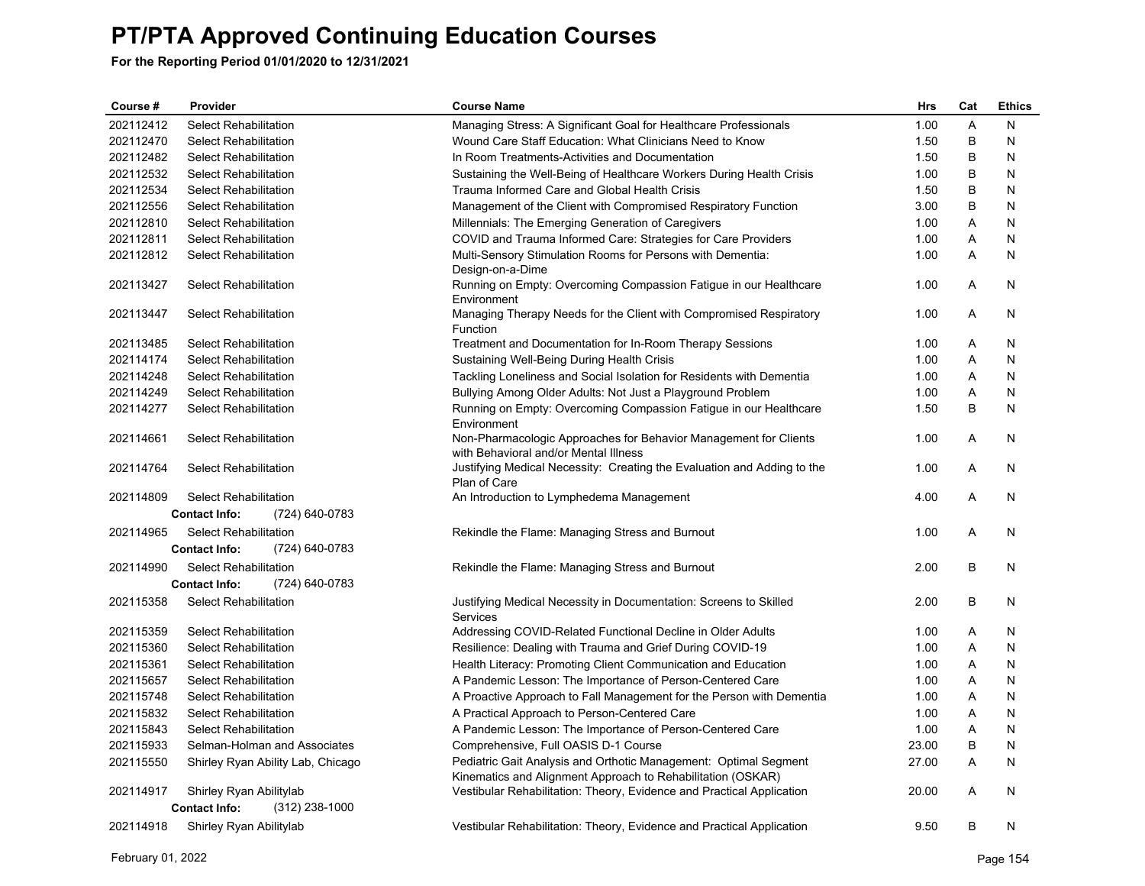| Course #  | Provider                               | <b>Course Name</b>                                                                                                              | <b>Hrs</b> | Cat | <b>Ethics</b> |
|-----------|----------------------------------------|---------------------------------------------------------------------------------------------------------------------------------|------------|-----|---------------|
| 202112412 | <b>Select Rehabilitation</b>           | Managing Stress: A Significant Goal for Healthcare Professionals                                                                | 1.00       | Α   | N             |
| 202112470 | Select Rehabilitation                  | Wound Care Staff Education: What Clinicians Need to Know                                                                        | 1.50       | B   | N             |
| 202112482 | <b>Select Rehabilitation</b>           | In Room Treatments-Activities and Documentation                                                                                 | 1.50       | В   | N             |
| 202112532 | Select Rehabilitation                  | Sustaining the Well-Being of Healthcare Workers During Health Crisis                                                            | 1.00       | B   | N             |
| 202112534 | <b>Select Rehabilitation</b>           | Trauma Informed Care and Global Health Crisis                                                                                   | 1.50       | B   | N             |
| 202112556 | Select Rehabilitation                  | Management of the Client with Compromised Respiratory Function                                                                  | 3.00       | B   | N             |
| 202112810 | <b>Select Rehabilitation</b>           | Millennials: The Emerging Generation of Caregivers                                                                              | 1.00       | A   | N             |
| 202112811 | <b>Select Rehabilitation</b>           | COVID and Trauma Informed Care: Strategies for Care Providers                                                                   | 1.00       | Α   | N             |
| 202112812 | <b>Select Rehabilitation</b>           | Multi-Sensory Stimulation Rooms for Persons with Dementia:<br>Design-on-a-Dime                                                  | 1.00       | A   | N             |
| 202113427 | <b>Select Rehabilitation</b>           | Running on Empty: Overcoming Compassion Fatigue in our Healthcare<br>Environment                                                | 1.00       | A   | N             |
| 202113447 | Select Rehabilitation                  | Managing Therapy Needs for the Client with Compromised Respiratory<br>Function                                                  | 1.00       | A   | N             |
| 202113485 | Select Rehabilitation                  | Treatment and Documentation for In-Room Therapy Sessions                                                                        | 1.00       | A   | N             |
| 202114174 | Select Rehabilitation                  | Sustaining Well-Being During Health Crisis                                                                                      | 1.00       | A   | N             |
| 202114248 | Select Rehabilitation                  | Tackling Loneliness and Social Isolation for Residents with Dementia                                                            | 1.00       | Α   | N             |
| 202114249 | Select Rehabilitation                  | Bullying Among Older Adults: Not Just a Playground Problem                                                                      | 1.00       | A   | N             |
| 202114277 | <b>Select Rehabilitation</b>           | Running on Empty: Overcoming Compassion Fatigue in our Healthcare<br>Environment                                                | 1.50       | B   | N             |
| 202114661 | Select Rehabilitation                  | Non-Pharmacologic Approaches for Behavior Management for Clients<br>with Behavioral and/or Mental Illness                       | 1.00       | Α   | N             |
| 202114764 | <b>Select Rehabilitation</b>           | Justifying Medical Necessity: Creating the Evaluation and Adding to the<br>Plan of Care                                         | 1.00       | A   | N             |
| 202114809 | Select Rehabilitation                  | An Introduction to Lymphedema Management                                                                                        | 4.00       | Α   | N             |
|           | <b>Contact Info:</b><br>(724) 640-0783 |                                                                                                                                 |            |     |               |
| 202114965 | Select Rehabilitation                  | Rekindle the Flame: Managing Stress and Burnout                                                                                 | 1.00       | A   | N             |
|           | (724) 640-0783<br><b>Contact Info:</b> |                                                                                                                                 |            |     |               |
| 202114990 | Select Rehabilitation                  | Rekindle the Flame: Managing Stress and Burnout                                                                                 | 2.00       | B   | N             |
|           | (724) 640-0783<br><b>Contact Info:</b> |                                                                                                                                 |            |     |               |
| 202115358 | <b>Select Rehabilitation</b>           | Justifying Medical Necessity in Documentation: Screens to Skilled<br>Services                                                   | 2.00       | B   | N             |
| 202115359 | Select Rehabilitation                  | Addressing COVID-Related Functional Decline in Older Adults                                                                     | 1.00       | A   | N             |
| 202115360 | Select Rehabilitation                  | Resilience: Dealing with Trauma and Grief During COVID-19                                                                       | 1.00       | Α   | N             |
| 202115361 | Select Rehabilitation                  | Health Literacy: Promoting Client Communication and Education                                                                   | 1.00       | Α   | N             |
| 202115657 | Select Rehabilitation                  | A Pandemic Lesson: The Importance of Person-Centered Care                                                                       | 1.00       | A   | N             |
| 202115748 | Select Rehabilitation                  | A Proactive Approach to Fall Management for the Person with Dementia                                                            | 1.00       | Α   | N             |
| 202115832 | Select Rehabilitation                  | A Practical Approach to Person-Centered Care                                                                                    | 1.00       | A   | N             |
| 202115843 | <b>Select Rehabilitation</b>           | A Pandemic Lesson: The Importance of Person-Centered Care                                                                       | 1.00       | Α   | N             |
| 202115933 | Selman-Holman and Associates           | Comprehensive, Full OASIS D-1 Course                                                                                            | 23.00      | B   | N             |
| 202115550 | Shirley Ryan Ability Lab, Chicago      | Pediatric Gait Analysis and Orthotic Management: Optimal Segment<br>Kinematics and Alignment Approach to Rehabilitation (OSKAR) | 27.00      | A   | N             |
| 202114917 | Shirley Ryan Abilitylab                | Vestibular Rehabilitation: Theory, Evidence and Practical Application                                                           | 20.00      | A   | N             |
|           | <b>Contact Info:</b><br>(312) 238-1000 |                                                                                                                                 |            |     |               |
| 202114918 | Shirley Ryan Abilitylab                | Vestibular Rehabilitation: Theory, Evidence and Practical Application                                                           | 9.50       | B   | N             |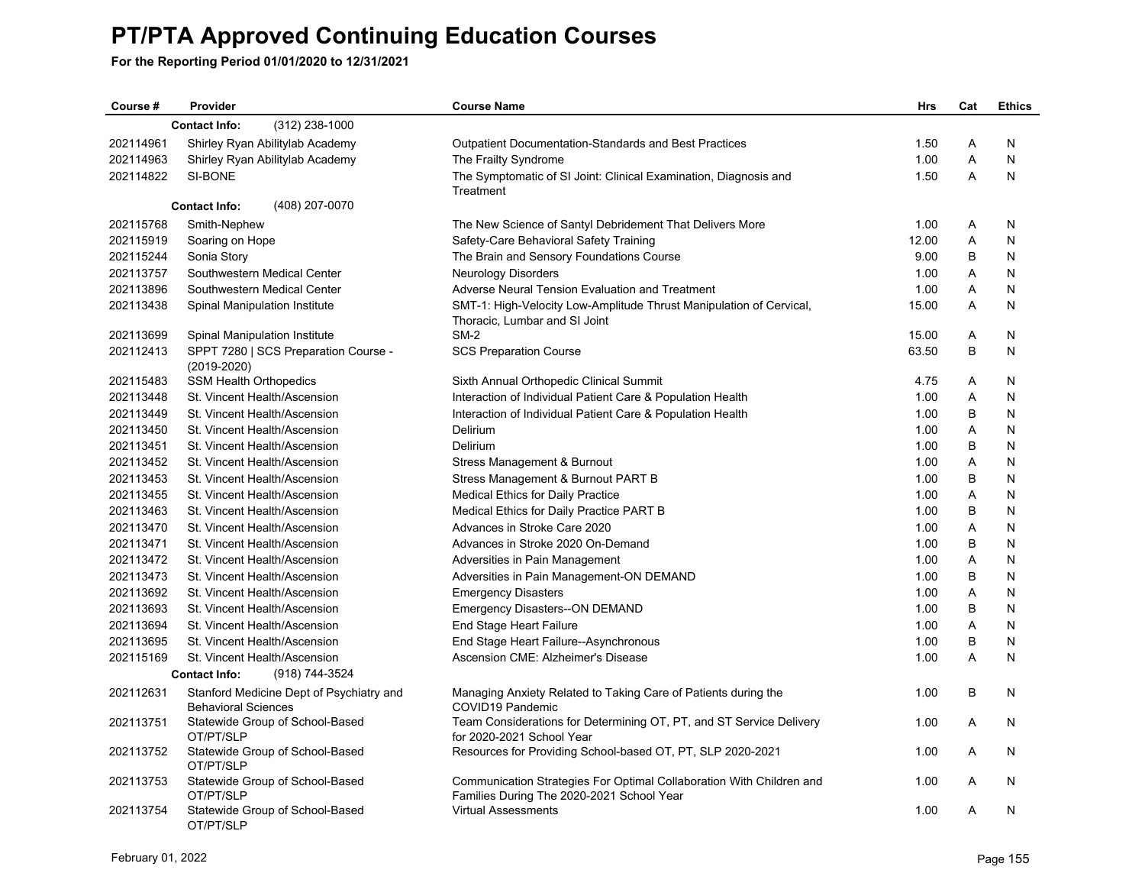| Course #  | Provider                                                               | <b>Course Name</b>                                                                                                | <b>Hrs</b> | Cat | <b>Ethics</b> |
|-----------|------------------------------------------------------------------------|-------------------------------------------------------------------------------------------------------------------|------------|-----|---------------|
|           | (312) 238-1000<br><b>Contact Info:</b>                                 |                                                                                                                   |            |     |               |
| 202114961 | Shirley Ryan Abilitylab Academy                                        | <b>Outpatient Documentation-Standards and Best Practices</b>                                                      | 1.50       | Α   | N             |
| 202114963 | Shirley Ryan Abilitylab Academy                                        | The Frailty Syndrome                                                                                              | 1.00       | A   | N             |
| 202114822 | SI-BONE                                                                | The Symptomatic of SI Joint: Clinical Examination, Diagnosis and                                                  | 1.50       | A   | N             |
|           |                                                                        | Treatment                                                                                                         |            |     |               |
|           | (408) 207-0070<br><b>Contact Info:</b>                                 |                                                                                                                   |            |     |               |
| 202115768 | Smith-Nephew                                                           | The New Science of Santyl Debridement That Delivers More                                                          | 1.00       | A   | N             |
| 202115919 | Soaring on Hope                                                        | Safety-Care Behavioral Safety Training                                                                            | 12.00      | A   | N             |
| 202115244 | Sonia Story                                                            | The Brain and Sensory Foundations Course                                                                          | 9.00       | B   | N             |
| 202113757 | Southwestern Medical Center                                            | Neurology Disorders                                                                                               | 1.00       | A   | N             |
| 202113896 | Southwestern Medical Center                                            | Adverse Neural Tension Evaluation and Treatment                                                                   | 1.00       | Α   | N             |
| 202113438 | Spinal Manipulation Institute                                          | SMT-1: High-Velocity Low-Amplitude Thrust Manipulation of Cervical,<br>Thoracic, Lumbar and SI Joint              | 15.00      | A   | N             |
| 202113699 | Spinal Manipulation Institute                                          | $SM-2$                                                                                                            | 15.00      | Α   | N             |
| 202112413 | SPPT 7280   SCS Preparation Course -<br>$(2019 - 2020)$                | <b>SCS Preparation Course</b>                                                                                     | 63.50      | B   | N             |
| 202115483 | <b>SSM Health Orthopedics</b>                                          | Sixth Annual Orthopedic Clinical Summit                                                                           | 4.75       | Α   | N             |
| 202113448 | St. Vincent Health/Ascension                                           | Interaction of Individual Patient Care & Population Health                                                        | 1.00       | Α   | N             |
| 202113449 | St. Vincent Health/Ascension                                           | Interaction of Individual Patient Care & Population Health                                                        | 1.00       | B   | N             |
| 202113450 | St. Vincent Health/Ascension                                           | Delirium                                                                                                          | 1.00       | A   | N             |
| 202113451 | St. Vincent Health/Ascension                                           | Delirium                                                                                                          | 1.00       | B   | N             |
| 202113452 | St. Vincent Health/Ascension                                           | Stress Management & Burnout                                                                                       | 1.00       | A   | N             |
| 202113453 | St. Vincent Health/Ascension                                           | Stress Management & Burnout PART B                                                                                | 1.00       | B   | N             |
| 202113455 | St. Vincent Health/Ascension                                           | <b>Medical Ethics for Daily Practice</b>                                                                          | 1.00       | A   | N             |
| 202113463 | St. Vincent Health/Ascension                                           | Medical Ethics for Daily Practice PART B                                                                          | 1.00       | B   | N             |
| 202113470 | St. Vincent Health/Ascension                                           | Advances in Stroke Care 2020                                                                                      | 1.00       | Α   | N             |
| 202113471 | St. Vincent Health/Ascension                                           | Advances in Stroke 2020 On-Demand                                                                                 | 1.00       | B   | N             |
| 202113472 | St. Vincent Health/Ascension                                           | Adversities in Pain Management                                                                                    | 1.00       | Α   | N             |
| 202113473 | St. Vincent Health/Ascension                                           | Adversities in Pain Management-ON DEMAND                                                                          | 1.00       | B   | N             |
| 202113692 | St. Vincent Health/Ascension                                           | <b>Emergency Disasters</b>                                                                                        | 1.00       | Α   | N             |
| 202113693 | St. Vincent Health/Ascension                                           | <b>Emergency Disasters--ON DEMAND</b>                                                                             | 1.00       | B   | N             |
| 202113694 | St. Vincent Health/Ascension                                           | End Stage Heart Failure                                                                                           | 1.00       | A   | N             |
| 202113695 | St. Vincent Health/Ascension                                           | End Stage Heart Failure--Asynchronous                                                                             | 1.00       | B   | N             |
| 202115169 | St. Vincent Health/Ascension                                           | Ascension CME: Alzheimer's Disease                                                                                | 1.00       | A   | N             |
|           | (918) 744-3524<br><b>Contact Info:</b>                                 |                                                                                                                   |            |     |               |
| 202112631 | Stanford Medicine Dept of Psychiatry and<br><b>Behavioral Sciences</b> | Managing Anxiety Related to Taking Care of Patients during the<br>COVID19 Pandemic                                | 1.00       | B   | N             |
| 202113751 | Statewide Group of School-Based<br>OT/PT/SLP                           | Team Considerations for Determining OT, PT, and ST Service Delivery<br>for 2020-2021 School Year                  | 1.00       | A   | N             |
| 202113752 | Statewide Group of School-Based<br>OT/PT/SLP                           | Resources for Providing School-based OT, PT, SLP 2020-2021                                                        | 1.00       | A   | N             |
| 202113753 | Statewide Group of School-Based<br>OT/PT/SLP                           | Communication Strategies For Optimal Collaboration With Children and<br>Families During The 2020-2021 School Year | 1.00       | A   | N             |
| 202113754 | Statewide Group of School-Based<br>OT/PT/SLP                           | <b>Virtual Assessments</b>                                                                                        | 1.00       | A   | N             |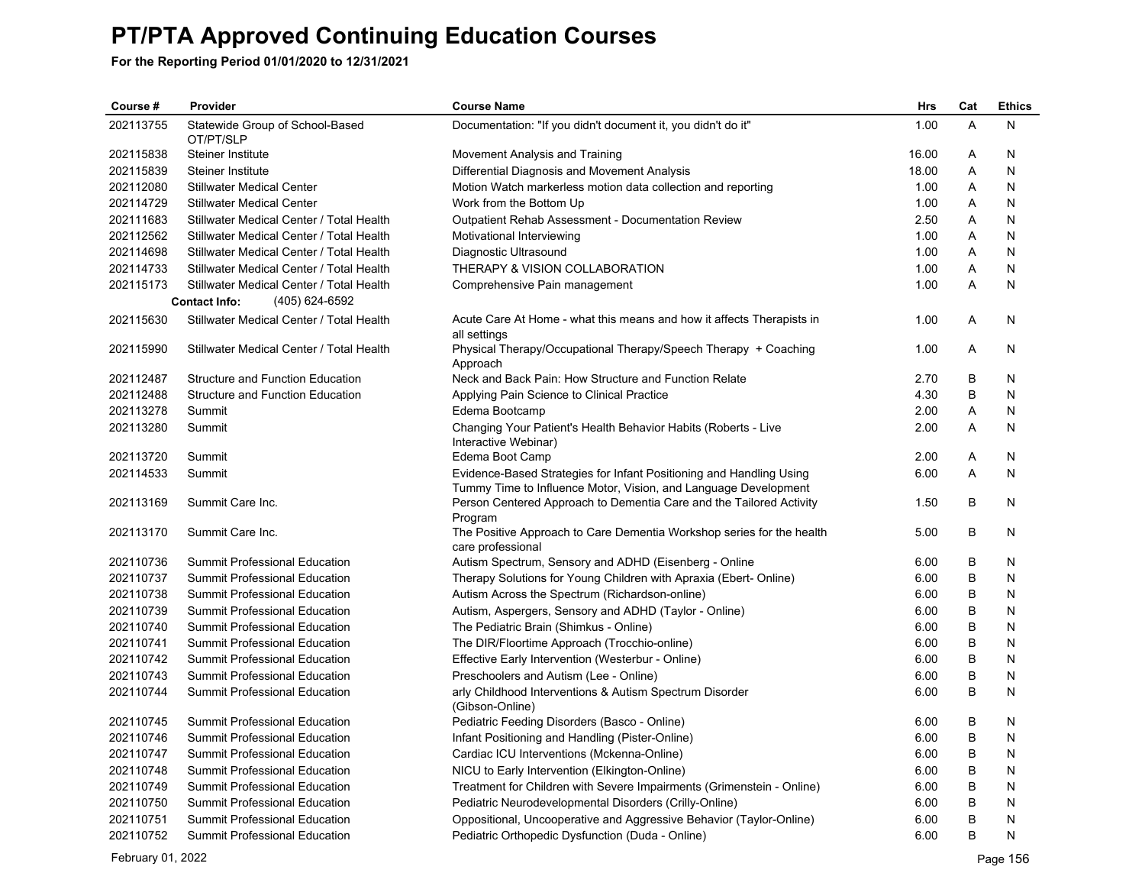**For the Reporting Period 01/01/2020 to 12/31/2021**

| Course #  | Provider                                     | <b>Course Name</b>                                                                                                                     | <b>Hrs</b> | Cat | <b>Ethics</b> |
|-----------|----------------------------------------------|----------------------------------------------------------------------------------------------------------------------------------------|------------|-----|---------------|
| 202113755 | Statewide Group of School-Based<br>OT/PT/SLP | Documentation: "If you didn't document it, you didn't do it"                                                                           | 1.00       | A   | N             |
| 202115838 | <b>Steiner Institute</b>                     | Movement Analysis and Training                                                                                                         | 16.00      | A   | N             |
| 202115839 | <b>Steiner Institute</b>                     | Differential Diagnosis and Movement Analysis                                                                                           | 18.00      | Α   | N             |
| 202112080 | <b>Stillwater Medical Center</b>             | Motion Watch markerless motion data collection and reporting                                                                           | 1.00       | A   | N             |
| 202114729 | <b>Stillwater Medical Center</b>             | Work from the Bottom Up                                                                                                                | 1.00       | Α   | N             |
| 202111683 | Stillwater Medical Center / Total Health     | <b>Outpatient Rehab Assessment - Documentation Review</b>                                                                              | 2.50       | A   | N             |
| 202112562 | Stillwater Medical Center / Total Health     | Motivational Interviewing                                                                                                              | 1.00       | Α   | N             |
| 202114698 | Stillwater Medical Center / Total Health     | Diagnostic Ultrasound                                                                                                                  | 1.00       | A   | N             |
| 202114733 | Stillwater Medical Center / Total Health     | THERAPY & VISION COLLABORATION                                                                                                         | 1.00       | Α   | N             |
| 202115173 | Stillwater Medical Center / Total Health     | Comprehensive Pain management                                                                                                          | 1.00       | A   | N             |
|           | <b>Contact Info:</b><br>(405) 624-6592       |                                                                                                                                        |            |     |               |
| 202115630 | Stillwater Medical Center / Total Health     | Acute Care At Home - what this means and how it affects Therapists in<br>all settings                                                  | 1.00       | A   | N             |
| 202115990 | Stillwater Medical Center / Total Health     | Physical Therapy/Occupational Therapy/Speech Therapy + Coaching<br>Approach                                                            | 1.00       | A   | N             |
| 202112487 | Structure and Function Education             | Neck and Back Pain: How Structure and Function Relate                                                                                  | 2.70       | B   | N             |
| 202112488 | <b>Structure and Function Education</b>      | Applying Pain Science to Clinical Practice                                                                                             | 4.30       | B   | N             |
| 202113278 | Summit                                       | Edema Bootcamp                                                                                                                         | 2.00       | A   | N             |
| 202113280 | Summit                                       | Changing Your Patient's Health Behavior Habits (Roberts - Live<br>Interactive Webinar)                                                 | 2.00       | A   | N             |
| 202113720 | Summit                                       | Edema Boot Camp                                                                                                                        | 2.00       | A   | N             |
| 202114533 | Summit                                       | Evidence-Based Strategies for Infant Positioning and Handling Using<br>Tummy Time to Influence Motor, Vision, and Language Development | 6.00       | A   | N             |
| 202113169 | Summit Care Inc.                             | Person Centered Approach to Dementia Care and the Tailored Activity<br>Program                                                         | 1.50       | B   | N             |
| 202113170 | Summit Care Inc.                             | The Positive Approach to Care Dementia Workshop series for the health<br>care professional                                             | 5.00       | B   | N             |
| 202110736 | Summit Professional Education                | Autism Spectrum, Sensory and ADHD (Eisenberg - Online                                                                                  | 6.00       | B   | N             |
| 202110737 | Summit Professional Education                | Therapy Solutions for Young Children with Apraxia (Ebert- Online)                                                                      | 6.00       | B   | N             |
| 202110738 | Summit Professional Education                | Autism Across the Spectrum (Richardson-online)                                                                                         | 6.00       | B   | N             |
| 202110739 | Summit Professional Education                | Autism, Aspergers, Sensory and ADHD (Taylor - Online)                                                                                  | 6.00       | B   | N             |
| 202110740 | Summit Professional Education                | The Pediatric Brain (Shimkus - Online)                                                                                                 | 6.00       | B   | N             |
| 202110741 | Summit Professional Education                | The DIR/Floortime Approach (Trocchio-online)                                                                                           | 6.00       | B   | Ν             |
| 202110742 | Summit Professional Education                | Effective Early Intervention (Westerbur - Online)                                                                                      | 6.00       | B   | N             |
| 202110743 | Summit Professional Education                | Preschoolers and Autism (Lee - Online)                                                                                                 | 6.00       | B   | N             |
| 202110744 | Summit Professional Education                | arly Childhood Interventions & Autism Spectrum Disorder<br>(Gibson-Online)                                                             | 6.00       | B   | N             |
| 202110745 | Summit Professional Education                | Pediatric Feeding Disorders (Basco - Online)                                                                                           | 6.00       | B   | N             |
| 202110746 | Summit Professional Education                | Infant Positioning and Handling (Pister-Online)                                                                                        | 6.00       | B   | N             |
| 202110747 | Summit Professional Education                | Cardiac ICU Interventions (Mckenna-Online)                                                                                             | 6.00       | B   | Ν             |
| 202110748 | Summit Professional Education                | NICU to Early Intervention (Elkington-Online)                                                                                          | 6.00       | B   | N             |
| 202110749 | Summit Professional Education                | Treatment for Children with Severe Impairments (Grimenstein - Online)                                                                  | 6.00       | B   | N             |
| 202110750 | <b>Summit Professional Education</b>         | Pediatric Neurodevelopmental Disorders (Crilly-Online)                                                                                 | 6.00       | B   | N             |
| 202110751 | Summit Professional Education                | Oppositional, Uncooperative and Aggressive Behavior (Taylor-Online)                                                                    | 6.00       | B   | N             |
| 202110752 | <b>Summit Professional Education</b>         | Pediatric Orthopedic Dysfunction (Duda - Online)                                                                                       | 6.00       | B   | N             |

February 01, 2022 Page 156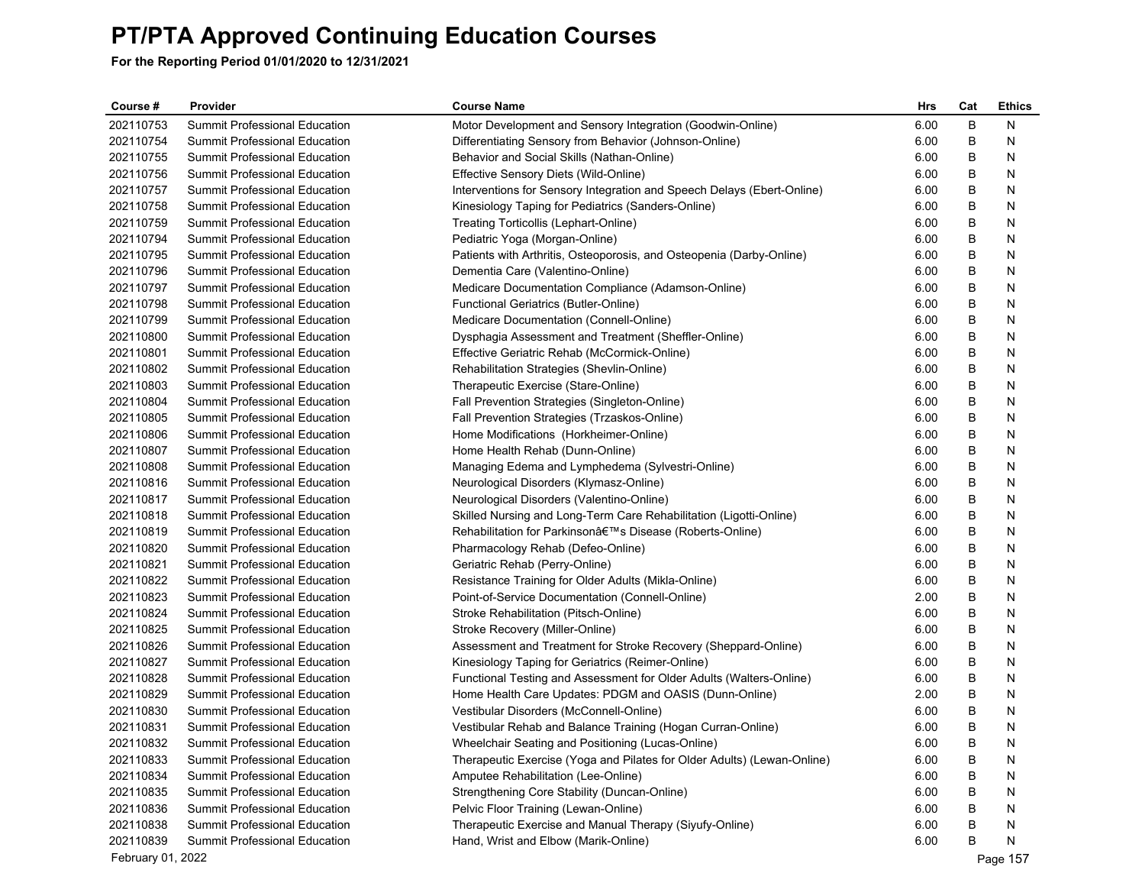| Course#           | Provider                             | <b>Course Name</b>                                                      | Hrs  | Cat | <b>Ethics</b> |
|-------------------|--------------------------------------|-------------------------------------------------------------------------|------|-----|---------------|
| 202110753         | Summit Professional Education        | Motor Development and Sensory Integration (Goodwin-Online)              | 6.00 | B   | N             |
| 202110754         | Summit Professional Education        | Differentiating Sensory from Behavior (Johnson-Online)                  | 6.00 | B   | N             |
| 202110755         | Summit Professional Education        | Behavior and Social Skills (Nathan-Online)                              | 6.00 | B   | N             |
| 202110756         | Summit Professional Education        | Effective Sensory Diets (Wild-Online)                                   | 6.00 | В   | N             |
| 202110757         | Summit Professional Education        | Interventions for Sensory Integration and Speech Delays (Ebert-Online)  | 6.00 | В   | N             |
| 202110758         | Summit Professional Education        | Kinesiology Taping for Pediatrics (Sanders-Online)                      | 6.00 | В   | N             |
| 202110759         | Summit Professional Education        | Treating Torticollis (Lephart-Online)                                   | 6.00 | В   | N             |
| 202110794         | Summit Professional Education        | Pediatric Yoga (Morgan-Online)                                          | 6.00 | В   | N             |
| 202110795         | Summit Professional Education        | Patients with Arthritis, Osteoporosis, and Osteopenia (Darby-Online)    | 6.00 | B   | N             |
| 202110796         | <b>Summit Professional Education</b> | Dementia Care (Valentino-Online)                                        | 6.00 | B   | N             |
| 202110797         | Summit Professional Education        | Medicare Documentation Compliance (Adamson-Online)                      | 6.00 | В   | N             |
| 202110798         | Summit Professional Education        | Functional Geriatrics (Butler-Online)                                   | 6.00 | В   | N             |
| 202110799         | Summit Professional Education        | Medicare Documentation (Connell-Online)                                 | 6.00 | В   | N             |
| 202110800         | Summit Professional Education        | Dysphagia Assessment and Treatment (Sheffler-Online)                    | 6.00 | В   | N             |
| 202110801         | Summit Professional Education        | Effective Geriatric Rehab (McCormick-Online)                            | 6.00 | В   | N             |
| 202110802         | Summit Professional Education        | Rehabilitation Strategies (Shevlin-Online)                              | 6.00 | В   | N             |
| 202110803         | Summit Professional Education        | Therapeutic Exercise (Stare-Online)                                     | 6.00 | B   | N             |
| 202110804         | Summit Professional Education        | Fall Prevention Strategies (Singleton-Online)                           | 6.00 | B   | N             |
| 202110805         | Summit Professional Education        | Fall Prevention Strategies (Trzaskos-Online)                            | 6.00 | В   | N             |
| 202110806         | Summit Professional Education        | Home Modifications (Horkheimer-Online)                                  | 6.00 | В   | N             |
| 202110807         | <b>Summit Professional Education</b> | Home Health Rehab (Dunn-Online)                                         | 6.00 | В   | N             |
| 202110808         | Summit Professional Education        | Managing Edema and Lymphedema (Sylvestri-Online)                        | 6.00 | В   | N             |
| 202110816         | Summit Professional Education        | Neurological Disorders (Klymasz-Online)                                 | 6.00 | В   | N             |
| 202110817         | Summit Professional Education        | Neurological Disorders (Valentino-Online)                               | 6.00 | В   | N             |
| 202110818         | Summit Professional Education        | Skilled Nursing and Long-Term Care Rehabilitation (Ligotti-Online)      | 6.00 | B   | N             |
| 202110819         | Summit Professional Education        | Rehabilitation for Parkinson's Disease (Roberts-Online)                 | 6.00 | B   | N             |
| 202110820         | Summit Professional Education        | Pharmacology Rehab (Defeo-Online)                                       | 6.00 | В   | N             |
| 202110821         | Summit Professional Education        | Geriatric Rehab (Perry-Online)                                          | 6.00 | В   | N             |
| 202110822         | Summit Professional Education        | Resistance Training for Older Adults (Mikla-Online)                     | 6.00 | B   | N             |
| 202110823         | Summit Professional Education        | Point-of-Service Documentation (Connell-Online)                         | 2.00 | В   | N             |
| 202110824         | Summit Professional Education        | Stroke Rehabilitation (Pitsch-Online)                                   | 6.00 | В   | N             |
| 202110825         | Summit Professional Education        | Stroke Recovery (Miller-Online)                                         | 6.00 | В   | N             |
| 202110826         | Summit Professional Education        | Assessment and Treatment for Stroke Recovery (Sheppard-Online)          | 6.00 | В   | N             |
| 202110827         | <b>Summit Professional Education</b> | Kinesiology Taping for Geriatrics (Reimer-Online)                       | 6.00 | B   | N             |
| 202110828         | Summit Professional Education        | Functional Testing and Assessment for Older Adults (Walters-Online)     | 6.00 | B   | N             |
| 202110829         | <b>Summit Professional Education</b> | Home Health Care Updates: PDGM and OASIS (Dunn-Online)                  | 2.00 | В   | N             |
| 202110830         | Summit Professional Education        | Vestibular Disorders (McConnell-Online)                                 | 6.00 | В   | N             |
| 202110831         | Summit Professional Education        | Vestibular Rehab and Balance Training (Hogan Curran-Online)             | 6.00 | B   | N             |
| 202110832         | Summit Professional Education        | Wheelchair Seating and Positioning (Lucas-Online)                       | 6.00 | B   | N             |
| 202110833         | Summit Professional Education        | Therapeutic Exercise (Yoga and Pilates for Older Adults) (Lewan-Online) | 6.00 | В   | N             |
| 202110834         | Summit Professional Education        | Amputee Rehabilitation (Lee-Online)                                     | 6.00 | В   | N             |
| 202110835         | <b>Summit Professional Education</b> | Strengthening Core Stability (Duncan-Online)                            | 6.00 | B   | N             |
| 202110836         | Summit Professional Education        | Pelvic Floor Training (Lewan-Online)                                    | 6.00 | в   | N             |
| 202110838         | Summit Professional Education        | Therapeutic Exercise and Manual Therapy (Siyufy-Online)                 | 6.00 | B   | N             |
| 202110839         | Summit Professional Education        | Hand, Wrist and Elbow (Marik-Online)                                    | 6.00 | В   | N             |
| February 01, 2022 |                                      |                                                                         |      |     | Page 157      |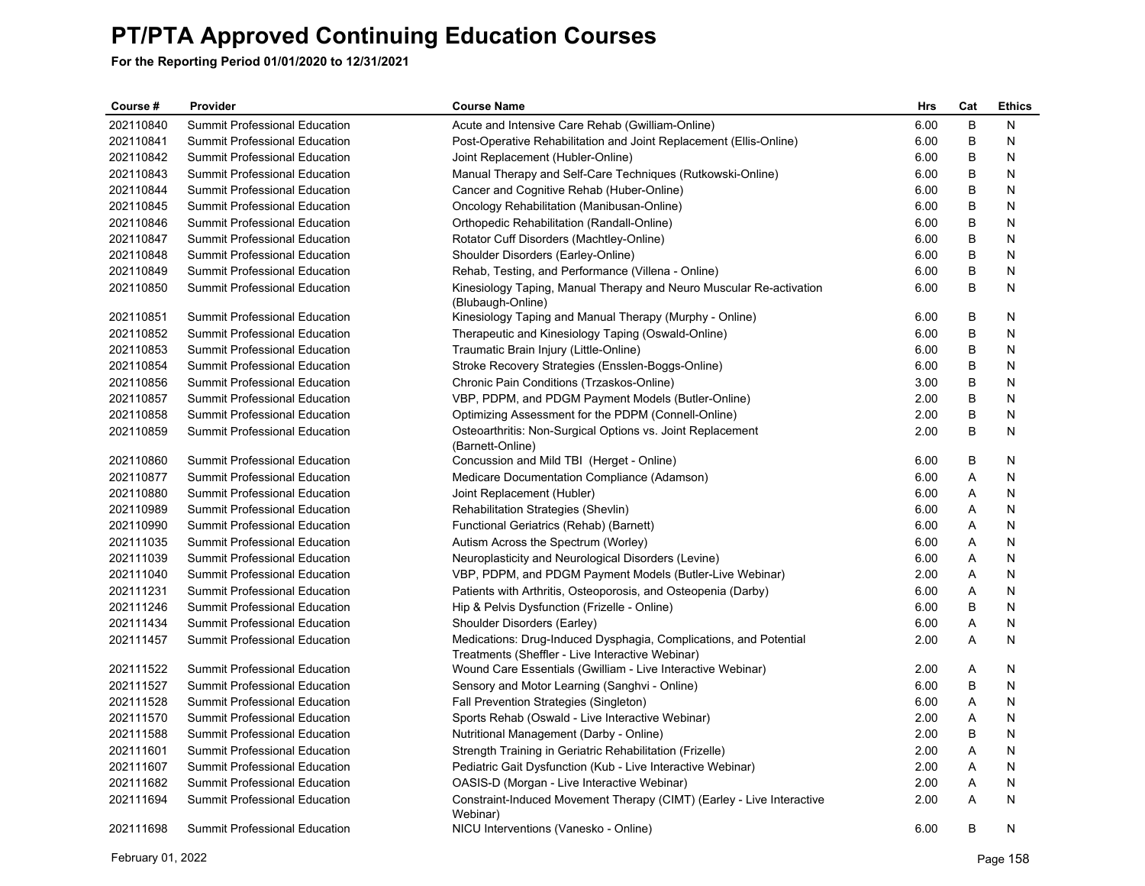| Course #  | Provider                             | <b>Course Name</b>                                                                                                    | <b>Hrs</b> | Cat | <b>Ethics</b> |
|-----------|--------------------------------------|-----------------------------------------------------------------------------------------------------------------------|------------|-----|---------------|
| 202110840 | Summit Professional Education        | Acute and Intensive Care Rehab (Gwilliam-Online)                                                                      | 6.00       | B   | N             |
| 202110841 | Summit Professional Education        | Post-Operative Rehabilitation and Joint Replacement (Ellis-Online)                                                    | 6.00       | B   | N             |
| 202110842 | Summit Professional Education        | Joint Replacement (Hubler-Online)                                                                                     | 6.00       | B   | N             |
| 202110843 | Summit Professional Education        | Manual Therapy and Self-Care Techniques (Rutkowski-Online)                                                            | 6.00       | B   | N             |
| 202110844 | Summit Professional Education        | Cancer and Cognitive Rehab (Huber-Online)                                                                             | 6.00       | B   | N             |
| 202110845 | Summit Professional Education        | Oncology Rehabilitation (Manibusan-Online)                                                                            | 6.00       | B   | N             |
| 202110846 | Summit Professional Education        | Orthopedic Rehabilitation (Randall-Online)                                                                            | 6.00       | B   | N             |
| 202110847 | Summit Professional Education        | Rotator Cuff Disorders (Machtley-Online)                                                                              | 6.00       | B   | N             |
| 202110848 | <b>Summit Professional Education</b> | Shoulder Disorders (Earley-Online)                                                                                    | 6.00       | B   | N             |
| 202110849 | Summit Professional Education        | Rehab, Testing, and Performance (Villena - Online)                                                                    | 6.00       | B   | N             |
| 202110850 | Summit Professional Education        | Kinesiology Taping, Manual Therapy and Neuro Muscular Re-activation<br>(Blubaugh-Online)                              | 6.00       | B   | N             |
| 202110851 | Summit Professional Education        | Kinesiology Taping and Manual Therapy (Murphy - Online)                                                               | 6.00       | B   | N             |
| 202110852 | Summit Professional Education        | Therapeutic and Kinesiology Taping (Oswald-Online)                                                                    | 6.00       | B   | N             |
| 202110853 | Summit Professional Education        | Traumatic Brain Injury (Little-Online)                                                                                | 6.00       | B   | N             |
| 202110854 | Summit Professional Education        | Stroke Recovery Strategies (Ensslen-Boggs-Online)                                                                     | 6.00       | B   | N             |
| 202110856 | Summit Professional Education        | Chronic Pain Conditions (Trzaskos-Online)                                                                             | 3.00       | B   | N             |
| 202110857 | Summit Professional Education        | VBP, PDPM, and PDGM Payment Models (Butler-Online)                                                                    | 2.00       | B   | N             |
| 202110858 | Summit Professional Education        | Optimizing Assessment for the PDPM (Connell-Online)                                                                   | 2.00       | B   | N             |
| 202110859 | <b>Summit Professional Education</b> | Osteoarthritis: Non-Surgical Options vs. Joint Replacement<br>(Barnett-Online)                                        | 2.00       | B   | N             |
| 202110860 | Summit Professional Education        | Concussion and Mild TBI (Herget - Online)                                                                             | 6.00       | B   | N             |
| 202110877 | Summit Professional Education        | Medicare Documentation Compliance (Adamson)                                                                           | 6.00       | A   | N             |
| 202110880 | Summit Professional Education        | Joint Replacement (Hubler)                                                                                            | 6.00       | A   | N             |
| 202110989 | Summit Professional Education        | Rehabilitation Strategies (Shevlin)                                                                                   | 6.00       | Α   | N             |
| 202110990 | Summit Professional Education        | Functional Geriatrics (Rehab) (Barnett)                                                                               | 6.00       | A   | N             |
| 202111035 | Summit Professional Education        | Autism Across the Spectrum (Worley)                                                                                   | 6.00       | A   | N             |
| 202111039 | Summit Professional Education        | Neuroplasticity and Neurological Disorders (Levine)                                                                   | 6.00       | Α   | N             |
| 202111040 | Summit Professional Education        | VBP, PDPM, and PDGM Payment Models (Butler-Live Webinar)                                                              | 2.00       | Α   | N             |
| 202111231 | Summit Professional Education        | Patients with Arthritis, Osteoporosis, and Osteopenia (Darby)                                                         | 6.00       | Α   | N             |
| 202111246 | Summit Professional Education        | Hip & Pelvis Dysfunction (Frizelle - Online)                                                                          | 6.00       | B   | N             |
| 202111434 | Summit Professional Education        | Shoulder Disorders (Earley)                                                                                           | 6.00       | A   | N             |
| 202111457 | Summit Professional Education        | Medications: Drug-Induced Dysphagia, Complications, and Potential<br>Treatments (Sheffler - Live Interactive Webinar) | 2.00       | A   | N             |
| 202111522 | Summit Professional Education        | Wound Care Essentials (Gwilliam - Live Interactive Webinar)                                                           | 2.00       | Α   | N             |
| 202111527 | Summit Professional Education        | Sensory and Motor Learning (Sanghvi - Online)                                                                         | 6.00       | B   | N             |
| 202111528 | <b>Summit Professional Education</b> | Fall Prevention Strategies (Singleton)                                                                                | 6.00       | Α   | N             |
| 202111570 | <b>Summit Professional Education</b> | Sports Rehab (Oswald - Live Interactive Webinar)                                                                      | 2.00       | Α   | N             |
| 202111588 | Summit Professional Education        | Nutritional Management (Darby - Online)                                                                               | 2.00       | B   | N             |
| 202111601 | Summit Professional Education        | Strength Training in Geriatric Rehabilitation (Frizelle)                                                              | 2.00       | A   | N             |
| 202111607 | Summit Professional Education        | Pediatric Gait Dysfunction (Kub - Live Interactive Webinar)                                                           | 2.00       | Α   | N             |
| 202111682 | Summit Professional Education        | OASIS-D (Morgan - Live Interactive Webinar)                                                                           | 2.00       | A   | N             |
| 202111694 | Summit Professional Education        | Constraint-Induced Movement Therapy (CIMT) (Earley - Live Interactive<br>Webinar)                                     | 2.00       | A   | N             |
| 202111698 | <b>Summit Professional Education</b> | NICU Interventions (Vanesko - Online)                                                                                 | 6.00       | B   | N             |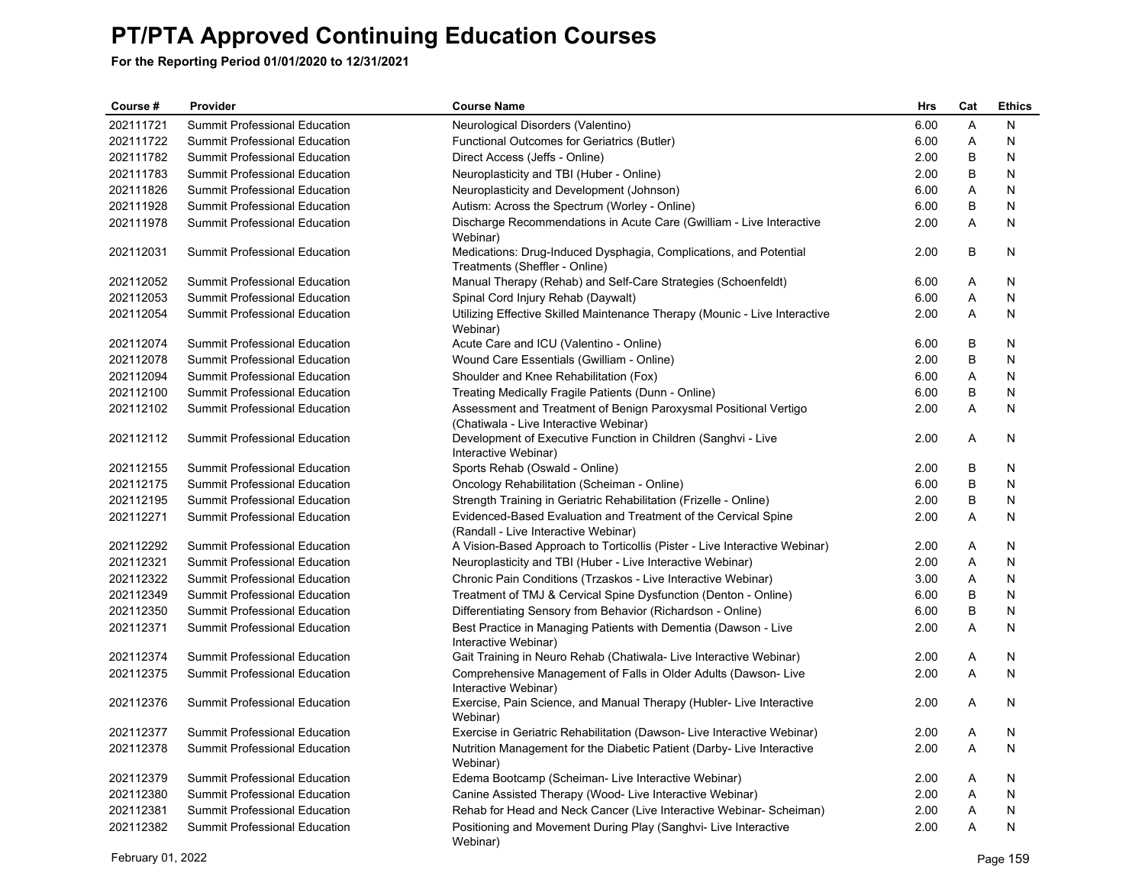| Course #  | Provider                             | <b>Course Name</b>                                                                                         | Hrs  | Cat            | <b>Ethics</b> |
|-----------|--------------------------------------|------------------------------------------------------------------------------------------------------------|------|----------------|---------------|
| 202111721 | Summit Professional Education        | Neurological Disorders (Valentino)                                                                         | 6.00 | Α              | N             |
| 202111722 | Summit Professional Education        | Functional Outcomes for Geriatrics (Butler)                                                                | 6.00 | Α              | N             |
| 202111782 | Summit Professional Education        | Direct Access (Jeffs - Online)                                                                             | 2.00 | B              | N             |
| 202111783 | Summit Professional Education        | Neuroplasticity and TBI (Huber - Online)                                                                   | 2.00 | B              | N             |
| 202111826 | Summit Professional Education        | Neuroplasticity and Development (Johnson)                                                                  | 6.00 | Α              | N             |
| 202111928 | Summit Professional Education        | Autism: Across the Spectrum (Worley - Online)                                                              | 6.00 | B              | N             |
| 202111978 | Summit Professional Education        | Discharge Recommendations in Acute Care (Gwilliam - Live Interactive<br>Webinar)                           | 2.00 | Α              | N             |
| 202112031 | Summit Professional Education        | Medications: Drug-Induced Dysphagia, Complications, and Potential<br>Treatments (Sheffler - Online)        | 2.00 | $\sf B$        | N             |
| 202112052 | <b>Summit Professional Education</b> | Manual Therapy (Rehab) and Self-Care Strategies (Schoenfeldt)                                              | 6.00 | Α              | N             |
| 202112053 | Summit Professional Education        | Spinal Cord Injury Rehab (Daywalt)                                                                         | 6.00 | Α              | N             |
| 202112054 | Summit Professional Education        | Utilizing Effective Skilled Maintenance Therapy (Mounic - Live Interactive<br>Webinar)                     | 2.00 | A              | N             |
| 202112074 | Summit Professional Education        | Acute Care and ICU (Valentino - Online)                                                                    | 6.00 | В              | N             |
| 202112078 | <b>Summit Professional Education</b> | Wound Care Essentials (Gwilliam - Online)                                                                  | 2.00 | B              | N             |
| 202112094 | <b>Summit Professional Education</b> | Shoulder and Knee Rehabilitation (Fox)                                                                     | 6.00 | $\overline{A}$ | N             |
| 202112100 | Summit Professional Education        | Treating Medically Fragile Patients (Dunn - Online)                                                        | 6.00 | B              | N             |
| 202112102 | Summit Professional Education        | Assessment and Treatment of Benign Paroxysmal Positional Vertigo<br>(Chatiwala - Live Interactive Webinar) | 2.00 | A              | N             |
| 202112112 | Summit Professional Education        | Development of Executive Function in Children (Sanghvi - Live<br>Interactive Webinar)                      | 2.00 | Α              | N             |
| 202112155 | Summit Professional Education        | Sports Rehab (Oswald - Online)                                                                             | 2.00 | В              | N             |
| 202112175 | Summit Professional Education        | Oncology Rehabilitation (Scheiman - Online)                                                                | 6.00 | B              | N             |
| 202112195 | <b>Summit Professional Education</b> | Strength Training in Geriatric Rehabilitation (Frizelle - Online)                                          | 2.00 | B              | N             |
| 202112271 | Summit Professional Education        | Evidenced-Based Evaluation and Treatment of the Cervical Spine<br>(Randall - Live Interactive Webinar)     | 2.00 | A              | N             |
| 202112292 | Summit Professional Education        | A Vision-Based Approach to Torticollis (Pister - Live Interactive Webinar)                                 | 2.00 | A              | N             |
| 202112321 | Summit Professional Education        | Neuroplasticity and TBI (Huber - Live Interactive Webinar)                                                 | 2.00 | A              | N             |
| 202112322 | Summit Professional Education        | Chronic Pain Conditions (Trzaskos - Live Interactive Webinar)                                              | 3.00 | A              | N             |
| 202112349 | <b>Summit Professional Education</b> | Treatment of TMJ & Cervical Spine Dysfunction (Denton - Online)                                            | 6.00 | B              | N             |
| 202112350 | Summit Professional Education        | Differentiating Sensory from Behavior (Richardson - Online)                                                | 6.00 | B              | N             |
| 202112371 | <b>Summit Professional Education</b> | Best Practice in Managing Patients with Dementia (Dawson - Live<br>Interactive Webinar)                    | 2.00 | A              | N             |
| 202112374 | Summit Professional Education        | Gait Training in Neuro Rehab (Chatiwala- Live Interactive Webinar)                                         | 2.00 | Α              | N             |
| 202112375 | Summit Professional Education        | Comprehensive Management of Falls in Older Adults (Dawson-Live<br>Interactive Webinar)                     | 2.00 | A              | N             |
| 202112376 | Summit Professional Education        | Exercise, Pain Science, and Manual Therapy (Hubler-Live Interactive<br>Webinar)                            | 2.00 | A              | N             |
| 202112377 | Summit Professional Education        | Exercise in Geriatric Rehabilitation (Dawson- Live Interactive Webinar)                                    | 2.00 | A              | N             |
| 202112378 | Summit Professional Education        | Nutrition Management for the Diabetic Patient (Darby-Live Interactive<br>Webinar)                          | 2.00 | A              | N             |
| 202112379 | <b>Summit Professional Education</b> | Edema Bootcamp (Scheiman- Live Interactive Webinar)                                                        | 2.00 | A              | N             |
| 202112380 | Summit Professional Education        | Canine Assisted Therapy (Wood- Live Interactive Webinar)                                                   | 2.00 | A              | N             |
| 202112381 | <b>Summit Professional Education</b> | Rehab for Head and Neck Cancer (Live Interactive Webinar- Scheiman)                                        | 2.00 | A              | Ν             |
| 202112382 | <b>Summit Professional Education</b> | Positioning and Movement During Play (Sanghvi- Live Interactive<br>Webinar)                                | 2.00 | A              | N             |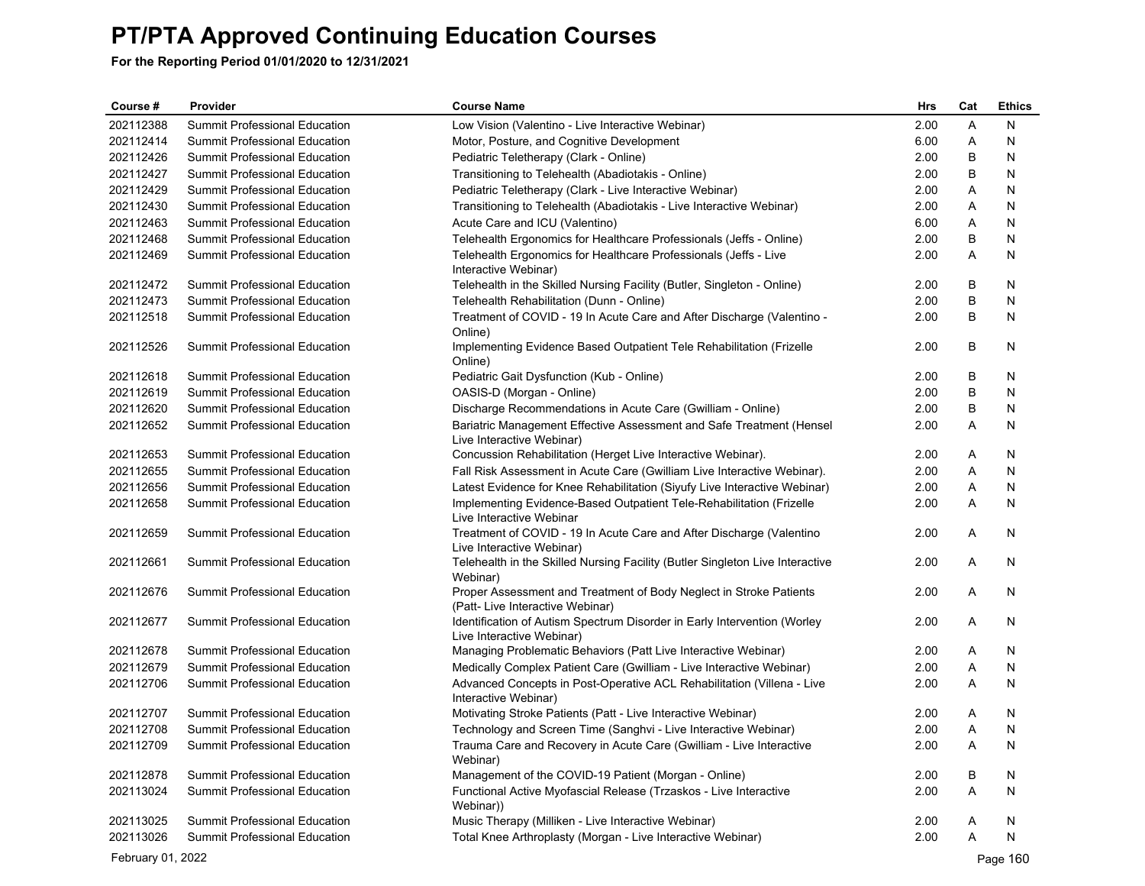| Course #          | Provider                             | <b>Course Name</b>                                                                                     | Hrs  | Cat | <b>Ethics</b> |
|-------------------|--------------------------------------|--------------------------------------------------------------------------------------------------------|------|-----|---------------|
| 202112388         | Summit Professional Education        | Low Vision (Valentino - Live Interactive Webinar)                                                      | 2.00 | Α   | N             |
| 202112414         | Summit Professional Education        | Motor, Posture, and Cognitive Development                                                              | 6.00 | Α   | N             |
| 202112426         | Summit Professional Education        | Pediatric Teletherapy (Clark - Online)                                                                 | 2.00 | B   | N             |
| 202112427         | <b>Summit Professional Education</b> | Transitioning to Telehealth (Abadiotakis - Online)                                                     | 2.00 | В   | N             |
| 202112429         | Summit Professional Education        | Pediatric Teletherapy (Clark - Live Interactive Webinar)                                               | 2.00 | Α   | N             |
| 202112430         | Summit Professional Education        | Transitioning to Telehealth (Abadiotakis - Live Interactive Webinar)                                   | 2.00 | Α   | N             |
| 202112463         | Summit Professional Education        | Acute Care and ICU (Valentino)                                                                         | 6.00 | Α   | N             |
| 202112468         | Summit Professional Education        | Telehealth Ergonomics for Healthcare Professionals (Jeffs - Online)                                    | 2.00 | B   | N             |
| 202112469         | Summit Professional Education        | Telehealth Ergonomics for Healthcare Professionals (Jeffs - Live<br>Interactive Webinar)               | 2.00 | Α   | N             |
| 202112472         | <b>Summit Professional Education</b> | Telehealth in the Skilled Nursing Facility (Butler, Singleton - Online)                                | 2.00 | В   | N             |
| 202112473         | <b>Summit Professional Education</b> | Telehealth Rehabilitation (Dunn - Online)                                                              | 2.00 | B   | N             |
| 202112518         | Summit Professional Education        | Treatment of COVID - 19 In Acute Care and After Discharge (Valentino -<br>Online)                      | 2.00 | В   | N             |
| 202112526         | Summit Professional Education        | Implementing Evidence Based Outpatient Tele Rehabilitation (Frizelle<br>Online)                        | 2.00 | B   | N             |
| 202112618         | Summit Professional Education        | Pediatric Gait Dysfunction (Kub - Online)                                                              | 2.00 | B   | N             |
| 202112619         | Summit Professional Education        | OASIS-D (Morgan - Online)                                                                              | 2.00 | B   | N             |
| 202112620         | Summit Professional Education        | Discharge Recommendations in Acute Care (Gwilliam - Online)                                            | 2.00 | B   | N             |
| 202112652         | Summit Professional Education        | Bariatric Management Effective Assessment and Safe Treatment (Hensel<br>Live Interactive Webinar)      | 2.00 | Α   | N             |
| 202112653         | Summit Professional Education        | Concussion Rehabilitation (Herget Live Interactive Webinar).                                           | 2.00 | Α   | N             |
| 202112655         | <b>Summit Professional Education</b> | Fall Risk Assessment in Acute Care (Gwilliam Live Interactive Webinar).                                | 2.00 | Α   | N             |
| 202112656         | Summit Professional Education        | Latest Evidence for Knee Rehabilitation (Siyufy Live Interactive Webinar)                              | 2.00 | Α   | N             |
| 202112658         | Summit Professional Education        | Implementing Evidence-Based Outpatient Tele-Rehabilitation (Frizelle<br>Live Interactive Webinar       | 2.00 | Α   | N             |
| 202112659         | Summit Professional Education        | Treatment of COVID - 19 In Acute Care and After Discharge (Valentino<br>Live Interactive Webinar)      | 2.00 | Α   | N             |
| 202112661         | Summit Professional Education        | Telehealth in the Skilled Nursing Facility (Butler Singleton Live Interactive<br>Webinar)              | 2.00 | Α   | N             |
| 202112676         | Summit Professional Education        | Proper Assessment and Treatment of Body Neglect in Stroke Patients<br>(Patt- Live Interactive Webinar) | 2.00 | Α   | N             |
| 202112677         | Summit Professional Education        | Identification of Autism Spectrum Disorder in Early Intervention (Worley<br>Live Interactive Webinar)  | 2.00 | Α   | N             |
| 202112678         | Summit Professional Education        | Managing Problematic Behaviors (Patt Live Interactive Webinar)                                         | 2.00 | A   | N             |
| 202112679         | <b>Summit Professional Education</b> | Medically Complex Patient Care (Gwilliam - Live Interactive Webinar)                                   | 2.00 | Α   | N             |
| 202112706         | Summit Professional Education        | Advanced Concepts in Post-Operative ACL Rehabilitation (Villena - Live<br>Interactive Webinar)         | 2.00 | Α   | N             |
| 202112707         | Summit Professional Education        | Motivating Stroke Patients (Patt - Live Interactive Webinar)                                           | 2.00 | Α   | N             |
| 202112708         | Summit Professional Education        | Technology and Screen Time (Sanghvi - Live Interactive Webinar)                                        | 2.00 | A   | N             |
| 202112709         | Summit Professional Education        | Trauma Care and Recovery in Acute Care (Gwilliam - Live Interactive<br>Webinar)                        | 2.00 | Α   | N             |
| 202112878         | <b>Summit Professional Education</b> | Management of the COVID-19 Patient (Morgan - Online)                                                   | 2.00 | В   | N             |
| 202113024         | Summit Professional Education        | Functional Active Myofascial Release (Trzaskos - Live Interactive<br>Webinar))                         | 2.00 | Α   | N             |
| 202113025         | Summit Professional Education        | Music Therapy (Milliken - Live Interactive Webinar)                                                    | 2.00 | A   | N             |
| 202113026         | Summit Professional Education        | Total Knee Arthroplasty (Morgan - Live Interactive Webinar)                                            | 2.00 | A   | N             |
| February 01, 2022 |                                      |                                                                                                        |      |     | Page 160      |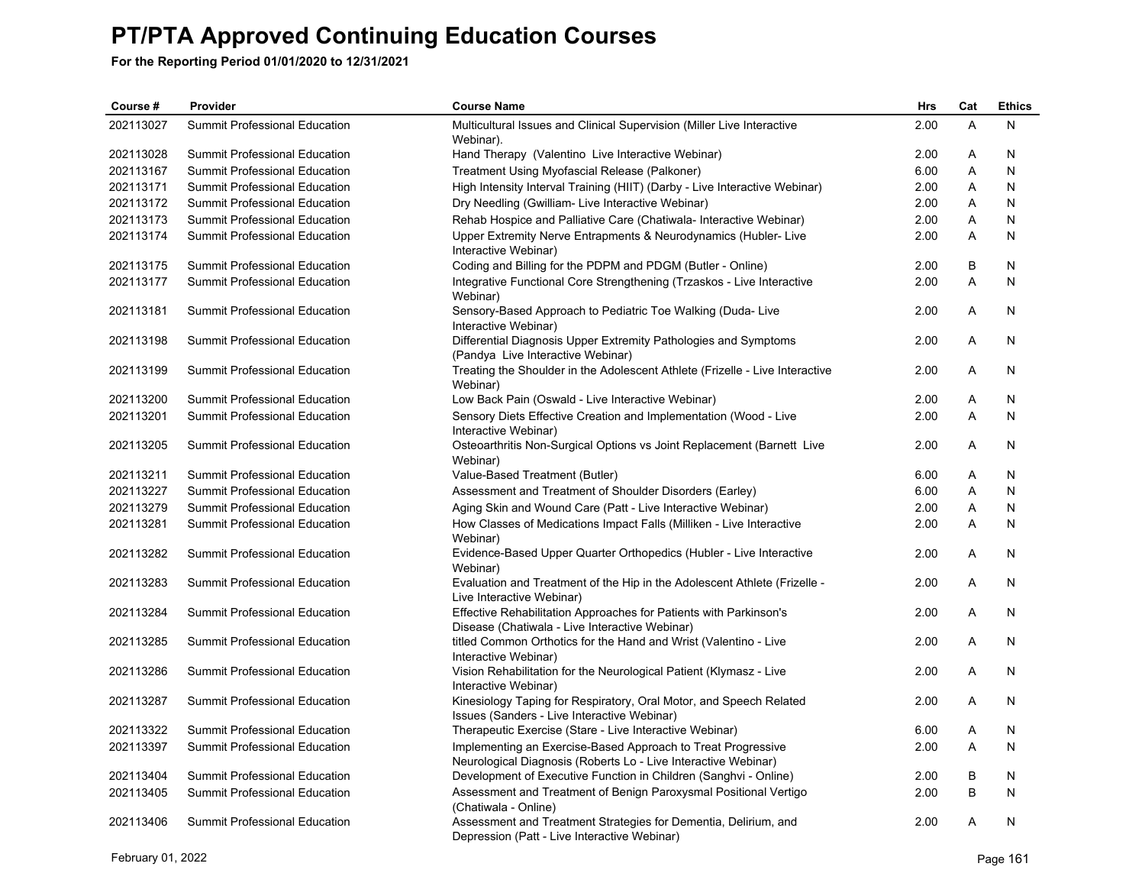| Course #  | Provider                             | <b>Course Name</b>                                                                                                             | <b>Hrs</b> | Cat          | <b>Ethics</b> |
|-----------|--------------------------------------|--------------------------------------------------------------------------------------------------------------------------------|------------|--------------|---------------|
| 202113027 | Summit Professional Education        | Multicultural Issues and Clinical Supervision (Miller Live Interactive<br>Webinar).                                            | 2.00       | A            | N             |
| 202113028 | Summit Professional Education        | Hand Therapy (Valentino Live Interactive Webinar)                                                                              | 2.00       | Α            | N             |
| 202113167 | Summit Professional Education        | Treatment Using Myofascial Release (Palkoner)                                                                                  | 6.00       | Α            | N             |
| 202113171 | <b>Summit Professional Education</b> | High Intensity Interval Training (HIIT) (Darby - Live Interactive Webinar)                                                     | 2.00       | A            | N             |
| 202113172 | Summit Professional Education        | Dry Needling (Gwilliam- Live Interactive Webinar)                                                                              | 2.00       | A            | N             |
| 202113173 | Summit Professional Education        | Rehab Hospice and Palliative Care (Chatiwala- Interactive Webinar)                                                             | 2.00       | A            | N             |
| 202113174 | Summit Professional Education        | Upper Extremity Nerve Entrapments & Neurodynamics (Hubler-Live<br>Interactive Webinar)                                         | 2.00       | A            | N             |
| 202113175 | Summit Professional Education        | Coding and Billing for the PDPM and PDGM (Butler - Online)                                                                     | 2.00       | B            | N             |
| 202113177 | Summit Professional Education        | Integrative Functional Core Strengthening (Trzaskos - Live Interactive<br>Webinar)                                             | 2.00       | A            | N             |
| 202113181 | Summit Professional Education        | Sensory-Based Approach to Pediatric Toe Walking (Duda- Live<br>Interactive Webinar)                                            | 2.00       | A            | N             |
| 202113198 | Summit Professional Education        | Differential Diagnosis Upper Extremity Pathologies and Symptoms<br>(Pandya Live Interactive Webinar)                           | 2.00       | Α            | N             |
| 202113199 | <b>Summit Professional Education</b> | Treating the Shoulder in the Adolescent Athlete (Frizelle - Live Interactive<br>Webinar)                                       | 2.00       | A            | N             |
| 202113200 | <b>Summit Professional Education</b> | Low Back Pain (Oswald - Live Interactive Webinar)                                                                              | 2.00       | Α            | N             |
| 202113201 | Summit Professional Education        | Sensory Diets Effective Creation and Implementation (Wood - Live<br>Interactive Webinar)                                       | 2.00       | A            | N             |
| 202113205 | Summit Professional Education        | Osteoarthritis Non-Surgical Options vs Joint Replacement (Barnett Live<br>Webinar)                                             | 2.00       | A            | N             |
| 202113211 | Summit Professional Education        | Value-Based Treatment (Butler)                                                                                                 | 6.00       | A            | N             |
| 202113227 | Summit Professional Education        | Assessment and Treatment of Shoulder Disorders (Earley)                                                                        | 6.00       | Α            | N             |
| 202113279 | Summit Professional Education        | Aging Skin and Wound Care (Patt - Live Interactive Webinar)                                                                    | 2.00       | A            | N             |
| 202113281 | Summit Professional Education        | How Classes of Medications Impact Falls (Milliken - Live Interactive<br>Webinar)                                               | 2.00       | A            | N             |
| 202113282 | Summit Professional Education        | Evidence-Based Upper Quarter Orthopedics (Hubler - Live Interactive<br>Webinar)                                                | 2.00       | A            | N             |
| 202113283 | Summit Professional Education        | Evaluation and Treatment of the Hip in the Adolescent Athlete (Frizelle -<br>Live Interactive Webinar)                         | 2.00       | A            | N             |
| 202113284 | Summit Professional Education        | Effective Rehabilitation Approaches for Patients with Parkinson's<br>Disease (Chatiwala - Live Interactive Webinar)            | 2.00       | A            | N             |
| 202113285 | <b>Summit Professional Education</b> | titled Common Orthotics for the Hand and Wrist (Valentino - Live<br>Interactive Webinar)                                       | 2.00       | A            | N             |
| 202113286 | <b>Summit Professional Education</b> | Vision Rehabilitation for the Neurological Patient (Klymasz - Live<br>Interactive Webinar)                                     | 2.00       | A            | N             |
| 202113287 | Summit Professional Education        | Kinesiology Taping for Respiratory, Oral Motor, and Speech Related<br>Issues (Sanders - Live Interactive Webinar)              | 2.00       | A            | N             |
| 202113322 | <b>Summit Professional Education</b> | Therapeutic Exercise (Stare - Live Interactive Webinar)                                                                        | 6.00       | A            | N             |
| 202113397 | Summit Professional Education        | Implementing an Exercise-Based Approach to Treat Progressive<br>Neurological Diagnosis (Roberts Lo - Live Interactive Webinar) | 2.00       | $\mathsf{A}$ | N             |
| 202113404 | <b>Summit Professional Education</b> | Development of Executive Function in Children (Sanghvi - Online)                                                               | 2.00       | B            | N             |
| 202113405 | Summit Professional Education        | Assessment and Treatment of Benign Paroxysmal Positional Vertigo<br>(Chatiwala - Online)                                       | 2.00       | B            | N             |
| 202113406 | <b>Summit Professional Education</b> | Assessment and Treatment Strategies for Dementia, Delirium, and<br>Depression (Patt - Live Interactive Webinar)                | 2.00       | A            | N             |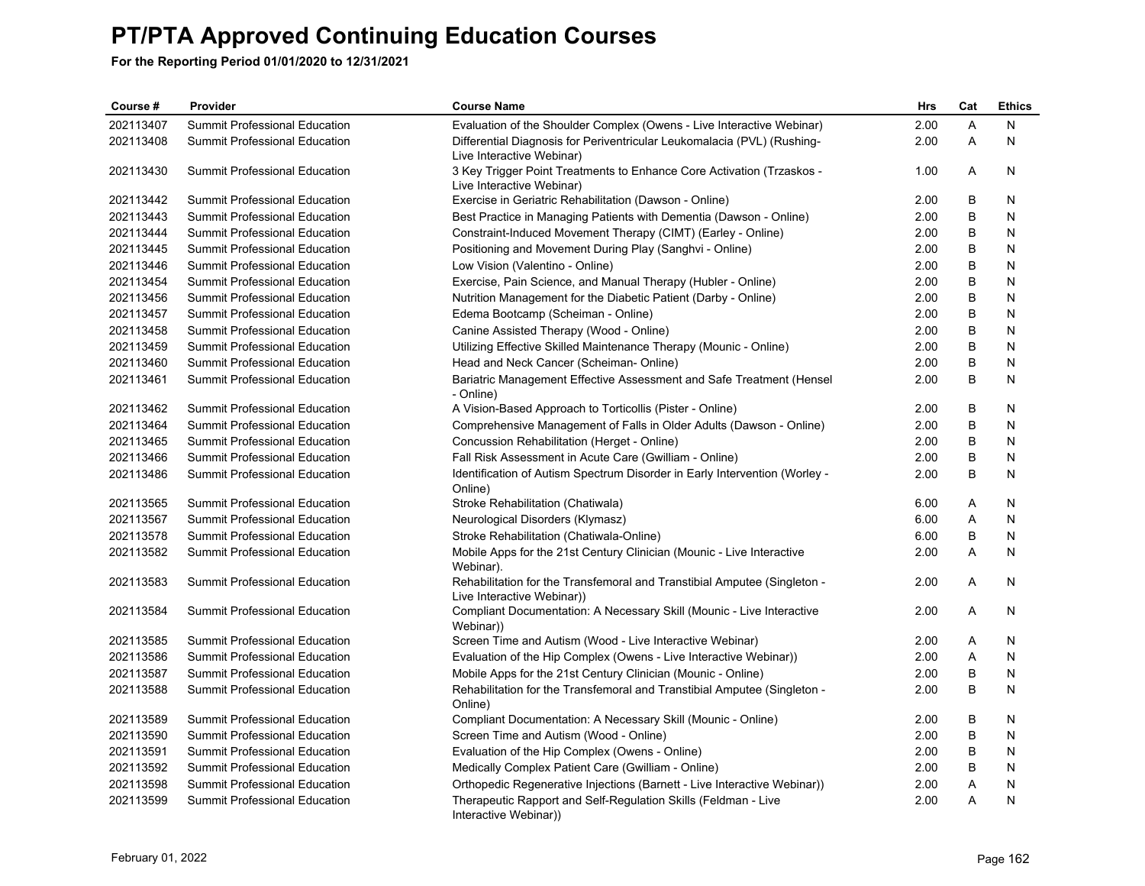| Course #  | Provider                             | <b>Course Name</b>                                                                                     | Hrs  | Cat     | <b>Ethics</b> |
|-----------|--------------------------------------|--------------------------------------------------------------------------------------------------------|------|---------|---------------|
| 202113407 | Summit Professional Education        | Evaluation of the Shoulder Complex (Owens - Live Interactive Webinar)                                  | 2.00 | A       | N             |
| 202113408 | Summit Professional Education        | Differential Diagnosis for Periventricular Leukomalacia (PVL) (Rushing-<br>Live Interactive Webinar)   | 2.00 | A       | $\mathsf{N}$  |
| 202113430 | Summit Professional Education        | 3 Key Trigger Point Treatments to Enhance Core Activation (Trzaskos -<br>Live Interactive Webinar)     | 1.00 | A       | N             |
| 202113442 | Summit Professional Education        | Exercise in Geriatric Rehabilitation (Dawson - Online)                                                 | 2.00 | B       | N             |
| 202113443 | Summit Professional Education        | Best Practice in Managing Patients with Dementia (Dawson - Online)                                     | 2.00 | B       | N             |
| 202113444 | Summit Professional Education        | Constraint-Induced Movement Therapy (CIMT) (Earley - Online)                                           | 2.00 | B       | N             |
| 202113445 | <b>Summit Professional Education</b> | Positioning and Movement During Play (Sanghvi - Online)                                                | 2.00 | B       | N             |
| 202113446 | Summit Professional Education        | Low Vision (Valentino - Online)                                                                        | 2.00 | B       | N             |
| 202113454 | Summit Professional Education        | Exercise, Pain Science, and Manual Therapy (Hubler - Online)                                           | 2.00 | B       | N             |
| 202113456 | Summit Professional Education        | Nutrition Management for the Diabetic Patient (Darby - Online)                                         | 2.00 | B       | N             |
| 202113457 | Summit Professional Education        | Edema Bootcamp (Scheiman - Online)                                                                     | 2.00 | B       | N             |
| 202113458 | Summit Professional Education        | Canine Assisted Therapy (Wood - Online)                                                                | 2.00 | B       | N             |
| 202113459 | Summit Professional Education        | Utilizing Effective Skilled Maintenance Therapy (Mounic - Online)                                      | 2.00 | B       | N             |
| 202113460 | <b>Summit Professional Education</b> | Head and Neck Cancer (Scheiman-Online)                                                                 | 2.00 | B       | N             |
| 202113461 | Summit Professional Education        | Bariatric Management Effective Assessment and Safe Treatment (Hensel<br>- Online)                      | 2.00 | B       | N             |
| 202113462 | Summit Professional Education        | A Vision-Based Approach to Torticollis (Pister - Online)                                               | 2.00 | B       | N             |
| 202113464 | Summit Professional Education        | Comprehensive Management of Falls in Older Adults (Dawson - Online)                                    | 2.00 | $\sf B$ | N             |
| 202113465 | Summit Professional Education        | Concussion Rehabilitation (Herget - Online)                                                            | 2.00 | B       | N             |
| 202113466 | Summit Professional Education        | Fall Risk Assessment in Acute Care (Gwilliam - Online)                                                 | 2.00 | B       | N             |
| 202113486 | Summit Professional Education        | Identification of Autism Spectrum Disorder in Early Intervention (Worley -<br>Online)                  | 2.00 | B       | N             |
| 202113565 | Summit Professional Education        | Stroke Rehabilitation (Chatiwala)                                                                      | 6.00 | Α       | N             |
| 202113567 | Summit Professional Education        | Neurological Disorders (Klymasz)                                                                       | 6.00 | Α       | N             |
| 202113578 | Summit Professional Education        | Stroke Rehabilitation (Chatiwala-Online)                                                               | 6.00 | B       | N             |
| 202113582 | Summit Professional Education        | Mobile Apps for the 21st Century Clinician (Mounic - Live Interactive<br>Webinar).                     | 2.00 | A       | N             |
| 202113583 | Summit Professional Education        | Rehabilitation for the Transfemoral and Transtibial Amputee (Singleton -<br>Live Interactive Webinar)) | 2.00 | A       | N             |
| 202113584 | Summit Professional Education        | Compliant Documentation: A Necessary Skill (Mounic - Live Interactive<br>Webinar))                     | 2.00 | Α       | N             |
| 202113585 | Summit Professional Education        | Screen Time and Autism (Wood - Live Interactive Webinar)                                               | 2.00 | Α       | N             |
| 202113586 | <b>Summit Professional Education</b> | Evaluation of the Hip Complex (Owens - Live Interactive Webinar))                                      | 2.00 | A       | N             |
| 202113587 | Summit Professional Education        | Mobile Apps for the 21st Century Clinician (Mounic - Online)                                           | 2.00 | B       | N             |
| 202113588 | Summit Professional Education        | Rehabilitation for the Transfemoral and Transtibial Amputee (Singleton -<br>Online)                    | 2.00 | B       | N             |
| 202113589 | Summit Professional Education        | Compliant Documentation: A Necessary Skill (Mounic - Online)                                           | 2.00 | B       | N             |
| 202113590 | Summit Professional Education        | Screen Time and Autism (Wood - Online)                                                                 | 2.00 | B       | N             |
| 202113591 | Summit Professional Education        | Evaluation of the Hip Complex (Owens - Online)                                                         | 2.00 | B       | N             |
| 202113592 | Summit Professional Education        | Medically Complex Patient Care (Gwilliam - Online)                                                     | 2.00 | B       | N             |
| 202113598 | Summit Professional Education        | Orthopedic Regenerative Injections (Barnett - Live Interactive Webinar))                               | 2.00 | Α       | N             |
| 202113599 | <b>Summit Professional Education</b> | Therapeutic Rapport and Self-Regulation Skills (Feldman - Live<br>Interactive Webinar))                | 2.00 | A       | N             |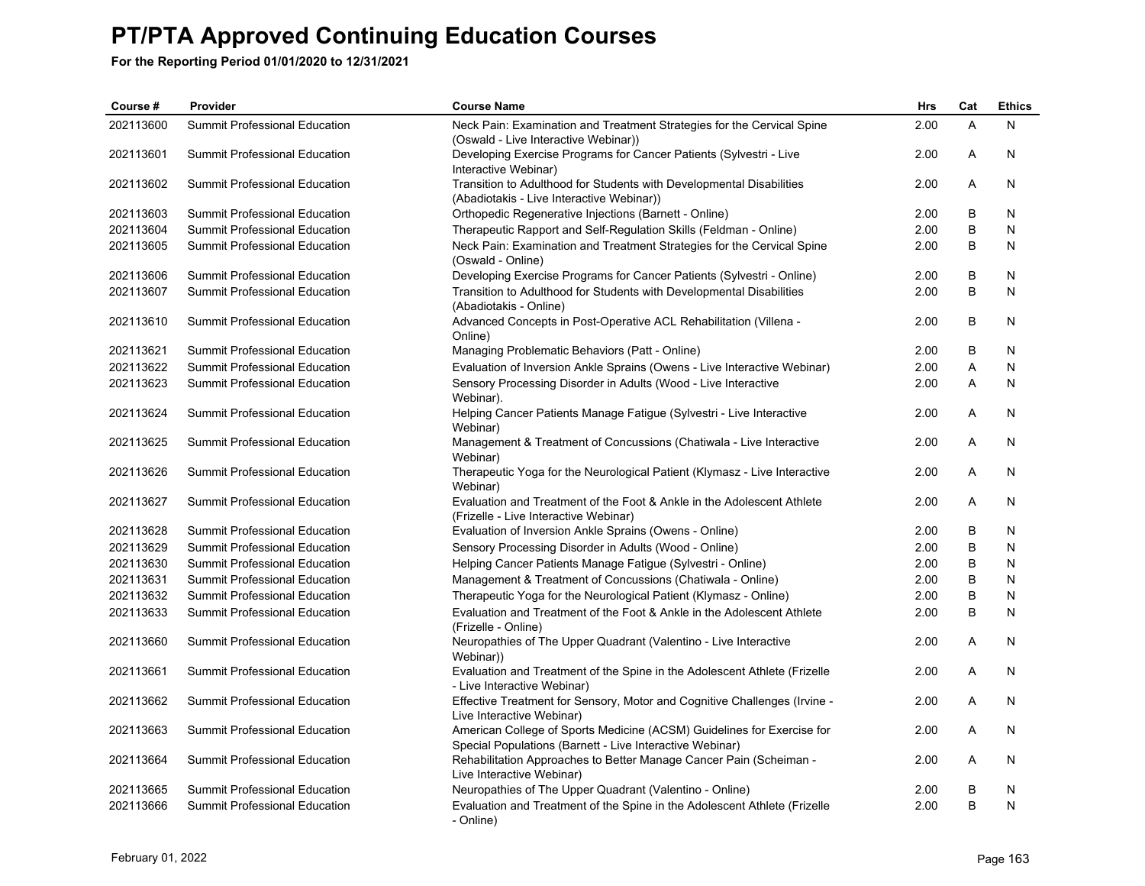| Course #  | Provider                             | <b>Course Name</b>                                                                                                                 | Hrs  | Cat     | <b>Ethics</b> |
|-----------|--------------------------------------|------------------------------------------------------------------------------------------------------------------------------------|------|---------|---------------|
| 202113600 | Summit Professional Education        | Neck Pain: Examination and Treatment Strategies for the Cervical Spine<br>(Oswald - Live Interactive Webinar))                     | 2.00 | A       | N             |
| 202113601 | Summit Professional Education        | Developing Exercise Programs for Cancer Patients (Sylvestri - Live<br>Interactive Webinar)                                         | 2.00 | A       | N             |
| 202113602 | Summit Professional Education        | Transition to Adulthood for Students with Developmental Disabilities<br>(Abadiotakis - Live Interactive Webinar))                  | 2.00 | A       | N             |
| 202113603 | Summit Professional Education        | Orthopedic Regenerative Injections (Barnett - Online)                                                                              | 2.00 | B       | N             |
| 202113604 | Summit Professional Education        | Therapeutic Rapport and Self-Regulation Skills (Feldman - Online)                                                                  | 2.00 | $\sf B$ | N             |
| 202113605 | Summit Professional Education        | Neck Pain: Examination and Treatment Strategies for the Cervical Spine<br>(Oswald - Online)                                        | 2.00 | $\sf B$ | N             |
| 202113606 | Summit Professional Education        | Developing Exercise Programs for Cancer Patients (Sylvestri - Online)                                                              | 2.00 | В       | N             |
| 202113607 | Summit Professional Education        | Transition to Adulthood for Students with Developmental Disabilities<br>(Abadiotakis - Online)                                     | 2.00 | B       | N             |
| 202113610 | <b>Summit Professional Education</b> | Advanced Concepts in Post-Operative ACL Rehabilitation (Villena -<br>Online)                                                       | 2.00 | B       | N             |
| 202113621 | Summit Professional Education        | Managing Problematic Behaviors (Patt - Online)                                                                                     | 2.00 | B       | N             |
| 202113622 | <b>Summit Professional Education</b> | Evaluation of Inversion Ankle Sprains (Owens - Live Interactive Webinar)                                                           | 2.00 | A       | N             |
| 202113623 | <b>Summit Professional Education</b> | Sensory Processing Disorder in Adults (Wood - Live Interactive<br>Webinar).                                                        | 2.00 | A       | N             |
| 202113624 | Summit Professional Education        | Helping Cancer Patients Manage Fatigue (Sylvestri - Live Interactive<br>Webinar)                                                   | 2.00 | Α       | N             |
| 202113625 | Summit Professional Education        | Management & Treatment of Concussions (Chatiwala - Live Interactive<br>Webinar)                                                    | 2.00 | Α       | N             |
| 202113626 | Summit Professional Education        | Therapeutic Yoga for the Neurological Patient (Klymasz - Live Interactive<br>Webinar)                                              | 2.00 | A       | N             |
| 202113627 | Summit Professional Education        | Evaluation and Treatment of the Foot & Ankle in the Adolescent Athlete<br>(Frizelle - Live Interactive Webinar)                    | 2.00 | A       | N             |
| 202113628 | <b>Summit Professional Education</b> | Evaluation of Inversion Ankle Sprains (Owens - Online)                                                                             | 2.00 | B       | N             |
| 202113629 | Summit Professional Education        | Sensory Processing Disorder in Adults (Wood - Online)                                                                              | 2.00 | B       | N             |
| 202113630 | <b>Summit Professional Education</b> | Helping Cancer Patients Manage Fatigue (Sylvestri - Online)                                                                        | 2.00 | B       | N             |
| 202113631 | Summit Professional Education        | Management & Treatment of Concussions (Chatiwala - Online)                                                                         | 2.00 | B       | N             |
| 202113632 | Summit Professional Education        | Therapeutic Yoga for the Neurological Patient (Klymasz - Online)                                                                   | 2.00 | B       | N             |
| 202113633 | Summit Professional Education        | Evaluation and Treatment of the Foot & Ankle in the Adolescent Athlete<br>(Frizelle - Online)                                      | 2.00 | B       | N             |
| 202113660 | Summit Professional Education        | Neuropathies of The Upper Quadrant (Valentino - Live Interactive<br>Webinar))                                                      | 2.00 | Α       | N             |
| 202113661 | <b>Summit Professional Education</b> | Evaluation and Treatment of the Spine in the Adolescent Athlete (Frizelle<br>- Live Interactive Webinar)                           | 2.00 | Α       | N             |
| 202113662 | <b>Summit Professional Education</b> | Effective Treatment for Sensory, Motor and Cognitive Challenges (Irvine -<br>Live Interactive Webinar)                             | 2.00 | A       | N             |
| 202113663 | Summit Professional Education        | American College of Sports Medicine (ACSM) Guidelines for Exercise for<br>Special Populations (Barnett - Live Interactive Webinar) | 2.00 | Α       | N             |
| 202113664 | Summit Professional Education        | Rehabilitation Approaches to Better Manage Cancer Pain (Scheiman -<br>Live Interactive Webinar)                                    | 2.00 | A       | N             |
| 202113665 | Summit Professional Education        | Neuropathies of The Upper Quadrant (Valentino - Online)                                                                            | 2.00 | B       | N             |
| 202113666 | Summit Professional Education        | Evaluation and Treatment of the Spine in the Adolescent Athlete (Frizelle<br>- Online)                                             | 2.00 | B       | N             |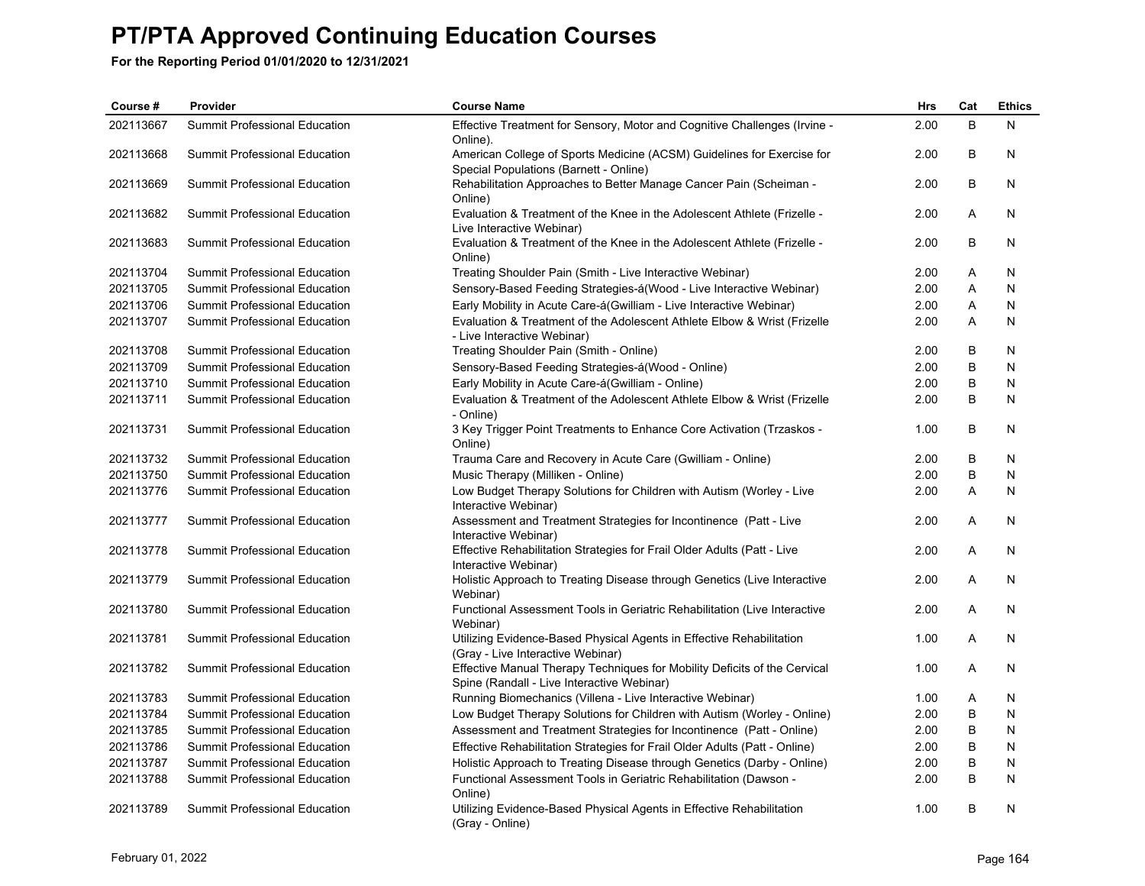| Course #  | Provider                             | <b>Course Name</b>                                                                                                      | Hrs  | Cat | <b>Ethics</b> |
|-----------|--------------------------------------|-------------------------------------------------------------------------------------------------------------------------|------|-----|---------------|
| 202113667 | Summit Professional Education        | Effective Treatment for Sensory, Motor and Cognitive Challenges (Irvine -<br>Online).                                   | 2.00 | B   | N             |
| 202113668 | Summit Professional Education        | American College of Sports Medicine (ACSM) Guidelines for Exercise for<br>Special Populations (Barnett - Online)        | 2.00 | B   | N             |
| 202113669 | Summit Professional Education        | Rehabilitation Approaches to Better Manage Cancer Pain (Scheiman -<br>Online)                                           | 2.00 | B   | N             |
| 202113682 | Summit Professional Education        | Evaluation & Treatment of the Knee in the Adolescent Athlete (Frizelle -<br>Live Interactive Webinar)                   | 2.00 | A   | N             |
| 202113683 | Summit Professional Education        | Evaluation & Treatment of the Knee in the Adolescent Athlete (Frizelle -<br>Online)                                     | 2.00 | B   | N             |
| 202113704 | Summit Professional Education        | Treating Shoulder Pain (Smith - Live Interactive Webinar)                                                               | 2.00 | Α   | N             |
| 202113705 | <b>Summit Professional Education</b> | Sensory-Based Feeding Strategies-á(Wood - Live Interactive Webinar)                                                     | 2.00 | A   | N             |
| 202113706 | Summit Professional Education        | Early Mobility in Acute Care-á(Gwilliam - Live Interactive Webinar)                                                     | 2.00 | Α   | N             |
| 202113707 | Summit Professional Education        | Evaluation & Treatment of the Adolescent Athlete Elbow & Wrist (Frizelle<br>- Live Interactive Webinar)                 | 2.00 | A   | N             |
| 202113708 | Summit Professional Education        | Treating Shoulder Pain (Smith - Online)                                                                                 | 2.00 | B   | N             |
| 202113709 | <b>Summit Professional Education</b> | Sensory-Based Feeding Strategies-á(Wood - Online)                                                                       | 2.00 | B   | N             |
| 202113710 | Summit Professional Education        | Early Mobility in Acute Care-á(Gwilliam - Online)                                                                       | 2.00 | B   | N             |
| 202113711 | Summit Professional Education        | Evaluation & Treatment of the Adolescent Athlete Elbow & Wrist (Frizelle<br>- Online)                                   | 2.00 | B   | N             |
| 202113731 | Summit Professional Education        | 3 Key Trigger Point Treatments to Enhance Core Activation (Trzaskos -<br>Online)                                        | 1.00 | B   | N             |
| 202113732 | <b>Summit Professional Education</b> | Trauma Care and Recovery in Acute Care (Gwilliam - Online)                                                              | 2.00 | B   | N             |
| 202113750 | Summit Professional Education        | Music Therapy (Milliken - Online)                                                                                       | 2.00 | B   | N             |
| 202113776 | Summit Professional Education        | Low Budget Therapy Solutions for Children with Autism (Worley - Live<br>Interactive Webinar)                            | 2.00 | A   | N             |
| 202113777 | Summit Professional Education        | Assessment and Treatment Strategies for Incontinence (Patt - Live<br>Interactive Webinar)                               | 2.00 | Α   | N             |
| 202113778 | Summit Professional Education        | Effective Rehabilitation Strategies for Frail Older Adults (Patt - Live<br>Interactive Webinar)                         | 2.00 | Α   | N             |
| 202113779 | <b>Summit Professional Education</b> | Holistic Approach to Treating Disease through Genetics (Live Interactive<br>Webinar)                                    | 2.00 | A   | N             |
| 202113780 | <b>Summit Professional Education</b> | Functional Assessment Tools in Geriatric Rehabilitation (Live Interactive<br>Webinar)                                   | 2.00 | A   | N             |
| 202113781 | Summit Professional Education        | Utilizing Evidence-Based Physical Agents in Effective Rehabilitation<br>(Gray - Live Interactive Webinar)               | 1.00 | Α   | N             |
| 202113782 | Summit Professional Education        | Effective Manual Therapy Techniques for Mobility Deficits of the Cervical<br>Spine (Randall - Live Interactive Webinar) | 1.00 | A   | N             |
| 202113783 | Summit Professional Education        | Running Biomechanics (Villena - Live Interactive Webinar)                                                               | 1.00 | Α   | N             |
| 202113784 | Summit Professional Education        | Low Budget Therapy Solutions for Children with Autism (Worley - Online)                                                 | 2.00 | B   | N             |
| 202113785 | <b>Summit Professional Education</b> | Assessment and Treatment Strategies for Incontinence (Patt - Online)                                                    | 2.00 | B   | N             |
| 202113786 | Summit Professional Education        | Effective Rehabilitation Strategies for Frail Older Adults (Patt - Online)                                              | 2.00 | В   | N             |
| 202113787 | Summit Professional Education        | Holistic Approach to Treating Disease through Genetics (Darby - Online)                                                 | 2.00 | B   | N             |
| 202113788 | <b>Summit Professional Education</b> | Functional Assessment Tools in Geriatric Rehabilitation (Dawson -<br>Online)                                            | 2.00 | B   | N             |
| 202113789 | <b>Summit Professional Education</b> | Utilizing Evidence-Based Physical Agents in Effective Rehabilitation<br>(Gray - Online)                                 | 1.00 | B   | N             |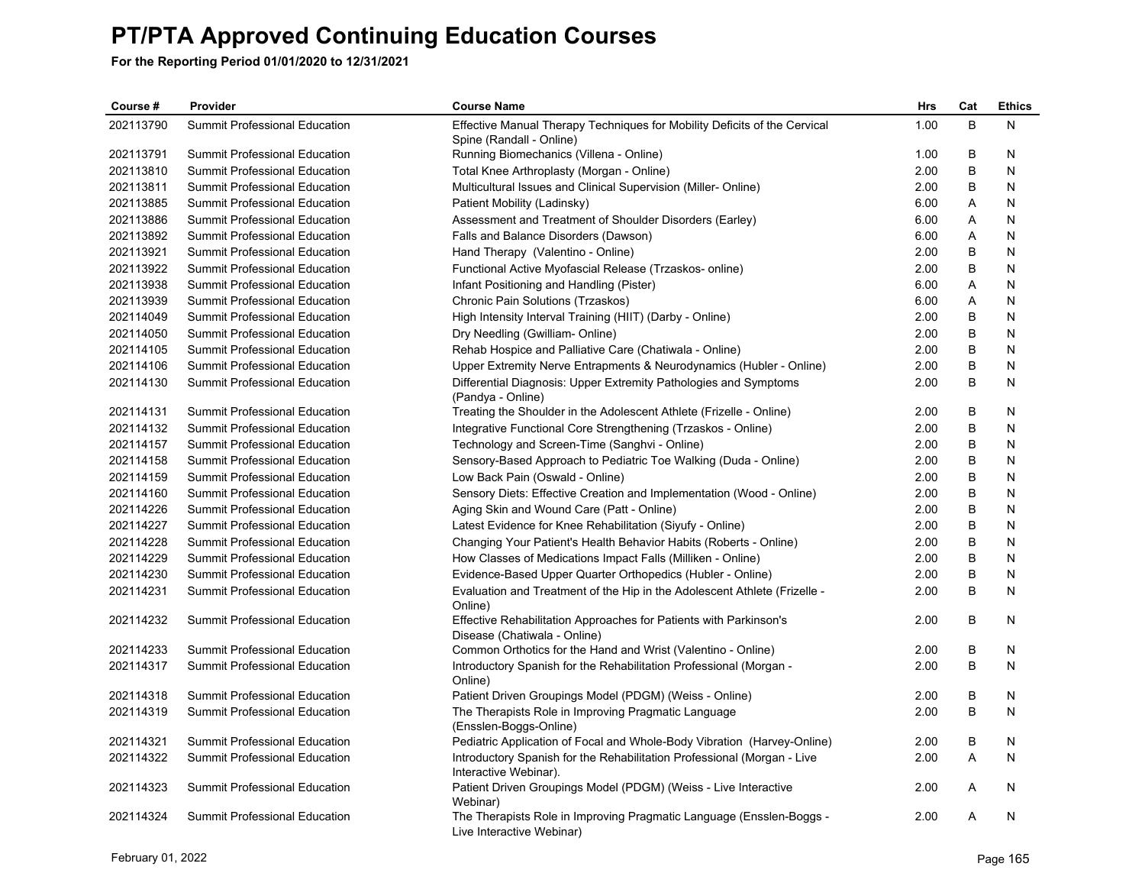| Course #  | Provider                             | <b>Course Name</b>                                                                                    | Hrs  | Cat | <b>Ethics</b> |
|-----------|--------------------------------------|-------------------------------------------------------------------------------------------------------|------|-----|---------------|
| 202113790 | <b>Summit Professional Education</b> | Effective Manual Therapy Techniques for Mobility Deficits of the Cervical<br>Spine (Randall - Online) | 1.00 | B   | N             |
| 202113791 | Summit Professional Education        | Running Biomechanics (Villena - Online)                                                               | 1.00 | В   | N             |
| 202113810 | Summit Professional Education        | Total Knee Arthroplasty (Morgan - Online)                                                             | 2.00 | В   | N             |
| 202113811 | Summit Professional Education        | Multicultural Issues and Clinical Supervision (Miller- Online)                                        | 2.00 | B   | Ν             |
| 202113885 | <b>Summit Professional Education</b> | Patient Mobility (Ladinsky)                                                                           | 6.00 | A   | N             |
| 202113886 | Summit Professional Education        | Assessment and Treatment of Shoulder Disorders (Earley)                                               | 6.00 | Α   | N             |
| 202113892 | Summit Professional Education        | Falls and Balance Disorders (Dawson)                                                                  | 6.00 | A   | N             |
| 202113921 | Summit Professional Education        | Hand Therapy (Valentino - Online)                                                                     | 2.00 | B   | N             |
| 202113922 | Summit Professional Education        | Functional Active Myofascial Release (Trzaskos- online)                                               | 2.00 | B   | N             |
| 202113938 | Summit Professional Education        | Infant Positioning and Handling (Pister)                                                              | 6.00 | Α   | N             |
| 202113939 | Summit Professional Education        | Chronic Pain Solutions (Trzaskos)                                                                     | 6.00 | Α   | N             |
| 202114049 | <b>Summit Professional Education</b> | High Intensity Interval Training (HIIT) (Darby - Online)                                              | 2.00 | B   | N             |
| 202114050 | Summit Professional Education        | Dry Needling (Gwilliam-Online)                                                                        | 2.00 | B   | N             |
| 202114105 | Summit Professional Education        | Rehab Hospice and Palliative Care (Chatiwala - Online)                                                | 2.00 | B   | N             |
| 202114106 | Summit Professional Education        | Upper Extremity Nerve Entrapments & Neurodynamics (Hubler - Online)                                   | 2.00 | B   | Ν             |
| 202114130 | <b>Summit Professional Education</b> | Differential Diagnosis: Upper Extremity Pathologies and Symptoms<br>(Pandya - Online)                 | 2.00 | B   | N             |
| 202114131 | Summit Professional Education        | Treating the Shoulder in the Adolescent Athlete (Frizelle - Online)                                   | 2.00 | B   | N             |
| 202114132 | Summit Professional Education        | Integrative Functional Core Strengthening (Trzaskos - Online)                                         | 2.00 | B   | N             |
| 202114157 | <b>Summit Professional Education</b> | Technology and Screen-Time (Sanghvi - Online)                                                         | 2.00 | B   | N             |
| 202114158 | Summit Professional Education        | Sensory-Based Approach to Pediatric Toe Walking (Duda - Online)                                       | 2.00 | B   | N             |
| 202114159 | Summit Professional Education        | Low Back Pain (Oswald - Online)                                                                       | 2.00 | В   | N             |
| 202114160 | Summit Professional Education        | Sensory Diets: Effective Creation and Implementation (Wood - Online)                                  | 2.00 | B   | N             |
| 202114226 | <b>Summit Professional Education</b> | Aging Skin and Wound Care (Patt - Online)                                                             | 2.00 | B   | N             |
| 202114227 | Summit Professional Education        | Latest Evidence for Knee Rehabilitation (Siyufy - Online)                                             | 2.00 | B   | N             |
| 202114228 | Summit Professional Education        | Changing Your Patient's Health Behavior Habits (Roberts - Online)                                     | 2.00 | В   | N             |
| 202114229 | <b>Summit Professional Education</b> | How Classes of Medications Impact Falls (Milliken - Online)                                           | 2.00 | B   | N             |
| 202114230 | Summit Professional Education        | Evidence-Based Upper Quarter Orthopedics (Hubler - Online)                                            | 2.00 | B   | N             |
| 202114231 | Summit Professional Education        | Evaluation and Treatment of the Hip in the Adolescent Athlete (Frizelle -<br>Online)                  | 2.00 | B   | N             |
| 202114232 | Summit Professional Education        | Effective Rehabilitation Approaches for Patients with Parkinson's<br>Disease (Chatiwala - Online)     | 2.00 | B   | N             |
| 202114233 | <b>Summit Professional Education</b> | Common Orthotics for the Hand and Wrist (Valentino - Online)                                          | 2.00 | B   | N             |
| 202114317 | Summit Professional Education        | Introductory Spanish for the Rehabilitation Professional (Morgan -<br>Online)                         | 2.00 | B   | N             |
| 202114318 | Summit Professional Education        | Patient Driven Groupings Model (PDGM) (Weiss - Online)                                                | 2.00 | В   | N             |
| 202114319 | Summit Professional Education        | The Therapists Role in Improving Pragmatic Language<br>(Ensslen-Boggs-Online)                         | 2.00 | B   | N             |
| 202114321 | <b>Summit Professional Education</b> | Pediatric Application of Focal and Whole-Body Vibration (Harvey-Online)                               | 2.00 | B   | N             |
| 202114322 | Summit Professional Education        | Introductory Spanish for the Rehabilitation Professional (Morgan - Live<br>Interactive Webinar).      | 2.00 | A   | N             |
| 202114323 | Summit Professional Education        | Patient Driven Groupings Model (PDGM) (Weiss - Live Interactive<br>Webinar)                           | 2.00 | Α   | N             |
| 202114324 | Summit Professional Education        | The Therapists Role in Improving Pragmatic Language (Ensslen-Boggs -<br>Live Interactive Webinar)     | 2.00 | A   | N             |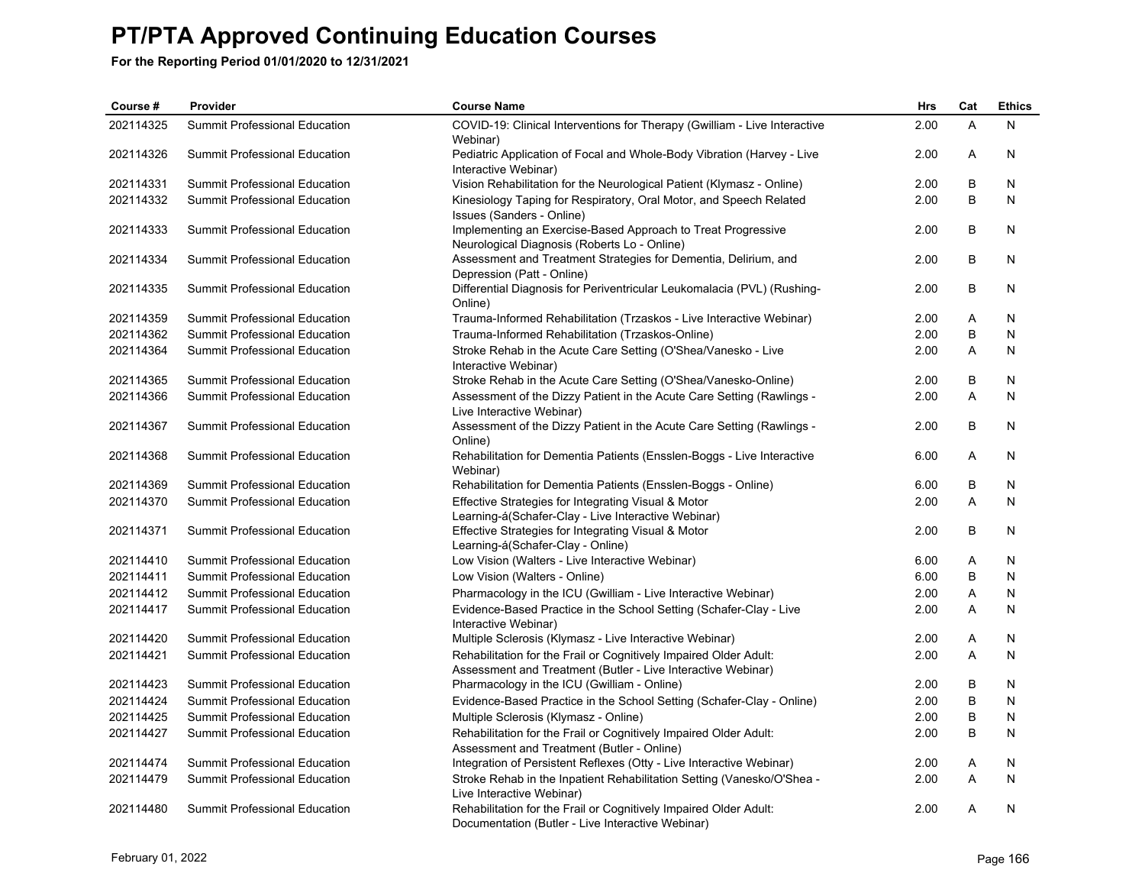| Course #  | Provider                             | <b>Course Name</b>                                                                                                                | Hrs  | Cat | <b>Ethics</b> |
|-----------|--------------------------------------|-----------------------------------------------------------------------------------------------------------------------------------|------|-----|---------------|
| 202114325 | Summit Professional Education        | COVID-19: Clinical Interventions for Therapy (Gwilliam - Live Interactive<br>Webinar)                                             | 2.00 | A   | N             |
| 202114326 | <b>Summit Professional Education</b> | Pediatric Application of Focal and Whole-Body Vibration (Harvey - Live<br>Interactive Webinar)                                    | 2.00 | Α   | N             |
| 202114331 | <b>Summit Professional Education</b> | Vision Rehabilitation for the Neurological Patient (Klymasz - Online)                                                             | 2.00 | B   | N             |
| 202114332 | <b>Summit Professional Education</b> | Kinesiology Taping for Respiratory, Oral Motor, and Speech Related<br>Issues (Sanders - Online)                                   | 2.00 | B   | N             |
| 202114333 | Summit Professional Education        | Implementing an Exercise-Based Approach to Treat Progressive<br>Neurological Diagnosis (Roberts Lo - Online)                      | 2.00 | B   | N             |
| 202114334 | Summit Professional Education        | Assessment and Treatment Strategies for Dementia, Delirium, and<br>Depression (Patt - Online)                                     | 2.00 | B   | N             |
| 202114335 | Summit Professional Education        | Differential Diagnosis for Periventricular Leukomalacia (PVL) (Rushing-<br>Online)                                                | 2.00 | B   | N             |
| 202114359 | <b>Summit Professional Education</b> | Trauma-Informed Rehabilitation (Trzaskos - Live Interactive Webinar)                                                              | 2.00 | A   | N             |
| 202114362 | Summit Professional Education        | Trauma-Informed Rehabilitation (Trzaskos-Online)                                                                                  | 2.00 | B   | N             |
| 202114364 | Summit Professional Education        | Stroke Rehab in the Acute Care Setting (O'Shea/Vanesko - Live<br>Interactive Webinar)                                             | 2.00 | A   | N             |
| 202114365 | <b>Summit Professional Education</b> | Stroke Rehab in the Acute Care Setting (O'Shea/Vanesko-Online)                                                                    | 2.00 | B   | N             |
| 202114366 | Summit Professional Education        | Assessment of the Dizzy Patient in the Acute Care Setting (Rawlings -<br>Live Interactive Webinar)                                | 2.00 | A   | N             |
| 202114367 | Summit Professional Education        | Assessment of the Dizzy Patient in the Acute Care Setting (Rawlings -<br>Online)                                                  | 2.00 | B   | N             |
| 202114368 | <b>Summit Professional Education</b> | Rehabilitation for Dementia Patients (Ensslen-Boggs - Live Interactive<br>Webinar)                                                | 6.00 | Α   | N             |
| 202114369 | Summit Professional Education        | Rehabilitation for Dementia Patients (Ensslen-Boggs - Online)                                                                     | 6.00 | B   | N             |
| 202114370 | Summit Professional Education        | Effective Strategies for Integrating Visual & Motor<br>Learning-á(Schafer-Clay - Live Interactive Webinar)                        | 2.00 | Α   | N             |
| 202114371 | Summit Professional Education        | Effective Strategies for Integrating Visual & Motor<br>Learning-á(Schafer-Clay - Online)                                          | 2.00 | B   | N             |
| 202114410 | Summit Professional Education        | Low Vision (Walters - Live Interactive Webinar)                                                                                   | 6.00 | Α   | N             |
| 202114411 | Summit Professional Education        | Low Vision (Walters - Online)                                                                                                     | 6.00 | B   | N             |
| 202114412 | Summit Professional Education        | Pharmacology in the ICU (Gwilliam - Live Interactive Webinar)                                                                     | 2.00 | Α   | N             |
| 202114417 | Summit Professional Education        | Evidence-Based Practice in the School Setting (Schafer-Clay - Live<br>Interactive Webinar)                                        | 2.00 | A   | N             |
| 202114420 | Summit Professional Education        | Multiple Sclerosis (Klymasz - Live Interactive Webinar)                                                                           | 2.00 | Α   | N             |
| 202114421 | Summit Professional Education        | Rehabilitation for the Frail or Cognitively Impaired Older Adult:<br>Assessment and Treatment (Butler - Live Interactive Webinar) | 2.00 | Α   | N             |
| 202114423 | Summit Professional Education        | Pharmacology in the ICU (Gwilliam - Online)                                                                                       | 2.00 | B   | N             |
| 202114424 | Summit Professional Education        | Evidence-Based Practice in the School Setting (Schafer-Clay - Online)                                                             | 2.00 | B   | N             |
| 202114425 | Summit Professional Education        | Multiple Sclerosis (Klymasz - Online)                                                                                             | 2.00 | B   | N             |
| 202114427 | Summit Professional Education        | Rehabilitation for the Frail or Cognitively Impaired Older Adult:<br>Assessment and Treatment (Butler - Online)                   | 2.00 | B   | N             |
| 202114474 | Summit Professional Education        | Integration of Persistent Reflexes (Otty - Live Interactive Webinar)                                                              | 2.00 | A   | N             |
| 202114479 | Summit Professional Education        | Stroke Rehab in the Inpatient Rehabilitation Setting (Vanesko/O'Shea -<br>Live Interactive Webinar)                               | 2.00 | Α   | N             |
| 202114480 | <b>Summit Professional Education</b> | Rehabilitation for the Frail or Cognitively Impaired Older Adult:<br>Documentation (Butler - Live Interactive Webinar)            | 2.00 | A   | N             |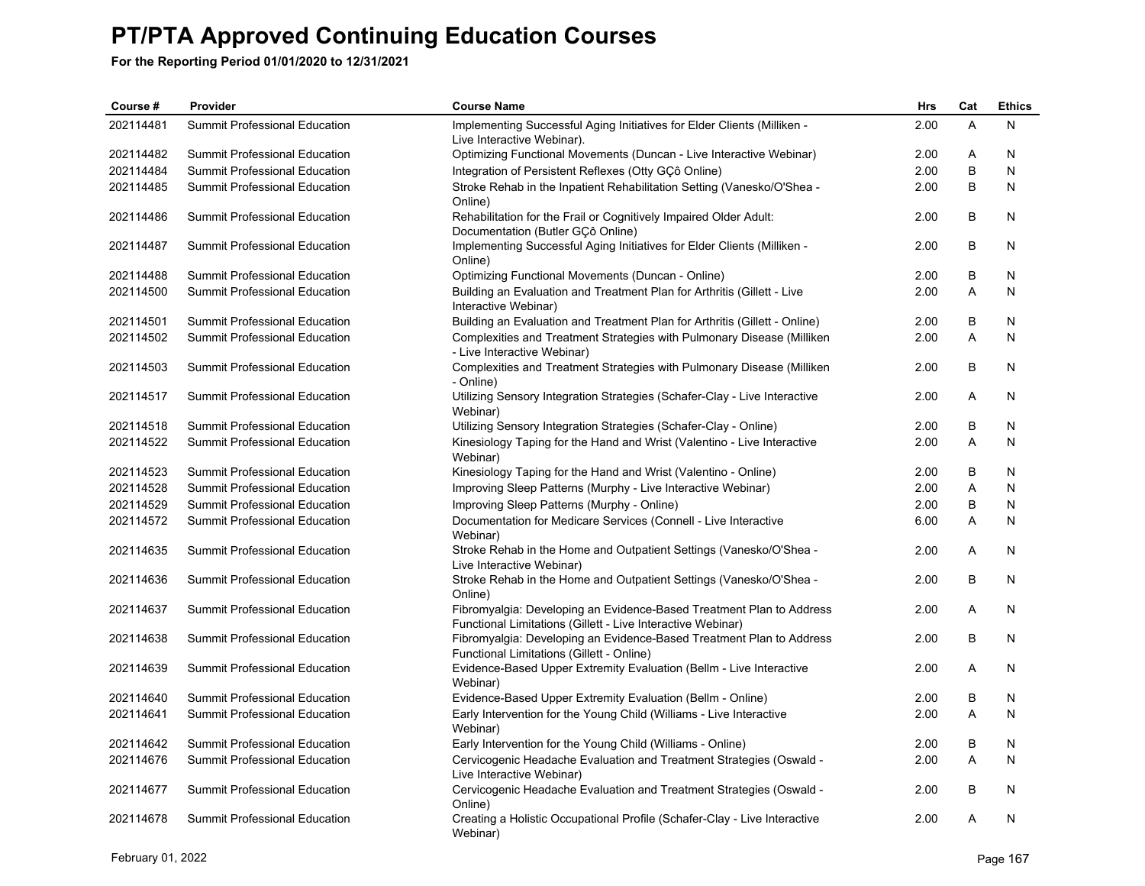| Course #  | Provider                             | <b>Course Name</b>                                                                                                                  | <b>Hrs</b> | Cat | <b>Ethics</b> |
|-----------|--------------------------------------|-------------------------------------------------------------------------------------------------------------------------------------|------------|-----|---------------|
| 202114481 | Summit Professional Education        | Implementing Successful Aging Initiatives for Elder Clients (Milliken -<br>Live Interactive Webinar).                               | 2.00       | A   | N             |
| 202114482 | Summit Professional Education        | Optimizing Functional Movements (Duncan - Live Interactive Webinar)                                                                 | 2.00       | A   | N             |
| 202114484 | <b>Summit Professional Education</b> | Integration of Persistent Reflexes (Otty GÇô Online)                                                                                | 2.00       | B   | N             |
| 202114485 | Summit Professional Education        | Stroke Rehab in the Inpatient Rehabilitation Setting (Vanesko/O'Shea -<br>Online)                                                   | 2.00       | B   | N             |
| 202114486 | Summit Professional Education        | Rehabilitation for the Frail or Cognitively Impaired Older Adult:<br>Documentation (Butler GÇô Online)                              | 2.00       | B   | N             |
| 202114487 | Summit Professional Education        | Implementing Successful Aging Initiatives for Elder Clients (Milliken -<br>Online)                                                  | 2.00       | B   | N             |
| 202114488 | Summit Professional Education        | Optimizing Functional Movements (Duncan - Online)                                                                                   | 2.00       | В   | N             |
| 202114500 | Summit Professional Education        | Building an Evaluation and Treatment Plan for Arthritis (Gillett - Live<br>Interactive Webinar)                                     | 2.00       | A   | N             |
| 202114501 | Summit Professional Education        | Building an Evaluation and Treatment Plan for Arthritis (Gillett - Online)                                                          | 2.00       | В   | N             |
| 202114502 | Summit Professional Education        | Complexities and Treatment Strategies with Pulmonary Disease (Milliken<br>- Live Interactive Webinar)                               | 2.00       | Α   | N             |
| 202114503 | Summit Professional Education        | Complexities and Treatment Strategies with Pulmonary Disease (Milliken<br>- Online)                                                 | 2.00       | B   | N             |
| 202114517 | Summit Professional Education        | Utilizing Sensory Integration Strategies (Schafer-Clay - Live Interactive<br>Webinar)                                               | 2.00       | A   | N             |
| 202114518 | Summit Professional Education        | Utilizing Sensory Integration Strategies (Schafer-Clay - Online)                                                                    | 2.00       | B   | N             |
| 202114522 | Summit Professional Education        | Kinesiology Taping for the Hand and Wrist (Valentino - Live Interactive<br>Webinar)                                                 | 2.00       | A   | N             |
| 202114523 | Summit Professional Education        | Kinesiology Taping for the Hand and Wrist (Valentino - Online)                                                                      | 2.00       | B   | N             |
| 202114528 | <b>Summit Professional Education</b> | Improving Sleep Patterns (Murphy - Live Interactive Webinar)                                                                        | 2.00       | Α   | N             |
| 202114529 | Summit Professional Education        | Improving Sleep Patterns (Murphy - Online)                                                                                          | 2.00       | B   | N             |
| 202114572 | Summit Professional Education        | Documentation for Medicare Services (Connell - Live Interactive<br>Webinar)                                                         | 6.00       | A   | N             |
| 202114635 | Summit Professional Education        | Stroke Rehab in the Home and Outpatient Settings (Vanesko/O'Shea -<br>Live Interactive Webinar)                                     | 2.00       | A   | N             |
| 202114636 | Summit Professional Education        | Stroke Rehab in the Home and Outpatient Settings (Vanesko/O'Shea -<br>Online)                                                       | 2.00       | B   | N             |
| 202114637 | Summit Professional Education        | Fibromyalgia: Developing an Evidence-Based Treatment Plan to Address<br>Functional Limitations (Gillett - Live Interactive Webinar) | 2.00       | A   | N             |
| 202114638 | Summit Professional Education        | Fibromyalgia: Developing an Evidence-Based Treatment Plan to Address<br>Functional Limitations (Gillett - Online)                   | 2.00       | B   | N             |
| 202114639 | Summit Professional Education        | Evidence-Based Upper Extremity Evaluation (Bellm - Live Interactive<br>Webinar)                                                     | 2.00       | A   | N             |
| 202114640 | Summit Professional Education        | Evidence-Based Upper Extremity Evaluation (Bellm - Online)                                                                          | 2.00       | В   | N             |
| 202114641 | Summit Professional Education        | Early Intervention for the Young Child (Williams - Live Interactive<br>Webinar)                                                     | 2.00       | A   | N             |
| 202114642 | Summit Professional Education        | Early Intervention for the Young Child (Williams - Online)                                                                          | 2.00       | В   | N             |
| 202114676 | Summit Professional Education        | Cervicogenic Headache Evaluation and Treatment Strategies (Oswald -<br>Live Interactive Webinar)                                    | 2.00       | A   | N             |
| 202114677 | Summit Professional Education        | Cervicogenic Headache Evaluation and Treatment Strategies (Oswald -<br>Online)                                                      | 2.00       | В   | N             |
| 202114678 | <b>Summit Professional Education</b> | Creating a Holistic Occupational Profile (Schafer-Clay - Live Interactive<br>Webinar)                                               | 2.00       | A   | N             |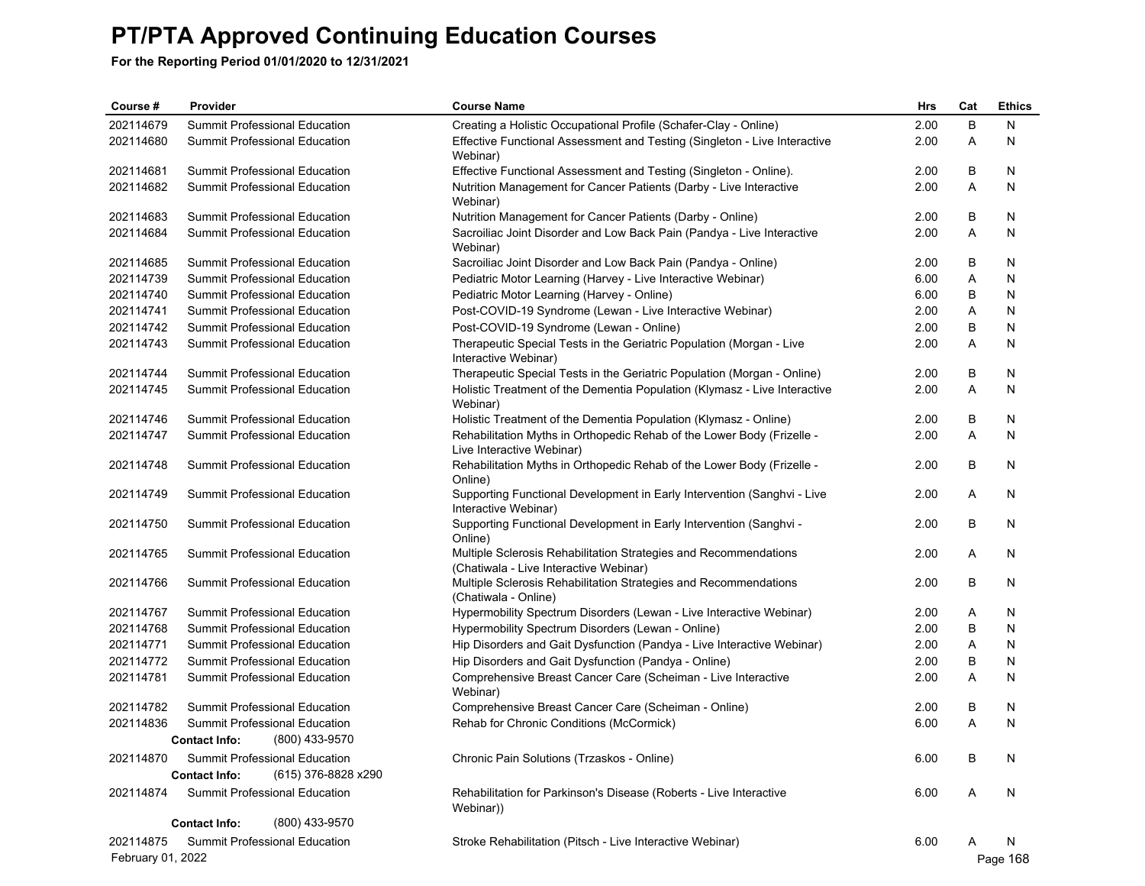| Course #          | Provider                                              |                     | <b>Course Name</b>                                                                                         | Hrs  | Cat | <b>Ethics</b> |
|-------------------|-------------------------------------------------------|---------------------|------------------------------------------------------------------------------------------------------------|------|-----|---------------|
| 202114679         | Summit Professional Education                         |                     | Creating a Holistic Occupational Profile (Schafer-Clay - Online)                                           | 2.00 | B   | N             |
| 202114680         | <b>Summit Professional Education</b>                  |                     | Effective Functional Assessment and Testing (Singleton - Live Interactive<br>Webinar)                      | 2.00 | Α   | N             |
| 202114681         | Summit Professional Education                         |                     | Effective Functional Assessment and Testing (Singleton - Online).                                          | 2.00 | B   | N             |
| 202114682         | Summit Professional Education                         |                     | Nutrition Management for Cancer Patients (Darby - Live Interactive<br>Webinar)                             | 2.00 | A   | N             |
| 202114683         | Summit Professional Education                         |                     | Nutrition Management for Cancer Patients (Darby - Online)                                                  | 2.00 | B   | N             |
| 202114684         | Summit Professional Education                         |                     | Sacroiliac Joint Disorder and Low Back Pain (Pandya - Live Interactive<br>Webinar)                         | 2.00 | A   | N             |
| 202114685         | Summit Professional Education                         |                     | Sacroiliac Joint Disorder and Low Back Pain (Pandya - Online)                                              | 2.00 | B   | N             |
| 202114739         | Summit Professional Education                         |                     | Pediatric Motor Learning (Harvey - Live Interactive Webinar)                                               | 6.00 | Α   | N             |
| 202114740         | Summit Professional Education                         |                     | Pediatric Motor Learning (Harvey - Online)                                                                 | 6.00 | B   | N             |
| 202114741         | Summit Professional Education                         |                     | Post-COVID-19 Syndrome (Lewan - Live Interactive Webinar)                                                  | 2.00 | Α   | N             |
| 202114742         | Summit Professional Education                         |                     | Post-COVID-19 Syndrome (Lewan - Online)                                                                    | 2.00 | B   | N             |
| 202114743         | Summit Professional Education                         |                     | Therapeutic Special Tests in the Geriatric Population (Morgan - Live<br>Interactive Webinar)               | 2.00 | Α   | N             |
| 202114744         | Summit Professional Education                         |                     | Therapeutic Special Tests in the Geriatric Population (Morgan - Online)                                    | 2.00 | B   | N             |
| 202114745         | <b>Summit Professional Education</b>                  |                     | Holistic Treatment of the Dementia Population (Klymasz - Live Interactive<br>Webinar)                      | 2.00 | Α   | N             |
| 202114746         | Summit Professional Education                         |                     | Holistic Treatment of the Dementia Population (Klymasz - Online)                                           | 2.00 | B   | N             |
| 202114747         | <b>Summit Professional Education</b>                  |                     | Rehabilitation Myths in Orthopedic Rehab of the Lower Body (Frizelle -<br>Live Interactive Webinar)        | 2.00 | A   | N             |
| 202114748         | Summit Professional Education                         |                     | Rehabilitation Myths in Orthopedic Rehab of the Lower Body (Frizelle -<br>Online)                          | 2.00 | B   | N             |
| 202114749         | Summit Professional Education                         |                     | Supporting Functional Development in Early Intervention (Sanghvi - Live<br>Interactive Webinar)            | 2.00 | Α   | N             |
| 202114750         | Summit Professional Education                         |                     | Supporting Functional Development in Early Intervention (Sanghvi -<br>Online)                              | 2.00 | B   | N             |
| 202114765         | Summit Professional Education                         |                     | Multiple Sclerosis Rehabilitation Strategies and Recommendations<br>(Chatiwala - Live Interactive Webinar) | 2.00 | Α   | N             |
| 202114766         | Summit Professional Education                         |                     | Multiple Sclerosis Rehabilitation Strategies and Recommendations<br>(Chatiwala - Online)                   | 2.00 | B   | N             |
| 202114767         | Summit Professional Education                         |                     | Hypermobility Spectrum Disorders (Lewan - Live Interactive Webinar)                                        | 2.00 | Α   | N             |
| 202114768         | Summit Professional Education                         |                     | Hypermobility Spectrum Disorders (Lewan - Online)                                                          | 2.00 | B   | N             |
| 202114771         | Summit Professional Education                         |                     | Hip Disorders and Gait Dysfunction (Pandya - Live Interactive Webinar)                                     | 2.00 | Α   | N             |
| 202114772         | Summit Professional Education                         |                     | Hip Disorders and Gait Dysfunction (Pandya - Online)                                                       | 2.00 | B   | N             |
| 202114781         | Summit Professional Education                         |                     | Comprehensive Breast Cancer Care (Scheiman - Live Interactive<br>Webinar)                                  | 2.00 | A   | N             |
| 202114782         | Summit Professional Education                         |                     | Comprehensive Breast Cancer Care (Scheiman - Online)                                                       | 2.00 | B   | N             |
| 202114836         | Summit Professional Education                         |                     | Rehab for Chronic Conditions (McCormick)                                                                   | 6.00 | A   | N             |
|                   | <b>Contact Info:</b>                                  | (800) 433-9570      |                                                                                                            |      |     |               |
| 202114870         | Summit Professional Education<br><b>Contact Info:</b> | (615) 376-8828 x290 | Chronic Pain Solutions (Trzaskos - Online)                                                                 | 6.00 | B   | N             |
| 202114874         | Summit Professional Education                         |                     | Rehabilitation for Parkinson's Disease (Roberts - Live Interactive<br>Webinar))                            | 6.00 | Α   | N             |
|                   | <b>Contact Info:</b>                                  | (800) 433-9570      |                                                                                                            |      |     |               |
| 202114875         | Summit Professional Education                         |                     | Stroke Rehabilitation (Pitsch - Live Interactive Webinar)                                                  | 6.00 | A   | N             |
| February 01, 2022 |                                                       |                     |                                                                                                            |      |     | Page 168      |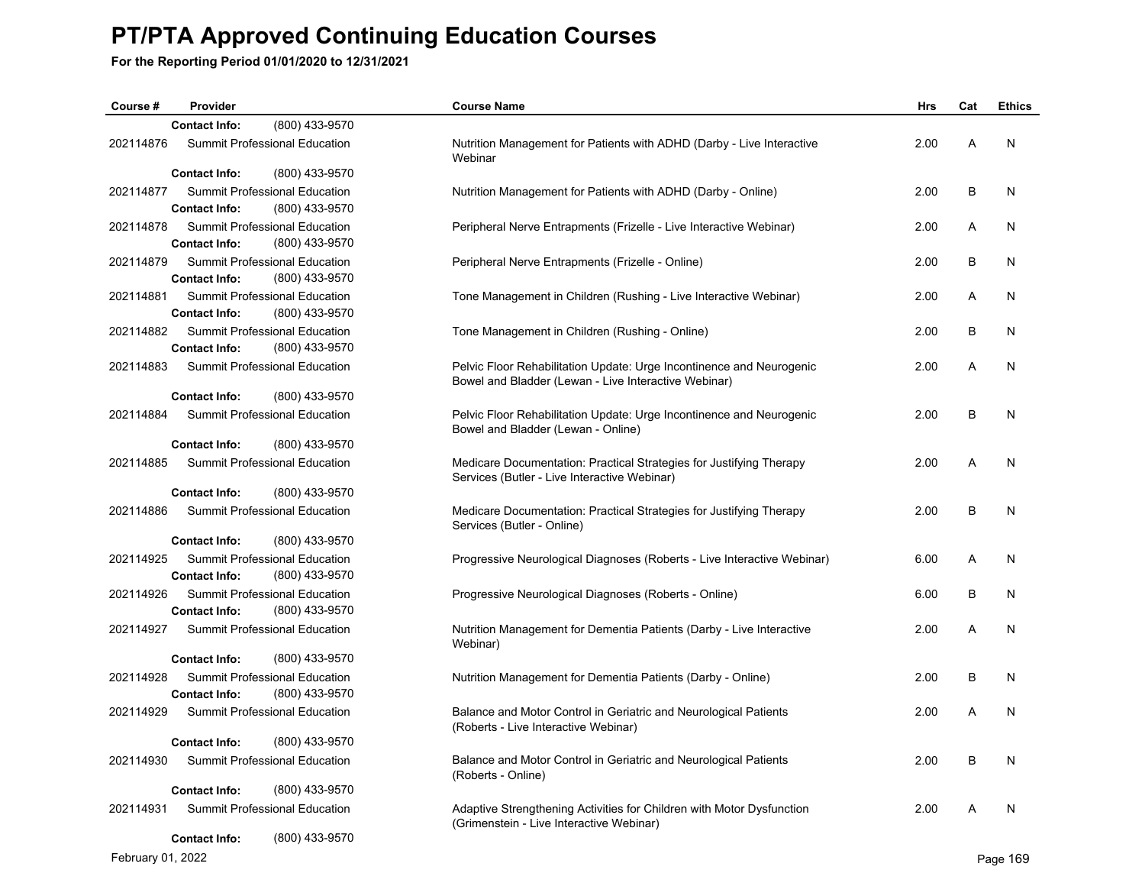**For the Reporting Period 01/01/2020 to 12/31/2021**

| Course #  | Provider             |                                                 | <b>Course Name</b>                                                                                                           | <b>Hrs</b> | Cat | <b>Ethics</b> |
|-----------|----------------------|-------------------------------------------------|------------------------------------------------------------------------------------------------------------------------------|------------|-----|---------------|
|           | <b>Contact Info:</b> | (800) 433-9570                                  |                                                                                                                              |            |     |               |
| 202114876 |                      | Summit Professional Education                   | Nutrition Management for Patients with ADHD (Darby - Live Interactive<br>Webinar                                             | 2.00       | A   | N             |
|           | <b>Contact Info:</b> | (800) 433-9570                                  |                                                                                                                              |            |     |               |
| 202114877 | <b>Contact Info:</b> | Summit Professional Education<br>(800) 433-9570 | Nutrition Management for Patients with ADHD (Darby - Online)                                                                 | 2.00       | B   | N             |
| 202114878 | <b>Contact Info:</b> | Summit Professional Education<br>(800) 433-9570 | Peripheral Nerve Entrapments (Frizelle - Live Interactive Webinar)                                                           | 2.00       | A   | N             |
| 202114879 | <b>Contact Info:</b> | Summit Professional Education<br>(800) 433-9570 | Peripheral Nerve Entrapments (Frizelle - Online)                                                                             | 2.00       | B   | N             |
| 202114881 | <b>Contact Info:</b> | Summit Professional Education<br>(800) 433-9570 | Tone Management in Children (Rushing - Live Interactive Webinar)                                                             | 2.00       | A   | N             |
| 202114882 |                      | Summit Professional Education                   | Tone Management in Children (Rushing - Online)                                                                               | 2.00       | B   | N             |
|           | <b>Contact Info:</b> | (800) 433-9570                                  |                                                                                                                              |            |     |               |
| 202114883 |                      | Summit Professional Education                   | Pelvic Floor Rehabilitation Update: Urge Incontinence and Neurogenic<br>Bowel and Bladder (Lewan - Live Interactive Webinar) | 2.00       | A   | N             |
|           | <b>Contact Info:</b> | (800) 433-9570                                  |                                                                                                                              |            |     |               |
| 202114884 |                      | Summit Professional Education                   | Pelvic Floor Rehabilitation Update: Urge Incontinence and Neurogenic<br>Bowel and Bladder (Lewan - Online)                   | 2.00       | B   | N             |
|           | <b>Contact Info:</b> | (800) 433-9570                                  |                                                                                                                              |            |     |               |
| 202114885 |                      | Summit Professional Education                   | Medicare Documentation: Practical Strategies for Justifying Therapy<br>Services (Butler - Live Interactive Webinar)          | 2.00       | A   | N             |
|           | <b>Contact Info:</b> | (800) 433-9570                                  |                                                                                                                              |            |     |               |
| 202114886 |                      | Summit Professional Education                   | Medicare Documentation: Practical Strategies for Justifying Therapy<br>Services (Butler - Online)                            | 2.00       | B   | N             |
|           | <b>Contact Info:</b> | (800) 433-9570                                  |                                                                                                                              |            |     |               |
| 202114925 | <b>Contact Info:</b> | Summit Professional Education<br>(800) 433-9570 | Progressive Neurological Diagnoses (Roberts - Live Interactive Webinar)                                                      | 6.00       | Α   | N             |
| 202114926 | <b>Contact Info:</b> | Summit Professional Education<br>(800) 433-9570 | Progressive Neurological Diagnoses (Roberts - Online)                                                                        | 6.00       | B   | N             |
| 202114927 |                      | Summit Professional Education                   | Nutrition Management for Dementia Patients (Darby - Live Interactive<br>Webinar)                                             | 2.00       | A   | N             |
|           | <b>Contact Info:</b> | (800) 433-9570                                  |                                                                                                                              |            |     |               |
| 202114928 | <b>Contact Info:</b> | Summit Professional Education<br>(800) 433-9570 | Nutrition Management for Dementia Patients (Darby - Online)                                                                  | 2.00       | B   | N             |
| 202114929 |                      | Summit Professional Education                   | Balance and Motor Control in Geriatric and Neurological Patients<br>(Roberts - Live Interactive Webinar)                     | 2.00       | A   | N             |
|           | <b>Contact Info:</b> | (800) 433-9570                                  |                                                                                                                              |            |     |               |
| 202114930 |                      | Summit Professional Education                   | Balance and Motor Control in Geriatric and Neurological Patients<br>(Roberts - Online)                                       | 2.00       | B   | N             |
|           | <b>Contact Info:</b> | (800) 433-9570                                  |                                                                                                                              |            |     |               |
| 202114931 |                      | Summit Professional Education                   | Adaptive Strengthening Activities for Children with Motor Dysfunction<br>(Grimenstein - Live Interactive Webinar)            | 2.00       | Α   | N             |
|           | <b>Contact Info:</b> | (800) 433-9570                                  |                                                                                                                              |            |     |               |

February 01, 2022 Page 169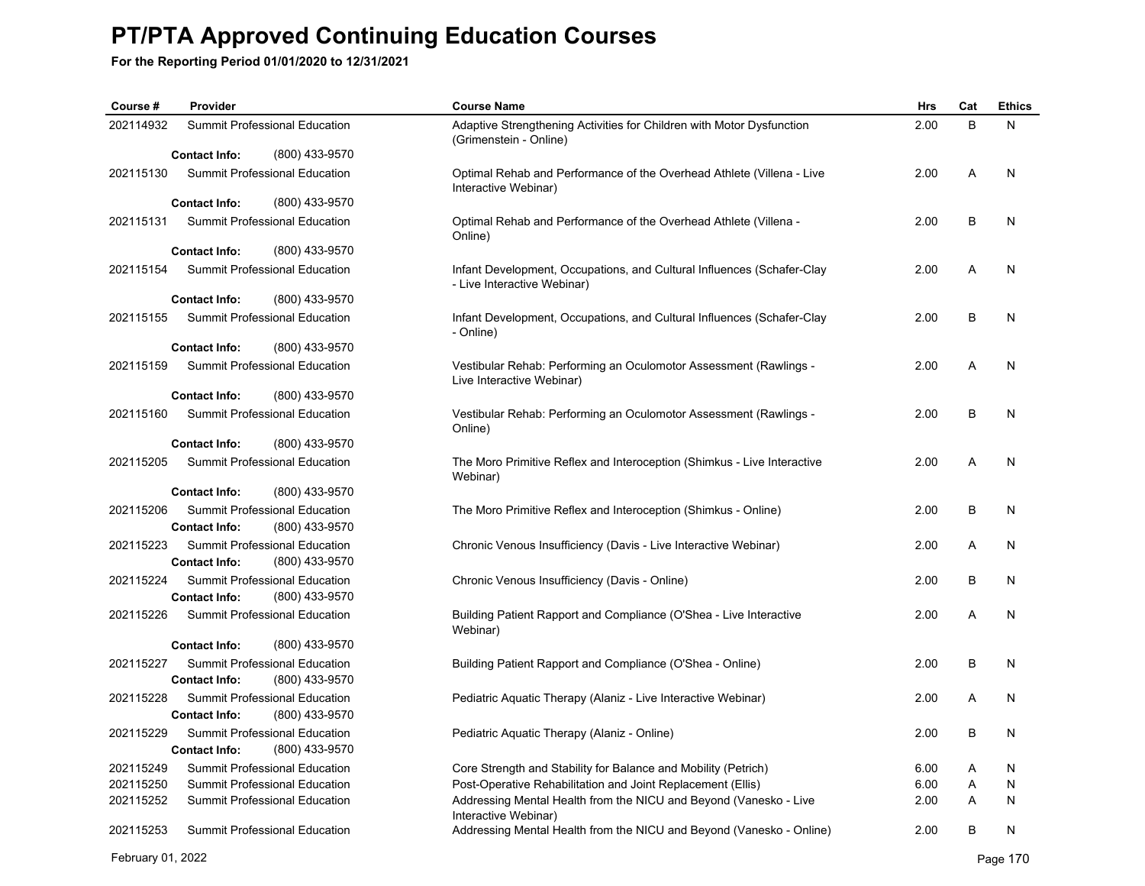**For the Reporting Period 01/01/2020 to 12/31/2021**

| Course #  | Provider                                                                | <b>Course Name</b>                                                                                    | Hrs  | Cat | <b>Ethics</b> |
|-----------|-------------------------------------------------------------------------|-------------------------------------------------------------------------------------------------------|------|-----|---------------|
| 202114932 | Summit Professional Education                                           | Adaptive Strengthening Activities for Children with Motor Dysfunction<br>(Grimenstein - Online)       | 2.00 | B   | N             |
|           | <b>Contact Info:</b><br>(800) 433-9570                                  |                                                                                                       |      |     |               |
| 202115130 | Summit Professional Education                                           | Optimal Rehab and Performance of the Overhead Athlete (Villena - Live<br>Interactive Webinar)         | 2.00 | A   | N             |
|           | <b>Contact Info:</b><br>(800) 433-9570                                  |                                                                                                       |      |     |               |
| 202115131 | Summit Professional Education                                           | Optimal Rehab and Performance of the Overhead Athlete (Villena -<br>Online)                           | 2.00 | B   | N             |
|           | (800) 433-9570<br><b>Contact Info:</b>                                  |                                                                                                       |      |     |               |
| 202115154 | Summit Professional Education                                           | Infant Development, Occupations, and Cultural Influences (Schafer-Clay<br>- Live Interactive Webinar) | 2.00 | A   | N             |
|           | <b>Contact Info:</b><br>(800) 433-9570                                  |                                                                                                       |      |     |               |
| 202115155 | Summit Professional Education                                           | Infant Development, Occupations, and Cultural Influences (Schafer-Clay<br>- Online)                   | 2.00 | В   | N             |
|           | (800) 433-9570<br><b>Contact Info:</b>                                  |                                                                                                       |      |     |               |
| 202115159 | Summit Professional Education                                           | Vestibular Rehab: Performing an Oculomotor Assessment (Rawlings -<br>Live Interactive Webinar)        | 2.00 | A   | N             |
|           | (800) 433-9570<br><b>Contact Info:</b>                                  |                                                                                                       |      |     |               |
| 202115160 | <b>Summit Professional Education</b>                                    | Vestibular Rehab: Performing an Oculomotor Assessment (Rawlings -<br>Online)                          | 2.00 | В   | N             |
|           | <b>Contact Info:</b><br>(800) 433-9570                                  |                                                                                                       |      |     |               |
| 202115205 | Summit Professional Education                                           | The Moro Primitive Reflex and Interoception (Shimkus - Live Interactive<br>Webinar)                   | 2.00 | Α   | N             |
|           | (800) 433-9570<br><b>Contact Info:</b>                                  |                                                                                                       |      |     |               |
| 202115206 | Summit Professional Education<br><b>Contact Info:</b><br>(800) 433-9570 | The Moro Primitive Reflex and Interoception (Shimkus - Online)                                        | 2.00 | B   | N             |
| 202115223 | Summit Professional Education                                           | Chronic Venous Insufficiency (Davis - Live Interactive Webinar)                                       | 2.00 | A   | N             |
|           | <b>Contact Info:</b><br>(800) 433-9570                                  |                                                                                                       |      |     |               |
| 202115224 | Summit Professional Education                                           | Chronic Venous Insufficiency (Davis - Online)                                                         | 2.00 | B   | N             |
|           | <b>Contact Info:</b><br>(800) 433-9570                                  |                                                                                                       |      |     |               |
| 202115226 | <b>Summit Professional Education</b>                                    | Building Patient Rapport and Compliance (O'Shea - Live Interactive<br>Webinar)                        | 2.00 | A   | N             |
|           | (800) 433-9570<br><b>Contact Info:</b>                                  |                                                                                                       |      |     |               |
| 202115227 | Summit Professional Education<br><b>Contact Info:</b><br>(800) 433-9570 | Building Patient Rapport and Compliance (O'Shea - Online)                                             | 2.00 | B   | N             |
| 202115228 | Summit Professional Education                                           | Pediatric Aquatic Therapy (Alaniz - Live Interactive Webinar)                                         | 2.00 | Α   | N             |
|           | (800) 433-9570<br><b>Contact Info:</b>                                  |                                                                                                       |      |     |               |
| 202115229 | Summit Professional Education                                           | Pediatric Aquatic Therapy (Alaniz - Online)                                                           | 2.00 | B   | N             |
|           | (800) 433-9570<br><b>Contact Info:</b>                                  |                                                                                                       |      |     |               |
| 202115249 | Summit Professional Education                                           | Core Strength and Stability for Balance and Mobility (Petrich)                                        | 6.00 | Α   | N             |
| 202115250 | Summit Professional Education                                           | Post-Operative Rehabilitation and Joint Replacement (Ellis)                                           | 6.00 | Α   | N             |
| 202115252 | Summit Professional Education                                           | Addressing Mental Health from the NICU and Beyond (Vanesko - Live<br>Interactive Webinar)             | 2.00 | Α   | N             |
| 202115253 | Summit Professional Education                                           | Addressing Mental Health from the NICU and Beyond (Vanesko - Online)                                  | 2.00 | B   | N             |

February 01, 2022 Page 170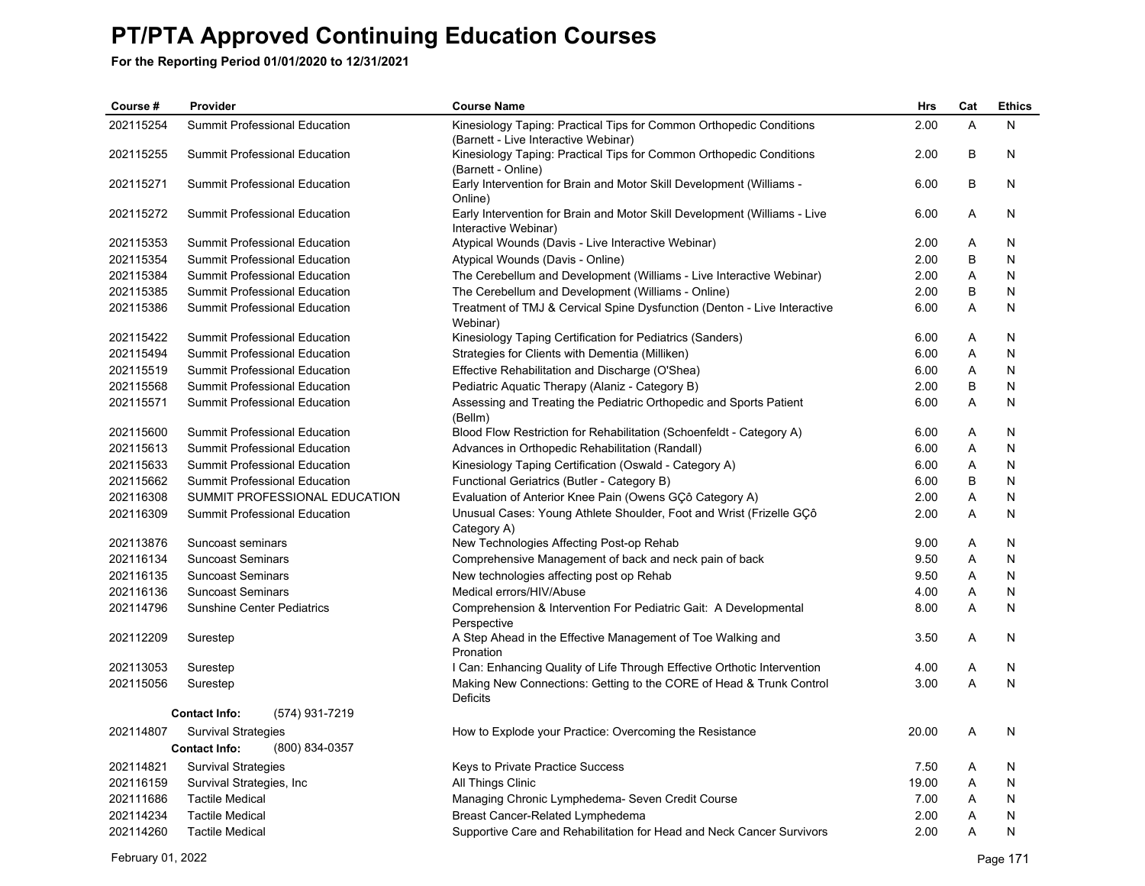| Course#   | Provider                               | <b>Course Name</b>                                                                                          | Hrs   | Cat | <b>Ethics</b> |
|-----------|----------------------------------------|-------------------------------------------------------------------------------------------------------------|-------|-----|---------------|
| 202115254 | Summit Professional Education          | Kinesiology Taping: Practical Tips for Common Orthopedic Conditions<br>(Barnett - Live Interactive Webinar) | 2.00  | A   | N             |
| 202115255 | Summit Professional Education          | Kinesiology Taping: Practical Tips for Common Orthopedic Conditions<br>(Barnett - Online)                   | 2.00  | B   | N             |
| 202115271 | Summit Professional Education          | Early Intervention for Brain and Motor Skill Development (Williams -<br>Online)                             | 6.00  | B   | N             |
| 202115272 | Summit Professional Education          | Early Intervention for Brain and Motor Skill Development (Williams - Live<br>Interactive Webinar)           | 6.00  | A   | N             |
| 202115353 | Summit Professional Education          | Atypical Wounds (Davis - Live Interactive Webinar)                                                          | 2.00  | Α   | N             |
| 202115354 | Summit Professional Education          | Atypical Wounds (Davis - Online)                                                                            | 2.00  | B   | N             |
| 202115384 | Summit Professional Education          | The Cerebellum and Development (Williams - Live Interactive Webinar)                                        | 2.00  | A   | N             |
| 202115385 | <b>Summit Professional Education</b>   | The Cerebellum and Development (Williams - Online)                                                          | 2.00  | B   | N             |
| 202115386 | Summit Professional Education          | Treatment of TMJ & Cervical Spine Dysfunction (Denton - Live Interactive<br>Webinar)                        | 6.00  | A   | N             |
| 202115422 | Summit Professional Education          | Kinesiology Taping Certification for Pediatrics (Sanders)                                                   | 6.00  | Α   | N             |
| 202115494 | Summit Professional Education          | Strategies for Clients with Dementia (Milliken)                                                             | 6.00  | A   | N             |
| 202115519 | <b>Summit Professional Education</b>   | Effective Rehabilitation and Discharge (O'Shea)                                                             | 6.00  | Α   | N             |
| 202115568 | Summit Professional Education          | Pediatric Aquatic Therapy (Alaniz - Category B)                                                             | 2.00  | B   | N             |
| 202115571 | Summit Professional Education          | Assessing and Treating the Pediatric Orthopedic and Sports Patient<br>(Bellm)                               | 6.00  | A   | N             |
| 202115600 | Summit Professional Education          | Blood Flow Restriction for Rehabilitation (Schoenfeldt - Category A)                                        | 6.00  | A   | N             |
| 202115613 | <b>Summit Professional Education</b>   | Advances in Orthopedic Rehabilitation (Randall)                                                             | 6.00  | Α   | N             |
| 202115633 | Summit Professional Education          | Kinesiology Taping Certification (Oswald - Category A)                                                      | 6.00  | A   | N             |
| 202115662 | Summit Professional Education          | Functional Geriatrics (Butler - Category B)                                                                 | 6.00  | B   | Ν             |
| 202116308 | SUMMIT PROFESSIONAL EDUCATION          | Evaluation of Anterior Knee Pain (Owens GÇô Category A)                                                     | 2.00  | Α   | N             |
| 202116309 | Summit Professional Education          | Unusual Cases: Young Athlete Shoulder, Foot and Wrist (Frizelle GÇô<br>Category A)                          | 2.00  | Α   | N             |
| 202113876 | Suncoast seminars                      | New Technologies Affecting Post-op Rehab                                                                    | 9.00  | Α   | N             |
| 202116134 | <b>Suncoast Seminars</b>               | Comprehensive Management of back and neck pain of back                                                      | 9.50  | Α   | N             |
| 202116135 | <b>Suncoast Seminars</b>               | New technologies affecting post op Rehab                                                                    | 9.50  | Α   | N             |
| 202116136 | <b>Suncoast Seminars</b>               | Medical errors/HIV/Abuse                                                                                    | 4.00  | Α   | N             |
| 202114796 | <b>Sunshine Center Pediatrics</b>      | Comprehension & Intervention For Pediatric Gait: A Developmental<br>Perspective                             | 8.00  | A   | N             |
| 202112209 | Surestep                               | A Step Ahead in the Effective Management of Toe Walking and<br>Pronation                                    | 3.50  | A   | N             |
| 202113053 | Surestep                               | I Can: Enhancing Quality of Life Through Effective Orthotic Intervention                                    | 4.00  | A   | N             |
| 202115056 | Surestep                               | Making New Connections: Getting to the CORE of Head & Trunk Control<br>Deficits                             | 3.00  | A   | Ν             |
|           | (574) 931-7219<br><b>Contact Info:</b> |                                                                                                             |       |     |               |
| 202114807 | <b>Survival Strategies</b>             | How to Explode your Practice: Overcoming the Resistance                                                     | 20.00 | A   | N             |
|           | <b>Contact Info:</b><br>(800) 834-0357 |                                                                                                             |       |     |               |
| 202114821 | <b>Survival Strategies</b>             | Keys to Private Practice Success                                                                            | 7.50  | A   | N             |
| 202116159 | Survival Strategies, Inc.              | All Things Clinic                                                                                           | 19.00 | Α   | N             |
| 202111686 | <b>Tactile Medical</b>                 | Managing Chronic Lymphedema- Seven Credit Course                                                            | 7.00  | A   | N             |
| 202114234 | <b>Tactile Medical</b>                 | Breast Cancer-Related Lymphedema                                                                            | 2.00  | A   | Ν             |
| 202114260 | <b>Tactile Medical</b>                 | Supportive Care and Rehabilitation for Head and Neck Cancer Survivors                                       | 2.00  | A   | N             |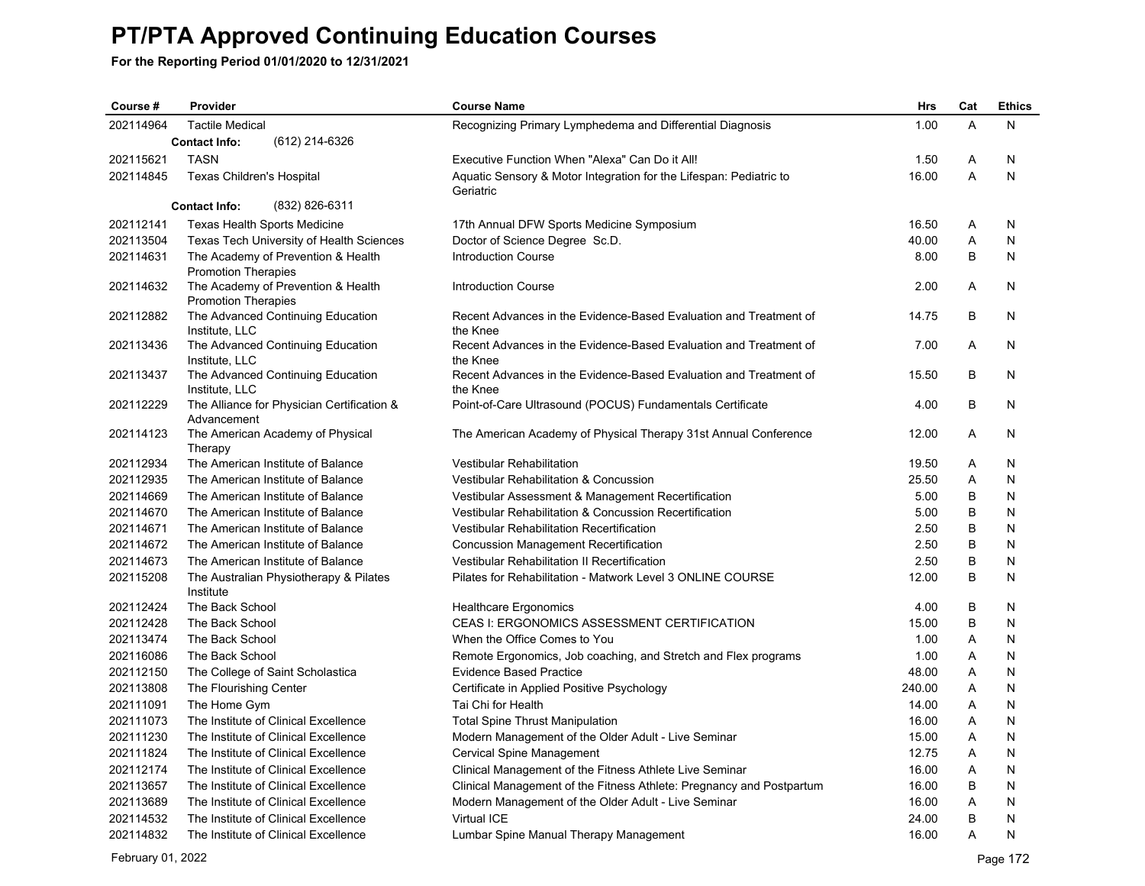**For the Reporting Period 01/01/2020 to 12/31/2021**

| Course #  | Provider                         |                                            | <b>Course Name</b>                                                              | <b>Hrs</b> | Cat | <b>Ethics</b> |
|-----------|----------------------------------|--------------------------------------------|---------------------------------------------------------------------------------|------------|-----|---------------|
| 202114964 | <b>Tactile Medical</b>           |                                            | Recognizing Primary Lymphedema and Differential Diagnosis                       | 1.00       | A   | N             |
|           | <b>Contact Info:</b>             | (612) 214-6326                             |                                                                                 |            |     |               |
| 202115621 | <b>TASN</b>                      |                                            | Executive Function When "Alexa" Can Do it All!                                  | 1.50       | Α   | N             |
| 202114845 | <b>Texas Children's Hospital</b> |                                            | Aquatic Sensory & Motor Integration for the Lifespan: Pediatric to<br>Geriatric | 16.00      | A   | N             |
|           | <b>Contact Info:</b>             | (832) 826-6311                             |                                                                                 |            |     |               |
| 202112141 |                                  | <b>Texas Health Sports Medicine</b>        | 17th Annual DFW Sports Medicine Symposium                                       | 16.50      | A   | N             |
| 202113504 |                                  | Texas Tech University of Health Sciences   | Doctor of Science Degree Sc.D.                                                  | 40.00      | Α   | N             |
| 202114631 | <b>Promotion Therapies</b>       | The Academy of Prevention & Health         | <b>Introduction Course</b>                                                      | 8.00       | B   | N             |
| 202114632 | <b>Promotion Therapies</b>       | The Academy of Prevention & Health         | <b>Introduction Course</b>                                                      | 2.00       | A   | N             |
| 202112882 | Institute, LLC                   | The Advanced Continuing Education          | Recent Advances in the Evidence-Based Evaluation and Treatment of<br>the Knee   | 14.75      | B   | N             |
| 202113436 | Institute, LLC                   | The Advanced Continuing Education          | Recent Advances in the Evidence-Based Evaluation and Treatment of<br>the Knee   | 7.00       | A   | N             |
| 202113437 | Institute, LLC                   | The Advanced Continuing Education          | Recent Advances in the Evidence-Based Evaluation and Treatment of<br>the Knee   | 15.50      | B   | N             |
| 202112229 | Advancement                      | The Alliance for Physician Certification & | Point-of-Care Ultrasound (POCUS) Fundamentals Certificate                       | 4.00       | В   | N             |
| 202114123 | Therapy                          | The American Academy of Physical           | The American Academy of Physical Therapy 31st Annual Conference                 | 12.00      | Α   | N             |
| 202112934 |                                  | The American Institute of Balance          | Vestibular Rehabilitation                                                       | 19.50      | Α   | N             |
| 202112935 |                                  | The American Institute of Balance          | Vestibular Rehabilitation & Concussion                                          | 25.50      | A   | N             |
| 202114669 |                                  | The American Institute of Balance          | Vestibular Assessment & Management Recertification                              | 5.00       | B   | N             |
| 202114670 |                                  | The American Institute of Balance          | Vestibular Rehabilitation & Concussion Recertification                          | 5.00       | B   | N             |
| 202114671 |                                  | The American Institute of Balance          | Vestibular Rehabilitation Recertification                                       | 2.50       | B   | N             |
| 202114672 |                                  | The American Institute of Balance          | <b>Concussion Management Recertification</b>                                    | 2.50       | B   | N             |
| 202114673 |                                  | The American Institute of Balance          | Vestibular Rehabilitation II Recertification                                    | 2.50       | B   | N             |
| 202115208 | Institute                        | The Australian Physiotherapy & Pilates     | Pilates for Rehabilitation - Matwork Level 3 ONLINE COURSE                      | 12.00      | B   | N             |
| 202112424 | The Back School                  |                                            | <b>Healthcare Ergonomics</b>                                                    | 4.00       | B   | N             |
| 202112428 | The Back School                  |                                            | CEAS I: ERGONOMICS ASSESSMENT CERTIFICATION                                     | 15.00      | B   | N             |
| 202113474 | The Back School                  |                                            | When the Office Comes to You                                                    | 1.00       | A   | N             |
| 202116086 | The Back School                  |                                            | Remote Ergonomics, Job coaching, and Stretch and Flex programs                  | 1.00       | Α   | N             |
| 202112150 |                                  | The College of Saint Scholastica           | <b>Evidence Based Practice</b>                                                  | 48.00      | Α   | N             |
| 202113808 | The Flourishing Center           |                                            | Certificate in Applied Positive Psychology                                      | 240.00     | Α   | N             |
| 202111091 | The Home Gym                     |                                            | Tai Chi for Health                                                              | 14.00      | A   | N             |
| 202111073 |                                  | The Institute of Clinical Excellence       | <b>Total Spine Thrust Manipulation</b>                                          | 16.00      | A   | N             |
| 202111230 |                                  | The Institute of Clinical Excellence       | Modern Management of the Older Adult - Live Seminar                             | 15.00      | Α   | N             |
| 202111824 |                                  | The Institute of Clinical Excellence       | Cervical Spine Management                                                       | 12.75      | A   | N             |
| 202112174 |                                  | The Institute of Clinical Excellence       | Clinical Management of the Fitness Athlete Live Seminar                         | 16.00      | Α   | N             |
| 202113657 |                                  | The Institute of Clinical Excellence       | Clinical Management of the Fitness Athlete: Pregnancy and Postpartum            | 16.00      | B   | N             |
| 202113689 |                                  | The Institute of Clinical Excellence       | Modern Management of the Older Adult - Live Seminar                             | 16.00      | Α   | N             |
| 202114532 |                                  | The Institute of Clinical Excellence       | Virtual ICE                                                                     | 24.00      | B   | N             |
| 202114832 |                                  | The Institute of Clinical Excellence       | Lumbar Spine Manual Therapy Management                                          | 16.00      | A   | N             |

February 01, 2022 Page 172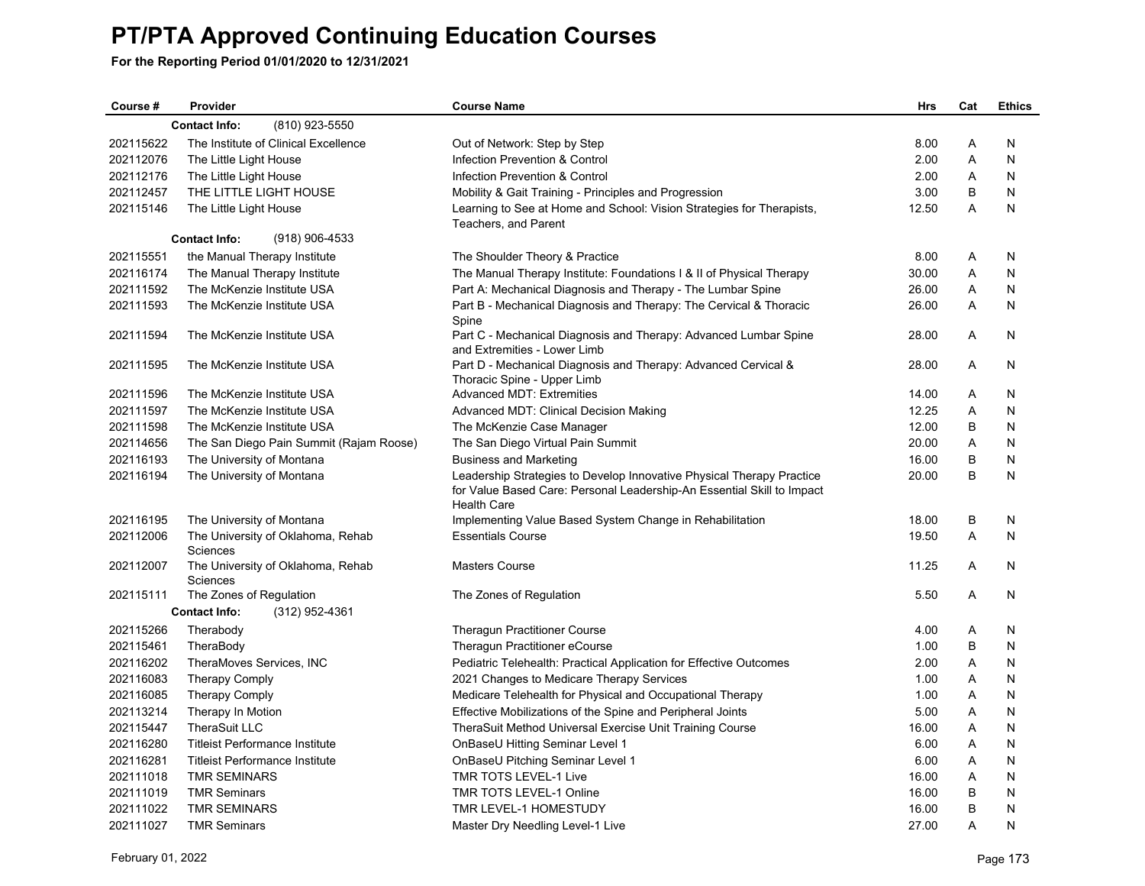| Course #  | Provider                                      | <b>Course Name</b>                                                                               | <b>Hrs</b> | Cat | <b>Ethics</b> |
|-----------|-----------------------------------------------|--------------------------------------------------------------------------------------------------|------------|-----|---------------|
|           | (810) 923-5550<br><b>Contact Info:</b>        |                                                                                                  |            |     |               |
| 202115622 | The Institute of Clinical Excellence          | Out of Network: Step by Step                                                                     | 8.00       | A   | N             |
| 202112076 | The Little Light House                        | Infection Prevention & Control                                                                   | 2.00       | A   | N             |
| 202112176 | The Little Light House                        | Infection Prevention & Control                                                                   | 2.00       | Α   | N             |
| 202112457 | THE LITTLE LIGHT HOUSE                        | Mobility & Gait Training - Principles and Progression                                            | 3.00       | B   | N             |
| 202115146 | The Little Light House                        | Learning to See at Home and School: Vision Strategies for Therapists,                            | 12.50      | A   | N             |
|           |                                               | Teachers, and Parent                                                                             |            |     |               |
|           | <b>Contact Info:</b><br>(918) 906-4533        |                                                                                                  |            |     |               |
| 202115551 | the Manual Therapy Institute                  | The Shoulder Theory & Practice                                                                   | 8.00       | Α   | N             |
| 202116174 | The Manual Therapy Institute                  | The Manual Therapy Institute: Foundations I & II of Physical Therapy                             | 30.00      | A   | N             |
| 202111592 | The McKenzie Institute USA                    | Part A: Mechanical Diagnosis and Therapy - The Lumbar Spine                                      | 26.00      | Α   | N             |
| 202111593 | The McKenzie Institute USA                    | Part B - Mechanical Diagnosis and Therapy: The Cervical & Thoracic<br>Spine                      | 26.00      | Α   | N             |
| 202111594 | The McKenzie Institute USA                    | Part C - Mechanical Diagnosis and Therapy: Advanced Lumbar Spine<br>and Extremities - Lower Limb | 28.00      | A   | N             |
| 202111595 | The McKenzie Institute USA                    | Part D - Mechanical Diagnosis and Therapy: Advanced Cervical &<br>Thoracic Spine - Upper Limb    | 28.00      | A   | N             |
| 202111596 | The McKenzie Institute USA                    | <b>Advanced MDT: Extremities</b>                                                                 | 14.00      | Α   | N             |
| 202111597 | The McKenzie Institute USA                    | Advanced MDT: Clinical Decision Making                                                           | 12.25      | Α   | N             |
| 202111598 | The McKenzie Institute USA                    | The McKenzie Case Manager                                                                        | 12.00      | B   | N             |
| 202114656 | The San Diego Pain Summit (Rajam Roose)       | The San Diego Virtual Pain Summit                                                                | 20.00      | Α   | N             |
| 202116193 | The University of Montana                     | <b>Business and Marketing</b>                                                                    | 16.00      | B   | N             |
| 202116194 | The University of Montana                     | Leadership Strategies to Develop Innovative Physical Therapy Practice                            | 20.00      | B   | N             |
|           |                                               | for Value Based Care: Personal Leadership-An Essential Skill to Impact<br><b>Health Care</b>     |            |     |               |
| 202116195 | The University of Montana                     | Implementing Value Based System Change in Rehabilitation                                         | 18.00      | B   | N             |
| 202112006 | The University of Oklahoma, Rehab<br>Sciences | <b>Essentials Course</b>                                                                         | 19.50      | A   | N             |
| 202112007 | The University of Oklahoma, Rehab<br>Sciences | <b>Masters Course</b>                                                                            | 11.25      | A   | N             |
| 202115111 | The Zones of Regulation                       | The Zones of Regulation                                                                          | 5.50       | A   | N             |
|           | <b>Contact Info:</b><br>(312) 952-4361        |                                                                                                  |            |     |               |
| 202115266 | Therabody                                     | <b>Theragun Practitioner Course</b>                                                              | 4.00       | Α   | N             |
| 202115461 | TheraBody                                     | Theragun Practitioner eCourse                                                                    | 1.00       | B   | N             |
| 202116202 | TheraMoves Services, INC                      | Pediatric Telehealth: Practical Application for Effective Outcomes                               | 2.00       | Α   | N             |
| 202116083 | <b>Therapy Comply</b>                         | 2021 Changes to Medicare Therapy Services                                                        | 1.00       | Α   | N             |
| 202116085 | <b>Therapy Comply</b>                         | Medicare Telehealth for Physical and Occupational Therapy                                        | 1.00       | Α   | N             |
| 202113214 | Therapy In Motion                             | Effective Mobilizations of the Spine and Peripheral Joints                                       | 5.00       | Α   | N             |
| 202115447 | TheraSuit LLC                                 | TheraSuit Method Universal Exercise Unit Training Course                                         | 16.00      | Α   | N             |
| 202116280 | <b>Titleist Performance Institute</b>         | OnBaseU Hitting Seminar Level 1                                                                  | 6.00       | Α   | N             |
| 202116281 | Titleist Performance Institute                | OnBaseU Pitching Seminar Level 1                                                                 | 6.00       | A   | N             |
| 202111018 | <b>TMR SEMINARS</b>                           | TMR TOTS LEVEL-1 Live                                                                            | 16.00      | Α   | N             |
| 202111019 | <b>TMR Seminars</b>                           | <b>TMR TOTS LEVEL-1 Online</b>                                                                   | 16.00      | B   | N             |
| 202111022 | <b>TMR SEMINARS</b>                           | TMR LEVEL-1 HOMESTUDY                                                                            | 16.00      | B   | N             |
| 202111027 | <b>TMR Seminars</b>                           | Master Dry Needling Level-1 Live                                                                 | 27.00      | A   | N             |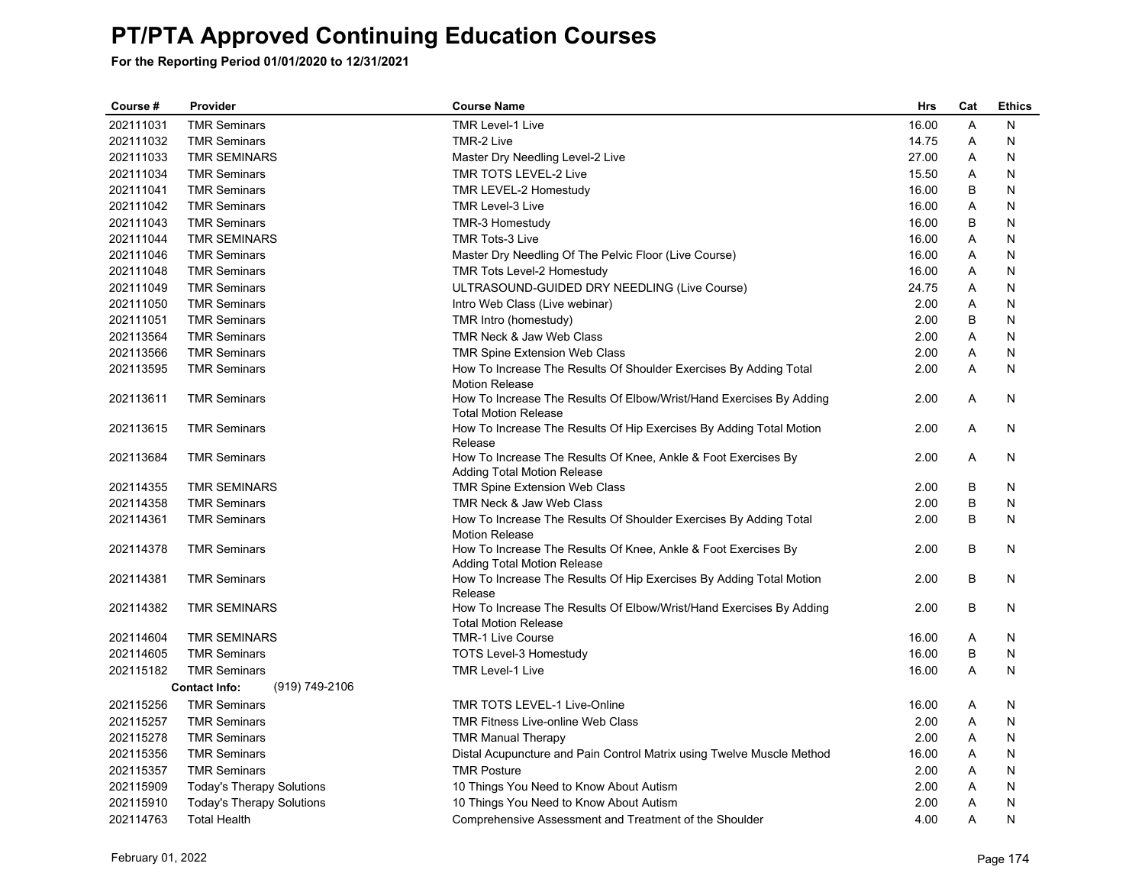| Course #  | Provider                               | <b>Course Name</b>                                                                                   | <b>Hrs</b> | Cat | <b>Ethics</b> |
|-----------|----------------------------------------|------------------------------------------------------------------------------------------------------|------------|-----|---------------|
| 202111031 | <b>TMR Seminars</b>                    | <b>TMR Level-1 Live</b>                                                                              | 16.00      | A   | N             |
| 202111032 | <b>TMR Seminars</b>                    | TMR-2 Live                                                                                           | 14.75      | Α   | N             |
| 202111033 | <b>TMR SEMINARS</b>                    | Master Dry Needling Level-2 Live                                                                     | 27.00      | A   | N             |
| 202111034 | <b>TMR Seminars</b>                    | TMR TOTS LEVEL-2 Live                                                                                | 15.50      | Α   | N             |
| 202111041 | <b>TMR Seminars</b>                    | TMR LEVEL-2 Homestudy                                                                                | 16.00      | B   | N             |
| 202111042 | <b>TMR Seminars</b>                    | TMR Level-3 Live                                                                                     | 16.00      | A   | N             |
| 202111043 | <b>TMR Seminars</b>                    | TMR-3 Homestudy                                                                                      | 16.00      | B   | N             |
| 202111044 | <b>TMR SEMINARS</b>                    | <b>TMR Tots-3 Live</b>                                                                               | 16.00      | Α   | N             |
| 202111046 | <b>TMR Seminars</b>                    | Master Dry Needling Of The Pelvic Floor (Live Course)                                                | 16.00      | A   | N             |
| 202111048 | <b>TMR Seminars</b>                    | <b>TMR Tots Level-2 Homestudy</b>                                                                    | 16.00      | Α   | N             |
| 202111049 | <b>TMR Seminars</b>                    | ULTRASOUND-GUIDED DRY NEEDLING (Live Course)                                                         | 24.75      | A   | N             |
| 202111050 | <b>TMR Seminars</b>                    | Intro Web Class (Live webinar)                                                                       | 2.00       | A   | N             |
| 202111051 | <b>TMR Seminars</b>                    | TMR Intro (homestudy)                                                                                | 2.00       | B   | N             |
| 202113564 | <b>TMR Seminars</b>                    | TMR Neck & Jaw Web Class                                                                             | 2.00       | Α   | N             |
| 202113566 | <b>TMR Seminars</b>                    | TMR Spine Extension Web Class                                                                        | 2.00       | A   | N             |
| 202113595 | <b>TMR Seminars</b>                    | How To Increase The Results Of Shoulder Exercises By Adding Total<br><b>Motion Release</b>           | 2.00       | A   | N             |
| 202113611 | <b>TMR Seminars</b>                    | How To Increase The Results Of Elbow/Wrist/Hand Exercises By Adding<br><b>Total Motion Release</b>   | 2.00       | A   | N             |
| 202113615 | <b>TMR Seminars</b>                    | How To Increase The Results Of Hip Exercises By Adding Total Motion<br>Release                       | 2.00       | A   | N             |
| 202113684 | <b>TMR Seminars</b>                    | How To Increase The Results Of Knee, Ankle & Foot Exercises By<br><b>Adding Total Motion Release</b> | 2.00       | A   | N             |
| 202114355 | <b>TMR SEMINARS</b>                    | TMR Spine Extension Web Class                                                                        | 2.00       | B   | N             |
| 202114358 | <b>TMR Seminars</b>                    | TMR Neck & Jaw Web Class                                                                             | 2.00       | B   | N             |
| 202114361 | <b>TMR Seminars</b>                    | How To Increase The Results Of Shoulder Exercises By Adding Total<br><b>Motion Release</b>           | 2.00       | B   | N             |
| 202114378 | <b>TMR Seminars</b>                    | How To Increase The Results Of Knee, Ankle & Foot Exercises By<br><b>Adding Total Motion Release</b> | 2.00       | B   | N             |
| 202114381 | <b>TMR Seminars</b>                    | How To Increase The Results Of Hip Exercises By Adding Total Motion<br>Release                       | 2.00       | B   | N             |
| 202114382 | <b>TMR SEMINARS</b>                    | How To Increase The Results Of Elbow/Wrist/Hand Exercises By Adding<br><b>Total Motion Release</b>   | 2.00       | B   | N             |
| 202114604 | <b>TMR SEMINARS</b>                    | <b>TMR-1 Live Course</b>                                                                             | 16.00      | Α   | N             |
| 202114605 | <b>TMR Seminars</b>                    | <b>TOTS Level-3 Homestudy</b>                                                                        | 16.00      | B   | N             |
| 202115182 | <b>TMR Seminars</b>                    | <b>TMR Level-1 Live</b>                                                                              | 16.00      | A   | N             |
|           | <b>Contact Info:</b><br>(919) 749-2106 |                                                                                                      |            |     |               |
| 202115256 | <b>TMR Seminars</b>                    | <b>TMR TOTS LEVEL-1 Live-Online</b>                                                                  | 16.00      | Α   | N             |
| 202115257 | <b>TMR Seminars</b>                    | <b>TMR Fitness Live-online Web Class</b>                                                             | 2.00       | A   | N             |
| 202115278 | <b>TMR Seminars</b>                    | <b>TMR Manual Therapy</b>                                                                            | 2.00       | Α   | N             |
| 202115356 | <b>TMR Seminars</b>                    | Distal Acupuncture and Pain Control Matrix using Twelve Muscle Method                                | 16.00      | A   | N             |
| 202115357 | <b>TMR Seminars</b>                    | <b>TMR Posture</b>                                                                                   | 2.00       | A   | N             |
| 202115909 | <b>Today's Therapy Solutions</b>       | 10 Things You Need to Know About Autism                                                              | 2.00       | Α   | N             |
| 202115910 | <b>Today's Therapy Solutions</b>       | 10 Things You Need to Know About Autism                                                              | 2.00       | Α   | N             |
| 202114763 | <b>Total Health</b>                    | Comprehensive Assessment and Treatment of the Shoulder                                               | 4.00       | A   | N             |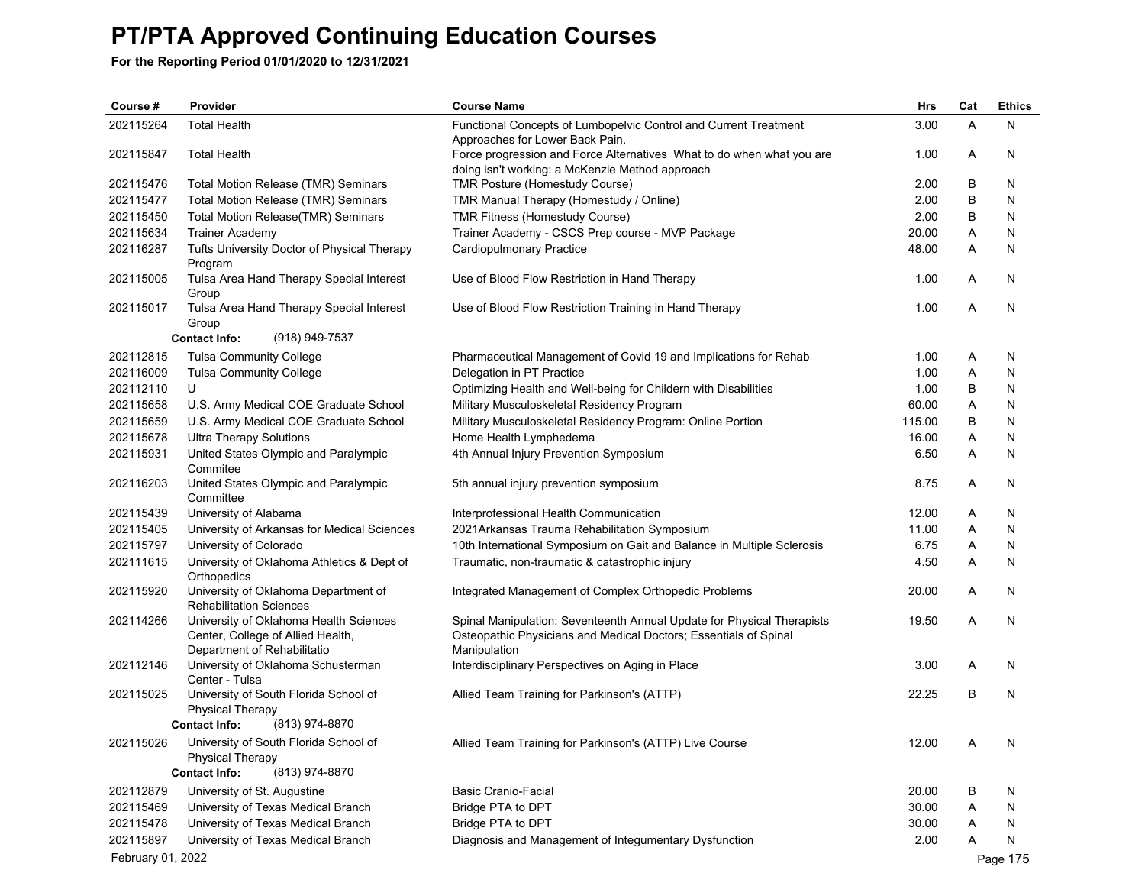| Course #          | Provider                                                              | <b>Course Name</b>                                                                                                     | Hrs    | Cat | <b>Ethics</b> |
|-------------------|-----------------------------------------------------------------------|------------------------------------------------------------------------------------------------------------------------|--------|-----|---------------|
| 202115264         | <b>Total Health</b>                                                   | Functional Concepts of Lumbopelvic Control and Current Treatment                                                       | 3.00   | A   | N             |
|                   |                                                                       | Approaches for Lower Back Pain.                                                                                        |        |     |               |
| 202115847         | <b>Total Health</b>                                                   | Force progression and Force Alternatives What to do when what you are                                                  | 1.00   | Α   | N             |
| 202115476         | Total Motion Release (TMR) Seminars                                   | doing isn't working: a McKenzie Method approach<br>TMR Posture (Homestudy Course)                                      | 2.00   | В   | N             |
| 202115477         | Total Motion Release (TMR) Seminars                                   | TMR Manual Therapy (Homestudy / Online)                                                                                | 2.00   | В   | N             |
| 202115450         | Total Motion Release(TMR) Seminars                                    | TMR Fitness (Homestudy Course)                                                                                         | 2.00   | В   | N             |
| 202115634         | <b>Trainer Academy</b>                                                | Trainer Academy - CSCS Prep course - MVP Package                                                                       | 20.00  | Α   | N             |
| 202116287         | Tufts University Doctor of Physical Therapy                           | <b>Cardiopulmonary Practice</b>                                                                                        | 48.00  | Α   | N             |
|                   | Program                                                               |                                                                                                                        |        |     |               |
| 202115005         | Tulsa Area Hand Therapy Special Interest                              | Use of Blood Flow Restriction in Hand Therapy                                                                          | 1.00   | Α   | N             |
|                   | Group                                                                 |                                                                                                                        |        |     |               |
| 202115017         | Tulsa Area Hand Therapy Special Interest                              | Use of Blood Flow Restriction Training in Hand Therapy                                                                 | 1.00   | Α   | N             |
|                   | Group                                                                 |                                                                                                                        |        |     |               |
|                   | <b>Contact Info:</b><br>(918) 949-7537                                |                                                                                                                        |        |     |               |
| 202112815         | <b>Tulsa Community College</b>                                        | Pharmaceutical Management of Covid 19 and Implications for Rehab                                                       | 1.00   | Α   | N             |
| 202116009         | <b>Tulsa Community College</b>                                        | Delegation in PT Practice                                                                                              | 1.00   | Α   | N             |
| 202112110         | U                                                                     | Optimizing Health and Well-being for Childern with Disabilities                                                        | 1.00   | В   | N             |
| 202115658         | U.S. Army Medical COE Graduate School                                 | Military Musculoskeletal Residency Program                                                                             | 60.00  | Α   | N             |
| 202115659         | U.S. Army Medical COE Graduate School                                 | Military Musculoskeletal Residency Program: Online Portion                                                             | 115.00 | В   | N             |
| 202115678         | <b>Ultra Therapy Solutions</b>                                        | Home Health Lymphedema                                                                                                 | 16.00  | Α   | N             |
| 202115931         | United States Olympic and Paralympic<br>Commitee                      | 4th Annual Injury Prevention Symposium                                                                                 | 6.50   | A   | N             |
| 202116203         | United States Olympic and Paralympic                                  | 5th annual injury prevention symposium                                                                                 | 8.75   | Α   | N             |
| 202115439         | Committee                                                             |                                                                                                                        | 12.00  | Α   |               |
| 202115405         | University of Alabama                                                 | Interprofessional Health Communication                                                                                 | 11.00  | Α   | N<br>N        |
| 202115797         | University of Arkansas for Medical Sciences<br>University of Colorado | 2021Arkansas Trauma Rehabilitation Symposium<br>10th International Symposium on Gait and Balance in Multiple Sclerosis | 6.75   | Α   | N             |
| 202111615         | University of Oklahoma Athletics & Dept of                            | Traumatic, non-traumatic & catastrophic injury                                                                         | 4.50   | A   | N             |
|                   | Orthopedics                                                           |                                                                                                                        |        |     |               |
| 202115920         | University of Oklahoma Department of                                  | Integrated Management of Complex Orthopedic Problems                                                                   | 20.00  | A   | N             |
|                   | <b>Rehabilitation Sciences</b>                                        |                                                                                                                        |        |     |               |
| 202114266         | University of Oklahoma Health Sciences                                | Spinal Manipulation: Seventeenth Annual Update for Physical Therapists                                                 | 19.50  | Α   | N             |
|                   | Center, College of Allied Health,<br>Department of Rehabilitatio      | Osteopathic Physicians and Medical Doctors; Essentials of Spinal<br>Manipulation                                       |        |     |               |
| 202112146         | University of Oklahoma Schusterman                                    | Interdisciplinary Perspectives on Aging in Place                                                                       | 3.00   | Α   | N             |
|                   | Center - Tulsa                                                        |                                                                                                                        |        |     |               |
| 202115025         | University of South Florida School of                                 | Allied Team Training for Parkinson's (ATTP)                                                                            | 22.25  | B   | N             |
|                   | <b>Physical Therapy</b>                                               |                                                                                                                        |        |     |               |
|                   | <b>Contact Info:</b><br>(813) 974-8870                                |                                                                                                                        |        |     |               |
| 202115026         | University of South Florida School of                                 | Allied Team Training for Parkinson's (ATTP) Live Course                                                                | 12.00  | A   | N             |
|                   | <b>Physical Therapy</b>                                               |                                                                                                                        |        |     |               |
|                   | (813) 974-8870<br><b>Contact Info:</b>                                |                                                                                                                        |        |     |               |
| 202112879         | University of St. Augustine                                           | <b>Basic Cranio-Facial</b>                                                                                             | 20.00  | В   | N             |
| 202115469         | University of Texas Medical Branch                                    | Bridge PTA to DPT                                                                                                      | 30.00  | Α   | N             |
| 202115478         | University of Texas Medical Branch                                    | Bridge PTA to DPT                                                                                                      | 30.00  | A   | N             |
| 202115897         | University of Texas Medical Branch                                    | Diagnosis and Management of Integumentary Dysfunction                                                                  | 2.00   | А   | N             |
| February 01, 2022 |                                                                       |                                                                                                                        |        |     | Page 175      |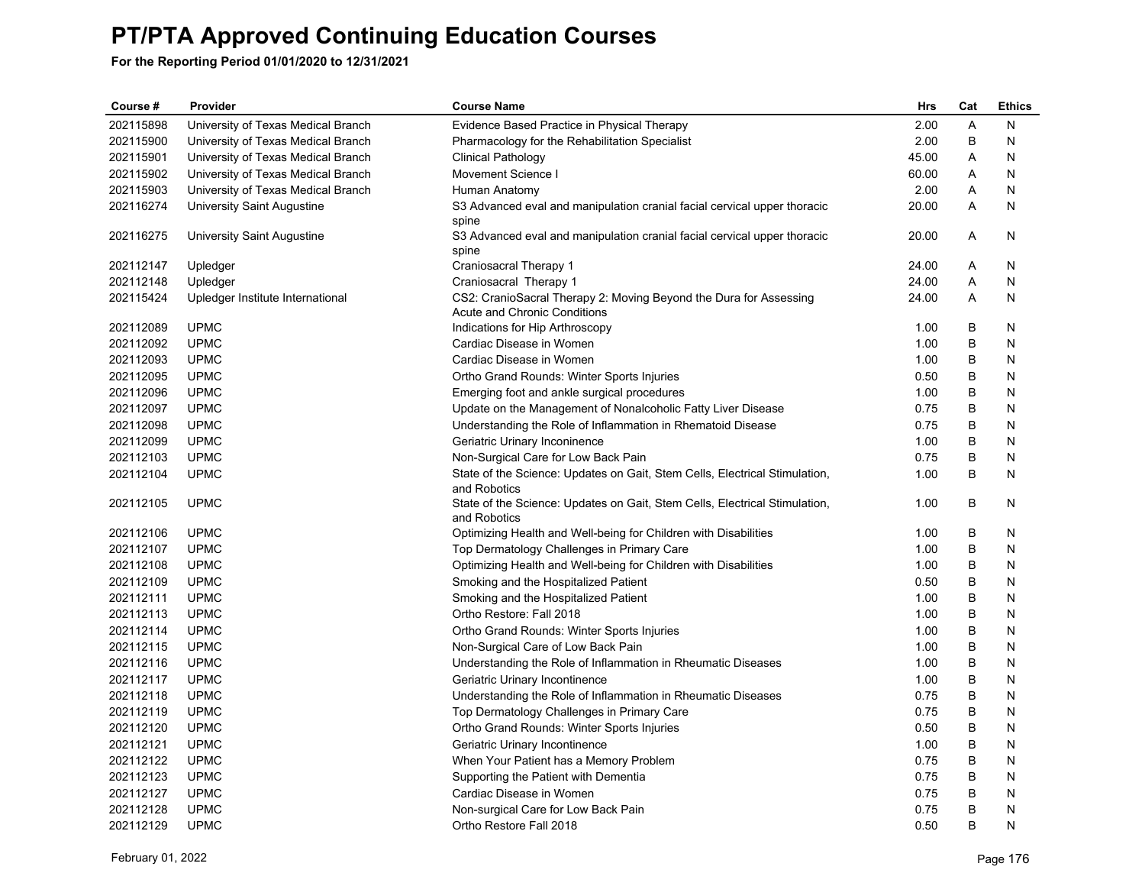| Course #  | Provider                           | <b>Course Name</b>                                                                                | <b>Hrs</b> | Cat     | <b>Ethics</b> |
|-----------|------------------------------------|---------------------------------------------------------------------------------------------------|------------|---------|---------------|
| 202115898 | University of Texas Medical Branch | Evidence Based Practice in Physical Therapy                                                       | 2.00       | A       | N             |
| 202115900 | University of Texas Medical Branch | Pharmacology for the Rehabilitation Specialist                                                    | 2.00       | B       | N             |
| 202115901 | University of Texas Medical Branch | <b>Clinical Pathology</b>                                                                         | 45.00      | A       | N             |
| 202115902 | University of Texas Medical Branch | Movement Science I                                                                                | 60.00      | Α       | N             |
| 202115903 | University of Texas Medical Branch | Human Anatomy                                                                                     | 2.00       | Α       | N             |
| 202116274 | University Saint Augustine         | S3 Advanced eval and manipulation cranial facial cervical upper thoracic                          | 20.00      | A       | N             |
|           |                                    | spine                                                                                             |            |         |               |
| 202116275 | University Saint Augustine         | S3 Advanced eval and manipulation cranial facial cervical upper thoracic                          | 20.00      | A       | N             |
|           |                                    | spine                                                                                             |            |         |               |
| 202112147 | Upledger                           | Craniosacral Therapy 1                                                                            | 24.00      | A       | N             |
| 202112148 | Upledger                           | Craniosacral Therapy 1                                                                            | 24.00      | Α       | N             |
| 202115424 | Upledger Institute International   | CS2: CranioSacral Therapy 2: Moving Beyond the Dura for Assessing<br>Acute and Chronic Conditions | 24.00      | A       | N             |
| 202112089 | <b>UPMC</b>                        | Indications for Hip Arthroscopy                                                                   | 1.00       | B       | N             |
| 202112092 | <b>UPMC</b>                        | Cardiac Disease in Women                                                                          | 1.00       | B       | N             |
| 202112093 | <b>UPMC</b>                        | Cardiac Disease in Women                                                                          | 1.00       | B       | N             |
| 202112095 | <b>UPMC</b>                        | Ortho Grand Rounds: Winter Sports Injuries                                                        | 0.50       | В       | N             |
| 202112096 | <b>UPMC</b>                        | Emerging foot and ankle surgical procedures                                                       | 1.00       | B       | N             |
| 202112097 | <b>UPMC</b>                        | Update on the Management of Nonalcoholic Fatty Liver Disease                                      | 0.75       | В       | N             |
| 202112098 | <b>UPMC</b>                        | Understanding the Role of Inflammation in Rhematoid Disease                                       | 0.75       | B       | N             |
| 202112099 | <b>UPMC</b>                        | Geriatric Urinary Inconinence                                                                     | 1.00       | В       | N             |
| 202112103 | <b>UPMC</b>                        | Non-Surgical Care for Low Back Pain                                                               | 0.75       | B       | N             |
| 202112104 | <b>UPMC</b>                        | State of the Science: Updates on Gait, Stem Cells, Electrical Stimulation,<br>and Robotics        | 1.00       | B       | N             |
| 202112105 | <b>UPMC</b>                        | State of the Science: Updates on Gait, Stem Cells, Electrical Stimulation,<br>and Robotics        | 1.00       | B       | N             |
| 202112106 | <b>UPMC</b>                        | Optimizing Health and Well-being for Children with Disabilities                                   | 1.00       | B       | N             |
| 202112107 | <b>UPMC</b>                        | Top Dermatology Challenges in Primary Care                                                        | 1.00       | B       | N             |
| 202112108 | <b>UPMC</b>                        | Optimizing Health and Well-being for Children with Disabilities                                   | 1.00       | B       | N             |
| 202112109 | <b>UPMC</b>                        | Smoking and the Hospitalized Patient                                                              | 0.50       | B       | N             |
| 202112111 | <b>UPMC</b>                        | Smoking and the Hospitalized Patient                                                              | 1.00       | B       | N             |
| 202112113 | <b>UPMC</b>                        | Ortho Restore: Fall 2018                                                                          | 1.00       | B       | N             |
| 202112114 | <b>UPMC</b>                        | Ortho Grand Rounds: Winter Sports Injuries                                                        | 1.00       | В       | N             |
| 202112115 | <b>UPMC</b>                        | Non-Surgical Care of Low Back Pain                                                                | 1.00       | B       | N             |
| 202112116 | <b>UPMC</b>                        | Understanding the Role of Inflammation in Rheumatic Diseases                                      | 1.00       | B       | N             |
| 202112117 | <b>UPMC</b>                        | Geriatric Urinary Incontinence                                                                    | 1.00       | B       | N             |
| 202112118 | <b>UPMC</b>                        | Understanding the Role of Inflammation in Rheumatic Diseases                                      | 0.75       | $\sf B$ | N             |
| 202112119 | <b>UPMC</b>                        | Top Dermatology Challenges in Primary Care                                                        | 0.75       | B       | N             |
| 202112120 | <b>UPMC</b>                        | Ortho Grand Rounds: Winter Sports Injuries                                                        | 0.50       | B       | N             |
| 202112121 | <b>UPMC</b>                        | Geriatric Urinary Incontinence                                                                    | 1.00       | B       | N             |
| 202112122 | <b>UPMC</b>                        | When Your Patient has a Memory Problem                                                            | 0.75       | B       | N             |
| 202112123 | <b>UPMC</b>                        | Supporting the Patient with Dementia                                                              | 0.75       | В       | N             |
| 202112127 | <b>UPMC</b>                        | Cardiac Disease in Women                                                                          | 0.75       | B       | N             |
| 202112128 | <b>UPMC</b>                        | Non-surgical Care for Low Back Pain                                                               | 0.75       | B       | N             |
| 202112129 | <b>UPMC</b>                        | Ortho Restore Fall 2018                                                                           | 0.50       | B       | N             |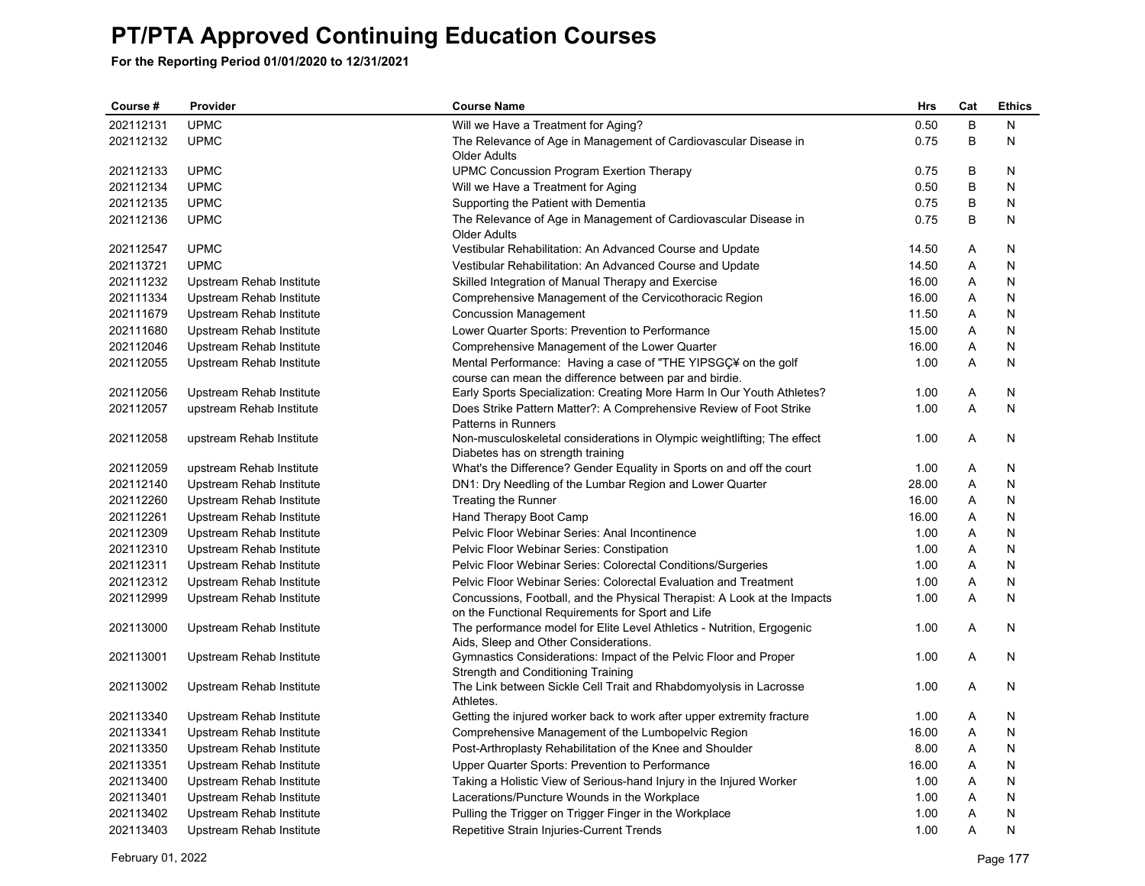| Course #  | Provider                 | <b>Course Name</b>                                                                                                            | Hrs   | Cat     | <b>Ethics</b> |
|-----------|--------------------------|-------------------------------------------------------------------------------------------------------------------------------|-------|---------|---------------|
| 202112131 | <b>UPMC</b>              | Will we Have a Treatment for Aging?                                                                                           | 0.50  | $\sf B$ | N             |
| 202112132 | <b>UPMC</b>              | The Relevance of Age in Management of Cardiovascular Disease in                                                               | 0.75  | B       | N             |
|           |                          | Older Adults                                                                                                                  |       |         |               |
| 202112133 | <b>UPMC</b>              | UPMC Concussion Program Exertion Therapy                                                                                      | 0.75  | B       | N             |
| 202112134 | <b>UPMC</b>              | Will we Have a Treatment for Aging                                                                                            | 0.50  | B       | N             |
| 202112135 | <b>UPMC</b>              | Supporting the Patient with Dementia                                                                                          | 0.75  | B       | N             |
| 202112136 | <b>UPMC</b>              | The Relevance of Age in Management of Cardiovascular Disease in<br><b>Older Adults</b>                                        | 0.75  | B       | N             |
| 202112547 | <b>UPMC</b>              | Vestibular Rehabilitation: An Advanced Course and Update                                                                      | 14.50 | A       | N             |
| 202113721 | <b>UPMC</b>              | Vestibular Rehabilitation: An Advanced Course and Update                                                                      | 14.50 | Α       | N             |
| 202111232 | Upstream Rehab Institute | Skilled Integration of Manual Therapy and Exercise                                                                            | 16.00 | Α       | N             |
| 202111334 | Upstream Rehab Institute | Comprehensive Management of the Cervicothoracic Region                                                                        | 16.00 | Α       | N             |
| 202111679 | Upstream Rehab Institute | <b>Concussion Management</b>                                                                                                  | 11.50 | Α       | N             |
| 202111680 | Upstream Rehab Institute | Lower Quarter Sports: Prevention to Performance                                                                               | 15.00 | Α       | N             |
| 202112046 | Upstream Rehab Institute | Comprehensive Management of the Lower Quarter                                                                                 | 16.00 | Α       | N             |
| 202112055 | Upstream Rehab Institute | Mental Performance: Having a case of "THE YIPSGÇ¥ on the golf                                                                 | 1.00  | A       | N             |
|           |                          | course can mean the difference between par and birdie.                                                                        |       |         |               |
| 202112056 | Upstream Rehab Institute | Early Sports Specialization: Creating More Harm In Our Youth Athletes?                                                        | 1.00  | A       | N             |
| 202112057 | upstream Rehab Institute | Does Strike Pattern Matter?: A Comprehensive Review of Foot Strike                                                            | 1.00  | Α       | N             |
|           |                          | Patterns in Runners                                                                                                           |       |         |               |
| 202112058 | upstream Rehab Institute | Non-musculoskeletal considerations in Olympic weightlifting; The effect                                                       | 1.00  | A       | N             |
|           |                          | Diabetes has on strength training                                                                                             |       |         |               |
| 202112059 | upstream Rehab Institute | What's the Difference? Gender Equality in Sports on and off the court                                                         | 1.00  | Α       | N             |
| 202112140 | Upstream Rehab Institute | DN1: Dry Needling of the Lumbar Region and Lower Quarter                                                                      | 28.00 | A       | N             |
| 202112260 | Upstream Rehab Institute | Treating the Runner                                                                                                           | 16.00 | A       | Ν             |
| 202112261 | Upstream Rehab Institute | Hand Therapy Boot Camp                                                                                                        | 16.00 | Α       | N             |
| 202112309 | Upstream Rehab Institute | Pelvic Floor Webinar Series: Anal Incontinence                                                                                | 1.00  | Α       | N             |
| 202112310 | Upstream Rehab Institute | Pelvic Floor Webinar Series: Constipation                                                                                     | 1.00  | A       | N             |
| 202112311 | Upstream Rehab Institute | Pelvic Floor Webinar Series: Colorectal Conditions/Surgeries                                                                  | 1.00  | A       | N             |
| 202112312 | Upstream Rehab Institute | Pelvic Floor Webinar Series: Colorectal Evaluation and Treatment                                                              | 1.00  | Α       | N             |
| 202112999 | Upstream Rehab Institute | Concussions, Football, and the Physical Therapist: A Look at the Impacts<br>on the Functional Requirements for Sport and Life | 1.00  | A       | N             |
| 202113000 | Upstream Rehab Institute | The performance model for Elite Level Athletics - Nutrition, Ergogenic<br>Aids, Sleep and Other Considerations.               | 1.00  | A       | N             |
| 202113001 | Upstream Rehab Institute | Gymnastics Considerations: Impact of the Pelvic Floor and Proper<br>Strength and Conditioning Training                        | 1.00  | A       | N             |
| 202113002 | Upstream Rehab Institute | The Link between Sickle Cell Trait and Rhabdomyolysis in Lacrosse<br>Athletes.                                                | 1.00  | A       | N             |
| 202113340 | Upstream Rehab Institute | Getting the injured worker back to work after upper extremity fracture                                                        | 1.00  | A       | N             |
| 202113341 | Upstream Rehab Institute | Comprehensive Management of the Lumbopelvic Region                                                                            | 16.00 | Α       | N             |
| 202113350 | Upstream Rehab Institute | Post-Arthroplasty Rehabilitation of the Knee and Shoulder                                                                     | 8.00  | Α       | N             |
| 202113351 | Upstream Rehab Institute | Upper Quarter Sports: Prevention to Performance                                                                               | 16.00 | A       | N             |
| 202113400 | Upstream Rehab Institute | Taking a Holistic View of Serious-hand Injury in the Injured Worker                                                           | 1.00  | Α       | N             |
| 202113401 | Upstream Rehab Institute | Lacerations/Puncture Wounds in the Workplace                                                                                  | 1.00  | Α       | Ν             |
| 202113402 | Upstream Rehab Institute | Pulling the Trigger on Trigger Finger in the Workplace                                                                        | 1.00  | Α       | Ν             |
| 202113403 | Upstream Rehab Institute | Repetitive Strain Injuries-Current Trends                                                                                     | 1.00  | A       | N             |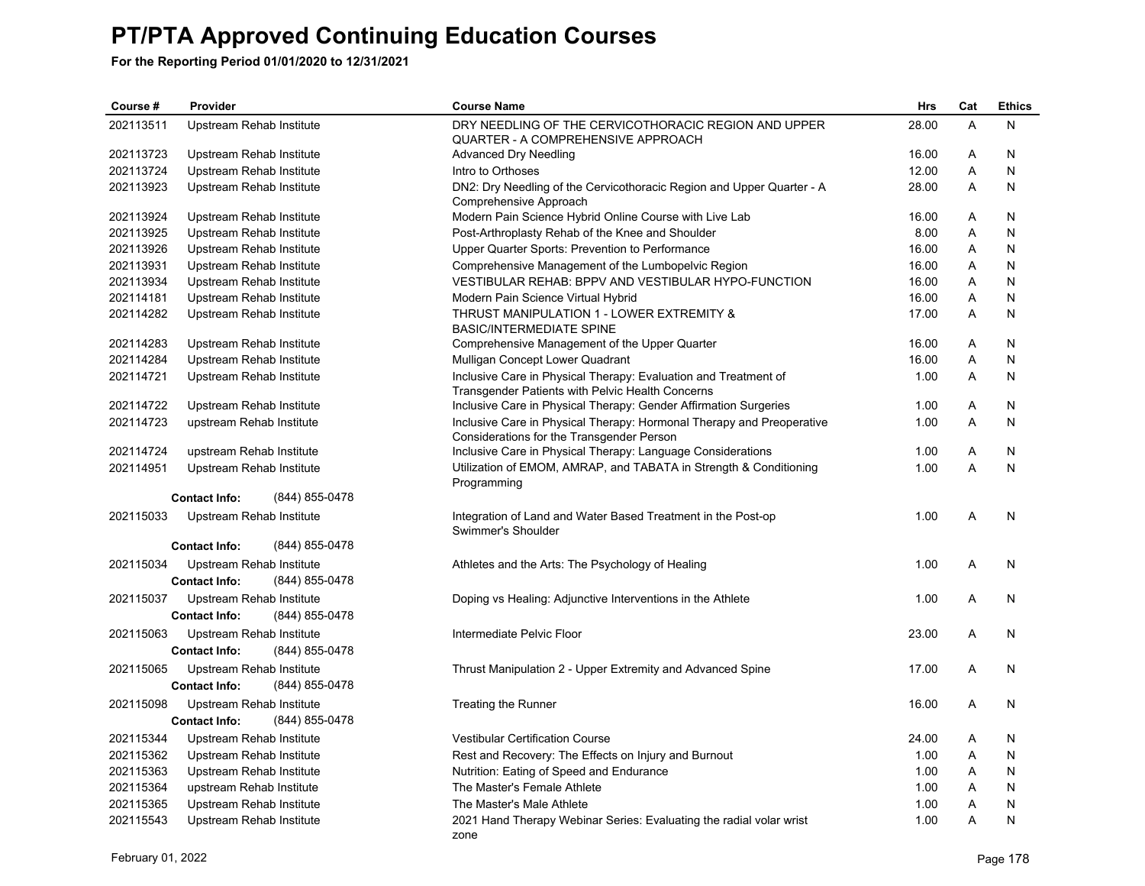| Course #  | Provider                                                           | <b>Course Name</b>                                                                                                  | <b>Hrs</b> | Cat | <b>Ethics</b> |
|-----------|--------------------------------------------------------------------|---------------------------------------------------------------------------------------------------------------------|------------|-----|---------------|
| 202113511 | Upstream Rehab Institute                                           | DRY NEEDLING OF THE CERVICOTHORACIC REGION AND UPPER<br><b>QUARTER - A COMPREHENSIVE APPROACH</b>                   | 28.00      | A   | N             |
| 202113723 | Upstream Rehab Institute                                           | <b>Advanced Dry Needling</b>                                                                                        | 16.00      | Α   | N             |
| 202113724 | Upstream Rehab Institute                                           | Intro to Orthoses                                                                                                   | 12.00      | A   | N             |
| 202113923 | Upstream Rehab Institute                                           | DN2: Dry Needling of the Cervicothoracic Region and Upper Quarter - A<br>Comprehensive Approach                     | 28.00      | A   | N             |
| 202113924 | Upstream Rehab Institute                                           | Modern Pain Science Hybrid Online Course with Live Lab                                                              | 16.00      | A   | N             |
| 202113925 | Upstream Rehab Institute                                           | Post-Arthroplasty Rehab of the Knee and Shoulder                                                                    | 8.00       | A   | N             |
| 202113926 | Upstream Rehab Institute                                           | Upper Quarter Sports: Prevention to Performance                                                                     | 16.00      | Α   | N             |
| 202113931 | Upstream Rehab Institute                                           | Comprehensive Management of the Lumbopelvic Region                                                                  | 16.00      | Α   | N             |
| 202113934 | Upstream Rehab Institute                                           | VESTIBULAR REHAB: BPPV AND VESTIBULAR HYPO-FUNCTION                                                                 | 16.00      | A   | N             |
| 202114181 | Upstream Rehab Institute                                           | Modern Pain Science Virtual Hybrid                                                                                  | 16.00      | A   | N             |
| 202114282 | Upstream Rehab Institute                                           | THRUST MANIPULATION 1 - LOWER EXTREMITY &<br><b>BASIC/INTERMEDIATE SPINE</b>                                        | 17.00      | A   | N             |
| 202114283 | Upstream Rehab Institute                                           | Comprehensive Management of the Upper Quarter                                                                       | 16.00      | A   | N             |
| 202114284 | Upstream Rehab Institute                                           | Mulligan Concept Lower Quadrant                                                                                     | 16.00      | A   | N             |
| 202114721 | Upstream Rehab Institute                                           | Inclusive Care in Physical Therapy: Evaluation and Treatment of<br>Transgender Patients with Pelvic Health Concerns | 1.00       | Α   | N             |
| 202114722 | Upstream Rehab Institute                                           | Inclusive Care in Physical Therapy: Gender Affirmation Surgeries                                                    | 1.00       | Α   | N             |
| 202114723 | upstream Rehab Institute                                           | Inclusive Care in Physical Therapy: Hormonal Therapy and Preoperative<br>Considerations for the Transgender Person  | 1.00       | A   | N             |
| 202114724 | upstream Rehab Institute                                           | Inclusive Care in Physical Therapy: Language Considerations                                                         | 1.00       | A   | N             |
| 202114951 | Upstream Rehab Institute                                           | Utilization of EMOM, AMRAP, and TABATA in Strength & Conditioning<br>Programming                                    | 1.00       | A   | N             |
|           | <b>Contact Info:</b><br>(844) 855-0478                             |                                                                                                                     |            |     |               |
| 202115033 | Upstream Rehab Institute                                           | Integration of Land and Water Based Treatment in the Post-op<br>Swimmer's Shoulder                                  | 1.00       | A   | N             |
|           | <b>Contact Info:</b><br>(844) 855-0478                             |                                                                                                                     |            |     |               |
| 202115034 | Upstream Rehab Institute<br>(844) 855-0478<br><b>Contact Info:</b> | Athletes and the Arts: The Psychology of Healing                                                                    | 1.00       | A   | N             |
| 202115037 | Upstream Rehab Institute<br>(844) 855-0478<br><b>Contact Info:</b> | Doping vs Healing: Adjunctive Interventions in the Athlete                                                          | 1.00       | A   | N             |
| 202115063 | Upstream Rehab Institute<br><b>Contact Info:</b><br>(844) 855-0478 | Intermediate Pelvic Floor                                                                                           | 23.00      | A   | N             |
| 202115065 | Upstream Rehab Institute<br><b>Contact Info:</b><br>(844) 855-0478 | Thrust Manipulation 2 - Upper Extremity and Advanced Spine                                                          | 17.00      | A   | N             |
| 202115098 | Upstream Rehab Institute<br>(844) 855-0478<br><b>Contact Info:</b> | Treating the Runner                                                                                                 | 16.00      | A   | N             |
| 202115344 | Upstream Rehab Institute                                           | <b>Vestibular Certification Course</b>                                                                              | 24.00      | Α   | N             |
| 202115362 | Upstream Rehab Institute                                           | Rest and Recovery: The Effects on Injury and Burnout                                                                | 1.00       | Α   | N             |
| 202115363 | Upstream Rehab Institute                                           | Nutrition: Eating of Speed and Endurance                                                                            | 1.00       | A   | N             |
| 202115364 | upstream Rehab Institute                                           | The Master's Female Athlete                                                                                         | 1.00       | A   | N             |
| 202115365 | Upstream Rehab Institute                                           | The Master's Male Athlete                                                                                           | 1.00       | Α   | N             |
| 202115543 | Upstream Rehab Institute                                           | 2021 Hand Therapy Webinar Series: Evaluating the radial volar wrist                                                 | 1.00       | A   | N             |
|           |                                                                    | zone                                                                                                                |            |     |               |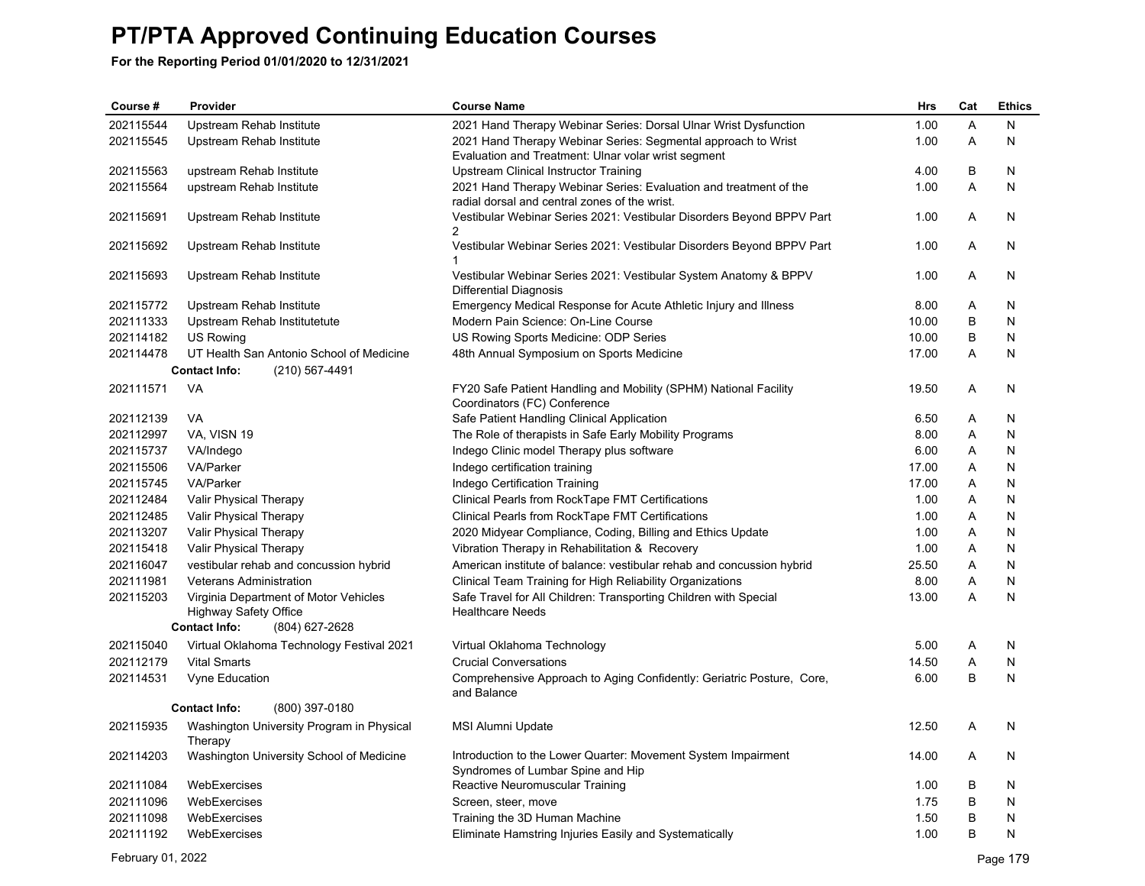| Course #  | Provider                                                              | <b>Course Name</b>                                                                                                   | <b>Hrs</b> | Cat | <b>Ethics</b> |
|-----------|-----------------------------------------------------------------------|----------------------------------------------------------------------------------------------------------------------|------------|-----|---------------|
| 202115544 | Upstream Rehab Institute                                              | 2021 Hand Therapy Webinar Series: Dorsal Ulnar Wrist Dysfunction                                                     | 1.00       | A   | N             |
| 202115545 | Upstream Rehab Institute                                              | 2021 Hand Therapy Webinar Series: Segmental approach to Wrist<br>Evaluation and Treatment: Ulnar volar wrist segment | 1.00       | A   | N             |
| 202115563 | upstream Rehab Institute                                              | Upstream Clinical Instructor Training                                                                                | 4.00       | В   | N             |
| 202115564 | upstream Rehab Institute                                              | 2021 Hand Therapy Webinar Series: Evaluation and treatment of the<br>radial dorsal and central zones of the wrist.   | 1.00       | A   | N             |
| 202115691 | Upstream Rehab Institute                                              | Vestibular Webinar Series 2021: Vestibular Disorders Beyond BPPV Part<br>$\overline{2}$                              | 1.00       | A   | N             |
| 202115692 | Upstream Rehab Institute                                              | Vestibular Webinar Series 2021: Vestibular Disorders Beyond BPPV Part<br>1                                           | 1.00       | A   | N             |
| 202115693 | Upstream Rehab Institute                                              | Vestibular Webinar Series 2021: Vestibular System Anatomy & BPPV<br>Differential Diagnosis                           | 1.00       | Α   | N             |
| 202115772 | Upstream Rehab Institute                                              | Emergency Medical Response for Acute Athletic Injury and Illness                                                     | 8.00       | Α   | N             |
| 202111333 | Upstream Rehab Institutetute                                          | Modern Pain Science: On-Line Course                                                                                  | 10.00      | B   | N             |
| 202114182 | US Rowing                                                             | US Rowing Sports Medicine: ODP Series                                                                                | 10.00      | B   | N             |
| 202114478 | UT Health San Antonio School of Medicine                              | 48th Annual Symposium on Sports Medicine                                                                             | 17.00      | A   | N             |
|           | (210) 567-4491<br><b>Contact Info:</b>                                |                                                                                                                      |            |     |               |
| 202111571 | <b>VA</b>                                                             | FY20 Safe Patient Handling and Mobility (SPHM) National Facility<br>Coordinators (FC) Conference                     | 19.50      | A   | N             |
| 202112139 | <b>VA</b>                                                             | Safe Patient Handling Clinical Application                                                                           | 6.50       | Α   | N             |
| 202112997 | VA, VISN 19                                                           | The Role of therapists in Safe Early Mobility Programs                                                               | 8.00       | Α   | N             |
| 202115737 | VA/Indego                                                             | Indego Clinic model Therapy plus software                                                                            | 6.00       | Α   | N             |
| 202115506 | <b>VA/Parker</b>                                                      | Indego certification training                                                                                        | 17.00      | Α   | N             |
| 202115745 | VA/Parker                                                             | Indego Certification Training                                                                                        | 17.00      | Α   | N             |
| 202112484 | Valir Physical Therapy                                                | Clinical Pearls from RockTape FMT Certifications                                                                     | 1.00       | Α   | N             |
| 202112485 | Valir Physical Therapy                                                | Clinical Pearls from RockTape FMT Certifications                                                                     | 1.00       | A   | N             |
| 202113207 | Valir Physical Therapy                                                | 2020 Midyear Compliance, Coding, Billing and Ethics Update                                                           | 1.00       | Α   | N             |
| 202115418 | Valir Physical Therapy                                                | Vibration Therapy in Rehabilitation & Recovery                                                                       | 1.00       | Α   | N             |
| 202116047 | vestibular rehab and concussion hybrid                                | American institute of balance: vestibular rehab and concussion hybrid                                                | 25.50      | Α   | N             |
| 202111981 | <b>Veterans Administration</b>                                        | Clinical Team Training for High Reliability Organizations                                                            | 8.00       | A   | N             |
| 202115203 | Virginia Department of Motor Vehicles<br><b>Highway Safety Office</b> | Safe Travel for All Children: Transporting Children with Special<br><b>Healthcare Needs</b>                          | 13.00      | A   | N             |
|           | <b>Contact Info:</b><br>(804) 627-2628                                |                                                                                                                      |            |     |               |
| 202115040 | Virtual Oklahoma Technology Festival 2021                             | Virtual Oklahoma Technology                                                                                          | 5.00       | A   | N             |
| 202112179 | <b>Vital Smarts</b>                                                   | <b>Crucial Conversations</b>                                                                                         | 14.50      | A   | N             |
| 202114531 | Vyne Education                                                        | Comprehensive Approach to Aging Confidently: Geriatric Posture, Core,<br>and Balance                                 | 6.00       | B   | N             |
|           | (800) 397-0180<br><b>Contact Info:</b>                                |                                                                                                                      |            |     |               |
| 202115935 | Washington University Program in Physical<br>Therapy                  | MSI Alumni Update                                                                                                    | 12.50      | Α   | N             |
| 202114203 | Washington University School of Medicine                              | Introduction to the Lower Quarter: Movement System Impairment<br>Syndromes of Lumbar Spine and Hip                   | 14.00      | A   | N             |
| 202111084 | WebExercises                                                          | Reactive Neuromuscular Training                                                                                      | 1.00       | B   | N             |
| 202111096 | WebExercises                                                          | Screen, steer, move                                                                                                  | 1.75       | B   | N             |
| 202111098 | WebExercises                                                          | Training the 3D Human Machine                                                                                        | 1.50       | B   | N             |
| 202111192 | WebExercises                                                          | Eliminate Hamstring Injuries Easily and Systematically                                                               | 1.00       | B   | N             |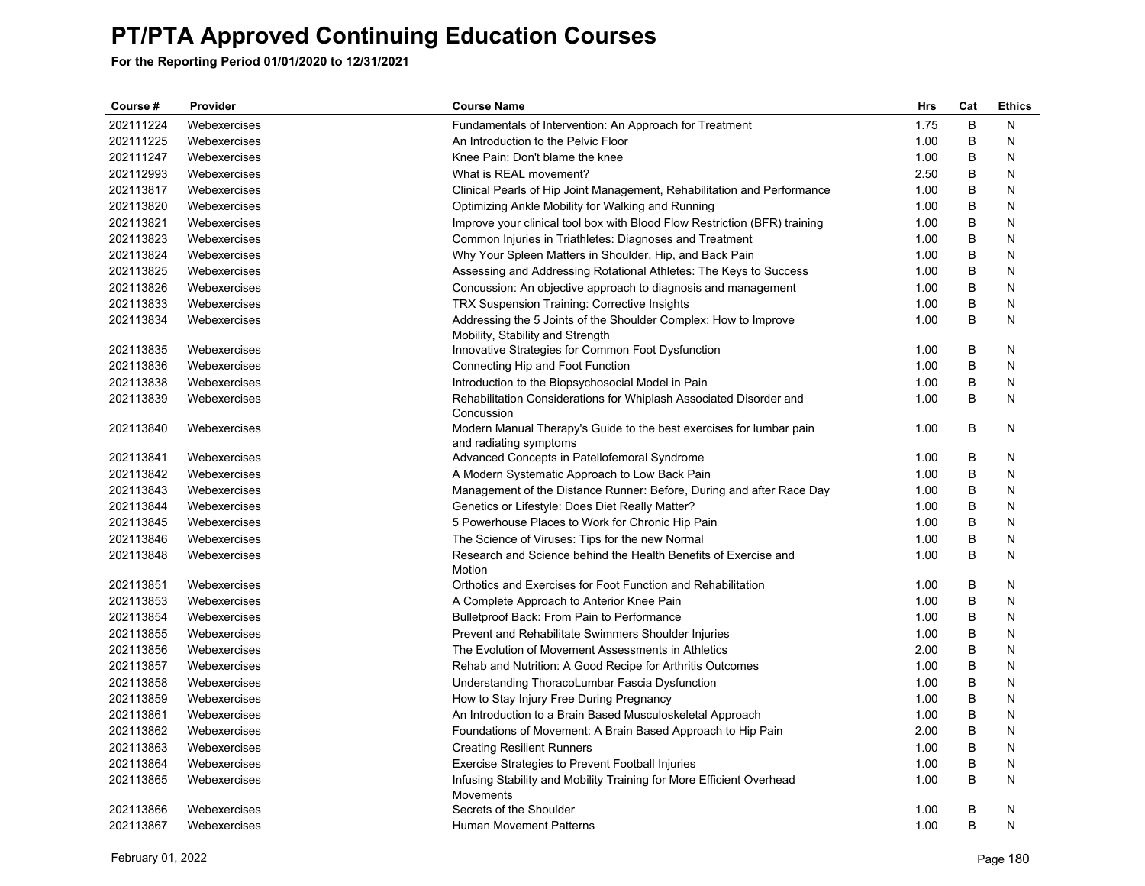| Course #  | Provider     | <b>Course Name</b>                                                                                  | <b>Hrs</b> | Cat | <b>Ethics</b> |
|-----------|--------------|-----------------------------------------------------------------------------------------------------|------------|-----|---------------|
| 202111224 | Webexercises | Fundamentals of Intervention: An Approach for Treatment                                             | 1.75       | B   | N             |
| 202111225 | Webexercises | An Introduction to the Pelvic Floor                                                                 | 1.00       | B   | N             |
| 202111247 | Webexercises | Knee Pain: Don't blame the knee                                                                     | 1.00       | В   | N             |
| 202112993 | Webexercises | What is REAL movement?                                                                              | 2.50       | B   | N             |
| 202113817 | Webexercises | Clinical Pearls of Hip Joint Management, Rehabilitation and Performance                             | 1.00       | В   | N             |
| 202113820 | Webexercises | Optimizing Ankle Mobility for Walking and Running                                                   | 1.00       | B   | N             |
| 202113821 | Webexercises | Improve your clinical tool box with Blood Flow Restriction (BFR) training                           | 1.00       | В   | N             |
| 202113823 | Webexercises | Common Injuries in Triathletes: Diagnoses and Treatment                                             | 1.00       | B   | N             |
| 202113824 | Webexercises | Why Your Spleen Matters in Shoulder, Hip, and Back Pain                                             | 1.00       | B   | N             |
| 202113825 | Webexercises | Assessing and Addressing Rotational Athletes: The Keys to Success                                   | 1.00       | B   | N             |
| 202113826 | Webexercises | Concussion: An objective approach to diagnosis and management                                       | 1.00       | B   | N             |
| 202113833 | Webexercises | <b>TRX Suspension Training: Corrective Insights</b>                                                 | 1.00       | В   | N             |
| 202113834 | Webexercises | Addressing the 5 Joints of the Shoulder Complex: How to Improve<br>Mobility, Stability and Strength | 1.00       | B   | N             |
| 202113835 | Webexercises | Innovative Strategies for Common Foot Dysfunction                                                   | 1.00       | B   | N             |
| 202113836 | Webexercises | Connecting Hip and Foot Function                                                                    | 1.00       | B   | N             |
| 202113838 | Webexercises | Introduction to the Biopsychosocial Model in Pain                                                   | 1.00       | B   | N             |
| 202113839 | Webexercises | Rehabilitation Considerations for Whiplash Associated Disorder and                                  | 1.00       | B   | N             |
|           |              | Concussion                                                                                          |            |     |               |
| 202113840 | Webexercises | Modern Manual Therapy's Guide to the best exercises for lumbar pain<br>and radiating symptoms       | 1.00       | B   | N             |
| 202113841 | Webexercises | Advanced Concepts in Patellofemoral Syndrome                                                        | 1.00       | B   | N             |
| 202113842 | Webexercises | A Modern Systematic Approach to Low Back Pain                                                       | 1.00       | B   | N             |
| 202113843 | Webexercises | Management of the Distance Runner: Before, During and after Race Day                                | 1.00       | В   | N             |
| 202113844 | Webexercises | Genetics or Lifestyle: Does Diet Really Matter?                                                     | 1.00       | B   | N             |
| 202113845 | Webexercises | 5 Powerhouse Places to Work for Chronic Hip Pain                                                    | 1.00       | В   | N             |
| 202113846 | Webexercises | The Science of Viruses: Tips for the new Normal                                                     | 1.00       | B   | N             |
| 202113848 | Webexercises | Research and Science behind the Health Benefits of Exercise and<br>Motion                           | 1.00       | B   | N             |
| 202113851 | Webexercises | Orthotics and Exercises for Foot Function and Rehabilitation                                        | 1.00       | B   | N             |
| 202113853 | Webexercises | A Complete Approach to Anterior Knee Pain                                                           | 1.00       | B   | N             |
| 202113854 | Webexercises | Bulletproof Back: From Pain to Performance                                                          | 1.00       | B   | N             |
| 202113855 | Webexercises | Prevent and Rehabilitate Swimmers Shoulder Injuries                                                 | 1.00       | В   | N             |
| 202113856 | Webexercises | The Evolution of Movement Assessments in Athletics                                                  | 2.00       | B   | N             |
| 202113857 | Webexercises | Rehab and Nutrition: A Good Recipe for Arthritis Outcomes                                           | 1.00       | В   | N             |
| 202113858 | Webexercises | Understanding ThoracoLumbar Fascia Dysfunction                                                      | 1.00       | B   | N             |
| 202113859 | Webexercises | How to Stay Injury Free During Pregnancy                                                            | 1.00       | B   | N             |
| 202113861 | Webexercises | An Introduction to a Brain Based Musculoskeletal Approach                                           | 1.00       | B   | N             |
| 202113862 | Webexercises | Foundations of Movement: A Brain Based Approach to Hip Pain                                         | 2.00       | B   | N             |
| 202113863 | Webexercises | <b>Creating Resilient Runners</b>                                                                   | 1.00       | В   | N             |
| 202113864 | Webexercises | <b>Exercise Strategies to Prevent Football Injuries</b>                                             | 1.00       | B   | N             |
| 202113865 | Webexercises | Infusing Stability and Mobility Training for More Efficient Overhead<br>Movements                   | 1.00       | B   | N             |
| 202113866 | Webexercises | Secrets of the Shoulder                                                                             | 1.00       | В   | N             |
| 202113867 | Webexercises | <b>Human Movement Patterns</b>                                                                      | 1.00       | B   | N             |